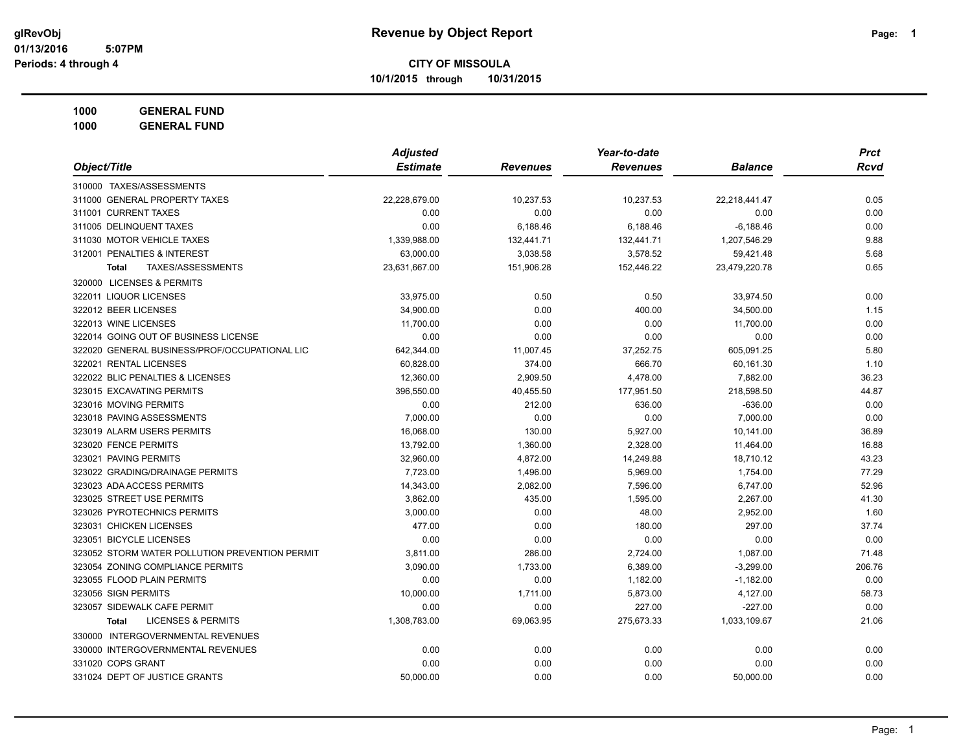**10/1/2015 through 10/31/2015**

**1000 GENERAL FUND**

|                                                | <b>Adjusted</b> |                 | Year-to-date    |                | <b>Prct</b> |
|------------------------------------------------|-----------------|-----------------|-----------------|----------------|-------------|
| Object/Title                                   | <b>Estimate</b> | <b>Revenues</b> | <b>Revenues</b> | <b>Balance</b> | <b>Rcvd</b> |
| 310000 TAXES/ASSESSMENTS                       |                 |                 |                 |                |             |
| 311000 GENERAL PROPERTY TAXES                  | 22,228,679.00   | 10,237.53       | 10,237.53       | 22,218,441.47  | 0.05        |
| 311001 CURRENT TAXES                           | 0.00            | 0.00            | 0.00            | 0.00           | 0.00        |
| 311005 DELINQUENT TAXES                        | 0.00            | 6,188.46        | 6,188.46        | $-6,188.46$    | 0.00        |
| 311030 MOTOR VEHICLE TAXES                     | 1,339,988.00    | 132,441.71      | 132,441.71      | 1,207,546.29   | 9.88        |
| 312001 PENALTIES & INTEREST                    | 63,000.00       | 3,038.58        | 3,578.52        | 59,421.48      | 5.68        |
| TAXES/ASSESSMENTS<br><b>Total</b>              | 23,631,667.00   | 151,906.28      | 152,446.22      | 23,479,220.78  | 0.65        |
| 320000 LICENSES & PERMITS                      |                 |                 |                 |                |             |
| 322011 LIQUOR LICENSES                         | 33,975.00       | 0.50            | 0.50            | 33,974.50      | 0.00        |
| 322012 BEER LICENSES                           | 34,900.00       | 0.00            | 400.00          | 34,500.00      | 1.15        |
| 322013 WINE LICENSES                           | 11,700.00       | 0.00            | 0.00            | 11,700.00      | 0.00        |
| 322014 GOING OUT OF BUSINESS LICENSE           | 0.00            | 0.00            | 0.00            | 0.00           | 0.00        |
| 322020 GENERAL BUSINESS/PROF/OCCUPATIONAL LIC  | 642,344.00      | 11,007.45       | 37,252.75       | 605,091.25     | 5.80        |
| 322021 RENTAL LICENSES                         | 60,828.00       | 374.00          | 666.70          | 60,161.30      | 1.10        |
| 322022 BLIC PENALTIES & LICENSES               | 12,360.00       | 2,909.50        | 4,478.00        | 7,882.00       | 36.23       |
| 323015 EXCAVATING PERMITS                      | 396,550.00      | 40,455.50       | 177,951.50      | 218,598.50     | 44.87       |
| 323016 MOVING PERMITS                          | 0.00            | 212.00          | 636.00          | $-636.00$      | 0.00        |
| 323018 PAVING ASSESSMENTS                      | 7,000.00        | 0.00            | 0.00            | 7,000.00       | 0.00        |
| 323019 ALARM USERS PERMITS                     | 16,068.00       | 130.00          | 5,927.00        | 10,141.00      | 36.89       |
| 323020 FENCE PERMITS                           | 13,792.00       | 1,360.00        | 2,328.00        | 11,464.00      | 16.88       |
| 323021 PAVING PERMITS                          | 32,960.00       | 4,872.00        | 14,249.88       | 18,710.12      | 43.23       |
| 323022 GRADING/DRAINAGE PERMITS                | 7,723.00        | 1,496.00        | 5,969.00        | 1,754.00       | 77.29       |
| 323023 ADA ACCESS PERMITS                      | 14,343.00       | 2,082.00        | 7,596.00        | 6,747.00       | 52.96       |
| 323025 STREET USE PERMITS                      | 3,862.00        | 435.00          | 1,595.00        | 2,267.00       | 41.30       |
| 323026 PYROTECHNICS PERMITS                    | 3,000.00        | 0.00            | 48.00           | 2,952.00       | 1.60        |
| 323031 CHICKEN LICENSES                        | 477.00          | 0.00            | 180.00          | 297.00         | 37.74       |
| 323051 BICYCLE LICENSES                        | 0.00            | 0.00            | 0.00            | 0.00           | 0.00        |
| 323052 STORM WATER POLLUTION PREVENTION PERMIT | 3,811.00        | 286.00          | 2,724.00        | 1,087.00       | 71.48       |
| 323054 ZONING COMPLIANCE PERMITS               | 3,090.00        | 1,733.00        | 6,389.00        | $-3,299.00$    | 206.76      |
| 323055 FLOOD PLAIN PERMITS                     | 0.00            | 0.00            | 1,182.00        | $-1,182.00$    | 0.00        |
| 323056 SIGN PERMITS                            | 10,000.00       | 1,711.00        | 5,873.00        | 4,127.00       | 58.73       |
| 323057 SIDEWALK CAFE PERMIT                    | 0.00            | 0.00            | 227.00          | $-227.00$      | 0.00        |
| <b>LICENSES &amp; PERMITS</b><br><b>Total</b>  | 1,308,783.00    | 69,063.95       | 275,673.33      | 1,033,109.67   | 21.06       |
| 330000 INTERGOVERNMENTAL REVENUES              |                 |                 |                 |                |             |
| 330000 INTERGOVERNMENTAL REVENUES              | 0.00            | 0.00            | 0.00            | 0.00           | 0.00        |
| 331020 COPS GRANT                              | 0.00            | 0.00            | 0.00            | 0.00           | 0.00        |
| 331024 DEPT OF JUSTICE GRANTS                  | 50,000.00       | 0.00            | 0.00            | 50,000.00      | 0.00        |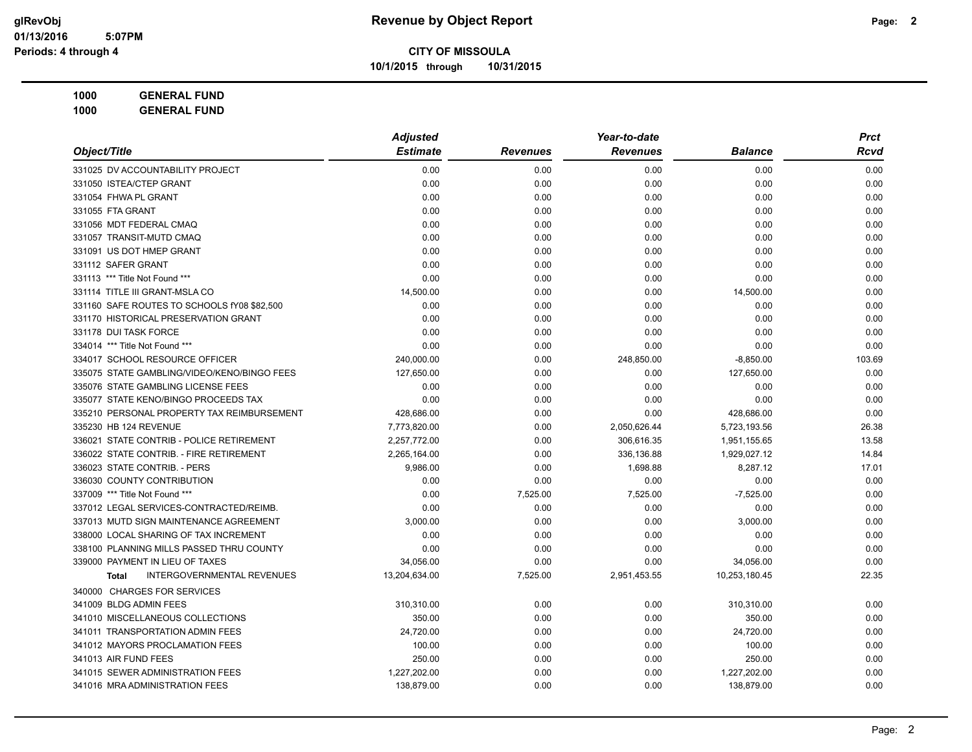**10/1/2015 through 10/31/2015**

|                                                   | <b>Adjusted</b> |                 | Year-to-date    |                | <b>Prct</b> |
|---------------------------------------------------|-----------------|-----------------|-----------------|----------------|-------------|
| Object/Title                                      | <b>Estimate</b> | <b>Revenues</b> | <b>Revenues</b> | <b>Balance</b> | Rcvd        |
| 331025 DV ACCOUNTABILITY PROJECT                  | 0.00            | 0.00            | 0.00            | 0.00           | 0.00        |
| 331050 ISTEA/CTEP GRANT                           | 0.00            | 0.00            | 0.00            | 0.00           | 0.00        |
| 331054 FHWA PL GRANT                              | 0.00            | 0.00            | 0.00            | 0.00           | 0.00        |
| 331055 FTA GRANT                                  | 0.00            | 0.00            | 0.00            | 0.00           | 0.00        |
| 331056 MDT FEDERAL CMAQ                           | 0.00            | 0.00            | 0.00            | 0.00           | 0.00        |
| 331057 TRANSIT-MUTD CMAQ                          | 0.00            | 0.00            | 0.00            | 0.00           | 0.00        |
| 331091 US DOT HMEP GRANT                          | 0.00            | 0.00            | 0.00            | 0.00           | 0.00        |
| 331112 SAFER GRANT                                | 0.00            | 0.00            | 0.00            | 0.00           | 0.00        |
| 331113 *** Title Not Found ***                    | 0.00            | 0.00            | 0.00            | 0.00           | 0.00        |
| 331114 TITLE III GRANT-MSLA CO                    | 14,500.00       | 0.00            | 0.00            | 14,500.00      | 0.00        |
| 331160 SAFE ROUTES TO SCHOOLS fY08 \$82,500       | 0.00            | 0.00            | 0.00            | 0.00           | 0.00        |
| 331170 HISTORICAL PRESERVATION GRANT              | 0.00            | 0.00            | 0.00            | 0.00           | 0.00        |
| 331178 DUI TASK FORCE                             | 0.00            | 0.00            | 0.00            | 0.00           | 0.00        |
| 334014 *** Title Not Found ***                    | 0.00            | 0.00            | 0.00            | 0.00           | 0.00        |
| 334017 SCHOOL RESOURCE OFFICER                    | 240,000.00      | 0.00            | 248,850.00      | $-8,850.00$    | 103.69      |
| 335075 STATE GAMBLING/VIDEO/KENO/BINGO FEES       | 127,650.00      | 0.00            | 0.00            | 127,650.00     | 0.00        |
| 335076 STATE GAMBLING LICENSE FEES                | 0.00            | 0.00            | 0.00            | 0.00           | 0.00        |
| 335077 STATE KENO/BINGO PROCEEDS TAX              | 0.00            | 0.00            | 0.00            | 0.00           | 0.00        |
| 335210 PERSONAL PROPERTY TAX REIMBURSEMENT        | 428,686.00      | 0.00            | 0.00            | 428,686.00     | 0.00        |
| 335230 HB 124 REVENUE                             | 7,773,820.00    | 0.00            | 2,050,626.44    | 5,723,193.56   | 26.38       |
| 336021 STATE CONTRIB - POLICE RETIREMENT          | 2,257,772.00    | 0.00            | 306,616.35      | 1,951,155.65   | 13.58       |
| 336022 STATE CONTRIB. - FIRE RETIREMENT           | 2,265,164.00    | 0.00            | 336,136.88      | 1,929,027.12   | 14.84       |
| 336023 STATE CONTRIB. - PERS                      | 9,986.00        | 0.00            | 1,698.88        | 8,287.12       | 17.01       |
| 336030 COUNTY CONTRIBUTION                        | 0.00            | 0.00            | 0.00            | 0.00           | 0.00        |
| 337009 *** Title Not Found ***                    | 0.00            | 7,525.00        | 7,525.00        | $-7,525.00$    | 0.00        |
| 337012 LEGAL SERVICES-CONTRACTED/REIMB.           | 0.00            | 0.00            | 0.00            | 0.00           | 0.00        |
| 337013 MUTD SIGN MAINTENANCE AGREEMENT            | 3,000.00        | 0.00            | 0.00            | 3,000.00       | 0.00        |
| 338000 LOCAL SHARING OF TAX INCREMENT             | 0.00            | 0.00            | 0.00            | 0.00           | 0.00        |
| 338100 PLANNING MILLS PASSED THRU COUNTY          | 0.00            | 0.00            | 0.00            | 0.00           | 0.00        |
| 339000 PAYMENT IN LIEU OF TAXES                   | 34,056.00       | 0.00            | 0.00            | 34,056.00      | 0.00        |
| <b>INTERGOVERNMENTAL REVENUES</b><br><b>Total</b> | 13,204,634.00   | 7,525.00        | 2,951,453.55    | 10,253,180.45  | 22.35       |
| 340000 CHARGES FOR SERVICES                       |                 |                 |                 |                |             |
| 341009 BLDG ADMIN FEES                            | 310,310.00      | 0.00            | 0.00            | 310,310.00     | 0.00        |
| 341010 MISCELLANEOUS COLLECTIONS                  | 350.00          | 0.00            | 0.00            | 350.00         | 0.00        |
| 341011 TRANSPORTATION ADMIN FEES                  | 24,720.00       | 0.00            | 0.00            | 24,720.00      | 0.00        |
| 341012 MAYORS PROCLAMATION FEES                   | 100.00          | 0.00            | 0.00            | 100.00         | 0.00        |
| 341013 AIR FUND FEES                              | 250.00          | 0.00            | 0.00            | 250.00         | 0.00        |
| 341015 SEWER ADMINISTRATION FEES                  | 1,227,202.00    | 0.00            | 0.00            | 1,227,202.00   | 0.00        |
| 341016 MRA ADMINISTRATION FEES                    | 138,879.00      | 0.00            | 0.00            | 138,879.00     | 0.00        |
|                                                   |                 |                 |                 |                |             |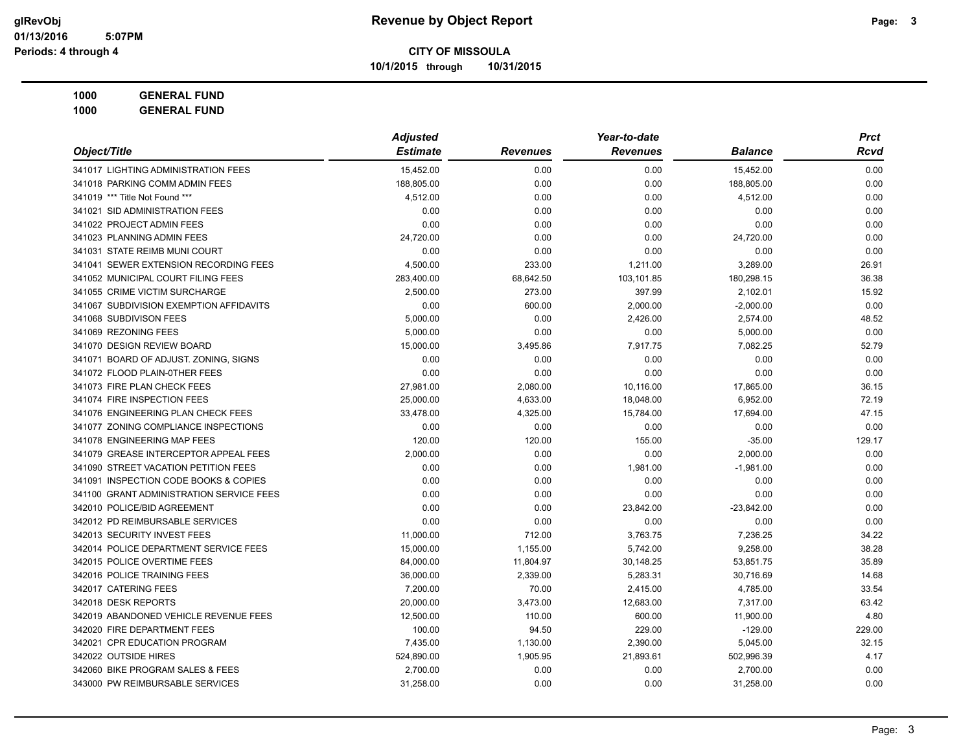**10/1/2015 through 10/31/2015**

**1000 GENERAL FUND 1000 GENERAL FUND**

|                                          | <b>Adjusted</b> | Year-to-date    |                 |                | <b>Prct</b> |
|------------------------------------------|-----------------|-----------------|-----------------|----------------|-------------|
| Object/Title                             | <b>Estimate</b> | <b>Revenues</b> | <b>Revenues</b> | <b>Balance</b> | Rcvd        |
| 341017 LIGHTING ADMINISTRATION FEES      | 15,452.00       | 0.00            | 0.00            | 15,452.00      | 0.00        |
| 341018 PARKING COMM ADMIN FEES           | 188,805.00      | 0.00            | 0.00            | 188,805.00     | 0.00        |
| 341019 *** Title Not Found ***           | 4,512.00        | 0.00            | 0.00            | 4,512.00       | 0.00        |
| 341021 SID ADMINISTRATION FEES           | 0.00            | 0.00            | 0.00            | 0.00           | 0.00        |
| 341022 PROJECT ADMIN FEES                | 0.00            | 0.00            | 0.00            | 0.00           | 0.00        |
| 341023 PLANNING ADMIN FEES               | 24,720.00       | 0.00            | 0.00            | 24,720.00      | 0.00        |
| 341031 STATE REIMB MUNI COURT            | 0.00            | 0.00            | 0.00            | 0.00           | 0.00        |
| 341041 SEWER EXTENSION RECORDING FEES    | 4,500.00        | 233.00          | 1,211.00        | 3,289.00       | 26.91       |
| 341052 MUNICIPAL COURT FILING FEES       | 283,400.00      | 68,642.50       | 103,101.85      | 180,298.15     | 36.38       |
| 341055 CRIME VICTIM SURCHARGE            | 2,500.00        | 273.00          | 397.99          | 2,102.01       | 15.92       |
| 341067 SUBDIVISION EXEMPTION AFFIDAVITS  | 0.00            | 600.00          | 2,000.00        | $-2,000.00$    | 0.00        |
| 341068 SUBDIVISON FEES                   | 5,000.00        | 0.00            | 2,426.00        | 2,574.00       | 48.52       |
| 341069 REZONING FEES                     | 5,000.00        | 0.00            | 0.00            | 5,000.00       | 0.00        |
| 341070 DESIGN REVIEW BOARD               | 15,000.00       | 3,495.86        | 7,917.75        | 7,082.25       | 52.79       |
| 341071 BOARD OF ADJUST. ZONING, SIGNS    | 0.00            | 0.00            | 0.00            | 0.00           | 0.00        |
| 341072 FLOOD PLAIN-0THER FEES            | 0.00            | 0.00            | 0.00            | 0.00           | 0.00        |
| 341073 FIRE PLAN CHECK FEES              | 27,981.00       | 2,080.00        | 10,116.00       | 17,865.00      | 36.15       |
| 341074 FIRE INSPECTION FEES              | 25,000.00       | 4,633.00        | 18,048.00       | 6,952.00       | 72.19       |
| 341076 ENGINEERING PLAN CHECK FEES       | 33,478.00       | 4,325.00        | 15,784.00       | 17,694.00      | 47.15       |
| 341077 ZONING COMPLIANCE INSPECTIONS     | 0.00            | 0.00            | 0.00            | 0.00           | 0.00        |
| 341078 ENGINEERING MAP FEES              | 120.00          | 120.00          | 155.00          | $-35.00$       | 129.17      |
| 341079 GREASE INTERCEPTOR APPEAL FEES    | 2,000.00        | 0.00            | 0.00            | 2,000.00       | 0.00        |
| 341090 STREET VACATION PETITION FEES     | 0.00            | 0.00            | 1,981.00        | $-1,981.00$    | 0.00        |
| 341091 INSPECTION CODE BOOKS & COPIES    | 0.00            | 0.00            | 0.00            | 0.00           | 0.00        |
| 341100 GRANT ADMINISTRATION SERVICE FEES | 0.00            | 0.00            | 0.00            | 0.00           | 0.00        |
| 342010 POLICE/BID AGREEMENT              | 0.00            | 0.00            | 23,842.00       | $-23,842.00$   | 0.00        |
| 342012 PD REIMBURSABLE SERVICES          | 0.00            | 0.00            | 0.00            | 0.00           | 0.00        |
| 342013 SECURITY INVEST FEES              | 11,000.00       | 712.00          | 3,763.75        | 7,236.25       | 34.22       |
| 342014 POLICE DEPARTMENT SERVICE FEES    | 15,000.00       | 1,155.00        | 5,742.00        | 9,258.00       | 38.28       |
| 342015 POLICE OVERTIME FEES              | 84,000.00       | 11,804.97       | 30,148.25       | 53,851.75      | 35.89       |
| 342016 POLICE TRAINING FEES              | 36,000.00       | 2,339.00        | 5,283.31        | 30,716.69      | 14.68       |
| 342017 CATERING FEES                     | 7,200.00        | 70.00           | 2,415.00        | 4,785.00       | 33.54       |
| 342018 DESK REPORTS                      | 20,000.00       | 3,473.00        | 12,683.00       | 7,317.00       | 63.42       |
| 342019 ABANDONED VEHICLE REVENUE FEES    | 12,500.00       | 110.00          | 600.00          | 11,900.00      | 4.80        |
| 342020 FIRE DEPARTMENT FEES              | 100.00          | 94.50           | 229.00          | $-129.00$      | 229.00      |
| 342021 CPR EDUCATION PROGRAM             | 7,435.00        | 1,130.00        | 2,390.00        | 5,045.00       | 32.15       |
| 342022 OUTSIDE HIRES                     | 524,890.00      | 1,905.95        | 21,893.61       | 502,996.39     | 4.17        |
| 342060 BIKE PROGRAM SALES & FEES         | 2,700.00        | 0.00            | 0.00            | 2,700.00       | 0.00        |
| 343000 PW REIMBURSABLE SERVICES          | 31,258.00       | 0.00            | 0.00            | 31,258.00      | 0.00        |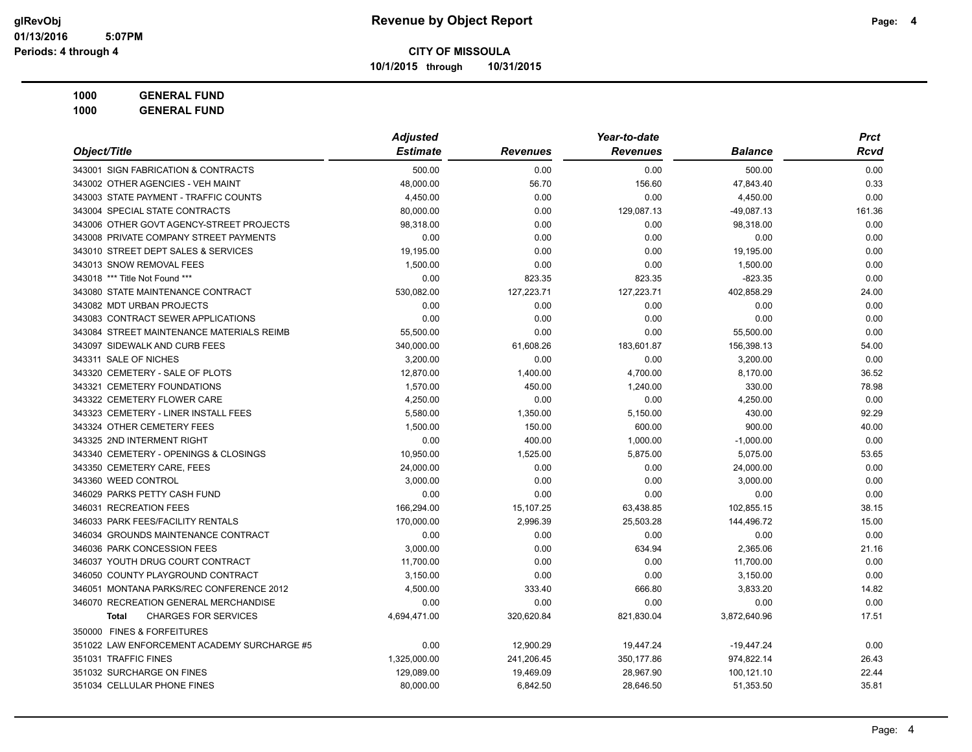**10/1/2015 through 10/31/2015**

**1000 GENERAL FUND 1000 GENERAL FUND**

|                                             | <b>Adjusted</b> |                 |                 | <b>Prct</b>    |        |
|---------------------------------------------|-----------------|-----------------|-----------------|----------------|--------|
| Object/Title                                | <b>Estimate</b> | <b>Revenues</b> | <b>Revenues</b> | <b>Balance</b> | Rcvd   |
| 343001 SIGN FABRICATION & CONTRACTS         | 500.00          | 0.00            | 0.00            | 500.00         | 0.00   |
| 343002 OTHER AGENCIES - VEH MAINT           | 48,000.00       | 56.70           | 156.60          | 47,843.40      | 0.33   |
| 343003 STATE PAYMENT - TRAFFIC COUNTS       | 4,450.00        | 0.00            | 0.00            | 4,450.00       | 0.00   |
| 343004 SPECIAL STATE CONTRACTS              | 80,000.00       | 0.00            | 129,087.13      | -49,087.13     | 161.36 |
| 343006 OTHER GOVT AGENCY-STREET PROJECTS    | 98,318.00       | 0.00            | 0.00            | 98,318.00      | 0.00   |
| 343008 PRIVATE COMPANY STREET PAYMENTS      | 0.00            | 0.00            | 0.00            | 0.00           | 0.00   |
| 343010 STREET DEPT SALES & SERVICES         | 19,195.00       | 0.00            | 0.00            | 19,195.00      | 0.00   |
| 343013 SNOW REMOVAL FEES                    | 1,500.00        | 0.00            | 0.00            | 1,500.00       | 0.00   |
| 343018 *** Title Not Found ***              | 0.00            | 823.35          | 823.35          | $-823.35$      | 0.00   |
| 343080 STATE MAINTENANCE CONTRACT           | 530,082.00      | 127,223.71      | 127,223.71      | 402,858.29     | 24.00  |
| 343082 MDT URBAN PROJECTS                   | 0.00            | 0.00            | 0.00            | 0.00           | 0.00   |
| 343083 CONTRACT SEWER APPLICATIONS          | 0.00            | 0.00            | 0.00            | 0.00           | 0.00   |
| 343084 STREET MAINTENANCE MATERIALS REIMB   | 55,500.00       | 0.00            | 0.00            | 55,500.00      | 0.00   |
| 343097 SIDEWALK AND CURB FEES               | 340,000.00      | 61,608.26       | 183,601.87      | 156,398.13     | 54.00  |
| 343311 SALE OF NICHES                       | 3,200.00        | 0.00            | 0.00            | 3,200.00       | 0.00   |
| 343320 CEMETERY - SALE OF PLOTS             | 12,870.00       | 1,400.00        | 4,700.00        | 8,170.00       | 36.52  |
| 343321 CEMETERY FOUNDATIONS                 | 1,570.00        | 450.00          | 1,240.00        | 330.00         | 78.98  |
| 343322 CEMETERY FLOWER CARE                 | 4.250.00        | 0.00            | 0.00            | 4,250.00       | 0.00   |
| 343323 CEMETERY - LINER INSTALL FEES        | 5,580.00        | 1,350.00        | 5,150.00        | 430.00         | 92.29  |
| 343324 OTHER CEMETERY FEES                  | 1,500.00        | 150.00          | 600.00          | 900.00         | 40.00  |
| 343325 2ND INTERMENT RIGHT                  | 0.00            | 400.00          | 1,000.00        | $-1,000.00$    | 0.00   |
| 343340 CEMETERY - OPENINGS & CLOSINGS       | 10,950.00       | 1,525.00        | 5,875.00        | 5,075.00       | 53.65  |
| 343350 CEMETERY CARE, FEES                  | 24,000.00       | 0.00            | 0.00            | 24,000.00      | 0.00   |
| 343360 WEED CONTROL                         | 3,000.00        | 0.00            | 0.00            | 3,000.00       | 0.00   |
| 346029 PARKS PETTY CASH FUND                | 0.00            | 0.00            | 0.00            | 0.00           | 0.00   |
| 346031 RECREATION FEES                      | 166,294.00      | 15,107.25       | 63,438.85       | 102,855.15     | 38.15  |
| 346033 PARK FEES/FACILITY RENTALS           | 170,000.00      | 2,996.39        | 25,503.28       | 144,496.72     | 15.00  |
| 346034 GROUNDS MAINTENANCE CONTRACT         | 0.00            | 0.00            | 0.00            | 0.00           | 0.00   |
| 346036 PARK CONCESSION FEES                 | 3,000.00        | 0.00            | 634.94          | 2,365.06       | 21.16  |
| 346037 YOUTH DRUG COURT CONTRACT            | 11,700.00       | 0.00            | 0.00            | 11,700.00      | 0.00   |
| 346050 COUNTY PLAYGROUND CONTRACT           | 3,150.00        | 0.00            | 0.00            | 3,150.00       | 0.00   |
| 346051 MONTANA PARKS/REC CONFERENCE 2012    | 4,500.00        | 333.40          | 666.80          | 3,833.20       | 14.82  |
| 346070 RECREATION GENERAL MERCHANDISE       | 0.00            | 0.00            | 0.00            | 0.00           | 0.00   |
| <b>CHARGES FOR SERVICES</b><br><b>Total</b> | 4,694,471.00    | 320,620.84      | 821,830.04      | 3,872,640.96   | 17.51  |
| 350000 FINES & FORFEITURES                  |                 |                 |                 |                |        |
| 351022 LAW ENFORCEMENT ACADEMY SURCHARGE #5 | 0.00            | 12,900.29       | 19,447.24       | $-19,447.24$   | 0.00   |
| 351031 TRAFFIC FINES                        | 1,325,000.00    | 241,206.45      | 350,177.86      | 974,822.14     | 26.43  |
| 351032 SURCHARGE ON FINES                   | 129,089.00      | 19,469.09       | 28,967.90       | 100,121.10     | 22.44  |
| 351034 CELLULAR PHONE FINES                 | 80,000.00       | 6,842.50        | 28,646.50       | 51,353.50      | 35.81  |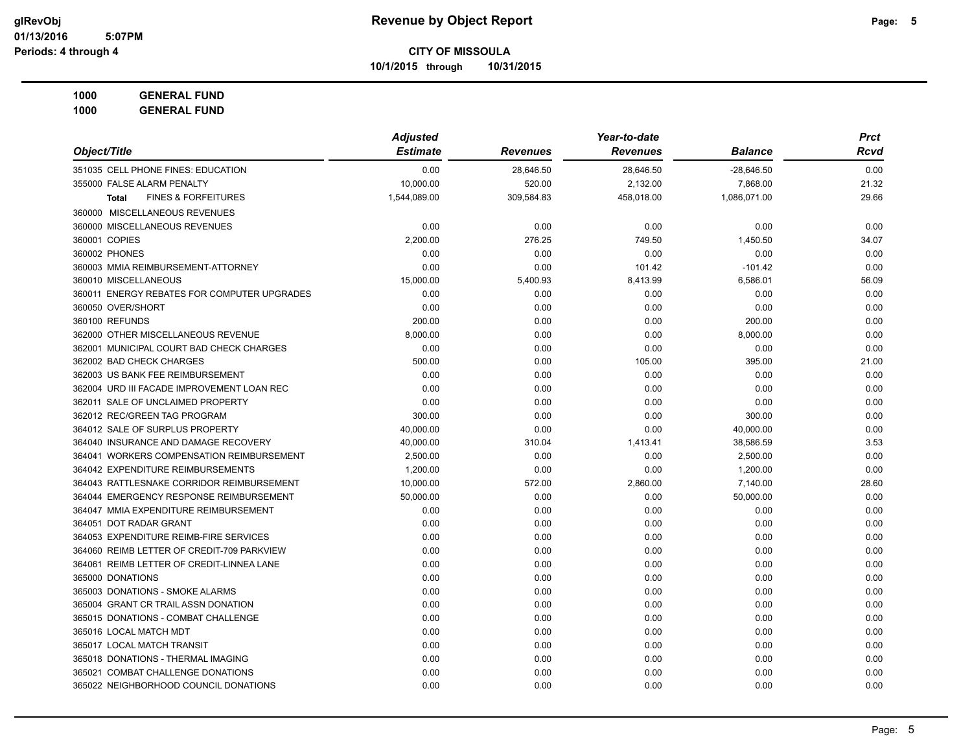**10/1/2015 through 10/31/2015**

| 1000 | <b>GENERAL FUND</b> |
|------|---------------------|
|------|---------------------|

|                                                | <b>Adjusted</b> |                 | Year-to-date    |                | <b>Prct</b> |
|------------------------------------------------|-----------------|-----------------|-----------------|----------------|-------------|
| Object/Title                                   | <b>Estimate</b> | <b>Revenues</b> | <b>Revenues</b> | <b>Balance</b> | Rcvd        |
| 351035 CELL PHONE FINES: EDUCATION             | 0.00            | 28,646.50       | 28,646.50       | $-28,646.50$   | 0.00        |
| 355000 FALSE ALARM PENALTY                     | 10.000.00       | 520.00          | 2,132.00        | 7,868.00       | 21.32       |
| <b>FINES &amp; FORFEITURES</b><br><b>Total</b> | 1,544,089.00    | 309,584.83      | 458,018.00      | 1,086,071.00   | 29.66       |
| 360000 MISCELLANEOUS REVENUES                  |                 |                 |                 |                |             |
| 360000 MISCELLANEOUS REVENUES                  | 0.00            | 0.00            | 0.00            | 0.00           | 0.00        |
| 360001 COPIES                                  | 2.200.00        | 276.25          | 749.50          | 1,450.50       | 34.07       |
| 360002 PHONES                                  | 0.00            | 0.00            | 0.00            | 0.00           | 0.00        |
| 360003 MMIA REIMBURSEMENT-ATTORNEY             | 0.00            | 0.00            | 101.42          | $-101.42$      | 0.00        |
| 360010 MISCELLANEOUS                           | 15,000.00       | 5,400.93        | 8,413.99        | 6,586.01       | 56.09       |
| 360011 ENERGY REBATES FOR COMPUTER UPGRADES    | 0.00            | 0.00            | 0.00            | 0.00           | 0.00        |
| 360050 OVER/SHORT                              | 0.00            | 0.00            | 0.00            | 0.00           | 0.00        |
| 360100 REFUNDS                                 | 200.00          | 0.00            | 0.00            | 200.00         | 0.00        |
| 362000 OTHER MISCELLANEOUS REVENUE             | 8,000.00        | 0.00            | 0.00            | 8,000.00       | 0.00        |
| 362001 MUNICIPAL COURT BAD CHECK CHARGES       | 0.00            | 0.00            | 0.00            | 0.00           | 0.00        |
| 362002 BAD CHECK CHARGES                       | 500.00          | 0.00            | 105.00          | 395.00         | 21.00       |
| 362003 US BANK FEE REIMBURSEMENT               | 0.00            | 0.00            | 0.00            | 0.00           | 0.00        |
| 362004 URD III FACADE IMPROVEMENT LOAN REC     | 0.00            | 0.00            | 0.00            | 0.00           | 0.00        |
| 362011 SALE OF UNCLAIMED PROPERTY              | 0.00            | 0.00            | 0.00            | 0.00           | 0.00        |
| 362012 REC/GREEN TAG PROGRAM                   | 300.00          | 0.00            | 0.00            | 300.00         | 0.00        |
| 364012 SALE OF SURPLUS PROPERTY                | 40,000.00       | 0.00            | 0.00            | 40,000.00      | 0.00        |
| 364040 INSURANCE AND DAMAGE RECOVERY           | 40,000.00       | 310.04          | 1,413.41        | 38,586.59      | 3.53        |
| 364041 WORKERS COMPENSATION REIMBURSEMENT      | 2,500.00        | 0.00            | 0.00            | 2,500.00       | 0.00        |
| 364042 EXPENDITURE REIMBURSEMENTS              | 1,200.00        | 0.00            | 0.00            | 1,200.00       | 0.00        |
| 364043 RATTLESNAKE CORRIDOR REIMBURSEMENT      | 10,000.00       | 572.00          | 2,860.00        | 7,140.00       | 28.60       |
| 364044 EMERGENCY RESPONSE REIMBURSEMENT        | 50,000.00       | 0.00            | 0.00            | 50,000.00      | 0.00        |
| 364047 MMIA EXPENDITURE REIMBURSEMENT          | 0.00            | 0.00            | 0.00            | 0.00           | 0.00        |
| 364051 DOT RADAR GRANT                         | 0.00            | 0.00            | 0.00            | 0.00           | 0.00        |
| 364053 EXPENDITURE REIMB-FIRE SERVICES         | 0.00            | 0.00            | 0.00            | 0.00           | 0.00        |
| 364060 REIMB LETTER OF CREDIT-709 PARKVIEW     | 0.00            | 0.00            | 0.00            | 0.00           | 0.00        |
| 364061 REIMB LETTER OF CREDIT-LINNEA LANE      | 0.00            | 0.00            | 0.00            | 0.00           | 0.00        |
| 365000 DONATIONS                               | 0.00            | 0.00            | 0.00            | 0.00           | 0.00        |
| 365003 DONATIONS - SMOKE ALARMS                | 0.00            | 0.00            | 0.00            | 0.00           | 0.00        |
| 365004 GRANT CR TRAIL ASSN DONATION            | 0.00            | 0.00            | 0.00            | 0.00           | 0.00        |
| 365015 DONATIONS - COMBAT CHALLENGE            | 0.00            | 0.00            | 0.00            | 0.00           | 0.00        |
| 365016 LOCAL MATCH MDT                         | 0.00            | 0.00            | 0.00            | 0.00           | 0.00        |
| 365017 LOCAL MATCH TRANSIT                     | 0.00            | 0.00            | 0.00            | 0.00           | 0.00        |
| 365018 DONATIONS - THERMAL IMAGING             | 0.00            | 0.00            | 0.00            | 0.00           | 0.00        |
| 365021 COMBAT CHALLENGE DONATIONS              | 0.00            | 0.00            | 0.00            | 0.00           | 0.00        |
| 365022 NEIGHBORHOOD COUNCIL DONATIONS          | 0.00            | 0.00            | 0.00            | 0.00           | 0.00        |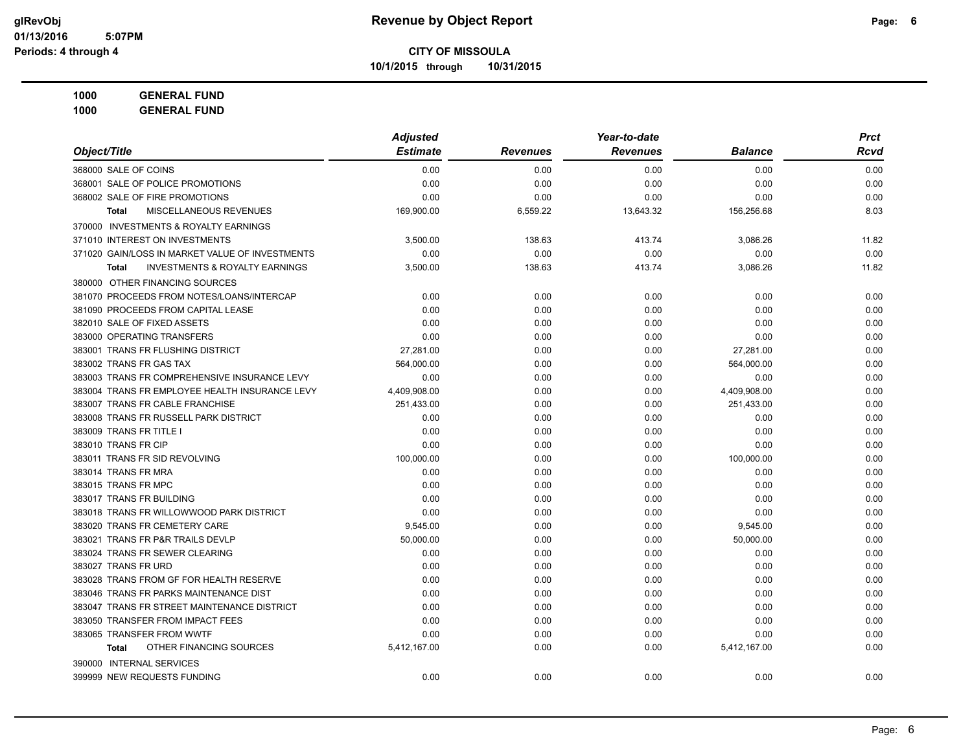**10/1/2015 through 10/31/2015**

**1000 GENERAL FUND 1000 GENERAL FUND**

|                                                           | <b>Adjusted</b> |                 | Year-to-date    | <b>Prct</b>    |       |
|-----------------------------------------------------------|-----------------|-----------------|-----------------|----------------|-------|
| Object/Title                                              | <b>Estimate</b> | <b>Revenues</b> | <b>Revenues</b> | <b>Balance</b> | Rcvd  |
| 368000 SALE OF COINS                                      | 0.00            | 0.00            | 0.00            | 0.00           | 0.00  |
| 368001 SALE OF POLICE PROMOTIONS                          | 0.00            | 0.00            | 0.00            | 0.00           | 0.00  |
| 368002 SALE OF FIRE PROMOTIONS                            | 0.00            | 0.00            | 0.00            | 0.00           | 0.00  |
| MISCELLANEOUS REVENUES<br>Total                           | 169,900.00      | 6,559.22        | 13,643.32       | 156,256.68     | 8.03  |
| 370000 INVESTMENTS & ROYALTY EARNINGS                     |                 |                 |                 |                |       |
| 371010 INTEREST ON INVESTMENTS                            | 3,500.00        | 138.63          | 413.74          | 3,086.26       | 11.82 |
| 371020 GAIN/LOSS IN MARKET VALUE OF INVESTMENTS           | 0.00            | 0.00            | 0.00            | 0.00           | 0.00  |
| <b>INVESTMENTS &amp; ROYALTY EARNINGS</b><br><b>Total</b> | 3,500.00        | 138.63          | 413.74          | 3,086.26       | 11.82 |
| 380000 OTHER FINANCING SOURCES                            |                 |                 |                 |                |       |
| 381070 PROCEEDS FROM NOTES/LOANS/INTERCAP                 | 0.00            | 0.00            | 0.00            | 0.00           | 0.00  |
| 381090 PROCEEDS FROM CAPITAL LEASE                        | 0.00            | 0.00            | 0.00            | 0.00           | 0.00  |
| 382010 SALE OF FIXED ASSETS                               | 0.00            | 0.00            | 0.00            | 0.00           | 0.00  |
| 383000 OPERATING TRANSFERS                                | 0.00            | 0.00            | 0.00            | 0.00           | 0.00  |
| 383001 TRANS FR FLUSHING DISTRICT                         | 27,281.00       | 0.00            | 0.00            | 27,281.00      | 0.00  |
| 383002 TRANS FR GAS TAX                                   | 564,000.00      | 0.00            | 0.00            | 564,000.00     | 0.00  |
| 383003 TRANS FR COMPREHENSIVE INSURANCE LEVY              | 0.00            | 0.00            | 0.00            | 0.00           | 0.00  |
| 383004 TRANS FR EMPLOYEE HEALTH INSURANCE LEVY            | 4,409,908.00    | 0.00            | 0.00            | 4,409,908.00   | 0.00  |
| 383007 TRANS FR CABLE FRANCHISE                           | 251,433.00      | 0.00            | 0.00            | 251,433.00     | 0.00  |
| 383008 TRANS FR RUSSELL PARK DISTRICT                     | 0.00            | 0.00            | 0.00            | 0.00           | 0.00  |
| 383009 TRANS FR TITLE I                                   | 0.00            | 0.00            | 0.00            | 0.00           | 0.00  |
| 383010 TRANS FR CIP                                       | 0.00            | 0.00            | 0.00            | 0.00           | 0.00  |
| 383011 TRANS FR SID REVOLVING                             | 100,000.00      | 0.00            | 0.00            | 100,000.00     | 0.00  |
| 383014 TRANS FR MRA                                       | 0.00            | 0.00            | 0.00            | 0.00           | 0.00  |
| 383015 TRANS FR MPC                                       | 0.00            | 0.00            | 0.00            | 0.00           | 0.00  |
| 383017 TRANS FR BUILDING                                  | 0.00            | 0.00            | 0.00            | 0.00           | 0.00  |
| 383018 TRANS FR WILLOWWOOD PARK DISTRICT                  | 0.00            | 0.00            | 0.00            | 0.00           | 0.00  |
| 383020 TRANS FR CEMETERY CARE                             | 9.545.00        | 0.00            | 0.00            | 9,545.00       | 0.00  |
| 383021 TRANS FR P&R TRAILS DEVLP                          | 50,000.00       | 0.00            | 0.00            | 50,000.00      | 0.00  |
| 383024 TRANS FR SEWER CLEARING                            | 0.00            | 0.00            | 0.00            | 0.00           | 0.00  |
| 383027 TRANS FR URD                                       | 0.00            | 0.00            | 0.00            | 0.00           | 0.00  |
| 383028 TRANS FROM GF FOR HEALTH RESERVE                   | 0.00            | 0.00            | 0.00            | 0.00           | 0.00  |
| 383046 TRANS FR PARKS MAINTENANCE DIST                    | 0.00            | 0.00            | 0.00            | 0.00           | 0.00  |
| 383047 TRANS FR STREET MAINTENANCE DISTRICT               | 0.00            | 0.00            | 0.00            | 0.00           | 0.00  |
| 383050 TRANSFER FROM IMPACT FEES                          | 0.00            | 0.00            | 0.00            | 0.00           | 0.00  |
| 383065 TRANSFER FROM WWTF                                 | 0.00            | 0.00            | 0.00            | 0.00           | 0.00  |
| OTHER FINANCING SOURCES<br>Total                          | 5,412,167.00    | 0.00            | 0.00            | 5,412,167.00   | 0.00  |
| 390000 INTERNAL SERVICES                                  |                 |                 |                 |                |       |
| 399999 NEW REQUESTS FUNDING                               | 0.00            | 0.00            | 0.00            | 0.00           | 0.00  |
|                                                           |                 |                 |                 |                |       |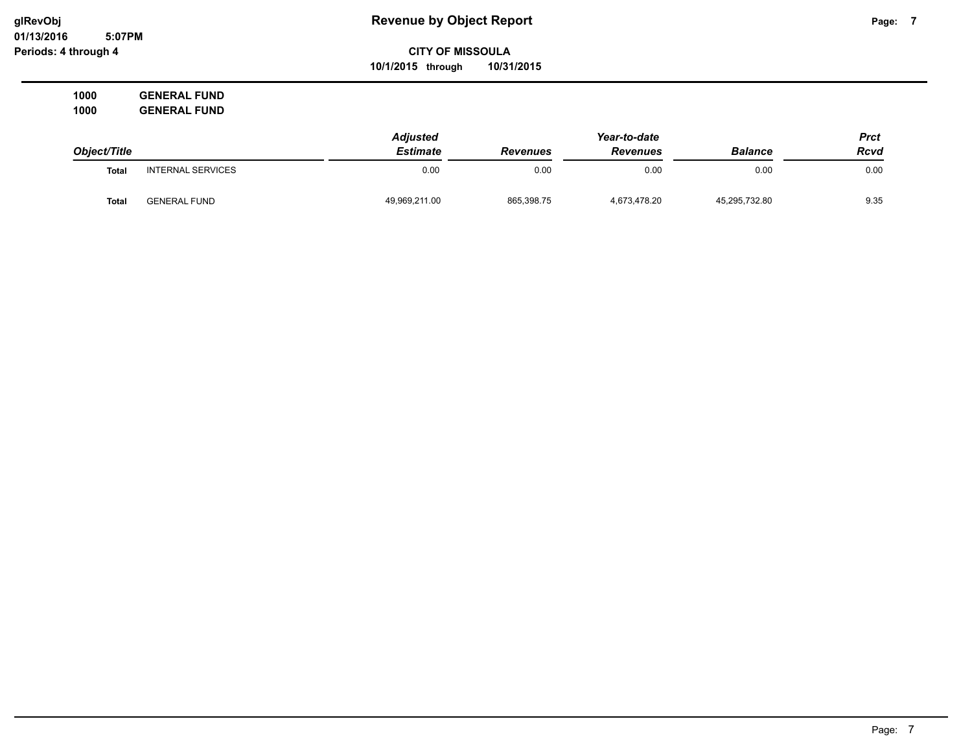### **CITY OF MISSOULA 10/1/2015 through 10/31/2015**

**1000 GENERAL FUND 1000 GENERAL FUND**

|              |                          | <b>Adjusted</b> |                 | Year-to-date    |                | Prct |
|--------------|--------------------------|-----------------|-----------------|-----------------|----------------|------|
| Object/Title |                          | <b>Estimate</b> | <b>Revenues</b> | <b>Revenues</b> | <b>Balance</b> | Rcvd |
| <b>Total</b> | <b>INTERNAL SERVICES</b> | 0.00            | 0.00            | 0.00            | 0.00           | 0.00 |
| <b>Total</b> | <b>GENERAL FUND</b>      | 49,969,211.00   | 865,398.75      | 4,673,478.20    | 45,295,732.80  | 9.35 |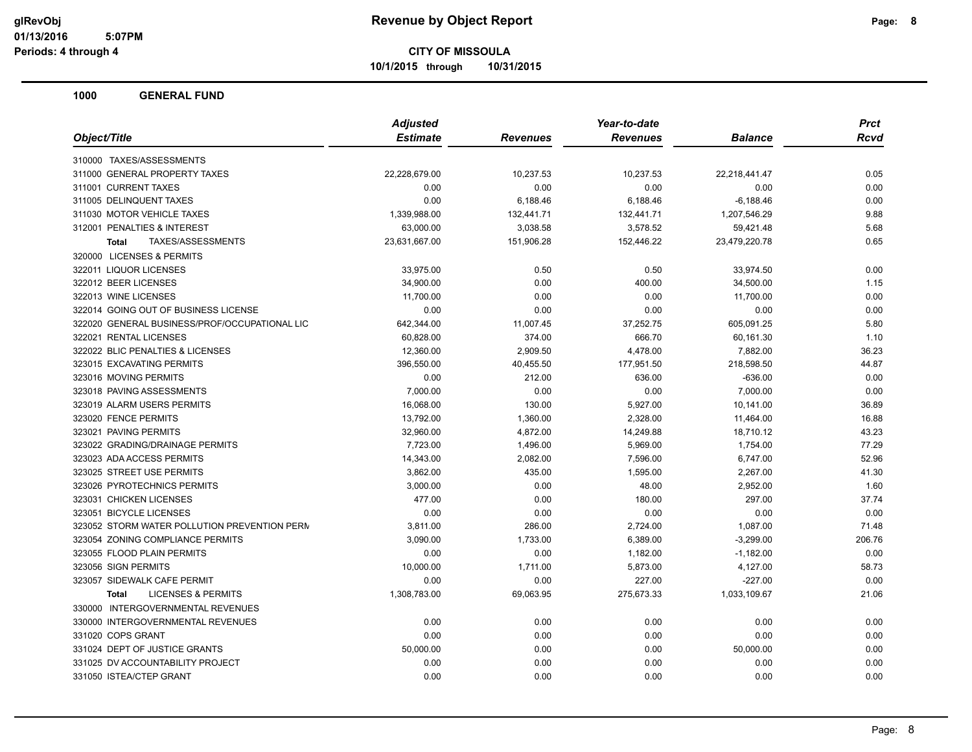**10/1/2015 through 10/31/2015**

|                                               | <b>Adjusted</b> |            | Year-to-date    |                | <b>Prct</b> |
|-----------------------------------------------|-----------------|------------|-----------------|----------------|-------------|
| Object/Title                                  | <b>Estimate</b> | Revenues   | <b>Revenues</b> | <b>Balance</b> | Rcvd        |
| 310000 TAXES/ASSESSMENTS                      |                 |            |                 |                |             |
| 311000 GENERAL PROPERTY TAXES                 | 22,228,679.00   | 10,237.53  | 10,237.53       | 22,218,441.47  | 0.05        |
| 311001 CURRENT TAXES                          | 0.00            | 0.00       | 0.00            | 0.00           | 0.00        |
| 311005 DELINQUENT TAXES                       | 0.00            | 6,188.46   | 6,188.46        | $-6,188.46$    | 0.00        |
| 311030 MOTOR VEHICLE TAXES                    | 1,339,988.00    | 132,441.71 | 132,441.71      | 1,207,546.29   | 9.88        |
| 312001 PENALTIES & INTEREST                   | 63,000.00       | 3,038.58   | 3,578.52        | 59,421.48      | 5.68        |
| TAXES/ASSESSMENTS<br><b>Total</b>             | 23,631,667.00   | 151,906.28 | 152,446.22      | 23,479,220.78  | 0.65        |
| 320000 LICENSES & PERMITS                     |                 |            |                 |                |             |
| 322011 LIQUOR LICENSES                        | 33,975.00       | 0.50       | 0.50            | 33,974.50      | 0.00        |
| 322012 BEER LICENSES                          | 34,900.00       | 0.00       | 400.00          | 34,500.00      | 1.15        |
| 322013 WINE LICENSES                          | 11,700.00       | 0.00       | 0.00            | 11,700.00      | 0.00        |
| 322014 GOING OUT OF BUSINESS LICENSE          | 0.00            | 0.00       | 0.00            | 0.00           | 0.00        |
| 322020 GENERAL BUSINESS/PROF/OCCUPATIONAL LIC | 642,344.00      | 11,007.45  | 37,252.75       | 605,091.25     | 5.80        |
| 322021 RENTAL LICENSES                        | 60,828.00       | 374.00     | 666.70          | 60,161.30      | 1.10        |
| 322022 BLIC PENALTIES & LICENSES              | 12,360.00       | 2,909.50   | 4,478.00        | 7,882.00       | 36.23       |
| 323015 EXCAVATING PERMITS                     | 396,550.00      | 40,455.50  | 177,951.50      | 218,598.50     | 44.87       |
| 323016 MOVING PERMITS                         | 0.00            | 212.00     | 636.00          | $-636.00$      | 0.00        |
| 323018 PAVING ASSESSMENTS                     | 7,000.00        | 0.00       | 0.00            | 7,000.00       | 0.00        |
| 323019 ALARM USERS PERMITS                    | 16,068.00       | 130.00     | 5,927.00        | 10,141.00      | 36.89       |
| 323020 FENCE PERMITS                          | 13,792.00       | 1,360.00   | 2,328.00        | 11,464.00      | 16.88       |
| 323021 PAVING PERMITS                         | 32,960.00       | 4,872.00   | 14,249.88       | 18,710.12      | 43.23       |
| 323022 GRADING/DRAINAGE PERMITS               | 7,723.00        | 1,496.00   | 5,969.00        | 1,754.00       | 77.29       |
| 323023 ADA ACCESS PERMITS                     | 14,343.00       | 2,082.00   | 7,596.00        | 6,747.00       | 52.96       |
| 323025 STREET USE PERMITS                     | 3,862.00        | 435.00     | 1,595.00        | 2,267.00       | 41.30       |
| 323026 PYROTECHNICS PERMITS                   | 3,000.00        | 0.00       | 48.00           | 2,952.00       | 1.60        |
| 323031 CHICKEN LICENSES                       | 477.00          | 0.00       | 180.00          | 297.00         | 37.74       |
| 323051 BICYCLE LICENSES                       | 0.00            | 0.00       | 0.00            | 0.00           | 0.00        |
| 323052 STORM WATER POLLUTION PREVENTION PERM  | 3,811.00        | 286.00     | 2,724.00        | 1,087.00       | 71.48       |
| 323054 ZONING COMPLIANCE PERMITS              | 3,090.00        | 1,733.00   | 6,389.00        | $-3,299.00$    | 206.76      |
| 323055 FLOOD PLAIN PERMITS                    | 0.00            | 0.00       | 1,182.00        | $-1,182.00$    | 0.00        |
| 323056 SIGN PERMITS                           | 10,000.00       | 1,711.00   | 5,873.00        | 4,127.00       | 58.73       |
| 323057 SIDEWALK CAFE PERMIT                   | 0.00            | 0.00       | 227.00          | $-227.00$      | 0.00        |
| <b>LICENSES &amp; PERMITS</b><br><b>Total</b> | 1,308,783.00    | 69,063.95  | 275,673.33      | 1,033,109.67   | 21.06       |
| 330000 INTERGOVERNMENTAL REVENUES             |                 |            |                 |                |             |
| 330000 INTERGOVERNMENTAL REVENUES             | 0.00            | 0.00       | 0.00            | 0.00           | 0.00        |
| 331020 COPS GRANT                             | 0.00            | 0.00       | 0.00            | 0.00           | 0.00        |
| 331024 DEPT OF JUSTICE GRANTS                 | 50,000.00       | 0.00       | 0.00            | 50,000.00      | 0.00        |
| 331025 DV ACCOUNTABILITY PROJECT              | 0.00            | 0.00       | 0.00            | 0.00           | 0.00        |
| 331050 ISTEA/CTEP GRANT                       | 0.00            | 0.00       | 0.00            | 0.00           | 0.00        |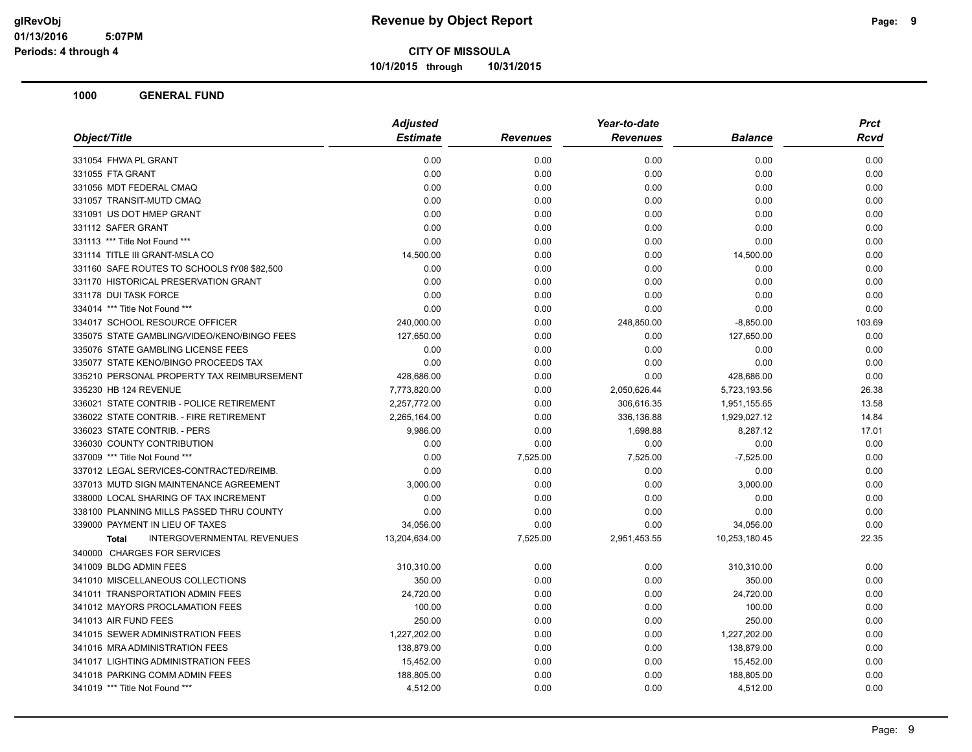**10/1/2015 through 10/31/2015**

| Object/Title                                      | <b>Adjusted</b> |                 | Year-to-date    |                | Prct   |
|---------------------------------------------------|-----------------|-----------------|-----------------|----------------|--------|
|                                                   | <b>Estimate</b> | <b>Revenues</b> | <b>Revenues</b> | <b>Balance</b> | Rcvd   |
| 331054 FHWA PL GRANT                              | 0.00            | 0.00            | 0.00            | 0.00           | 0.00   |
| 331055 FTA GRANT                                  | 0.00            | 0.00            | 0.00            | 0.00           | 0.00   |
| 331056 MDT FEDERAL CMAQ                           | 0.00            | 0.00            | 0.00            | 0.00           | 0.00   |
| 331057 TRANSIT-MUTD CMAQ                          | 0.00            | 0.00            | 0.00            | 0.00           | 0.00   |
| 331091 US DOT HMEP GRANT                          | 0.00            | 0.00            | 0.00            | 0.00           | 0.00   |
| 331112 SAFER GRANT                                | 0.00            | 0.00            | 0.00            | 0.00           | 0.00   |
| 331113 *** Title Not Found ***                    | 0.00            | 0.00            | 0.00            | 0.00           | 0.00   |
| 331114 TITLE III GRANT-MSLA CO                    | 14,500.00       | 0.00            | 0.00            | 14,500.00      | 0.00   |
| 331160 SAFE ROUTES TO SCHOOLS fY08 \$82,500       | 0.00            | 0.00            | 0.00            | 0.00           | 0.00   |
| 331170 HISTORICAL PRESERVATION GRANT              | 0.00            | 0.00            | 0.00            | 0.00           | 0.00   |
| 331178 DUI TASK FORCE                             | 0.00            | 0.00            | 0.00            | 0.00           | 0.00   |
| 334014 *** Title Not Found ***                    | 0.00            | 0.00            | 0.00            | 0.00           | 0.00   |
| 334017 SCHOOL RESOURCE OFFICER                    | 240,000.00      | 0.00            | 248,850.00      | $-8,850.00$    | 103.69 |
| 335075 STATE GAMBLING/VIDEO/KENO/BINGO FEES       | 127,650.00      | 0.00            | 0.00            | 127,650.00     | 0.00   |
| 335076 STATE GAMBLING LICENSE FEES                | 0.00            | 0.00            | 0.00            | 0.00           | 0.00   |
| 335077 STATE KENO/BINGO PROCEEDS TAX              | 0.00            | 0.00            | 0.00            | 0.00           | 0.00   |
| 335210 PERSONAL PROPERTY TAX REIMBURSEMENT        | 428,686.00      | 0.00            | 0.00            | 428,686.00     | 0.00   |
| 335230 HB 124 REVENUE                             | 7,773,820.00    | 0.00            | 2,050,626.44    | 5,723,193.56   | 26.38  |
| 336021 STATE CONTRIB - POLICE RETIREMENT          | 2,257,772.00    | 0.00            | 306,616.35      | 1,951,155.65   | 13.58  |
| 336022 STATE CONTRIB. - FIRE RETIREMENT           | 2,265,164.00    | 0.00            | 336,136.88      | 1,929,027.12   | 14.84  |
| 336023 STATE CONTRIB. - PERS                      | 9,986.00        | 0.00            | 1,698.88        | 8,287.12       | 17.01  |
| 336030 COUNTY CONTRIBUTION                        | 0.00            | 0.00            | 0.00            | 0.00           | 0.00   |
| 337009 *** Title Not Found ***                    | 0.00            | 7,525.00        | 7,525.00        | $-7,525.00$    | 0.00   |
| 337012 LEGAL SERVICES-CONTRACTED/REIMB.           | 0.00            | 0.00            | 0.00            | 0.00           | 0.00   |
| 337013 MUTD SIGN MAINTENANCE AGREEMENT            | 3,000.00        | 0.00            | 0.00            | 3,000.00       | 0.00   |
| 338000 LOCAL SHARING OF TAX INCREMENT             | 0.00            | 0.00            | 0.00            | 0.00           | 0.00   |
| 338100 PLANNING MILLS PASSED THRU COUNTY          | 0.00            | 0.00            | 0.00            | 0.00           | 0.00   |
| 339000 PAYMENT IN LIEU OF TAXES                   | 34,056.00       | 0.00            | 0.00            | 34,056.00      | 0.00   |
| <b>INTERGOVERNMENTAL REVENUES</b><br><b>Total</b> | 13,204,634.00   | 7,525.00        | 2,951,453.55    | 10,253,180.45  | 22.35  |
| 340000 CHARGES FOR SERVICES                       |                 |                 |                 |                |        |
| 341009 BLDG ADMIN FEES                            | 310,310.00      | 0.00            | 0.00            | 310,310.00     | 0.00   |
| 341010 MISCELLANEOUS COLLECTIONS                  | 350.00          | 0.00            | 0.00            | 350.00         | 0.00   |
| 341011 TRANSPORTATION ADMIN FEES                  | 24,720.00       | 0.00            | 0.00            | 24,720.00      | 0.00   |
| 341012 MAYORS PROCLAMATION FEES                   | 100.00          | 0.00            | 0.00            | 100.00         | 0.00   |
| 341013 AIR FUND FEES                              | 250.00          | 0.00            | 0.00            | 250.00         | 0.00   |
| 341015 SEWER ADMINISTRATION FEES                  | 1,227,202.00    | 0.00            | 0.00            | 1,227,202.00   | 0.00   |
| 341016 MRA ADMINISTRATION FEES                    | 138,879.00      | 0.00            | 0.00            | 138,879.00     | 0.00   |
| 341017 LIGHTING ADMINISTRATION FEES               | 15,452.00       | 0.00            | 0.00            | 15,452.00      | 0.00   |
| 341018 PARKING COMM ADMIN FEES                    | 188,805.00      | 0.00            | 0.00            | 188,805.00     | 0.00   |
| 341019 *** Title Not Found ***                    | 4,512.00        | 0.00            | 0.00            | 4,512.00       | 0.00   |
|                                                   |                 |                 |                 |                |        |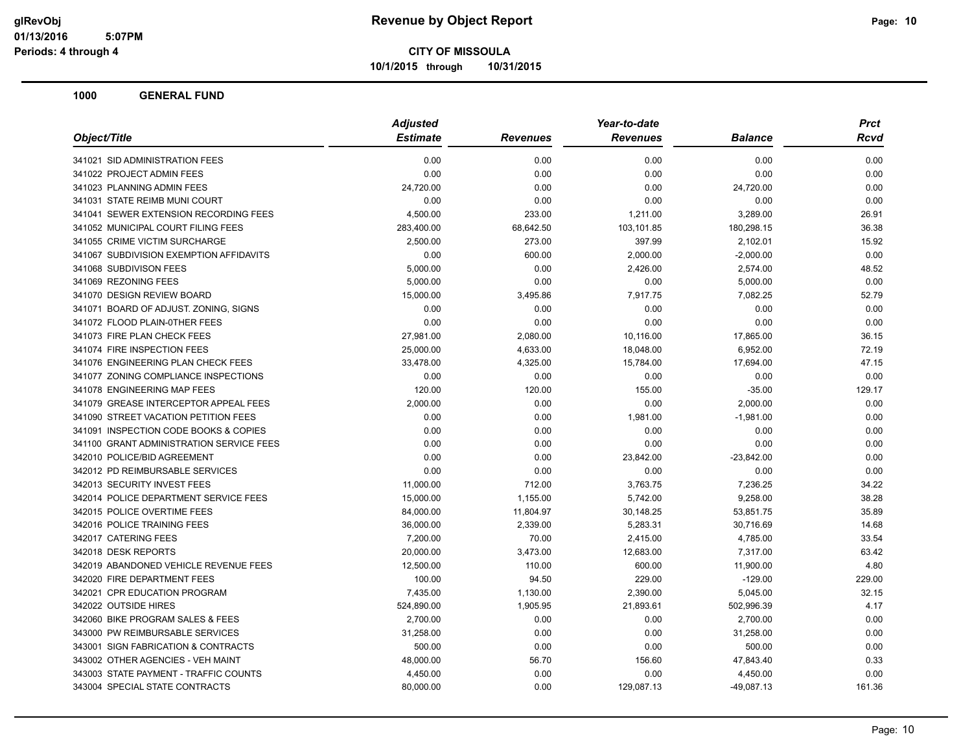**10/1/2015 through 10/31/2015**

| <b>Estimate</b><br><b>Revenues</b><br><b>Revenues</b><br><b>Balance</b><br>0.00<br>0.00<br>0.00<br>0.00<br>0.00<br>0.00<br>0.00<br>0.00<br>0.00<br>0.00<br>24,720.00<br>24,720.00<br>0.00<br>0.00<br>0.00<br>0.00<br>4,500.00<br>233.00<br>1,211.00<br>3,289.00<br>26.91<br>283,400.00<br>68,642.50<br>103,101.85<br>180,298.15<br>2,500.00<br>273.00<br>397.99<br>2,102.01<br>0.00<br>600.00<br>2,000.00<br>$-2,000.00$<br>5,000.00<br>0.00<br>2,426.00<br>2,574.00<br>5,000.00<br>0.00<br>0.00<br>5,000.00<br>15,000.00<br>3,495.86<br>7,917.75<br>7,082.25<br>0.00<br>0.00<br>0.00<br>0.00<br>0.00<br>0.00<br>0.00<br>0.00<br>27,981.00<br>2,080.00<br>10,116.00<br>17,865.00<br>25,000.00<br>4,633.00<br>18,048.00<br>6,952.00<br>33,478.00<br>4,325.00<br>15,784.00<br>17,694.00<br>0.00<br>0.00<br>0.00<br>0.00<br>120.00<br>120.00<br>155.00<br>$-35.00$<br>2,000.00<br>0.00<br>0.00<br>2,000.00<br>0.00<br>0.00<br>1,981.00<br>$-1,981.00$<br>0.00<br>0.00<br>0.00<br>0.00<br>0.00<br>0.00<br>0.00<br>0.00<br>23,842.00<br>$-23,842.00$<br>0.00<br>0.00<br>0.00<br>0.00<br>0.00<br>0.00<br>3,763.75<br>11,000.00<br>712.00<br>7,236.25<br>15,000.00<br>1,155.00<br>5,742.00<br>9,258.00<br>84,000.00<br>11,804.97<br>30,148.25<br>53,851.75<br>2,339.00<br>5,283.31<br>30,716.69<br>36,000.00<br>7,200.00<br>70.00<br>2,415.00<br>4,785.00<br>3,473.00<br>20,000.00<br>12,683.00<br>7,317.00<br>12,500.00<br>110.00<br>600.00<br>11,900.00<br>100.00<br>94.50<br>229.00<br>$-129.00$<br>7,435.00<br>1,130.00<br>2,390.00<br>5,045.00<br>524,890.00<br>1,905.95<br>21,893.61<br>502,996.39<br>2,700.00<br>0.00<br>0.00<br>2,700.00<br>0.00<br>31,258.00<br>0.00<br>31,258.00<br>500.00<br>0.00<br>0.00<br>500.00<br>48,000.00<br>56.70<br>156.60<br>47,843.40 | Object/Title                             | <b>Adjusted</b> |      | Year-to-date |          | <b>Prct</b> |
|----------------------------------------------------------------------------------------------------------------------------------------------------------------------------------------------------------------------------------------------------------------------------------------------------------------------------------------------------------------------------------------------------------------------------------------------------------------------------------------------------------------------------------------------------------------------------------------------------------------------------------------------------------------------------------------------------------------------------------------------------------------------------------------------------------------------------------------------------------------------------------------------------------------------------------------------------------------------------------------------------------------------------------------------------------------------------------------------------------------------------------------------------------------------------------------------------------------------------------------------------------------------------------------------------------------------------------------------------------------------------------------------------------------------------------------------------------------------------------------------------------------------------------------------------------------------------------------------------------------------------------------------------------------------------------------------------------------------------------------------------------------------|------------------------------------------|-----------------|------|--------------|----------|-------------|
|                                                                                                                                                                                                                                                                                                                                                                                                                                                                                                                                                                                                                                                                                                                                                                                                                                                                                                                                                                                                                                                                                                                                                                                                                                                                                                                                                                                                                                                                                                                                                                                                                                                                                                                                                                      |                                          |                 |      |              |          | <b>Rcvd</b> |
|                                                                                                                                                                                                                                                                                                                                                                                                                                                                                                                                                                                                                                                                                                                                                                                                                                                                                                                                                                                                                                                                                                                                                                                                                                                                                                                                                                                                                                                                                                                                                                                                                                                                                                                                                                      | 341021 SID ADMINISTRATION FEES           |                 |      |              |          | 0.00        |
|                                                                                                                                                                                                                                                                                                                                                                                                                                                                                                                                                                                                                                                                                                                                                                                                                                                                                                                                                                                                                                                                                                                                                                                                                                                                                                                                                                                                                                                                                                                                                                                                                                                                                                                                                                      | 341022 PROJECT ADMIN FEES                |                 |      |              |          | 0.00        |
|                                                                                                                                                                                                                                                                                                                                                                                                                                                                                                                                                                                                                                                                                                                                                                                                                                                                                                                                                                                                                                                                                                                                                                                                                                                                                                                                                                                                                                                                                                                                                                                                                                                                                                                                                                      | 341023 PLANNING ADMIN FEES               |                 |      |              |          | 0.00        |
|                                                                                                                                                                                                                                                                                                                                                                                                                                                                                                                                                                                                                                                                                                                                                                                                                                                                                                                                                                                                                                                                                                                                                                                                                                                                                                                                                                                                                                                                                                                                                                                                                                                                                                                                                                      | 341031 STATE REIMB MUNI COURT            |                 |      |              |          | 0.00        |
|                                                                                                                                                                                                                                                                                                                                                                                                                                                                                                                                                                                                                                                                                                                                                                                                                                                                                                                                                                                                                                                                                                                                                                                                                                                                                                                                                                                                                                                                                                                                                                                                                                                                                                                                                                      | 341041 SEWER EXTENSION RECORDING FEES    |                 |      |              |          |             |
|                                                                                                                                                                                                                                                                                                                                                                                                                                                                                                                                                                                                                                                                                                                                                                                                                                                                                                                                                                                                                                                                                                                                                                                                                                                                                                                                                                                                                                                                                                                                                                                                                                                                                                                                                                      | 341052 MUNICIPAL COURT FILING FEES       |                 |      |              |          | 36.38       |
|                                                                                                                                                                                                                                                                                                                                                                                                                                                                                                                                                                                                                                                                                                                                                                                                                                                                                                                                                                                                                                                                                                                                                                                                                                                                                                                                                                                                                                                                                                                                                                                                                                                                                                                                                                      | 341055 CRIME VICTIM SURCHARGE            |                 |      |              |          | 15.92       |
|                                                                                                                                                                                                                                                                                                                                                                                                                                                                                                                                                                                                                                                                                                                                                                                                                                                                                                                                                                                                                                                                                                                                                                                                                                                                                                                                                                                                                                                                                                                                                                                                                                                                                                                                                                      | 341067 SUBDIVISION EXEMPTION AFFIDAVITS  |                 |      |              |          | 0.00        |
|                                                                                                                                                                                                                                                                                                                                                                                                                                                                                                                                                                                                                                                                                                                                                                                                                                                                                                                                                                                                                                                                                                                                                                                                                                                                                                                                                                                                                                                                                                                                                                                                                                                                                                                                                                      | 341068 SUBDIVISON FEES                   |                 |      |              |          | 48.52       |
|                                                                                                                                                                                                                                                                                                                                                                                                                                                                                                                                                                                                                                                                                                                                                                                                                                                                                                                                                                                                                                                                                                                                                                                                                                                                                                                                                                                                                                                                                                                                                                                                                                                                                                                                                                      | 341069 REZONING FEES                     |                 |      |              |          | 0.00        |
|                                                                                                                                                                                                                                                                                                                                                                                                                                                                                                                                                                                                                                                                                                                                                                                                                                                                                                                                                                                                                                                                                                                                                                                                                                                                                                                                                                                                                                                                                                                                                                                                                                                                                                                                                                      | 341070 DESIGN REVIEW BOARD               |                 |      |              |          | 52.79       |
|                                                                                                                                                                                                                                                                                                                                                                                                                                                                                                                                                                                                                                                                                                                                                                                                                                                                                                                                                                                                                                                                                                                                                                                                                                                                                                                                                                                                                                                                                                                                                                                                                                                                                                                                                                      | 341071 BOARD OF ADJUST. ZONING, SIGNS    |                 |      |              |          | 0.00        |
|                                                                                                                                                                                                                                                                                                                                                                                                                                                                                                                                                                                                                                                                                                                                                                                                                                                                                                                                                                                                                                                                                                                                                                                                                                                                                                                                                                                                                                                                                                                                                                                                                                                                                                                                                                      | 341072 FLOOD PLAIN-0THER FEES            |                 |      |              |          | 0.00        |
|                                                                                                                                                                                                                                                                                                                                                                                                                                                                                                                                                                                                                                                                                                                                                                                                                                                                                                                                                                                                                                                                                                                                                                                                                                                                                                                                                                                                                                                                                                                                                                                                                                                                                                                                                                      | 341073 FIRE PLAN CHECK FEES              |                 |      |              |          | 36.15       |
|                                                                                                                                                                                                                                                                                                                                                                                                                                                                                                                                                                                                                                                                                                                                                                                                                                                                                                                                                                                                                                                                                                                                                                                                                                                                                                                                                                                                                                                                                                                                                                                                                                                                                                                                                                      | 341074 FIRE INSPECTION FEES              |                 |      |              |          | 72.19       |
|                                                                                                                                                                                                                                                                                                                                                                                                                                                                                                                                                                                                                                                                                                                                                                                                                                                                                                                                                                                                                                                                                                                                                                                                                                                                                                                                                                                                                                                                                                                                                                                                                                                                                                                                                                      | 341076 ENGINEERING PLAN CHECK FEES       |                 |      |              |          | 47.15       |
|                                                                                                                                                                                                                                                                                                                                                                                                                                                                                                                                                                                                                                                                                                                                                                                                                                                                                                                                                                                                                                                                                                                                                                                                                                                                                                                                                                                                                                                                                                                                                                                                                                                                                                                                                                      | 341077 ZONING COMPLIANCE INSPECTIONS     |                 |      |              |          | 0.00        |
|                                                                                                                                                                                                                                                                                                                                                                                                                                                                                                                                                                                                                                                                                                                                                                                                                                                                                                                                                                                                                                                                                                                                                                                                                                                                                                                                                                                                                                                                                                                                                                                                                                                                                                                                                                      | 341078 ENGINEERING MAP FEES              |                 |      |              |          | 129.17      |
|                                                                                                                                                                                                                                                                                                                                                                                                                                                                                                                                                                                                                                                                                                                                                                                                                                                                                                                                                                                                                                                                                                                                                                                                                                                                                                                                                                                                                                                                                                                                                                                                                                                                                                                                                                      | 341079 GREASE INTERCEPTOR APPEAL FEES    |                 |      |              |          | 0.00        |
|                                                                                                                                                                                                                                                                                                                                                                                                                                                                                                                                                                                                                                                                                                                                                                                                                                                                                                                                                                                                                                                                                                                                                                                                                                                                                                                                                                                                                                                                                                                                                                                                                                                                                                                                                                      | 341090 STREET VACATION PETITION FEES     |                 |      |              |          | 0.00        |
|                                                                                                                                                                                                                                                                                                                                                                                                                                                                                                                                                                                                                                                                                                                                                                                                                                                                                                                                                                                                                                                                                                                                                                                                                                                                                                                                                                                                                                                                                                                                                                                                                                                                                                                                                                      | 341091 INSPECTION CODE BOOKS & COPIES    |                 |      |              |          | 0.00        |
|                                                                                                                                                                                                                                                                                                                                                                                                                                                                                                                                                                                                                                                                                                                                                                                                                                                                                                                                                                                                                                                                                                                                                                                                                                                                                                                                                                                                                                                                                                                                                                                                                                                                                                                                                                      | 341100 GRANT ADMINISTRATION SERVICE FEES |                 |      |              |          | 0.00        |
|                                                                                                                                                                                                                                                                                                                                                                                                                                                                                                                                                                                                                                                                                                                                                                                                                                                                                                                                                                                                                                                                                                                                                                                                                                                                                                                                                                                                                                                                                                                                                                                                                                                                                                                                                                      | 342010 POLICE/BID AGREEMENT              |                 |      |              |          | 0.00        |
|                                                                                                                                                                                                                                                                                                                                                                                                                                                                                                                                                                                                                                                                                                                                                                                                                                                                                                                                                                                                                                                                                                                                                                                                                                                                                                                                                                                                                                                                                                                                                                                                                                                                                                                                                                      | 342012 PD REIMBURSABLE SERVICES          |                 |      |              |          | 0.00        |
|                                                                                                                                                                                                                                                                                                                                                                                                                                                                                                                                                                                                                                                                                                                                                                                                                                                                                                                                                                                                                                                                                                                                                                                                                                                                                                                                                                                                                                                                                                                                                                                                                                                                                                                                                                      | 342013 SECURITY INVEST FEES              |                 |      |              |          | 34.22       |
|                                                                                                                                                                                                                                                                                                                                                                                                                                                                                                                                                                                                                                                                                                                                                                                                                                                                                                                                                                                                                                                                                                                                                                                                                                                                                                                                                                                                                                                                                                                                                                                                                                                                                                                                                                      | 342014 POLICE DEPARTMENT SERVICE FEES    |                 |      |              |          | 38.28       |
|                                                                                                                                                                                                                                                                                                                                                                                                                                                                                                                                                                                                                                                                                                                                                                                                                                                                                                                                                                                                                                                                                                                                                                                                                                                                                                                                                                                                                                                                                                                                                                                                                                                                                                                                                                      | 342015 POLICE OVERTIME FEES              |                 |      |              |          | 35.89       |
|                                                                                                                                                                                                                                                                                                                                                                                                                                                                                                                                                                                                                                                                                                                                                                                                                                                                                                                                                                                                                                                                                                                                                                                                                                                                                                                                                                                                                                                                                                                                                                                                                                                                                                                                                                      | 342016 POLICE TRAINING FEES              |                 |      |              |          | 14.68       |
|                                                                                                                                                                                                                                                                                                                                                                                                                                                                                                                                                                                                                                                                                                                                                                                                                                                                                                                                                                                                                                                                                                                                                                                                                                                                                                                                                                                                                                                                                                                                                                                                                                                                                                                                                                      | 342017 CATERING FEES                     |                 |      |              |          | 33.54       |
|                                                                                                                                                                                                                                                                                                                                                                                                                                                                                                                                                                                                                                                                                                                                                                                                                                                                                                                                                                                                                                                                                                                                                                                                                                                                                                                                                                                                                                                                                                                                                                                                                                                                                                                                                                      | 342018 DESK REPORTS                      |                 |      |              |          | 63.42       |
|                                                                                                                                                                                                                                                                                                                                                                                                                                                                                                                                                                                                                                                                                                                                                                                                                                                                                                                                                                                                                                                                                                                                                                                                                                                                                                                                                                                                                                                                                                                                                                                                                                                                                                                                                                      | 342019 ABANDONED VEHICLE REVENUE FEES    |                 |      |              |          | 4.80        |
|                                                                                                                                                                                                                                                                                                                                                                                                                                                                                                                                                                                                                                                                                                                                                                                                                                                                                                                                                                                                                                                                                                                                                                                                                                                                                                                                                                                                                                                                                                                                                                                                                                                                                                                                                                      | 342020 FIRE DEPARTMENT FEES              |                 |      |              |          | 229.00      |
|                                                                                                                                                                                                                                                                                                                                                                                                                                                                                                                                                                                                                                                                                                                                                                                                                                                                                                                                                                                                                                                                                                                                                                                                                                                                                                                                                                                                                                                                                                                                                                                                                                                                                                                                                                      | 342021 CPR EDUCATION PROGRAM             |                 |      |              |          | 32.15       |
|                                                                                                                                                                                                                                                                                                                                                                                                                                                                                                                                                                                                                                                                                                                                                                                                                                                                                                                                                                                                                                                                                                                                                                                                                                                                                                                                                                                                                                                                                                                                                                                                                                                                                                                                                                      | 342022 OUTSIDE HIRES                     |                 |      |              |          | 4.17        |
|                                                                                                                                                                                                                                                                                                                                                                                                                                                                                                                                                                                                                                                                                                                                                                                                                                                                                                                                                                                                                                                                                                                                                                                                                                                                                                                                                                                                                                                                                                                                                                                                                                                                                                                                                                      | 342060 BIKE PROGRAM SALES & FEES         |                 |      |              |          | 0.00        |
|                                                                                                                                                                                                                                                                                                                                                                                                                                                                                                                                                                                                                                                                                                                                                                                                                                                                                                                                                                                                                                                                                                                                                                                                                                                                                                                                                                                                                                                                                                                                                                                                                                                                                                                                                                      | 343000 PW REIMBURSABLE SERVICES          |                 |      |              |          | 0.00        |
|                                                                                                                                                                                                                                                                                                                                                                                                                                                                                                                                                                                                                                                                                                                                                                                                                                                                                                                                                                                                                                                                                                                                                                                                                                                                                                                                                                                                                                                                                                                                                                                                                                                                                                                                                                      | 343001 SIGN FABRICATION & CONTRACTS      |                 |      |              |          | 0.00        |
|                                                                                                                                                                                                                                                                                                                                                                                                                                                                                                                                                                                                                                                                                                                                                                                                                                                                                                                                                                                                                                                                                                                                                                                                                                                                                                                                                                                                                                                                                                                                                                                                                                                                                                                                                                      | 343002 OTHER AGENCIES - VEH MAINT        |                 |      |              |          | 0.33        |
|                                                                                                                                                                                                                                                                                                                                                                                                                                                                                                                                                                                                                                                                                                                                                                                                                                                                                                                                                                                                                                                                                                                                                                                                                                                                                                                                                                                                                                                                                                                                                                                                                                                                                                                                                                      | 343003 STATE PAYMENT - TRAFFIC COUNTS    | 4,450.00        | 0.00 | 0.00         | 4,450.00 | 0.00        |
| 0.00<br>80,000.00<br>129,087.13<br>$-49,087.13$                                                                                                                                                                                                                                                                                                                                                                                                                                                                                                                                                                                                                                                                                                                                                                                                                                                                                                                                                                                                                                                                                                                                                                                                                                                                                                                                                                                                                                                                                                                                                                                                                                                                                                                      | 343004 SPECIAL STATE CONTRACTS           |                 |      |              |          | 161.36      |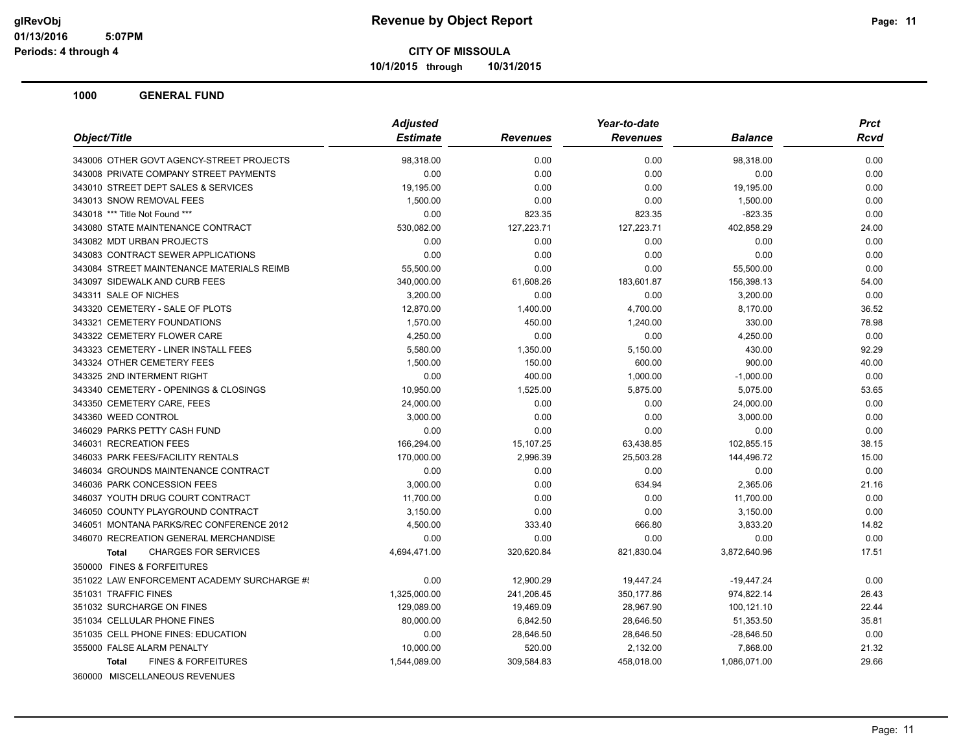**10/1/2015 through 10/31/2015**

|                                                | <b>Adjusted</b> |                 | Year-to-date    |                | <b>Prct</b> |
|------------------------------------------------|-----------------|-----------------|-----------------|----------------|-------------|
| Object/Title                                   | <b>Estimate</b> | <b>Revenues</b> | <b>Revenues</b> | <b>Balance</b> | <b>Rcvd</b> |
| 343006 OTHER GOVT AGENCY-STREET PROJECTS       | 98,318.00       | 0.00            | 0.00            | 98,318.00      | 0.00        |
| 343008 PRIVATE COMPANY STREET PAYMENTS         | 0.00            | 0.00            | 0.00            | 0.00           | 0.00        |
| 343010 STREET DEPT SALES & SERVICES            | 19,195.00       | 0.00            | 0.00            | 19,195.00      | 0.00        |
| 343013 SNOW REMOVAL FEES                       | 1,500.00        | 0.00            | 0.00            | 1,500.00       | 0.00        |
| 343018 *** Title Not Found ***                 | 0.00            | 823.35          | 823.35          | $-823.35$      | 0.00        |
| 343080 STATE MAINTENANCE CONTRACT              | 530,082.00      | 127,223.71      | 127,223.71      | 402,858.29     | 24.00       |
| 343082 MDT URBAN PROJECTS                      | 0.00            | 0.00            | 0.00            | 0.00           | 0.00        |
| 343083 CONTRACT SEWER APPLICATIONS             | 0.00            | 0.00            | 0.00            | 0.00           | 0.00        |
| 343084 STREET MAINTENANCE MATERIALS REIMB      | 55,500.00       | 0.00            | 0.00            | 55,500.00      | 0.00        |
| 343097 SIDEWALK AND CURB FEES                  | 340,000.00      | 61,608.26       | 183,601.87      | 156,398.13     | 54.00       |
| 343311 SALE OF NICHES                          | 3,200.00        | 0.00            | 0.00            | 3,200.00       | 0.00        |
| 343320 CEMETERY - SALE OF PLOTS                | 12,870.00       | 1,400.00        | 4,700.00        | 8,170.00       | 36.52       |
| 343321 CEMETERY FOUNDATIONS                    | 1,570.00        | 450.00          | 1,240.00        | 330.00         | 78.98       |
| 343322 CEMETERY FLOWER CARE                    | 4,250.00        | 0.00            | 0.00            | 4,250.00       | 0.00        |
| 343323 CEMETERY - LINER INSTALL FEES           | 5.580.00        | 1,350.00        | 5,150.00        | 430.00         | 92.29       |
| 343324 OTHER CEMETERY FEES                     | 1,500.00        | 150.00          | 600.00          | 900.00         | 40.00       |
| 343325 2ND INTERMENT RIGHT                     | 0.00            | 400.00          | 1,000.00        | $-1,000.00$    | 0.00        |
| 343340 CEMETERY - OPENINGS & CLOSINGS          | 10,950.00       | 1,525.00        | 5,875.00        | 5,075.00       | 53.65       |
| 343350 CEMETERY CARE, FEES                     | 24,000.00       | 0.00            | 0.00            | 24,000.00      | 0.00        |
| 343360 WEED CONTROL                            | 3,000.00        | 0.00            | 0.00            | 3,000.00       | 0.00        |
| 346029 PARKS PETTY CASH FUND                   | 0.00            | 0.00            | 0.00            | 0.00           | 0.00        |
| 346031 RECREATION FEES                         | 166,294.00      | 15,107.25       | 63,438.85       | 102,855.15     | 38.15       |
| 346033 PARK FEES/FACILITY RENTALS              | 170,000.00      | 2,996.39        | 25,503.28       | 144,496.72     | 15.00       |
| 346034 GROUNDS MAINTENANCE CONTRACT            | 0.00            | 0.00            | 0.00            | 0.00           | 0.00        |
| 346036 PARK CONCESSION FEES                    | 3,000.00        | 0.00            | 634.94          | 2,365.06       | 21.16       |
| 346037 YOUTH DRUG COURT CONTRACT               | 11,700.00       | 0.00            | 0.00            | 11,700.00      | 0.00        |
| 346050 COUNTY PLAYGROUND CONTRACT              | 3,150.00        | 0.00            | 0.00            | 3,150.00       | 0.00        |
| 346051 MONTANA PARKS/REC CONFERENCE 2012       | 4,500.00        | 333.40          | 666.80          | 3,833.20       | 14.82       |
| 346070 RECREATION GENERAL MERCHANDISE          | 0.00            | 0.00            | 0.00            | 0.00           | 0.00        |
| <b>CHARGES FOR SERVICES</b><br><b>Total</b>    | 4,694,471.00    | 320,620.84      | 821,830.04      | 3,872,640.96   | 17.51       |
| 350000 FINES & FORFEITURES                     |                 |                 |                 |                |             |
| 351022 LAW ENFORCEMENT ACADEMY SURCHARGE #!    | 0.00            | 12,900.29       | 19,447.24       | $-19,447.24$   | 0.00        |
| 351031 TRAFFIC FINES                           | 1,325,000.00    | 241,206.45      | 350,177.86      | 974,822.14     | 26.43       |
| 351032 SURCHARGE ON FINES                      | 129,089.00      | 19,469.09       | 28,967.90       | 100,121.10     | 22.44       |
| 351034 CELLULAR PHONE FINES                    | 80,000.00       | 6,842.50        | 28,646.50       | 51,353.50      | 35.81       |
| 351035 CELL PHONE FINES: EDUCATION             | 0.00            | 28,646.50       | 28,646.50       | $-28,646.50$   | 0.00        |
| 355000 FALSE ALARM PENALTY                     | 10,000.00       | 520.00          | 2,132.00        | 7,868.00       | 21.32       |
| <b>FINES &amp; FORFEITURES</b><br><b>Total</b> | 1,544,089.00    | 309,584.83      | 458,018.00      | 1,086,071.00   | 29.66       |
| 360000 MISCELLANEOUS REVENUES                  |                 |                 |                 |                |             |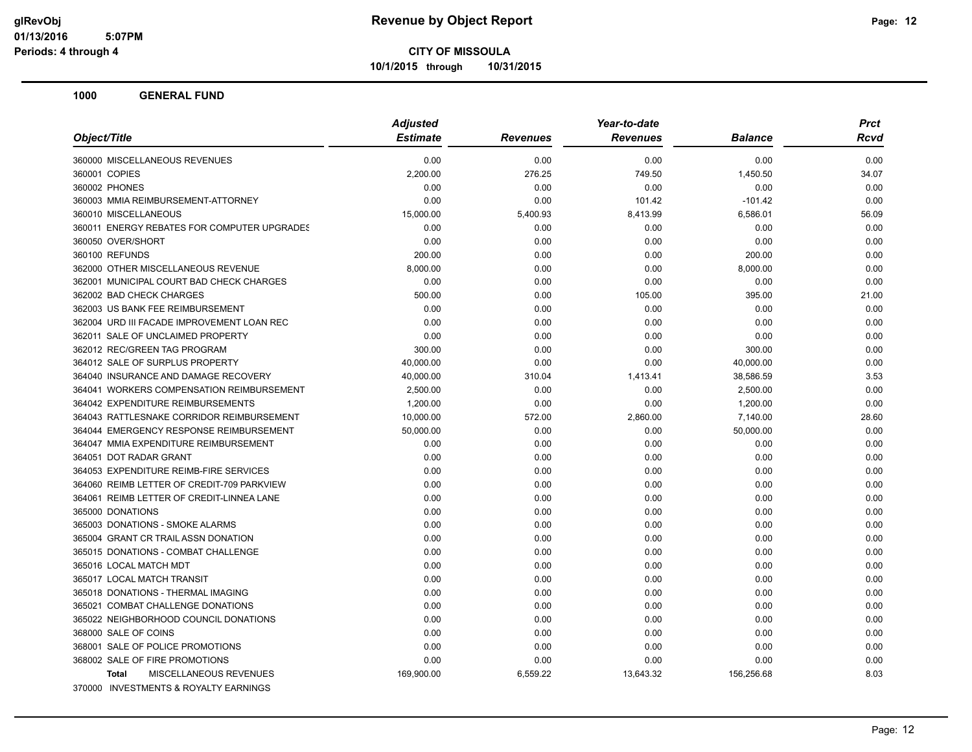**10/1/2015 through 10/31/2015**

| Object/Title                                | <b>Adjusted</b> |                 | Year-to-date    |                | <b>Prct</b> |  |
|---------------------------------------------|-----------------|-----------------|-----------------|----------------|-------------|--|
|                                             | <b>Estimate</b> | <b>Revenues</b> | <b>Revenues</b> | <b>Balance</b> | Rcvd        |  |
| 360000 MISCELLANEOUS REVENUES               | 0.00            | 0.00            | 0.00            | 0.00           | 0.00        |  |
| 360001 COPIES                               | 2,200.00        | 276.25          | 749.50          | 1,450.50       | 34.07       |  |
| 360002 PHONES                               | 0.00            | 0.00            | 0.00            | 0.00           | 0.00        |  |
| 360003 MMIA REIMBURSEMENT-ATTORNEY          | 0.00            | 0.00            | 101.42          | $-101.42$      | 0.00        |  |
| 360010 MISCELLANEOUS                        | 15,000.00       | 5,400.93        | 8,413.99        | 6,586.01       | 56.09       |  |
| 360011 ENERGY REBATES FOR COMPUTER UPGRADES | 0.00            | 0.00            | 0.00            | 0.00           | 0.00        |  |
| 360050 OVER/SHORT                           | 0.00            | 0.00            | 0.00            | 0.00           | 0.00        |  |
| 360100 REFUNDS                              | 200.00          | 0.00            | 0.00            | 200.00         | 0.00        |  |
| 362000 OTHER MISCELLANEOUS REVENUE          | 8,000.00        | 0.00            | 0.00            | 8,000.00       | 0.00        |  |
| 362001 MUNICIPAL COURT BAD CHECK CHARGES    | 0.00            | 0.00            | 0.00            | 0.00           | 0.00        |  |
| 362002 BAD CHECK CHARGES                    | 500.00          | 0.00            | 105.00          | 395.00         | 21.00       |  |
| 362003 US BANK FEE REIMBURSEMENT            | 0.00            | 0.00            | 0.00            | 0.00           | 0.00        |  |
| 362004 URD III FACADE IMPROVEMENT LOAN REC  | 0.00            | 0.00            | 0.00            | 0.00           | 0.00        |  |
| 362011 SALE OF UNCLAIMED PROPERTY           | 0.00            | 0.00            | 0.00            | 0.00           | 0.00        |  |
| 362012 REC/GREEN TAG PROGRAM                | 300.00          | 0.00            | 0.00            | 300.00         | 0.00        |  |
| 364012 SALE OF SURPLUS PROPERTY             | 40,000.00       | 0.00            | 0.00            | 40,000.00      | 0.00        |  |
| 364040 INSURANCE AND DAMAGE RECOVERY        | 40,000.00       | 310.04          | 1,413.41        | 38,586.59      | 3.53        |  |
| 364041 WORKERS COMPENSATION REIMBURSEMENT   | 2.500.00        | 0.00            | 0.00            | 2,500.00       | 0.00        |  |
| 364042 EXPENDITURE REIMBURSEMENTS           | 1,200.00        | 0.00            | 0.00            | 1,200.00       | 0.00        |  |
| 364043 RATTLESNAKE CORRIDOR REIMBURSEMENT   | 10,000.00       | 572.00          | 2,860.00        | 7,140.00       | 28.60       |  |
| 364044 EMERGENCY RESPONSE REIMBURSEMENT     | 50,000.00       | 0.00            | 0.00            | 50,000.00      | 0.00        |  |
| 364047 MMIA EXPENDITURE REIMBURSEMENT       | 0.00            | 0.00            | 0.00            | 0.00           | 0.00        |  |
| 364051 DOT RADAR GRANT                      | 0.00            | 0.00            | 0.00            | 0.00           | 0.00        |  |
| 364053 EXPENDITURE REIMB-FIRE SERVICES      | 0.00            | 0.00            | 0.00            | 0.00           | 0.00        |  |
| 364060 REIMB LETTER OF CREDIT-709 PARKVIEW  | 0.00            | 0.00            | 0.00            | 0.00           | 0.00        |  |
| 364061 REIMB LETTER OF CREDIT-LINNEA LANE   | 0.00            | 0.00            | 0.00            | 0.00           | 0.00        |  |
| 365000 DONATIONS                            | 0.00            | 0.00            | 0.00            | 0.00           | 0.00        |  |
| 365003 DONATIONS - SMOKE ALARMS             | 0.00            | 0.00            | 0.00            | 0.00           | 0.00        |  |
| 365004 GRANT CR TRAIL ASSN DONATION         | 0.00            | 0.00            | 0.00            | 0.00           | 0.00        |  |
| 365015 DONATIONS - COMBAT CHALLENGE         | 0.00            | 0.00            | 0.00            | 0.00           | 0.00        |  |
| 365016 LOCAL MATCH MDT                      | 0.00            | 0.00            | 0.00            | 0.00           | 0.00        |  |
| 365017 LOCAL MATCH TRANSIT                  | 0.00            | 0.00            | 0.00            | 0.00           | 0.00        |  |
| 365018 DONATIONS - THERMAL IMAGING          | 0.00            | 0.00            | 0.00            | 0.00           | 0.00        |  |
| 365021 COMBAT CHALLENGE DONATIONS           | 0.00            | 0.00            | 0.00            | 0.00           | 0.00        |  |
| 365022 NEIGHBORHOOD COUNCIL DONATIONS       | 0.00            | 0.00            | 0.00            | 0.00           | 0.00        |  |
| 368000 SALE OF COINS                        | 0.00            | 0.00            | 0.00            | 0.00           | 0.00        |  |
| 368001 SALE OF POLICE PROMOTIONS            | 0.00            | 0.00            | 0.00            | 0.00           | 0.00        |  |
| 368002 SALE OF FIRE PROMOTIONS              | 0.00            | 0.00            | 0.00            | 0.00           | 0.00        |  |
| MISCELLANEOUS REVENUES<br><b>Total</b>      | 169,900.00      | 6,559.22        | 13,643.32       | 156,256.68     | 8.03        |  |
| 370000 INVESTMENTS & ROYALTY EARNINGS       |                 |                 |                 |                |             |  |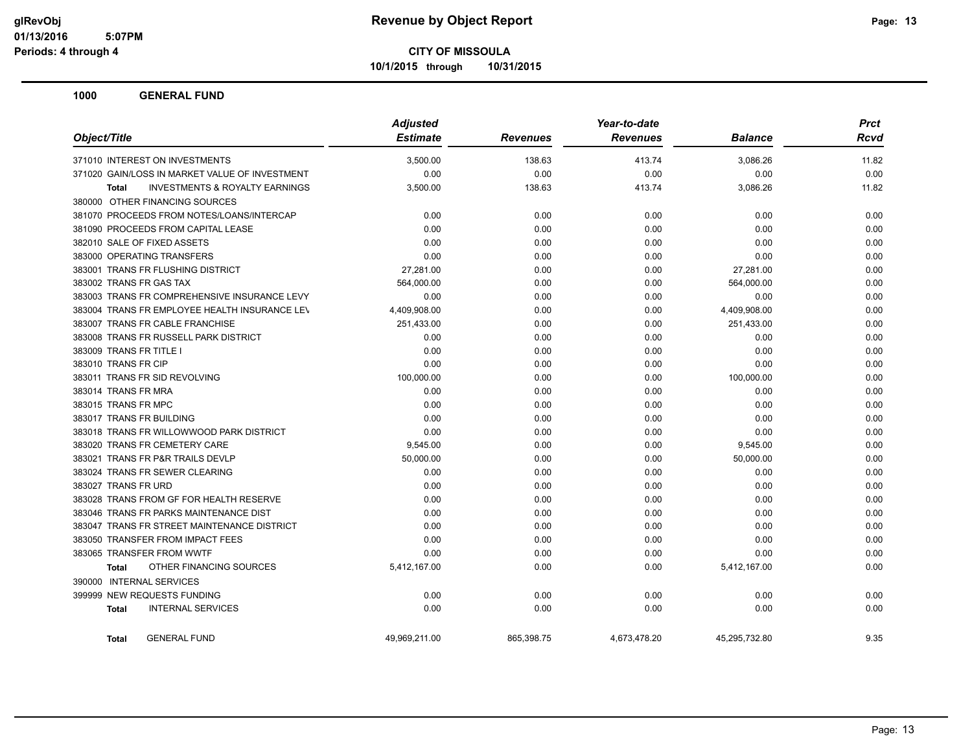**10/1/2015 through 10/31/2015**

|                                                           | <b>Adjusted</b> |                 | Year-to-date    |                | <b>Prct</b> |
|-----------------------------------------------------------|-----------------|-----------------|-----------------|----------------|-------------|
| Object/Title                                              | <b>Estimate</b> | <b>Revenues</b> | <b>Revenues</b> | <b>Balance</b> | <b>Rcvd</b> |
| 371010 INTEREST ON INVESTMENTS                            | 3,500.00        | 138.63          | 413.74          | 3,086.26       | 11.82       |
| 371020 GAIN/LOSS IN MARKET VALUE OF INVESTMENT            | 0.00            | 0.00            | 0.00            | 0.00           | 0.00        |
| <b>INVESTMENTS &amp; ROYALTY EARNINGS</b><br><b>Total</b> | 3,500.00        | 138.63          | 413.74          | 3,086.26       | 11.82       |
| 380000 OTHER FINANCING SOURCES                            |                 |                 |                 |                |             |
| 381070 PROCEEDS FROM NOTES/LOANS/INTERCAP                 | 0.00            | 0.00            | 0.00            | 0.00           | 0.00        |
| 381090 PROCEEDS FROM CAPITAL LEASE                        | 0.00            | 0.00            | 0.00            | 0.00           | 0.00        |
| 382010 SALE OF FIXED ASSETS                               | 0.00            | 0.00            | 0.00            | 0.00           | 0.00        |
| 383000 OPERATING TRANSFERS                                | 0.00            | 0.00            | 0.00            | 0.00           | 0.00        |
| 383001 TRANS FR FLUSHING DISTRICT                         | 27,281.00       | 0.00            | 0.00            | 27,281.00      | 0.00        |
| 383002 TRANS FR GAS TAX                                   | 564,000.00      | 0.00            | 0.00            | 564,000.00     | 0.00        |
| 383003 TRANS FR COMPREHENSIVE INSURANCE LEVY              | 0.00            | 0.00            | 0.00            | 0.00           | 0.00        |
| 383004 TRANS FR EMPLOYEE HEALTH INSURANCE LEV             | 4,409,908.00    | 0.00            | 0.00            | 4,409,908.00   | 0.00        |
| 383007 TRANS FR CABLE FRANCHISE                           | 251,433.00      | 0.00            | 0.00            | 251,433.00     | 0.00        |
| 383008 TRANS FR RUSSELL PARK DISTRICT                     | 0.00            | 0.00            | 0.00            | 0.00           | 0.00        |
| 383009 TRANS FR TITLE I                                   | 0.00            | 0.00            | 0.00            | 0.00           | 0.00        |
| 383010 TRANS FR CIP                                       | 0.00            | 0.00            | 0.00            | 0.00           | 0.00        |
| 383011 TRANS FR SID REVOLVING                             | 100,000.00      | 0.00            | 0.00            | 100,000.00     | 0.00        |
| 383014 TRANS FR MRA                                       | 0.00            | 0.00            | 0.00            | 0.00           | 0.00        |
| 383015 TRANS FR MPC                                       | 0.00            | 0.00            | 0.00            | 0.00           | 0.00        |
| 383017 TRANS FR BUILDING                                  | 0.00            | 0.00            | 0.00            | 0.00           | 0.00        |
| 383018 TRANS FR WILLOWWOOD PARK DISTRICT                  | 0.00            | 0.00            | 0.00            | 0.00           | 0.00        |
| 383020 TRANS FR CEMETERY CARE                             | 9,545.00        | 0.00            | 0.00            | 9,545.00       | 0.00        |
| 383021 TRANS FR P&R TRAILS DEVLP                          | 50,000.00       | 0.00            | 0.00            | 50,000.00      | 0.00        |
| 383024 TRANS FR SEWER CLEARING                            | 0.00            | 0.00            | 0.00            | 0.00           | 0.00        |
| 383027 TRANS FR URD                                       | 0.00            | 0.00            | 0.00            | 0.00           | 0.00        |
| 383028 TRANS FROM GF FOR HEALTH RESERVE                   | 0.00            | 0.00            | 0.00            | 0.00           | 0.00        |
| 383046 TRANS FR PARKS MAINTENANCE DIST                    | 0.00            | 0.00            | 0.00            | 0.00           | 0.00        |
| 383047 TRANS FR STREET MAINTENANCE DISTRICT               | 0.00            | 0.00            | 0.00            | 0.00           | 0.00        |
| 383050 TRANSFER FROM IMPACT FEES                          | 0.00            | 0.00            | 0.00            | 0.00           | 0.00        |
| 383065 TRANSFER FROM WWTF                                 | 0.00            | 0.00            | 0.00            | 0.00           | 0.00        |
| OTHER FINANCING SOURCES<br><b>Total</b>                   | 5,412,167.00    | 0.00            | 0.00            | 5,412,167.00   | 0.00        |
| 390000 INTERNAL SERVICES                                  |                 |                 |                 |                |             |
| 399999 NEW REQUESTS FUNDING                               | 0.00            | 0.00            | 0.00            | 0.00           | 0.00        |
| <b>INTERNAL SERVICES</b><br><b>Total</b>                  | 0.00            | 0.00            | 0.00            | 0.00           | 0.00        |
| <b>GENERAL FUND</b><br><b>Total</b>                       | 49,969,211.00   | 865,398.75      | 4,673,478.20    | 45,295,732.80  | 9.35        |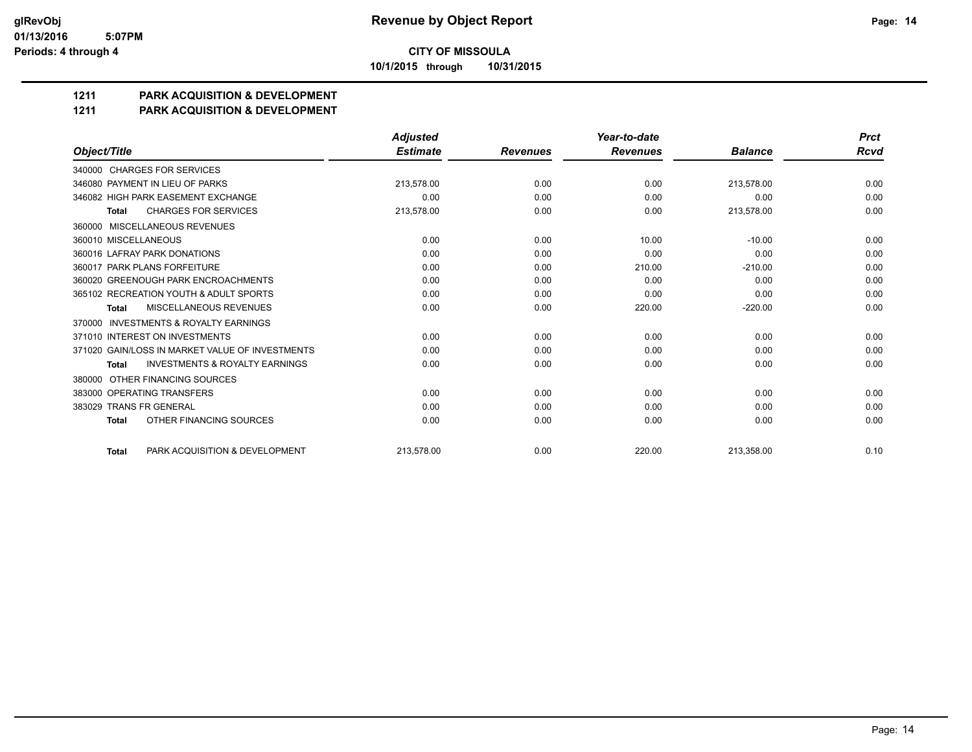**10/1/2015 through 10/31/2015**

## **1211 PARK ACQUISITION & DEVELOPMENT**

#### **1211 PARK ACQUISITION & DEVELOPMENT**

|                                                     | <b>Adjusted</b> |                 | Year-to-date    |                | <b>Prct</b> |
|-----------------------------------------------------|-----------------|-----------------|-----------------|----------------|-------------|
| Object/Title                                        | <b>Estimate</b> | <b>Revenues</b> | <b>Revenues</b> | <b>Balance</b> | <b>Rcvd</b> |
| 340000 CHARGES FOR SERVICES                         |                 |                 |                 |                |             |
| 346080 PAYMENT IN LIEU OF PARKS                     | 213,578.00      | 0.00            | 0.00            | 213,578.00     | 0.00        |
| 346082 HIGH PARK EASEMENT EXCHANGE                  | 0.00            | 0.00            | 0.00            | 0.00           | 0.00        |
| <b>CHARGES FOR SERVICES</b><br><b>Total</b>         | 213,578.00      | 0.00            | 0.00            | 213,578.00     | 0.00        |
| 360000 MISCELLANEOUS REVENUES                       |                 |                 |                 |                |             |
| 360010 MISCELLANEOUS                                | 0.00            | 0.00            | 10.00           | $-10.00$       | 0.00        |
| 360016 LAFRAY PARK DONATIONS                        | 0.00            | 0.00            | 0.00            | 0.00           | 0.00        |
| 360017 PARK PLANS FORFEITURE                        | 0.00            | 0.00            | 210.00          | $-210.00$      | 0.00        |
| 360020 GREENOUGH PARK ENCROACHMENTS                 | 0.00            | 0.00            | 0.00            | 0.00           | 0.00        |
| 365102 RECREATION YOUTH & ADULT SPORTS              | 0.00            | 0.00            | 0.00            | 0.00           | 0.00        |
| MISCELLANEOUS REVENUES<br><b>Total</b>              | 0.00            | 0.00            | 220.00          | $-220.00$      | 0.00        |
| <b>INVESTMENTS &amp; ROYALTY EARNINGS</b><br>370000 |                 |                 |                 |                |             |
| 371010 INTEREST ON INVESTMENTS                      | 0.00            | 0.00            | 0.00            | 0.00           | 0.00        |
| 371020 GAIN/LOSS IN MARKET VALUE OF INVESTMENTS     | 0.00            | 0.00            | 0.00            | 0.00           | 0.00        |
| <b>INVESTMENTS &amp; ROYALTY EARNINGS</b><br>Total  | 0.00            | 0.00            | 0.00            | 0.00           | 0.00        |
| OTHER FINANCING SOURCES<br>380000                   |                 |                 |                 |                |             |
| 383000 OPERATING TRANSFERS                          | 0.00            | 0.00            | 0.00            | 0.00           | 0.00        |
| 383029 TRANS FR GENERAL                             | 0.00            | 0.00            | 0.00            | 0.00           | 0.00        |
| OTHER FINANCING SOURCES<br><b>Total</b>             | 0.00            | 0.00            | 0.00            | 0.00           | 0.00        |
| PARK ACQUISITION & DEVELOPMENT<br><b>Total</b>      | 213.578.00      | 0.00            | 220.00          | 213.358.00     | 0.10        |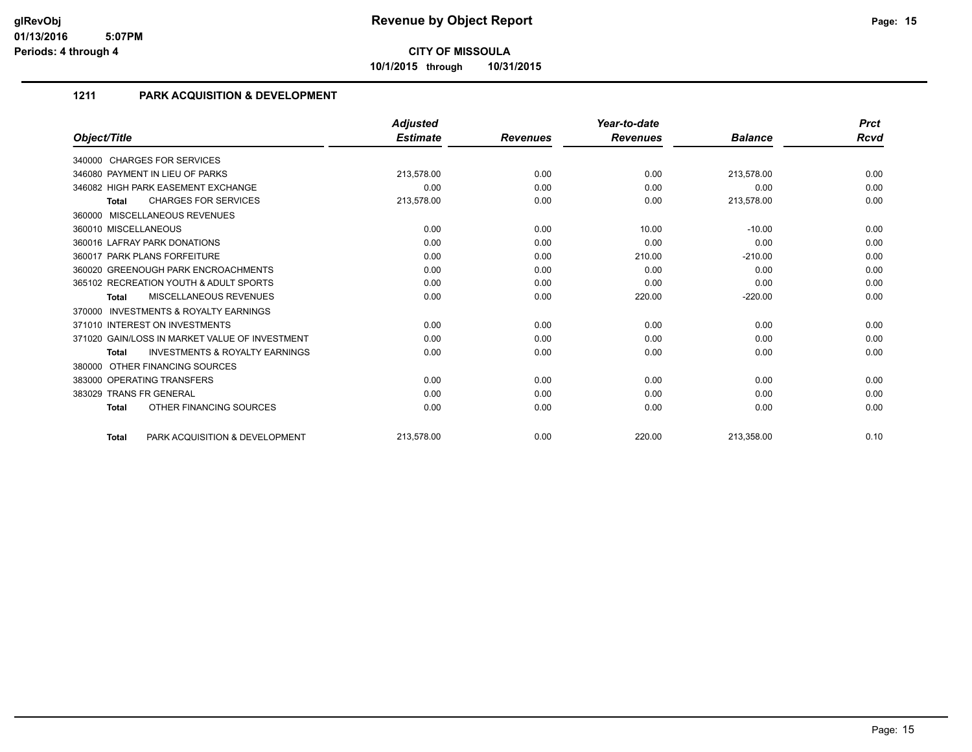**10/1/2015 through 10/31/2015**

### **1211 PARK ACQUISITION & DEVELOPMENT**

|                                                           | <b>Adjusted</b> |                 | Year-to-date    |                | <b>Prct</b> |
|-----------------------------------------------------------|-----------------|-----------------|-----------------|----------------|-------------|
| Object/Title                                              | <b>Estimate</b> | <b>Revenues</b> | <b>Revenues</b> | <b>Balance</b> | Rcvd        |
| 340000 CHARGES FOR SERVICES                               |                 |                 |                 |                |             |
| 346080 PAYMENT IN LIEU OF PARKS                           | 213,578.00      | 0.00            | 0.00            | 213,578.00     | 0.00        |
| 346082 HIGH PARK EASEMENT EXCHANGE                        | 0.00            | 0.00            | 0.00            | 0.00           | 0.00        |
| <b>CHARGES FOR SERVICES</b><br><b>Total</b>               | 213,578.00      | 0.00            | 0.00            | 213,578.00     | 0.00        |
| 360000 MISCELLANEOUS REVENUES                             |                 |                 |                 |                |             |
| 360010 MISCELLANEOUS                                      | 0.00            | 0.00            | 10.00           | $-10.00$       | 0.00        |
| 360016 LAFRAY PARK DONATIONS                              | 0.00            | 0.00            | 0.00            | 0.00           | 0.00        |
| 360017 PARK PLANS FORFEITURE                              | 0.00            | 0.00            | 210.00          | $-210.00$      | 0.00        |
| 360020 GREENOUGH PARK ENCROACHMENTS                       | 0.00            | 0.00            | 0.00            | 0.00           | 0.00        |
| 365102 RECREATION YOUTH & ADULT SPORTS                    | 0.00            | 0.00            | 0.00            | 0.00           | 0.00        |
| <b>MISCELLANEOUS REVENUES</b><br><b>Total</b>             | 0.00            | 0.00            | 220.00          | $-220.00$      | 0.00        |
| <b>INVESTMENTS &amp; ROYALTY EARNINGS</b><br>370000       |                 |                 |                 |                |             |
| 371010 INTEREST ON INVESTMENTS                            | 0.00            | 0.00            | 0.00            | 0.00           | 0.00        |
| 371020 GAIN/LOSS IN MARKET VALUE OF INVESTMENT            | 0.00            | 0.00            | 0.00            | 0.00           | 0.00        |
| <b>INVESTMENTS &amp; ROYALTY EARNINGS</b><br><b>Total</b> | 0.00            | 0.00            | 0.00            | 0.00           | 0.00        |
| OTHER FINANCING SOURCES<br>380000                         |                 |                 |                 |                |             |
| 383000 OPERATING TRANSFERS                                | 0.00            | 0.00            | 0.00            | 0.00           | 0.00        |
| 383029 TRANS FR GENERAL                                   | 0.00            | 0.00            | 0.00            | 0.00           | 0.00        |
| OTHER FINANCING SOURCES<br><b>Total</b>                   | 0.00            | 0.00            | 0.00            | 0.00           | 0.00        |
| PARK ACQUISITION & DEVELOPMENT<br><b>Total</b>            | 213,578.00      | 0.00            | 220.00          | 213,358.00     | 0.10        |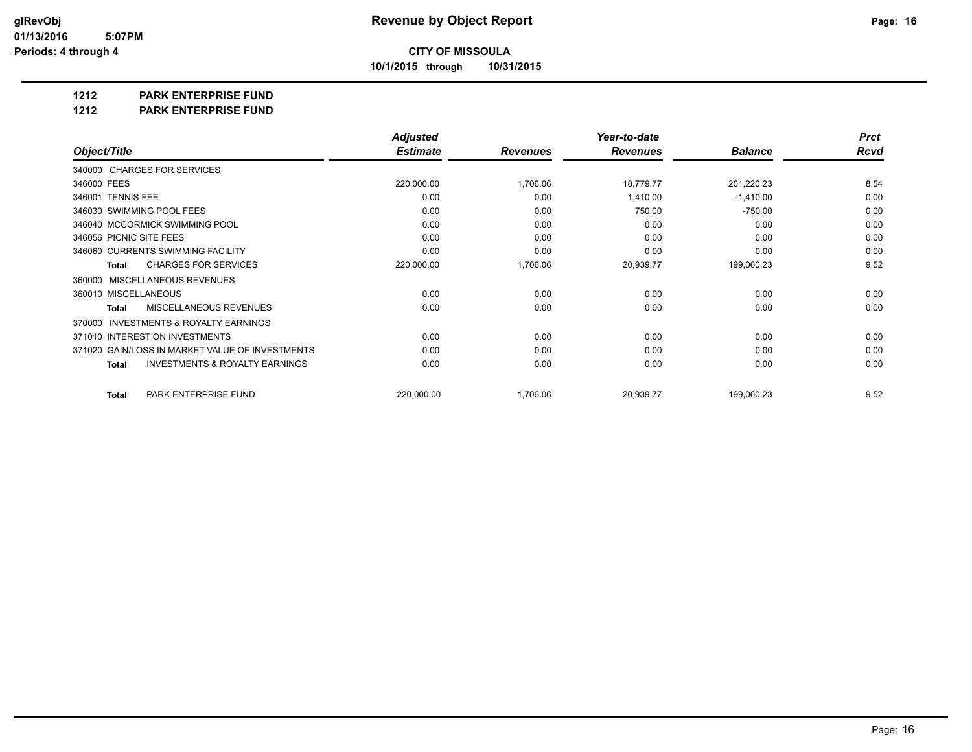**10/1/2015 through 10/31/2015**

#### **1212 PARK ENTERPRISE FUND**

**1212 PARK ENTERPRISE FUND**

|                                                           | <b>Adjusted</b> |                 | Year-to-date    |                | <b>Prct</b> |
|-----------------------------------------------------------|-----------------|-----------------|-----------------|----------------|-------------|
| Object/Title                                              | <b>Estimate</b> | <b>Revenues</b> | <b>Revenues</b> | <b>Balance</b> | Rcvd        |
| 340000 CHARGES FOR SERVICES                               |                 |                 |                 |                |             |
| 346000 FEES                                               | 220,000.00      | 1,706.06        | 18,779.77       | 201,220.23     | 8.54        |
| 346001 TENNIS FEE                                         | 0.00            | 0.00            | 1,410.00        | $-1,410.00$    | 0.00        |
| 346030 SWIMMING POOL FEES                                 | 0.00            | 0.00            | 750.00          | $-750.00$      | 0.00        |
| 346040 MCCORMICK SWIMMING POOL                            | 0.00            | 0.00            | 0.00            | 0.00           | 0.00        |
| 346056 PICNIC SITE FEES                                   | 0.00            | 0.00            | 0.00            | 0.00           | 0.00        |
| 346060 CURRENTS SWIMMING FACILITY                         | 0.00            | 0.00            | 0.00            | 0.00           | 0.00        |
| <b>CHARGES FOR SERVICES</b><br><b>Total</b>               | 220,000.00      | 1,706.06        | 20,939.77       | 199,060.23     | 9.52        |
| MISCELLANEOUS REVENUES<br>360000                          |                 |                 |                 |                |             |
| 360010 MISCELLANEOUS                                      | 0.00            | 0.00            | 0.00            | 0.00           | 0.00        |
| <b>MISCELLANEOUS REVENUES</b><br><b>Total</b>             | 0.00            | 0.00            | 0.00            | 0.00           | 0.00        |
| <b>INVESTMENTS &amp; ROYALTY EARNINGS</b><br>370000       |                 |                 |                 |                |             |
| 371010 INTEREST ON INVESTMENTS                            | 0.00            | 0.00            | 0.00            | 0.00           | 0.00        |
| 371020 GAIN/LOSS IN MARKET VALUE OF INVESTMENTS           | 0.00            | 0.00            | 0.00            | 0.00           | 0.00        |
| <b>INVESTMENTS &amp; ROYALTY EARNINGS</b><br><b>Total</b> | 0.00            | 0.00            | 0.00            | 0.00           | 0.00        |
| PARK ENTERPRISE FUND<br><b>Total</b>                      | 220,000.00      | 1,706.06        | 20,939.77       | 199,060.23     | 9.52        |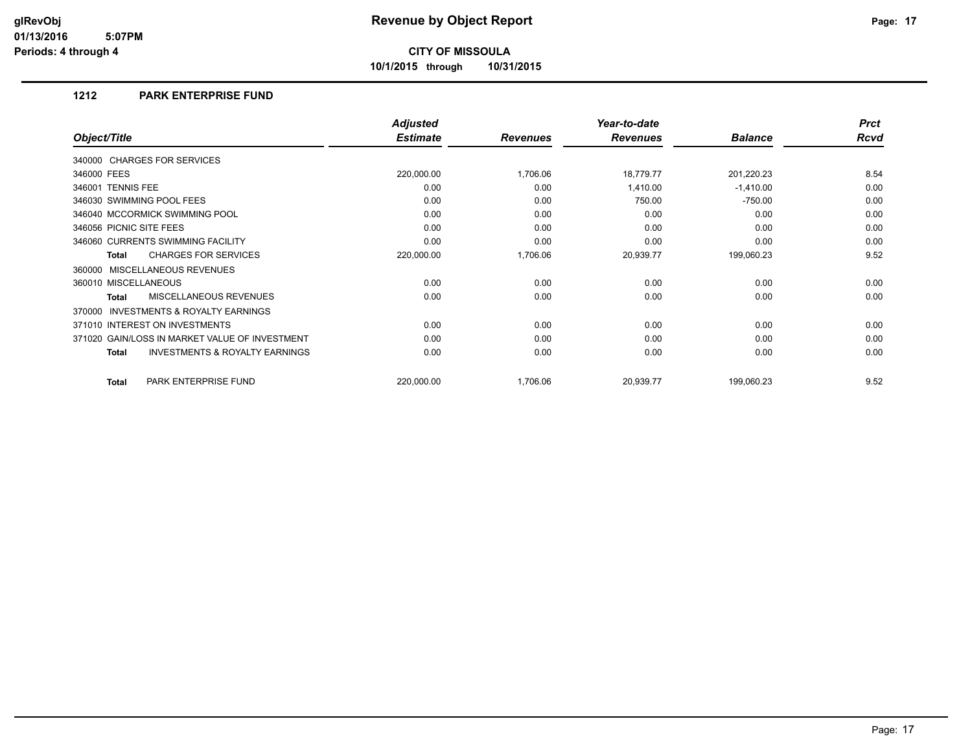**10/1/2015 through 10/31/2015**

#### **1212 PARK ENTERPRISE FUND**

|                                                           | <b>Adjusted</b> |                 | Year-to-date    |                | <b>Prct</b> |
|-----------------------------------------------------------|-----------------|-----------------|-----------------|----------------|-------------|
| Object/Title                                              | <b>Estimate</b> | <b>Revenues</b> | <b>Revenues</b> | <b>Balance</b> | <b>Rcvd</b> |
| 340000 CHARGES FOR SERVICES                               |                 |                 |                 |                |             |
| 346000 FEES                                               | 220,000.00      | 1,706.06        | 18,779.77       | 201,220.23     | 8.54        |
| 346001 TENNIS FEE                                         | 0.00            | 0.00            | 1,410.00        | $-1,410.00$    | 0.00        |
| 346030 SWIMMING POOL FEES                                 | 0.00            | 0.00            | 750.00          | $-750.00$      | 0.00        |
| 346040 MCCORMICK SWIMMING POOL                            | 0.00            | 0.00            | 0.00            | 0.00           | 0.00        |
| 346056 PICNIC SITE FEES                                   | 0.00            | 0.00            | 0.00            | 0.00           | 0.00        |
| 346060 CURRENTS SWIMMING FACILITY                         | 0.00            | 0.00            | 0.00            | 0.00           | 0.00        |
| <b>CHARGES FOR SERVICES</b><br><b>Total</b>               | 220,000.00      | 1,706.06        | 20,939.77       | 199,060.23     | 9.52        |
| MISCELLANEOUS REVENUES<br>360000                          |                 |                 |                 |                |             |
| 360010 MISCELLANEOUS                                      | 0.00            | 0.00            | 0.00            | 0.00           | 0.00        |
| <b>MISCELLANEOUS REVENUES</b><br><b>Total</b>             | 0.00            | 0.00            | 0.00            | 0.00           | 0.00        |
| INVESTMENTS & ROYALTY EARNINGS<br>370000                  |                 |                 |                 |                |             |
| 371010 INTEREST ON INVESTMENTS                            | 0.00            | 0.00            | 0.00            | 0.00           | 0.00        |
| 371020 GAIN/LOSS IN MARKET VALUE OF INVESTMENT            | 0.00            | 0.00            | 0.00            | 0.00           | 0.00        |
| <b>INVESTMENTS &amp; ROYALTY EARNINGS</b><br><b>Total</b> | 0.00            | 0.00            | 0.00            | 0.00           | 0.00        |
| PARK ENTERPRISE FUND<br><b>Total</b>                      | 220,000.00      | 1,706.06        | 20,939.77       | 199,060.23     | 9.52        |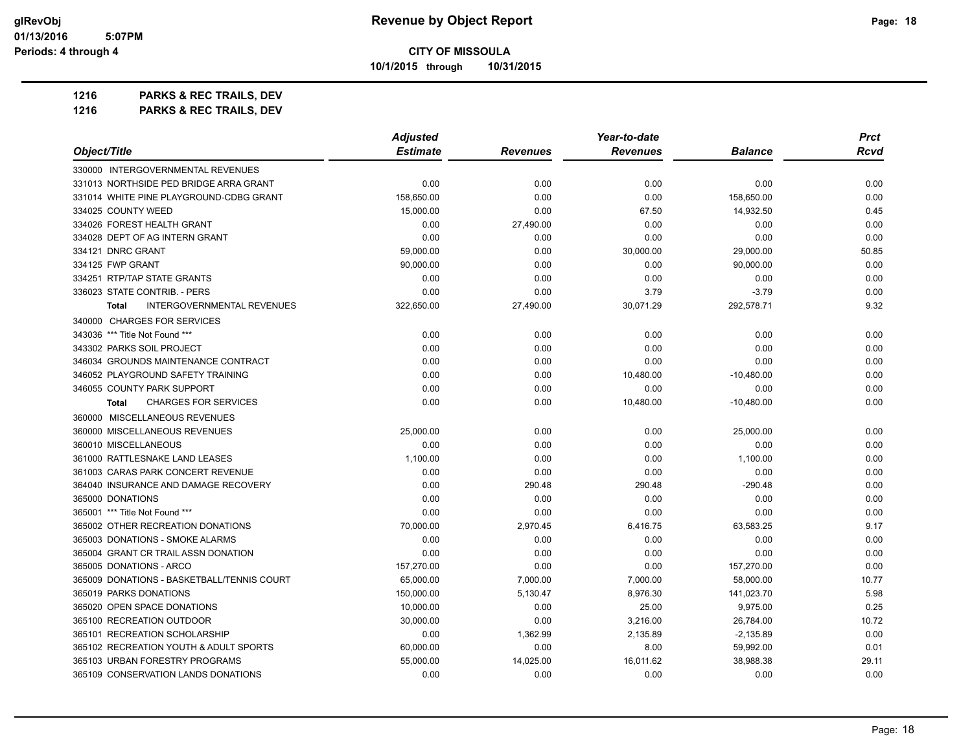**10/1/2015 through 10/31/2015**

| 1216 | <b>PARKS &amp; REC TRAILS, DEV</b> |  |
|------|------------------------------------|--|
|------|------------------------------------|--|

|                                                   | <b>Adjusted</b> |                 | Year-to-date    |                | <b>Prct</b> |
|---------------------------------------------------|-----------------|-----------------|-----------------|----------------|-------------|
| Object/Title                                      | <b>Estimate</b> | <b>Revenues</b> | <b>Revenues</b> | <b>Balance</b> | <b>Rcvd</b> |
| 330000 INTERGOVERNMENTAL REVENUES                 |                 |                 |                 |                |             |
| 331013 NORTHSIDE PED BRIDGE ARRA GRANT            | 0.00            | 0.00            | 0.00            | 0.00           | 0.00        |
| 331014 WHITE PINE PLAYGROUND-CDBG GRANT           | 158,650.00      | 0.00            | 0.00            | 158,650.00     | 0.00        |
| 334025 COUNTY WEED                                | 15,000.00       | 0.00            | 67.50           | 14,932.50      | 0.45        |
| 334026 FOREST HEALTH GRANT                        | 0.00            | 27,490.00       | 0.00            | 0.00           | 0.00        |
| 334028 DEPT OF AG INTERN GRANT                    | 0.00            | 0.00            | 0.00            | 0.00           | 0.00        |
| 334121 DNRC GRANT                                 | 59,000.00       | 0.00            | 30,000.00       | 29,000.00      | 50.85       |
| 334125 FWP GRANT                                  | 90,000.00       | 0.00            | 0.00            | 90,000.00      | 0.00        |
| 334251 RTP/TAP STATE GRANTS                       | 0.00            | 0.00            | 0.00            | 0.00           | 0.00        |
| 336023 STATE CONTRIB. - PERS                      | 0.00            | 0.00            | 3.79            | $-3.79$        | 0.00        |
| <b>INTERGOVERNMENTAL REVENUES</b><br><b>Total</b> | 322,650.00      | 27,490.00       | 30,071.29       | 292,578.71     | 9.32        |
| 340000 CHARGES FOR SERVICES                       |                 |                 |                 |                |             |
| 343036 *** Title Not Found ***                    | 0.00            | 0.00            | 0.00            | 0.00           | 0.00        |
| 343302 PARKS SOIL PROJECT                         | 0.00            | 0.00            | 0.00            | 0.00           | 0.00        |
| 346034 GROUNDS MAINTENANCE CONTRACT               | 0.00            | 0.00            | 0.00            | 0.00           | 0.00        |
| 346052 PLAYGROUND SAFETY TRAINING                 | 0.00            | 0.00            | 10,480.00       | $-10,480.00$   | 0.00        |
| 346055 COUNTY PARK SUPPORT                        | 0.00            | 0.00            | 0.00            | 0.00           | 0.00        |
| <b>Total</b><br><b>CHARGES FOR SERVICES</b>       | 0.00            | 0.00            | 10,480.00       | $-10,480.00$   | 0.00        |
| 360000 MISCELLANEOUS REVENUES                     |                 |                 |                 |                |             |
| 360000 MISCELLANEOUS REVENUES                     | 25,000.00       | 0.00            | 0.00            | 25,000.00      | 0.00        |
| 360010 MISCELLANEOUS                              | 0.00            | 0.00            | 0.00            | 0.00           | 0.00        |
| 361000 RATTLESNAKE LAND LEASES                    | 1,100.00        | 0.00            | 0.00            | 1,100.00       | 0.00        |
| 361003 CARAS PARK CONCERT REVENUE                 | 0.00            | 0.00            | 0.00            | 0.00           | 0.00        |
| 364040 INSURANCE AND DAMAGE RECOVERY              | 0.00            | 290.48          | 290.48          | $-290.48$      | 0.00        |
| 365000 DONATIONS                                  | 0.00            | 0.00            | 0.00            | 0.00           | 0.00        |
| 365001 *** Title Not Found ***                    | 0.00            | 0.00            | 0.00            | 0.00           | 0.00        |
| 365002 OTHER RECREATION DONATIONS                 | 70,000.00       | 2,970.45        | 6,416.75        | 63,583.25      | 9.17        |
| 365003 DONATIONS - SMOKE ALARMS                   | 0.00            | 0.00            | 0.00            | 0.00           | 0.00        |
| 365004 GRANT CR TRAIL ASSN DONATION               | 0.00            | 0.00            | 0.00            | 0.00           | 0.00        |
| 365005 DONATIONS - ARCO                           | 157,270.00      | 0.00            | 0.00            | 157,270.00     | 0.00        |
| 365009 DONATIONS - BASKETBALL/TENNIS COURT        | 65,000.00       | 7,000.00        | 7,000.00        | 58,000.00      | 10.77       |
| 365019 PARKS DONATIONS                            | 150,000.00      | 5,130.47        | 8,976.30        | 141,023.70     | 5.98        |
| 365020 OPEN SPACE DONATIONS                       | 10,000.00       | 0.00            | 25.00           | 9,975.00       | 0.25        |
| 365100 RECREATION OUTDOOR                         | 30,000.00       | 0.00            | 3,216.00        | 26,784.00      | 10.72       |
| 365101 RECREATION SCHOLARSHIP                     | 0.00            | 1,362.99        | 2,135.89        | $-2,135.89$    | 0.00        |
| 365102 RECREATION YOUTH & ADULT SPORTS            | 60,000.00       | 0.00            | 8.00            | 59,992.00      | 0.01        |
| 365103 URBAN FORESTRY PROGRAMS                    | 55,000.00       | 14,025.00       | 16,011.62       | 38,988.38      | 29.11       |
| 365109 CONSERVATION LANDS DONATIONS               | 0.00            | 0.00            | 0.00            | 0.00           | 0.00        |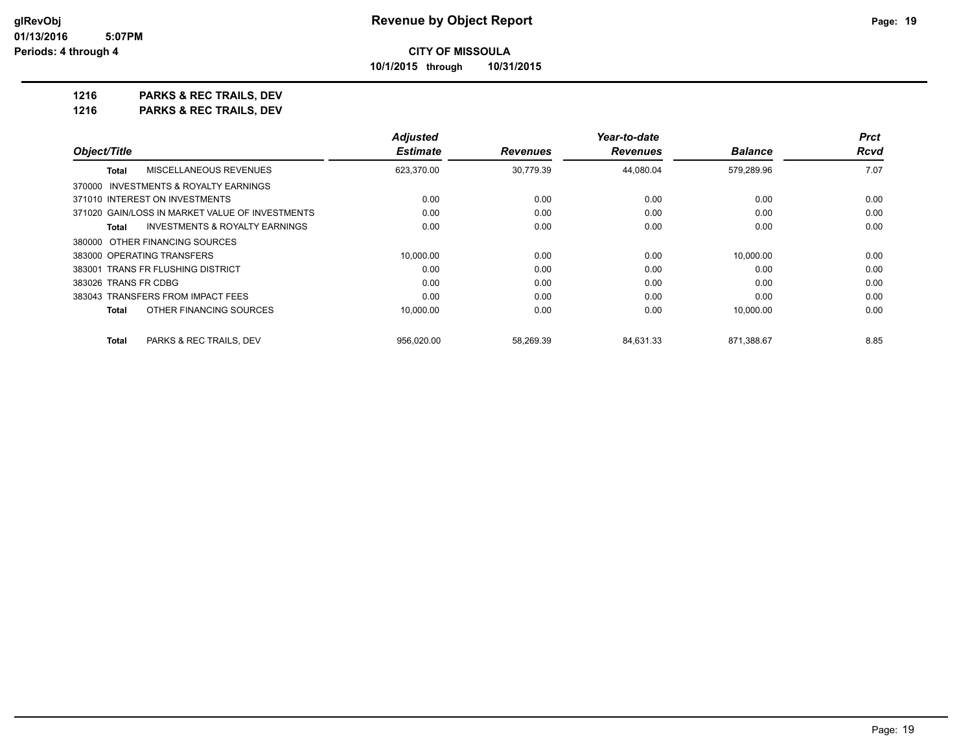### **CITY OF MISSOULA 10/1/2015 through 10/31/2015**

**1216 PARKS & REC TRAILS, DEV**

|                                                 | <b>Adjusted</b> |                 | Year-to-date    |                | <b>Prct</b> |
|-------------------------------------------------|-----------------|-----------------|-----------------|----------------|-------------|
| Object/Title                                    | <b>Estimate</b> | <b>Revenues</b> | <b>Revenues</b> | <b>Balance</b> | <b>Rcvd</b> |
| MISCELLANEOUS REVENUES<br><b>Total</b>          | 623,370.00      | 30.779.39       | 44,080.04       | 579,289.96     | 7.07        |
| 370000 INVESTMENTS & ROYALTY EARNINGS           |                 |                 |                 |                |             |
| 371010 INTEREST ON INVESTMENTS                  | 0.00            | 0.00            | 0.00            | 0.00           | 0.00        |
| 371020 GAIN/LOSS IN MARKET VALUE OF INVESTMENTS | 0.00            | 0.00            | 0.00            | 0.00           | 0.00        |
| INVESTMENTS & ROYALTY EARNINGS<br>Total         | 0.00            | 0.00            | 0.00            | 0.00           | 0.00        |
| 380000 OTHER FINANCING SOURCES                  |                 |                 |                 |                |             |
| 383000 OPERATING TRANSFERS                      | 10.000.00       | 0.00            | 0.00            | 10.000.00      | 0.00        |
| 383001 TRANS FR FLUSHING DISTRICT               | 0.00            | 0.00            | 0.00            | 0.00           | 0.00        |
| 383026 TRANS FR CDBG                            | 0.00            | 0.00            | 0.00            | 0.00           | 0.00        |
| 383043 TRANSFERS FROM IMPACT FEES               | 0.00            | 0.00            | 0.00            | 0.00           | 0.00        |
| OTHER FINANCING SOURCES<br><b>Total</b>         | 10,000.00       | 0.00            | 0.00            | 10.000.00      | 0.00        |
| <b>Total</b><br>PARKS & REC TRAILS, DEV         | 956.020.00      | 58.269.39       | 84.631.33       | 871.388.67     | 8.85        |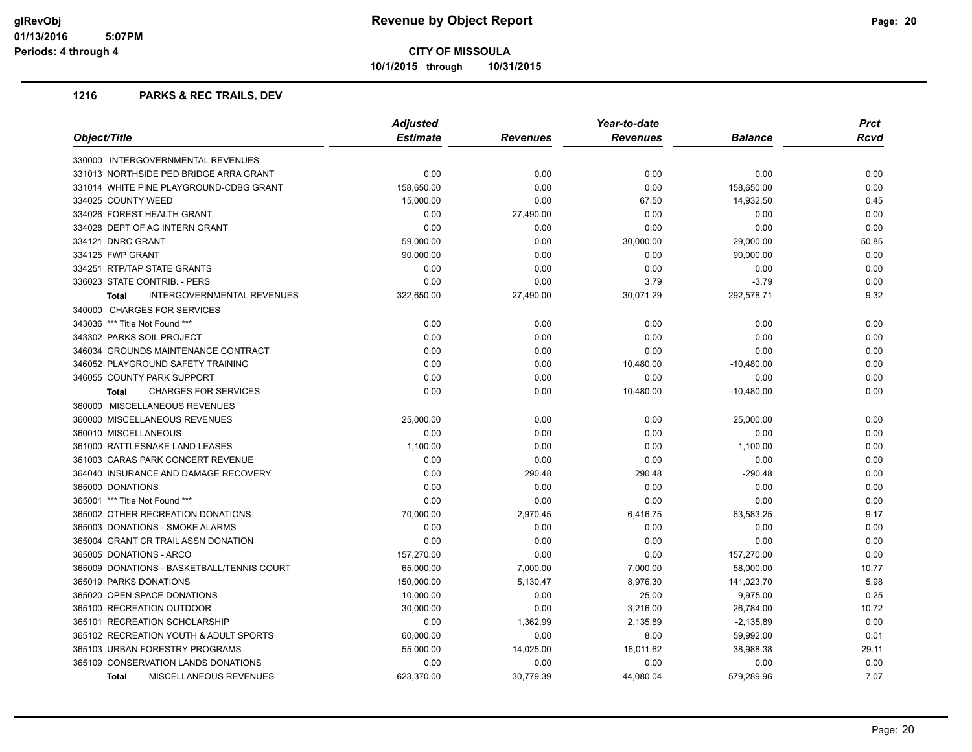**10/1/2015 through 10/31/2015**

|                                             | <b>Adjusted</b> |           | Year-to-date    | <b>Prct</b>    |       |
|---------------------------------------------|-----------------|-----------|-----------------|----------------|-------|
| Object/Title                                | <b>Estimate</b> | Revenues  | <b>Revenues</b> | <b>Balance</b> | Rcvd  |
| 330000 INTERGOVERNMENTAL REVENUES           |                 |           |                 |                |       |
| 331013 NORTHSIDE PED BRIDGE ARRA GRANT      | 0.00            | 0.00      | 0.00            | 0.00           | 0.00  |
| 331014 WHITE PINE PLAYGROUND-CDBG GRANT     | 158,650.00      | 0.00      | 0.00            | 158,650.00     | 0.00  |
| 334025 COUNTY WEED                          | 15,000.00       | 0.00      | 67.50           | 14,932.50      | 0.45  |
| 334026 FOREST HEALTH GRANT                  | 0.00            | 27,490.00 | 0.00            | 0.00           | 0.00  |
| 334028 DEPT OF AG INTERN GRANT              | 0.00            | 0.00      | 0.00            | 0.00           | 0.00  |
| 334121 DNRC GRANT                           | 59,000.00       | 0.00      | 30,000.00       | 29,000.00      | 50.85 |
| 334125 FWP GRANT                            | 90,000.00       | 0.00      | 0.00            | 90,000.00      | 0.00  |
| 334251 RTP/TAP STATE GRANTS                 | 0.00            | 0.00      | 0.00            | 0.00           | 0.00  |
| 336023 STATE CONTRIB. - PERS                | 0.00            | 0.00      | 3.79            | $-3.79$        | 0.00  |
| INTERGOVERNMENTAL REVENUES<br><b>Total</b>  | 322,650.00      | 27,490.00 | 30,071.29       | 292,578.71     | 9.32  |
| 340000 CHARGES FOR SERVICES                 |                 |           |                 |                |       |
| 343036 *** Title Not Found ***              | 0.00            | 0.00      | 0.00            | 0.00           | 0.00  |
| 343302 PARKS SOIL PROJECT                   | 0.00            | 0.00      | 0.00            | 0.00           | 0.00  |
| 346034 GROUNDS MAINTENANCE CONTRACT         | 0.00            | 0.00      | 0.00            | 0.00           | 0.00  |
| 346052 PLAYGROUND SAFETY TRAINING           | 0.00            | 0.00      | 10,480.00       | $-10,480.00$   | 0.00  |
| 346055 COUNTY PARK SUPPORT                  | 0.00            | 0.00      | 0.00            | 0.00           | 0.00  |
| <b>CHARGES FOR SERVICES</b><br><b>Total</b> | 0.00            | 0.00      | 10,480.00       | $-10,480.00$   | 0.00  |
| 360000 MISCELLANEOUS REVENUES               |                 |           |                 |                |       |
| 360000 MISCELLANEOUS REVENUES               | 25,000.00       | 0.00      | 0.00            | 25,000.00      | 0.00  |
| 360010 MISCELLANEOUS                        | 0.00            | 0.00      | 0.00            | 0.00           | 0.00  |
| 361000 RATTLESNAKE LAND LEASES              | 1,100.00        | 0.00      | 0.00            | 1,100.00       | 0.00  |
| 361003 CARAS PARK CONCERT REVENUE           | 0.00            | 0.00      | 0.00            | 0.00           | 0.00  |
| 364040 INSURANCE AND DAMAGE RECOVERY        | 0.00            | 290.48    | 290.48          | $-290.48$      | 0.00  |
| 365000 DONATIONS                            | 0.00            | 0.00      | 0.00            | 0.00           | 0.00  |
| 365001 *** Title Not Found ***              | 0.00            | 0.00      | 0.00            | 0.00           | 0.00  |
| 365002 OTHER RECREATION DONATIONS           | 70,000.00       | 2,970.45  | 6,416.75        | 63,583.25      | 9.17  |
| 365003 DONATIONS - SMOKE ALARMS             | 0.00            | 0.00      | 0.00            | 0.00           | 0.00  |
| 365004 GRANT CR TRAIL ASSN DONATION         | 0.00            | 0.00      | 0.00            | 0.00           | 0.00  |
| 365005 DONATIONS - ARCO                     | 157,270.00      | 0.00      | 0.00            | 157,270.00     | 0.00  |
| 365009 DONATIONS - BASKETBALL/TENNIS COURT  | 65,000.00       | 7,000.00  | 7,000.00        | 58,000.00      | 10.77 |
| 365019 PARKS DONATIONS                      | 150,000.00      | 5,130.47  | 8,976.30        | 141,023.70     | 5.98  |
| 365020 OPEN SPACE DONATIONS                 | 10,000.00       | 0.00      | 25.00           | 9,975.00       | 0.25  |
| 365100 RECREATION OUTDOOR                   | 30,000.00       | 0.00      | 3,216.00        | 26,784.00      | 10.72 |
| 365101 RECREATION SCHOLARSHIP               | 0.00            | 1,362.99  | 2,135.89        | $-2,135.89$    | 0.00  |
| 365102 RECREATION YOUTH & ADULT SPORTS      | 60,000.00       | 0.00      | 8.00            | 59,992.00      | 0.01  |
| 365103 URBAN FORESTRY PROGRAMS              | 55,000.00       | 14,025.00 | 16,011.62       | 38,988.38      | 29.11 |
| 365109 CONSERVATION LANDS DONATIONS         | 0.00            | 0.00      | 0.00            | 0.00           | 0.00  |
| <b>MISCELLANEOUS REVENUES</b><br>Total      | 623.370.00      | 30.779.39 | 44.080.04       | 579.289.96     | 7.07  |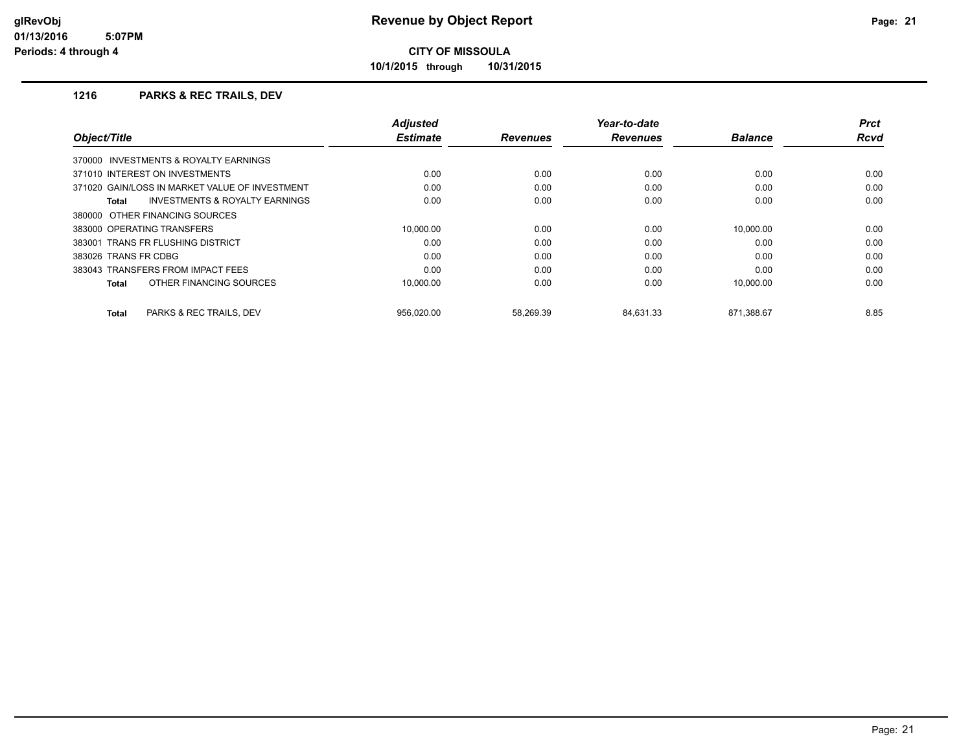**10/1/2015 through 10/31/2015**

|                                                    | <b>Adjusted</b> |                 | Year-to-date    |                | <b>Prct</b> |
|----------------------------------------------------|-----------------|-----------------|-----------------|----------------|-------------|
| Object/Title                                       | <b>Estimate</b> | <b>Revenues</b> | <b>Revenues</b> | <b>Balance</b> | <b>Rcvd</b> |
| 370000 INVESTMENTS & ROYALTY EARNINGS              |                 |                 |                 |                |             |
| 371010 INTEREST ON INVESTMENTS                     | 0.00            | 0.00            | 0.00            | 0.00           | 0.00        |
| 371020 GAIN/LOSS IN MARKET VALUE OF INVESTMENT     | 0.00            | 0.00            | 0.00            | 0.00           | 0.00        |
| <b>INVESTMENTS &amp; ROYALTY EARNINGS</b><br>Total | 0.00            | 0.00            | 0.00            | 0.00           | 0.00        |
| 380000 OTHER FINANCING SOURCES                     |                 |                 |                 |                |             |
| 383000 OPERATING TRANSFERS                         | 10.000.00       | 0.00            | 0.00            | 10.000.00      | 0.00        |
| 383001 TRANS FR FLUSHING DISTRICT                  | 0.00            | 0.00            | 0.00            | 0.00           | 0.00        |
| 383026 TRANS FR CDBG                               | 0.00            | 0.00            | 0.00            | 0.00           | 0.00        |
| 383043 TRANSFERS FROM IMPACT FEES                  | 0.00            | 0.00            | 0.00            | 0.00           | 0.00        |
| OTHER FINANCING SOURCES<br>Total                   | 10.000.00       | 0.00            | 0.00            | 10.000.00      | 0.00        |
| PARKS & REC TRAILS, DEV<br>Total                   | 956.020.00      | 58.269.39       | 84.631.33       | 871,388.67     | 8.85        |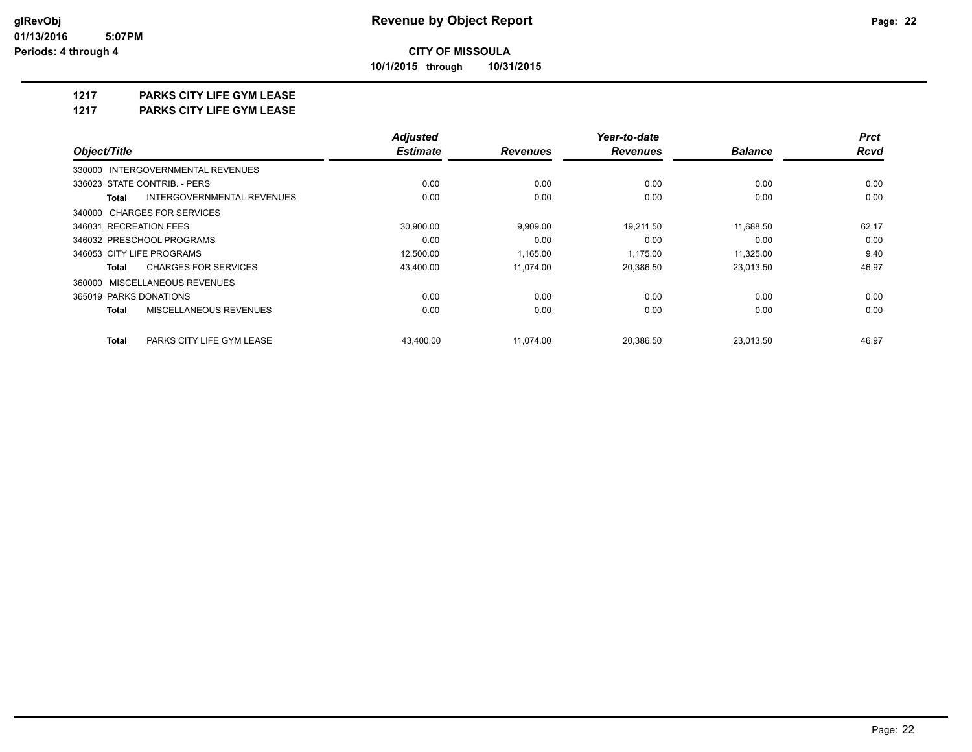**10/1/2015 through 10/31/2015**

### **1217 PARKS CITY LIFE GYM LEASE**

**1217 PARKS CITY LIFE GYM LEASE**

|                                             | <b>Adjusted</b> |                 | Year-to-date    |                | <b>Prct</b> |
|---------------------------------------------|-----------------|-----------------|-----------------|----------------|-------------|
| Object/Title                                | <b>Estimate</b> | <b>Revenues</b> | <b>Revenues</b> | <b>Balance</b> | <b>Rcvd</b> |
| 330000 INTERGOVERNMENTAL REVENUES           |                 |                 |                 |                |             |
| 336023 STATE CONTRIB. - PERS                | 0.00            | 0.00            | 0.00            | 0.00           | 0.00        |
| INTERGOVERNMENTAL REVENUES<br><b>Total</b>  | 0.00            | 0.00            | 0.00            | 0.00           | 0.00        |
| 340000 CHARGES FOR SERVICES                 |                 |                 |                 |                |             |
| 346031 RECREATION FEES                      | 30,900.00       | 9,909.00        | 19,211.50       | 11,688.50      | 62.17       |
| 346032 PRESCHOOL PROGRAMS                   | 0.00            | 0.00            | 0.00            | 0.00           | 0.00        |
| 346053 CITY LIFE PROGRAMS                   | 12,500.00       | 1,165.00        | 1,175.00        | 11,325.00      | 9.40        |
| <b>CHARGES FOR SERVICES</b><br><b>Total</b> | 43,400.00       | 11,074.00       | 20,386.50       | 23,013.50      | 46.97       |
| 360000 MISCELLANEOUS REVENUES               |                 |                 |                 |                |             |
| 365019 PARKS DONATIONS                      | 0.00            | 0.00            | 0.00            | 0.00           | 0.00        |
| MISCELLANEOUS REVENUES<br><b>Total</b>      | 0.00            | 0.00            | 0.00            | 0.00           | 0.00        |
| <b>Total</b><br>PARKS CITY LIFE GYM LEASE   | 43.400.00       | 11.074.00       | 20.386.50       | 23.013.50      | 46.97       |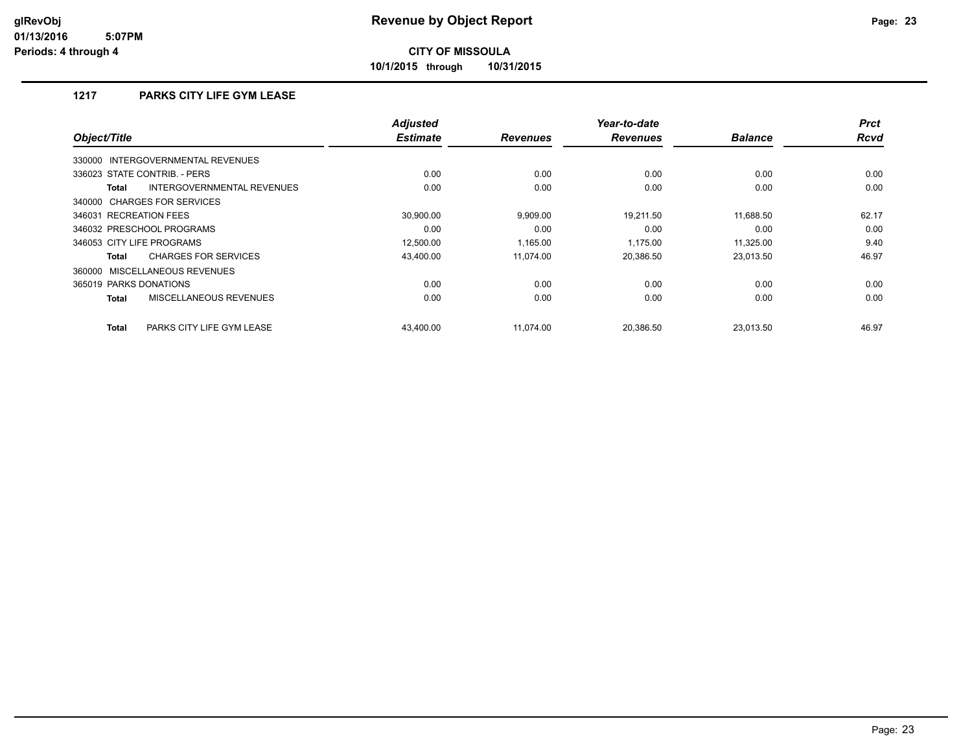**10/1/2015 through 10/31/2015**

## **1217 PARKS CITY LIFE GYM LEASE**

| Object/Title                                | <b>Adjusted</b><br><b>Estimate</b> | <b>Revenues</b> | Year-to-date<br><b>Revenues</b> | <b>Balance</b> | <b>Prct</b><br><b>Rcvd</b> |
|---------------------------------------------|------------------------------------|-----------------|---------------------------------|----------------|----------------------------|
| 330000 INTERGOVERNMENTAL REVENUES           |                                    |                 |                                 |                |                            |
| 336023 STATE CONTRIB. - PERS                | 0.00                               | 0.00            | 0.00                            | 0.00           | 0.00                       |
| INTERGOVERNMENTAL REVENUES<br><b>Total</b>  | 0.00                               | 0.00            | 0.00                            | 0.00           | 0.00                       |
| 340000 CHARGES FOR SERVICES                 |                                    |                 |                                 |                |                            |
| 346031 RECREATION FEES                      | 30.900.00                          | 9,909.00        | 19.211.50                       | 11.688.50      | 62.17                      |
| 346032 PRESCHOOL PROGRAMS                   | 0.00                               | 0.00            | 0.00                            | 0.00           | 0.00                       |
| 346053 CITY LIFE PROGRAMS                   | 12,500.00                          | 1.165.00        | 1.175.00                        | 11.325.00      | 9.40                       |
| <b>CHARGES FOR SERVICES</b><br><b>Total</b> | 43,400.00                          | 11.074.00       | 20,386.50                       | 23,013.50      | 46.97                      |
| 360000 MISCELLANEOUS REVENUES               |                                    |                 |                                 |                |                            |
| 365019 PARKS DONATIONS                      | 0.00                               | 0.00            | 0.00                            | 0.00           | 0.00                       |
| MISCELLANEOUS REVENUES<br><b>Total</b>      | 0.00                               | 0.00            | 0.00                            | 0.00           | 0.00                       |
| <b>Total</b><br>PARKS CITY LIFE GYM LEASE   | 43.400.00                          | 11.074.00       | 20.386.50                       | 23.013.50      | 46.97                      |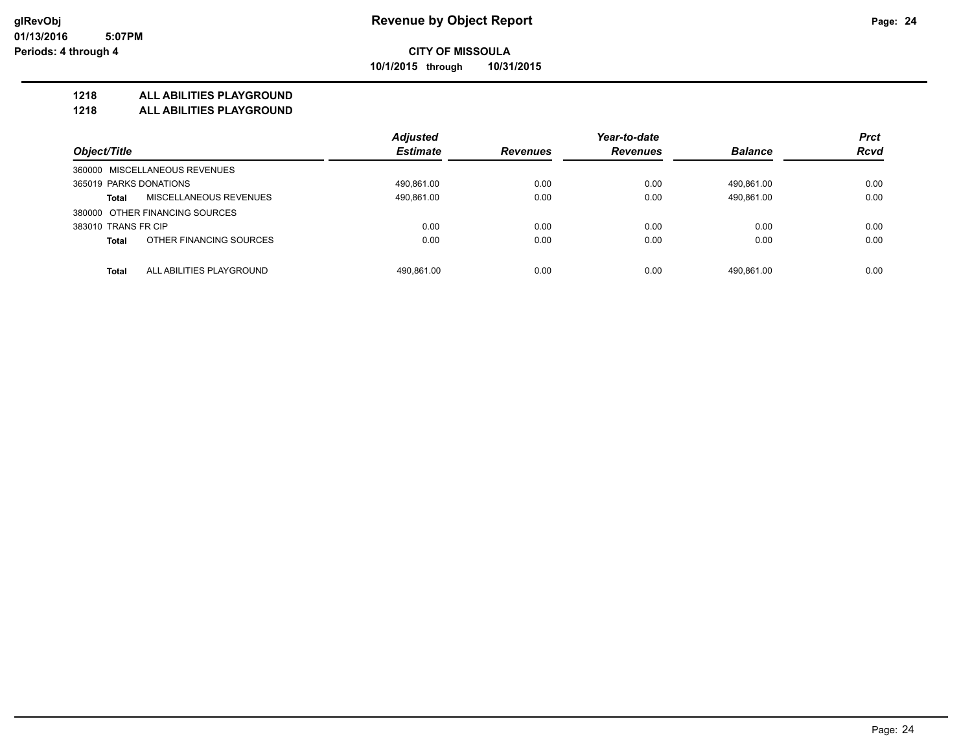#### **CITY OF MISSOULA 10/1/2015 through 10/31/2015**

**1218 ALL ABILITIES PLAYGROUND**

**1218 ALL ABILITIES PLAYGROUND**

|                                          | <b>Adjusted</b> |                 | Year-to-date    |                | <b>Prct</b> |
|------------------------------------------|-----------------|-----------------|-----------------|----------------|-------------|
| Object/Title                             | <b>Estimate</b> | <b>Revenues</b> | <b>Revenues</b> | <b>Balance</b> | <b>Rcvd</b> |
| 360000 MISCELLANEOUS REVENUES            |                 |                 |                 |                |             |
| 365019 PARKS DONATIONS                   | 490.861.00      | 0.00            | 0.00            | 490.861.00     | 0.00        |
| MISCELLANEOUS REVENUES<br><b>Total</b>   | 490,861.00      | 0.00            | 0.00            | 490,861.00     | 0.00        |
| 380000 OTHER FINANCING SOURCES           |                 |                 |                 |                |             |
| 383010 TRANS FR CIP                      | 0.00            | 0.00            | 0.00            | 0.00           | 0.00        |
| OTHER FINANCING SOURCES<br><b>Total</b>  | 0.00            | 0.00            | 0.00            | 0.00           | 0.00        |
|                                          |                 |                 |                 |                |             |
| ALL ABILITIES PLAYGROUND<br><b>Total</b> | 490.861.00      | 0.00            | 0.00            | 490.861.00     | 0.00        |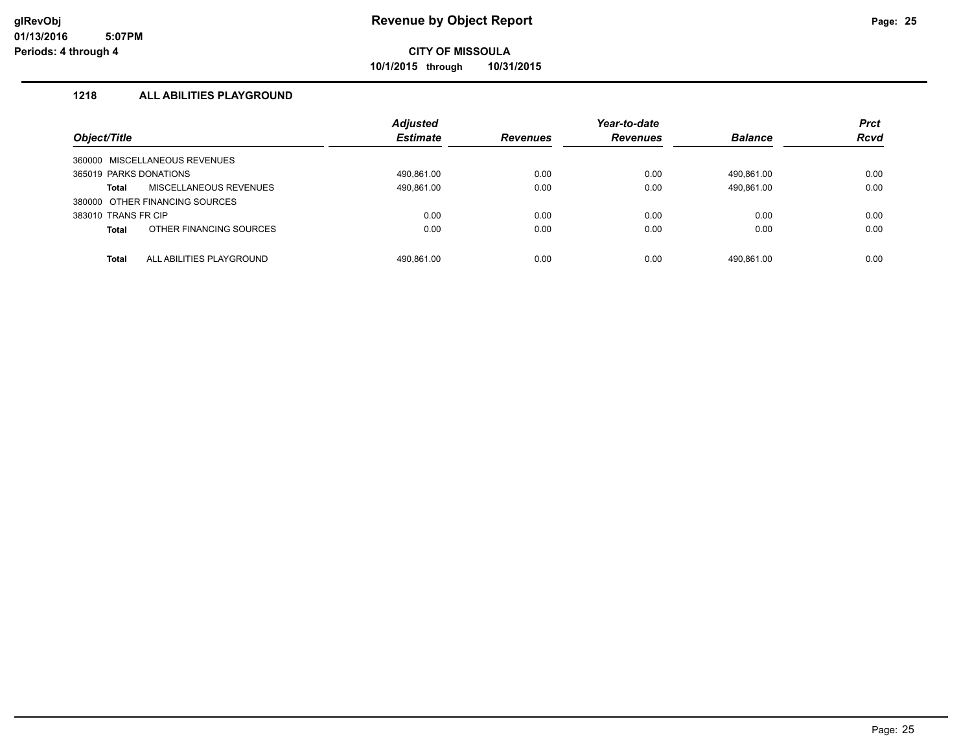**10/1/2015 through 10/31/2015**

### **1218 ALL ABILITIES PLAYGROUND**

|                        |                                | <b>Adjusted</b> |                 | Year-to-date    |                | <b>Prct</b> |
|------------------------|--------------------------------|-----------------|-----------------|-----------------|----------------|-------------|
| Object/Title           |                                | <b>Estimate</b> | <b>Revenues</b> | <b>Revenues</b> | <b>Balance</b> | <b>Rcvd</b> |
|                        | 360000 MISCELLANEOUS REVENUES  |                 |                 |                 |                |             |
| 365019 PARKS DONATIONS |                                | 490.861.00      | 0.00            | 0.00            | 490.861.00     | 0.00        |
| Total                  | MISCELLANEOUS REVENUES         | 490,861.00      | 0.00            | 0.00            | 490,861.00     | 0.00        |
|                        | 380000 OTHER FINANCING SOURCES |                 |                 |                 |                |             |
| 383010 TRANS FR CIP    |                                | 0.00            | 0.00            | 0.00            | 0.00           | 0.00        |
| <b>Total</b>           | OTHER FINANCING SOURCES        | 0.00            | 0.00            | 0.00            | 0.00           | 0.00        |
| <b>Total</b>           | ALL ABILITIES PLAYGROUND       | 490.861.00      | 0.00            | 0.00            | 490.861.00     | 0.00        |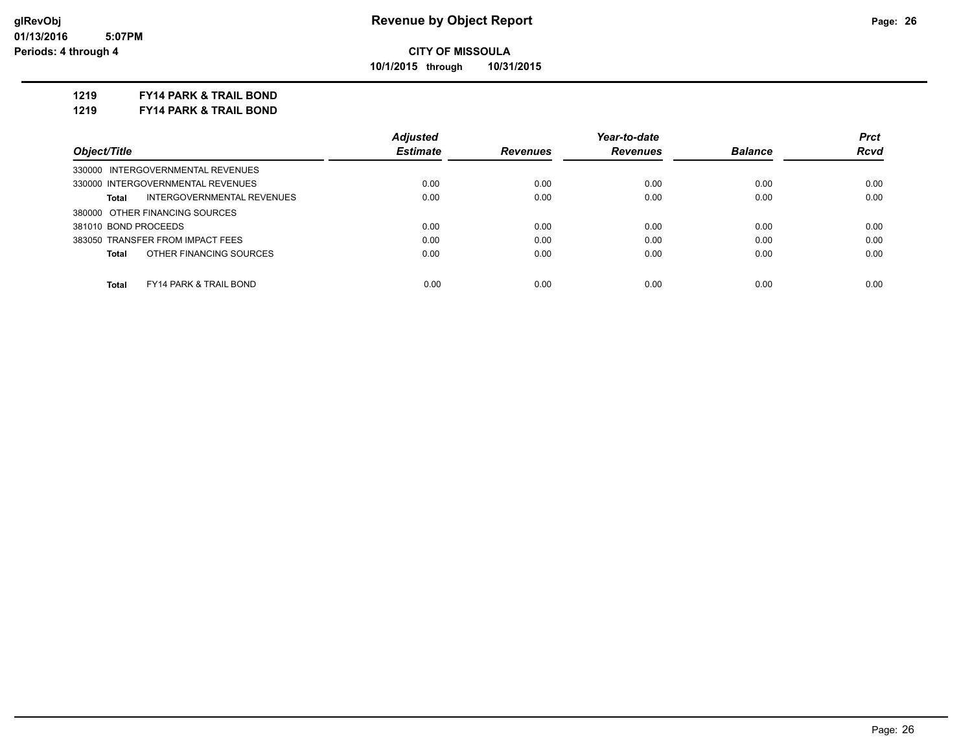**10/1/2015 through 10/31/2015**

#### **1219 FY14 PARK & TRAIL BOND**

**1219 FY14 PARK & TRAIL BOND**

|                                            | <b>Adjusted</b> |                 | Year-to-date    |                | <b>Prct</b> |
|--------------------------------------------|-----------------|-----------------|-----------------|----------------|-------------|
| Object/Title                               | <b>Estimate</b> | <b>Revenues</b> | <b>Revenues</b> | <b>Balance</b> | <b>Rcvd</b> |
| 330000 INTERGOVERNMENTAL REVENUES          |                 |                 |                 |                |             |
| 330000 INTERGOVERNMENTAL REVENUES          | 0.00            | 0.00            | 0.00            | 0.00           | 0.00        |
| INTERGOVERNMENTAL REVENUES<br>Total        | 0.00            | 0.00            | 0.00            | 0.00           | 0.00        |
| 380000 OTHER FINANCING SOURCES             |                 |                 |                 |                |             |
| 381010 BOND PROCEEDS                       | 0.00            | 0.00            | 0.00            | 0.00           | 0.00        |
| 383050 TRANSFER FROM IMPACT FEES           | 0.00            | 0.00            | 0.00            | 0.00           | 0.00        |
| OTHER FINANCING SOURCES<br>Total           | 0.00            | 0.00            | 0.00            | 0.00           | 0.00        |
|                                            |                 |                 |                 |                |             |
| <b>FY14 PARK &amp; TRAIL BOND</b><br>Total | 0.00            | 0.00            | 0.00            | 0.00           | 0.00        |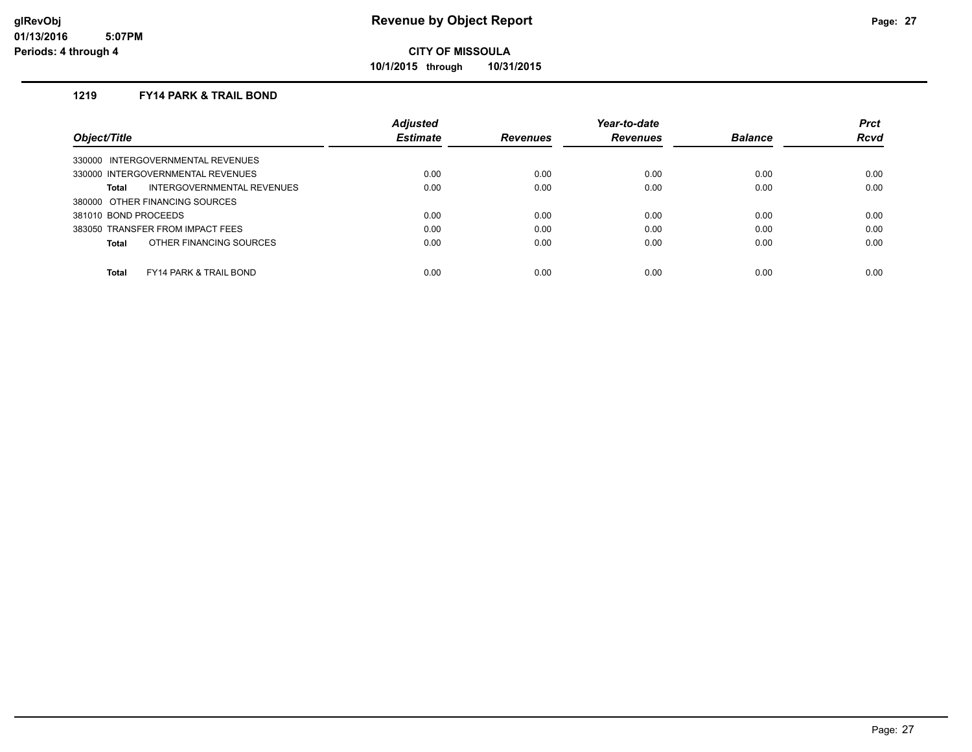**10/1/2015 through 10/31/2015**

#### **1219 FY14 PARK & TRAIL BOND**

|                                            | <b>Adjusted</b> |                 | Year-to-date    |                | <b>Prct</b> |
|--------------------------------------------|-----------------|-----------------|-----------------|----------------|-------------|
| Object/Title                               | <b>Estimate</b> | <b>Revenues</b> | <b>Revenues</b> | <b>Balance</b> | Rcvd        |
| 330000 INTERGOVERNMENTAL REVENUES          |                 |                 |                 |                |             |
| 330000 INTERGOVERNMENTAL REVENUES          | 0.00            | 0.00            | 0.00            | 0.00           | 0.00        |
| INTERGOVERNMENTAL REVENUES<br>Total        | 0.00            | 0.00            | 0.00            | 0.00           | 0.00        |
| 380000 OTHER FINANCING SOURCES             |                 |                 |                 |                |             |
| 381010 BOND PROCEEDS                       | 0.00            | 0.00            | 0.00            | 0.00           | 0.00        |
| 383050 TRANSFER FROM IMPACT FEES           | 0.00            | 0.00            | 0.00            | 0.00           | 0.00        |
| OTHER FINANCING SOURCES<br>Total           | 0.00            | 0.00            | 0.00            | 0.00           | 0.00        |
|                                            |                 |                 |                 |                |             |
| Total<br><b>FY14 PARK &amp; TRAIL BOND</b> | 0.00            | 0.00            | 0.00            | 0.00           | 0.00        |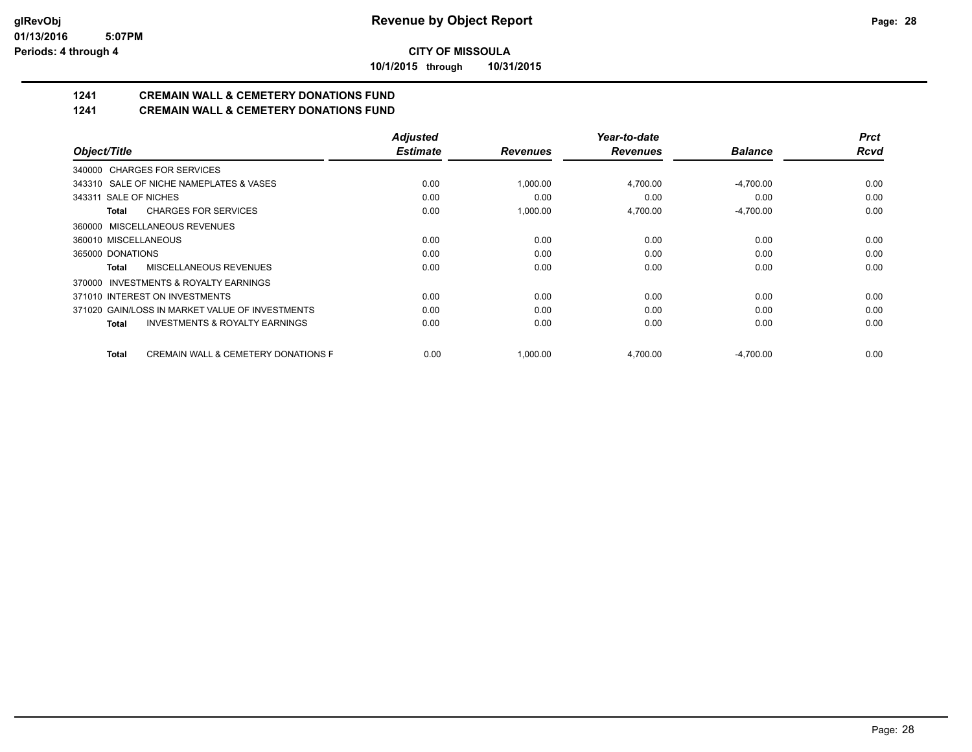**10/1/2015 through 10/31/2015**

# **1241 CREMAIN WALL & CEMETERY DONATIONS FUND**

**1241 CREMAIN WALL & CEMETERY DONATIONS FUND**

|                                                         | <b>Adjusted</b> |                 | Year-to-date    |                | <b>Prct</b> |
|---------------------------------------------------------|-----------------|-----------------|-----------------|----------------|-------------|
| Object/Title                                            | <b>Estimate</b> | <b>Revenues</b> | <b>Revenues</b> | <b>Balance</b> | <b>Rcvd</b> |
| 340000 CHARGES FOR SERVICES                             |                 |                 |                 |                |             |
| 343310 SALE OF NICHE NAMEPLATES & VASES                 | 0.00            | 1,000.00        | 4,700.00        | $-4,700.00$    | 0.00        |
| 343311 SALE OF NICHES                                   | 0.00            | 0.00            | 0.00            | 0.00           | 0.00        |
| <b>CHARGES FOR SERVICES</b><br>Total                    | 0.00            | 1,000.00        | 4,700.00        | $-4,700.00$    | 0.00        |
| 360000 MISCELLANEOUS REVENUES                           |                 |                 |                 |                |             |
| 360010 MISCELLANEOUS                                    | 0.00            | 0.00            | 0.00            | 0.00           | 0.00        |
| 365000 DONATIONS                                        | 0.00            | 0.00            | 0.00            | 0.00           | 0.00        |
| MISCELLANEOUS REVENUES<br>Total                         | 0.00            | 0.00            | 0.00            | 0.00           | 0.00        |
| INVESTMENTS & ROYALTY EARNINGS<br>370000                |                 |                 |                 |                |             |
| 371010 INTEREST ON INVESTMENTS                          | 0.00            | 0.00            | 0.00            | 0.00           | 0.00        |
| 371020 GAIN/LOSS IN MARKET VALUE OF INVESTMENTS         | 0.00            | 0.00            | 0.00            | 0.00           | 0.00        |
| <b>INVESTMENTS &amp; ROYALTY EARNINGS</b><br>Total      | 0.00            | 0.00            | 0.00            | 0.00           | 0.00        |
| <b>CREMAIN WALL &amp; CEMETERY DONATIONS F</b><br>Total | 0.00            | 1,000.00        | 4,700.00        | $-4,700.00$    | 0.00        |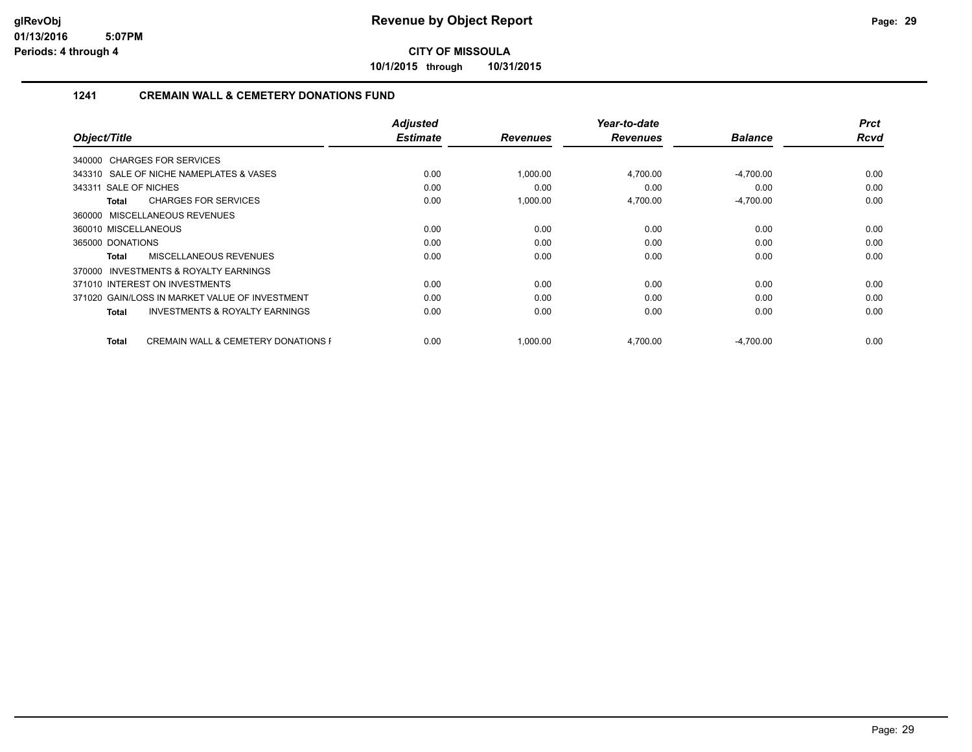**10/1/2015 through 10/31/2015**

#### **1241 CREMAIN WALL & CEMETERY DONATIONS FUND**

|                                                                | <b>Adjusted</b><br><b>Estimate</b> |                 | Year-to-date    | <b>Balance</b> | <b>Prct</b><br><b>Rcvd</b> |
|----------------------------------------------------------------|------------------------------------|-----------------|-----------------|----------------|----------------------------|
| Object/Title                                                   |                                    | <b>Revenues</b> | <b>Revenues</b> |                |                            |
| 340000 CHARGES FOR SERVICES                                    |                                    |                 |                 |                |                            |
| 343310 SALE OF NICHE NAMEPLATES & VASES                        | 0.00                               | 1,000.00        | 4,700.00        | $-4,700.00$    | 0.00                       |
| 343311 SALE OF NICHES                                          | 0.00                               | 0.00            | 0.00            | 0.00           | 0.00                       |
| <b>CHARGES FOR SERVICES</b><br><b>Total</b>                    | 0.00                               | 1,000.00        | 4,700.00        | $-4,700.00$    | 0.00                       |
| 360000 MISCELLANEOUS REVENUES                                  |                                    |                 |                 |                |                            |
| 360010 MISCELLANEOUS                                           | 0.00                               | 0.00            | 0.00            | 0.00           | 0.00                       |
| 365000 DONATIONS                                               | 0.00                               | 0.00            | 0.00            | 0.00           | 0.00                       |
| <b>MISCELLANEOUS REVENUES</b><br>Total                         | 0.00                               | 0.00            | 0.00            | 0.00           | 0.00                       |
| 370000 INVESTMENTS & ROYALTY EARNINGS                          |                                    |                 |                 |                |                            |
| 371010 INTEREST ON INVESTMENTS                                 | 0.00                               | 0.00            | 0.00            | 0.00           | 0.00                       |
| 371020 GAIN/LOSS IN MARKET VALUE OF INVESTMENT                 | 0.00                               | 0.00            | 0.00            | 0.00           | 0.00                       |
| <b>INVESTMENTS &amp; ROYALTY EARNINGS</b><br>Total             | 0.00                               | 0.00            | 0.00            | 0.00           | 0.00                       |
| <b>CREMAIN WALL &amp; CEMETERY DONATIONS F</b><br><b>Total</b> | 0.00                               | 1,000.00        | 4,700.00        | $-4,700.00$    | 0.00                       |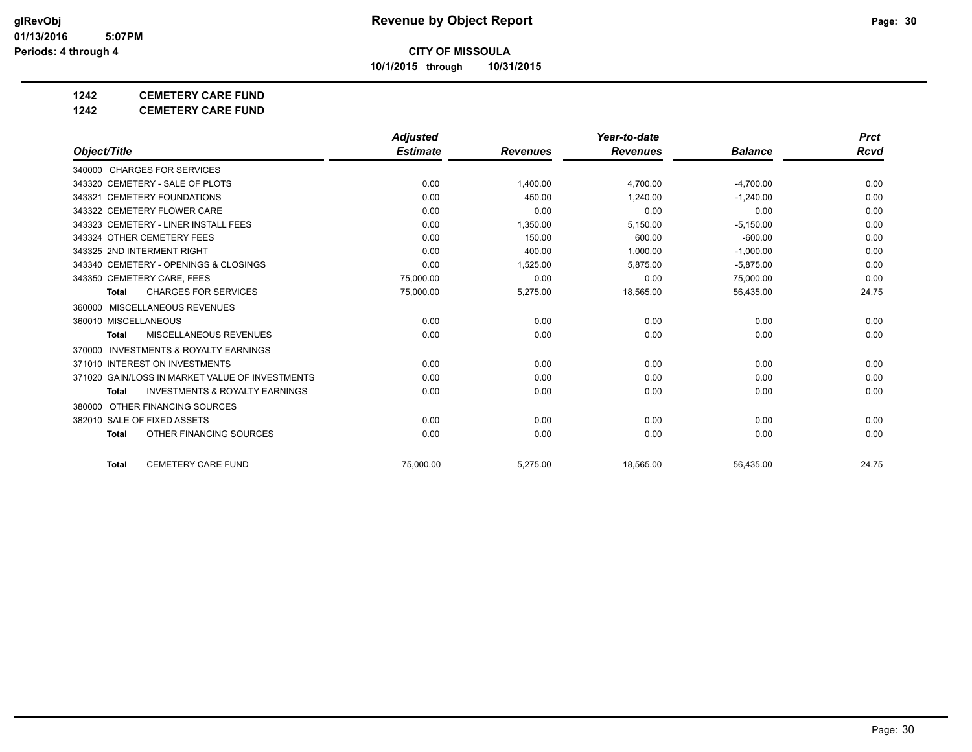**10/1/2015 through 10/31/2015**

## **1242 CEMETERY CARE FUND**

**1242 CEMETERY CARE FUND**

|                                                     | <b>Adjusted</b> |                 | Year-to-date    |                | <b>Prct</b> |
|-----------------------------------------------------|-----------------|-----------------|-----------------|----------------|-------------|
| Object/Title                                        | <b>Estimate</b> | <b>Revenues</b> | <b>Revenues</b> | <b>Balance</b> | Rcvd        |
| 340000 CHARGES FOR SERVICES                         |                 |                 |                 |                |             |
| 343320 CEMETERY - SALE OF PLOTS                     | 0.00            | 1,400.00        | 4,700.00        | $-4,700.00$    | 0.00        |
| 343321 CEMETERY FOUNDATIONS                         | 0.00            | 450.00          | 1.240.00        | $-1.240.00$    | 0.00        |
| 343322 CEMETERY FLOWER CARE                         | 0.00            | 0.00            | 0.00            | 0.00           | 0.00        |
| 343323 CEMETERY - LINER INSTALL FEES                | 0.00            | 1,350.00        | 5,150.00        | $-5,150.00$    | 0.00        |
| 343324 OTHER CEMETERY FEES                          | 0.00            | 150.00          | 600.00          | $-600.00$      | 0.00        |
| 343325 2ND INTERMENT RIGHT                          | 0.00            | 400.00          | 1.000.00        | $-1,000.00$    | 0.00        |
| 343340 CEMETERY - OPENINGS & CLOSINGS               | 0.00            | 1,525.00        | 5,875.00        | $-5,875.00$    | 0.00        |
| 343350 CEMETERY CARE, FEES                          | 75,000.00       | 0.00            | 0.00            | 75,000.00      | 0.00        |
| <b>CHARGES FOR SERVICES</b><br><b>Total</b>         | 75,000.00       | 5,275.00        | 18,565.00       | 56,435.00      | 24.75       |
| MISCELLANEOUS REVENUES<br>360000                    |                 |                 |                 |                |             |
| 360010 MISCELLANEOUS                                | 0.00            | 0.00            | 0.00            | 0.00           | 0.00        |
| MISCELLANEOUS REVENUES<br><b>Total</b>              | 0.00            | 0.00            | 0.00            | 0.00           | 0.00        |
| <b>INVESTMENTS &amp; ROYALTY EARNINGS</b><br>370000 |                 |                 |                 |                |             |
| 371010 INTEREST ON INVESTMENTS                      | 0.00            | 0.00            | 0.00            | 0.00           | 0.00        |
| 371020 GAIN/LOSS IN MARKET VALUE OF INVESTMENTS     | 0.00            | 0.00            | 0.00            | 0.00           | 0.00        |
| <b>INVESTMENTS &amp; ROYALTY EARNINGS</b><br>Total  | 0.00            | 0.00            | 0.00            | 0.00           | 0.00        |
| 380000 OTHER FINANCING SOURCES                      |                 |                 |                 |                |             |
| 382010 SALE OF FIXED ASSETS                         | 0.00            | 0.00            | 0.00            | 0.00           | 0.00        |
| OTHER FINANCING SOURCES<br><b>Total</b>             | 0.00            | 0.00            | 0.00            | 0.00           | 0.00        |
| <b>CEMETERY CARE FUND</b><br><b>Total</b>           | 75.000.00       | 5,275.00        | 18,565.00       | 56,435.00      | 24.75       |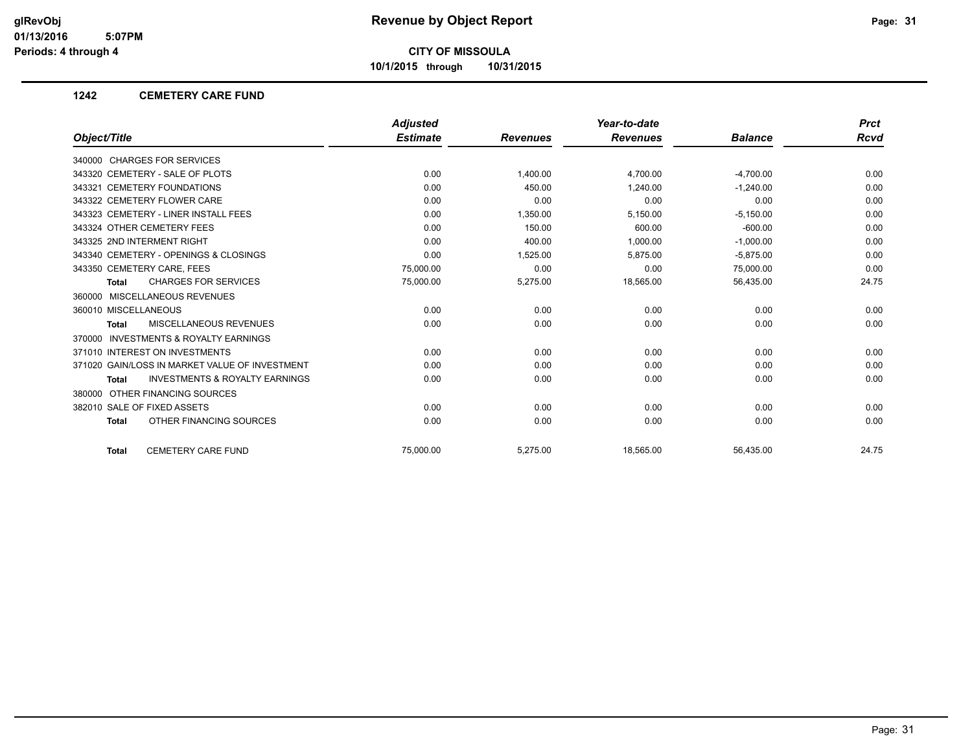**10/1/2015 through 10/31/2015**

#### **1242 CEMETERY CARE FUND**

|                                                    | <b>Adjusted</b> |                 | Year-to-date    |                | <b>Prct</b> |
|----------------------------------------------------|-----------------|-----------------|-----------------|----------------|-------------|
| Object/Title                                       | <b>Estimate</b> | <b>Revenues</b> | <b>Revenues</b> | <b>Balance</b> | Rcvd        |
| 340000 CHARGES FOR SERVICES                        |                 |                 |                 |                |             |
| 343320 CEMETERY - SALE OF PLOTS                    | 0.00            | 1.400.00        | 4,700.00        | $-4,700.00$    | 0.00        |
| 343321 CEMETERY FOUNDATIONS                        | 0.00            | 450.00          | 1.240.00        | $-1,240.00$    | 0.00        |
| 343322 CEMETERY FLOWER CARE                        | 0.00            | 0.00            | 0.00            | 0.00           | 0.00        |
| 343323 CEMETERY - LINER INSTALL FEES               | 0.00            | 1,350.00        | 5,150.00        | $-5,150.00$    | 0.00        |
| 343324 OTHER CEMETERY FEES                         | 0.00            | 150.00          | 600.00          | $-600.00$      | 0.00        |
| 343325 2ND INTERMENT RIGHT                         | 0.00            | 400.00          | 1,000.00        | $-1,000.00$    | 0.00        |
| 343340 CEMETERY - OPENINGS & CLOSINGS              | 0.00            | 1,525.00        | 5,875.00        | $-5,875.00$    | 0.00        |
| 343350 CEMETERY CARE, FEES                         | 75,000.00       | 0.00            | 0.00            | 75,000.00      | 0.00        |
| <b>CHARGES FOR SERVICES</b><br>Total               | 75,000.00       | 5,275.00        | 18,565.00       | 56,435.00      | 24.75       |
| 360000 MISCELLANEOUS REVENUES                      |                 |                 |                 |                |             |
| 360010 MISCELLANEOUS                               | 0.00            | 0.00            | 0.00            | 0.00           | 0.00        |
| <b>MISCELLANEOUS REVENUES</b><br><b>Total</b>      | 0.00            | 0.00            | 0.00            | 0.00           | 0.00        |
| 370000 INVESTMENTS & ROYALTY EARNINGS              |                 |                 |                 |                |             |
| 371010 INTEREST ON INVESTMENTS                     | 0.00            | 0.00            | 0.00            | 0.00           | 0.00        |
| 371020 GAIN/LOSS IN MARKET VALUE OF INVESTMENT     | 0.00            | 0.00            | 0.00            | 0.00           | 0.00        |
| <b>INVESTMENTS &amp; ROYALTY EARNINGS</b><br>Total | 0.00            | 0.00            | 0.00            | 0.00           | 0.00        |
| 380000 OTHER FINANCING SOURCES                     |                 |                 |                 |                |             |
| 382010 SALE OF FIXED ASSETS                        | 0.00            | 0.00            | 0.00            | 0.00           | 0.00        |
| OTHER FINANCING SOURCES<br><b>Total</b>            | 0.00            | 0.00            | 0.00            | 0.00           | 0.00        |
| <b>CEMETERY CARE FUND</b><br><b>Total</b>          | 75.000.00       | 5,275.00        | 18,565.00       | 56,435.00      | 24.75       |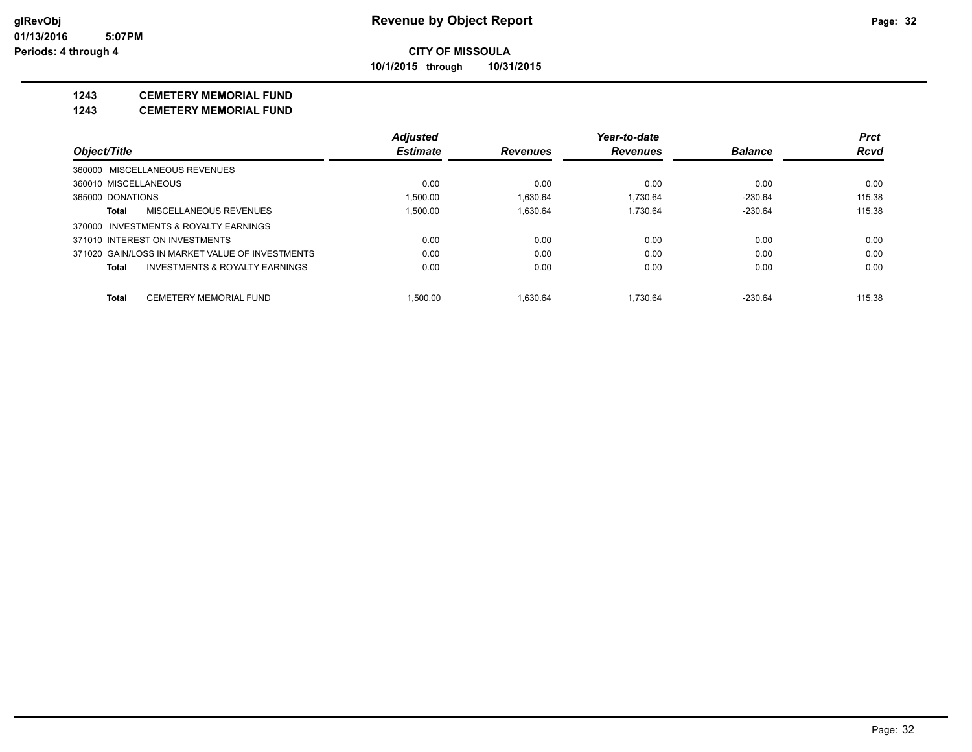**10/1/2015 through 10/31/2015**

## **1243 CEMETERY MEMORIAL FUND**

**1243 CEMETERY MEMORIAL FUND**

|                                |                                                 | <b>Adjusted</b> |                 | Year-to-date    |                | <b>Prct</b> |
|--------------------------------|-------------------------------------------------|-----------------|-----------------|-----------------|----------------|-------------|
| Object/Title                   |                                                 | <b>Estimate</b> | <b>Revenues</b> | <b>Revenues</b> | <b>Balance</b> | <b>Rcvd</b> |
| 360000 MISCELLANEOUS REVENUES  |                                                 |                 |                 |                 |                |             |
| 360010 MISCELLANEOUS           |                                                 | 0.00            | 0.00            | 0.00            | 0.00           | 0.00        |
| 365000 DONATIONS               |                                                 | 1.500.00        | 1.630.64        | 1.730.64        | $-230.64$      | 115.38      |
| Total                          | MISCELLANEOUS REVENUES                          | 1.500.00        | 1.630.64        | 1.730.64        | $-230.64$      | 115.38      |
|                                | 370000 INVESTMENTS & ROYALTY EARNINGS           |                 |                 |                 |                |             |
| 371010 INTEREST ON INVESTMENTS |                                                 | 0.00            | 0.00            | 0.00            | 0.00           | 0.00        |
|                                | 371020 GAIN/LOSS IN MARKET VALUE OF INVESTMENTS | 0.00            | 0.00            | 0.00            | 0.00           | 0.00        |
| Total                          | INVESTMENTS & ROYALTY EARNINGS                  | 0.00            | 0.00            | 0.00            | 0.00           | 0.00        |
| <b>Total</b>                   | <b>CEMETERY MEMORIAL FUND</b>                   | 1.500.00        | 1.630.64        | 1.730.64        | $-230.64$      | 115.38      |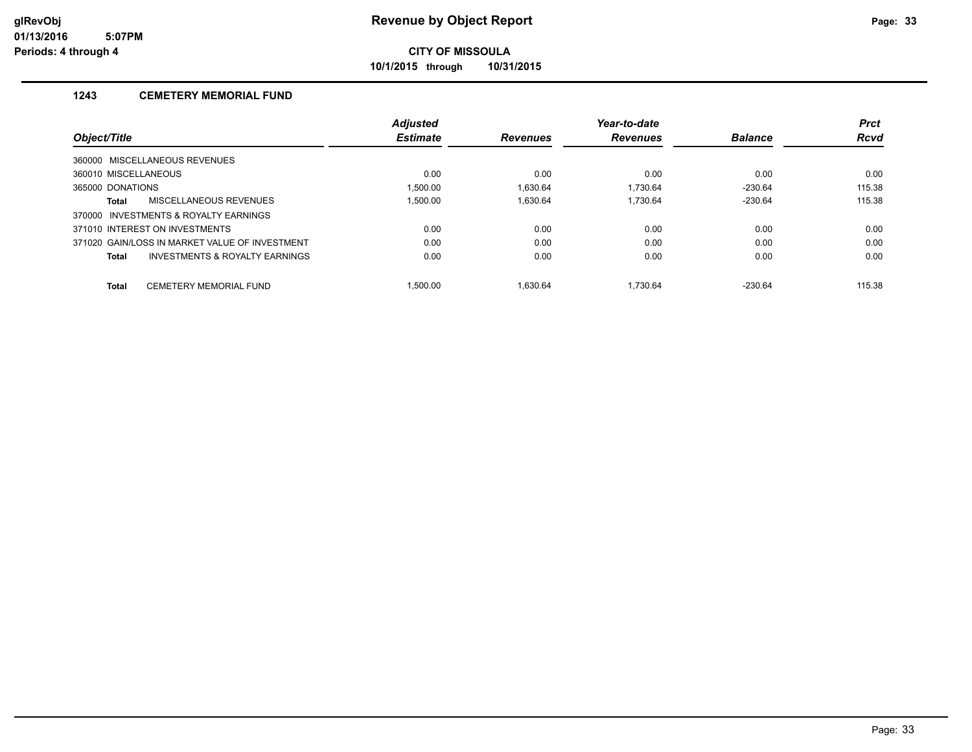**10/1/2015 through 10/31/2015**

### **1243 CEMETERY MEMORIAL FUND**

|                                                | <b>Adjusted</b> |                 | Year-to-date    |                | <b>Prct</b> |
|------------------------------------------------|-----------------|-----------------|-----------------|----------------|-------------|
| Object/Title                                   | <b>Estimate</b> | <b>Revenues</b> | <b>Revenues</b> | <b>Balance</b> | <b>Rcvd</b> |
| 360000 MISCELLANEOUS REVENUES                  |                 |                 |                 |                |             |
| 360010 MISCELLANEOUS                           | 0.00            | 0.00            | 0.00            | 0.00           | 0.00        |
| 365000 DONATIONS                               | 1.500.00        | 1.630.64        | 1.730.64        | $-230.64$      | 115.38      |
| MISCELLANEOUS REVENUES<br>Total                | 1.500.00        | 1.630.64        | 1.730.64        | $-230.64$      | 115.38      |
| INVESTMENTS & ROYALTY EARNINGS<br>370000       |                 |                 |                 |                |             |
| 371010 INTEREST ON INVESTMENTS                 | 0.00            | 0.00            | 0.00            | 0.00           | 0.00        |
| 371020 GAIN/LOSS IN MARKET VALUE OF INVESTMENT | 0.00            | 0.00            | 0.00            | 0.00           | 0.00        |
| INVESTMENTS & ROYALTY EARNINGS<br><b>Total</b> | 0.00            | 0.00            | 0.00            | 0.00           | 0.00        |
| CEMETERY MEMORIAL FUND<br><b>Total</b>         | 1.500.00        | 1.630.64        | .730.64         | $-230.64$      | 115.38      |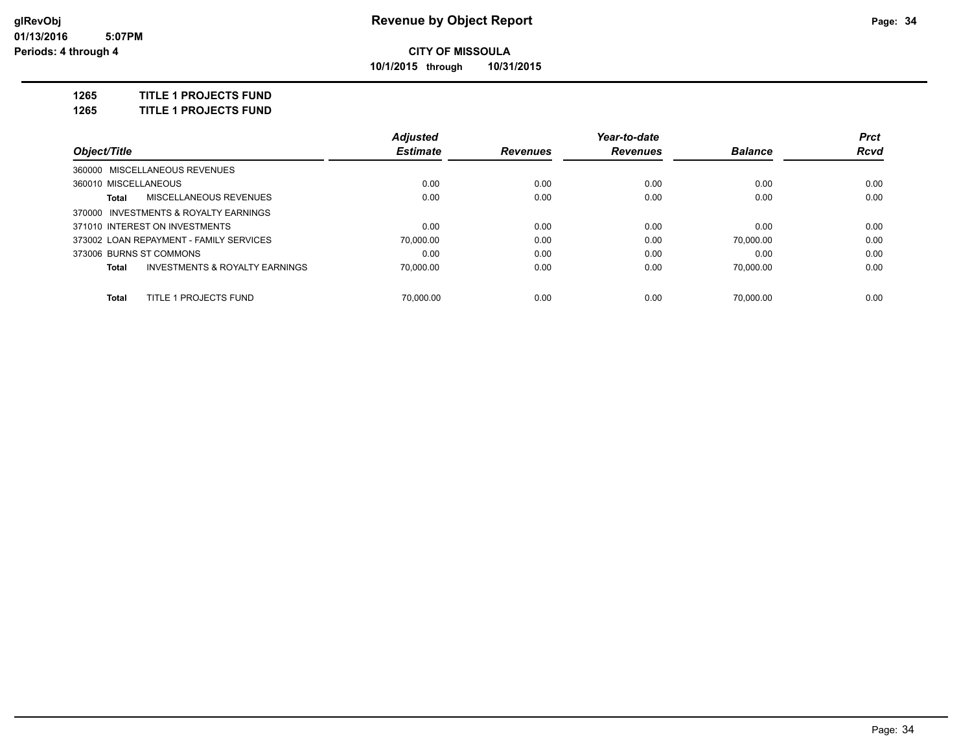**10/1/2015 through 10/31/2015**

**1265 TITLE 1 PROJECTS FUND**

**1265 TITLE 1 PROJECTS FUND**

|                                                    | <b>Adjusted</b> |                 | Year-to-date    |                | <b>Prct</b> |
|----------------------------------------------------|-----------------|-----------------|-----------------|----------------|-------------|
| Object/Title                                       | <b>Estimate</b> | <b>Revenues</b> | <b>Revenues</b> | <b>Balance</b> | <b>Rcvd</b> |
| 360000 MISCELLANEOUS REVENUES                      |                 |                 |                 |                |             |
| 360010 MISCELLANEOUS                               | 0.00            | 0.00            | 0.00            | 0.00           | 0.00        |
| MISCELLANEOUS REVENUES<br>Total                    | 0.00            | 0.00            | 0.00            | 0.00           | 0.00        |
| 370000 INVESTMENTS & ROYALTY EARNINGS              |                 |                 |                 |                |             |
| 371010 INTEREST ON INVESTMENTS                     | 0.00            | 0.00            | 0.00            | 0.00           | 0.00        |
| 373002 LOAN REPAYMENT - FAMILY SERVICES            | 70.000.00       | 0.00            | 0.00            | 70.000.00      | 0.00        |
| 373006 BURNS ST COMMONS                            | 0.00            | 0.00            | 0.00            | 0.00           | 0.00        |
| <b>INVESTMENTS &amp; ROYALTY EARNINGS</b><br>Total | 70.000.00       | 0.00            | 0.00            | 70.000.00      | 0.00        |
|                                                    |                 |                 |                 |                |             |
| TITLE 1 PROJECTS FUND<br>Total                     | 70.000.00       | 0.00            | 0.00            | 70.000.00      | 0.00        |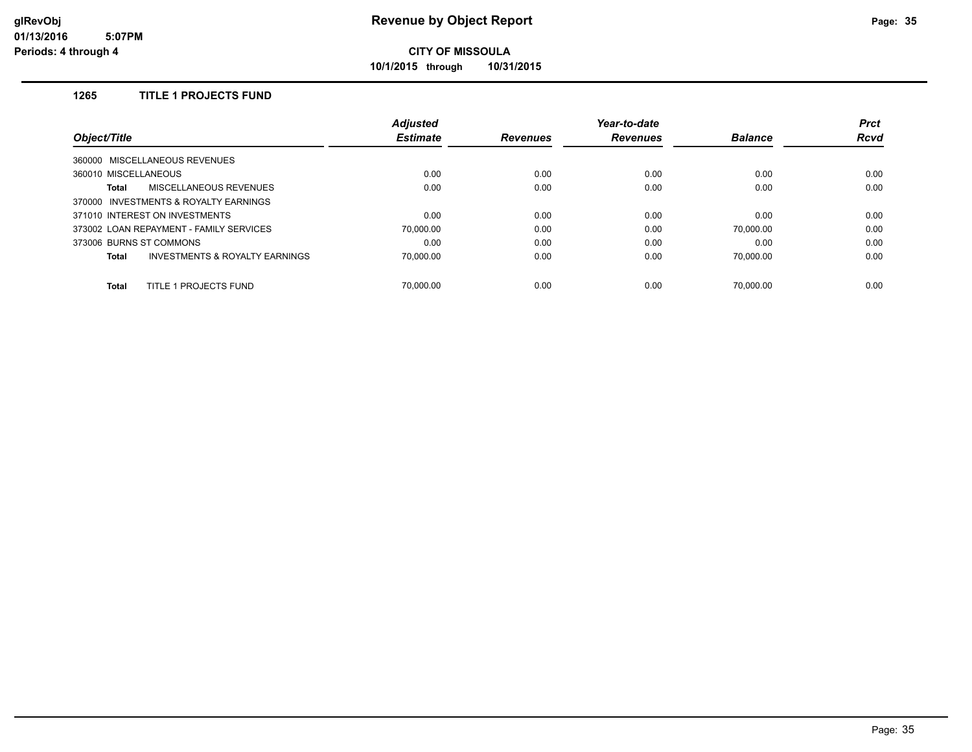**10/1/2015 through 10/31/2015**

### **1265 TITLE 1 PROJECTS FUND**

| Object/Title                            | <b>Adjusted</b> |                 | Year-to-date    |                | <b>Prct</b> |
|-----------------------------------------|-----------------|-----------------|-----------------|----------------|-------------|
|                                         | <b>Estimate</b> | <b>Revenues</b> | <b>Revenues</b> | <b>Balance</b> | <b>Rcvd</b> |
| 360000 MISCELLANEOUS REVENUES           |                 |                 |                 |                |             |
| 360010 MISCELLANEOUS                    | 0.00            | 0.00            | 0.00            | 0.00           | 0.00        |
| MISCELLANEOUS REVENUES<br>Total         | 0.00            | 0.00            | 0.00            | 0.00           | 0.00        |
| 370000 INVESTMENTS & ROYALTY EARNINGS   |                 |                 |                 |                |             |
| 371010 INTEREST ON INVESTMENTS          | 0.00            | 0.00            | 0.00            | 0.00           | 0.00        |
| 373002 LOAN REPAYMENT - FAMILY SERVICES | 70,000.00       | 0.00            | 0.00            | 70,000.00      | 0.00        |
| 373006 BURNS ST COMMONS                 | 0.00            | 0.00            | 0.00            | 0.00           | 0.00        |
| INVESTMENTS & ROYALTY EARNINGS<br>Total | 70,000.00       | 0.00            | 0.00            | 70.000.00      | 0.00        |
| TITLE 1 PROJECTS FUND<br><b>Total</b>   | 70.000.00       | 0.00            | 0.00            | 70.000.00      | 0.00        |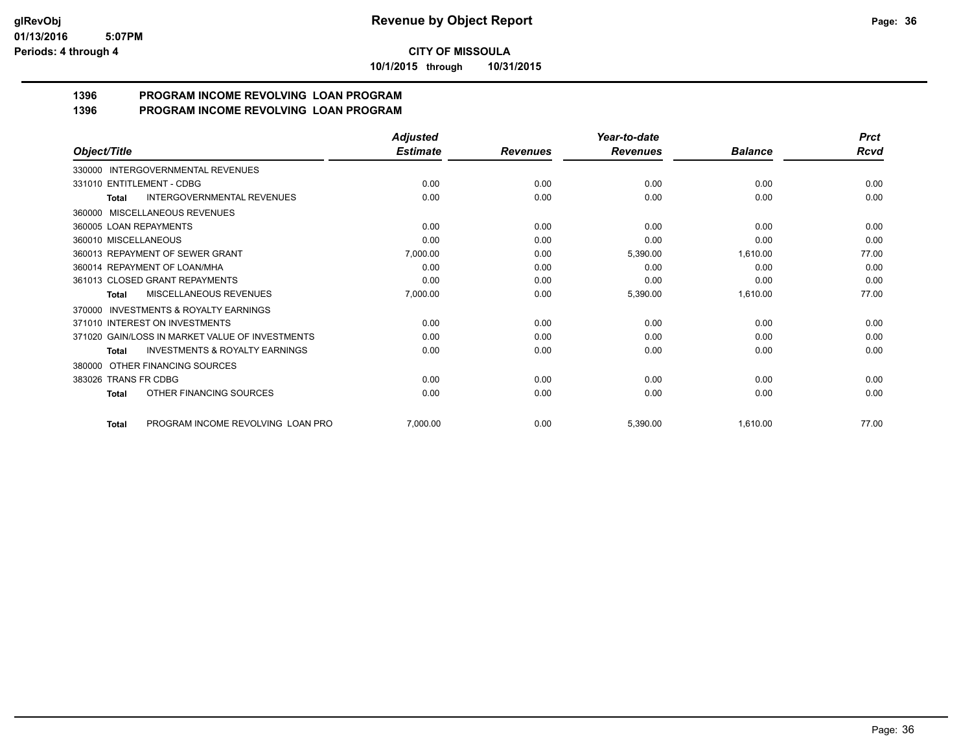**10/1/2015 through 10/31/2015**

#### **1396 PROGRAM INCOME REVOLVING LOAN PROGRAM 1396 PROGRAM INCOME REVOLVING LOAN PROGRAM**

| Object/Title                                              | <b>Adjusted</b> |                 | Year-to-date    | <b>Balance</b> | <b>Prct</b><br>Rcvd |
|-----------------------------------------------------------|-----------------|-----------------|-----------------|----------------|---------------------|
|                                                           | <b>Estimate</b> | <b>Revenues</b> | <b>Revenues</b> |                |                     |
| 330000 INTERGOVERNMENTAL REVENUES                         |                 |                 |                 |                |                     |
| 331010 ENTITLEMENT - CDBG                                 | 0.00            | 0.00            | 0.00            | 0.00           | 0.00                |
| INTERGOVERNMENTAL REVENUES<br><b>Total</b>                | 0.00            | 0.00            | 0.00            | 0.00           | 0.00                |
| MISCELLANEOUS REVENUES<br>360000                          |                 |                 |                 |                |                     |
| 360005 LOAN REPAYMENTS                                    | 0.00            | 0.00            | 0.00            | 0.00           | 0.00                |
| 360010 MISCELLANEOUS                                      | 0.00            | 0.00            | 0.00            | 0.00           | 0.00                |
| 360013 REPAYMENT OF SEWER GRANT                           | 7,000.00        | 0.00            | 5,390.00        | 1,610.00       | 77.00               |
| 360014 REPAYMENT OF LOAN/MHA                              | 0.00            | 0.00            | 0.00            | 0.00           | 0.00                |
| 361013 CLOSED GRANT REPAYMENTS                            | 0.00            | 0.00            | 0.00            | 0.00           | 0.00                |
| MISCELLANEOUS REVENUES<br><b>Total</b>                    | 7,000.00        | 0.00            | 5,390.00        | 1,610.00       | 77.00               |
| <b>INVESTMENTS &amp; ROYALTY EARNINGS</b><br>370000       |                 |                 |                 |                |                     |
| 371010 INTEREST ON INVESTMENTS                            | 0.00            | 0.00            | 0.00            | 0.00           | 0.00                |
| 371020 GAIN/LOSS IN MARKET VALUE OF INVESTMENTS           | 0.00            | 0.00            | 0.00            | 0.00           | 0.00                |
| <b>INVESTMENTS &amp; ROYALTY EARNINGS</b><br><b>Total</b> | 0.00            | 0.00            | 0.00            | 0.00           | 0.00                |
| OTHER FINANCING SOURCES<br>380000                         |                 |                 |                 |                |                     |
| 383026 TRANS FR CDBG                                      | 0.00            | 0.00            | 0.00            | 0.00           | 0.00                |
| OTHER FINANCING SOURCES<br>Total                          | 0.00            | 0.00            | 0.00            | 0.00           | 0.00                |
| PROGRAM INCOME REVOLVING LOAN PRO<br><b>Total</b>         | 7,000.00        | 0.00            | 5,390.00        | 1,610.00       | 77.00               |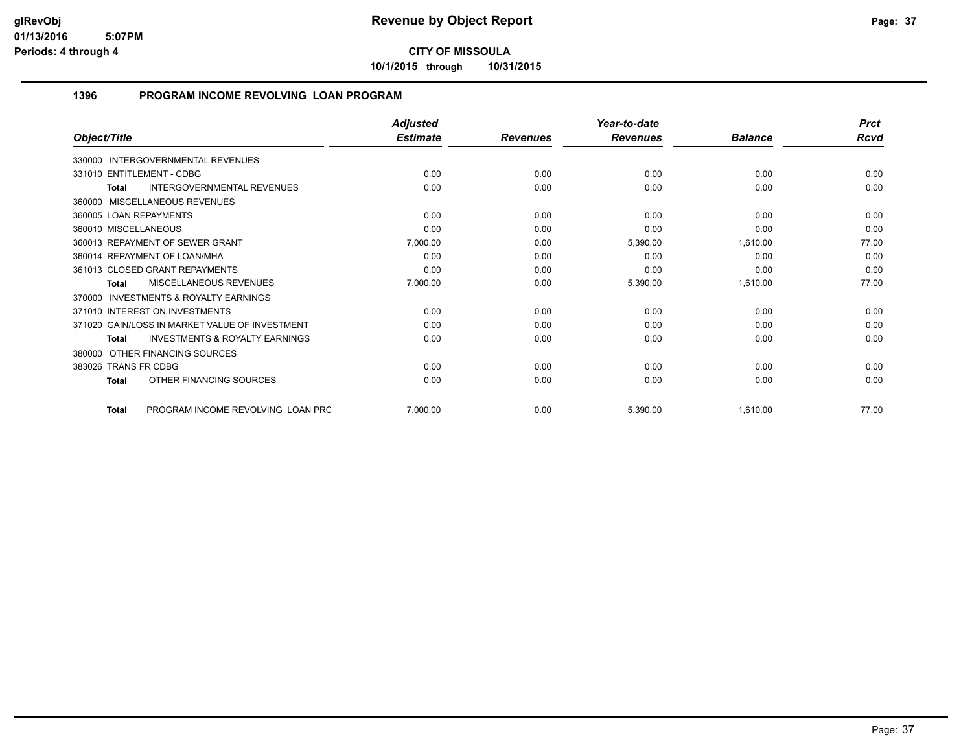**10/1/2015 through 10/31/2015**

# **1396 PROGRAM INCOME REVOLVING LOAN PROGRAM**

|                                                           | <b>Adjusted</b> |                 | Year-to-date    |                | <b>Prct</b> |
|-----------------------------------------------------------|-----------------|-----------------|-----------------|----------------|-------------|
| Object/Title                                              | <b>Estimate</b> | <b>Revenues</b> | <b>Revenues</b> | <b>Balance</b> | <b>Rcvd</b> |
| 330000 INTERGOVERNMENTAL REVENUES                         |                 |                 |                 |                |             |
| 331010 ENTITLEMENT - CDBG                                 | 0.00            | 0.00            | 0.00            | 0.00           | 0.00        |
| <b>INTERGOVERNMENTAL REVENUES</b><br>Total                | 0.00            | 0.00            | 0.00            | 0.00           | 0.00        |
| 360000 MISCELLANEOUS REVENUES                             |                 |                 |                 |                |             |
| 360005 LOAN REPAYMENTS                                    | 0.00            | 0.00            | 0.00            | 0.00           | 0.00        |
| 360010 MISCELLANEOUS                                      | 0.00            | 0.00            | 0.00            | 0.00           | 0.00        |
| 360013 REPAYMENT OF SEWER GRANT                           | 7,000.00        | 0.00            | 5,390.00        | 1,610.00       | 77.00       |
| 360014 REPAYMENT OF LOAN/MHA                              | 0.00            | 0.00            | 0.00            | 0.00           | 0.00        |
| 361013 CLOSED GRANT REPAYMENTS                            | 0.00            | 0.00            | 0.00            | 0.00           | 0.00        |
| MISCELLANEOUS REVENUES<br>Total                           | 7,000.00        | 0.00            | 5,390.00        | 1,610.00       | 77.00       |
| <b>INVESTMENTS &amp; ROYALTY EARNINGS</b><br>370000       |                 |                 |                 |                |             |
| 371010 INTEREST ON INVESTMENTS                            | 0.00            | 0.00            | 0.00            | 0.00           | 0.00        |
| 371020 GAIN/LOSS IN MARKET VALUE OF INVESTMENT            | 0.00            | 0.00            | 0.00            | 0.00           | 0.00        |
| <b>INVESTMENTS &amp; ROYALTY EARNINGS</b><br><b>Total</b> | 0.00            | 0.00            | 0.00            | 0.00           | 0.00        |
| 380000 OTHER FINANCING SOURCES                            |                 |                 |                 |                |             |
| 383026 TRANS FR CDBG                                      | 0.00            | 0.00            | 0.00            | 0.00           | 0.00        |
| OTHER FINANCING SOURCES<br>Total                          | 0.00            | 0.00            | 0.00            | 0.00           | 0.00        |
| PROGRAM INCOME REVOLVING LOAN PRC<br><b>Total</b>         | 7,000.00        | 0.00            | 5,390.00        | 1,610.00       | 77.00       |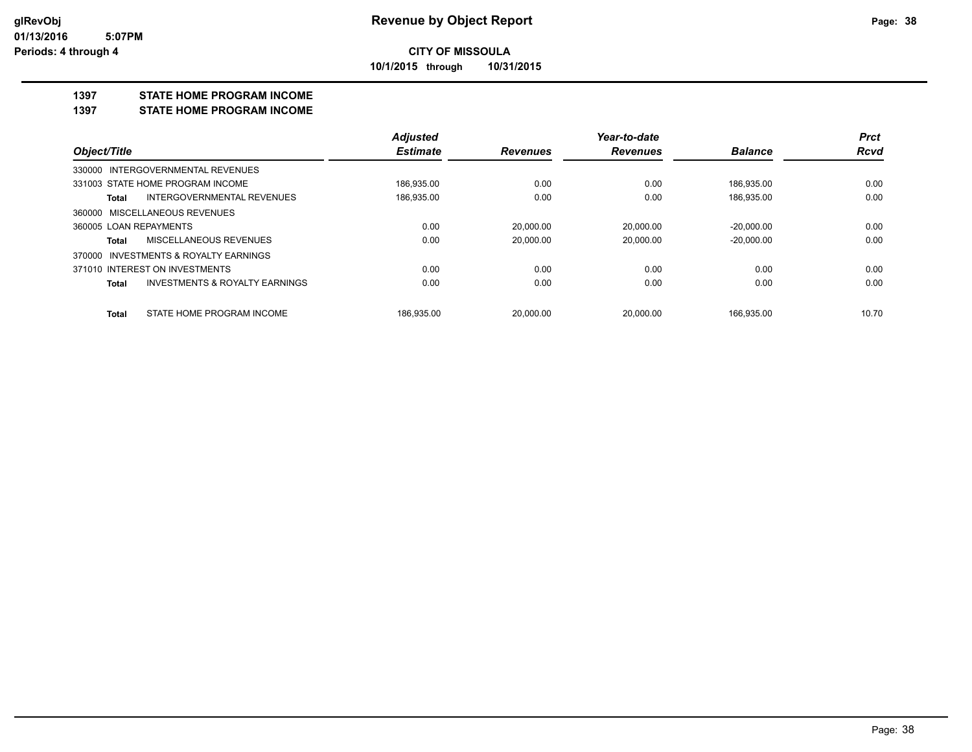## **CITY OF MISSOULA 10/1/2015 through 10/31/2015**

#### **1397 STATE HOME PROGRAM INCOME**

#### **1397 STATE HOME PROGRAM INCOME**

|                                            | <b>Adjusted</b> |                 | Year-to-date    |                | <b>Prct</b> |
|--------------------------------------------|-----------------|-----------------|-----------------|----------------|-------------|
| Object/Title                               | <b>Estimate</b> | <b>Revenues</b> | <b>Revenues</b> | <b>Balance</b> | <b>Rcvd</b> |
| 330000 INTERGOVERNMENTAL REVENUES          |                 |                 |                 |                |             |
| 331003 STATE HOME PROGRAM INCOME           | 186,935.00      | 0.00            | 0.00            | 186,935.00     | 0.00        |
| <b>INTERGOVERNMENTAL REVENUES</b><br>Total | 186,935.00      | 0.00            | 0.00            | 186,935.00     | 0.00        |
| 360000 MISCELLANEOUS REVENUES              |                 |                 |                 |                |             |
| 360005 LOAN REPAYMENTS                     | 0.00            | 20.000.00       | 20.000.00       | $-20.000.00$   | 0.00        |
| MISCELLANEOUS REVENUES<br>Total            | 0.00            | 20.000.00       | 20.000.00       | $-20,000.00$   | 0.00        |
| 370000 INVESTMENTS & ROYALTY EARNINGS      |                 |                 |                 |                |             |
| 371010 INTEREST ON INVESTMENTS             | 0.00            | 0.00            | 0.00            | 0.00           | 0.00        |
| INVESTMENTS & ROYALTY EARNINGS<br>Total    | 0.00            | 0.00            | 0.00            | 0.00           | 0.00        |
| STATE HOME PROGRAM INCOME<br>Total         | 186.935.00      | 20.000.00       | 20.000.00       | 166.935.00     | 10.70       |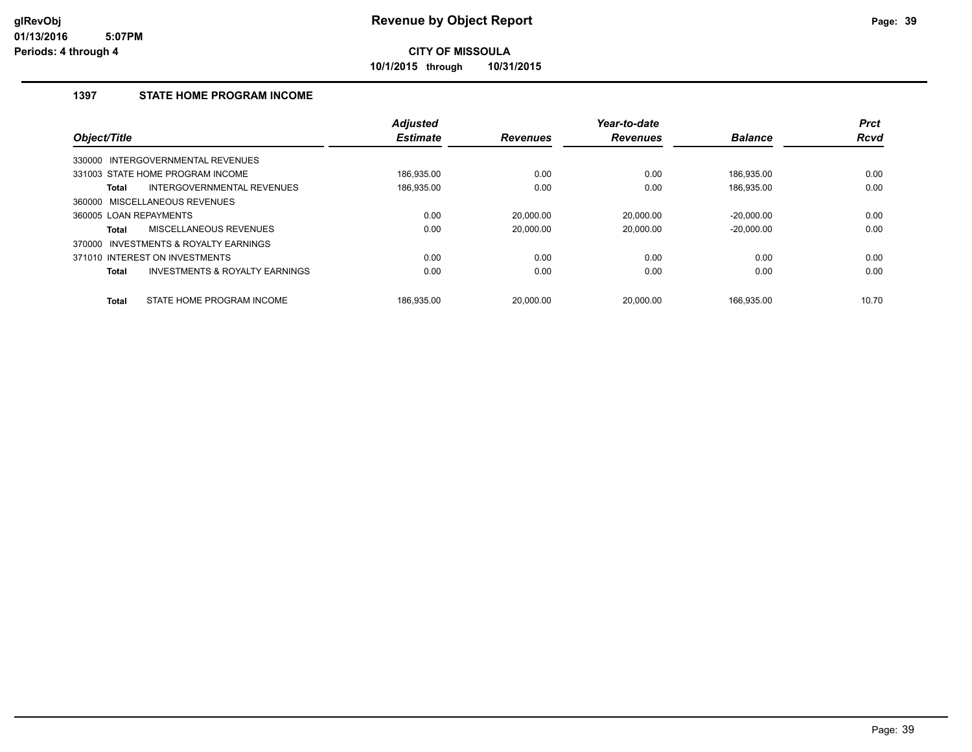**10/1/2015 through 10/31/2015**

# **1397 STATE HOME PROGRAM INCOME**

| Object/Title           |                                           | <b>Adjusted</b><br><b>Estimate</b> | <b>Revenues</b> | Year-to-date<br><b>Revenues</b> | <b>Balance</b> | <b>Prct</b><br><b>Rcvd</b> |
|------------------------|-------------------------------------------|------------------------------------|-----------------|---------------------------------|----------------|----------------------------|
|                        |                                           |                                    |                 |                                 |                |                            |
| 330000                 | INTERGOVERNMENTAL REVENUES                |                                    |                 |                                 |                |                            |
|                        | 331003 STATE HOME PROGRAM INCOME          | 186.935.00                         | 0.00            | 0.00                            | 186.935.00     | 0.00                       |
| <b>Total</b>           | INTERGOVERNMENTAL REVENUES                | 186,935.00                         | 0.00            | 0.00                            | 186,935.00     | 0.00                       |
| 360000                 | MISCELLANEOUS REVENUES                    |                                    |                 |                                 |                |                            |
| 360005 LOAN REPAYMENTS |                                           | 0.00                               | 20.000.00       | 20.000.00                       | $-20.000.00$   | 0.00                       |
| Total                  | MISCELLANEOUS REVENUES                    | 0.00                               | 20.000.00       | 20.000.00                       | $-20.000.00$   | 0.00                       |
| 370000                 | INVESTMENTS & ROYALTY EARNINGS            |                                    |                 |                                 |                |                            |
|                        | 371010 INTEREST ON INVESTMENTS            | 0.00                               | 0.00            | 0.00                            | 0.00           | 0.00                       |
| <b>Total</b>           | <b>INVESTMENTS &amp; ROYALTY EARNINGS</b> | 0.00                               | 0.00            | 0.00                            | 0.00           | 0.00                       |
| <b>Total</b>           | STATE HOME PROGRAM INCOME                 | 186.935.00                         | 20.000.00       | 20.000.00                       | 166.935.00     | 10.70                      |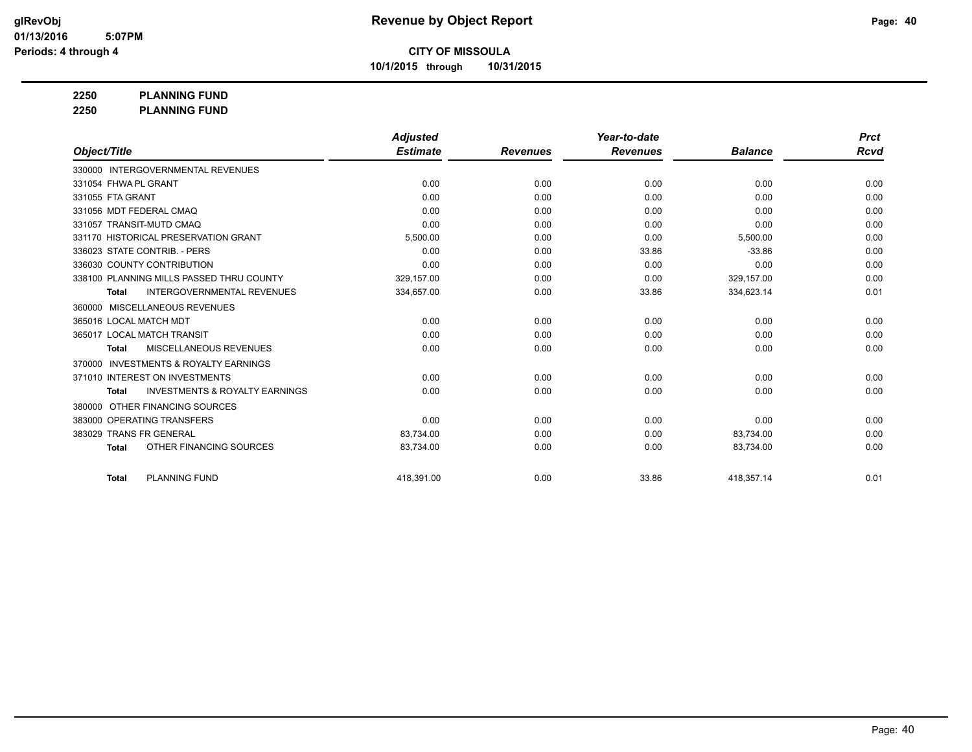**10/1/2015 through 10/31/2015**

**2250 PLANNING FUND**

**2250 PLANNING FUND**

|                          |                                           | <b>Adjusted</b> |                 | Year-to-date    |                | <b>Prct</b> |
|--------------------------|-------------------------------------------|-----------------|-----------------|-----------------|----------------|-------------|
| Object/Title             |                                           | <b>Estimate</b> | <b>Revenues</b> | <b>Revenues</b> | <b>Balance</b> | <b>Rcvd</b> |
|                          | 330000 INTERGOVERNMENTAL REVENUES         |                 |                 |                 |                |             |
| 331054 FHWA PL GRANT     |                                           | 0.00            | 0.00            | 0.00            | 0.00           | 0.00        |
| 331055 FTA GRANT         |                                           | 0.00            | 0.00            | 0.00            | 0.00           | 0.00        |
| 331056 MDT FEDERAL CMAO  |                                           | 0.00            | 0.00            | 0.00            | 0.00           | 0.00        |
| 331057 TRANSIT-MUTD CMAQ |                                           | 0.00            | 0.00            | 0.00            | 0.00           | 0.00        |
|                          | 331170 HISTORICAL PRESERVATION GRANT      | 5,500.00        | 0.00            | 0.00            | 5,500.00       | 0.00        |
|                          | 336023 STATE CONTRIB. - PERS              | 0.00            | 0.00            | 33.86           | $-33.86$       | 0.00        |
|                          | 336030 COUNTY CONTRIBUTION                | 0.00            | 0.00            | 0.00            | 0.00           | 0.00        |
|                          | 338100 PLANNING MILLS PASSED THRU COUNTY  | 329.157.00      | 0.00            | 0.00            | 329,157.00     | 0.00        |
| <b>Total</b>             | <b>INTERGOVERNMENTAL REVENUES</b>         | 334,657.00      | 0.00            | 33.86           | 334,623.14     | 0.01        |
| 360000                   | <b>MISCELLANEOUS REVENUES</b>             |                 |                 |                 |                |             |
| 365016 LOCAL MATCH MDT   |                                           | 0.00            | 0.00            | 0.00            | 0.00           | 0.00        |
|                          | 365017 LOCAL MATCH TRANSIT                | 0.00            | 0.00            | 0.00            | 0.00           | 0.00        |
| <b>Total</b>             | MISCELLANEOUS REVENUES                    | 0.00            | 0.00            | 0.00            | 0.00           | 0.00        |
| 370000                   | <b>INVESTMENTS &amp; ROYALTY EARNINGS</b> |                 |                 |                 |                |             |
|                          | 371010 INTEREST ON INVESTMENTS            | 0.00            | 0.00            | 0.00            | 0.00           | 0.00        |
| Total                    | <b>INVESTMENTS &amp; ROYALTY EARNINGS</b> | 0.00            | 0.00            | 0.00            | 0.00           | 0.00        |
| 380000                   | OTHER FINANCING SOURCES                   |                 |                 |                 |                |             |
|                          | 383000 OPERATING TRANSFERS                | 0.00            | 0.00            | 0.00            | 0.00           | 0.00        |
| 383029 TRANS FR GENERAL  |                                           | 83,734.00       | 0.00            | 0.00            | 83,734.00      | 0.00        |
| <b>Total</b>             | OTHER FINANCING SOURCES                   | 83,734.00       | 0.00            | 0.00            | 83,734.00      | 0.00        |
| <b>Total</b>             | <b>PLANNING FUND</b>                      | 418,391.00      | 0.00            | 33.86           | 418,357.14     | 0.01        |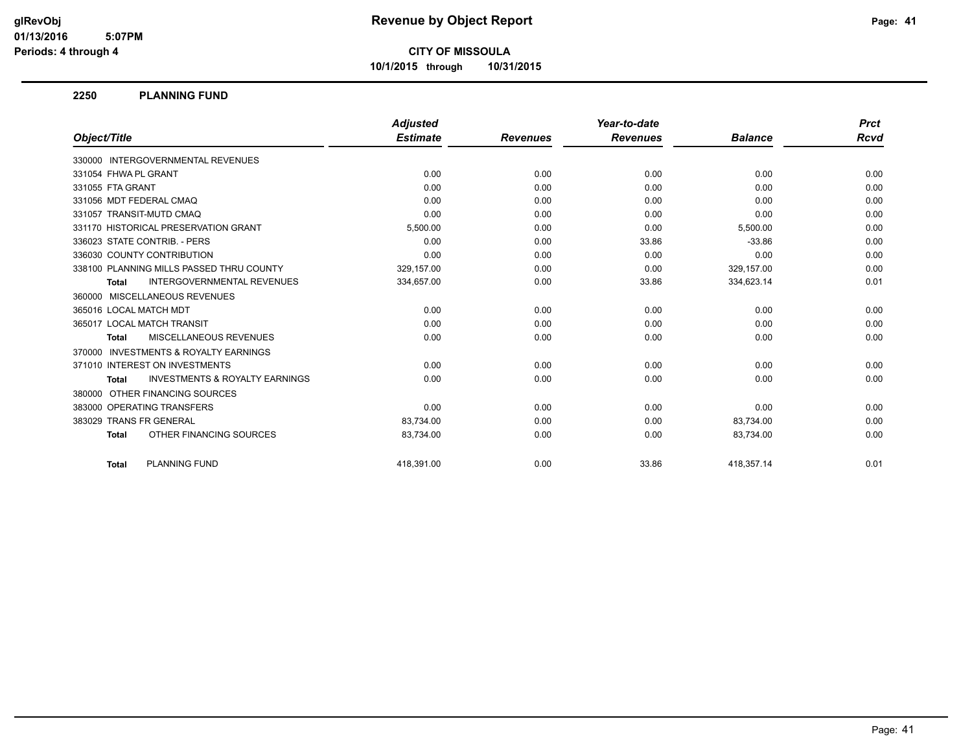**10/1/2015 through 10/31/2015**

### **2250 PLANNING FUND**

|                                                           | <b>Adjusted</b> |                 | Year-to-date    |                | <b>Prct</b> |
|-----------------------------------------------------------|-----------------|-----------------|-----------------|----------------|-------------|
| Object/Title                                              | <b>Estimate</b> | <b>Revenues</b> | <b>Revenues</b> | <b>Balance</b> | Rcvd        |
| 330000 INTERGOVERNMENTAL REVENUES                         |                 |                 |                 |                |             |
| 331054 FHWA PL GRANT                                      | 0.00            | 0.00            | 0.00            | 0.00           | 0.00        |
| 331055 FTA GRANT                                          | 0.00            | 0.00            | 0.00            | 0.00           | 0.00        |
| 331056 MDT FEDERAL CMAQ                                   | 0.00            | 0.00            | 0.00            | 0.00           | 0.00        |
| 331057 TRANSIT-MUTD CMAQ                                  | 0.00            | 0.00            | 0.00            | 0.00           | 0.00        |
| 331170 HISTORICAL PRESERVATION GRANT                      | 5,500.00        | 0.00            | 0.00            | 5,500.00       | 0.00        |
| 336023 STATE CONTRIB. - PERS                              | 0.00            | 0.00            | 33.86           | $-33.86$       | 0.00        |
| 336030 COUNTY CONTRIBUTION                                | 0.00            | 0.00            | 0.00            | 0.00           | 0.00        |
| 338100 PLANNING MILLS PASSED THRU COUNTY                  | 329,157.00      | 0.00            | 0.00            | 329,157.00     | 0.00        |
| <b>INTERGOVERNMENTAL REVENUES</b><br><b>Total</b>         | 334,657.00      | 0.00            | 33.86           | 334,623.14     | 0.01        |
| 360000 MISCELLANEOUS REVENUES                             |                 |                 |                 |                |             |
| 365016 LOCAL MATCH MDT                                    | 0.00            | 0.00            | 0.00            | 0.00           | 0.00        |
| 365017 LOCAL MATCH TRANSIT                                | 0.00            | 0.00            | 0.00            | 0.00           | 0.00        |
| <b>MISCELLANEOUS REVENUES</b><br><b>Total</b>             | 0.00            | 0.00            | 0.00            | 0.00           | 0.00        |
| 370000 INVESTMENTS & ROYALTY EARNINGS                     |                 |                 |                 |                |             |
| 371010 INTEREST ON INVESTMENTS                            | 0.00            | 0.00            | 0.00            | 0.00           | 0.00        |
| <b>INVESTMENTS &amp; ROYALTY EARNINGS</b><br><b>Total</b> | 0.00            | 0.00            | 0.00            | 0.00           | 0.00        |
| 380000 OTHER FINANCING SOURCES                            |                 |                 |                 |                |             |
| 383000 OPERATING TRANSFERS                                | 0.00            | 0.00            | 0.00            | 0.00           | 0.00        |
| 383029 TRANS FR GENERAL                                   | 83,734.00       | 0.00            | 0.00            | 83,734.00      | 0.00        |
| OTHER FINANCING SOURCES<br><b>Total</b>                   | 83,734.00       | 0.00            | 0.00            | 83,734.00      | 0.00        |
| <b>PLANNING FUND</b><br><b>Total</b>                      | 418.391.00      | 0.00            | 33.86           | 418.357.14     | 0.01        |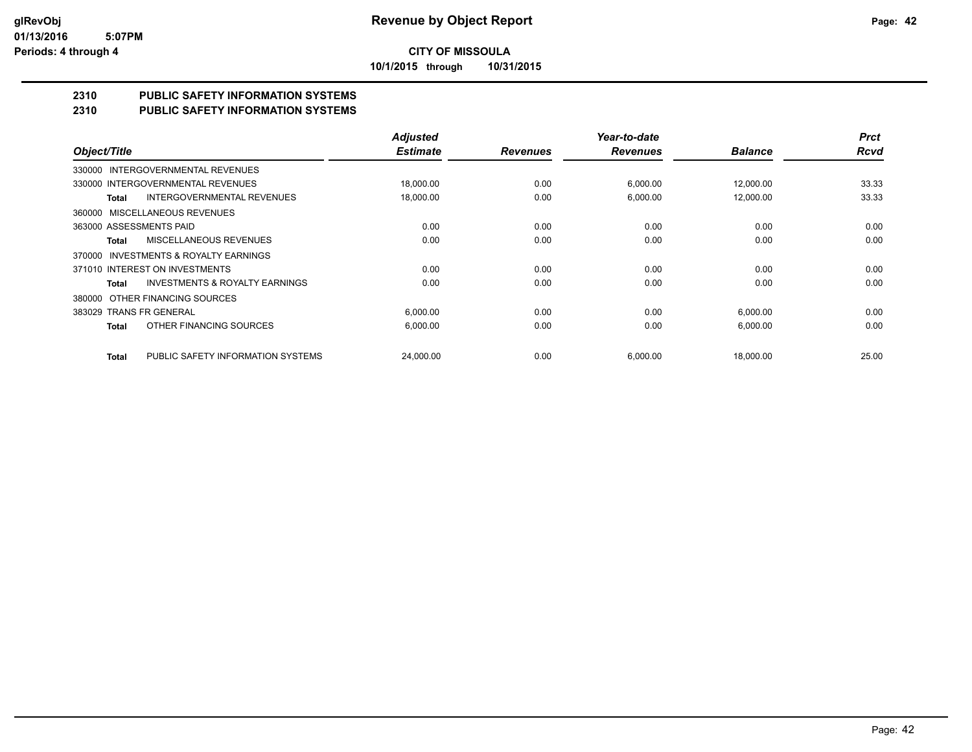**10/1/2015 through 10/31/2015**

# **2310 PUBLIC SAFETY INFORMATION SYSTEMS**

# **2310 PUBLIC SAFETY INFORMATION SYSTEMS**

|                         |                                           | <b>Adjusted</b> |                 | Year-to-date    |                | <b>Prct</b> |
|-------------------------|-------------------------------------------|-----------------|-----------------|-----------------|----------------|-------------|
| Object/Title            |                                           | <b>Estimate</b> | <b>Revenues</b> | <b>Revenues</b> | <b>Balance</b> | <b>Rcvd</b> |
|                         | 330000 INTERGOVERNMENTAL REVENUES         |                 |                 |                 |                |             |
|                         | 330000 INTERGOVERNMENTAL REVENUES         | 18,000.00       | 0.00            | 6,000.00        | 12,000.00      | 33.33       |
| <b>Total</b>            | <b>INTERGOVERNMENTAL REVENUES</b>         | 18,000.00       | 0.00            | 6,000.00        | 12,000.00      | 33.33       |
|                         | 360000 MISCELLANEOUS REVENUES             |                 |                 |                 |                |             |
| 363000 ASSESSMENTS PAID |                                           | 0.00            | 0.00            | 0.00            | 0.00           | 0.00        |
| Total                   | MISCELLANEOUS REVENUES                    | 0.00            | 0.00            | 0.00            | 0.00           | 0.00        |
| 370000                  | INVESTMENTS & ROYALTY EARNINGS            |                 |                 |                 |                |             |
|                         | 371010 INTEREST ON INVESTMENTS            | 0.00            | 0.00            | 0.00            | 0.00           | 0.00        |
| Total                   | <b>INVESTMENTS &amp; ROYALTY EARNINGS</b> | 0.00            | 0.00            | 0.00            | 0.00           | 0.00        |
| 380000                  | OTHER FINANCING SOURCES                   |                 |                 |                 |                |             |
| 383029 TRANS FR GENERAL |                                           | 6,000.00        | 0.00            | 0.00            | 6,000.00       | 0.00        |
| Total                   | OTHER FINANCING SOURCES                   | 6,000.00        | 0.00            | 0.00            | 6,000.00       | 0.00        |
| Total                   | PUBLIC SAFETY INFORMATION SYSTEMS         | 24,000.00       | 0.00            | 6,000.00        | 18,000.00      | 25.00       |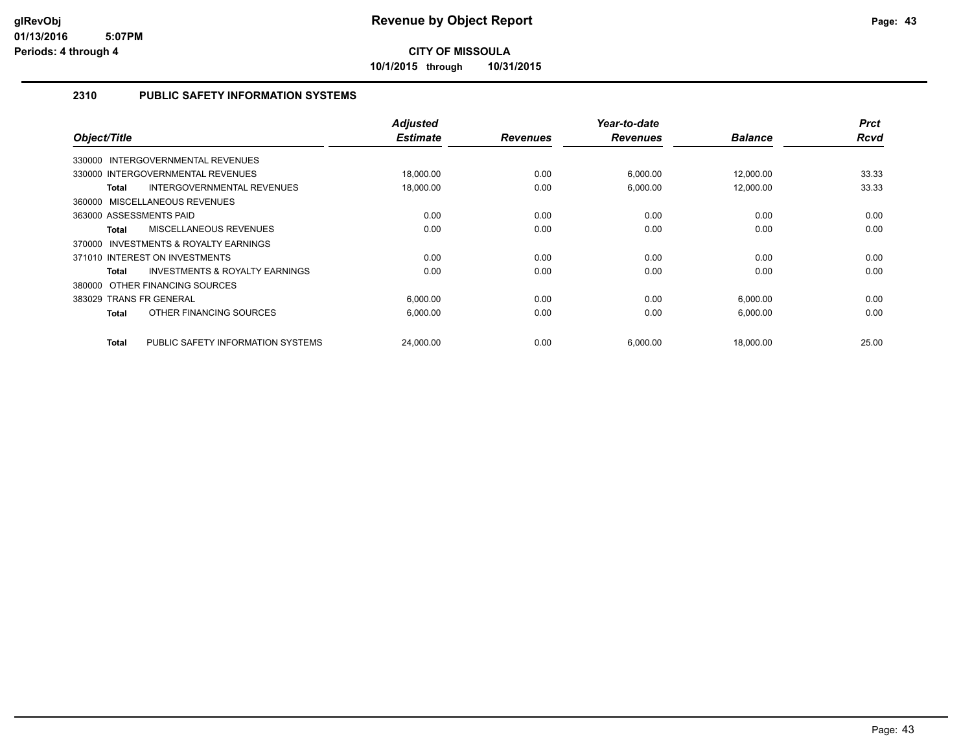**10/1/2015 through 10/31/2015**

# **2310 PUBLIC SAFETY INFORMATION SYSTEMS**

| Object/Title                                       | <b>Adjusted</b><br><b>Estimate</b> | <b>Revenues</b> | Year-to-date<br><b>Revenues</b> | <b>Balance</b> | <b>Prct</b><br><b>Rcvd</b> |
|----------------------------------------------------|------------------------------------|-----------------|---------------------------------|----------------|----------------------------|
| <b>INTERGOVERNMENTAL REVENUES</b><br>330000        |                                    |                 |                                 |                |                            |
| 330000 INTERGOVERNMENTAL REVENUES                  | 18,000.00                          | 0.00            | 6,000.00                        | 12,000.00      | 33.33                      |
| INTERGOVERNMENTAL REVENUES<br>Total                | 18,000.00                          | 0.00            | 6,000.00                        | 12,000.00      | 33.33                      |
| 360000 MISCELLANEOUS REVENUES                      |                                    |                 |                                 |                |                            |
| 363000 ASSESSMENTS PAID                            | 0.00                               | 0.00            | 0.00                            | 0.00           | 0.00                       |
| <b>MISCELLANEOUS REVENUES</b><br>Total             | 0.00                               | 0.00            | 0.00                            | 0.00           | 0.00                       |
| INVESTMENTS & ROYALTY EARNINGS<br>370000           |                                    |                 |                                 |                |                            |
| 371010 INTEREST ON INVESTMENTS                     | 0.00                               | 0.00            | 0.00                            | 0.00           | 0.00                       |
| <b>INVESTMENTS &amp; ROYALTY EARNINGS</b><br>Total | 0.00                               | 0.00            | 0.00                            | 0.00           | 0.00                       |
| 380000 OTHER FINANCING SOURCES                     |                                    |                 |                                 |                |                            |
| 383029 TRANS FR GENERAL                            | 6,000.00                           | 0.00            | 0.00                            | 6,000.00       | 0.00                       |
| OTHER FINANCING SOURCES<br>Total                   | 6.000.00                           | 0.00            | 0.00                            | 6,000.00       | 0.00                       |
| PUBLIC SAFETY INFORMATION SYSTEMS<br>Total         | 24,000.00                          | 0.00            | 6,000.00                        | 18,000.00      | 25.00                      |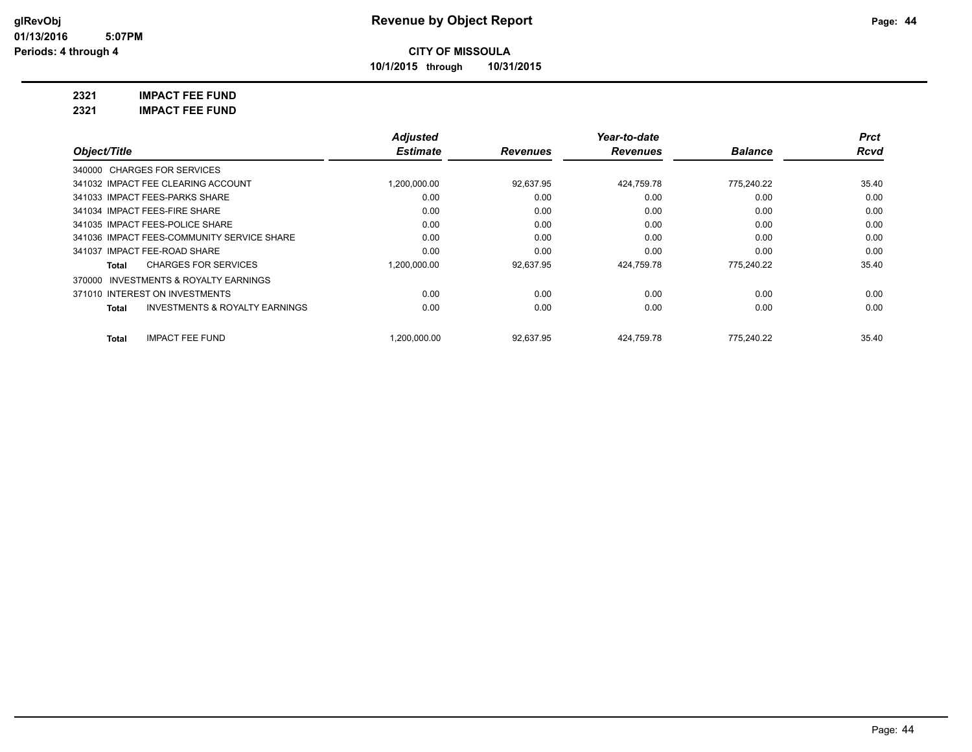**10/1/2015 through 10/31/2015**

**2321 IMPACT FEE FUND**

**2321 IMPACT FEE FUND**

|                                                | <b>Adjusted</b> |                 | Year-to-date    |                | <b>Prct</b> |
|------------------------------------------------|-----------------|-----------------|-----------------|----------------|-------------|
| Object/Title                                   | <b>Estimate</b> | <b>Revenues</b> | <b>Revenues</b> | <b>Balance</b> | Rcvd        |
| 340000 CHARGES FOR SERVICES                    |                 |                 |                 |                |             |
| 341032 IMPACT FEE CLEARING ACCOUNT             | 1.200.000.00    | 92,637.95       | 424,759.78      | 775.240.22     | 35.40       |
| 341033 IMPACT FEES-PARKS SHARE                 | 0.00            | 0.00            | 0.00            | 0.00           | 0.00        |
| 341034 IMPACT FEES-FIRE SHARE                  | 0.00            | 0.00            | 0.00            | 0.00           | 0.00        |
| 341035 IMPACT FEES-POLICE SHARE                | 0.00            | 0.00            | 0.00            | 0.00           | 0.00        |
| 341036 IMPACT FEES-COMMUNITY SERVICE SHARE     | 0.00            | 0.00            | 0.00            | 0.00           | 0.00        |
| 341037 IMPACT FEE-ROAD SHARE                   | 0.00            | 0.00            | 0.00            | 0.00           | 0.00        |
| <b>CHARGES FOR SERVICES</b><br>Total           | 1,200,000.00    | 92,637.95       | 424,759.78      | 775.240.22     | 35.40       |
| 370000 INVESTMENTS & ROYALTY EARNINGS          |                 |                 |                 |                |             |
| 371010 INTEREST ON INVESTMENTS                 | 0.00            | 0.00            | 0.00            | 0.00           | 0.00        |
| INVESTMENTS & ROYALTY EARNINGS<br><b>Total</b> | 0.00            | 0.00            | 0.00            | 0.00           | 0.00        |
| <b>IMPACT FEE FUND</b><br>Total                | .200.000.00     | 92,637.95       | 424.759.78      | 775.240.22     | 35.40       |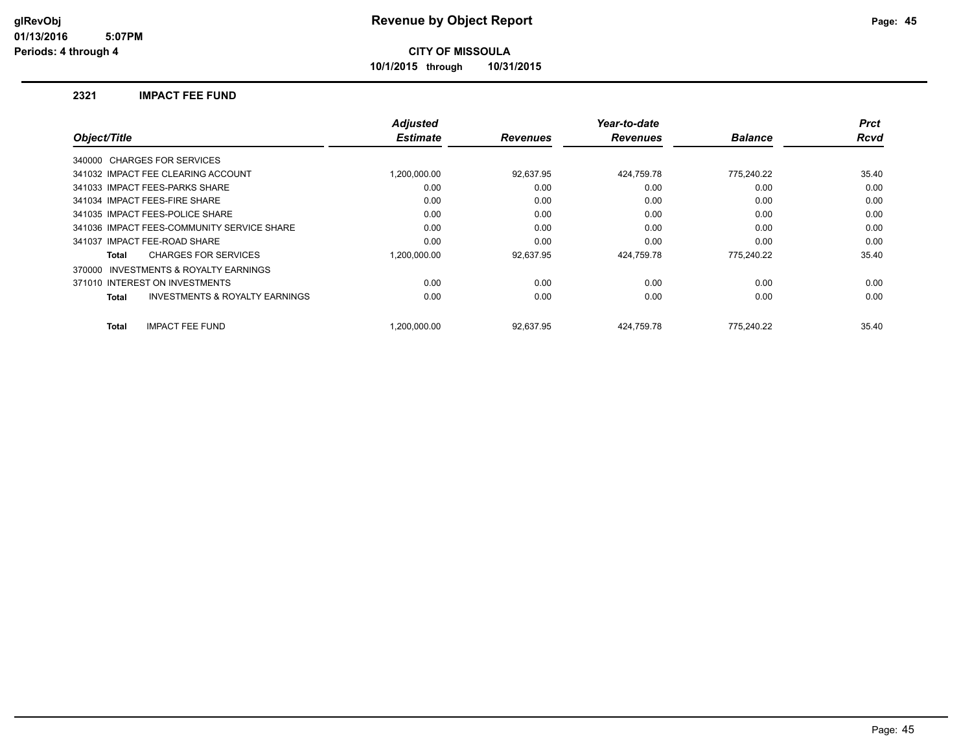**10/1/2015 through 10/31/2015**

### **2321 IMPACT FEE FUND**

|              |                                            | <b>Adjusted</b> |                 | Year-to-date    |                | <b>Prct</b> |
|--------------|--------------------------------------------|-----------------|-----------------|-----------------|----------------|-------------|
| Object/Title |                                            | <b>Estimate</b> | <b>Revenues</b> | <b>Revenues</b> | <b>Balance</b> | <b>Rcvd</b> |
|              | 340000 CHARGES FOR SERVICES                |                 |                 |                 |                |             |
|              | 341032 IMPACT FEE CLEARING ACCOUNT         | 1.200.000.00    | 92.637.95       | 424,759.78      | 775,240.22     | 35.40       |
|              | 341033 IMPACT FEES-PARKS SHARE             | 0.00            | 0.00            | 0.00            | 0.00           | 0.00        |
|              | 341034 IMPACT FEES-FIRE SHARE              | 0.00            | 0.00            | 0.00            | 0.00           | 0.00        |
|              | 341035 IMPACT FEES-POLICE SHARE            | 0.00            | 0.00            | 0.00            | 0.00           | 0.00        |
|              | 341036 IMPACT FEES-COMMUNITY SERVICE SHARE | 0.00            | 0.00            | 0.00            | 0.00           | 0.00        |
|              | 341037 IMPACT FEE-ROAD SHARE               | 0.00            | 0.00            | 0.00            | 0.00           | 0.00        |
| Total        | <b>CHARGES FOR SERVICES</b>                | 1.200.000.00    | 92.637.95       | 424.759.78      | 775,240.22     | 35.40       |
| 370000       | <b>INVESTMENTS &amp; ROYALTY EARNINGS</b>  |                 |                 |                 |                |             |
|              | 371010 INTEREST ON INVESTMENTS             | 0.00            | 0.00            | 0.00            | 0.00           | 0.00        |
| Total        | <b>INVESTMENTS &amp; ROYALTY EARNINGS</b>  | 0.00            | 0.00            | 0.00            | 0.00           | 0.00        |
| <b>Total</b> | <b>IMPACT FEE FUND</b>                     | 1.200.000.00    | 92.637.95       | 424.759.78      | 775.240.22     | 35.40       |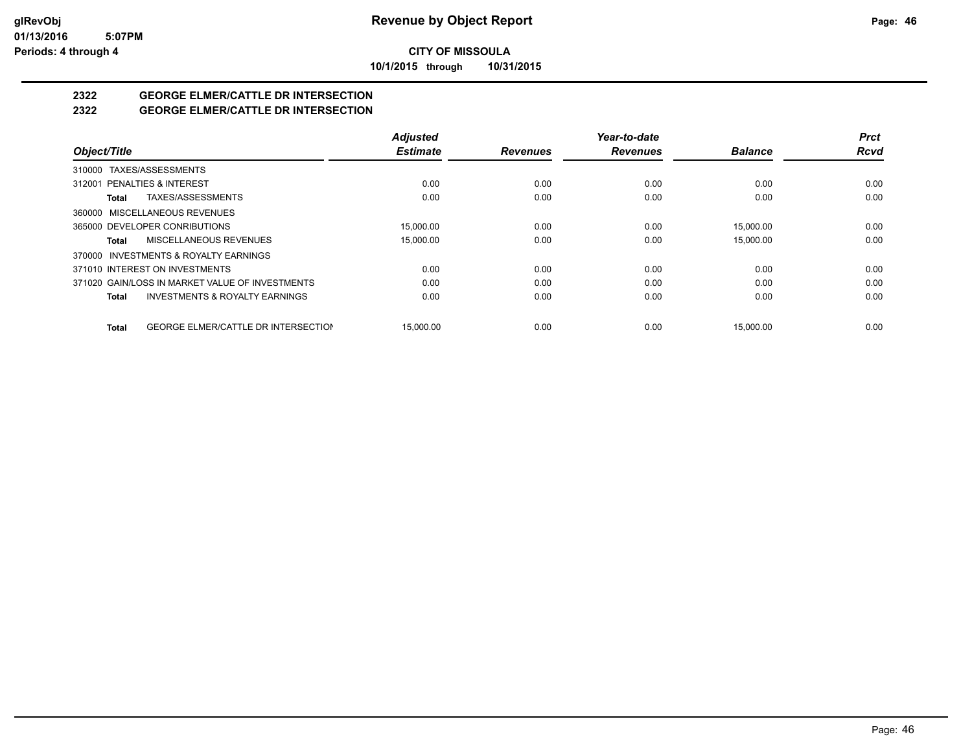**10/1/2015 through 10/31/2015**

# **2322 GEORGE ELMER/CATTLE DR INTERSECTION**

# **2322 GEORGE ELMER/CATTLE DR INTERSECTION**

|                                                            | <b>Adjusted</b> |                 | Year-to-date    |                | <b>Prct</b> |
|------------------------------------------------------------|-----------------|-----------------|-----------------|----------------|-------------|
| Object/Title                                               | <b>Estimate</b> | <b>Revenues</b> | <b>Revenues</b> | <b>Balance</b> | <b>Rcvd</b> |
| 310000 TAXES/ASSESSMENTS                                   |                 |                 |                 |                |             |
| 312001 PENALTIES & INTEREST                                | 0.00            | 0.00            | 0.00            | 0.00           | 0.00        |
| TAXES/ASSESSMENTS<br>Total                                 | 0.00            | 0.00            | 0.00            | 0.00           | 0.00        |
| 360000 MISCELLANEOUS REVENUES                              |                 |                 |                 |                |             |
| 365000 DEVELOPER CONRIBUTIONS                              | 15,000.00       | 0.00            | 0.00            | 15,000.00      | 0.00        |
| MISCELLANEOUS REVENUES<br>Total                            | 15,000.00       | 0.00            | 0.00            | 15,000.00      | 0.00        |
| 370000 INVESTMENTS & ROYALTY EARNINGS                      |                 |                 |                 |                |             |
| 371010 INTEREST ON INVESTMENTS                             | 0.00            | 0.00            | 0.00            | 0.00           | 0.00        |
| 371020 GAIN/LOSS IN MARKET VALUE OF INVESTMENTS            | 0.00            | 0.00            | 0.00            | 0.00           | 0.00        |
| <b>INVESTMENTS &amp; ROYALTY EARNINGS</b><br>Total         | 0.00            | 0.00            | 0.00            | 0.00           | 0.00        |
| <b>GEORGE ELMER/CATTLE DR INTERSECTION</b><br><b>Total</b> | 15.000.00       | 0.00            | 0.00            | 15.000.00      | 0.00        |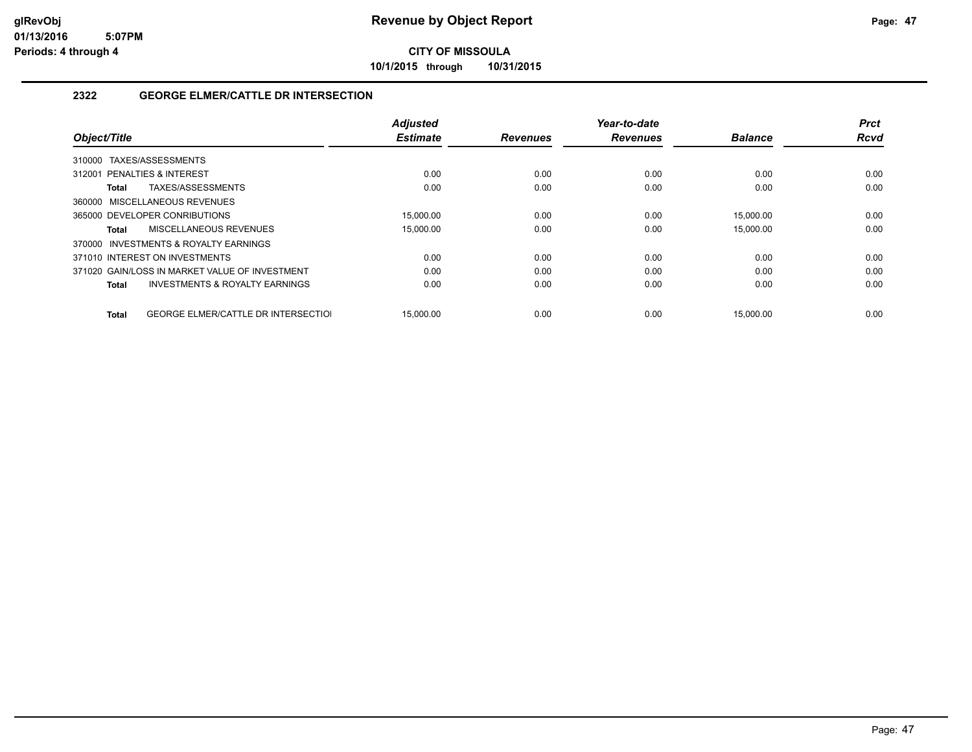**10/1/2015 through 10/31/2015**

# **2322 GEORGE ELMER/CATTLE DR INTERSECTION**

| Object/Title                |                                                | <b>Adjusted</b><br><b>Estimate</b> | <b>Revenues</b> | Year-to-date<br><b>Revenues</b> | <b>Balance</b> | <b>Prct</b><br><b>Rcvd</b> |
|-----------------------------|------------------------------------------------|------------------------------------|-----------------|---------------------------------|----------------|----------------------------|
|                             |                                                |                                    |                 |                                 |                |                            |
| 310000                      | TAXES/ASSESSMENTS                              |                                    |                 |                                 |                |                            |
| 312001 PENALTIES & INTEREST |                                                | 0.00                               | 0.00            | 0.00                            | 0.00           | 0.00                       |
| Total                       | TAXES/ASSESSMENTS                              | 0.00                               | 0.00            | 0.00                            | 0.00           | 0.00                       |
|                             | 360000 MISCELLANEOUS REVENUES                  |                                    |                 |                                 |                |                            |
|                             | 365000 DEVELOPER CONRIBUTIONS                  | 15,000.00                          | 0.00            | 0.00                            | 15.000.00      | 0.00                       |
| Total                       | MISCELLANEOUS REVENUES                         | 15,000.00                          | 0.00            | 0.00                            | 15,000.00      | 0.00                       |
|                             | 370000 INVESTMENTS & ROYALTY EARNINGS          |                                    |                 |                                 |                |                            |
|                             | 371010 INTEREST ON INVESTMENTS                 | 0.00                               | 0.00            | 0.00                            | 0.00           | 0.00                       |
|                             | 371020 GAIN/LOSS IN MARKET VALUE OF INVESTMENT | 0.00                               | 0.00            | 0.00                            | 0.00           | 0.00                       |
| Total                       | <b>INVESTMENTS &amp; ROYALTY EARNINGS</b>      | 0.00                               | 0.00            | 0.00                            | 0.00           | 0.00                       |
|                             |                                                |                                    |                 |                                 |                |                            |
| <b>Total</b>                | <b>GEORGE ELMER/CATTLE DR INTERSECTIOL</b>     | 15.000.00                          | 0.00            | 0.00                            | 15.000.00      | 0.00                       |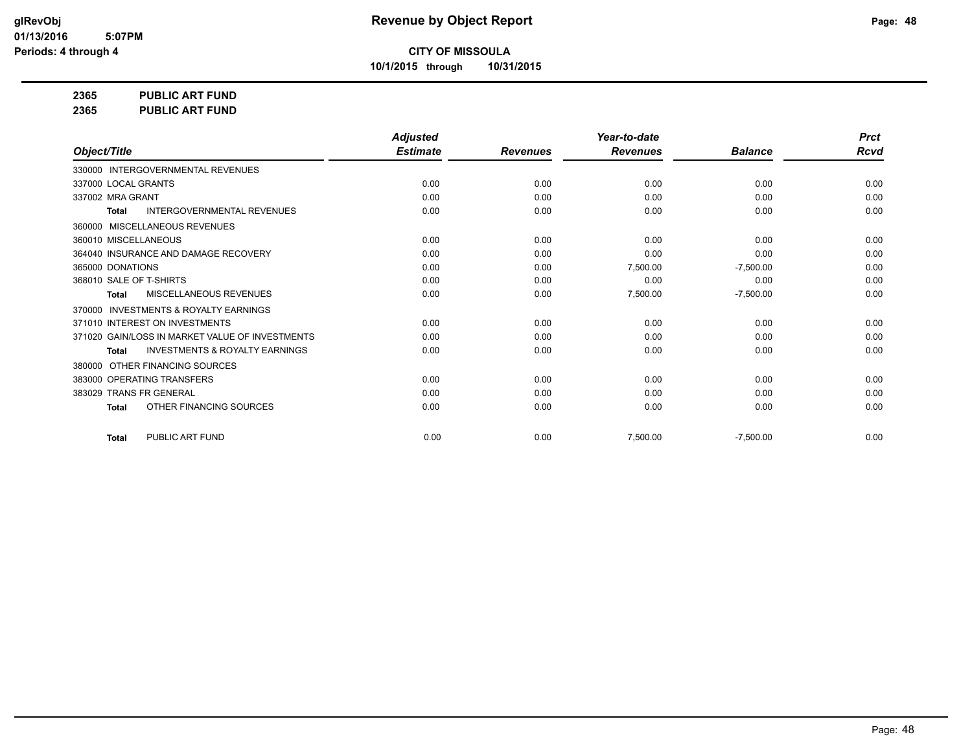**10/1/2015 through 10/31/2015**

**2365 PUBLIC ART FUND**

**2365 PUBLIC ART FUND**

|                                                           | <b>Adjusted</b> |                 | Year-to-date    |                | <b>Prct</b> |
|-----------------------------------------------------------|-----------------|-----------------|-----------------|----------------|-------------|
| Object/Title                                              | <b>Estimate</b> | <b>Revenues</b> | <b>Revenues</b> | <b>Balance</b> | <b>Rcvd</b> |
| 330000 INTERGOVERNMENTAL REVENUES                         |                 |                 |                 |                |             |
| 337000 LOCAL GRANTS                                       | 0.00            | 0.00            | 0.00            | 0.00           | 0.00        |
| 337002 MRA GRANT                                          | 0.00            | 0.00            | 0.00            | 0.00           | 0.00        |
| <b>INTERGOVERNMENTAL REVENUES</b><br><b>Total</b>         | 0.00            | 0.00            | 0.00            | 0.00           | 0.00        |
| 360000 MISCELLANEOUS REVENUES                             |                 |                 |                 |                |             |
| 360010 MISCELLANEOUS                                      | 0.00            | 0.00            | 0.00            | 0.00           | 0.00        |
| 364040 INSURANCE AND DAMAGE RECOVERY                      | 0.00            | 0.00            | 0.00            | 0.00           | 0.00        |
| 365000 DONATIONS                                          | 0.00            | 0.00            | 7,500.00        | $-7,500.00$    | 0.00        |
| 368010 SALE OF T-SHIRTS                                   | 0.00            | 0.00            | 0.00            | 0.00           | 0.00        |
| <b>MISCELLANEOUS REVENUES</b><br><b>Total</b>             | 0.00            | 0.00            | 7,500.00        | $-7,500.00$    | 0.00        |
| <b>INVESTMENTS &amp; ROYALTY EARNINGS</b><br>370000       |                 |                 |                 |                |             |
| 371010 INTEREST ON INVESTMENTS                            | 0.00            | 0.00            | 0.00            | 0.00           | 0.00        |
| 371020 GAIN/LOSS IN MARKET VALUE OF INVESTMENTS           | 0.00            | 0.00            | 0.00            | 0.00           | 0.00        |
| <b>INVESTMENTS &amp; ROYALTY EARNINGS</b><br><b>Total</b> | 0.00            | 0.00            | 0.00            | 0.00           | 0.00        |
| OTHER FINANCING SOURCES<br>380000                         |                 |                 |                 |                |             |
| 383000 OPERATING TRANSFERS                                | 0.00            | 0.00            | 0.00            | 0.00           | 0.00        |
| 383029 TRANS FR GENERAL                                   | 0.00            | 0.00            | 0.00            | 0.00           | 0.00        |
| OTHER FINANCING SOURCES<br><b>Total</b>                   | 0.00            | 0.00            | 0.00            | 0.00           | 0.00        |
| PUBLIC ART FUND<br><b>Total</b>                           | 0.00            | 0.00            | 7,500.00        | $-7,500.00$    | 0.00        |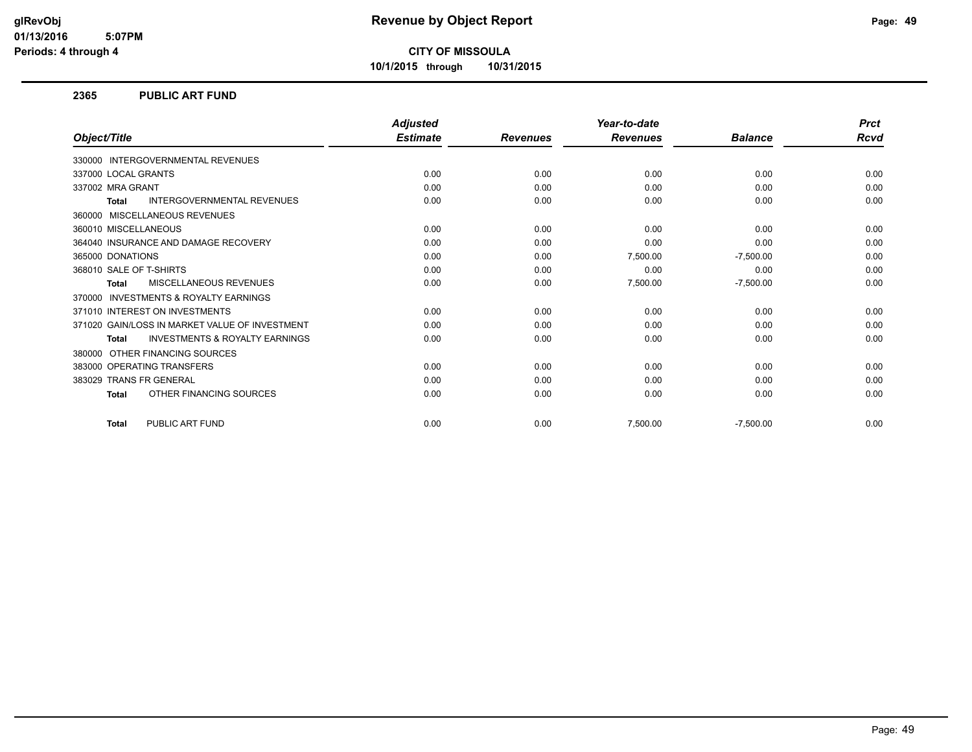**10/1/2015 through 10/31/2015**

### **2365 PUBLIC ART FUND**

|                                                           | <b>Adjusted</b> |                 | Year-to-date    |                | <b>Prct</b> |
|-----------------------------------------------------------|-----------------|-----------------|-----------------|----------------|-------------|
| Object/Title                                              | <b>Estimate</b> | <b>Revenues</b> | <b>Revenues</b> | <b>Balance</b> | <b>Rcvd</b> |
| 330000 INTERGOVERNMENTAL REVENUES                         |                 |                 |                 |                |             |
| 337000 LOCAL GRANTS                                       | 0.00            | 0.00            | 0.00            | 0.00           | 0.00        |
| 337002 MRA GRANT                                          | 0.00            | 0.00            | 0.00            | 0.00           | 0.00        |
| <b>INTERGOVERNMENTAL REVENUES</b><br><b>Total</b>         | 0.00            | 0.00            | 0.00            | 0.00           | 0.00        |
| MISCELLANEOUS REVENUES<br>360000                          |                 |                 |                 |                |             |
| 360010 MISCELLANEOUS                                      | 0.00            | 0.00            | 0.00            | 0.00           | 0.00        |
| 364040 INSURANCE AND DAMAGE RECOVERY                      | 0.00            | 0.00            | 0.00            | 0.00           | 0.00        |
| 365000 DONATIONS                                          | 0.00            | 0.00            | 7,500.00        | $-7,500.00$    | 0.00        |
| 368010 SALE OF T-SHIRTS                                   | 0.00            | 0.00            | 0.00            | 0.00           | 0.00        |
| <b>MISCELLANEOUS REVENUES</b><br><b>Total</b>             | 0.00            | 0.00            | 7,500.00        | $-7,500.00$    | 0.00        |
| <b>INVESTMENTS &amp; ROYALTY EARNINGS</b><br>370000       |                 |                 |                 |                |             |
| 371010 INTEREST ON INVESTMENTS                            | 0.00            | 0.00            | 0.00            | 0.00           | 0.00        |
| 371020 GAIN/LOSS IN MARKET VALUE OF INVESTMENT            | 0.00            | 0.00            | 0.00            | 0.00           | 0.00        |
| <b>INVESTMENTS &amp; ROYALTY EARNINGS</b><br><b>Total</b> | 0.00            | 0.00            | 0.00            | 0.00           | 0.00        |
| OTHER FINANCING SOURCES<br>380000                         |                 |                 |                 |                |             |
| 383000 OPERATING TRANSFERS                                | 0.00            | 0.00            | 0.00            | 0.00           | 0.00        |
| 383029 TRANS FR GENERAL                                   | 0.00            | 0.00            | 0.00            | 0.00           | 0.00        |
| OTHER FINANCING SOURCES<br><b>Total</b>                   | 0.00            | 0.00            | 0.00            | 0.00           | 0.00        |
| PUBLIC ART FUND<br><b>Total</b>                           | 0.00            | 0.00            | 7,500.00        | $-7,500.00$    | 0.00        |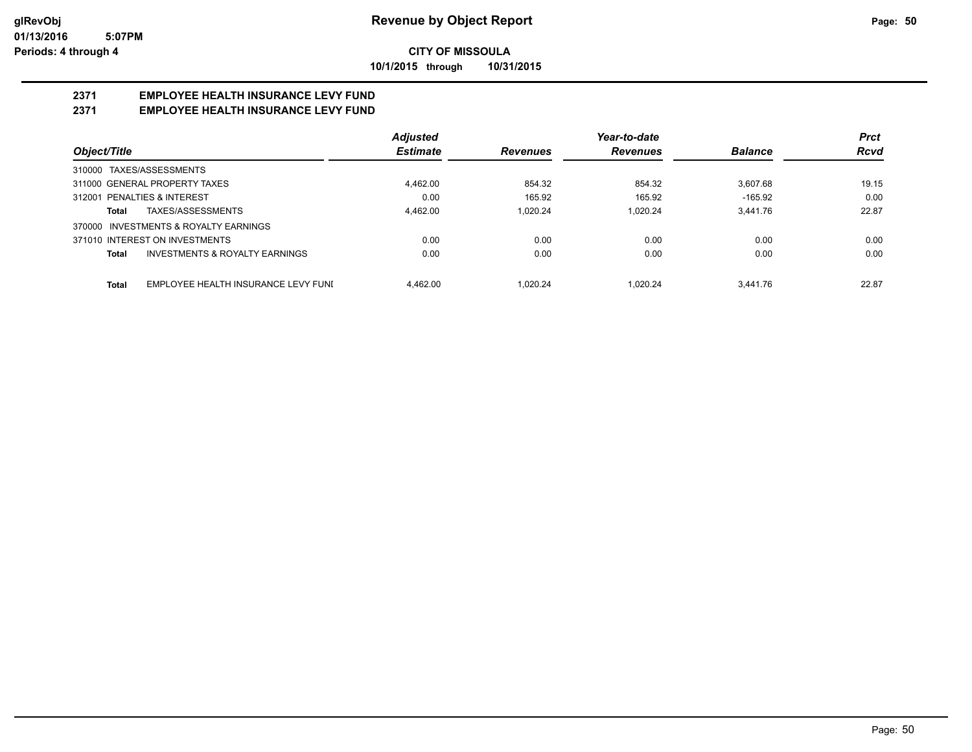**10/1/2015 through 10/31/2015**

# **2371 EMPLOYEE HEALTH INSURANCE LEVY FUND**

# **2371 EMPLOYEE HEALTH INSURANCE LEVY FUND**

|                                                     | <b>Adjusted</b> |                 | Year-to-date    |                | <b>Prct</b> |
|-----------------------------------------------------|-----------------|-----------------|-----------------|----------------|-------------|
| Object/Title                                        | <b>Estimate</b> | <b>Revenues</b> | <b>Revenues</b> | <b>Balance</b> | <b>Rcvd</b> |
| 310000 TAXES/ASSESSMENTS                            |                 |                 |                 |                |             |
| 311000 GENERAL PROPERTY TAXES                       | 4,462.00        | 854.32          | 854.32          | 3.607.68       | 19.15       |
| 312001 PENALTIES & INTEREST                         | 0.00            | 165.92          | 165.92          | $-165.92$      | 0.00        |
| TAXES/ASSESSMENTS<br>Total                          | 4.462.00        | 1.020.24        | 1.020.24        | 3.441.76       | 22.87       |
| 370000 INVESTMENTS & ROYALTY EARNINGS               |                 |                 |                 |                |             |
| 371010 INTEREST ON INVESTMENTS                      | 0.00            | 0.00            | 0.00            | 0.00           | 0.00        |
| INVESTMENTS & ROYALTY EARNINGS<br>Total             | 0.00            | 0.00            | 0.00            | 0.00           | 0.00        |
| EMPLOYEE HEALTH INSURANCE LEVY FUNI<br><b>Total</b> | 4.462.00        | 1.020.24        | 1.020.24        | 3.441.76       | 22.87       |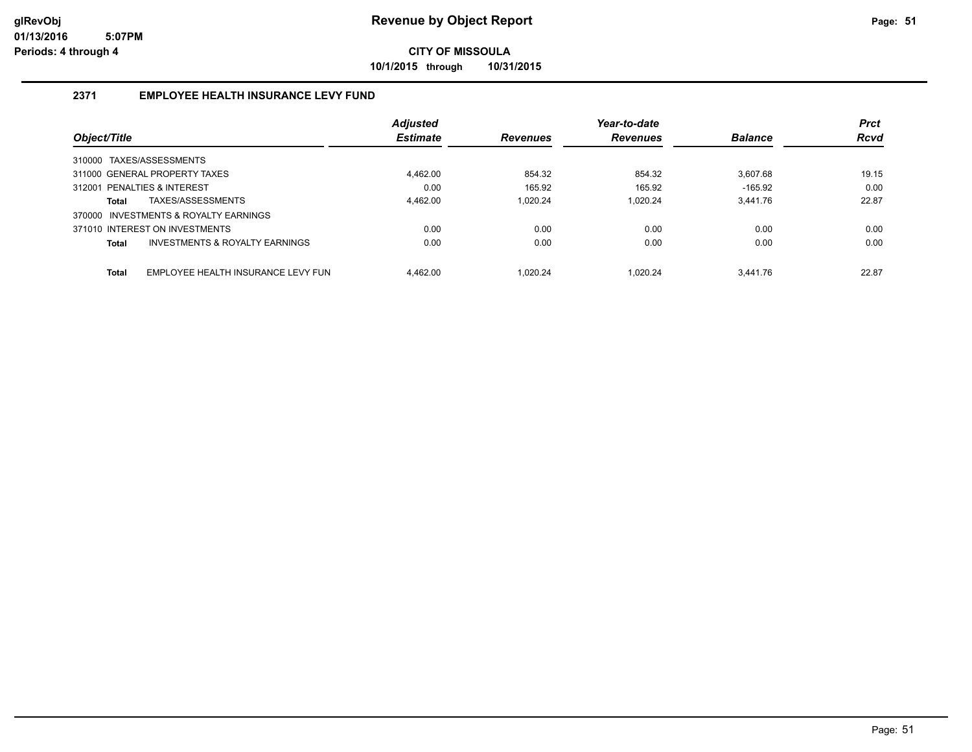**10/1/2015 through 10/31/2015**

# **2371 EMPLOYEE HEALTH INSURANCE LEVY FUND**

|                                                    | <b>Adjusted</b> |                 | Year-to-date    |                | <b>Prct</b> |
|----------------------------------------------------|-----------------|-----------------|-----------------|----------------|-------------|
| Object/Title                                       | <b>Estimate</b> | <b>Revenues</b> | <b>Revenues</b> | <b>Balance</b> | <b>Rcvd</b> |
| 310000 TAXES/ASSESSMENTS                           |                 |                 |                 |                |             |
| 311000 GENERAL PROPERTY TAXES                      | 4.462.00        | 854.32          | 854.32          | 3.607.68       | 19.15       |
| 312001 PENALTIES & INTEREST                        | 0.00            | 165.92          | 165.92          | $-165.92$      | 0.00        |
| TAXES/ASSESSMENTS<br>Total                         | 4.462.00        | 1.020.24        | 1.020.24        | 3.441.76       | 22.87       |
| 370000 INVESTMENTS & ROYALTY EARNINGS              |                 |                 |                 |                |             |
| 371010 INTEREST ON INVESTMENTS                     | 0.00            | 0.00            | 0.00            | 0.00           | 0.00        |
| INVESTMENTS & ROYALTY EARNINGS<br>Total            | 0.00            | 0.00            | 0.00            | 0.00           | 0.00        |
| <b>Total</b><br>EMPLOYEE HEALTH INSURANCE LEVY FUN | 4.462.00        | 1.020.24        | 1.020.24        | 3.441.76       | 22.87       |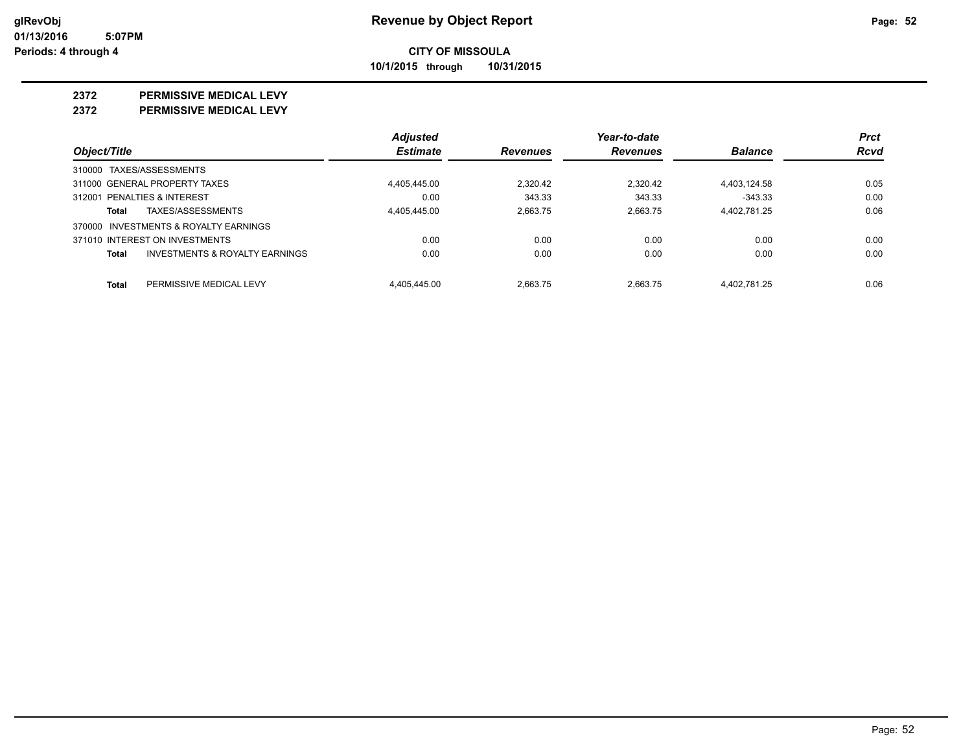**CITY OF MISSOULA 10/1/2015 through 10/31/2015**

**2372 PERMISSIVE MEDICAL LEVY**

**2372 PERMISSIVE MEDICAL LEVY**

|              |                                           | <b>Adjusted</b> |                 | Year-to-date    |                | <b>Prct</b> |
|--------------|-------------------------------------------|-----------------|-----------------|-----------------|----------------|-------------|
| Object/Title |                                           | <b>Estimate</b> | <b>Revenues</b> | <b>Revenues</b> | <b>Balance</b> | Rcvd        |
|              | 310000 TAXES/ASSESSMENTS                  |                 |                 |                 |                |             |
|              | 311000 GENERAL PROPERTY TAXES             | 4.405.445.00    | 2.320.42        | 2.320.42        | 4.403.124.58   | 0.05        |
|              | 312001 PENALTIES & INTEREST               | 0.00            | 343.33          | 343.33          | $-343.33$      | 0.00        |
| Total        | TAXES/ASSESSMENTS                         | 4.405.445.00    | 2.663.75        | 2.663.75        | 4,402,781.25   | 0.06        |
|              | 370000 INVESTMENTS & ROYALTY EARNINGS     |                 |                 |                 |                |             |
|              | 371010 INTEREST ON INVESTMENTS            | 0.00            | 0.00            | 0.00            | 0.00           | 0.00        |
| Total        | <b>INVESTMENTS &amp; ROYALTY EARNINGS</b> | 0.00            | 0.00            | 0.00            | 0.00           | 0.00        |
| Total        | PERMISSIVE MEDICAL LEVY                   | 4.405.445.00    | 2.663.75        | 2.663.75        | 4.402.781.25   | 0.06        |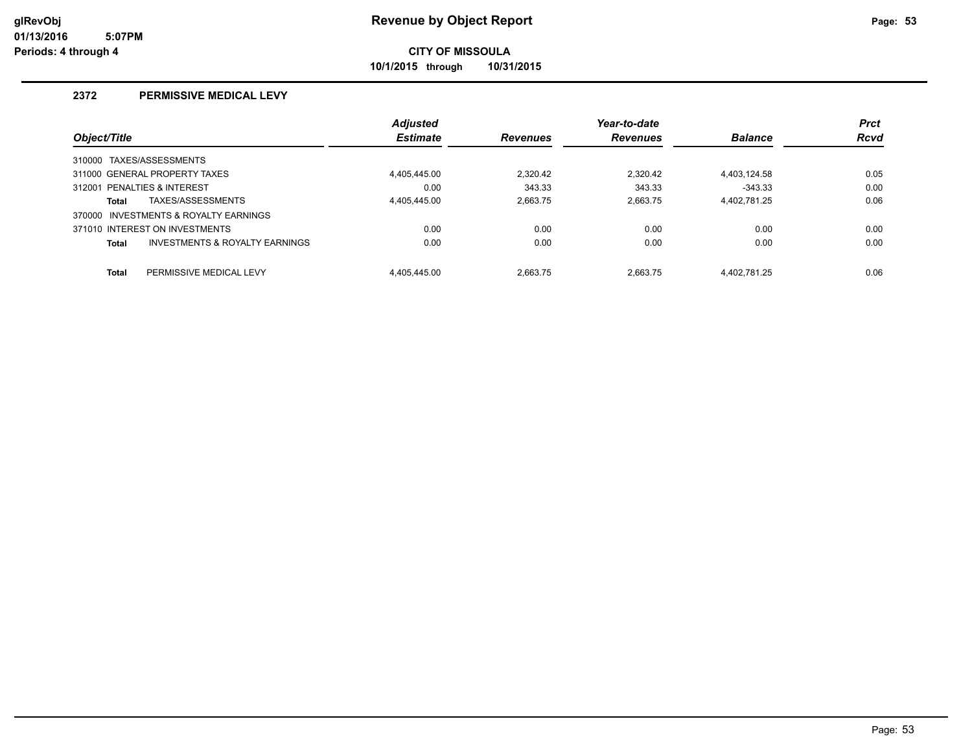**10/1/2015 through 10/31/2015**

## **2372 PERMISSIVE MEDICAL LEVY**

|              |                                           | <b>Adjusted</b> |                 | Year-to-date    |                | <b>Prct</b> |
|--------------|-------------------------------------------|-----------------|-----------------|-----------------|----------------|-------------|
| Object/Title |                                           | <b>Estimate</b> | <b>Revenues</b> | <b>Revenues</b> | <b>Balance</b> | <b>Rcvd</b> |
|              | 310000 TAXES/ASSESSMENTS                  |                 |                 |                 |                |             |
|              | 311000 GENERAL PROPERTY TAXES             | 4.405.445.00    | 2.320.42        | 2.320.42        | 4.403.124.58   | 0.05        |
|              | 312001 PENALTIES & INTEREST               | 0.00            | 343.33          | 343.33          | $-343.33$      | 0.00        |
| <b>Total</b> | TAXES/ASSESSMENTS                         | 4.405.445.00    | 2.663.75        | 2.663.75        | 4,402,781.25   | 0.06        |
|              | 370000 INVESTMENTS & ROYALTY EARNINGS     |                 |                 |                 |                |             |
|              | 371010 INTEREST ON INVESTMENTS            | 0.00            | 0.00            | 0.00            | 0.00           | 0.00        |
| <b>Total</b> | <b>INVESTMENTS &amp; ROYALTY EARNINGS</b> | 0.00            | 0.00            | 0.00            | 0.00           | 0.00        |
| <b>Total</b> | PERMISSIVE MEDICAL LEVY                   | 4.405.445.00    | 2.663.75        | 2.663.75        | 4.402.781.25   | 0.06        |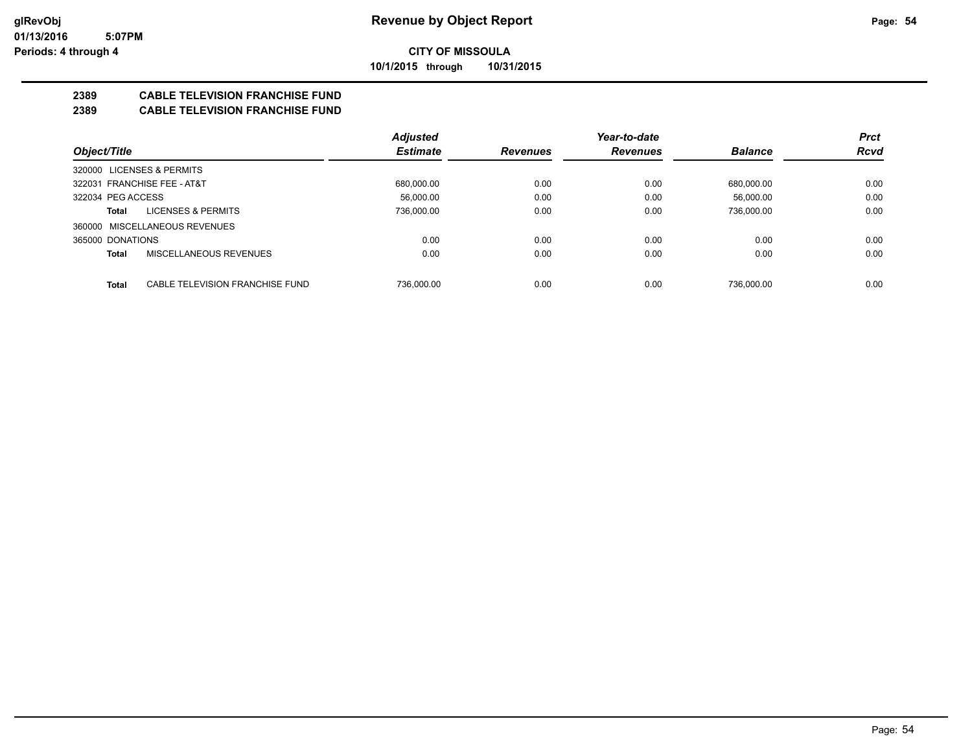**CITY OF MISSOULA 10/1/2015 through 10/31/2015**

**2389 CABLE TELEVISION FRANCHISE FUND**

## **2389 CABLE TELEVISION FRANCHISE FUND**

|                                          | <b>Adjusted</b> |                 | Year-to-date    |                | <b>Prct</b> |
|------------------------------------------|-----------------|-----------------|-----------------|----------------|-------------|
| Object/Title                             | <b>Estimate</b> | <b>Revenues</b> | <b>Revenues</b> | <b>Balance</b> | <b>Rcvd</b> |
| 320000 LICENSES & PERMITS                |                 |                 |                 |                |             |
| 322031 FRANCHISE FEE - AT&T              | 680.000.00      | 0.00            | 0.00            | 680.000.00     | 0.00        |
| 322034 PEG ACCESS                        | 56.000.00       | 0.00            | 0.00            | 56.000.00      | 0.00        |
| <b>LICENSES &amp; PERMITS</b><br>Total   | 736,000.00      | 0.00            | 0.00            | 736,000.00     | 0.00        |
| 360000 MISCELLANEOUS REVENUES            |                 |                 |                 |                |             |
| 365000 DONATIONS                         | 0.00            | 0.00            | 0.00            | 0.00           | 0.00        |
| MISCELLANEOUS REVENUES<br><b>Total</b>   | 0.00            | 0.00            | 0.00            | 0.00           | 0.00        |
|                                          |                 |                 |                 |                |             |
| CABLE TELEVISION FRANCHISE FUND<br>Total | 736.000.00      | 0.00            | 0.00            | 736.000.00     | 0.00        |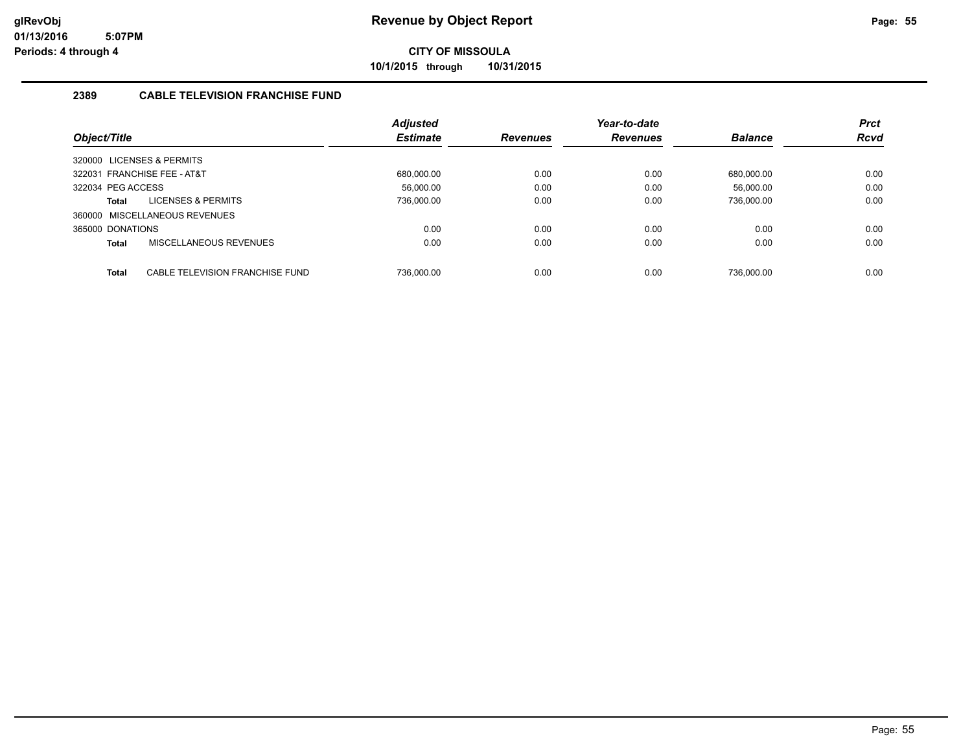**10/1/2015 through 10/31/2015**

# **2389 CABLE TELEVISION FRANCHISE FUND**

|                           |                                 | <b>Adjusted</b> |                 | Year-to-date    |                | <b>Prct</b> |
|---------------------------|---------------------------------|-----------------|-----------------|-----------------|----------------|-------------|
| Object/Title              |                                 | <b>Estimate</b> | <b>Revenues</b> | <b>Revenues</b> | <b>Balance</b> | <b>Rcvd</b> |
| 320000 LICENSES & PERMITS |                                 |                 |                 |                 |                |             |
|                           | 322031 FRANCHISE FEE - AT&T     | 680.000.00      | 0.00            | 0.00            | 680.000.00     | 0.00        |
| 322034 PEG ACCESS         |                                 | 56.000.00       | 0.00            | 0.00            | 56.000.00      | 0.00        |
| Total                     | <b>LICENSES &amp; PERMITS</b>   | 736,000.00      | 0.00            | 0.00            | 736,000.00     | 0.00        |
|                           | 360000 MISCELLANEOUS REVENUES   |                 |                 |                 |                |             |
| 365000 DONATIONS          |                                 | 0.00            | 0.00            | 0.00            | 0.00           | 0.00        |
| Total                     | MISCELLANEOUS REVENUES          | 0.00            | 0.00            | 0.00            | 0.00           | 0.00        |
|                           |                                 |                 |                 |                 |                |             |
| <b>Total</b>              | CABLE TELEVISION FRANCHISE FUND | 736.000.00      | 0.00            | 0.00            | 736.000.00     | 0.00        |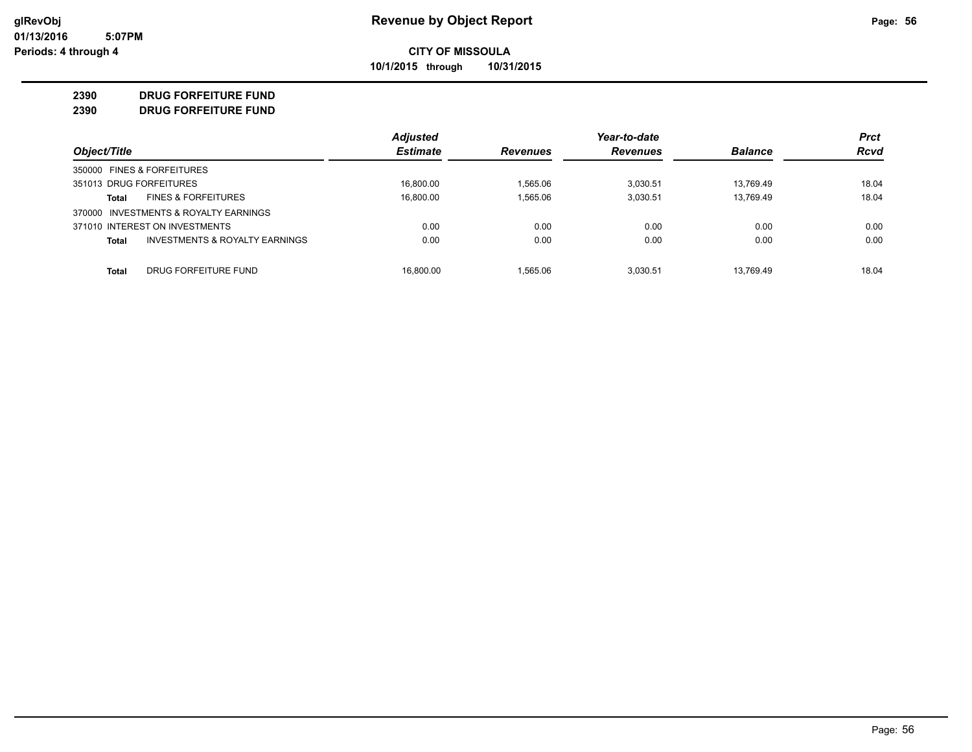**10/1/2015 through 10/31/2015**

#### **2390 DRUG FORFEITURE FUND**

#### **2390 DRUG FORFEITURE FUND**

|                                                    | <b>Adjusted</b> |                 | Year-to-date    |                | <b>Prct</b> |
|----------------------------------------------------|-----------------|-----------------|-----------------|----------------|-------------|
| Object/Title                                       | <b>Estimate</b> | <b>Revenues</b> | <b>Revenues</b> | <b>Balance</b> | <b>Rcvd</b> |
| 350000 FINES & FORFEITURES                         |                 |                 |                 |                |             |
| 351013 DRUG FORFEITURES                            | 16.800.00       | 1.565.06        | 3.030.51        | 13.769.49      | 18.04       |
| <b>FINES &amp; FORFEITURES</b><br>Total            | 16,800.00       | 1.565.06        | 3,030.51        | 13,769.49      | 18.04       |
| INVESTMENTS & ROYALTY EARNINGS<br>370000           |                 |                 |                 |                |             |
| 371010 INTEREST ON INVESTMENTS                     | 0.00            | 0.00            | 0.00            | 0.00           | 0.00        |
| <b>INVESTMENTS &amp; ROYALTY EARNINGS</b><br>Total | 0.00            | 0.00            | 0.00            | 0.00           | 0.00        |
| DRUG FORFEITURE FUND<br>Total                      | 16.800.00       | 1.565.06        | 3.030.51        | 13.769.49      | 18.04       |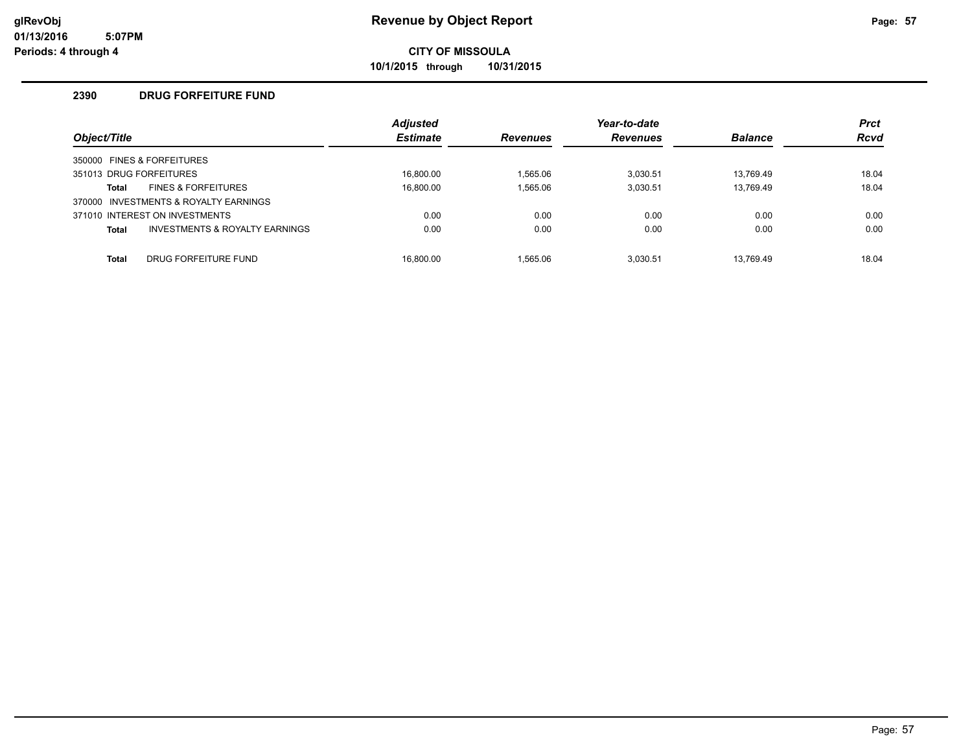**10/1/2015 through 10/31/2015**

## **2390 DRUG FORFEITURE FUND**

| Object/Title |                                       | <b>Adjusted</b><br><b>Estimate</b> | <b>Revenues</b> | Year-to-date<br><b>Revenues</b> | <b>Balance</b> | <b>Prct</b><br><b>Rcvd</b> |
|--------------|---------------------------------------|------------------------------------|-----------------|---------------------------------|----------------|----------------------------|
|              | 350000 FINES & FORFEITURES            |                                    |                 |                                 |                |                            |
|              | 351013 DRUG FORFEITURES               | 16.800.00                          | 1.565.06        | 3.030.51                        | 13.769.49      | 18.04                      |
| Total        | <b>FINES &amp; FORFEITURES</b>        | 16.800.00                          | 1,565.06        | 3.030.51                        | 13.769.49      | 18.04                      |
|              | 370000 INVESTMENTS & ROYALTY EARNINGS |                                    |                 |                                 |                |                            |
|              | 371010 INTEREST ON INVESTMENTS        | 0.00                               | 0.00            | 0.00                            | 0.00           | 0.00                       |
| Total        | INVESTMENTS & ROYALTY EARNINGS        | 0.00                               | 0.00            | 0.00                            | 0.00           | 0.00                       |
| <b>Total</b> | DRUG FORFEITURE FUND                  | 16.800.00                          | 1.565.06        | 3.030.51                        | 13.769.49      | 18.04                      |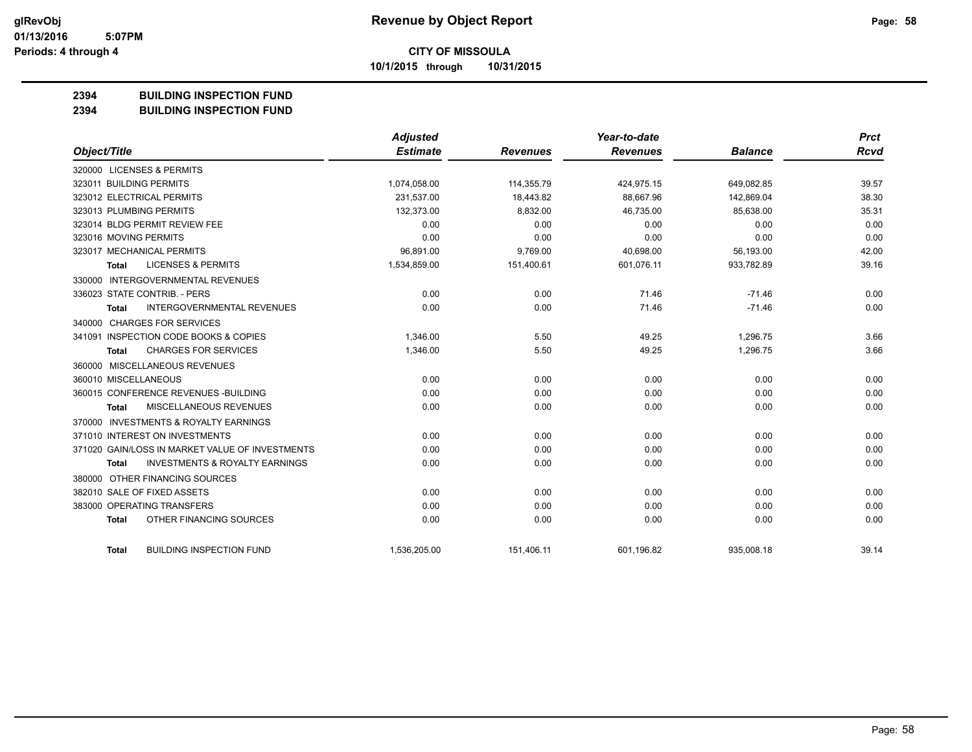**10/1/2015 through 10/31/2015**

### **2394 BUILDING INSPECTION FUND**

**2394 BUILDING INSPECTION FUND**

|                                                           | <b>Adjusted</b> |                 | Year-to-date    |                | <b>Prct</b> |
|-----------------------------------------------------------|-----------------|-----------------|-----------------|----------------|-------------|
| Object/Title                                              | <b>Estimate</b> | <b>Revenues</b> | <b>Revenues</b> | <b>Balance</b> | <b>Rcvd</b> |
| 320000 LICENSES & PERMITS                                 |                 |                 |                 |                |             |
| 323011 BUILDING PERMITS                                   | 1,074,058.00    | 114,355.79      | 424,975.15      | 649,082.85     | 39.57       |
| 323012 ELECTRICAL PERMITS                                 | 231,537.00      | 18.443.82       | 88.667.96       | 142.869.04     | 38.30       |
| 323013 PLUMBING PERMITS                                   | 132,373.00      | 8,832.00        | 46,735.00       | 85,638.00      | 35.31       |
| 323014 BLDG PERMIT REVIEW FEE                             | 0.00            | 0.00            | 0.00            | 0.00           | 0.00        |
| 323016 MOVING PERMITS                                     | 0.00            | 0.00            | 0.00            | 0.00           | 0.00        |
| 323017 MECHANICAL PERMITS                                 | 96,891.00       | 9,769.00        | 40,698.00       | 56,193.00      | 42.00       |
| <b>LICENSES &amp; PERMITS</b><br>Total                    | 1,534,859.00    | 151,400.61      | 601,076.11      | 933,782.89     | 39.16       |
| 330000 INTERGOVERNMENTAL REVENUES                         |                 |                 |                 |                |             |
| 336023 STATE CONTRIB. - PERS                              | 0.00            | 0.00            | 71.46           | $-71.46$       | 0.00        |
| <b>INTERGOVERNMENTAL REVENUES</b><br><b>Total</b>         | 0.00            | 0.00            | 71.46           | $-71.46$       | 0.00        |
| 340000 CHARGES FOR SERVICES                               |                 |                 |                 |                |             |
| 341091 INSPECTION CODE BOOKS & COPIES                     | 1,346.00        | 5.50            | 49.25           | 1,296.75       | 3.66        |
| <b>CHARGES FOR SERVICES</b><br>Total                      | 1,346.00        | 5.50            | 49.25           | 1,296.75       | 3.66        |
| 360000 MISCELLANEOUS REVENUES                             |                 |                 |                 |                |             |
| 360010 MISCELLANEOUS                                      | 0.00            | 0.00            | 0.00            | 0.00           | 0.00        |
| 360015 CONFERENCE REVENUES - BUILDING                     | 0.00            | 0.00            | 0.00            | 0.00           | 0.00        |
| MISCELLANEOUS REVENUES<br>Total                           | 0.00            | 0.00            | 0.00            | 0.00           | 0.00        |
| 370000 INVESTMENTS & ROYALTY EARNINGS                     |                 |                 |                 |                |             |
| 371010 INTEREST ON INVESTMENTS                            | 0.00            | 0.00            | 0.00            | 0.00           | 0.00        |
| 371020 GAIN/LOSS IN MARKET VALUE OF INVESTMENTS           | 0.00            | 0.00            | 0.00            | 0.00           | 0.00        |
| <b>INVESTMENTS &amp; ROYALTY EARNINGS</b><br><b>Total</b> | 0.00            | 0.00            | 0.00            | 0.00           | 0.00        |
| 380000 OTHER FINANCING SOURCES                            |                 |                 |                 |                |             |
| 382010 SALE OF FIXED ASSETS                               | 0.00            | 0.00            | 0.00            | 0.00           | 0.00        |
| 383000 OPERATING TRANSFERS                                | 0.00            | 0.00            | 0.00            | 0.00           | 0.00        |
| OTHER FINANCING SOURCES<br><b>Total</b>                   | 0.00            | 0.00            | 0.00            | 0.00           | 0.00        |
| <b>BUILDING INSPECTION FUND</b><br><b>Total</b>           | 1,536,205.00    | 151,406.11      | 601,196.82      | 935.008.18     | 39.14       |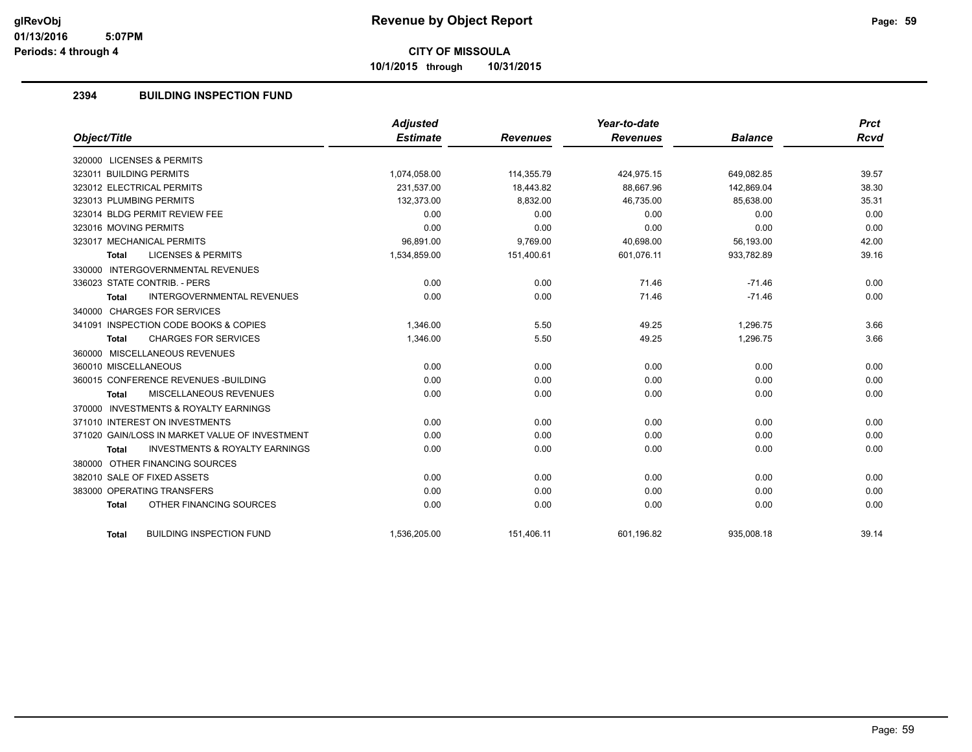**10/1/2015 through 10/31/2015**

# **2394 BUILDING INSPECTION FUND**

|                                                    | <b>Adjusted</b> |                 | Year-to-date    |                | <b>Prct</b> |
|----------------------------------------------------|-----------------|-----------------|-----------------|----------------|-------------|
| Object/Title                                       | <b>Estimate</b> | <b>Revenues</b> | <b>Revenues</b> | <b>Balance</b> | <b>Rcvd</b> |
| 320000 LICENSES & PERMITS                          |                 |                 |                 |                |             |
| 323011 BUILDING PERMITS                            | 1,074,058.00    | 114,355.79      | 424,975.15      | 649,082.85     | 39.57       |
| 323012 ELECTRICAL PERMITS                          | 231,537.00      | 18,443.82       | 88,667.96       | 142,869.04     | 38.30       |
| 323013 PLUMBING PERMITS                            | 132,373.00      | 8,832.00        | 46,735.00       | 85,638.00      | 35.31       |
| 323014 BLDG PERMIT REVIEW FEE                      | 0.00            | 0.00            | 0.00            | 0.00           | 0.00        |
| 323016 MOVING PERMITS                              | 0.00            | 0.00            | 0.00            | 0.00           | 0.00        |
| 323017 MECHANICAL PERMITS                          | 96,891.00       | 9,769.00        | 40,698.00       | 56,193.00      | 42.00       |
| <b>LICENSES &amp; PERMITS</b><br><b>Total</b>      | 1,534,859.00    | 151,400.61      | 601,076.11      | 933,782.89     | 39.16       |
| 330000 INTERGOVERNMENTAL REVENUES                  |                 |                 |                 |                |             |
| 336023 STATE CONTRIB. - PERS                       | 0.00            | 0.00            | 71.46           | $-71.46$       | 0.00        |
| <b>INTERGOVERNMENTAL REVENUES</b><br><b>Total</b>  | 0.00            | 0.00            | 71.46           | $-71.46$       | 0.00        |
| 340000 CHARGES FOR SERVICES                        |                 |                 |                 |                |             |
| 341091 INSPECTION CODE BOOKS & COPIES              | 1,346.00        | 5.50            | 49.25           | 1,296.75       | 3.66        |
| <b>CHARGES FOR SERVICES</b><br><b>Total</b>        | 1,346.00        | 5.50            | 49.25           | 1,296.75       | 3.66        |
| 360000 MISCELLANEOUS REVENUES                      |                 |                 |                 |                |             |
| 360010 MISCELLANEOUS                               | 0.00            | 0.00            | 0.00            | 0.00           | 0.00        |
| 360015 CONFERENCE REVENUES - BUILDING              | 0.00            | 0.00            | 0.00            | 0.00           | 0.00        |
| MISCELLANEOUS REVENUES<br><b>Total</b>             | 0.00            | 0.00            | 0.00            | 0.00           | 0.00        |
| 370000 INVESTMENTS & ROYALTY EARNINGS              |                 |                 |                 |                |             |
| 371010 INTEREST ON INVESTMENTS                     | 0.00            | 0.00            | 0.00            | 0.00           | 0.00        |
| 371020 GAIN/LOSS IN MARKET VALUE OF INVESTMENT     | 0.00            | 0.00            | 0.00            | 0.00           | 0.00        |
| <b>INVESTMENTS &amp; ROYALTY EARNINGS</b><br>Total | 0.00            | 0.00            | 0.00            | 0.00           | 0.00        |
| 380000 OTHER FINANCING SOURCES                     |                 |                 |                 |                |             |
| 382010 SALE OF FIXED ASSETS                        | 0.00            | 0.00            | 0.00            | 0.00           | 0.00        |
| 383000 OPERATING TRANSFERS                         | 0.00            | 0.00            | 0.00            | 0.00           | 0.00        |
| OTHER FINANCING SOURCES<br><b>Total</b>            | 0.00            | 0.00            | 0.00            | 0.00           | 0.00        |
| <b>BUILDING INSPECTION FUND</b><br><b>Total</b>    | 1,536,205.00    | 151,406.11      | 601,196.82      | 935,008.18     | 39.14       |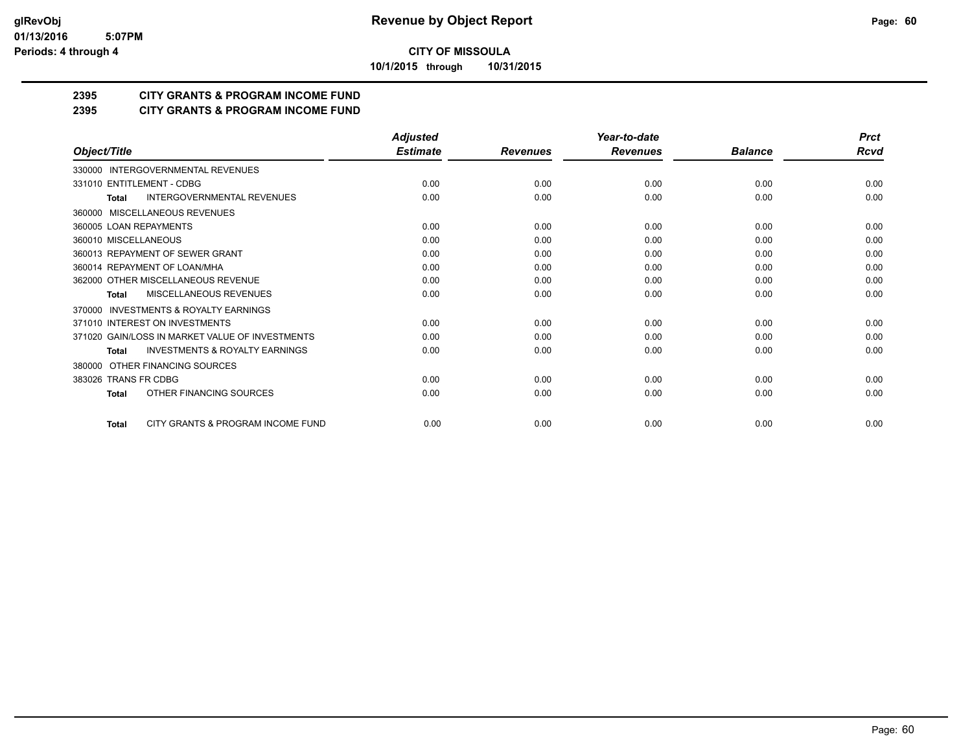**10/1/2015 through 10/31/2015**

# **2395 CITY GRANTS & PROGRAM INCOME FUND**

# **2395 CITY GRANTS & PROGRAM INCOME FUND**

|                                                           | <b>Adjusted</b> |                 | Year-to-date    |                | <b>Prct</b> |
|-----------------------------------------------------------|-----------------|-----------------|-----------------|----------------|-------------|
| Object/Title                                              | <b>Estimate</b> | <b>Revenues</b> | <b>Revenues</b> | <b>Balance</b> | <b>Rcvd</b> |
| 330000 INTERGOVERNMENTAL REVENUES                         |                 |                 |                 |                |             |
| 331010 ENTITLEMENT - CDBG                                 | 0.00            | 0.00            | 0.00            | 0.00           | 0.00        |
| <b>INTERGOVERNMENTAL REVENUES</b><br><b>Total</b>         | 0.00            | 0.00            | 0.00            | 0.00           | 0.00        |
| MISCELLANEOUS REVENUES<br>360000                          |                 |                 |                 |                |             |
| 360005 LOAN REPAYMENTS                                    | 0.00            | 0.00            | 0.00            | 0.00           | 0.00        |
| 360010 MISCELLANEOUS                                      | 0.00            | 0.00            | 0.00            | 0.00           | 0.00        |
| 360013 REPAYMENT OF SEWER GRANT                           | 0.00            | 0.00            | 0.00            | 0.00           | 0.00        |
| 360014 REPAYMENT OF LOAN/MHA                              | 0.00            | 0.00            | 0.00            | 0.00           | 0.00        |
| 362000 OTHER MISCELLANEOUS REVENUE                        | 0.00            | 0.00            | 0.00            | 0.00           | 0.00        |
| <b>MISCELLANEOUS REVENUES</b><br><b>Total</b>             | 0.00            | 0.00            | 0.00            | 0.00           | 0.00        |
| <b>INVESTMENTS &amp; ROYALTY EARNINGS</b><br>370000       |                 |                 |                 |                |             |
| 371010 INTEREST ON INVESTMENTS                            | 0.00            | 0.00            | 0.00            | 0.00           | 0.00        |
| 371020 GAIN/LOSS IN MARKET VALUE OF INVESTMENTS           | 0.00            | 0.00            | 0.00            | 0.00           | 0.00        |
| <b>INVESTMENTS &amp; ROYALTY EARNINGS</b><br><b>Total</b> | 0.00            | 0.00            | 0.00            | 0.00           | 0.00        |
| OTHER FINANCING SOURCES<br>380000                         |                 |                 |                 |                |             |
| 383026 TRANS FR CDBG                                      | 0.00            | 0.00            | 0.00            | 0.00           | 0.00        |
| OTHER FINANCING SOURCES<br>Total                          | 0.00            | 0.00            | 0.00            | 0.00           | 0.00        |
| CITY GRANTS & PROGRAM INCOME FUND<br><b>Total</b>         | 0.00            | 0.00            | 0.00            | 0.00           | 0.00        |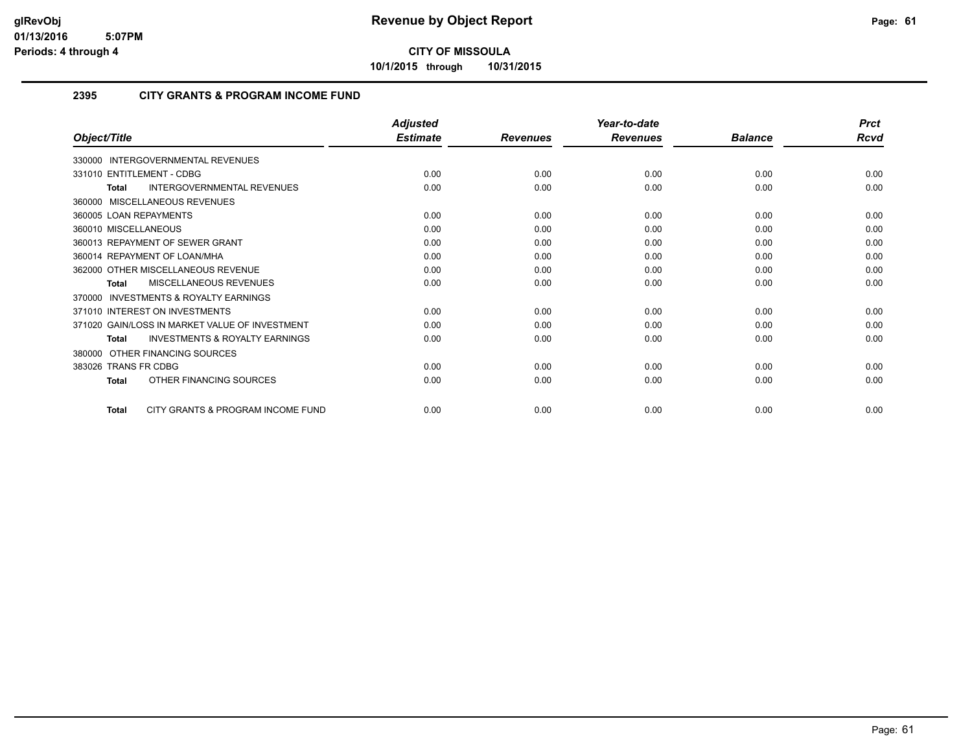**10/1/2015 through 10/31/2015**

# **2395 CITY GRANTS & PROGRAM INCOME FUND**

|                                                     | <b>Adjusted</b> |                 | Year-to-date    |                | <b>Prct</b> |
|-----------------------------------------------------|-----------------|-----------------|-----------------|----------------|-------------|
| Object/Title                                        | <b>Estimate</b> | <b>Revenues</b> | <b>Revenues</b> | <b>Balance</b> | Rcvd        |
| 330000 INTERGOVERNMENTAL REVENUES                   |                 |                 |                 |                |             |
| 331010 ENTITLEMENT - CDBG                           | 0.00            | 0.00            | 0.00            | 0.00           | 0.00        |
| INTERGOVERNMENTAL REVENUES<br><b>Total</b>          | 0.00            | 0.00            | 0.00            | 0.00           | 0.00        |
| 360000 MISCELLANEOUS REVENUES                       |                 |                 |                 |                |             |
| 360005 LOAN REPAYMENTS                              | 0.00            | 0.00            | 0.00            | 0.00           | 0.00        |
| 360010 MISCELLANEOUS                                | 0.00            | 0.00            | 0.00            | 0.00           | 0.00        |
| 360013 REPAYMENT OF SEWER GRANT                     | 0.00            | 0.00            | 0.00            | 0.00           | 0.00        |
| 360014 REPAYMENT OF LOAN/MHA                        | 0.00            | 0.00            | 0.00            | 0.00           | 0.00        |
| 362000 OTHER MISCELLANEOUS REVENUE                  | 0.00            | 0.00            | 0.00            | 0.00           | 0.00        |
| <b>MISCELLANEOUS REVENUES</b><br><b>Total</b>       | 0.00            | 0.00            | 0.00            | 0.00           | 0.00        |
| <b>INVESTMENTS &amp; ROYALTY EARNINGS</b><br>370000 |                 |                 |                 |                |             |
| 371010 INTEREST ON INVESTMENTS                      | 0.00            | 0.00            | 0.00            | 0.00           | 0.00        |
| 371020 GAIN/LOSS IN MARKET VALUE OF INVESTMENT      | 0.00            | 0.00            | 0.00            | 0.00           | 0.00        |
| <b>INVESTMENTS &amp; ROYALTY EARNINGS</b><br>Total  | 0.00            | 0.00            | 0.00            | 0.00           | 0.00        |
| 380000 OTHER FINANCING SOURCES                      |                 |                 |                 |                |             |
| 383026 TRANS FR CDBG                                | 0.00            | 0.00            | 0.00            | 0.00           | 0.00        |
| OTHER FINANCING SOURCES<br><b>Total</b>             | 0.00            | 0.00            | 0.00            | 0.00           | 0.00        |
| CITY GRANTS & PROGRAM INCOME FUND<br><b>Total</b>   | 0.00            | 0.00            | 0.00            | 0.00           | 0.00        |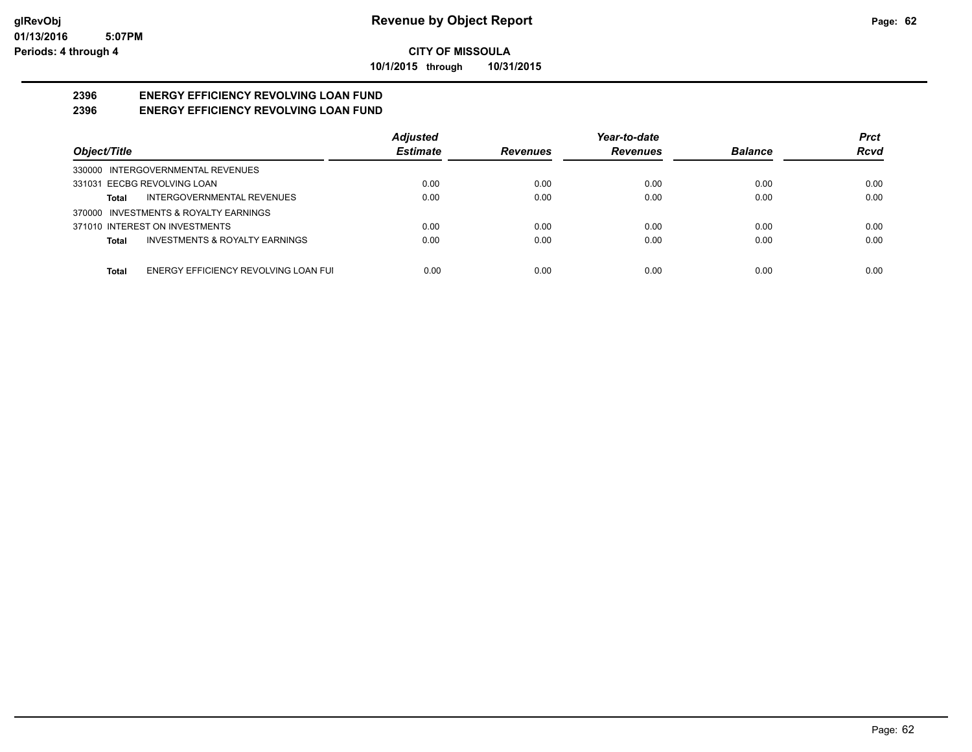**10/1/2015 through 10/31/2015**

#### **2396 ENERGY EFFICIENCY REVOLVING LOAN FUND 2396 ENERGY EFFICIENCY REVOLVING LOAN FUND**

|                                                      | <b>Adjusted</b> |                 | Year-to-date    |                | Prct        |
|------------------------------------------------------|-----------------|-----------------|-----------------|----------------|-------------|
| Object/Title                                         | <b>Estimate</b> | <b>Revenues</b> | <b>Revenues</b> | <b>Balance</b> | <b>Rcvd</b> |
| 330000 INTERGOVERNMENTAL REVENUES                    |                 |                 |                 |                |             |
| 331031 EECBG REVOLVING LOAN                          | 0.00            | 0.00            | 0.00            | 0.00           | 0.00        |
| INTERGOVERNMENTAL REVENUES<br>Total                  | 0.00            | 0.00            | 0.00            | 0.00           | 0.00        |
| 370000 INVESTMENTS & ROYALTY EARNINGS                |                 |                 |                 |                |             |
| 371010 INTEREST ON INVESTMENTS                       | 0.00            | 0.00            | 0.00            | 0.00           | 0.00        |
| <b>INVESTMENTS &amp; ROYALTY EARNINGS</b><br>Total   | 0.00            | 0.00            | 0.00            | 0.00           | 0.00        |
|                                                      |                 |                 |                 |                |             |
| ENERGY EFFICIENCY REVOLVING LOAN FUI<br><b>Total</b> | 0.00            | 0.00            | 0.00            | 0.00           | 0.00        |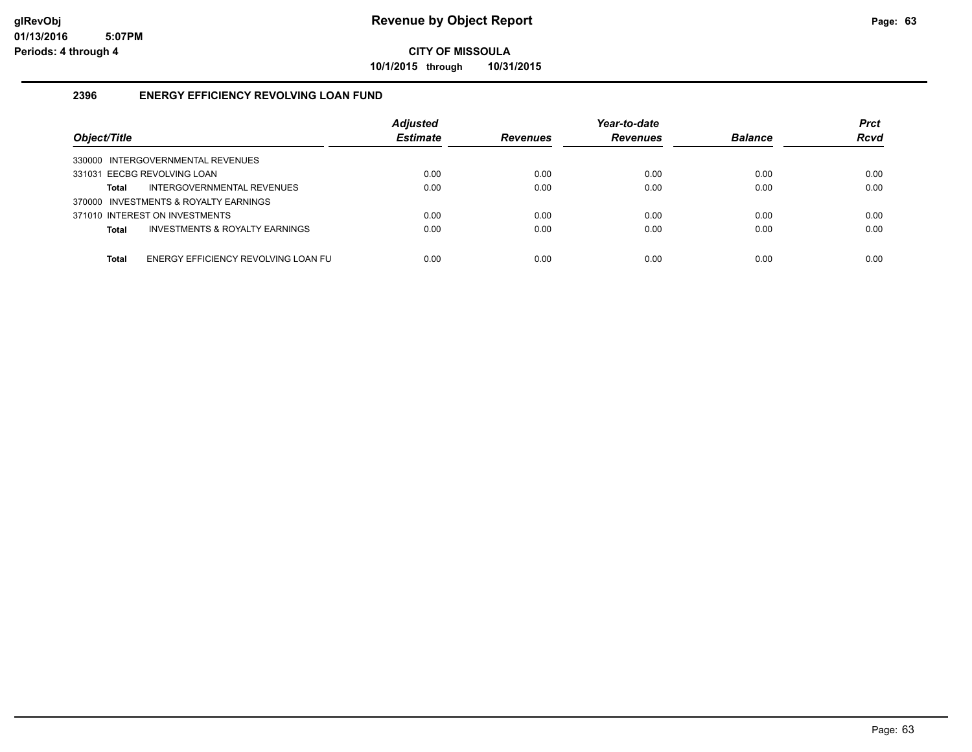**10/1/2015 through 10/31/2015**

# **2396 ENERGY EFFICIENCY REVOLVING LOAN FUND**

| Object/Title                                        | <b>Adjusted</b><br><b>Estimate</b> | <b>Revenues</b> | Year-to-date<br><b>Revenues</b> | <b>Balance</b> | <b>Prct</b><br><b>Rcvd</b> |
|-----------------------------------------------------|------------------------------------|-----------------|---------------------------------|----------------|----------------------------|
| 330000 INTERGOVERNMENTAL REVENUES                   |                                    |                 |                                 |                |                            |
| 331031 EECBG REVOLVING LOAN                         | 0.00                               | 0.00            | 0.00                            | 0.00           | 0.00                       |
| INTERGOVERNMENTAL REVENUES<br><b>Total</b>          | 0.00                               | 0.00            | 0.00                            | 0.00           | 0.00                       |
| 370000 INVESTMENTS & ROYALTY EARNINGS               |                                    |                 |                                 |                |                            |
| 371010 INTEREST ON INVESTMENTS                      | 0.00                               | 0.00            | 0.00                            | 0.00           | 0.00                       |
| INVESTMENTS & ROYALTY EARNINGS<br><b>Total</b>      | 0.00                               | 0.00            | 0.00                            | 0.00           | 0.00                       |
|                                                     |                                    |                 |                                 |                |                            |
| ENERGY EFFICIENCY REVOLVING LOAN FU<br><b>Total</b> | 0.00                               | 0.00            | 0.00                            | 0.00           | 0.00                       |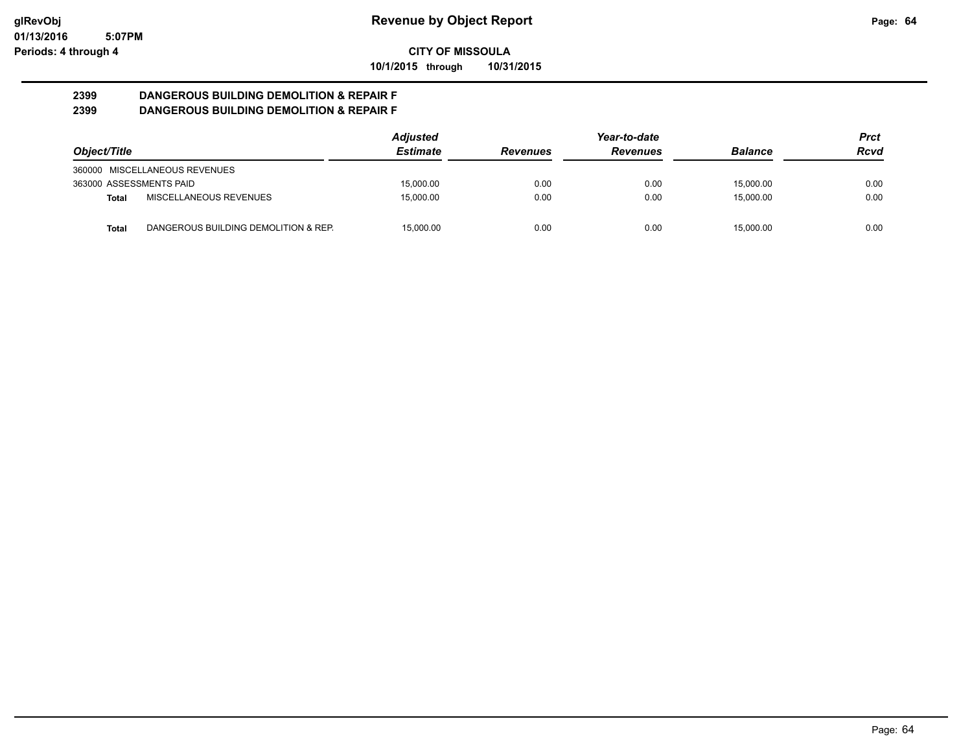**10/1/2015 through 10/31/2015**

#### **2399 DANGEROUS BUILDING DEMOLITION & REPAIR F 2399 DANGEROUS BUILDING DEMOLITION & REPAIR F**

|                         |                                      | <b>Adjusted</b> |                 | Year-to-date    |                | Prct |
|-------------------------|--------------------------------------|-----------------|-----------------|-----------------|----------------|------|
| Object/Title            |                                      | <b>Estimate</b> | <b>Revenues</b> | <b>Revenues</b> | <b>Balance</b> | Rcvd |
|                         | 360000 MISCELLANEOUS REVENUES        |                 |                 |                 |                |      |
| 363000 ASSESSMENTS PAID |                                      | 15.000.00       | 0.00            | 0.00            | 15.000.00      | 0.00 |
| Total                   | MISCELLANEOUS REVENUES               | 15,000.00       | 0.00            | 0.00            | 15.000.00      | 0.00 |
| <b>Total</b>            | DANGEROUS BUILDING DEMOLITION & REP. | 15.000.00       | 0.00            | 0.00            | 15.000.00      | 0.00 |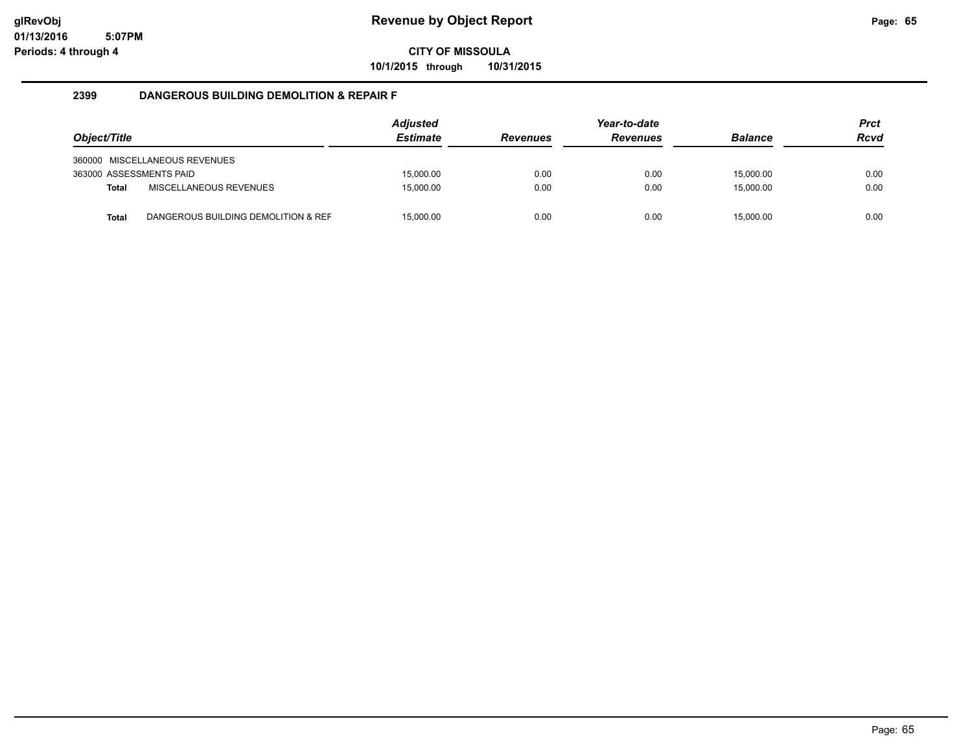**10/1/2015 through 10/31/2015**

## **2399 DANGEROUS BUILDING DEMOLITION & REPAIR F**

| Object/Title            |                                     | <b>Adjusted</b><br><b>Estimate</b> | <b>Revenues</b> | Year-to-date<br><b>Revenues</b> | <b>Balance</b> | <b>Prct</b><br><b>Rcvd</b> |
|-------------------------|-------------------------------------|------------------------------------|-----------------|---------------------------------|----------------|----------------------------|
|                         | 360000 MISCELLANEOUS REVENUES       |                                    |                 |                                 |                |                            |
| 363000 ASSESSMENTS PAID |                                     | 15.000.00                          | 0.00            | 0.00                            | 15.000.00      | 0.00                       |
| Total                   | MISCELLANEOUS REVENUES              | 15,000.00                          | 0.00            | 0.00                            | 15.000.00      | 0.00                       |
| <b>Total</b>            | DANGEROUS BUILDING DEMOLITION & REF | 15.000.00                          | 0.00            | 0.00                            | 15.000.00      | 0.00                       |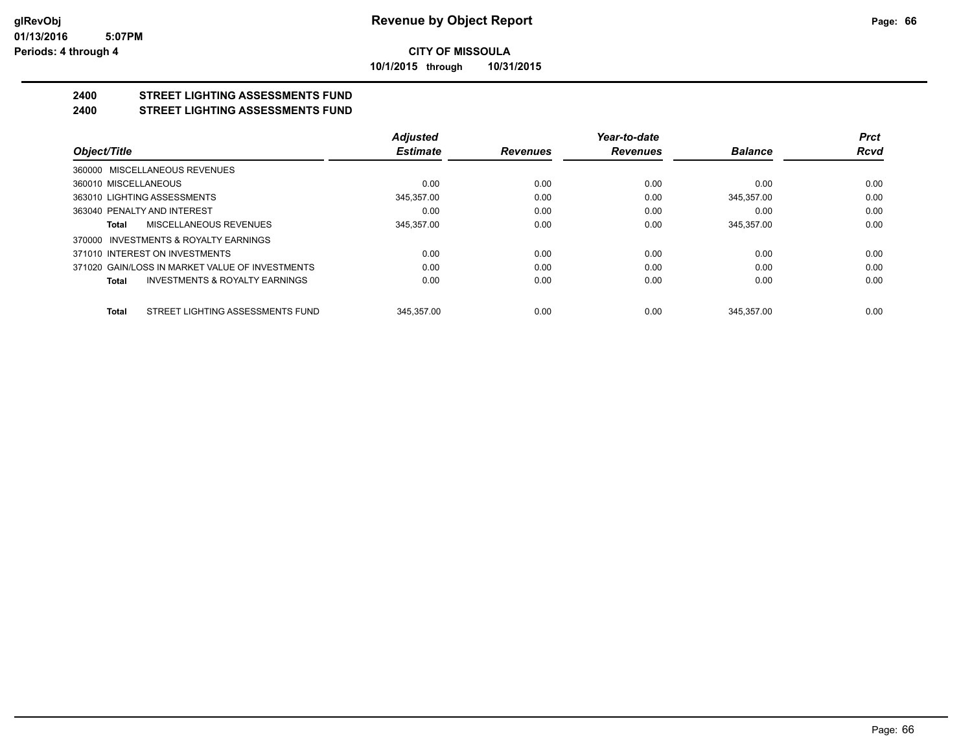**10/1/2015 through 10/31/2015**

#### **2400 STREET LIGHTING ASSESSMENTS FUND 2400 STREET LIGHTING ASSESSMENTS FUND**

|                                                    | <b>Adjusted</b> |                 | Year-to-date    |                | <b>Prct</b> |
|----------------------------------------------------|-----------------|-----------------|-----------------|----------------|-------------|
| Object/Title                                       | <b>Estimate</b> | <b>Revenues</b> | <b>Revenues</b> | <b>Balance</b> | <b>Rcvd</b> |
| 360000 MISCELLANEOUS REVENUES                      |                 |                 |                 |                |             |
| 360010 MISCELLANEOUS                               | 0.00            | 0.00            | 0.00            | 0.00           | 0.00        |
| 363010 LIGHTING ASSESSMENTS                        | 345.357.00      | 0.00            | 0.00            | 345.357.00     | 0.00        |
| 363040 PENALTY AND INTEREST                        | 0.00            | 0.00            | 0.00            | 0.00           | 0.00        |
| MISCELLANEOUS REVENUES<br>Total                    | 345.357.00      | 0.00            | 0.00            | 345.357.00     | 0.00        |
| INVESTMENTS & ROYALTY EARNINGS<br>370000           |                 |                 |                 |                |             |
| 371010 INTEREST ON INVESTMENTS                     | 0.00            | 0.00            | 0.00            | 0.00           | 0.00        |
| 371020 GAIN/LOSS IN MARKET VALUE OF INVESTMENTS    | 0.00            | 0.00            | 0.00            | 0.00           | 0.00        |
| <b>INVESTMENTS &amp; ROYALTY EARNINGS</b><br>Total | 0.00            | 0.00            | 0.00            | 0.00           | 0.00        |
| STREET LIGHTING ASSESSMENTS FUND<br><b>Total</b>   | 345.357.00      | 0.00            | 0.00            | 345.357.00     | 0.00        |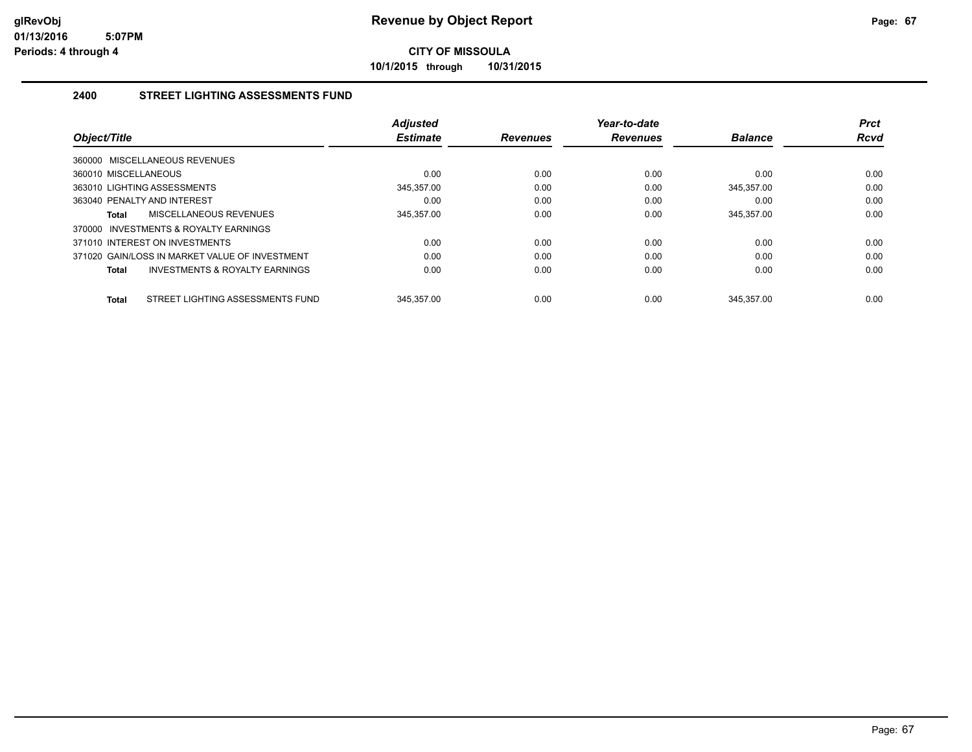**10/1/2015 through 10/31/2015**

# **2400 STREET LIGHTING ASSESSMENTS FUND**

| Object/Title                   |                                                | <b>Adjusted</b><br><b>Estimate</b> | <b>Revenues</b> | Year-to-date<br><b>Revenues</b> | <b>Balance</b> | <b>Prct</b><br><b>Rcvd</b> |
|--------------------------------|------------------------------------------------|------------------------------------|-----------------|---------------------------------|----------------|----------------------------|
| 360000 MISCELLANEOUS REVENUES  |                                                |                                    |                 |                                 |                |                            |
| 360010 MISCELLANEOUS           |                                                | 0.00                               | 0.00            | 0.00                            | 0.00           | 0.00                       |
| 363010 LIGHTING ASSESSMENTS    |                                                | 345.357.00                         | 0.00            | 0.00                            | 345.357.00     | 0.00                       |
| 363040 PENALTY AND INTEREST    |                                                | 0.00                               | 0.00            | 0.00                            | 0.00           | 0.00                       |
| Total                          | <b>MISCELLANEOUS REVENUES</b>                  | 345,357.00                         | 0.00            | 0.00                            | 345,357.00     | 0.00                       |
|                                | 370000 INVESTMENTS & ROYALTY EARNINGS          |                                    |                 |                                 |                |                            |
| 371010 INTEREST ON INVESTMENTS |                                                | 0.00                               | 0.00            | 0.00                            | 0.00           | 0.00                       |
|                                | 371020 GAIN/LOSS IN MARKET VALUE OF INVESTMENT | 0.00                               | 0.00            | 0.00                            | 0.00           | 0.00                       |
| Total                          | INVESTMENTS & ROYALTY EARNINGS                 | 0.00                               | 0.00            | 0.00                            | 0.00           | 0.00                       |
|                                |                                                |                                    |                 |                                 |                |                            |
| <b>Total</b>                   | STREET LIGHTING ASSESSMENTS FUND               | 345.357.00                         | 0.00            | 0.00                            | 345.357.00     | 0.00                       |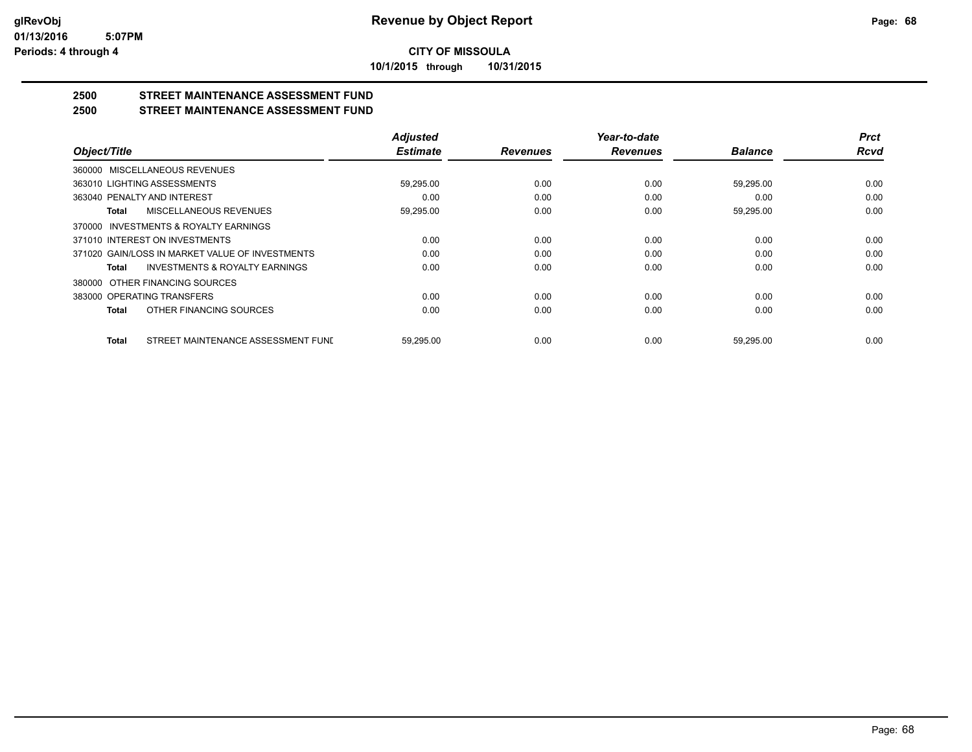**10/1/2015 through 10/31/2015**

# **2500 STREET MAINTENANCE ASSESSMENT FUND**

# **2500 STREET MAINTENANCE ASSESSMENT FUND**

|                                                           | <b>Adjusted</b> |                 | Year-to-date    |                | <b>Prct</b> |
|-----------------------------------------------------------|-----------------|-----------------|-----------------|----------------|-------------|
| Object/Title                                              | <b>Estimate</b> | <b>Revenues</b> | <b>Revenues</b> | <b>Balance</b> | <b>Rcvd</b> |
| 360000 MISCELLANEOUS REVENUES                             |                 |                 |                 |                |             |
| 363010 LIGHTING ASSESSMENTS                               | 59,295.00       | 0.00            | 0.00            | 59,295.00      | 0.00        |
| 363040 PENALTY AND INTEREST                               | 0.00            | 0.00            | 0.00            | 0.00           | 0.00        |
| MISCELLANEOUS REVENUES<br><b>Total</b>                    | 59,295.00       | 0.00            | 0.00            | 59,295.00      | 0.00        |
| 370000 INVESTMENTS & ROYALTY EARNINGS                     |                 |                 |                 |                |             |
| 371010 INTEREST ON INVESTMENTS                            | 0.00            | 0.00            | 0.00            | 0.00           | 0.00        |
| 371020 GAIN/LOSS IN MARKET VALUE OF INVESTMENTS           | 0.00            | 0.00            | 0.00            | 0.00           | 0.00        |
| <b>INVESTMENTS &amp; ROYALTY EARNINGS</b><br><b>Total</b> | 0.00            | 0.00            | 0.00            | 0.00           | 0.00        |
| OTHER FINANCING SOURCES<br>380000                         |                 |                 |                 |                |             |
| 383000 OPERATING TRANSFERS                                | 0.00            | 0.00            | 0.00            | 0.00           | 0.00        |
| OTHER FINANCING SOURCES<br><b>Total</b>                   | 0.00            | 0.00            | 0.00            | 0.00           | 0.00        |
| STREET MAINTENANCE ASSESSMENT FUNI<br><b>Total</b>        | 59.295.00       | 0.00            | 0.00            | 59.295.00      | 0.00        |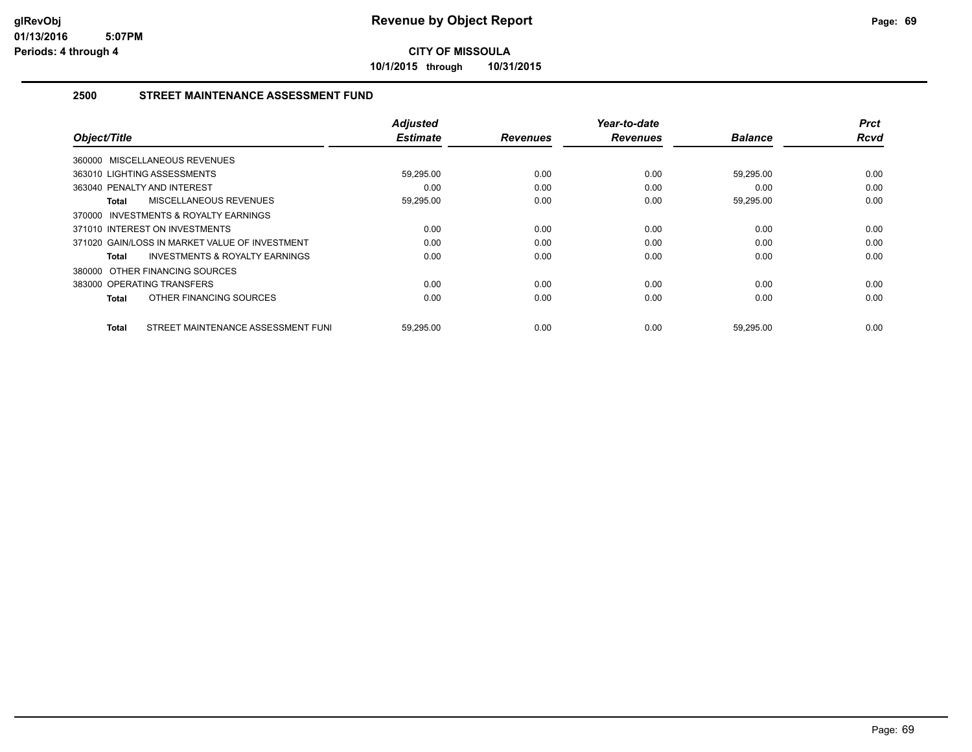**10/1/2015 through 10/31/2015**

# **2500 STREET MAINTENANCE ASSESSMENT FUND**

| Object/Title                                       | <b>Adjusted</b><br><b>Estimate</b> | <b>Revenues</b> | Year-to-date<br><b>Revenues</b> | <b>Balance</b> | <b>Prct</b><br>Rcvd |
|----------------------------------------------------|------------------------------------|-----------------|---------------------------------|----------------|---------------------|
| 360000 MISCELLANEOUS REVENUES                      |                                    |                 |                                 |                |                     |
| 363010 LIGHTING ASSESSMENTS                        | 59,295.00                          | 0.00            | 0.00                            | 59.295.00      | 0.00                |
| 363040 PENALTY AND INTEREST                        | 0.00                               | 0.00            | 0.00                            | 0.00           | 0.00                |
| MISCELLANEOUS REVENUES<br>Total                    | 59,295.00                          | 0.00            | 0.00                            | 59,295.00      | 0.00                |
| 370000 INVESTMENTS & ROYALTY EARNINGS              |                                    |                 |                                 |                |                     |
| 371010 INTEREST ON INVESTMENTS                     | 0.00                               | 0.00            | 0.00                            | 0.00           | 0.00                |
| 371020 GAIN/LOSS IN MARKET VALUE OF INVESTMENT     | 0.00                               | 0.00            | 0.00                            | 0.00           | 0.00                |
| <b>INVESTMENTS &amp; ROYALTY EARNINGS</b><br>Total | 0.00                               | 0.00            | 0.00                            | 0.00           | 0.00                |
| 380000 OTHER FINANCING SOURCES                     |                                    |                 |                                 |                |                     |
| 383000 OPERATING TRANSFERS                         | 0.00                               | 0.00            | 0.00                            | 0.00           | 0.00                |
| OTHER FINANCING SOURCES<br>Total                   | 0.00                               | 0.00            | 0.00                            | 0.00           | 0.00                |
| STREET MAINTENANCE ASSESSMENT FUNI<br>Total        | 59,295.00                          | 0.00            | 0.00                            | 59,295.00      | 0.00                |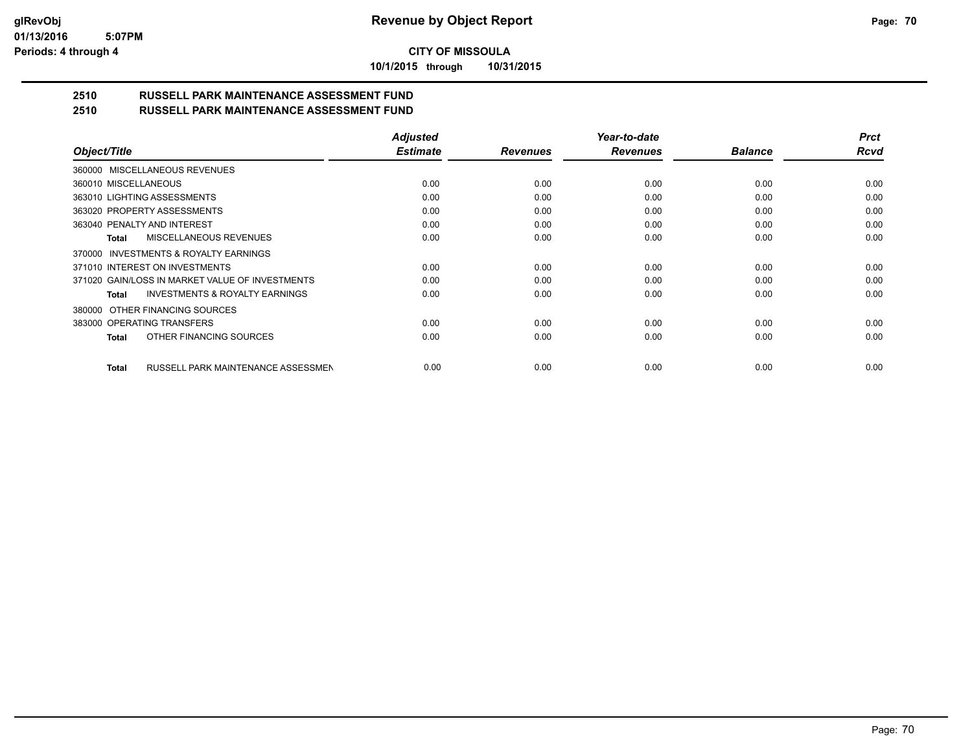*Prct Rcvd*

# **CITY OF MISSOULA**

**10/1/2015 through 10/31/2015**

#### **2510 RUSSELL PARK MAINTENANCE ASSESSMENT FUND 2510 RUSSELL PARK MAINTENANCE ASSESSMENT FUND**

|                                                           | <b>Adjusted</b> |                 | Year-to-date    |                | <b>Prct</b> |
|-----------------------------------------------------------|-----------------|-----------------|-----------------|----------------|-------------|
| Object/Title                                              | <b>Estimate</b> | <b>Revenues</b> | <b>Revenues</b> | <b>Balance</b> | Rcva        |
| MISCELLANEOUS REVENUES<br>360000                          |                 |                 |                 |                |             |
| 360010 MISCELLANEOUS                                      | 0.00            | 0.00            | 0.00            | 0.00           | 0.00        |
| 363010 LIGHTING ASSESSMENTS                               | 0.00            | 0.00            | 0.00            | 0.00           | 0.00        |
| 363020 PROPERTY ASSESSMENTS                               | 0.00            | 0.00            | 0.00            | 0.00           | 0.00        |
| 363040 PENALTY AND INTEREST                               | 0.00            | 0.00            | 0.00            | 0.00           | 0.00        |
| MISCELLANEOUS REVENUES<br><b>Total</b>                    | 0.00            | 0.00            | 0.00            | 0.00           | 0.00        |
| <b>INVESTMENTS &amp; ROYALTY EARNINGS</b><br>370000       |                 |                 |                 |                |             |
| 371010 INTEREST ON INVESTMENTS                            | 0.00            | 0.00            | 0.00            | 0.00           | 0.00        |
| 371020 GAIN/LOSS IN MARKET VALUE OF INVESTMENTS           | 0.00            | 0.00            | 0.00            | 0.00           | 0.00        |
| <b>INVESTMENTS &amp; ROYALTY EARNINGS</b><br><b>Total</b> | 0.00            | 0.00            | 0.00            | 0.00           | 0.00        |
| OTHER FINANCING SOURCES<br>380000                         |                 |                 |                 |                |             |
| 383000 OPERATING TRANSFERS                                | 0.00            | 0.00            | 0.00            | 0.00           | 0.00        |
| OTHER FINANCING SOURCES<br><b>Total</b>                   | 0.00            | 0.00            | 0.00            | 0.00           | 0.00        |
| RUSSELL PARK MAINTENANCE ASSESSMEN<br><b>Total</b>        | 0.00            | 0.00            | 0.00            | 0.00           | 0.00        |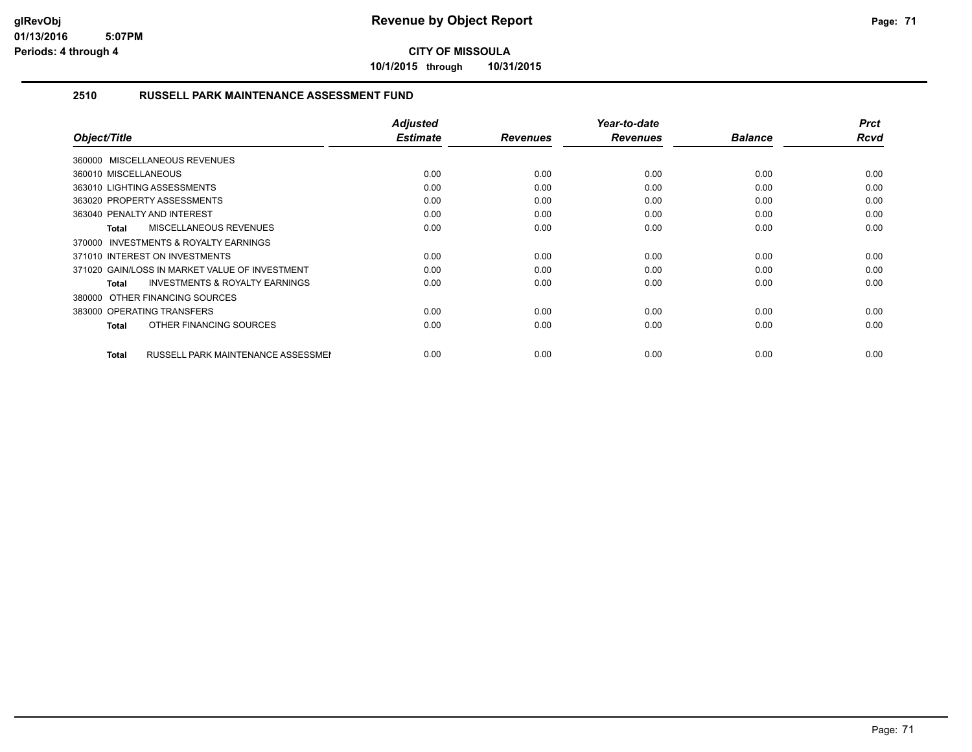**10/1/2015 through 10/31/2015**

# **2510 RUSSELL PARK MAINTENANCE ASSESSMENT FUND**

| Object/Title                                              | <b>Adjusted</b><br><b>Estimate</b> | <b>Revenues</b> | Year-to-date<br><b>Revenues</b> | <b>Balance</b> | <b>Prct</b><br><b>Rcvd</b> |
|-----------------------------------------------------------|------------------------------------|-----------------|---------------------------------|----------------|----------------------------|
| 360000 MISCELLANEOUS REVENUES                             |                                    |                 |                                 |                |                            |
| 360010 MISCELLANEOUS                                      | 0.00                               | 0.00            | 0.00                            | 0.00           | 0.00                       |
| 363010 LIGHTING ASSESSMENTS                               | 0.00                               | 0.00            | 0.00                            | 0.00           | 0.00                       |
| 363020 PROPERTY ASSESSMENTS                               | 0.00                               | 0.00            | 0.00                            | 0.00           | 0.00                       |
| 363040 PENALTY AND INTEREST                               | 0.00                               | 0.00            | 0.00                            | 0.00           | 0.00                       |
| MISCELLANEOUS REVENUES<br><b>Total</b>                    | 0.00                               | 0.00            | 0.00                            | 0.00           | 0.00                       |
| <b>INVESTMENTS &amp; ROYALTY EARNINGS</b><br>370000       |                                    |                 |                                 |                |                            |
| 371010 INTEREST ON INVESTMENTS                            | 0.00                               | 0.00            | 0.00                            | 0.00           | 0.00                       |
| 371020 GAIN/LOSS IN MARKET VALUE OF INVESTMENT            | 0.00                               | 0.00            | 0.00                            | 0.00           | 0.00                       |
| <b>INVESTMENTS &amp; ROYALTY EARNINGS</b><br>Total        | 0.00                               | 0.00            | 0.00                            | 0.00           | 0.00                       |
| 380000 OTHER FINANCING SOURCES                            |                                    |                 |                                 |                |                            |
| 383000 OPERATING TRANSFERS                                | 0.00                               | 0.00            | 0.00                            | 0.00           | 0.00                       |
| OTHER FINANCING SOURCES<br>Total                          | 0.00                               | 0.00            | 0.00                            | 0.00           | 0.00                       |
|                                                           |                                    |                 |                                 |                |                            |
| <b>RUSSELL PARK MAINTENANCE ASSESSMEN</b><br><b>Total</b> | 0.00                               | 0.00            | 0.00                            | 0.00           | 0.00                       |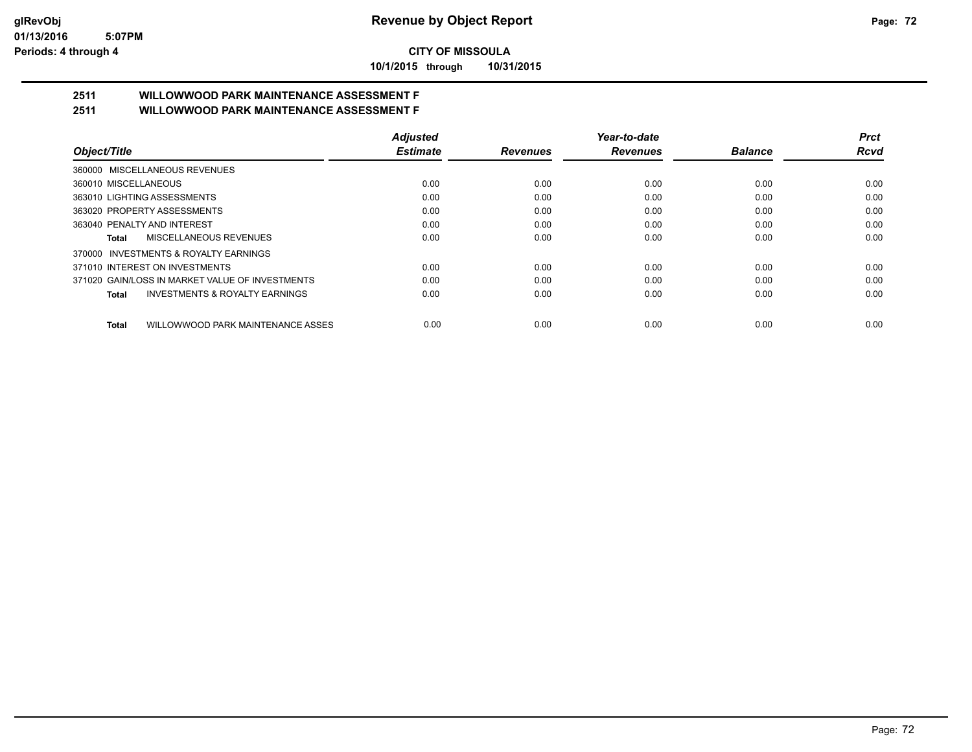**10/1/2015 through 10/31/2015**

# **2511 WILLOWWOOD PARK MAINTENANCE ASSESSMENT F**

| 2511 | <b>WILLOWWOOD PARK MAINTENANCE ASSESSMENT F</b> |
|------|-------------------------------------------------|
|      |                                                 |

| Object/Title                                              | <b>Adjusted</b> |                 | Year-to-date    |                | <b>Prct</b> |
|-----------------------------------------------------------|-----------------|-----------------|-----------------|----------------|-------------|
|                                                           | <b>Estimate</b> | <b>Revenues</b> | <b>Revenues</b> | <b>Balance</b> | <b>Rcvd</b> |
| 360000 MISCELLANEOUS REVENUES                             |                 |                 |                 |                |             |
| 360010 MISCELLANEOUS                                      | 0.00            | 0.00            | 0.00            | 0.00           | 0.00        |
| 363010 LIGHTING ASSESSMENTS                               | 0.00            | 0.00            | 0.00            | 0.00           | 0.00        |
| 363020 PROPERTY ASSESSMENTS                               | 0.00            | 0.00            | 0.00            | 0.00           | 0.00        |
| 363040 PENALTY AND INTEREST                               | 0.00            | 0.00            | 0.00            | 0.00           | 0.00        |
| MISCELLANEOUS REVENUES<br>Total                           | 0.00            | 0.00            | 0.00            | 0.00           | 0.00        |
| 370000 INVESTMENTS & ROYALTY EARNINGS                     |                 |                 |                 |                |             |
| 371010 INTEREST ON INVESTMENTS                            | 0.00            | 0.00            | 0.00            | 0.00           | 0.00        |
| 371020 GAIN/LOSS IN MARKET VALUE OF INVESTMENTS           | 0.00            | 0.00            | 0.00            | 0.00           | 0.00        |
| <b>INVESTMENTS &amp; ROYALTY EARNINGS</b><br><b>Total</b> | 0.00            | 0.00            | 0.00            | 0.00           | 0.00        |
| WILLOWWOOD PARK MAINTENANCE ASSES<br>Total                | 0.00            | 0.00            | 0.00            | 0.00           | 0.00        |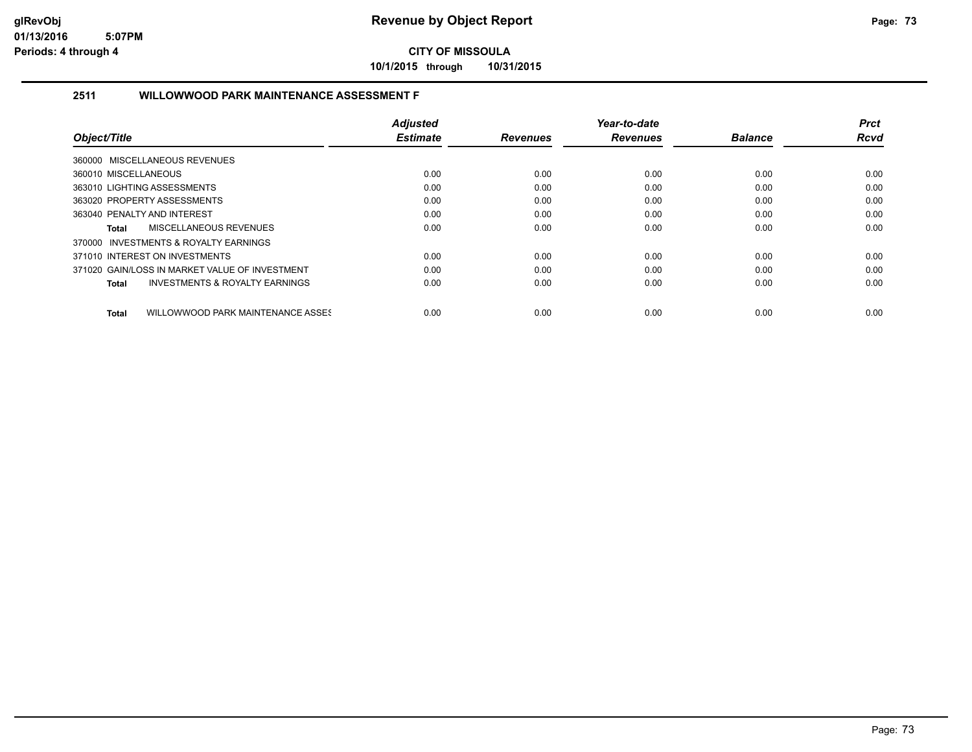**10/1/2015 through 10/31/2015**

#### **2511 WILLOWWOOD PARK MAINTENANCE ASSESSMENT F**

|                                                    | <b>Adjusted</b> |                 | Year-to-date    |                | Prct        |
|----------------------------------------------------|-----------------|-----------------|-----------------|----------------|-------------|
| Object/Title                                       | <b>Estimate</b> | <b>Revenues</b> | <b>Revenues</b> | <b>Balance</b> | <b>Rcvd</b> |
| 360000 MISCELLANEOUS REVENUES                      |                 |                 |                 |                |             |
| 360010 MISCELLANEOUS                               | 0.00            | 0.00            | 0.00            | 0.00           | 0.00        |
| 363010 LIGHTING ASSESSMENTS                        | 0.00            | 0.00            | 0.00            | 0.00           | 0.00        |
| 363020 PROPERTY ASSESSMENTS                        | 0.00            | 0.00            | 0.00            | 0.00           | 0.00        |
| 363040 PENALTY AND INTEREST                        | 0.00            | 0.00            | 0.00            | 0.00           | 0.00        |
| MISCELLANEOUS REVENUES<br>Total                    | 0.00            | 0.00            | 0.00            | 0.00           | 0.00        |
| 370000 INVESTMENTS & ROYALTY EARNINGS              |                 |                 |                 |                |             |
| 371010 INTEREST ON INVESTMENTS                     | 0.00            | 0.00            | 0.00            | 0.00           | 0.00        |
| 371020 GAIN/LOSS IN MARKET VALUE OF INVESTMENT     | 0.00            | 0.00            | 0.00            | 0.00           | 0.00        |
| <b>INVESTMENTS &amp; ROYALTY EARNINGS</b><br>Total | 0.00            | 0.00            | 0.00            | 0.00           | 0.00        |
| WILLOWWOOD PARK MAINTENANCE ASSES<br><b>Total</b>  | 0.00            | 0.00            | 0.00            | 0.00           | 0.00        |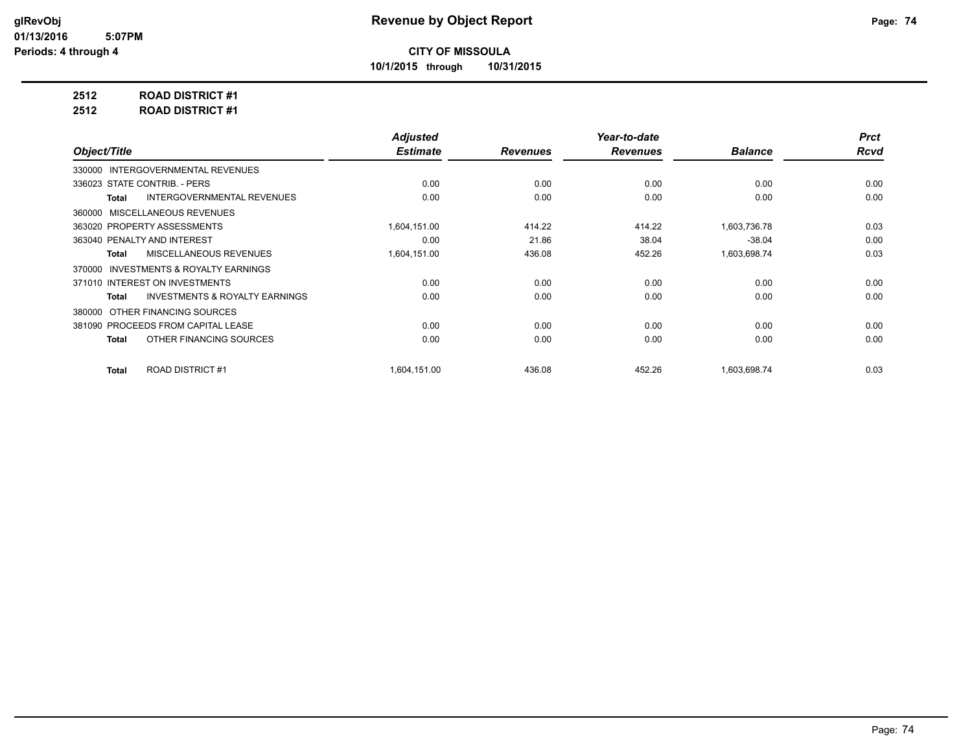**10/1/2015 through 10/31/2015**

## **2512 ROAD DISTRICT #1**

**2512 ROAD DISTRICT #1**

|                                                    | <b>Adjusted</b> |                 | Year-to-date    |                | <b>Prct</b> |
|----------------------------------------------------|-----------------|-----------------|-----------------|----------------|-------------|
| Object/Title                                       | <b>Estimate</b> | <b>Revenues</b> | <b>Revenues</b> | <b>Balance</b> | <b>Rcvd</b> |
| 330000 INTERGOVERNMENTAL REVENUES                  |                 |                 |                 |                |             |
| 336023 STATE CONTRIB. - PERS                       | 0.00            | 0.00            | 0.00            | 0.00           | 0.00        |
| <b>INTERGOVERNMENTAL REVENUES</b><br>Total         | 0.00            | 0.00            | 0.00            | 0.00           | 0.00        |
| 360000 MISCELLANEOUS REVENUES                      |                 |                 |                 |                |             |
| 363020 PROPERTY ASSESSMENTS                        | 1,604,151.00    | 414.22          | 414.22          | 1,603,736.78   | 0.03        |
| 363040 PENALTY AND INTEREST                        | 0.00            | 21.86           | 38.04           | $-38.04$       | 0.00        |
| MISCELLANEOUS REVENUES<br><b>Total</b>             | 1,604,151.00    | 436.08          | 452.26          | 1,603,698.74   | 0.03        |
| INVESTMENTS & ROYALTY EARNINGS<br>370000           |                 |                 |                 |                |             |
| 371010 INTEREST ON INVESTMENTS                     | 0.00            | 0.00            | 0.00            | 0.00           | 0.00        |
| <b>INVESTMENTS &amp; ROYALTY EARNINGS</b><br>Total | 0.00            | 0.00            | 0.00            | 0.00           | 0.00        |
| OTHER FINANCING SOURCES<br>380000                  |                 |                 |                 |                |             |
| 381090 PROCEEDS FROM CAPITAL LEASE                 | 0.00            | 0.00            | 0.00            | 0.00           | 0.00        |
| OTHER FINANCING SOURCES<br>Total                   | 0.00            | 0.00            | 0.00            | 0.00           | 0.00        |
|                                                    |                 |                 |                 |                |             |
| <b>ROAD DISTRICT #1</b><br><b>Total</b>            | 1,604,151.00    | 436.08          | 452.26          | 1,603,698.74   | 0.03        |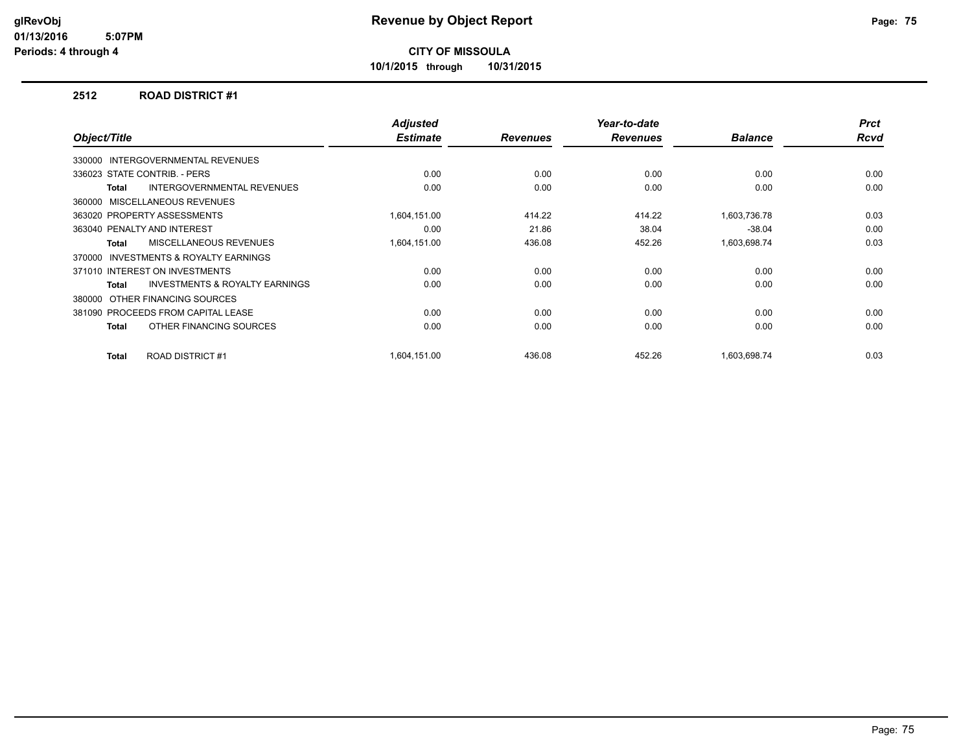**10/1/2015 through 10/31/2015**

#### **2512 ROAD DISTRICT #1**

| Object/Title |                                           | <b>Adjusted</b><br><b>Estimate</b> | <b>Revenues</b> | Year-to-date<br><b>Revenues</b> | <b>Balance</b> | <b>Prct</b><br><b>Rcvd</b> |
|--------------|-------------------------------------------|------------------------------------|-----------------|---------------------------------|----------------|----------------------------|
|              | 330000 INTERGOVERNMENTAL REVENUES         |                                    |                 |                                 |                |                            |
|              |                                           |                                    |                 |                                 |                |                            |
|              | 336023 STATE CONTRIB. - PERS              | 0.00                               | 0.00            | 0.00                            | 0.00           | 0.00                       |
| Total        | <b>INTERGOVERNMENTAL REVENUES</b>         | 0.00                               | 0.00            | 0.00                            | 0.00           | 0.00                       |
|              | 360000 MISCELLANEOUS REVENUES             |                                    |                 |                                 |                |                            |
|              | 363020 PROPERTY ASSESSMENTS               | 1,604,151.00                       | 414.22          | 414.22                          | 1,603,736.78   | 0.03                       |
|              | 363040 PENALTY AND INTEREST               | 0.00                               | 21.86           | 38.04                           | $-38.04$       | 0.00                       |
| <b>Total</b> | MISCELLANEOUS REVENUES                    | 1,604,151.00                       | 436.08          | 452.26                          | 1,603,698.74   | 0.03                       |
| 370000       | <b>INVESTMENTS &amp; ROYALTY EARNINGS</b> |                                    |                 |                                 |                |                            |
|              | 371010 INTEREST ON INVESTMENTS            | 0.00                               | 0.00            | 0.00                            | 0.00           | 0.00                       |
| Total        | <b>INVESTMENTS &amp; ROYALTY EARNINGS</b> | 0.00                               | 0.00            | 0.00                            | 0.00           | 0.00                       |
|              | 380000 OTHER FINANCING SOURCES            |                                    |                 |                                 |                |                            |
|              | 381090 PROCEEDS FROM CAPITAL LEASE        | 0.00                               | 0.00            | 0.00                            | 0.00           | 0.00                       |
| Total        | OTHER FINANCING SOURCES                   | 0.00                               | 0.00            | 0.00                            | 0.00           | 0.00                       |
| Total        | <b>ROAD DISTRICT #1</b>                   | 1,604,151.00                       | 436.08          | 452.26                          | 1.603.698.74   | 0.03                       |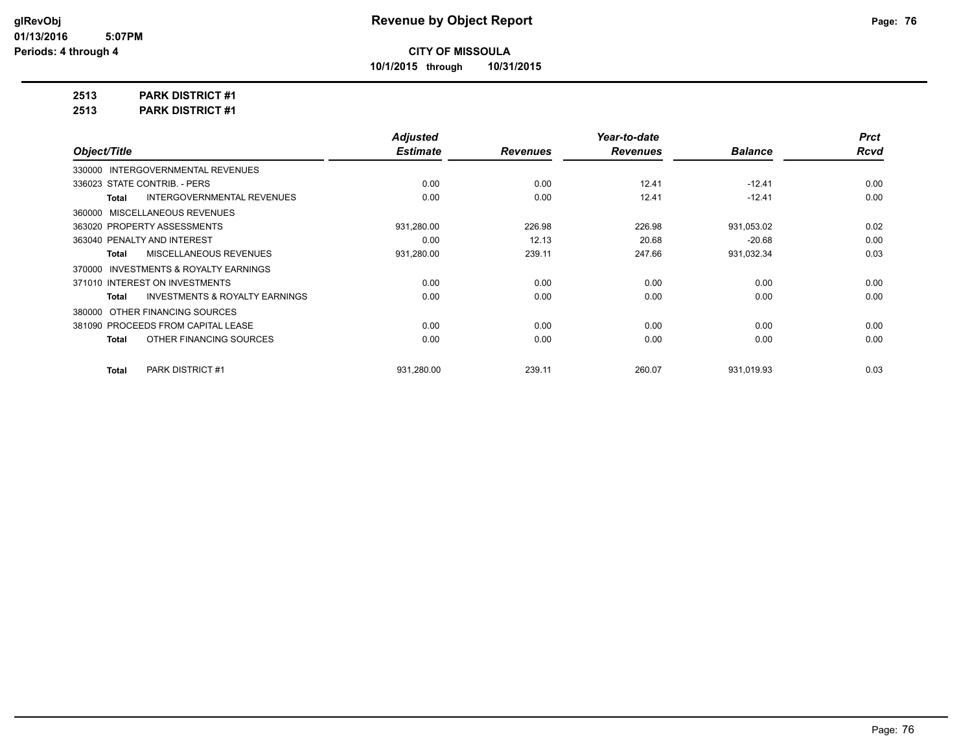**10/1/2015 through 10/31/2015**

## **2513 PARK DISTRICT #1**

**2513 PARK DISTRICT #1**

|                                                    | <b>Adjusted</b> |                 | Year-to-date    |                | <b>Prct</b> |
|----------------------------------------------------|-----------------|-----------------|-----------------|----------------|-------------|
| Object/Title                                       | <b>Estimate</b> | <b>Revenues</b> | <b>Revenues</b> | <b>Balance</b> | <b>Rcvd</b> |
| 330000 INTERGOVERNMENTAL REVENUES                  |                 |                 |                 |                |             |
| 336023 STATE CONTRIB. - PERS                       | 0.00            | 0.00            | 12.41           | $-12.41$       | 0.00        |
| <b>INTERGOVERNMENTAL REVENUES</b><br>Total         | 0.00            | 0.00            | 12.41           | $-12.41$       | 0.00        |
| 360000 MISCELLANEOUS REVENUES                      |                 |                 |                 |                |             |
| 363020 PROPERTY ASSESSMENTS                        | 931,280.00      | 226.98          | 226.98          | 931,053.02     | 0.02        |
| 363040 PENALTY AND INTEREST                        | 0.00            | 12.13           | 20.68           | $-20.68$       | 0.00        |
| MISCELLANEOUS REVENUES<br>Total                    | 931,280.00      | 239.11          | 247.66          | 931,032.34     | 0.03        |
| 370000 INVESTMENTS & ROYALTY EARNINGS              |                 |                 |                 |                |             |
| 371010 INTEREST ON INVESTMENTS                     | 0.00            | 0.00            | 0.00            | 0.00           | 0.00        |
| <b>INVESTMENTS &amp; ROYALTY EARNINGS</b><br>Total | 0.00            | 0.00            | 0.00            | 0.00           | 0.00        |
| 380000 OTHER FINANCING SOURCES                     |                 |                 |                 |                |             |
| 381090 PROCEEDS FROM CAPITAL LEASE                 | 0.00            | 0.00            | 0.00            | 0.00           | 0.00        |
| OTHER FINANCING SOURCES<br>Total                   | 0.00            | 0.00            | 0.00            | 0.00           | 0.00        |
|                                                    |                 |                 |                 |                |             |
| <b>PARK DISTRICT #1</b><br>Total                   | 931,280.00      | 239.11          | 260.07          | 931,019.93     | 0.03        |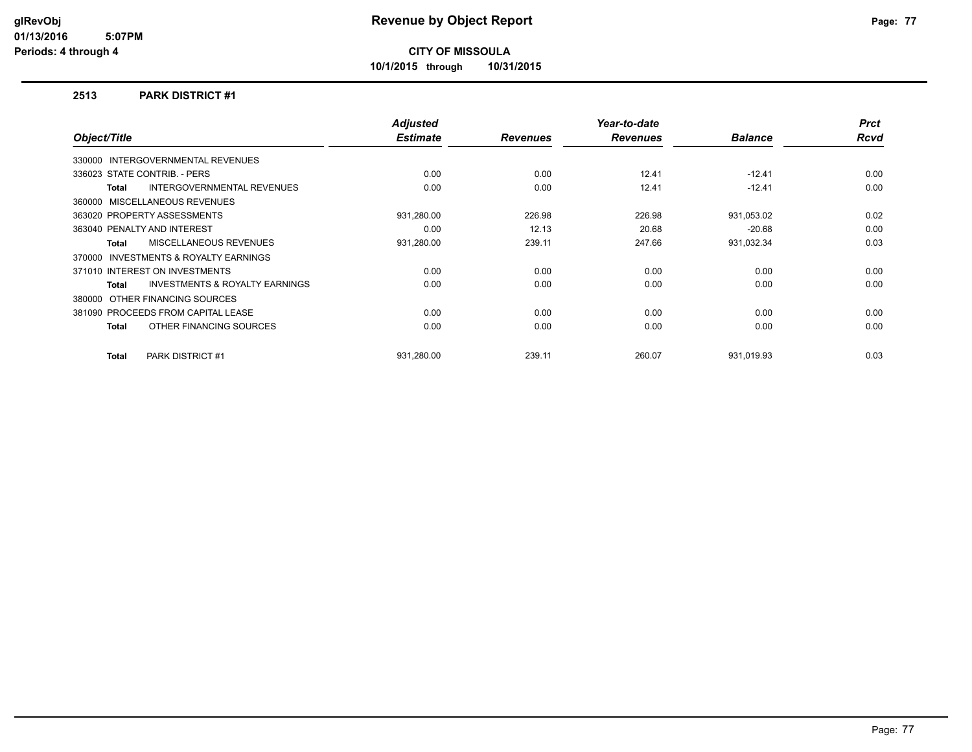**10/1/2015 through 10/31/2015**

#### **2513 PARK DISTRICT #1**

| Object/Title                                        | <b>Adjusted</b><br><b>Estimate</b> | <b>Revenues</b> | Year-to-date<br><b>Revenues</b> | <b>Balance</b> | <b>Prct</b><br><b>Rcvd</b> |
|-----------------------------------------------------|------------------------------------|-----------------|---------------------------------|----------------|----------------------------|
|                                                     |                                    |                 |                                 |                |                            |
| 330000 INTERGOVERNMENTAL REVENUES                   |                                    |                 |                                 |                |                            |
| 336023 STATE CONTRIB. - PERS                        | 0.00                               | 0.00            | 12.41                           | $-12.41$       | 0.00                       |
| <b>INTERGOVERNMENTAL REVENUES</b><br>Total          | 0.00                               | 0.00            | 12.41                           | $-12.41$       | 0.00                       |
| 360000 MISCELLANEOUS REVENUES                       |                                    |                 |                                 |                |                            |
| 363020 PROPERTY ASSESSMENTS                         | 931,280.00                         | 226.98          | 226.98                          | 931,053.02     | 0.02                       |
| 363040 PENALTY AND INTEREST                         | 0.00                               | 12.13           | 20.68                           | $-20.68$       | 0.00                       |
| MISCELLANEOUS REVENUES<br><b>Total</b>              | 931,280.00                         | 239.11          | 247.66                          | 931,032.34     | 0.03                       |
| <b>INVESTMENTS &amp; ROYALTY EARNINGS</b><br>370000 |                                    |                 |                                 |                |                            |
| 371010 INTEREST ON INVESTMENTS                      | 0.00                               | 0.00            | 0.00                            | 0.00           | 0.00                       |
| <b>INVESTMENTS &amp; ROYALTY EARNINGS</b><br>Total  | 0.00                               | 0.00            | 0.00                            | 0.00           | 0.00                       |
| 380000 OTHER FINANCING SOURCES                      |                                    |                 |                                 |                |                            |
| 381090 PROCEEDS FROM CAPITAL LEASE                  | 0.00                               | 0.00            | 0.00                            | 0.00           | 0.00                       |
| OTHER FINANCING SOURCES<br>Total                    | 0.00                               | 0.00            | 0.00                            | 0.00           | 0.00                       |
|                                                     |                                    |                 |                                 |                |                            |
| <b>PARK DISTRICT #1</b><br>Total                    | 931.280.00                         | 239.11          | 260.07                          | 931,019.93     | 0.03                       |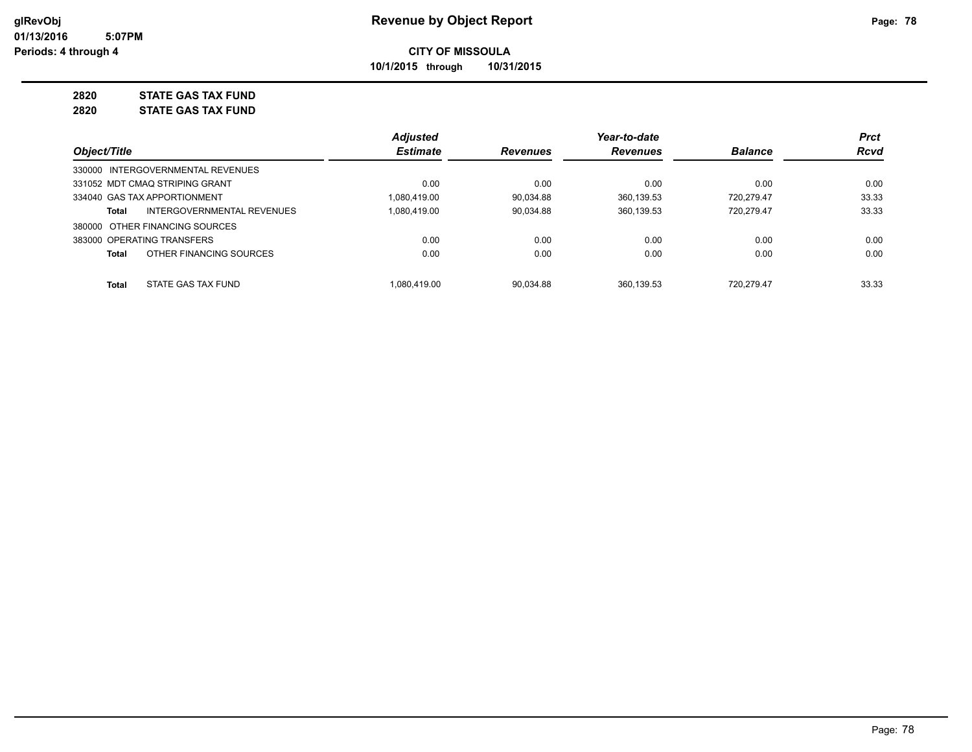**10/1/2015 through 10/31/2015**

## **2820 STATE GAS TAX FUND**

**2820 STATE GAS TAX FUND**

|                                         | <b>Adjusted</b> |                 | Year-to-date    |                | <b>Prct</b> |
|-----------------------------------------|-----------------|-----------------|-----------------|----------------|-------------|
| Object/Title                            | <b>Estimate</b> | <b>Revenues</b> | <b>Revenues</b> | <b>Balance</b> | <b>Rcvd</b> |
| 330000 INTERGOVERNMENTAL REVENUES       |                 |                 |                 |                |             |
| 331052 MDT CMAQ STRIPING GRANT          | 0.00            | 0.00            | 0.00            | 0.00           | 0.00        |
| 334040 GAS TAX APPORTIONMENT            | 1.080.419.00    | 90.034.88       | 360.139.53      | 720.279.47     | 33.33       |
| INTERGOVERNMENTAL REVENUES<br>Total     | 1.080.419.00    | 90,034.88       | 360,139.53      | 720.279.47     | 33.33       |
| 380000 OTHER FINANCING SOURCES          |                 |                 |                 |                |             |
| 383000 OPERATING TRANSFERS              | 0.00            | 0.00            | 0.00            | 0.00           | 0.00        |
| OTHER FINANCING SOURCES<br><b>Total</b> | 0.00            | 0.00            | 0.00            | 0.00           | 0.00        |
| STATE GAS TAX FUND<br><b>Total</b>      | 1.080.419.00    | 90.034.88       | 360.139.53      | 720.279.47     | 33.33       |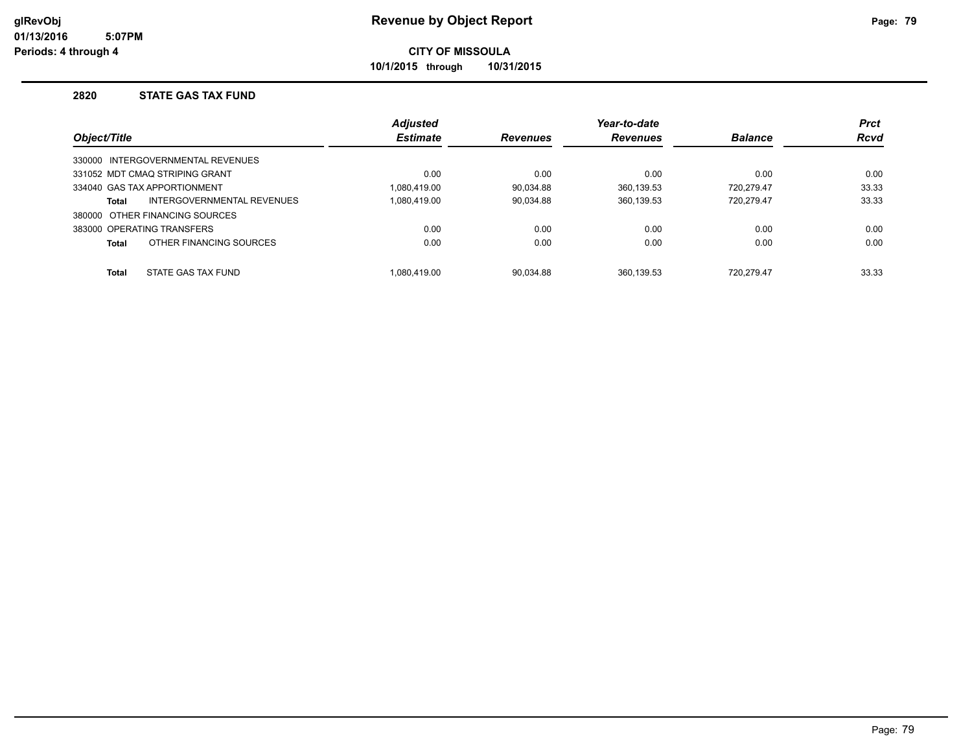**10/1/2015 through 10/31/2015**

#### **2820 STATE GAS TAX FUND**

|              |                                   | <b>Adjusted</b> |                 | Year-to-date    |                | <b>Prct</b> |
|--------------|-----------------------------------|-----------------|-----------------|-----------------|----------------|-------------|
| Object/Title |                                   | <b>Estimate</b> | <b>Revenues</b> | <b>Revenues</b> | <b>Balance</b> | <b>Rcvd</b> |
|              | 330000 INTERGOVERNMENTAL REVENUES |                 |                 |                 |                |             |
|              | 331052 MDT CMAQ STRIPING GRANT    | 0.00            | 0.00            | 0.00            | 0.00           | 0.00        |
|              | 334040 GAS TAX APPORTIONMENT      | 1.080.419.00    | 90.034.88       | 360.139.53      | 720.279.47     | 33.33       |
| <b>Total</b> | INTERGOVERNMENTAL REVENUES        | 1,080,419.00    | 90,034.88       | 360,139.53      | 720.279.47     | 33.33       |
|              | 380000 OTHER FINANCING SOURCES    |                 |                 |                 |                |             |
|              | 383000 OPERATING TRANSFERS        | 0.00            | 0.00            | 0.00            | 0.00           | 0.00        |
| <b>Total</b> | OTHER FINANCING SOURCES           | 0.00            | 0.00            | 0.00            | 0.00           | 0.00        |
| <b>Total</b> | STATE GAS TAX FUND                | 1.080.419.00    | 90.034.88       | 360.139.53      | 720.279.47     | 33.33       |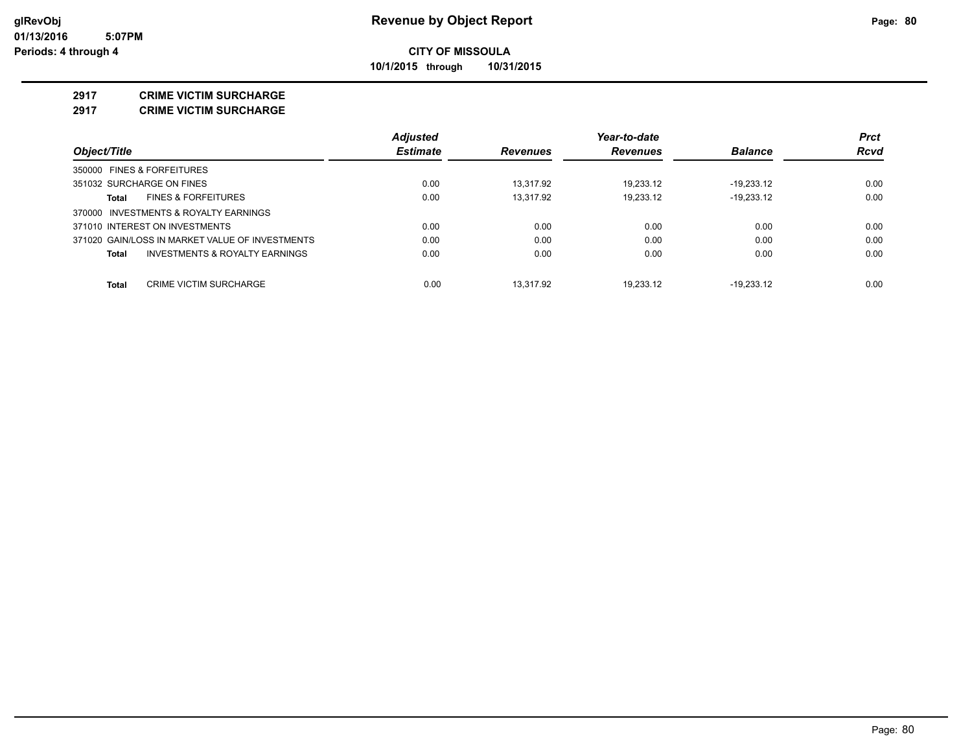**10/1/2015 through 10/31/2015**

#### **2917 CRIME VICTIM SURCHARGE**

**2917 CRIME VICTIM SURCHARGE**

|                                                 | <b>Adjusted</b> |                 | Year-to-date    |                | <b>Prct</b> |
|-------------------------------------------------|-----------------|-----------------|-----------------|----------------|-------------|
| Object/Title                                    | <b>Estimate</b> | <b>Revenues</b> | <b>Revenues</b> | <b>Balance</b> | <b>Rcvd</b> |
| 350000 FINES & FORFEITURES                      |                 |                 |                 |                |             |
| 351032 SURCHARGE ON FINES                       | 0.00            | 13.317.92       | 19.233.12       | $-19.233.12$   | 0.00        |
| <b>FINES &amp; FORFEITURES</b><br>Total         | 0.00            | 13.317.92       | 19.233.12       | $-19.233.12$   | 0.00        |
| 370000 INVESTMENTS & ROYALTY EARNINGS           |                 |                 |                 |                |             |
| 371010 INTEREST ON INVESTMENTS                  | 0.00            | 0.00            | 0.00            | 0.00           | 0.00        |
| 371020 GAIN/LOSS IN MARKET VALUE OF INVESTMENTS | 0.00            | 0.00            | 0.00            | 0.00           | 0.00        |
| INVESTMENTS & ROYALTY EARNINGS<br>Total         | 0.00            | 0.00            | 0.00            | 0.00           | 0.00        |
| Total<br><b>CRIME VICTIM SURCHARGE</b>          | 0.00            | 13.317.92       | 19.233.12       | $-19.233.12$   | 0.00        |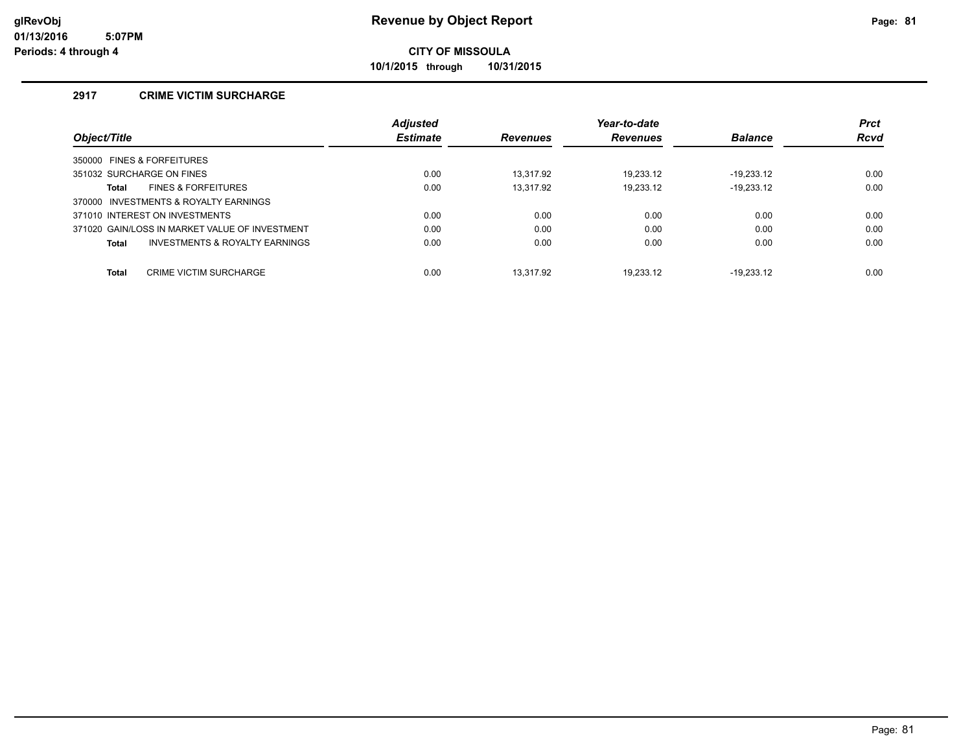**10/1/2015 through 10/31/2015**

#### **2917 CRIME VICTIM SURCHARGE**

|                                                    | <b>Adjusted</b> |                 | Year-to-date    |                | <b>Prct</b> |
|----------------------------------------------------|-----------------|-----------------|-----------------|----------------|-------------|
| Object/Title                                       | <b>Estimate</b> | <b>Revenues</b> | <b>Revenues</b> | <b>Balance</b> | Rcvd        |
| 350000 FINES & FORFEITURES                         |                 |                 |                 |                |             |
| 351032 SURCHARGE ON FINES                          | 0.00            | 13.317.92       | 19.233.12       | $-19.233.12$   | 0.00        |
| <b>FINES &amp; FORFEITURES</b><br>Total            | 0.00            | 13.317.92       | 19.233.12       | $-19,233.12$   | 0.00        |
| 370000 INVESTMENTS & ROYALTY EARNINGS              |                 |                 |                 |                |             |
| 371010 INTEREST ON INVESTMENTS                     | 0.00            | 0.00            | 0.00            | 0.00           | 0.00        |
| 371020 GAIN/LOSS IN MARKET VALUE OF INVESTMENT     | 0.00            | 0.00            | 0.00            | 0.00           | 0.00        |
| <b>INVESTMENTS &amp; ROYALTY EARNINGS</b><br>Total | 0.00            | 0.00            | 0.00            | 0.00           | 0.00        |
|                                                    |                 |                 |                 |                |             |
| <b>Total</b><br><b>CRIME VICTIM SURCHARGE</b>      | 0.00            | 13.317.92       | 19.233.12       | $-19.233.12$   | 0.00        |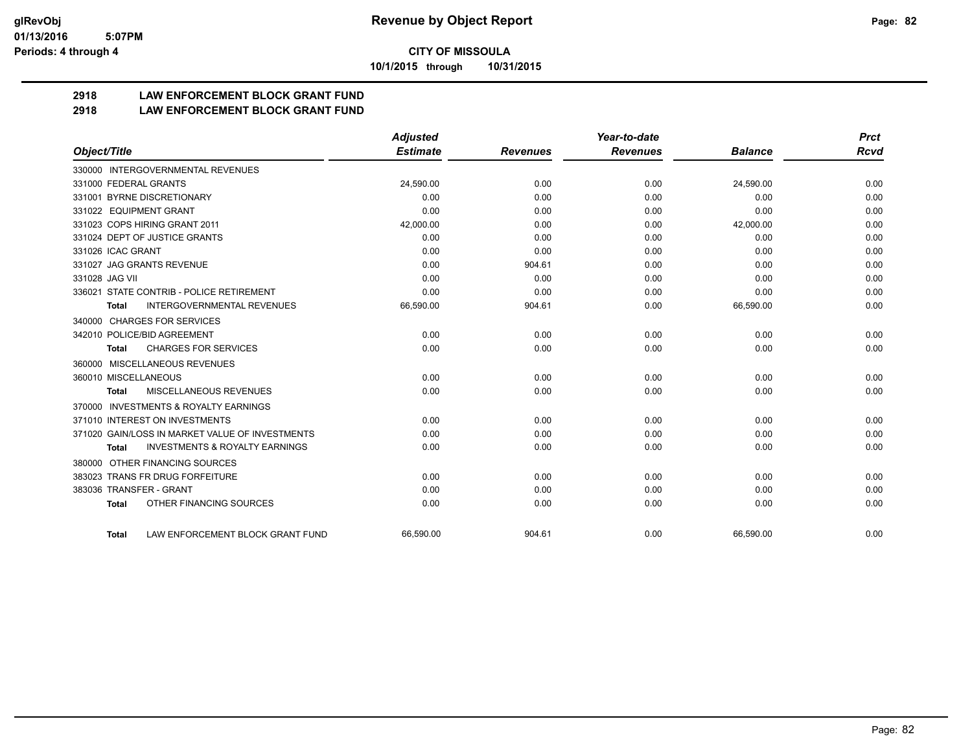**10/1/2015 through 10/31/2015**

## **2918 LAW ENFORCEMENT BLOCK GRANT FUND**

### **2918 LAW ENFORCEMENT BLOCK GRANT FUND**

|                                                           | <b>Adjusted</b> |                 | Year-to-date    |                | <b>Prct</b> |
|-----------------------------------------------------------|-----------------|-----------------|-----------------|----------------|-------------|
| Object/Title                                              | <b>Estimate</b> | <b>Revenues</b> | <b>Revenues</b> | <b>Balance</b> | <b>Rcvd</b> |
| 330000 INTERGOVERNMENTAL REVENUES                         |                 |                 |                 |                |             |
| 331000 FEDERAL GRANTS                                     | 24,590.00       | 0.00            | 0.00            | 24,590.00      | 0.00        |
| 331001 BYRNE DISCRETIONARY                                | 0.00            | 0.00            | 0.00            | 0.00           | 0.00        |
| 331022 EQUIPMENT GRANT                                    | 0.00            | 0.00            | 0.00            | 0.00           | 0.00        |
| 331023 COPS HIRING GRANT 2011                             | 42,000.00       | 0.00            | 0.00            | 42,000.00      | 0.00        |
| 331024 DEPT OF JUSTICE GRANTS                             | 0.00            | 0.00            | 0.00            | 0.00           | 0.00        |
| 331026 ICAC GRANT                                         | 0.00            | 0.00            | 0.00            | 0.00           | 0.00        |
| 331027 JAG GRANTS REVENUE                                 | 0.00            | 904.61          | 0.00            | 0.00           | 0.00        |
| 331028 JAG VII                                            | 0.00            | 0.00            | 0.00            | 0.00           | 0.00        |
| 336021 STATE CONTRIB - POLICE RETIREMENT                  | 0.00            | 0.00            | 0.00            | 0.00           | 0.00        |
| <b>INTERGOVERNMENTAL REVENUES</b><br><b>Total</b>         | 66,590.00       | 904.61          | 0.00            | 66,590.00      | 0.00        |
| 340000 CHARGES FOR SERVICES                               |                 |                 |                 |                |             |
| 342010 POLICE/BID AGREEMENT                               | 0.00            | 0.00            | 0.00            | 0.00           | 0.00        |
| <b>CHARGES FOR SERVICES</b><br>Total                      | 0.00            | 0.00            | 0.00            | 0.00           | 0.00        |
| 360000 MISCELLANEOUS REVENUES                             |                 |                 |                 |                |             |
| 360010 MISCELLANEOUS                                      | 0.00            | 0.00            | 0.00            | 0.00           | 0.00        |
| MISCELLANEOUS REVENUES<br><b>Total</b>                    | 0.00            | 0.00            | 0.00            | 0.00           | 0.00        |
| <b>INVESTMENTS &amp; ROYALTY EARNINGS</b><br>370000       |                 |                 |                 |                |             |
| 371010 INTEREST ON INVESTMENTS                            | 0.00            | 0.00            | 0.00            | 0.00           | 0.00        |
| 371020 GAIN/LOSS IN MARKET VALUE OF INVESTMENTS           | 0.00            | 0.00            | 0.00            | 0.00           | 0.00        |
| <b>INVESTMENTS &amp; ROYALTY EARNINGS</b><br><b>Total</b> | 0.00            | 0.00            | 0.00            | 0.00           | 0.00        |
| OTHER FINANCING SOURCES<br>380000                         |                 |                 |                 |                |             |
| 383023 TRANS FR DRUG FORFEITURE                           | 0.00            | 0.00            | 0.00            | 0.00           | 0.00        |
| 383036 TRANSFER - GRANT                                   | 0.00            | 0.00            | 0.00            | 0.00           | 0.00        |
| OTHER FINANCING SOURCES<br><b>Total</b>                   | 0.00            | 0.00            | 0.00            | 0.00           | 0.00        |
| LAW ENFORCEMENT BLOCK GRANT FUND<br><b>Total</b>          | 66,590.00       | 904.61          | 0.00            | 66,590.00      | 0.00        |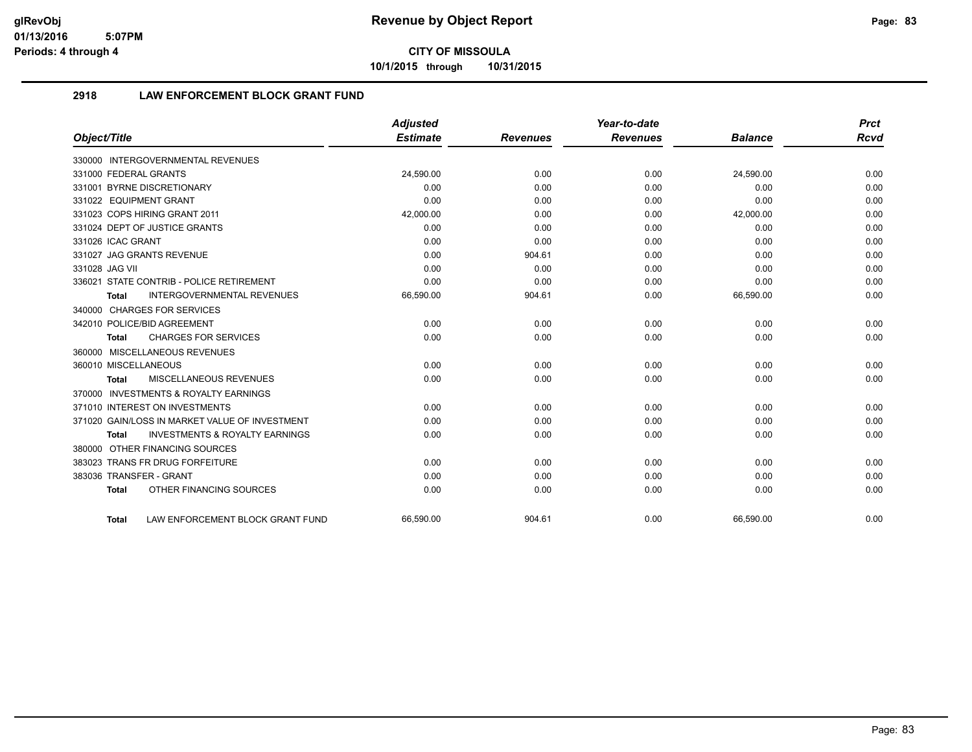**10/1/2015 through 10/31/2015**

### **2918 LAW ENFORCEMENT BLOCK GRANT FUND**

|                                                           | <b>Adjusted</b> |                 | Year-to-date    |                | <b>Prct</b> |
|-----------------------------------------------------------|-----------------|-----------------|-----------------|----------------|-------------|
| Object/Title                                              | <b>Estimate</b> | <b>Revenues</b> | <b>Revenues</b> | <b>Balance</b> | <b>Rcvd</b> |
| 330000 INTERGOVERNMENTAL REVENUES                         |                 |                 |                 |                |             |
| 331000 FEDERAL GRANTS                                     | 24,590.00       | 0.00            | 0.00            | 24.590.00      | 0.00        |
| 331001 BYRNE DISCRETIONARY                                | 0.00            | 0.00            | 0.00            | 0.00           | 0.00        |
| 331022 EQUIPMENT GRANT                                    | 0.00            | 0.00            | 0.00            | 0.00           | 0.00        |
| 331023 COPS HIRING GRANT 2011                             | 42,000.00       | 0.00            | 0.00            | 42,000.00      | 0.00        |
| 331024 DEPT OF JUSTICE GRANTS                             | 0.00            | 0.00            | 0.00            | 0.00           | 0.00        |
| 331026 ICAC GRANT                                         | 0.00            | 0.00            | 0.00            | 0.00           | 0.00        |
| 331027 JAG GRANTS REVENUE                                 | 0.00            | 904.61          | 0.00            | 0.00           | 0.00        |
| 331028 JAG VII                                            | 0.00            | 0.00            | 0.00            | 0.00           | 0.00        |
| 336021 STATE CONTRIB - POLICE RETIREMENT                  | 0.00            | 0.00            | 0.00            | 0.00           | 0.00        |
| <b>INTERGOVERNMENTAL REVENUES</b><br><b>Total</b>         | 66,590.00       | 904.61          | 0.00            | 66,590.00      | 0.00        |
| 340000 CHARGES FOR SERVICES                               |                 |                 |                 |                |             |
| 342010 POLICE/BID AGREEMENT                               | 0.00            | 0.00            | 0.00            | 0.00           | 0.00        |
| <b>CHARGES FOR SERVICES</b><br><b>Total</b>               | 0.00            | 0.00            | 0.00            | 0.00           | 0.00        |
| 360000 MISCELLANEOUS REVENUES                             |                 |                 |                 |                |             |
| 360010 MISCELLANEOUS                                      | 0.00            | 0.00            | 0.00            | 0.00           | 0.00        |
| MISCELLANEOUS REVENUES<br><b>Total</b>                    | 0.00            | 0.00            | 0.00            | 0.00           | 0.00        |
| 370000 INVESTMENTS & ROYALTY EARNINGS                     |                 |                 |                 |                |             |
| 371010 INTEREST ON INVESTMENTS                            | 0.00            | 0.00            | 0.00            | 0.00           | 0.00        |
| 371020 GAIN/LOSS IN MARKET VALUE OF INVESTMENT            | 0.00            | 0.00            | 0.00            | 0.00           | 0.00        |
| <b>INVESTMENTS &amp; ROYALTY EARNINGS</b><br><b>Total</b> | 0.00            | 0.00            | 0.00            | 0.00           | 0.00        |
| 380000 OTHER FINANCING SOURCES                            |                 |                 |                 |                |             |
| 383023 TRANS FR DRUG FORFEITURE                           | 0.00            | 0.00            | 0.00            | 0.00           | 0.00        |
| 383036 TRANSFER - GRANT                                   | 0.00            | 0.00            | 0.00            | 0.00           | 0.00        |
| OTHER FINANCING SOURCES<br><b>Total</b>                   | 0.00            | 0.00            | 0.00            | 0.00           | 0.00        |
| LAW ENFORCEMENT BLOCK GRANT FUND<br><b>Total</b>          | 66.590.00       | 904.61          | 0.00            | 66.590.00      | 0.00        |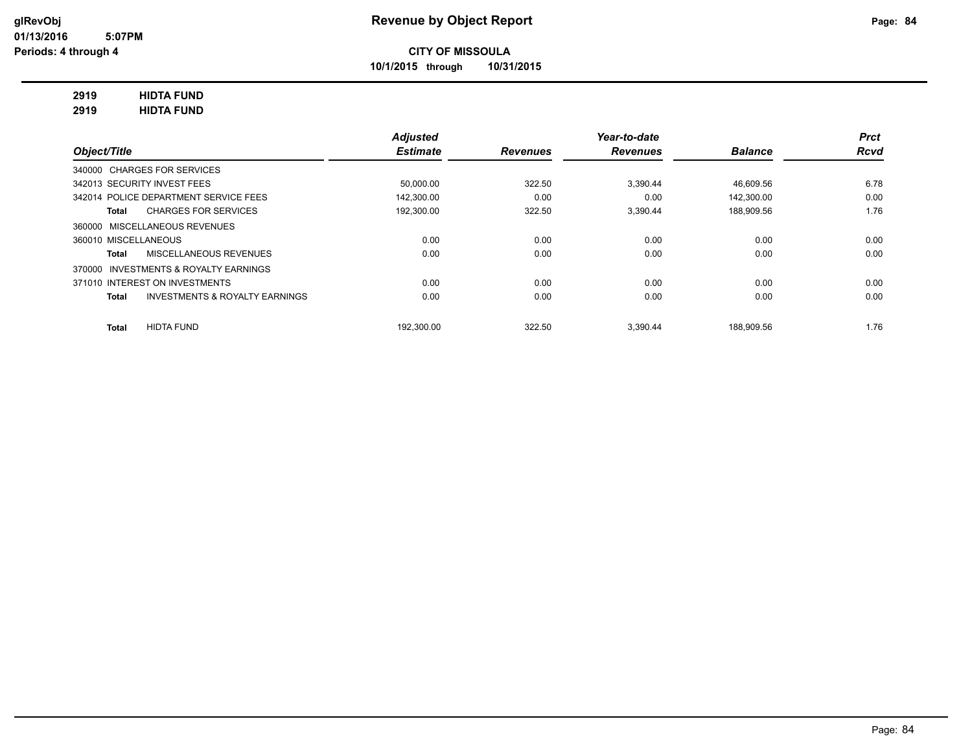**10/1/2015 through 10/31/2015**

## **2919 HIDTA FUND**

**2919 HIDTA FUND**

|                                                    | <b>Adjusted</b> |                 | Year-to-date    |                | <b>Prct</b> |
|----------------------------------------------------|-----------------|-----------------|-----------------|----------------|-------------|
| Object/Title                                       | <b>Estimate</b> | <b>Revenues</b> | <b>Revenues</b> | <b>Balance</b> | <b>Rcvd</b> |
| 340000 CHARGES FOR SERVICES                        |                 |                 |                 |                |             |
| 342013 SECURITY INVEST FEES                        | 50,000.00       | 322.50          | 3.390.44        | 46,609.56      | 6.78        |
| 342014 POLICE DEPARTMENT SERVICE FEES              | 142.300.00      | 0.00            | 0.00            | 142.300.00     | 0.00        |
| <b>CHARGES FOR SERVICES</b><br>Total               | 192,300.00      | 322.50          | 3.390.44        | 188,909.56     | 1.76        |
| 360000 MISCELLANEOUS REVENUES                      |                 |                 |                 |                |             |
| 360010 MISCELLANEOUS                               | 0.00            | 0.00            | 0.00            | 0.00           | 0.00        |
| <b>MISCELLANEOUS REVENUES</b><br>Total             | 0.00            | 0.00            | 0.00            | 0.00           | 0.00        |
| 370000 INVESTMENTS & ROYALTY EARNINGS              |                 |                 |                 |                |             |
| 371010 INTEREST ON INVESTMENTS                     | 0.00            | 0.00            | 0.00            | 0.00           | 0.00        |
| <b>INVESTMENTS &amp; ROYALTY EARNINGS</b><br>Total | 0.00            | 0.00            | 0.00            | 0.00           | 0.00        |
| <b>HIDTA FUND</b><br><b>Total</b>                  | 192.300.00      | 322.50          | 3.390.44        | 188.909.56     | 1.76        |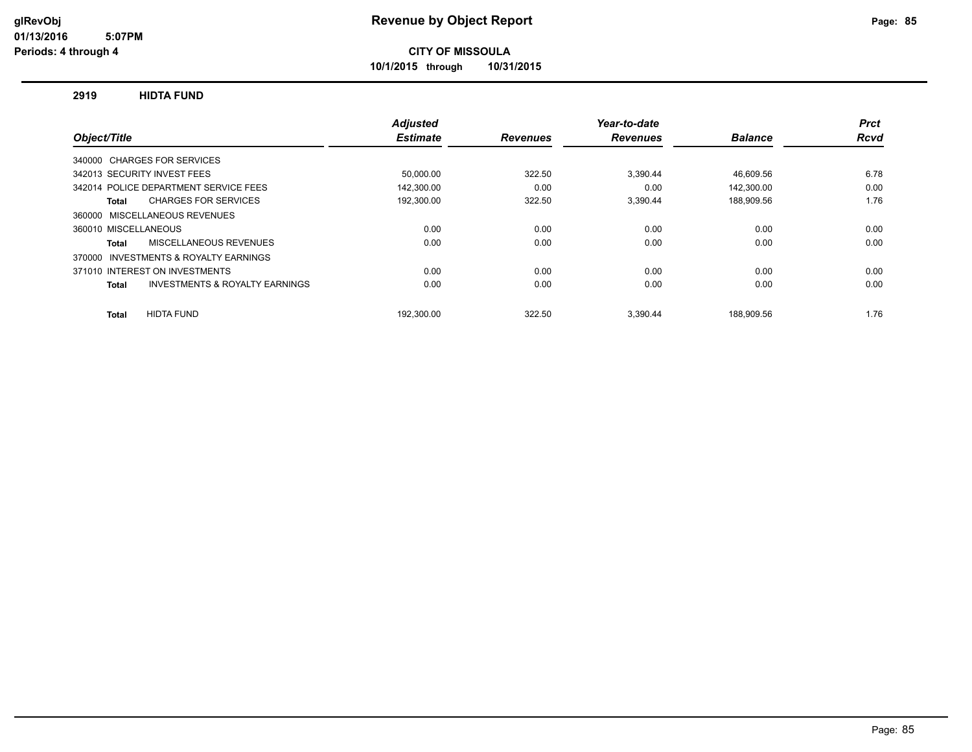**10/1/2015 through 10/31/2015**

#### **2919 HIDTA FUND**

|                                                    | <b>Adjusted</b> |                 | Year-to-date    |                | <b>Prct</b> |
|----------------------------------------------------|-----------------|-----------------|-----------------|----------------|-------------|
| Object/Title                                       | <b>Estimate</b> | <b>Revenues</b> | <b>Revenues</b> | <b>Balance</b> | Rcvd        |
| 340000 CHARGES FOR SERVICES                        |                 |                 |                 |                |             |
| 342013 SECURITY INVEST FEES                        | 50,000.00       | 322.50          | 3,390.44        | 46,609.56      | 6.78        |
| 342014 POLICE DEPARTMENT SERVICE FEES              | 142,300.00      | 0.00            | 0.00            | 142,300.00     | 0.00        |
| <b>CHARGES FOR SERVICES</b><br>Total               | 192,300.00      | 322.50          | 3,390.44        | 188,909.56     | 1.76        |
| 360000 MISCELLANEOUS REVENUES                      |                 |                 |                 |                |             |
| 360010 MISCELLANEOUS                               | 0.00            | 0.00            | 0.00            | 0.00           | 0.00        |
| MISCELLANEOUS REVENUES<br><b>Total</b>             | 0.00            | 0.00            | 0.00            | 0.00           | 0.00        |
| 370000 INVESTMENTS & ROYALTY EARNINGS              |                 |                 |                 |                |             |
| 371010 INTEREST ON INVESTMENTS                     | 0.00            | 0.00            | 0.00            | 0.00           | 0.00        |
| <b>INVESTMENTS &amp; ROYALTY EARNINGS</b><br>Total | 0.00            | 0.00            | 0.00            | 0.00           | 0.00        |
| <b>HIDTA FUND</b><br><b>Total</b>                  | 192.300.00      | 322.50          | 3.390.44        | 188.909.56     | 1.76        |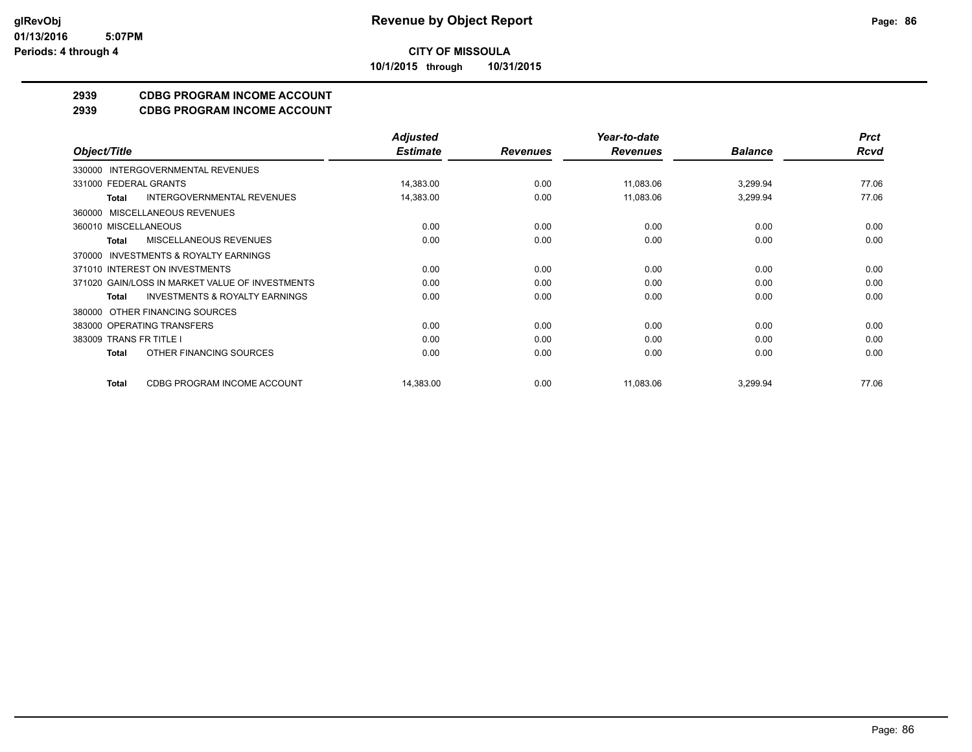**10/1/2015 through 10/31/2015**

## **2939 CDBG PROGRAM INCOME ACCOUNT**

**2939 CDBG PROGRAM INCOME ACCOUNT**

|                                                           | <b>Adjusted</b> |                 | Year-to-date    |                | <b>Prct</b> |
|-----------------------------------------------------------|-----------------|-----------------|-----------------|----------------|-------------|
| Object/Title                                              | <b>Estimate</b> | <b>Revenues</b> | <b>Revenues</b> | <b>Balance</b> | <b>Rcvd</b> |
| 330000 INTERGOVERNMENTAL REVENUES                         |                 |                 |                 |                |             |
| 331000 FEDERAL GRANTS                                     | 14,383.00       | 0.00            | 11,083.06       | 3,299.94       | 77.06       |
| INTERGOVERNMENTAL REVENUES<br>Total                       | 14,383.00       | 0.00            | 11,083.06       | 3,299.94       | 77.06       |
| 360000 MISCELLANEOUS REVENUES                             |                 |                 |                 |                |             |
| 360010 MISCELLANEOUS                                      | 0.00            | 0.00            | 0.00            | 0.00           | 0.00        |
| MISCELLANEOUS REVENUES<br>Total                           | 0.00            | 0.00            | 0.00            | 0.00           | 0.00        |
| 370000 INVESTMENTS & ROYALTY EARNINGS                     |                 |                 |                 |                |             |
| 371010 INTEREST ON INVESTMENTS                            | 0.00            | 0.00            | 0.00            | 0.00           | 0.00        |
| 371020 GAIN/LOSS IN MARKET VALUE OF INVESTMENTS           | 0.00            | 0.00            | 0.00            | 0.00           | 0.00        |
| <b>INVESTMENTS &amp; ROYALTY EARNINGS</b><br><b>Total</b> | 0.00            | 0.00            | 0.00            | 0.00           | 0.00        |
| 380000 OTHER FINANCING SOURCES                            |                 |                 |                 |                |             |
| 383000 OPERATING TRANSFERS                                | 0.00            | 0.00            | 0.00            | 0.00           | 0.00        |
| 383009 TRANS FR TITLE I                                   | 0.00            | 0.00            | 0.00            | 0.00           | 0.00        |
| OTHER FINANCING SOURCES<br>Total                          | 0.00            | 0.00            | 0.00            | 0.00           | 0.00        |
| CDBG PROGRAM INCOME ACCOUNT<br><b>Total</b>               | 14,383.00       | 0.00            | 11,083.06       | 3,299.94       | 77.06       |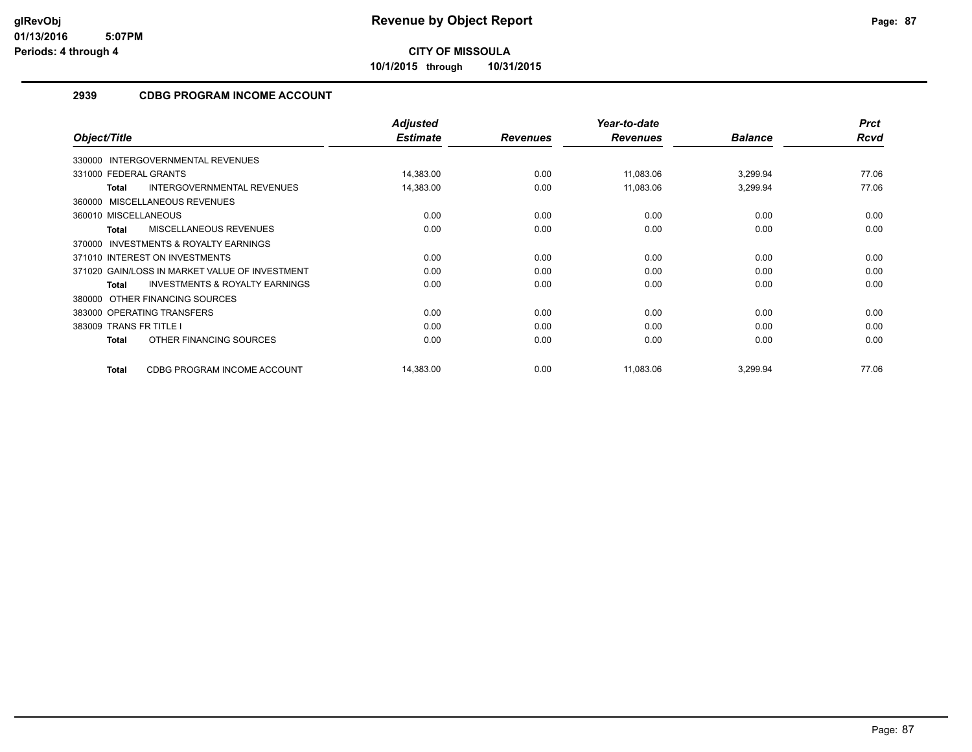**10/1/2015 through 10/31/2015**

### **2939 CDBG PROGRAM INCOME ACCOUNT**

| Object/Title                                              | <b>Adjusted</b><br><b>Estimate</b> | <b>Revenues</b> | Year-to-date<br><b>Revenues</b> | <b>Balance</b> | <b>Prct</b><br><b>Rcvd</b> |
|-----------------------------------------------------------|------------------------------------|-----------------|---------------------------------|----------------|----------------------------|
|                                                           |                                    |                 |                                 |                |                            |
| 330000 INTERGOVERNMENTAL REVENUES                         |                                    |                 |                                 |                |                            |
| 331000 FEDERAL GRANTS                                     | 14,383.00                          | 0.00            | 11,083.06                       | 3,299.94       | 77.06                      |
| <b>INTERGOVERNMENTAL REVENUES</b><br><b>Total</b>         | 14,383.00                          | 0.00            | 11,083.06                       | 3,299.94       | 77.06                      |
| 360000 MISCELLANEOUS REVENUES                             |                                    |                 |                                 |                |                            |
| 360010 MISCELLANEOUS                                      | 0.00                               | 0.00            | 0.00                            | 0.00           | 0.00                       |
| <b>MISCELLANEOUS REVENUES</b><br>Total                    | 0.00                               | 0.00            | 0.00                            | 0.00           | 0.00                       |
| <b>INVESTMENTS &amp; ROYALTY EARNINGS</b><br>370000       |                                    |                 |                                 |                |                            |
| 371010 INTEREST ON INVESTMENTS                            | 0.00                               | 0.00            | 0.00                            | 0.00           | 0.00                       |
| 371020 GAIN/LOSS IN MARKET VALUE OF INVESTMENT            | 0.00                               | 0.00            | 0.00                            | 0.00           | 0.00                       |
| <b>INVESTMENTS &amp; ROYALTY EARNINGS</b><br><b>Total</b> | 0.00                               | 0.00            | 0.00                            | 0.00           | 0.00                       |
| 380000 OTHER FINANCING SOURCES                            |                                    |                 |                                 |                |                            |
| 383000 OPERATING TRANSFERS                                | 0.00                               | 0.00            | 0.00                            | 0.00           | 0.00                       |
| 383009 TRANS FR TITLE I                                   | 0.00                               | 0.00            | 0.00                            | 0.00           | 0.00                       |
| OTHER FINANCING SOURCES<br><b>Total</b>                   | 0.00                               | 0.00            | 0.00                            | 0.00           | 0.00                       |
| CDBG PROGRAM INCOME ACCOUNT<br><b>Total</b>               | 14,383.00                          | 0.00            | 11,083.06                       | 3,299.94       | 77.06                      |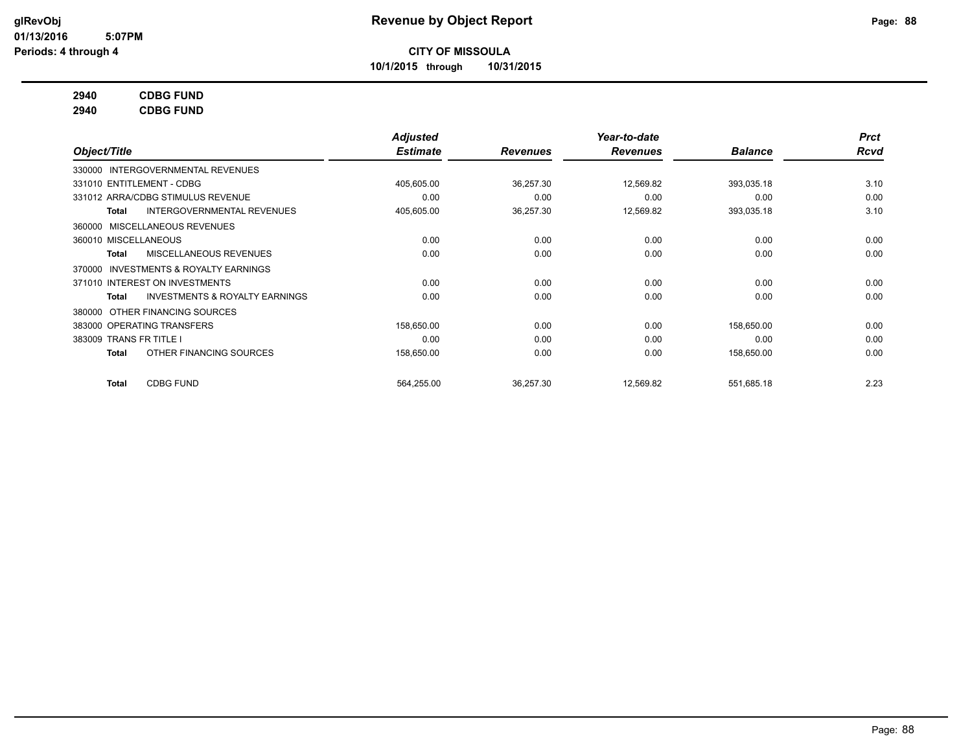**10/1/2015 through 10/31/2015**

### **2940 CDBG FUND**

**2940 CDBG FUND**

|                                                           | <b>Adjusted</b> |                 | Year-to-date    |                | <b>Prct</b> |
|-----------------------------------------------------------|-----------------|-----------------|-----------------|----------------|-------------|
| Object/Title                                              | <b>Estimate</b> | <b>Revenues</b> | <b>Revenues</b> | <b>Balance</b> | <b>Rcvd</b> |
| 330000 INTERGOVERNMENTAL REVENUES                         |                 |                 |                 |                |             |
| 331010 ENTITLEMENT - CDBG                                 | 405,605.00      | 36,257.30       | 12,569.82       | 393,035.18     | 3.10        |
| 331012 ARRA/CDBG STIMULUS REVENUE                         | 0.00            | 0.00            | 0.00            | 0.00           | 0.00        |
| <b>INTERGOVERNMENTAL REVENUES</b><br>Total                | 405,605.00      | 36,257.30       | 12,569.82       | 393,035.18     | 3.10        |
| MISCELLANEOUS REVENUES<br>360000                          |                 |                 |                 |                |             |
| 360010 MISCELLANEOUS                                      | 0.00            | 0.00            | 0.00            | 0.00           | 0.00        |
| MISCELLANEOUS REVENUES<br>Total                           | 0.00            | 0.00            | 0.00            | 0.00           | 0.00        |
| <b>INVESTMENTS &amp; ROYALTY EARNINGS</b><br>370000       |                 |                 |                 |                |             |
| 371010 INTEREST ON INVESTMENTS                            | 0.00            | 0.00            | 0.00            | 0.00           | 0.00        |
| <b>INVESTMENTS &amp; ROYALTY EARNINGS</b><br><b>Total</b> | 0.00            | 0.00            | 0.00            | 0.00           | 0.00        |
| OTHER FINANCING SOURCES<br>380000                         |                 |                 |                 |                |             |
| 383000 OPERATING TRANSFERS                                | 158,650.00      | 0.00            | 0.00            | 158,650.00     | 0.00        |
| 383009 TRANS FR TITLE I                                   | 0.00            | 0.00            | 0.00            | 0.00           | 0.00        |
| OTHER FINANCING SOURCES<br><b>Total</b>                   | 158,650.00      | 0.00            | 0.00            | 158,650.00     | 0.00        |
| <b>CDBG FUND</b><br><b>Total</b>                          | 564,255.00      | 36,257.30       | 12,569.82       | 551,685.18     | 2.23        |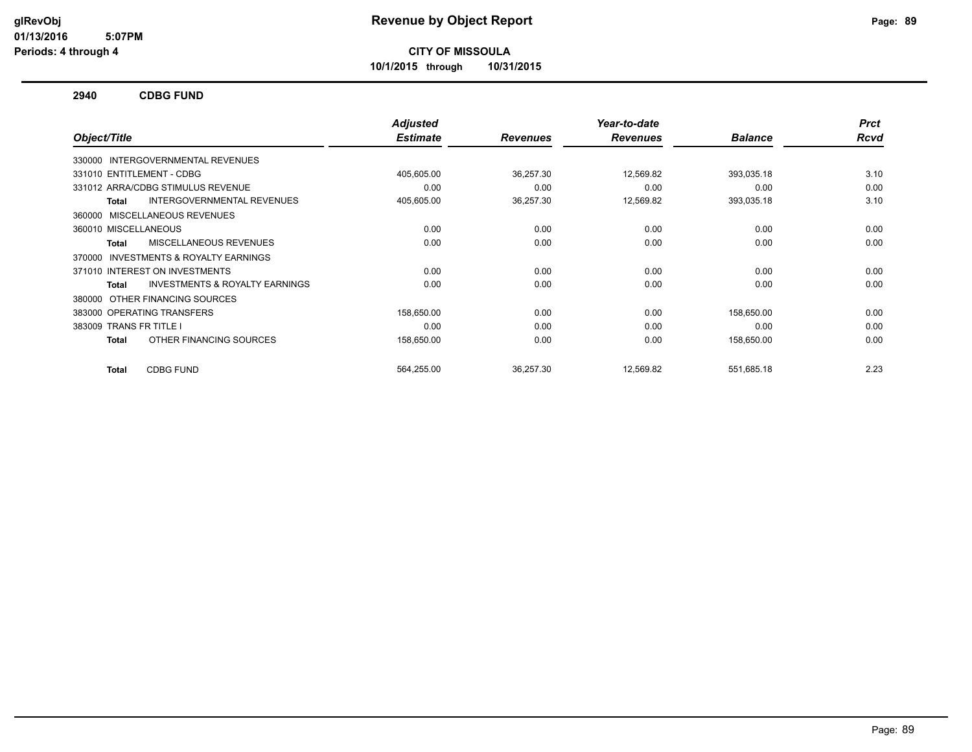**10/1/2015 through 10/31/2015**

#### **2940 CDBG FUND**

|                                                           | <b>Adjusted</b> |                 | Year-to-date    |                | <b>Prct</b> |
|-----------------------------------------------------------|-----------------|-----------------|-----------------|----------------|-------------|
| Object/Title                                              | <b>Estimate</b> | <b>Revenues</b> | <b>Revenues</b> | <b>Balance</b> | <b>Rcvd</b> |
| 330000 INTERGOVERNMENTAL REVENUES                         |                 |                 |                 |                |             |
| 331010 ENTITLEMENT - CDBG                                 | 405,605.00      | 36,257.30       | 12,569.82       | 393,035.18     | 3.10        |
| 331012 ARRA/CDBG STIMULUS REVENUE                         | 0.00            | 0.00            | 0.00            | 0.00           | 0.00        |
| INTERGOVERNMENTAL REVENUES<br><b>Total</b>                | 405,605.00      | 36,257.30       | 12,569.82       | 393,035.18     | 3.10        |
| MISCELLANEOUS REVENUES<br>360000                          |                 |                 |                 |                |             |
| 360010 MISCELLANEOUS                                      | 0.00            | 0.00            | 0.00            | 0.00           | 0.00        |
| <b>MISCELLANEOUS REVENUES</b><br><b>Total</b>             | 0.00            | 0.00            | 0.00            | 0.00           | 0.00        |
| <b>INVESTMENTS &amp; ROYALTY EARNINGS</b><br>370000       |                 |                 |                 |                |             |
| 371010 INTEREST ON INVESTMENTS                            | 0.00            | 0.00            | 0.00            | 0.00           | 0.00        |
| <b>INVESTMENTS &amp; ROYALTY EARNINGS</b><br><b>Total</b> | 0.00            | 0.00            | 0.00            | 0.00           | 0.00        |
| OTHER FINANCING SOURCES<br>380000                         |                 |                 |                 |                |             |
| 383000 OPERATING TRANSFERS                                | 158,650.00      | 0.00            | 0.00            | 158,650.00     | 0.00        |
| 383009 TRANS FR TITLE I                                   | 0.00            | 0.00            | 0.00            | 0.00           | 0.00        |
| OTHER FINANCING SOURCES<br><b>Total</b>                   | 158,650.00      | 0.00            | 0.00            | 158,650.00     | 0.00        |
|                                                           |                 |                 |                 |                |             |
| <b>CDBG FUND</b><br><b>Total</b>                          | 564,255.00      | 36,257.30       | 12,569.82       | 551,685.18     | 2.23        |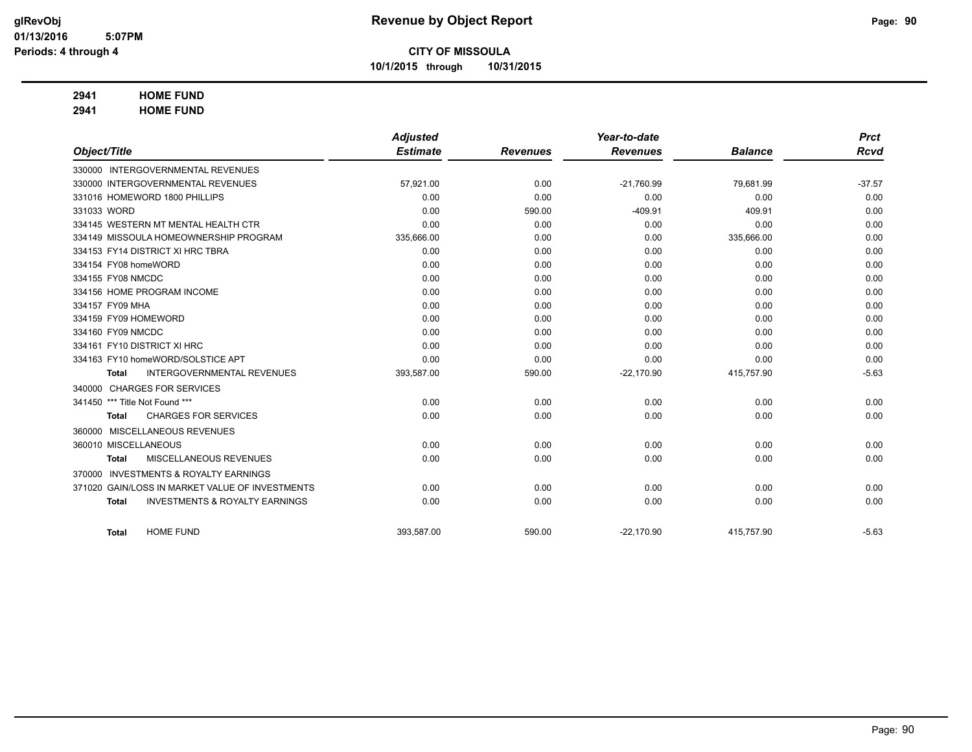**10/1/2015 through 10/31/2015**

#### **2941 HOME FUND**

**2941 HOME FUND**

|                      |                                                 | <b>Adjusted</b> |                 | Year-to-date    |                | <b>Prct</b> |
|----------------------|-------------------------------------------------|-----------------|-----------------|-----------------|----------------|-------------|
| Object/Title         |                                                 | <b>Estimate</b> | <b>Revenues</b> | <b>Revenues</b> | <b>Balance</b> | <b>Rcvd</b> |
|                      | 330000 INTERGOVERNMENTAL REVENUES               |                 |                 |                 |                |             |
|                      | 330000 INTERGOVERNMENTAL REVENUES               | 57,921.00       | 0.00            | $-21,760.99$    | 79,681.99      | $-37.57$    |
|                      | 331016 HOMEWORD 1800 PHILLIPS                   | 0.00            | 0.00            | 0.00            | 0.00           | 0.00        |
| 331033 WORD          |                                                 | 0.00            | 590.00          | $-409.91$       | 409.91         | 0.00        |
|                      | 334145 WESTERN MT MENTAL HEALTH CTR             | 0.00            | 0.00            | 0.00            | 0.00           | 0.00        |
|                      | 334149 MISSOULA HOMEOWNERSHIP PROGRAM           | 335,666.00      | 0.00            | 0.00            | 335,666.00     | 0.00        |
|                      | 334153 FY14 DISTRICT XI HRC TBRA                | 0.00            | 0.00            | 0.00            | 0.00           | 0.00        |
| 334154 FY08 homeWORD |                                                 | 0.00            | 0.00            | 0.00            | 0.00           | 0.00        |
| 334155 FY08 NMCDC    |                                                 | 0.00            | 0.00            | 0.00            | 0.00           | 0.00        |
|                      | 334156 HOME PROGRAM INCOME                      | 0.00            | 0.00            | 0.00            | 0.00           | 0.00        |
| 334157 FY09 MHA      |                                                 | 0.00            | 0.00            | 0.00            | 0.00           | 0.00        |
| 334159 FY09 HOMEWORD |                                                 | 0.00            | 0.00            | 0.00            | 0.00           | 0.00        |
| 334160 FY09 NMCDC    |                                                 | 0.00            | 0.00            | 0.00            | 0.00           | 0.00        |
|                      | 334161 FY10 DISTRICT XI HRC                     | 0.00            | 0.00            | 0.00            | 0.00           | 0.00        |
|                      | 334163 FY10 homeWORD/SOLSTICE APT               | 0.00            | 0.00            | 0.00            | 0.00           | 0.00        |
| Total                | <b>INTERGOVERNMENTAL REVENUES</b>               | 393,587.00      | 590.00          | $-22,170.90$    | 415,757.90     | $-5.63$     |
|                      | 340000 CHARGES FOR SERVICES                     |                 |                 |                 |                |             |
| 341450               | *** Title Not Found ***                         | 0.00            | 0.00            | 0.00            | 0.00           | 0.00        |
| <b>Total</b>         | <b>CHARGES FOR SERVICES</b>                     | 0.00            | 0.00            | 0.00            | 0.00           | 0.00        |
|                      | 360000 MISCELLANEOUS REVENUES                   |                 |                 |                 |                |             |
| 360010 MISCELLANEOUS |                                                 | 0.00            | 0.00            | 0.00            | 0.00           | 0.00        |
| <b>Total</b>         | MISCELLANEOUS REVENUES                          | 0.00            | 0.00            | 0.00            | 0.00           | 0.00        |
| 370000               | <b>INVESTMENTS &amp; ROYALTY EARNINGS</b>       |                 |                 |                 |                |             |
|                      | 371020 GAIN/LOSS IN MARKET VALUE OF INVESTMENTS | 0.00            | 0.00            | 0.00            | 0.00           | 0.00        |
| <b>Total</b>         | <b>INVESTMENTS &amp; ROYALTY EARNINGS</b>       | 0.00            | 0.00            | 0.00            | 0.00           | 0.00        |
|                      |                                                 |                 |                 |                 |                |             |
| <b>Total</b>         | <b>HOME FUND</b>                                | 393,587.00      | 590.00          | $-22.170.90$    | 415,757.90     | $-5.63$     |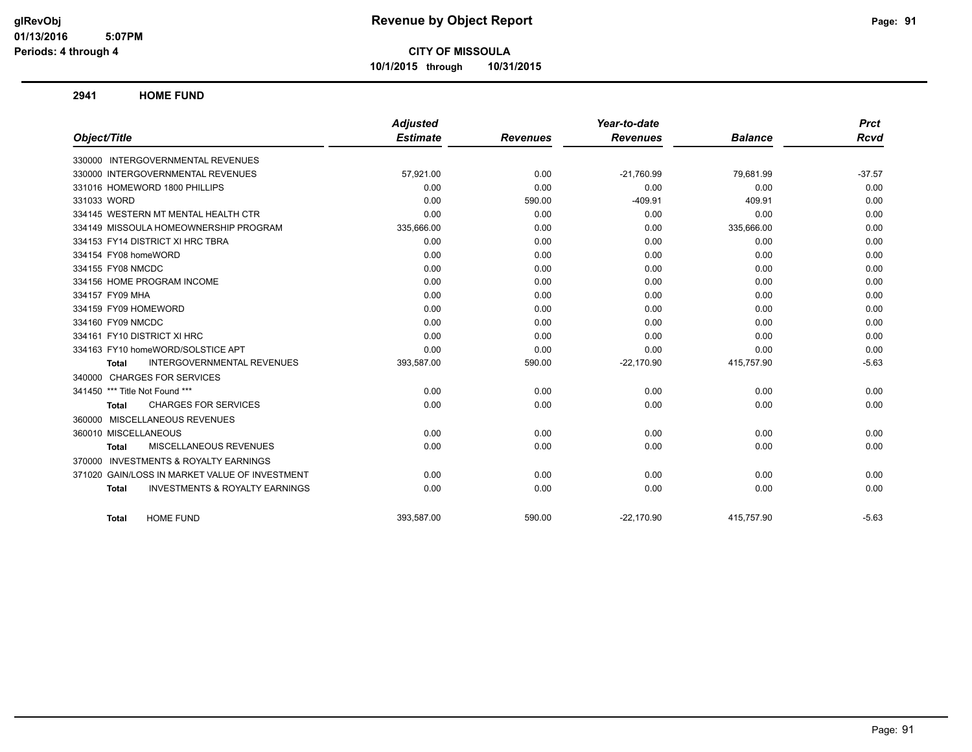**10/1/2015 through 10/31/2015**

**2941 HOME FUND**

|                                                           | <b>Adjusted</b> |                 | Year-to-date    |                | <b>Prct</b> |
|-----------------------------------------------------------|-----------------|-----------------|-----------------|----------------|-------------|
| Object/Title                                              | <b>Estimate</b> | <b>Revenues</b> | <b>Revenues</b> | <b>Balance</b> | <b>Rcvd</b> |
| 330000 INTERGOVERNMENTAL REVENUES                         |                 |                 |                 |                |             |
| 330000 INTERGOVERNMENTAL REVENUES                         | 57,921.00       | 0.00            | $-21,760.99$    | 79,681.99      | $-37.57$    |
| 331016 HOMEWORD 1800 PHILLIPS                             | 0.00            | 0.00            | 0.00            | 0.00           | 0.00        |
| 331033 WORD                                               | 0.00            | 590.00          | $-409.91$       | 409.91         | 0.00        |
| 334145 WESTERN MT MENTAL HEALTH CTR                       | 0.00            | 0.00            | 0.00            | 0.00           | 0.00        |
| 334149 MISSOULA HOMEOWNERSHIP PROGRAM                     | 335,666.00      | 0.00            | 0.00            | 335,666.00     | 0.00        |
| 334153 FY14 DISTRICT XI HRC TBRA                          | 0.00            | 0.00            | 0.00            | 0.00           | 0.00        |
| 334154 FY08 homeWORD                                      | 0.00            | 0.00            | 0.00            | 0.00           | 0.00        |
| 334155 FY08 NMCDC                                         | 0.00            | 0.00            | 0.00            | 0.00           | 0.00        |
| 334156 HOME PROGRAM INCOME                                | 0.00            | 0.00            | 0.00            | 0.00           | 0.00        |
| 334157 FY09 MHA                                           | 0.00            | 0.00            | 0.00            | 0.00           | 0.00        |
| 334159 FY09 HOMEWORD                                      | 0.00            | 0.00            | 0.00            | 0.00           | 0.00        |
| 334160 FY09 NMCDC                                         | 0.00            | 0.00            | 0.00            | 0.00           | 0.00        |
| 334161 FY10 DISTRICT XI HRC                               | 0.00            | 0.00            | 0.00            | 0.00           | 0.00        |
| 334163 FY10 homeWORD/SOLSTICE APT                         | 0.00            | 0.00            | 0.00            | 0.00           | 0.00        |
| INTERGOVERNMENTAL REVENUES<br>Total                       | 393,587.00      | 590.00          | $-22,170.90$    | 415,757.90     | $-5.63$     |
| 340000 CHARGES FOR SERVICES                               |                 |                 |                 |                |             |
| 341450 *** Title Not Found ***                            | 0.00            | 0.00            | 0.00            | 0.00           | 0.00        |
| <b>CHARGES FOR SERVICES</b><br>Total                      | 0.00            | 0.00            | 0.00            | 0.00           | 0.00        |
| 360000 MISCELLANEOUS REVENUES                             |                 |                 |                 |                |             |
| 360010 MISCELLANEOUS                                      | 0.00            | 0.00            | 0.00            | 0.00           | 0.00        |
| MISCELLANEOUS REVENUES<br><b>Total</b>                    | 0.00            | 0.00            | 0.00            | 0.00           | 0.00        |
| 370000 INVESTMENTS & ROYALTY EARNINGS                     |                 |                 |                 |                |             |
| 371020 GAIN/LOSS IN MARKET VALUE OF INVESTMENT            | 0.00            | 0.00            | 0.00            | 0.00           | 0.00        |
| <b>INVESTMENTS &amp; ROYALTY EARNINGS</b><br><b>Total</b> | 0.00            | 0.00            | 0.00            | 0.00           | 0.00        |
| <b>HOME FUND</b><br><b>Total</b>                          | 393,587.00      | 590.00          | $-22,170.90$    | 415,757.90     | $-5.63$     |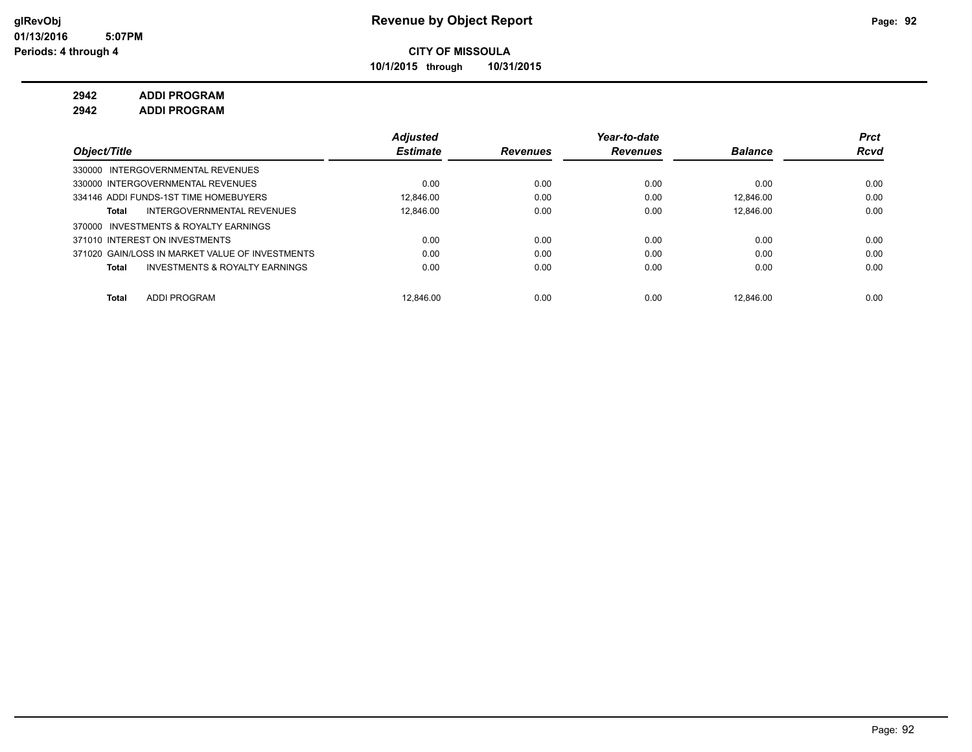**10/1/2015 through 10/31/2015**

## **2942 ADDI PROGRAM**

**2942 ADDI PROGRAM**

|                                                    | <b>Adjusted</b> |                 | Year-to-date    |                | Prct        |
|----------------------------------------------------|-----------------|-----------------|-----------------|----------------|-------------|
| Object/Title                                       | <b>Estimate</b> | <b>Revenues</b> | <b>Revenues</b> | <b>Balance</b> | <b>Rcvd</b> |
| 330000 INTERGOVERNMENTAL REVENUES                  |                 |                 |                 |                |             |
| 330000 INTERGOVERNMENTAL REVENUES                  | 0.00            | 0.00            | 0.00            | 0.00           | 0.00        |
| 334146 ADDI FUNDS-1ST TIME HOMEBUYERS              | 12.846.00       | 0.00            | 0.00            | 12.846.00      | 0.00        |
| INTERGOVERNMENTAL REVENUES<br>Total                | 12.846.00       | 0.00            | 0.00            | 12.846.00      | 0.00        |
| INVESTMENTS & ROYALTY EARNINGS<br>370000           |                 |                 |                 |                |             |
| 371010 INTEREST ON INVESTMENTS                     | 0.00            | 0.00            | 0.00            | 0.00           | 0.00        |
| 371020 GAIN/LOSS IN MARKET VALUE OF INVESTMENTS    | 0.00            | 0.00            | 0.00            | 0.00           | 0.00        |
| <b>INVESTMENTS &amp; ROYALTY EARNINGS</b><br>Total | 0.00            | 0.00            | 0.00            | 0.00           | 0.00        |
| <b>ADDI PROGRAM</b><br><b>Total</b>                | 12.846.00       | 0.00            | 0.00            | 12.846.00      | 0.00        |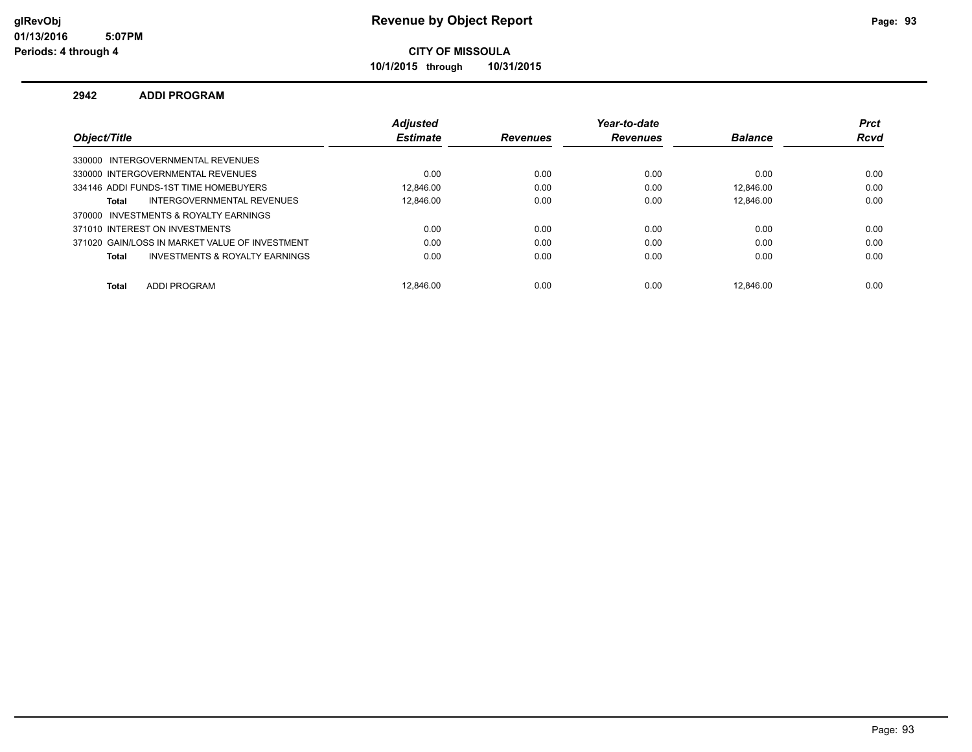**10/1/2015 through 10/31/2015**

#### **2942 ADDI PROGRAM**

|                                                | <b>Adiusted</b> |                 | Year-to-date    |                | <b>Prct</b> |
|------------------------------------------------|-----------------|-----------------|-----------------|----------------|-------------|
| Object/Title                                   | <b>Estimate</b> | <b>Revenues</b> | <b>Revenues</b> | <b>Balance</b> | <b>Rcvd</b> |
| 330000 INTERGOVERNMENTAL REVENUES              |                 |                 |                 |                |             |
| 330000 INTERGOVERNMENTAL REVENUES              | 0.00            | 0.00            | 0.00            | 0.00           | 0.00        |
| 334146 ADDI FUNDS-1ST TIME HOMEBUYERS          | 12.846.00       | 0.00            | 0.00            | 12.846.00      | 0.00        |
| INTERGOVERNMENTAL REVENUES<br>Total            | 12.846.00       | 0.00            | 0.00            | 12.846.00      | 0.00        |
| 370000 INVESTMENTS & ROYALTY EARNINGS          |                 |                 |                 |                |             |
| 371010 INTEREST ON INVESTMENTS                 | 0.00            | 0.00            | 0.00            | 0.00           | 0.00        |
| 371020 GAIN/LOSS IN MARKET VALUE OF INVESTMENT | 0.00            | 0.00            | 0.00            | 0.00           | 0.00        |
| INVESTMENTS & ROYALTY EARNINGS<br>Total        | 0.00            | 0.00            | 0.00            | 0.00           | 0.00        |
|                                                |                 |                 |                 |                |             |
| <b>ADDI PROGRAM</b><br><b>Total</b>            | 12.846.00       | 0.00            | 0.00            | 12.846.00      | 0.00        |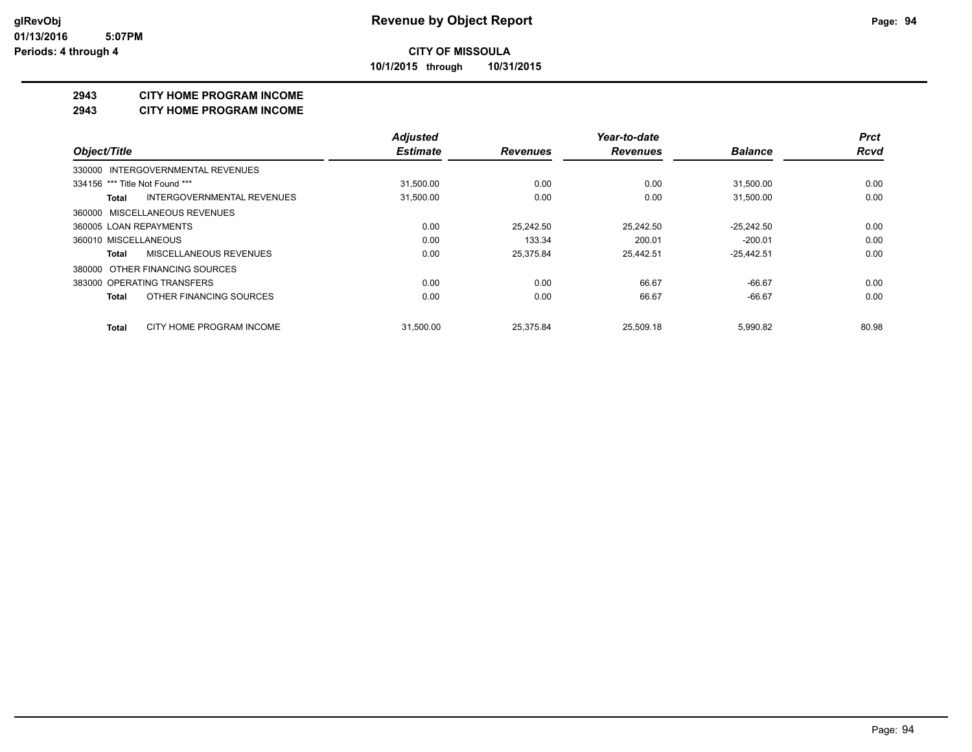**10/1/2015 through 10/31/2015**

#### **2943 CITY HOME PROGRAM INCOME**

#### **2943 CITY HOME PROGRAM INCOME**

|                                          | <b>Adjusted</b> |                 | Year-to-date    |                | <b>Prct</b> |
|------------------------------------------|-----------------|-----------------|-----------------|----------------|-------------|
| Object/Title                             | <b>Estimate</b> | <b>Revenues</b> | <b>Revenues</b> | <b>Balance</b> | <b>Rcvd</b> |
| 330000 INTERGOVERNMENTAL REVENUES        |                 |                 |                 |                |             |
| 334156 *** Title Not Found ***           | 31,500.00       | 0.00            | 0.00            | 31,500.00      | 0.00        |
| INTERGOVERNMENTAL REVENUES<br>Total      | 31,500.00       | 0.00            | 0.00            | 31,500.00      | 0.00        |
| 360000 MISCELLANEOUS REVENUES            |                 |                 |                 |                |             |
| 360005 LOAN REPAYMENTS                   | 0.00            | 25.242.50       | 25.242.50       | $-25.242.50$   | 0.00        |
| 360010 MISCELLANEOUS                     | 0.00            | 133.34          | 200.01          | $-200.01$      | 0.00        |
| MISCELLANEOUS REVENUES<br><b>Total</b>   | 0.00            | 25.375.84       | 25.442.51       | $-25.442.51$   | 0.00        |
| 380000 OTHER FINANCING SOURCES           |                 |                 |                 |                |             |
| 383000 OPERATING TRANSFERS               | 0.00            | 0.00            | 66.67           | $-66.67$       | 0.00        |
| OTHER FINANCING SOURCES<br><b>Total</b>  | 0.00            | 0.00            | 66.67           | $-66.67$       | 0.00        |
| CITY HOME PROGRAM INCOME<br><b>Total</b> | 31.500.00       | 25.375.84       | 25.509.18       | 5.990.82       | 80.98       |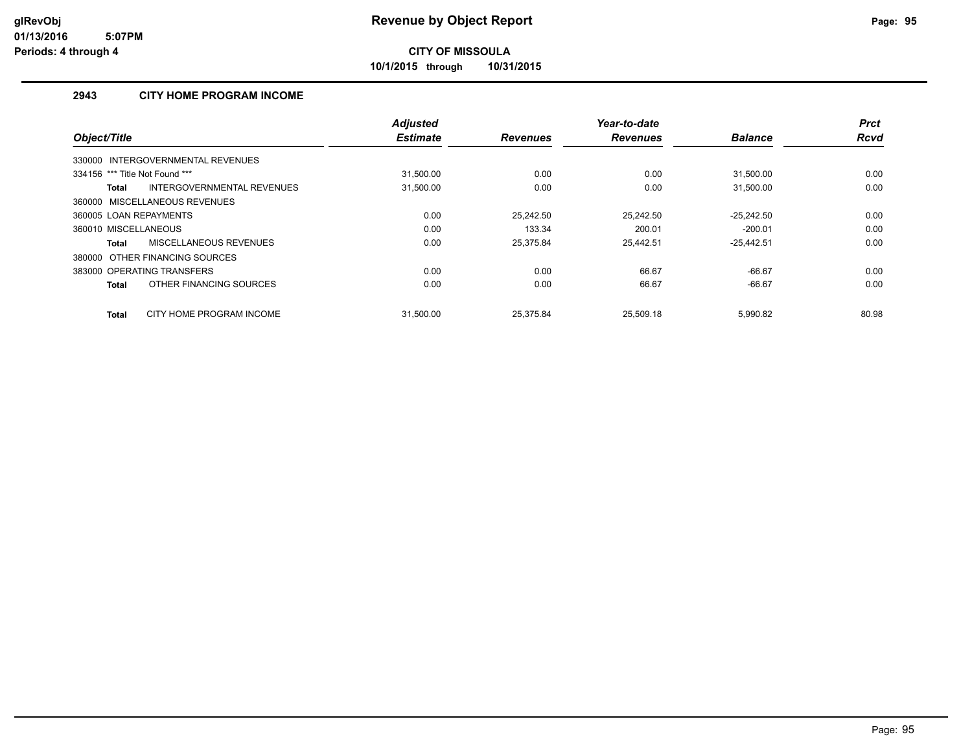**10/1/2015 through 10/31/2015**

### **2943 CITY HOME PROGRAM INCOME**

|                                               | <b>Adjusted</b> |                 | Year-to-date    |                | <b>Prct</b> |
|-----------------------------------------------|-----------------|-----------------|-----------------|----------------|-------------|
| Object/Title                                  | <b>Estimate</b> | <b>Revenues</b> | <b>Revenues</b> | <b>Balance</b> | <b>Rcvd</b> |
| 330000 INTERGOVERNMENTAL REVENUES             |                 |                 |                 |                |             |
| 334156 *** Title Not Found ***                | 31.500.00       | 0.00            | 0.00            | 31.500.00      | 0.00        |
| INTERGOVERNMENTAL REVENUES<br><b>Total</b>    | 31,500.00       | 0.00            | 0.00            | 31.500.00      | 0.00        |
| 360000 MISCELLANEOUS REVENUES                 |                 |                 |                 |                |             |
| 360005 LOAN REPAYMENTS                        | 0.00            | 25.242.50       | 25.242.50       | $-25.242.50$   | 0.00        |
| 360010 MISCELLANEOUS                          | 0.00            | 133.34          | 200.01          | $-200.01$      | 0.00        |
| <b>MISCELLANEOUS REVENUES</b><br><b>Total</b> | 0.00            | 25,375.84       | 25,442.51       | $-25,442.51$   | 0.00        |
| 380000 OTHER FINANCING SOURCES                |                 |                 |                 |                |             |
| 383000 OPERATING TRANSFERS                    | 0.00            | 0.00            | 66.67           | $-66.67$       | 0.00        |
| OTHER FINANCING SOURCES<br><b>Total</b>       | 0.00            | 0.00            | 66.67           | $-66.67$       | 0.00        |
| CITY HOME PROGRAM INCOME<br><b>Total</b>      | 31.500.00       | 25.375.84       | 25.509.18       | 5.990.82       | 80.98       |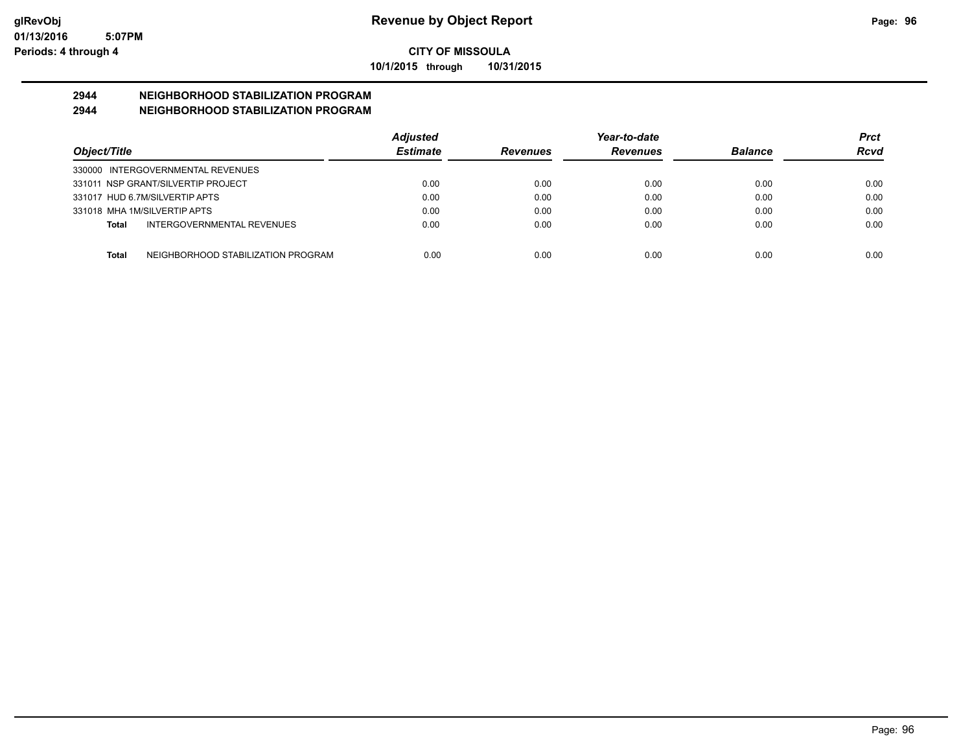**10/1/2015 through 10/31/2015**

# **2944 NEIGHBORHOOD STABILIZATION PROGRAM**

## **2944 NEIGHBORHOOD STABILIZATION PROGRAM**

|                                                    | <b>Adjusted</b> |                 | Year-to-date    |                | <b>Prct</b> |
|----------------------------------------------------|-----------------|-----------------|-----------------|----------------|-------------|
| Object/Title                                       | <b>Estimate</b> | <b>Revenues</b> | <b>Revenues</b> | <b>Balance</b> | Rcvd        |
| 330000 INTERGOVERNMENTAL REVENUES                  |                 |                 |                 |                |             |
| 331011 NSP GRANT/SILVERTIP PROJECT                 | 0.00            | 0.00            | 0.00            | 0.00           | 0.00        |
| 331017 HUD 6.7M/SILVERTIP APTS                     | 0.00            | 0.00            | 0.00            | 0.00           | 0.00        |
| 331018 MHA 1M/SILVERTIP APTS                       | 0.00            | 0.00            | 0.00            | 0.00           | 0.00        |
| <b>INTERGOVERNMENTAL REVENUES</b><br>Total         | 0.00            | 0.00            | 0.00            | 0.00           | 0.00        |
|                                                    |                 |                 |                 |                |             |
| NEIGHBORHOOD STABILIZATION PROGRAM<br><b>Total</b> | 0.00            | 0.00            | 0.00            | 0.00           | 0.00        |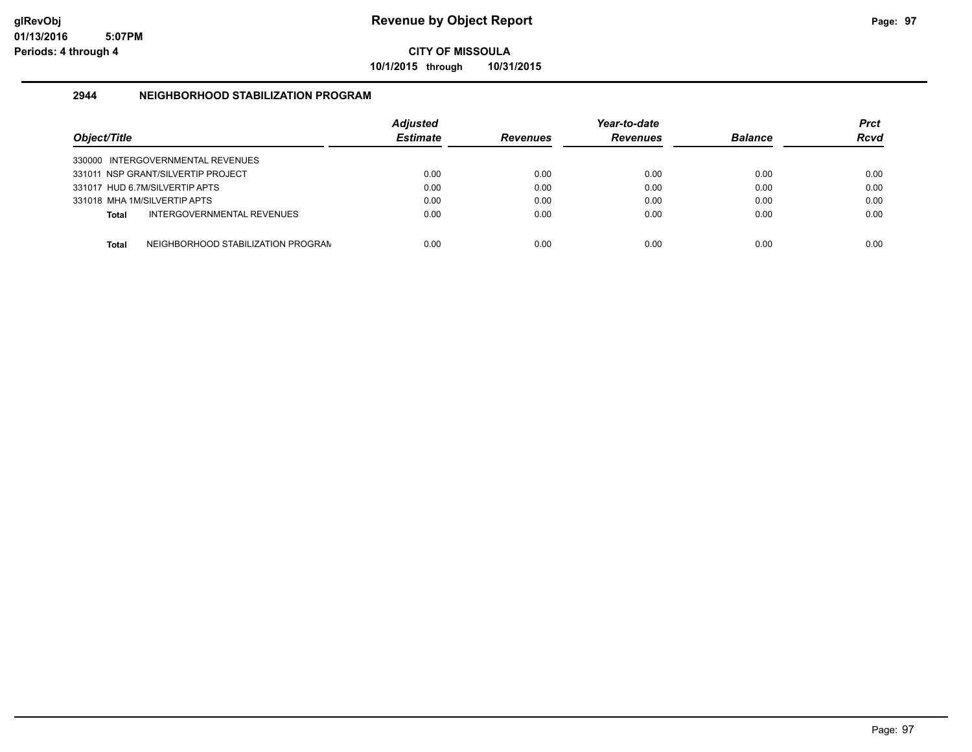**10/1/2015 through 10/31/2015**

#### **2944 NEIGHBORHOOD STABILIZATION PROGRAM**

| Object/Title |                                    | <b>Adiusted</b><br><b>Estimate</b> | <b>Revenues</b> | Year-to-date<br><b>Revenues</b> | <b>Balance</b> | <b>Prct</b><br><b>Rcvd</b> |
|--------------|------------------------------------|------------------------------------|-----------------|---------------------------------|----------------|----------------------------|
|              | 330000 INTERGOVERNMENTAL REVENUES  |                                    |                 |                                 |                |                            |
|              | 331011 NSP GRANT/SILVERTIP PROJECT | 0.00                               | 0.00            | 0.00                            | 0.00           | 0.00                       |
|              | 331017 HUD 6.7M/SILVERTIP APTS     | 0.00                               | 0.00            | 0.00                            | 0.00           | 0.00                       |
|              | 331018 MHA 1M/SILVERTIP APTS       | 0.00                               | 0.00            | 0.00                            | 0.00           | 0.00                       |
| <b>Total</b> | INTERGOVERNMENTAL REVENUES         | 0.00                               | 0.00            | 0.00                            | 0.00           | 0.00                       |
| <b>Total</b> | NEIGHBORHOOD STABILIZATION PROGRAM | 0.00                               | 0.00            | 0.00                            | 0.00           | 0.00                       |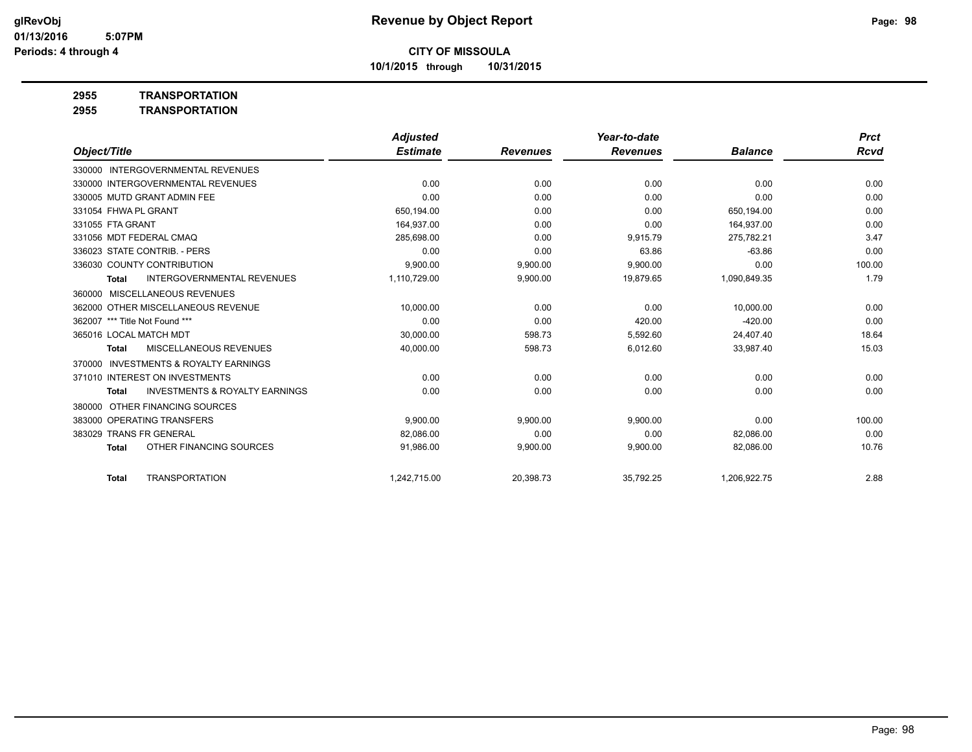**10/1/2015 through 10/31/2015**

**2955 TRANSPORTATION**

|                                |                                           | <b>Adjusted</b> |                 | Year-to-date    |                | <b>Prct</b> |
|--------------------------------|-------------------------------------------|-----------------|-----------------|-----------------|----------------|-------------|
| Object/Title                   |                                           | <b>Estimate</b> | <b>Revenues</b> | <b>Revenues</b> | <b>Balance</b> | Rcvd        |
|                                | 330000 INTERGOVERNMENTAL REVENUES         |                 |                 |                 |                |             |
|                                | 330000 INTERGOVERNMENTAL REVENUES         | 0.00            | 0.00            | 0.00            | 0.00           | 0.00        |
|                                | 330005 MUTD GRANT ADMIN FEE               | 0.00            | 0.00            | 0.00            | 0.00           | 0.00        |
| 331054 FHWA PL GRANT           |                                           | 650,194.00      | 0.00            | 0.00            | 650.194.00     | 0.00        |
| 331055 FTA GRANT               |                                           | 164,937.00      | 0.00            | 0.00            | 164,937.00     | 0.00        |
| 331056 MDT FEDERAL CMAQ        |                                           | 285.698.00      | 0.00            | 9,915.79        | 275.782.21     | 3.47        |
|                                | 336023 STATE CONTRIB. - PERS              | 0.00            | 0.00            | 63.86           | $-63.86$       | 0.00        |
|                                | 336030 COUNTY CONTRIBUTION                | 9,900.00        | 9,900.00        | 9,900.00        | 0.00           | 100.00      |
| <b>Total</b>                   | <b>INTERGOVERNMENTAL REVENUES</b>         | 1,110,729.00    | 9,900.00        | 19,879.65       | 1,090,849.35   | 1.79        |
| 360000                         | MISCELLANEOUS REVENUES                    |                 |                 |                 |                |             |
|                                | 362000 OTHER MISCELLANEOUS REVENUE        | 10,000.00       | 0.00            | 0.00            | 10,000.00      | 0.00        |
| 362007 *** Title Not Found *** |                                           | 0.00            | 0.00            | 420.00          | $-420.00$      | 0.00        |
| 365016 LOCAL MATCH MDT         |                                           | 30,000.00       | 598.73          | 5,592.60        | 24,407.40      | 18.64       |
| <b>Total</b>                   | <b>MISCELLANEOUS REVENUES</b>             | 40,000.00       | 598.73          | 6,012.60        | 33,987.40      | 15.03       |
| 370000                         | <b>INVESTMENTS &amp; ROYALTY EARNINGS</b> |                 |                 |                 |                |             |
|                                | 371010 INTEREST ON INVESTMENTS            | 0.00            | 0.00            | 0.00            | 0.00           | 0.00        |
| <b>Total</b>                   | <b>INVESTMENTS &amp; ROYALTY EARNINGS</b> | 0.00            | 0.00            | 0.00            | 0.00           | 0.00        |
| 380000                         | OTHER FINANCING SOURCES                   |                 |                 |                 |                |             |
|                                | 383000 OPERATING TRANSFERS                | 9.900.00        | 9,900.00        | 9,900.00        | 0.00           | 100.00      |
| 383029                         | <b>TRANS FR GENERAL</b>                   | 82.086.00       | 0.00            | 0.00            | 82.086.00      | 0.00        |
| <b>Total</b>                   | OTHER FINANCING SOURCES                   | 91,986.00       | 9,900.00        | 9,900.00        | 82,086.00      | 10.76       |
| <b>Total</b>                   | <b>TRANSPORTATION</b>                     | 1.242.715.00    | 20,398.73       | 35,792.25       | 1,206,922.75   | 2.88        |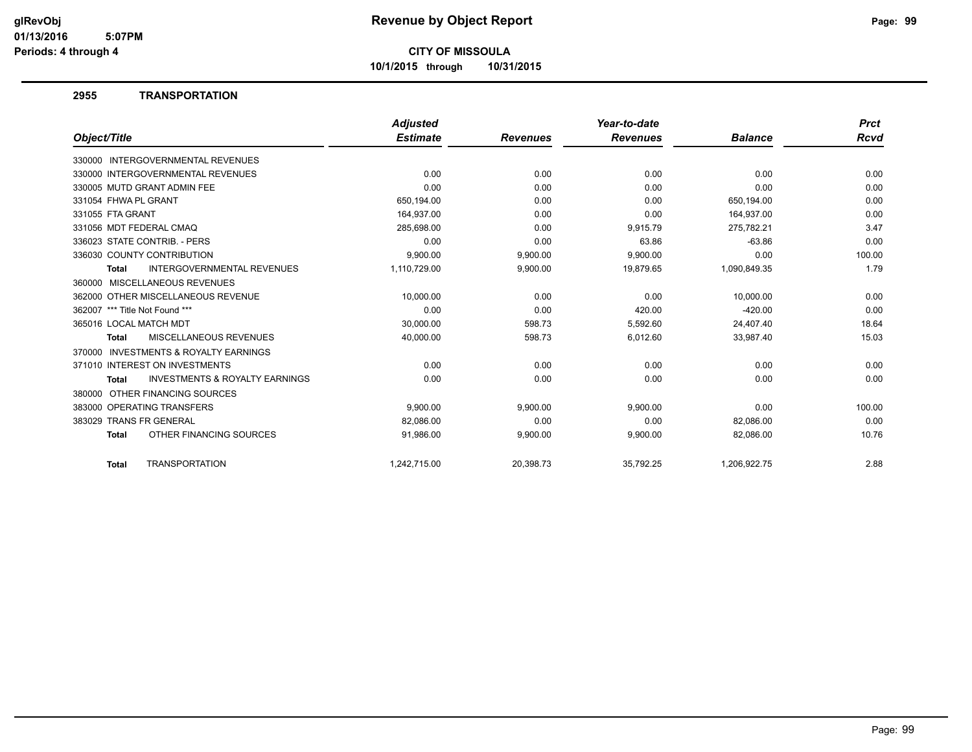**10/1/2015 through 10/31/2015**

#### **2955 TRANSPORTATION**

|                                                           | <b>Adjusted</b> |                 | Year-to-date    |                | <b>Prct</b> |
|-----------------------------------------------------------|-----------------|-----------------|-----------------|----------------|-------------|
| Object/Title                                              | <b>Estimate</b> | <b>Revenues</b> | <b>Revenues</b> | <b>Balance</b> | Rcvd        |
| 330000 INTERGOVERNMENTAL REVENUES                         |                 |                 |                 |                |             |
| 330000 INTERGOVERNMENTAL REVENUES                         | 0.00            | 0.00            | 0.00            | 0.00           | 0.00        |
| 330005 MUTD GRANT ADMIN FEE                               | 0.00            | 0.00            | 0.00            | 0.00           | 0.00        |
| 331054 FHWA PL GRANT                                      | 650,194.00      | 0.00            | 0.00            | 650,194.00     | 0.00        |
| 331055 FTA GRANT                                          | 164,937.00      | 0.00            | 0.00            | 164,937.00     | 0.00        |
| 331056 MDT FEDERAL CMAQ                                   | 285,698.00      | 0.00            | 9,915.79        | 275,782.21     | 3.47        |
| 336023 STATE CONTRIB. - PERS                              | 0.00            | 0.00            | 63.86           | $-63.86$       | 0.00        |
| 336030 COUNTY CONTRIBUTION                                | 9,900.00        | 9,900.00        | 9,900.00        | 0.00           | 100.00      |
| <b>INTERGOVERNMENTAL REVENUES</b><br><b>Total</b>         | 1,110,729.00    | 9,900.00        | 19,879.65       | 1,090,849.35   | 1.79        |
| 360000 MISCELLANEOUS REVENUES                             |                 |                 |                 |                |             |
| 362000 OTHER MISCELLANEOUS REVENUE                        | 10.000.00       | 0.00            | 0.00            | 10.000.00      | 0.00        |
| 362007 *** Title Not Found ***                            | 0.00            | 0.00            | 420.00          | $-420.00$      | 0.00        |
| 365016 LOCAL MATCH MDT                                    | 30,000.00       | 598.73          | 5,592.60        | 24,407.40      | 18.64       |
| MISCELLANEOUS REVENUES<br><b>Total</b>                    | 40,000.00       | 598.73          | 6,012.60        | 33,987.40      | 15.03       |
| <b>INVESTMENTS &amp; ROYALTY EARNINGS</b><br>370000       |                 |                 |                 |                |             |
| 371010 INTEREST ON INVESTMENTS                            | 0.00            | 0.00            | 0.00            | 0.00           | 0.00        |
| <b>INVESTMENTS &amp; ROYALTY EARNINGS</b><br><b>Total</b> | 0.00            | 0.00            | 0.00            | 0.00           | 0.00        |
| OTHER FINANCING SOURCES<br>380000                         |                 |                 |                 |                |             |
| 383000 OPERATING TRANSFERS                                | 9,900.00        | 9,900.00        | 9,900.00        | 0.00           | 100.00      |
| 383029 TRANS FR GENERAL                                   | 82,086.00       | 0.00            | 0.00            | 82,086.00      | 0.00        |
| OTHER FINANCING SOURCES<br><b>Total</b>                   | 91,986.00       | 9,900.00        | 9,900.00        | 82,086.00      | 10.76       |
| <b>TRANSPORTATION</b><br><b>Total</b>                     | 1.242.715.00    | 20.398.73       | 35.792.25       | 1.206.922.75   | 2.88        |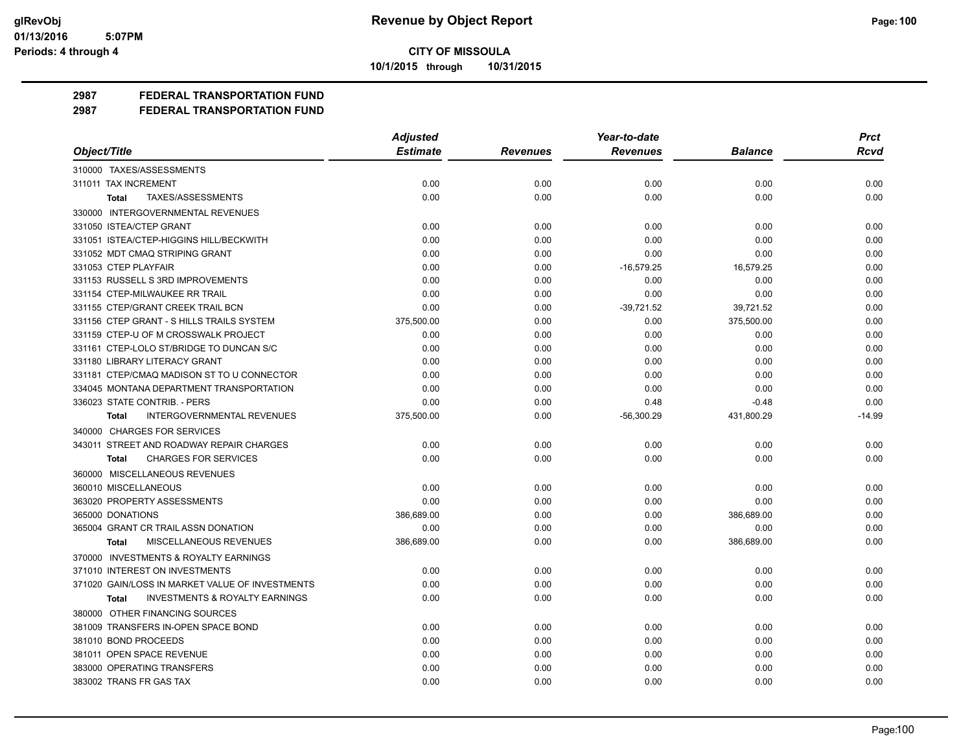**10/1/2015 through 10/31/2015**

## **2987 FEDERAL TRANSPORTATION FUND**

|                                                           | <b>Adjusted</b> |                 | Year-to-date    |                | <b>Prct</b> |
|-----------------------------------------------------------|-----------------|-----------------|-----------------|----------------|-------------|
| Object/Title                                              | <b>Estimate</b> | <b>Revenues</b> | <b>Revenues</b> | <b>Balance</b> | <b>Rcvd</b> |
| 310000 TAXES/ASSESSMENTS                                  |                 |                 |                 |                |             |
| 311011 TAX INCREMENT                                      | 0.00            | 0.00            | 0.00            | 0.00           | 0.00        |
| TAXES/ASSESSMENTS<br><b>Total</b>                         | 0.00            | 0.00            | 0.00            | 0.00           | 0.00        |
| 330000 INTERGOVERNMENTAL REVENUES                         |                 |                 |                 |                |             |
| 331050 ISTEA/CTEP GRANT                                   | 0.00            | 0.00            | 0.00            | 0.00           | 0.00        |
| 331051 ISTEA/CTEP-HIGGINS HILL/BECKWITH                   | 0.00            | 0.00            | 0.00            | 0.00           | 0.00        |
| 331052 MDT CMAQ STRIPING GRANT                            | 0.00            | 0.00            | 0.00            | 0.00           | 0.00        |
| 331053 CTEP PLAYFAIR                                      | 0.00            | 0.00            | $-16,579.25$    | 16,579.25      | 0.00        |
| 331153 RUSSELL S 3RD IMPROVEMENTS                         | 0.00            | 0.00            | 0.00            | 0.00           | 0.00        |
| 331154 CTEP-MILWAUKEE RR TRAIL                            | 0.00            | 0.00            | 0.00            | 0.00           | 0.00        |
| 331155 CTEP/GRANT CREEK TRAIL BCN                         | 0.00            | 0.00            | $-39,721.52$    | 39,721.52      | 0.00        |
| 331156 CTEP GRANT - S HILLS TRAILS SYSTEM                 | 375,500.00      | 0.00            | 0.00            | 375,500.00     | 0.00        |
| 331159 CTEP-U OF M CROSSWALK PROJECT                      | 0.00            | 0.00            | 0.00            | 0.00           | 0.00        |
| 331161 CTEP-LOLO ST/BRIDGE TO DUNCAN S/C                  | 0.00            | 0.00            | 0.00            | 0.00           | 0.00        |
| 331180 LIBRARY LITERACY GRANT                             | 0.00            | 0.00            | 0.00            | 0.00           | 0.00        |
| 331181 CTEP/CMAQ MADISON ST TO U CONNECTOR                | 0.00            | 0.00            | 0.00            | 0.00           | 0.00        |
| 334045 MONTANA DEPARTMENT TRANSPORTATION                  | 0.00            | 0.00            | 0.00            | 0.00           | 0.00        |
| 336023 STATE CONTRIB. - PERS                              | 0.00            | 0.00            | 0.48            | $-0.48$        | 0.00        |
| INTERGOVERNMENTAL REVENUES<br><b>Total</b>                | 375,500.00      | 0.00            | $-56,300.29$    | 431,800.29     | $-14.99$    |
| 340000 CHARGES FOR SERVICES                               |                 |                 |                 |                |             |
| 343011 STREET AND ROADWAY REPAIR CHARGES                  | 0.00            | 0.00            | 0.00            | 0.00           | 0.00        |
| <b>CHARGES FOR SERVICES</b><br>Total                      | 0.00            | 0.00            | 0.00            | 0.00           | 0.00        |
| 360000 MISCELLANEOUS REVENUES                             |                 |                 |                 |                |             |
| 360010 MISCELLANEOUS                                      | 0.00            | 0.00            | 0.00            | 0.00           | 0.00        |
| 363020 PROPERTY ASSESSMENTS                               | 0.00            | 0.00            | 0.00            | 0.00           | 0.00        |
| 365000 DONATIONS                                          | 386,689.00      | 0.00            | 0.00            | 386,689.00     | 0.00        |
| 365004 GRANT CR TRAIL ASSN DONATION                       | 0.00            | 0.00            | 0.00            | 0.00           | 0.00        |
| MISCELLANEOUS REVENUES<br>Total                           | 386,689.00      | 0.00            | 0.00            | 386,689.00     | 0.00        |
| 370000 INVESTMENTS & ROYALTY EARNINGS                     |                 |                 |                 |                |             |
| 371010 INTEREST ON INVESTMENTS                            | 0.00            | 0.00            | 0.00            | 0.00           | 0.00        |
| 371020 GAIN/LOSS IN MARKET VALUE OF INVESTMENTS           | 0.00            | 0.00            | 0.00            | 0.00           | 0.00        |
| <b>INVESTMENTS &amp; ROYALTY EARNINGS</b><br><b>Total</b> | 0.00            | 0.00            | 0.00            | 0.00           | 0.00        |
| 380000 OTHER FINANCING SOURCES                            |                 |                 |                 |                |             |
| 381009 TRANSFERS IN-OPEN SPACE BOND                       | 0.00            | 0.00            | 0.00            | 0.00           | 0.00        |
| 381010 BOND PROCEEDS                                      | 0.00            | 0.00            | 0.00            | 0.00           | 0.00        |
| 381011 OPEN SPACE REVENUE                                 | 0.00            | 0.00            | 0.00            | 0.00           | 0.00        |
| 383000 OPERATING TRANSFERS                                | 0.00            | 0.00            | 0.00            | 0.00           | 0.00        |
| 383002 TRANS FR GAS TAX                                   | 0.00            | 0.00            | 0.00            | 0.00           | 0.00        |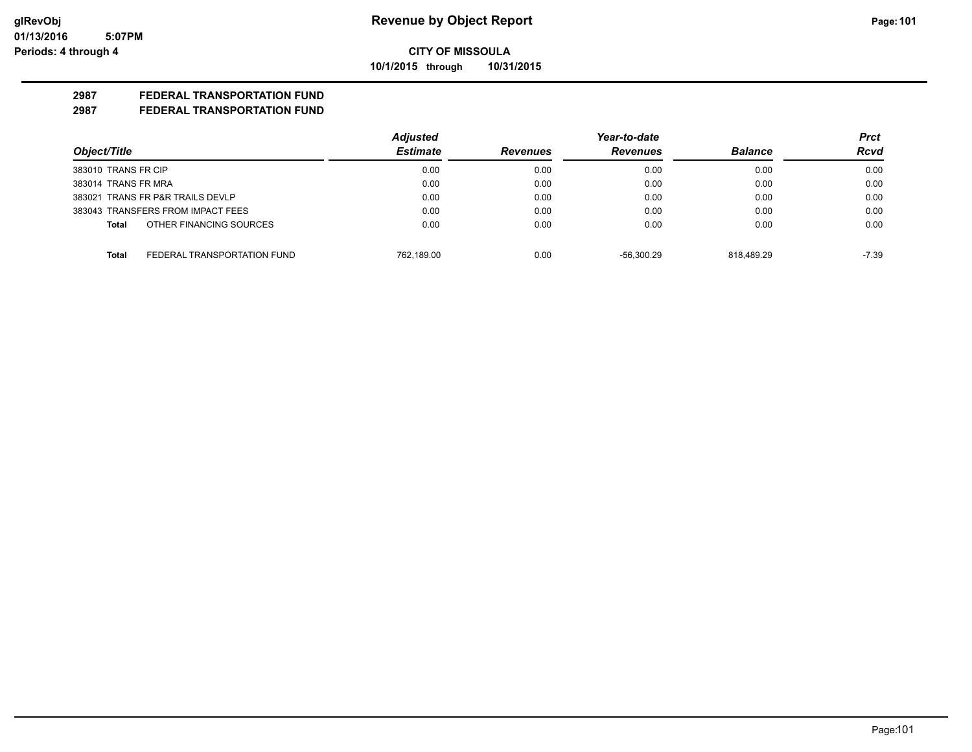**10/1/2015 through 10/31/2015**

## **2987 FEDERAL TRANSPORTATION FUND**

|                                      | <b>Adjusted</b> |                 | Year-to-date    |                | <b>Prct</b> |
|--------------------------------------|-----------------|-----------------|-----------------|----------------|-------------|
| Object/Title                         | <b>Estimate</b> | <b>Revenues</b> | <b>Revenues</b> | <b>Balance</b> | <b>Rcvd</b> |
| 383010 TRANS FR CIP                  | 0.00            | 0.00            | 0.00            | 0.00           | 0.00        |
| 383014 TRANS FR MRA                  | 0.00            | 0.00            | 0.00            | 0.00           | 0.00        |
| 383021 TRANS FR P&R TRAILS DEVLP     | 0.00            | 0.00            | 0.00            | 0.00           | 0.00        |
| 383043 TRANSFERS FROM IMPACT FEES    | 0.00            | 0.00            | 0.00            | 0.00           | 0.00        |
| OTHER FINANCING SOURCES<br>Total     | 0.00            | 0.00            | 0.00            | 0.00           | 0.00        |
| FEDERAL TRANSPORTATION FUND<br>Total | 762.189.00      | 0.00            | $-56.300.29$    | 818.489.29     | $-7.39$     |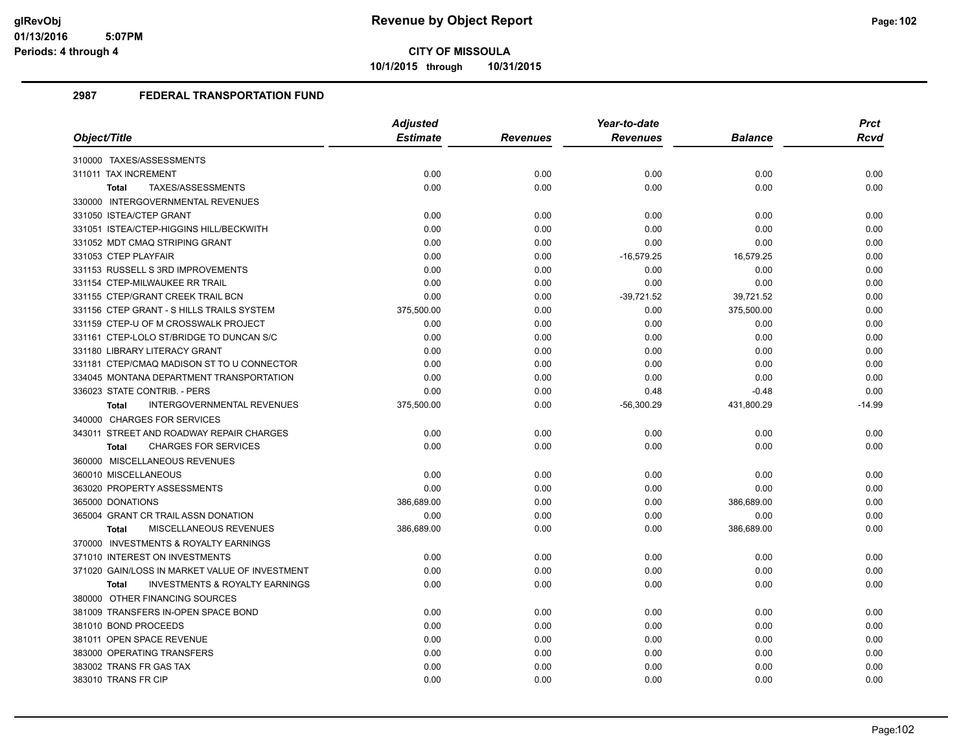**10/1/2015 through 10/31/2015**

|                                                           | <b>Adjusted</b> |                 | Year-to-date    |                | <b>Prct</b> |
|-----------------------------------------------------------|-----------------|-----------------|-----------------|----------------|-------------|
| Object/Title                                              | <b>Estimate</b> | <b>Revenues</b> | <b>Revenues</b> | <b>Balance</b> | <b>Rcvd</b> |
| 310000 TAXES/ASSESSMENTS                                  |                 |                 |                 |                |             |
| 311011 TAX INCREMENT                                      | 0.00            | 0.00            | 0.00            | 0.00           | 0.00        |
| TAXES/ASSESSMENTS<br><b>Total</b>                         | 0.00            | 0.00            | 0.00            | 0.00           | 0.00        |
| 330000 INTERGOVERNMENTAL REVENUES                         |                 |                 |                 |                |             |
| 331050 ISTEA/CTEP GRANT                                   | 0.00            | 0.00            | 0.00            | 0.00           | 0.00        |
| 331051 ISTEA/CTEP-HIGGINS HILL/BECKWITH                   | 0.00            | 0.00            | 0.00            | 0.00           | 0.00        |
| 331052 MDT CMAQ STRIPING GRANT                            | 0.00            | 0.00            | 0.00            | 0.00           | 0.00        |
| 331053 CTEP PLAYFAIR                                      | 0.00            | 0.00            | $-16,579.25$    | 16,579.25      | 0.00        |
| 331153 RUSSELL S 3RD IMPROVEMENTS                         | 0.00            | 0.00            | 0.00            | 0.00           | 0.00        |
| 331154 CTEP-MILWAUKEE RR TRAIL                            | 0.00            | 0.00            | 0.00            | 0.00           | 0.00        |
| 331155 CTEP/GRANT CREEK TRAIL BCN                         | 0.00            | 0.00            | $-39,721.52$    | 39,721.52      | 0.00        |
| 331156 CTEP GRANT - S HILLS TRAILS SYSTEM                 | 375,500.00      | 0.00            | 0.00            | 375,500.00     | 0.00        |
| 331159 CTEP-U OF M CROSSWALK PROJECT                      | 0.00            | 0.00            | 0.00            | 0.00           | 0.00        |
| 331161 CTEP-LOLO ST/BRIDGE TO DUNCAN S/C                  | 0.00            | 0.00            | 0.00            | 0.00           | 0.00        |
| 331180 LIBRARY LITERACY GRANT                             | 0.00            | 0.00            | 0.00            | 0.00           | 0.00        |
| 331181 CTEP/CMAQ MADISON ST TO U CONNECTOR                | 0.00            | 0.00            | 0.00            | 0.00           | 0.00        |
| 334045 MONTANA DEPARTMENT TRANSPORTATION                  | 0.00            | 0.00            | 0.00            | 0.00           | 0.00        |
| 336023 STATE CONTRIB. - PERS                              | 0.00            | 0.00            | 0.48            | $-0.48$        | 0.00        |
| INTERGOVERNMENTAL REVENUES<br>Total                       | 375,500.00      | 0.00            | $-56,300.29$    | 431,800.29     | $-14.99$    |
| 340000 CHARGES FOR SERVICES                               |                 |                 |                 |                |             |
| 343011 STREET AND ROADWAY REPAIR CHARGES                  | 0.00            | 0.00            | 0.00            | 0.00           | 0.00        |
| <b>CHARGES FOR SERVICES</b><br><b>Total</b>               | 0.00            | 0.00            | 0.00            | 0.00           | 0.00        |
| 360000 MISCELLANEOUS REVENUES                             |                 |                 |                 |                |             |
| 360010 MISCELLANEOUS                                      | 0.00            | 0.00            | 0.00            | 0.00           | 0.00        |
| 363020 PROPERTY ASSESSMENTS                               | 0.00            | 0.00            | 0.00            | 0.00           | 0.00        |
| 365000 DONATIONS                                          | 386,689.00      | 0.00            | 0.00            | 386,689.00     | 0.00        |
| 365004 GRANT CR TRAIL ASSN DONATION                       | 0.00            | 0.00            | 0.00            | 0.00           | 0.00        |
| MISCELLANEOUS REVENUES<br><b>Total</b>                    | 386,689.00      | 0.00            | 0.00            | 386,689.00     | 0.00        |
| 370000 INVESTMENTS & ROYALTY EARNINGS                     |                 |                 |                 |                |             |
| 371010 INTEREST ON INVESTMENTS                            | 0.00            | 0.00            | 0.00            | 0.00           | 0.00        |
| 371020 GAIN/LOSS IN MARKET VALUE OF INVESTMENT            | 0.00            | 0.00            | 0.00            | 0.00           | 0.00        |
| <b>INVESTMENTS &amp; ROYALTY EARNINGS</b><br><b>Total</b> | 0.00            | 0.00            | 0.00            | 0.00           | 0.00        |
| 380000 OTHER FINANCING SOURCES                            |                 |                 |                 |                |             |
| 381009 TRANSFERS IN-OPEN SPACE BOND                       | 0.00            | 0.00            | 0.00            | 0.00           | 0.00        |
| 381010 BOND PROCEEDS                                      | 0.00            | 0.00            | 0.00            | 0.00           | 0.00        |
| 381011 OPEN SPACE REVENUE                                 | 0.00            | 0.00            | 0.00            | 0.00           | 0.00        |
| 383000 OPERATING TRANSFERS                                | 0.00            | 0.00            | 0.00            | 0.00           | 0.00        |
| 383002 TRANS FR GAS TAX                                   | 0.00            | 0.00            | 0.00            | 0.00           | 0.00        |
| 383010 TRANS FR CIP                                       | 0.00            | 0.00            | 0.00            | 0.00           | 0.00        |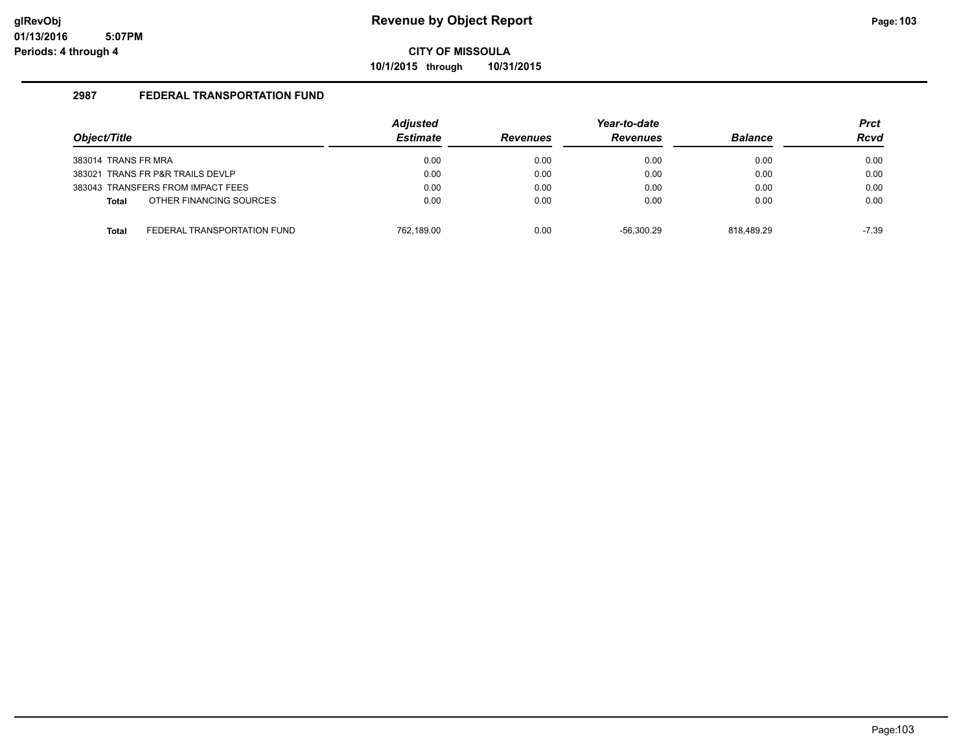**10/1/2015 through 10/31/2015**

| Object/Title                      |                             | <b>Adjusted</b><br><b>Estimate</b> | <b>Revenues</b> | Year-to-date<br><b>Revenues</b> | <b>Balance</b> | <b>Prct</b><br><b>Rcvd</b> |
|-----------------------------------|-----------------------------|------------------------------------|-----------------|---------------------------------|----------------|----------------------------|
| 383014 TRANS FR MRA               |                             | 0.00                               | 0.00            | 0.00                            | 0.00           | 0.00                       |
| 383021 TRANS FR P&R TRAILS DEVLP  |                             | 0.00                               | 0.00            | 0.00                            | 0.00           | 0.00                       |
| 383043 TRANSFERS FROM IMPACT FEES |                             | 0.00                               | 0.00            | 0.00                            | 0.00           | 0.00                       |
| Total                             | OTHER FINANCING SOURCES     | 0.00                               | 0.00            | 0.00                            | 0.00           | 0.00                       |
| <b>Total</b>                      | FEDERAL TRANSPORTATION FUND | 762.189.00                         | 0.00            | $-56.300.29$                    | 818.489.29     | -7.39                      |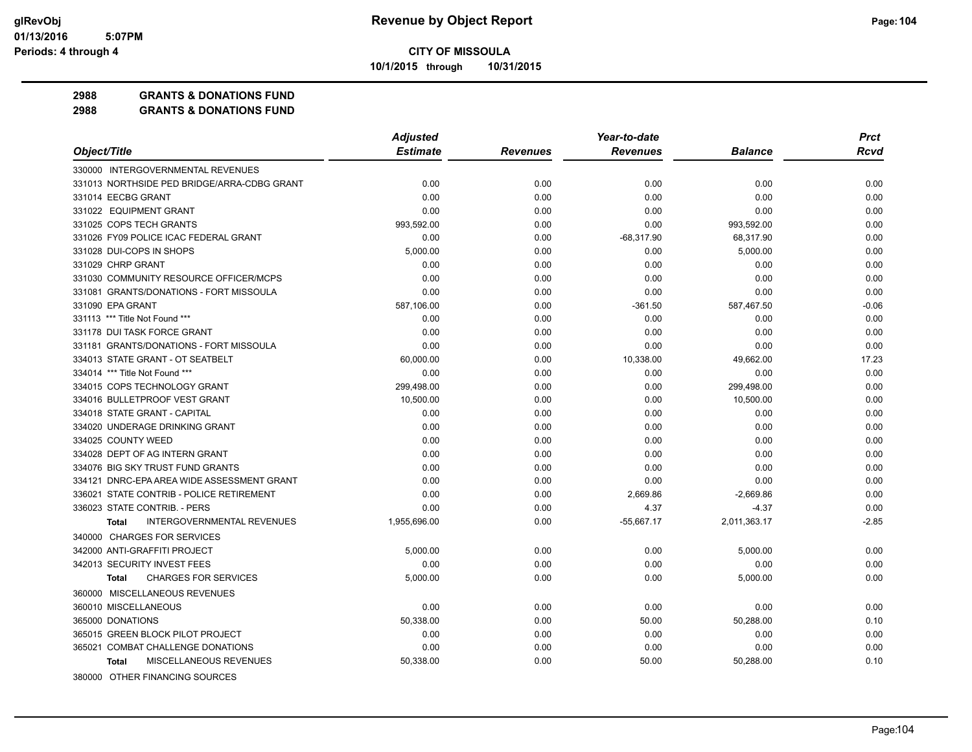**10/1/2015 through 10/31/2015**

#### **2988 GRANTS & DONATIONS FUND**

|                                                   | <b>Adjusted</b> |                 | Year-to-date    |                | <b>Prct</b> |
|---------------------------------------------------|-----------------|-----------------|-----------------|----------------|-------------|
| Object/Title                                      | <b>Estimate</b> | <b>Revenues</b> | <b>Revenues</b> | <b>Balance</b> | <b>Rcvd</b> |
| 330000 INTERGOVERNMENTAL REVENUES                 |                 |                 |                 |                |             |
| 331013 NORTHSIDE PED BRIDGE/ARRA-CDBG GRANT       | 0.00            | 0.00            | 0.00            | 0.00           | 0.00        |
| 331014 EECBG GRANT                                | 0.00            | 0.00            | 0.00            | 0.00           | 0.00        |
| 331022 EQUIPMENT GRANT                            | 0.00            | 0.00            | 0.00            | 0.00           | 0.00        |
| 331025 COPS TECH GRANTS                           | 993,592.00      | 0.00            | 0.00            | 993,592.00     | 0.00        |
| 331026 FY09 POLICE ICAC FEDERAL GRANT             | 0.00            | 0.00            | $-68,317.90$    | 68,317.90      | 0.00        |
| 331028 DUI-COPS IN SHOPS                          | 5,000.00        | 0.00            | 0.00            | 5,000.00       | 0.00        |
| 331029 CHRP GRANT                                 | 0.00            | 0.00            | 0.00            | 0.00           | 0.00        |
| 331030 COMMUNITY RESOURCE OFFICER/MCPS            | 0.00            | 0.00            | 0.00            | 0.00           | 0.00        |
| 331081 GRANTS/DONATIONS - FORT MISSOULA           | 0.00            | 0.00            | 0.00            | 0.00           | 0.00        |
| 331090 EPA GRANT                                  | 587,106.00      | 0.00            | $-361.50$       | 587,467.50     | $-0.06$     |
| 331113 *** Title Not Found ***                    | 0.00            | 0.00            | 0.00            | 0.00           | 0.00        |
| 331178 DUI TASK FORCE GRANT                       | 0.00            | 0.00            | 0.00            | 0.00           | 0.00        |
| 331181 GRANTS/DONATIONS - FORT MISSOULA           | 0.00            | 0.00            | 0.00            | 0.00           | 0.00        |
| 334013 STATE GRANT - OT SEATBELT                  | 60,000.00       | 0.00            | 10,338.00       | 49,662.00      | 17.23       |
| 334014 *** Title Not Found ***                    | 0.00            | 0.00            | 0.00            | 0.00           | 0.00        |
| 334015 COPS TECHNOLOGY GRANT                      | 299,498.00      | 0.00            | 0.00            | 299,498.00     | 0.00        |
| 334016 BULLETPROOF VEST GRANT                     | 10,500.00       | 0.00            | 0.00            | 10,500.00      | 0.00        |
| 334018 STATE GRANT - CAPITAL                      | 0.00            | 0.00            | 0.00            | 0.00           | 0.00        |
| 334020 UNDERAGE DRINKING GRANT                    | 0.00            | 0.00            | 0.00            | 0.00           | 0.00        |
| 334025 COUNTY WEED                                | 0.00            | 0.00            | 0.00            | 0.00           | 0.00        |
| 334028 DEPT OF AG INTERN GRANT                    | 0.00            | 0.00            | 0.00            | 0.00           | 0.00        |
| 334076 BIG SKY TRUST FUND GRANTS                  | 0.00            | 0.00            | 0.00            | 0.00           | 0.00        |
| 334121 DNRC-EPA AREA WIDE ASSESSMENT GRANT        | 0.00            | 0.00            | 0.00            | 0.00           | 0.00        |
| 336021 STATE CONTRIB - POLICE RETIREMENT          | 0.00            | 0.00            | 2,669.86        | $-2,669.86$    | 0.00        |
| 336023 STATE CONTRIB. - PERS                      | 0.00            | 0.00            | 4.37            | $-4.37$        | 0.00        |
| <b>INTERGOVERNMENTAL REVENUES</b><br><b>Total</b> | 1,955,696.00    | 0.00            | $-55,667.17$    | 2,011,363.17   | $-2.85$     |
| 340000 CHARGES FOR SERVICES                       |                 |                 |                 |                |             |
| 342000 ANTI-GRAFFITI PROJECT                      | 5,000.00        | 0.00            | 0.00            | 5,000.00       | 0.00        |
| 342013 SECURITY INVEST FEES                       | 0.00            | 0.00            | 0.00            | 0.00           | 0.00        |
| <b>CHARGES FOR SERVICES</b><br><b>Total</b>       | 5.000.00        | 0.00            | 0.00            | 5,000.00       | 0.00        |
| 360000 MISCELLANEOUS REVENUES                     |                 |                 |                 |                |             |
| 360010 MISCELLANEOUS                              | 0.00            | 0.00            | 0.00            | 0.00           | 0.00        |
| 365000 DONATIONS                                  | 50,338.00       | 0.00            | 50.00           | 50,288.00      | 0.10        |
| 365015 GREEN BLOCK PILOT PROJECT                  | 0.00            | 0.00            | 0.00            | 0.00           | 0.00        |
| 365021 COMBAT CHALLENGE DONATIONS                 | 0.00            | 0.00            | 0.00            | 0.00           | 0.00        |
| MISCELLANEOUS REVENUES<br><b>Total</b>            | 50,338.00       | 0.00            | 50.00           | 50,288.00      | 0.10        |
| 380000 OTHER FINANCING SOURCES                    |                 |                 |                 |                |             |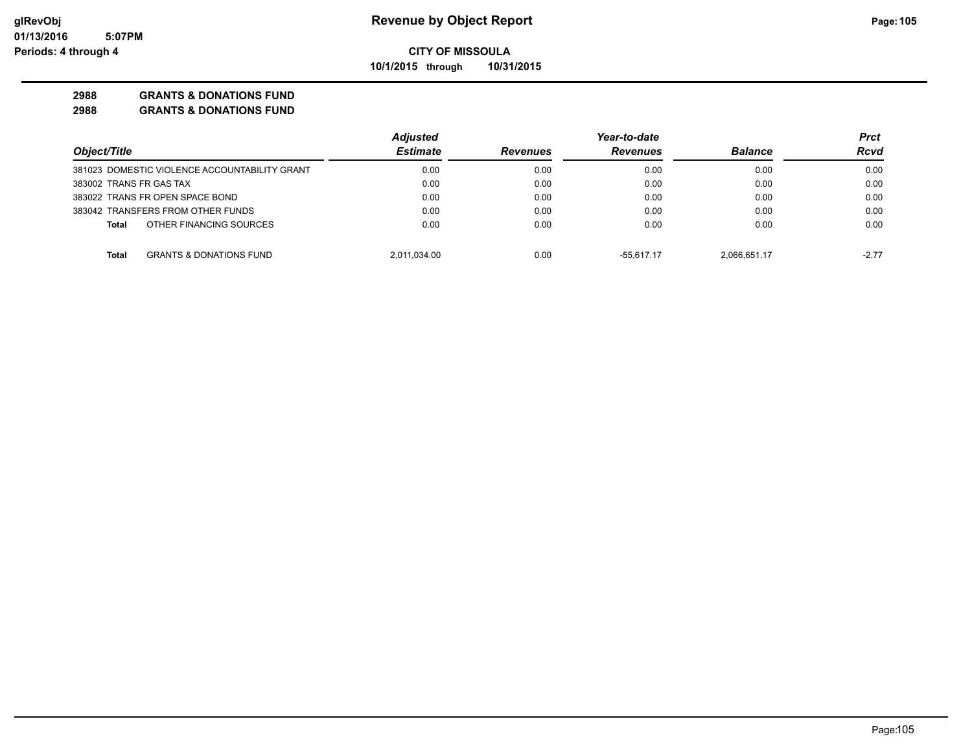**10/1/2015 through 10/31/2015**

#### **2988 GRANTS & DONATIONS FUND**

|                                               | <b>Adjusted</b> |                 | Year-to-date    |                | Prct    |
|-----------------------------------------------|-----------------|-----------------|-----------------|----------------|---------|
| Object/Title                                  | <b>Estimate</b> | <b>Revenues</b> | <b>Revenues</b> | <b>Balance</b> | Rcvd    |
| 381023 DOMESTIC VIOLENCE ACCOUNTABILITY GRANT | 0.00            | 0.00            | 0.00            | 0.00           | 0.00    |
| 383002 TRANS FR GAS TAX                       | 0.00            | 0.00            | 0.00            | 0.00           | 0.00    |
| 383022 TRANS FR OPEN SPACE BOND               | 0.00            | 0.00            | 0.00            | 0.00           | 0.00    |
| 383042 TRANSFERS FROM OTHER FUNDS             | 0.00            | 0.00            | 0.00            | 0.00           | 0.00    |
| OTHER FINANCING SOURCES<br>Total              | 0.00            | 0.00            | 0.00            | 0.00           | 0.00    |
| <b>GRANTS &amp; DONATIONS FUND</b><br>Total   | 2.011.034.00    | 0.00            | $-55.617.17$    | 2.066.651.17   | $-2.77$ |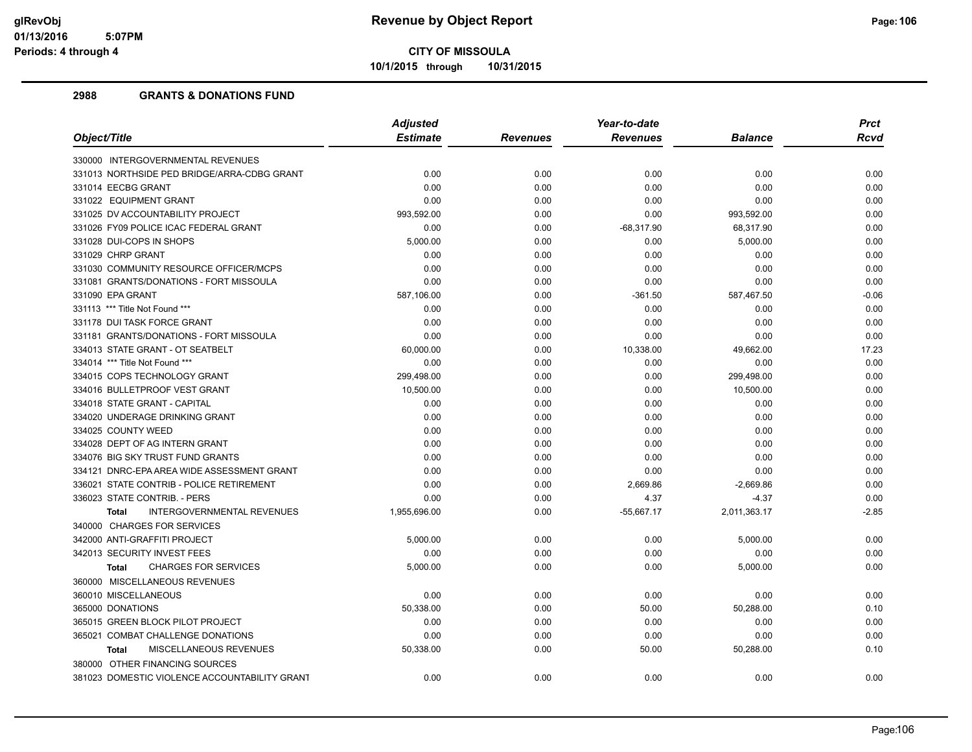**10/1/2015 through 10/31/2015**

|                                                   | <b>Adjusted</b> | Year-to-date |                 |                | <b>Prct</b> |
|---------------------------------------------------|-----------------|--------------|-----------------|----------------|-------------|
| Object/Title                                      | <b>Estimate</b> | Revenues     | <b>Revenues</b> | <b>Balance</b> | <b>Rcvd</b> |
| 330000 INTERGOVERNMENTAL REVENUES                 |                 |              |                 |                |             |
| 331013 NORTHSIDE PED BRIDGE/ARRA-CDBG GRANT       | 0.00            | 0.00         | 0.00            | 0.00           | 0.00        |
| 331014 EECBG GRANT                                | 0.00            | 0.00         | 0.00            | 0.00           | 0.00        |
| 331022 EQUIPMENT GRANT                            | 0.00            | 0.00         | 0.00            | 0.00           | 0.00        |
| 331025 DV ACCOUNTABILITY PROJECT                  | 993,592.00      | 0.00         | 0.00            | 993,592.00     | 0.00        |
| 331026 FY09 POLICE ICAC FEDERAL GRANT             | 0.00            | 0.00         | $-68,317.90$    | 68,317.90      | 0.00        |
| 331028 DUI-COPS IN SHOPS                          | 5,000.00        | 0.00         | 0.00            | 5,000.00       | 0.00        |
| 331029 CHRP GRANT                                 | 0.00            | 0.00         | 0.00            | 0.00           | 0.00        |
| 331030 COMMUNITY RESOURCE OFFICER/MCPS            | 0.00            | 0.00         | 0.00            | 0.00           | 0.00        |
| 331081 GRANTS/DONATIONS - FORT MISSOULA           | 0.00            | 0.00         | 0.00            | 0.00           | 0.00        |
| 331090 EPA GRANT                                  | 587,106.00      | 0.00         | $-361.50$       | 587,467.50     | $-0.06$     |
| 331113 *** Title Not Found ***                    | 0.00            | 0.00         | 0.00            | 0.00           | 0.00        |
| 331178 DUI TASK FORCE GRANT                       | 0.00            | 0.00         | 0.00            | 0.00           | 0.00        |
| 331181 GRANTS/DONATIONS - FORT MISSOULA           | 0.00            | 0.00         | 0.00            | 0.00           | 0.00        |
| 334013 STATE GRANT - OT SEATBELT                  | 60,000.00       | 0.00         | 10,338.00       | 49,662.00      | 17.23       |
| 334014 *** Title Not Found ***                    | 0.00            | 0.00         | 0.00            | 0.00           | 0.00        |
| 334015 COPS TECHNOLOGY GRANT                      | 299,498.00      | 0.00         | 0.00            | 299,498.00     | 0.00        |
| 334016 BULLETPROOF VEST GRANT                     | 10,500.00       | 0.00         | 0.00            | 10,500.00      | 0.00        |
| 334018 STATE GRANT - CAPITAL                      | 0.00            | 0.00         | 0.00            | 0.00           | 0.00        |
| 334020 UNDERAGE DRINKING GRANT                    | 0.00            | 0.00         | 0.00            | 0.00           | 0.00        |
| 334025 COUNTY WEED                                | 0.00            | 0.00         | 0.00            | 0.00           | 0.00        |
| 334028 DEPT OF AG INTERN GRANT                    | 0.00            | 0.00         | 0.00            | 0.00           | 0.00        |
| 334076 BIG SKY TRUST FUND GRANTS                  | 0.00            | 0.00         | 0.00            | 0.00           | 0.00        |
| 334121 DNRC-EPA AREA WIDE ASSESSMENT GRANT        | 0.00            | 0.00         | 0.00            | 0.00           | 0.00        |
| 336021 STATE CONTRIB - POLICE RETIREMENT          | 0.00            | 0.00         | 2,669.86        | $-2,669.86$    | 0.00        |
| 336023 STATE CONTRIB. - PERS                      | 0.00            | 0.00         | 4.37            | $-4.37$        | 0.00        |
| <b>INTERGOVERNMENTAL REVENUES</b><br><b>Total</b> | 1,955,696.00    | 0.00         | $-55,667.17$    | 2,011,363.17   | $-2.85$     |
| 340000 CHARGES FOR SERVICES                       |                 |              |                 |                |             |
| 342000 ANTI-GRAFFITI PROJECT                      | 5,000.00        | 0.00         | 0.00            | 5,000.00       | 0.00        |
| 342013 SECURITY INVEST FEES                       | 0.00            | 0.00         | 0.00            | 0.00           | 0.00        |
| <b>CHARGES FOR SERVICES</b><br><b>Total</b>       | 5,000.00        | 0.00         | 0.00            | 5,000.00       | 0.00        |
| 360000 MISCELLANEOUS REVENUES                     |                 |              |                 |                |             |
| 360010 MISCELLANEOUS                              | 0.00            | 0.00         | 0.00            | 0.00           | 0.00        |
| 365000 DONATIONS                                  | 50,338.00       | 0.00         | 50.00           | 50,288.00      | 0.10        |
| 365015 GREEN BLOCK PILOT PROJECT                  | 0.00            | 0.00         | 0.00            | 0.00           | 0.00        |
| 365021 COMBAT CHALLENGE DONATIONS                 | 0.00            | 0.00         | 0.00            | 0.00           | 0.00        |
| MISCELLANEOUS REVENUES<br><b>Total</b>            | 50,338.00       | 0.00         | 50.00           | 50,288.00      | 0.10        |
| 380000 OTHER FINANCING SOURCES                    |                 |              |                 |                |             |
| 381023 DOMESTIC VIOLENCE ACCOUNTABILITY GRANT     | 0.00            | 0.00         | 0.00            | 0.00           | 0.00        |
|                                                   |                 |              |                 |                |             |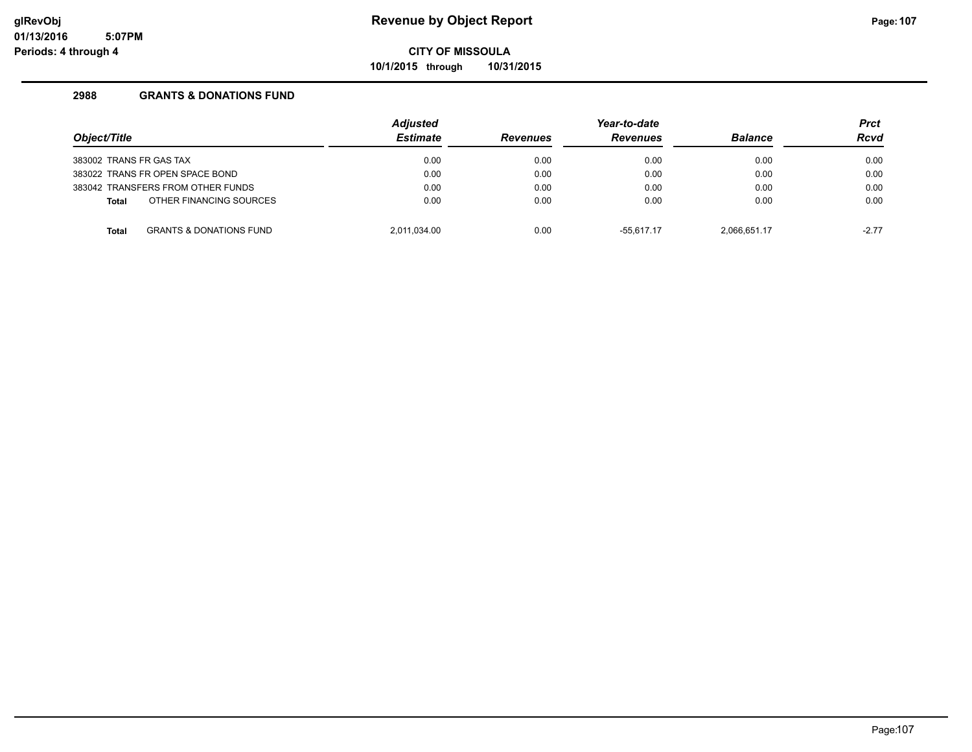**10/1/2015 through 10/31/2015**

| Object/Title            |                                    | <b>Adjusted</b><br><b>Estimate</b> | <b>Revenues</b> | Year-to-date<br><b>Revenues</b> | <b>Balance</b> | <b>Prct</b><br><b>Rcvd</b> |
|-------------------------|------------------------------------|------------------------------------|-----------------|---------------------------------|----------------|----------------------------|
| 383002 TRANS FR GAS TAX |                                    | 0.00                               | 0.00            | 0.00                            | 0.00           | 0.00                       |
|                         | 383022 TRANS FR OPEN SPACE BOND    | 0.00                               | 0.00            | 0.00                            | 0.00           | 0.00                       |
|                         | 383042 TRANSFERS FROM OTHER FUNDS  | 0.00                               | 0.00            | 0.00                            | 0.00           | 0.00                       |
| <b>Total</b>            | OTHER FINANCING SOURCES            | 0.00                               | 0.00            | 0.00                            | 0.00           | 0.00                       |
| <b>Total</b>            | <b>GRANTS &amp; DONATIONS FUND</b> | 2.011.034.00                       | 0.00            | $-55.617.17$                    | 2.066.651.17   | $-2.77$                    |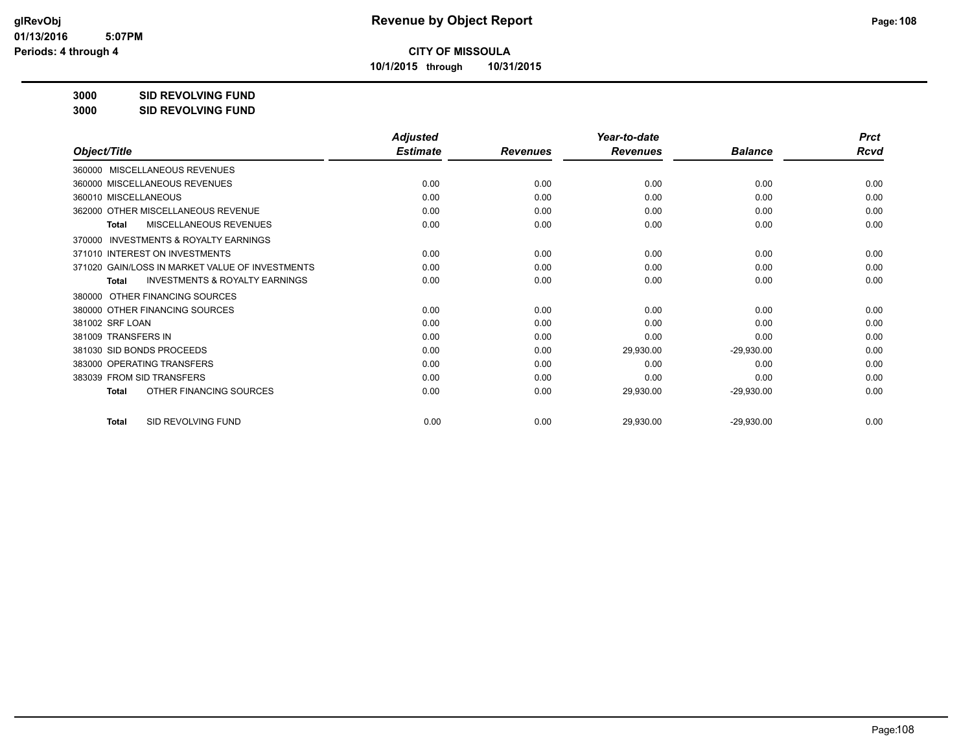**10/1/2015 through 10/31/2015**

**3000 SID REVOLVING FUND**

| 3000 | <b>SID REVOLVING FUND</b> |
|------|---------------------------|
|------|---------------------------|

|                                                           | <b>Adjusted</b> |                 | Year-to-date    |                | <b>Prct</b> |
|-----------------------------------------------------------|-----------------|-----------------|-----------------|----------------|-------------|
| Object/Title                                              | <b>Estimate</b> | <b>Revenues</b> | <b>Revenues</b> | <b>Balance</b> | Rcvd        |
| 360000 MISCELLANEOUS REVENUES                             |                 |                 |                 |                |             |
| 360000 MISCELLANEOUS REVENUES                             | 0.00            | 0.00            | 0.00            | 0.00           | 0.00        |
| 360010 MISCELLANEOUS                                      | 0.00            | 0.00            | 0.00            | 0.00           | 0.00        |
| 362000 OTHER MISCELLANEOUS REVENUE                        | 0.00            | 0.00            | 0.00            | 0.00           | 0.00        |
| MISCELLANEOUS REVENUES<br>Total                           | 0.00            | 0.00            | 0.00            | 0.00           | 0.00        |
| INVESTMENTS & ROYALTY EARNINGS<br>370000                  |                 |                 |                 |                |             |
| 371010 INTEREST ON INVESTMENTS                            | 0.00            | 0.00            | 0.00            | 0.00           | 0.00        |
| 371020 GAIN/LOSS IN MARKET VALUE OF INVESTMENTS           | 0.00            | 0.00            | 0.00            | 0.00           | 0.00        |
| <b>INVESTMENTS &amp; ROYALTY EARNINGS</b><br><b>Total</b> | 0.00            | 0.00            | 0.00            | 0.00           | 0.00        |
| OTHER FINANCING SOURCES<br>380000                         |                 |                 |                 |                |             |
| 380000 OTHER FINANCING SOURCES                            | 0.00            | 0.00            | 0.00            | 0.00           | 0.00        |
| 381002 SRF LOAN                                           | 0.00            | 0.00            | 0.00            | 0.00           | 0.00        |
| 381009 TRANSFERS IN                                       | 0.00            | 0.00            | 0.00            | 0.00           | 0.00        |
| 381030 SID BONDS PROCEEDS                                 | 0.00            | 0.00            | 29,930.00       | $-29,930.00$   | 0.00        |
| 383000 OPERATING TRANSFERS                                | 0.00            | 0.00            | 0.00            | 0.00           | 0.00        |
| 383039 FROM SID TRANSFERS                                 | 0.00            | 0.00            | 0.00            | 0.00           | 0.00        |
| OTHER FINANCING SOURCES<br><b>Total</b>                   | 0.00            | 0.00            | 29,930.00       | $-29,930.00$   | 0.00        |
| SID REVOLVING FUND<br><b>Total</b>                        | 0.00            | 0.00            | 29,930.00       | $-29,930.00$   | 0.00        |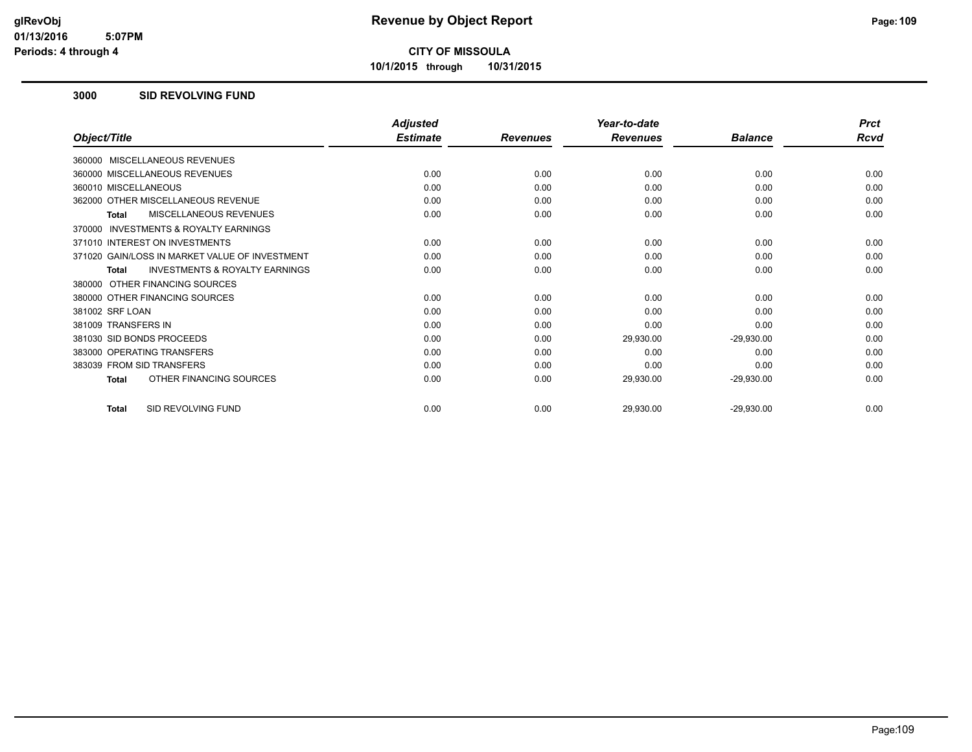**10/1/2015 through 10/31/2015**

#### **3000 SID REVOLVING FUND**

|                                                    | <b>Adjusted</b> |                 | Year-to-date    |                | <b>Prct</b> |
|----------------------------------------------------|-----------------|-----------------|-----------------|----------------|-------------|
| Object/Title                                       | <b>Estimate</b> | <b>Revenues</b> | <b>Revenues</b> | <b>Balance</b> | Rcvd        |
| 360000 MISCELLANEOUS REVENUES                      |                 |                 |                 |                |             |
| 360000 MISCELLANEOUS REVENUES                      | 0.00            | 0.00            | 0.00            | 0.00           | 0.00        |
| 360010 MISCELLANEOUS                               | 0.00            | 0.00            | 0.00            | 0.00           | 0.00        |
| 362000 OTHER MISCELLANEOUS REVENUE                 | 0.00            | 0.00            | 0.00            | 0.00           | 0.00        |
| <b>MISCELLANEOUS REVENUES</b><br>Total             | 0.00            | 0.00            | 0.00            | 0.00           | 0.00        |
| INVESTMENTS & ROYALTY EARNINGS<br>370000           |                 |                 |                 |                |             |
| 371010 INTEREST ON INVESTMENTS                     | 0.00            | 0.00            | 0.00            | 0.00           | 0.00        |
| 371020 GAIN/LOSS IN MARKET VALUE OF INVESTMENT     | 0.00            | 0.00            | 0.00            | 0.00           | 0.00        |
| <b>INVESTMENTS &amp; ROYALTY EARNINGS</b><br>Total | 0.00            | 0.00            | 0.00            | 0.00           | 0.00        |
| 380000 OTHER FINANCING SOURCES                     |                 |                 |                 |                |             |
| 380000 OTHER FINANCING SOURCES                     | 0.00            | 0.00            | 0.00            | 0.00           | 0.00        |
| 381002 SRF LOAN                                    | 0.00            | 0.00            | 0.00            | 0.00           | 0.00        |
| 381009 TRANSFERS IN                                | 0.00            | 0.00            | 0.00            | 0.00           | 0.00        |
| 381030 SID BONDS PROCEEDS                          | 0.00            | 0.00            | 29,930.00       | $-29,930.00$   | 0.00        |
| 383000 OPERATING TRANSFERS                         | 0.00            | 0.00            | 0.00            | 0.00           | 0.00        |
| 383039 FROM SID TRANSFERS                          | 0.00            | 0.00            | 0.00            | 0.00           | 0.00        |
| OTHER FINANCING SOURCES<br><b>Total</b>            | 0.00            | 0.00            | 29,930.00       | $-29,930.00$   | 0.00        |
| SID REVOLVING FUND<br><b>Total</b>                 | 0.00            | 0.00            | 29,930.00       | $-29,930.00$   | 0.00        |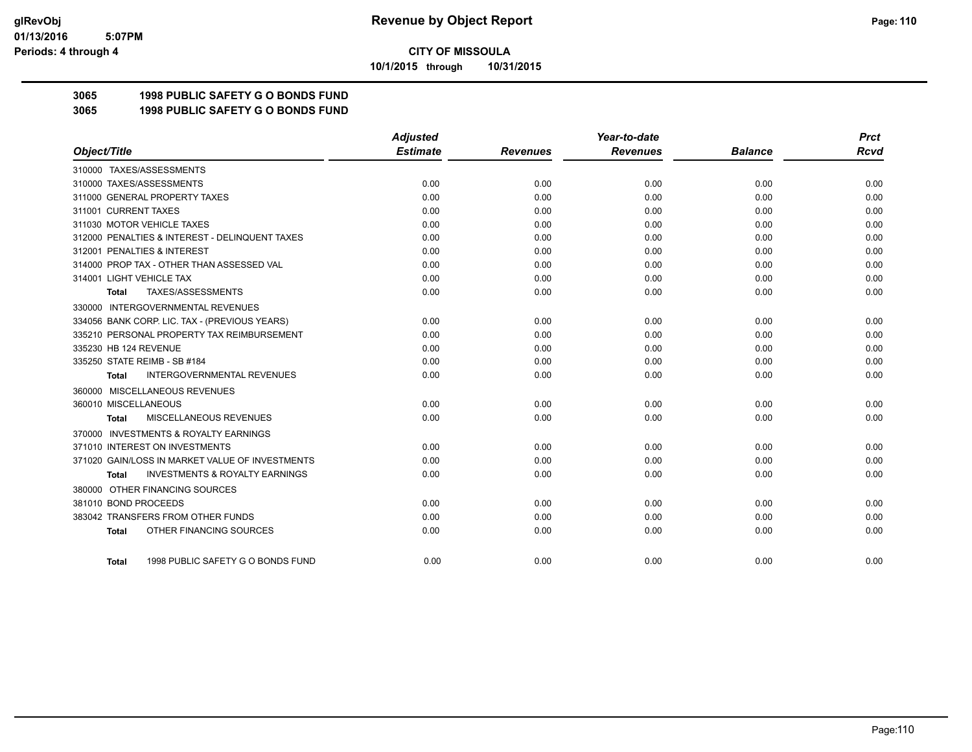**10/1/2015 through 10/31/2015**

## **3065 1998 PUBLIC SAFETY G O BONDS FUND**

**3065 1998 PUBLIC SAFETY G O BONDS FUND**

|                                                     | <b>Adjusted</b> |                 | Year-to-date    |                | <b>Prct</b> |
|-----------------------------------------------------|-----------------|-----------------|-----------------|----------------|-------------|
| Object/Title                                        | <b>Estimate</b> | <b>Revenues</b> | <b>Revenues</b> | <b>Balance</b> | <b>Rcvd</b> |
| 310000 TAXES/ASSESSMENTS                            |                 |                 |                 |                |             |
| 310000 TAXES/ASSESSMENTS                            | 0.00            | 0.00            | 0.00            | 0.00           | 0.00        |
| 311000 GENERAL PROPERTY TAXES                       | 0.00            | 0.00            | 0.00            | 0.00           | 0.00        |
| 311001 CURRENT TAXES                                | 0.00            | 0.00            | 0.00            | 0.00           | 0.00        |
| 311030 MOTOR VEHICLE TAXES                          | 0.00            | 0.00            | 0.00            | 0.00           | 0.00        |
| 312000 PENALTIES & INTEREST - DELINQUENT TAXES      | 0.00            | 0.00            | 0.00            | 0.00           | 0.00        |
| 312001 PENALTIES & INTEREST                         | 0.00            | 0.00            | 0.00            | 0.00           | 0.00        |
| 314000 PROP TAX - OTHER THAN ASSESSED VAL           | 0.00            | 0.00            | 0.00            | 0.00           | 0.00        |
| 314001 LIGHT VEHICLE TAX                            | 0.00            | 0.00            | 0.00            | 0.00           | 0.00        |
| TAXES/ASSESSMENTS<br>Total                          | 0.00            | 0.00            | 0.00            | 0.00           | 0.00        |
| 330000 INTERGOVERNMENTAL REVENUES                   |                 |                 |                 |                |             |
| 334056 BANK CORP. LIC. TAX - (PREVIOUS YEARS)       | 0.00            | 0.00            | 0.00            | 0.00           | 0.00        |
| 335210 PERSONAL PROPERTY TAX REIMBURSEMENT          | 0.00            | 0.00            | 0.00            | 0.00           | 0.00        |
| 335230 HB 124 REVENUE                               | 0.00            | 0.00            | 0.00            | 0.00           | 0.00        |
| 335250 STATE REIMB - SB #184                        | 0.00            | 0.00            | 0.00            | 0.00           | 0.00        |
| <b>INTERGOVERNMENTAL REVENUES</b><br><b>Total</b>   | 0.00            | 0.00            | 0.00            | 0.00           | 0.00        |
| 360000 MISCELLANEOUS REVENUES                       |                 |                 |                 |                |             |
| 360010 MISCELLANEOUS                                | 0.00            | 0.00            | 0.00            | 0.00           | 0.00        |
| <b>MISCELLANEOUS REVENUES</b><br>Total              | 0.00            | 0.00            | 0.00            | 0.00           | 0.00        |
| <b>INVESTMENTS &amp; ROYALTY EARNINGS</b><br>370000 |                 |                 |                 |                |             |
| 371010 INTEREST ON INVESTMENTS                      | 0.00            | 0.00            | 0.00            | 0.00           | 0.00        |
| 371020 GAIN/LOSS IN MARKET VALUE OF INVESTMENTS     | 0.00            | 0.00            | 0.00            | 0.00           | 0.00        |
| <b>INVESTMENTS &amp; ROYALTY EARNINGS</b><br>Total  | 0.00            | 0.00            | 0.00            | 0.00           | 0.00        |
| 380000 OTHER FINANCING SOURCES                      |                 |                 |                 |                |             |
| 381010 BOND PROCEEDS                                | 0.00            | 0.00            | 0.00            | 0.00           | 0.00        |
| 383042 TRANSFERS FROM OTHER FUNDS                   | 0.00            | 0.00            | 0.00            | 0.00           | 0.00        |
| OTHER FINANCING SOURCES<br><b>Total</b>             | 0.00            | 0.00            | 0.00            | 0.00           | 0.00        |
|                                                     |                 |                 |                 |                |             |
| 1998 PUBLIC SAFETY G O BONDS FUND<br>Total          | 0.00            | 0.00            | 0.00            | 0.00           | 0.00        |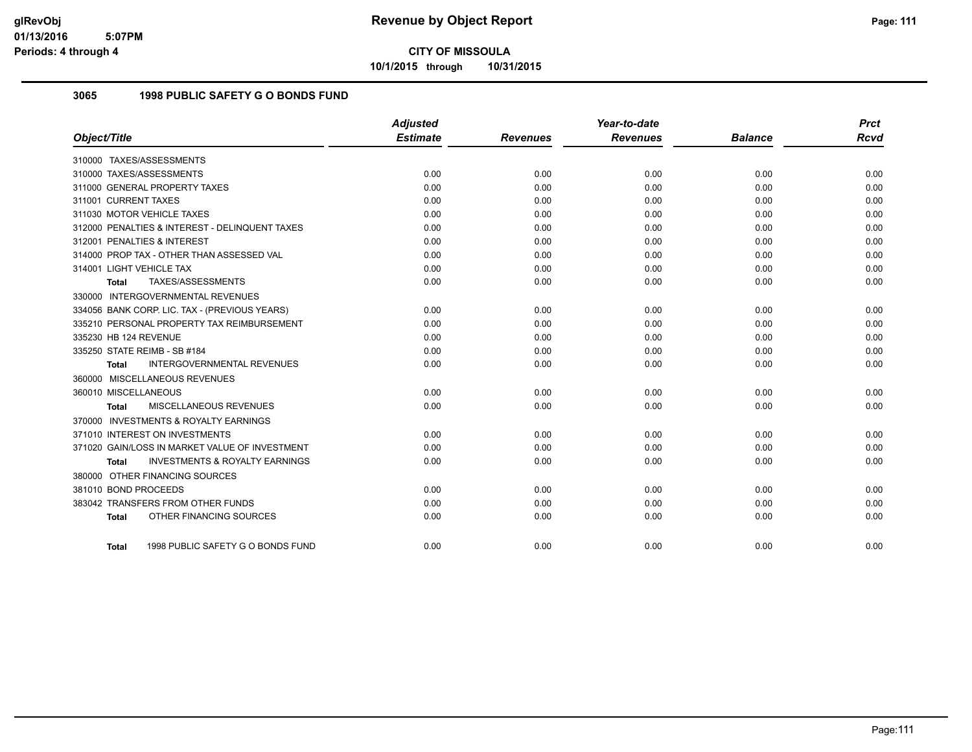**10/1/2015 through 10/31/2015**

## **3065 1998 PUBLIC SAFETY G O BONDS FUND**

|                                                    | <b>Adjusted</b> |                 | Year-to-date    |                | <b>Prct</b> |
|----------------------------------------------------|-----------------|-----------------|-----------------|----------------|-------------|
| Object/Title                                       | <b>Estimate</b> | <b>Revenues</b> | <b>Revenues</b> | <b>Balance</b> | <b>Rcvd</b> |
| 310000 TAXES/ASSESSMENTS                           |                 |                 |                 |                |             |
| 310000 TAXES/ASSESSMENTS                           | 0.00            | 0.00            | 0.00            | 0.00           | 0.00        |
| 311000 GENERAL PROPERTY TAXES                      | 0.00            | 0.00            | 0.00            | 0.00           | 0.00        |
| 311001 CURRENT TAXES                               | 0.00            | 0.00            | 0.00            | 0.00           | 0.00        |
| 311030 MOTOR VEHICLE TAXES                         | 0.00            | 0.00            | 0.00            | 0.00           | 0.00        |
| 312000 PENALTIES & INTEREST - DELINQUENT TAXES     | 0.00            | 0.00            | 0.00            | 0.00           | 0.00        |
| 312001 PENALTIES & INTEREST                        | 0.00            | 0.00            | 0.00            | 0.00           | 0.00        |
| 314000 PROP TAX - OTHER THAN ASSESSED VAL          | 0.00            | 0.00            | 0.00            | 0.00           | 0.00        |
| 314001 LIGHT VEHICLE TAX                           | 0.00            | 0.00            | 0.00            | 0.00           | 0.00        |
| TAXES/ASSESSMENTS<br><b>Total</b>                  | 0.00            | 0.00            | 0.00            | 0.00           | 0.00        |
| 330000 INTERGOVERNMENTAL REVENUES                  |                 |                 |                 |                |             |
| 334056 BANK CORP. LIC. TAX - (PREVIOUS YEARS)      | 0.00            | 0.00            | 0.00            | 0.00           | 0.00        |
| 335210 PERSONAL PROPERTY TAX REIMBURSEMENT         | 0.00            | 0.00            | 0.00            | 0.00           | 0.00        |
| 335230 HB 124 REVENUE                              | 0.00            | 0.00            | 0.00            | 0.00           | 0.00        |
| 335250 STATE REIMB - SB #184                       | 0.00            | 0.00            | 0.00            | 0.00           | 0.00        |
| <b>INTERGOVERNMENTAL REVENUES</b><br>Total         | 0.00            | 0.00            | 0.00            | 0.00           | 0.00        |
| 360000 MISCELLANEOUS REVENUES                      |                 |                 |                 |                |             |
| 360010 MISCELLANEOUS                               | 0.00            | 0.00            | 0.00            | 0.00           | 0.00        |
| MISCELLANEOUS REVENUES<br><b>Total</b>             | 0.00            | 0.00            | 0.00            | 0.00           | 0.00        |
| 370000 INVESTMENTS & ROYALTY EARNINGS              |                 |                 |                 |                |             |
| 371010 INTEREST ON INVESTMENTS                     | 0.00            | 0.00            | 0.00            | 0.00           | 0.00        |
| 371020 GAIN/LOSS IN MARKET VALUE OF INVESTMENT     | 0.00            | 0.00            | 0.00            | 0.00           | 0.00        |
| <b>INVESTMENTS &amp; ROYALTY EARNINGS</b><br>Total | 0.00            | 0.00            | 0.00            | 0.00           | 0.00        |
| 380000 OTHER FINANCING SOURCES                     |                 |                 |                 |                |             |
| 381010 BOND PROCEEDS                               | 0.00            | 0.00            | 0.00            | 0.00           | 0.00        |
| 383042 TRANSFERS FROM OTHER FUNDS                  | 0.00            | 0.00            | 0.00            | 0.00           | 0.00        |
| OTHER FINANCING SOURCES<br><b>Total</b>            | 0.00            | 0.00            | 0.00            | 0.00           | 0.00        |
| 1998 PUBLIC SAFETY G O BONDS FUND<br>Total         | 0.00            | 0.00            | 0.00            | 0.00           | 0.00        |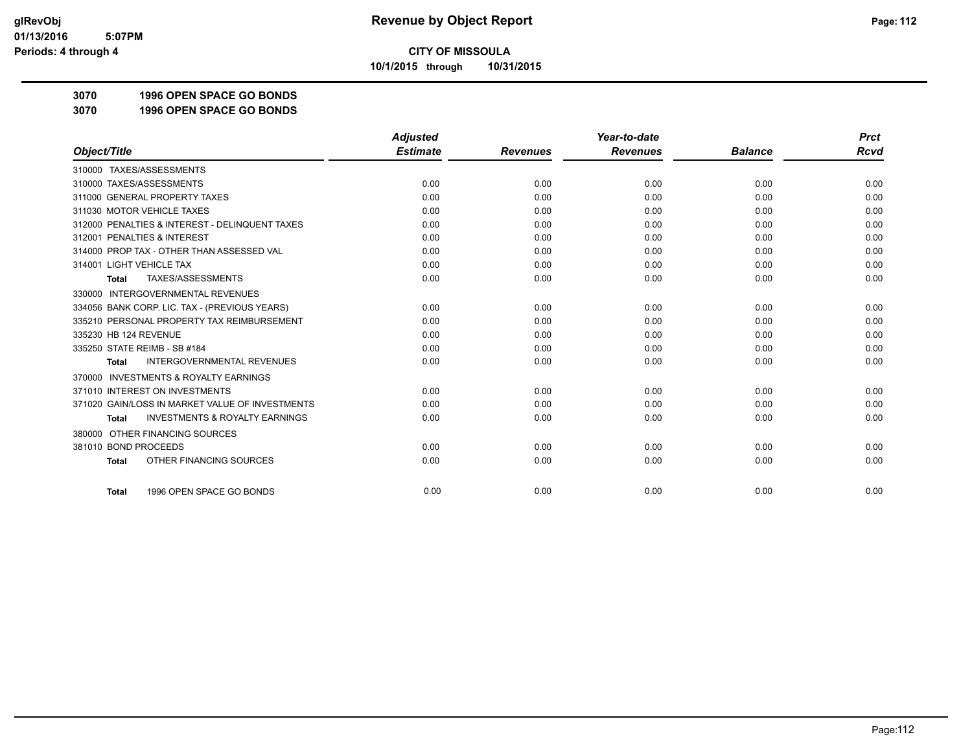**10/1/2015 through 10/31/2015**

**3070 1996 OPEN SPACE GO BONDS**

**3070 1996 OPEN SPACE GO BONDS**

|                                                           | <b>Adjusted</b> |                 | Year-to-date    |                | <b>Prct</b> |
|-----------------------------------------------------------|-----------------|-----------------|-----------------|----------------|-------------|
| Object/Title                                              | <b>Estimate</b> | <b>Revenues</b> | <b>Revenues</b> | <b>Balance</b> | <b>Rcvd</b> |
| 310000 TAXES/ASSESSMENTS                                  |                 |                 |                 |                |             |
| 310000 TAXES/ASSESSMENTS                                  | 0.00            | 0.00            | 0.00            | 0.00           | 0.00        |
| 311000 GENERAL PROPERTY TAXES                             | 0.00            | 0.00            | 0.00            | 0.00           | 0.00        |
| 311030 MOTOR VEHICLE TAXES                                | 0.00            | 0.00            | 0.00            | 0.00           | 0.00        |
| 312000 PENALTIES & INTEREST - DELINQUENT TAXES            | 0.00            | 0.00            | 0.00            | 0.00           | 0.00        |
| 312001 PENALTIES & INTEREST                               | 0.00            | 0.00            | 0.00            | 0.00           | 0.00        |
| 314000 PROP TAX - OTHER THAN ASSESSED VAL                 | 0.00            | 0.00            | 0.00            | 0.00           | 0.00        |
| 314001 LIGHT VEHICLE TAX                                  | 0.00            | 0.00            | 0.00            | 0.00           | 0.00        |
| TAXES/ASSESSMENTS<br><b>Total</b>                         | 0.00            | 0.00            | 0.00            | 0.00           | 0.00        |
| 330000 INTERGOVERNMENTAL REVENUES                         |                 |                 |                 |                |             |
| 334056 BANK CORP. LIC. TAX - (PREVIOUS YEARS)             | 0.00            | 0.00            | 0.00            | 0.00           | 0.00        |
| 335210 PERSONAL PROPERTY TAX REIMBURSEMENT                | 0.00            | 0.00            | 0.00            | 0.00           | 0.00        |
| 335230 HB 124 REVENUE                                     | 0.00            | 0.00            | 0.00            | 0.00           | 0.00        |
| 335250 STATE REIMB - SB #184                              | 0.00            | 0.00            | 0.00            | 0.00           | 0.00        |
| <b>INTERGOVERNMENTAL REVENUES</b><br><b>Total</b>         | 0.00            | 0.00            | 0.00            | 0.00           | 0.00        |
| <b>INVESTMENTS &amp; ROYALTY EARNINGS</b><br>370000       |                 |                 |                 |                |             |
| 371010 INTEREST ON INVESTMENTS                            | 0.00            | 0.00            | 0.00            | 0.00           | 0.00        |
| 371020 GAIN/LOSS IN MARKET VALUE OF INVESTMENTS           | 0.00            | 0.00            | 0.00            | 0.00           | 0.00        |
| <b>INVESTMENTS &amp; ROYALTY EARNINGS</b><br><b>Total</b> | 0.00            | 0.00            | 0.00            | 0.00           | 0.00        |
| OTHER FINANCING SOURCES<br>380000                         |                 |                 |                 |                |             |
| 381010 BOND PROCEEDS                                      | 0.00            | 0.00            | 0.00            | 0.00           | 0.00        |
| OTHER FINANCING SOURCES<br><b>Total</b>                   | 0.00            | 0.00            | 0.00            | 0.00           | 0.00        |
| 1996 OPEN SPACE GO BONDS<br><b>Total</b>                  | 0.00            | 0.00            | 0.00            | 0.00           | 0.00        |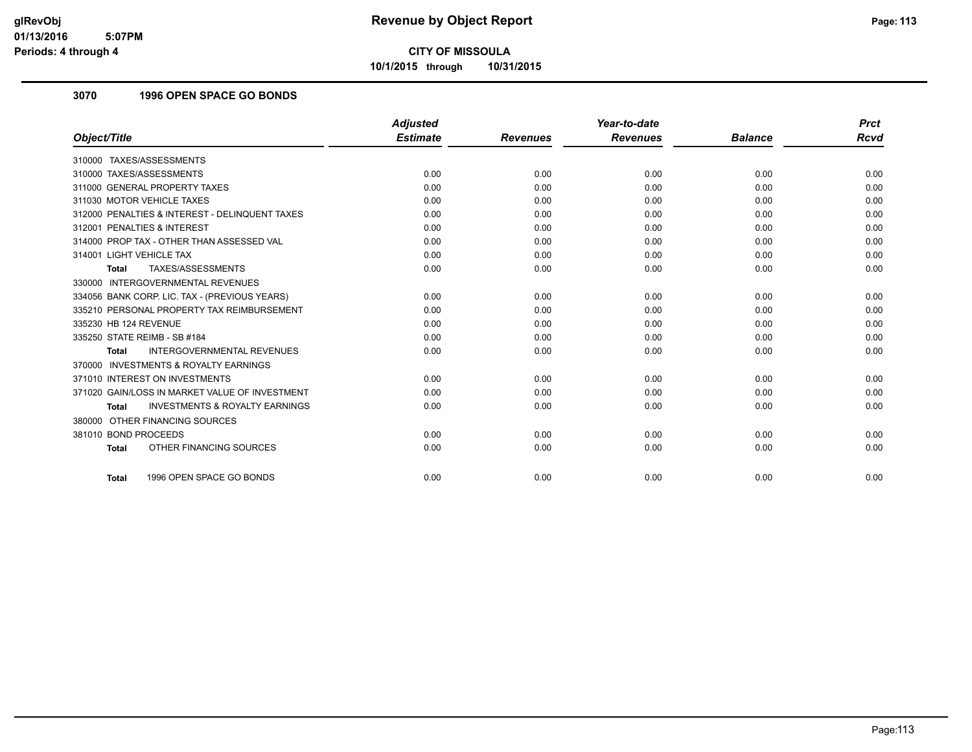**10/1/2015 through 10/31/2015**

## **3070 1996 OPEN SPACE GO BONDS**

|                                                           | <b>Adjusted</b> |                 | Year-to-date    |                | <b>Prct</b> |
|-----------------------------------------------------------|-----------------|-----------------|-----------------|----------------|-------------|
| Object/Title                                              | <b>Estimate</b> | <b>Revenues</b> | <b>Revenues</b> | <b>Balance</b> | <b>Rcvd</b> |
| 310000 TAXES/ASSESSMENTS                                  |                 |                 |                 |                |             |
| 310000 TAXES/ASSESSMENTS                                  | 0.00            | 0.00            | 0.00            | 0.00           | 0.00        |
| 311000 GENERAL PROPERTY TAXES                             | 0.00            | 0.00            | 0.00            | 0.00           | 0.00        |
| 311030 MOTOR VEHICLE TAXES                                | 0.00            | 0.00            | 0.00            | 0.00           | 0.00        |
| 312000 PENALTIES & INTEREST - DELINQUENT TAXES            | 0.00            | 0.00            | 0.00            | 0.00           | 0.00        |
| 312001 PENALTIES & INTEREST                               | 0.00            | 0.00            | 0.00            | 0.00           | 0.00        |
| 314000 PROP TAX - OTHER THAN ASSESSED VAL                 | 0.00            | 0.00            | 0.00            | 0.00           | 0.00        |
| 314001 LIGHT VEHICLE TAX                                  | 0.00            | 0.00            | 0.00            | 0.00           | 0.00        |
| TAXES/ASSESSMENTS<br><b>Total</b>                         | 0.00            | 0.00            | 0.00            | 0.00           | 0.00        |
| 330000 INTERGOVERNMENTAL REVENUES                         |                 |                 |                 |                |             |
| 334056 BANK CORP. LIC. TAX - (PREVIOUS YEARS)             | 0.00            | 0.00            | 0.00            | 0.00           | 0.00        |
| 335210 PERSONAL PROPERTY TAX REIMBURSEMENT                | 0.00            | 0.00            | 0.00            | 0.00           | 0.00        |
| 335230 HB 124 REVENUE                                     | 0.00            | 0.00            | 0.00            | 0.00           | 0.00        |
| 335250 STATE REIMB - SB #184                              | 0.00            | 0.00            | 0.00            | 0.00           | 0.00        |
| <b>INTERGOVERNMENTAL REVENUES</b><br><b>Total</b>         | 0.00            | 0.00            | 0.00            | 0.00           | 0.00        |
| <b>INVESTMENTS &amp; ROYALTY EARNINGS</b><br>370000       |                 |                 |                 |                |             |
| 371010 INTEREST ON INVESTMENTS                            | 0.00            | 0.00            | 0.00            | 0.00           | 0.00        |
| 371020 GAIN/LOSS IN MARKET VALUE OF INVESTMENT            | 0.00            | 0.00            | 0.00            | 0.00           | 0.00        |
| <b>INVESTMENTS &amp; ROYALTY EARNINGS</b><br><b>Total</b> | 0.00            | 0.00            | 0.00            | 0.00           | 0.00        |
| 380000 OTHER FINANCING SOURCES                            |                 |                 |                 |                |             |
| 381010 BOND PROCEEDS                                      | 0.00            | 0.00            | 0.00            | 0.00           | 0.00        |
| OTHER FINANCING SOURCES<br><b>Total</b>                   | 0.00            | 0.00            | 0.00            | 0.00           | 0.00        |
| 1996 OPEN SPACE GO BONDS<br><b>Total</b>                  | 0.00            | 0.00            | 0.00            | 0.00           | 0.00        |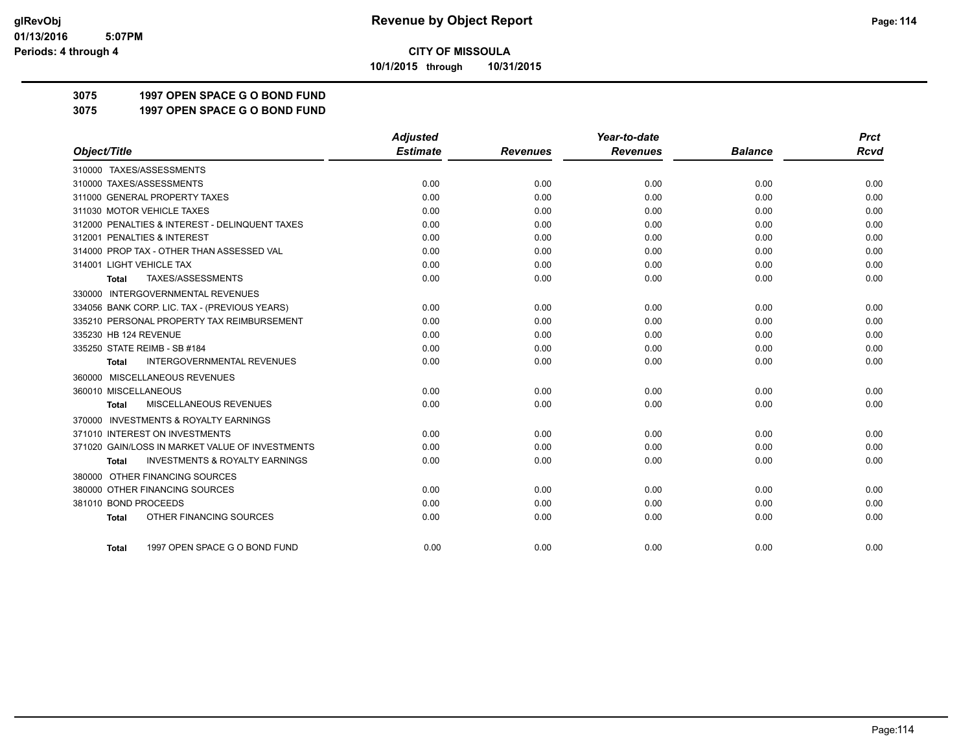**10/1/2015 through 10/31/2015**

## **3075 1997 OPEN SPACE G O BOND FUND**

**3075 1997 OPEN SPACE G O BOND FUND**

|                                                           | <b>Adjusted</b> |                 | Year-to-date    |                | <b>Prct</b> |
|-----------------------------------------------------------|-----------------|-----------------|-----------------|----------------|-------------|
| Object/Title                                              | <b>Estimate</b> | <b>Revenues</b> | <b>Revenues</b> | <b>Balance</b> | <b>Rcvd</b> |
| 310000 TAXES/ASSESSMENTS                                  |                 |                 |                 |                |             |
| 310000 TAXES/ASSESSMENTS                                  | 0.00            | 0.00            | 0.00            | 0.00           | 0.00        |
| 311000 GENERAL PROPERTY TAXES                             | 0.00            | 0.00            | 0.00            | 0.00           | 0.00        |
| 311030 MOTOR VEHICLE TAXES                                | 0.00            | 0.00            | 0.00            | 0.00           | 0.00        |
| 312000 PENALTIES & INTEREST - DELINQUENT TAXES            | 0.00            | 0.00            | 0.00            | 0.00           | 0.00        |
| 312001 PENALTIES & INTEREST                               | 0.00            | 0.00            | 0.00            | 0.00           | 0.00        |
| 314000 PROP TAX - OTHER THAN ASSESSED VAL                 | 0.00            | 0.00            | 0.00            | 0.00           | 0.00        |
| 314001 LIGHT VEHICLE TAX                                  | 0.00            | 0.00            | 0.00            | 0.00           | 0.00        |
| TAXES/ASSESSMENTS<br>Total                                | 0.00            | 0.00            | 0.00            | 0.00           | 0.00        |
| 330000 INTERGOVERNMENTAL REVENUES                         |                 |                 |                 |                |             |
| 334056 BANK CORP. LIC. TAX - (PREVIOUS YEARS)             | 0.00            | 0.00            | 0.00            | 0.00           | 0.00        |
| 335210 PERSONAL PROPERTY TAX REIMBURSEMENT                | 0.00            | 0.00            | 0.00            | 0.00           | 0.00        |
| 335230 HB 124 REVENUE                                     | 0.00            | 0.00            | 0.00            | 0.00           | 0.00        |
| 335250 STATE REIMB - SB #184                              | 0.00            | 0.00            | 0.00            | 0.00           | 0.00        |
| <b>INTERGOVERNMENTAL REVENUES</b><br><b>Total</b>         | 0.00            | 0.00            | 0.00            | 0.00           | 0.00        |
| 360000 MISCELLANEOUS REVENUES                             |                 |                 |                 |                |             |
| 360010 MISCELLANEOUS                                      | 0.00            | 0.00            | 0.00            | 0.00           | 0.00        |
| MISCELLANEOUS REVENUES<br><b>Total</b>                    | 0.00            | 0.00            | 0.00            | 0.00           | 0.00        |
| 370000 INVESTMENTS & ROYALTY EARNINGS                     |                 |                 |                 |                |             |
| 371010 INTEREST ON INVESTMENTS                            | 0.00            | 0.00            | 0.00            | 0.00           | 0.00        |
| 371020 GAIN/LOSS IN MARKET VALUE OF INVESTMENTS           | 0.00            | 0.00            | 0.00            | 0.00           | 0.00        |
| <b>INVESTMENTS &amp; ROYALTY EARNINGS</b><br><b>Total</b> | 0.00            | 0.00            | 0.00            | 0.00           | 0.00        |
| 380000 OTHER FINANCING SOURCES                            |                 |                 |                 |                |             |
| 380000 OTHER FINANCING SOURCES                            | 0.00            | 0.00            | 0.00            | 0.00           | 0.00        |
| 381010 BOND PROCEEDS                                      | 0.00            | 0.00            | 0.00            | 0.00           | 0.00        |
| OTHER FINANCING SOURCES<br><b>Total</b>                   | 0.00            | 0.00            | 0.00            | 0.00           | 0.00        |
|                                                           |                 |                 |                 |                |             |
| 1997 OPEN SPACE G O BOND FUND<br><b>Total</b>             | 0.00            | 0.00            | 0.00            | 0.00           | 0.00        |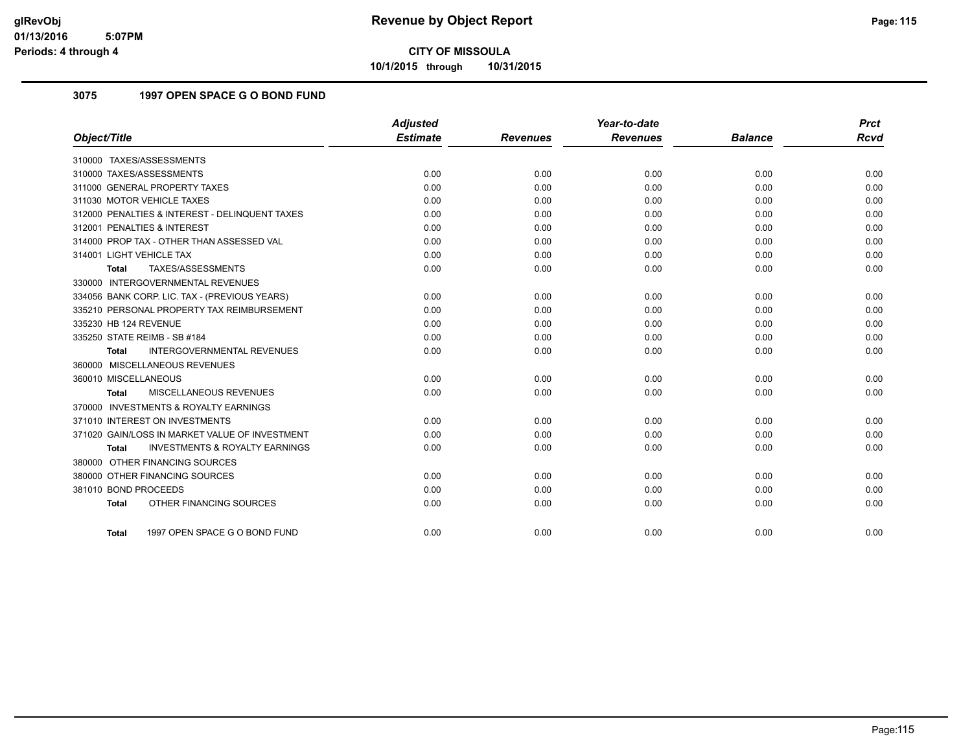**10/1/2015 through 10/31/2015**

## **3075 1997 OPEN SPACE G O BOND FUND**

|                                                           | <b>Adjusted</b> |                 | Year-to-date    |                | <b>Prct</b> |
|-----------------------------------------------------------|-----------------|-----------------|-----------------|----------------|-------------|
| Object/Title                                              | <b>Estimate</b> | <b>Revenues</b> | <b>Revenues</b> | <b>Balance</b> | <b>Rcvd</b> |
| 310000 TAXES/ASSESSMENTS                                  |                 |                 |                 |                |             |
| 310000 TAXES/ASSESSMENTS                                  | 0.00            | 0.00            | 0.00            | 0.00           | 0.00        |
| 311000 GENERAL PROPERTY TAXES                             | 0.00            | 0.00            | 0.00            | 0.00           | 0.00        |
| 311030 MOTOR VEHICLE TAXES                                | 0.00            | 0.00            | 0.00            | 0.00           | 0.00        |
| 312000 PENALTIES & INTEREST - DELINQUENT TAXES            | 0.00            | 0.00            | 0.00            | 0.00           | 0.00        |
| 312001 PENALTIES & INTEREST                               | 0.00            | 0.00            | 0.00            | 0.00           | 0.00        |
| 314000 PROP TAX - OTHER THAN ASSESSED VAL                 | 0.00            | 0.00            | 0.00            | 0.00           | 0.00        |
| 314001 LIGHT VEHICLE TAX                                  | 0.00            | 0.00            | 0.00            | 0.00           | 0.00        |
| TAXES/ASSESSMENTS<br><b>Total</b>                         | 0.00            | 0.00            | 0.00            | 0.00           | 0.00        |
| 330000 INTERGOVERNMENTAL REVENUES                         |                 |                 |                 |                |             |
| 334056 BANK CORP. LIC. TAX - (PREVIOUS YEARS)             | 0.00            | 0.00            | 0.00            | 0.00           | 0.00        |
| 335210 PERSONAL PROPERTY TAX REIMBURSEMENT                | 0.00            | 0.00            | 0.00            | 0.00           | 0.00        |
| 335230 HB 124 REVENUE                                     | 0.00            | 0.00            | 0.00            | 0.00           | 0.00        |
| 335250 STATE REIMB - SB #184                              | 0.00            | 0.00            | 0.00            | 0.00           | 0.00        |
| INTERGOVERNMENTAL REVENUES<br><b>Total</b>                | 0.00            | 0.00            | 0.00            | 0.00           | 0.00        |
| 360000 MISCELLANEOUS REVENUES                             |                 |                 |                 |                |             |
| 360010 MISCELLANEOUS                                      | 0.00            | 0.00            | 0.00            | 0.00           | 0.00        |
| <b>MISCELLANEOUS REVENUES</b><br><b>Total</b>             | 0.00            | 0.00            | 0.00            | 0.00           | 0.00        |
| 370000 INVESTMENTS & ROYALTY EARNINGS                     |                 |                 |                 |                |             |
| 371010 INTEREST ON INVESTMENTS                            | 0.00            | 0.00            | 0.00            | 0.00           | 0.00        |
| 371020 GAIN/LOSS IN MARKET VALUE OF INVESTMENT            | 0.00            | 0.00            | 0.00            | 0.00           | 0.00        |
| <b>INVESTMENTS &amp; ROYALTY EARNINGS</b><br><b>Total</b> | 0.00            | 0.00            | 0.00            | 0.00           | 0.00        |
| 380000 OTHER FINANCING SOURCES                            |                 |                 |                 |                |             |
| 380000 OTHER FINANCING SOURCES                            | 0.00            | 0.00            | 0.00            | 0.00           | 0.00        |
| 381010 BOND PROCEEDS                                      | 0.00            | 0.00            | 0.00            | 0.00           | 0.00        |
| OTHER FINANCING SOURCES<br><b>Total</b>                   | 0.00            | 0.00            | 0.00            | 0.00           | 0.00        |
| 1997 OPEN SPACE G O BOND FUND<br>Total                    | 0.00            | 0.00            | 0.00            | 0.00           | 0.00        |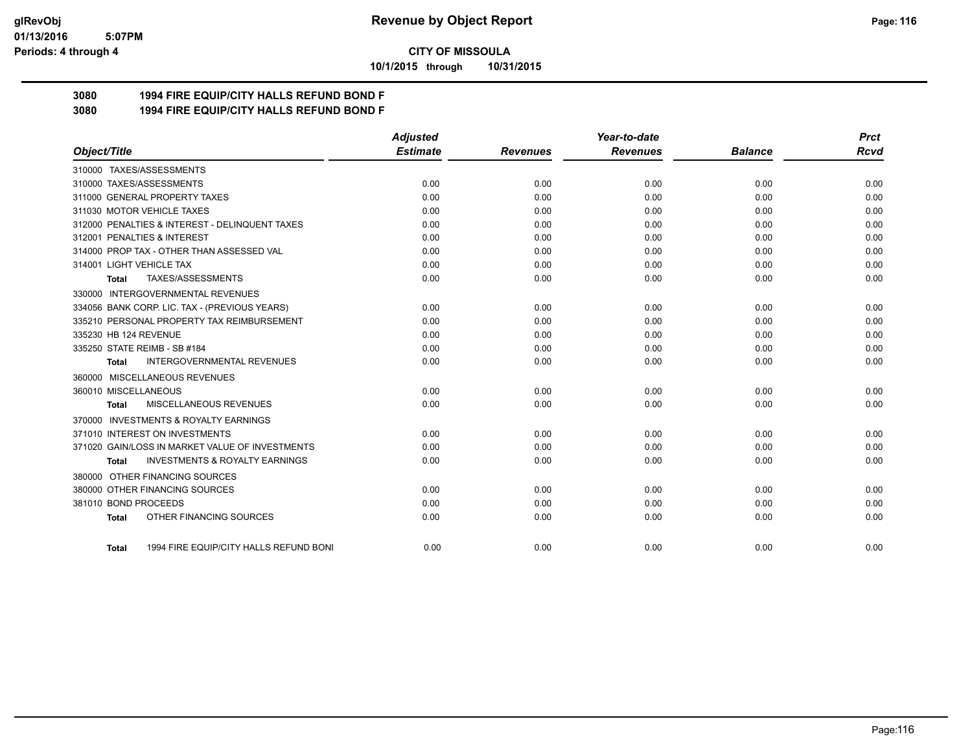#### **01/13/2016 5:07PM Periods: 4 through 4**

**CITY OF MISSOULA**

**10/1/2015 through 10/31/2015**

## **3080 1994 FIRE EQUIP/CITY HALLS REFUND BOND F**

**3080 1994 FIRE EQUIP/CITY HALLS REFUND BOND F**

|                                                           | <b>Adjusted</b> |                 | Year-to-date    |                | <b>Prct</b> |
|-----------------------------------------------------------|-----------------|-----------------|-----------------|----------------|-------------|
| Object/Title                                              | <b>Estimate</b> | <b>Revenues</b> | <b>Revenues</b> | <b>Balance</b> | Rcvd        |
| 310000 TAXES/ASSESSMENTS                                  |                 |                 |                 |                |             |
| 310000 TAXES/ASSESSMENTS                                  | 0.00            | 0.00            | 0.00            | 0.00           | 0.00        |
| 311000 GENERAL PROPERTY TAXES                             | 0.00            | 0.00            | 0.00            | 0.00           | 0.00        |
| 311030 MOTOR VEHICLE TAXES                                | 0.00            | 0.00            | 0.00            | 0.00           | 0.00        |
| 312000 PENALTIES & INTEREST - DELINQUENT TAXES            | 0.00            | 0.00            | 0.00            | 0.00           | 0.00        |
| 312001 PENALTIES & INTEREST                               | 0.00            | 0.00            | 0.00            | 0.00           | 0.00        |
| 314000 PROP TAX - OTHER THAN ASSESSED VAL                 | 0.00            | 0.00            | 0.00            | 0.00           | 0.00        |
| 314001 LIGHT VEHICLE TAX                                  | 0.00            | 0.00            | 0.00            | 0.00           | 0.00        |
| TAXES/ASSESSMENTS<br><b>Total</b>                         | 0.00            | 0.00            | 0.00            | 0.00           | 0.00        |
| 330000 INTERGOVERNMENTAL REVENUES                         |                 |                 |                 |                |             |
| 334056 BANK CORP. LIC. TAX - (PREVIOUS YEARS)             | 0.00            | 0.00            | 0.00            | 0.00           | 0.00        |
| 335210 PERSONAL PROPERTY TAX REIMBURSEMENT                | 0.00            | 0.00            | 0.00            | 0.00           | 0.00        |
| 335230 HB 124 REVENUE                                     | 0.00            | 0.00            | 0.00            | 0.00           | 0.00        |
| 335250 STATE REIMB - SB #184                              | 0.00            | 0.00            | 0.00            | 0.00           | 0.00        |
| <b>INTERGOVERNMENTAL REVENUES</b><br>Total                | 0.00            | 0.00            | 0.00            | 0.00           | 0.00        |
| 360000 MISCELLANEOUS REVENUES                             |                 |                 |                 |                |             |
| 360010 MISCELLANEOUS                                      | 0.00            | 0.00            | 0.00            | 0.00           | 0.00        |
| MISCELLANEOUS REVENUES<br><b>Total</b>                    | 0.00            | 0.00            | 0.00            | 0.00           | 0.00        |
| 370000 INVESTMENTS & ROYALTY EARNINGS                     |                 |                 |                 |                |             |
| 371010 INTEREST ON INVESTMENTS                            | 0.00            | 0.00            | 0.00            | 0.00           | 0.00        |
| 371020 GAIN/LOSS IN MARKET VALUE OF INVESTMENTS           | 0.00            | 0.00            | 0.00            | 0.00           | 0.00        |
| <b>INVESTMENTS &amp; ROYALTY EARNINGS</b><br><b>Total</b> | 0.00            | 0.00            | 0.00            | 0.00           | 0.00        |
| 380000 OTHER FINANCING SOURCES                            |                 |                 |                 |                |             |
| 380000 OTHER FINANCING SOURCES                            | 0.00            | 0.00            | 0.00            | 0.00           | 0.00        |
| 381010 BOND PROCEEDS                                      | 0.00            | 0.00            | 0.00            | 0.00           | 0.00        |
| OTHER FINANCING SOURCES<br><b>Total</b>                   | 0.00            | 0.00            | 0.00            | 0.00           | 0.00        |
| 1994 FIRE EQUIP/CITY HALLS REFUND BONI<br>Total           | 0.00            | 0.00            | 0.00            | 0.00           | 0.00        |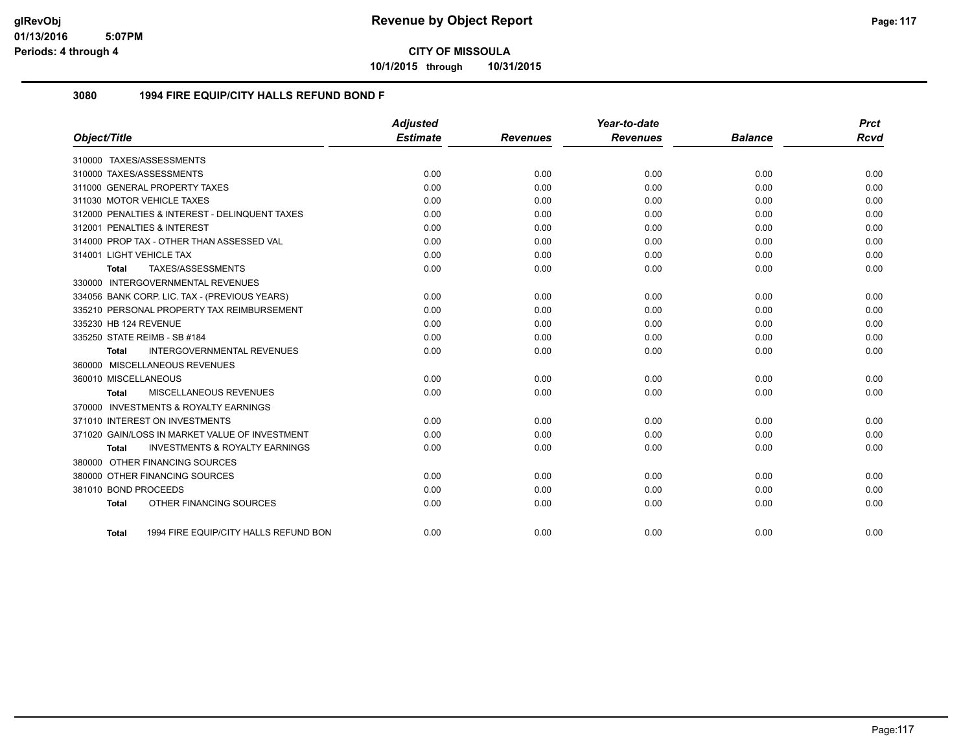**10/1/2015 through 10/31/2015**

### **3080 1994 FIRE EQUIP/CITY HALLS REFUND BOND F**

|                          |                                                | <b>Adjusted</b> |                 | Year-to-date    |                | <b>Prct</b> |
|--------------------------|------------------------------------------------|-----------------|-----------------|-----------------|----------------|-------------|
| Object/Title             |                                                | <b>Estimate</b> | <b>Revenues</b> | <b>Revenues</b> | <b>Balance</b> | <b>Rcvd</b> |
|                          | 310000 TAXES/ASSESSMENTS                       |                 |                 |                 |                |             |
|                          | 310000 TAXES/ASSESSMENTS                       | 0.00            | 0.00            | 0.00            | 0.00           | 0.00        |
|                          | 311000 GENERAL PROPERTY TAXES                  | 0.00            | 0.00            | 0.00            | 0.00           | 0.00        |
|                          | 311030 MOTOR VEHICLE TAXES                     | 0.00            | 0.00            | 0.00            | 0.00           | 0.00        |
|                          | 312000 PENALTIES & INTEREST - DELINQUENT TAXES | 0.00            | 0.00            | 0.00            | 0.00           | 0.00        |
|                          | 312001 PENALTIES & INTEREST                    | 0.00            | 0.00            | 0.00            | 0.00           | 0.00        |
|                          | 314000 PROP TAX - OTHER THAN ASSESSED VAL      | 0.00            | 0.00            | 0.00            | 0.00           | 0.00        |
| 314001 LIGHT VEHICLE TAX |                                                | 0.00            | 0.00            | 0.00            | 0.00           | 0.00        |
| Total                    | TAXES/ASSESSMENTS                              | 0.00            | 0.00            | 0.00            | 0.00           | 0.00        |
|                          | 330000 INTERGOVERNMENTAL REVENUES              |                 |                 |                 |                |             |
|                          | 334056 BANK CORP. LIC. TAX - (PREVIOUS YEARS)  | 0.00            | 0.00            | 0.00            | 0.00           | 0.00        |
|                          | 335210 PERSONAL PROPERTY TAX REIMBURSEMENT     | 0.00            | 0.00            | 0.00            | 0.00           | 0.00        |
| 335230 HB 124 REVENUE    |                                                | 0.00            | 0.00            | 0.00            | 0.00           | 0.00        |
|                          | 335250 STATE REIMB - SB #184                   | 0.00            | 0.00            | 0.00            | 0.00           | 0.00        |
| <b>Total</b>             | <b>INTERGOVERNMENTAL REVENUES</b>              | 0.00            | 0.00            | 0.00            | 0.00           | 0.00        |
|                          | 360000 MISCELLANEOUS REVENUES                  |                 |                 |                 |                |             |
| 360010 MISCELLANEOUS     |                                                | 0.00            | 0.00            | 0.00            | 0.00           | 0.00        |
| <b>Total</b>             | MISCELLANEOUS REVENUES                         | 0.00            | 0.00            | 0.00            | 0.00           | 0.00        |
|                          | 370000 INVESTMENTS & ROYALTY EARNINGS          |                 |                 |                 |                |             |
|                          | 371010 INTEREST ON INVESTMENTS                 | 0.00            | 0.00            | 0.00            | 0.00           | 0.00        |
|                          | 371020 GAIN/LOSS IN MARKET VALUE OF INVESTMENT | 0.00            | 0.00            | 0.00            | 0.00           | 0.00        |
| Total                    | <b>INVESTMENTS &amp; ROYALTY EARNINGS</b>      | 0.00            | 0.00            | 0.00            | 0.00           | 0.00        |
|                          | 380000 OTHER FINANCING SOURCES                 |                 |                 |                 |                |             |
|                          | 380000 OTHER FINANCING SOURCES                 | 0.00            | 0.00            | 0.00            | 0.00           | 0.00        |
| 381010 BOND PROCEEDS     |                                                | 0.00            | 0.00            | 0.00            | 0.00           | 0.00        |
| <b>Total</b>             | OTHER FINANCING SOURCES                        | 0.00            | 0.00            | 0.00            | 0.00           | 0.00        |
|                          |                                                |                 |                 |                 |                |             |
| Total                    | 1994 FIRE EQUIP/CITY HALLS REFUND BON          | 0.00            | 0.00            | 0.00            | 0.00           | 0.00        |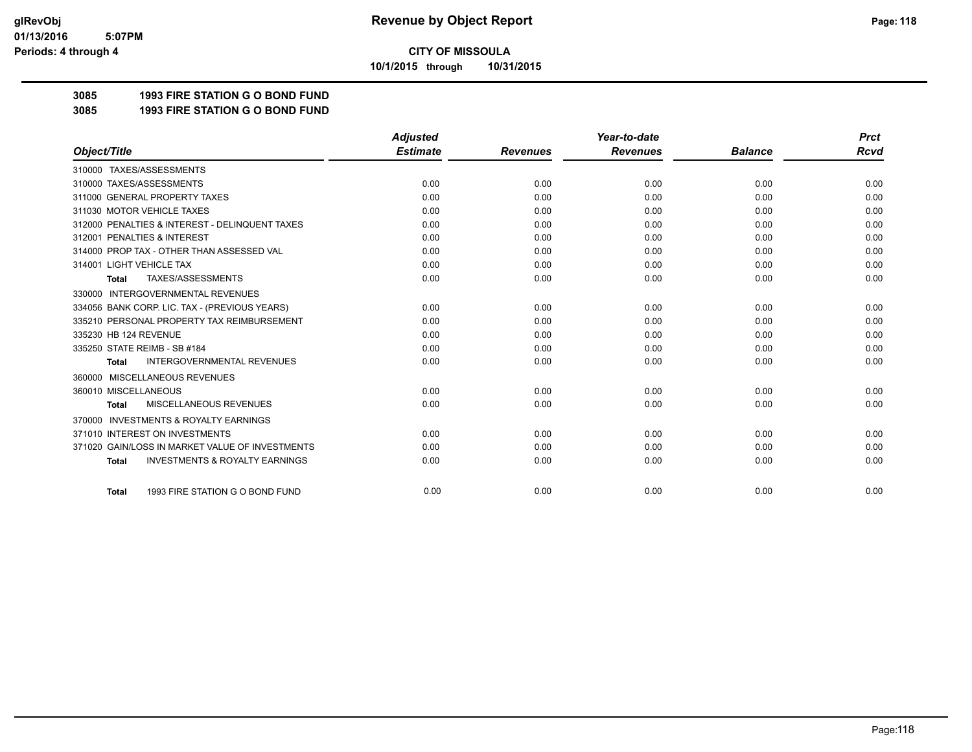**10/1/2015 through 10/31/2015**

## **3085 1993 FIRE STATION G O BOND FUND**

**3085 1993 FIRE STATION G O BOND FUND**

|                                                           | <b>Adjusted</b> |                 | Year-to-date    |                | <b>Prct</b> |
|-----------------------------------------------------------|-----------------|-----------------|-----------------|----------------|-------------|
| Object/Title                                              | <b>Estimate</b> | <b>Revenues</b> | <b>Revenues</b> | <b>Balance</b> | <b>Rcvd</b> |
| 310000 TAXES/ASSESSMENTS                                  |                 |                 |                 |                |             |
| 310000 TAXES/ASSESSMENTS                                  | 0.00            | 0.00            | 0.00            | 0.00           | 0.00        |
| 311000 GENERAL PROPERTY TAXES                             | 0.00            | 0.00            | 0.00            | 0.00           | 0.00        |
| 311030 MOTOR VEHICLE TAXES                                | 0.00            | 0.00            | 0.00            | 0.00           | 0.00        |
| 312000 PENALTIES & INTEREST - DELINQUENT TAXES            | 0.00            | 0.00            | 0.00            | 0.00           | 0.00        |
| 312001 PENALTIES & INTEREST                               | 0.00            | 0.00            | 0.00            | 0.00           | 0.00        |
| 314000 PROP TAX - OTHER THAN ASSESSED VAL                 | 0.00            | 0.00            | 0.00            | 0.00           | 0.00        |
| 314001 LIGHT VEHICLE TAX                                  | 0.00            | 0.00            | 0.00            | 0.00           | 0.00        |
| TAXES/ASSESSMENTS<br><b>Total</b>                         | 0.00            | 0.00            | 0.00            | 0.00           | 0.00        |
| <b>INTERGOVERNMENTAL REVENUES</b><br>330000               |                 |                 |                 |                |             |
| 334056 BANK CORP. LIC. TAX - (PREVIOUS YEARS)             | 0.00            | 0.00            | 0.00            | 0.00           | 0.00        |
| 335210 PERSONAL PROPERTY TAX REIMBURSEMENT                | 0.00            | 0.00            | 0.00            | 0.00           | 0.00        |
| 335230 HB 124 REVENUE                                     | 0.00            | 0.00            | 0.00            | 0.00           | 0.00        |
| 335250 STATE REIMB - SB #184                              | 0.00            | 0.00            | 0.00            | 0.00           | 0.00        |
| <b>INTERGOVERNMENTAL REVENUES</b><br><b>Total</b>         | 0.00            | 0.00            | 0.00            | 0.00           | 0.00        |
| MISCELLANEOUS REVENUES<br>360000                          |                 |                 |                 |                |             |
| 360010 MISCELLANEOUS                                      | 0.00            | 0.00            | 0.00            | 0.00           | 0.00        |
| <b>MISCELLANEOUS REVENUES</b><br><b>Total</b>             | 0.00            | 0.00            | 0.00            | 0.00           | 0.00        |
| <b>INVESTMENTS &amp; ROYALTY EARNINGS</b><br>370000       |                 |                 |                 |                |             |
| 371010 INTEREST ON INVESTMENTS                            | 0.00            | 0.00            | 0.00            | 0.00           | 0.00        |
| 371020 GAIN/LOSS IN MARKET VALUE OF INVESTMENTS           | 0.00            | 0.00            | 0.00            | 0.00           | 0.00        |
| <b>INVESTMENTS &amp; ROYALTY EARNINGS</b><br><b>Total</b> | 0.00            | 0.00            | 0.00            | 0.00           | 0.00        |
|                                                           |                 |                 |                 |                |             |
| 1993 FIRE STATION G O BOND FUND<br><b>Total</b>           | 0.00            | 0.00            | 0.00            | 0.00           | 0.00        |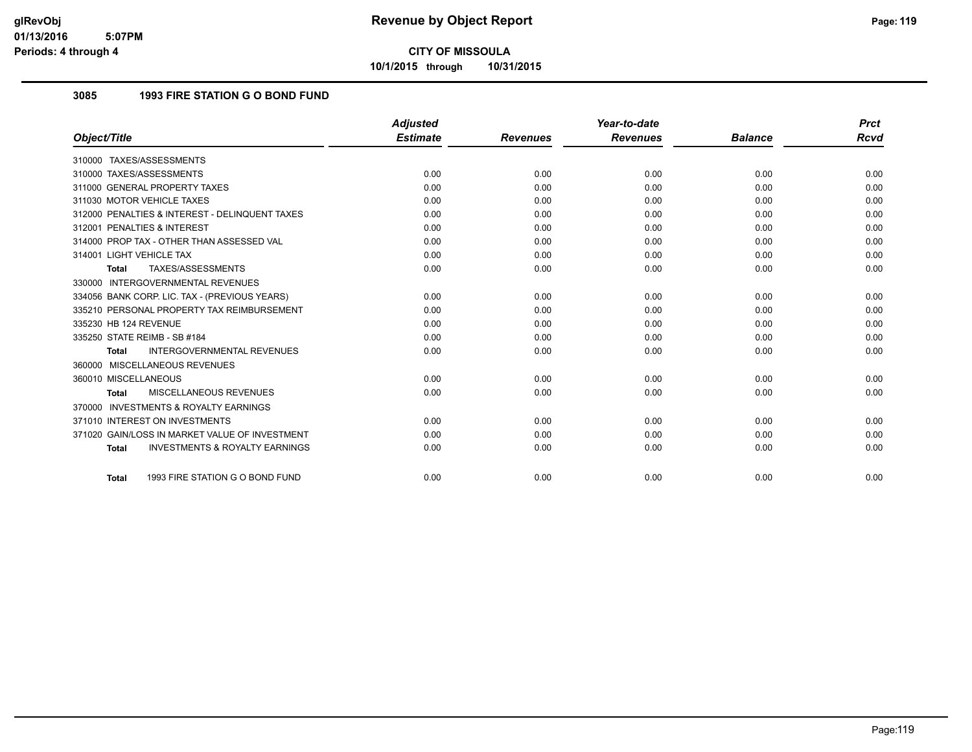**10/1/2015 through 10/31/2015**

## **3085 1993 FIRE STATION G O BOND FUND**

|                                                           | <b>Adjusted</b> |                 | Year-to-date    |                | <b>Prct</b> |
|-----------------------------------------------------------|-----------------|-----------------|-----------------|----------------|-------------|
| Object/Title                                              | <b>Estimate</b> | <b>Revenues</b> | <b>Revenues</b> | <b>Balance</b> | Rcvd        |
| 310000 TAXES/ASSESSMENTS                                  |                 |                 |                 |                |             |
| 310000 TAXES/ASSESSMENTS                                  | 0.00            | 0.00            | 0.00            | 0.00           | 0.00        |
| 311000 GENERAL PROPERTY TAXES                             | 0.00            | 0.00            | 0.00            | 0.00           | 0.00        |
| 311030 MOTOR VEHICLE TAXES                                | 0.00            | 0.00            | 0.00            | 0.00           | 0.00        |
| 312000 PENALTIES & INTEREST - DELINQUENT TAXES            | 0.00            | 0.00            | 0.00            | 0.00           | 0.00        |
| 312001 PENALTIES & INTEREST                               | 0.00            | 0.00            | 0.00            | 0.00           | 0.00        |
| 314000 PROP TAX - OTHER THAN ASSESSED VAL                 | 0.00            | 0.00            | 0.00            | 0.00           | 0.00        |
| 314001 LIGHT VEHICLE TAX                                  | 0.00            | 0.00            | 0.00            | 0.00           | 0.00        |
| TAXES/ASSESSMENTS<br><b>Total</b>                         | 0.00            | 0.00            | 0.00            | 0.00           | 0.00        |
| 330000 INTERGOVERNMENTAL REVENUES                         |                 |                 |                 |                |             |
| 334056 BANK CORP. LIC. TAX - (PREVIOUS YEARS)             | 0.00            | 0.00            | 0.00            | 0.00           | 0.00        |
| 335210 PERSONAL PROPERTY TAX REIMBURSEMENT                | 0.00            | 0.00            | 0.00            | 0.00           | 0.00        |
| 335230 HB 124 REVENUE                                     | 0.00            | 0.00            | 0.00            | 0.00           | 0.00        |
| 335250 STATE REIMB - SB #184                              | 0.00            | 0.00            | 0.00            | 0.00           | 0.00        |
| <b>INTERGOVERNMENTAL REVENUES</b><br><b>Total</b>         | 0.00            | 0.00            | 0.00            | 0.00           | 0.00        |
| 360000 MISCELLANEOUS REVENUES                             |                 |                 |                 |                |             |
| 360010 MISCELLANEOUS                                      | 0.00            | 0.00            | 0.00            | 0.00           | 0.00        |
| MISCELLANEOUS REVENUES<br><b>Total</b>                    | 0.00            | 0.00            | 0.00            | 0.00           | 0.00        |
| 370000 INVESTMENTS & ROYALTY EARNINGS                     |                 |                 |                 |                |             |
| 371010 INTEREST ON INVESTMENTS                            | 0.00            | 0.00            | 0.00            | 0.00           | 0.00        |
| 371020 GAIN/LOSS IN MARKET VALUE OF INVESTMENT            | 0.00            | 0.00            | 0.00            | 0.00           | 0.00        |
| <b>INVESTMENTS &amp; ROYALTY EARNINGS</b><br><b>Total</b> | 0.00            | 0.00            | 0.00            | 0.00           | 0.00        |
| 1993 FIRE STATION G O BOND FUND<br><b>Total</b>           | 0.00            | 0.00            | 0.00            | 0.00           | 0.00        |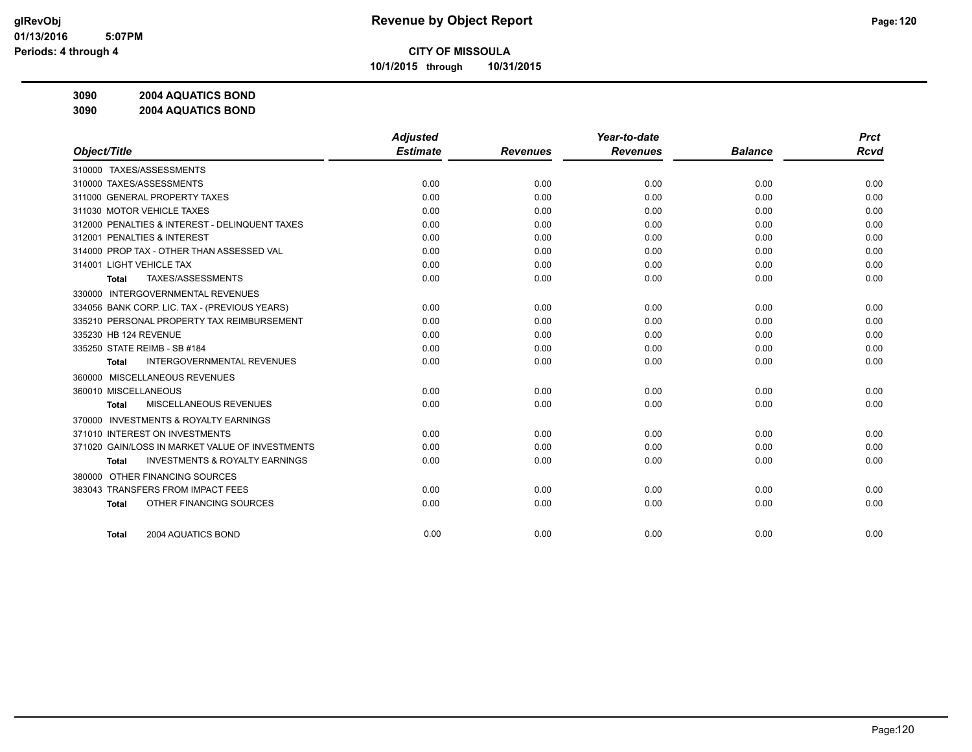**10/1/2015 through 10/31/2015**

**3090 2004 AQUATICS BOND**

**3090 2004 AQUATICS BOND**

|                                                           | <b>Adjusted</b> |                 | Year-to-date    |                | <b>Prct</b> |
|-----------------------------------------------------------|-----------------|-----------------|-----------------|----------------|-------------|
| Object/Title                                              | <b>Estimate</b> | <b>Revenues</b> | <b>Revenues</b> | <b>Balance</b> | <b>Rcvd</b> |
| 310000 TAXES/ASSESSMENTS                                  |                 |                 |                 |                |             |
| 310000 TAXES/ASSESSMENTS                                  | 0.00            | 0.00            | 0.00            | 0.00           | 0.00        |
| 311000 GENERAL PROPERTY TAXES                             | 0.00            | 0.00            | 0.00            | 0.00           | 0.00        |
| 311030 MOTOR VEHICLE TAXES                                | 0.00            | 0.00            | 0.00            | 0.00           | 0.00        |
| 312000 PENALTIES & INTEREST - DELINQUENT TAXES            | 0.00            | 0.00            | 0.00            | 0.00           | 0.00        |
| 312001 PENALTIES & INTEREST                               | 0.00            | 0.00            | 0.00            | 0.00           | 0.00        |
| 314000 PROP TAX - OTHER THAN ASSESSED VAL                 | 0.00            | 0.00            | 0.00            | 0.00           | 0.00        |
| 314001 LIGHT VEHICLE TAX                                  | 0.00            | 0.00            | 0.00            | 0.00           | 0.00        |
| TAXES/ASSESSMENTS<br><b>Total</b>                         | 0.00            | 0.00            | 0.00            | 0.00           | 0.00        |
| INTERGOVERNMENTAL REVENUES<br>330000                      |                 |                 |                 |                |             |
| 334056 BANK CORP. LIC. TAX - (PREVIOUS YEARS)             | 0.00            | 0.00            | 0.00            | 0.00           | 0.00        |
| 335210 PERSONAL PROPERTY TAX REIMBURSEMENT                | 0.00            | 0.00            | 0.00            | 0.00           | 0.00        |
| 335230 HB 124 REVENUE                                     | 0.00            | 0.00            | 0.00            | 0.00           | 0.00        |
| 335250 STATE REIMB - SB #184                              | 0.00            | 0.00            | 0.00            | 0.00           | 0.00        |
| <b>INTERGOVERNMENTAL REVENUES</b><br><b>Total</b>         | 0.00            | 0.00            | 0.00            | 0.00           | 0.00        |
| 360000 MISCELLANEOUS REVENUES                             |                 |                 |                 |                |             |
| 360010 MISCELLANEOUS                                      | 0.00            | 0.00            | 0.00            | 0.00           | 0.00        |
| MISCELLANEOUS REVENUES<br>Total                           | 0.00            | 0.00            | 0.00            | 0.00           | 0.00        |
| <b>INVESTMENTS &amp; ROYALTY EARNINGS</b><br>370000       |                 |                 |                 |                |             |
| 371010 INTEREST ON INVESTMENTS                            | 0.00            | 0.00            | 0.00            | 0.00           | 0.00        |
| 371020 GAIN/LOSS IN MARKET VALUE OF INVESTMENTS           | 0.00            | 0.00            | 0.00            | 0.00           | 0.00        |
| <b>INVESTMENTS &amp; ROYALTY EARNINGS</b><br><b>Total</b> | 0.00            | 0.00            | 0.00            | 0.00           | 0.00        |
| 380000 OTHER FINANCING SOURCES                            |                 |                 |                 |                |             |
| 383043 TRANSFERS FROM IMPACT FEES                         | 0.00            | 0.00            | 0.00            | 0.00           | 0.00        |
| OTHER FINANCING SOURCES<br><b>Total</b>                   | 0.00            | 0.00            | 0.00            | 0.00           | 0.00        |
|                                                           |                 |                 |                 |                |             |
| 2004 AQUATICS BOND<br><b>Total</b>                        | 0.00            | 0.00            | 0.00            | 0.00           | 0.00        |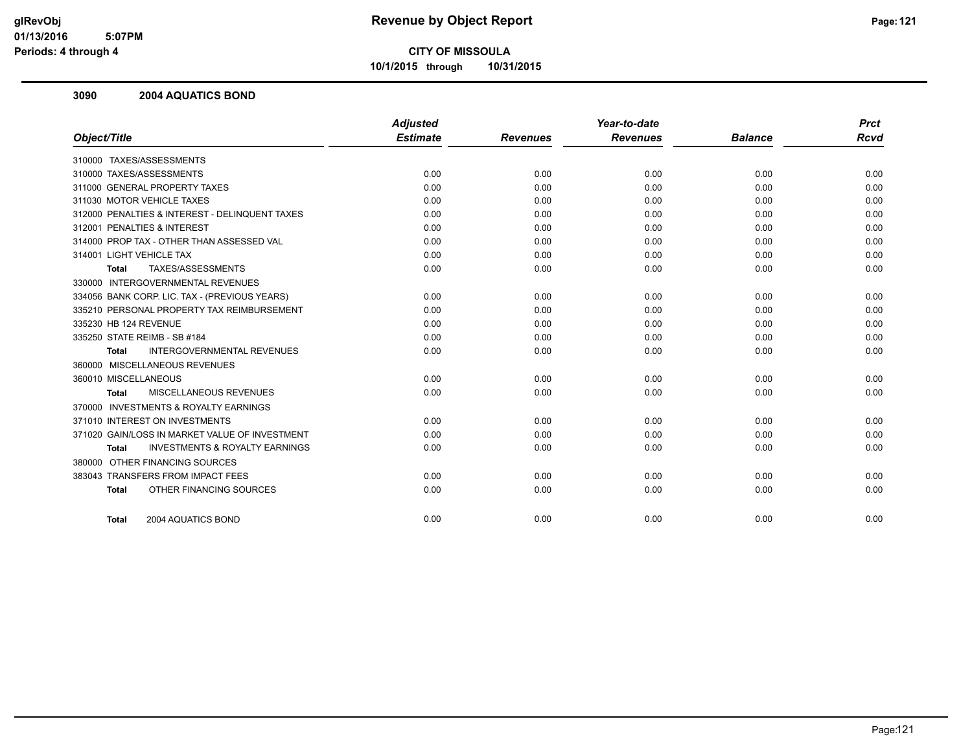**10/1/2015 through 10/31/2015**

#### **3090 2004 AQUATICS BOND**

|                                                           | <b>Adjusted</b> |                 | Year-to-date    |                | <b>Prct</b> |
|-----------------------------------------------------------|-----------------|-----------------|-----------------|----------------|-------------|
| Object/Title                                              | <b>Estimate</b> | <b>Revenues</b> | <b>Revenues</b> | <b>Balance</b> | <b>Rcvd</b> |
| 310000 TAXES/ASSESSMENTS                                  |                 |                 |                 |                |             |
| 310000 TAXES/ASSESSMENTS                                  | 0.00            | 0.00            | 0.00            | 0.00           | 0.00        |
| 311000 GENERAL PROPERTY TAXES                             | 0.00            | 0.00            | 0.00            | 0.00           | 0.00        |
| 311030 MOTOR VEHICLE TAXES                                | 0.00            | 0.00            | 0.00            | 0.00           | 0.00        |
| 312000 PENALTIES & INTEREST - DELINQUENT TAXES            | 0.00            | 0.00            | 0.00            | 0.00           | 0.00        |
| 312001 PENALTIES & INTEREST                               | 0.00            | 0.00            | 0.00            | 0.00           | 0.00        |
| 314000 PROP TAX - OTHER THAN ASSESSED VAL                 | 0.00            | 0.00            | 0.00            | 0.00           | 0.00        |
| 314001 LIGHT VEHICLE TAX                                  | 0.00            | 0.00            | 0.00            | 0.00           | 0.00        |
| TAXES/ASSESSMENTS<br><b>Total</b>                         | 0.00            | 0.00            | 0.00            | 0.00           | 0.00        |
| 330000 INTERGOVERNMENTAL REVENUES                         |                 |                 |                 |                |             |
| 334056 BANK CORP. LIC. TAX - (PREVIOUS YEARS)             | 0.00            | 0.00            | 0.00            | 0.00           | 0.00        |
| 335210 PERSONAL PROPERTY TAX REIMBURSEMENT                | 0.00            | 0.00            | 0.00            | 0.00           | 0.00        |
| 335230 HB 124 REVENUE                                     | 0.00            | 0.00            | 0.00            | 0.00           | 0.00        |
| 335250 STATE REIMB - SB #184                              | 0.00            | 0.00            | 0.00            | 0.00           | 0.00        |
| INTERGOVERNMENTAL REVENUES<br><b>Total</b>                | 0.00            | 0.00            | 0.00            | 0.00           | 0.00        |
| 360000 MISCELLANEOUS REVENUES                             |                 |                 |                 |                |             |
| 360010 MISCELLANEOUS                                      | 0.00            | 0.00            | 0.00            | 0.00           | 0.00        |
| MISCELLANEOUS REVENUES<br>Total                           | 0.00            | 0.00            | 0.00            | 0.00           | 0.00        |
| 370000 INVESTMENTS & ROYALTY EARNINGS                     |                 |                 |                 |                |             |
| 371010 INTEREST ON INVESTMENTS                            | 0.00            | 0.00            | 0.00            | 0.00           | 0.00        |
| 371020 GAIN/LOSS IN MARKET VALUE OF INVESTMENT            | 0.00            | 0.00            | 0.00            | 0.00           | 0.00        |
| <b>INVESTMENTS &amp; ROYALTY EARNINGS</b><br><b>Total</b> | 0.00            | 0.00            | 0.00            | 0.00           | 0.00        |
| 380000 OTHER FINANCING SOURCES                            |                 |                 |                 |                |             |
| 383043 TRANSFERS FROM IMPACT FEES                         | 0.00            | 0.00            | 0.00            | 0.00           | 0.00        |
| OTHER FINANCING SOURCES<br><b>Total</b>                   | 0.00            | 0.00            | 0.00            | 0.00           | 0.00        |
| 2004 AQUATICS BOND<br><b>Total</b>                        | 0.00            | 0.00            | 0.00            | 0.00           | 0.00        |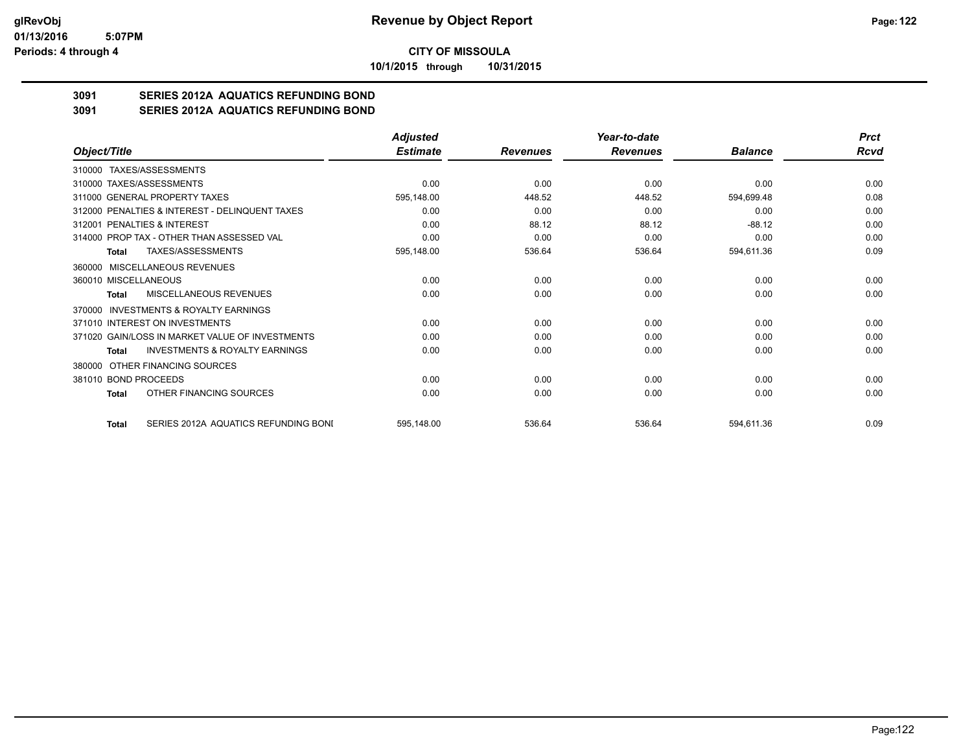**10/1/2015 through 10/31/2015**

## **3091 SERIES 2012A AQUATICS REFUNDING BOND**

**3091 SERIES 2012A AQUATICS REFUNDING BOND**

|                                                           | <b>Adjusted</b> |                 | Year-to-date    |                | <b>Prct</b> |
|-----------------------------------------------------------|-----------------|-----------------|-----------------|----------------|-------------|
| Object/Title                                              | <b>Estimate</b> | <b>Revenues</b> | <b>Revenues</b> | <b>Balance</b> | Rcvd        |
| 310000 TAXES/ASSESSMENTS                                  |                 |                 |                 |                |             |
| 310000 TAXES/ASSESSMENTS                                  | 0.00            | 0.00            | 0.00            | 0.00           | 0.00        |
| 311000 GENERAL PROPERTY TAXES                             | 595,148.00      | 448.52          | 448.52          | 594,699.48     | 0.08        |
| 312000 PENALTIES & INTEREST - DELINQUENT TAXES            | 0.00            | 0.00            | 0.00            | 0.00           | 0.00        |
| 312001 PENALTIES & INTEREST                               | 0.00            | 88.12           | 88.12           | $-88.12$       | 0.00        |
| 314000 PROP TAX - OTHER THAN ASSESSED VAL                 | 0.00            | 0.00            | 0.00            | 0.00           | 0.00        |
| TAXES/ASSESSMENTS<br><b>Total</b>                         | 595,148.00      | 536.64          | 536.64          | 594,611.36     | 0.09        |
| 360000 MISCELLANEOUS REVENUES                             |                 |                 |                 |                |             |
| 360010 MISCELLANEOUS                                      | 0.00            | 0.00            | 0.00            | 0.00           | 0.00        |
| MISCELLANEOUS REVENUES<br>Total                           | 0.00            | 0.00            | 0.00            | 0.00           | 0.00        |
| <b>INVESTMENTS &amp; ROYALTY EARNINGS</b><br>370000       |                 |                 |                 |                |             |
| 371010 INTEREST ON INVESTMENTS                            | 0.00            | 0.00            | 0.00            | 0.00           | 0.00        |
| 371020 GAIN/LOSS IN MARKET VALUE OF INVESTMENTS           | 0.00            | 0.00            | 0.00            | 0.00           | 0.00        |
| <b>INVESTMENTS &amp; ROYALTY EARNINGS</b><br><b>Total</b> | 0.00            | 0.00            | 0.00            | 0.00           | 0.00        |
| OTHER FINANCING SOURCES<br>380000                         |                 |                 |                 |                |             |
| 381010 BOND PROCEEDS                                      | 0.00            | 0.00            | 0.00            | 0.00           | 0.00        |
| OTHER FINANCING SOURCES<br>Total                          | 0.00            | 0.00            | 0.00            | 0.00           | 0.00        |
| SERIES 2012A AQUATICS REFUNDING BONI<br><b>Total</b>      | 595,148.00      | 536.64          | 536.64          | 594,611.36     | 0.09        |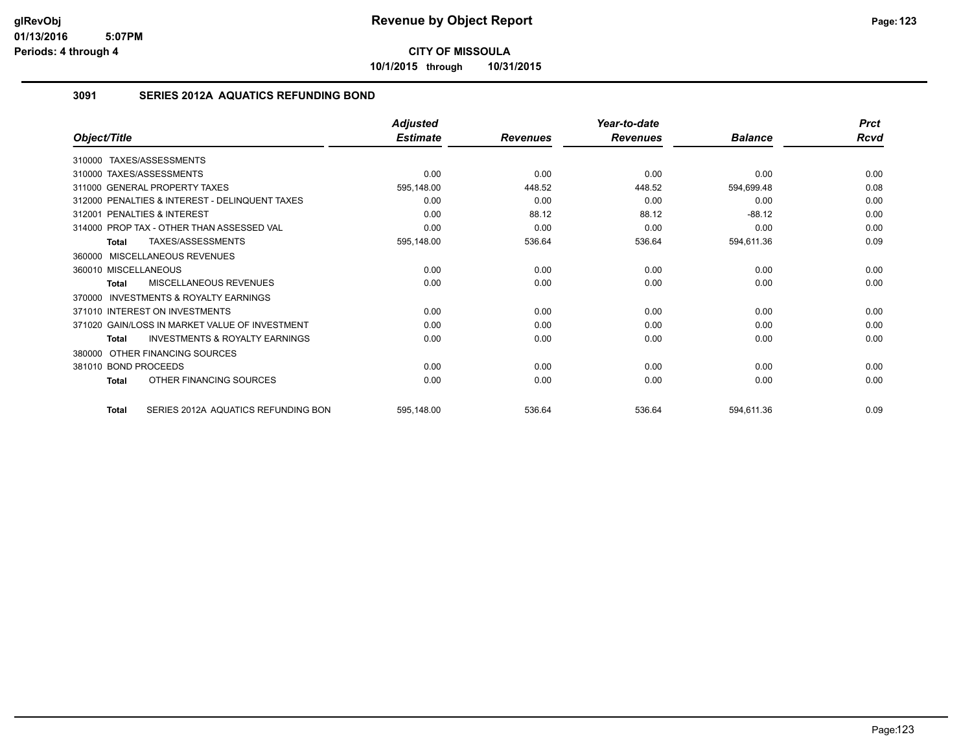**10/1/2015 through 10/31/2015**

### **3091 SERIES 2012A AQUATICS REFUNDING BOND**

|                                                     | <b>Adjusted</b> |                 | Year-to-date    |                | <b>Prct</b> |
|-----------------------------------------------------|-----------------|-----------------|-----------------|----------------|-------------|
| Object/Title                                        | <b>Estimate</b> | <b>Revenues</b> | <b>Revenues</b> | <b>Balance</b> | Rcvd        |
| 310000 TAXES/ASSESSMENTS                            |                 |                 |                 |                |             |
| 310000 TAXES/ASSESSMENTS                            | 0.00            | 0.00            | 0.00            | 0.00           | 0.00        |
| 311000 GENERAL PROPERTY TAXES                       | 595,148.00      | 448.52          | 448.52          | 594,699.48     | 0.08        |
| 312000 PENALTIES & INTEREST - DELINQUENT TAXES      | 0.00            | 0.00            | 0.00            | 0.00           | 0.00        |
| 312001 PENALTIES & INTEREST                         | 0.00            | 88.12           | 88.12           | $-88.12$       | 0.00        |
| 314000 PROP TAX - OTHER THAN ASSESSED VAL           | 0.00            | 0.00            | 0.00            | 0.00           | 0.00        |
| TAXES/ASSESSMENTS<br><b>Total</b>                   | 595,148.00      | 536.64          | 536.64          | 594,611.36     | 0.09        |
| 360000 MISCELLANEOUS REVENUES                       |                 |                 |                 |                |             |
| 360010 MISCELLANEOUS                                | 0.00            | 0.00            | 0.00            | 0.00           | 0.00        |
| MISCELLANEOUS REVENUES<br>Total                     | 0.00            | 0.00            | 0.00            | 0.00           | 0.00        |
| <b>INVESTMENTS &amp; ROYALTY EARNINGS</b><br>370000 |                 |                 |                 |                |             |
| 371010 INTEREST ON INVESTMENTS                      | 0.00            | 0.00            | 0.00            | 0.00           | 0.00        |
| 371020 GAIN/LOSS IN MARKET VALUE OF INVESTMENT      | 0.00            | 0.00            | 0.00            | 0.00           | 0.00        |
| <b>INVESTMENTS &amp; ROYALTY EARNINGS</b><br>Total  | 0.00            | 0.00            | 0.00            | 0.00           | 0.00        |
| OTHER FINANCING SOURCES<br>380000                   |                 |                 |                 |                |             |
| 381010 BOND PROCEEDS                                | 0.00            | 0.00            | 0.00            | 0.00           | 0.00        |
| OTHER FINANCING SOURCES<br>Total                    | 0.00            | 0.00            | 0.00            | 0.00           | 0.00        |
| SERIES 2012A AQUATICS REFUNDING BON<br><b>Total</b> | 595,148.00      | 536.64          | 536.64          | 594,611.36     | 0.09        |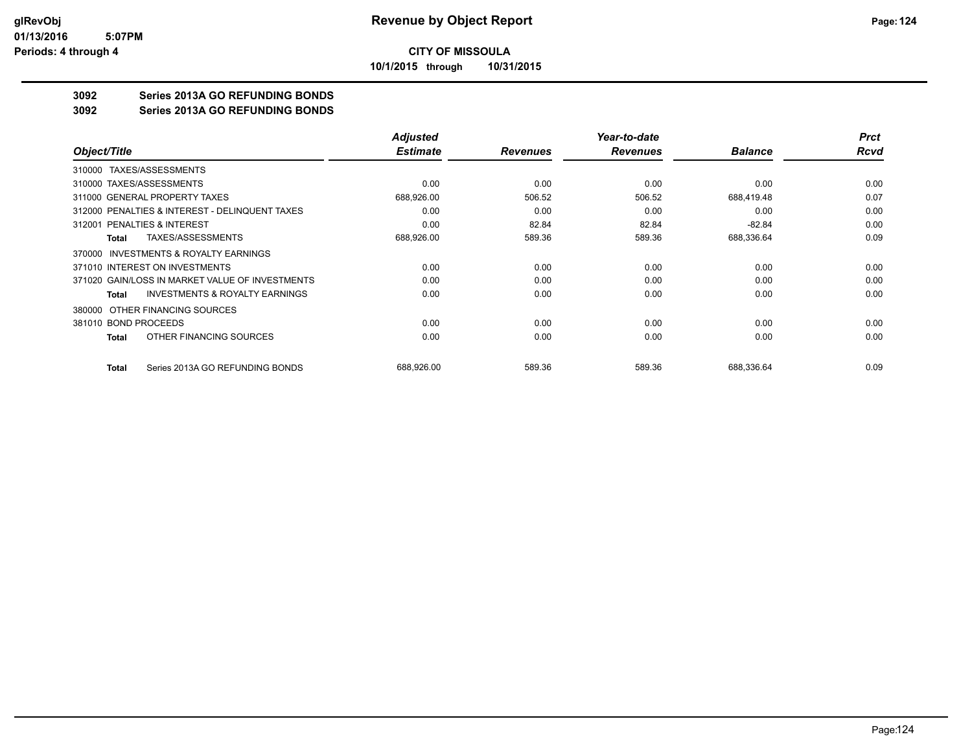**10/1/2015 through 10/31/2015**

## **3092 Series 2013A GO REFUNDING BONDS**

**3092 Series 2013A GO REFUNDING BONDS**

|                                                     | <b>Adjusted</b> |                 | Year-to-date    |                | <b>Prct</b> |
|-----------------------------------------------------|-----------------|-----------------|-----------------|----------------|-------------|
| Object/Title                                        | <b>Estimate</b> | <b>Revenues</b> | <b>Revenues</b> | <b>Balance</b> | <b>Rcvd</b> |
| 310000 TAXES/ASSESSMENTS                            |                 |                 |                 |                |             |
| 310000 TAXES/ASSESSMENTS                            | 0.00            | 0.00            | 0.00            | 0.00           | 0.00        |
| 311000 GENERAL PROPERTY TAXES                       | 688,926.00      | 506.52          | 506.52          | 688,419.48     | 0.07        |
| 312000 PENALTIES & INTEREST - DELINQUENT TAXES      | 0.00            | 0.00            | 0.00            | 0.00           | 0.00        |
| 312001 PENALTIES & INTEREST                         | 0.00            | 82.84           | 82.84           | $-82.84$       | 0.00        |
| TAXES/ASSESSMENTS<br>Total                          | 688,926.00      | 589.36          | 589.36          | 688,336.64     | 0.09        |
| <b>INVESTMENTS &amp; ROYALTY EARNINGS</b><br>370000 |                 |                 |                 |                |             |
| 371010 INTEREST ON INVESTMENTS                      | 0.00            | 0.00            | 0.00            | 0.00           | 0.00        |
| 371020 GAIN/LOSS IN MARKET VALUE OF INVESTMENTS     | 0.00            | 0.00            | 0.00            | 0.00           | 0.00        |
| <b>INVESTMENTS &amp; ROYALTY EARNINGS</b><br>Total  | 0.00            | 0.00            | 0.00            | 0.00           | 0.00        |
| OTHER FINANCING SOURCES<br>380000                   |                 |                 |                 |                |             |
| 381010 BOND PROCEEDS                                | 0.00            | 0.00            | 0.00            | 0.00           | 0.00        |
| OTHER FINANCING SOURCES<br>Total                    | 0.00            | 0.00            | 0.00            | 0.00           | 0.00        |
| Series 2013A GO REFUNDING BONDS<br><b>Total</b>     | 688,926.00      | 589.36          | 589.36          | 688,336.64     | 0.09        |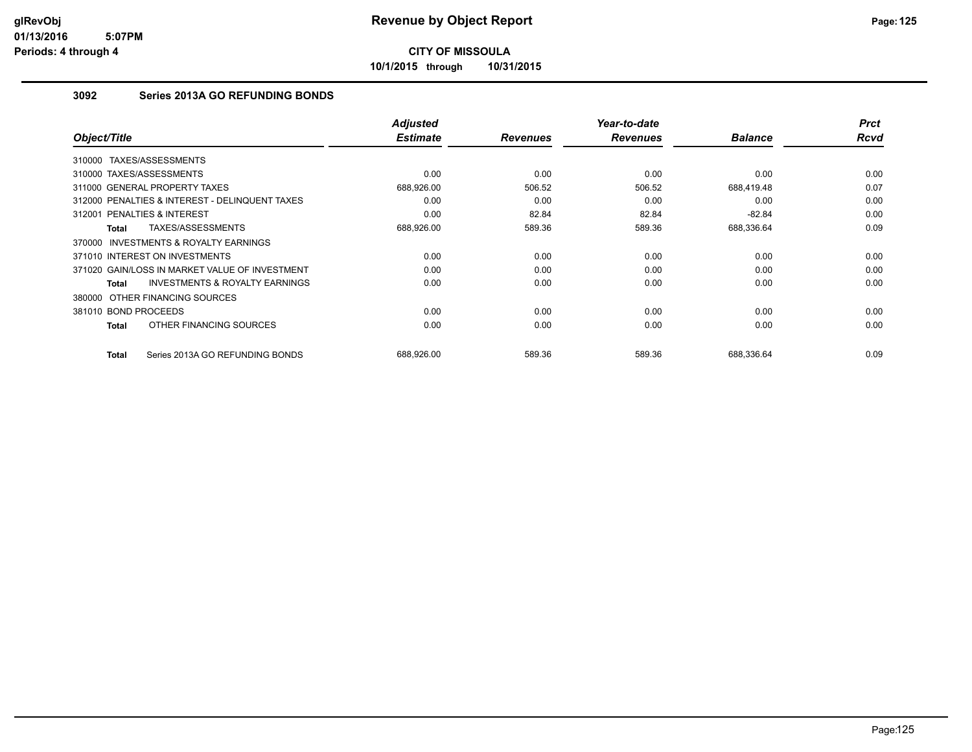**10/1/2015 through 10/31/2015**

## **3092 Series 2013A GO REFUNDING BONDS**

| Object/Title                                              | <b>Adjusted</b><br><b>Estimate</b> | <b>Revenues</b> | Year-to-date<br><b>Revenues</b> | <b>Balance</b> | <b>Prct</b><br><b>Rcvd</b> |
|-----------------------------------------------------------|------------------------------------|-----------------|---------------------------------|----------------|----------------------------|
| TAXES/ASSESSMENTS<br>310000                               |                                    |                 |                                 |                |                            |
| 310000 TAXES/ASSESSMENTS                                  | 0.00                               | 0.00            | 0.00                            | 0.00           | 0.00                       |
| 311000 GENERAL PROPERTY TAXES                             | 688,926.00                         | 506.52          | 506.52                          | 688,419.48     | 0.07                       |
| 312000 PENALTIES & INTEREST - DELINQUENT TAXES            | 0.00                               | 0.00            | 0.00                            | 0.00           | 0.00                       |
| 312001 PENALTIES & INTEREST                               | 0.00                               | 82.84           | 82.84                           | $-82.84$       | 0.00                       |
| TAXES/ASSESSMENTS<br><b>Total</b>                         | 688,926.00                         | 589.36          | 589.36                          | 688,336.64     | 0.09                       |
| <b>INVESTMENTS &amp; ROYALTY EARNINGS</b><br>370000       |                                    |                 |                                 |                |                            |
| 371010 INTEREST ON INVESTMENTS                            | 0.00                               | 0.00            | 0.00                            | 0.00           | 0.00                       |
| 371020 GAIN/LOSS IN MARKET VALUE OF INVESTMENT            | 0.00                               | 0.00            | 0.00                            | 0.00           | 0.00                       |
| <b>INVESTMENTS &amp; ROYALTY EARNINGS</b><br><b>Total</b> | 0.00                               | 0.00            | 0.00                            | 0.00           | 0.00                       |
| 380000 OTHER FINANCING SOURCES                            |                                    |                 |                                 |                |                            |
| 381010 BOND PROCEEDS                                      | 0.00                               | 0.00            | 0.00                            | 0.00           | 0.00                       |
| OTHER FINANCING SOURCES<br><b>Total</b>                   | 0.00                               | 0.00            | 0.00                            | 0.00           | 0.00                       |
| Series 2013A GO REFUNDING BONDS<br><b>Total</b>           | 688,926.00                         | 589.36          | 589.36                          | 688,336.64     | 0.09                       |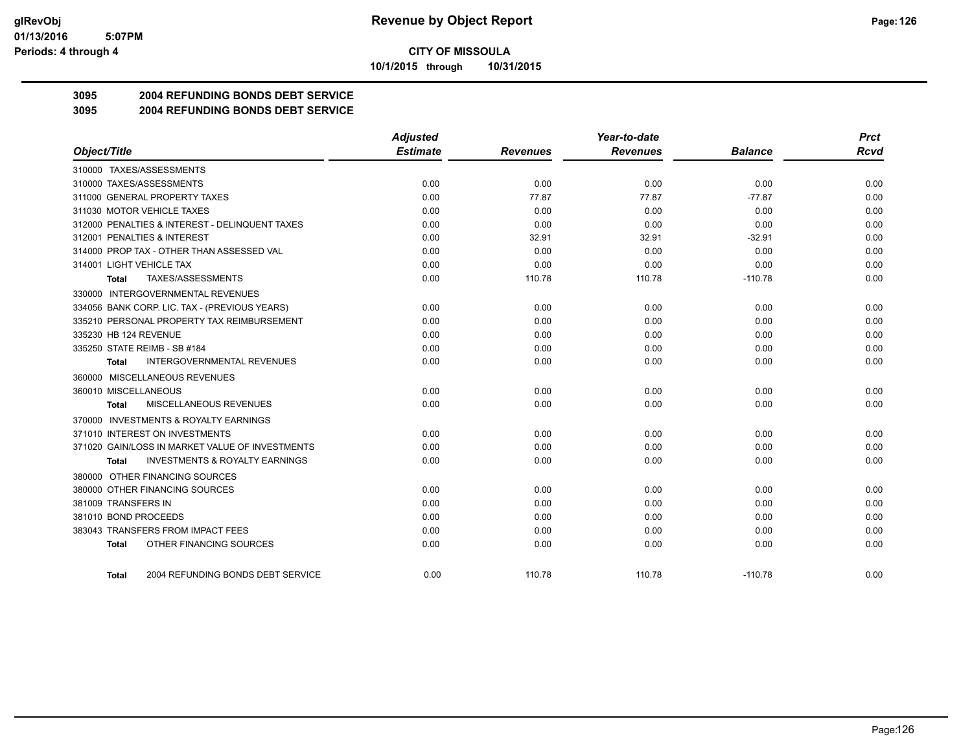**10/1/2015 through 10/31/2015**

## **3095 2004 REFUNDING BONDS DEBT SERVICE**

**3095 2004 REFUNDING BONDS DEBT SERVICE**

|                                                           | <b>Adjusted</b> |                 | Year-to-date    |                | <b>Prct</b> |
|-----------------------------------------------------------|-----------------|-----------------|-----------------|----------------|-------------|
| Object/Title                                              | <b>Estimate</b> | <b>Revenues</b> | <b>Revenues</b> | <b>Balance</b> | <b>Rcvd</b> |
| 310000 TAXES/ASSESSMENTS                                  |                 |                 |                 |                |             |
| 310000 TAXES/ASSESSMENTS                                  | 0.00            | 0.00            | 0.00            | 0.00           | 0.00        |
| 311000 GENERAL PROPERTY TAXES                             | 0.00            | 77.87           | 77.87           | $-77.87$       | 0.00        |
| 311030 MOTOR VEHICLE TAXES                                | 0.00            | 0.00            | 0.00            | 0.00           | 0.00        |
| 312000 PENALTIES & INTEREST - DELINQUENT TAXES            | 0.00            | 0.00            | 0.00            | 0.00           | 0.00        |
| 312001 PENALTIES & INTEREST                               | 0.00            | 32.91           | 32.91           | $-32.91$       | 0.00        |
| 314000 PROP TAX - OTHER THAN ASSESSED VAL                 | 0.00            | 0.00            | 0.00            | 0.00           | 0.00        |
| 314001 LIGHT VEHICLE TAX                                  | 0.00            | 0.00            | 0.00            | 0.00           | 0.00        |
| TAXES/ASSESSMENTS<br>Total                                | 0.00            | 110.78          | 110.78          | $-110.78$      | 0.00        |
| 330000 INTERGOVERNMENTAL REVENUES                         |                 |                 |                 |                |             |
| 334056 BANK CORP. LIC. TAX - (PREVIOUS YEARS)             | 0.00            | 0.00            | 0.00            | 0.00           | 0.00        |
| 335210 PERSONAL PROPERTY TAX REIMBURSEMENT                | 0.00            | 0.00            | 0.00            | 0.00           | 0.00        |
| 335230 HB 124 REVENUE                                     | 0.00            | 0.00            | 0.00            | 0.00           | 0.00        |
| 335250 STATE REIMB - SB #184                              | 0.00            | 0.00            | 0.00            | 0.00           | 0.00        |
| <b>INTERGOVERNMENTAL REVENUES</b><br>Total                | 0.00            | 0.00            | 0.00            | 0.00           | 0.00        |
| 360000 MISCELLANEOUS REVENUES                             |                 |                 |                 |                |             |
| 360010 MISCELLANEOUS                                      | 0.00            | 0.00            | 0.00            | 0.00           | 0.00        |
| MISCELLANEOUS REVENUES<br>Total                           | 0.00            | 0.00            | 0.00            | 0.00           | 0.00        |
| 370000 INVESTMENTS & ROYALTY EARNINGS                     |                 |                 |                 |                |             |
| 371010 INTEREST ON INVESTMENTS                            | 0.00            | 0.00            | 0.00            | 0.00           | 0.00        |
| 371020 GAIN/LOSS IN MARKET VALUE OF INVESTMENTS           | 0.00            | 0.00            | 0.00            | 0.00           | 0.00        |
| <b>INVESTMENTS &amp; ROYALTY EARNINGS</b><br><b>Total</b> | 0.00            | 0.00            | 0.00            | 0.00           | 0.00        |
| 380000 OTHER FINANCING SOURCES                            |                 |                 |                 |                |             |
| 380000 OTHER FINANCING SOURCES                            | 0.00            | 0.00            | 0.00            | 0.00           | 0.00        |
| 381009 TRANSFERS IN                                       | 0.00            | 0.00            | 0.00            | 0.00           | 0.00        |
| 381010 BOND PROCEEDS                                      | 0.00            | 0.00            | 0.00            | 0.00           | 0.00        |
| 383043 TRANSFERS FROM IMPACT FEES                         | 0.00            | 0.00            | 0.00            | 0.00           | 0.00        |
| OTHER FINANCING SOURCES<br><b>Total</b>                   | 0.00            | 0.00            | 0.00            | 0.00           | 0.00        |
| 2004 REFUNDING BONDS DEBT SERVICE<br><b>Total</b>         | 0.00            | 110.78          | 110.78          | $-110.78$      | 0.00        |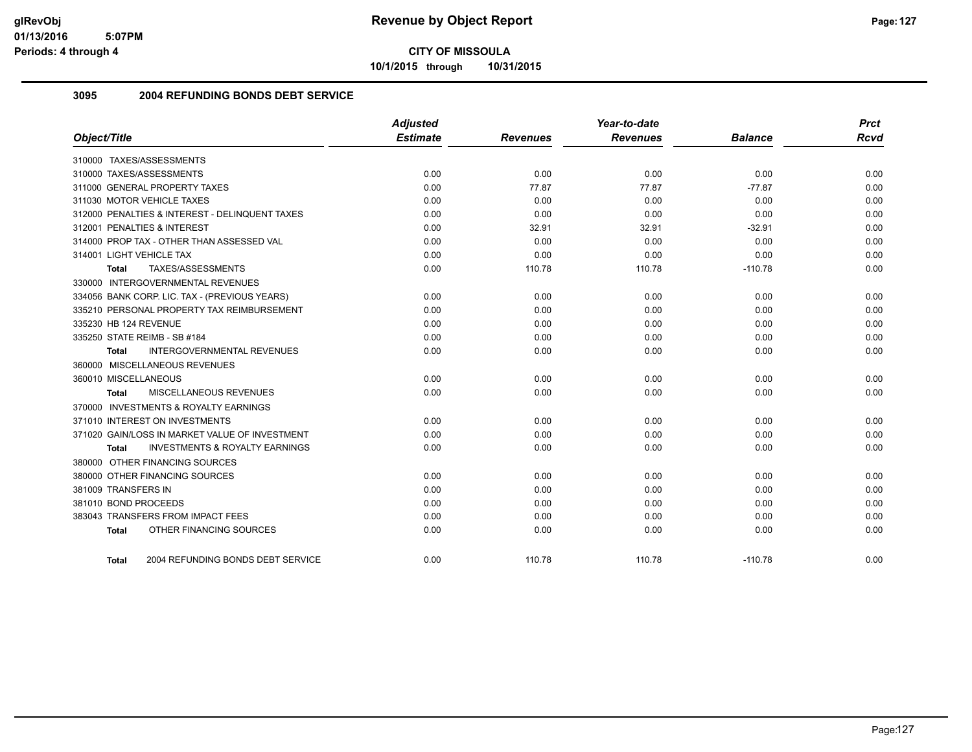**10/1/2015 through 10/31/2015**

## **3095 2004 REFUNDING BONDS DEBT SERVICE**

| Object/Title                                       | <b>Adjusted</b><br><b>Estimate</b> | <b>Revenues</b> | Year-to-date<br><b>Revenues</b> | <b>Balance</b> | <b>Prct</b><br><b>Rcvd</b> |
|----------------------------------------------------|------------------------------------|-----------------|---------------------------------|----------------|----------------------------|
| 310000 TAXES/ASSESSMENTS                           |                                    |                 |                                 |                |                            |
| 310000 TAXES/ASSESSMENTS                           | 0.00                               | 0.00            | 0.00                            | 0.00           | 0.00                       |
| 311000 GENERAL PROPERTY TAXES                      | 0.00                               | 77.87           | 77.87                           | $-77.87$       | 0.00                       |
| 311030 MOTOR VEHICLE TAXES                         | 0.00                               | 0.00            | 0.00                            | 0.00           | 0.00                       |
| 312000 PENALTIES & INTEREST - DELINQUENT TAXES     | 0.00                               | 0.00            | 0.00                            | 0.00           | 0.00                       |
| 312001 PENALTIES & INTEREST                        | 0.00                               | 32.91           | 32.91                           | $-32.91$       | 0.00                       |
| 314000 PROP TAX - OTHER THAN ASSESSED VAL          | 0.00                               | 0.00            | 0.00                            | 0.00           | 0.00                       |
| 314001 LIGHT VEHICLE TAX                           | 0.00                               | 0.00            | 0.00                            | 0.00           | 0.00                       |
| TAXES/ASSESSMENTS<br>Total                         | 0.00                               | 110.78          | 110.78                          | $-110.78$      | 0.00                       |
| 330000 INTERGOVERNMENTAL REVENUES                  |                                    |                 |                                 |                |                            |
| 334056 BANK CORP. LIC. TAX - (PREVIOUS YEARS)      | 0.00                               | 0.00            | 0.00                            | 0.00           | 0.00                       |
| 335210 PERSONAL PROPERTY TAX REIMBURSEMENT         | 0.00                               | 0.00            | 0.00                            | 0.00           | 0.00                       |
| 335230 HB 124 REVENUE                              | 0.00                               | 0.00            | 0.00                            | 0.00           | 0.00                       |
| 335250 STATE REIMB - SB #184                       | 0.00                               | 0.00            | 0.00                            | 0.00           | 0.00                       |
| <b>INTERGOVERNMENTAL REVENUES</b><br>Total         | 0.00                               | 0.00            | 0.00                            | 0.00           | 0.00                       |
| 360000 MISCELLANEOUS REVENUES                      |                                    |                 |                                 |                |                            |
| 360010 MISCELLANEOUS                               | 0.00                               | 0.00            | 0.00                            | 0.00           | 0.00                       |
| <b>MISCELLANEOUS REVENUES</b><br>Total             | 0.00                               | 0.00            | 0.00                            | 0.00           | 0.00                       |
| 370000 INVESTMENTS & ROYALTY EARNINGS              |                                    |                 |                                 |                |                            |
| 371010 INTEREST ON INVESTMENTS                     | 0.00                               | 0.00            | 0.00                            | 0.00           | 0.00                       |
| 371020 GAIN/LOSS IN MARKET VALUE OF INVESTMENT     | 0.00                               | 0.00            | 0.00                            | 0.00           | 0.00                       |
| <b>INVESTMENTS &amp; ROYALTY EARNINGS</b><br>Total | 0.00                               | 0.00            | 0.00                            | 0.00           | 0.00                       |
| 380000 OTHER FINANCING SOURCES                     |                                    |                 |                                 |                |                            |
| 380000 OTHER FINANCING SOURCES                     | 0.00                               | 0.00            | 0.00                            | 0.00           | 0.00                       |
| 381009 TRANSFERS IN                                | 0.00                               | 0.00            | 0.00                            | 0.00           | 0.00                       |
| 381010 BOND PROCEEDS                               | 0.00                               | 0.00            | 0.00                            | 0.00           | 0.00                       |
| 383043 TRANSFERS FROM IMPACT FEES                  | 0.00                               | 0.00            | 0.00                            | 0.00           | 0.00                       |
| OTHER FINANCING SOURCES<br><b>Total</b>            | 0.00                               | 0.00            | 0.00                            | 0.00           | 0.00                       |
| 2004 REFUNDING BONDS DEBT SERVICE<br><b>Total</b>  | 0.00                               | 110.78          | 110.78                          | $-110.78$      | 0.00                       |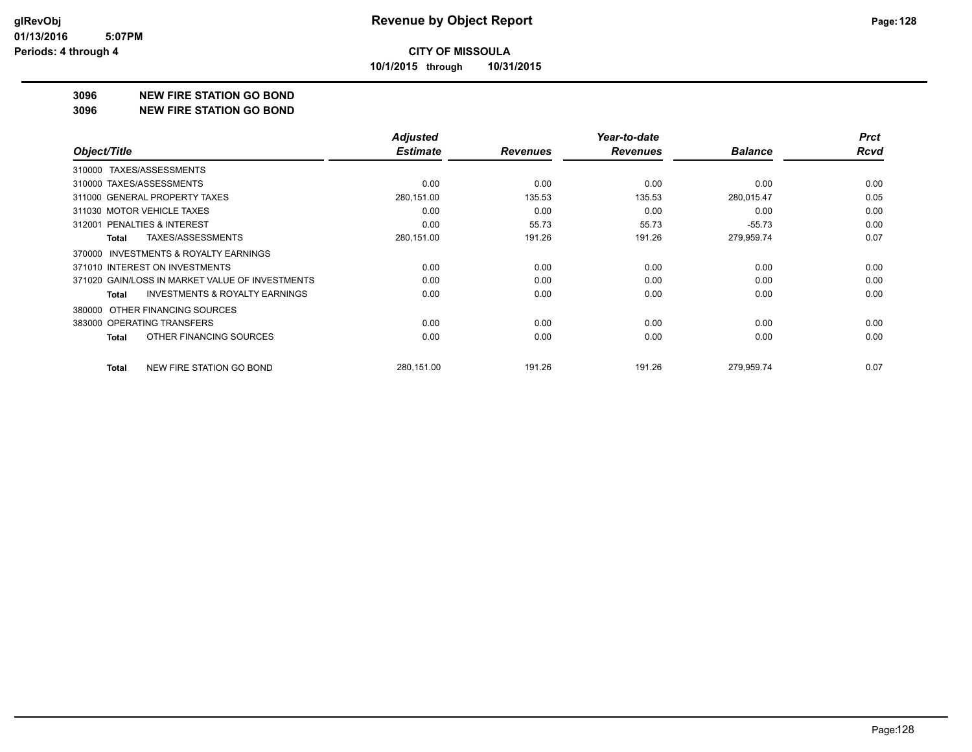**10/1/2015 through 10/31/2015**

#### **3096 NEW FIRE STATION GO BOND**

**3096 NEW FIRE STATION GO BOND**

|                                                     | <b>Adjusted</b> |                 | Year-to-date    |                | <b>Prct</b> |
|-----------------------------------------------------|-----------------|-----------------|-----------------|----------------|-------------|
| Object/Title                                        | <b>Estimate</b> | <b>Revenues</b> | <b>Revenues</b> | <b>Balance</b> | <b>Rcvd</b> |
| 310000 TAXES/ASSESSMENTS                            |                 |                 |                 |                |             |
| 310000 TAXES/ASSESSMENTS                            | 0.00            | 0.00            | 0.00            | 0.00           | 0.00        |
| 311000 GENERAL PROPERTY TAXES                       | 280,151.00      | 135.53          | 135.53          | 280,015.47     | 0.05        |
| 311030 MOTOR VEHICLE TAXES                          | 0.00            | 0.00            | 0.00            | 0.00           | 0.00        |
| 312001 PENALTIES & INTEREST                         | 0.00            | 55.73           | 55.73           | $-55.73$       | 0.00        |
| TAXES/ASSESSMENTS<br>Total                          | 280,151.00      | 191.26          | 191.26          | 279,959.74     | 0.07        |
| <b>INVESTMENTS &amp; ROYALTY EARNINGS</b><br>370000 |                 |                 |                 |                |             |
| 371010 INTEREST ON INVESTMENTS                      | 0.00            | 0.00            | 0.00            | 0.00           | 0.00        |
| 371020 GAIN/LOSS IN MARKET VALUE OF INVESTMENTS     | 0.00            | 0.00            | 0.00            | 0.00           | 0.00        |
| <b>INVESTMENTS &amp; ROYALTY EARNINGS</b><br>Total  | 0.00            | 0.00            | 0.00            | 0.00           | 0.00        |
| OTHER FINANCING SOURCES<br>380000                   |                 |                 |                 |                |             |
| 383000 OPERATING TRANSFERS                          | 0.00            | 0.00            | 0.00            | 0.00           | 0.00        |
| OTHER FINANCING SOURCES<br>Total                    | 0.00            | 0.00            | 0.00            | 0.00           | 0.00        |
| NEW FIRE STATION GO BOND<br><b>Total</b>            | 280,151.00      | 191.26          | 191.26          | 279,959.74     | 0.07        |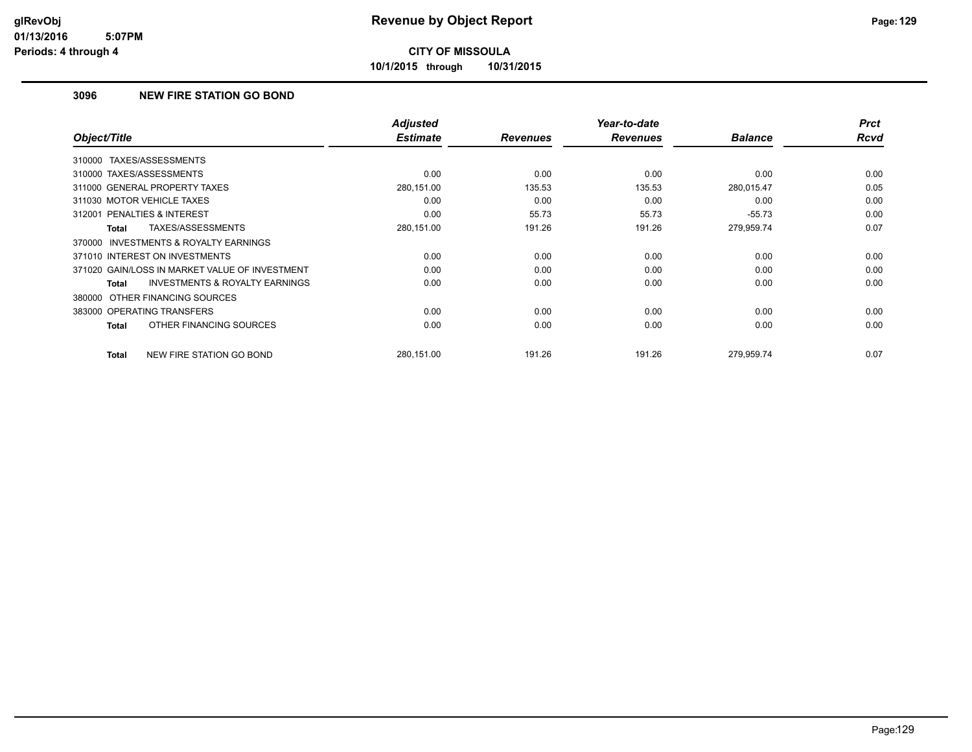**10/1/2015 through 10/31/2015**

## **3096 NEW FIRE STATION GO BOND**

| Object/Title                                              | <b>Adjusted</b><br><b>Estimate</b> | <b>Revenues</b> | Year-to-date<br><b>Revenues</b> | <b>Balance</b> | <b>Prct</b><br><b>Rcvd</b> |
|-----------------------------------------------------------|------------------------------------|-----------------|---------------------------------|----------------|----------------------------|
|                                                           |                                    |                 |                                 |                |                            |
| 310000 TAXES/ASSESSMENTS                                  |                                    |                 |                                 |                |                            |
| 310000 TAXES/ASSESSMENTS                                  | 0.00                               | 0.00            | 0.00                            | 0.00           | 0.00                       |
| 311000 GENERAL PROPERTY TAXES                             | 280,151.00                         | 135.53          | 135.53                          | 280,015.47     | 0.05                       |
| 311030 MOTOR VEHICLE TAXES                                | 0.00                               | 0.00            | 0.00                            | 0.00           | 0.00                       |
| PENALTIES & INTEREST<br>312001                            | 0.00                               | 55.73           | 55.73                           | $-55.73$       | 0.00                       |
| TAXES/ASSESSMENTS<br><b>Total</b>                         | 280,151.00                         | 191.26          | 191.26                          | 279,959.74     | 0.07                       |
| <b>INVESTMENTS &amp; ROYALTY EARNINGS</b><br>370000       |                                    |                 |                                 |                |                            |
| 371010 INTEREST ON INVESTMENTS                            | 0.00                               | 0.00            | 0.00                            | 0.00           | 0.00                       |
| 371020 GAIN/LOSS IN MARKET VALUE OF INVESTMENT            | 0.00                               | 0.00            | 0.00                            | 0.00           | 0.00                       |
| <b>INVESTMENTS &amp; ROYALTY EARNINGS</b><br><b>Total</b> | 0.00                               | 0.00            | 0.00                            | 0.00           | 0.00                       |
| 380000 OTHER FINANCING SOURCES                            |                                    |                 |                                 |                |                            |
| 383000 OPERATING TRANSFERS                                | 0.00                               | 0.00            | 0.00                            | 0.00           | 0.00                       |
| OTHER FINANCING SOURCES<br><b>Total</b>                   | 0.00                               | 0.00            | 0.00                            | 0.00           | 0.00                       |
| NEW FIRE STATION GO BOND<br><b>Total</b>                  | 280,151.00                         | 191.26          | 191.26                          | 279,959.74     | 0.07                       |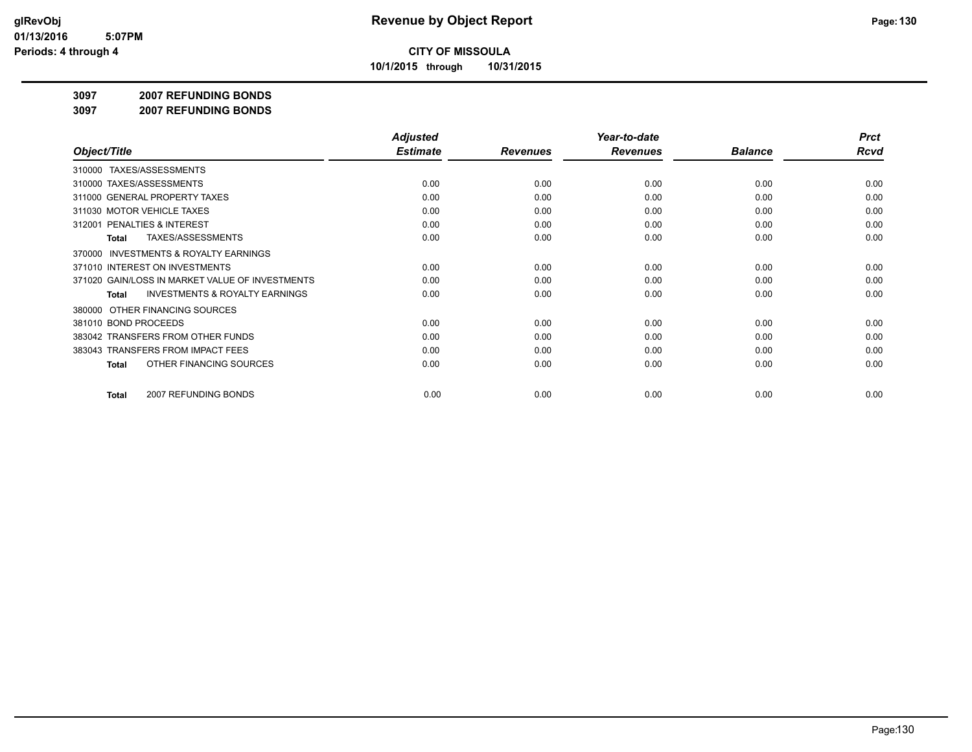**10/1/2015 through 10/31/2015**

#### **3097 2007 REFUNDING BONDS**

**3097 2007 REFUNDING BONDS**

|                                                     | <b>Adjusted</b> |                 | Year-to-date    |                | <b>Prct</b> |
|-----------------------------------------------------|-----------------|-----------------|-----------------|----------------|-------------|
| Object/Title                                        | <b>Estimate</b> | <b>Revenues</b> | <b>Revenues</b> | <b>Balance</b> | <b>Rcvd</b> |
| 310000 TAXES/ASSESSMENTS                            |                 |                 |                 |                |             |
| 310000 TAXES/ASSESSMENTS                            | 0.00            | 0.00            | 0.00            | 0.00           | 0.00        |
| 311000 GENERAL PROPERTY TAXES                       | 0.00            | 0.00            | 0.00            | 0.00           | 0.00        |
| 311030 MOTOR VEHICLE TAXES                          | 0.00            | 0.00            | 0.00            | 0.00           | 0.00        |
| 312001 PENALTIES & INTEREST                         | 0.00            | 0.00            | 0.00            | 0.00           | 0.00        |
| <b>TAXES/ASSESSMENTS</b><br><b>Total</b>            | 0.00            | 0.00            | 0.00            | 0.00           | 0.00        |
| <b>INVESTMENTS &amp; ROYALTY EARNINGS</b><br>370000 |                 |                 |                 |                |             |
| 371010 INTEREST ON INVESTMENTS                      | 0.00            | 0.00            | 0.00            | 0.00           | 0.00        |
| 371020 GAIN/LOSS IN MARKET VALUE OF INVESTMENTS     | 0.00            | 0.00            | 0.00            | 0.00           | 0.00        |
| <b>INVESTMENTS &amp; ROYALTY EARNINGS</b><br>Total  | 0.00            | 0.00            | 0.00            | 0.00           | 0.00        |
| OTHER FINANCING SOURCES<br>380000                   |                 |                 |                 |                |             |
| 381010 BOND PROCEEDS                                | 0.00            | 0.00            | 0.00            | 0.00           | 0.00        |
| 383042 TRANSFERS FROM OTHER FUNDS                   | 0.00            | 0.00            | 0.00            | 0.00           | 0.00        |
| 383043 TRANSFERS FROM IMPACT FEES                   | 0.00            | 0.00            | 0.00            | 0.00           | 0.00        |
| OTHER FINANCING SOURCES<br><b>Total</b>             | 0.00            | 0.00            | 0.00            | 0.00           | 0.00        |
| 2007 REFUNDING BONDS<br><b>Total</b>                | 0.00            | 0.00            | 0.00            | 0.00           | 0.00        |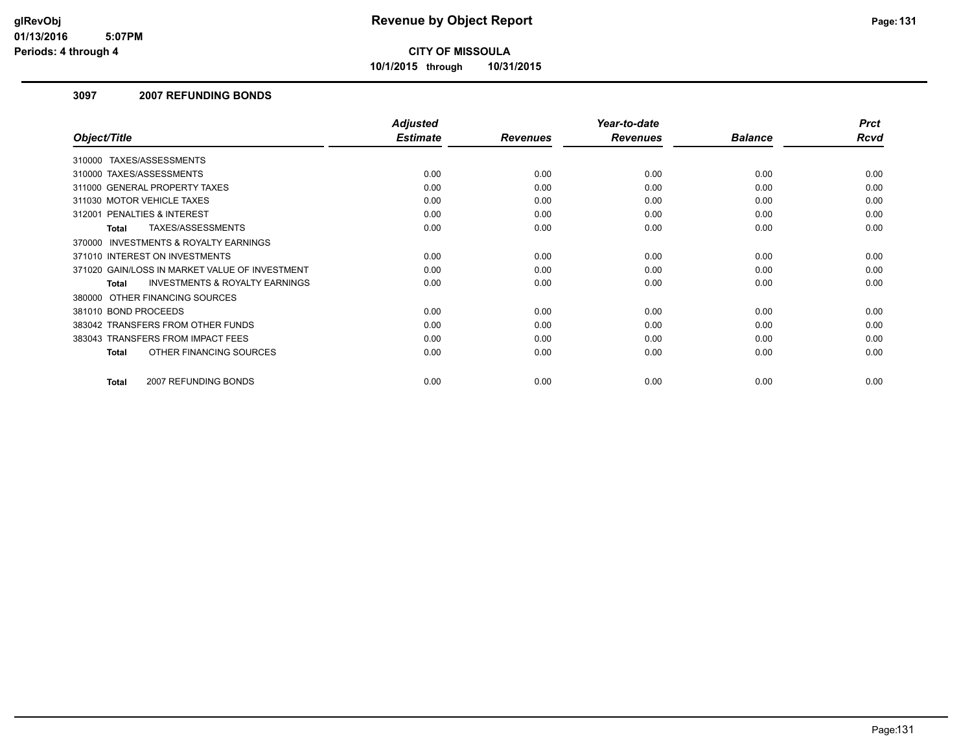**10/1/2015 through 10/31/2015**

### **3097 2007 REFUNDING BONDS**

|                                                           | <b>Adjusted</b> |                 | Year-to-date    |                | <b>Prct</b> |
|-----------------------------------------------------------|-----------------|-----------------|-----------------|----------------|-------------|
| Object/Title                                              | <b>Estimate</b> | <b>Revenues</b> | <b>Revenues</b> | <b>Balance</b> | Rcvd        |
| 310000 TAXES/ASSESSMENTS                                  |                 |                 |                 |                |             |
| 310000 TAXES/ASSESSMENTS                                  | 0.00            | 0.00            | 0.00            | 0.00           | 0.00        |
| 311000 GENERAL PROPERTY TAXES                             | 0.00            | 0.00            | 0.00            | 0.00           | 0.00        |
| 311030 MOTOR VEHICLE TAXES                                | 0.00            | 0.00            | 0.00            | 0.00           | 0.00        |
| PENALTIES & INTEREST<br>312001                            | 0.00            | 0.00            | 0.00            | 0.00           | 0.00        |
| TAXES/ASSESSMENTS<br>Total                                | 0.00            | 0.00            | 0.00            | 0.00           | 0.00        |
| 370000 INVESTMENTS & ROYALTY EARNINGS                     |                 |                 |                 |                |             |
| 371010 INTEREST ON INVESTMENTS                            | 0.00            | 0.00            | 0.00            | 0.00           | 0.00        |
| 371020 GAIN/LOSS IN MARKET VALUE OF INVESTMENT            | 0.00            | 0.00            | 0.00            | 0.00           | 0.00        |
| <b>INVESTMENTS &amp; ROYALTY EARNINGS</b><br><b>Total</b> | 0.00            | 0.00            | 0.00            | 0.00           | 0.00        |
| 380000 OTHER FINANCING SOURCES                            |                 |                 |                 |                |             |
| 381010 BOND PROCEEDS                                      | 0.00            | 0.00            | 0.00            | 0.00           | 0.00        |
| 383042 TRANSFERS FROM OTHER FUNDS                         | 0.00            | 0.00            | 0.00            | 0.00           | 0.00        |
| 383043 TRANSFERS FROM IMPACT FEES                         | 0.00            | 0.00            | 0.00            | 0.00           | 0.00        |
| OTHER FINANCING SOURCES<br><b>Total</b>                   | 0.00            | 0.00            | 0.00            | 0.00           | 0.00        |
| 2007 REFUNDING BONDS<br><b>Total</b>                      | 0.00            | 0.00            | 0.00            | 0.00           | 0.00        |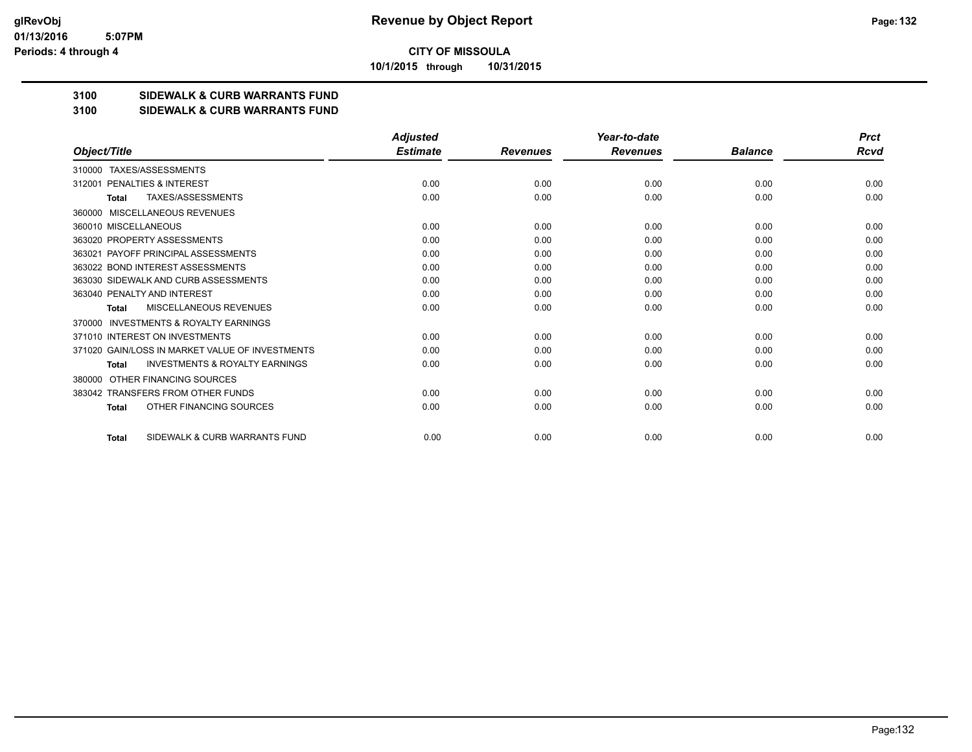**10/1/2015 through 10/31/2015**

## **3100 SIDEWALK & CURB WARRANTS FUND**

#### **3100 SIDEWALK & CURB WARRANTS FUND**

|                                                           | <b>Adjusted</b> |                 | Year-to-date    |                | <b>Prct</b> |
|-----------------------------------------------------------|-----------------|-----------------|-----------------|----------------|-------------|
| Object/Title                                              | <b>Estimate</b> | <b>Revenues</b> | <b>Revenues</b> | <b>Balance</b> | Rcvd        |
| TAXES/ASSESSMENTS<br>310000                               |                 |                 |                 |                |             |
| 312001 PENALTIES & INTEREST                               | 0.00            | 0.00            | 0.00            | 0.00           | 0.00        |
| TAXES/ASSESSMENTS<br><b>Total</b>                         | 0.00            | 0.00            | 0.00            | 0.00           | 0.00        |
| MISCELLANEOUS REVENUES<br>360000                          |                 |                 |                 |                |             |
| 360010 MISCELLANEOUS                                      | 0.00            | 0.00            | 0.00            | 0.00           | 0.00        |
| 363020 PROPERTY ASSESSMENTS                               | 0.00            | 0.00            | 0.00            | 0.00           | 0.00        |
| PAYOFF PRINCIPAL ASSESSMENTS<br>363021                    | 0.00            | 0.00            | 0.00            | 0.00           | 0.00        |
| 363022 BOND INTEREST ASSESSMENTS                          | 0.00            | 0.00            | 0.00            | 0.00           | 0.00        |
| 363030 SIDEWALK AND CURB ASSESSMENTS                      | 0.00            | 0.00            | 0.00            | 0.00           | 0.00        |
| 363040 PENALTY AND INTEREST                               | 0.00            | 0.00            | 0.00            | 0.00           | 0.00        |
| MISCELLANEOUS REVENUES<br>Total                           | 0.00            | 0.00            | 0.00            | 0.00           | 0.00        |
| <b>INVESTMENTS &amp; ROYALTY EARNINGS</b><br>370000       |                 |                 |                 |                |             |
| 371010 INTEREST ON INVESTMENTS                            | 0.00            | 0.00            | 0.00            | 0.00           | 0.00        |
| 371020 GAIN/LOSS IN MARKET VALUE OF INVESTMENTS           | 0.00            | 0.00            | 0.00            | 0.00           | 0.00        |
| <b>INVESTMENTS &amp; ROYALTY EARNINGS</b><br><b>Total</b> | 0.00            | 0.00            | 0.00            | 0.00           | 0.00        |
| OTHER FINANCING SOURCES<br>380000                         |                 |                 |                 |                |             |
| 383042 TRANSFERS FROM OTHER FUNDS                         | 0.00            | 0.00            | 0.00            | 0.00           | 0.00        |
| OTHER FINANCING SOURCES<br>Total                          | 0.00            | 0.00            | 0.00            | 0.00           | 0.00        |
| SIDEWALK & CURB WARRANTS FUND<br><b>Total</b>             | 0.00            | 0.00            | 0.00            | 0.00           | 0.00        |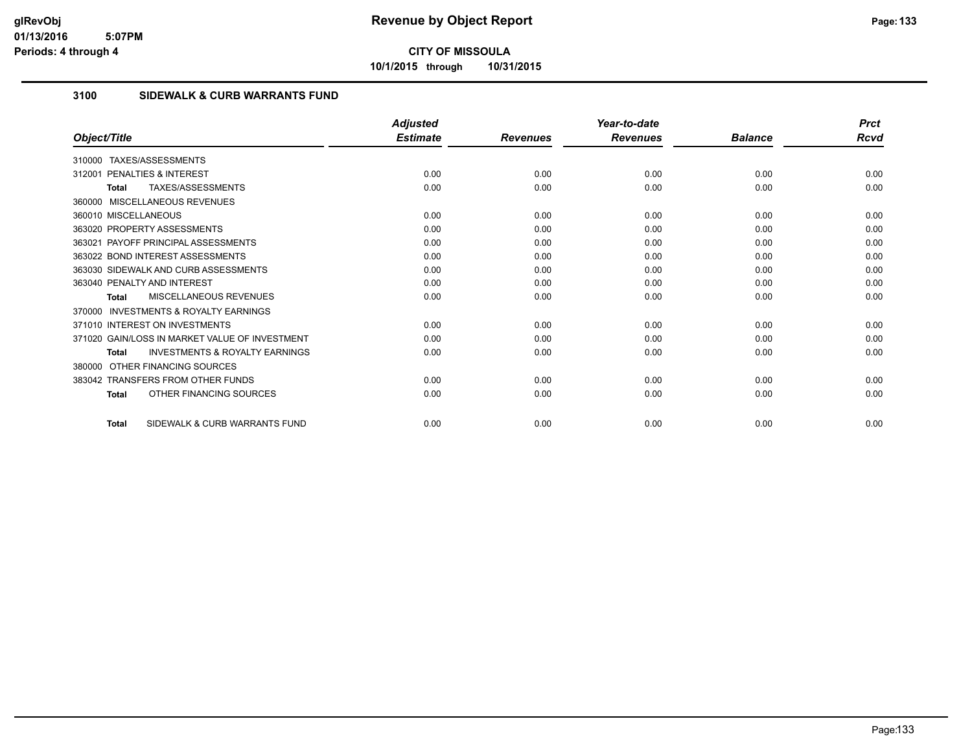**10/1/2015 through 10/31/2015**

## **3100 SIDEWALK & CURB WARRANTS FUND**

|                                                           | <b>Adjusted</b> |                 | Year-to-date    |                | <b>Prct</b> |
|-----------------------------------------------------------|-----------------|-----------------|-----------------|----------------|-------------|
| Object/Title                                              | <b>Estimate</b> | <b>Revenues</b> | <b>Revenues</b> | <b>Balance</b> | Rcvd        |
| TAXES/ASSESSMENTS<br>310000                               |                 |                 |                 |                |             |
| <b>PENALTIES &amp; INTEREST</b><br>312001                 | 0.00            | 0.00            | 0.00            | 0.00           | 0.00        |
| TAXES/ASSESSMENTS<br>Total                                | 0.00            | 0.00            | 0.00            | 0.00           | 0.00        |
| 360000 MISCELLANEOUS REVENUES                             |                 |                 |                 |                |             |
| 360010 MISCELLANEOUS                                      | 0.00            | 0.00            | 0.00            | 0.00           | 0.00        |
| 363020 PROPERTY ASSESSMENTS                               | 0.00            | 0.00            | 0.00            | 0.00           | 0.00        |
| 363021 PAYOFF PRINCIPAL ASSESSMENTS                       | 0.00            | 0.00            | 0.00            | 0.00           | 0.00        |
| 363022 BOND INTEREST ASSESSMENTS                          | 0.00            | 0.00            | 0.00            | 0.00           | 0.00        |
| 363030 SIDEWALK AND CURB ASSESSMENTS                      | 0.00            | 0.00            | 0.00            | 0.00           | 0.00        |
| 363040 PENALTY AND INTEREST                               | 0.00            | 0.00            | 0.00            | 0.00           | 0.00        |
| MISCELLANEOUS REVENUES<br>Total                           | 0.00            | 0.00            | 0.00            | 0.00           | 0.00        |
| <b>INVESTMENTS &amp; ROYALTY EARNINGS</b><br>370000       |                 |                 |                 |                |             |
| 371010 INTEREST ON INVESTMENTS                            | 0.00            | 0.00            | 0.00            | 0.00           | 0.00        |
| 371020 GAIN/LOSS IN MARKET VALUE OF INVESTMENT            | 0.00            | 0.00            | 0.00            | 0.00           | 0.00        |
| <b>INVESTMENTS &amp; ROYALTY EARNINGS</b><br><b>Total</b> | 0.00            | 0.00            | 0.00            | 0.00           | 0.00        |
| OTHER FINANCING SOURCES<br>380000                         |                 |                 |                 |                |             |
| 383042 TRANSFERS FROM OTHER FUNDS                         | 0.00            | 0.00            | 0.00            | 0.00           | 0.00        |
| OTHER FINANCING SOURCES<br><b>Total</b>                   | 0.00            | 0.00            | 0.00            | 0.00           | 0.00        |
| SIDEWALK & CURB WARRANTS FUND<br><b>Total</b>             | 0.00            | 0.00            | 0.00            | 0.00           | 0.00        |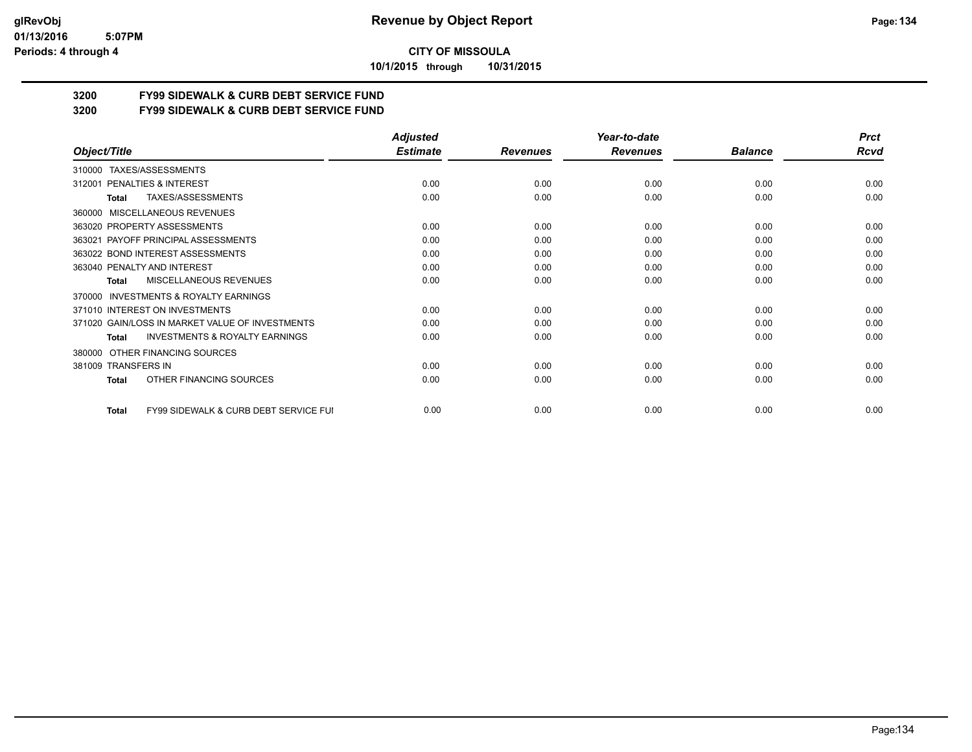**10/1/2015 through 10/31/2015**

## **3200 FY99 SIDEWALK & CURB DEBT SERVICE FUND**

**3200 FY99 SIDEWALK & CURB DEBT SERVICE FUND**

|                                                                  | <b>Adjusted</b> |                 | Year-to-date    |                | <b>Prct</b> |
|------------------------------------------------------------------|-----------------|-----------------|-----------------|----------------|-------------|
| Object/Title                                                     | <b>Estimate</b> | <b>Revenues</b> | <b>Revenues</b> | <b>Balance</b> | <b>Rcvd</b> |
| TAXES/ASSESSMENTS<br>310000                                      |                 |                 |                 |                |             |
| PENALTIES & INTEREST<br>312001                                   | 0.00            | 0.00            | 0.00            | 0.00           | 0.00        |
| TAXES/ASSESSMENTS<br>Total                                       | 0.00            | 0.00            | 0.00            | 0.00           | 0.00        |
| <b>MISCELLANEOUS REVENUES</b><br>360000                          |                 |                 |                 |                |             |
| 363020 PROPERTY ASSESSMENTS                                      | 0.00            | 0.00            | 0.00            | 0.00           | 0.00        |
| 363021 PAYOFF PRINCIPAL ASSESSMENTS                              | 0.00            | 0.00            | 0.00            | 0.00           | 0.00        |
| 363022 BOND INTEREST ASSESSMENTS                                 | 0.00            | 0.00            | 0.00            | 0.00           | 0.00        |
| 363040 PENALTY AND INTEREST                                      | 0.00            | 0.00            | 0.00            | 0.00           | 0.00        |
| MISCELLANEOUS REVENUES<br>Total                                  | 0.00            | 0.00            | 0.00            | 0.00           | 0.00        |
| <b>INVESTMENTS &amp; ROYALTY EARNINGS</b><br>370000              |                 |                 |                 |                |             |
| 371010 INTEREST ON INVESTMENTS                                   | 0.00            | 0.00            | 0.00            | 0.00           | 0.00        |
| 371020 GAIN/LOSS IN MARKET VALUE OF INVESTMENTS                  | 0.00            | 0.00            | 0.00            | 0.00           | 0.00        |
| <b>INVESTMENTS &amp; ROYALTY EARNINGS</b><br><b>Total</b>        | 0.00            | 0.00            | 0.00            | 0.00           | 0.00        |
| OTHER FINANCING SOURCES<br>380000                                |                 |                 |                 |                |             |
| 381009 TRANSFERS IN                                              | 0.00            | 0.00            | 0.00            | 0.00           | 0.00        |
| OTHER FINANCING SOURCES<br><b>Total</b>                          | 0.00            | 0.00            | 0.00            | 0.00           | 0.00        |
| <b>FY99 SIDEWALK &amp; CURB DEBT SERVICE FUI</b><br><b>Total</b> | 0.00            | 0.00            | 0.00            | 0.00           | 0.00        |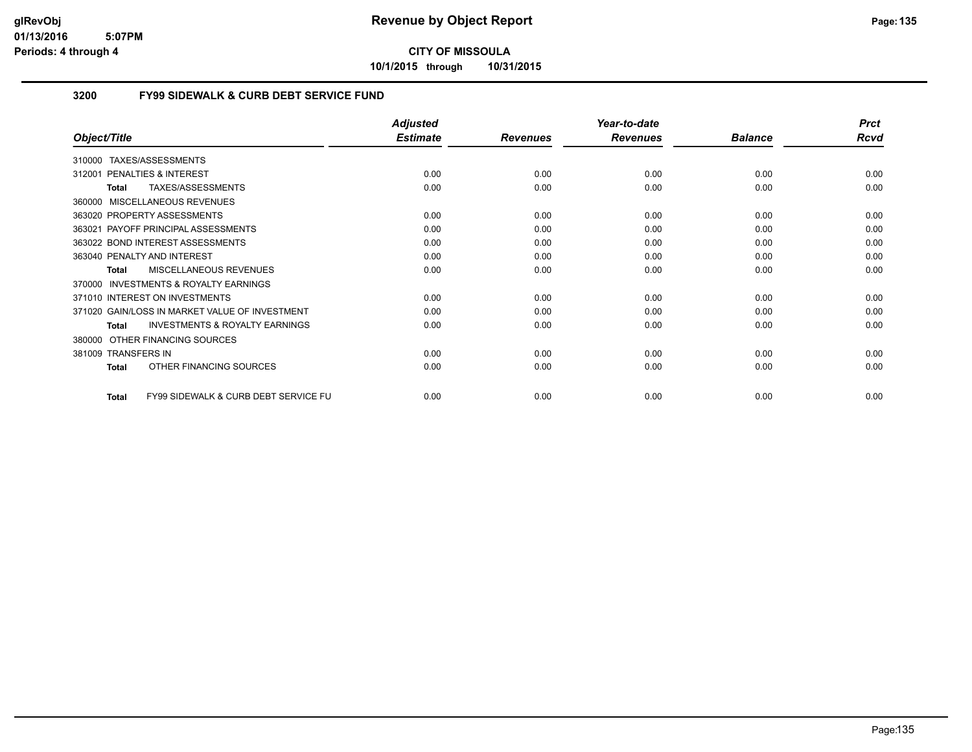**10/1/2015 through 10/31/2015**

## **3200 FY99 SIDEWALK & CURB DEBT SERVICE FUND**

|                                                                 | <b>Adjusted</b> |                 | Year-to-date    |                | <b>Prct</b> |
|-----------------------------------------------------------------|-----------------|-----------------|-----------------|----------------|-------------|
| Object/Title                                                    | <b>Estimate</b> | <b>Revenues</b> | <b>Revenues</b> | <b>Balance</b> | <b>Rcvd</b> |
| TAXES/ASSESSMENTS<br>310000                                     |                 |                 |                 |                |             |
| <b>PENALTIES &amp; INTEREST</b><br>312001                       | 0.00            | 0.00            | 0.00            | 0.00           | 0.00        |
| TAXES/ASSESSMENTS<br>Total                                      | 0.00            | 0.00            | 0.00            | 0.00           | 0.00        |
| <b>MISCELLANEOUS REVENUES</b><br>360000                         |                 |                 |                 |                |             |
| 363020 PROPERTY ASSESSMENTS                                     | 0.00            | 0.00            | 0.00            | 0.00           | 0.00        |
| PAYOFF PRINCIPAL ASSESSMENTS<br>363021                          | 0.00            | 0.00            | 0.00            | 0.00           | 0.00        |
| 363022 BOND INTEREST ASSESSMENTS                                | 0.00            | 0.00            | 0.00            | 0.00           | 0.00        |
| 363040 PENALTY AND INTEREST                                     | 0.00            | 0.00            | 0.00            | 0.00           | 0.00        |
| MISCELLANEOUS REVENUES<br><b>Total</b>                          | 0.00            | 0.00            | 0.00            | 0.00           | 0.00        |
| <b>INVESTMENTS &amp; ROYALTY EARNINGS</b><br>370000             |                 |                 |                 |                |             |
| 371010 INTEREST ON INVESTMENTS                                  | 0.00            | 0.00            | 0.00            | 0.00           | 0.00        |
| 371020 GAIN/LOSS IN MARKET VALUE OF INVESTMENT                  | 0.00            | 0.00            | 0.00            | 0.00           | 0.00        |
| <b>INVESTMENTS &amp; ROYALTY EARNINGS</b><br><b>Total</b>       | 0.00            | 0.00            | 0.00            | 0.00           | 0.00        |
| OTHER FINANCING SOURCES<br>380000                               |                 |                 |                 |                |             |
| 381009 TRANSFERS IN                                             | 0.00            | 0.00            | 0.00            | 0.00           | 0.00        |
| OTHER FINANCING SOURCES<br><b>Total</b>                         | 0.00            | 0.00            | 0.00            | 0.00           | 0.00        |
| <b>FY99 SIDEWALK &amp; CURB DEBT SERVICE FU</b><br><b>Total</b> | 0.00            | 0.00            | 0.00            | 0.00           | 0.00        |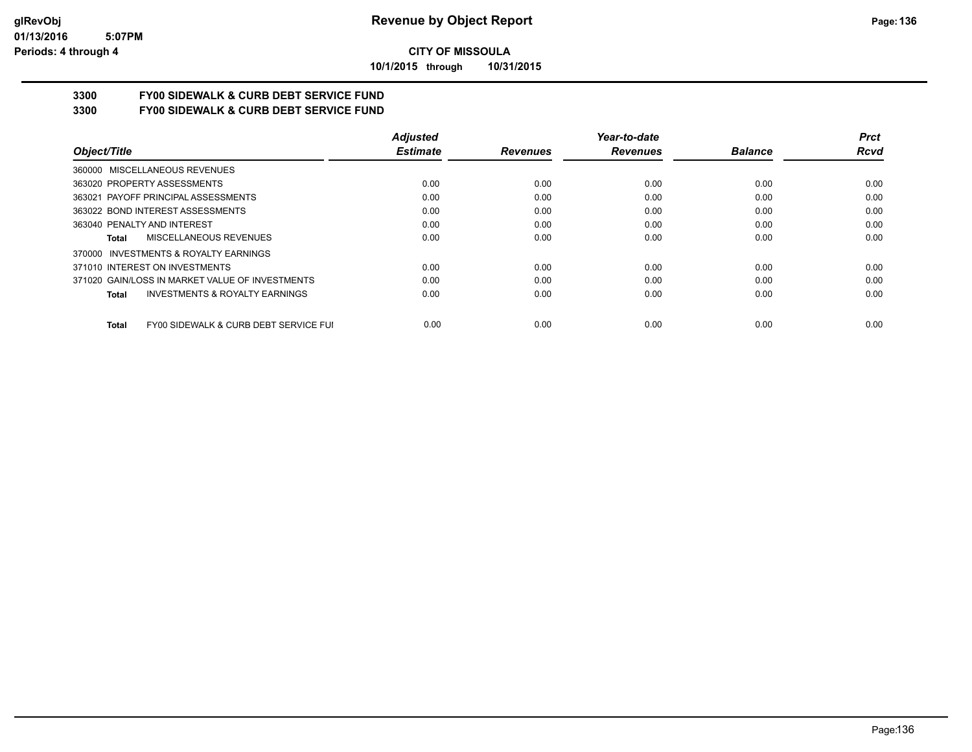**10/1/2015 through 10/31/2015**

# **3300 FY00 SIDEWALK & CURB DEBT SERVICE FUND**

**3300 FY00 SIDEWALK & CURB DEBT SERVICE FUND**

|                                                       | <b>Adjusted</b> |                 | Year-to-date    |                | <b>Prct</b> |
|-------------------------------------------------------|-----------------|-----------------|-----------------|----------------|-------------|
| Object/Title                                          | <b>Estimate</b> | <b>Revenues</b> | <b>Revenues</b> | <b>Balance</b> | <b>Rcvd</b> |
| 360000 MISCELLANEOUS REVENUES                         |                 |                 |                 |                |             |
| 363020 PROPERTY ASSESSMENTS                           | 0.00            | 0.00            | 0.00            | 0.00           | 0.00        |
| 363021 PAYOFF PRINCIPAL ASSESSMENTS                   | 0.00            | 0.00            | 0.00            | 0.00           | 0.00        |
| 363022 BOND INTEREST ASSESSMENTS                      | 0.00            | 0.00            | 0.00            | 0.00           | 0.00        |
| 363040 PENALTY AND INTEREST                           | 0.00            | 0.00            | 0.00            | 0.00           | 0.00        |
| MISCELLANEOUS REVENUES<br>Total                       | 0.00            | 0.00            | 0.00            | 0.00           | 0.00        |
| 370000 INVESTMENTS & ROYALTY EARNINGS                 |                 |                 |                 |                |             |
| 371010 INTEREST ON INVESTMENTS                        | 0.00            | 0.00            | 0.00            | 0.00           | 0.00        |
| 371020 GAIN/LOSS IN MARKET VALUE OF INVESTMENTS       | 0.00            | 0.00            | 0.00            | 0.00           | 0.00        |
| <b>INVESTMENTS &amp; ROYALTY EARNINGS</b><br>Total    | 0.00            | 0.00            | 0.00            | 0.00           | 0.00        |
| FY00 SIDEWALK & CURB DEBT SERVICE FUI<br><b>Total</b> | 0.00            | 0.00            | 0.00            | 0.00           | 0.00        |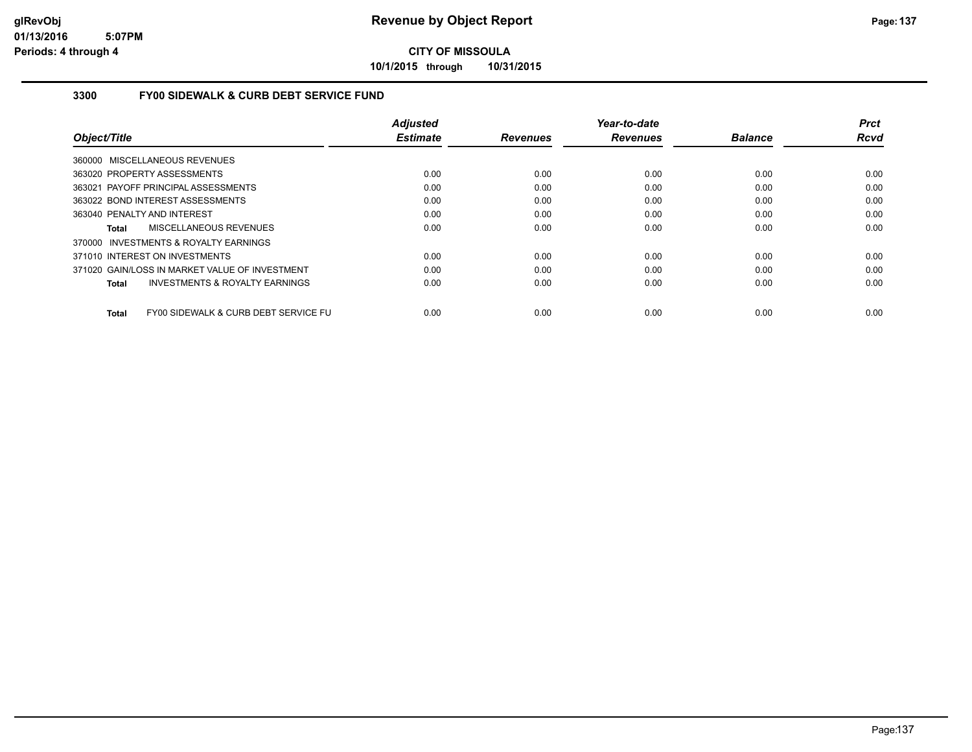**10/1/2015 through 10/31/2015**

## **3300 FY00 SIDEWALK & CURB DEBT SERVICE FUND**

|                                                    | <b>Adjusted</b> |                 | Year-to-date    |                | <b>Prct</b> |
|----------------------------------------------------|-----------------|-----------------|-----------------|----------------|-------------|
| Object/Title                                       | <b>Estimate</b> | <b>Revenues</b> | <b>Revenues</b> | <b>Balance</b> | <b>Rcvd</b> |
| 360000 MISCELLANEOUS REVENUES                      |                 |                 |                 |                |             |
| 363020 PROPERTY ASSESSMENTS                        | 0.00            | 0.00            | 0.00            | 0.00           | 0.00        |
| 363021 PAYOFF PRINCIPAL ASSESSMENTS                | 0.00            | 0.00            | 0.00            | 0.00           | 0.00        |
| 363022 BOND INTEREST ASSESSMENTS                   | 0.00            | 0.00            | 0.00            | 0.00           | 0.00        |
| 363040 PENALTY AND INTEREST                        | 0.00            | 0.00            | 0.00            | 0.00           | 0.00        |
| MISCELLANEOUS REVENUES<br>Total                    | 0.00            | 0.00            | 0.00            | 0.00           | 0.00        |
| 370000 INVESTMENTS & ROYALTY EARNINGS              |                 |                 |                 |                |             |
| 371010 INTEREST ON INVESTMENTS                     | 0.00            | 0.00            | 0.00            | 0.00           | 0.00        |
| 371020 GAIN/LOSS IN MARKET VALUE OF INVESTMENT     | 0.00            | 0.00            | 0.00            | 0.00           | 0.00        |
| <b>INVESTMENTS &amp; ROYALTY EARNINGS</b><br>Total | 0.00            | 0.00            | 0.00            | 0.00           | 0.00        |
| FY00 SIDEWALK & CURB DEBT SERVICE FU<br>Total      | 0.00            | 0.00            | 0.00            | 0.00           | 0.00        |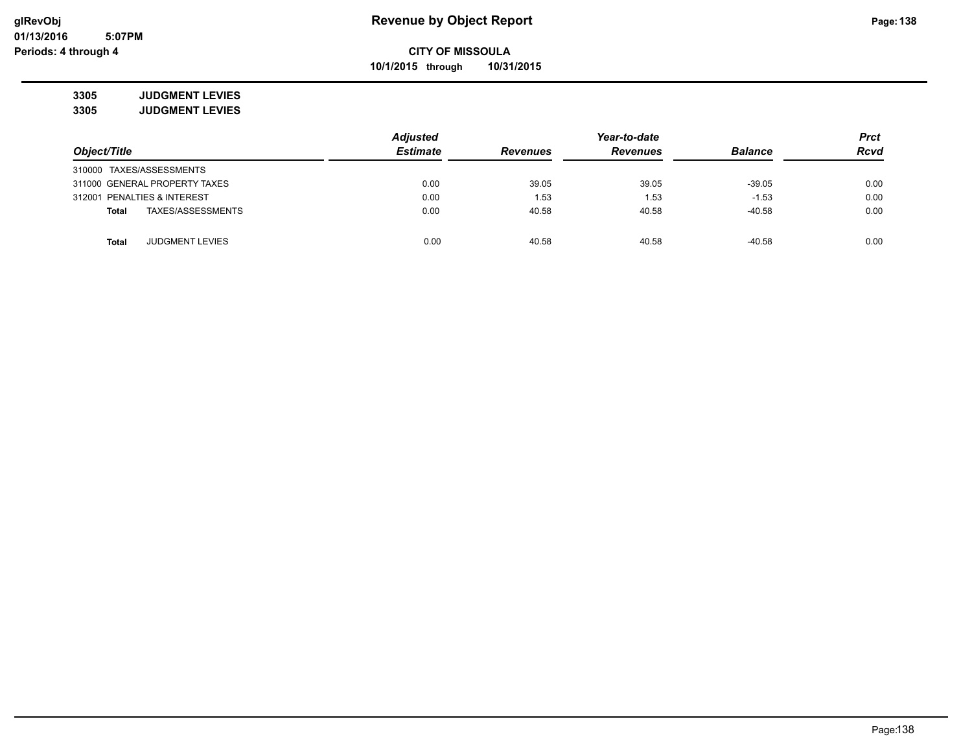**10/1/2015 through 10/31/2015**

**3305 JUDGMENT LEVIES 3305 JUDGMENT LEVIES**

|                             |                               | <b>Adjusted</b> |                 |                 | <b>Prct</b>    |             |
|-----------------------------|-------------------------------|-----------------|-----------------|-----------------|----------------|-------------|
| Object/Title                |                               | <b>Estimate</b> | <b>Revenues</b> | <b>Revenues</b> | <b>Balance</b> | <b>Rcvd</b> |
| 310000 TAXES/ASSESSMENTS    |                               |                 |                 |                 |                |             |
|                             | 311000 GENERAL PROPERTY TAXES | 0.00            | 39.05           | 39.05           | $-39.05$       | 0.00        |
| 312001 PENALTIES & INTEREST |                               | 0.00            | 1.53            | 1.53            | $-1.53$        | 0.00        |
| <b>Total</b>                | TAXES/ASSESSMENTS             | 0.00            | 40.58           | 40.58           | $-40.58$       | 0.00        |
|                             |                               |                 |                 |                 |                |             |
| <b>Total</b>                | <b>JUDGMENT LEVIES</b>        | 0.00            | 40.58           | 40.58           | $-40.58$       | 0.00        |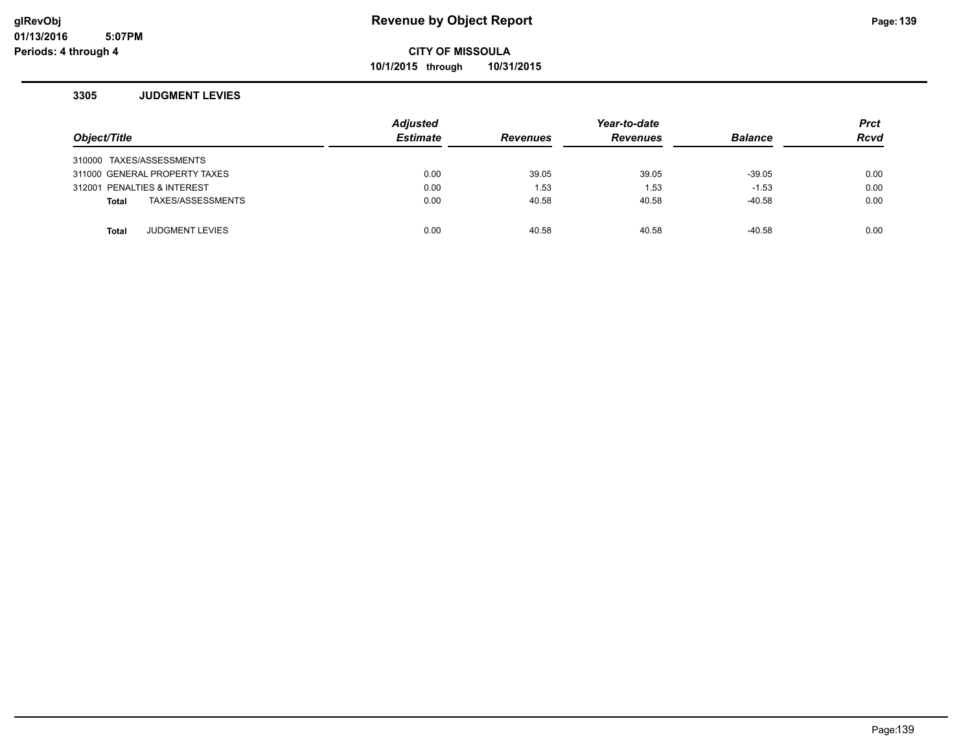**10/1/2015 through 10/31/2015**

#### **3305 JUDGMENT LEVIES**

| Object/Title                           | <b>Adjusted</b><br><b>Estimate</b> | <b>Revenues</b> | Year-to-date<br><b>Revenues</b> | <b>Balance</b> | <b>Prct</b><br><b>Rcvd</b> |
|----------------------------------------|------------------------------------|-----------------|---------------------------------|----------------|----------------------------|
|                                        |                                    |                 |                                 |                |                            |
| 310000 TAXES/ASSESSMENTS               |                                    |                 |                                 |                |                            |
| 311000 GENERAL PROPERTY TAXES          | 0.00                               | 39.05           | 39.05                           | $-39.05$       | 0.00                       |
| 312001 PENALTIES & INTEREST            | 0.00                               | 1.53            | 1.53                            | $-1.53$        | 0.00                       |
| TAXES/ASSESSMENTS<br><b>Total</b>      | 0.00                               | 40.58           | 40.58                           | $-40.58$       | 0.00                       |
|                                        |                                    |                 |                                 |                |                            |
| <b>JUDGMENT LEVIES</b><br><b>Total</b> | 0.00                               | 40.58           | 40.58                           | -40.58         | 0.00                       |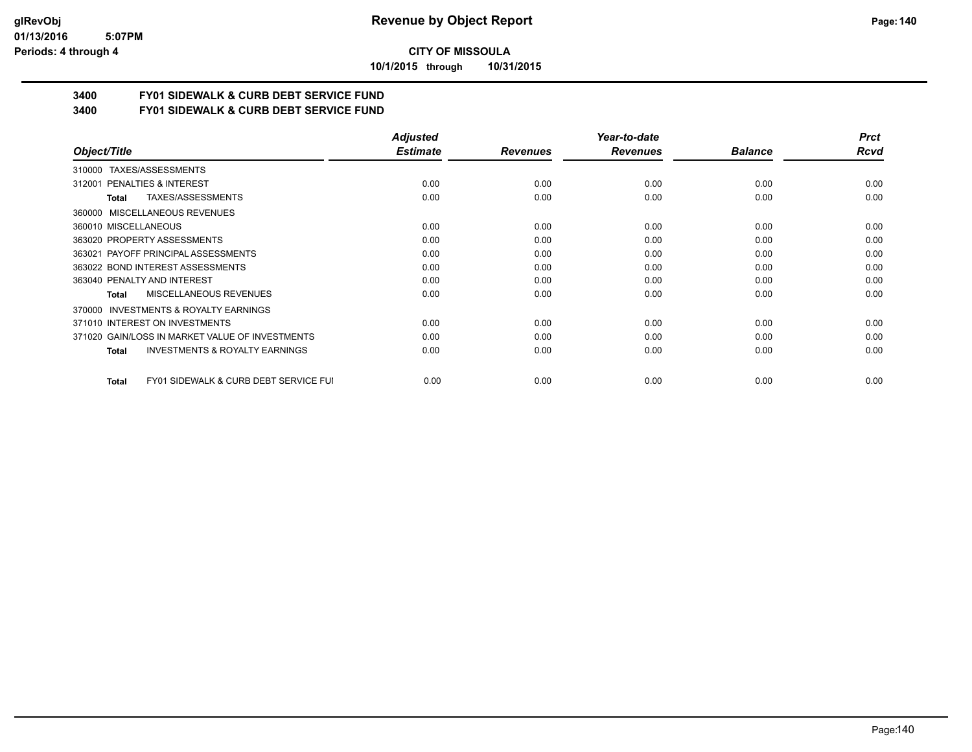#### **01/13/2016 5:07PM Periods: 4 through 4**

## **CITY OF MISSOULA**

**10/1/2015 through 10/31/2015**

# **3400 FY01 SIDEWALK & CURB DEBT SERVICE FUND**

**3400 FY01 SIDEWALK & CURB DEBT SERVICE FUND**

|                                                           | <b>Adjusted</b> |                 | Year-to-date    |                | <b>Prct</b> |
|-----------------------------------------------------------|-----------------|-----------------|-----------------|----------------|-------------|
| Object/Title                                              | <b>Estimate</b> | <b>Revenues</b> | <b>Revenues</b> | <b>Balance</b> | Rcvd        |
| TAXES/ASSESSMENTS<br>310000                               |                 |                 |                 |                |             |
| 312001 PENALTIES & INTEREST                               | 0.00            | 0.00            | 0.00            | 0.00           | 0.00        |
| TAXES/ASSESSMENTS<br>Total                                | 0.00            | 0.00            | 0.00            | 0.00           | 0.00        |
| <b>MISCELLANEOUS REVENUES</b><br>360000                   |                 |                 |                 |                |             |
| 360010 MISCELLANEOUS                                      | 0.00            | 0.00            | 0.00            | 0.00           | 0.00        |
| 363020 PROPERTY ASSESSMENTS                               | 0.00            | 0.00            | 0.00            | 0.00           | 0.00        |
| 363021 PAYOFF PRINCIPAL ASSESSMENTS                       | 0.00            | 0.00            | 0.00            | 0.00           | 0.00        |
| 363022 BOND INTEREST ASSESSMENTS                          | 0.00            | 0.00            | 0.00            | 0.00           | 0.00        |
| 363040 PENALTY AND INTEREST                               | 0.00            | 0.00            | 0.00            | 0.00           | 0.00        |
| MISCELLANEOUS REVENUES<br>Total                           | 0.00            | 0.00            | 0.00            | 0.00           | 0.00        |
| <b>INVESTMENTS &amp; ROYALTY EARNINGS</b><br>370000       |                 |                 |                 |                |             |
| 371010 INTEREST ON INVESTMENTS                            | 0.00            | 0.00            | 0.00            | 0.00           | 0.00        |
| 371020 GAIN/LOSS IN MARKET VALUE OF INVESTMENTS           | 0.00            | 0.00            | 0.00            | 0.00           | 0.00        |
| <b>INVESTMENTS &amp; ROYALTY EARNINGS</b><br>Total        | 0.00            | 0.00            | 0.00            | 0.00           | 0.00        |
| <b>FY01 SIDEWALK &amp; CURB DEBT SERVICE FUI</b><br>Total | 0.00            | 0.00            | 0.00            | 0.00           | 0.00        |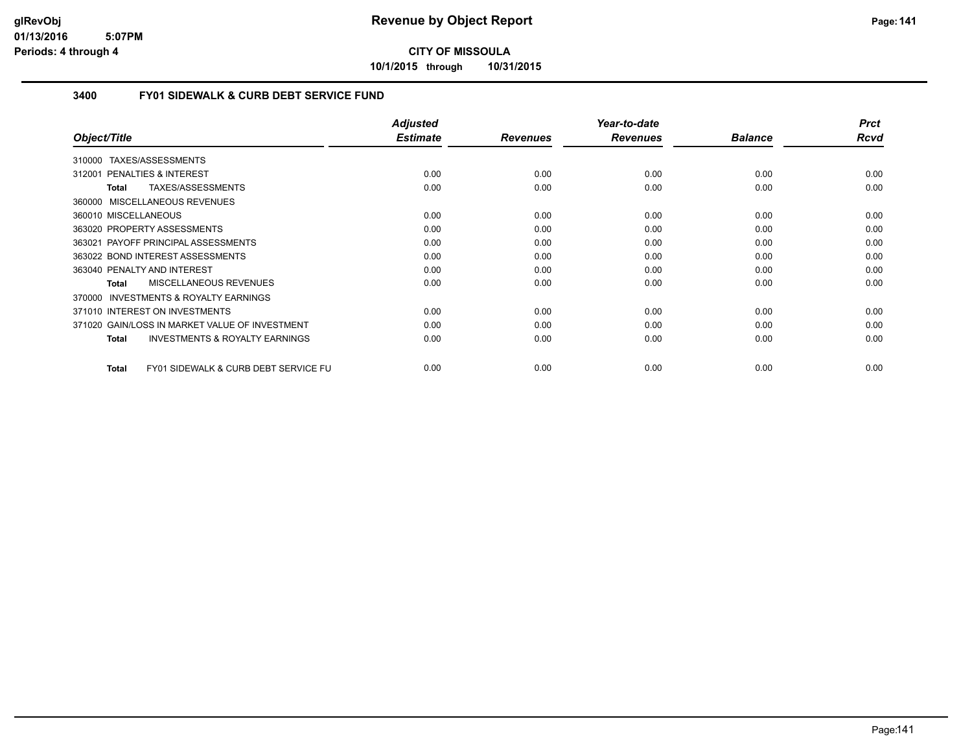**10/1/2015 through 10/31/2015**

## **3400 FY01 SIDEWALK & CURB DEBT SERVICE FUND**

|                                                                 | <b>Adjusted</b> |                 | Year-to-date    |                | <b>Prct</b> |
|-----------------------------------------------------------------|-----------------|-----------------|-----------------|----------------|-------------|
| Object/Title                                                    | <b>Estimate</b> | <b>Revenues</b> | <b>Revenues</b> | <b>Balance</b> | Rcvd        |
| 310000 TAXES/ASSESSMENTS                                        |                 |                 |                 |                |             |
| 312001 PENALTIES & INTEREST                                     | 0.00            | 0.00            | 0.00            | 0.00           | 0.00        |
| TAXES/ASSESSMENTS<br><b>Total</b>                               | 0.00            | 0.00            | 0.00            | 0.00           | 0.00        |
| 360000 MISCELLANEOUS REVENUES                                   |                 |                 |                 |                |             |
| 360010 MISCELLANEOUS                                            | 0.00            | 0.00            | 0.00            | 0.00           | 0.00        |
| 363020 PROPERTY ASSESSMENTS                                     | 0.00            | 0.00            | 0.00            | 0.00           | 0.00        |
| 363021 PAYOFF PRINCIPAL ASSESSMENTS                             | 0.00            | 0.00            | 0.00            | 0.00           | 0.00        |
| 363022 BOND INTEREST ASSESSMENTS                                | 0.00            | 0.00            | 0.00            | 0.00           | 0.00        |
| 363040 PENALTY AND INTEREST                                     | 0.00            | 0.00            | 0.00            | 0.00           | 0.00        |
| <b>MISCELLANEOUS REVENUES</b><br><b>Total</b>                   | 0.00            | 0.00            | 0.00            | 0.00           | 0.00        |
| <b>INVESTMENTS &amp; ROYALTY EARNINGS</b><br>370000             |                 |                 |                 |                |             |
| 371010 INTEREST ON INVESTMENTS                                  | 0.00            | 0.00            | 0.00            | 0.00           | 0.00        |
| 371020 GAIN/LOSS IN MARKET VALUE OF INVESTMENT                  | 0.00            | 0.00            | 0.00            | 0.00           | 0.00        |
| <b>INVESTMENTS &amp; ROYALTY EARNINGS</b><br><b>Total</b>       | 0.00            | 0.00            | 0.00            | 0.00           | 0.00        |
| <b>FY01 SIDEWALK &amp; CURB DEBT SERVICE FU</b><br><b>Total</b> | 0.00            | 0.00            | 0.00            | 0.00           | 0.00        |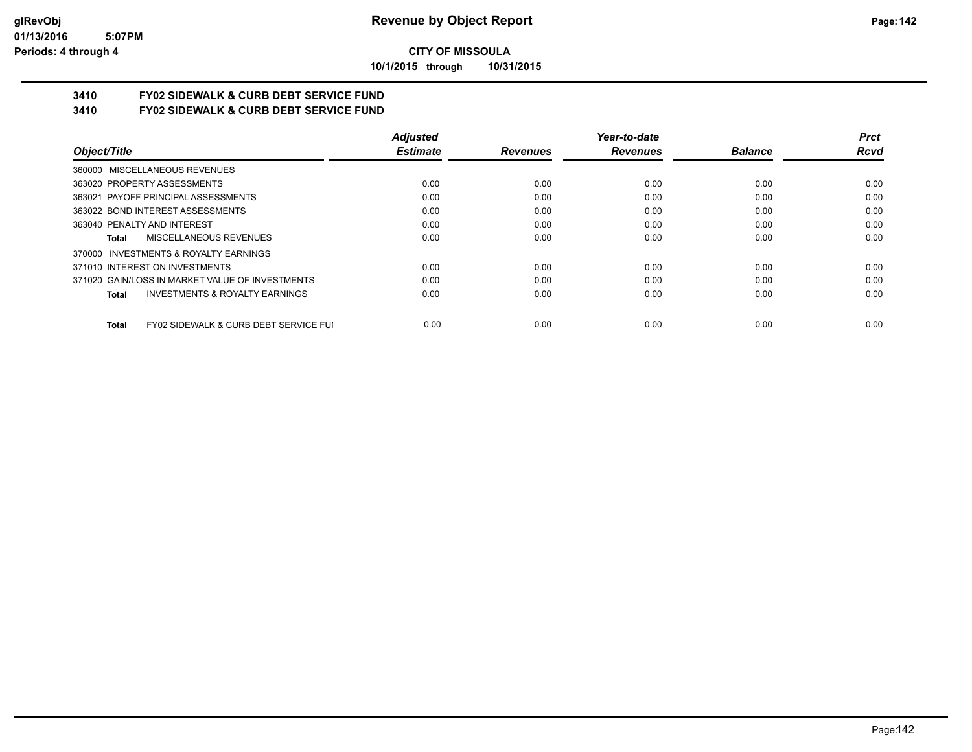**10/1/2015 through 10/31/2015**

# **3410 FY02 SIDEWALK & CURB DEBT SERVICE FUND**

**3410 FY02 SIDEWALK & CURB DEBT SERVICE FUND**

|                                                                  | <b>Adjusted</b> |                 | Year-to-date    |                | <b>Prct</b> |
|------------------------------------------------------------------|-----------------|-----------------|-----------------|----------------|-------------|
| Object/Title                                                     | <b>Estimate</b> | <b>Revenues</b> | <b>Revenues</b> | <b>Balance</b> | Rcvd        |
| 360000 MISCELLANEOUS REVENUES                                    |                 |                 |                 |                |             |
| 363020 PROPERTY ASSESSMENTS                                      | 0.00            | 0.00            | 0.00            | 0.00           | 0.00        |
| 363021 PAYOFF PRINCIPAL ASSESSMENTS                              | 0.00            | 0.00            | 0.00            | 0.00           | 0.00        |
| 363022 BOND INTEREST ASSESSMENTS                                 | 0.00            | 0.00            | 0.00            | 0.00           | 0.00        |
| 363040 PENALTY AND INTEREST                                      | 0.00            | 0.00            | 0.00            | 0.00           | 0.00        |
| MISCELLANEOUS REVENUES<br>Total                                  | 0.00            | 0.00            | 0.00            | 0.00           | 0.00        |
| INVESTMENTS & ROYALTY EARNINGS<br>370000                         |                 |                 |                 |                |             |
| 371010 INTEREST ON INVESTMENTS                                   | 0.00            | 0.00            | 0.00            | 0.00           | 0.00        |
| 371020 GAIN/LOSS IN MARKET VALUE OF INVESTMENTS                  | 0.00            | 0.00            | 0.00            | 0.00           | 0.00        |
| <b>INVESTMENTS &amp; ROYALTY EARNINGS</b><br><b>Total</b>        | 0.00            | 0.00            | 0.00            | 0.00           | 0.00        |
| <b>FY02 SIDEWALK &amp; CURB DEBT SERVICE FUI</b><br><b>Total</b> | 0.00            | 0.00            | 0.00            | 0.00           | 0.00        |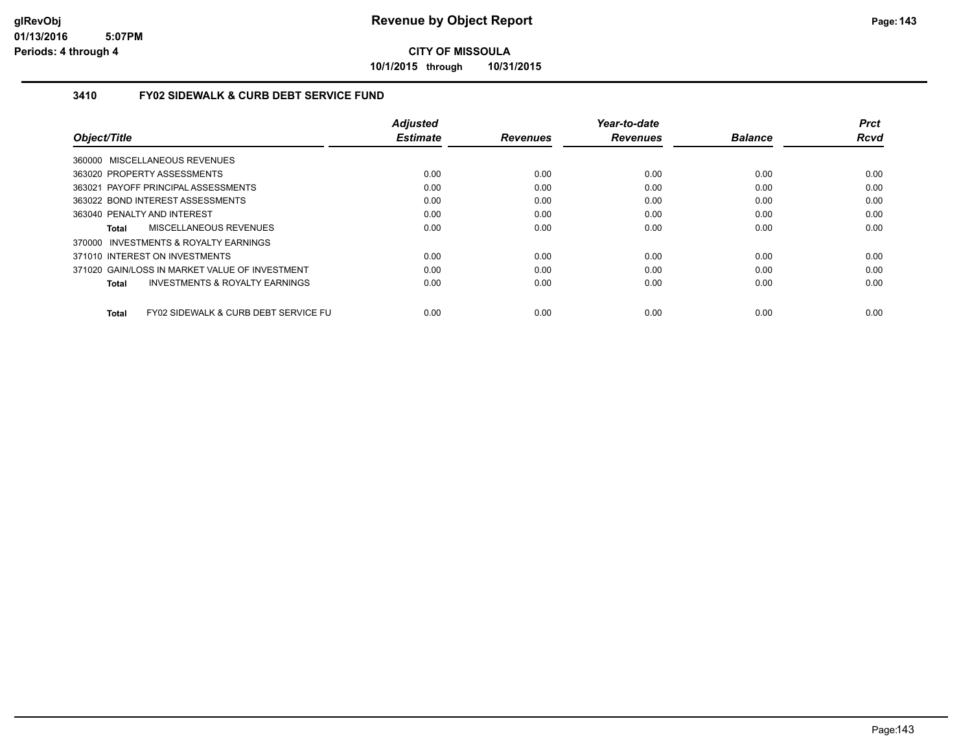**10/1/2015 through 10/31/2015**

### **3410 FY02 SIDEWALK & CURB DEBT SERVICE FUND**

|                                                      | <b>Adjusted</b> |                 | Year-to-date    |                | <b>Prct</b> |
|------------------------------------------------------|-----------------|-----------------|-----------------|----------------|-------------|
| Object/Title                                         | <b>Estimate</b> | <b>Revenues</b> | <b>Revenues</b> | <b>Balance</b> | <b>Rcvd</b> |
| 360000 MISCELLANEOUS REVENUES                        |                 |                 |                 |                |             |
| 363020 PROPERTY ASSESSMENTS                          | 0.00            | 0.00            | 0.00            | 0.00           | 0.00        |
| 363021 PAYOFF PRINCIPAL ASSESSMENTS                  | 0.00            | 0.00            | 0.00            | 0.00           | 0.00        |
| 363022 BOND INTEREST ASSESSMENTS                     | 0.00            | 0.00            | 0.00            | 0.00           | 0.00        |
| 363040 PENALTY AND INTEREST                          | 0.00            | 0.00            | 0.00            | 0.00           | 0.00        |
| MISCELLANEOUS REVENUES<br>Total                      | 0.00            | 0.00            | 0.00            | 0.00           | 0.00        |
| 370000 INVESTMENTS & ROYALTY EARNINGS                |                 |                 |                 |                |             |
| 371010 INTEREST ON INVESTMENTS                       | 0.00            | 0.00            | 0.00            | 0.00           | 0.00        |
| 371020 GAIN/LOSS IN MARKET VALUE OF INVESTMENT       | 0.00            | 0.00            | 0.00            | 0.00           | 0.00        |
| <b>INVESTMENTS &amp; ROYALTY EARNINGS</b><br>Total   | 0.00            | 0.00            | 0.00            | 0.00           | 0.00        |
| FY02 SIDEWALK & CURB DEBT SERVICE FU<br><b>Total</b> | 0.00            | 0.00            | 0.00            | 0.00           | 0.00        |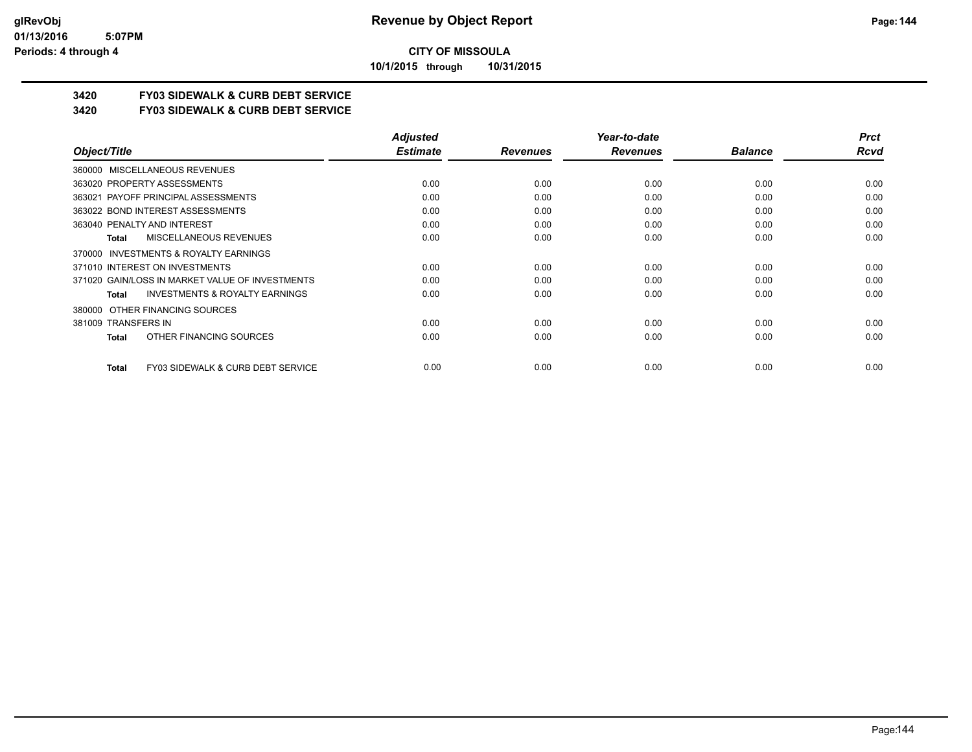**10/1/2015 through 10/31/2015**

## **3420 FY03 SIDEWALK & CURB DEBT SERVICE**

**3420 FY03 SIDEWALK & CURB DEBT SERVICE**

|                                                    | <b>Adjusted</b> |                 | Year-to-date    |                | <b>Prct</b> |
|----------------------------------------------------|-----------------|-----------------|-----------------|----------------|-------------|
| Object/Title                                       | <b>Estimate</b> | <b>Revenues</b> | <b>Revenues</b> | <b>Balance</b> | Rcvd        |
| 360000 MISCELLANEOUS REVENUES                      |                 |                 |                 |                |             |
| 363020 PROPERTY ASSESSMENTS                        | 0.00            | 0.00            | 0.00            | 0.00           | 0.00        |
| 363021 PAYOFF PRINCIPAL ASSESSMENTS                | 0.00            | 0.00            | 0.00            | 0.00           | 0.00        |
| 363022 BOND INTEREST ASSESSMENTS                   | 0.00            | 0.00            | 0.00            | 0.00           | 0.00        |
| 363040 PENALTY AND INTEREST                        | 0.00            | 0.00            | 0.00            | 0.00           | 0.00        |
| <b>MISCELLANEOUS REVENUES</b><br><b>Total</b>      | 0.00            | 0.00            | 0.00            | 0.00           | 0.00        |
| INVESTMENTS & ROYALTY EARNINGS<br>370000           |                 |                 |                 |                |             |
| 371010 INTEREST ON INVESTMENTS                     | 0.00            | 0.00            | 0.00            | 0.00           | 0.00        |
| 371020 GAIN/LOSS IN MARKET VALUE OF INVESTMENTS    | 0.00            | 0.00            | 0.00            | 0.00           | 0.00        |
| <b>INVESTMENTS &amp; ROYALTY EARNINGS</b><br>Total | 0.00            | 0.00            | 0.00            | 0.00           | 0.00        |
| OTHER FINANCING SOURCES<br>380000                  |                 |                 |                 |                |             |
| 381009 TRANSFERS IN                                | 0.00            | 0.00            | 0.00            | 0.00           | 0.00        |
| OTHER FINANCING SOURCES<br><b>Total</b>            | 0.00            | 0.00            | 0.00            | 0.00           | 0.00        |
|                                                    |                 |                 |                 |                |             |
| FY03 SIDEWALK & CURB DEBT SERVICE<br><b>Total</b>  | 0.00            | 0.00            | 0.00            | 0.00           | 0.00        |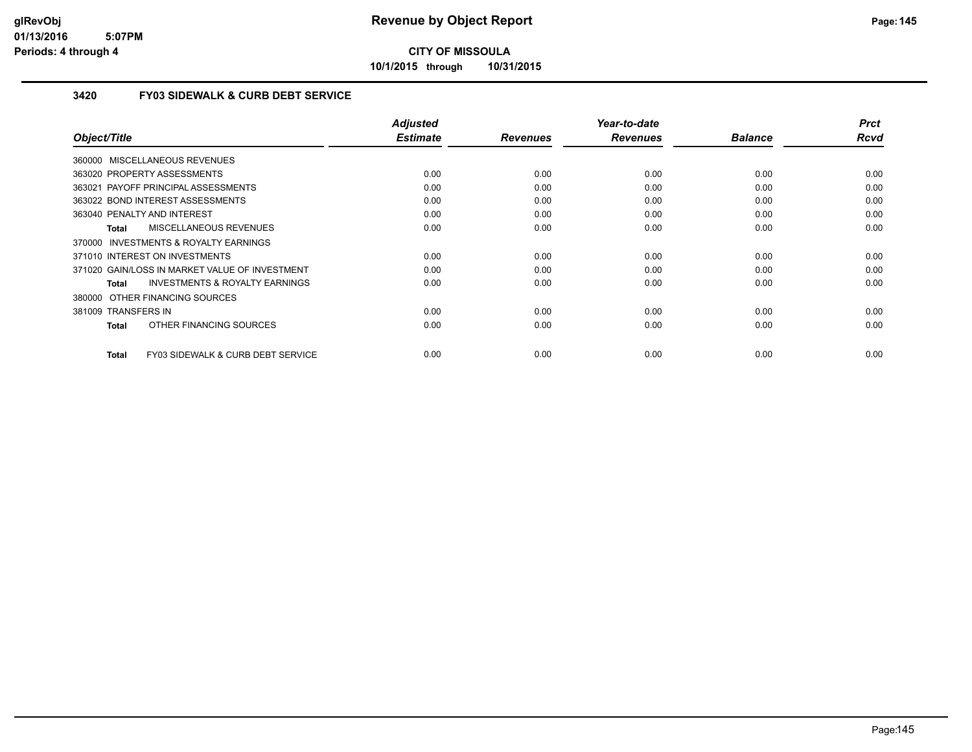**10/1/2015 through 10/31/2015**

### **3420 FY03 SIDEWALK & CURB DEBT SERVICE**

| Object/Title                                       | <b>Adjusted</b><br><b>Estimate</b> | <b>Revenues</b> | Year-to-date<br><b>Revenues</b> | <b>Balance</b> | <b>Prct</b><br>Rcvd |
|----------------------------------------------------|------------------------------------|-----------------|---------------------------------|----------------|---------------------|
| 360000 MISCELLANEOUS REVENUES                      |                                    |                 |                                 |                |                     |
|                                                    |                                    |                 |                                 |                |                     |
| 363020 PROPERTY ASSESSMENTS                        | 0.00                               | 0.00            | 0.00                            | 0.00           | 0.00                |
| 363021 PAYOFF PRINCIPAL ASSESSMENTS                | 0.00                               | 0.00            | 0.00                            | 0.00           | 0.00                |
| 363022 BOND INTEREST ASSESSMENTS                   | 0.00                               | 0.00            | 0.00                            | 0.00           | 0.00                |
| 363040 PENALTY AND INTEREST                        | 0.00                               | 0.00            | 0.00                            | 0.00           | 0.00                |
| MISCELLANEOUS REVENUES<br>Total                    | 0.00                               | 0.00            | 0.00                            | 0.00           | 0.00                |
| 370000 INVESTMENTS & ROYALTY EARNINGS              |                                    |                 |                                 |                |                     |
| 371010 INTEREST ON INVESTMENTS                     | 0.00                               | 0.00            | 0.00                            | 0.00           | 0.00                |
| 371020 GAIN/LOSS IN MARKET VALUE OF INVESTMENT     | 0.00                               | 0.00            | 0.00                            | 0.00           | 0.00                |
| <b>INVESTMENTS &amp; ROYALTY EARNINGS</b><br>Total | 0.00                               | 0.00            | 0.00                            | 0.00           | 0.00                |
| 380000 OTHER FINANCING SOURCES                     |                                    |                 |                                 |                |                     |
| 381009 TRANSFERS IN                                | 0.00                               | 0.00            | 0.00                            | 0.00           | 0.00                |
| OTHER FINANCING SOURCES<br>Total                   | 0.00                               | 0.00            | 0.00                            | 0.00           | 0.00                |
| FY03 SIDEWALK & CURB DEBT SERVICE<br>Total         | 0.00                               | 0.00            | 0.00                            | 0.00           | 0.00                |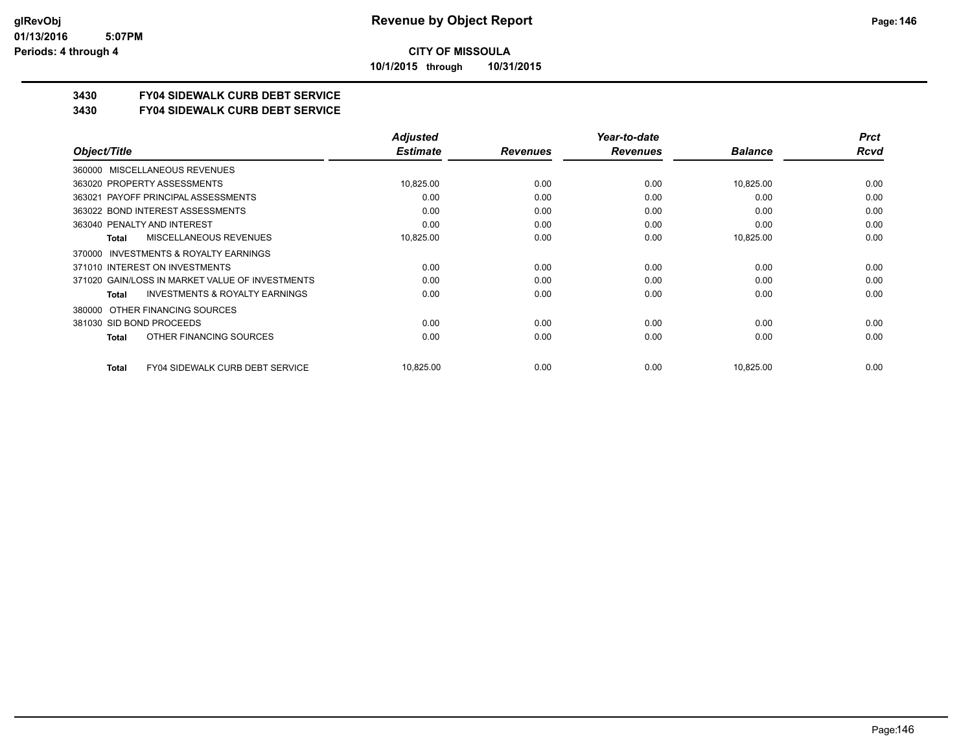**10/1/2015 through 10/31/2015**

### **3430 FY04 SIDEWALK CURB DEBT SERVICE**

### **3430 FY04 SIDEWALK CURB DEBT SERVICE**

|                                                           | <b>Adjusted</b> |                 | Year-to-date    |                | <b>Prct</b> |
|-----------------------------------------------------------|-----------------|-----------------|-----------------|----------------|-------------|
| Object/Title                                              | <b>Estimate</b> | <b>Revenues</b> | <b>Revenues</b> | <b>Balance</b> | Rcvd        |
| MISCELLANEOUS REVENUES<br>360000                          |                 |                 |                 |                |             |
| 363020 PROPERTY ASSESSMENTS                               | 10,825.00       | 0.00            | 0.00            | 10,825.00      | 0.00        |
| 363021 PAYOFF PRINCIPAL ASSESSMENTS                       | 0.00            | 0.00            | 0.00            | 0.00           | 0.00        |
| 363022 BOND INTEREST ASSESSMENTS                          | 0.00            | 0.00            | 0.00            | 0.00           | 0.00        |
| 363040 PENALTY AND INTEREST                               | 0.00            | 0.00            | 0.00            | 0.00           | 0.00        |
| MISCELLANEOUS REVENUES<br><b>Total</b>                    | 10,825.00       | 0.00            | 0.00            | 10,825.00      | 0.00        |
| INVESTMENTS & ROYALTY EARNINGS<br>370000                  |                 |                 |                 |                |             |
| 371010 INTEREST ON INVESTMENTS                            | 0.00            | 0.00            | 0.00            | 0.00           | 0.00        |
| 371020 GAIN/LOSS IN MARKET VALUE OF INVESTMENTS           | 0.00            | 0.00            | 0.00            | 0.00           | 0.00        |
| <b>INVESTMENTS &amp; ROYALTY EARNINGS</b><br><b>Total</b> | 0.00            | 0.00            | 0.00            | 0.00           | 0.00        |
| OTHER FINANCING SOURCES<br>380000                         |                 |                 |                 |                |             |
| 381030 SID BOND PROCEEDS                                  | 0.00            | 0.00            | 0.00            | 0.00           | 0.00        |
| OTHER FINANCING SOURCES<br><b>Total</b>                   | 0.00            | 0.00            | 0.00            | 0.00           | 0.00        |
| <b>FY04 SIDEWALK CURB DEBT SERVICE</b><br><b>Total</b>    | 10,825.00       | 0.00            | 0.00            | 10,825.00      | 0.00        |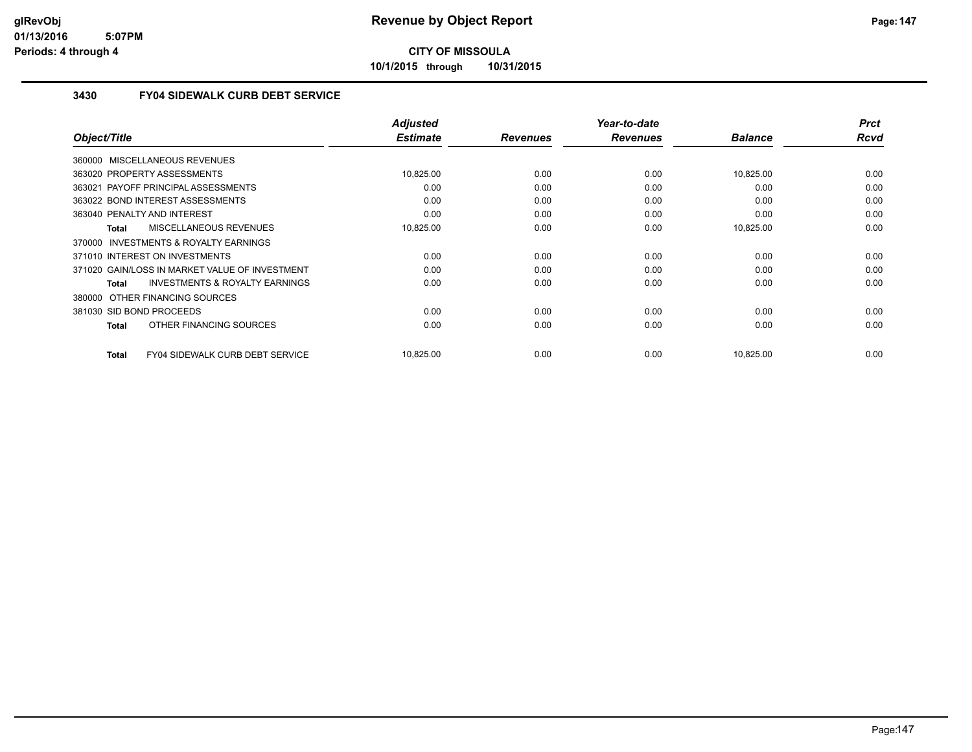**10/1/2015 through 10/31/2015**

### **3430 FY04 SIDEWALK CURB DEBT SERVICE**

| Object/Title                                        | <b>Adjusted</b><br><b>Estimate</b> | <b>Revenues</b> | Year-to-date<br><b>Revenues</b> | <b>Balance</b> | <b>Prct</b><br><b>Rcvd</b> |
|-----------------------------------------------------|------------------------------------|-----------------|---------------------------------|----------------|----------------------------|
|                                                     |                                    |                 |                                 |                |                            |
| 360000 MISCELLANEOUS REVENUES                       |                                    |                 |                                 |                |                            |
| 363020 PROPERTY ASSESSMENTS                         | 10,825.00                          | 0.00            | 0.00                            | 10,825.00      | 0.00                       |
| 363021 PAYOFF PRINCIPAL ASSESSMENTS                 | 0.00                               | 0.00            | 0.00                            | 0.00           | 0.00                       |
| 363022 BOND INTEREST ASSESSMENTS                    | 0.00                               | 0.00            | 0.00                            | 0.00           | 0.00                       |
| 363040 PENALTY AND INTEREST                         | 0.00                               | 0.00            | 0.00                            | 0.00           | 0.00                       |
| MISCELLANEOUS REVENUES<br>Total                     | 10,825.00                          | 0.00            | 0.00                            | 10,825.00      | 0.00                       |
| <b>INVESTMENTS &amp; ROYALTY EARNINGS</b><br>370000 |                                    |                 |                                 |                |                            |
| 371010 INTEREST ON INVESTMENTS                      | 0.00                               | 0.00            | 0.00                            | 0.00           | 0.00                       |
| 371020 GAIN/LOSS IN MARKET VALUE OF INVESTMENT      | 0.00                               | 0.00            | 0.00                            | 0.00           | 0.00                       |
| <b>INVESTMENTS &amp; ROYALTY EARNINGS</b><br>Total  | 0.00                               | 0.00            | 0.00                            | 0.00           | 0.00                       |
| 380000 OTHER FINANCING SOURCES                      |                                    |                 |                                 |                |                            |
| 381030 SID BOND PROCEEDS                            | 0.00                               | 0.00            | 0.00                            | 0.00           | 0.00                       |
| OTHER FINANCING SOURCES<br>Total                    | 0.00                               | 0.00            | 0.00                            | 0.00           | 0.00                       |
|                                                     |                                    |                 |                                 |                |                            |
| FY04 SIDEWALK CURB DEBT SERVICE<br><b>Total</b>     | 10,825.00                          | 0.00            | 0.00                            | 10,825.00      | 0.00                       |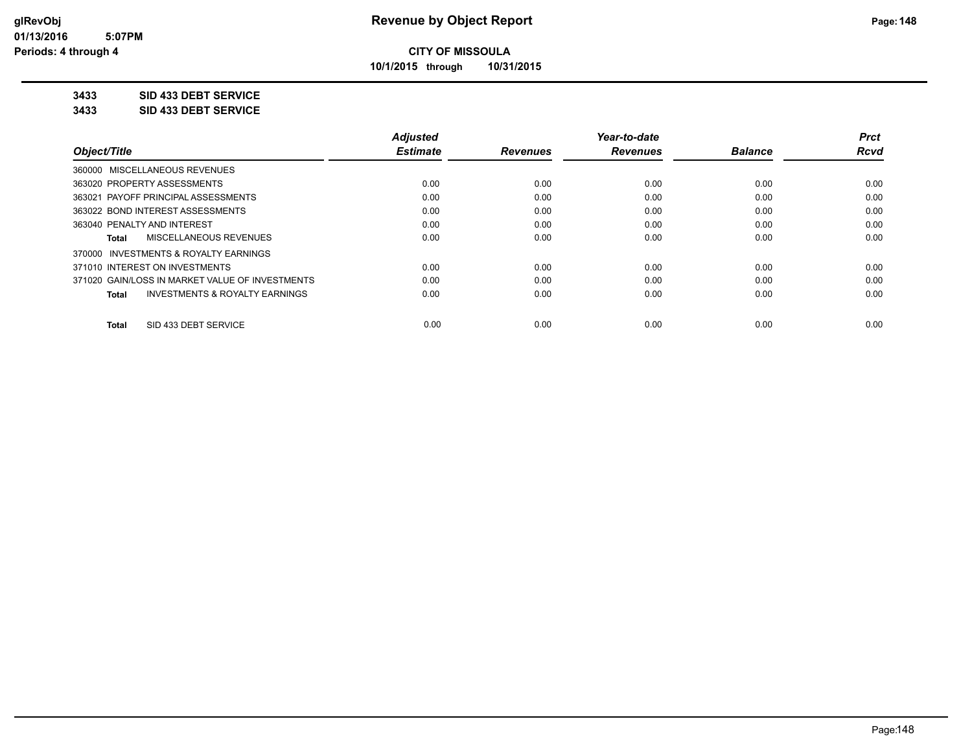**10/1/2015 through 10/31/2015**

### **3433 SID 433 DEBT SERVICE**

**3433 SID 433 DEBT SERVICE**

|                                                    | <b>Adjusted</b> |                 | Year-to-date    |                | <b>Prct</b> |
|----------------------------------------------------|-----------------|-----------------|-----------------|----------------|-------------|
| Object/Title                                       | <b>Estimate</b> | <b>Revenues</b> | <b>Revenues</b> | <b>Balance</b> | <b>Rcvd</b> |
| 360000 MISCELLANEOUS REVENUES                      |                 |                 |                 |                |             |
| 363020 PROPERTY ASSESSMENTS                        | 0.00            | 0.00            | 0.00            | 0.00           | 0.00        |
| 363021 PAYOFF PRINCIPAL ASSESSMENTS                | 0.00            | 0.00            | 0.00            | 0.00           | 0.00        |
| 363022 BOND INTEREST ASSESSMENTS                   | 0.00            | 0.00            | 0.00            | 0.00           | 0.00        |
| 363040 PENALTY AND INTEREST                        | 0.00            | 0.00            | 0.00            | 0.00           | 0.00        |
| MISCELLANEOUS REVENUES<br>Total                    | 0.00            | 0.00            | 0.00            | 0.00           | 0.00        |
| INVESTMENTS & ROYALTY EARNINGS<br>370000           |                 |                 |                 |                |             |
| 371010 INTEREST ON INVESTMENTS                     | 0.00            | 0.00            | 0.00            | 0.00           | 0.00        |
| 371020 GAIN/LOSS IN MARKET VALUE OF INVESTMENTS    | 0.00            | 0.00            | 0.00            | 0.00           | 0.00        |
| <b>INVESTMENTS &amp; ROYALTY EARNINGS</b><br>Total | 0.00            | 0.00            | 0.00            | 0.00           | 0.00        |
| SID 433 DEBT SERVICE<br><b>Total</b>               | 0.00            | 0.00            | 0.00            | 0.00           | 0.00        |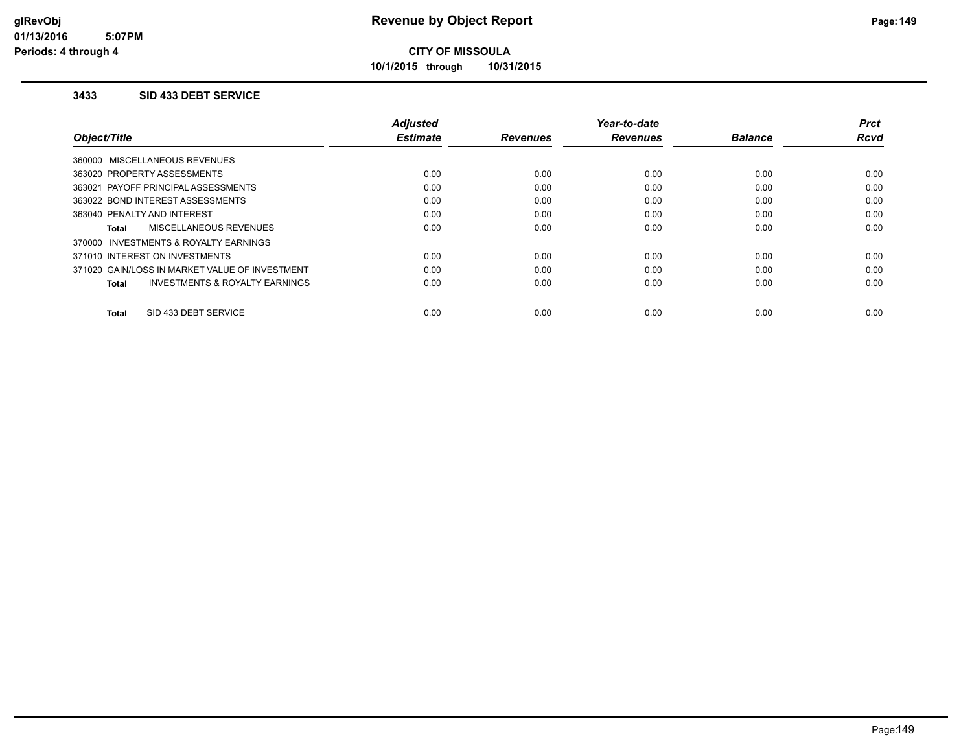**10/1/2015 through 10/31/2015**

### **3433 SID 433 DEBT SERVICE**

|                                                    | <b>Adjusted</b> |                 | Year-to-date    |                | Prct        |
|----------------------------------------------------|-----------------|-----------------|-----------------|----------------|-------------|
| Object/Title                                       | <b>Estimate</b> | <b>Revenues</b> | <b>Revenues</b> | <b>Balance</b> | <b>Rcvd</b> |
| 360000 MISCELLANEOUS REVENUES                      |                 |                 |                 |                |             |
| 363020 PROPERTY ASSESSMENTS                        | 0.00            | 0.00            | 0.00            | 0.00           | 0.00        |
| 363021 PAYOFF PRINCIPAL ASSESSMENTS                | 0.00            | 0.00            | 0.00            | 0.00           | 0.00        |
| 363022 BOND INTEREST ASSESSMENTS                   | 0.00            | 0.00            | 0.00            | 0.00           | 0.00        |
| 363040 PENALTY AND INTEREST                        | 0.00            | 0.00            | 0.00            | 0.00           | 0.00        |
| <b>MISCELLANEOUS REVENUES</b><br>Total             | 0.00            | 0.00            | 0.00            | 0.00           | 0.00        |
| 370000 INVESTMENTS & ROYALTY EARNINGS              |                 |                 |                 |                |             |
| 371010 INTEREST ON INVESTMENTS                     | 0.00            | 0.00            | 0.00            | 0.00           | 0.00        |
| 371020 GAIN/LOSS IN MARKET VALUE OF INVESTMENT     | 0.00            | 0.00            | 0.00            | 0.00           | 0.00        |
| <b>INVESTMENTS &amp; ROYALTY EARNINGS</b><br>Total | 0.00            | 0.00            | 0.00            | 0.00           | 0.00        |
|                                                    |                 |                 |                 |                |             |
| SID 433 DEBT SERVICE<br>Total                      | 0.00            | 0.00            | 0.00            | 0.00           | 0.00        |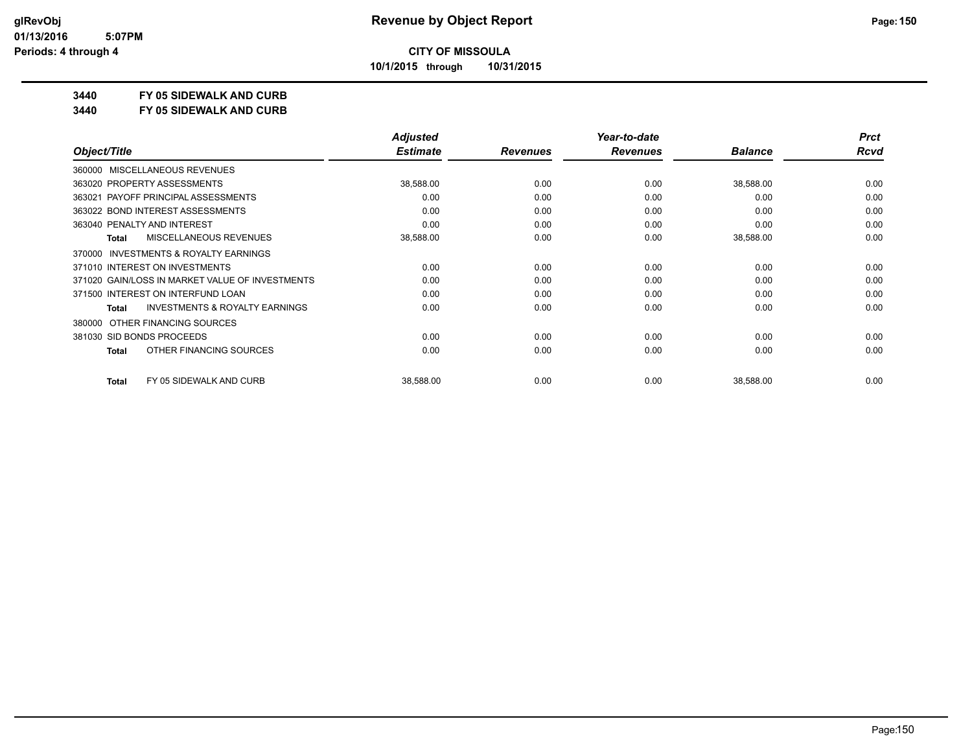**10/1/2015 through 10/31/2015**

### **3440 FY 05 SIDEWALK AND CURB**

**3440 FY 05 SIDEWALK AND CURB**

|                             |                                                 | <b>Adjusted</b> |                 | Year-to-date    |                | <b>Prct</b> |
|-----------------------------|-------------------------------------------------|-----------------|-----------------|-----------------|----------------|-------------|
| Object/Title                |                                                 | <b>Estimate</b> | <b>Revenues</b> | <b>Revenues</b> | <b>Balance</b> | Rcvd        |
|                             | 360000 MISCELLANEOUS REVENUES                   |                 |                 |                 |                |             |
| 363020 PROPERTY ASSESSMENTS |                                                 | 38,588.00       | 0.00            | 0.00            | 38,588.00      | 0.00        |
|                             | 363021 PAYOFF PRINCIPAL ASSESSMENTS             | 0.00            | 0.00            | 0.00            | 0.00           | 0.00        |
|                             | 363022 BOND INTEREST ASSESSMENTS                | 0.00            | 0.00            | 0.00            | 0.00           | 0.00        |
| 363040 PENALTY AND INTEREST |                                                 | 0.00            | 0.00            | 0.00            | 0.00           | 0.00        |
| Total                       | <b>MISCELLANEOUS REVENUES</b>                   | 38,588.00       | 0.00            | 0.00            | 38,588.00      | 0.00        |
| 370000                      | INVESTMENTS & ROYALTY EARNINGS                  |                 |                 |                 |                |             |
|                             | 371010 INTEREST ON INVESTMENTS                  | 0.00            | 0.00            | 0.00            | 0.00           | 0.00        |
|                             | 371020 GAIN/LOSS IN MARKET VALUE OF INVESTMENTS | 0.00            | 0.00            | 0.00            | 0.00           | 0.00        |
|                             | 371500 INTEREST ON INTERFUND LOAN               | 0.00            | 0.00            | 0.00            | 0.00           | 0.00        |
| Total                       | <b>INVESTMENTS &amp; ROYALTY EARNINGS</b>       | 0.00            | 0.00            | 0.00            | 0.00           | 0.00        |
| 380000                      | OTHER FINANCING SOURCES                         |                 |                 |                 |                |             |
| 381030 SID BONDS PROCEEDS   |                                                 | 0.00            | 0.00            | 0.00            | 0.00           | 0.00        |
| <b>Total</b>                | OTHER FINANCING SOURCES                         | 0.00            | 0.00            | 0.00            | 0.00           | 0.00        |
| <b>Total</b>                | FY 05 SIDEWALK AND CURB                         | 38,588.00       | 0.00            | 0.00            | 38,588.00      | 0.00        |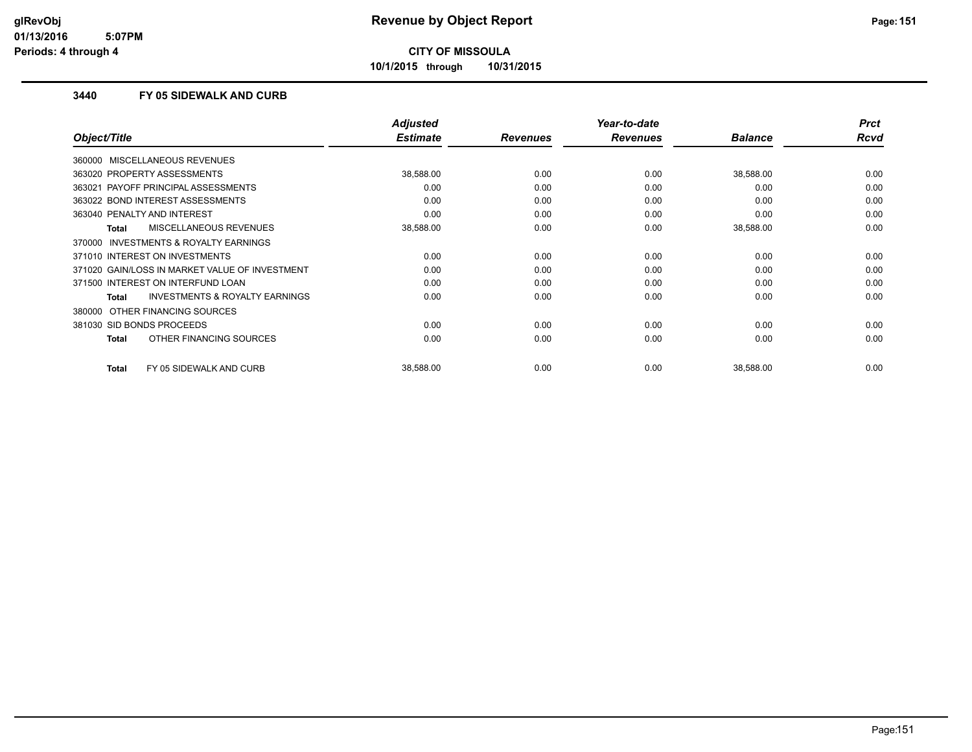**10/1/2015 through 10/31/2015**

### **3440 FY 05 SIDEWALK AND CURB**

|                                                           | <b>Adjusted</b> |                 | Year-to-date    |                | <b>Prct</b> |
|-----------------------------------------------------------|-----------------|-----------------|-----------------|----------------|-------------|
| Object/Title                                              | <b>Estimate</b> | <b>Revenues</b> | <b>Revenues</b> | <b>Balance</b> | Rcvd        |
| 360000 MISCELLANEOUS REVENUES                             |                 |                 |                 |                |             |
| 363020 PROPERTY ASSESSMENTS                               | 38,588.00       | 0.00            | 0.00            | 38,588.00      | 0.00        |
| 363021 PAYOFF PRINCIPAL ASSESSMENTS                       | 0.00            | 0.00            | 0.00            | 0.00           | 0.00        |
| 363022 BOND INTEREST ASSESSMENTS                          | 0.00            | 0.00            | 0.00            | 0.00           | 0.00        |
| 363040 PENALTY AND INTEREST                               | 0.00            | 0.00            | 0.00            | 0.00           | 0.00        |
| <b>MISCELLANEOUS REVENUES</b><br><b>Total</b>             | 38,588.00       | 0.00            | 0.00            | 38,588.00      | 0.00        |
| 370000 INVESTMENTS & ROYALTY EARNINGS                     |                 |                 |                 |                |             |
| 371010 INTEREST ON INVESTMENTS                            | 0.00            | 0.00            | 0.00            | 0.00           | 0.00        |
| 371020 GAIN/LOSS IN MARKET VALUE OF INVESTMENT            | 0.00            | 0.00            | 0.00            | 0.00           | 0.00        |
| 371500 INTEREST ON INTERFUND LOAN                         | 0.00            | 0.00            | 0.00            | 0.00           | 0.00        |
| <b>INVESTMENTS &amp; ROYALTY EARNINGS</b><br><b>Total</b> | 0.00            | 0.00            | 0.00            | 0.00           | 0.00        |
| 380000 OTHER FINANCING SOURCES                            |                 |                 |                 |                |             |
| 381030 SID BONDS PROCEEDS                                 | 0.00            | 0.00            | 0.00            | 0.00           | 0.00        |
| OTHER FINANCING SOURCES<br><b>Total</b>                   | 0.00            | 0.00            | 0.00            | 0.00           | 0.00        |
|                                                           |                 |                 |                 |                |             |
| FY 05 SIDEWALK AND CURB<br><b>Total</b>                   | 38,588.00       | 0.00            | 0.00            | 38,588.00      | 0.00        |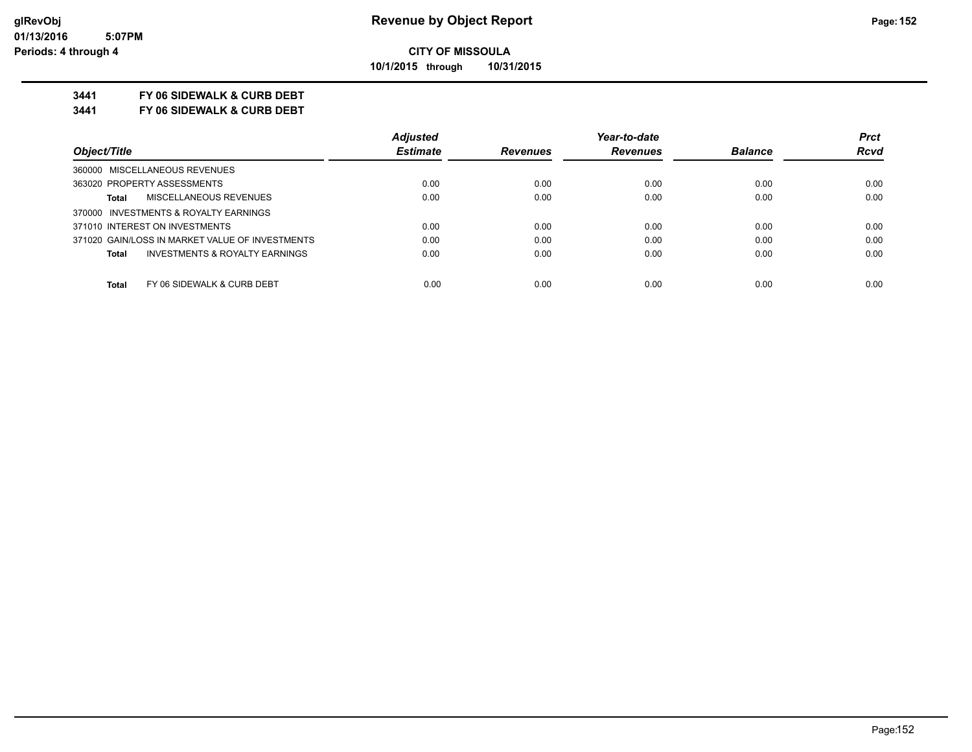**10/1/2015 through 10/31/2015**

### **3441 FY 06 SIDEWALK & CURB DEBT**

**3441 FY 06 SIDEWALK & CURB DEBT**

|                                                 | <b>Adjusted</b> |                 | Year-to-date    |                | <b>Prct</b> |
|-------------------------------------------------|-----------------|-----------------|-----------------|----------------|-------------|
| Object/Title                                    | <b>Estimate</b> | <b>Revenues</b> | <b>Revenues</b> | <b>Balance</b> | <b>Rcvd</b> |
| 360000 MISCELLANEOUS REVENUES                   |                 |                 |                 |                |             |
| 363020 PROPERTY ASSESSMENTS                     | 0.00            | 0.00            | 0.00            | 0.00           | 0.00        |
| MISCELLANEOUS REVENUES<br>Total                 | 0.00            | 0.00            | 0.00            | 0.00           | 0.00        |
| 370000 INVESTMENTS & ROYALTY EARNINGS           |                 |                 |                 |                |             |
| 371010 INTEREST ON INVESTMENTS                  | 0.00            | 0.00            | 0.00            | 0.00           | 0.00        |
| 371020 GAIN/LOSS IN MARKET VALUE OF INVESTMENTS | 0.00            | 0.00            | 0.00            | 0.00           | 0.00        |
| INVESTMENTS & ROYALTY EARNINGS<br>Total         | 0.00            | 0.00            | 0.00            | 0.00           | 0.00        |
| FY 06 SIDEWALK & CURB DEBT<br><b>Total</b>      | 0.00            | 0.00            | 0.00            | 0.00           | 0.00        |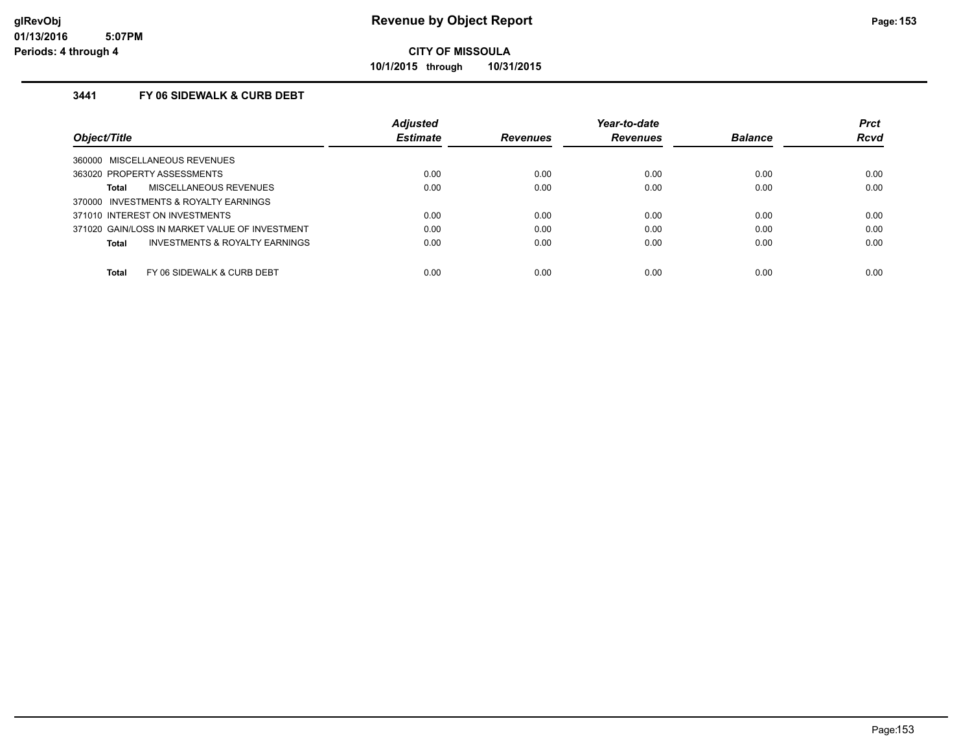**10/1/2015 through 10/31/2015**

### **3441 FY 06 SIDEWALK & CURB DEBT**

|                                                    | <b>Adjusted</b> |                 | Year-to-date    |                | <b>Prct</b> |
|----------------------------------------------------|-----------------|-----------------|-----------------|----------------|-------------|
| Object/Title                                       | <b>Estimate</b> | <b>Revenues</b> | <b>Revenues</b> | <b>Balance</b> | <b>Rcvd</b> |
| 360000 MISCELLANEOUS REVENUES                      |                 |                 |                 |                |             |
| 363020 PROPERTY ASSESSMENTS                        | 0.00            | 0.00            | 0.00            | 0.00           | 0.00        |
| MISCELLANEOUS REVENUES<br>Total                    | 0.00            | 0.00            | 0.00            | 0.00           | 0.00        |
| 370000 INVESTMENTS & ROYALTY EARNINGS              |                 |                 |                 |                |             |
| 371010 INTEREST ON INVESTMENTS                     | 0.00            | 0.00            | 0.00            | 0.00           | 0.00        |
| 371020 GAIN/LOSS IN MARKET VALUE OF INVESTMENT     | 0.00            | 0.00            | 0.00            | 0.00           | 0.00        |
| <b>INVESTMENTS &amp; ROYALTY EARNINGS</b><br>Total | 0.00            | 0.00            | 0.00            | 0.00           | 0.00        |
| Total<br>FY 06 SIDEWALK & CURB DEBT                | 0.00            | 0.00            | 0.00            | 0.00           | 0.00        |
|                                                    |                 |                 |                 |                |             |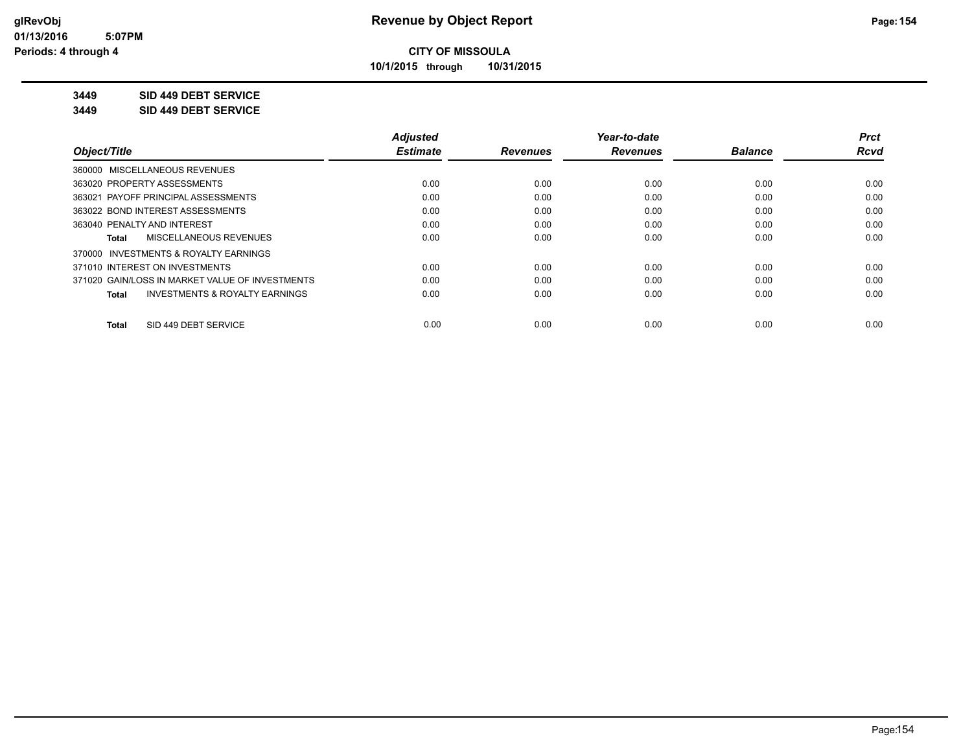**10/1/2015 through 10/31/2015**

### **3449 SID 449 DEBT SERVICE**

**3449 SID 449 DEBT SERVICE**

|                                                    | <b>Adjusted</b> |                 | Year-to-date    |                | <b>Prct</b> |
|----------------------------------------------------|-----------------|-----------------|-----------------|----------------|-------------|
| Object/Title                                       | <b>Estimate</b> | <b>Revenues</b> | <b>Revenues</b> | <b>Balance</b> | <b>Rcvd</b> |
| 360000 MISCELLANEOUS REVENUES                      |                 |                 |                 |                |             |
| 363020 PROPERTY ASSESSMENTS                        | 0.00            | 0.00            | 0.00            | 0.00           | 0.00        |
| PAYOFF PRINCIPAL ASSESSMENTS<br>363021             | 0.00            | 0.00            | 0.00            | 0.00           | 0.00        |
| 363022 BOND INTEREST ASSESSMENTS                   | 0.00            | 0.00            | 0.00            | 0.00           | 0.00        |
| 363040 PENALTY AND INTEREST                        | 0.00            | 0.00            | 0.00            | 0.00           | 0.00        |
| MISCELLANEOUS REVENUES<br>Total                    | 0.00            | 0.00            | 0.00            | 0.00           | 0.00        |
| 370000 INVESTMENTS & ROYALTY EARNINGS              |                 |                 |                 |                |             |
| 371010 INTEREST ON INVESTMENTS                     | 0.00            | 0.00            | 0.00            | 0.00           | 0.00        |
| 371020 GAIN/LOSS IN MARKET VALUE OF INVESTMENTS    | 0.00            | 0.00            | 0.00            | 0.00           | 0.00        |
| <b>INVESTMENTS &amp; ROYALTY EARNINGS</b><br>Total | 0.00            | 0.00            | 0.00            | 0.00           | 0.00        |
| SID 449 DEBT SERVICE<br><b>Total</b>               | 0.00            | 0.00            | 0.00            | 0.00           | 0.00        |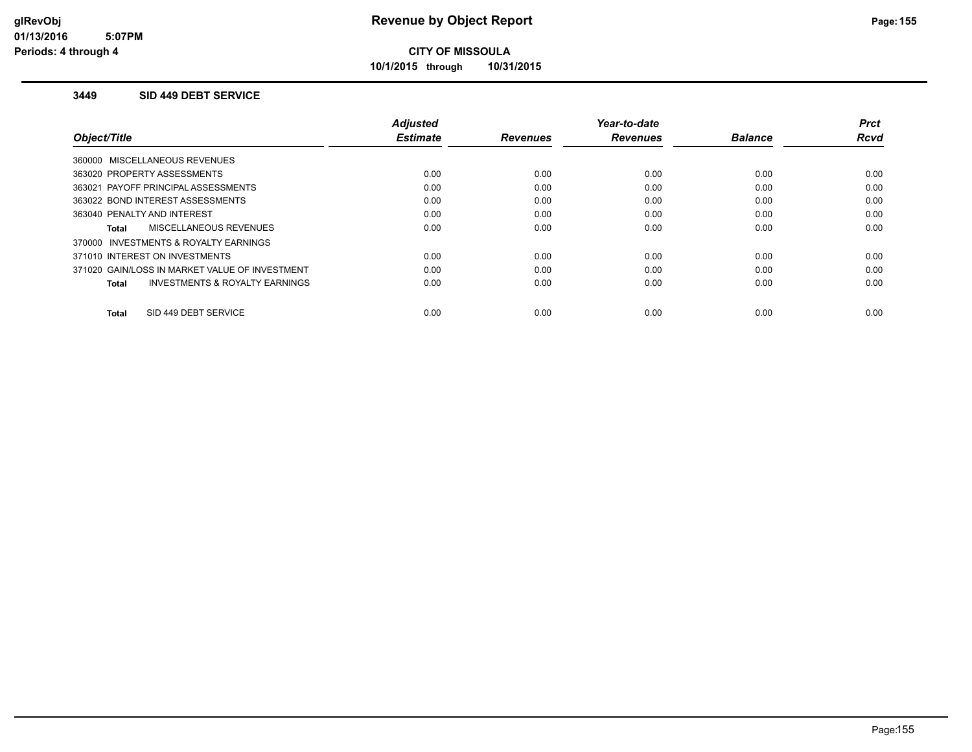**10/1/2015 through 10/31/2015**

### **3449 SID 449 DEBT SERVICE**

|                                                    | <b>Adjusted</b> |                 | Year-to-date    |                | <b>Prct</b> |
|----------------------------------------------------|-----------------|-----------------|-----------------|----------------|-------------|
| Object/Title                                       | <b>Estimate</b> | <b>Revenues</b> | <b>Revenues</b> | <b>Balance</b> | <b>Rcvd</b> |
| 360000 MISCELLANEOUS REVENUES                      |                 |                 |                 |                |             |
| 363020 PROPERTY ASSESSMENTS                        | 0.00            | 0.00            | 0.00            | 0.00           | 0.00        |
| 363021 PAYOFF PRINCIPAL ASSESSMENTS                | 0.00            | 0.00            | 0.00            | 0.00           | 0.00        |
| 363022 BOND INTEREST ASSESSMENTS                   | 0.00            | 0.00            | 0.00            | 0.00           | 0.00        |
| 363040 PENALTY AND INTEREST                        | 0.00            | 0.00            | 0.00            | 0.00           | 0.00        |
| MISCELLANEOUS REVENUES<br>Total                    | 0.00            | 0.00            | 0.00            | 0.00           | 0.00        |
| INVESTMENTS & ROYALTY EARNINGS<br>370000           |                 |                 |                 |                |             |
| 371010 INTEREST ON INVESTMENTS                     | 0.00            | 0.00            | 0.00            | 0.00           | 0.00        |
| 371020 GAIN/LOSS IN MARKET VALUE OF INVESTMENT     | 0.00            | 0.00            | 0.00            | 0.00           | 0.00        |
| <b>INVESTMENTS &amp; ROYALTY EARNINGS</b><br>Total | 0.00            | 0.00            | 0.00            | 0.00           | 0.00        |
|                                                    |                 |                 |                 |                |             |
| SID 449 DEBT SERVICE<br>Total                      | 0.00            | 0.00            | 0.00            | 0.00           | 0.00        |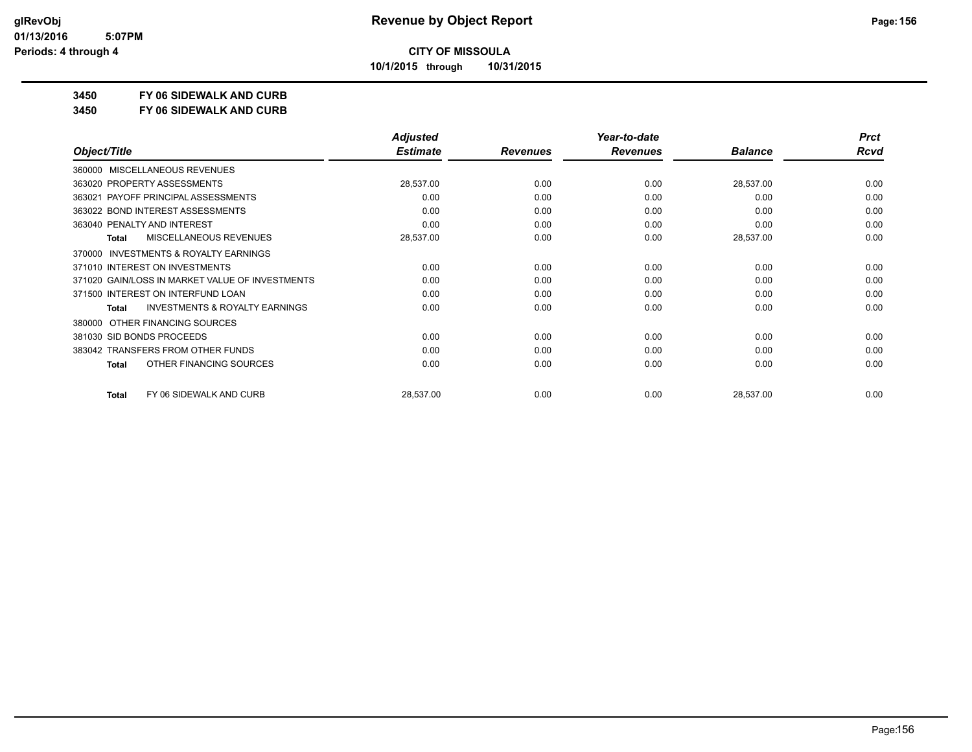**10/1/2015 through 10/31/2015**

### **3450 FY 06 SIDEWALK AND CURB**

**3450 FY 06 SIDEWALK AND CURB**

|                                                     | <b>Adjusted</b> |                 | Year-to-date    |                | <b>Prct</b> |
|-----------------------------------------------------|-----------------|-----------------|-----------------|----------------|-------------|
| Object/Title                                        | <b>Estimate</b> | <b>Revenues</b> | <b>Revenues</b> | <b>Balance</b> | <b>Rcvd</b> |
| MISCELLANEOUS REVENUES<br>360000                    |                 |                 |                 |                |             |
| 363020 PROPERTY ASSESSMENTS                         | 28,537.00       | 0.00            | 0.00            | 28,537.00      | 0.00        |
| 363021 PAYOFF PRINCIPAL ASSESSMENTS                 | 0.00            | 0.00            | 0.00            | 0.00           | 0.00        |
| 363022 BOND INTEREST ASSESSMENTS                    | 0.00            | 0.00            | 0.00            | 0.00           | 0.00        |
| 363040 PENALTY AND INTEREST                         | 0.00            | 0.00            | 0.00            | 0.00           | 0.00        |
| MISCELLANEOUS REVENUES<br>Total                     | 28,537.00       | 0.00            | 0.00            | 28,537.00      | 0.00        |
| <b>INVESTMENTS &amp; ROYALTY EARNINGS</b><br>370000 |                 |                 |                 |                |             |
| 371010 INTEREST ON INVESTMENTS                      | 0.00            | 0.00            | 0.00            | 0.00           | 0.00        |
| 371020 GAIN/LOSS IN MARKET VALUE OF INVESTMENTS     | 0.00            | 0.00            | 0.00            | 0.00           | 0.00        |
| 371500 INTEREST ON INTERFUND LOAN                   | 0.00            | 0.00            | 0.00            | 0.00           | 0.00        |
| <b>INVESTMENTS &amp; ROYALTY EARNINGS</b><br>Total  | 0.00            | 0.00            | 0.00            | 0.00           | 0.00        |
| OTHER FINANCING SOURCES<br>380000                   |                 |                 |                 |                |             |
| 381030 SID BONDS PROCEEDS                           | 0.00            | 0.00            | 0.00            | 0.00           | 0.00        |
| 383042 TRANSFERS FROM OTHER FUNDS                   | 0.00            | 0.00            | 0.00            | 0.00           | 0.00        |
| OTHER FINANCING SOURCES<br>Total                    | 0.00            | 0.00            | 0.00            | 0.00           | 0.00        |
| FY 06 SIDEWALK AND CURB<br><b>Total</b>             | 28,537.00       | 0.00            | 0.00            | 28,537.00      | 0.00        |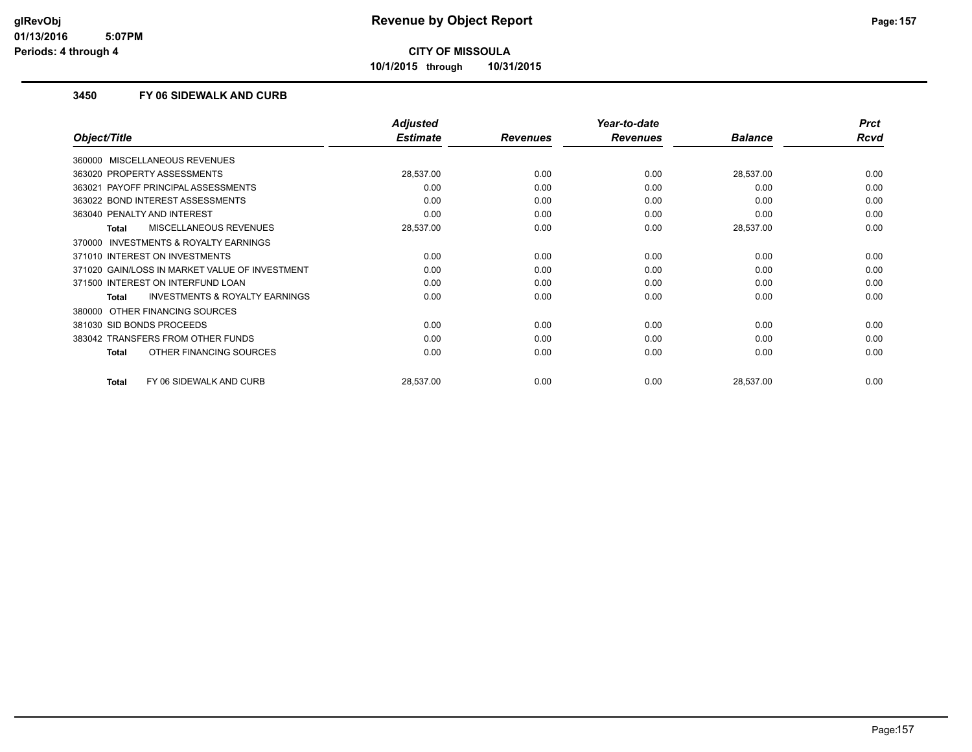**10/1/2015 through 10/31/2015**

### **3450 FY 06 SIDEWALK AND CURB**

|                                                    | <b>Adjusted</b> |                 | Year-to-date    |                | <b>Prct</b> |
|----------------------------------------------------|-----------------|-----------------|-----------------|----------------|-------------|
| Object/Title                                       | <b>Estimate</b> | <b>Revenues</b> | <b>Revenues</b> | <b>Balance</b> | <b>Rcvd</b> |
| 360000 MISCELLANEOUS REVENUES                      |                 |                 |                 |                |             |
| 363020 PROPERTY ASSESSMENTS                        | 28,537.00       | 0.00            | 0.00            | 28,537.00      | 0.00        |
| PAYOFF PRINCIPAL ASSESSMENTS<br>363021             | 0.00            | 0.00            | 0.00            | 0.00           | 0.00        |
| 363022 BOND INTEREST ASSESSMENTS                   | 0.00            | 0.00            | 0.00            | 0.00           | 0.00        |
| 363040 PENALTY AND INTEREST                        | 0.00            | 0.00            | 0.00            | 0.00           | 0.00        |
| <b>MISCELLANEOUS REVENUES</b><br>Total             | 28,537.00       | 0.00            | 0.00            | 28,537.00      | 0.00        |
| 370000 INVESTMENTS & ROYALTY EARNINGS              |                 |                 |                 |                |             |
| 371010 INTEREST ON INVESTMENTS                     | 0.00            | 0.00            | 0.00            | 0.00           | 0.00        |
| 371020 GAIN/LOSS IN MARKET VALUE OF INVESTMENT     | 0.00            | 0.00            | 0.00            | 0.00           | 0.00        |
| 371500 INTEREST ON INTERFUND LOAN                  | 0.00            | 0.00            | 0.00            | 0.00           | 0.00        |
| <b>INVESTMENTS &amp; ROYALTY EARNINGS</b><br>Total | 0.00            | 0.00            | 0.00            | 0.00           | 0.00        |
| 380000 OTHER FINANCING SOURCES                     |                 |                 |                 |                |             |
| 381030 SID BONDS PROCEEDS                          | 0.00            | 0.00            | 0.00            | 0.00           | 0.00        |
| 383042 TRANSFERS FROM OTHER FUNDS                  | 0.00            | 0.00            | 0.00            | 0.00           | 0.00        |
| OTHER FINANCING SOURCES<br><b>Total</b>            | 0.00            | 0.00            | 0.00            | 0.00           | 0.00        |
| FY 06 SIDEWALK AND CURB<br><b>Total</b>            | 28,537.00       | 0.00            | 0.00            | 28,537.00      | 0.00        |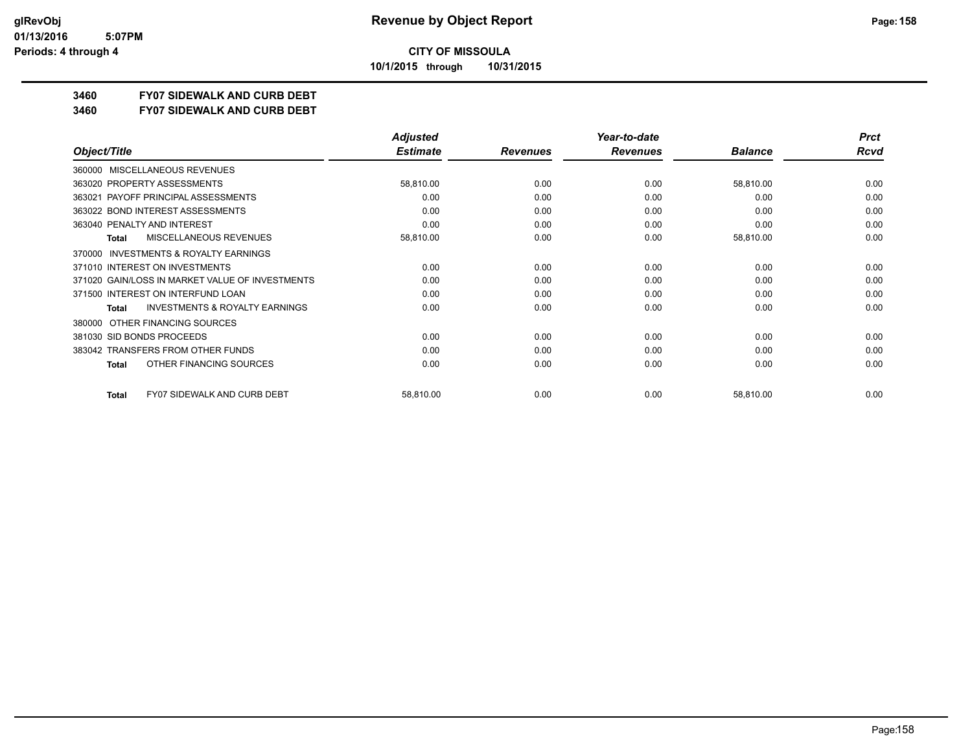**10/1/2015 through 10/31/2015**

### **3460 FY07 SIDEWALK AND CURB DEBT**

**3460 FY07 SIDEWALK AND CURB DEBT**

|                                                     | <b>Adjusted</b> |                 | Year-to-date    |                | <b>Prct</b> |
|-----------------------------------------------------|-----------------|-----------------|-----------------|----------------|-------------|
| Object/Title                                        | <b>Estimate</b> | <b>Revenues</b> | <b>Revenues</b> | <b>Balance</b> | <b>Rcvd</b> |
| MISCELLANEOUS REVENUES<br>360000                    |                 |                 |                 |                |             |
| 363020 PROPERTY ASSESSMENTS                         | 58,810.00       | 0.00            | 0.00            | 58,810.00      | 0.00        |
| 363021 PAYOFF PRINCIPAL ASSESSMENTS                 | 0.00            | 0.00            | 0.00            | 0.00           | 0.00        |
| 363022 BOND INTEREST ASSESSMENTS                    | 0.00            | 0.00            | 0.00            | 0.00           | 0.00        |
| 363040 PENALTY AND INTEREST                         | 0.00            | 0.00            | 0.00            | 0.00           | 0.00        |
| MISCELLANEOUS REVENUES<br>Total                     | 58,810.00       | 0.00            | 0.00            | 58,810.00      | 0.00        |
| <b>INVESTMENTS &amp; ROYALTY EARNINGS</b><br>370000 |                 |                 |                 |                |             |
| 371010 INTEREST ON INVESTMENTS                      | 0.00            | 0.00            | 0.00            | 0.00           | 0.00        |
| 371020 GAIN/LOSS IN MARKET VALUE OF INVESTMENTS     | 0.00            | 0.00            | 0.00            | 0.00           | 0.00        |
| 371500 INTEREST ON INTERFUND LOAN                   | 0.00            | 0.00            | 0.00            | 0.00           | 0.00        |
| <b>INVESTMENTS &amp; ROYALTY EARNINGS</b><br>Total  | 0.00            | 0.00            | 0.00            | 0.00           | 0.00        |
| OTHER FINANCING SOURCES<br>380000                   |                 |                 |                 |                |             |
| 381030 SID BONDS PROCEEDS                           | 0.00            | 0.00            | 0.00            | 0.00           | 0.00        |
| 383042 TRANSFERS FROM OTHER FUNDS                   | 0.00            | 0.00            | 0.00            | 0.00           | 0.00        |
| OTHER FINANCING SOURCES<br><b>Total</b>             | 0.00            | 0.00            | 0.00            | 0.00           | 0.00        |
| <b>FY07 SIDEWALK AND CURB DEBT</b><br>Total         | 58,810.00       | 0.00            | 0.00            | 58,810.00      | 0.00        |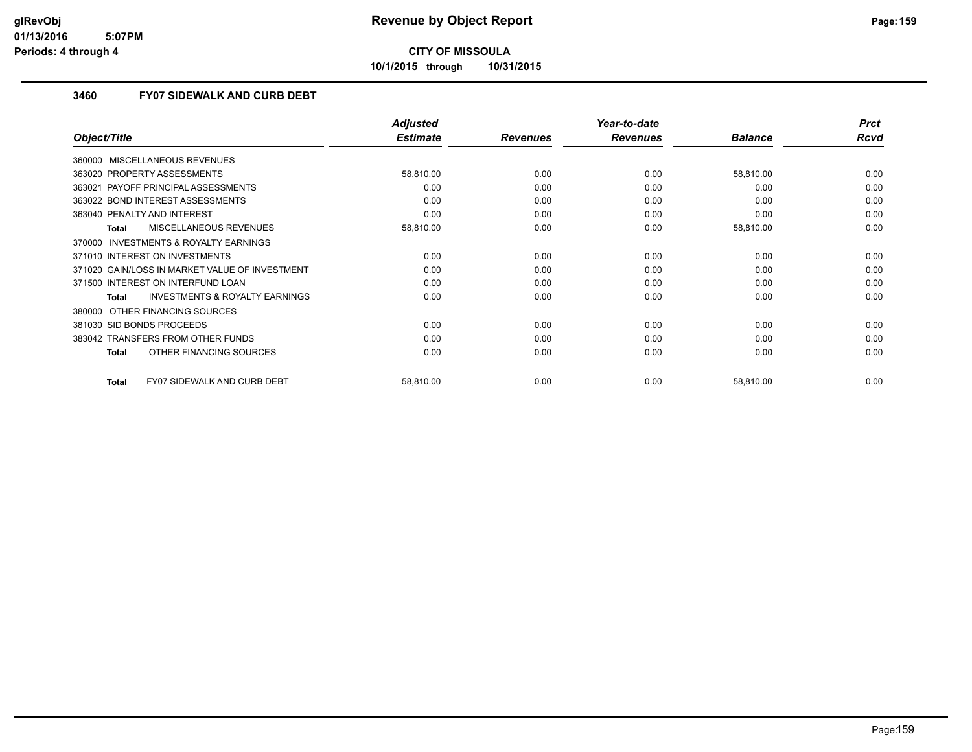**10/1/2015 through 10/31/2015**

### **3460 FY07 SIDEWALK AND CURB DEBT**

|                                                    | <b>Adjusted</b> |                 | Year-to-date    |                | <b>Prct</b> |
|----------------------------------------------------|-----------------|-----------------|-----------------|----------------|-------------|
| Object/Title                                       | <b>Estimate</b> | <b>Revenues</b> | <b>Revenues</b> | <b>Balance</b> | Rcvd        |
| 360000 MISCELLANEOUS REVENUES                      |                 |                 |                 |                |             |
| 363020 PROPERTY ASSESSMENTS                        | 58,810.00       | 0.00            | 0.00            | 58,810.00      | 0.00        |
| PAYOFF PRINCIPAL ASSESSMENTS<br>363021             | 0.00            | 0.00            | 0.00            | 0.00           | 0.00        |
| 363022 BOND INTEREST ASSESSMENTS                   | 0.00            | 0.00            | 0.00            | 0.00           | 0.00        |
| 363040 PENALTY AND INTEREST                        | 0.00            | 0.00            | 0.00            | 0.00           | 0.00        |
| MISCELLANEOUS REVENUES<br>Total                    | 58,810.00       | 0.00            | 0.00            | 58,810.00      | 0.00        |
| 370000 INVESTMENTS & ROYALTY EARNINGS              |                 |                 |                 |                |             |
| 371010 INTEREST ON INVESTMENTS                     | 0.00            | 0.00            | 0.00            | 0.00           | 0.00        |
| 371020 GAIN/LOSS IN MARKET VALUE OF INVESTMENT     | 0.00            | 0.00            | 0.00            | 0.00           | 0.00        |
| 371500 INTEREST ON INTERFUND LOAN                  | 0.00            | 0.00            | 0.00            | 0.00           | 0.00        |
| <b>INVESTMENTS &amp; ROYALTY EARNINGS</b><br>Total | 0.00            | 0.00            | 0.00            | 0.00           | 0.00        |
| OTHER FINANCING SOURCES<br>380000                  |                 |                 |                 |                |             |
| 381030 SID BONDS PROCEEDS                          | 0.00            | 0.00            | 0.00            | 0.00           | 0.00        |
| 383042 TRANSFERS FROM OTHER FUNDS                  | 0.00            | 0.00            | 0.00            | 0.00           | 0.00        |
| OTHER FINANCING SOURCES<br><b>Total</b>            | 0.00            | 0.00            | 0.00            | 0.00           | 0.00        |
|                                                    |                 |                 |                 |                |             |
| FY07 SIDEWALK AND CURB DEBT<br><b>Total</b>        | 58,810.00       | 0.00            | 0.00            | 58,810.00      | 0.00        |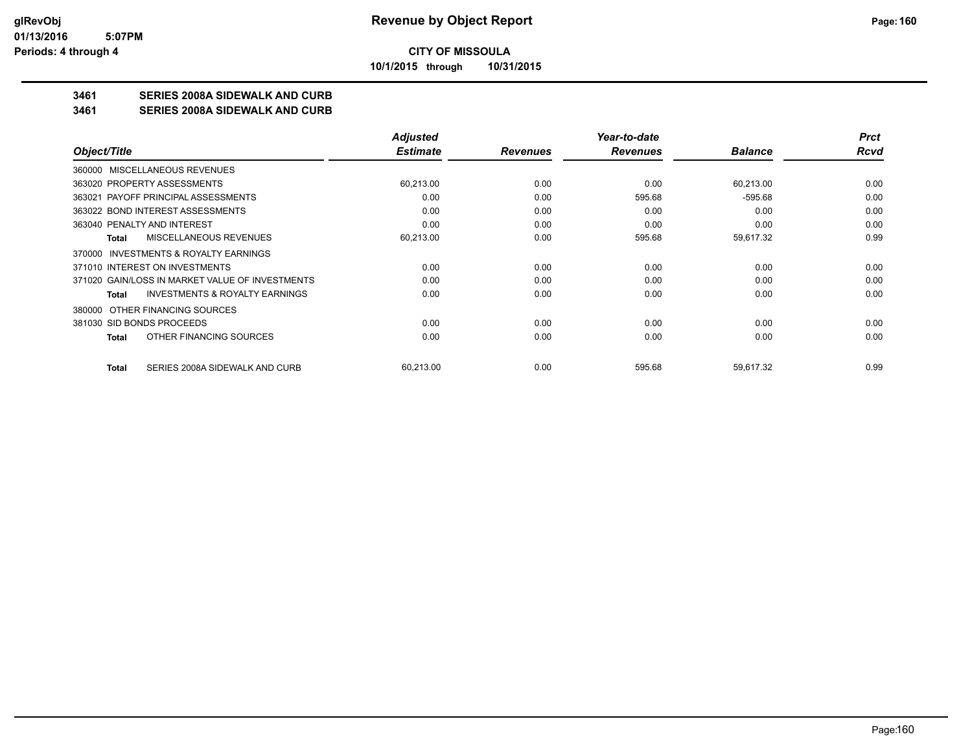**10/1/2015 through 10/31/2015**

### **3461 SERIES 2008A SIDEWALK AND CURB**

**3461 SERIES 2008A SIDEWALK AND CURB**

|                                                    | <b>Adjusted</b> |                 | Year-to-date    |                | <b>Prct</b> |
|----------------------------------------------------|-----------------|-----------------|-----------------|----------------|-------------|
| Object/Title                                       | <b>Estimate</b> | <b>Revenues</b> | <b>Revenues</b> | <b>Balance</b> | Rcvd        |
| 360000 MISCELLANEOUS REVENUES                      |                 |                 |                 |                |             |
| 363020 PROPERTY ASSESSMENTS                        | 60,213.00       | 0.00            | 0.00            | 60,213.00      | 0.00        |
| 363021 PAYOFF PRINCIPAL ASSESSMENTS                | 0.00            | 0.00            | 595.68          | $-595.68$      | 0.00        |
| 363022 BOND INTEREST ASSESSMENTS                   | 0.00            | 0.00            | 0.00            | 0.00           | 0.00        |
| 363040 PENALTY AND INTEREST                        | 0.00            | 0.00            | 0.00            | 0.00           | 0.00        |
| MISCELLANEOUS REVENUES<br>Total                    | 60,213.00       | 0.00            | 595.68          | 59,617.32      | 0.99        |
| INVESTMENTS & ROYALTY EARNINGS<br>370000           |                 |                 |                 |                |             |
| 371010 INTEREST ON INVESTMENTS                     | 0.00            | 0.00            | 0.00            | 0.00           | 0.00        |
| 371020 GAIN/LOSS IN MARKET VALUE OF INVESTMENTS    | 0.00            | 0.00            | 0.00            | 0.00           | 0.00        |
| <b>INVESTMENTS &amp; ROYALTY EARNINGS</b><br>Total | 0.00            | 0.00            | 0.00            | 0.00           | 0.00        |
| OTHER FINANCING SOURCES<br>380000                  |                 |                 |                 |                |             |
| 381030 SID BONDS PROCEEDS                          | 0.00            | 0.00            | 0.00            | 0.00           | 0.00        |
| OTHER FINANCING SOURCES<br>Total                   | 0.00            | 0.00            | 0.00            | 0.00           | 0.00        |
| SERIES 2008A SIDEWALK AND CURB<br><b>Total</b>     | 60,213.00       | 0.00            | 595.68          | 59,617.32      | 0.99        |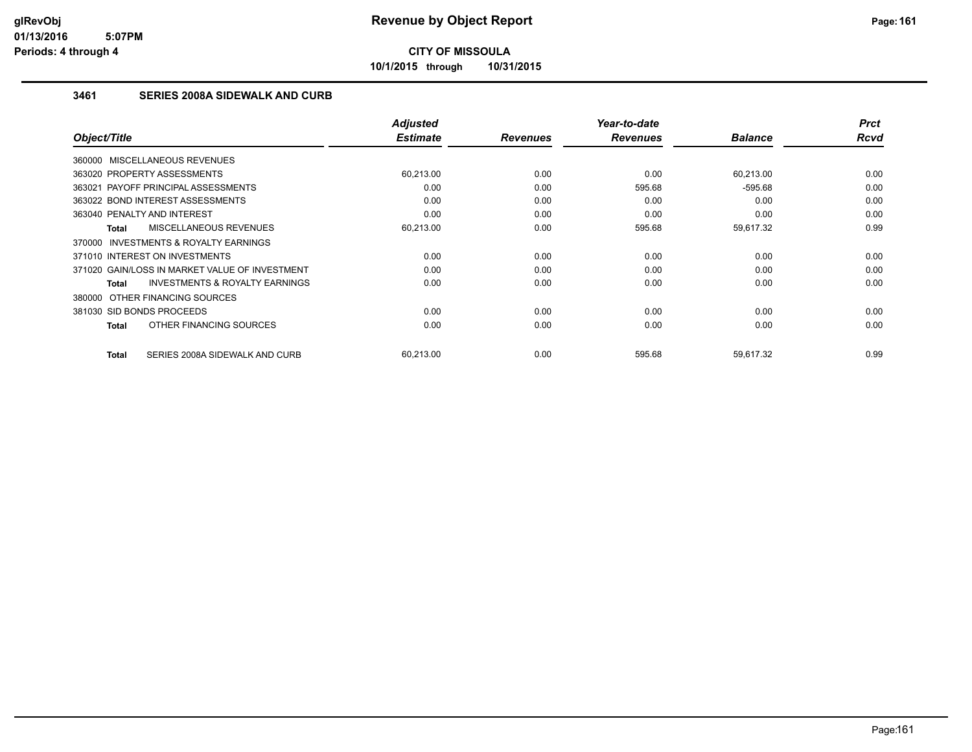**10/1/2015 through 10/31/2015**

### **3461 SERIES 2008A SIDEWALK AND CURB**

| Object/Title                                        | <b>Adjusted</b><br><b>Estimate</b> | <b>Revenues</b> | Year-to-date<br><b>Revenues</b> | <b>Balance</b> | <b>Prct</b><br><b>Rcvd</b> |
|-----------------------------------------------------|------------------------------------|-----------------|---------------------------------|----------------|----------------------------|
|                                                     |                                    |                 |                                 |                |                            |
| 360000 MISCELLANEOUS REVENUES                       |                                    |                 |                                 |                |                            |
| 363020 PROPERTY ASSESSMENTS                         | 60,213.00                          | 0.00            | 0.00                            | 60,213.00      | 0.00                       |
| 363021 PAYOFF PRINCIPAL ASSESSMENTS                 | 0.00                               | 0.00            | 595.68                          | $-595.68$      | 0.00                       |
| 363022 BOND INTEREST ASSESSMENTS                    | 0.00                               | 0.00            | 0.00                            | 0.00           | 0.00                       |
| 363040 PENALTY AND INTEREST                         | 0.00                               | 0.00            | 0.00                            | 0.00           | 0.00                       |
| <b>MISCELLANEOUS REVENUES</b><br>Total              | 60,213.00                          | 0.00            | 595.68                          | 59,617.32      | 0.99                       |
| <b>INVESTMENTS &amp; ROYALTY EARNINGS</b><br>370000 |                                    |                 |                                 |                |                            |
| 371010 INTEREST ON INVESTMENTS                      | 0.00                               | 0.00            | 0.00                            | 0.00           | 0.00                       |
| 371020 GAIN/LOSS IN MARKET VALUE OF INVESTMENT      | 0.00                               | 0.00            | 0.00                            | 0.00           | 0.00                       |
| <b>INVESTMENTS &amp; ROYALTY EARNINGS</b><br>Total  | 0.00                               | 0.00            | 0.00                            | 0.00           | 0.00                       |
| 380000 OTHER FINANCING SOURCES                      |                                    |                 |                                 |                |                            |
| 381030 SID BONDS PROCEEDS                           | 0.00                               | 0.00            | 0.00                            | 0.00           | 0.00                       |
| OTHER FINANCING SOURCES<br>Total                    | 0.00                               | 0.00            | 0.00                            | 0.00           | 0.00                       |
|                                                     |                                    |                 |                                 |                |                            |
| SERIES 2008A SIDEWALK AND CURB<br><b>Total</b>      | 60,213.00                          | 0.00            | 595.68                          | 59,617.32      | 0.99                       |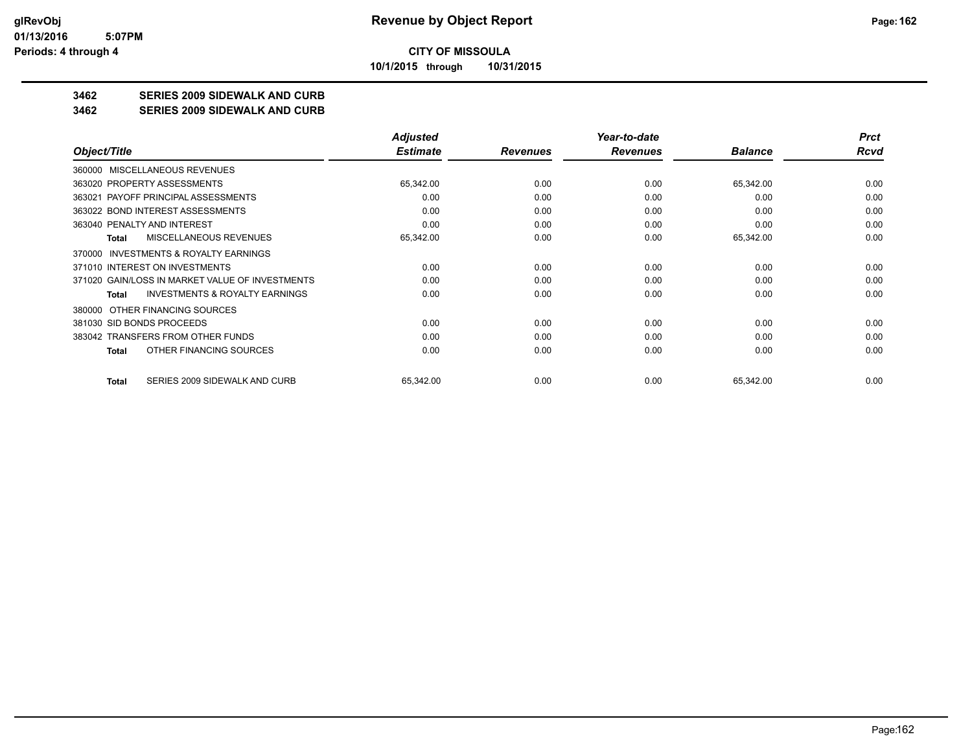**10/1/2015 through 10/31/2015**

### **3462 SERIES 2009 SIDEWALK AND CURB**

#### **3462 SERIES 2009 SIDEWALK AND CURB**

|                                                     | <b>Adjusted</b> |                 | Year-to-date    |                | <b>Prct</b> |
|-----------------------------------------------------|-----------------|-----------------|-----------------|----------------|-------------|
| Object/Title                                        | <b>Estimate</b> | <b>Revenues</b> | <b>Revenues</b> | <b>Balance</b> | Rcvd        |
| MISCELLANEOUS REVENUES<br>360000                    |                 |                 |                 |                |             |
| 363020 PROPERTY ASSESSMENTS                         | 65,342.00       | 0.00            | 0.00            | 65,342.00      | 0.00        |
| 363021 PAYOFF PRINCIPAL ASSESSMENTS                 | 0.00            | 0.00            | 0.00            | 0.00           | 0.00        |
| 363022 BOND INTEREST ASSESSMENTS                    | 0.00            | 0.00            | 0.00            | 0.00           | 0.00        |
| 363040 PENALTY AND INTEREST                         | 0.00            | 0.00            | 0.00            | 0.00           | 0.00        |
| MISCELLANEOUS REVENUES<br>Total                     | 65,342.00       | 0.00            | 0.00            | 65,342.00      | 0.00        |
| <b>INVESTMENTS &amp; ROYALTY EARNINGS</b><br>370000 |                 |                 |                 |                |             |
| 371010 INTEREST ON INVESTMENTS                      | 0.00            | 0.00            | 0.00            | 0.00           | 0.00        |
| 371020 GAIN/LOSS IN MARKET VALUE OF INVESTMENTS     | 0.00            | 0.00            | 0.00            | 0.00           | 0.00        |
| <b>INVESTMENTS &amp; ROYALTY EARNINGS</b><br>Total  | 0.00            | 0.00            | 0.00            | 0.00           | 0.00        |
| OTHER FINANCING SOURCES<br>380000                   |                 |                 |                 |                |             |
| 381030 SID BONDS PROCEEDS                           | 0.00            | 0.00            | 0.00            | 0.00           | 0.00        |
| 383042 TRANSFERS FROM OTHER FUNDS                   | 0.00            | 0.00            | 0.00            | 0.00           | 0.00        |
| OTHER FINANCING SOURCES<br>Total                    | 0.00            | 0.00            | 0.00            | 0.00           | 0.00        |
| SERIES 2009 SIDEWALK AND CURB<br>Total              | 65,342.00       | 0.00            | 0.00            | 65,342.00      | 0.00        |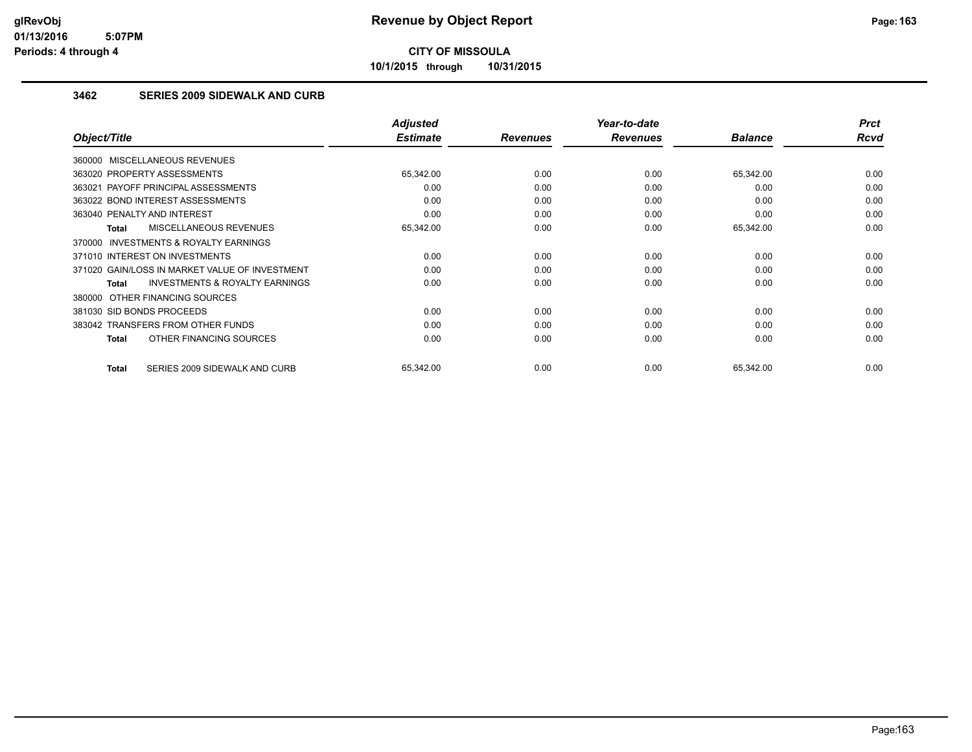**10/1/2015 through 10/31/2015**

### **3462 SERIES 2009 SIDEWALK AND CURB**

|                                                     | <b>Adjusted</b> |                 | Year-to-date    |                | <b>Prct</b> |
|-----------------------------------------------------|-----------------|-----------------|-----------------|----------------|-------------|
| Object/Title                                        | <b>Estimate</b> | <b>Revenues</b> | <b>Revenues</b> | <b>Balance</b> | <b>Rcvd</b> |
| 360000 MISCELLANEOUS REVENUES                       |                 |                 |                 |                |             |
| 363020 PROPERTY ASSESSMENTS                         | 65,342.00       | 0.00            | 0.00            | 65,342.00      | 0.00        |
| 363021 PAYOFF PRINCIPAL ASSESSMENTS                 | 0.00            | 0.00            | 0.00            | 0.00           | 0.00        |
| 363022 BOND INTEREST ASSESSMENTS                    | 0.00            | 0.00            | 0.00            | 0.00           | 0.00        |
| 363040 PENALTY AND INTEREST                         | 0.00            | 0.00            | 0.00            | 0.00           | 0.00        |
| MISCELLANEOUS REVENUES<br>Total                     | 65,342.00       | 0.00            | 0.00            | 65,342.00      | 0.00        |
| <b>INVESTMENTS &amp; ROYALTY EARNINGS</b><br>370000 |                 |                 |                 |                |             |
| 371010 INTEREST ON INVESTMENTS                      | 0.00            | 0.00            | 0.00            | 0.00           | 0.00        |
| 371020 GAIN/LOSS IN MARKET VALUE OF INVESTMENT      | 0.00            | 0.00            | 0.00            | 0.00           | 0.00        |
| <b>INVESTMENTS &amp; ROYALTY EARNINGS</b><br>Total  | 0.00            | 0.00            | 0.00            | 0.00           | 0.00        |
| 380000 OTHER FINANCING SOURCES                      |                 |                 |                 |                |             |
| 381030 SID BONDS PROCEEDS                           | 0.00            | 0.00            | 0.00            | 0.00           | 0.00        |
| 383042 TRANSFERS FROM OTHER FUNDS                   | 0.00            | 0.00            | 0.00            | 0.00           | 0.00        |
| OTHER FINANCING SOURCES<br>Total                    | 0.00            | 0.00            | 0.00            | 0.00           | 0.00        |
|                                                     |                 |                 |                 |                |             |
| SERIES 2009 SIDEWALK AND CURB<br>Total              | 65,342.00       | 0.00            | 0.00            | 65,342.00      | 0.00        |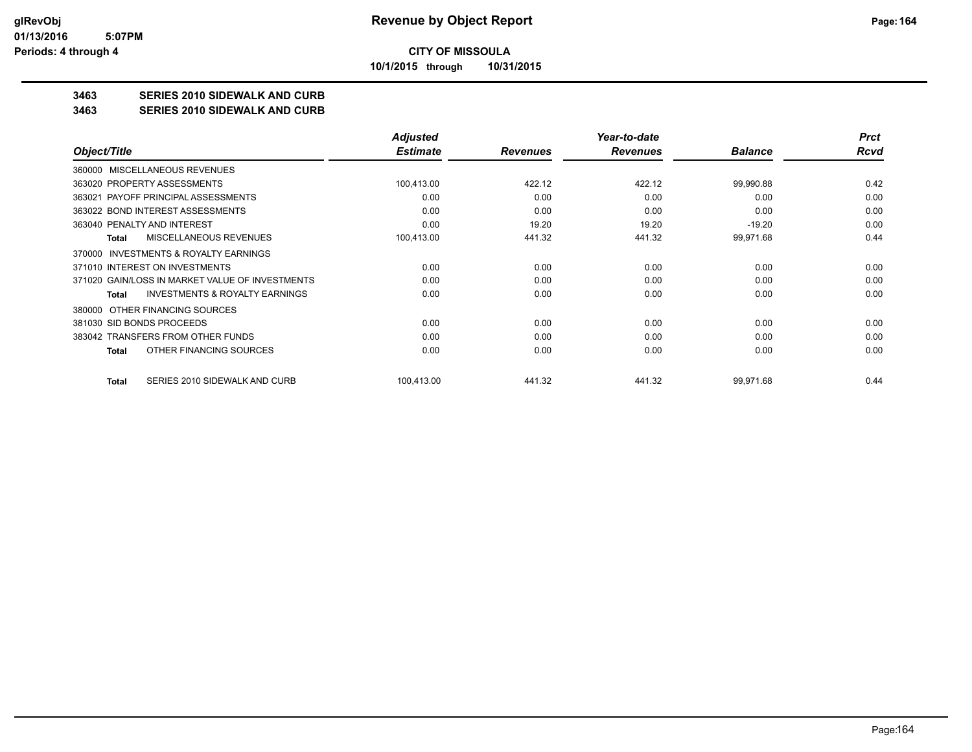**10/1/2015 through 10/31/2015**

### **3463 SERIES 2010 SIDEWALK AND CURB**

**3463 SERIES 2010 SIDEWALK AND CURB**

|                                                    | <b>Adjusted</b> |                 | Year-to-date    |                | <b>Prct</b> |
|----------------------------------------------------|-----------------|-----------------|-----------------|----------------|-------------|
| Object/Title                                       | <b>Estimate</b> | <b>Revenues</b> | <b>Revenues</b> | <b>Balance</b> | Rcvd        |
| MISCELLANEOUS REVENUES<br>360000                   |                 |                 |                 |                |             |
| 363020 PROPERTY ASSESSMENTS                        | 100,413.00      | 422.12          | 422.12          | 99,990.88      | 0.42        |
| 363021 PAYOFF PRINCIPAL ASSESSMENTS                | 0.00            | 0.00            | 0.00            | 0.00           | 0.00        |
| 363022 BOND INTEREST ASSESSMENTS                   | 0.00            | 0.00            | 0.00            | 0.00           | 0.00        |
| 363040 PENALTY AND INTEREST                        | 0.00            | 19.20           | 19.20           | $-19.20$       | 0.00        |
| MISCELLANEOUS REVENUES<br>Total                    | 100,413.00      | 441.32          | 441.32          | 99,971.68      | 0.44        |
| INVESTMENTS & ROYALTY EARNINGS<br>370000           |                 |                 |                 |                |             |
| 371010 INTEREST ON INVESTMENTS                     | 0.00            | 0.00            | 0.00            | 0.00           | 0.00        |
| 371020 GAIN/LOSS IN MARKET VALUE OF INVESTMENTS    | 0.00            | 0.00            | 0.00            | 0.00           | 0.00        |
| <b>INVESTMENTS &amp; ROYALTY EARNINGS</b><br>Total | 0.00            | 0.00            | 0.00            | 0.00           | 0.00        |
| OTHER FINANCING SOURCES<br>380000                  |                 |                 |                 |                |             |
| 381030 SID BONDS PROCEEDS                          | 0.00            | 0.00            | 0.00            | 0.00           | 0.00        |
| 383042 TRANSFERS FROM OTHER FUNDS                  | 0.00            | 0.00            | 0.00            | 0.00           | 0.00        |
| OTHER FINANCING SOURCES<br>Total                   | 0.00            | 0.00            | 0.00            | 0.00           | 0.00        |
|                                                    |                 |                 |                 |                |             |
| SERIES 2010 SIDEWALK AND CURB<br><b>Total</b>      | 100,413.00      | 441.32          | 441.32          | 99,971.68      | 0.44        |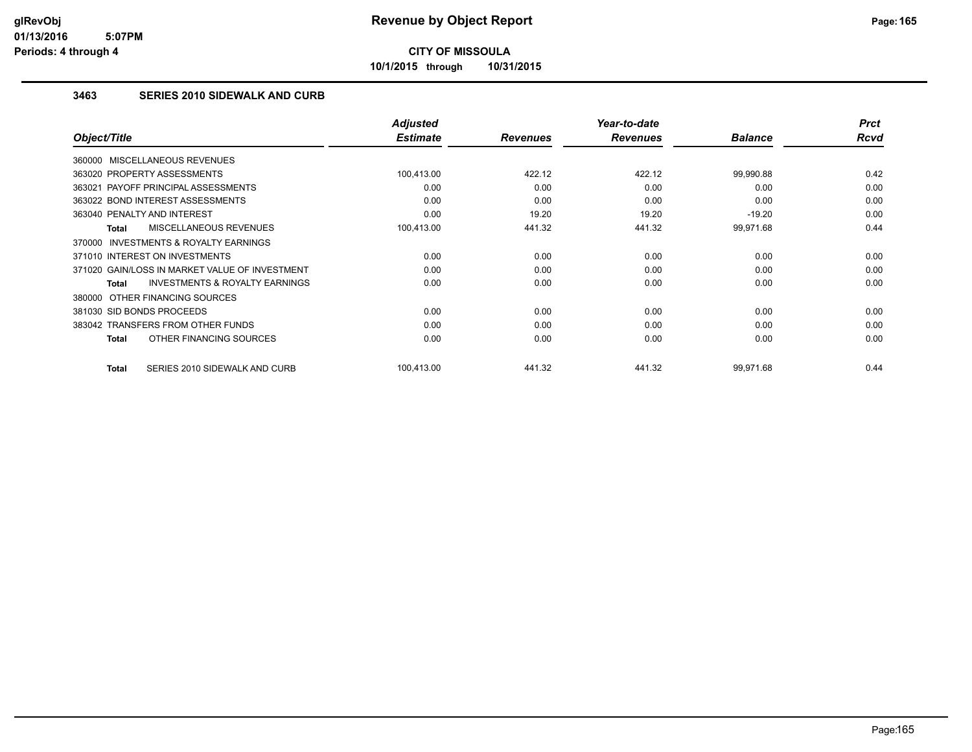**10/1/2015 through 10/31/2015**

### **3463 SERIES 2010 SIDEWALK AND CURB**

|                                                     | <b>Adjusted</b> |                 | Year-to-date    |                | <b>Prct</b> |
|-----------------------------------------------------|-----------------|-----------------|-----------------|----------------|-------------|
| Object/Title                                        | <b>Estimate</b> | <b>Revenues</b> | <b>Revenues</b> | <b>Balance</b> | <b>Rcvd</b> |
| 360000 MISCELLANEOUS REVENUES                       |                 |                 |                 |                |             |
| 363020 PROPERTY ASSESSMENTS                         | 100,413.00      | 422.12          | 422.12          | 99,990.88      | 0.42        |
| 363021 PAYOFF PRINCIPAL ASSESSMENTS                 | 0.00            | 0.00            | 0.00            | 0.00           | 0.00        |
| 363022 BOND INTEREST ASSESSMENTS                    | 0.00            | 0.00            | 0.00            | 0.00           | 0.00        |
| 363040 PENALTY AND INTEREST                         | 0.00            | 19.20           | 19.20           | $-19.20$       | 0.00        |
| MISCELLANEOUS REVENUES<br>Total                     | 100,413.00      | 441.32          | 441.32          | 99,971.68      | 0.44        |
| <b>INVESTMENTS &amp; ROYALTY EARNINGS</b><br>370000 |                 |                 |                 |                |             |
| 371010 INTEREST ON INVESTMENTS                      | 0.00            | 0.00            | 0.00            | 0.00           | 0.00        |
| 371020 GAIN/LOSS IN MARKET VALUE OF INVESTMENT      | 0.00            | 0.00            | 0.00            | 0.00           | 0.00        |
| <b>INVESTMENTS &amp; ROYALTY EARNINGS</b><br>Total  | 0.00            | 0.00            | 0.00            | 0.00           | 0.00        |
| 380000 OTHER FINANCING SOURCES                      |                 |                 |                 |                |             |
| 381030 SID BONDS PROCEEDS                           | 0.00            | 0.00            | 0.00            | 0.00           | 0.00        |
| 383042 TRANSFERS FROM OTHER FUNDS                   | 0.00            | 0.00            | 0.00            | 0.00           | 0.00        |
| OTHER FINANCING SOURCES<br>Total                    | 0.00            | 0.00            | 0.00            | 0.00           | 0.00        |
| SERIES 2010 SIDEWALK AND CURB<br><b>Total</b>       | 100.413.00      | 441.32          | 441.32          | 99,971.68      | 0.44        |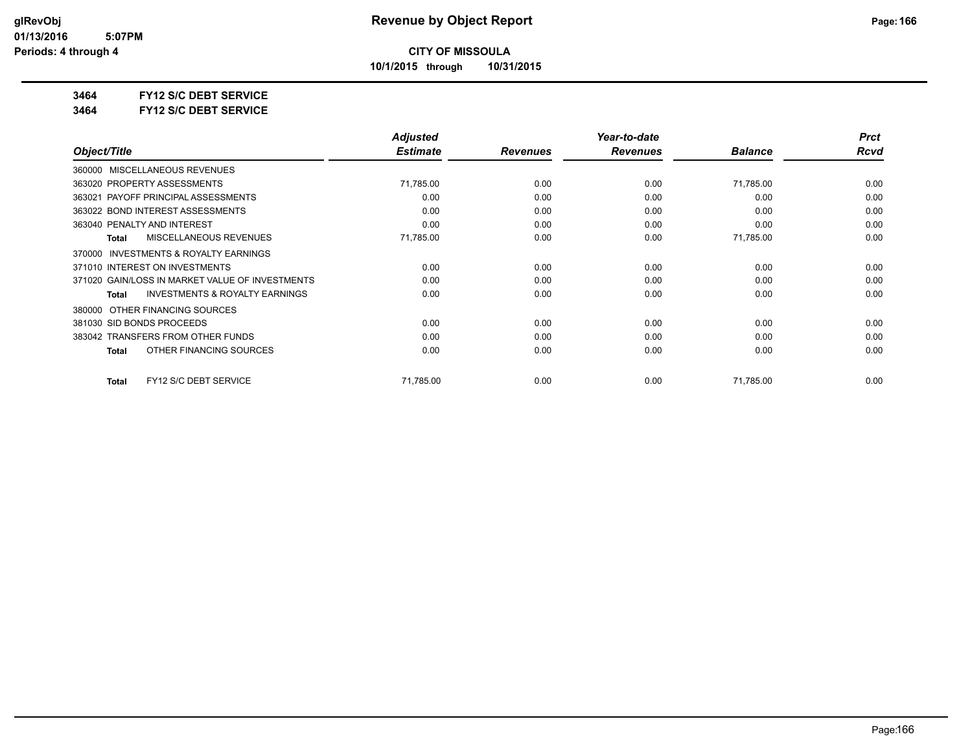**10/1/2015 through 10/31/2015**

### **3464 FY12 S/C DEBT SERVICE**

**3464 FY12 S/C DEBT SERVICE**

|                                                    | <b>Adjusted</b> |                 | Year-to-date    |                | <b>Prct</b> |
|----------------------------------------------------|-----------------|-----------------|-----------------|----------------|-------------|
| Object/Title                                       | <b>Estimate</b> | <b>Revenues</b> | <b>Revenues</b> | <b>Balance</b> | Rcvd        |
| MISCELLANEOUS REVENUES<br>360000                   |                 |                 |                 |                |             |
| 363020 PROPERTY ASSESSMENTS                        | 71,785.00       | 0.00            | 0.00            | 71,785.00      | 0.00        |
| 363021 PAYOFF PRINCIPAL ASSESSMENTS                | 0.00            | 0.00            | 0.00            | 0.00           | 0.00        |
| 363022 BOND INTEREST ASSESSMENTS                   | 0.00            | 0.00            | 0.00            | 0.00           | 0.00        |
| 363040 PENALTY AND INTEREST                        | 0.00            | 0.00            | 0.00            | 0.00           | 0.00        |
| <b>MISCELLANEOUS REVENUES</b><br>Total             | 71,785.00       | 0.00            | 0.00            | 71,785.00      | 0.00        |
| INVESTMENTS & ROYALTY EARNINGS<br>370000           |                 |                 |                 |                |             |
| 371010 INTEREST ON INVESTMENTS                     | 0.00            | 0.00            | 0.00            | 0.00           | 0.00        |
| 371020 GAIN/LOSS IN MARKET VALUE OF INVESTMENTS    | 0.00            | 0.00            | 0.00            | 0.00           | 0.00        |
| <b>INVESTMENTS &amp; ROYALTY EARNINGS</b><br>Total | 0.00            | 0.00            | 0.00            | 0.00           | 0.00        |
| OTHER FINANCING SOURCES<br>380000                  |                 |                 |                 |                |             |
| 381030 SID BONDS PROCEEDS                          | 0.00            | 0.00            | 0.00            | 0.00           | 0.00        |
| 383042 TRANSFERS FROM OTHER FUNDS                  | 0.00            | 0.00            | 0.00            | 0.00           | 0.00        |
| OTHER FINANCING SOURCES<br>Total                   | 0.00            | 0.00            | 0.00            | 0.00           | 0.00        |
| FY12 S/C DEBT SERVICE<br>Total                     | 71,785.00       | 0.00            | 0.00            | 71,785.00      | 0.00        |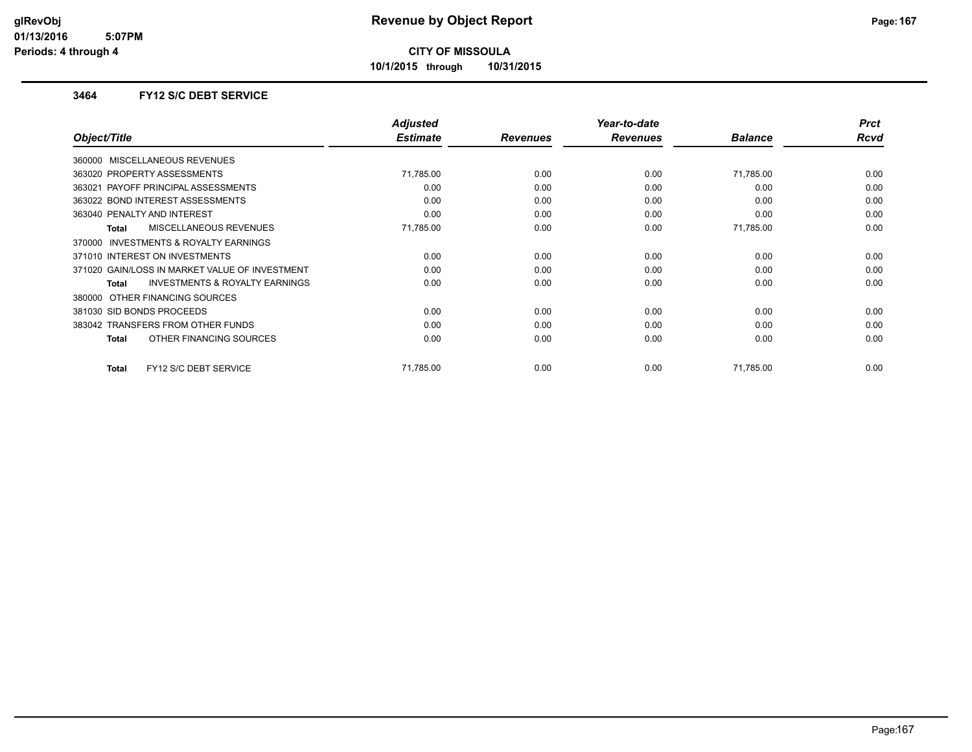**10/1/2015 through 10/31/2015**

### **3464 FY12 S/C DEBT SERVICE**

|                                                           | <b>Adjusted</b> |                 | Year-to-date    |                | <b>Prct</b> |
|-----------------------------------------------------------|-----------------|-----------------|-----------------|----------------|-------------|
| Object/Title                                              | <b>Estimate</b> | <b>Revenues</b> | <b>Revenues</b> | <b>Balance</b> | Rcvd        |
| 360000 MISCELLANEOUS REVENUES                             |                 |                 |                 |                |             |
| 363020 PROPERTY ASSESSMENTS                               | 71,785.00       | 0.00            | 0.00            | 71,785.00      | 0.00        |
| 363021 PAYOFF PRINCIPAL ASSESSMENTS                       | 0.00            | 0.00            | 0.00            | 0.00           | 0.00        |
| 363022 BOND INTEREST ASSESSMENTS                          | 0.00            | 0.00            | 0.00            | 0.00           | 0.00        |
| 363040 PENALTY AND INTEREST                               | 0.00            | 0.00            | 0.00            | 0.00           | 0.00        |
| MISCELLANEOUS REVENUES<br><b>Total</b>                    | 71,785.00       | 0.00            | 0.00            | 71,785.00      | 0.00        |
| INVESTMENTS & ROYALTY EARNINGS<br>370000                  |                 |                 |                 |                |             |
| 371010 INTEREST ON INVESTMENTS                            | 0.00            | 0.00            | 0.00            | 0.00           | 0.00        |
| 371020 GAIN/LOSS IN MARKET VALUE OF INVESTMENT            | 0.00            | 0.00            | 0.00            | 0.00           | 0.00        |
| <b>INVESTMENTS &amp; ROYALTY EARNINGS</b><br><b>Total</b> | 0.00            | 0.00            | 0.00            | 0.00           | 0.00        |
| 380000 OTHER FINANCING SOURCES                            |                 |                 |                 |                |             |
| 381030 SID BONDS PROCEEDS                                 | 0.00            | 0.00            | 0.00            | 0.00           | 0.00        |
| 383042 TRANSFERS FROM OTHER FUNDS                         | 0.00            | 0.00            | 0.00            | 0.00           | 0.00        |
| OTHER FINANCING SOURCES<br><b>Total</b>                   | 0.00            | 0.00            | 0.00            | 0.00           | 0.00        |
|                                                           |                 |                 |                 |                |             |
| FY12 S/C DEBT SERVICE<br><b>Total</b>                     | 71.785.00       | 0.00            | 0.00            | 71.785.00      | 0.00        |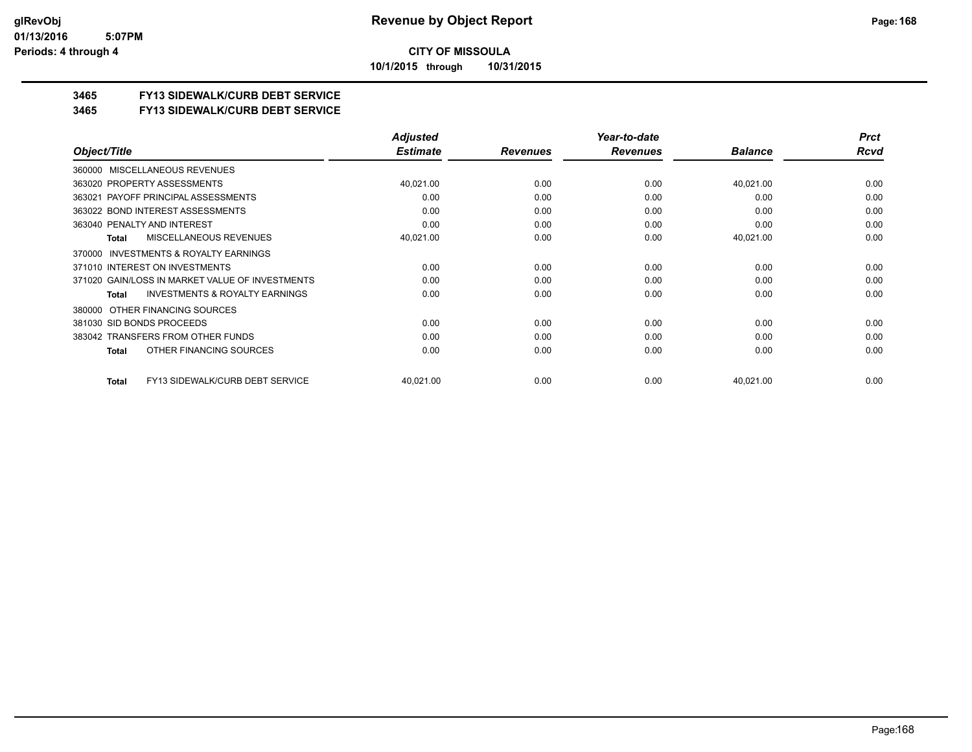**10/1/2015 through 10/31/2015**

### **3465 FY13 SIDEWALK/CURB DEBT SERVICE**

### **3465 FY13 SIDEWALK/CURB DEBT SERVICE**

|                                                           | <b>Adjusted</b> |                 | Year-to-date    |                | <b>Prct</b> |
|-----------------------------------------------------------|-----------------|-----------------|-----------------|----------------|-------------|
| Object/Title                                              | <b>Estimate</b> | <b>Revenues</b> | <b>Revenues</b> | <b>Balance</b> | Rcvd        |
| 360000 MISCELLANEOUS REVENUES                             |                 |                 |                 |                |             |
| 363020 PROPERTY ASSESSMENTS                               | 40,021.00       | 0.00            | 0.00            | 40,021.00      | 0.00        |
| PAYOFF PRINCIPAL ASSESSMENTS<br>363021                    | 0.00            | 0.00            | 0.00            | 0.00           | 0.00        |
| 363022 BOND INTEREST ASSESSMENTS                          | 0.00            | 0.00            | 0.00            | 0.00           | 0.00        |
| 363040 PENALTY AND INTEREST                               | 0.00            | 0.00            | 0.00            | 0.00           | 0.00        |
| <b>MISCELLANEOUS REVENUES</b><br>Total                    | 40,021.00       | 0.00            | 0.00            | 40,021.00      | 0.00        |
| <b>INVESTMENTS &amp; ROYALTY EARNINGS</b><br>370000       |                 |                 |                 |                |             |
| 371010 INTEREST ON INVESTMENTS                            | 0.00            | 0.00            | 0.00            | 0.00           | 0.00        |
| 371020 GAIN/LOSS IN MARKET VALUE OF INVESTMENTS           | 0.00            | 0.00            | 0.00            | 0.00           | 0.00        |
| <b>INVESTMENTS &amp; ROYALTY EARNINGS</b><br><b>Total</b> | 0.00            | 0.00            | 0.00            | 0.00           | 0.00        |
| 380000 OTHER FINANCING SOURCES                            |                 |                 |                 |                |             |
| 381030 SID BONDS PROCEEDS                                 | 0.00            | 0.00            | 0.00            | 0.00           | 0.00        |
| 383042 TRANSFERS FROM OTHER FUNDS                         | 0.00            | 0.00            | 0.00            | 0.00           | 0.00        |
| OTHER FINANCING SOURCES<br>Total                          | 0.00            | 0.00            | 0.00            | 0.00           | 0.00        |
| FY13 SIDEWALK/CURB DEBT SERVICE<br>Total                  | 40,021.00       | 0.00            | 0.00            | 40,021.00      | 0.00        |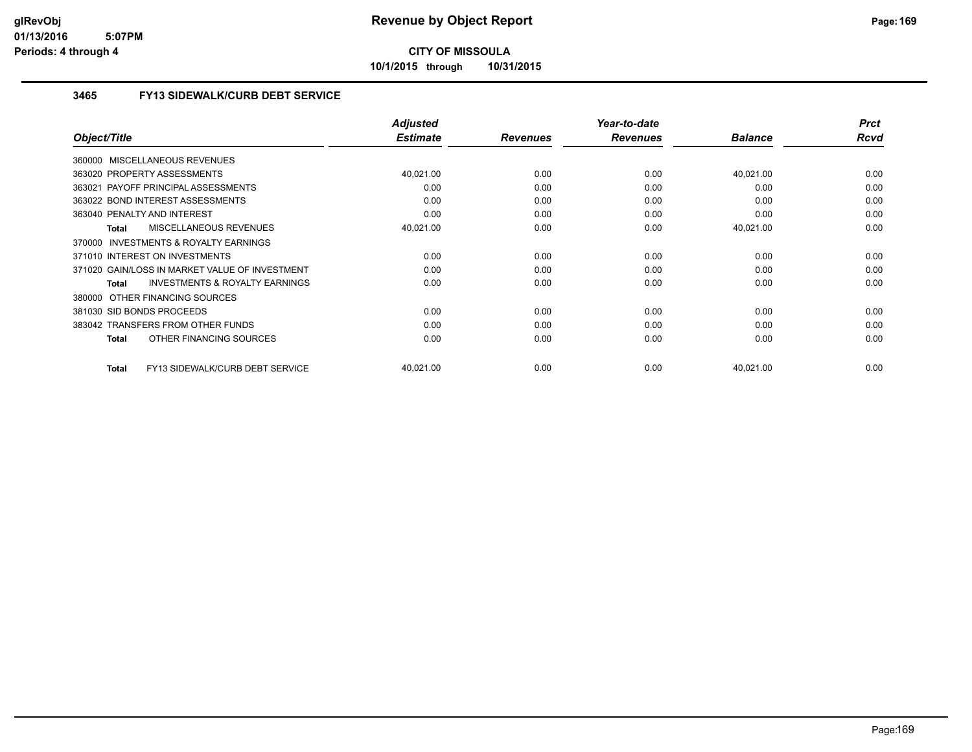**10/1/2015 through 10/31/2015**

### **3465 FY13 SIDEWALK/CURB DEBT SERVICE**

|                                                           | <b>Adjusted</b> |                 | Year-to-date    |                | <b>Prct</b> |
|-----------------------------------------------------------|-----------------|-----------------|-----------------|----------------|-------------|
| Object/Title                                              | <b>Estimate</b> | <b>Revenues</b> | <b>Revenues</b> | <b>Balance</b> | Rcvd        |
| 360000 MISCELLANEOUS REVENUES                             |                 |                 |                 |                |             |
| 363020 PROPERTY ASSESSMENTS                               | 40,021.00       | 0.00            | 0.00            | 40,021.00      | 0.00        |
| 363021 PAYOFF PRINCIPAL ASSESSMENTS                       | 0.00            | 0.00            | 0.00            | 0.00           | 0.00        |
| 363022 BOND INTEREST ASSESSMENTS                          | 0.00            | 0.00            | 0.00            | 0.00           | 0.00        |
| 363040 PENALTY AND INTEREST                               | 0.00            | 0.00            | 0.00            | 0.00           | 0.00        |
| MISCELLANEOUS REVENUES<br><b>Total</b>                    | 40,021.00       | 0.00            | 0.00            | 40,021.00      | 0.00        |
| INVESTMENTS & ROYALTY EARNINGS<br>370000                  |                 |                 |                 |                |             |
| 371010 INTEREST ON INVESTMENTS                            | 0.00            | 0.00            | 0.00            | 0.00           | 0.00        |
| 371020 GAIN/LOSS IN MARKET VALUE OF INVESTMENT            | 0.00            | 0.00            | 0.00            | 0.00           | 0.00        |
| <b>INVESTMENTS &amp; ROYALTY EARNINGS</b><br><b>Total</b> | 0.00            | 0.00            | 0.00            | 0.00           | 0.00        |
| 380000 OTHER FINANCING SOURCES                            |                 |                 |                 |                |             |
| 381030 SID BONDS PROCEEDS                                 | 0.00            | 0.00            | 0.00            | 0.00           | 0.00        |
| 383042 TRANSFERS FROM OTHER FUNDS                         | 0.00            | 0.00            | 0.00            | 0.00           | 0.00        |
| OTHER FINANCING SOURCES<br><b>Total</b>                   | 0.00            | 0.00            | 0.00            | 0.00           | 0.00        |
| FY13 SIDEWALK/CURB DEBT SERVICE<br><b>Total</b>           | 40,021.00       | 0.00            | 0.00            | 40,021.00      | 0.00        |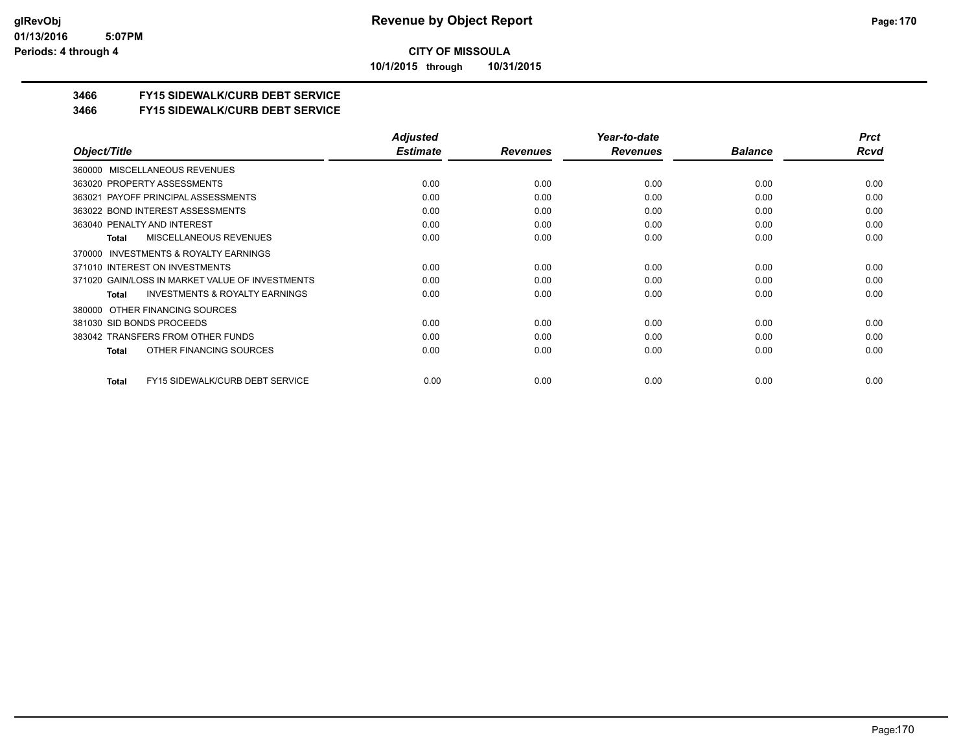**10/1/2015 through 10/31/2015**

### **3466 FY15 SIDEWALK/CURB DEBT SERVICE**

**3466 FY15 SIDEWALK/CURB DEBT SERVICE**

|                                                           | <b>Adjusted</b> |                 | Year-to-date    |                | <b>Prct</b> |
|-----------------------------------------------------------|-----------------|-----------------|-----------------|----------------|-------------|
| Object/Title                                              | <b>Estimate</b> | <b>Revenues</b> | <b>Revenues</b> | <b>Balance</b> | Rcvd        |
| MISCELLANEOUS REVENUES<br>360000                          |                 |                 |                 |                |             |
| 363020 PROPERTY ASSESSMENTS                               | 0.00            | 0.00            | 0.00            | 0.00           | 0.00        |
| 363021 PAYOFF PRINCIPAL ASSESSMENTS                       | 0.00            | 0.00            | 0.00            | 0.00           | 0.00        |
| 363022 BOND INTEREST ASSESSMENTS                          | 0.00            | 0.00            | 0.00            | 0.00           | 0.00        |
| 363040 PENALTY AND INTEREST                               | 0.00            | 0.00            | 0.00            | 0.00           | 0.00        |
| MISCELLANEOUS REVENUES<br><b>Total</b>                    | 0.00            | 0.00            | 0.00            | 0.00           | 0.00        |
| INVESTMENTS & ROYALTY EARNINGS<br>370000                  |                 |                 |                 |                |             |
| 371010 INTEREST ON INVESTMENTS                            | 0.00            | 0.00            | 0.00            | 0.00           | 0.00        |
| 371020 GAIN/LOSS IN MARKET VALUE OF INVESTMENTS           | 0.00            | 0.00            | 0.00            | 0.00           | 0.00        |
| <b>INVESTMENTS &amp; ROYALTY EARNINGS</b><br><b>Total</b> | 0.00            | 0.00            | 0.00            | 0.00           | 0.00        |
| OTHER FINANCING SOURCES<br>380000                         |                 |                 |                 |                |             |
| 381030 SID BONDS PROCEEDS                                 | 0.00            | 0.00            | 0.00            | 0.00           | 0.00        |
| 383042 TRANSFERS FROM OTHER FUNDS                         | 0.00            | 0.00            | 0.00            | 0.00           | 0.00        |
| OTHER FINANCING SOURCES<br><b>Total</b>                   | 0.00            | 0.00            | 0.00            | 0.00           | 0.00        |
| FY15 SIDEWALK/CURB DEBT SERVICE<br><b>Total</b>           | 0.00            | 0.00            | 0.00            | 0.00           | 0.00        |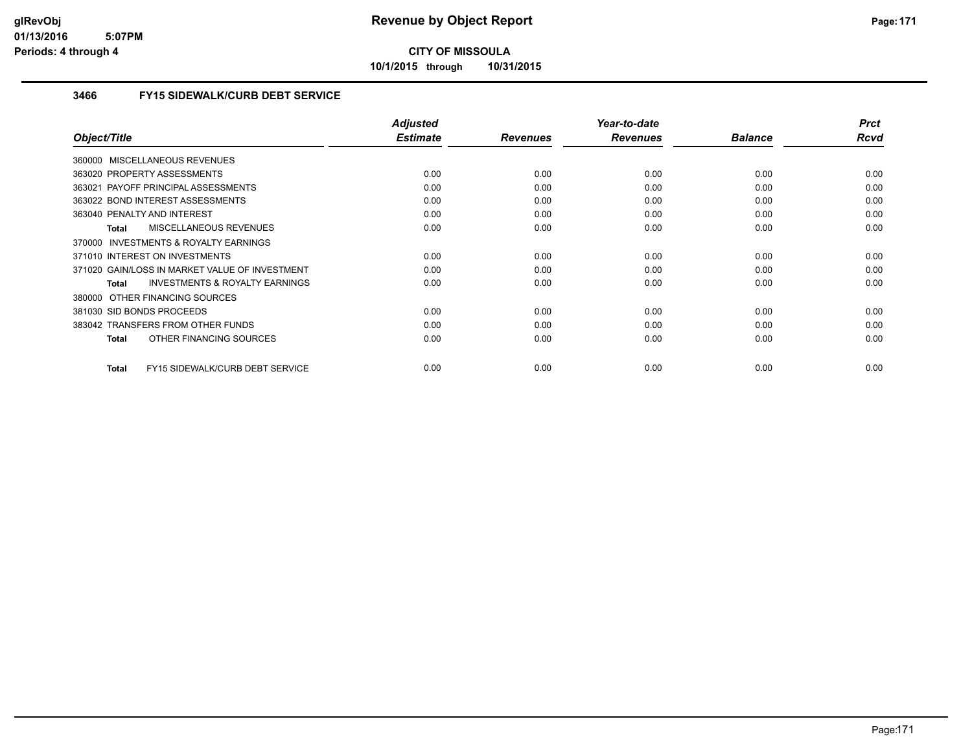**10/1/2015 through 10/31/2015**

### **3466 FY15 SIDEWALK/CURB DEBT SERVICE**

|                                                    | <b>Adjusted</b> |                 | Year-to-date    |                | <b>Prct</b> |
|----------------------------------------------------|-----------------|-----------------|-----------------|----------------|-------------|
| Object/Title                                       | <b>Estimate</b> | <b>Revenues</b> | <b>Revenues</b> | <b>Balance</b> | Rcvd        |
| 360000 MISCELLANEOUS REVENUES                      |                 |                 |                 |                |             |
| 363020 PROPERTY ASSESSMENTS                        | 0.00            | 0.00            | 0.00            | 0.00           | 0.00        |
| 363021 PAYOFF PRINCIPAL ASSESSMENTS                | 0.00            | 0.00            | 0.00            | 0.00           | 0.00        |
| 363022 BOND INTEREST ASSESSMENTS                   | 0.00            | 0.00            | 0.00            | 0.00           | 0.00        |
| 363040 PENALTY AND INTEREST                        | 0.00            | 0.00            | 0.00            | 0.00           | 0.00        |
| MISCELLANEOUS REVENUES<br><b>Total</b>             | 0.00            | 0.00            | 0.00            | 0.00           | 0.00        |
| INVESTMENTS & ROYALTY EARNINGS<br>370000           |                 |                 |                 |                |             |
| 371010 INTEREST ON INVESTMENTS                     | 0.00            | 0.00            | 0.00            | 0.00           | 0.00        |
| 371020 GAIN/LOSS IN MARKET VALUE OF INVESTMENT     | 0.00            | 0.00            | 0.00            | 0.00           | 0.00        |
| <b>INVESTMENTS &amp; ROYALTY EARNINGS</b><br>Total | 0.00            | 0.00            | 0.00            | 0.00           | 0.00        |
| OTHER FINANCING SOURCES<br>380000                  |                 |                 |                 |                |             |
| 381030 SID BONDS PROCEEDS                          | 0.00            | 0.00            | 0.00            | 0.00           | 0.00        |
| 383042 TRANSFERS FROM OTHER FUNDS                  | 0.00            | 0.00            | 0.00            | 0.00           | 0.00        |
| OTHER FINANCING SOURCES<br><b>Total</b>            | 0.00            | 0.00            | 0.00            | 0.00           | 0.00        |
|                                                    |                 |                 |                 |                |             |
| FY15 SIDEWALK/CURB DEBT SERVICE<br><b>Total</b>    | 0.00            | 0.00            | 0.00            | 0.00           | 0.00        |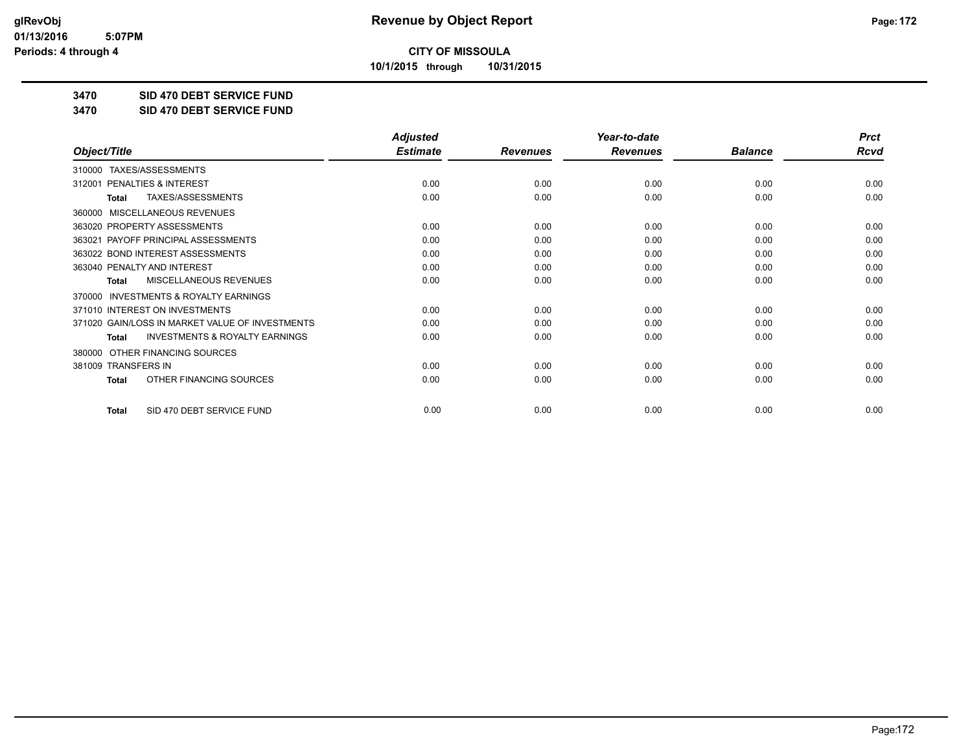**10/1/2015 through 10/31/2015**

### **3470 SID 470 DEBT SERVICE FUND**

**3470 SID 470 DEBT SERVICE FUND**

|                                                           | <b>Adjusted</b> |                 | Year-to-date    |                | <b>Prct</b> |
|-----------------------------------------------------------|-----------------|-----------------|-----------------|----------------|-------------|
| Object/Title                                              | <b>Estimate</b> | <b>Revenues</b> | <b>Revenues</b> | <b>Balance</b> | Rcvd        |
| TAXES/ASSESSMENTS<br>310000                               |                 |                 |                 |                |             |
| PENALTIES & INTEREST<br>312001                            | 0.00            | 0.00            | 0.00            | 0.00           | 0.00        |
| TAXES/ASSESSMENTS<br>Total                                | 0.00            | 0.00            | 0.00            | 0.00           | 0.00        |
| MISCELLANEOUS REVENUES<br>360000                          |                 |                 |                 |                |             |
| 363020 PROPERTY ASSESSMENTS                               | 0.00            | 0.00            | 0.00            | 0.00           | 0.00        |
| PAYOFF PRINCIPAL ASSESSMENTS<br>363021                    | 0.00            | 0.00            | 0.00            | 0.00           | 0.00        |
| 363022 BOND INTEREST ASSESSMENTS                          | 0.00            | 0.00            | 0.00            | 0.00           | 0.00        |
| 363040 PENALTY AND INTEREST                               | 0.00            | 0.00            | 0.00            | 0.00           | 0.00        |
| MISCELLANEOUS REVENUES<br><b>Total</b>                    | 0.00            | 0.00            | 0.00            | 0.00           | 0.00        |
| <b>INVESTMENTS &amp; ROYALTY EARNINGS</b><br>370000       |                 |                 |                 |                |             |
| 371010 INTEREST ON INVESTMENTS                            | 0.00            | 0.00            | 0.00            | 0.00           | 0.00        |
| 371020 GAIN/LOSS IN MARKET VALUE OF INVESTMENTS           | 0.00            | 0.00            | 0.00            | 0.00           | 0.00        |
| <b>INVESTMENTS &amp; ROYALTY EARNINGS</b><br><b>Total</b> | 0.00            | 0.00            | 0.00            | 0.00           | 0.00        |
| OTHER FINANCING SOURCES<br>380000                         |                 |                 |                 |                |             |
| 381009 TRANSFERS IN                                       | 0.00            | 0.00            | 0.00            | 0.00           | 0.00        |
| OTHER FINANCING SOURCES<br><b>Total</b>                   | 0.00            | 0.00            | 0.00            | 0.00           | 0.00        |
| SID 470 DEBT SERVICE FUND<br><b>Total</b>                 | 0.00            | 0.00            | 0.00            | 0.00           | 0.00        |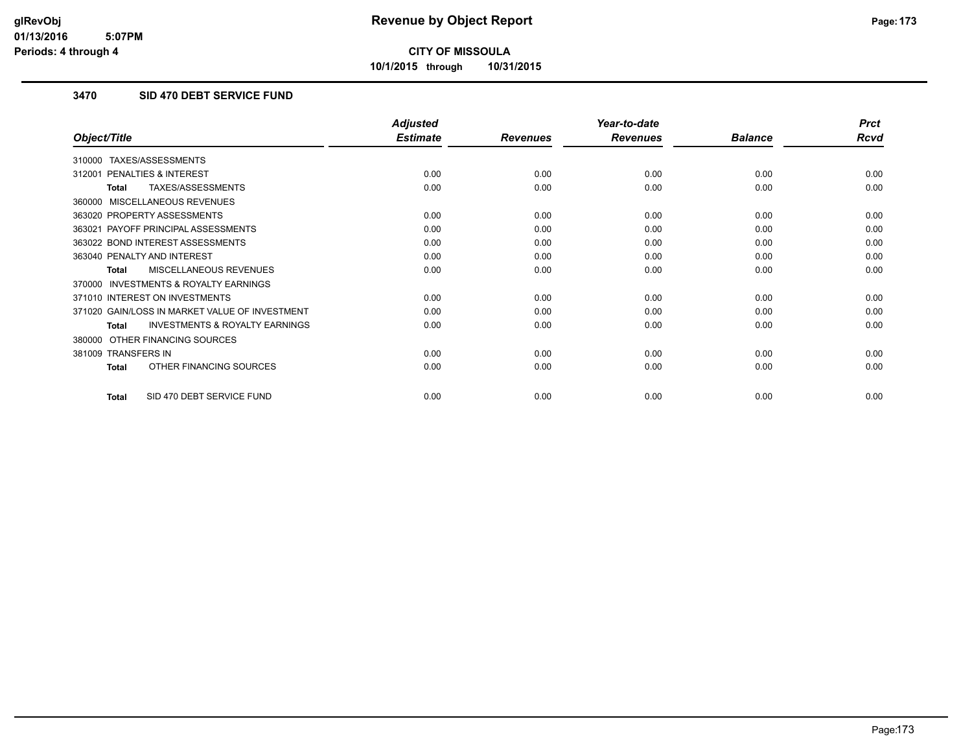**10/1/2015 through 10/31/2015**

### **3470 SID 470 DEBT SERVICE FUND**

|                                                           | <b>Adjusted</b> |                 | Year-to-date    |                | <b>Prct</b> |
|-----------------------------------------------------------|-----------------|-----------------|-----------------|----------------|-------------|
| Object/Title                                              | <b>Estimate</b> | <b>Revenues</b> | <b>Revenues</b> | <b>Balance</b> | <b>Rcvd</b> |
| TAXES/ASSESSMENTS<br>310000                               |                 |                 |                 |                |             |
| PENALTIES & INTEREST<br>312001                            | 0.00            | 0.00            | 0.00            | 0.00           | 0.00        |
| TAXES/ASSESSMENTS<br>Total                                | 0.00            | 0.00            | 0.00            | 0.00           | 0.00        |
| MISCELLANEOUS REVENUES<br>360000                          |                 |                 |                 |                |             |
| 363020 PROPERTY ASSESSMENTS                               | 0.00            | 0.00            | 0.00            | 0.00           | 0.00        |
| 363021 PAYOFF PRINCIPAL ASSESSMENTS                       | 0.00            | 0.00            | 0.00            | 0.00           | 0.00        |
| 363022 BOND INTEREST ASSESSMENTS                          | 0.00            | 0.00            | 0.00            | 0.00           | 0.00        |
| 363040 PENALTY AND INTEREST                               | 0.00            | 0.00            | 0.00            | 0.00           | 0.00        |
| <b>MISCELLANEOUS REVENUES</b><br><b>Total</b>             | 0.00            | 0.00            | 0.00            | 0.00           | 0.00        |
| <b>INVESTMENTS &amp; ROYALTY EARNINGS</b><br>370000       |                 |                 |                 |                |             |
| 371010 INTEREST ON INVESTMENTS                            | 0.00            | 0.00            | 0.00            | 0.00           | 0.00        |
| 371020 GAIN/LOSS IN MARKET VALUE OF INVESTMENT            | 0.00            | 0.00            | 0.00            | 0.00           | 0.00        |
| <b>INVESTMENTS &amp; ROYALTY EARNINGS</b><br><b>Total</b> | 0.00            | 0.00            | 0.00            | 0.00           | 0.00        |
| OTHER FINANCING SOURCES<br>380000                         |                 |                 |                 |                |             |
| 381009 TRANSFERS IN                                       | 0.00            | 0.00            | 0.00            | 0.00           | 0.00        |
| OTHER FINANCING SOURCES<br><b>Total</b>                   | 0.00            | 0.00            | 0.00            | 0.00           | 0.00        |
| SID 470 DEBT SERVICE FUND<br><b>Total</b>                 | 0.00            | 0.00            | 0.00            | 0.00           | 0.00        |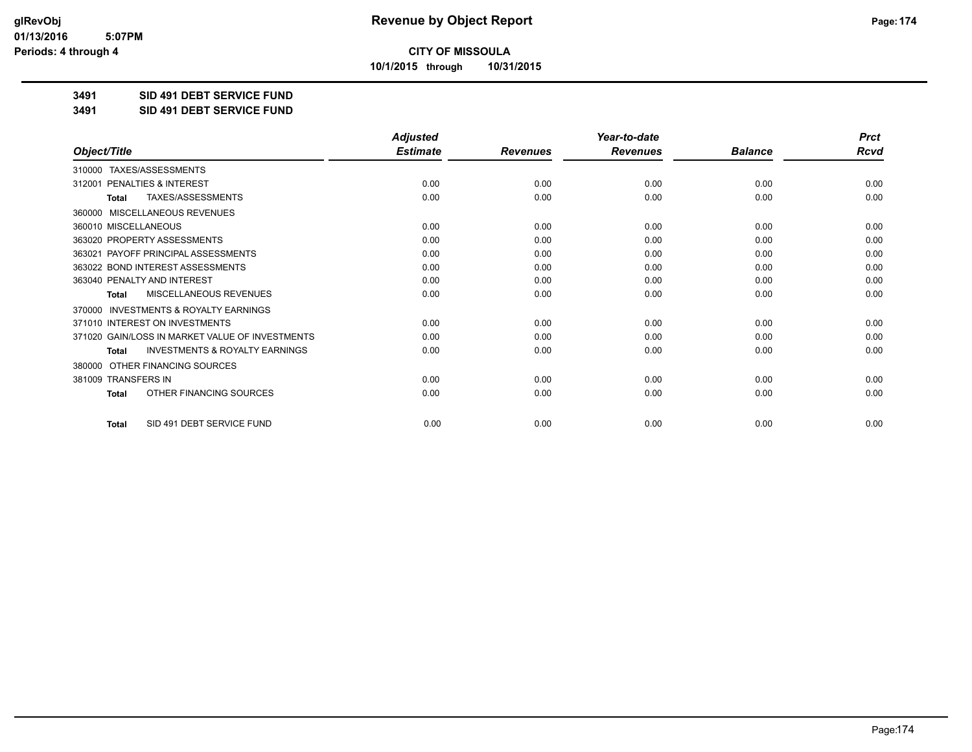**10/1/2015 through 10/31/2015**

### **3491 SID 491 DEBT SERVICE FUND**

**3491 SID 491 DEBT SERVICE FUND**

|                                                           | <b>Adjusted</b> |                 | Year-to-date    |                | <b>Prct</b> |
|-----------------------------------------------------------|-----------------|-----------------|-----------------|----------------|-------------|
| Object/Title                                              | <b>Estimate</b> | <b>Revenues</b> | <b>Revenues</b> | <b>Balance</b> | <b>Rcvd</b> |
| 310000 TAXES/ASSESSMENTS                                  |                 |                 |                 |                |             |
| 312001 PENALTIES & INTEREST                               | 0.00            | 0.00            | 0.00            | 0.00           | 0.00        |
| TAXES/ASSESSMENTS<br><b>Total</b>                         | 0.00            | 0.00            | 0.00            | 0.00           | 0.00        |
| MISCELLANEOUS REVENUES<br>360000                          |                 |                 |                 |                |             |
| 360010 MISCELLANEOUS                                      | 0.00            | 0.00            | 0.00            | 0.00           | 0.00        |
| 363020 PROPERTY ASSESSMENTS                               | 0.00            | 0.00            | 0.00            | 0.00           | 0.00        |
| 363021 PAYOFF PRINCIPAL ASSESSMENTS                       | 0.00            | 0.00            | 0.00            | 0.00           | 0.00        |
| 363022 BOND INTEREST ASSESSMENTS                          | 0.00            | 0.00            | 0.00            | 0.00           | 0.00        |
| 363040 PENALTY AND INTEREST                               | 0.00            | 0.00            | 0.00            | 0.00           | 0.00        |
| MISCELLANEOUS REVENUES<br><b>Total</b>                    | 0.00            | 0.00            | 0.00            | 0.00           | 0.00        |
| <b>INVESTMENTS &amp; ROYALTY EARNINGS</b><br>370000       |                 |                 |                 |                |             |
| 371010 INTEREST ON INVESTMENTS                            | 0.00            | 0.00            | 0.00            | 0.00           | 0.00        |
| 371020 GAIN/LOSS IN MARKET VALUE OF INVESTMENTS           | 0.00            | 0.00            | 0.00            | 0.00           | 0.00        |
| <b>INVESTMENTS &amp; ROYALTY EARNINGS</b><br><b>Total</b> | 0.00            | 0.00            | 0.00            | 0.00           | 0.00        |
| OTHER FINANCING SOURCES<br>380000                         |                 |                 |                 |                |             |
| 381009 TRANSFERS IN                                       | 0.00            | 0.00            | 0.00            | 0.00           | 0.00        |
| OTHER FINANCING SOURCES<br><b>Total</b>                   | 0.00            | 0.00            | 0.00            | 0.00           | 0.00        |
| SID 491 DEBT SERVICE FUND<br><b>Total</b>                 | 0.00            | 0.00            | 0.00            | 0.00           | 0.00        |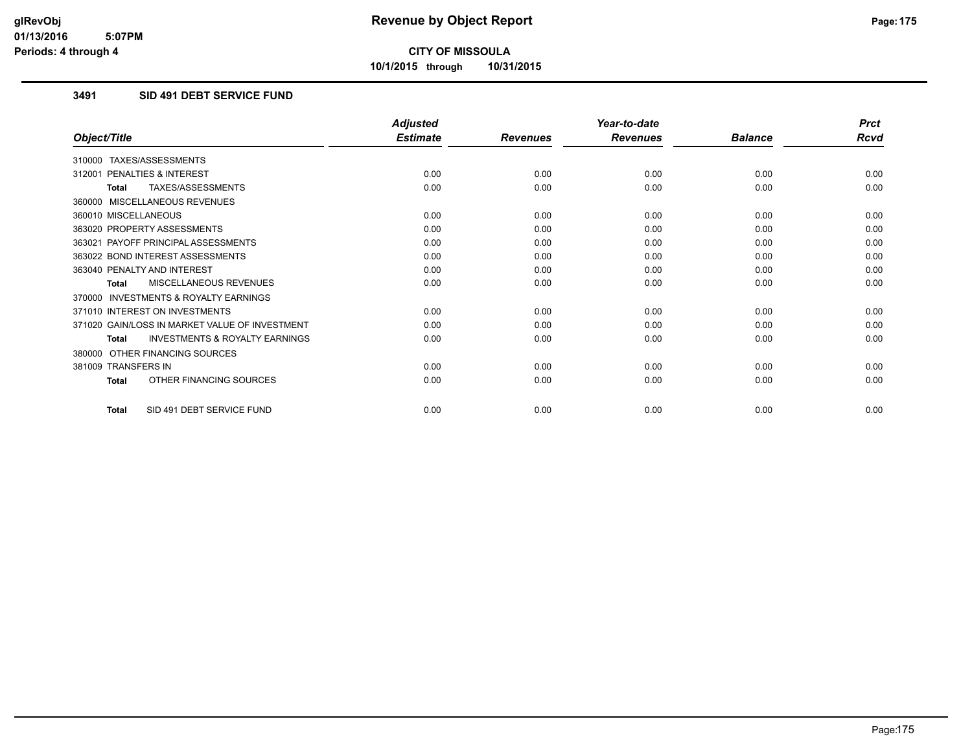**10/1/2015 through 10/31/2015**

### **3491 SID 491 DEBT SERVICE FUND**

|                                                           | <b>Adjusted</b> |                 | Year-to-date    |                | <b>Prct</b> |
|-----------------------------------------------------------|-----------------|-----------------|-----------------|----------------|-------------|
| Object/Title                                              | <b>Estimate</b> | <b>Revenues</b> | <b>Revenues</b> | <b>Balance</b> | <b>Rcvd</b> |
| 310000 TAXES/ASSESSMENTS                                  |                 |                 |                 |                |             |
| PENALTIES & INTEREST<br>312001                            | 0.00            | 0.00            | 0.00            | 0.00           | 0.00        |
| TAXES/ASSESSMENTS<br><b>Total</b>                         | 0.00            | 0.00            | 0.00            | 0.00           | 0.00        |
| 360000 MISCELLANEOUS REVENUES                             |                 |                 |                 |                |             |
| 360010 MISCELLANEOUS                                      | 0.00            | 0.00            | 0.00            | 0.00           | 0.00        |
| 363020 PROPERTY ASSESSMENTS                               | 0.00            | 0.00            | 0.00            | 0.00           | 0.00        |
| 363021 PAYOFF PRINCIPAL ASSESSMENTS                       | 0.00            | 0.00            | 0.00            | 0.00           | 0.00        |
| 363022 BOND INTEREST ASSESSMENTS                          | 0.00            | 0.00            | 0.00            | 0.00           | 0.00        |
| 363040 PENALTY AND INTEREST                               | 0.00            | 0.00            | 0.00            | 0.00           | 0.00        |
| MISCELLANEOUS REVENUES<br><b>Total</b>                    | 0.00            | 0.00            | 0.00            | 0.00           | 0.00        |
| <b>INVESTMENTS &amp; ROYALTY EARNINGS</b><br>370000       |                 |                 |                 |                |             |
| 371010 INTEREST ON INVESTMENTS                            | 0.00            | 0.00            | 0.00            | 0.00           | 0.00        |
| 371020 GAIN/LOSS IN MARKET VALUE OF INVESTMENT            | 0.00            | 0.00            | 0.00            | 0.00           | 0.00        |
| <b>INVESTMENTS &amp; ROYALTY EARNINGS</b><br><b>Total</b> | 0.00            | 0.00            | 0.00            | 0.00           | 0.00        |
| 380000 OTHER FINANCING SOURCES                            |                 |                 |                 |                |             |
| 381009 TRANSFERS IN                                       | 0.00            | 0.00            | 0.00            | 0.00           | 0.00        |
| OTHER FINANCING SOURCES<br><b>Total</b>                   | 0.00            | 0.00            | 0.00            | 0.00           | 0.00        |
| SID 491 DEBT SERVICE FUND<br><b>Total</b>                 | 0.00            | 0.00            | 0.00            | 0.00           | 0.00        |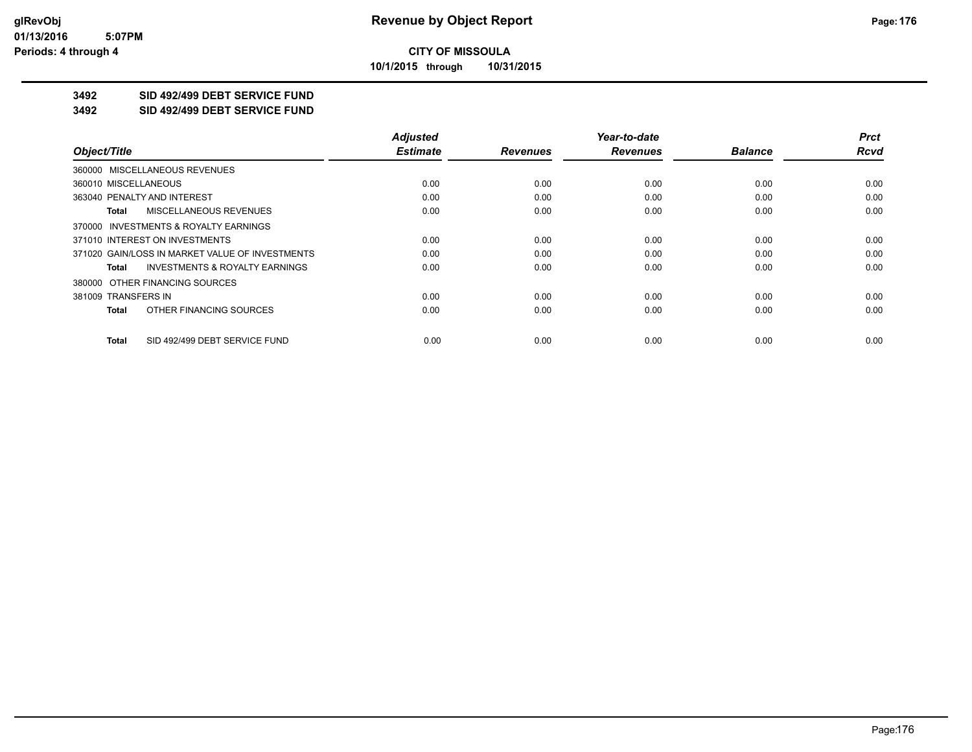**10/1/2015 through 10/31/2015**

### **3492 SID 492/499 DEBT SERVICE FUND**

**3492 SID 492/499 DEBT SERVICE FUND**

|                                                    | <b>Adjusted</b> |                 | Year-to-date    |                | <b>Prct</b> |
|----------------------------------------------------|-----------------|-----------------|-----------------|----------------|-------------|
| Object/Title                                       | <b>Estimate</b> | <b>Revenues</b> | <b>Revenues</b> | <b>Balance</b> | <b>Rcvd</b> |
| 360000 MISCELLANEOUS REVENUES                      |                 |                 |                 |                |             |
| 360010 MISCELLANEOUS                               | 0.00            | 0.00            | 0.00            | 0.00           | 0.00        |
| 363040 PENALTY AND INTEREST                        | 0.00            | 0.00            | 0.00            | 0.00           | 0.00        |
| <b>MISCELLANEOUS REVENUES</b><br>Total             | 0.00            | 0.00            | 0.00            | 0.00           | 0.00        |
| 370000 INVESTMENTS & ROYALTY EARNINGS              |                 |                 |                 |                |             |
| 371010 INTEREST ON INVESTMENTS                     | 0.00            | 0.00            | 0.00            | 0.00           | 0.00        |
| 371020 GAIN/LOSS IN MARKET VALUE OF INVESTMENTS    | 0.00            | 0.00            | 0.00            | 0.00           | 0.00        |
| <b>INVESTMENTS &amp; ROYALTY EARNINGS</b><br>Total | 0.00            | 0.00            | 0.00            | 0.00           | 0.00        |
| 380000 OTHER FINANCING SOURCES                     |                 |                 |                 |                |             |
| 381009 TRANSFERS IN                                | 0.00            | 0.00            | 0.00            | 0.00           | 0.00        |
| OTHER FINANCING SOURCES<br>Total                   | 0.00            | 0.00            | 0.00            | 0.00           | 0.00        |
| SID 492/499 DEBT SERVICE FUND<br>Total             | 0.00            | 0.00            | 0.00            | 0.00           | 0.00        |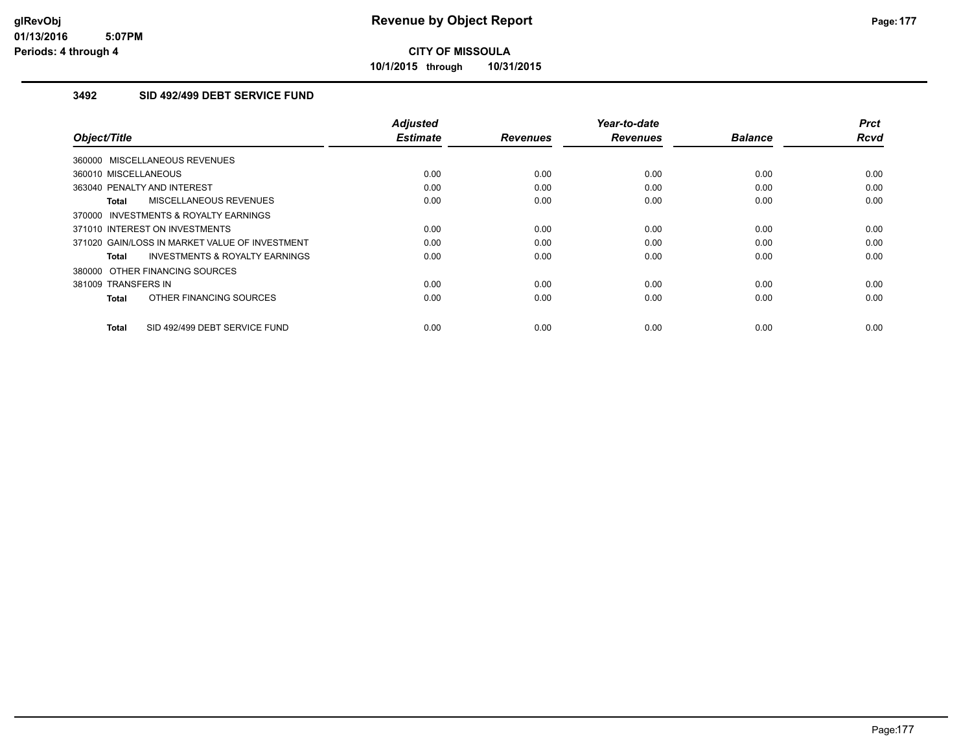**10/1/2015 through 10/31/2015**

### **3492 SID 492/499 DEBT SERVICE FUND**

| Object/Title                                              | <b>Adjusted</b><br><b>Estimate</b> | <b>Revenues</b> | Year-to-date<br><b>Revenues</b> | <b>Balance</b> | <b>Prct</b><br><b>Rcvd</b> |
|-----------------------------------------------------------|------------------------------------|-----------------|---------------------------------|----------------|----------------------------|
| 360000 MISCELLANEOUS REVENUES                             |                                    |                 |                                 |                |                            |
| 360010 MISCELLANEOUS                                      | 0.00                               | 0.00            | 0.00                            | 0.00           | 0.00                       |
| 363040 PENALTY AND INTEREST                               | 0.00                               | 0.00            | 0.00                            | 0.00           | 0.00                       |
| MISCELLANEOUS REVENUES<br><b>Total</b>                    | 0.00                               | 0.00            | 0.00                            | 0.00           | 0.00                       |
| 370000 INVESTMENTS & ROYALTY EARNINGS                     |                                    |                 |                                 |                |                            |
| 371010 INTEREST ON INVESTMENTS                            | 0.00                               | 0.00            | 0.00                            | 0.00           | 0.00                       |
| 371020 GAIN/LOSS IN MARKET VALUE OF INVESTMENT            | 0.00                               | 0.00            | 0.00                            | 0.00           | 0.00                       |
| <b>INVESTMENTS &amp; ROYALTY EARNINGS</b><br><b>Total</b> | 0.00                               | 0.00            | 0.00                            | 0.00           | 0.00                       |
| 380000 OTHER FINANCING SOURCES                            |                                    |                 |                                 |                |                            |
| 381009 TRANSFERS IN                                       | 0.00                               | 0.00            | 0.00                            | 0.00           | 0.00                       |
| OTHER FINANCING SOURCES<br><b>Total</b>                   | 0.00                               | 0.00            | 0.00                            | 0.00           | 0.00                       |
| SID 492/499 DEBT SERVICE FUND<br><b>Total</b>             | 0.00                               | 0.00            | 0.00                            | 0.00           | 0.00                       |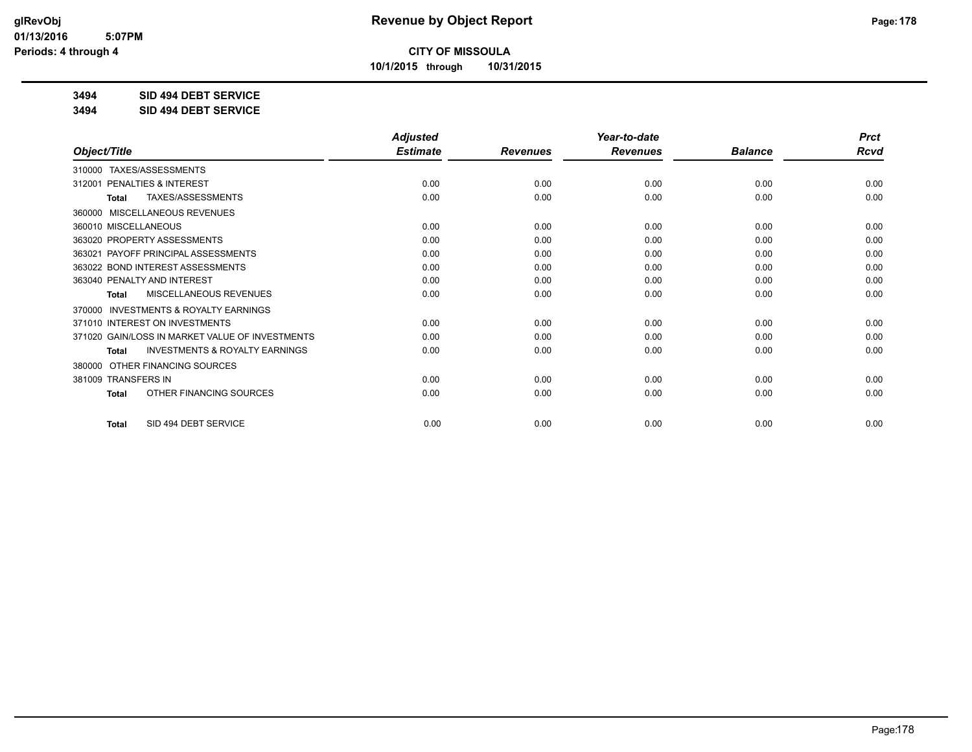**10/1/2015 through 10/31/2015**

### **3494 SID 494 DEBT SERVICE**

**3494 SID 494 DEBT SERVICE**

|                                                           | <b>Adjusted</b> |                 | Year-to-date    |                | <b>Prct</b> |
|-----------------------------------------------------------|-----------------|-----------------|-----------------|----------------|-------------|
| Object/Title                                              | <b>Estimate</b> | <b>Revenues</b> | <b>Revenues</b> | <b>Balance</b> | <b>Rcvd</b> |
| TAXES/ASSESSMENTS<br>310000                               |                 |                 |                 |                |             |
| PENALTIES & INTEREST<br>312001                            | 0.00            | 0.00            | 0.00            | 0.00           | 0.00        |
| TAXES/ASSESSMENTS<br><b>Total</b>                         | 0.00            | 0.00            | 0.00            | 0.00           | 0.00        |
| MISCELLANEOUS REVENUES<br>360000                          |                 |                 |                 |                |             |
| 360010 MISCELLANEOUS                                      | 0.00            | 0.00            | 0.00            | 0.00           | 0.00        |
| 363020 PROPERTY ASSESSMENTS                               | 0.00            | 0.00            | 0.00            | 0.00           | 0.00        |
| 363021 PAYOFF PRINCIPAL ASSESSMENTS                       | 0.00            | 0.00            | 0.00            | 0.00           | 0.00        |
| 363022 BOND INTEREST ASSESSMENTS                          | 0.00            | 0.00            | 0.00            | 0.00           | 0.00        |
| 363040 PENALTY AND INTEREST                               | 0.00            | 0.00            | 0.00            | 0.00           | 0.00        |
| MISCELLANEOUS REVENUES<br>Total                           | 0.00            | 0.00            | 0.00            | 0.00           | 0.00        |
| <b>INVESTMENTS &amp; ROYALTY EARNINGS</b><br>370000       |                 |                 |                 |                |             |
| 371010 INTEREST ON INVESTMENTS                            | 0.00            | 0.00            | 0.00            | 0.00           | 0.00        |
| 371020 GAIN/LOSS IN MARKET VALUE OF INVESTMENTS           | 0.00            | 0.00            | 0.00            | 0.00           | 0.00        |
| <b>INVESTMENTS &amp; ROYALTY EARNINGS</b><br><b>Total</b> | 0.00            | 0.00            | 0.00            | 0.00           | 0.00        |
| OTHER FINANCING SOURCES<br>380000                         |                 |                 |                 |                |             |
| <b>TRANSFERS IN</b><br>381009                             | 0.00            | 0.00            | 0.00            | 0.00           | 0.00        |
| OTHER FINANCING SOURCES<br>Total                          | 0.00            | 0.00            | 0.00            | 0.00           | 0.00        |
| SID 494 DEBT SERVICE<br><b>Total</b>                      | 0.00            | 0.00            | 0.00            | 0.00           | 0.00        |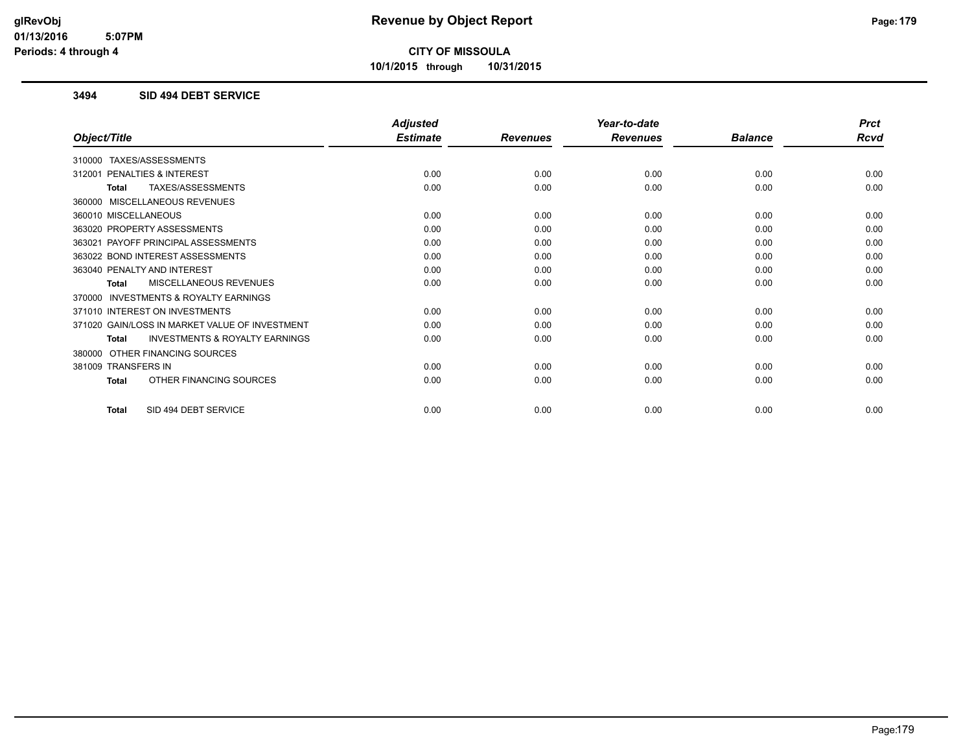**10/1/2015 through 10/31/2015**

### **3494 SID 494 DEBT SERVICE**

|                                                           | <b>Adjusted</b> |                 | Year-to-date    |                | <b>Prct</b> |
|-----------------------------------------------------------|-----------------|-----------------|-----------------|----------------|-------------|
| Object/Title                                              | <b>Estimate</b> | <b>Revenues</b> | <b>Revenues</b> | <b>Balance</b> | Rcvd        |
| 310000 TAXES/ASSESSMENTS                                  |                 |                 |                 |                |             |
| PENALTIES & INTEREST<br>312001                            | 0.00            | 0.00            | 0.00            | 0.00           | 0.00        |
| TAXES/ASSESSMENTS<br>Total                                | 0.00            | 0.00            | 0.00            | 0.00           | 0.00        |
| 360000 MISCELLANEOUS REVENUES                             |                 |                 |                 |                |             |
| 360010 MISCELLANEOUS                                      | 0.00            | 0.00            | 0.00            | 0.00           | 0.00        |
| 363020 PROPERTY ASSESSMENTS                               | 0.00            | 0.00            | 0.00            | 0.00           | 0.00        |
| 363021 PAYOFF PRINCIPAL ASSESSMENTS                       | 0.00            | 0.00            | 0.00            | 0.00           | 0.00        |
| 363022 BOND INTEREST ASSESSMENTS                          | 0.00            | 0.00            | 0.00            | 0.00           | 0.00        |
| 363040 PENALTY AND INTEREST                               | 0.00            | 0.00            | 0.00            | 0.00           | 0.00        |
| MISCELLANEOUS REVENUES<br>Total                           | 0.00            | 0.00            | 0.00            | 0.00           | 0.00        |
| 370000 INVESTMENTS & ROYALTY EARNINGS                     |                 |                 |                 |                |             |
| 371010 INTEREST ON INVESTMENTS                            | 0.00            | 0.00            | 0.00            | 0.00           | 0.00        |
| 371020 GAIN/LOSS IN MARKET VALUE OF INVESTMENT            | 0.00            | 0.00            | 0.00            | 0.00           | 0.00        |
| <b>INVESTMENTS &amp; ROYALTY EARNINGS</b><br><b>Total</b> | 0.00            | 0.00            | 0.00            | 0.00           | 0.00        |
| 380000 OTHER FINANCING SOURCES                            |                 |                 |                 |                |             |
| 381009 TRANSFERS IN                                       | 0.00            | 0.00            | 0.00            | 0.00           | 0.00        |
| OTHER FINANCING SOURCES<br><b>Total</b>                   | 0.00            | 0.00            | 0.00            | 0.00           | 0.00        |
|                                                           |                 |                 |                 |                |             |
| SID 494 DEBT SERVICE<br><b>Total</b>                      | 0.00            | 0.00            | 0.00            | 0.00           | 0.00        |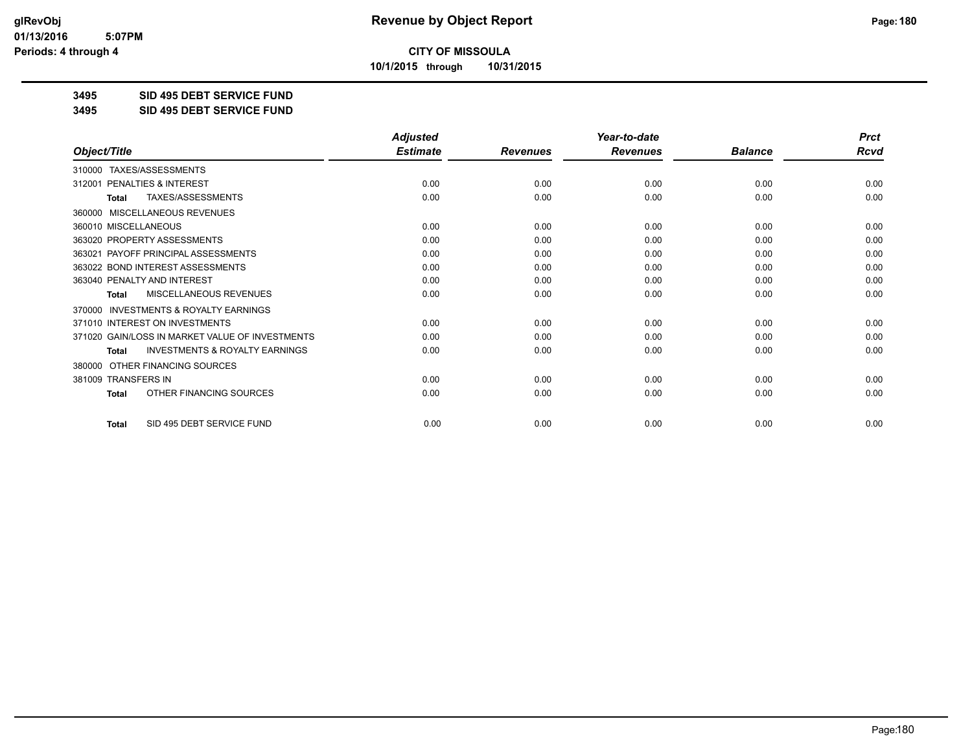**10/1/2015 through 10/31/2015**

### **3495 SID 495 DEBT SERVICE FUND**

**3495 SID 495 DEBT SERVICE FUND**

|                                                     | <b>Adjusted</b> |                 | Year-to-date    |                | <b>Prct</b> |
|-----------------------------------------------------|-----------------|-----------------|-----------------|----------------|-------------|
| Object/Title                                        | <b>Estimate</b> | <b>Revenues</b> | <b>Revenues</b> | <b>Balance</b> | <b>Rcvd</b> |
| 310000 TAXES/ASSESSMENTS                            |                 |                 |                 |                |             |
| <b>PENALTIES &amp; INTEREST</b><br>312001           | 0.00            | 0.00            | 0.00            | 0.00           | 0.00        |
| TAXES/ASSESSMENTS<br><b>Total</b>                   | 0.00            | 0.00            | 0.00            | 0.00           | 0.00        |
| MISCELLANEOUS REVENUES<br>360000                    |                 |                 |                 |                |             |
| 360010 MISCELLANEOUS                                | 0.00            | 0.00            | 0.00            | 0.00           | 0.00        |
| 363020 PROPERTY ASSESSMENTS                         | 0.00            | 0.00            | 0.00            | 0.00           | 0.00        |
| 363021 PAYOFF PRINCIPAL ASSESSMENTS                 | 0.00            | 0.00            | 0.00            | 0.00           | 0.00        |
| 363022 BOND INTEREST ASSESSMENTS                    | 0.00            | 0.00            | 0.00            | 0.00           | 0.00        |
| 363040 PENALTY AND INTEREST                         | 0.00            | 0.00            | 0.00            | 0.00           | 0.00        |
| MISCELLANEOUS REVENUES<br><b>Total</b>              | 0.00            | 0.00            | 0.00            | 0.00           | 0.00        |
| <b>INVESTMENTS &amp; ROYALTY EARNINGS</b><br>370000 |                 |                 |                 |                |             |
| 371010 INTEREST ON INVESTMENTS                      | 0.00            | 0.00            | 0.00            | 0.00           | 0.00        |
| 371020 GAIN/LOSS IN MARKET VALUE OF INVESTMENTS     | 0.00            | 0.00            | 0.00            | 0.00           | 0.00        |
| <b>INVESTMENTS &amp; ROYALTY EARNINGS</b><br>Total  | 0.00            | 0.00            | 0.00            | 0.00           | 0.00        |
| OTHER FINANCING SOURCES<br>380000                   |                 |                 |                 |                |             |
| 381009 TRANSFERS IN                                 | 0.00            | 0.00            | 0.00            | 0.00           | 0.00        |
| OTHER FINANCING SOURCES<br>Total                    | 0.00            | 0.00            | 0.00            | 0.00           | 0.00        |
| SID 495 DEBT SERVICE FUND<br><b>Total</b>           | 0.00            | 0.00            | 0.00            | 0.00           | 0.00        |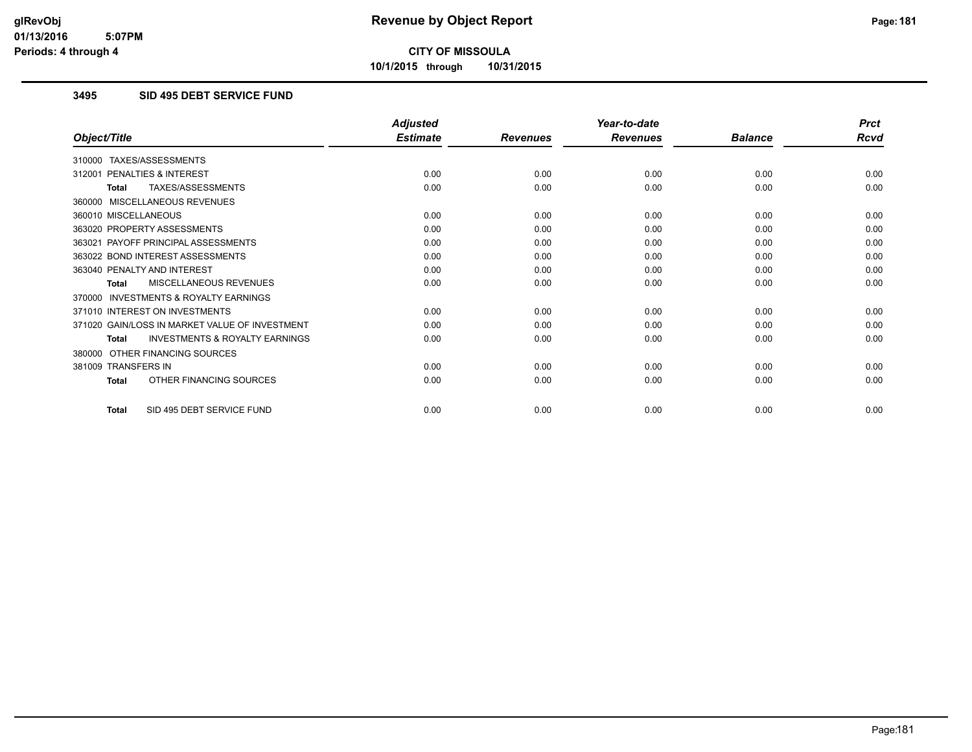**10/1/2015 through 10/31/2015**

## **3495 SID 495 DEBT SERVICE FUND**

|                                                           | <b>Adjusted</b> |                 | Year-to-date    |                | <b>Prct</b> |
|-----------------------------------------------------------|-----------------|-----------------|-----------------|----------------|-------------|
| Object/Title                                              | <b>Estimate</b> | <b>Revenues</b> | <b>Revenues</b> | <b>Balance</b> | <b>Rcvd</b> |
| 310000 TAXES/ASSESSMENTS                                  |                 |                 |                 |                |             |
| PENALTIES & INTEREST<br>312001                            | 0.00            | 0.00            | 0.00            | 0.00           | 0.00        |
| TAXES/ASSESSMENTS<br><b>Total</b>                         | 0.00            | 0.00            | 0.00            | 0.00           | 0.00        |
| 360000 MISCELLANEOUS REVENUES                             |                 |                 |                 |                |             |
| 360010 MISCELLANEOUS                                      | 0.00            | 0.00            | 0.00            | 0.00           | 0.00        |
| 363020 PROPERTY ASSESSMENTS                               | 0.00            | 0.00            | 0.00            | 0.00           | 0.00        |
| 363021 PAYOFF PRINCIPAL ASSESSMENTS                       | 0.00            | 0.00            | 0.00            | 0.00           | 0.00        |
| 363022 BOND INTEREST ASSESSMENTS                          | 0.00            | 0.00            | 0.00            | 0.00           | 0.00        |
| 363040 PENALTY AND INTEREST                               | 0.00            | 0.00            | 0.00            | 0.00           | 0.00        |
| MISCELLANEOUS REVENUES<br><b>Total</b>                    | 0.00            | 0.00            | 0.00            | 0.00           | 0.00        |
| <b>INVESTMENTS &amp; ROYALTY EARNINGS</b><br>370000       |                 |                 |                 |                |             |
| 371010 INTEREST ON INVESTMENTS                            | 0.00            | 0.00            | 0.00            | 0.00           | 0.00        |
| 371020 GAIN/LOSS IN MARKET VALUE OF INVESTMENT            | 0.00            | 0.00            | 0.00            | 0.00           | 0.00        |
| <b>INVESTMENTS &amp; ROYALTY EARNINGS</b><br><b>Total</b> | 0.00            | 0.00            | 0.00            | 0.00           | 0.00        |
| OTHER FINANCING SOURCES<br>380000                         |                 |                 |                 |                |             |
| 381009 TRANSFERS IN                                       | 0.00            | 0.00            | 0.00            | 0.00           | 0.00        |
| OTHER FINANCING SOURCES<br><b>Total</b>                   | 0.00            | 0.00            | 0.00            | 0.00           | 0.00        |
| SID 495 DEBT SERVICE FUND<br><b>Total</b>                 | 0.00            | 0.00            | 0.00            | 0.00           | 0.00        |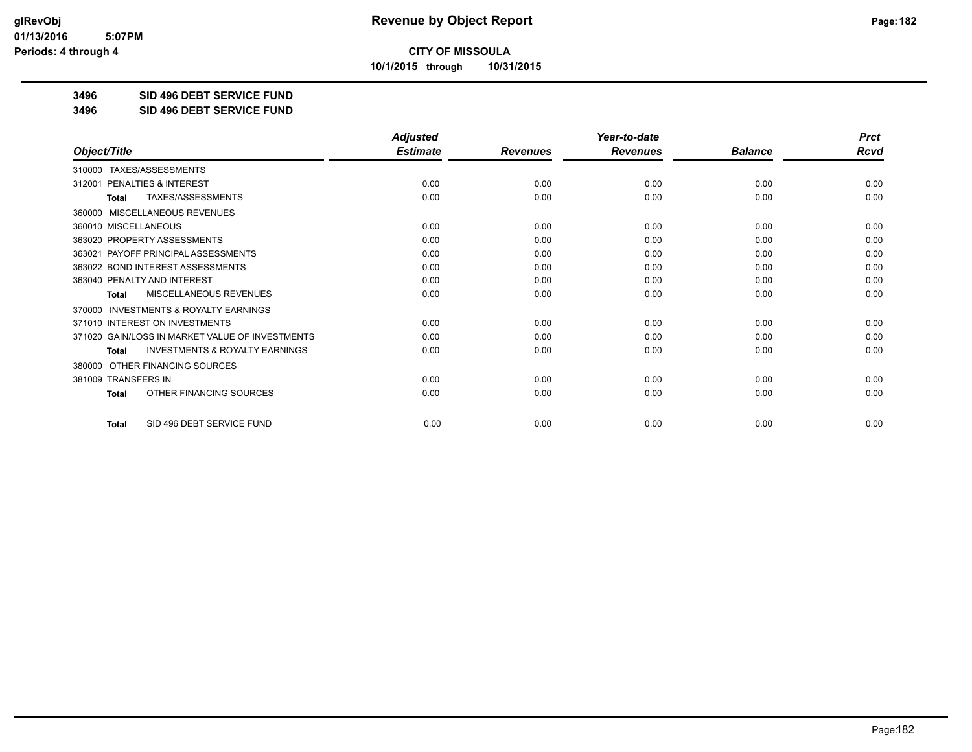**10/1/2015 through 10/31/2015**

#### **3496 SID 496 DEBT SERVICE FUND**

**3496 SID 496 DEBT SERVICE FUND**

|                                                     | <b>Adjusted</b> |                 | Year-to-date    |                | <b>Prct</b> |
|-----------------------------------------------------|-----------------|-----------------|-----------------|----------------|-------------|
| Object/Title                                        | <b>Estimate</b> | <b>Revenues</b> | <b>Revenues</b> | <b>Balance</b> | <b>Rcvd</b> |
| 310000 TAXES/ASSESSMENTS                            |                 |                 |                 |                |             |
| <b>PENALTIES &amp; INTEREST</b><br>312001           | 0.00            | 0.00            | 0.00            | 0.00           | 0.00        |
| TAXES/ASSESSMENTS<br><b>Total</b>                   | 0.00            | 0.00            | 0.00            | 0.00           | 0.00        |
| MISCELLANEOUS REVENUES<br>360000                    |                 |                 |                 |                |             |
| 360010 MISCELLANEOUS                                | 0.00            | 0.00            | 0.00            | 0.00           | 0.00        |
| 363020 PROPERTY ASSESSMENTS                         | 0.00            | 0.00            | 0.00            | 0.00           | 0.00        |
| 363021 PAYOFF PRINCIPAL ASSESSMENTS                 | 0.00            | 0.00            | 0.00            | 0.00           | 0.00        |
| 363022 BOND INTEREST ASSESSMENTS                    | 0.00            | 0.00            | 0.00            | 0.00           | 0.00        |
| 363040 PENALTY AND INTEREST                         | 0.00            | 0.00            | 0.00            | 0.00           | 0.00        |
| MISCELLANEOUS REVENUES<br><b>Total</b>              | 0.00            | 0.00            | 0.00            | 0.00           | 0.00        |
| <b>INVESTMENTS &amp; ROYALTY EARNINGS</b><br>370000 |                 |                 |                 |                |             |
| 371010 INTEREST ON INVESTMENTS                      | 0.00            | 0.00            | 0.00            | 0.00           | 0.00        |
| 371020 GAIN/LOSS IN MARKET VALUE OF INVESTMENTS     | 0.00            | 0.00            | 0.00            | 0.00           | 0.00        |
| <b>INVESTMENTS &amp; ROYALTY EARNINGS</b><br>Total  | 0.00            | 0.00            | 0.00            | 0.00           | 0.00        |
| OTHER FINANCING SOURCES<br>380000                   |                 |                 |                 |                |             |
| 381009 TRANSFERS IN                                 | 0.00            | 0.00            | 0.00            | 0.00           | 0.00        |
| OTHER FINANCING SOURCES<br>Total                    | 0.00            | 0.00            | 0.00            | 0.00           | 0.00        |
| SID 496 DEBT SERVICE FUND<br><b>Total</b>           | 0.00            | 0.00            | 0.00            | 0.00           | 0.00        |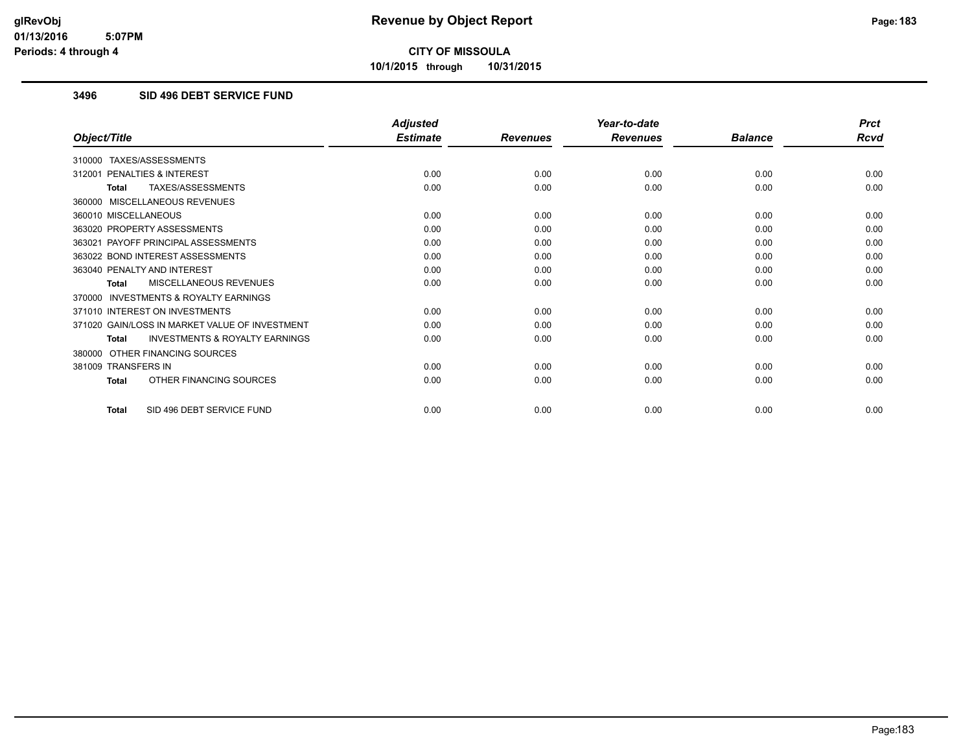**10/1/2015 through 10/31/2015**

## **3496 SID 496 DEBT SERVICE FUND**

|                                                           | <b>Adjusted</b> |                 | Year-to-date    |                | <b>Prct</b> |
|-----------------------------------------------------------|-----------------|-----------------|-----------------|----------------|-------------|
| Object/Title                                              | <b>Estimate</b> | <b>Revenues</b> | <b>Revenues</b> | <b>Balance</b> | <b>Rcvd</b> |
| 310000 TAXES/ASSESSMENTS                                  |                 |                 |                 |                |             |
| PENALTIES & INTEREST<br>312001                            | 0.00            | 0.00            | 0.00            | 0.00           | 0.00        |
| TAXES/ASSESSMENTS<br><b>Total</b>                         | 0.00            | 0.00            | 0.00            | 0.00           | 0.00        |
| 360000 MISCELLANEOUS REVENUES                             |                 |                 |                 |                |             |
| 360010 MISCELLANEOUS                                      | 0.00            | 0.00            | 0.00            | 0.00           | 0.00        |
| 363020 PROPERTY ASSESSMENTS                               | 0.00            | 0.00            | 0.00            | 0.00           | 0.00        |
| 363021 PAYOFF PRINCIPAL ASSESSMENTS                       | 0.00            | 0.00            | 0.00            | 0.00           | 0.00        |
| 363022 BOND INTEREST ASSESSMENTS                          | 0.00            | 0.00            | 0.00            | 0.00           | 0.00        |
| 363040 PENALTY AND INTEREST                               | 0.00            | 0.00            | 0.00            | 0.00           | 0.00        |
| MISCELLANEOUS REVENUES<br><b>Total</b>                    | 0.00            | 0.00            | 0.00            | 0.00           | 0.00        |
| <b>INVESTMENTS &amp; ROYALTY EARNINGS</b><br>370000       |                 |                 |                 |                |             |
| 371010 INTEREST ON INVESTMENTS                            | 0.00            | 0.00            | 0.00            | 0.00           | 0.00        |
| 371020 GAIN/LOSS IN MARKET VALUE OF INVESTMENT            | 0.00            | 0.00            | 0.00            | 0.00           | 0.00        |
| <b>INVESTMENTS &amp; ROYALTY EARNINGS</b><br><b>Total</b> | 0.00            | 0.00            | 0.00            | 0.00           | 0.00        |
| OTHER FINANCING SOURCES<br>380000                         |                 |                 |                 |                |             |
| 381009 TRANSFERS IN                                       | 0.00            | 0.00            | 0.00            | 0.00           | 0.00        |
| OTHER FINANCING SOURCES<br><b>Total</b>                   | 0.00            | 0.00            | 0.00            | 0.00           | 0.00        |
| SID 496 DEBT SERVICE FUND<br><b>Total</b>                 | 0.00            | 0.00            | 0.00            | 0.00           | 0.00        |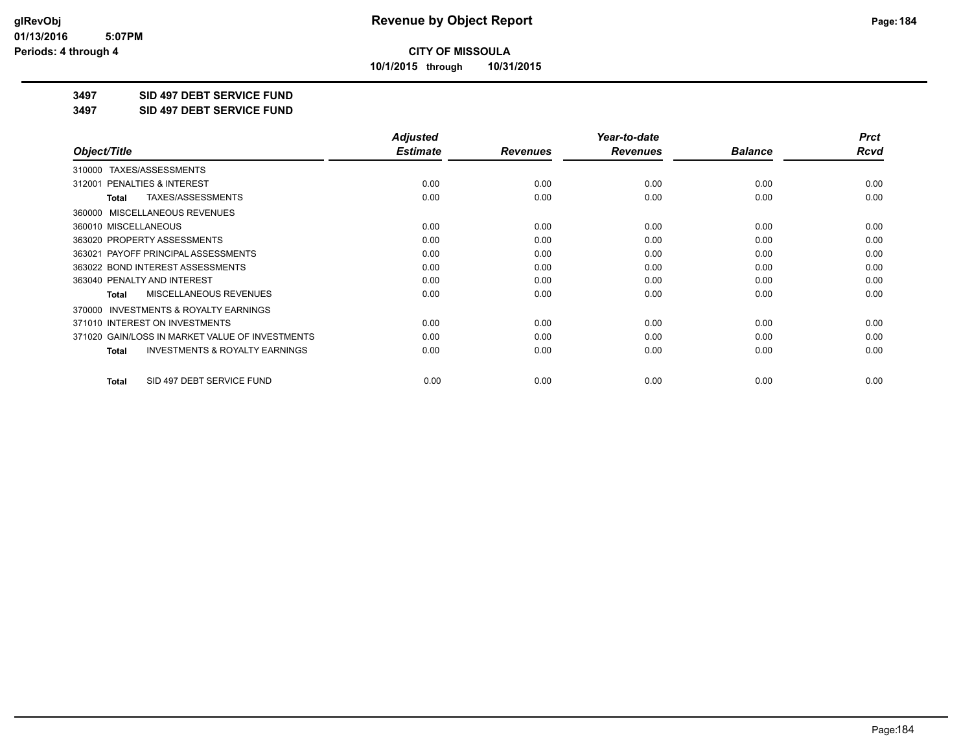**10/1/2015 through 10/31/2015**

#### **3497 SID 497 DEBT SERVICE FUND**

**3497 SID 497 DEBT SERVICE FUND**

|                                                           | <b>Adjusted</b> |                 | Year-to-date    |                | <b>Prct</b> |
|-----------------------------------------------------------|-----------------|-----------------|-----------------|----------------|-------------|
| Object/Title                                              | <b>Estimate</b> | <b>Revenues</b> | <b>Revenues</b> | <b>Balance</b> | Rcvd        |
| TAXES/ASSESSMENTS<br>310000                               |                 |                 |                 |                |             |
| 312001 PENALTIES & INTEREST                               | 0.00            | 0.00            | 0.00            | 0.00           | 0.00        |
| TAXES/ASSESSMENTS<br><b>Total</b>                         | 0.00            | 0.00            | 0.00            | 0.00           | 0.00        |
| MISCELLANEOUS REVENUES<br>360000                          |                 |                 |                 |                |             |
| 360010 MISCELLANEOUS                                      | 0.00            | 0.00            | 0.00            | 0.00           | 0.00        |
| 363020 PROPERTY ASSESSMENTS                               | 0.00            | 0.00            | 0.00            | 0.00           | 0.00        |
| 363021 PAYOFF PRINCIPAL ASSESSMENTS                       | 0.00            | 0.00            | 0.00            | 0.00           | 0.00        |
| 363022 BOND INTEREST ASSESSMENTS                          | 0.00            | 0.00            | 0.00            | 0.00           | 0.00        |
| 363040 PENALTY AND INTEREST                               | 0.00            | 0.00            | 0.00            | 0.00           | 0.00        |
| MISCELLANEOUS REVENUES<br><b>Total</b>                    | 0.00            | 0.00            | 0.00            | 0.00           | 0.00        |
| <b>INVESTMENTS &amp; ROYALTY EARNINGS</b><br>370000       |                 |                 |                 |                |             |
| 371010 INTEREST ON INVESTMENTS                            | 0.00            | 0.00            | 0.00            | 0.00           | 0.00        |
| 371020 GAIN/LOSS IN MARKET VALUE OF INVESTMENTS           | 0.00            | 0.00            | 0.00            | 0.00           | 0.00        |
| <b>INVESTMENTS &amp; ROYALTY EARNINGS</b><br><b>Total</b> | 0.00            | 0.00            | 0.00            | 0.00           | 0.00        |
| SID 497 DEBT SERVICE FUND<br><b>Total</b>                 | 0.00            | 0.00            | 0.00            | 0.00           | 0.00        |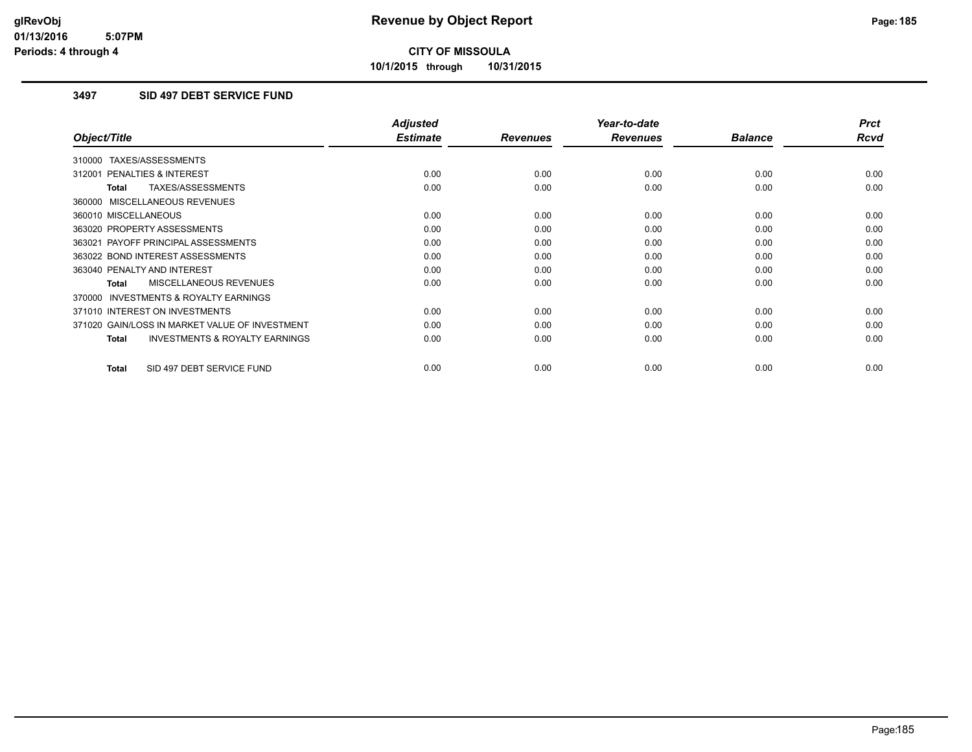**10/1/2015 through 10/31/2015**

## **3497 SID 497 DEBT SERVICE FUND**

| Object/Title                                       | <b>Adjusted</b><br><b>Estimate</b> |                 | Year-to-date    | <b>Balance</b> | <b>Prct</b><br>Rcvd |
|----------------------------------------------------|------------------------------------|-----------------|-----------------|----------------|---------------------|
|                                                    |                                    | <b>Revenues</b> | <b>Revenues</b> |                |                     |
| 310000 TAXES/ASSESSMENTS                           |                                    |                 |                 |                |                     |
| 312001 PENALTIES & INTEREST                        | 0.00                               | 0.00            | 0.00            | 0.00           | 0.00                |
| TAXES/ASSESSMENTS<br>Total                         | 0.00                               | 0.00            | 0.00            | 0.00           | 0.00                |
| 360000 MISCELLANEOUS REVENUES                      |                                    |                 |                 |                |                     |
| 360010 MISCELLANEOUS                               | 0.00                               | 0.00            | 0.00            | 0.00           | 0.00                |
| 363020 PROPERTY ASSESSMENTS                        | 0.00                               | 0.00            | 0.00            | 0.00           | 0.00                |
| 363021 PAYOFF PRINCIPAL ASSESSMENTS                | 0.00                               | 0.00            | 0.00            | 0.00           | 0.00                |
| 363022 BOND INTEREST ASSESSMENTS                   | 0.00                               | 0.00            | 0.00            | 0.00           | 0.00                |
| 363040 PENALTY AND INTEREST                        | 0.00                               | 0.00            | 0.00            | 0.00           | 0.00                |
| MISCELLANEOUS REVENUES<br>Total                    | 0.00                               | 0.00            | 0.00            | 0.00           | 0.00                |
| INVESTMENTS & ROYALTY EARNINGS<br>370000           |                                    |                 |                 |                |                     |
| 371010 INTEREST ON INVESTMENTS                     | 0.00                               | 0.00            | 0.00            | 0.00           | 0.00                |
| 371020 GAIN/LOSS IN MARKET VALUE OF INVESTMENT     | 0.00                               | 0.00            | 0.00            | 0.00           | 0.00                |
| <b>INVESTMENTS &amp; ROYALTY EARNINGS</b><br>Total | 0.00                               | 0.00            | 0.00            | 0.00           | 0.00                |
|                                                    |                                    |                 |                 |                |                     |
| SID 497 DEBT SERVICE FUND<br>Total                 | 0.00                               | 0.00            | 0.00            | 0.00           | 0.00                |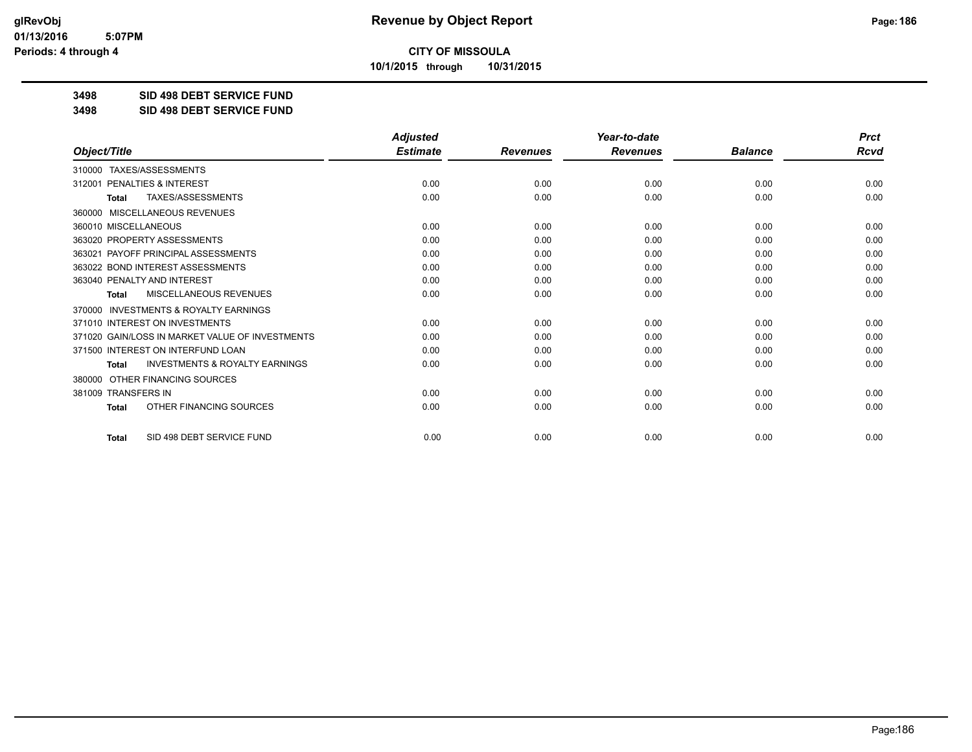**10/1/2015 through 10/31/2015**

**3498 SID 498 DEBT SERVICE FUND**

**3498 SID 498 DEBT SERVICE FUND**

|                                                           | <b>Adjusted</b> |                 | Year-to-date    |                | <b>Prct</b> |
|-----------------------------------------------------------|-----------------|-----------------|-----------------|----------------|-------------|
| Object/Title                                              | <b>Estimate</b> | <b>Revenues</b> | <b>Revenues</b> | <b>Balance</b> | <b>Rcvd</b> |
| TAXES/ASSESSMENTS<br>310000                               |                 |                 |                 |                |             |
| 312001 PENALTIES & INTEREST                               | 0.00            | 0.00            | 0.00            | 0.00           | 0.00        |
| <b>TAXES/ASSESSMENTS</b><br><b>Total</b>                  | 0.00            | 0.00            | 0.00            | 0.00           | 0.00        |
| MISCELLANEOUS REVENUES<br>360000                          |                 |                 |                 |                |             |
| 360010 MISCELLANEOUS                                      | 0.00            | 0.00            | 0.00            | 0.00           | 0.00        |
| 363020 PROPERTY ASSESSMENTS                               | 0.00            | 0.00            | 0.00            | 0.00           | 0.00        |
| 363021 PAYOFF PRINCIPAL ASSESSMENTS                       | 0.00            | 0.00            | 0.00            | 0.00           | 0.00        |
| 363022 BOND INTEREST ASSESSMENTS                          | 0.00            | 0.00            | 0.00            | 0.00           | 0.00        |
| 363040 PENALTY AND INTEREST                               | 0.00            | 0.00            | 0.00            | 0.00           | 0.00        |
| MISCELLANEOUS REVENUES<br><b>Total</b>                    | 0.00            | 0.00            | 0.00            | 0.00           | 0.00        |
| INVESTMENTS & ROYALTY EARNINGS<br>370000                  |                 |                 |                 |                |             |
| 371010 INTEREST ON INVESTMENTS                            | 0.00            | 0.00            | 0.00            | 0.00           | 0.00        |
| 371020 GAIN/LOSS IN MARKET VALUE OF INVESTMENTS           | 0.00            | 0.00            | 0.00            | 0.00           | 0.00        |
| 371500 INTEREST ON INTERFUND LOAN                         | 0.00            | 0.00            | 0.00            | 0.00           | 0.00        |
| <b>INVESTMENTS &amp; ROYALTY EARNINGS</b><br><b>Total</b> | 0.00            | 0.00            | 0.00            | 0.00           | 0.00        |
| OTHER FINANCING SOURCES<br>380000                         |                 |                 |                 |                |             |
| 381009 TRANSFERS IN                                       | 0.00            | 0.00            | 0.00            | 0.00           | 0.00        |
| OTHER FINANCING SOURCES<br><b>Total</b>                   | 0.00            | 0.00            | 0.00            | 0.00           | 0.00        |
| SID 498 DEBT SERVICE FUND<br><b>Total</b>                 | 0.00            | 0.00            | 0.00            | 0.00           | 0.00        |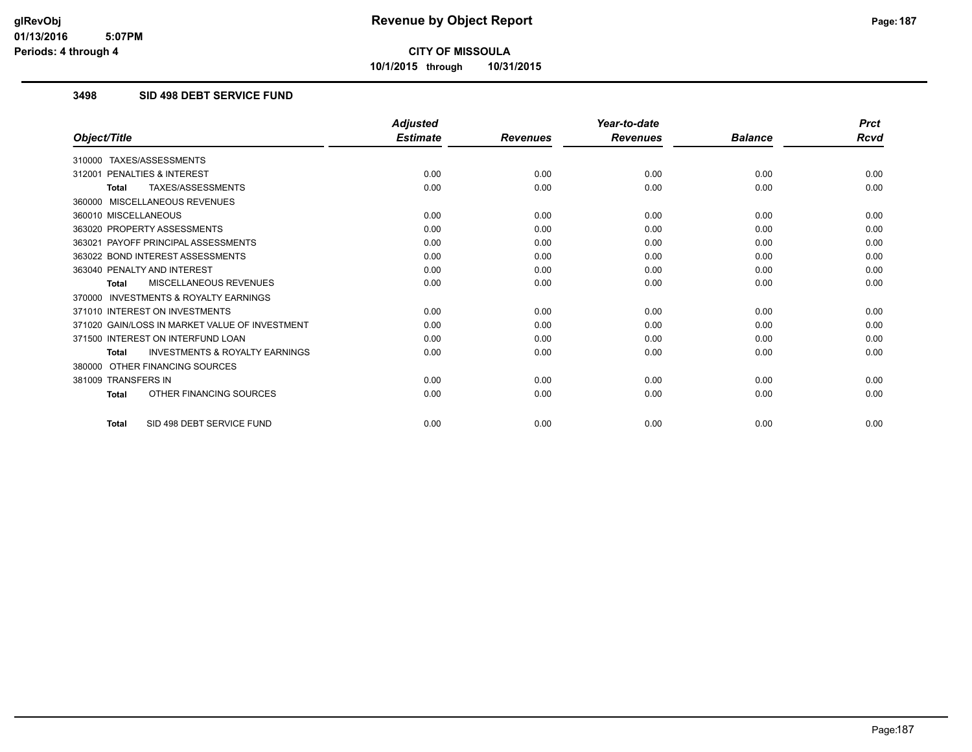**10/1/2015 through 10/31/2015**

## **3498 SID 498 DEBT SERVICE FUND**

|                                                           | <b>Adjusted</b> |                 | Year-to-date    |                | <b>Prct</b> |
|-----------------------------------------------------------|-----------------|-----------------|-----------------|----------------|-------------|
| Object/Title                                              | <b>Estimate</b> | <b>Revenues</b> | <b>Revenues</b> | <b>Balance</b> | Rcvd        |
| TAXES/ASSESSMENTS<br>310000                               |                 |                 |                 |                |             |
| <b>PENALTIES &amp; INTEREST</b><br>312001                 | 0.00            | 0.00            | 0.00            | 0.00           | 0.00        |
| <b>TAXES/ASSESSMENTS</b><br><b>Total</b>                  | 0.00            | 0.00            | 0.00            | 0.00           | 0.00        |
| 360000 MISCELLANEOUS REVENUES                             |                 |                 |                 |                |             |
| 360010 MISCELLANEOUS                                      | 0.00            | 0.00            | 0.00            | 0.00           | 0.00        |
| 363020 PROPERTY ASSESSMENTS                               | 0.00            | 0.00            | 0.00            | 0.00           | 0.00        |
| 363021 PAYOFF PRINCIPAL ASSESSMENTS                       | 0.00            | 0.00            | 0.00            | 0.00           | 0.00        |
| 363022 BOND INTEREST ASSESSMENTS                          | 0.00            | 0.00            | 0.00            | 0.00           | 0.00        |
| 363040 PENALTY AND INTEREST                               | 0.00            | 0.00            | 0.00            | 0.00           | 0.00        |
| MISCELLANEOUS REVENUES<br><b>Total</b>                    | 0.00            | 0.00            | 0.00            | 0.00           | 0.00        |
| <b>INVESTMENTS &amp; ROYALTY EARNINGS</b><br>370000       |                 |                 |                 |                |             |
| 371010 INTEREST ON INVESTMENTS                            | 0.00            | 0.00            | 0.00            | 0.00           | 0.00        |
| 371020 GAIN/LOSS IN MARKET VALUE OF INVESTMENT            | 0.00            | 0.00            | 0.00            | 0.00           | 0.00        |
| 371500 INTEREST ON INTERFUND LOAN                         | 0.00            | 0.00            | 0.00            | 0.00           | 0.00        |
| <b>INVESTMENTS &amp; ROYALTY EARNINGS</b><br><b>Total</b> | 0.00            | 0.00            | 0.00            | 0.00           | 0.00        |
| OTHER FINANCING SOURCES<br>380000                         |                 |                 |                 |                |             |
| 381009 TRANSFERS IN                                       | 0.00            | 0.00            | 0.00            | 0.00           | 0.00        |
| OTHER FINANCING SOURCES<br><b>Total</b>                   | 0.00            | 0.00            | 0.00            | 0.00           | 0.00        |
| SID 498 DEBT SERVICE FUND<br><b>Total</b>                 | 0.00            | 0.00            | 0.00            | 0.00           | 0.00        |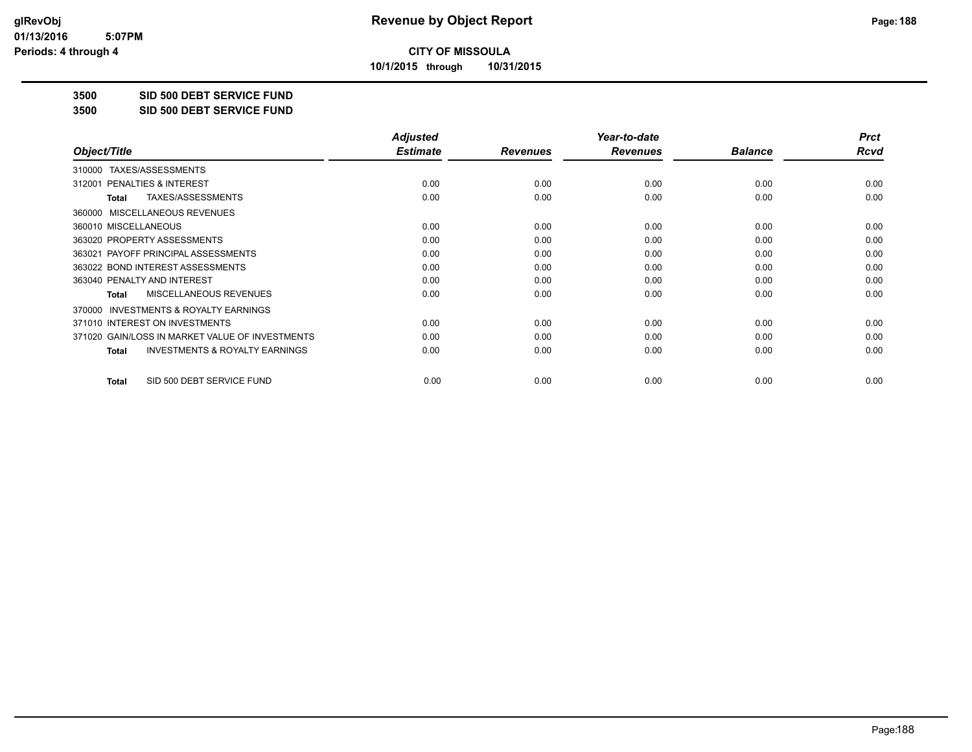**10/1/2015 through 10/31/2015**

#### **3500 SID 500 DEBT SERVICE FUND**

**3500 SID 500 DEBT SERVICE FUND**

|                                                           | <b>Adjusted</b> |                 | Year-to-date    |                | <b>Prct</b> |
|-----------------------------------------------------------|-----------------|-----------------|-----------------|----------------|-------------|
| Object/Title                                              | <b>Estimate</b> | <b>Revenues</b> | <b>Revenues</b> | <b>Balance</b> | Rcvd        |
| TAXES/ASSESSMENTS<br>310000                               |                 |                 |                 |                |             |
| 312001 PENALTIES & INTEREST                               | 0.00            | 0.00            | 0.00            | 0.00           | 0.00        |
| TAXES/ASSESSMENTS<br>Total                                | 0.00            | 0.00            | 0.00            | 0.00           | 0.00        |
| MISCELLANEOUS REVENUES<br>360000                          |                 |                 |                 |                |             |
| 360010 MISCELLANEOUS                                      | 0.00            | 0.00            | 0.00            | 0.00           | 0.00        |
| 363020 PROPERTY ASSESSMENTS                               | 0.00            | 0.00            | 0.00            | 0.00           | 0.00        |
| 363021 PAYOFF PRINCIPAL ASSESSMENTS                       | 0.00            | 0.00            | 0.00            | 0.00           | 0.00        |
| 363022 BOND INTEREST ASSESSMENTS                          | 0.00            | 0.00            | 0.00            | 0.00           | 0.00        |
| 363040 PENALTY AND INTEREST                               | 0.00            | 0.00            | 0.00            | 0.00           | 0.00        |
| MISCELLANEOUS REVENUES<br><b>Total</b>                    | 0.00            | 0.00            | 0.00            | 0.00           | 0.00        |
| <b>INVESTMENTS &amp; ROYALTY EARNINGS</b><br>370000       |                 |                 |                 |                |             |
| 371010 INTEREST ON INVESTMENTS                            | 0.00            | 0.00            | 0.00            | 0.00           | 0.00        |
| 371020 GAIN/LOSS IN MARKET VALUE OF INVESTMENTS           | 0.00            | 0.00            | 0.00            | 0.00           | 0.00        |
| <b>INVESTMENTS &amp; ROYALTY EARNINGS</b><br><b>Total</b> | 0.00            | 0.00            | 0.00            | 0.00           | 0.00        |
| SID 500 DEBT SERVICE FUND<br><b>Total</b>                 | 0.00            | 0.00            | 0.00            | 0.00           | 0.00        |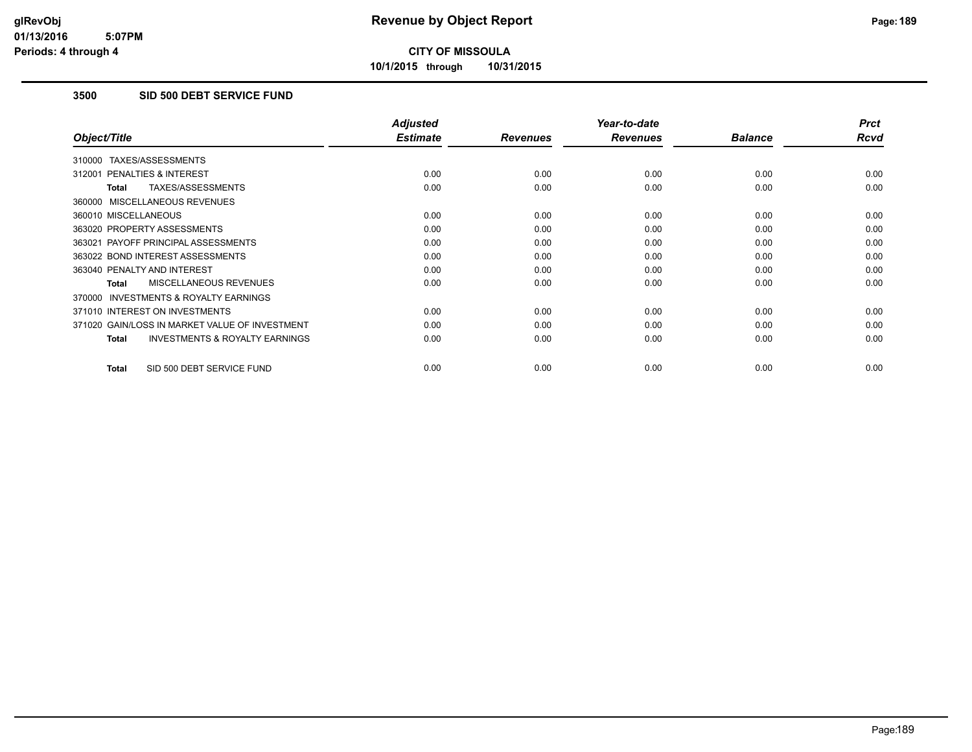**10/1/2015 through 10/31/2015**

## **3500 SID 500 DEBT SERVICE FUND**

|                                                     | <b>Adjusted</b> |                 | Year-to-date    |                | <b>Prct</b> |
|-----------------------------------------------------|-----------------|-----------------|-----------------|----------------|-------------|
| Object/Title                                        | <b>Estimate</b> | <b>Revenues</b> | <b>Revenues</b> | <b>Balance</b> | <b>Rcvd</b> |
| 310000 TAXES/ASSESSMENTS                            |                 |                 |                 |                |             |
| 312001 PENALTIES & INTEREST                         | 0.00            | 0.00            | 0.00            | 0.00           | 0.00        |
| <b>TAXES/ASSESSMENTS</b><br><b>Total</b>            | 0.00            | 0.00            | 0.00            | 0.00           | 0.00        |
| 360000 MISCELLANEOUS REVENUES                       |                 |                 |                 |                |             |
| 360010 MISCELLANEOUS                                | 0.00            | 0.00            | 0.00            | 0.00           | 0.00        |
| 363020 PROPERTY ASSESSMENTS                         | 0.00            | 0.00            | 0.00            | 0.00           | 0.00        |
| 363021 PAYOFF PRINCIPAL ASSESSMENTS                 | 0.00            | 0.00            | 0.00            | 0.00           | 0.00        |
| 363022 BOND INTEREST ASSESSMENTS                    | 0.00            | 0.00            | 0.00            | 0.00           | 0.00        |
| 363040 PENALTY AND INTEREST                         | 0.00            | 0.00            | 0.00            | 0.00           | 0.00        |
| <b>MISCELLANEOUS REVENUES</b><br>Total              | 0.00            | 0.00            | 0.00            | 0.00           | 0.00        |
| <b>INVESTMENTS &amp; ROYALTY EARNINGS</b><br>370000 |                 |                 |                 |                |             |
| 371010 INTEREST ON INVESTMENTS                      | 0.00            | 0.00            | 0.00            | 0.00           | 0.00        |
| 371020 GAIN/LOSS IN MARKET VALUE OF INVESTMENT      | 0.00            | 0.00            | 0.00            | 0.00           | 0.00        |
| <b>INVESTMENTS &amp; ROYALTY EARNINGS</b><br>Total  | 0.00            | 0.00            | 0.00            | 0.00           | 0.00        |
| SID 500 DEBT SERVICE FUND<br><b>Total</b>           | 0.00            | 0.00            | 0.00            | 0.00           | 0.00        |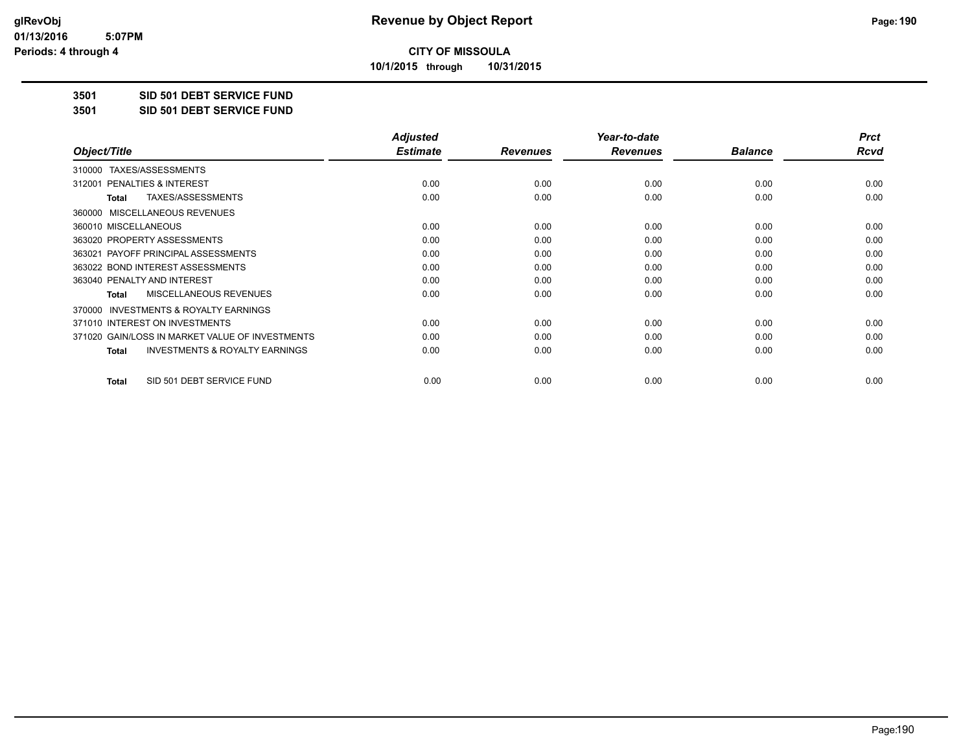**10/1/2015 through 10/31/2015**

#### **3501 SID 501 DEBT SERVICE FUND**

**3501 SID 501 DEBT SERVICE FUND**

|                                                           | <b>Adjusted</b> |                 | Year-to-date    |                | <b>Prct</b> |
|-----------------------------------------------------------|-----------------|-----------------|-----------------|----------------|-------------|
| Object/Title                                              | <b>Estimate</b> | <b>Revenues</b> | <b>Revenues</b> | <b>Balance</b> | Rcvd        |
| TAXES/ASSESSMENTS<br>310000                               |                 |                 |                 |                |             |
| 312001 PENALTIES & INTEREST                               | 0.00            | 0.00            | 0.00            | 0.00           | 0.00        |
| TAXES/ASSESSMENTS<br><b>Total</b>                         | 0.00            | 0.00            | 0.00            | 0.00           | 0.00        |
| MISCELLANEOUS REVENUES<br>360000                          |                 |                 |                 |                |             |
| 360010 MISCELLANEOUS                                      | 0.00            | 0.00            | 0.00            | 0.00           | 0.00        |
| 363020 PROPERTY ASSESSMENTS                               | 0.00            | 0.00            | 0.00            | 0.00           | 0.00        |
| 363021 PAYOFF PRINCIPAL ASSESSMENTS                       | 0.00            | 0.00            | 0.00            | 0.00           | 0.00        |
| 363022 BOND INTEREST ASSESSMENTS                          | 0.00            | 0.00            | 0.00            | 0.00           | 0.00        |
| 363040 PENALTY AND INTEREST                               | 0.00            | 0.00            | 0.00            | 0.00           | 0.00        |
| MISCELLANEOUS REVENUES<br><b>Total</b>                    | 0.00            | 0.00            | 0.00            | 0.00           | 0.00        |
| <b>INVESTMENTS &amp; ROYALTY EARNINGS</b><br>370000       |                 |                 |                 |                |             |
| 371010 INTEREST ON INVESTMENTS                            | 0.00            | 0.00            | 0.00            | 0.00           | 0.00        |
| 371020 GAIN/LOSS IN MARKET VALUE OF INVESTMENTS           | 0.00            | 0.00            | 0.00            | 0.00           | 0.00        |
| <b>INVESTMENTS &amp; ROYALTY EARNINGS</b><br><b>Total</b> | 0.00            | 0.00            | 0.00            | 0.00           | 0.00        |
| SID 501 DEBT SERVICE FUND<br><b>Total</b>                 | 0.00            | 0.00            | 0.00            | 0.00           | 0.00        |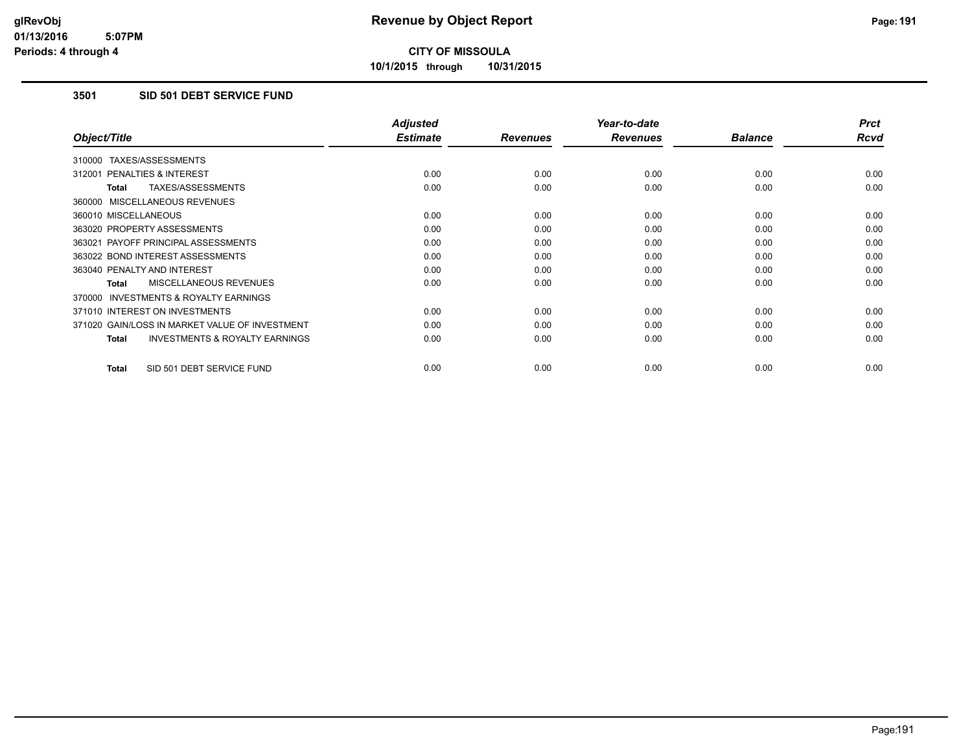**10/1/2015 through 10/31/2015**

## **3501 SID 501 DEBT SERVICE FUND**

|                                                           | <b>Adjusted</b> |                 | Year-to-date    |                | <b>Prct</b> |
|-----------------------------------------------------------|-----------------|-----------------|-----------------|----------------|-------------|
| Object/Title                                              | <b>Estimate</b> | <b>Revenues</b> | <b>Revenues</b> | <b>Balance</b> | <b>Rcvd</b> |
| 310000 TAXES/ASSESSMENTS                                  |                 |                 |                 |                |             |
| 312001 PENALTIES & INTEREST                               | 0.00            | 0.00            | 0.00            | 0.00           | 0.00        |
| <b>TAXES/ASSESSMENTS</b><br><b>Total</b>                  | 0.00            | 0.00            | 0.00            | 0.00           | 0.00        |
| 360000 MISCELLANEOUS REVENUES                             |                 |                 |                 |                |             |
| 360010 MISCELLANEOUS                                      | 0.00            | 0.00            | 0.00            | 0.00           | 0.00        |
| 363020 PROPERTY ASSESSMENTS                               | 0.00            | 0.00            | 0.00            | 0.00           | 0.00        |
| 363021 PAYOFF PRINCIPAL ASSESSMENTS                       | 0.00            | 0.00            | 0.00            | 0.00           | 0.00        |
| 363022 BOND INTEREST ASSESSMENTS                          | 0.00            | 0.00            | 0.00            | 0.00           | 0.00        |
| 363040 PENALTY AND INTEREST                               | 0.00            | 0.00            | 0.00            | 0.00           | 0.00        |
| <b>MISCELLANEOUS REVENUES</b><br><b>Total</b>             | 0.00            | 0.00            | 0.00            | 0.00           | 0.00        |
| <b>INVESTMENTS &amp; ROYALTY EARNINGS</b><br>370000       |                 |                 |                 |                |             |
| 371010 INTEREST ON INVESTMENTS                            | 0.00            | 0.00            | 0.00            | 0.00           | 0.00        |
| 371020 GAIN/LOSS IN MARKET VALUE OF INVESTMENT            | 0.00            | 0.00            | 0.00            | 0.00           | 0.00        |
| <b>INVESTMENTS &amp; ROYALTY EARNINGS</b><br><b>Total</b> | 0.00            | 0.00            | 0.00            | 0.00           | 0.00        |
| SID 501 DEBT SERVICE FUND<br><b>Total</b>                 | 0.00            | 0.00            | 0.00            | 0.00           | 0.00        |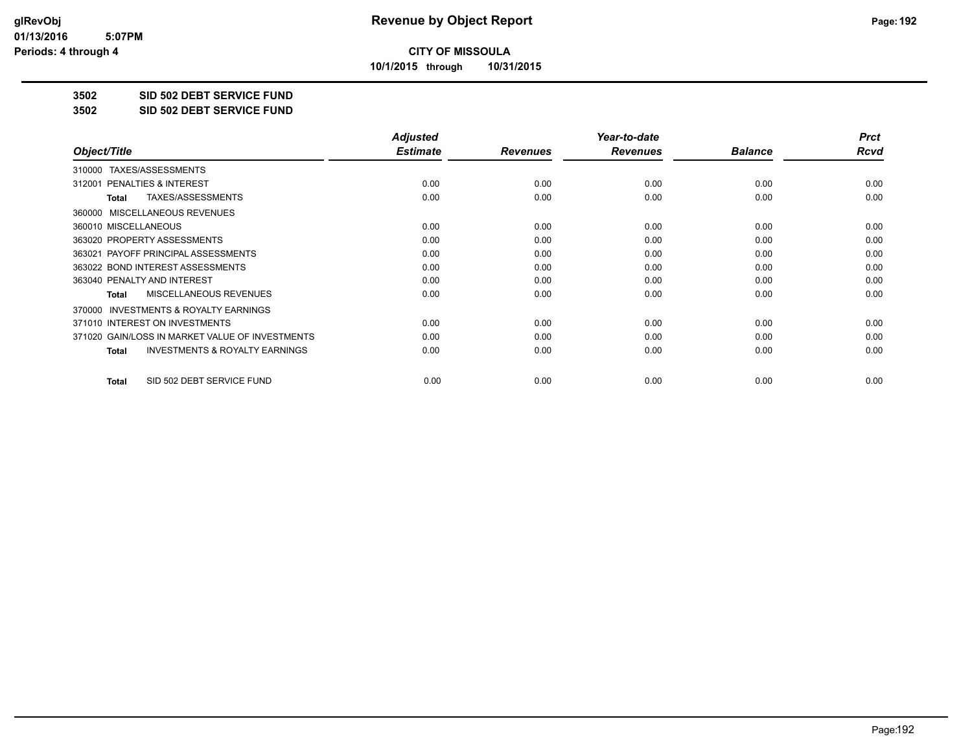**10/1/2015 through 10/31/2015**

#### **3502 SID 502 DEBT SERVICE FUND**

**3502 SID 502 DEBT SERVICE FUND**

|                                                           | <b>Adjusted</b> |                 | Year-to-date    |                | <b>Prct</b> |
|-----------------------------------------------------------|-----------------|-----------------|-----------------|----------------|-------------|
| Object/Title                                              | <b>Estimate</b> | <b>Revenues</b> | <b>Revenues</b> | <b>Balance</b> | Rcvd        |
| TAXES/ASSESSMENTS<br>310000                               |                 |                 |                 |                |             |
| 312001 PENALTIES & INTEREST                               | 0.00            | 0.00            | 0.00            | 0.00           | 0.00        |
| TAXES/ASSESSMENTS<br><b>Total</b>                         | 0.00            | 0.00            | 0.00            | 0.00           | 0.00        |
| MISCELLANEOUS REVENUES<br>360000                          |                 |                 |                 |                |             |
| 360010 MISCELLANEOUS                                      | 0.00            | 0.00            | 0.00            | 0.00           | 0.00        |
| 363020 PROPERTY ASSESSMENTS                               | 0.00            | 0.00            | 0.00            | 0.00           | 0.00        |
| 363021 PAYOFF PRINCIPAL ASSESSMENTS                       | 0.00            | 0.00            | 0.00            | 0.00           | 0.00        |
| 363022 BOND INTEREST ASSESSMENTS                          | 0.00            | 0.00            | 0.00            | 0.00           | 0.00        |
| 363040 PENALTY AND INTEREST                               | 0.00            | 0.00            | 0.00            | 0.00           | 0.00        |
| MISCELLANEOUS REVENUES<br><b>Total</b>                    | 0.00            | 0.00            | 0.00            | 0.00           | 0.00        |
| <b>INVESTMENTS &amp; ROYALTY EARNINGS</b><br>370000       |                 |                 |                 |                |             |
| 371010 INTEREST ON INVESTMENTS                            | 0.00            | 0.00            | 0.00            | 0.00           | 0.00        |
| 371020 GAIN/LOSS IN MARKET VALUE OF INVESTMENTS           | 0.00            | 0.00            | 0.00            | 0.00           | 0.00        |
| <b>INVESTMENTS &amp; ROYALTY EARNINGS</b><br><b>Total</b> | 0.00            | 0.00            | 0.00            | 0.00           | 0.00        |
| SID 502 DEBT SERVICE FUND<br><b>Total</b>                 | 0.00            | 0.00            | 0.00            | 0.00           | 0.00        |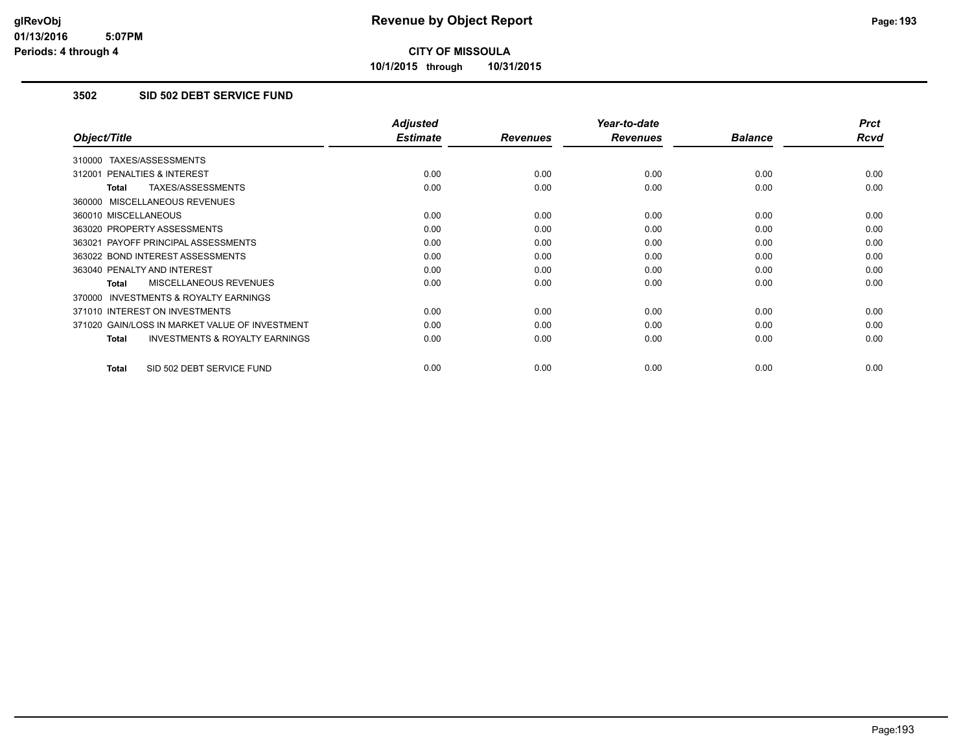**10/1/2015 through 10/31/2015**

## **3502 SID 502 DEBT SERVICE FUND**

|                                                     | <b>Adjusted</b> |                 | Year-to-date    |                | <b>Prct</b> |
|-----------------------------------------------------|-----------------|-----------------|-----------------|----------------|-------------|
| Object/Title                                        | <b>Estimate</b> | <b>Revenues</b> | <b>Revenues</b> | <b>Balance</b> | <b>Rcvd</b> |
| 310000 TAXES/ASSESSMENTS                            |                 |                 |                 |                |             |
| 312001 PENALTIES & INTEREST                         | 0.00            | 0.00            | 0.00            | 0.00           | 0.00        |
| TAXES/ASSESSMENTS<br><b>Total</b>                   | 0.00            | 0.00            | 0.00            | 0.00           | 0.00        |
| 360000 MISCELLANEOUS REVENUES                       |                 |                 |                 |                |             |
| 360010 MISCELLANEOUS                                | 0.00            | 0.00            | 0.00            | 0.00           | 0.00        |
| 363020 PROPERTY ASSESSMENTS                         | 0.00            | 0.00            | 0.00            | 0.00           | 0.00        |
| 363021 PAYOFF PRINCIPAL ASSESSMENTS                 | 0.00            | 0.00            | 0.00            | 0.00           | 0.00        |
| 363022 BOND INTEREST ASSESSMENTS                    | 0.00            | 0.00            | 0.00            | 0.00           | 0.00        |
| 363040 PENALTY AND INTEREST                         | 0.00            | 0.00            | 0.00            | 0.00           | 0.00        |
| <b>MISCELLANEOUS REVENUES</b><br>Total              | 0.00            | 0.00            | 0.00            | 0.00           | 0.00        |
| <b>INVESTMENTS &amp; ROYALTY EARNINGS</b><br>370000 |                 |                 |                 |                |             |
| 371010 INTEREST ON INVESTMENTS                      | 0.00            | 0.00            | 0.00            | 0.00           | 0.00        |
| 371020 GAIN/LOSS IN MARKET VALUE OF INVESTMENT      | 0.00            | 0.00            | 0.00            | 0.00           | 0.00        |
| <b>INVESTMENTS &amp; ROYALTY EARNINGS</b><br>Total  | 0.00            | 0.00            | 0.00            | 0.00           | 0.00        |
| SID 502 DEBT SERVICE FUND<br><b>Total</b>           | 0.00            | 0.00            | 0.00            | 0.00           | 0.00        |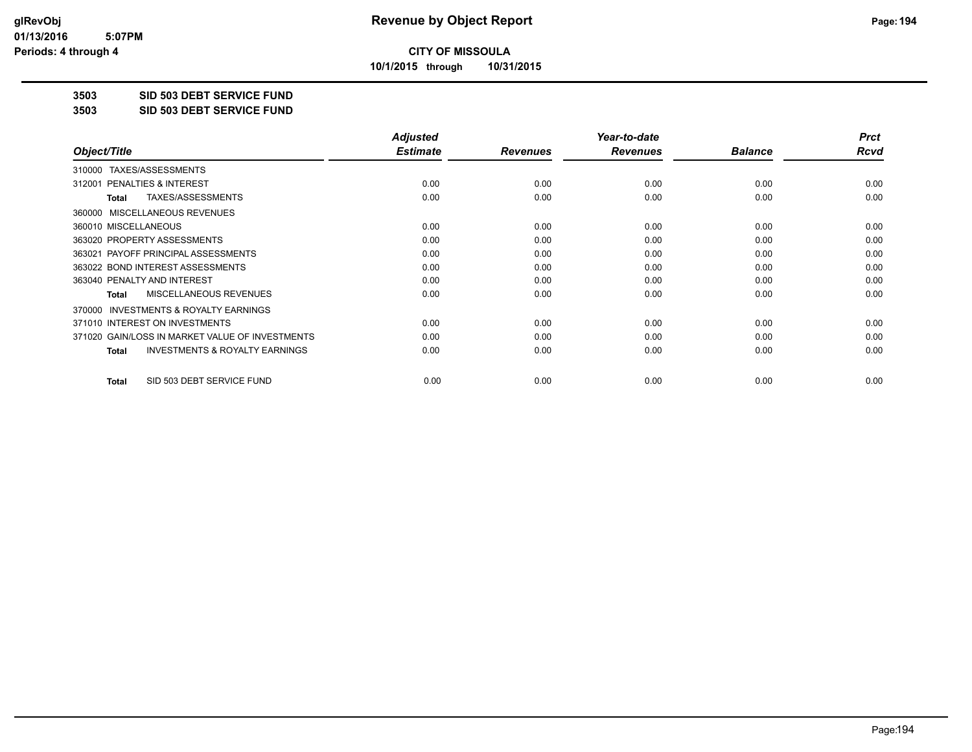**10/1/2015 through 10/31/2015**

## **3503 SID 503 DEBT SERVICE FUND**

**3503 SID 503 DEBT SERVICE FUND**

|                                                           | <b>Adjusted</b> |                 | Year-to-date    |                | <b>Prct</b> |
|-----------------------------------------------------------|-----------------|-----------------|-----------------|----------------|-------------|
| Object/Title                                              | <b>Estimate</b> | <b>Revenues</b> | <b>Revenues</b> | <b>Balance</b> | Rcvd        |
| TAXES/ASSESSMENTS<br>310000                               |                 |                 |                 |                |             |
| 312001 PENALTIES & INTEREST                               | 0.00            | 0.00            | 0.00            | 0.00           | 0.00        |
| TAXES/ASSESSMENTS<br><b>Total</b>                         | 0.00            | 0.00            | 0.00            | 0.00           | 0.00        |
| MISCELLANEOUS REVENUES<br>360000                          |                 |                 |                 |                |             |
| 360010 MISCELLANEOUS                                      | 0.00            | 0.00            | 0.00            | 0.00           | 0.00        |
| 363020 PROPERTY ASSESSMENTS                               | 0.00            | 0.00            | 0.00            | 0.00           | 0.00        |
| 363021 PAYOFF PRINCIPAL ASSESSMENTS                       | 0.00            | 0.00            | 0.00            | 0.00           | 0.00        |
| 363022 BOND INTEREST ASSESSMENTS                          | 0.00            | 0.00            | 0.00            | 0.00           | 0.00        |
| 363040 PENALTY AND INTEREST                               | 0.00            | 0.00            | 0.00            | 0.00           | 0.00        |
| MISCELLANEOUS REVENUES<br><b>Total</b>                    | 0.00            | 0.00            | 0.00            | 0.00           | 0.00        |
| <b>INVESTMENTS &amp; ROYALTY EARNINGS</b><br>370000       |                 |                 |                 |                |             |
| 371010 INTEREST ON INVESTMENTS                            | 0.00            | 0.00            | 0.00            | 0.00           | 0.00        |
| 371020 GAIN/LOSS IN MARKET VALUE OF INVESTMENTS           | 0.00            | 0.00            | 0.00            | 0.00           | 0.00        |
| <b>INVESTMENTS &amp; ROYALTY EARNINGS</b><br><b>Total</b> | 0.00            | 0.00            | 0.00            | 0.00           | 0.00        |
| SID 503 DEBT SERVICE FUND<br><b>Total</b>                 | 0.00            | 0.00            | 0.00            | 0.00           | 0.00        |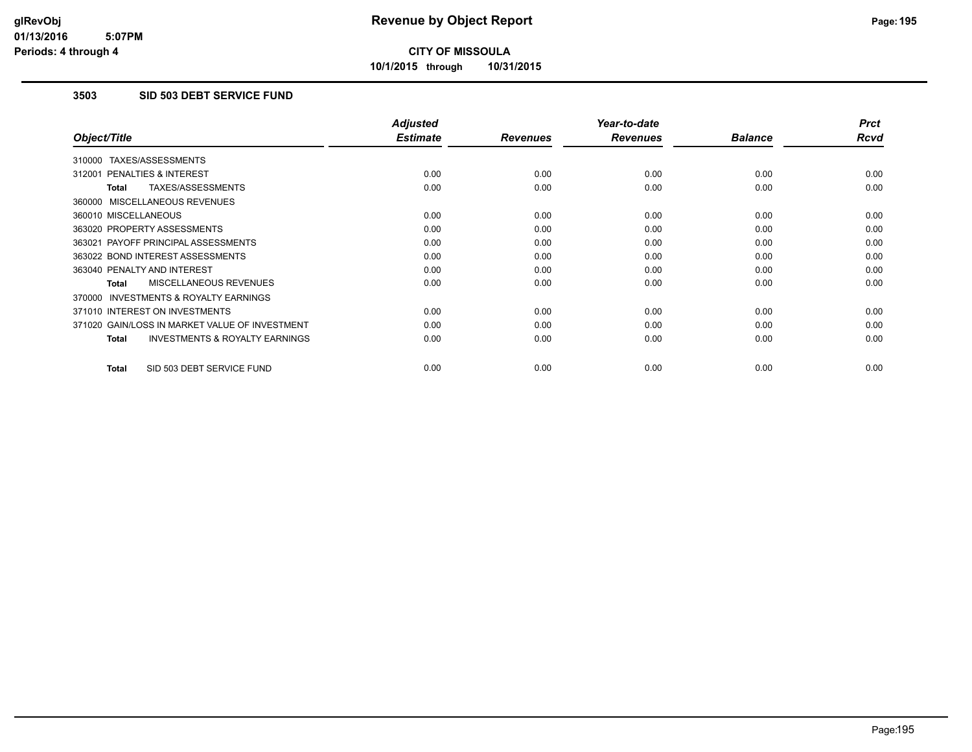**10/1/2015 through 10/31/2015**

## **3503 SID 503 DEBT SERVICE FUND**

|                                                           | <b>Adjusted</b> |                 | Year-to-date    |                | <b>Prct</b> |
|-----------------------------------------------------------|-----------------|-----------------|-----------------|----------------|-------------|
| Object/Title                                              | <b>Estimate</b> | <b>Revenues</b> | <b>Revenues</b> | <b>Balance</b> | <b>Rcvd</b> |
| 310000 TAXES/ASSESSMENTS                                  |                 |                 |                 |                |             |
| 312001 PENALTIES & INTEREST                               | 0.00            | 0.00            | 0.00            | 0.00           | 0.00        |
| <b>TAXES/ASSESSMENTS</b><br><b>Total</b>                  | 0.00            | 0.00            | 0.00            | 0.00           | 0.00        |
| 360000 MISCELLANEOUS REVENUES                             |                 |                 |                 |                |             |
| 360010 MISCELLANEOUS                                      | 0.00            | 0.00            | 0.00            | 0.00           | 0.00        |
| 363020 PROPERTY ASSESSMENTS                               | 0.00            | 0.00            | 0.00            | 0.00           | 0.00        |
| 363021 PAYOFF PRINCIPAL ASSESSMENTS                       | 0.00            | 0.00            | 0.00            | 0.00           | 0.00        |
| 363022 BOND INTEREST ASSESSMENTS                          | 0.00            | 0.00            | 0.00            | 0.00           | 0.00        |
| 363040 PENALTY AND INTEREST                               | 0.00            | 0.00            | 0.00            | 0.00           | 0.00        |
| <b>MISCELLANEOUS REVENUES</b><br><b>Total</b>             | 0.00            | 0.00            | 0.00            | 0.00           | 0.00        |
| <b>INVESTMENTS &amp; ROYALTY EARNINGS</b><br>370000       |                 |                 |                 |                |             |
| 371010 INTEREST ON INVESTMENTS                            | 0.00            | 0.00            | 0.00            | 0.00           | 0.00        |
| 371020 GAIN/LOSS IN MARKET VALUE OF INVESTMENT            | 0.00            | 0.00            | 0.00            | 0.00           | 0.00        |
| <b>INVESTMENTS &amp; ROYALTY EARNINGS</b><br><b>Total</b> | 0.00            | 0.00            | 0.00            | 0.00           | 0.00        |
| SID 503 DEBT SERVICE FUND<br><b>Total</b>                 | 0.00            | 0.00            | 0.00            | 0.00           | 0.00        |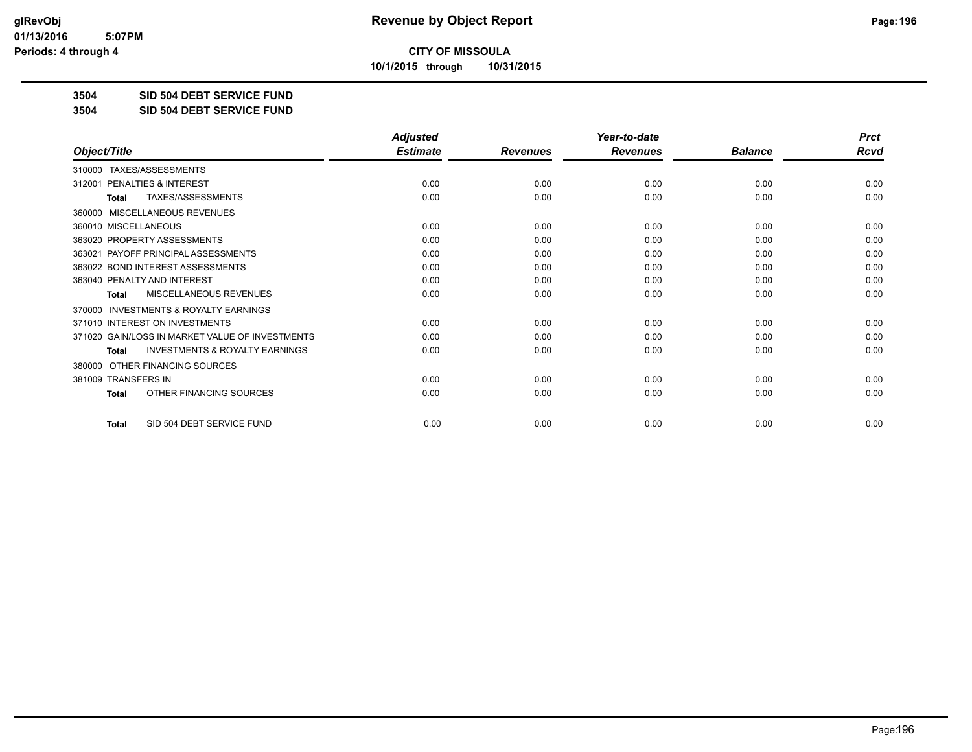**10/1/2015 through 10/31/2015**

## **3504 SID 504 DEBT SERVICE FUND**

**3504 SID 504 DEBT SERVICE FUND**

|                                                           | <b>Adjusted</b> |                 | Year-to-date    |                | <b>Prct</b> |
|-----------------------------------------------------------|-----------------|-----------------|-----------------|----------------|-------------|
| Object/Title                                              | <b>Estimate</b> | <b>Revenues</b> | <b>Revenues</b> | <b>Balance</b> | <b>Rcvd</b> |
| TAXES/ASSESSMENTS<br>310000                               |                 |                 |                 |                |             |
| 312001 PENALTIES & INTEREST                               | 0.00            | 0.00            | 0.00            | 0.00           | 0.00        |
| TAXES/ASSESSMENTS<br><b>Total</b>                         | 0.00            | 0.00            | 0.00            | 0.00           | 0.00        |
| <b>MISCELLANEOUS REVENUES</b><br>360000                   |                 |                 |                 |                |             |
| 360010 MISCELLANEOUS                                      | 0.00            | 0.00            | 0.00            | 0.00           | 0.00        |
| 363020 PROPERTY ASSESSMENTS                               | 0.00            | 0.00            | 0.00            | 0.00           | 0.00        |
| 363021 PAYOFF PRINCIPAL ASSESSMENTS                       | 0.00            | 0.00            | 0.00            | 0.00           | 0.00        |
| 363022 BOND INTEREST ASSESSMENTS                          | 0.00            | 0.00            | 0.00            | 0.00           | 0.00        |
| 363040 PENALTY AND INTEREST                               | 0.00            | 0.00            | 0.00            | 0.00           | 0.00        |
| <b>MISCELLANEOUS REVENUES</b><br><b>Total</b>             | 0.00            | 0.00            | 0.00            | 0.00           | 0.00        |
| <b>INVESTMENTS &amp; ROYALTY EARNINGS</b><br>370000       |                 |                 |                 |                |             |
| 371010 INTEREST ON INVESTMENTS                            | 0.00            | 0.00            | 0.00            | 0.00           | 0.00        |
| 371020 GAIN/LOSS IN MARKET VALUE OF INVESTMENTS           | 0.00            | 0.00            | 0.00            | 0.00           | 0.00        |
| <b>INVESTMENTS &amp; ROYALTY EARNINGS</b><br><b>Total</b> | 0.00            | 0.00            | 0.00            | 0.00           | 0.00        |
| OTHER FINANCING SOURCES<br>380000                         |                 |                 |                 |                |             |
| 381009 TRANSFERS IN                                       | 0.00            | 0.00            | 0.00            | 0.00           | 0.00        |
| OTHER FINANCING SOURCES<br><b>Total</b>                   | 0.00            | 0.00            | 0.00            | 0.00           | 0.00        |
| SID 504 DEBT SERVICE FUND<br><b>Total</b>                 | 0.00            | 0.00            | 0.00            | 0.00           | 0.00        |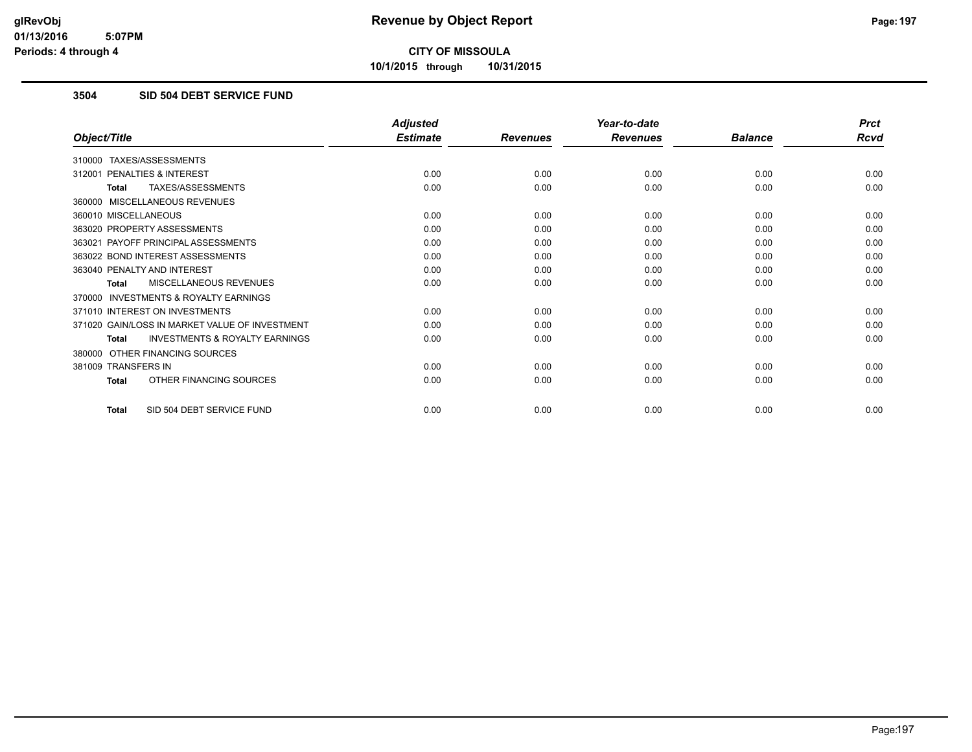**10/1/2015 through 10/31/2015**

## **3504 SID 504 DEBT SERVICE FUND**

|                                                           | <b>Adjusted</b> |                 | Year-to-date    |                | <b>Prct</b> |
|-----------------------------------------------------------|-----------------|-----------------|-----------------|----------------|-------------|
| Object/Title                                              | <b>Estimate</b> | <b>Revenues</b> | <b>Revenues</b> | <b>Balance</b> | <b>Rcvd</b> |
| 310000 TAXES/ASSESSMENTS                                  |                 |                 |                 |                |             |
| PENALTIES & INTEREST<br>312001                            | 0.00            | 0.00            | 0.00            | 0.00           | 0.00        |
| TAXES/ASSESSMENTS<br><b>Total</b>                         | 0.00            | 0.00            | 0.00            | 0.00           | 0.00        |
| 360000 MISCELLANEOUS REVENUES                             |                 |                 |                 |                |             |
| 360010 MISCELLANEOUS                                      | 0.00            | 0.00            | 0.00            | 0.00           | 0.00        |
| 363020 PROPERTY ASSESSMENTS                               | 0.00            | 0.00            | 0.00            | 0.00           | 0.00        |
| 363021 PAYOFF PRINCIPAL ASSESSMENTS                       | 0.00            | 0.00            | 0.00            | 0.00           | 0.00        |
| 363022 BOND INTEREST ASSESSMENTS                          | 0.00            | 0.00            | 0.00            | 0.00           | 0.00        |
| 363040 PENALTY AND INTEREST                               | 0.00            | 0.00            | 0.00            | 0.00           | 0.00        |
| MISCELLANEOUS REVENUES<br><b>Total</b>                    | 0.00            | 0.00            | 0.00            | 0.00           | 0.00        |
| <b>INVESTMENTS &amp; ROYALTY EARNINGS</b><br>370000       |                 |                 |                 |                |             |
| 371010 INTEREST ON INVESTMENTS                            | 0.00            | 0.00            | 0.00            | 0.00           | 0.00        |
| 371020 GAIN/LOSS IN MARKET VALUE OF INVESTMENT            | 0.00            | 0.00            | 0.00            | 0.00           | 0.00        |
| <b>INVESTMENTS &amp; ROYALTY EARNINGS</b><br><b>Total</b> | 0.00            | 0.00            | 0.00            | 0.00           | 0.00        |
| OTHER FINANCING SOURCES<br>380000                         |                 |                 |                 |                |             |
| 381009 TRANSFERS IN                                       | 0.00            | 0.00            | 0.00            | 0.00           | 0.00        |
| OTHER FINANCING SOURCES<br><b>Total</b>                   | 0.00            | 0.00            | 0.00            | 0.00           | 0.00        |
| SID 504 DEBT SERVICE FUND<br><b>Total</b>                 | 0.00            | 0.00            | 0.00            | 0.00           | 0.00        |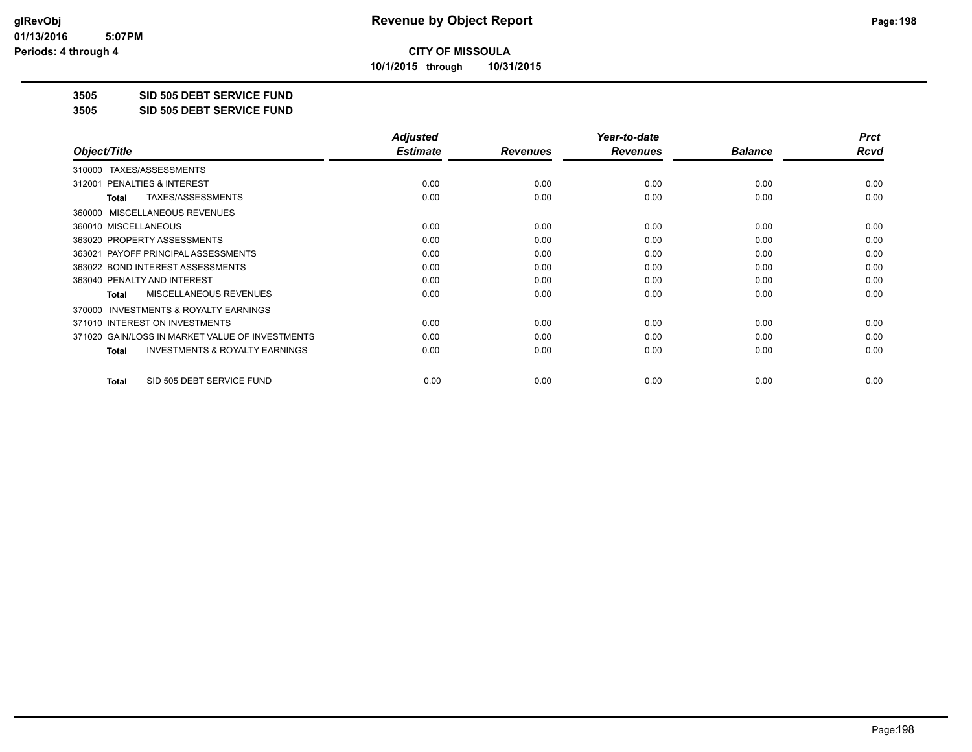**10/1/2015 through 10/31/2015**

#### **3505 SID 505 DEBT SERVICE FUND**

**3505 SID 505 DEBT SERVICE FUND**

|                                                           | <b>Adjusted</b> |                 | Year-to-date    |                | <b>Prct</b> |
|-----------------------------------------------------------|-----------------|-----------------|-----------------|----------------|-------------|
| Object/Title                                              | <b>Estimate</b> | <b>Revenues</b> | <b>Revenues</b> | <b>Balance</b> | Rcvd        |
| TAXES/ASSESSMENTS<br>310000                               |                 |                 |                 |                |             |
| 312001 PENALTIES & INTEREST                               | 0.00            | 0.00            | 0.00            | 0.00           | 0.00        |
| TAXES/ASSESSMENTS<br><b>Total</b>                         | 0.00            | 0.00            | 0.00            | 0.00           | 0.00        |
| MISCELLANEOUS REVENUES<br>360000                          |                 |                 |                 |                |             |
| 360010 MISCELLANEOUS                                      | 0.00            | 0.00            | 0.00            | 0.00           | 0.00        |
| 363020 PROPERTY ASSESSMENTS                               | 0.00            | 0.00            | 0.00            | 0.00           | 0.00        |
| 363021 PAYOFF PRINCIPAL ASSESSMENTS                       | 0.00            | 0.00            | 0.00            | 0.00           | 0.00        |
| 363022 BOND INTEREST ASSESSMENTS                          | 0.00            | 0.00            | 0.00            | 0.00           | 0.00        |
| 363040 PENALTY AND INTEREST                               | 0.00            | 0.00            | 0.00            | 0.00           | 0.00        |
| MISCELLANEOUS REVENUES<br><b>Total</b>                    | 0.00            | 0.00            | 0.00            | 0.00           | 0.00        |
| <b>INVESTMENTS &amp; ROYALTY EARNINGS</b><br>370000       |                 |                 |                 |                |             |
| 371010 INTEREST ON INVESTMENTS                            | 0.00            | 0.00            | 0.00            | 0.00           | 0.00        |
| 371020 GAIN/LOSS IN MARKET VALUE OF INVESTMENTS           | 0.00            | 0.00            | 0.00            | 0.00           | 0.00        |
| <b>INVESTMENTS &amp; ROYALTY EARNINGS</b><br><b>Total</b> | 0.00            | 0.00            | 0.00            | 0.00           | 0.00        |
| SID 505 DEBT SERVICE FUND<br><b>Total</b>                 | 0.00            | 0.00            | 0.00            | 0.00           | 0.00        |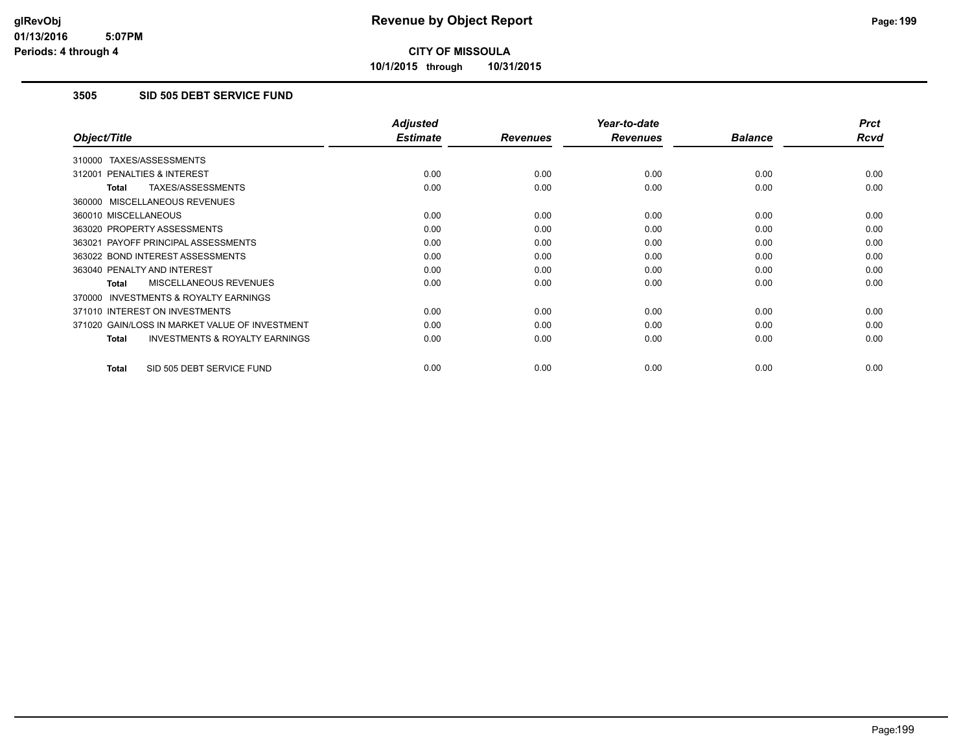**10/1/2015 through 10/31/2015**

## **3505 SID 505 DEBT SERVICE FUND**

|                                                     | <b>Adjusted</b> |                 | Year-to-date    |                | <b>Prct</b> |
|-----------------------------------------------------|-----------------|-----------------|-----------------|----------------|-------------|
| Object/Title                                        | <b>Estimate</b> | <b>Revenues</b> | <b>Revenues</b> | <b>Balance</b> | <b>Rcvd</b> |
| 310000 TAXES/ASSESSMENTS                            |                 |                 |                 |                |             |
| 312001 PENALTIES & INTEREST                         | 0.00            | 0.00            | 0.00            | 0.00           | 0.00        |
| TAXES/ASSESSMENTS<br><b>Total</b>                   | 0.00            | 0.00            | 0.00            | 0.00           | 0.00        |
| 360000 MISCELLANEOUS REVENUES                       |                 |                 |                 |                |             |
| 360010 MISCELLANEOUS                                | 0.00            | 0.00            | 0.00            | 0.00           | 0.00        |
| 363020 PROPERTY ASSESSMENTS                         | 0.00            | 0.00            | 0.00            | 0.00           | 0.00        |
| 363021 PAYOFF PRINCIPAL ASSESSMENTS                 | 0.00            | 0.00            | 0.00            | 0.00           | 0.00        |
| 363022 BOND INTEREST ASSESSMENTS                    | 0.00            | 0.00            | 0.00            | 0.00           | 0.00        |
| 363040 PENALTY AND INTEREST                         | 0.00            | 0.00            | 0.00            | 0.00           | 0.00        |
| <b>MISCELLANEOUS REVENUES</b><br>Total              | 0.00            | 0.00            | 0.00            | 0.00           | 0.00        |
| <b>INVESTMENTS &amp; ROYALTY EARNINGS</b><br>370000 |                 |                 |                 |                |             |
| 371010 INTEREST ON INVESTMENTS                      | 0.00            | 0.00            | 0.00            | 0.00           | 0.00        |
| 371020 GAIN/LOSS IN MARKET VALUE OF INVESTMENT      | 0.00            | 0.00            | 0.00            | 0.00           | 0.00        |
| <b>INVESTMENTS &amp; ROYALTY EARNINGS</b><br>Total  | 0.00            | 0.00            | 0.00            | 0.00           | 0.00        |
| SID 505 DEBT SERVICE FUND<br><b>Total</b>           | 0.00            | 0.00            | 0.00            | 0.00           | 0.00        |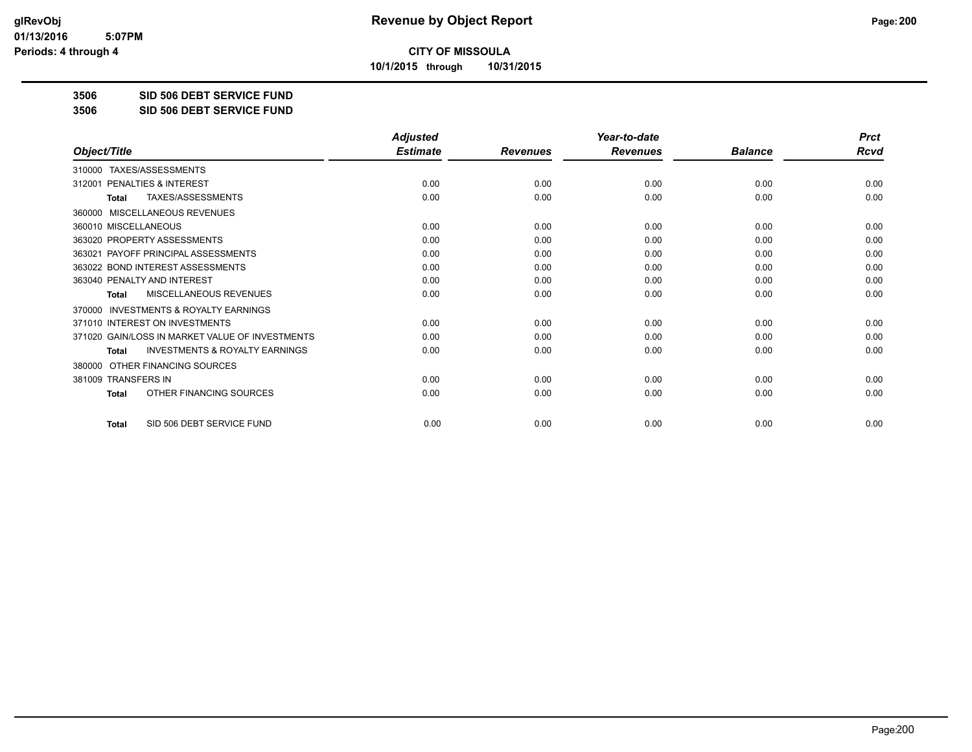**10/1/2015 through 10/31/2015**

#### **3506 SID 506 DEBT SERVICE FUND**

**3506 SID 506 DEBT SERVICE FUND**

|                                                     | <b>Adjusted</b> |                 | Year-to-date    |                | <b>Prct</b> |
|-----------------------------------------------------|-----------------|-----------------|-----------------|----------------|-------------|
| Object/Title                                        | <b>Estimate</b> | <b>Revenues</b> | <b>Revenues</b> | <b>Balance</b> | <b>Rcvd</b> |
| TAXES/ASSESSMENTS<br>310000                         |                 |                 |                 |                |             |
| PENALTIES & INTEREST<br>312001                      | 0.00            | 0.00            | 0.00            | 0.00           | 0.00        |
| TAXES/ASSESSMENTS<br><b>Total</b>                   | 0.00            | 0.00            | 0.00            | 0.00           | 0.00        |
| MISCELLANEOUS REVENUES<br>360000                    |                 |                 |                 |                |             |
| 360010 MISCELLANEOUS                                | 0.00            | 0.00            | 0.00            | 0.00           | 0.00        |
| 363020 PROPERTY ASSESSMENTS                         | 0.00            | 0.00            | 0.00            | 0.00           | 0.00        |
| 363021 PAYOFF PRINCIPAL ASSESSMENTS                 | 0.00            | 0.00            | 0.00            | 0.00           | 0.00        |
| 363022 BOND INTEREST ASSESSMENTS                    | 0.00            | 0.00            | 0.00            | 0.00           | 0.00        |
| 363040 PENALTY AND INTEREST                         | 0.00            | 0.00            | 0.00            | 0.00           | 0.00        |
| MISCELLANEOUS REVENUES<br>Total                     | 0.00            | 0.00            | 0.00            | 0.00           | 0.00        |
| <b>INVESTMENTS &amp; ROYALTY EARNINGS</b><br>370000 |                 |                 |                 |                |             |
| 371010 INTEREST ON INVESTMENTS                      | 0.00            | 0.00            | 0.00            | 0.00           | 0.00        |
| 371020 GAIN/LOSS IN MARKET VALUE OF INVESTMENTS     | 0.00            | 0.00            | 0.00            | 0.00           | 0.00        |
| <b>INVESTMENTS &amp; ROYALTY EARNINGS</b><br>Total  | 0.00            | 0.00            | 0.00            | 0.00           | 0.00        |
| OTHER FINANCING SOURCES<br>380000                   |                 |                 |                 |                |             |
| 381009 TRANSFERS IN                                 | 0.00            | 0.00            | 0.00            | 0.00           | 0.00        |
| OTHER FINANCING SOURCES<br><b>Total</b>             | 0.00            | 0.00            | 0.00            | 0.00           | 0.00        |
| SID 506 DEBT SERVICE FUND<br><b>Total</b>           | 0.00            | 0.00            | 0.00            | 0.00           | 0.00        |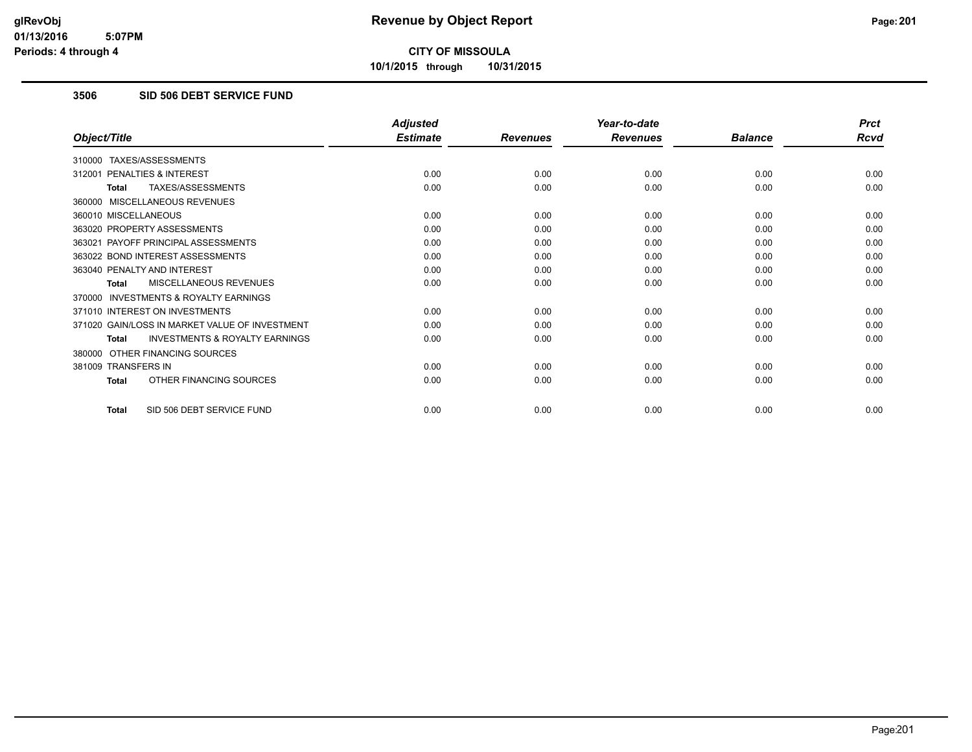**10/1/2015 through 10/31/2015**

## **3506 SID 506 DEBT SERVICE FUND**

|                                                           | <b>Adjusted</b> |                 | Year-to-date    |                | <b>Prct</b> |
|-----------------------------------------------------------|-----------------|-----------------|-----------------|----------------|-------------|
| Object/Title                                              | <b>Estimate</b> | <b>Revenues</b> | <b>Revenues</b> | <b>Balance</b> | <b>Rcvd</b> |
| 310000 TAXES/ASSESSMENTS                                  |                 |                 |                 |                |             |
| PENALTIES & INTEREST<br>312001                            | 0.00            | 0.00            | 0.00            | 0.00           | 0.00        |
| TAXES/ASSESSMENTS<br><b>Total</b>                         | 0.00            | 0.00            | 0.00            | 0.00           | 0.00        |
| 360000 MISCELLANEOUS REVENUES                             |                 |                 |                 |                |             |
| 360010 MISCELLANEOUS                                      | 0.00            | 0.00            | 0.00            | 0.00           | 0.00        |
| 363020 PROPERTY ASSESSMENTS                               | 0.00            | 0.00            | 0.00            | 0.00           | 0.00        |
| 363021 PAYOFF PRINCIPAL ASSESSMENTS                       | 0.00            | 0.00            | 0.00            | 0.00           | 0.00        |
| 363022 BOND INTEREST ASSESSMENTS                          | 0.00            | 0.00            | 0.00            | 0.00           | 0.00        |
| 363040 PENALTY AND INTEREST                               | 0.00            | 0.00            | 0.00            | 0.00           | 0.00        |
| MISCELLANEOUS REVENUES<br><b>Total</b>                    | 0.00            | 0.00            | 0.00            | 0.00           | 0.00        |
| <b>INVESTMENTS &amp; ROYALTY EARNINGS</b><br>370000       |                 |                 |                 |                |             |
| 371010 INTEREST ON INVESTMENTS                            | 0.00            | 0.00            | 0.00            | 0.00           | 0.00        |
| 371020 GAIN/LOSS IN MARKET VALUE OF INVESTMENT            | 0.00            | 0.00            | 0.00            | 0.00           | 0.00        |
| <b>INVESTMENTS &amp; ROYALTY EARNINGS</b><br><b>Total</b> | 0.00            | 0.00            | 0.00            | 0.00           | 0.00        |
| OTHER FINANCING SOURCES<br>380000                         |                 |                 |                 |                |             |
| 381009 TRANSFERS IN                                       | 0.00            | 0.00            | 0.00            | 0.00           | 0.00        |
| OTHER FINANCING SOURCES<br><b>Total</b>                   | 0.00            | 0.00            | 0.00            | 0.00           | 0.00        |
| SID 506 DEBT SERVICE FUND<br><b>Total</b>                 | 0.00            | 0.00            | 0.00            | 0.00           | 0.00        |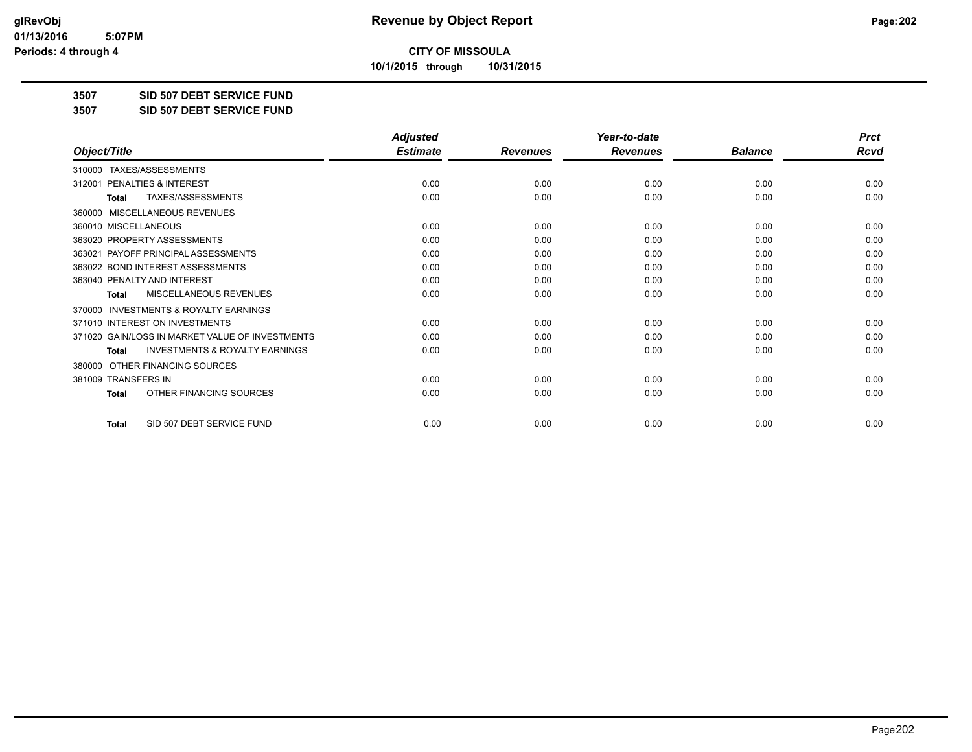**10/1/2015 through 10/31/2015**

#### **3507 SID 507 DEBT SERVICE FUND**

**3507 SID 507 DEBT SERVICE FUND**

|                                                           | <b>Adjusted</b> |                 | Year-to-date    |                | <b>Prct</b> |
|-----------------------------------------------------------|-----------------|-----------------|-----------------|----------------|-------------|
| Object/Title                                              | <b>Estimate</b> | <b>Revenues</b> | <b>Revenues</b> | <b>Balance</b> | <b>Rcvd</b> |
| TAXES/ASSESSMENTS<br>310000                               |                 |                 |                 |                |             |
| 312001 PENALTIES & INTEREST                               | 0.00            | 0.00            | 0.00            | 0.00           | 0.00        |
| TAXES/ASSESSMENTS<br><b>Total</b>                         | 0.00            | 0.00            | 0.00            | 0.00           | 0.00        |
| <b>MISCELLANEOUS REVENUES</b><br>360000                   |                 |                 |                 |                |             |
| 360010 MISCELLANEOUS                                      | 0.00            | 0.00            | 0.00            | 0.00           | 0.00        |
| 363020 PROPERTY ASSESSMENTS                               | 0.00            | 0.00            | 0.00            | 0.00           | 0.00        |
| 363021 PAYOFF PRINCIPAL ASSESSMENTS                       | 0.00            | 0.00            | 0.00            | 0.00           | 0.00        |
| 363022 BOND INTEREST ASSESSMENTS                          | 0.00            | 0.00            | 0.00            | 0.00           | 0.00        |
| 363040 PENALTY AND INTEREST                               | 0.00            | 0.00            | 0.00            | 0.00           | 0.00        |
| <b>MISCELLANEOUS REVENUES</b><br><b>Total</b>             | 0.00            | 0.00            | 0.00            | 0.00           | 0.00        |
| <b>INVESTMENTS &amp; ROYALTY EARNINGS</b><br>370000       |                 |                 |                 |                |             |
| 371010 INTEREST ON INVESTMENTS                            | 0.00            | 0.00            | 0.00            | 0.00           | 0.00        |
| 371020 GAIN/LOSS IN MARKET VALUE OF INVESTMENTS           | 0.00            | 0.00            | 0.00            | 0.00           | 0.00        |
| <b>INVESTMENTS &amp; ROYALTY EARNINGS</b><br><b>Total</b> | 0.00            | 0.00            | 0.00            | 0.00           | 0.00        |
| OTHER FINANCING SOURCES<br>380000                         |                 |                 |                 |                |             |
| 381009 TRANSFERS IN                                       | 0.00            | 0.00            | 0.00            | 0.00           | 0.00        |
| OTHER FINANCING SOURCES<br>Total                          | 0.00            | 0.00            | 0.00            | 0.00           | 0.00        |
| SID 507 DEBT SERVICE FUND<br><b>Total</b>                 | 0.00            | 0.00            | 0.00            | 0.00           | 0.00        |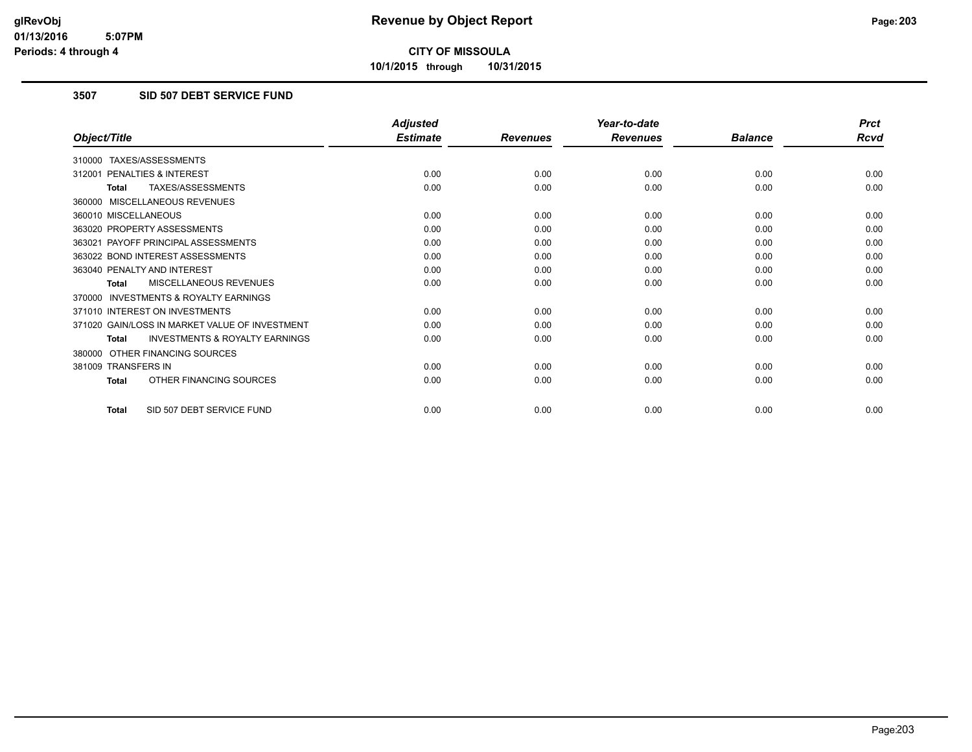**10/1/2015 through 10/31/2015**

## **3507 SID 507 DEBT SERVICE FUND**

|                                                           | <b>Adjusted</b> |                 | Year-to-date    |                | <b>Prct</b> |
|-----------------------------------------------------------|-----------------|-----------------|-----------------|----------------|-------------|
| Object/Title                                              | <b>Estimate</b> | <b>Revenues</b> | <b>Revenues</b> | <b>Balance</b> | <b>Rcvd</b> |
| 310000 TAXES/ASSESSMENTS                                  |                 |                 |                 |                |             |
| PENALTIES & INTEREST<br>312001                            | 0.00            | 0.00            | 0.00            | 0.00           | 0.00        |
| TAXES/ASSESSMENTS<br><b>Total</b>                         | 0.00            | 0.00            | 0.00            | 0.00           | 0.00        |
| 360000 MISCELLANEOUS REVENUES                             |                 |                 |                 |                |             |
| 360010 MISCELLANEOUS                                      | 0.00            | 0.00            | 0.00            | 0.00           | 0.00        |
| 363020 PROPERTY ASSESSMENTS                               | 0.00            | 0.00            | 0.00            | 0.00           | 0.00        |
| 363021 PAYOFF PRINCIPAL ASSESSMENTS                       | 0.00            | 0.00            | 0.00            | 0.00           | 0.00        |
| 363022 BOND INTEREST ASSESSMENTS                          | 0.00            | 0.00            | 0.00            | 0.00           | 0.00        |
| 363040 PENALTY AND INTEREST                               | 0.00            | 0.00            | 0.00            | 0.00           | 0.00        |
| MISCELLANEOUS REVENUES<br><b>Total</b>                    | 0.00            | 0.00            | 0.00            | 0.00           | 0.00        |
| <b>INVESTMENTS &amp; ROYALTY EARNINGS</b><br>370000       |                 |                 |                 |                |             |
| 371010 INTEREST ON INVESTMENTS                            | 0.00            | 0.00            | 0.00            | 0.00           | 0.00        |
| 371020 GAIN/LOSS IN MARKET VALUE OF INVESTMENT            | 0.00            | 0.00            | 0.00            | 0.00           | 0.00        |
| <b>INVESTMENTS &amp; ROYALTY EARNINGS</b><br><b>Total</b> | 0.00            | 0.00            | 0.00            | 0.00           | 0.00        |
| 380000 OTHER FINANCING SOURCES                            |                 |                 |                 |                |             |
| 381009 TRANSFERS IN                                       | 0.00            | 0.00            | 0.00            | 0.00           | 0.00        |
| OTHER FINANCING SOURCES<br><b>Total</b>                   | 0.00            | 0.00            | 0.00            | 0.00           | 0.00        |
| SID 507 DEBT SERVICE FUND<br><b>Total</b>                 | 0.00            | 0.00            | 0.00            | 0.00           | 0.00        |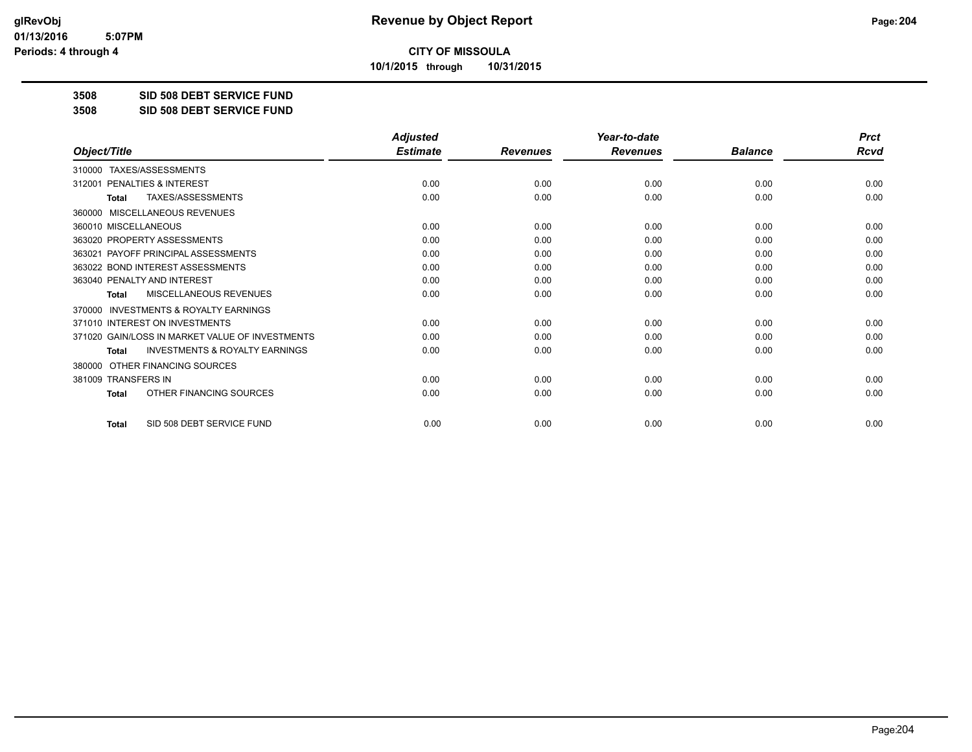**10/1/2015 through 10/31/2015**

**3508 SID 508 DEBT SERVICE FUND**

**3508 SID 508 DEBT SERVICE FUND**

|                                                           | <b>Adjusted</b> |                 | Year-to-date    |                | <b>Prct</b> |
|-----------------------------------------------------------|-----------------|-----------------|-----------------|----------------|-------------|
| Object/Title                                              | <b>Estimate</b> | <b>Revenues</b> | <b>Revenues</b> | <b>Balance</b> | <b>Rcvd</b> |
| 310000 TAXES/ASSESSMENTS                                  |                 |                 |                 |                |             |
| PENALTIES & INTEREST<br>312001                            | 0.00            | 0.00            | 0.00            | 0.00           | 0.00        |
| <b>TAXES/ASSESSMENTS</b><br><b>Total</b>                  | 0.00            | 0.00            | 0.00            | 0.00           | 0.00        |
| MISCELLANEOUS REVENUES<br>360000                          |                 |                 |                 |                |             |
| 360010 MISCELLANEOUS                                      | 0.00            | 0.00            | 0.00            | 0.00           | 0.00        |
| 363020 PROPERTY ASSESSMENTS                               | 0.00            | 0.00            | 0.00            | 0.00           | 0.00        |
| 363021 PAYOFF PRINCIPAL ASSESSMENTS                       | 0.00            | 0.00            | 0.00            | 0.00           | 0.00        |
| 363022 BOND INTEREST ASSESSMENTS                          | 0.00            | 0.00            | 0.00            | 0.00           | 0.00        |
| 363040 PENALTY AND INTEREST                               | 0.00            | 0.00            | 0.00            | 0.00           | 0.00        |
| MISCELLANEOUS REVENUES<br>Total                           | 0.00            | 0.00            | 0.00            | 0.00           | 0.00        |
| INVESTMENTS & ROYALTY EARNINGS<br>370000                  |                 |                 |                 |                |             |
| 371010 INTEREST ON INVESTMENTS                            | 0.00            | 0.00            | 0.00            | 0.00           | 0.00        |
| 371020 GAIN/LOSS IN MARKET VALUE OF INVESTMENTS           | 0.00            | 0.00            | 0.00            | 0.00           | 0.00        |
| <b>INVESTMENTS &amp; ROYALTY EARNINGS</b><br><b>Total</b> | 0.00            | 0.00            | 0.00            | 0.00           | 0.00        |
| OTHER FINANCING SOURCES<br>380000                         |                 |                 |                 |                |             |
| 381009 TRANSFERS IN                                       | 0.00            | 0.00            | 0.00            | 0.00           | 0.00        |
| OTHER FINANCING SOURCES<br><b>Total</b>                   | 0.00            | 0.00            | 0.00            | 0.00           | 0.00        |
| SID 508 DEBT SERVICE FUND<br><b>Total</b>                 | 0.00            | 0.00            | 0.00            | 0.00           | 0.00        |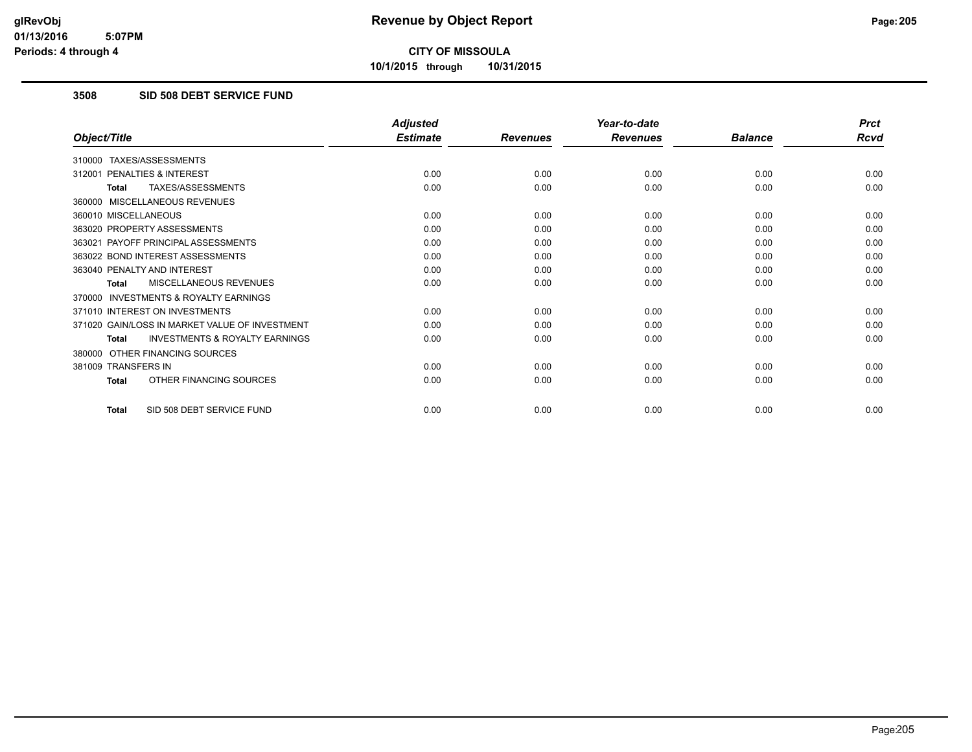**10/1/2015 through 10/31/2015**

## **3508 SID 508 DEBT SERVICE FUND**

|                                                           | <b>Adjusted</b> |                 | Year-to-date    |                | <b>Prct</b> |
|-----------------------------------------------------------|-----------------|-----------------|-----------------|----------------|-------------|
| Object/Title                                              | <b>Estimate</b> | <b>Revenues</b> | <b>Revenues</b> | <b>Balance</b> | <b>Rcvd</b> |
| 310000 TAXES/ASSESSMENTS                                  |                 |                 |                 |                |             |
| PENALTIES & INTEREST<br>312001                            | 0.00            | 0.00            | 0.00            | 0.00           | 0.00        |
| TAXES/ASSESSMENTS<br><b>Total</b>                         | 0.00            | 0.00            | 0.00            | 0.00           | 0.00        |
| 360000 MISCELLANEOUS REVENUES                             |                 |                 |                 |                |             |
| 360010 MISCELLANEOUS                                      | 0.00            | 0.00            | 0.00            | 0.00           | 0.00        |
| 363020 PROPERTY ASSESSMENTS                               | 0.00            | 0.00            | 0.00            | 0.00           | 0.00        |
| 363021 PAYOFF PRINCIPAL ASSESSMENTS                       | 0.00            | 0.00            | 0.00            | 0.00           | 0.00        |
| 363022 BOND INTEREST ASSESSMENTS                          | 0.00            | 0.00            | 0.00            | 0.00           | 0.00        |
| 363040 PENALTY AND INTEREST                               | 0.00            | 0.00            | 0.00            | 0.00           | 0.00        |
| MISCELLANEOUS REVENUES<br><b>Total</b>                    | 0.00            | 0.00            | 0.00            | 0.00           | 0.00        |
| <b>INVESTMENTS &amp; ROYALTY EARNINGS</b><br>370000       |                 |                 |                 |                |             |
| 371010 INTEREST ON INVESTMENTS                            | 0.00            | 0.00            | 0.00            | 0.00           | 0.00        |
| 371020 GAIN/LOSS IN MARKET VALUE OF INVESTMENT            | 0.00            | 0.00            | 0.00            | 0.00           | 0.00        |
| <b>INVESTMENTS &amp; ROYALTY EARNINGS</b><br><b>Total</b> | 0.00            | 0.00            | 0.00            | 0.00           | 0.00        |
| 380000 OTHER FINANCING SOURCES                            |                 |                 |                 |                |             |
| 381009 TRANSFERS IN                                       | 0.00            | 0.00            | 0.00            | 0.00           | 0.00        |
| OTHER FINANCING SOURCES<br><b>Total</b>                   | 0.00            | 0.00            | 0.00            | 0.00           | 0.00        |
| SID 508 DEBT SERVICE FUND<br><b>Total</b>                 | 0.00            | 0.00            | 0.00            | 0.00           | 0.00        |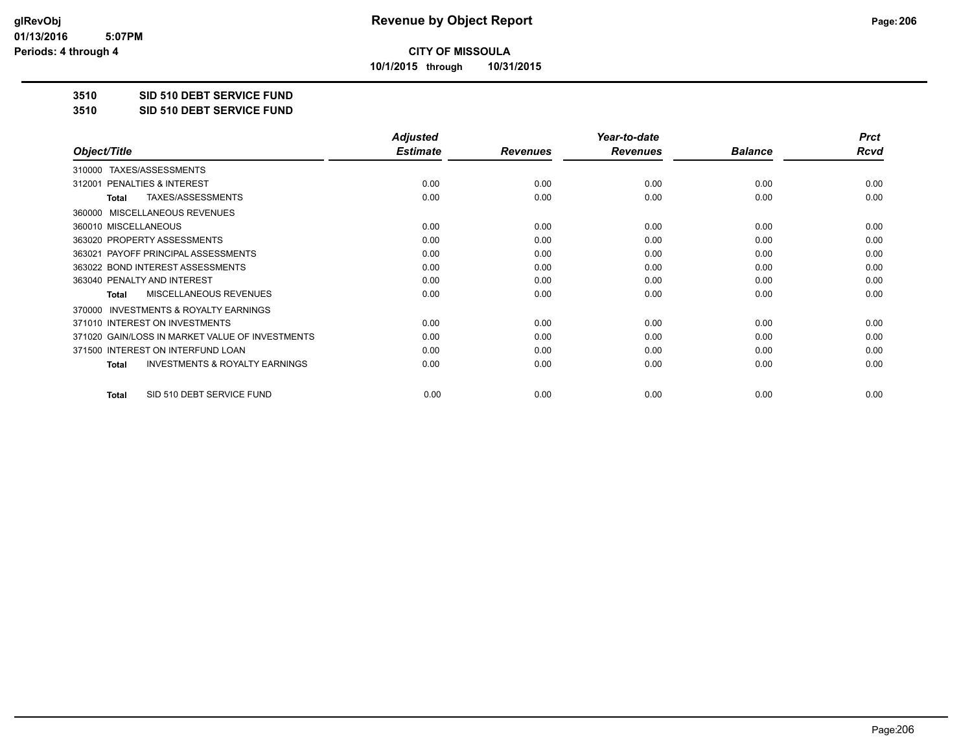**10/1/2015 through 10/31/2015**

#### **3510 SID 510 DEBT SERVICE FUND**

**3510 SID 510 DEBT SERVICE FUND**

|                                                           | <b>Adjusted</b> |                 | Year-to-date    |                | <b>Prct</b> |
|-----------------------------------------------------------|-----------------|-----------------|-----------------|----------------|-------------|
| Object/Title                                              | <b>Estimate</b> | <b>Revenues</b> | <b>Revenues</b> | <b>Balance</b> | <b>Rcvd</b> |
| TAXES/ASSESSMENTS<br>310000                               |                 |                 |                 |                |             |
| 312001 PENALTIES & INTEREST                               | 0.00            | 0.00            | 0.00            | 0.00           | 0.00        |
| TAXES/ASSESSMENTS<br>Total                                | 0.00            | 0.00            | 0.00            | 0.00           | 0.00        |
| <b>MISCELLANEOUS REVENUES</b><br>360000                   |                 |                 |                 |                |             |
| 360010 MISCELLANEOUS                                      | 0.00            | 0.00            | 0.00            | 0.00           | 0.00        |
| 363020 PROPERTY ASSESSMENTS                               | 0.00            | 0.00            | 0.00            | 0.00           | 0.00        |
| 363021 PAYOFF PRINCIPAL ASSESSMENTS                       | 0.00            | 0.00            | 0.00            | 0.00           | 0.00        |
| 363022 BOND INTEREST ASSESSMENTS                          | 0.00            | 0.00            | 0.00            | 0.00           | 0.00        |
| 363040 PENALTY AND INTEREST                               | 0.00            | 0.00            | 0.00            | 0.00           | 0.00        |
| MISCELLANEOUS REVENUES<br><b>Total</b>                    | 0.00            | 0.00            | 0.00            | 0.00           | 0.00        |
| <b>INVESTMENTS &amp; ROYALTY EARNINGS</b><br>370000       |                 |                 |                 |                |             |
| 371010 INTEREST ON INVESTMENTS                            | 0.00            | 0.00            | 0.00            | 0.00           | 0.00        |
| 371020 GAIN/LOSS IN MARKET VALUE OF INVESTMENTS           | 0.00            | 0.00            | 0.00            | 0.00           | 0.00        |
| 371500 INTEREST ON INTERFUND LOAN                         | 0.00            | 0.00            | 0.00            | 0.00           | 0.00        |
| <b>INVESTMENTS &amp; ROYALTY EARNINGS</b><br><b>Total</b> | 0.00            | 0.00            | 0.00            | 0.00           | 0.00        |
| SID 510 DEBT SERVICE FUND<br>Total                        | 0.00            | 0.00            | 0.00            | 0.00           | 0.00        |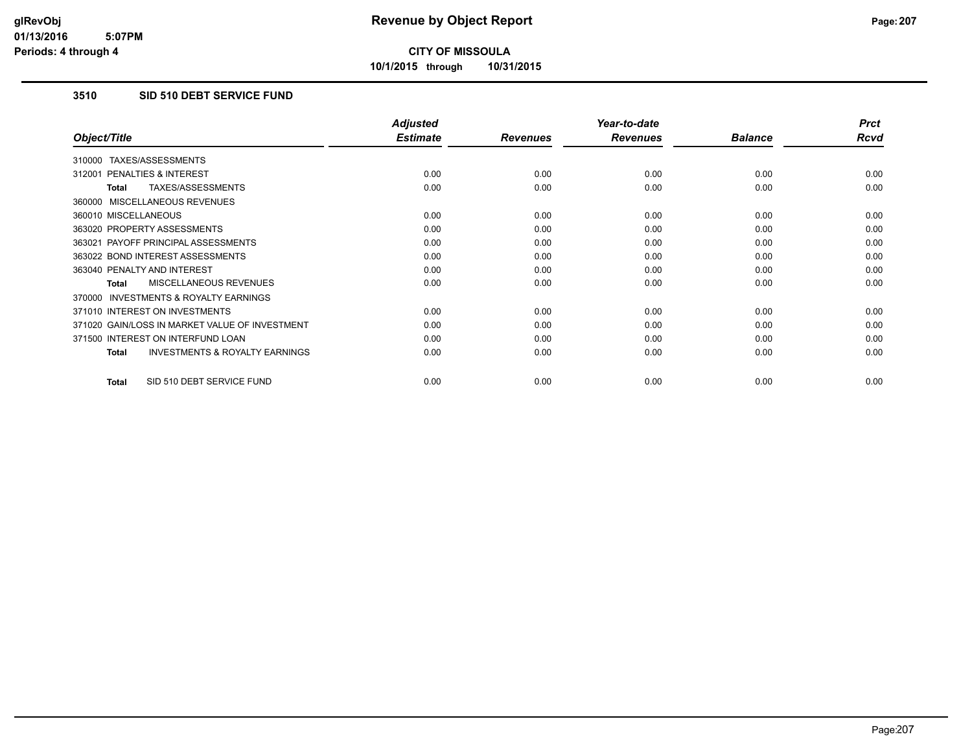**10/1/2015 through 10/31/2015**

## **3510 SID 510 DEBT SERVICE FUND**

|                                                    | <b>Adjusted</b> |                 | Year-to-date    |                | <b>Prct</b> |
|----------------------------------------------------|-----------------|-----------------|-----------------|----------------|-------------|
| Object/Title                                       | <b>Estimate</b> | <b>Revenues</b> | <b>Revenues</b> | <b>Balance</b> | Rcvd        |
| TAXES/ASSESSMENTS<br>310000                        |                 |                 |                 |                |             |
| 312001 PENALTIES & INTEREST                        | 0.00            | 0.00            | 0.00            | 0.00           | 0.00        |
| TAXES/ASSESSMENTS<br>Total                         | 0.00            | 0.00            | 0.00            | 0.00           | 0.00        |
| 360000 MISCELLANEOUS REVENUES                      |                 |                 |                 |                |             |
| 360010 MISCELLANEOUS                               | 0.00            | 0.00            | 0.00            | 0.00           | 0.00        |
| 363020 PROPERTY ASSESSMENTS                        | 0.00            | 0.00            | 0.00            | 0.00           | 0.00        |
| 363021 PAYOFF PRINCIPAL ASSESSMENTS                | 0.00            | 0.00            | 0.00            | 0.00           | 0.00        |
| 363022 BOND INTEREST ASSESSMENTS                   | 0.00            | 0.00            | 0.00            | 0.00           | 0.00        |
| 363040 PENALTY AND INTEREST                        | 0.00            | 0.00            | 0.00            | 0.00           | 0.00        |
| MISCELLANEOUS REVENUES<br>Total                    | 0.00            | 0.00            | 0.00            | 0.00           | 0.00        |
| 370000 INVESTMENTS & ROYALTY EARNINGS              |                 |                 |                 |                |             |
| 371010 INTEREST ON INVESTMENTS                     | 0.00            | 0.00            | 0.00            | 0.00           | 0.00        |
| 371020 GAIN/LOSS IN MARKET VALUE OF INVESTMENT     | 0.00            | 0.00            | 0.00            | 0.00           | 0.00        |
| 371500 INTEREST ON INTERFUND LOAN                  | 0.00            | 0.00            | 0.00            | 0.00           | 0.00        |
| <b>INVESTMENTS &amp; ROYALTY EARNINGS</b><br>Total | 0.00            | 0.00            | 0.00            | 0.00           | 0.00        |
| SID 510 DEBT SERVICE FUND<br>Total                 | 0.00            | 0.00            | 0.00            | 0.00           | 0.00        |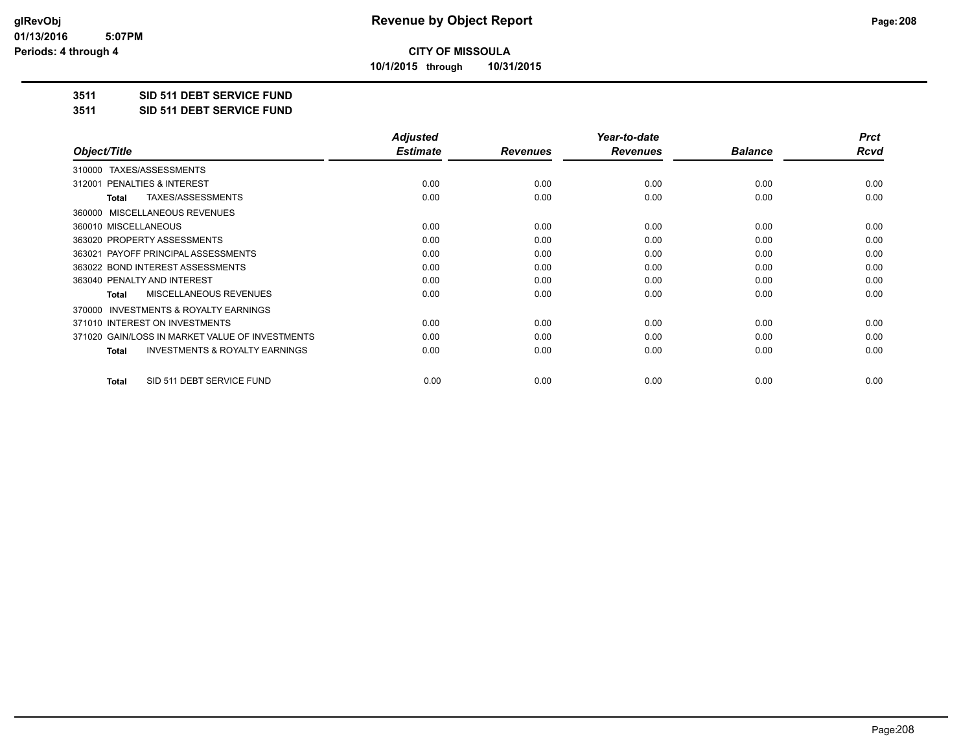**10/1/2015 through 10/31/2015**

#### **3511 SID 511 DEBT SERVICE FUND**

**3511 SID 511 DEBT SERVICE FUND**

|                                                           | <b>Adjusted</b> |                 | Year-to-date    |                | <b>Prct</b> |
|-----------------------------------------------------------|-----------------|-----------------|-----------------|----------------|-------------|
| Object/Title                                              | <b>Estimate</b> | <b>Revenues</b> | <b>Revenues</b> | <b>Balance</b> | Rcvd        |
| TAXES/ASSESSMENTS<br>310000                               |                 |                 |                 |                |             |
| 312001 PENALTIES & INTEREST                               | 0.00            | 0.00            | 0.00            | 0.00           | 0.00        |
| TAXES/ASSESSMENTS<br>Total                                | 0.00            | 0.00            | 0.00            | 0.00           | 0.00        |
| MISCELLANEOUS REVENUES<br>360000                          |                 |                 |                 |                |             |
| 360010 MISCELLANEOUS                                      | 0.00            | 0.00            | 0.00            | 0.00           | 0.00        |
| 363020 PROPERTY ASSESSMENTS                               | 0.00            | 0.00            | 0.00            | 0.00           | 0.00        |
| 363021 PAYOFF PRINCIPAL ASSESSMENTS                       | 0.00            | 0.00            | 0.00            | 0.00           | 0.00        |
| 363022 BOND INTEREST ASSESSMENTS                          | 0.00            | 0.00            | 0.00            | 0.00           | 0.00        |
| 363040 PENALTY AND INTEREST                               | 0.00            | 0.00            | 0.00            | 0.00           | 0.00        |
| MISCELLANEOUS REVENUES<br><b>Total</b>                    | 0.00            | 0.00            | 0.00            | 0.00           | 0.00        |
| <b>INVESTMENTS &amp; ROYALTY EARNINGS</b><br>370000       |                 |                 |                 |                |             |
| 371010 INTEREST ON INVESTMENTS                            | 0.00            | 0.00            | 0.00            | 0.00           | 0.00        |
| 371020 GAIN/LOSS IN MARKET VALUE OF INVESTMENTS           | 0.00            | 0.00            | 0.00            | 0.00           | 0.00        |
| <b>INVESTMENTS &amp; ROYALTY EARNINGS</b><br><b>Total</b> | 0.00            | 0.00            | 0.00            | 0.00           | 0.00        |
| SID 511 DEBT SERVICE FUND<br>Total                        | 0.00            | 0.00            | 0.00            | 0.00           | 0.00        |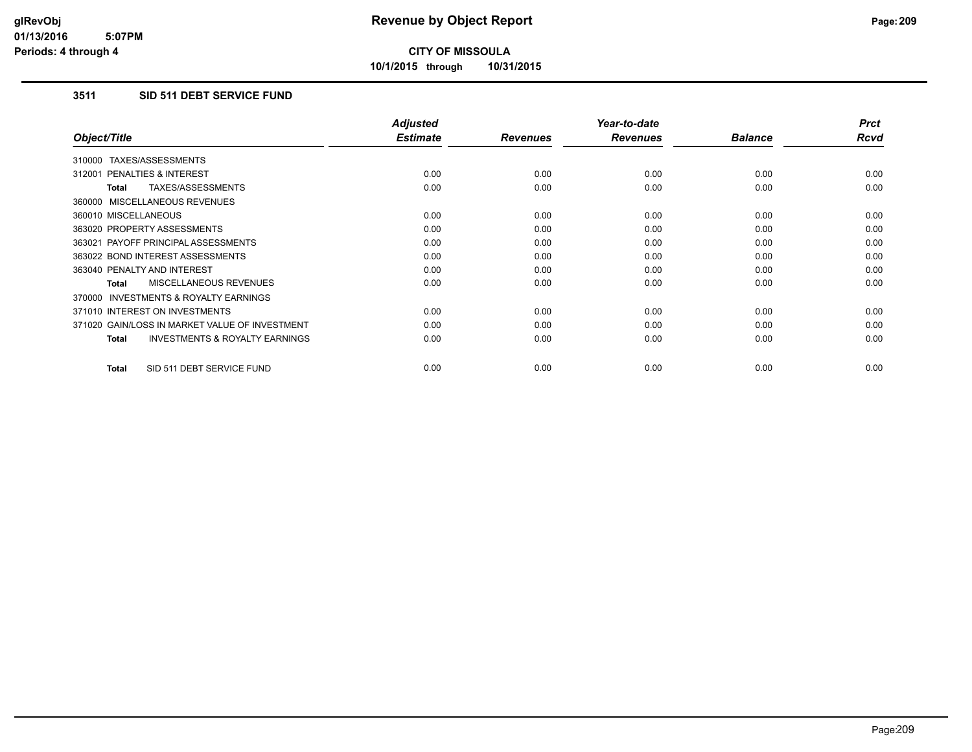**10/1/2015 through 10/31/2015**

## **3511 SID 511 DEBT SERVICE FUND**

|                                                     | <b>Adjusted</b> |                 | Year-to-date    |                | <b>Prct</b> |
|-----------------------------------------------------|-----------------|-----------------|-----------------|----------------|-------------|
| Object/Title                                        | <b>Estimate</b> | <b>Revenues</b> | <b>Revenues</b> | <b>Balance</b> | <b>Rcvd</b> |
| 310000 TAXES/ASSESSMENTS                            |                 |                 |                 |                |             |
| 312001 PENALTIES & INTEREST                         | 0.00            | 0.00            | 0.00            | 0.00           | 0.00        |
| TAXES/ASSESSMENTS<br><b>Total</b>                   | 0.00            | 0.00            | 0.00            | 0.00           | 0.00        |
| 360000 MISCELLANEOUS REVENUES                       |                 |                 |                 |                |             |
| 360010 MISCELLANEOUS                                | 0.00            | 0.00            | 0.00            | 0.00           | 0.00        |
| 363020 PROPERTY ASSESSMENTS                         | 0.00            | 0.00            | 0.00            | 0.00           | 0.00        |
| 363021 PAYOFF PRINCIPAL ASSESSMENTS                 | 0.00            | 0.00            | 0.00            | 0.00           | 0.00        |
| 363022 BOND INTEREST ASSESSMENTS                    | 0.00            | 0.00            | 0.00            | 0.00           | 0.00        |
| 363040 PENALTY AND INTEREST                         | 0.00            | 0.00            | 0.00            | 0.00           | 0.00        |
| <b>MISCELLANEOUS REVENUES</b><br>Total              | 0.00            | 0.00            | 0.00            | 0.00           | 0.00        |
| <b>INVESTMENTS &amp; ROYALTY EARNINGS</b><br>370000 |                 |                 |                 |                |             |
| 371010 INTEREST ON INVESTMENTS                      | 0.00            | 0.00            | 0.00            | 0.00           | 0.00        |
| 371020 GAIN/LOSS IN MARKET VALUE OF INVESTMENT      | 0.00            | 0.00            | 0.00            | 0.00           | 0.00        |
| <b>INVESTMENTS &amp; ROYALTY EARNINGS</b><br>Total  | 0.00            | 0.00            | 0.00            | 0.00           | 0.00        |
| SID 511 DEBT SERVICE FUND<br><b>Total</b>           | 0.00            | 0.00            | 0.00            | 0.00           | 0.00        |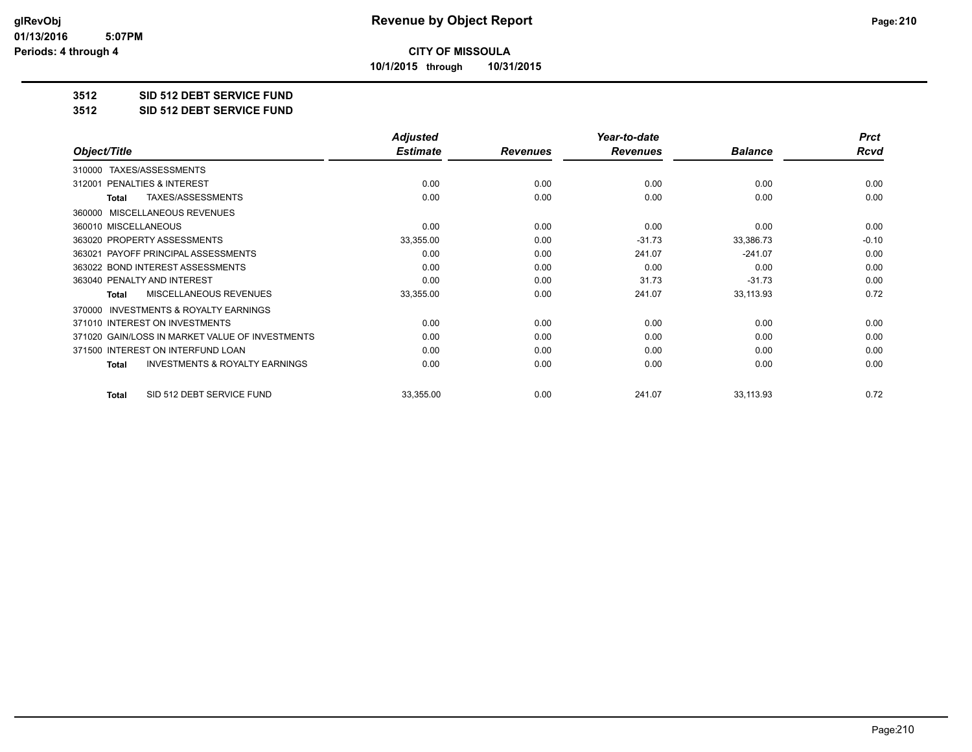**10/1/2015 through 10/31/2015**

#### **3512 SID 512 DEBT SERVICE FUND**

**3512 SID 512 DEBT SERVICE FUND**

|                                                           | <b>Adjusted</b> |                 | Year-to-date    |                | <b>Prct</b> |
|-----------------------------------------------------------|-----------------|-----------------|-----------------|----------------|-------------|
| Object/Title                                              | <b>Estimate</b> | <b>Revenues</b> | <b>Revenues</b> | <b>Balance</b> | Rcvd        |
| TAXES/ASSESSMENTS<br>310000                               |                 |                 |                 |                |             |
| 312001 PENALTIES & INTEREST                               | 0.00            | 0.00            | 0.00            | 0.00           | 0.00        |
| TAXES/ASSESSMENTS<br><b>Total</b>                         | 0.00            | 0.00            | 0.00            | 0.00           | 0.00        |
| MISCELLANEOUS REVENUES<br>360000                          |                 |                 |                 |                |             |
| 360010 MISCELLANEOUS                                      | 0.00            | 0.00            | 0.00            | 0.00           | 0.00        |
| 363020 PROPERTY ASSESSMENTS                               | 33,355.00       | 0.00            | $-31.73$        | 33,386.73      | $-0.10$     |
| 363021 PAYOFF PRINCIPAL ASSESSMENTS                       | 0.00            | 0.00            | 241.07          | $-241.07$      | 0.00        |
| 363022 BOND INTEREST ASSESSMENTS                          | 0.00            | 0.00            | 0.00            | 0.00           | 0.00        |
| 363040 PENALTY AND INTEREST                               | 0.00            | 0.00            | 31.73           | $-31.73$       | 0.00        |
| MISCELLANEOUS REVENUES<br><b>Total</b>                    | 33,355.00       | 0.00            | 241.07          | 33,113.93      | 0.72        |
| <b>INVESTMENTS &amp; ROYALTY EARNINGS</b><br>370000       |                 |                 |                 |                |             |
| 371010 INTEREST ON INVESTMENTS                            | 0.00            | 0.00            | 0.00            | 0.00           | 0.00        |
| 371020 GAIN/LOSS IN MARKET VALUE OF INVESTMENTS           | 0.00            | 0.00            | 0.00            | 0.00           | 0.00        |
| 371500 INTEREST ON INTERFUND LOAN                         | 0.00            | 0.00            | 0.00            | 0.00           | 0.00        |
| <b>INVESTMENTS &amp; ROYALTY EARNINGS</b><br><b>Total</b> | 0.00            | 0.00            | 0.00            | 0.00           | 0.00        |
| SID 512 DEBT SERVICE FUND<br><b>Total</b>                 | 33,355.00       | 0.00            | 241.07          | 33,113.93      | 0.72        |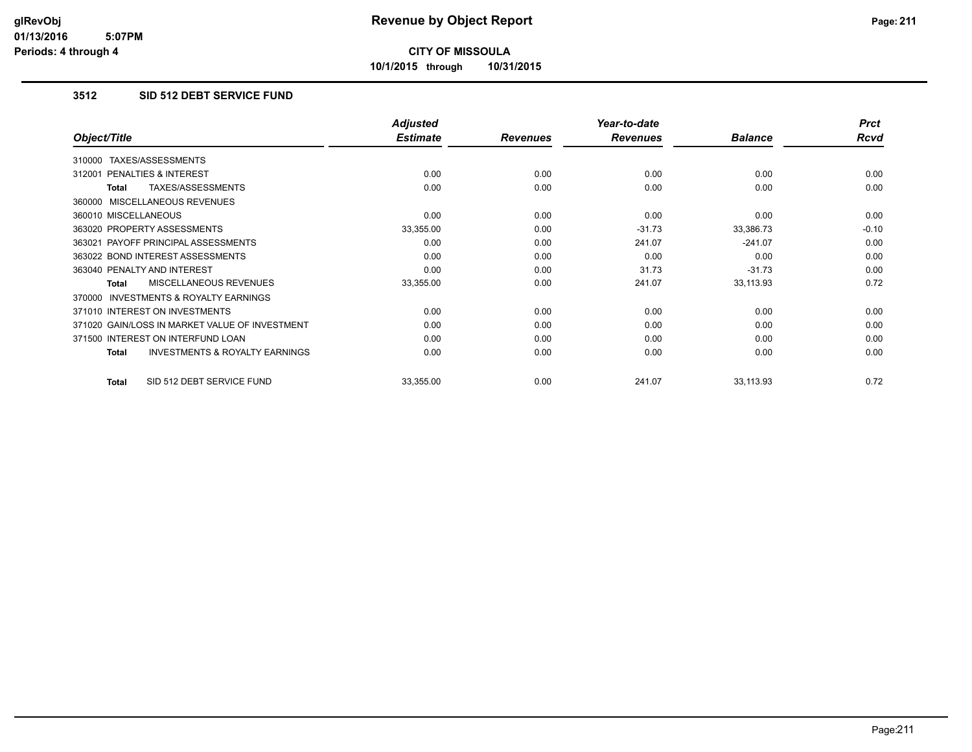**10/1/2015 through 10/31/2015**

## **3512 SID 512 DEBT SERVICE FUND**

|                                                           | <b>Adjusted</b> |                 | Year-to-date    |                | <b>Prct</b> |
|-----------------------------------------------------------|-----------------|-----------------|-----------------|----------------|-------------|
| Object/Title                                              | <b>Estimate</b> | <b>Revenues</b> | <b>Revenues</b> | <b>Balance</b> | Rcvd        |
| TAXES/ASSESSMENTS<br>310000                               |                 |                 |                 |                |             |
| <b>PENALTIES &amp; INTEREST</b><br>312001                 | 0.00            | 0.00            | 0.00            | 0.00           | 0.00        |
| TAXES/ASSESSMENTS<br>Total                                | 0.00            | 0.00            | 0.00            | 0.00           | 0.00        |
| 360000 MISCELLANEOUS REVENUES                             |                 |                 |                 |                |             |
| 360010 MISCELLANEOUS                                      | 0.00            | 0.00            | 0.00            | 0.00           | 0.00        |
| 363020 PROPERTY ASSESSMENTS                               | 33,355.00       | 0.00            | $-31.73$        | 33,386.73      | $-0.10$     |
| 363021 PAYOFF PRINCIPAL ASSESSMENTS                       | 0.00            | 0.00            | 241.07          | $-241.07$      | 0.00        |
| 363022 BOND INTEREST ASSESSMENTS                          | 0.00            | 0.00            | 0.00            | 0.00           | 0.00        |
| 363040 PENALTY AND INTEREST                               | 0.00            | 0.00            | 31.73           | $-31.73$       | 0.00        |
| <b>MISCELLANEOUS REVENUES</b><br><b>Total</b>             | 33,355.00       | 0.00            | 241.07          | 33,113.93      | 0.72        |
| <b>INVESTMENTS &amp; ROYALTY EARNINGS</b><br>370000       |                 |                 |                 |                |             |
| 371010 INTEREST ON INVESTMENTS                            | 0.00            | 0.00            | 0.00            | 0.00           | 0.00        |
| 371020 GAIN/LOSS IN MARKET VALUE OF INVESTMENT            | 0.00            | 0.00            | 0.00            | 0.00           | 0.00        |
| 371500 INTEREST ON INTERFUND LOAN                         | 0.00            | 0.00            | 0.00            | 0.00           | 0.00        |
| <b>INVESTMENTS &amp; ROYALTY EARNINGS</b><br><b>Total</b> | 0.00            | 0.00            | 0.00            | 0.00           | 0.00        |
| SID 512 DEBT SERVICE FUND<br><b>Total</b>                 | 33,355.00       | 0.00            | 241.07          | 33,113.93      | 0.72        |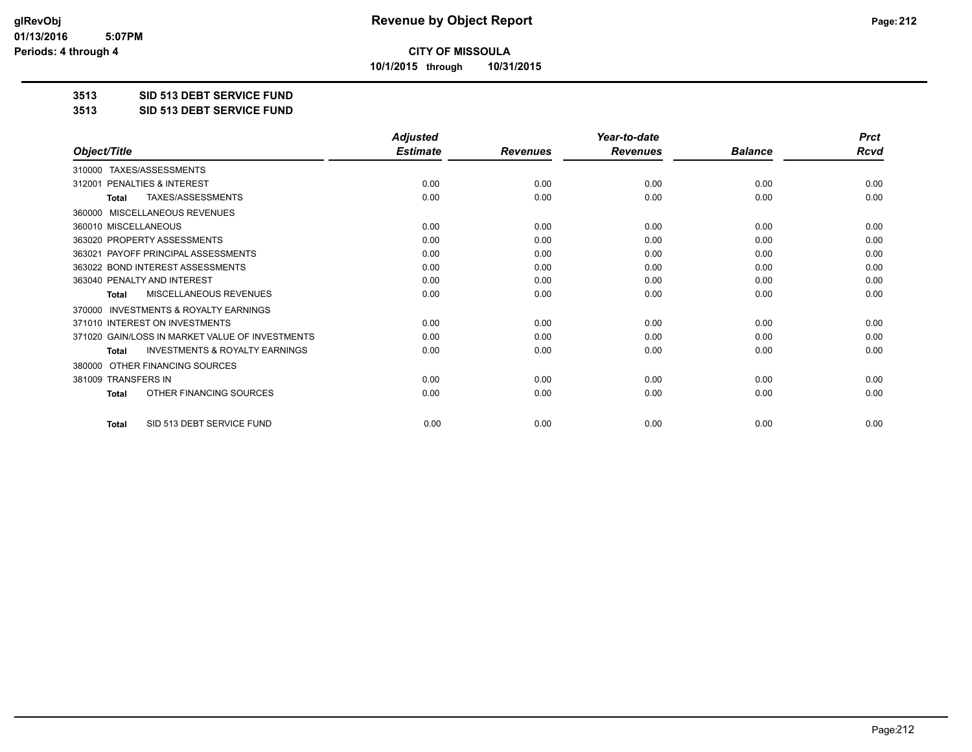**10/1/2015 through 10/31/2015**

#### **3513 SID 513 DEBT SERVICE FUND**

**3513 SID 513 DEBT SERVICE FUND**

|                                                           | <b>Adjusted</b> |                 | Year-to-date    |                | <b>Prct</b> |
|-----------------------------------------------------------|-----------------|-----------------|-----------------|----------------|-------------|
| Object/Title                                              | <b>Estimate</b> | <b>Revenues</b> | <b>Revenues</b> | <b>Balance</b> | <b>Rcvd</b> |
| TAXES/ASSESSMENTS<br>310000                               |                 |                 |                 |                |             |
| 312001 PENALTIES & INTEREST                               | 0.00            | 0.00            | 0.00            | 0.00           | 0.00        |
| TAXES/ASSESSMENTS<br><b>Total</b>                         | 0.00            | 0.00            | 0.00            | 0.00           | 0.00        |
| <b>MISCELLANEOUS REVENUES</b><br>360000                   |                 |                 |                 |                |             |
| 360010 MISCELLANEOUS                                      | 0.00            | 0.00            | 0.00            | 0.00           | 0.00        |
| 363020 PROPERTY ASSESSMENTS                               | 0.00            | 0.00            | 0.00            | 0.00           | 0.00        |
| 363021 PAYOFF PRINCIPAL ASSESSMENTS                       | 0.00            | 0.00            | 0.00            | 0.00           | 0.00        |
| 363022 BOND INTEREST ASSESSMENTS                          | 0.00            | 0.00            | 0.00            | 0.00           | 0.00        |
| 363040 PENALTY AND INTEREST                               | 0.00            | 0.00            | 0.00            | 0.00           | 0.00        |
| <b>MISCELLANEOUS REVENUES</b><br><b>Total</b>             | 0.00            | 0.00            | 0.00            | 0.00           | 0.00        |
| <b>INVESTMENTS &amp; ROYALTY EARNINGS</b><br>370000       |                 |                 |                 |                |             |
| 371010 INTEREST ON INVESTMENTS                            | 0.00            | 0.00            | 0.00            | 0.00           | 0.00        |
| 371020 GAIN/LOSS IN MARKET VALUE OF INVESTMENTS           | 0.00            | 0.00            | 0.00            | 0.00           | 0.00        |
| <b>INVESTMENTS &amp; ROYALTY EARNINGS</b><br><b>Total</b> | 0.00            | 0.00            | 0.00            | 0.00           | 0.00        |
| OTHER FINANCING SOURCES<br>380000                         |                 |                 |                 |                |             |
| 381009 TRANSFERS IN                                       | 0.00            | 0.00            | 0.00            | 0.00           | 0.00        |
| OTHER FINANCING SOURCES<br>Total                          | 0.00            | 0.00            | 0.00            | 0.00           | 0.00        |
| SID 513 DEBT SERVICE FUND<br><b>Total</b>                 | 0.00            | 0.00            | 0.00            | 0.00           | 0.00        |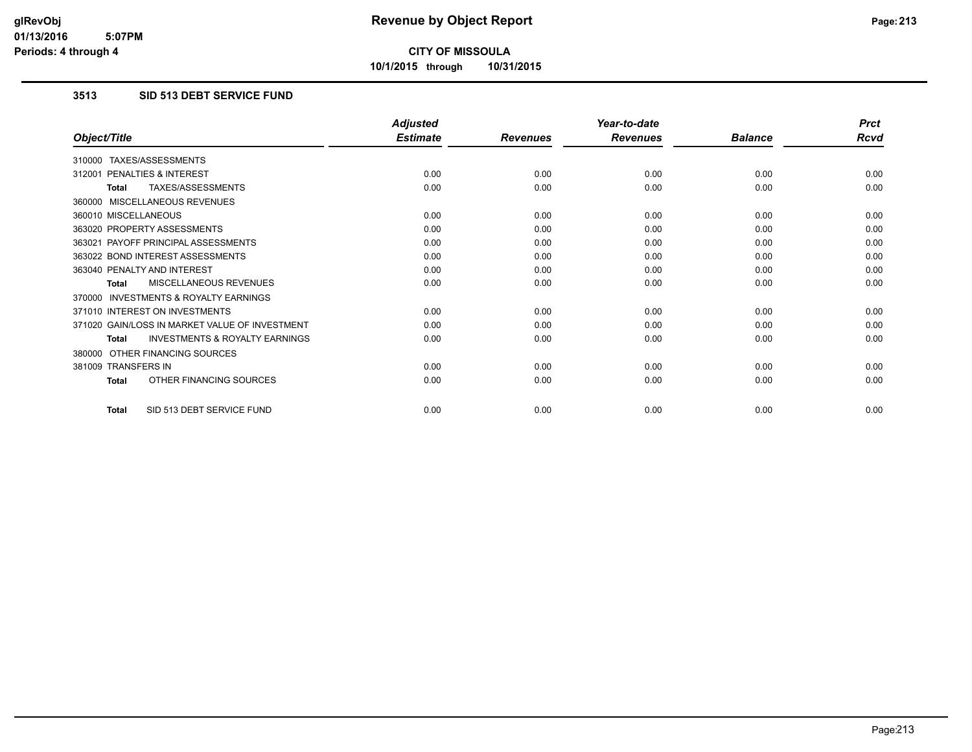**10/1/2015 through 10/31/2015**

## **3513 SID 513 DEBT SERVICE FUND**

|                                                           | <b>Adjusted</b> |                 | Year-to-date    |                | <b>Prct</b> |
|-----------------------------------------------------------|-----------------|-----------------|-----------------|----------------|-------------|
| Object/Title                                              | <b>Estimate</b> | <b>Revenues</b> | <b>Revenues</b> | <b>Balance</b> | <b>Rcvd</b> |
| 310000 TAXES/ASSESSMENTS                                  |                 |                 |                 |                |             |
| PENALTIES & INTEREST<br>312001                            | 0.00            | 0.00            | 0.00            | 0.00           | 0.00        |
| TAXES/ASSESSMENTS<br><b>Total</b>                         | 0.00            | 0.00            | 0.00            | 0.00           | 0.00        |
| 360000 MISCELLANEOUS REVENUES                             |                 |                 |                 |                |             |
| 360010 MISCELLANEOUS                                      | 0.00            | 0.00            | 0.00            | 0.00           | 0.00        |
| 363020 PROPERTY ASSESSMENTS                               | 0.00            | 0.00            | 0.00            | 0.00           | 0.00        |
| 363021 PAYOFF PRINCIPAL ASSESSMENTS                       | 0.00            | 0.00            | 0.00            | 0.00           | 0.00        |
| 363022 BOND INTEREST ASSESSMENTS                          | 0.00            | 0.00            | 0.00            | 0.00           | 0.00        |
| 363040 PENALTY AND INTEREST                               | 0.00            | 0.00            | 0.00            | 0.00           | 0.00        |
| MISCELLANEOUS REVENUES<br><b>Total</b>                    | 0.00            | 0.00            | 0.00            | 0.00           | 0.00        |
| <b>INVESTMENTS &amp; ROYALTY EARNINGS</b><br>370000       |                 |                 |                 |                |             |
| 371010 INTEREST ON INVESTMENTS                            | 0.00            | 0.00            | 0.00            | 0.00           | 0.00        |
| 371020 GAIN/LOSS IN MARKET VALUE OF INVESTMENT            | 0.00            | 0.00            | 0.00            | 0.00           | 0.00        |
| <b>INVESTMENTS &amp; ROYALTY EARNINGS</b><br><b>Total</b> | 0.00            | 0.00            | 0.00            | 0.00           | 0.00        |
| 380000 OTHER FINANCING SOURCES                            |                 |                 |                 |                |             |
| 381009 TRANSFERS IN                                       | 0.00            | 0.00            | 0.00            | 0.00           | 0.00        |
| OTHER FINANCING SOURCES<br><b>Total</b>                   | 0.00            | 0.00            | 0.00            | 0.00           | 0.00        |
| SID 513 DEBT SERVICE FUND<br><b>Total</b>                 | 0.00            | 0.00            | 0.00            | 0.00           | 0.00        |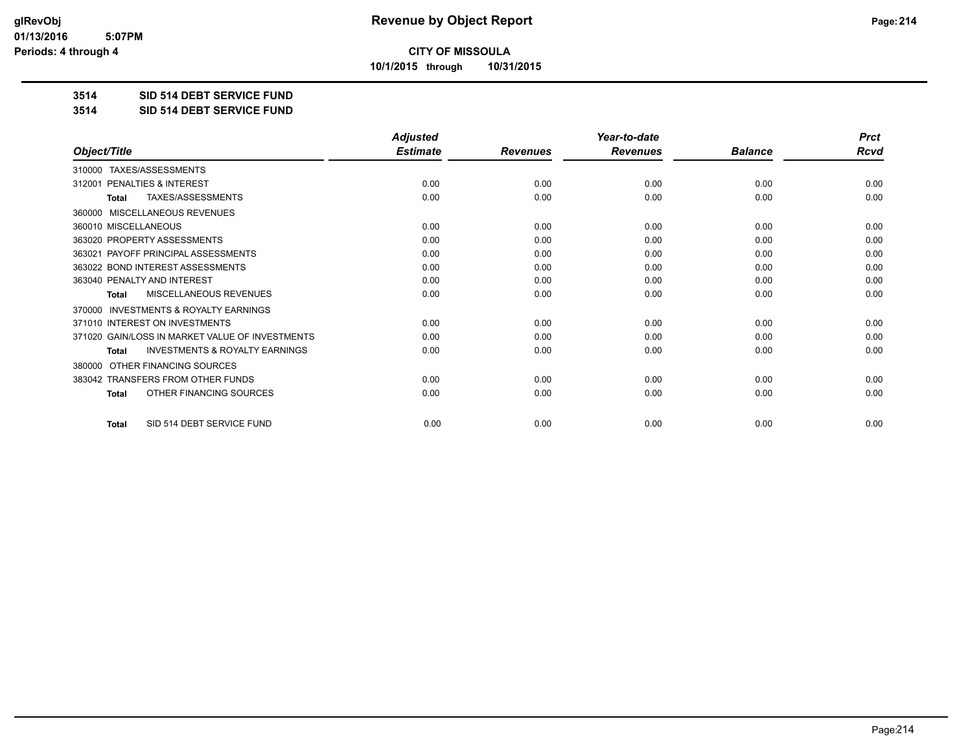**10/1/2015 through 10/31/2015**

#### **3514 SID 514 DEBT SERVICE FUND**

**3514 SID 514 DEBT SERVICE FUND**

|                                                           | <b>Adjusted</b> |                 | Year-to-date    |                | <b>Prct</b> |
|-----------------------------------------------------------|-----------------|-----------------|-----------------|----------------|-------------|
| Object/Title                                              | <b>Estimate</b> | <b>Revenues</b> | <b>Revenues</b> | <b>Balance</b> | <b>Rcvd</b> |
| 310000 TAXES/ASSESSMENTS                                  |                 |                 |                 |                |             |
| PENALTIES & INTEREST<br>312001                            | 0.00            | 0.00            | 0.00            | 0.00           | 0.00        |
| <b>TAXES/ASSESSMENTS</b><br><b>Total</b>                  | 0.00            | 0.00            | 0.00            | 0.00           | 0.00        |
| <b>MISCELLANEOUS REVENUES</b><br>360000                   |                 |                 |                 |                |             |
| 360010 MISCELLANEOUS                                      | 0.00            | 0.00            | 0.00            | 0.00           | 0.00        |
| 363020 PROPERTY ASSESSMENTS                               | 0.00            | 0.00            | 0.00            | 0.00           | 0.00        |
| 363021 PAYOFF PRINCIPAL ASSESSMENTS                       | 0.00            | 0.00            | 0.00            | 0.00           | 0.00        |
| 363022 BOND INTEREST ASSESSMENTS                          | 0.00            | 0.00            | 0.00            | 0.00           | 0.00        |
| 363040 PENALTY AND INTEREST                               | 0.00            | 0.00            | 0.00            | 0.00           | 0.00        |
| MISCELLANEOUS REVENUES<br>Total                           | 0.00            | 0.00            | 0.00            | 0.00           | 0.00        |
| INVESTMENTS & ROYALTY EARNINGS<br>370000                  |                 |                 |                 |                |             |
| 371010 INTEREST ON INVESTMENTS                            | 0.00            | 0.00            | 0.00            | 0.00           | 0.00        |
| 371020 GAIN/LOSS IN MARKET VALUE OF INVESTMENTS           | 0.00            | 0.00            | 0.00            | 0.00           | 0.00        |
| <b>INVESTMENTS &amp; ROYALTY EARNINGS</b><br><b>Total</b> | 0.00            | 0.00            | 0.00            | 0.00           | 0.00        |
| OTHER FINANCING SOURCES<br>380000                         |                 |                 |                 |                |             |
| 383042 TRANSFERS FROM OTHER FUNDS                         | 0.00            | 0.00            | 0.00            | 0.00           | 0.00        |
| OTHER FINANCING SOURCES<br><b>Total</b>                   | 0.00            | 0.00            | 0.00            | 0.00           | 0.00        |
| SID 514 DEBT SERVICE FUND<br><b>Total</b>                 | 0.00            | 0.00            | 0.00            | 0.00           | 0.00        |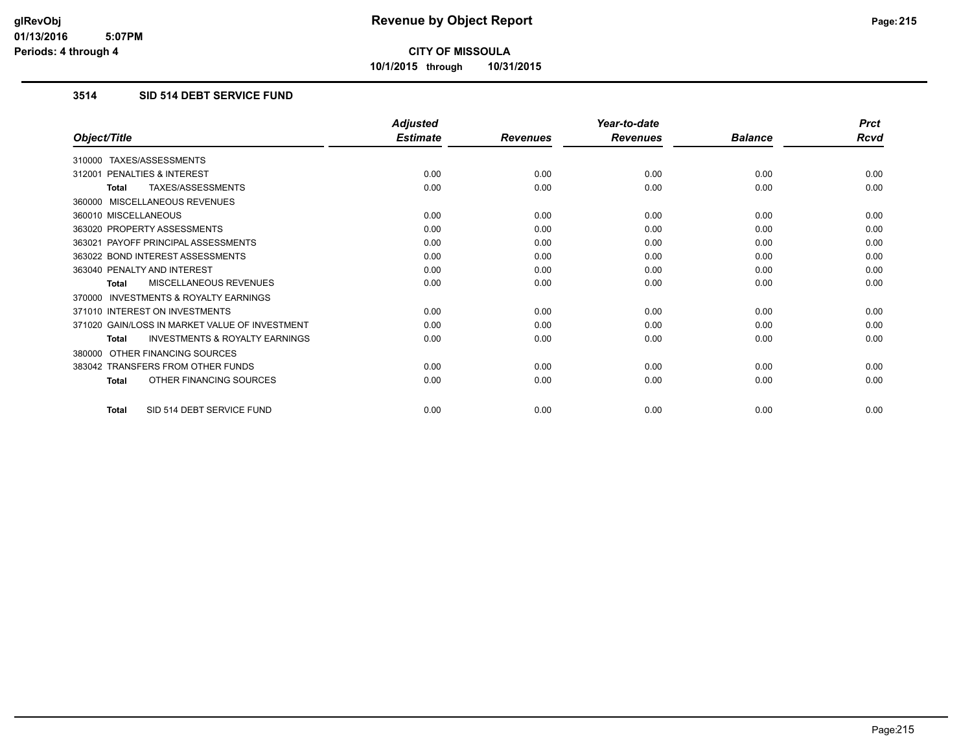**10/1/2015 through 10/31/2015**

## **3514 SID 514 DEBT SERVICE FUND**

|                                                           | <b>Adjusted</b> |                 | Year-to-date    |                | <b>Prct</b> |
|-----------------------------------------------------------|-----------------|-----------------|-----------------|----------------|-------------|
| Object/Title                                              | <b>Estimate</b> | <b>Revenues</b> | <b>Revenues</b> | <b>Balance</b> | Rcvd        |
| 310000 TAXES/ASSESSMENTS                                  |                 |                 |                 |                |             |
| PENALTIES & INTEREST<br>312001                            | 0.00            | 0.00            | 0.00            | 0.00           | 0.00        |
| TAXES/ASSESSMENTS<br><b>Total</b>                         | 0.00            | 0.00            | 0.00            | 0.00           | 0.00        |
| 360000 MISCELLANEOUS REVENUES                             |                 |                 |                 |                |             |
| 360010 MISCELLANEOUS                                      | 0.00            | 0.00            | 0.00            | 0.00           | 0.00        |
| 363020 PROPERTY ASSESSMENTS                               | 0.00            | 0.00            | 0.00            | 0.00           | 0.00        |
| 363021 PAYOFF PRINCIPAL ASSESSMENTS                       | 0.00            | 0.00            | 0.00            | 0.00           | 0.00        |
| 363022 BOND INTEREST ASSESSMENTS                          | 0.00            | 0.00            | 0.00            | 0.00           | 0.00        |
| 363040 PENALTY AND INTEREST                               | 0.00            | 0.00            | 0.00            | 0.00           | 0.00        |
| MISCELLANEOUS REVENUES<br><b>Total</b>                    | 0.00            | 0.00            | 0.00            | 0.00           | 0.00        |
| <b>INVESTMENTS &amp; ROYALTY EARNINGS</b><br>370000       |                 |                 |                 |                |             |
| 371010 INTEREST ON INVESTMENTS                            | 0.00            | 0.00            | 0.00            | 0.00           | 0.00        |
| 371020 GAIN/LOSS IN MARKET VALUE OF INVESTMENT            | 0.00            | 0.00            | 0.00            | 0.00           | 0.00        |
| <b>INVESTMENTS &amp; ROYALTY EARNINGS</b><br><b>Total</b> | 0.00            | 0.00            | 0.00            | 0.00           | 0.00        |
| OTHER FINANCING SOURCES<br>380000                         |                 |                 |                 |                |             |
| 383042 TRANSFERS FROM OTHER FUNDS                         | 0.00            | 0.00            | 0.00            | 0.00           | 0.00        |
| OTHER FINANCING SOURCES<br><b>Total</b>                   | 0.00            | 0.00            | 0.00            | 0.00           | 0.00        |
| SID 514 DEBT SERVICE FUND<br><b>Total</b>                 | 0.00            | 0.00            | 0.00            | 0.00           | 0.00        |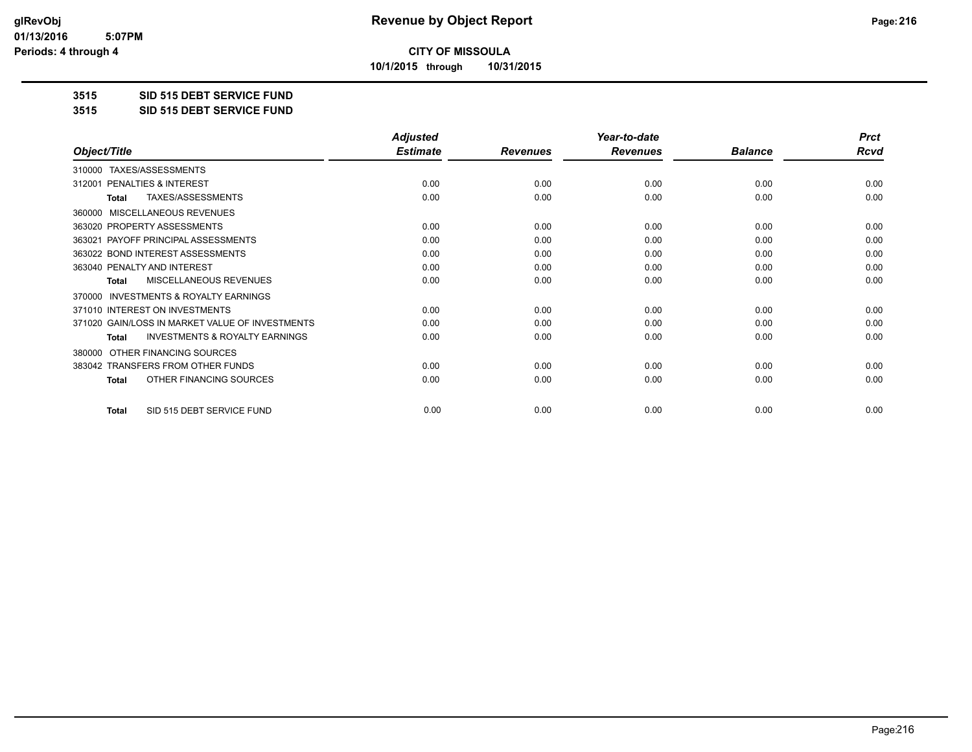**10/1/2015 through 10/31/2015**

#### **3515 SID 515 DEBT SERVICE FUND**

**3515 SID 515 DEBT SERVICE FUND**

|                                                           | <b>Adjusted</b> |                 | Year-to-date    |                | <b>Prct</b> |
|-----------------------------------------------------------|-----------------|-----------------|-----------------|----------------|-------------|
| Object/Title                                              | <b>Estimate</b> | <b>Revenues</b> | <b>Revenues</b> | <b>Balance</b> | <b>Rcvd</b> |
| TAXES/ASSESSMENTS<br>310000                               |                 |                 |                 |                |             |
| PENALTIES & INTEREST<br>312001                            | 0.00            | 0.00            | 0.00            | 0.00           | 0.00        |
| TAXES/ASSESSMENTS<br>Total                                | 0.00            | 0.00            | 0.00            | 0.00           | 0.00        |
| MISCELLANEOUS REVENUES<br>360000                          |                 |                 |                 |                |             |
| 363020 PROPERTY ASSESSMENTS                               | 0.00            | 0.00            | 0.00            | 0.00           | 0.00        |
| 363021 PAYOFF PRINCIPAL ASSESSMENTS                       | 0.00            | 0.00            | 0.00            | 0.00           | 0.00        |
| 363022 BOND INTEREST ASSESSMENTS                          | 0.00            | 0.00            | 0.00            | 0.00           | 0.00        |
| 363040 PENALTY AND INTEREST                               | 0.00            | 0.00            | 0.00            | 0.00           | 0.00        |
| MISCELLANEOUS REVENUES<br><b>Total</b>                    | 0.00            | 0.00            | 0.00            | 0.00           | 0.00        |
| <b>INVESTMENTS &amp; ROYALTY EARNINGS</b><br>370000       |                 |                 |                 |                |             |
| 371010 INTEREST ON INVESTMENTS                            | 0.00            | 0.00            | 0.00            | 0.00           | 0.00        |
| 371020 GAIN/LOSS IN MARKET VALUE OF INVESTMENTS           | 0.00            | 0.00            | 0.00            | 0.00           | 0.00        |
| <b>INVESTMENTS &amp; ROYALTY EARNINGS</b><br><b>Total</b> | 0.00            | 0.00            | 0.00            | 0.00           | 0.00        |
| OTHER FINANCING SOURCES<br>380000                         |                 |                 |                 |                |             |
| 383042 TRANSFERS FROM OTHER FUNDS                         | 0.00            | 0.00            | 0.00            | 0.00           | 0.00        |
| OTHER FINANCING SOURCES<br><b>Total</b>                   | 0.00            | 0.00            | 0.00            | 0.00           | 0.00        |
|                                                           |                 |                 |                 |                |             |
| SID 515 DEBT SERVICE FUND<br><b>Total</b>                 | 0.00            | 0.00            | 0.00            | 0.00           | 0.00        |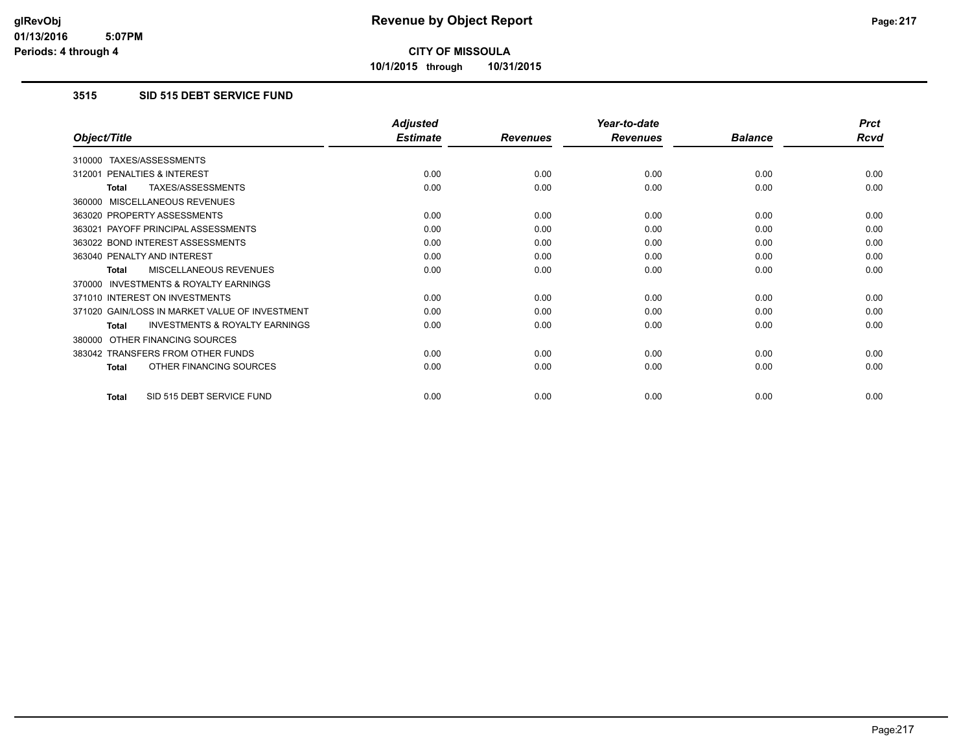**10/1/2015 through 10/31/2015**

#### **3515 SID 515 DEBT SERVICE FUND**

|                                                    | <b>Adjusted</b> |                 | Year-to-date    |                | <b>Prct</b> |
|----------------------------------------------------|-----------------|-----------------|-----------------|----------------|-------------|
| Object/Title                                       | <b>Estimate</b> | <b>Revenues</b> | <b>Revenues</b> | <b>Balance</b> | <b>Rcvd</b> |
| TAXES/ASSESSMENTS<br>310000                        |                 |                 |                 |                |             |
| <b>PENALTIES &amp; INTEREST</b><br>312001          | 0.00            | 0.00            | 0.00            | 0.00           | 0.00        |
| TAXES/ASSESSMENTS<br>Total                         | 0.00            | 0.00            | 0.00            | 0.00           | 0.00        |
| MISCELLANEOUS REVENUES<br>360000                   |                 |                 |                 |                |             |
| 363020 PROPERTY ASSESSMENTS                        | 0.00            | 0.00            | 0.00            | 0.00           | 0.00        |
| 363021 PAYOFF PRINCIPAL ASSESSMENTS                | 0.00            | 0.00            | 0.00            | 0.00           | 0.00        |
| 363022 BOND INTEREST ASSESSMENTS                   | 0.00            | 0.00            | 0.00            | 0.00           | 0.00        |
| 363040 PENALTY AND INTEREST                        | 0.00            | 0.00            | 0.00            | 0.00           | 0.00        |
| <b>MISCELLANEOUS REVENUES</b><br><b>Total</b>      | 0.00            | 0.00            | 0.00            | 0.00           | 0.00        |
| INVESTMENTS & ROYALTY EARNINGS<br>370000           |                 |                 |                 |                |             |
| 371010 INTEREST ON INVESTMENTS                     | 0.00            | 0.00            | 0.00            | 0.00           | 0.00        |
| 371020 GAIN/LOSS IN MARKET VALUE OF INVESTMENT     | 0.00            | 0.00            | 0.00            | 0.00           | 0.00        |
| <b>INVESTMENTS &amp; ROYALTY EARNINGS</b><br>Total | 0.00            | 0.00            | 0.00            | 0.00           | 0.00        |
| OTHER FINANCING SOURCES<br>380000                  |                 |                 |                 |                |             |
| 383042 TRANSFERS FROM OTHER FUNDS                  | 0.00            | 0.00            | 0.00            | 0.00           | 0.00        |
| OTHER FINANCING SOURCES<br><b>Total</b>            | 0.00            | 0.00            | 0.00            | 0.00           | 0.00        |
| SID 515 DEBT SERVICE FUND<br>Total                 | 0.00            | 0.00            | 0.00            | 0.00           | 0.00        |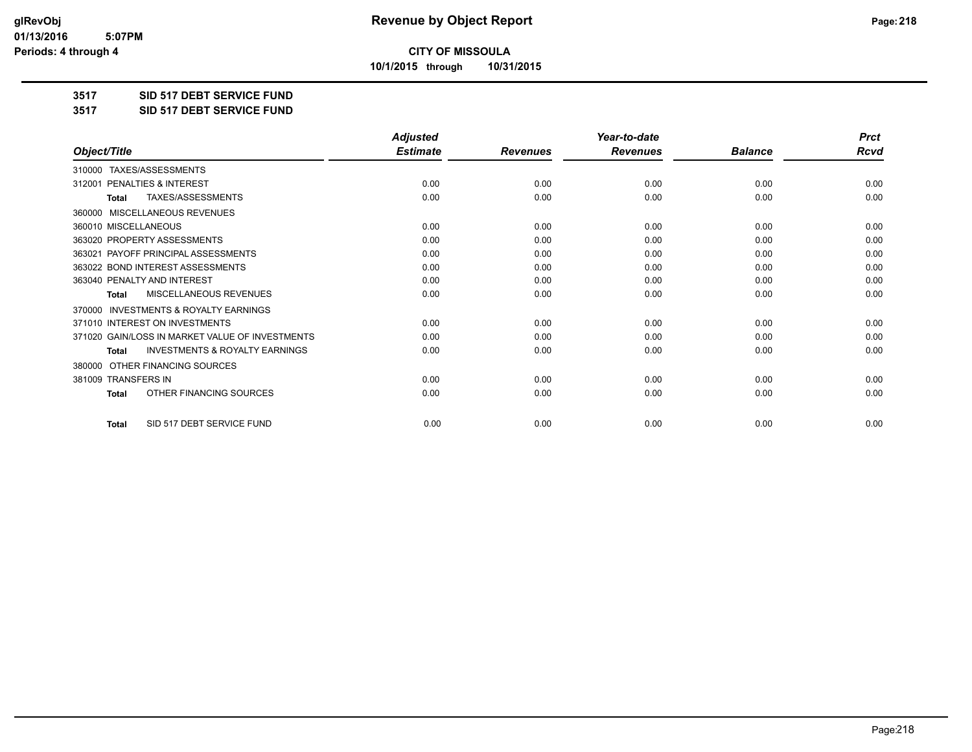**10/1/2015 through 10/31/2015**

#### **3517 SID 517 DEBT SERVICE FUND**

**3517 SID 517 DEBT SERVICE FUND**

|                                                           | <b>Adjusted</b> |                 | Year-to-date    |                | <b>Prct</b> |
|-----------------------------------------------------------|-----------------|-----------------|-----------------|----------------|-------------|
| Object/Title                                              | <b>Estimate</b> | <b>Revenues</b> | <b>Revenues</b> | <b>Balance</b> | <b>Rcvd</b> |
| 310000 TAXES/ASSESSMENTS                                  |                 |                 |                 |                |             |
| 312001 PENALTIES & INTEREST                               | 0.00            | 0.00            | 0.00            | 0.00           | 0.00        |
| <b>TAXES/ASSESSMENTS</b><br><b>Total</b>                  | 0.00            | 0.00            | 0.00            | 0.00           | 0.00        |
| MISCELLANEOUS REVENUES<br>360000                          |                 |                 |                 |                |             |
| 360010 MISCELLANEOUS                                      | 0.00            | 0.00            | 0.00            | 0.00           | 0.00        |
| 363020 PROPERTY ASSESSMENTS                               | 0.00            | 0.00            | 0.00            | 0.00           | 0.00        |
| 363021 PAYOFF PRINCIPAL ASSESSMENTS                       | 0.00            | 0.00            | 0.00            | 0.00           | 0.00        |
| 363022 BOND INTEREST ASSESSMENTS                          | 0.00            | 0.00            | 0.00            | 0.00           | 0.00        |
| 363040 PENALTY AND INTEREST                               | 0.00            | 0.00            | 0.00            | 0.00           | 0.00        |
| <b>MISCELLANEOUS REVENUES</b><br><b>Total</b>             | 0.00            | 0.00            | 0.00            | 0.00           | 0.00        |
| <b>INVESTMENTS &amp; ROYALTY EARNINGS</b><br>370000       |                 |                 |                 |                |             |
| 371010 INTEREST ON INVESTMENTS                            | 0.00            | 0.00            | 0.00            | 0.00           | 0.00        |
| 371020 GAIN/LOSS IN MARKET VALUE OF INVESTMENTS           | 0.00            | 0.00            | 0.00            | 0.00           | 0.00        |
| <b>INVESTMENTS &amp; ROYALTY EARNINGS</b><br><b>Total</b> | 0.00            | 0.00            | 0.00            | 0.00           | 0.00        |
| OTHER FINANCING SOURCES<br>380000                         |                 |                 |                 |                |             |
| 381009 TRANSFERS IN                                       | 0.00            | 0.00            | 0.00            | 0.00           | 0.00        |
| OTHER FINANCING SOURCES<br><b>Total</b>                   | 0.00            | 0.00            | 0.00            | 0.00           | 0.00        |
| SID 517 DEBT SERVICE FUND<br><b>Total</b>                 | 0.00            | 0.00            | 0.00            | 0.00           | 0.00        |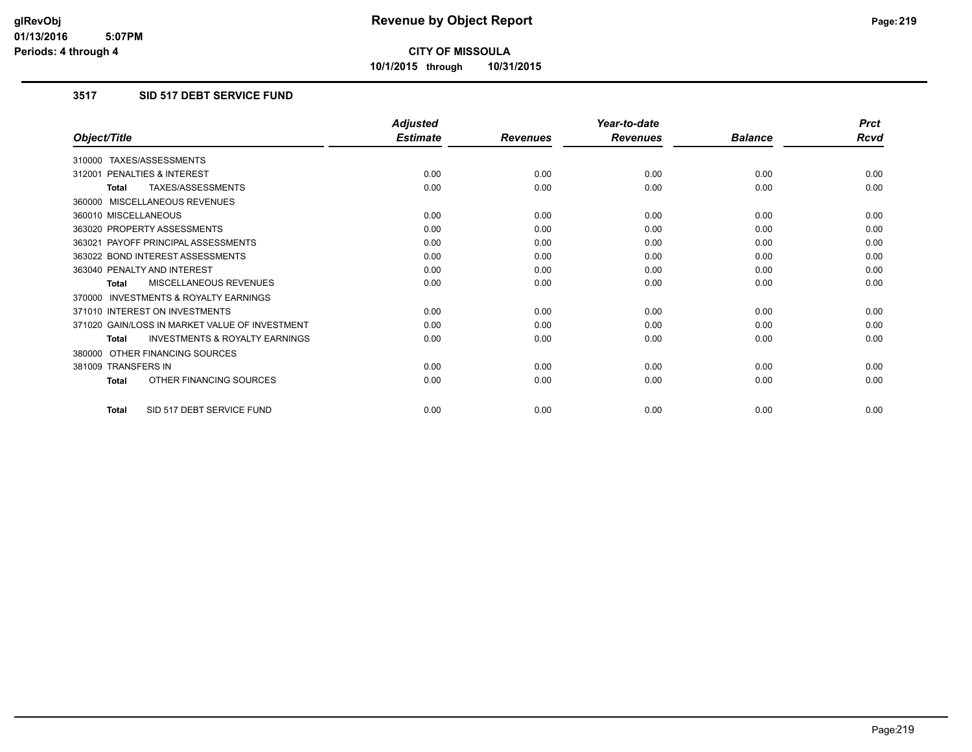**10/1/2015 through 10/31/2015**

#### **3517 SID 517 DEBT SERVICE FUND**

|                                                           | <b>Adjusted</b> |                 | Year-to-date    |                | <b>Prct</b> |
|-----------------------------------------------------------|-----------------|-----------------|-----------------|----------------|-------------|
| Object/Title                                              | <b>Estimate</b> | <b>Revenues</b> | <b>Revenues</b> | <b>Balance</b> | <b>Rcvd</b> |
| 310000 TAXES/ASSESSMENTS                                  |                 |                 |                 |                |             |
| PENALTIES & INTEREST<br>312001                            | 0.00            | 0.00            | 0.00            | 0.00           | 0.00        |
| TAXES/ASSESSMENTS<br><b>Total</b>                         | 0.00            | 0.00            | 0.00            | 0.00           | 0.00        |
| 360000 MISCELLANEOUS REVENUES                             |                 |                 |                 |                |             |
| 360010 MISCELLANEOUS                                      | 0.00            | 0.00            | 0.00            | 0.00           | 0.00        |
| 363020 PROPERTY ASSESSMENTS                               | 0.00            | 0.00            | 0.00            | 0.00           | 0.00        |
| 363021 PAYOFF PRINCIPAL ASSESSMENTS                       | 0.00            | 0.00            | 0.00            | 0.00           | 0.00        |
| 363022 BOND INTEREST ASSESSMENTS                          | 0.00            | 0.00            | 0.00            | 0.00           | 0.00        |
| 363040 PENALTY AND INTEREST                               | 0.00            | 0.00            | 0.00            | 0.00           | 0.00        |
| MISCELLANEOUS REVENUES<br><b>Total</b>                    | 0.00            | 0.00            | 0.00            | 0.00           | 0.00        |
| <b>INVESTMENTS &amp; ROYALTY EARNINGS</b><br>370000       |                 |                 |                 |                |             |
| 371010 INTEREST ON INVESTMENTS                            | 0.00            | 0.00            | 0.00            | 0.00           | 0.00        |
| 371020 GAIN/LOSS IN MARKET VALUE OF INVESTMENT            | 0.00            | 0.00            | 0.00            | 0.00           | 0.00        |
| <b>INVESTMENTS &amp; ROYALTY EARNINGS</b><br><b>Total</b> | 0.00            | 0.00            | 0.00            | 0.00           | 0.00        |
| 380000 OTHER FINANCING SOURCES                            |                 |                 |                 |                |             |
| 381009 TRANSFERS IN                                       | 0.00            | 0.00            | 0.00            | 0.00           | 0.00        |
| OTHER FINANCING SOURCES<br><b>Total</b>                   | 0.00            | 0.00            | 0.00            | 0.00           | 0.00        |
| SID 517 DEBT SERVICE FUND<br><b>Total</b>                 | 0.00            | 0.00            | 0.00            | 0.00           | 0.00        |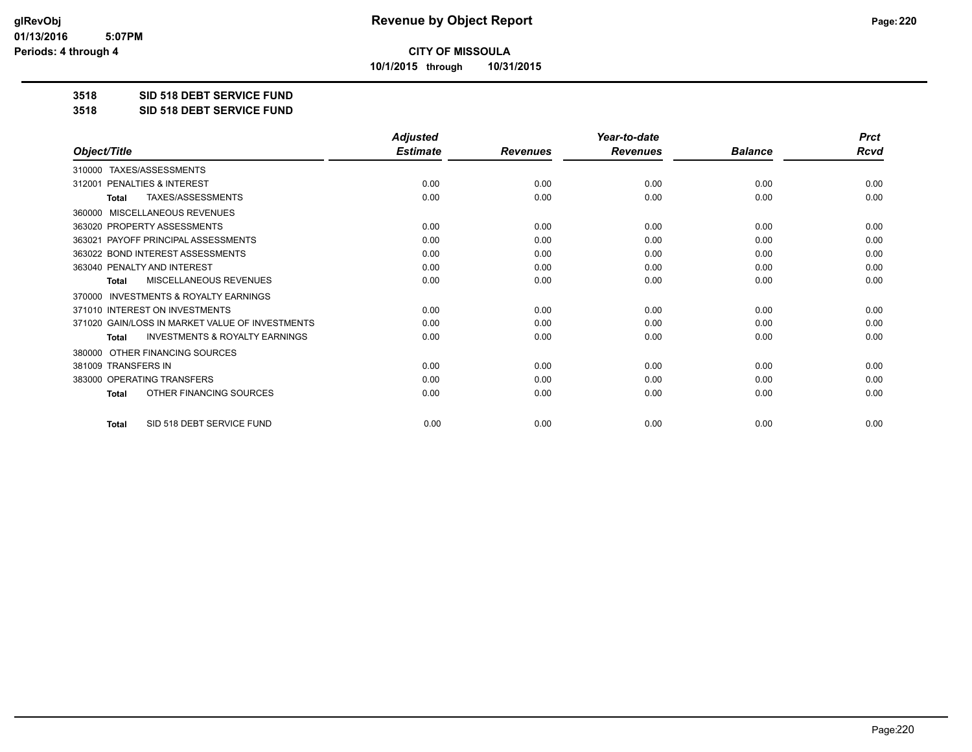**10/1/2015 through 10/31/2015**

#### **3518 SID 518 DEBT SERVICE FUND**

**3518 SID 518 DEBT SERVICE FUND**

|                                                           | <b>Adjusted</b> |                 | Year-to-date    |                | <b>Prct</b> |
|-----------------------------------------------------------|-----------------|-----------------|-----------------|----------------|-------------|
| Object/Title                                              | <b>Estimate</b> | <b>Revenues</b> | <b>Revenues</b> | <b>Balance</b> | <b>Rcvd</b> |
| 310000 TAXES/ASSESSMENTS                                  |                 |                 |                 |                |             |
| PENALTIES & INTEREST<br>312001                            | 0.00            | 0.00            | 0.00            | 0.00           | 0.00        |
| TAXES/ASSESSMENTS<br><b>Total</b>                         | 0.00            | 0.00            | 0.00            | 0.00           | 0.00        |
| <b>MISCELLANEOUS REVENUES</b><br>360000                   |                 |                 |                 |                |             |
| 363020 PROPERTY ASSESSMENTS                               | 0.00            | 0.00            | 0.00            | 0.00           | 0.00        |
| 363021 PAYOFF PRINCIPAL ASSESSMENTS                       | 0.00            | 0.00            | 0.00            | 0.00           | 0.00        |
| 363022 BOND INTEREST ASSESSMENTS                          | 0.00            | 0.00            | 0.00            | 0.00           | 0.00        |
| 363040 PENALTY AND INTEREST                               | 0.00            | 0.00            | 0.00            | 0.00           | 0.00        |
| <b>MISCELLANEOUS REVENUES</b><br><b>Total</b>             | 0.00            | 0.00            | 0.00            | 0.00           | 0.00        |
| <b>INVESTMENTS &amp; ROYALTY EARNINGS</b><br>370000       |                 |                 |                 |                |             |
| 371010 INTEREST ON INVESTMENTS                            | 0.00            | 0.00            | 0.00            | 0.00           | 0.00        |
| 371020 GAIN/LOSS IN MARKET VALUE OF INVESTMENTS           | 0.00            | 0.00            | 0.00            | 0.00           | 0.00        |
| <b>INVESTMENTS &amp; ROYALTY EARNINGS</b><br><b>Total</b> | 0.00            | 0.00            | 0.00            | 0.00           | 0.00        |
| OTHER FINANCING SOURCES<br>380000                         |                 |                 |                 |                |             |
| 381009 TRANSFERS IN                                       | 0.00            | 0.00            | 0.00            | 0.00           | 0.00        |
| 383000 OPERATING TRANSFERS                                | 0.00            | 0.00            | 0.00            | 0.00           | 0.00        |
| OTHER FINANCING SOURCES<br><b>Total</b>                   | 0.00            | 0.00            | 0.00            | 0.00           | 0.00        |
| SID 518 DEBT SERVICE FUND<br><b>Total</b>                 | 0.00            | 0.00            | 0.00            | 0.00           | 0.00        |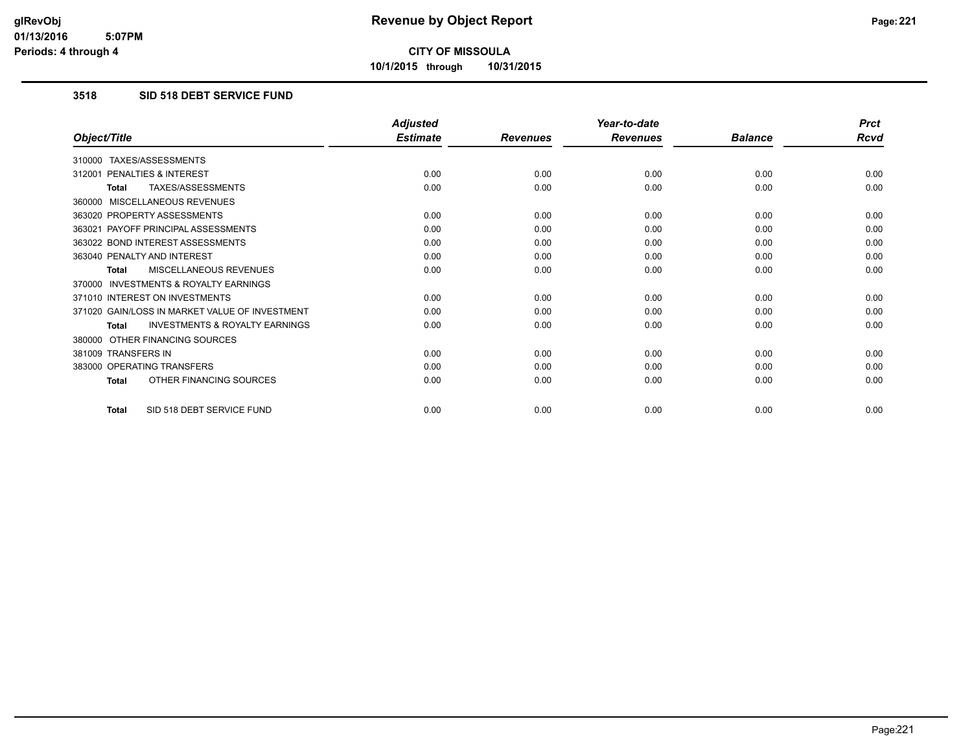**10/1/2015 through 10/31/2015**

#### **3518 SID 518 DEBT SERVICE FUND**

|                                                           | <b>Adjusted</b> |                 | Year-to-date    |                | <b>Prct</b> |
|-----------------------------------------------------------|-----------------|-----------------|-----------------|----------------|-------------|
| Object/Title                                              | <b>Estimate</b> | <b>Revenues</b> | <b>Revenues</b> | <b>Balance</b> | <b>Rcvd</b> |
| 310000 TAXES/ASSESSMENTS                                  |                 |                 |                 |                |             |
| PENALTIES & INTEREST<br>312001                            | 0.00            | 0.00            | 0.00            | 0.00           | 0.00        |
| TAXES/ASSESSMENTS<br><b>Total</b>                         | 0.00            | 0.00            | 0.00            | 0.00           | 0.00        |
| 360000 MISCELLANEOUS REVENUES                             |                 |                 |                 |                |             |
| 363020 PROPERTY ASSESSMENTS                               | 0.00            | 0.00            | 0.00            | 0.00           | 0.00        |
| 363021 PAYOFF PRINCIPAL ASSESSMENTS                       | 0.00            | 0.00            | 0.00            | 0.00           | 0.00        |
| 363022 BOND INTEREST ASSESSMENTS                          | 0.00            | 0.00            | 0.00            | 0.00           | 0.00        |
| 363040 PENALTY AND INTEREST                               | 0.00            | 0.00            | 0.00            | 0.00           | 0.00        |
| MISCELLANEOUS REVENUES<br><b>Total</b>                    | 0.00            | 0.00            | 0.00            | 0.00           | 0.00        |
| <b>INVESTMENTS &amp; ROYALTY EARNINGS</b><br>370000       |                 |                 |                 |                |             |
| 371010 INTEREST ON INVESTMENTS                            | 0.00            | 0.00            | 0.00            | 0.00           | 0.00        |
| 371020 GAIN/LOSS IN MARKET VALUE OF INVESTMENT            | 0.00            | 0.00            | 0.00            | 0.00           | 0.00        |
| <b>INVESTMENTS &amp; ROYALTY EARNINGS</b><br><b>Total</b> | 0.00            | 0.00            | 0.00            | 0.00           | 0.00        |
| 380000 OTHER FINANCING SOURCES                            |                 |                 |                 |                |             |
| 381009 TRANSFERS IN                                       | 0.00            | 0.00            | 0.00            | 0.00           | 0.00        |
| 383000 OPERATING TRANSFERS                                | 0.00            | 0.00            | 0.00            | 0.00           | 0.00        |
| OTHER FINANCING SOURCES<br><b>Total</b>                   | 0.00            | 0.00            | 0.00            | 0.00           | 0.00        |
| SID 518 DEBT SERVICE FUND<br><b>Total</b>                 | 0.00            | 0.00            | 0.00            | 0.00           | 0.00        |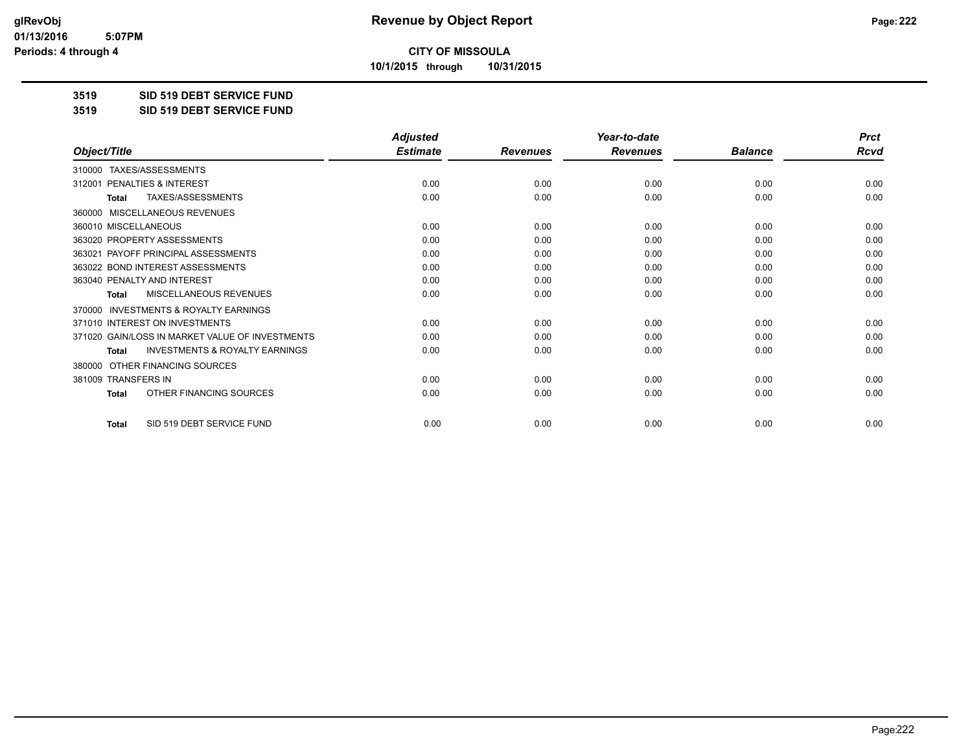**10/1/2015 through 10/31/2015**

#### **3519 SID 519 DEBT SERVICE FUND**

**3519 SID 519 DEBT SERVICE FUND**

|                                                     | <b>Adjusted</b> |                 | Year-to-date    |                | <b>Prct</b> |
|-----------------------------------------------------|-----------------|-----------------|-----------------|----------------|-------------|
| Object/Title                                        | <b>Estimate</b> | <b>Revenues</b> | <b>Revenues</b> | <b>Balance</b> | <b>Rcvd</b> |
| 310000 TAXES/ASSESSMENTS                            |                 |                 |                 |                |             |
| <b>PENALTIES &amp; INTEREST</b><br>312001           | 0.00            | 0.00            | 0.00            | 0.00           | 0.00        |
| TAXES/ASSESSMENTS<br><b>Total</b>                   | 0.00            | 0.00            | 0.00            | 0.00           | 0.00        |
| MISCELLANEOUS REVENUES<br>360000                    |                 |                 |                 |                |             |
| 360010 MISCELLANEOUS                                | 0.00            | 0.00            | 0.00            | 0.00           | 0.00        |
| 363020 PROPERTY ASSESSMENTS                         | 0.00            | 0.00            | 0.00            | 0.00           | 0.00        |
| 363021 PAYOFF PRINCIPAL ASSESSMENTS                 | 0.00            | 0.00            | 0.00            | 0.00           | 0.00        |
| 363022 BOND INTEREST ASSESSMENTS                    | 0.00            | 0.00            | 0.00            | 0.00           | 0.00        |
| 363040 PENALTY AND INTEREST                         | 0.00            | 0.00            | 0.00            | 0.00           | 0.00        |
| MISCELLANEOUS REVENUES<br><b>Total</b>              | 0.00            | 0.00            | 0.00            | 0.00           | 0.00        |
| <b>INVESTMENTS &amp; ROYALTY EARNINGS</b><br>370000 |                 |                 |                 |                |             |
| 371010 INTEREST ON INVESTMENTS                      | 0.00            | 0.00            | 0.00            | 0.00           | 0.00        |
| 371020 GAIN/LOSS IN MARKET VALUE OF INVESTMENTS     | 0.00            | 0.00            | 0.00            | 0.00           | 0.00        |
| <b>INVESTMENTS &amp; ROYALTY EARNINGS</b><br>Total  | 0.00            | 0.00            | 0.00            | 0.00           | 0.00        |
| OTHER FINANCING SOURCES<br>380000                   |                 |                 |                 |                |             |
| 381009 TRANSFERS IN                                 | 0.00            | 0.00            | 0.00            | 0.00           | 0.00        |
| OTHER FINANCING SOURCES<br>Total                    | 0.00            | 0.00            | 0.00            | 0.00           | 0.00        |
| SID 519 DEBT SERVICE FUND<br><b>Total</b>           | 0.00            | 0.00            | 0.00            | 0.00           | 0.00        |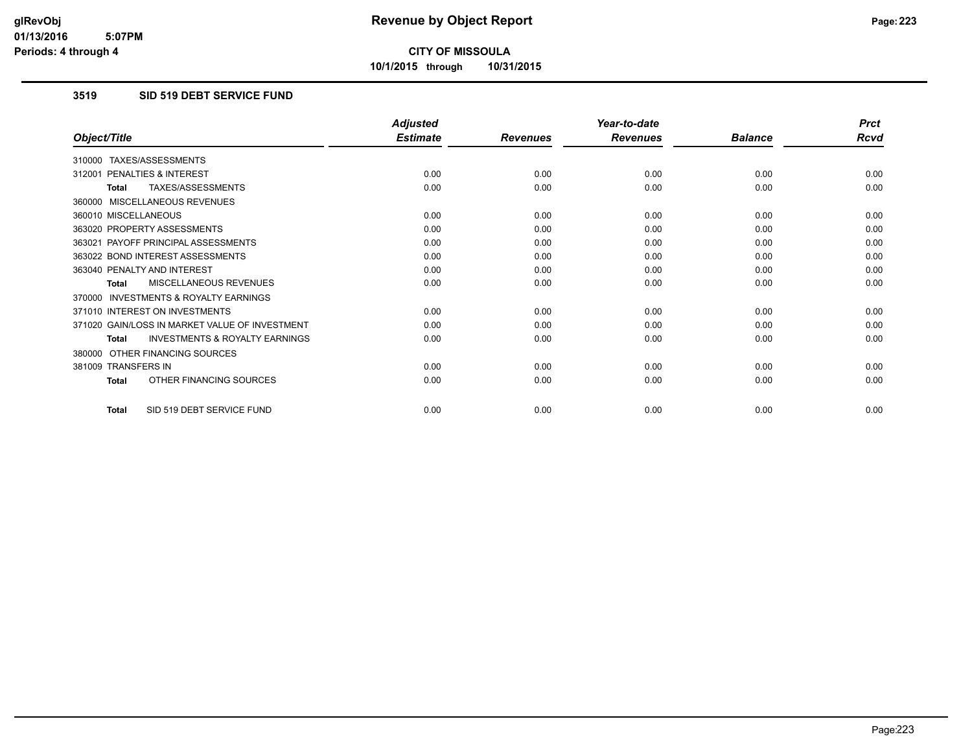**10/1/2015 through 10/31/2015**

#### **3519 SID 519 DEBT SERVICE FUND**

|                                                           | <b>Adjusted</b> |                 | Year-to-date    |                | <b>Prct</b> |
|-----------------------------------------------------------|-----------------|-----------------|-----------------|----------------|-------------|
| Object/Title                                              | <b>Estimate</b> | <b>Revenues</b> | <b>Revenues</b> | <b>Balance</b> | <b>Rcvd</b> |
| 310000 TAXES/ASSESSMENTS                                  |                 |                 |                 |                |             |
| PENALTIES & INTEREST<br>312001                            | 0.00            | 0.00            | 0.00            | 0.00           | 0.00        |
| TAXES/ASSESSMENTS<br><b>Total</b>                         | 0.00            | 0.00            | 0.00            | 0.00           | 0.00        |
| 360000 MISCELLANEOUS REVENUES                             |                 |                 |                 |                |             |
| 360010 MISCELLANEOUS                                      | 0.00            | 0.00            | 0.00            | 0.00           | 0.00        |
| 363020 PROPERTY ASSESSMENTS                               | 0.00            | 0.00            | 0.00            | 0.00           | 0.00        |
| 363021 PAYOFF PRINCIPAL ASSESSMENTS                       | 0.00            | 0.00            | 0.00            | 0.00           | 0.00        |
| 363022 BOND INTEREST ASSESSMENTS                          | 0.00            | 0.00            | 0.00            | 0.00           | 0.00        |
| 363040 PENALTY AND INTEREST                               | 0.00            | 0.00            | 0.00            | 0.00           | 0.00        |
| MISCELLANEOUS REVENUES<br><b>Total</b>                    | 0.00            | 0.00            | 0.00            | 0.00           | 0.00        |
| <b>INVESTMENTS &amp; ROYALTY EARNINGS</b><br>370000       |                 |                 |                 |                |             |
| 371010 INTEREST ON INVESTMENTS                            | 0.00            | 0.00            | 0.00            | 0.00           | 0.00        |
| 371020 GAIN/LOSS IN MARKET VALUE OF INVESTMENT            | 0.00            | 0.00            | 0.00            | 0.00           | 0.00        |
| <b>INVESTMENTS &amp; ROYALTY EARNINGS</b><br><b>Total</b> | 0.00            | 0.00            | 0.00            | 0.00           | 0.00        |
| OTHER FINANCING SOURCES<br>380000                         |                 |                 |                 |                |             |
| 381009 TRANSFERS IN                                       | 0.00            | 0.00            | 0.00            | 0.00           | 0.00        |
| OTHER FINANCING SOURCES<br><b>Total</b>                   | 0.00            | 0.00            | 0.00            | 0.00           | 0.00        |
| SID 519 DEBT SERVICE FUND<br><b>Total</b>                 | 0.00            | 0.00            | 0.00            | 0.00           | 0.00        |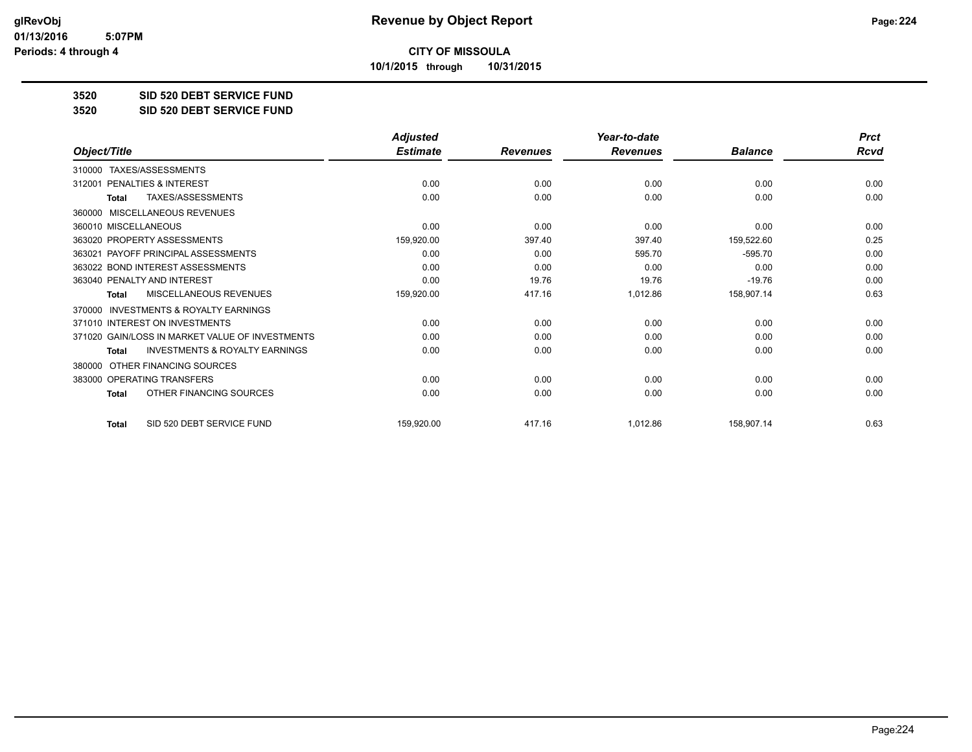**10/1/2015 through 10/31/2015**

#### **3520 SID 520 DEBT SERVICE FUND**

**3520 SID 520 DEBT SERVICE FUND**

|                                                           | <b>Adjusted</b> |                 | Year-to-date    |                | <b>Prct</b> |
|-----------------------------------------------------------|-----------------|-----------------|-----------------|----------------|-------------|
| Object/Title                                              | <b>Estimate</b> | <b>Revenues</b> | <b>Revenues</b> | <b>Balance</b> | <b>Rcvd</b> |
| TAXES/ASSESSMENTS<br>310000                               |                 |                 |                 |                |             |
| 312001 PENALTIES & INTEREST                               | 0.00            | 0.00            | 0.00            | 0.00           | 0.00        |
| TAXES/ASSESSMENTS<br><b>Total</b>                         | 0.00            | 0.00            | 0.00            | 0.00           | 0.00        |
| MISCELLANEOUS REVENUES<br>360000                          |                 |                 |                 |                |             |
| 360010 MISCELLANEOUS                                      | 0.00            | 0.00            | 0.00            | 0.00           | 0.00        |
| 363020 PROPERTY ASSESSMENTS                               | 159,920.00      | 397.40          | 397.40          | 159,522.60     | 0.25        |
| 363021 PAYOFF PRINCIPAL ASSESSMENTS                       | 0.00            | 0.00            | 595.70          | $-595.70$      | 0.00        |
| 363022 BOND INTEREST ASSESSMENTS                          | 0.00            | 0.00            | 0.00            | 0.00           | 0.00        |
| 363040 PENALTY AND INTEREST                               | 0.00            | 19.76           | 19.76           | $-19.76$       | 0.00        |
| <b>MISCELLANEOUS REVENUES</b><br><b>Total</b>             | 159,920.00      | 417.16          | 1,012.86        | 158,907.14     | 0.63        |
| <b>INVESTMENTS &amp; ROYALTY EARNINGS</b><br>370000       |                 |                 |                 |                |             |
| 371010 INTEREST ON INVESTMENTS                            | 0.00            | 0.00            | 0.00            | 0.00           | 0.00        |
| 371020 GAIN/LOSS IN MARKET VALUE OF INVESTMENTS           | 0.00            | 0.00            | 0.00            | 0.00           | 0.00        |
| <b>INVESTMENTS &amp; ROYALTY EARNINGS</b><br><b>Total</b> | 0.00            | 0.00            | 0.00            | 0.00           | 0.00        |
| OTHER FINANCING SOURCES<br>380000                         |                 |                 |                 |                |             |
| 383000 OPERATING TRANSFERS                                | 0.00            | 0.00            | 0.00            | 0.00           | 0.00        |
| OTHER FINANCING SOURCES<br><b>Total</b>                   | 0.00            | 0.00            | 0.00            | 0.00           | 0.00        |
| SID 520 DEBT SERVICE FUND<br><b>Total</b>                 | 159,920.00      | 417.16          | 1,012.86        | 158,907.14     | 0.63        |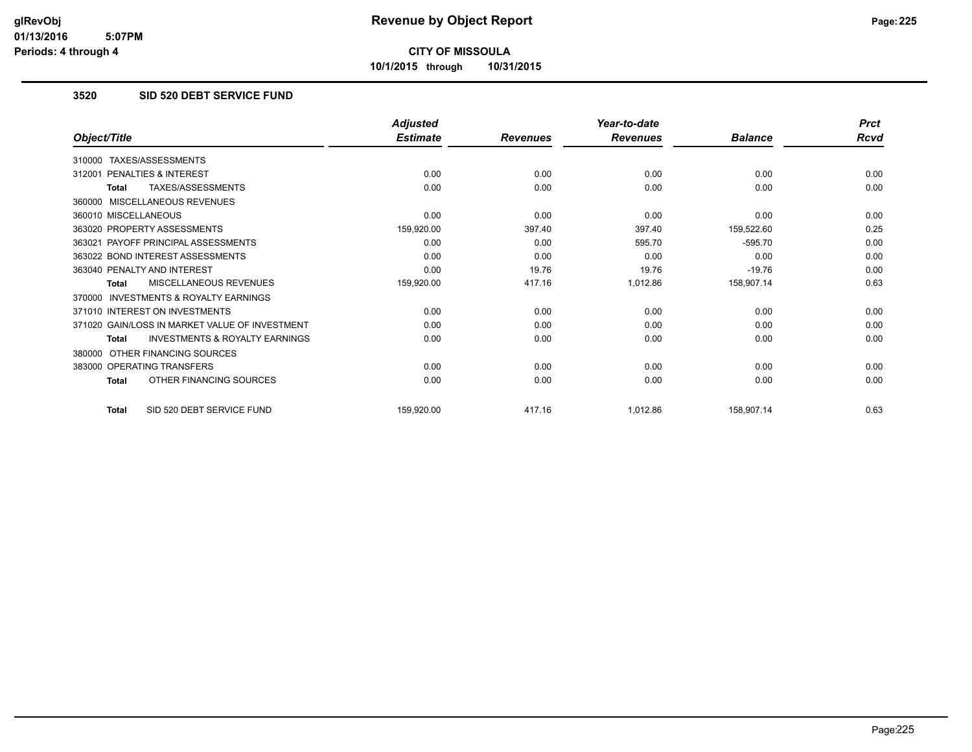**10/1/2015 through 10/31/2015**

#### **3520 SID 520 DEBT SERVICE FUND**

|                                                    | <b>Adjusted</b> |                 | Year-to-date    |                | <b>Prct</b> |
|----------------------------------------------------|-----------------|-----------------|-----------------|----------------|-------------|
| Object/Title                                       | <b>Estimate</b> | <b>Revenues</b> | <b>Revenues</b> | <b>Balance</b> | Rcvd        |
| 310000 TAXES/ASSESSMENTS                           |                 |                 |                 |                |             |
| PENALTIES & INTEREST<br>312001                     | 0.00            | 0.00            | 0.00            | 0.00           | 0.00        |
| TAXES/ASSESSMENTS<br><b>Total</b>                  | 0.00            | 0.00            | 0.00            | 0.00           | 0.00        |
| 360000 MISCELLANEOUS REVENUES                      |                 |                 |                 |                |             |
| 360010 MISCELLANEOUS                               | 0.00            | 0.00            | 0.00            | 0.00           | 0.00        |
| 363020 PROPERTY ASSESSMENTS                        | 159,920.00      | 397.40          | 397.40          | 159,522.60     | 0.25        |
| 363021 PAYOFF PRINCIPAL ASSESSMENTS                | 0.00            | 0.00            | 595.70          | $-595.70$      | 0.00        |
| 363022 BOND INTEREST ASSESSMENTS                   | 0.00            | 0.00            | 0.00            | 0.00           | 0.00        |
| 363040 PENALTY AND INTEREST                        | 0.00            | 19.76           | 19.76           | $-19.76$       | 0.00        |
| MISCELLANEOUS REVENUES<br><b>Total</b>             | 159,920.00      | 417.16          | 1,012.86        | 158,907.14     | 0.63        |
| 370000 INVESTMENTS & ROYALTY EARNINGS              |                 |                 |                 |                |             |
| 371010 INTEREST ON INVESTMENTS                     | 0.00            | 0.00            | 0.00            | 0.00           | 0.00        |
| 371020 GAIN/LOSS IN MARKET VALUE OF INVESTMENT     | 0.00            | 0.00            | 0.00            | 0.00           | 0.00        |
| <b>INVESTMENTS &amp; ROYALTY EARNINGS</b><br>Total | 0.00            | 0.00            | 0.00            | 0.00           | 0.00        |
| 380000 OTHER FINANCING SOURCES                     |                 |                 |                 |                |             |
| 383000 OPERATING TRANSFERS                         | 0.00            | 0.00            | 0.00            | 0.00           | 0.00        |
| OTHER FINANCING SOURCES<br>Total                   | 0.00            | 0.00            | 0.00            | 0.00           | 0.00        |
| SID 520 DEBT SERVICE FUND<br><b>Total</b>          | 159,920.00      | 417.16          | 1,012.86        | 158,907.14     | 0.63        |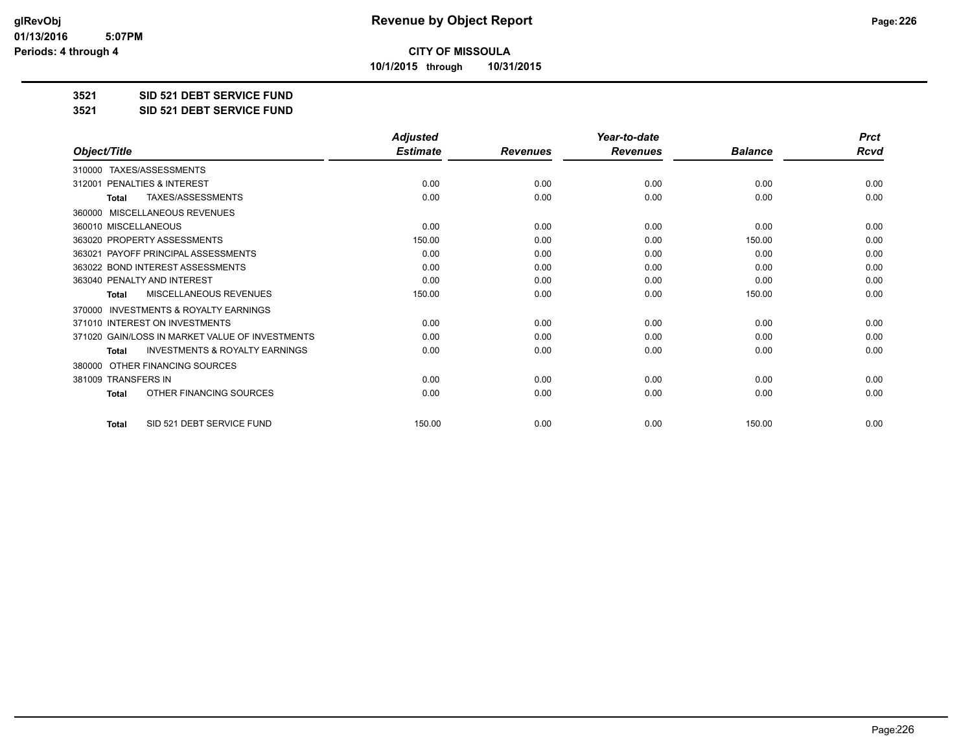**10/1/2015 through 10/31/2015**

#### **3521 SID 521 DEBT SERVICE FUND**

**3521 SID 521 DEBT SERVICE FUND**

|                                                           | <b>Adjusted</b> |                 | Year-to-date    |                | <b>Prct</b> |
|-----------------------------------------------------------|-----------------|-----------------|-----------------|----------------|-------------|
| Object/Title                                              | <b>Estimate</b> | <b>Revenues</b> | <b>Revenues</b> | <b>Balance</b> | <b>Rcvd</b> |
| TAXES/ASSESSMENTS<br>310000                               |                 |                 |                 |                |             |
| 312001 PENALTIES & INTEREST                               | 0.00            | 0.00            | 0.00            | 0.00           | 0.00        |
| TAXES/ASSESSMENTS<br><b>Total</b>                         | 0.00            | 0.00            | 0.00            | 0.00           | 0.00        |
| MISCELLANEOUS REVENUES<br>360000                          |                 |                 |                 |                |             |
| 360010 MISCELLANEOUS                                      | 0.00            | 0.00            | 0.00            | 0.00           | 0.00        |
| 363020 PROPERTY ASSESSMENTS                               | 150.00          | 0.00            | 0.00            | 150.00         | 0.00        |
| 363021 PAYOFF PRINCIPAL ASSESSMENTS                       | 0.00            | 0.00            | 0.00            | 0.00           | 0.00        |
| 363022 BOND INTEREST ASSESSMENTS                          | 0.00            | 0.00            | 0.00            | 0.00           | 0.00        |
| 363040 PENALTY AND INTEREST                               | 0.00            | 0.00            | 0.00            | 0.00           | 0.00        |
| <b>MISCELLANEOUS REVENUES</b><br><b>Total</b>             | 150.00          | 0.00            | 0.00            | 150.00         | 0.00        |
| <b>INVESTMENTS &amp; ROYALTY EARNINGS</b><br>370000       |                 |                 |                 |                |             |
| 371010 INTEREST ON INVESTMENTS                            | 0.00            | 0.00            | 0.00            | 0.00           | 0.00        |
| 371020 GAIN/LOSS IN MARKET VALUE OF INVESTMENTS           | 0.00            | 0.00            | 0.00            | 0.00           | 0.00        |
| <b>INVESTMENTS &amp; ROYALTY EARNINGS</b><br><b>Total</b> | 0.00            | 0.00            | 0.00            | 0.00           | 0.00        |
| OTHER FINANCING SOURCES<br>380000                         |                 |                 |                 |                |             |
| 381009 TRANSFERS IN                                       | 0.00            | 0.00            | 0.00            | 0.00           | 0.00        |
| OTHER FINANCING SOURCES<br>Total                          | 0.00            | 0.00            | 0.00            | 0.00           | 0.00        |
| SID 521 DEBT SERVICE FUND<br><b>Total</b>                 | 150.00          | 0.00            | 0.00            | 150.00         | 0.00        |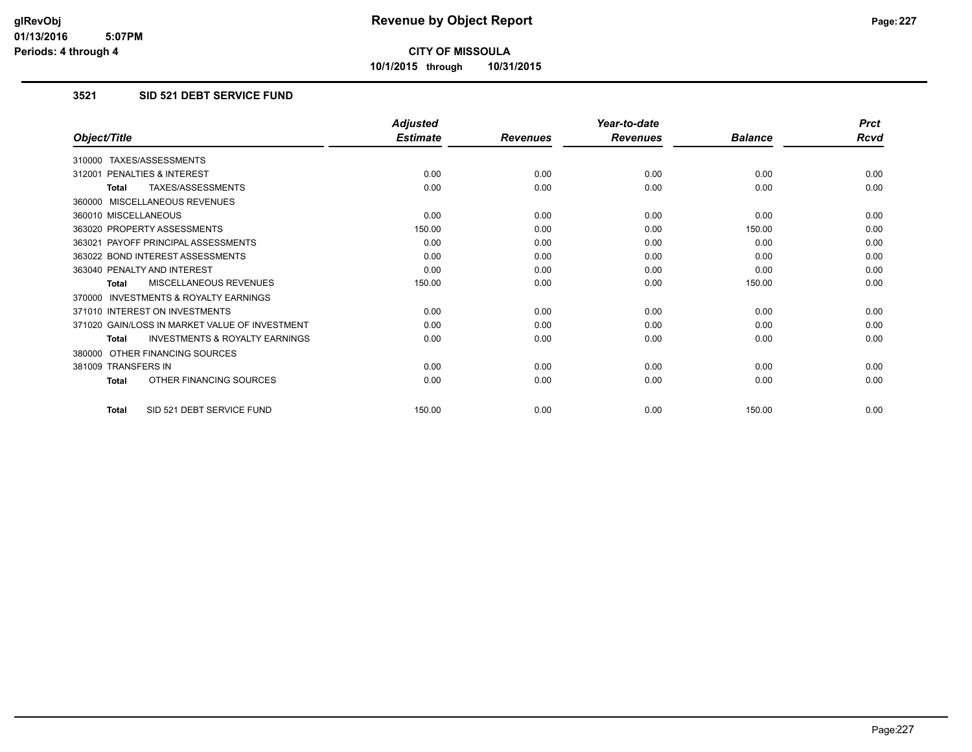**10/1/2015 through 10/31/2015**

#### **3521 SID 521 DEBT SERVICE FUND**

|                                                           | <b>Adjusted</b> |                 | Year-to-date    |                | <b>Prct</b> |
|-----------------------------------------------------------|-----------------|-----------------|-----------------|----------------|-------------|
| Object/Title                                              | <b>Estimate</b> | <b>Revenues</b> | <b>Revenues</b> | <b>Balance</b> | <b>Rcvd</b> |
| 310000 TAXES/ASSESSMENTS                                  |                 |                 |                 |                |             |
| PENALTIES & INTEREST<br>312001                            | 0.00            | 0.00            | 0.00            | 0.00           | 0.00        |
| TAXES/ASSESSMENTS<br><b>Total</b>                         | 0.00            | 0.00            | 0.00            | 0.00           | 0.00        |
| 360000 MISCELLANEOUS REVENUES                             |                 |                 |                 |                |             |
| 360010 MISCELLANEOUS                                      | 0.00            | 0.00            | 0.00            | 0.00           | 0.00        |
| 363020 PROPERTY ASSESSMENTS                               | 150.00          | 0.00            | 0.00            | 150.00         | 0.00        |
| 363021 PAYOFF PRINCIPAL ASSESSMENTS                       | 0.00            | 0.00            | 0.00            | 0.00           | 0.00        |
| 363022 BOND INTEREST ASSESSMENTS                          | 0.00            | 0.00            | 0.00            | 0.00           | 0.00        |
| 363040 PENALTY AND INTEREST                               | 0.00            | 0.00            | 0.00            | 0.00           | 0.00        |
| MISCELLANEOUS REVENUES<br><b>Total</b>                    | 150.00          | 0.00            | 0.00            | 150.00         | 0.00        |
| <b>INVESTMENTS &amp; ROYALTY EARNINGS</b><br>370000       |                 |                 |                 |                |             |
| 371010 INTEREST ON INVESTMENTS                            | 0.00            | 0.00            | 0.00            | 0.00           | 0.00        |
| 371020 GAIN/LOSS IN MARKET VALUE OF INVESTMENT            | 0.00            | 0.00            | 0.00            | 0.00           | 0.00        |
| <b>INVESTMENTS &amp; ROYALTY EARNINGS</b><br><b>Total</b> | 0.00            | 0.00            | 0.00            | 0.00           | 0.00        |
| OTHER FINANCING SOURCES<br>380000                         |                 |                 |                 |                |             |
| 381009 TRANSFERS IN                                       | 0.00            | 0.00            | 0.00            | 0.00           | 0.00        |
| OTHER FINANCING SOURCES<br><b>Total</b>                   | 0.00            | 0.00            | 0.00            | 0.00           | 0.00        |
| SID 521 DEBT SERVICE FUND<br><b>Total</b>                 | 150.00          | 0.00            | 0.00            | 150.00         | 0.00        |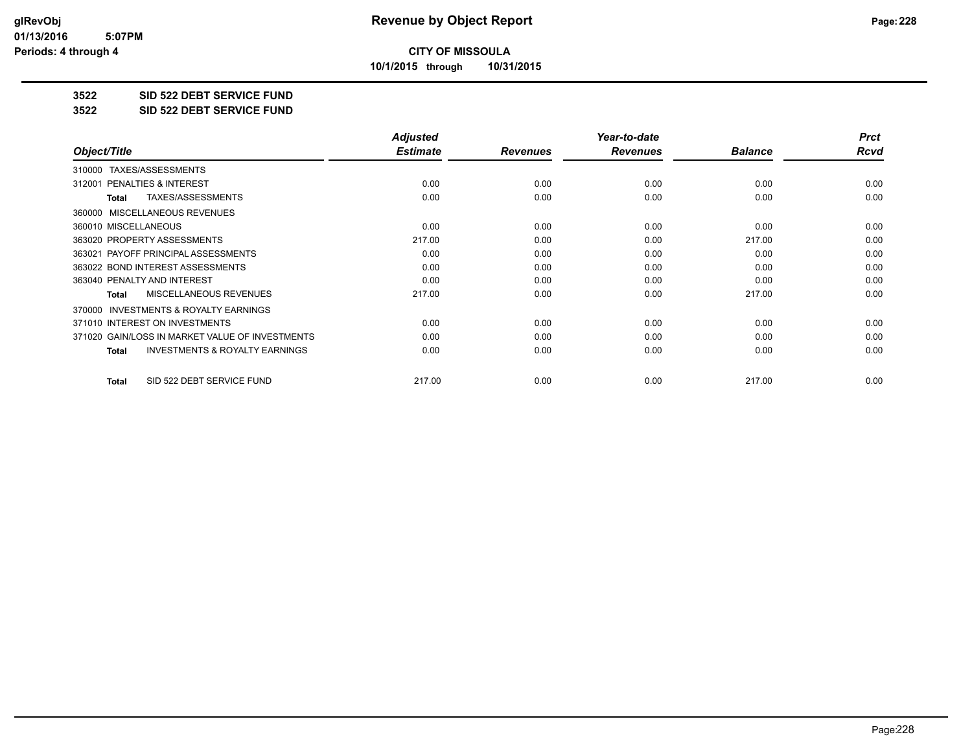**10/1/2015 through 10/31/2015**

#### **3522 SID 522 DEBT SERVICE FUND**

**3522 SID 522 DEBT SERVICE FUND**

|                                                           | <b>Adjusted</b> |                 | Year-to-date    |                | <b>Prct</b> |
|-----------------------------------------------------------|-----------------|-----------------|-----------------|----------------|-------------|
| Object/Title                                              | <b>Estimate</b> | <b>Revenues</b> | <b>Revenues</b> | <b>Balance</b> | Rcvd        |
| TAXES/ASSESSMENTS<br>310000                               |                 |                 |                 |                |             |
| 312001 PENALTIES & INTEREST                               | 0.00            | 0.00            | 0.00            | 0.00           | 0.00        |
| TAXES/ASSESSMENTS<br>Total                                | 0.00            | 0.00            | 0.00            | 0.00           | 0.00        |
| MISCELLANEOUS REVENUES<br>360000                          |                 |                 |                 |                |             |
| 360010 MISCELLANEOUS                                      | 0.00            | 0.00            | 0.00            | 0.00           | 0.00        |
| 363020 PROPERTY ASSESSMENTS                               | 217.00          | 0.00            | 0.00            | 217.00         | 0.00        |
| 363021 PAYOFF PRINCIPAL ASSESSMENTS                       | 0.00            | 0.00            | 0.00            | 0.00           | 0.00        |
| 363022 BOND INTEREST ASSESSMENTS                          | 0.00            | 0.00            | 0.00            | 0.00           | 0.00        |
| 363040 PENALTY AND INTEREST                               | 0.00            | 0.00            | 0.00            | 0.00           | 0.00        |
| <b>MISCELLANEOUS REVENUES</b><br><b>Total</b>             | 217.00          | 0.00            | 0.00            | 217.00         | 0.00        |
| 370000 INVESTMENTS & ROYALTY EARNINGS                     |                 |                 |                 |                |             |
| 371010 INTEREST ON INVESTMENTS                            | 0.00            | 0.00            | 0.00            | 0.00           | 0.00        |
| 371020 GAIN/LOSS IN MARKET VALUE OF INVESTMENTS           | 0.00            | 0.00            | 0.00            | 0.00           | 0.00        |
| <b>INVESTMENTS &amp; ROYALTY EARNINGS</b><br><b>Total</b> | 0.00            | 0.00            | 0.00            | 0.00           | 0.00        |
| SID 522 DEBT SERVICE FUND<br><b>Total</b>                 | 217.00          | 0.00            | 0.00            | 217.00         | 0.00        |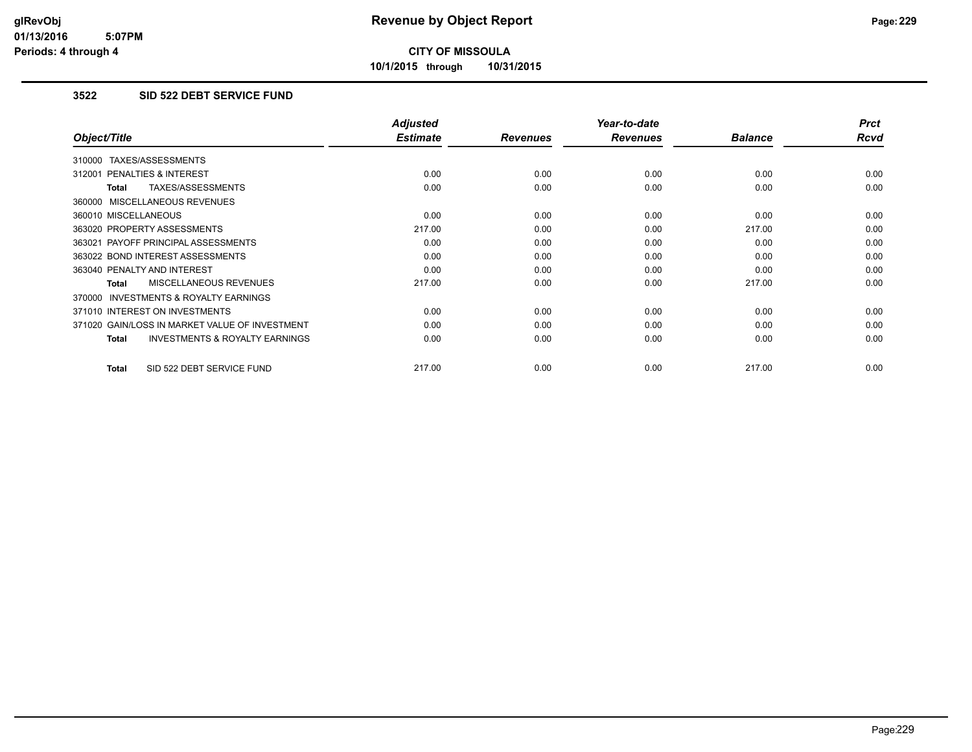**10/1/2015 through 10/31/2015**

#### **3522 SID 522 DEBT SERVICE FUND**

|                                                    | <b>Adjusted</b> |                 | Year-to-date    |                | <b>Prct</b> |
|----------------------------------------------------|-----------------|-----------------|-----------------|----------------|-------------|
| Object/Title                                       | <b>Estimate</b> | <b>Revenues</b> | <b>Revenues</b> | <b>Balance</b> | Rcvd        |
| 310000 TAXES/ASSESSMENTS                           |                 |                 |                 |                |             |
| 312001 PENALTIES & INTEREST                        | 0.00            | 0.00            | 0.00            | 0.00           | 0.00        |
| TAXES/ASSESSMENTS<br>Total                         | 0.00            | 0.00            | 0.00            | 0.00           | 0.00        |
| 360000 MISCELLANEOUS REVENUES                      |                 |                 |                 |                |             |
| 360010 MISCELLANEOUS                               | 0.00            | 0.00            | 0.00            | 0.00           | 0.00        |
| 363020 PROPERTY ASSESSMENTS                        | 217.00          | 0.00            | 0.00            | 217.00         | 0.00        |
| 363021 PAYOFF PRINCIPAL ASSESSMENTS                | 0.00            | 0.00            | 0.00            | 0.00           | 0.00        |
| 363022 BOND INTEREST ASSESSMENTS                   | 0.00            | 0.00            | 0.00            | 0.00           | 0.00        |
| 363040 PENALTY AND INTEREST                        | 0.00            | 0.00            | 0.00            | 0.00           | 0.00        |
| <b>MISCELLANEOUS REVENUES</b><br>Total             | 217.00          | 0.00            | 0.00            | 217.00         | 0.00        |
| INVESTMENTS & ROYALTY EARNINGS<br>370000           |                 |                 |                 |                |             |
| 371010 INTEREST ON INVESTMENTS                     | 0.00            | 0.00            | 0.00            | 0.00           | 0.00        |
| 371020 GAIN/LOSS IN MARKET VALUE OF INVESTMENT     | 0.00            | 0.00            | 0.00            | 0.00           | 0.00        |
| <b>INVESTMENTS &amp; ROYALTY EARNINGS</b><br>Total | 0.00            | 0.00            | 0.00            | 0.00           | 0.00        |
| SID 522 DEBT SERVICE FUND<br><b>Total</b>          | 217.00          | 0.00            | 0.00            | 217.00         | 0.00        |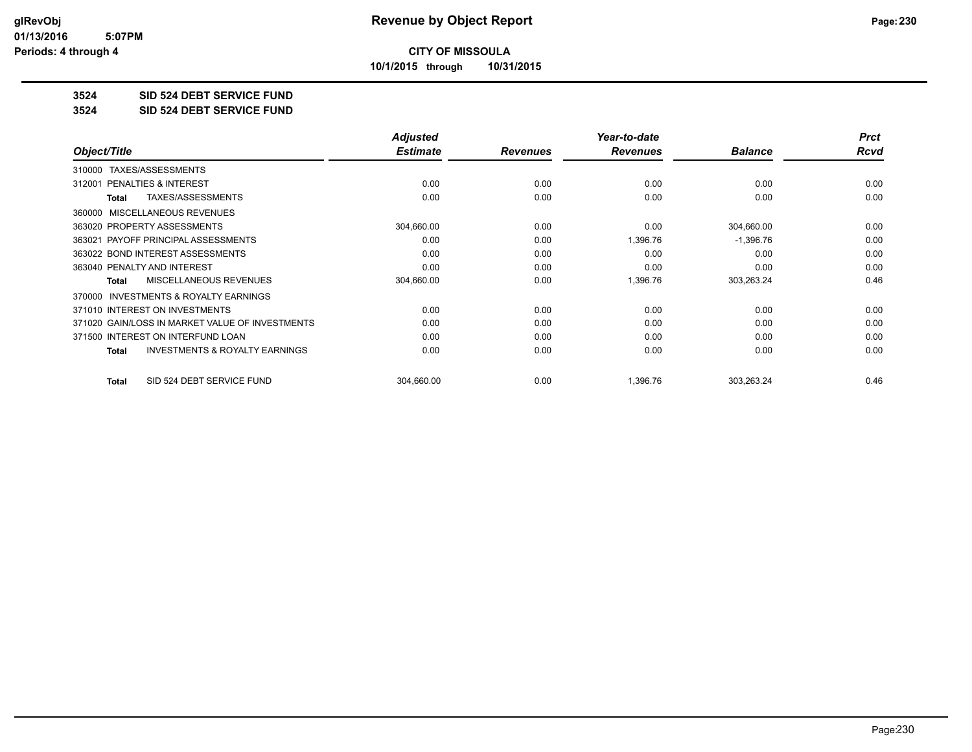**10/1/2015 through 10/31/2015**

#### **3524 SID 524 DEBT SERVICE FUND**

**3524 SID 524 DEBT SERVICE FUND**

|                                                           | <b>Adjusted</b> |                 | Year-to-date    |                | <b>Prct</b> |
|-----------------------------------------------------------|-----------------|-----------------|-----------------|----------------|-------------|
| Object/Title                                              | <b>Estimate</b> | <b>Revenues</b> | <b>Revenues</b> | <b>Balance</b> | Rcvd        |
| TAXES/ASSESSMENTS<br>310000                               |                 |                 |                 |                |             |
| 312001 PENALTIES & INTEREST                               | 0.00            | 0.00            | 0.00            | 0.00           | 0.00        |
| TAXES/ASSESSMENTS<br>Total                                | 0.00            | 0.00            | 0.00            | 0.00           | 0.00        |
| MISCELLANEOUS REVENUES<br>360000                          |                 |                 |                 |                |             |
| 363020 PROPERTY ASSESSMENTS                               | 304,660.00      | 0.00            | 0.00            | 304,660.00     | 0.00        |
| 363021 PAYOFF PRINCIPAL ASSESSMENTS                       | 0.00            | 0.00            | 1,396.76        | $-1,396.76$    | 0.00        |
| 363022 BOND INTEREST ASSESSMENTS                          | 0.00            | 0.00            | 0.00            | 0.00           | 0.00        |
| 363040 PENALTY AND INTEREST                               | 0.00            | 0.00            | 0.00            | 0.00           | 0.00        |
| MISCELLANEOUS REVENUES<br>Total                           | 304,660.00      | 0.00            | 1,396.76        | 303,263.24     | 0.46        |
| <b>INVESTMENTS &amp; ROYALTY EARNINGS</b><br>370000       |                 |                 |                 |                |             |
| 371010 INTEREST ON INVESTMENTS                            | 0.00            | 0.00            | 0.00            | 0.00           | 0.00        |
| 371020 GAIN/LOSS IN MARKET VALUE OF INVESTMENTS           | 0.00            | 0.00            | 0.00            | 0.00           | 0.00        |
| 371500 INTEREST ON INTERFUND LOAN                         | 0.00            | 0.00            | 0.00            | 0.00           | 0.00        |
| <b>INVESTMENTS &amp; ROYALTY EARNINGS</b><br><b>Total</b> | 0.00            | 0.00            | 0.00            | 0.00           | 0.00        |
| SID 524 DEBT SERVICE FUND<br>Total                        | 304,660.00      | 0.00            | 1,396.76        | 303,263.24     | 0.46        |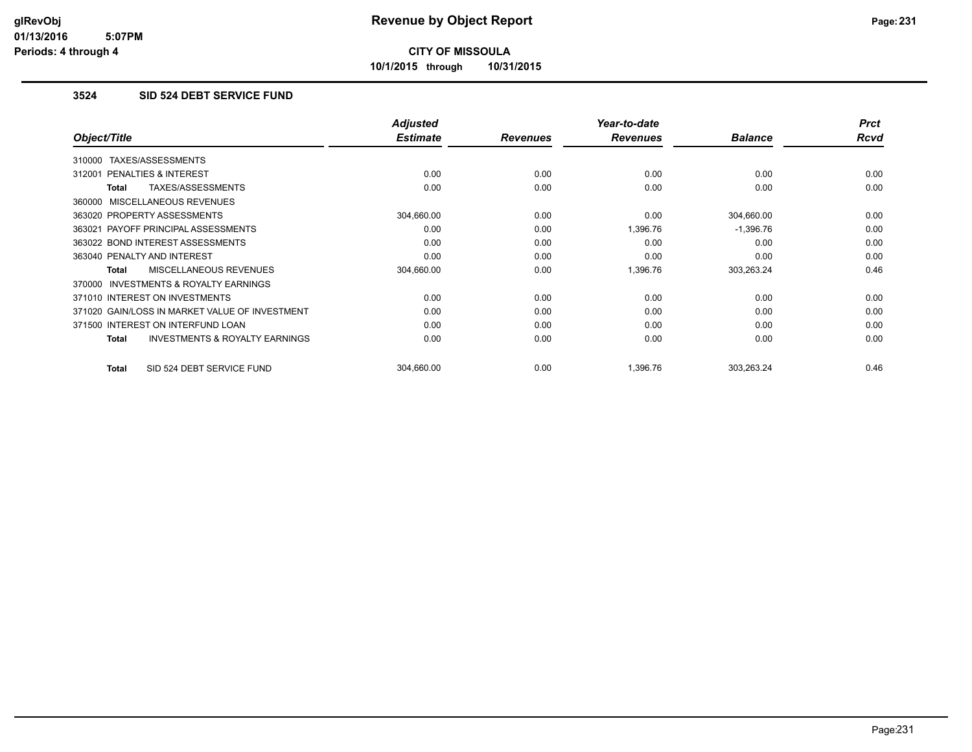**10/1/2015 through 10/31/2015**

#### **3524 SID 524 DEBT SERVICE FUND**

|                                                     | <b>Adjusted</b> |                 | Year-to-date    |                | <b>Prct</b> |
|-----------------------------------------------------|-----------------|-----------------|-----------------|----------------|-------------|
| Object/Title                                        | <b>Estimate</b> | <b>Revenues</b> | <b>Revenues</b> | <b>Balance</b> | <b>Rcvd</b> |
| TAXES/ASSESSMENTS<br>310000                         |                 |                 |                 |                |             |
| 312001 PENALTIES & INTEREST                         | 0.00            | 0.00            | 0.00            | 0.00           | 0.00        |
| TAXES/ASSESSMENTS<br>Total                          | 0.00            | 0.00            | 0.00            | 0.00           | 0.00        |
| 360000 MISCELLANEOUS REVENUES                       |                 |                 |                 |                |             |
| 363020 PROPERTY ASSESSMENTS                         | 304,660.00      | 0.00            | 0.00            | 304,660.00     | 0.00        |
| 363021 PAYOFF PRINCIPAL ASSESSMENTS                 | 0.00            | 0.00            | 1,396.76        | $-1,396.76$    | 0.00        |
| 363022 BOND INTEREST ASSESSMENTS                    | 0.00            | 0.00            | 0.00            | 0.00           | 0.00        |
| 363040 PENALTY AND INTEREST                         | 0.00            | 0.00            | 0.00            | 0.00           | 0.00        |
| <b>MISCELLANEOUS REVENUES</b><br><b>Total</b>       | 304,660.00      | 0.00            | 1,396.76        | 303,263.24     | 0.46        |
| <b>INVESTMENTS &amp; ROYALTY EARNINGS</b><br>370000 |                 |                 |                 |                |             |
| 371010 INTEREST ON INVESTMENTS                      | 0.00            | 0.00            | 0.00            | 0.00           | 0.00        |
| 371020 GAIN/LOSS IN MARKET VALUE OF INVESTMENT      | 0.00            | 0.00            | 0.00            | 0.00           | 0.00        |
| 371500 INTEREST ON INTERFUND LOAN                   | 0.00            | 0.00            | 0.00            | 0.00           | 0.00        |
| <b>INVESTMENTS &amp; ROYALTY EARNINGS</b><br>Total  | 0.00            | 0.00            | 0.00            | 0.00           | 0.00        |
| SID 524 DEBT SERVICE FUND<br>Total                  | 304,660.00      | 0.00            | 1.396.76        | 303,263.24     | 0.46        |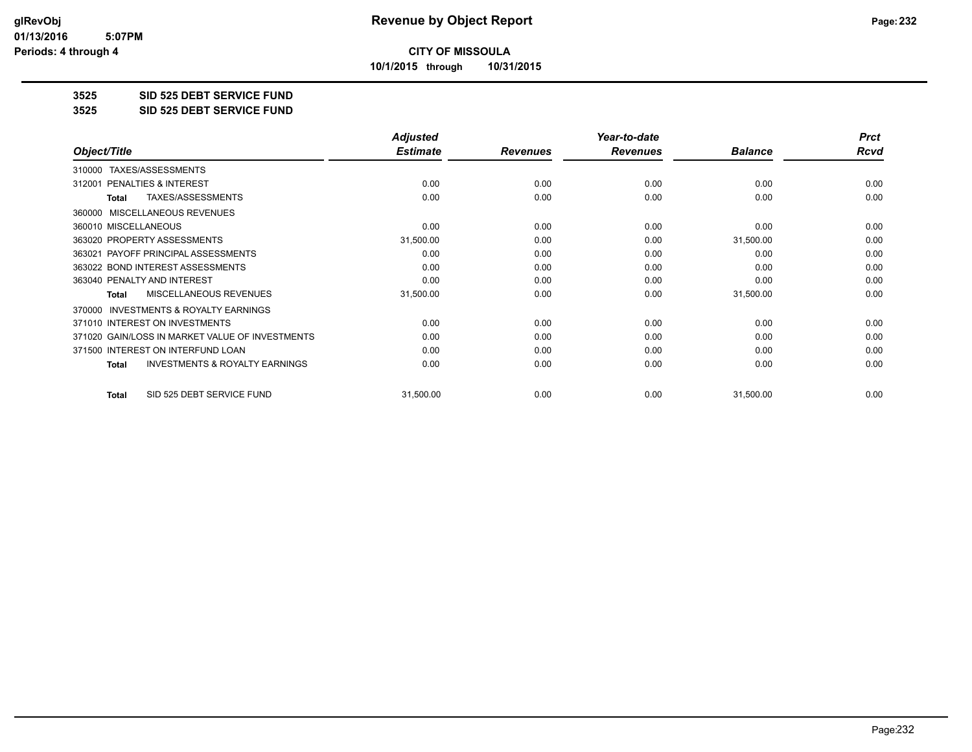**10/1/2015 through 10/31/2015**

#### **3525 SID 525 DEBT SERVICE FUND**

**3525 SID 525 DEBT SERVICE FUND**

|                                                           | <b>Adjusted</b> |                 | Year-to-date    |                | <b>Prct</b> |
|-----------------------------------------------------------|-----------------|-----------------|-----------------|----------------|-------------|
| Object/Title                                              | <b>Estimate</b> | <b>Revenues</b> | <b>Revenues</b> | <b>Balance</b> | Rcvd        |
| TAXES/ASSESSMENTS<br>310000                               |                 |                 |                 |                |             |
| PENALTIES & INTEREST<br>312001                            | 0.00            | 0.00            | 0.00            | 0.00           | 0.00        |
| TAXES/ASSESSMENTS<br><b>Total</b>                         | 0.00            | 0.00            | 0.00            | 0.00           | 0.00        |
| MISCELLANEOUS REVENUES<br>360000                          |                 |                 |                 |                |             |
| 360010 MISCELLANEOUS                                      | 0.00            | 0.00            | 0.00            | 0.00           | 0.00        |
| 363020 PROPERTY ASSESSMENTS                               | 31,500.00       | 0.00            | 0.00            | 31,500.00      | 0.00        |
| 363021 PAYOFF PRINCIPAL ASSESSMENTS                       | 0.00            | 0.00            | 0.00            | 0.00           | 0.00        |
| 363022 BOND INTEREST ASSESSMENTS                          | 0.00            | 0.00            | 0.00            | 0.00           | 0.00        |
| 363040 PENALTY AND INTEREST                               | 0.00            | 0.00            | 0.00            | 0.00           | 0.00        |
| <b>MISCELLANEOUS REVENUES</b><br><b>Total</b>             | 31,500.00       | 0.00            | 0.00            | 31,500.00      | 0.00        |
| <b>INVESTMENTS &amp; ROYALTY EARNINGS</b><br>370000       |                 |                 |                 |                |             |
| 371010 INTEREST ON INVESTMENTS                            | 0.00            | 0.00            | 0.00            | 0.00           | 0.00        |
| 371020 GAIN/LOSS IN MARKET VALUE OF INVESTMENTS           | 0.00            | 0.00            | 0.00            | 0.00           | 0.00        |
| 371500 INTEREST ON INTERFUND LOAN                         | 0.00            | 0.00            | 0.00            | 0.00           | 0.00        |
| <b>INVESTMENTS &amp; ROYALTY EARNINGS</b><br><b>Total</b> | 0.00            | 0.00            | 0.00            | 0.00           | 0.00        |
| SID 525 DEBT SERVICE FUND<br><b>Total</b>                 | 31,500.00       | 0.00            | 0.00            | 31,500.00      | 0.00        |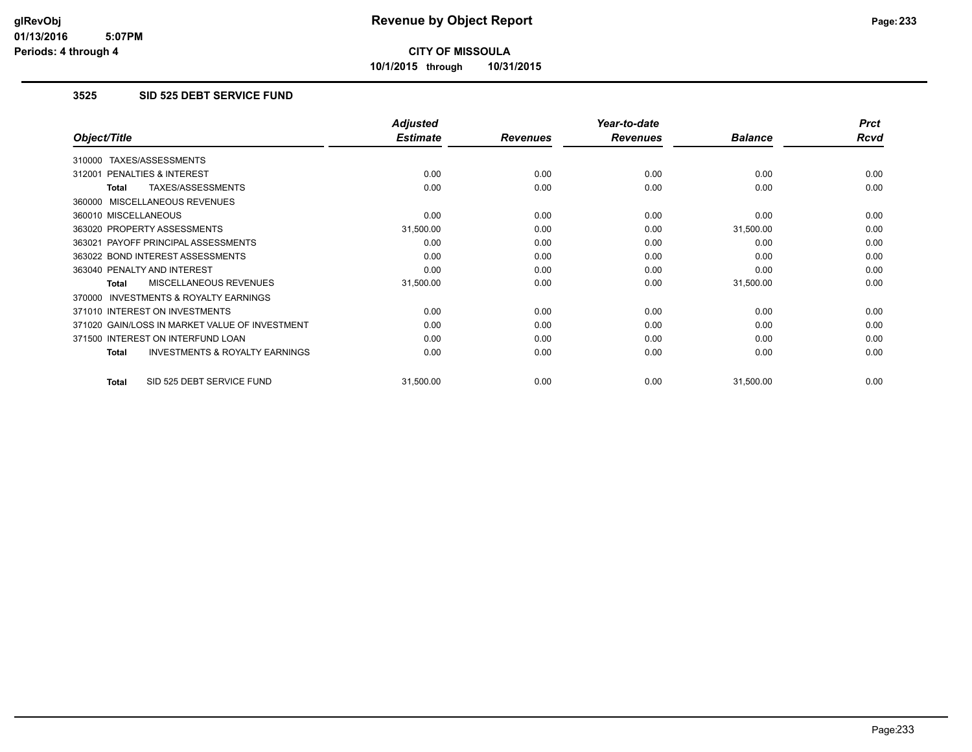**10/1/2015 through 10/31/2015**

#### **3525 SID 525 DEBT SERVICE FUND**

|                                                           | <b>Adjusted</b> |                 | Year-to-date    |                | <b>Prct</b> |
|-----------------------------------------------------------|-----------------|-----------------|-----------------|----------------|-------------|
| Object/Title                                              | <b>Estimate</b> | <b>Revenues</b> | <b>Revenues</b> | <b>Balance</b> | Rcvd        |
| TAXES/ASSESSMENTS<br>310000                               |                 |                 |                 |                |             |
| 312001 PENALTIES & INTEREST                               | 0.00            | 0.00            | 0.00            | 0.00           | 0.00        |
| TAXES/ASSESSMENTS<br>Total                                | 0.00            | 0.00            | 0.00            | 0.00           | 0.00        |
| 360000 MISCELLANEOUS REVENUES                             |                 |                 |                 |                |             |
| 360010 MISCELLANEOUS                                      | 0.00            | 0.00            | 0.00            | 0.00           | 0.00        |
| 363020 PROPERTY ASSESSMENTS                               | 31,500.00       | 0.00            | 0.00            | 31,500.00      | 0.00        |
| 363021 PAYOFF PRINCIPAL ASSESSMENTS                       | 0.00            | 0.00            | 0.00            | 0.00           | 0.00        |
| 363022 BOND INTEREST ASSESSMENTS                          | 0.00            | 0.00            | 0.00            | 0.00           | 0.00        |
| 363040 PENALTY AND INTEREST                               | 0.00            | 0.00            | 0.00            | 0.00           | 0.00        |
| MISCELLANEOUS REVENUES<br>Total                           | 31,500.00       | 0.00            | 0.00            | 31,500.00      | 0.00        |
| 370000 INVESTMENTS & ROYALTY EARNINGS                     |                 |                 |                 |                |             |
| 371010 INTEREST ON INVESTMENTS                            | 0.00            | 0.00            | 0.00            | 0.00           | 0.00        |
| 371020 GAIN/LOSS IN MARKET VALUE OF INVESTMENT            | 0.00            | 0.00            | 0.00            | 0.00           | 0.00        |
| 371500 INTEREST ON INTERFUND LOAN                         | 0.00            | 0.00            | 0.00            | 0.00           | 0.00        |
| <b>INVESTMENTS &amp; ROYALTY EARNINGS</b><br><b>Total</b> | 0.00            | 0.00            | 0.00            | 0.00           | 0.00        |
|                                                           |                 |                 |                 |                |             |
| SID 525 DEBT SERVICE FUND<br><b>Total</b>                 | 31,500.00       | 0.00            | 0.00            | 31,500.00      | 0.00        |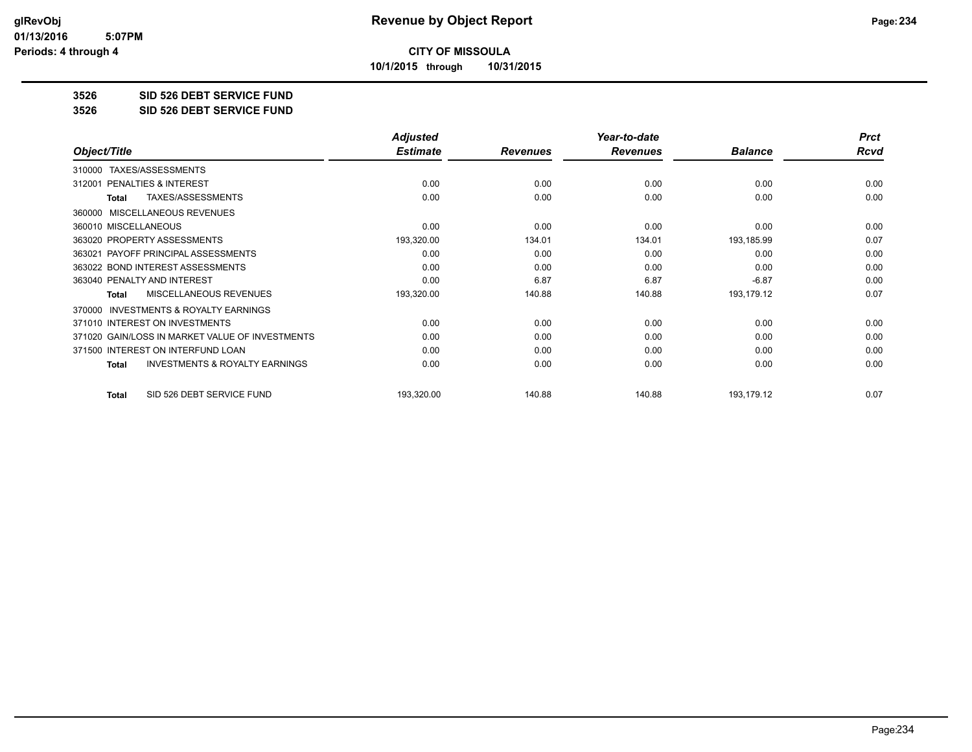**10/1/2015 through 10/31/2015**

#### **3526 SID 526 DEBT SERVICE FUND**

**3526 SID 526 DEBT SERVICE FUND**

|                                                           | <b>Adjusted</b> |                 | Year-to-date    |                | <b>Prct</b> |
|-----------------------------------------------------------|-----------------|-----------------|-----------------|----------------|-------------|
| Object/Title                                              | <b>Estimate</b> | <b>Revenues</b> | <b>Revenues</b> | <b>Balance</b> | <b>Rcvd</b> |
| TAXES/ASSESSMENTS<br>310000                               |                 |                 |                 |                |             |
| <b>PENALTIES &amp; INTEREST</b><br>312001                 | 0.00            | 0.00            | 0.00            | 0.00           | 0.00        |
| TAXES/ASSESSMENTS<br><b>Total</b>                         | 0.00            | 0.00            | 0.00            | 0.00           | 0.00        |
| MISCELLANEOUS REVENUES<br>360000                          |                 |                 |                 |                |             |
| 360010 MISCELLANEOUS                                      | 0.00            | 0.00            | 0.00            | 0.00           | 0.00        |
| 363020 PROPERTY ASSESSMENTS                               | 193,320.00      | 134.01          | 134.01          | 193,185.99     | 0.07        |
| 363021 PAYOFF PRINCIPAL ASSESSMENTS                       | 0.00            | 0.00            | 0.00            | 0.00           | 0.00        |
| 363022 BOND INTEREST ASSESSMENTS                          | 0.00            | 0.00            | 0.00            | 0.00           | 0.00        |
| 363040 PENALTY AND INTEREST                               | 0.00            | 6.87            | 6.87            | $-6.87$        | 0.00        |
| <b>MISCELLANEOUS REVENUES</b><br><b>Total</b>             | 193,320.00      | 140.88          | 140.88          | 193,179.12     | 0.07        |
| <b>INVESTMENTS &amp; ROYALTY EARNINGS</b><br>370000       |                 |                 |                 |                |             |
| 371010 INTEREST ON INVESTMENTS                            | 0.00            | 0.00            | 0.00            | 0.00           | 0.00        |
| 371020 GAIN/LOSS IN MARKET VALUE OF INVESTMENTS           | 0.00            | 0.00            | 0.00            | 0.00           | 0.00        |
| 371500 INTEREST ON INTERFUND LOAN                         | 0.00            | 0.00            | 0.00            | 0.00           | 0.00        |
| <b>INVESTMENTS &amp; ROYALTY EARNINGS</b><br><b>Total</b> | 0.00            | 0.00            | 0.00            | 0.00           | 0.00        |
| SID 526 DEBT SERVICE FUND<br><b>Total</b>                 | 193,320.00      | 140.88          | 140.88          | 193,179.12     | 0.07        |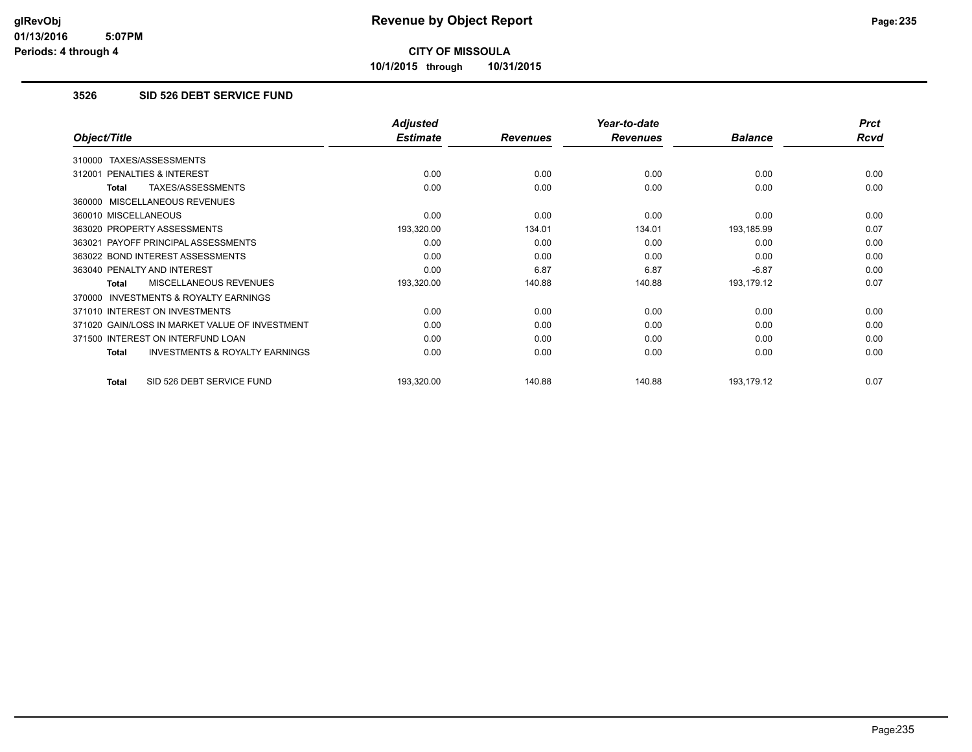**10/1/2015 through 10/31/2015**

#### **3526 SID 526 DEBT SERVICE FUND**

|                                                           | <b>Adjusted</b> |                 | Year-to-date    |                | <b>Prct</b> |
|-----------------------------------------------------------|-----------------|-----------------|-----------------|----------------|-------------|
| Object/Title                                              | <b>Estimate</b> | <b>Revenues</b> | <b>Revenues</b> | <b>Balance</b> | Rcvd        |
| TAXES/ASSESSMENTS<br>310000                               |                 |                 |                 |                |             |
| PENALTIES & INTEREST<br>312001                            | 0.00            | 0.00            | 0.00            | 0.00           | 0.00        |
| TAXES/ASSESSMENTS<br>Total                                | 0.00            | 0.00            | 0.00            | 0.00           | 0.00        |
| 360000 MISCELLANEOUS REVENUES                             |                 |                 |                 |                |             |
| 360010 MISCELLANEOUS                                      | 0.00            | 0.00            | 0.00            | 0.00           | 0.00        |
| 363020 PROPERTY ASSESSMENTS                               | 193,320.00      | 134.01          | 134.01          | 193,185.99     | 0.07        |
| 363021 PAYOFF PRINCIPAL ASSESSMENTS                       | 0.00            | 0.00            | 0.00            | 0.00           | 0.00        |
| 363022 BOND INTEREST ASSESSMENTS                          | 0.00            | 0.00            | 0.00            | 0.00           | 0.00        |
| 363040 PENALTY AND INTEREST                               | 0.00            | 6.87            | 6.87            | $-6.87$        | 0.00        |
| MISCELLANEOUS REVENUES<br><b>Total</b>                    | 193,320.00      | 140.88          | 140.88          | 193,179.12     | 0.07        |
| 370000 INVESTMENTS & ROYALTY EARNINGS                     |                 |                 |                 |                |             |
| 371010 INTEREST ON INVESTMENTS                            | 0.00            | 0.00            | 0.00            | 0.00           | 0.00        |
| 371020 GAIN/LOSS IN MARKET VALUE OF INVESTMENT            | 0.00            | 0.00            | 0.00            | 0.00           | 0.00        |
| 371500 INTEREST ON INTERFUND LOAN                         | 0.00            | 0.00            | 0.00            | 0.00           | 0.00        |
| <b>INVESTMENTS &amp; ROYALTY EARNINGS</b><br><b>Total</b> | 0.00            | 0.00            | 0.00            | 0.00           | 0.00        |
| SID 526 DEBT SERVICE FUND<br><b>Total</b>                 | 193,320.00      | 140.88          | 140.88          | 193,179.12     | 0.07        |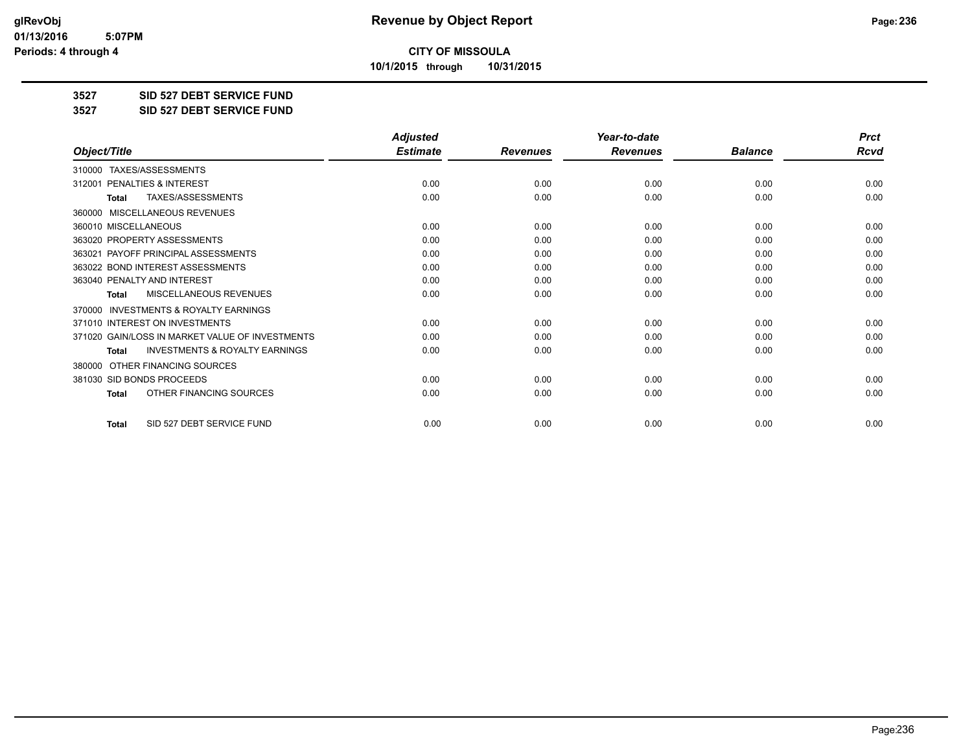**10/1/2015 through 10/31/2015**

#### **3527 SID 527 DEBT SERVICE FUND**

**3527 SID 527 DEBT SERVICE FUND**

|                                                     | <b>Adjusted</b> |                 | Year-to-date    |                | <b>Prct</b> |
|-----------------------------------------------------|-----------------|-----------------|-----------------|----------------|-------------|
| Object/Title                                        | <b>Estimate</b> | <b>Revenues</b> | <b>Revenues</b> | <b>Balance</b> | <b>Rcvd</b> |
| 310000 TAXES/ASSESSMENTS                            |                 |                 |                 |                |             |
| <b>PENALTIES &amp; INTEREST</b><br>312001           | 0.00            | 0.00            | 0.00            | 0.00           | 0.00        |
| TAXES/ASSESSMENTS<br><b>Total</b>                   | 0.00            | 0.00            | 0.00            | 0.00           | 0.00        |
| <b>MISCELLANEOUS REVENUES</b><br>360000             |                 |                 |                 |                |             |
| 360010 MISCELLANEOUS                                | 0.00            | 0.00            | 0.00            | 0.00           | 0.00        |
| 363020 PROPERTY ASSESSMENTS                         | 0.00            | 0.00            | 0.00            | 0.00           | 0.00        |
| 363021 PAYOFF PRINCIPAL ASSESSMENTS                 | 0.00            | 0.00            | 0.00            | 0.00           | 0.00        |
| 363022 BOND INTEREST ASSESSMENTS                    | 0.00            | 0.00            | 0.00            | 0.00           | 0.00        |
| 363040 PENALTY AND INTEREST                         | 0.00            | 0.00            | 0.00            | 0.00           | 0.00        |
| MISCELLANEOUS REVENUES<br><b>Total</b>              | 0.00            | 0.00            | 0.00            | 0.00           | 0.00        |
| <b>INVESTMENTS &amp; ROYALTY EARNINGS</b><br>370000 |                 |                 |                 |                |             |
| 371010 INTEREST ON INVESTMENTS                      | 0.00            | 0.00            | 0.00            | 0.00           | 0.00        |
| 371020 GAIN/LOSS IN MARKET VALUE OF INVESTMENTS     | 0.00            | 0.00            | 0.00            | 0.00           | 0.00        |
| <b>INVESTMENTS &amp; ROYALTY EARNINGS</b><br>Total  | 0.00            | 0.00            | 0.00            | 0.00           | 0.00        |
| OTHER FINANCING SOURCES<br>380000                   |                 |                 |                 |                |             |
| 381030 SID BONDS PROCEEDS                           | 0.00            | 0.00            | 0.00            | 0.00           | 0.00        |
| OTHER FINANCING SOURCES<br><b>Total</b>             | 0.00            | 0.00            | 0.00            | 0.00           | 0.00        |
| SID 527 DEBT SERVICE FUND<br><b>Total</b>           | 0.00            | 0.00            | 0.00            | 0.00           | 0.00        |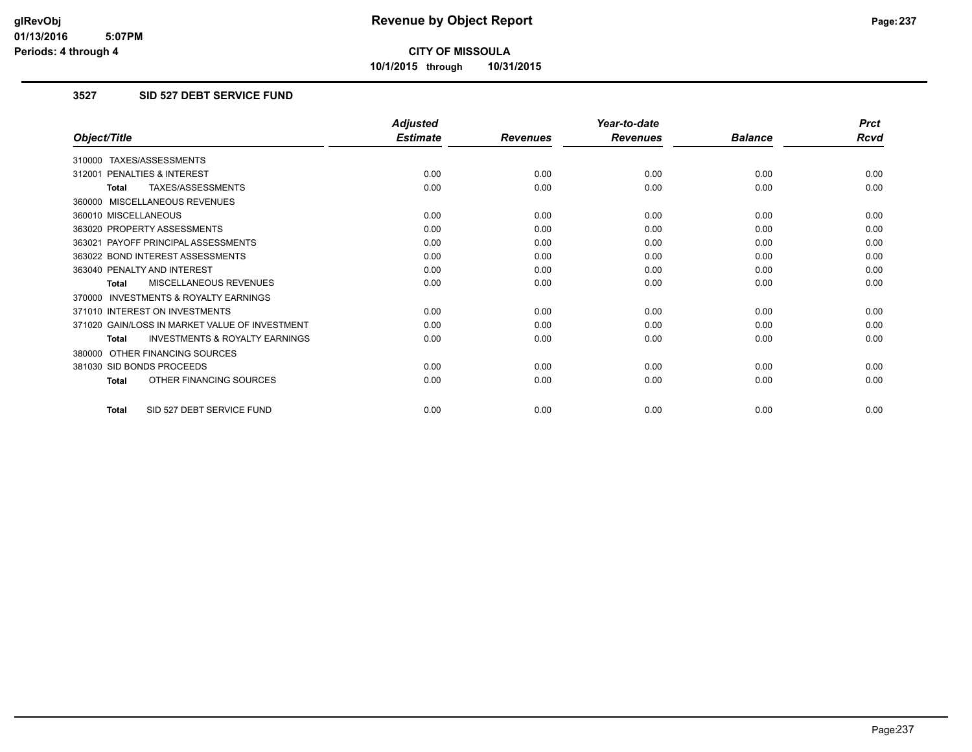**10/1/2015 through 10/31/2015**

#### **3527 SID 527 DEBT SERVICE FUND**

|                                                           | <b>Adjusted</b> |                 | Year-to-date    |                | <b>Prct</b> |
|-----------------------------------------------------------|-----------------|-----------------|-----------------|----------------|-------------|
| Object/Title                                              | <b>Estimate</b> | <b>Revenues</b> | <b>Revenues</b> | <b>Balance</b> | Rcvd        |
| 310000 TAXES/ASSESSMENTS                                  |                 |                 |                 |                |             |
| 312001 PENALTIES & INTEREST                               | 0.00            | 0.00            | 0.00            | 0.00           | 0.00        |
| TAXES/ASSESSMENTS<br><b>Total</b>                         | 0.00            | 0.00            | 0.00            | 0.00           | 0.00        |
| 360000 MISCELLANEOUS REVENUES                             |                 |                 |                 |                |             |
| 360010 MISCELLANEOUS                                      | 0.00            | 0.00            | 0.00            | 0.00           | 0.00        |
| 363020 PROPERTY ASSESSMENTS                               | 0.00            | 0.00            | 0.00            | 0.00           | 0.00        |
| 363021 PAYOFF PRINCIPAL ASSESSMENTS                       | 0.00            | 0.00            | 0.00            | 0.00           | 0.00        |
| 363022 BOND INTEREST ASSESSMENTS                          | 0.00            | 0.00            | 0.00            | 0.00           | 0.00        |
| 363040 PENALTY AND INTEREST                               | 0.00            | 0.00            | 0.00            | 0.00           | 0.00        |
| MISCELLANEOUS REVENUES<br><b>Total</b>                    | 0.00            | 0.00            | 0.00            | 0.00           | 0.00        |
| <b>INVESTMENTS &amp; ROYALTY EARNINGS</b><br>370000       |                 |                 |                 |                |             |
| 371010 INTEREST ON INVESTMENTS                            | 0.00            | 0.00            | 0.00            | 0.00           | 0.00        |
| 371020 GAIN/LOSS IN MARKET VALUE OF INVESTMENT            | 0.00            | 0.00            | 0.00            | 0.00           | 0.00        |
| <b>INVESTMENTS &amp; ROYALTY EARNINGS</b><br><b>Total</b> | 0.00            | 0.00            | 0.00            | 0.00           | 0.00        |
| 380000 OTHER FINANCING SOURCES                            |                 |                 |                 |                |             |
| 381030 SID BONDS PROCEEDS                                 | 0.00            | 0.00            | 0.00            | 0.00           | 0.00        |
| OTHER FINANCING SOURCES<br><b>Total</b>                   | 0.00            | 0.00            | 0.00            | 0.00           | 0.00        |
| SID 527 DEBT SERVICE FUND<br>Total                        | 0.00            | 0.00            | 0.00            | 0.00           | 0.00        |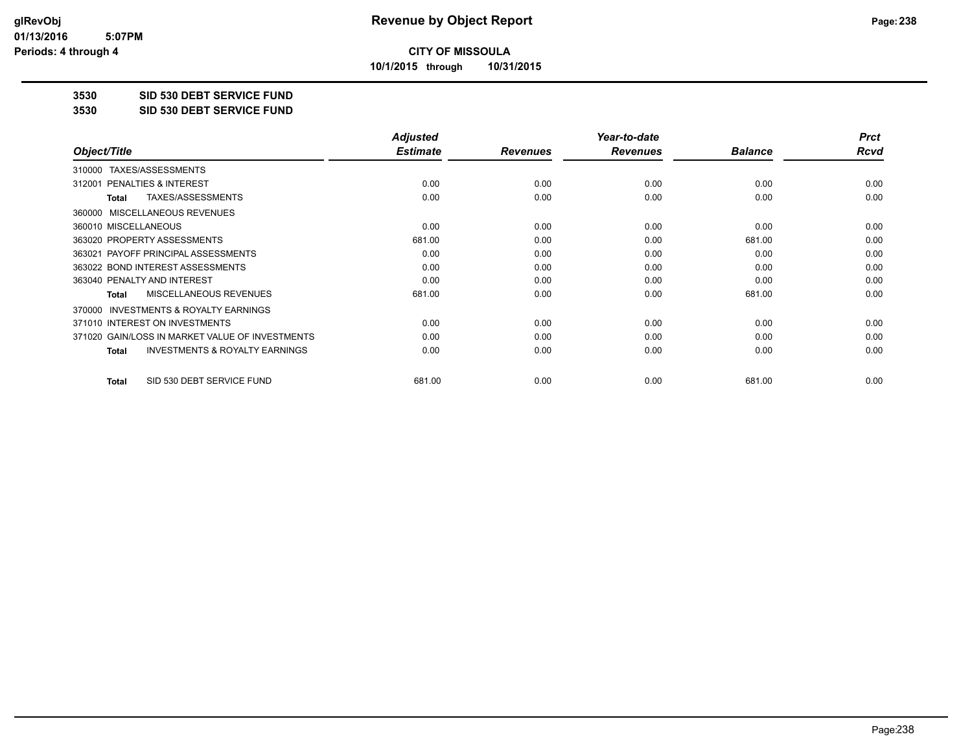**10/1/2015 through 10/31/2015**

#### **3530 SID 530 DEBT SERVICE FUND**

**3530 SID 530 DEBT SERVICE FUND**

|                                                           | <b>Adjusted</b> |                 | Year-to-date    |                | <b>Prct</b> |
|-----------------------------------------------------------|-----------------|-----------------|-----------------|----------------|-------------|
| Object/Title                                              | <b>Estimate</b> | <b>Revenues</b> | <b>Revenues</b> | <b>Balance</b> | Rcvd        |
| TAXES/ASSESSMENTS<br>310000                               |                 |                 |                 |                |             |
| 312001 PENALTIES & INTEREST                               | 0.00            | 0.00            | 0.00            | 0.00           | 0.00        |
| TAXES/ASSESSMENTS<br><b>Total</b>                         | 0.00            | 0.00            | 0.00            | 0.00           | 0.00        |
| MISCELLANEOUS REVENUES<br>360000                          |                 |                 |                 |                |             |
| 360010 MISCELLANEOUS                                      | 0.00            | 0.00            | 0.00            | 0.00           | 0.00        |
| 363020 PROPERTY ASSESSMENTS                               | 681.00          | 0.00            | 0.00            | 681.00         | 0.00        |
| 363021 PAYOFF PRINCIPAL ASSESSMENTS                       | 0.00            | 0.00            | 0.00            | 0.00           | 0.00        |
| 363022 BOND INTEREST ASSESSMENTS                          | 0.00            | 0.00            | 0.00            | 0.00           | 0.00        |
| 363040 PENALTY AND INTEREST                               | 0.00            | 0.00            | 0.00            | 0.00           | 0.00        |
| MISCELLANEOUS REVENUES<br><b>Total</b>                    | 681.00          | 0.00            | 0.00            | 681.00         | 0.00        |
| INVESTMENTS & ROYALTY EARNINGS<br>370000                  |                 |                 |                 |                |             |
| 371010 INTEREST ON INVESTMENTS                            | 0.00            | 0.00            | 0.00            | 0.00           | 0.00        |
| 371020 GAIN/LOSS IN MARKET VALUE OF INVESTMENTS           | 0.00            | 0.00            | 0.00            | 0.00           | 0.00        |
| <b>INVESTMENTS &amp; ROYALTY EARNINGS</b><br><b>Total</b> | 0.00            | 0.00            | 0.00            | 0.00           | 0.00        |
| SID 530 DEBT SERVICE FUND<br><b>Total</b>                 | 681.00          | 0.00            | 0.00            | 681.00         | 0.00        |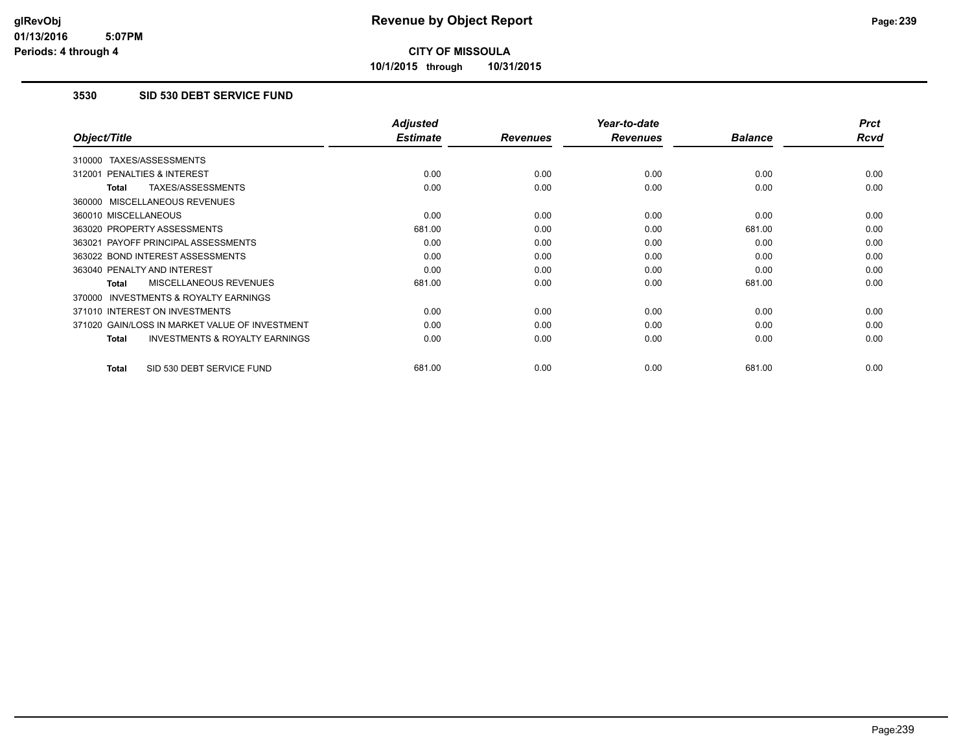**10/1/2015 through 10/31/2015**

#### **3530 SID 530 DEBT SERVICE FUND**

|                                                           | <b>Adjusted</b> |                 | Year-to-date    |                | <b>Prct</b> |
|-----------------------------------------------------------|-----------------|-----------------|-----------------|----------------|-------------|
| Object/Title                                              | <b>Estimate</b> | <b>Revenues</b> | <b>Revenues</b> | <b>Balance</b> | <b>Rcvd</b> |
| 310000 TAXES/ASSESSMENTS                                  |                 |                 |                 |                |             |
| PENALTIES & INTEREST<br>312001                            | 0.00            | 0.00            | 0.00            | 0.00           | 0.00        |
| TAXES/ASSESSMENTS<br>Total                                | 0.00            | 0.00            | 0.00            | 0.00           | 0.00        |
| 360000 MISCELLANEOUS REVENUES                             |                 |                 |                 |                |             |
| 360010 MISCELLANEOUS                                      | 0.00            | 0.00            | 0.00            | 0.00           | 0.00        |
| 363020 PROPERTY ASSESSMENTS                               | 681.00          | 0.00            | 0.00            | 681.00         | 0.00        |
| 363021 PAYOFF PRINCIPAL ASSESSMENTS                       | 0.00            | 0.00            | 0.00            | 0.00           | 0.00        |
| 363022 BOND INTEREST ASSESSMENTS                          | 0.00            | 0.00            | 0.00            | 0.00           | 0.00        |
| 363040 PENALTY AND INTEREST                               | 0.00            | 0.00            | 0.00            | 0.00           | 0.00        |
| <b>MISCELLANEOUS REVENUES</b><br>Total                    | 681.00          | 0.00            | 0.00            | 681.00         | 0.00        |
| <b>INVESTMENTS &amp; ROYALTY EARNINGS</b><br>370000       |                 |                 |                 |                |             |
| 371010 INTEREST ON INVESTMENTS                            | 0.00            | 0.00            | 0.00            | 0.00           | 0.00        |
| 371020 GAIN/LOSS IN MARKET VALUE OF INVESTMENT            | 0.00            | 0.00            | 0.00            | 0.00           | 0.00        |
| <b>INVESTMENTS &amp; ROYALTY EARNINGS</b><br><b>Total</b> | 0.00            | 0.00            | 0.00            | 0.00           | 0.00        |
| SID 530 DEBT SERVICE FUND<br><b>Total</b>                 | 681.00          | 0.00            | 0.00            | 681.00         | 0.00        |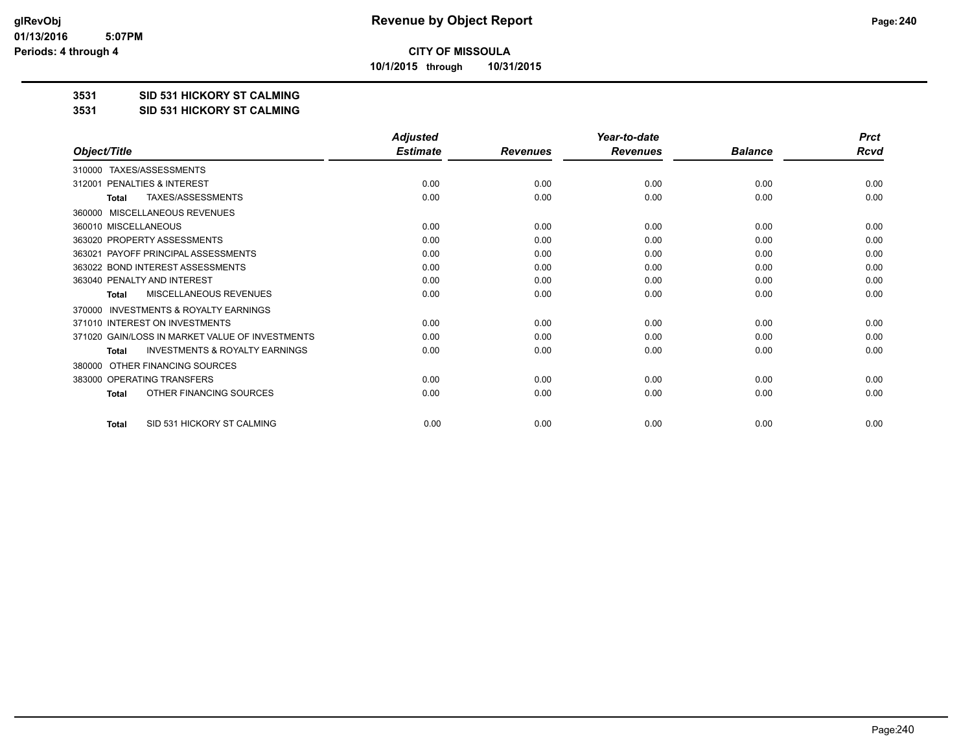**10/1/2015 through 10/31/2015**

#### **3531 SID 531 HICKORY ST CALMING**

#### **3531 SID 531 HICKORY ST CALMING**

|                                                           | <b>Adjusted</b> |                 | Year-to-date    |                | <b>Prct</b> |
|-----------------------------------------------------------|-----------------|-----------------|-----------------|----------------|-------------|
| Object/Title                                              | <b>Estimate</b> | <b>Revenues</b> | <b>Revenues</b> | <b>Balance</b> | Rcvd        |
| TAXES/ASSESSMENTS<br>310000                               |                 |                 |                 |                |             |
| PENALTIES & INTEREST<br>312001                            | 0.00            | 0.00            | 0.00            | 0.00           | 0.00        |
| <b>TAXES/ASSESSMENTS</b><br>Total                         | 0.00            | 0.00            | 0.00            | 0.00           | 0.00        |
| <b>MISCELLANEOUS REVENUES</b><br>360000                   |                 |                 |                 |                |             |
| 360010 MISCELLANEOUS                                      | 0.00            | 0.00            | 0.00            | 0.00           | 0.00        |
| 363020 PROPERTY ASSESSMENTS                               | 0.00            | 0.00            | 0.00            | 0.00           | 0.00        |
| 363021 PAYOFF PRINCIPAL ASSESSMENTS                       | 0.00            | 0.00            | 0.00            | 0.00           | 0.00        |
| 363022 BOND INTEREST ASSESSMENTS                          | 0.00            | 0.00            | 0.00            | 0.00           | 0.00        |
| 363040 PENALTY AND INTEREST                               | 0.00            | 0.00            | 0.00            | 0.00           | 0.00        |
| MISCELLANEOUS REVENUES<br>Total                           | 0.00            | 0.00            | 0.00            | 0.00           | 0.00        |
| <b>INVESTMENTS &amp; ROYALTY EARNINGS</b><br>370000       |                 |                 |                 |                |             |
| 371010 INTEREST ON INVESTMENTS                            | 0.00            | 0.00            | 0.00            | 0.00           | 0.00        |
| 371020 GAIN/LOSS IN MARKET VALUE OF INVESTMENTS           | 0.00            | 0.00            | 0.00            | 0.00           | 0.00        |
| <b>INVESTMENTS &amp; ROYALTY EARNINGS</b><br><b>Total</b> | 0.00            | 0.00            | 0.00            | 0.00           | 0.00        |
| OTHER FINANCING SOURCES<br>380000                         |                 |                 |                 |                |             |
| 383000 OPERATING TRANSFERS                                | 0.00            | 0.00            | 0.00            | 0.00           | 0.00        |
| OTHER FINANCING SOURCES<br><b>Total</b>                   | 0.00            | 0.00            | 0.00            | 0.00           | 0.00        |
| SID 531 HICKORY ST CALMING<br><b>Total</b>                | 0.00            | 0.00            | 0.00            | 0.00           | 0.00        |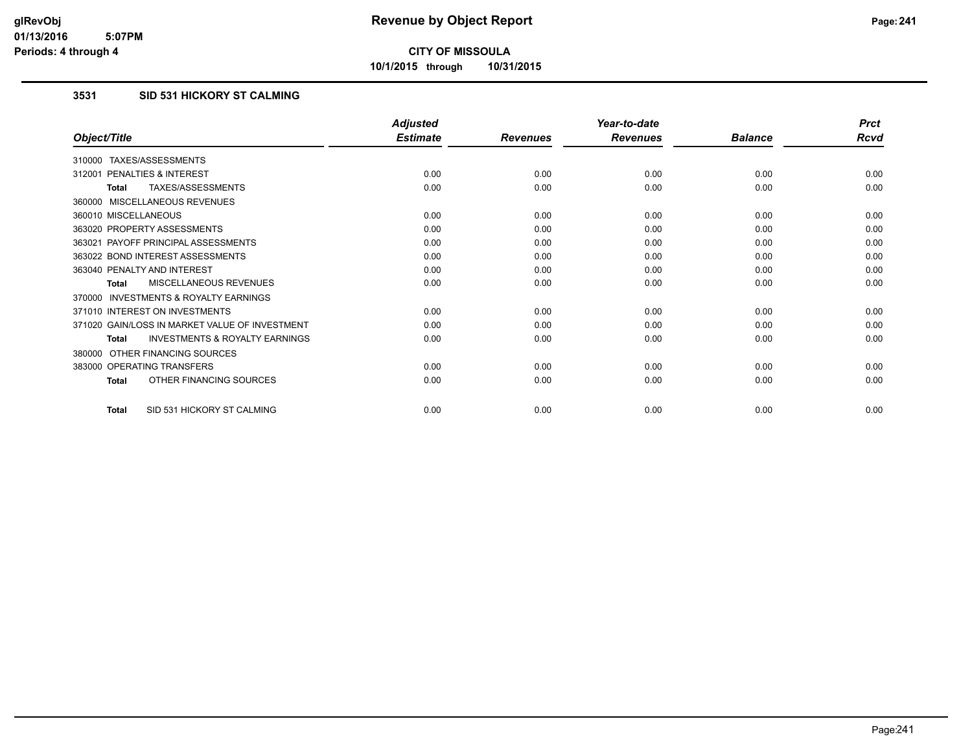**10/1/2015 through 10/31/2015**

### **3531 SID 531 HICKORY ST CALMING**

|                                                           | <b>Adjusted</b> |                 | Year-to-date    |                | <b>Prct</b> |
|-----------------------------------------------------------|-----------------|-----------------|-----------------|----------------|-------------|
| Object/Title                                              | <b>Estimate</b> | <b>Revenues</b> | <b>Revenues</b> | <b>Balance</b> | <b>Rcvd</b> |
| 310000 TAXES/ASSESSMENTS                                  |                 |                 |                 |                |             |
| PENALTIES & INTEREST<br>312001                            | 0.00            | 0.00            | 0.00            | 0.00           | 0.00        |
| TAXES/ASSESSMENTS<br><b>Total</b>                         | 0.00            | 0.00            | 0.00            | 0.00           | 0.00        |
| 360000 MISCELLANEOUS REVENUES                             |                 |                 |                 |                |             |
| 360010 MISCELLANEOUS                                      | 0.00            | 0.00            | 0.00            | 0.00           | 0.00        |
| 363020 PROPERTY ASSESSMENTS                               | 0.00            | 0.00            | 0.00            | 0.00           | 0.00        |
| 363021 PAYOFF PRINCIPAL ASSESSMENTS                       | 0.00            | 0.00            | 0.00            | 0.00           | 0.00        |
| 363022 BOND INTEREST ASSESSMENTS                          | 0.00            | 0.00            | 0.00            | 0.00           | 0.00        |
| 363040 PENALTY AND INTEREST                               | 0.00            | 0.00            | 0.00            | 0.00           | 0.00        |
| MISCELLANEOUS REVENUES<br><b>Total</b>                    | 0.00            | 0.00            | 0.00            | 0.00           | 0.00        |
| <b>INVESTMENTS &amp; ROYALTY EARNINGS</b><br>370000       |                 |                 |                 |                |             |
| 371010 INTEREST ON INVESTMENTS                            | 0.00            | 0.00            | 0.00            | 0.00           | 0.00        |
| 371020 GAIN/LOSS IN MARKET VALUE OF INVESTMENT            | 0.00            | 0.00            | 0.00            | 0.00           | 0.00        |
| <b>INVESTMENTS &amp; ROYALTY EARNINGS</b><br><b>Total</b> | 0.00            | 0.00            | 0.00            | 0.00           | 0.00        |
| OTHER FINANCING SOURCES<br>380000                         |                 |                 |                 |                |             |
| 383000 OPERATING TRANSFERS                                | 0.00            | 0.00            | 0.00            | 0.00           | 0.00        |
| OTHER FINANCING SOURCES<br><b>Total</b>                   | 0.00            | 0.00            | 0.00            | 0.00           | 0.00        |
| SID 531 HICKORY ST CALMING<br><b>Total</b>                | 0.00            | 0.00            | 0.00            | 0.00           | 0.00        |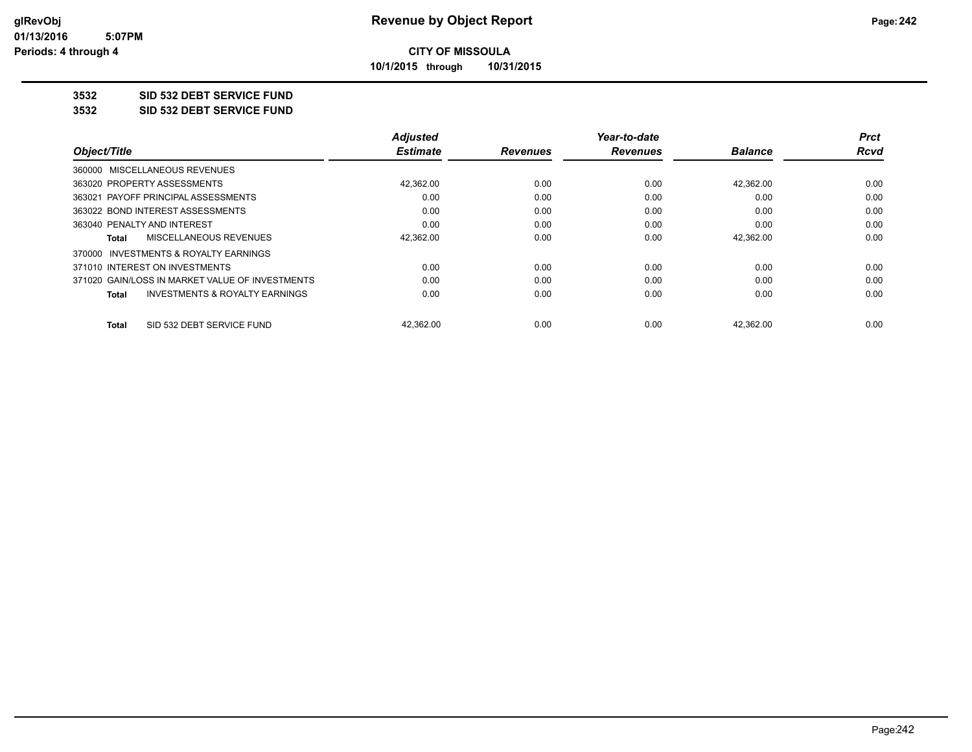**10/1/2015 through 10/31/2015**

### **3532 SID 532 DEBT SERVICE FUND**

**3532 SID 532 DEBT SERVICE FUND**

|                                                 | <b>Adjusted</b> |                 | Year-to-date    |                | <b>Prct</b> |
|-------------------------------------------------|-----------------|-----------------|-----------------|----------------|-------------|
| Object/Title                                    | <b>Estimate</b> | <b>Revenues</b> | <b>Revenues</b> | <b>Balance</b> | Rcvd        |
| 360000 MISCELLANEOUS REVENUES                   |                 |                 |                 |                |             |
| 363020 PROPERTY ASSESSMENTS                     | 42,362.00       | 0.00            | 0.00            | 42,362.00      | 0.00        |
| 363021 PAYOFF PRINCIPAL ASSESSMENTS             | 0.00            | 0.00            | 0.00            | 0.00           | 0.00        |
| 363022 BOND INTEREST ASSESSMENTS                | 0.00            | 0.00            | 0.00            | 0.00           | 0.00        |
| 363040 PENALTY AND INTEREST                     | 0.00            | 0.00            | 0.00            | 0.00           | 0.00        |
| MISCELLANEOUS REVENUES<br>Total                 | 42,362.00       | 0.00            | 0.00            | 42,362.00      | 0.00        |
| 370000 INVESTMENTS & ROYALTY EARNINGS           |                 |                 |                 |                |             |
| 371010 INTEREST ON INVESTMENTS                  | 0.00            | 0.00            | 0.00            | 0.00           | 0.00        |
| 371020 GAIN/LOSS IN MARKET VALUE OF INVESTMENTS | 0.00            | 0.00            | 0.00            | 0.00           | 0.00        |
| INVESTMENTS & ROYALTY EARNINGS<br>Total         | 0.00            | 0.00            | 0.00            | 0.00           | 0.00        |
| SID 532 DEBT SERVICE FUND<br>Total              | 42.362.00       | 0.00            | 0.00            | 42.362.00      | 0.00        |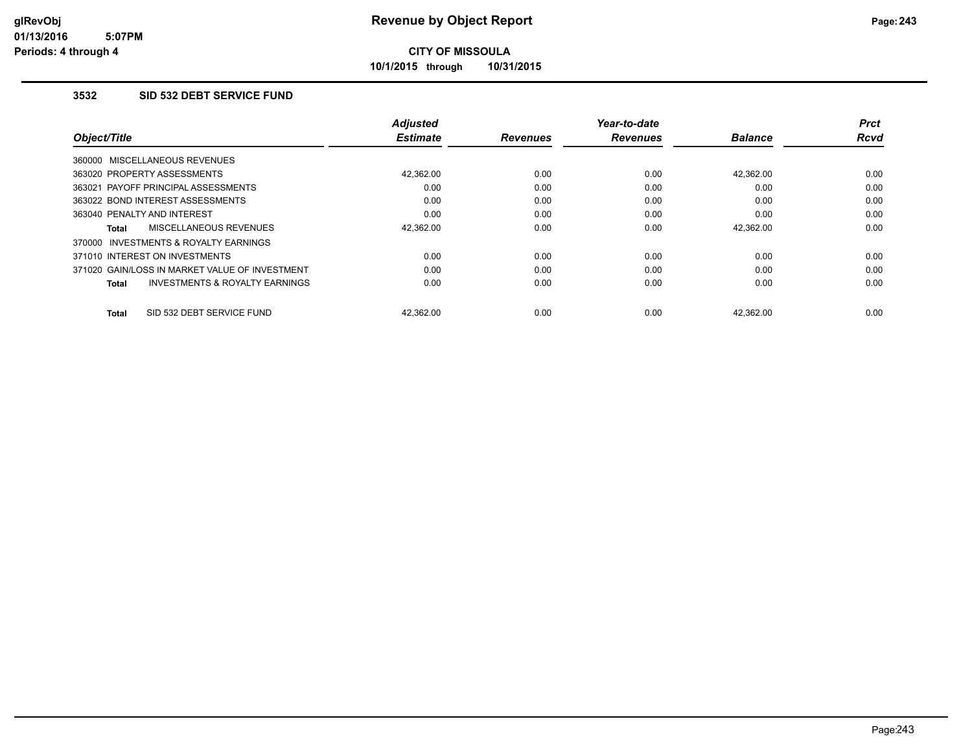**10/1/2015 through 10/31/2015**

#### **3532 SID 532 DEBT SERVICE FUND**

|                                                           | <b>Adjusted</b> |                 | Year-to-date    |                | Prct        |
|-----------------------------------------------------------|-----------------|-----------------|-----------------|----------------|-------------|
| Object/Title                                              | <b>Estimate</b> | <b>Revenues</b> | <b>Revenues</b> | <b>Balance</b> | <b>Rcvd</b> |
| 360000 MISCELLANEOUS REVENUES                             |                 |                 |                 |                |             |
| 363020 PROPERTY ASSESSMENTS                               | 42.362.00       | 0.00            | 0.00            | 42.362.00      | 0.00        |
| 363021 PAYOFF PRINCIPAL ASSESSMENTS                       | 0.00            | 0.00            | 0.00            | 0.00           | 0.00        |
| 363022 BOND INTEREST ASSESSMENTS                          | 0.00            | 0.00            | 0.00            | 0.00           | 0.00        |
| 363040 PENALTY AND INTEREST                               | 0.00            | 0.00            | 0.00            | 0.00           | 0.00        |
| MISCELLANEOUS REVENUES<br><b>Total</b>                    | 42,362.00       | 0.00            | 0.00            | 42,362.00      | 0.00        |
| INVESTMENTS & ROYALTY EARNINGS<br>370000                  |                 |                 |                 |                |             |
| 371010 INTEREST ON INVESTMENTS                            | 0.00            | 0.00            | 0.00            | 0.00           | 0.00        |
| 371020 GAIN/LOSS IN MARKET VALUE OF INVESTMENT            | 0.00            | 0.00            | 0.00            | 0.00           | 0.00        |
| <b>INVESTMENTS &amp; ROYALTY EARNINGS</b><br><b>Total</b> | 0.00            | 0.00            | 0.00            | 0.00           | 0.00        |
| SID 532 DEBT SERVICE FUND<br><b>Total</b>                 | 42.362.00       | 0.00            | 0.00            | 42.362.00      | 0.00        |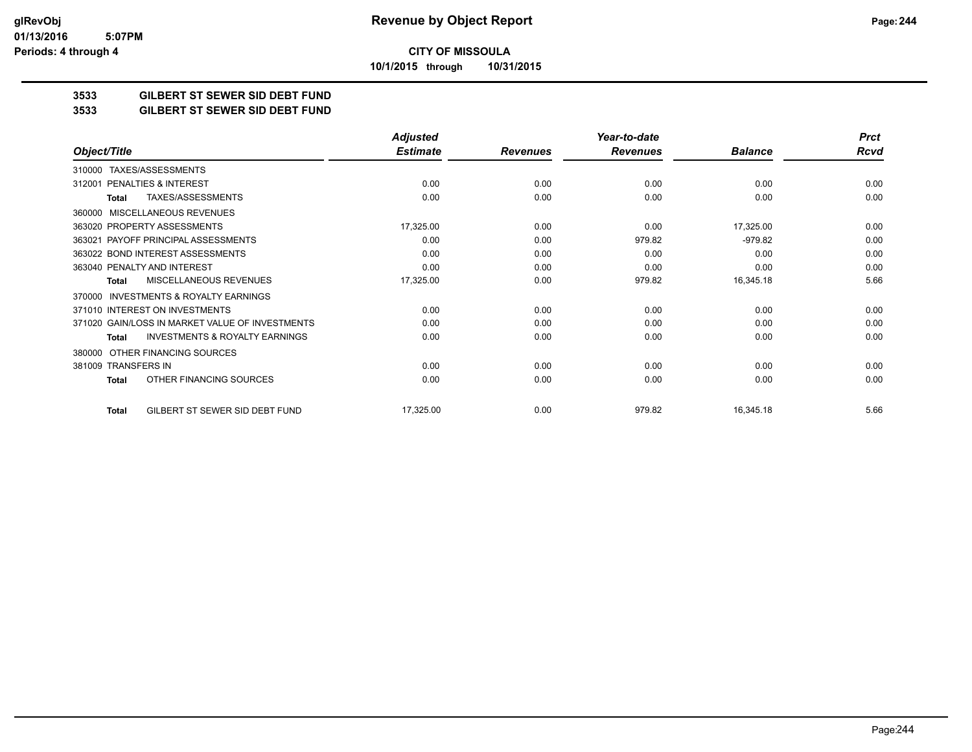**CITY OF MISSOULA 10/1/2015 through 10/31/2015**

**3533 GILBERT ST SEWER SID DEBT FUND**

**3533 GILBERT ST SEWER SID DEBT FUND**

|                                                           | <b>Adjusted</b> |                 | Year-to-date    |                | <b>Prct</b> |
|-----------------------------------------------------------|-----------------|-----------------|-----------------|----------------|-------------|
| Object/Title                                              | <b>Estimate</b> | <b>Revenues</b> | <b>Revenues</b> | <b>Balance</b> | <b>Rcvd</b> |
| TAXES/ASSESSMENTS<br>310000                               |                 |                 |                 |                |             |
| PENALTIES & INTEREST<br>312001                            | 0.00            | 0.00            | 0.00            | 0.00           | 0.00        |
| TAXES/ASSESSMENTS<br>Total                                | 0.00            | 0.00            | 0.00            | 0.00           | 0.00        |
| <b>MISCELLANEOUS REVENUES</b><br>360000                   |                 |                 |                 |                |             |
| 363020 PROPERTY ASSESSMENTS                               | 17,325.00       | 0.00            | 0.00            | 17,325.00      | 0.00        |
| 363021 PAYOFF PRINCIPAL ASSESSMENTS                       | 0.00            | 0.00            | 979.82          | $-979.82$      | 0.00        |
| 363022 BOND INTEREST ASSESSMENTS                          | 0.00            | 0.00            | 0.00            | 0.00           | 0.00        |
| 363040 PENALTY AND INTEREST                               | 0.00            | 0.00            | 0.00            | 0.00           | 0.00        |
| MISCELLANEOUS REVENUES<br>Total                           | 17,325.00       | 0.00            | 979.82          | 16,345.18      | 5.66        |
| INVESTMENTS & ROYALTY EARNINGS<br>370000                  |                 |                 |                 |                |             |
| 371010 INTEREST ON INVESTMENTS                            | 0.00            | 0.00            | 0.00            | 0.00           | 0.00        |
| 371020 GAIN/LOSS IN MARKET VALUE OF INVESTMENTS           | 0.00            | 0.00            | 0.00            | 0.00           | 0.00        |
| <b>INVESTMENTS &amp; ROYALTY EARNINGS</b><br><b>Total</b> | 0.00            | 0.00            | 0.00            | 0.00           | 0.00        |
| OTHER FINANCING SOURCES<br>380000                         |                 |                 |                 |                |             |
| 381009 TRANSFERS IN                                       | 0.00            | 0.00            | 0.00            | 0.00           | 0.00        |
| OTHER FINANCING SOURCES<br><b>Total</b>                   | 0.00            | 0.00            | 0.00            | 0.00           | 0.00        |
| GILBERT ST SEWER SID DEBT FUND<br><b>Total</b>            | 17,325.00       | 0.00            | 979.82          | 16,345.18      | 5.66        |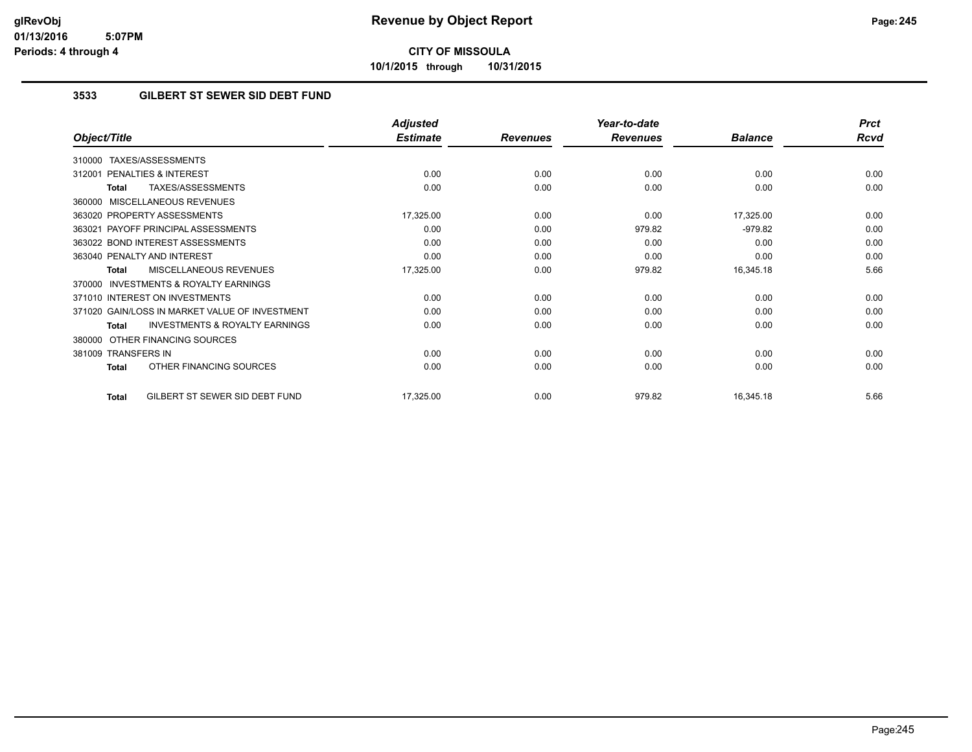**10/1/2015 through 10/31/2015**

#### **3533 GILBERT ST SEWER SID DEBT FUND**

|                                                           | <b>Adjusted</b> |                 | Year-to-date    |                | <b>Prct</b> |
|-----------------------------------------------------------|-----------------|-----------------|-----------------|----------------|-------------|
| Object/Title                                              | <b>Estimate</b> | <b>Revenues</b> | <b>Revenues</b> | <b>Balance</b> | <b>Rcvd</b> |
| TAXES/ASSESSMENTS<br>310000                               |                 |                 |                 |                |             |
| 312001 PENALTIES & INTEREST                               | 0.00            | 0.00            | 0.00            | 0.00           | 0.00        |
| TAXES/ASSESSMENTS<br><b>Total</b>                         | 0.00            | 0.00            | 0.00            | 0.00           | 0.00        |
| MISCELLANEOUS REVENUES<br>360000                          |                 |                 |                 |                |             |
| 363020 PROPERTY ASSESSMENTS                               | 17,325.00       | 0.00            | 0.00            | 17,325.00      | 0.00        |
| 363021 PAYOFF PRINCIPAL ASSESSMENTS                       | 0.00            | 0.00            | 979.82          | $-979.82$      | 0.00        |
| 363022 BOND INTEREST ASSESSMENTS                          | 0.00            | 0.00            | 0.00            | 0.00           | 0.00        |
| 363040 PENALTY AND INTEREST                               | 0.00            | 0.00            | 0.00            | 0.00           | 0.00        |
| MISCELLANEOUS REVENUES<br>Total                           | 17,325.00       | 0.00            | 979.82          | 16,345.18      | 5.66        |
| 370000 INVESTMENTS & ROYALTY EARNINGS                     |                 |                 |                 |                |             |
| 371010 INTEREST ON INVESTMENTS                            | 0.00            | 0.00            | 0.00            | 0.00           | 0.00        |
| 371020 GAIN/LOSS IN MARKET VALUE OF INVESTMENT            | 0.00            | 0.00            | 0.00            | 0.00           | 0.00        |
| <b>INVESTMENTS &amp; ROYALTY EARNINGS</b><br><b>Total</b> | 0.00            | 0.00            | 0.00            | 0.00           | 0.00        |
| 380000 OTHER FINANCING SOURCES                            |                 |                 |                 |                |             |
| 381009 TRANSFERS IN                                       | 0.00            | 0.00            | 0.00            | 0.00           | 0.00        |
| OTHER FINANCING SOURCES<br>Total                          | 0.00            | 0.00            | 0.00            | 0.00           | 0.00        |
| GILBERT ST SEWER SID DEBT FUND<br>Total                   | 17,325.00       | 0.00            | 979.82          | 16,345.18      | 5.66        |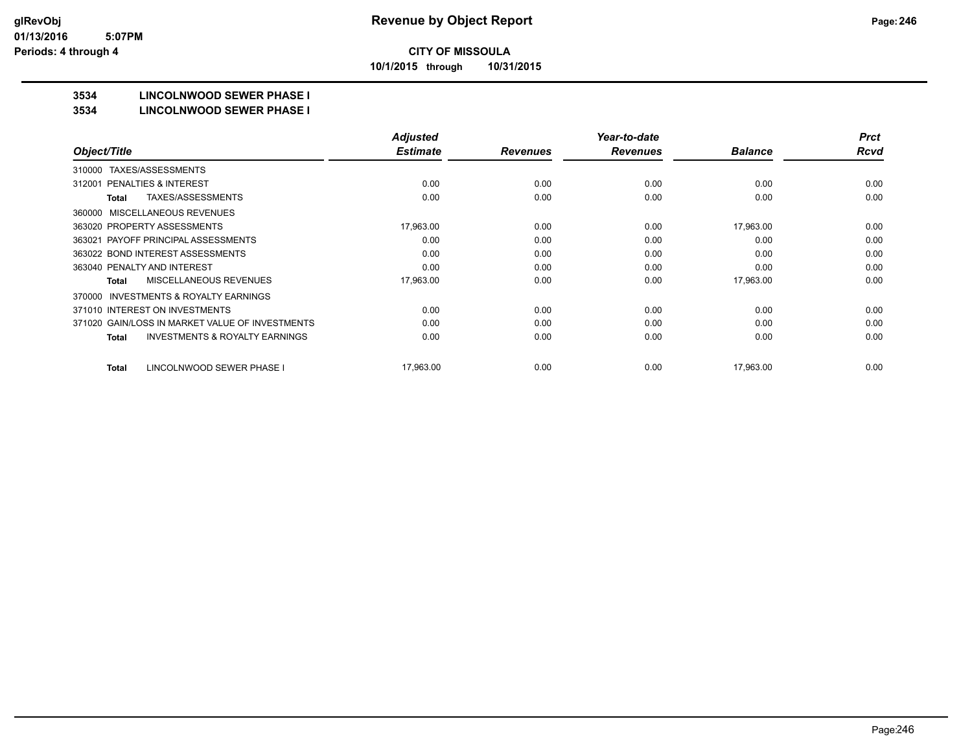**10/1/2015 through 10/31/2015**

## **3534 LINCOLNWOOD SEWER PHASE I**

#### **3534 LINCOLNWOOD SEWER PHASE I**

|                                                    | <b>Adjusted</b> |                 | Year-to-date    |                | <b>Prct</b> |
|----------------------------------------------------|-----------------|-----------------|-----------------|----------------|-------------|
| Object/Title                                       | <b>Estimate</b> | <b>Revenues</b> | <b>Revenues</b> | <b>Balance</b> | <b>Rcvd</b> |
| TAXES/ASSESSMENTS<br>310000                        |                 |                 |                 |                |             |
| PENALTIES & INTEREST<br>312001                     | 0.00            | 0.00            | 0.00            | 0.00           | 0.00        |
| TAXES/ASSESSMENTS<br>Total                         | 0.00            | 0.00            | 0.00            | 0.00           | 0.00        |
| MISCELLANEOUS REVENUES<br>360000                   |                 |                 |                 |                |             |
| 363020 PROPERTY ASSESSMENTS                        | 17,963.00       | 0.00            | 0.00            | 17,963.00      | 0.00        |
| 363021 PAYOFF PRINCIPAL ASSESSMENTS                | 0.00            | 0.00            | 0.00            | 0.00           | 0.00        |
| 363022 BOND INTEREST ASSESSMENTS                   | 0.00            | 0.00            | 0.00            | 0.00           | 0.00        |
| 363040 PENALTY AND INTEREST                        | 0.00            | 0.00            | 0.00            | 0.00           | 0.00        |
| MISCELLANEOUS REVENUES<br>Total                    | 17,963.00       | 0.00            | 0.00            | 17,963.00      | 0.00        |
| INVESTMENTS & ROYALTY EARNINGS<br>370000           |                 |                 |                 |                |             |
| 371010 INTEREST ON INVESTMENTS                     | 0.00            | 0.00            | 0.00            | 0.00           | 0.00        |
| 371020 GAIN/LOSS IN MARKET VALUE OF INVESTMENTS    | 0.00            | 0.00            | 0.00            | 0.00           | 0.00        |
| <b>INVESTMENTS &amp; ROYALTY EARNINGS</b><br>Total | 0.00            | 0.00            | 0.00            | 0.00           | 0.00        |
| LINCOLNWOOD SEWER PHASE I<br><b>Total</b>          | 17,963.00       | 0.00            | 0.00            | 17,963.00      | 0.00        |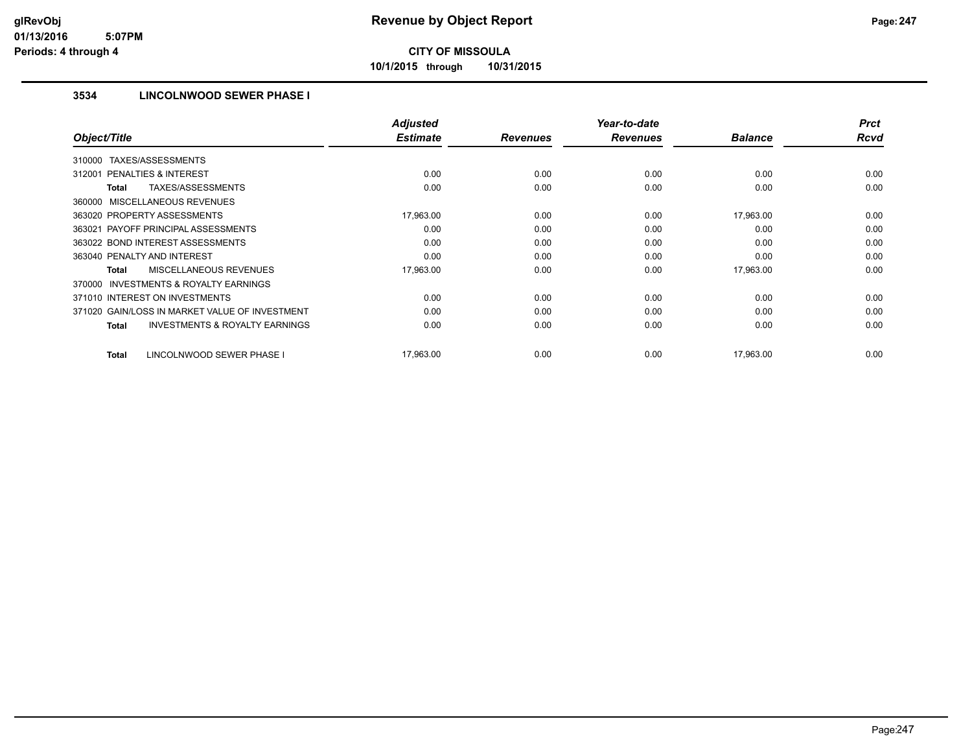**10/1/2015 through 10/31/2015**

#### **3534 LINCOLNWOOD SEWER PHASE I**

|                                                    | <b>Adjusted</b> |                 | Year-to-date    |                | <b>Prct</b> |
|----------------------------------------------------|-----------------|-----------------|-----------------|----------------|-------------|
| Object/Title                                       | <b>Estimate</b> | <b>Revenues</b> | <b>Revenues</b> | <b>Balance</b> | <b>Rcvd</b> |
| TAXES/ASSESSMENTS<br>310000                        |                 |                 |                 |                |             |
| PENALTIES & INTEREST<br>312001                     | 0.00            | 0.00            | 0.00            | 0.00           | 0.00        |
| TAXES/ASSESSMENTS<br>Total                         | 0.00            | 0.00            | 0.00            | 0.00           | 0.00        |
| 360000 MISCELLANEOUS REVENUES                      |                 |                 |                 |                |             |
| 363020 PROPERTY ASSESSMENTS                        | 17,963.00       | 0.00            | 0.00            | 17,963.00      | 0.00        |
| 363021 PAYOFF PRINCIPAL ASSESSMENTS                | 0.00            | 0.00            | 0.00            | 0.00           | 0.00        |
| 363022 BOND INTEREST ASSESSMENTS                   | 0.00            | 0.00            | 0.00            | 0.00           | 0.00        |
| 363040 PENALTY AND INTEREST                        | 0.00            | 0.00            | 0.00            | 0.00           | 0.00        |
| <b>MISCELLANEOUS REVENUES</b><br>Total             | 17,963.00       | 0.00            | 0.00            | 17,963.00      | 0.00        |
| INVESTMENTS & ROYALTY EARNINGS<br>370000           |                 |                 |                 |                |             |
| 371010 INTEREST ON INVESTMENTS                     | 0.00            | 0.00            | 0.00            | 0.00           | 0.00        |
| 371020 GAIN/LOSS IN MARKET VALUE OF INVESTMENT     | 0.00            | 0.00            | 0.00            | 0.00           | 0.00        |
| <b>INVESTMENTS &amp; ROYALTY EARNINGS</b><br>Total | 0.00            | 0.00            | 0.00            | 0.00           | 0.00        |
| LINCOLNWOOD SEWER PHASE I<br><b>Total</b>          | 17,963.00       | 0.00            | 0.00            | 17,963.00      | 0.00        |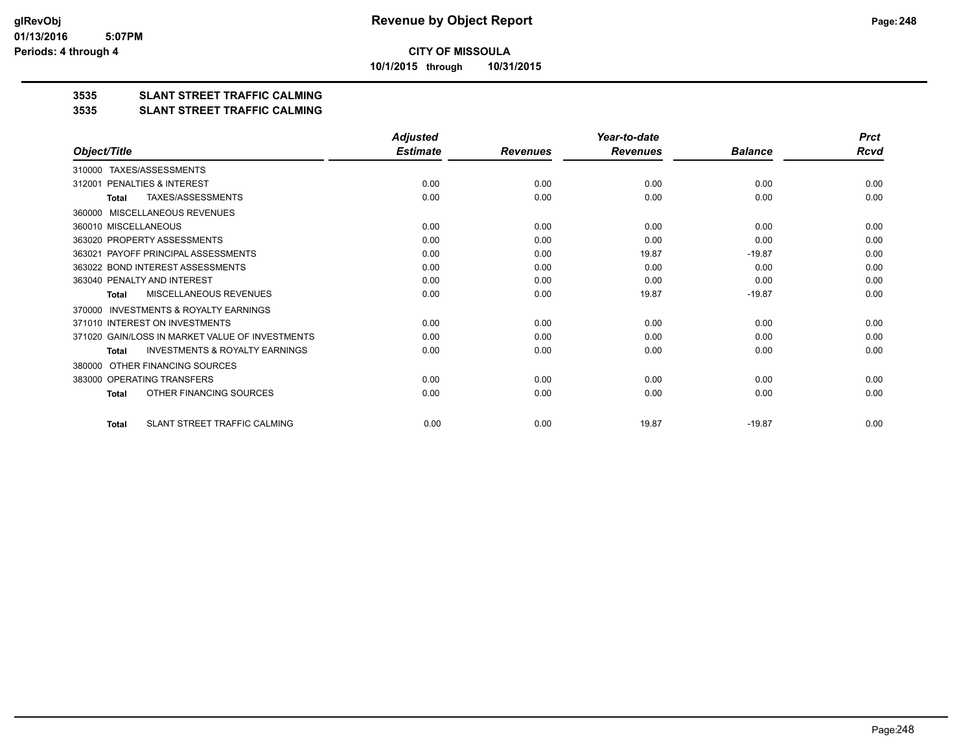**10/1/2015 through 10/31/2015**

### **3535 SLANT STREET TRAFFIC CALMING**

#### **3535 SLANT STREET TRAFFIC CALMING**

|                                                           | <b>Adjusted</b> |                 | Year-to-date    |                | <b>Prct</b> |
|-----------------------------------------------------------|-----------------|-----------------|-----------------|----------------|-------------|
| Object/Title                                              | <b>Estimate</b> | <b>Revenues</b> | <b>Revenues</b> | <b>Balance</b> | Rcvd        |
| TAXES/ASSESSMENTS<br>310000                               |                 |                 |                 |                |             |
| PENALTIES & INTEREST<br>312001                            | 0.00            | 0.00            | 0.00            | 0.00           | 0.00        |
| <b>TAXES/ASSESSMENTS</b><br><b>Total</b>                  | 0.00            | 0.00            | 0.00            | 0.00           | 0.00        |
| MISCELLANEOUS REVENUES<br>360000                          |                 |                 |                 |                |             |
| 360010 MISCELLANEOUS                                      | 0.00            | 0.00            | 0.00            | 0.00           | 0.00        |
| 363020 PROPERTY ASSESSMENTS                               | 0.00            | 0.00            | 0.00            | 0.00           | 0.00        |
| PAYOFF PRINCIPAL ASSESSMENTS<br>363021                    | 0.00            | 0.00            | 19.87           | $-19.87$       | 0.00        |
| 363022 BOND INTEREST ASSESSMENTS                          | 0.00            | 0.00            | 0.00            | 0.00           | 0.00        |
| 363040 PENALTY AND INTEREST                               | 0.00            | 0.00            | 0.00            | 0.00           | 0.00        |
| MISCELLANEOUS REVENUES<br>Total                           | 0.00            | 0.00            | 19.87           | $-19.87$       | 0.00        |
| <b>INVESTMENTS &amp; ROYALTY EARNINGS</b><br>370000       |                 |                 |                 |                |             |
| 371010 INTEREST ON INVESTMENTS                            | 0.00            | 0.00            | 0.00            | 0.00           | 0.00        |
| 371020 GAIN/LOSS IN MARKET VALUE OF INVESTMENTS           | 0.00            | 0.00            | 0.00            | 0.00           | 0.00        |
| <b>INVESTMENTS &amp; ROYALTY EARNINGS</b><br><b>Total</b> | 0.00            | 0.00            | 0.00            | 0.00           | 0.00        |
| OTHER FINANCING SOURCES<br>380000                         |                 |                 |                 |                |             |
| 383000 OPERATING TRANSFERS                                | 0.00            | 0.00            | 0.00            | 0.00           | 0.00        |
| OTHER FINANCING SOURCES<br>Total                          | 0.00            | 0.00            | 0.00            | 0.00           | 0.00        |
| SLANT STREET TRAFFIC CALMING<br><b>Total</b>              | 0.00            | 0.00            | 19.87           | $-19.87$       | 0.00        |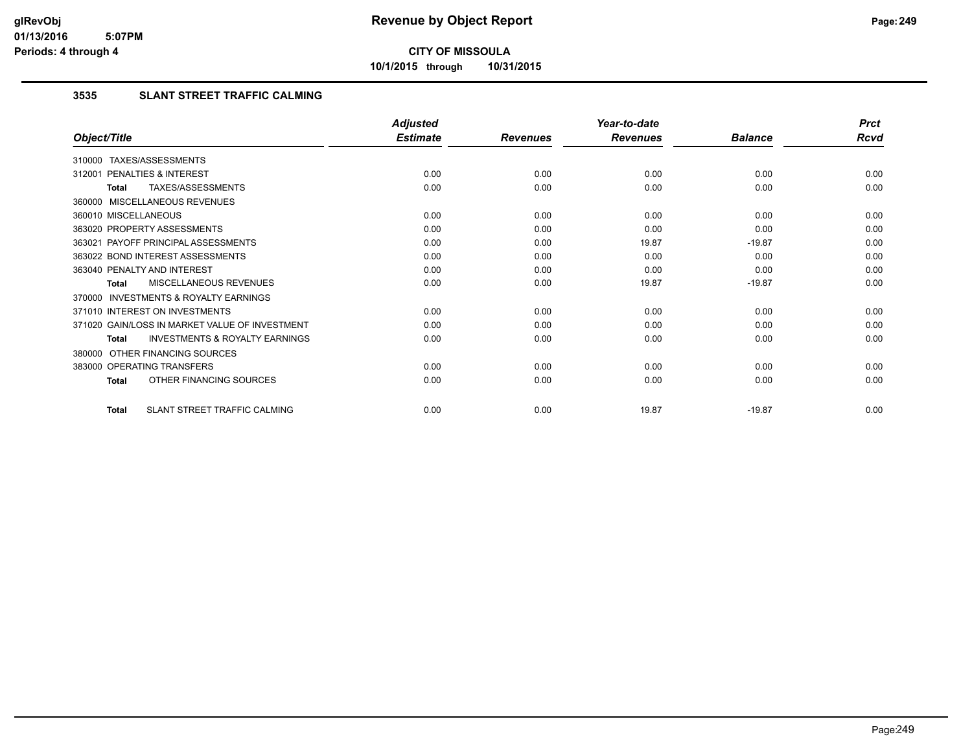**10/1/2015 through 10/31/2015**

#### **3535 SLANT STREET TRAFFIC CALMING**

|                                                    | <b>Adjusted</b> |                 | Year-to-date    |                | <b>Prct</b> |
|----------------------------------------------------|-----------------|-----------------|-----------------|----------------|-------------|
| Object/Title                                       | <b>Estimate</b> | <b>Revenues</b> | <b>Revenues</b> | <b>Balance</b> | Rcvd        |
| 310000 TAXES/ASSESSMENTS                           |                 |                 |                 |                |             |
| PENALTIES & INTEREST<br>312001                     | 0.00            | 0.00            | 0.00            | 0.00           | 0.00        |
| TAXES/ASSESSMENTS<br>Total                         | 0.00            | 0.00            | 0.00            | 0.00           | 0.00        |
| 360000 MISCELLANEOUS REVENUES                      |                 |                 |                 |                |             |
| 360010 MISCELLANEOUS                               | 0.00            | 0.00            | 0.00            | 0.00           | 0.00        |
| 363020 PROPERTY ASSESSMENTS                        | 0.00            | 0.00            | 0.00            | 0.00           | 0.00        |
| 363021 PAYOFF PRINCIPAL ASSESSMENTS                | 0.00            | 0.00            | 19.87           | $-19.87$       | 0.00        |
| 363022 BOND INTEREST ASSESSMENTS                   | 0.00            | 0.00            | 0.00            | 0.00           | 0.00        |
| 363040 PENALTY AND INTEREST                        | 0.00            | 0.00            | 0.00            | 0.00           | 0.00        |
| MISCELLANEOUS REVENUES<br>Total                    | 0.00            | 0.00            | 19.87           | $-19.87$       | 0.00        |
| 370000 INVESTMENTS & ROYALTY EARNINGS              |                 |                 |                 |                |             |
| 371010 INTEREST ON INVESTMENTS                     | 0.00            | 0.00            | 0.00            | 0.00           | 0.00        |
| 371020 GAIN/LOSS IN MARKET VALUE OF INVESTMENT     | 0.00            | 0.00            | 0.00            | 0.00           | 0.00        |
| <b>INVESTMENTS &amp; ROYALTY EARNINGS</b><br>Total | 0.00            | 0.00            | 0.00            | 0.00           | 0.00        |
| 380000 OTHER FINANCING SOURCES                     |                 |                 |                 |                |             |
| 383000 OPERATING TRANSFERS                         | 0.00            | 0.00            | 0.00            | 0.00           | 0.00        |
| OTHER FINANCING SOURCES<br>Total                   | 0.00            | 0.00            | 0.00            | 0.00           | 0.00        |
| SLANT STREET TRAFFIC CALMING<br><b>Total</b>       | 0.00            | 0.00            | 19.87           | $-19.87$       | 0.00        |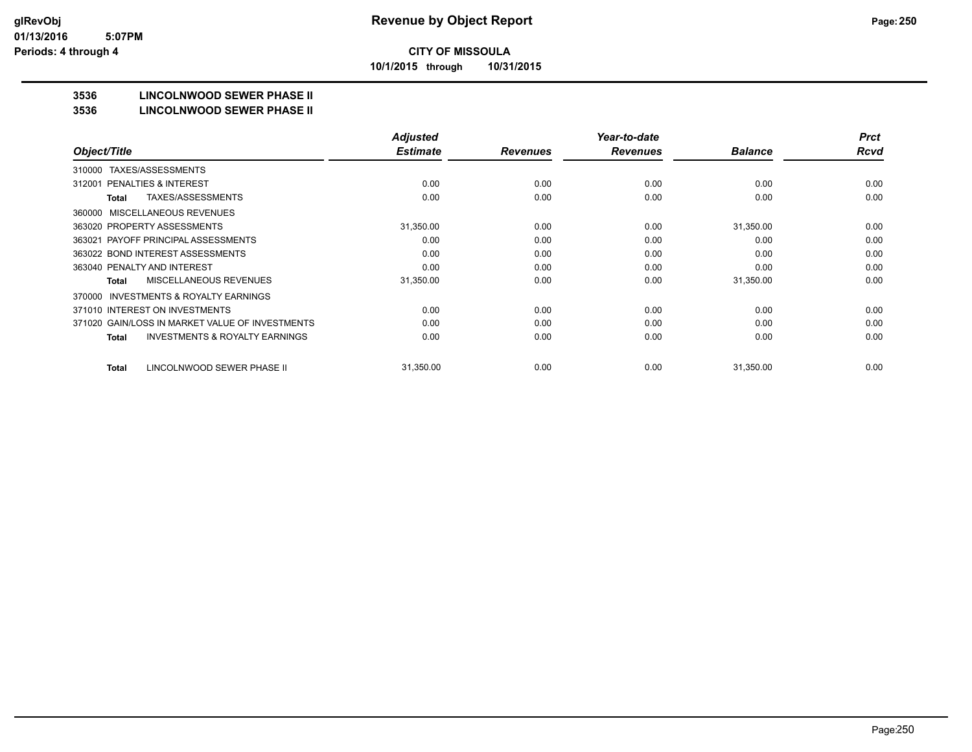**10/1/2015 through 10/31/2015**

## **3536 LINCOLNWOOD SEWER PHASE II**

#### **3536 LINCOLNWOOD SEWER PHASE II**

|                                                    | <b>Adjusted</b> |                 | Year-to-date    |                | <b>Prct</b> |
|----------------------------------------------------|-----------------|-----------------|-----------------|----------------|-------------|
| Object/Title                                       | <b>Estimate</b> | <b>Revenues</b> | <b>Revenues</b> | <b>Balance</b> | <b>Rcvd</b> |
| TAXES/ASSESSMENTS<br>310000                        |                 |                 |                 |                |             |
| PENALTIES & INTEREST<br>312001                     | 0.00            | 0.00            | 0.00            | 0.00           | 0.00        |
| TAXES/ASSESSMENTS<br>Total                         | 0.00            | 0.00            | 0.00            | 0.00           | 0.00        |
| MISCELLANEOUS REVENUES<br>360000                   |                 |                 |                 |                |             |
| 363020 PROPERTY ASSESSMENTS                        | 31,350.00       | 0.00            | 0.00            | 31,350.00      | 0.00        |
| 363021 PAYOFF PRINCIPAL ASSESSMENTS                | 0.00            | 0.00            | 0.00            | 0.00           | 0.00        |
| 363022 BOND INTEREST ASSESSMENTS                   | 0.00            | 0.00            | 0.00            | 0.00           | 0.00        |
| 363040 PENALTY AND INTEREST                        | 0.00            | 0.00            | 0.00            | 0.00           | 0.00        |
| MISCELLANEOUS REVENUES<br>Total                    | 31,350.00       | 0.00            | 0.00            | 31,350.00      | 0.00        |
| INVESTMENTS & ROYALTY EARNINGS<br>370000           |                 |                 |                 |                |             |
| 371010 INTEREST ON INVESTMENTS                     | 0.00            | 0.00            | 0.00            | 0.00           | 0.00        |
| 371020 GAIN/LOSS IN MARKET VALUE OF INVESTMENTS    | 0.00            | 0.00            | 0.00            | 0.00           | 0.00        |
| <b>INVESTMENTS &amp; ROYALTY EARNINGS</b><br>Total | 0.00            | 0.00            | 0.00            | 0.00           | 0.00        |
|                                                    |                 |                 |                 |                |             |
| LINCOLNWOOD SEWER PHASE II<br><b>Total</b>         | 31,350.00       | 0.00            | 0.00            | 31,350.00      | 0.00        |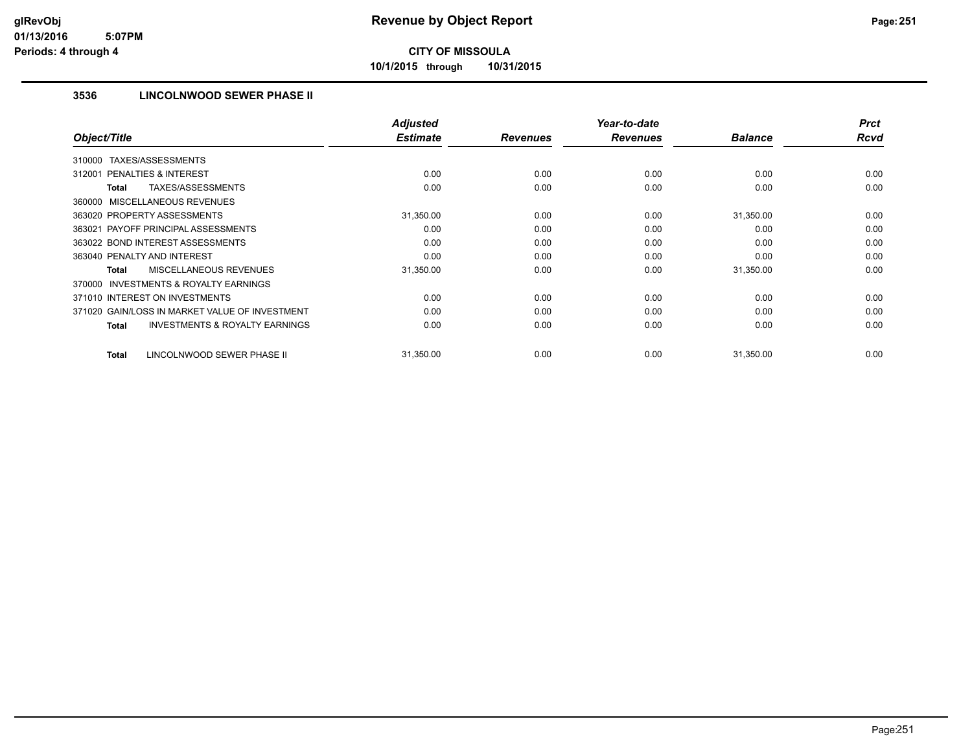**10/1/2015 through 10/31/2015**

#### **3536 LINCOLNWOOD SEWER PHASE II**

|                                                           | <b>Adjusted</b><br><b>Estimate</b> |                 | Year-to-date    |                | <b>Prct</b><br><b>Rcvd</b> |
|-----------------------------------------------------------|------------------------------------|-----------------|-----------------|----------------|----------------------------|
| Object/Title                                              |                                    | <b>Revenues</b> | <b>Revenues</b> | <b>Balance</b> |                            |
| TAXES/ASSESSMENTS<br>310000                               |                                    |                 |                 |                |                            |
| 312001 PENALTIES & INTEREST                               | 0.00                               | 0.00            | 0.00            | 0.00           | 0.00                       |
| <b>TAXES/ASSESSMENTS</b><br><b>Total</b>                  | 0.00                               | 0.00            | 0.00            | 0.00           | 0.00                       |
| 360000 MISCELLANEOUS REVENUES                             |                                    |                 |                 |                |                            |
| 363020 PROPERTY ASSESSMENTS                               | 31,350.00                          | 0.00            | 0.00            | 31,350.00      | 0.00                       |
| 363021 PAYOFF PRINCIPAL ASSESSMENTS                       | 0.00                               | 0.00            | 0.00            | 0.00           | 0.00                       |
| 363022 BOND INTEREST ASSESSMENTS                          | 0.00                               | 0.00            | 0.00            | 0.00           | 0.00                       |
| 363040 PENALTY AND INTEREST                               | 0.00                               | 0.00            | 0.00            | 0.00           | 0.00                       |
| MISCELLANEOUS REVENUES<br><b>Total</b>                    | 31,350.00                          | 0.00            | 0.00            | 31,350.00      | 0.00                       |
| <b>INVESTMENTS &amp; ROYALTY EARNINGS</b><br>370000       |                                    |                 |                 |                |                            |
| 371010 INTEREST ON INVESTMENTS                            | 0.00                               | 0.00            | 0.00            | 0.00           | 0.00                       |
| 371020 GAIN/LOSS IN MARKET VALUE OF INVESTMENT            | 0.00                               | 0.00            | 0.00            | 0.00           | 0.00                       |
| <b>INVESTMENTS &amp; ROYALTY EARNINGS</b><br><b>Total</b> | 0.00                               | 0.00            | 0.00            | 0.00           | 0.00                       |
|                                                           |                                    |                 |                 |                |                            |
| LINCOLNWOOD SEWER PHASE II<br><b>Total</b>                | 31,350.00                          | 0.00            | 0.00            | 31,350.00      | 0.00                       |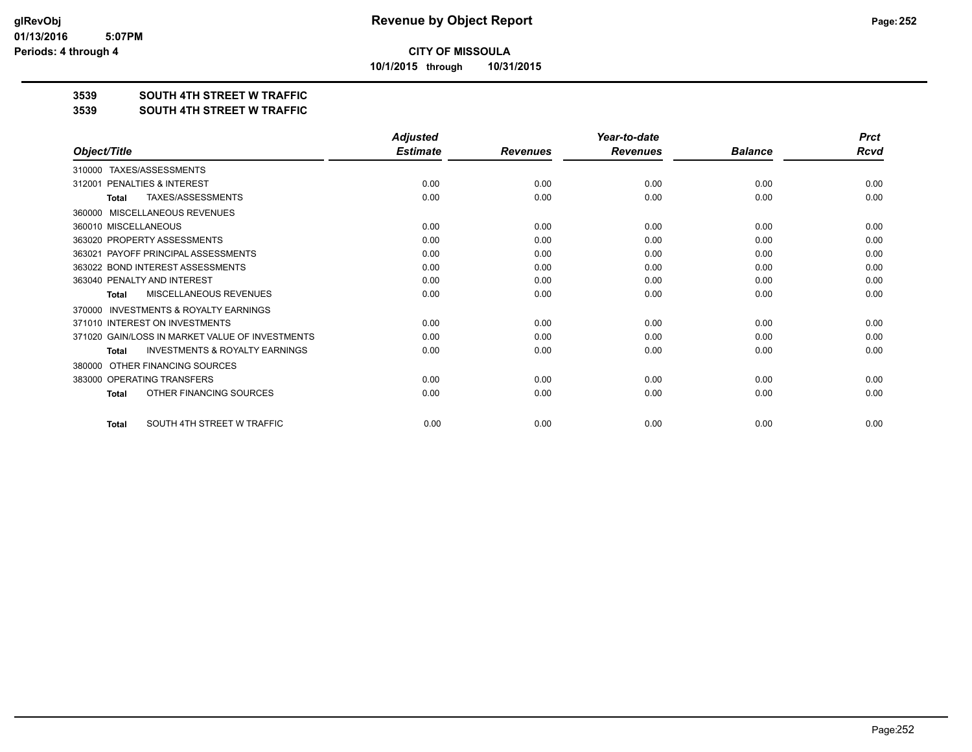**10/1/2015 through 10/31/2015**

#### **3539 SOUTH 4TH STREET W TRAFFIC**

#### **3539 SOUTH 4TH STREET W TRAFFIC**

|                                                           | <b>Adjusted</b> |                 | Year-to-date    |                | <b>Prct</b> |
|-----------------------------------------------------------|-----------------|-----------------|-----------------|----------------|-------------|
| Object/Title                                              | <b>Estimate</b> | <b>Revenues</b> | <b>Revenues</b> | <b>Balance</b> | <b>Rcvd</b> |
| TAXES/ASSESSMENTS<br>310000                               |                 |                 |                 |                |             |
| PENALTIES & INTEREST<br>312001                            | 0.00            | 0.00            | 0.00            | 0.00           | 0.00        |
| <b>TAXES/ASSESSMENTS</b><br><b>Total</b>                  | 0.00            | 0.00            | 0.00            | 0.00           | 0.00        |
| MISCELLANEOUS REVENUES<br>360000                          |                 |                 |                 |                |             |
| 360010 MISCELLANEOUS                                      | 0.00            | 0.00            | 0.00            | 0.00           | 0.00        |
| 363020 PROPERTY ASSESSMENTS                               | 0.00            | 0.00            | 0.00            | 0.00           | 0.00        |
| PAYOFF PRINCIPAL ASSESSMENTS<br>363021                    | 0.00            | 0.00            | 0.00            | 0.00           | 0.00        |
| 363022 BOND INTEREST ASSESSMENTS                          | 0.00            | 0.00            | 0.00            | 0.00           | 0.00        |
| 363040 PENALTY AND INTEREST                               | 0.00            | 0.00            | 0.00            | 0.00           | 0.00        |
| <b>MISCELLANEOUS REVENUES</b><br><b>Total</b>             | 0.00            | 0.00            | 0.00            | 0.00           | 0.00        |
| <b>INVESTMENTS &amp; ROYALTY EARNINGS</b><br>370000       |                 |                 |                 |                |             |
| 371010 INTEREST ON INVESTMENTS                            | 0.00            | 0.00            | 0.00            | 0.00           | 0.00        |
| 371020 GAIN/LOSS IN MARKET VALUE OF INVESTMENTS           | 0.00            | 0.00            | 0.00            | 0.00           | 0.00        |
| <b>INVESTMENTS &amp; ROYALTY EARNINGS</b><br><b>Total</b> | 0.00            | 0.00            | 0.00            | 0.00           | 0.00        |
| OTHER FINANCING SOURCES<br>380000                         |                 |                 |                 |                |             |
| 383000 OPERATING TRANSFERS                                | 0.00            | 0.00            | 0.00            | 0.00           | 0.00        |
| OTHER FINANCING SOURCES<br><b>Total</b>                   | 0.00            | 0.00            | 0.00            | 0.00           | 0.00        |
| SOUTH 4TH STREET W TRAFFIC<br><b>Total</b>                | 0.00            | 0.00            | 0.00            | 0.00           | 0.00        |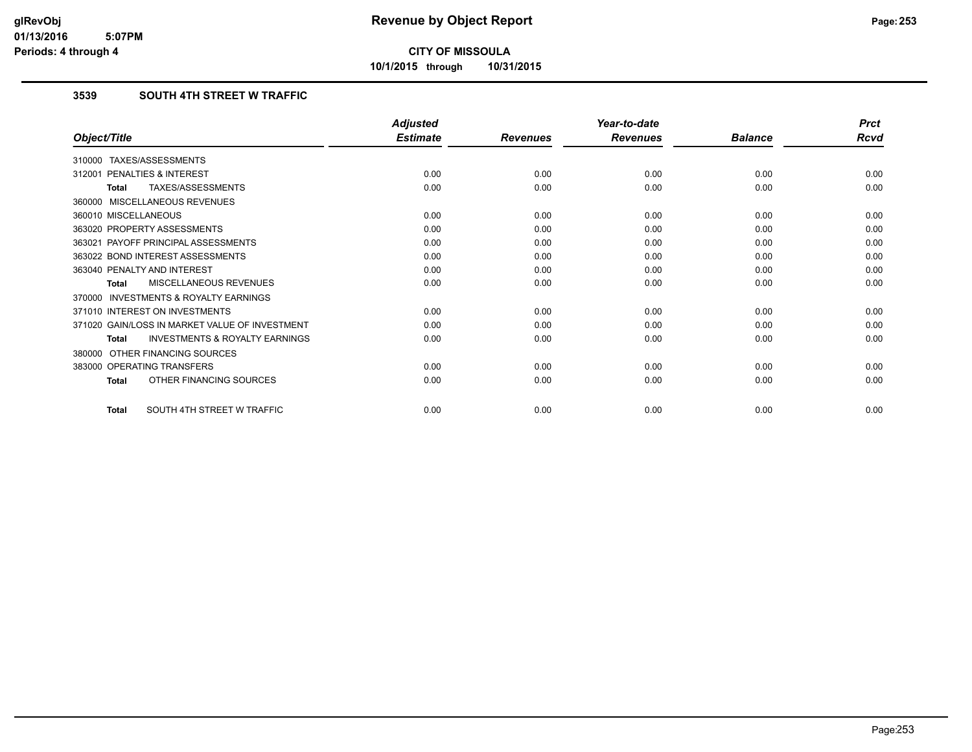**10/1/2015 through 10/31/2015**

## **3539 SOUTH 4TH STREET W TRAFFIC**

|                                                    | <b>Adjusted</b> |                 | Year-to-date    |                | <b>Prct</b> |
|----------------------------------------------------|-----------------|-----------------|-----------------|----------------|-------------|
| Object/Title                                       | <b>Estimate</b> | <b>Revenues</b> | <b>Revenues</b> | <b>Balance</b> | <b>Rcvd</b> |
| 310000 TAXES/ASSESSMENTS                           |                 |                 |                 |                |             |
| PENALTIES & INTEREST<br>312001                     | 0.00            | 0.00            | 0.00            | 0.00           | 0.00        |
| TAXES/ASSESSMENTS<br>Total                         | 0.00            | 0.00            | 0.00            | 0.00           | 0.00        |
| 360000 MISCELLANEOUS REVENUES                      |                 |                 |                 |                |             |
| 360010 MISCELLANEOUS                               | 0.00            | 0.00            | 0.00            | 0.00           | 0.00        |
| 363020 PROPERTY ASSESSMENTS                        | 0.00            | 0.00            | 0.00            | 0.00           | 0.00        |
| 363021 PAYOFF PRINCIPAL ASSESSMENTS                | 0.00            | 0.00            | 0.00            | 0.00           | 0.00        |
| 363022 BOND INTEREST ASSESSMENTS                   | 0.00            | 0.00            | 0.00            | 0.00           | 0.00        |
| 363040 PENALTY AND INTEREST                        | 0.00            | 0.00            | 0.00            | 0.00           | 0.00        |
| MISCELLANEOUS REVENUES<br><b>Total</b>             | 0.00            | 0.00            | 0.00            | 0.00           | 0.00        |
| 370000 INVESTMENTS & ROYALTY EARNINGS              |                 |                 |                 |                |             |
| 371010 INTEREST ON INVESTMENTS                     | 0.00            | 0.00            | 0.00            | 0.00           | 0.00        |
| 371020 GAIN/LOSS IN MARKET VALUE OF INVESTMENT     | 0.00            | 0.00            | 0.00            | 0.00           | 0.00        |
| <b>INVESTMENTS &amp; ROYALTY EARNINGS</b><br>Total | 0.00            | 0.00            | 0.00            | 0.00           | 0.00        |
| 380000 OTHER FINANCING SOURCES                     |                 |                 |                 |                |             |
| 383000 OPERATING TRANSFERS                         | 0.00            | 0.00            | 0.00            | 0.00           | 0.00        |
| OTHER FINANCING SOURCES<br>Total                   | 0.00            | 0.00            | 0.00            | 0.00           | 0.00        |
| SOUTH 4TH STREET W TRAFFIC<br><b>Total</b>         | 0.00            | 0.00            | 0.00            | 0.00           | 0.00        |
|                                                    |                 |                 |                 |                |             |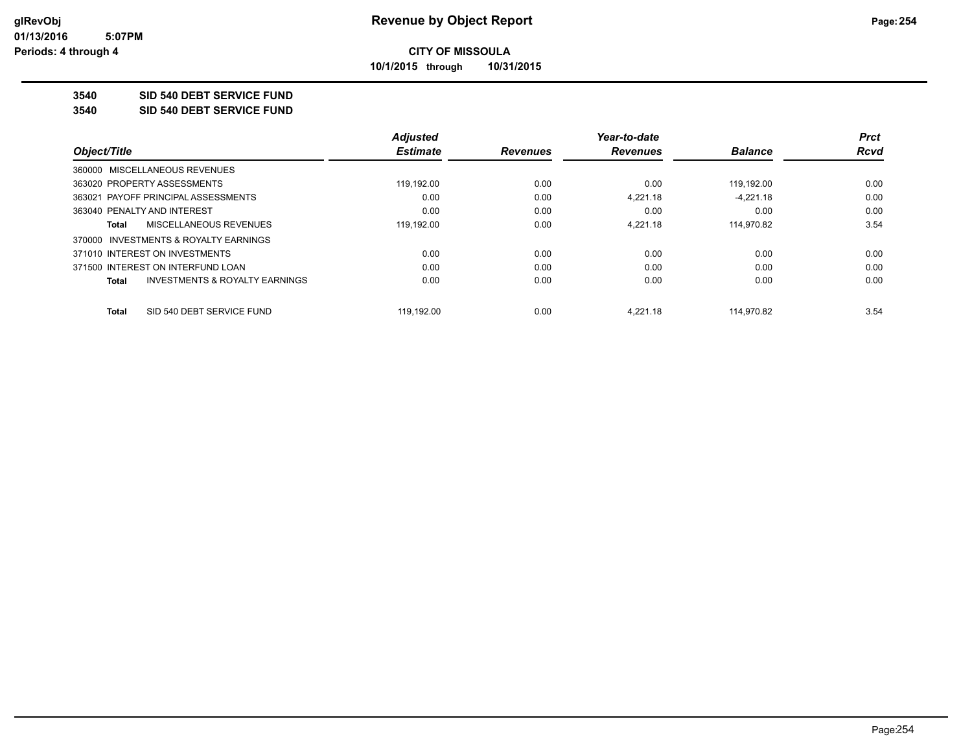**10/1/2015 through 10/31/2015**

### **3540 SID 540 DEBT SERVICE FUND**

**3540 SID 540 DEBT SERVICE FUND**

|                                         | <b>Adjusted</b> |                 | Year-to-date    |                | <b>Prct</b> |
|-----------------------------------------|-----------------|-----------------|-----------------|----------------|-------------|
| Object/Title                            | <b>Estimate</b> | <b>Revenues</b> | <b>Revenues</b> | <b>Balance</b> | Rcvd        |
| 360000 MISCELLANEOUS REVENUES           |                 |                 |                 |                |             |
| 363020 PROPERTY ASSESSMENTS             | 119.192.00      | 0.00            | 0.00            | 119.192.00     | 0.00        |
| 363021 PAYOFF PRINCIPAL ASSESSMENTS     | 0.00            | 0.00            | 4.221.18        | $-4.221.18$    | 0.00        |
| 363040 PENALTY AND INTEREST             | 0.00            | 0.00            | 0.00            | 0.00           | 0.00        |
| MISCELLANEOUS REVENUES<br>Total         | 119,192.00      | 0.00            | 4.221.18        | 114,970.82     | 3.54        |
| 370000 INVESTMENTS & ROYALTY EARNINGS   |                 |                 |                 |                |             |
| 371010 INTEREST ON INVESTMENTS          | 0.00            | 0.00            | 0.00            | 0.00           | 0.00        |
| 371500 INTEREST ON INTERFUND LOAN       | 0.00            | 0.00            | 0.00            | 0.00           | 0.00        |
| INVESTMENTS & ROYALTY EARNINGS<br>Total | 0.00            | 0.00            | 0.00            | 0.00           | 0.00        |
| SID 540 DEBT SERVICE FUND<br>Total      | 119.192.00      | 0.00            | 4.221.18        | 114.970.82     | 3.54        |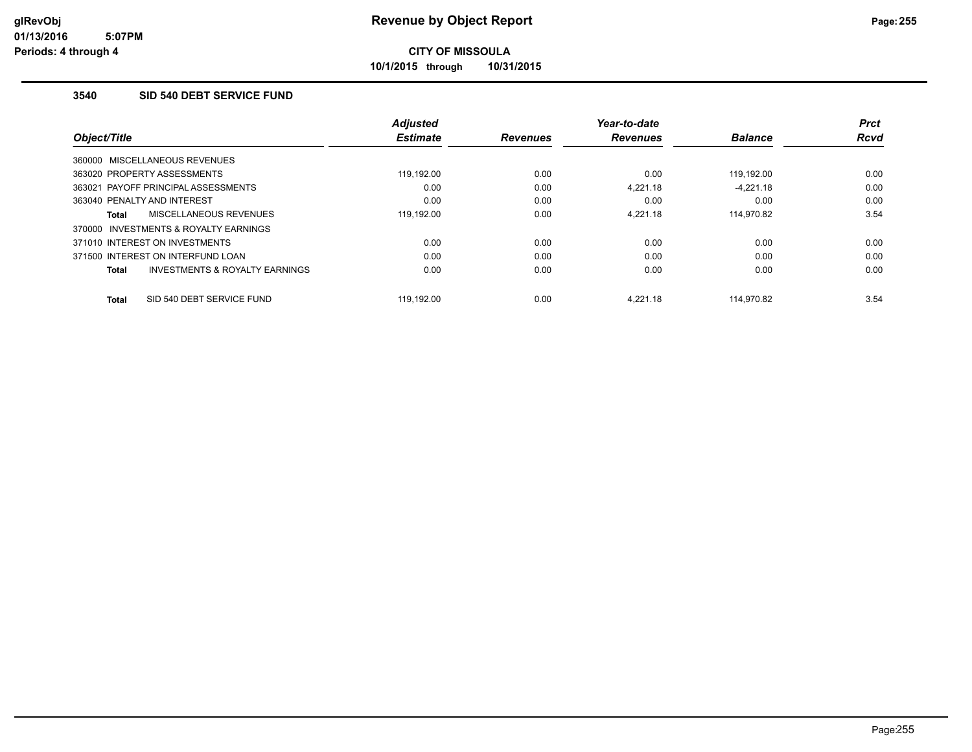**10/1/2015 through 10/31/2015**

### **3540 SID 540 DEBT SERVICE FUND**

| Object/Title                                       | <b>Adjusted</b><br><b>Estimate</b> | <b>Revenues</b> | Year-to-date<br><b>Revenues</b> | <b>Balance</b> | <b>Prct</b><br><b>Rcvd</b> |
|----------------------------------------------------|------------------------------------|-----------------|---------------------------------|----------------|----------------------------|
| 360000 MISCELLANEOUS REVENUES                      |                                    |                 |                                 |                |                            |
| 363020 PROPERTY ASSESSMENTS                        | 119.192.00                         | 0.00            | 0.00                            | 119.192.00     | 0.00                       |
| 363021 PAYOFF PRINCIPAL ASSESSMENTS                | 0.00                               | 0.00            | 4.221.18                        | $-4.221.18$    | 0.00                       |
| 363040 PENALTY AND INTEREST                        | 0.00                               | 0.00            | 0.00                            | 0.00           | 0.00                       |
| MISCELLANEOUS REVENUES<br>Total                    | 119.192.00                         | 0.00            | 4.221.18                        | 114,970.82     | 3.54                       |
| INVESTMENTS & ROYALTY EARNINGS<br>370000           |                                    |                 |                                 |                |                            |
| 371010 INTEREST ON INVESTMENTS                     | 0.00                               | 0.00            | 0.00                            | 0.00           | 0.00                       |
| 371500 INTEREST ON INTERFUND LOAN                  | 0.00                               | 0.00            | 0.00                            | 0.00           | 0.00                       |
| <b>INVESTMENTS &amp; ROYALTY EARNINGS</b><br>Total | 0.00                               | 0.00            | 0.00                            | 0.00           | 0.00                       |
|                                                    |                                    |                 |                                 |                |                            |
| SID 540 DEBT SERVICE FUND<br>Total                 | 119.192.00                         | 0.00            | 4.221.18                        | 114.970.82     | 3.54                       |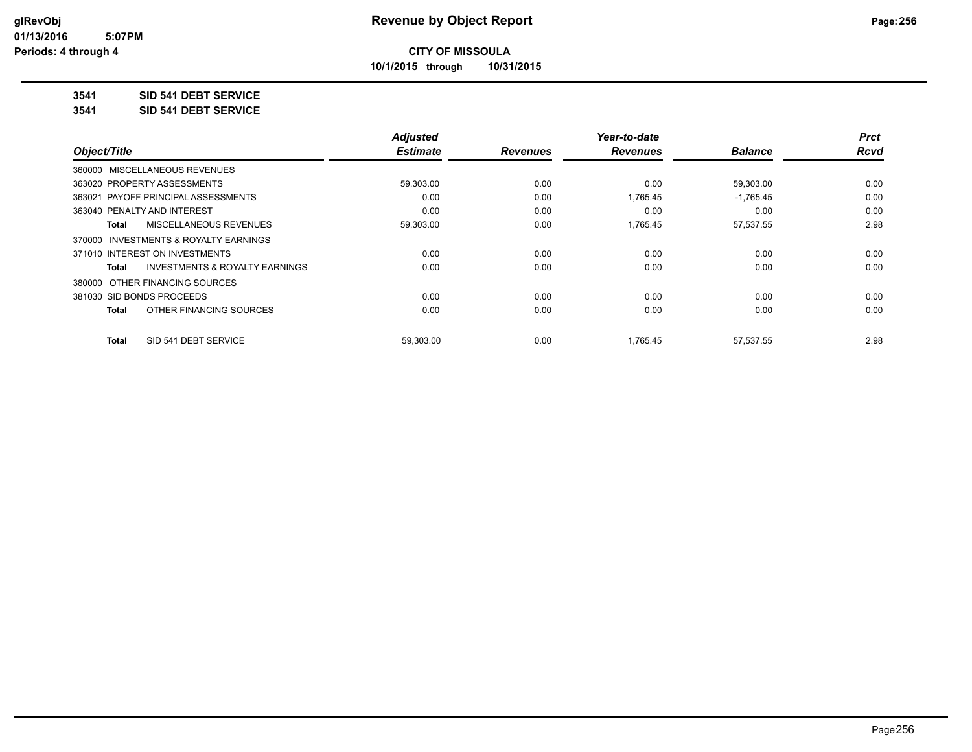**10/1/2015 through 10/31/2015**

### **3541 SID 541 DEBT SERVICE**

**3541 SID 541 DEBT SERVICE**

|                                         | <b>Adjusted</b> |                 | Year-to-date    |                | <b>Prct</b> |
|-----------------------------------------|-----------------|-----------------|-----------------|----------------|-------------|
| Object/Title                            | <b>Estimate</b> | <b>Revenues</b> | <b>Revenues</b> | <b>Balance</b> | <b>Rcvd</b> |
| 360000 MISCELLANEOUS REVENUES           |                 |                 |                 |                |             |
| 363020 PROPERTY ASSESSMENTS             | 59,303.00       | 0.00            | 0.00            | 59,303.00      | 0.00        |
| 363021 PAYOFF PRINCIPAL ASSESSMENTS     | 0.00            | 0.00            | 1,765.45        | $-1,765.45$    | 0.00        |
| 363040 PENALTY AND INTEREST             | 0.00            | 0.00            | 0.00            | 0.00           | 0.00        |
| MISCELLANEOUS REVENUES<br>Total         | 59,303.00       | 0.00            | 1,765.45        | 57,537.55      | 2.98        |
| 370000 INVESTMENTS & ROYALTY EARNINGS   |                 |                 |                 |                |             |
| 371010 INTEREST ON INVESTMENTS          | 0.00            | 0.00            | 0.00            | 0.00           | 0.00        |
| INVESTMENTS & ROYALTY EARNINGS<br>Total | 0.00            | 0.00            | 0.00            | 0.00           | 0.00        |
| 380000 OTHER FINANCING SOURCES          |                 |                 |                 |                |             |
| 381030 SID BONDS PROCEEDS               | 0.00            | 0.00            | 0.00            | 0.00           | 0.00        |
| OTHER FINANCING SOURCES<br><b>Total</b> | 0.00            | 0.00            | 0.00            | 0.00           | 0.00        |
| SID 541 DEBT SERVICE<br><b>Total</b>    | 59.303.00       | 0.00            | 1.765.45        | 57.537.55      | 2.98        |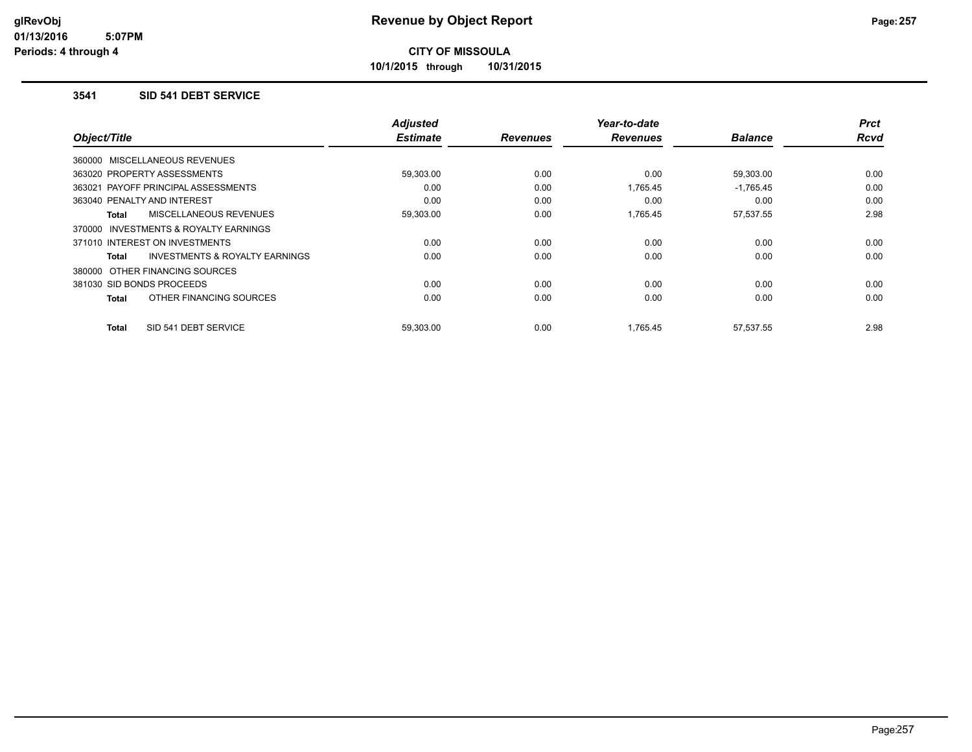**10/1/2015 through 10/31/2015**

#### **3541 SID 541 DEBT SERVICE**

| Object/Title                                        | <b>Adjusted</b><br><b>Estimate</b> | <b>Revenues</b> | Year-to-date<br><b>Revenues</b> | <b>Balance</b> | <b>Prct</b><br>Rcvd |
|-----------------------------------------------------|------------------------------------|-----------------|---------------------------------|----------------|---------------------|
| 360000 MISCELLANEOUS REVENUES                       |                                    |                 |                                 |                |                     |
| 363020 PROPERTY ASSESSMENTS                         | 59,303.00                          | 0.00            | 0.00                            | 59,303.00      | 0.00                |
| 363021 PAYOFF PRINCIPAL ASSESSMENTS                 | 0.00                               | 0.00            | 1,765.45                        | $-1,765.45$    | 0.00                |
| 363040 PENALTY AND INTEREST                         | 0.00                               | 0.00            | 0.00                            | 0.00           | 0.00                |
| <b>MISCELLANEOUS REVENUES</b><br>Total              | 59,303.00                          | 0.00            | 1,765.45                        | 57,537.55      | 2.98                |
| <b>INVESTMENTS &amp; ROYALTY EARNINGS</b><br>370000 |                                    |                 |                                 |                |                     |
| 371010 INTEREST ON INVESTMENTS                      | 0.00                               | 0.00            | 0.00                            | 0.00           | 0.00                |
| INVESTMENTS & ROYALTY EARNINGS<br>Total             | 0.00                               | 0.00            | 0.00                            | 0.00           | 0.00                |
| 380000 OTHER FINANCING SOURCES                      |                                    |                 |                                 |                |                     |
| 381030 SID BONDS PROCEEDS                           | 0.00                               | 0.00            | 0.00                            | 0.00           | 0.00                |
| OTHER FINANCING SOURCES<br>Total                    | 0.00                               | 0.00            | 0.00                            | 0.00           | 0.00                |
|                                                     |                                    |                 |                                 |                |                     |
| SID 541 DEBT SERVICE<br><b>Total</b>                | 59,303.00                          | 0.00            | 1.765.45                        | 57,537.55      | 2.98                |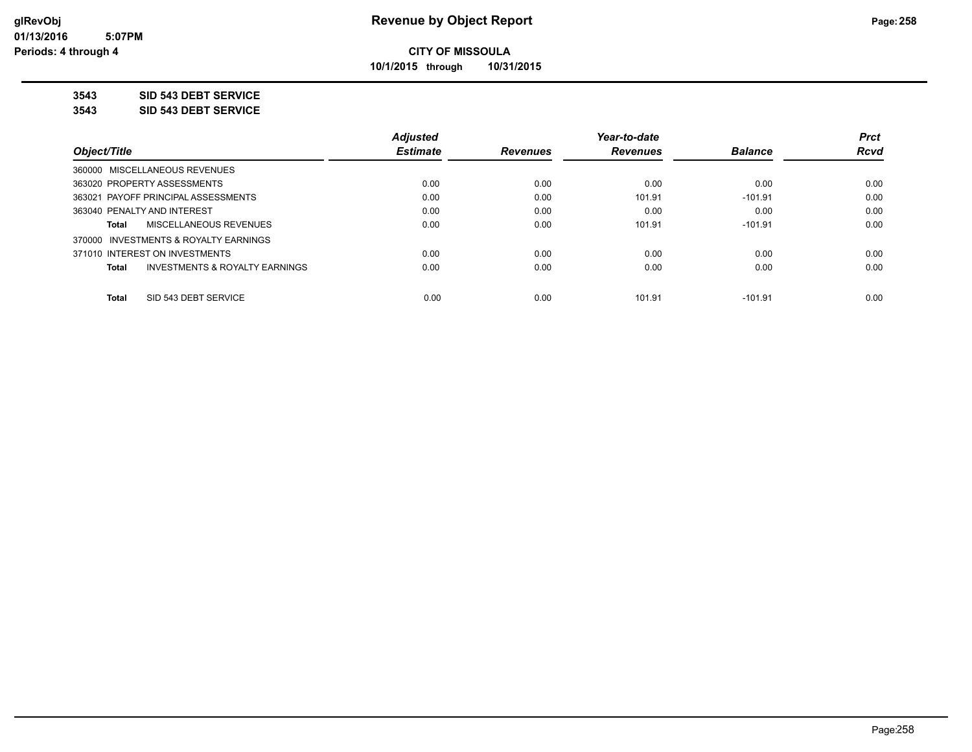**10/1/2015 through 10/31/2015**

**3543 SID 543 DEBT SERVICE**

**3543 SID 543 DEBT SERVICE**

|                                                    | <b>Adjusted</b> |                 | Year-to-date    |                | <b>Prct</b> |
|----------------------------------------------------|-----------------|-----------------|-----------------|----------------|-------------|
| Object/Title                                       | <b>Estimate</b> | <b>Revenues</b> | <b>Revenues</b> | <b>Balance</b> | <b>Rcvd</b> |
| 360000 MISCELLANEOUS REVENUES                      |                 |                 |                 |                |             |
| 363020 PROPERTY ASSESSMENTS                        | 0.00            | 0.00            | 0.00            | 0.00           | 0.00        |
| 363021 PAYOFF PRINCIPAL ASSESSMENTS                | 0.00            | 0.00            | 101.91          | $-101.91$      | 0.00        |
| 363040 PENALTY AND INTEREST                        | 0.00            | 0.00            | 0.00            | 0.00           | 0.00        |
| MISCELLANEOUS REVENUES<br>Total                    | 0.00            | 0.00            | 101.91          | $-101.91$      | 0.00        |
| 370000 INVESTMENTS & ROYALTY EARNINGS              |                 |                 |                 |                |             |
| 371010 INTEREST ON INVESTMENTS                     | 0.00            | 0.00            | 0.00            | 0.00           | 0.00        |
| <b>INVESTMENTS &amp; ROYALTY EARNINGS</b><br>Total | 0.00            | 0.00            | 0.00            | 0.00           | 0.00        |
| SID 543 DEBT SERVICE<br><b>Total</b>               | 0.00            | 0.00            | 101.91          | $-101.91$      | 0.00        |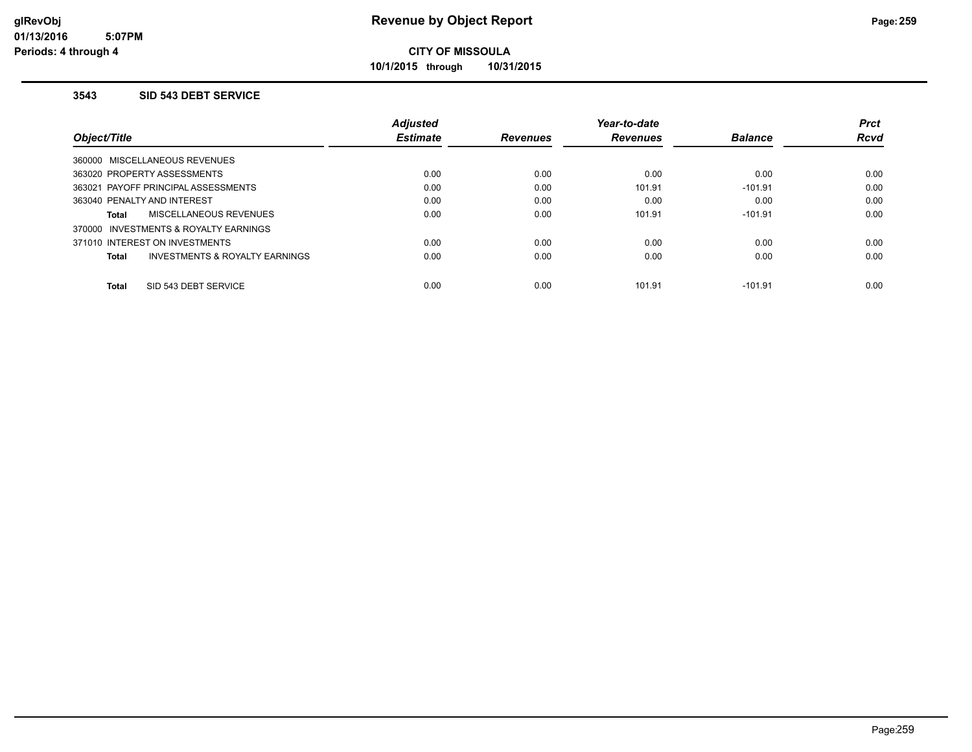**10/1/2015 through 10/31/2015**

#### **3543 SID 543 DEBT SERVICE**

|                                          | <b>Adjusted</b> |                 | Year-to-date    |                | <b>Prct</b> |
|------------------------------------------|-----------------|-----------------|-----------------|----------------|-------------|
| Object/Title                             | <b>Estimate</b> | <b>Revenues</b> | <b>Revenues</b> | <b>Balance</b> | <b>Rcvd</b> |
| 360000 MISCELLANEOUS REVENUES            |                 |                 |                 |                |             |
| 363020 PROPERTY ASSESSMENTS              | 0.00            | 0.00            | 0.00            | 0.00           | 0.00        |
| 363021 PAYOFF PRINCIPAL ASSESSMENTS      | 0.00            | 0.00            | 101.91          | $-101.91$      | 0.00        |
| 363040 PENALTY AND INTEREST              | 0.00            | 0.00            | 0.00            | 0.00           | 0.00        |
| MISCELLANEOUS REVENUES<br>Total          | 0.00            | 0.00            | 101.91          | $-101.91$      | 0.00        |
| INVESTMENTS & ROYALTY EARNINGS<br>370000 |                 |                 |                 |                |             |
| 371010 INTEREST ON INVESTMENTS           | 0.00            | 0.00            | 0.00            | 0.00           | 0.00        |
| INVESTMENTS & ROYALTY EARNINGS<br>Total  | 0.00            | 0.00            | 0.00            | 0.00           | 0.00        |
| SID 543 DEBT SERVICE<br><b>Total</b>     | 0.00            | 0.00            | 101.91          | $-101.91$      | 0.00        |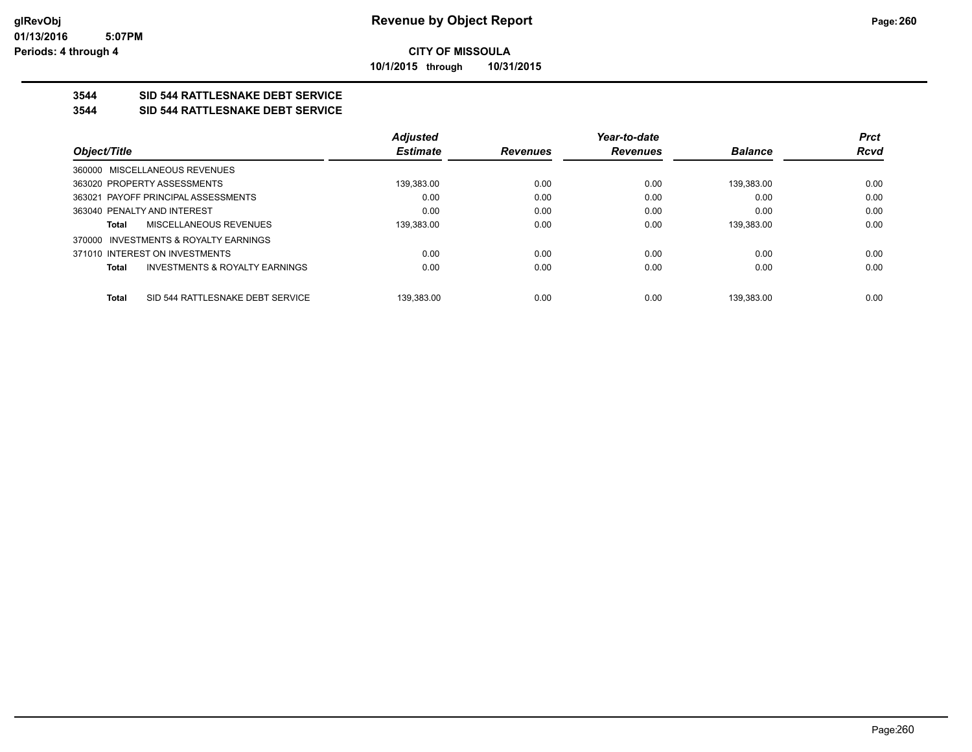**10/1/2015 through 10/31/2015**

## **3544 SID 544 RATTLESNAKE DEBT SERVICE**

### **3544 SID 544 RATTLESNAKE DEBT SERVICE**

|                                       |                                           | <b>Adjusted</b> |                 | Year-to-date    |                | <b>Prct</b> |
|---------------------------------------|-------------------------------------------|-----------------|-----------------|-----------------|----------------|-------------|
| Object/Title                          |                                           | <b>Estimate</b> | <b>Revenues</b> | <b>Revenues</b> | <b>Balance</b> | Rcvd        |
| 360000 MISCELLANEOUS REVENUES         |                                           |                 |                 |                 |                |             |
| 363020 PROPERTY ASSESSMENTS           |                                           | 139,383.00      | 0.00            | 0.00            | 139.383.00     | 0.00        |
| 363021 PAYOFF PRINCIPAL ASSESSMENTS   |                                           | 0.00            | 0.00            | 0.00            | 0.00           | 0.00        |
| 363040 PENALTY AND INTEREST           |                                           | 0.00            | 0.00            | 0.00            | 0.00           | 0.00        |
| Total                                 | MISCELLANEOUS REVENUES                    | 139.383.00      | 0.00            | 0.00            | 139.383.00     | 0.00        |
| 370000 INVESTMENTS & ROYALTY EARNINGS |                                           |                 |                 |                 |                |             |
| 371010 INTEREST ON INVESTMENTS        |                                           | 0.00            | 0.00            | 0.00            | 0.00           | 0.00        |
| <b>Total</b>                          | <b>INVESTMENTS &amp; ROYALTY EARNINGS</b> | 0.00            | 0.00            | 0.00            | 0.00           | 0.00        |
| <b>Total</b>                          | SID 544 RATTLESNAKE DEBT SERVICE          | 139.383.00      | 0.00            | 0.00            | 139.383.00     | 0.00        |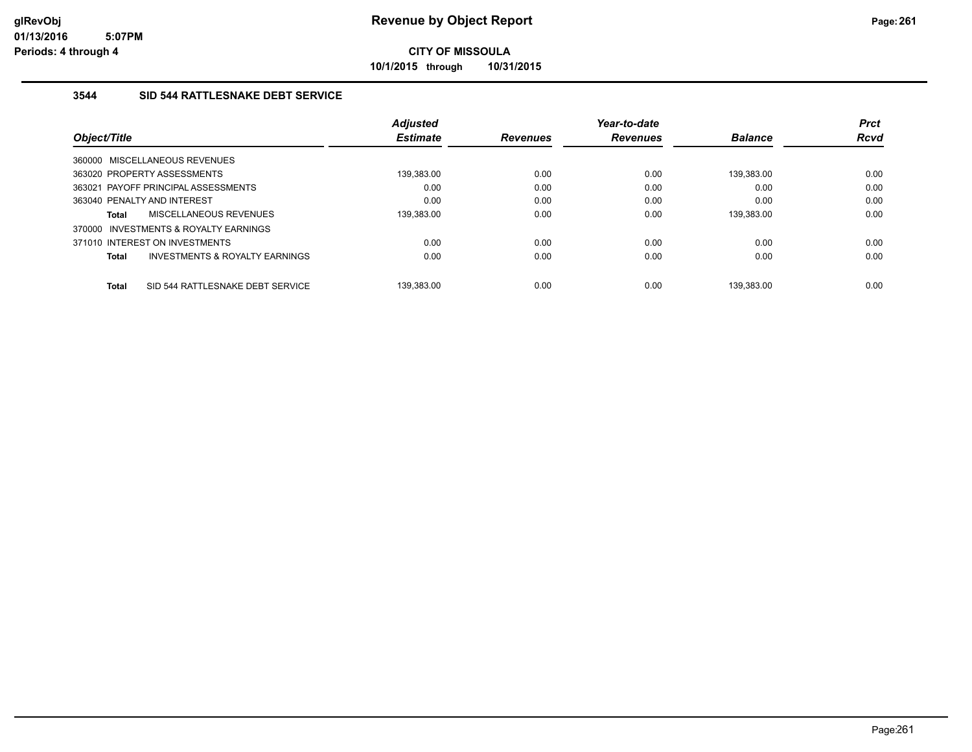**10/1/2015 through 10/31/2015**

### **3544 SID 544 RATTLESNAKE DEBT SERVICE**

|                                                  | <b>Adjusted</b> |                 | Year-to-date    |                | <b>Prct</b> |
|--------------------------------------------------|-----------------|-----------------|-----------------|----------------|-------------|
| Object/Title                                     | <b>Estimate</b> | <b>Revenues</b> | <b>Revenues</b> | <b>Balance</b> | <b>Rcvd</b> |
| 360000 MISCELLANEOUS REVENUES                    |                 |                 |                 |                |             |
| 363020 PROPERTY ASSESSMENTS                      | 139,383.00      | 0.00            | 0.00            | 139,383.00     | 0.00        |
| 363021 PAYOFF PRINCIPAL ASSESSMENTS              | 0.00            | 0.00            | 0.00            | 0.00           | 0.00        |
| 363040 PENALTY AND INTEREST                      | 0.00            | 0.00            | 0.00            | 0.00           | 0.00        |
| MISCELLANEOUS REVENUES<br>Total                  | 139.383.00      | 0.00            | 0.00            | 139.383.00     | 0.00        |
| INVESTMENTS & ROYALTY EARNINGS<br>370000         |                 |                 |                 |                |             |
| 371010 INTEREST ON INVESTMENTS                   | 0.00            | 0.00            | 0.00            | 0.00           | 0.00        |
| INVESTMENTS & ROYALTY EARNINGS<br>Total          | 0.00            | 0.00            | 0.00            | 0.00           | 0.00        |
|                                                  |                 |                 |                 |                |             |
| SID 544 RATTLESNAKE DEBT SERVICE<br><b>Total</b> | 139.383.00      | 0.00            | 0.00            | 139.383.00     | 0.00        |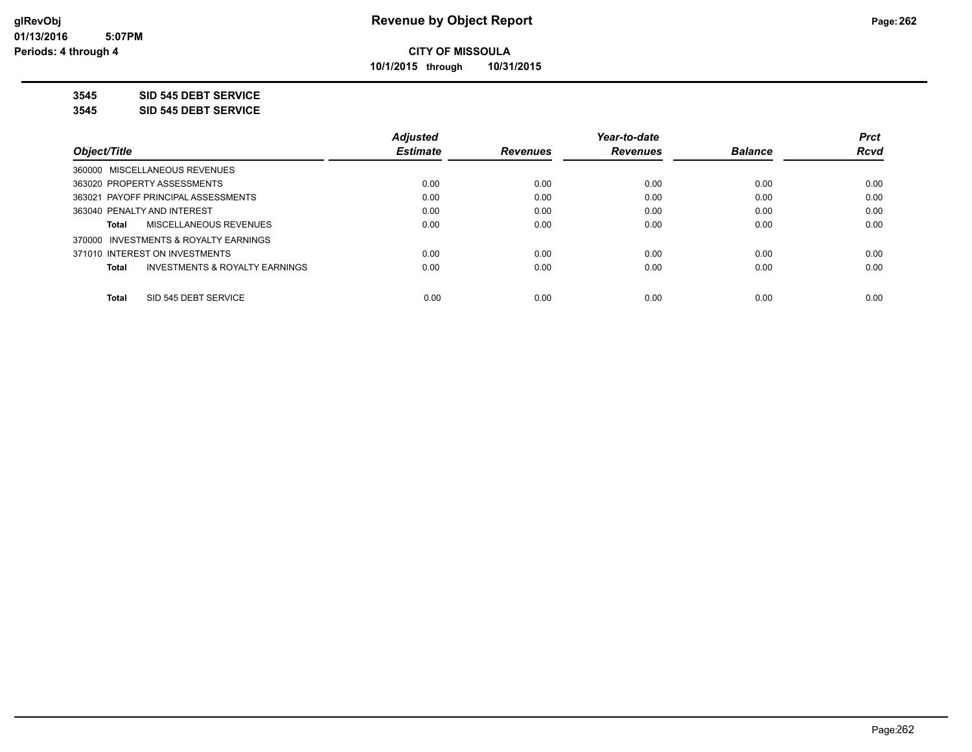**10/1/2015 through 10/31/2015**

**3545 SID 545 DEBT SERVICE**

**3545 SID 545 DEBT SERVICE**

|                                                    | <b>Adjusted</b> |                 | Year-to-date    |                | <b>Prct</b> |
|----------------------------------------------------|-----------------|-----------------|-----------------|----------------|-------------|
| Obiect/Title                                       | <b>Estimate</b> | <b>Revenues</b> | <b>Revenues</b> | <b>Balance</b> | <b>Rcvd</b> |
| 360000 MISCELLANEOUS REVENUES                      |                 |                 |                 |                |             |
| 363020 PROPERTY ASSESSMENTS                        | 0.00            | 0.00            | 0.00            | 0.00           | 0.00        |
| 363021 PAYOFF PRINCIPAL ASSESSMENTS                | 0.00            | 0.00            | 0.00            | 0.00           | 0.00        |
| 363040 PENALTY AND INTEREST                        | 0.00            | 0.00            | 0.00            | 0.00           | 0.00        |
| <b>MISCELLANEOUS REVENUES</b><br>Total             | 0.00            | 0.00            | 0.00            | 0.00           | 0.00        |
| 370000 INVESTMENTS & ROYALTY EARNINGS              |                 |                 |                 |                |             |
| 371010 INTEREST ON INVESTMENTS                     | 0.00            | 0.00            | 0.00            | 0.00           | 0.00        |
| <b>INVESTMENTS &amp; ROYALTY EARNINGS</b><br>Total | 0.00            | 0.00            | 0.00            | 0.00           | 0.00        |
| SID 545 DEBT SERVICE<br><b>Total</b>               | 0.00            | 0.00            | 0.00            | 0.00           | 0.00        |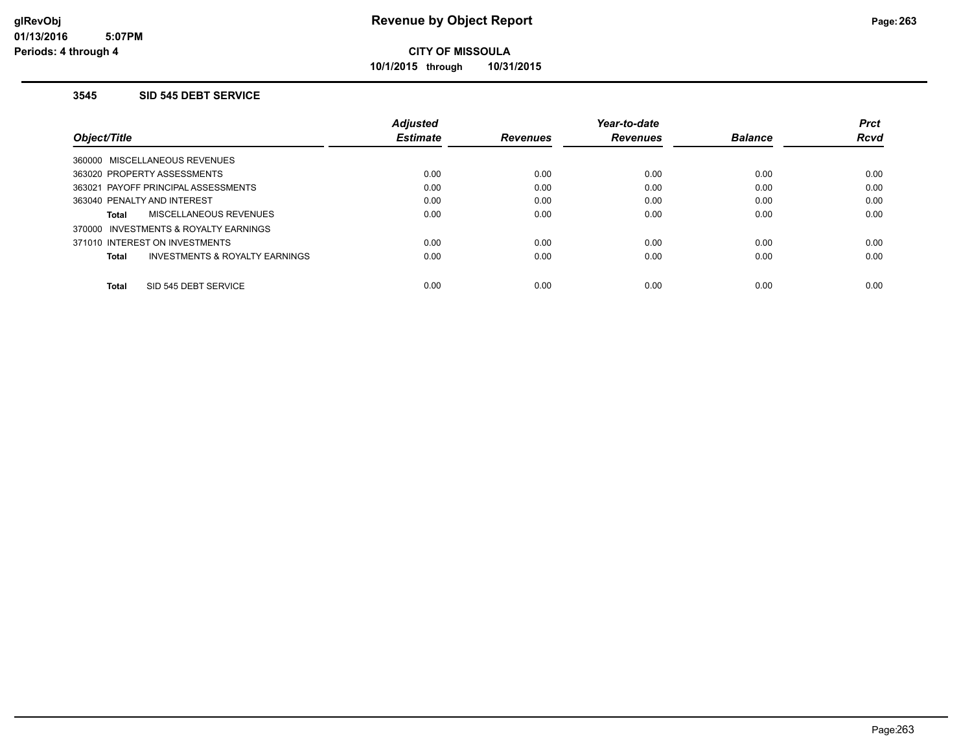**10/1/2015 through 10/31/2015**

#### **3545 SID 545 DEBT SERVICE**

|                                                | <b>Adiusted</b> |                 | Year-to-date    |                | <b>Prct</b> |
|------------------------------------------------|-----------------|-----------------|-----------------|----------------|-------------|
| Object/Title                                   | <b>Estimate</b> | <b>Revenues</b> | <b>Revenues</b> | <b>Balance</b> | <b>Rcvd</b> |
| 360000 MISCELLANEOUS REVENUES                  |                 |                 |                 |                |             |
| 363020 PROPERTY ASSESSMENTS                    | 0.00            | 0.00            | 0.00            | 0.00           | 0.00        |
| 363021 PAYOFF PRINCIPAL ASSESSMENTS            | 0.00            | 0.00            | 0.00            | 0.00           | 0.00        |
| 363040 PENALTY AND INTEREST                    | 0.00            | 0.00            | 0.00            | 0.00           | 0.00        |
| MISCELLANEOUS REVENUES<br><b>Total</b>         | 0.00            | 0.00            | 0.00            | 0.00           | 0.00        |
| 370000 INVESTMENTS & ROYALTY EARNINGS          |                 |                 |                 |                |             |
| 371010 INTEREST ON INVESTMENTS                 | 0.00            | 0.00            | 0.00            | 0.00           | 0.00        |
| INVESTMENTS & ROYALTY EARNINGS<br><b>Total</b> | 0.00            | 0.00            | 0.00            | 0.00           | 0.00        |
| SID 545 DEBT SERVICE<br><b>Total</b>           | 0.00            | 0.00            | 0.00            | 0.00           | 0.00        |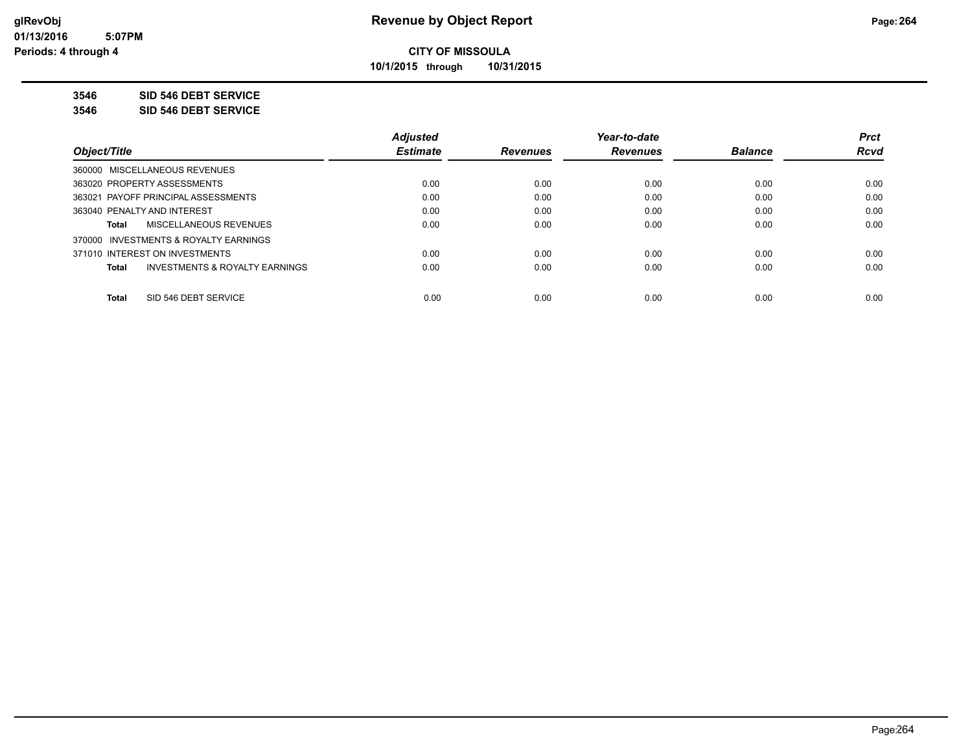**10/1/2015 through 10/31/2015**

**3546 SID 546 DEBT SERVICE**

**3546 SID 546 DEBT SERVICE**

|                                                    | <b>Adjusted</b> |                 | Year-to-date    |                | <b>Prct</b> |
|----------------------------------------------------|-----------------|-----------------|-----------------|----------------|-------------|
| Obiect/Title                                       | <b>Estimate</b> | <b>Revenues</b> | <b>Revenues</b> | <b>Balance</b> | <b>Rcvd</b> |
| 360000 MISCELLANEOUS REVENUES                      |                 |                 |                 |                |             |
| 363020 PROPERTY ASSESSMENTS                        | 0.00            | 0.00            | 0.00            | 0.00           | 0.00        |
| 363021 PAYOFF PRINCIPAL ASSESSMENTS                | 0.00            | 0.00            | 0.00            | 0.00           | 0.00        |
| 363040 PENALTY AND INTEREST                        | 0.00            | 0.00            | 0.00            | 0.00           | 0.00        |
| <b>MISCELLANEOUS REVENUES</b><br>Total             | 0.00            | 0.00            | 0.00            | 0.00           | 0.00        |
| 370000 INVESTMENTS & ROYALTY EARNINGS              |                 |                 |                 |                |             |
| 371010 INTEREST ON INVESTMENTS                     | 0.00            | 0.00            | 0.00            | 0.00           | 0.00        |
| <b>INVESTMENTS &amp; ROYALTY EARNINGS</b><br>Total | 0.00            | 0.00            | 0.00            | 0.00           | 0.00        |
| SID 546 DEBT SERVICE<br><b>Total</b>               | 0.00            | 0.00            | 0.00            | 0.00           | 0.00        |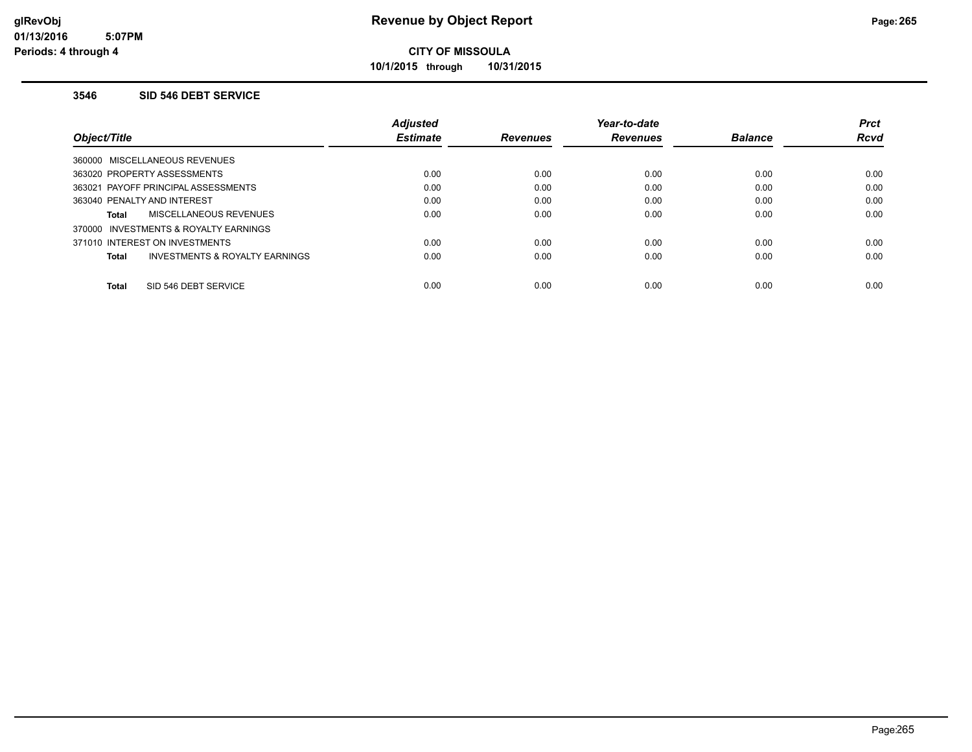**10/1/2015 through 10/31/2015**

#### **3546 SID 546 DEBT SERVICE**

|                                                     | <b>Adjusted</b> |                 | Year-to-date    |                | <b>Prct</b> |
|-----------------------------------------------------|-----------------|-----------------|-----------------|----------------|-------------|
| Object/Title                                        | <b>Estimate</b> | <b>Revenues</b> | <b>Revenues</b> | <b>Balance</b> | <b>Rcvd</b> |
| 360000 MISCELLANEOUS REVENUES                       |                 |                 |                 |                |             |
| 363020 PROPERTY ASSESSMENTS                         | 0.00            | 0.00            | 0.00            | 0.00           | 0.00        |
| 363021 PAYOFF PRINCIPAL ASSESSMENTS                 | 0.00            | 0.00            | 0.00            | 0.00           | 0.00        |
| 363040 PENALTY AND INTEREST                         | 0.00            | 0.00            | 0.00            | 0.00           | 0.00        |
| MISCELLANEOUS REVENUES<br>Total                     | 0.00            | 0.00            | 0.00            | 0.00           | 0.00        |
| <b>INVESTMENTS &amp; ROYALTY EARNINGS</b><br>370000 |                 |                 |                 |                |             |
| 371010 INTEREST ON INVESTMENTS                      | 0.00            | 0.00            | 0.00            | 0.00           | 0.00        |
| INVESTMENTS & ROYALTY EARNINGS<br>Total             | 0.00            | 0.00            | 0.00            | 0.00           | 0.00        |
| SID 546 DEBT SERVICE<br><b>Total</b>                | 0.00            | 0.00            | 0.00            | 0.00           | 0.00        |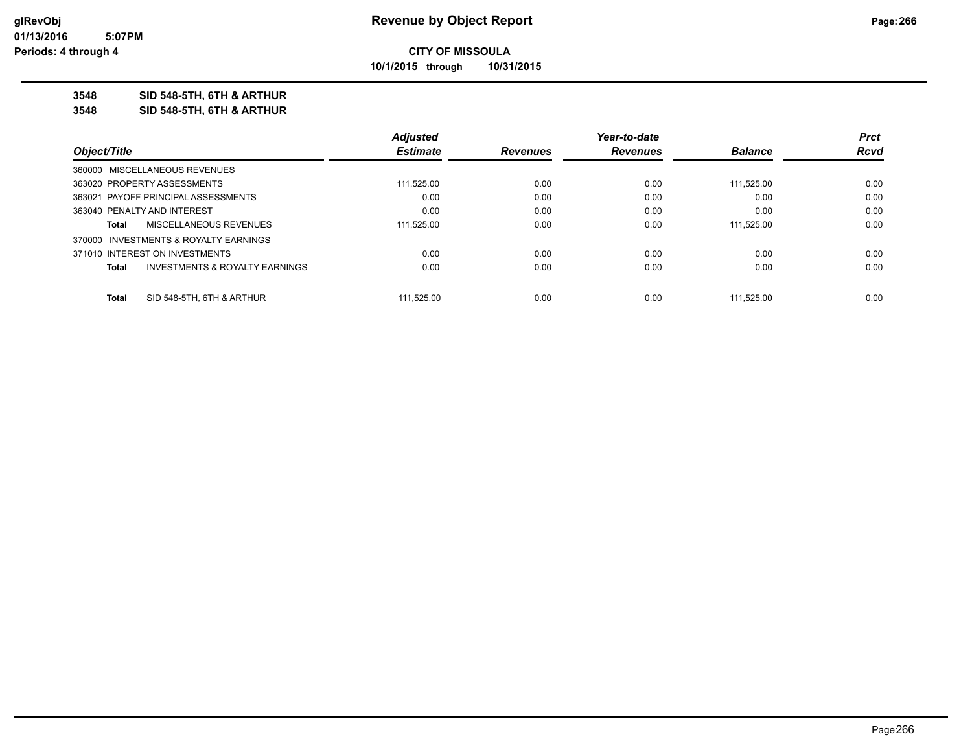**10/1/2015 through 10/31/2015**

#### **3548 SID 548-5TH, 6TH & ARTHUR**

**3548 SID 548-5TH, 6TH & ARTHUR**

|                                                    | <b>Adjusted</b> |                 | Year-to-date    |                | <b>Prct</b> |
|----------------------------------------------------|-----------------|-----------------|-----------------|----------------|-------------|
| Object/Title                                       | <b>Estimate</b> | <b>Revenues</b> | <b>Revenues</b> | <b>Balance</b> | <b>Rcvd</b> |
| 360000 MISCELLANEOUS REVENUES                      |                 |                 |                 |                |             |
| 363020 PROPERTY ASSESSMENTS                        | 111.525.00      | 0.00            | 0.00            | 111.525.00     | 0.00        |
| 363021 PAYOFF PRINCIPAL ASSESSMENTS                | 0.00            | 0.00            | 0.00            | 0.00           | 0.00        |
| 363040 PENALTY AND INTEREST                        | 0.00            | 0.00            | 0.00            | 0.00           | 0.00        |
| <b>MISCELLANEOUS REVENUES</b><br>Total             | 111.525.00      | 0.00            | 0.00            | 111.525.00     | 0.00        |
| 370000 INVESTMENTS & ROYALTY EARNINGS              |                 |                 |                 |                |             |
| 371010 INTEREST ON INVESTMENTS                     | 0.00            | 0.00            | 0.00            | 0.00           | 0.00        |
| <b>INVESTMENTS &amp; ROYALTY EARNINGS</b><br>Total | 0.00            | 0.00            | 0.00            | 0.00           | 0.00        |
| SID 548-5TH, 6TH & ARTHUR<br>Total                 | 111.525.00      | 0.00            | 0.00            | 111.525.00     | 0.00        |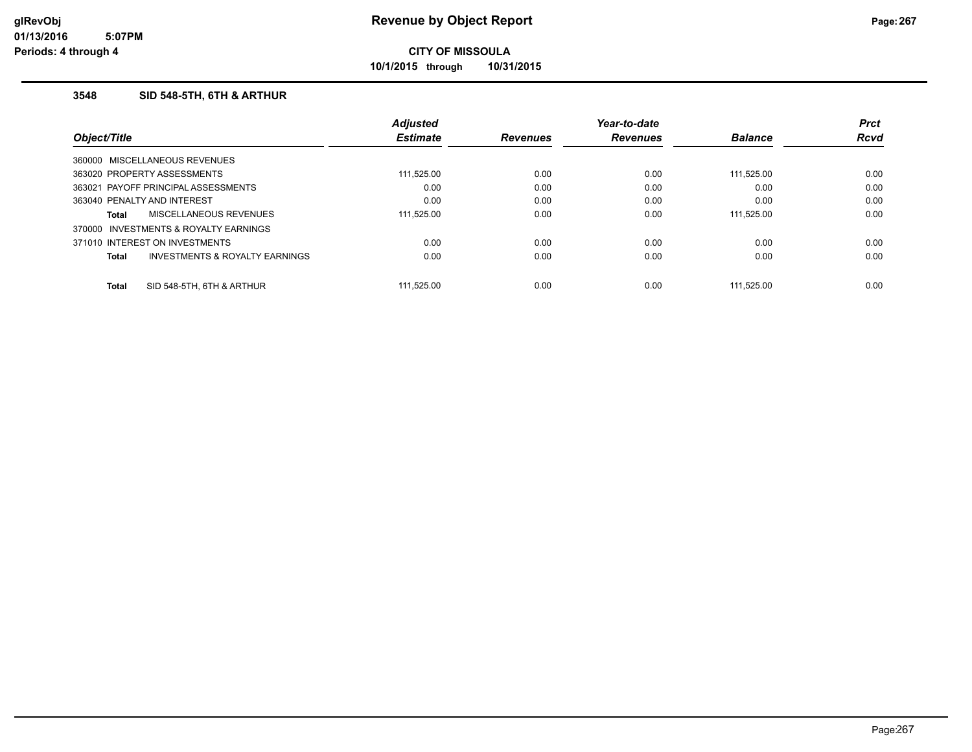**10/1/2015 through 10/31/2015**

### **3548 SID 548-5TH, 6TH & ARTHUR**

|              |                                           | <b>Adjusted</b> |                 | Year-to-date    |                | <b>Prct</b> |
|--------------|-------------------------------------------|-----------------|-----------------|-----------------|----------------|-------------|
| Object/Title |                                           | <b>Estimate</b> | <b>Revenues</b> | <b>Revenues</b> | <b>Balance</b> | <b>Rcvd</b> |
|              | 360000 MISCELLANEOUS REVENUES             |                 |                 |                 |                |             |
|              | 363020 PROPERTY ASSESSMENTS               | 111,525.00      | 0.00            | 0.00            | 111.525.00     | 0.00        |
|              | 363021 PAYOFF PRINCIPAL ASSESSMENTS       | 0.00            | 0.00            | 0.00            | 0.00           | 0.00        |
|              | 363040 PENALTY AND INTEREST               | 0.00            | 0.00            | 0.00            | 0.00           | 0.00        |
| Total        | MISCELLANEOUS REVENUES                    | 111,525.00      | 0.00            | 0.00            | 111.525.00     | 0.00        |
| 370000       | INVESTMENTS & ROYALTY EARNINGS            |                 |                 |                 |                |             |
|              | 371010 INTEREST ON INVESTMENTS            | 0.00            | 0.00            | 0.00            | 0.00           | 0.00        |
| Total        | <b>INVESTMENTS &amp; ROYALTY EARNINGS</b> | 0.00            | 0.00            | 0.00            | 0.00           | 0.00        |
| <b>Total</b> | SID 548-5TH, 6TH & ARTHUR                 | 111.525.00      | 0.00            | 0.00            | 111.525.00     | 0.00        |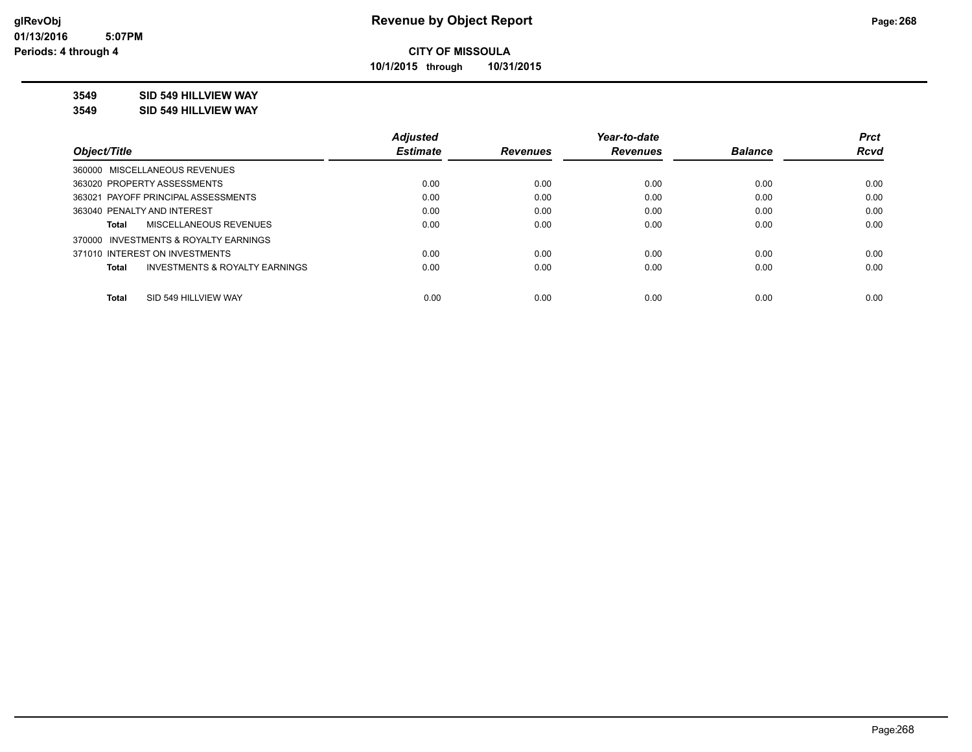**10/1/2015 through 10/31/2015**

### **3549 SID 549 HILLVIEW WAY**

**3549 SID 549 HILLVIEW WAY**

|                                                    | <b>Adjusted</b> |                 | Year-to-date    |                | <b>Prct</b> |
|----------------------------------------------------|-----------------|-----------------|-----------------|----------------|-------------|
| Obiect/Title                                       | <b>Estimate</b> | <b>Revenues</b> | <b>Revenues</b> | <b>Balance</b> | <b>Rcvd</b> |
| 360000 MISCELLANEOUS REVENUES                      |                 |                 |                 |                |             |
| 363020 PROPERTY ASSESSMENTS                        | 0.00            | 0.00            | 0.00            | 0.00           | 0.00        |
| 363021 PAYOFF PRINCIPAL ASSESSMENTS                | 0.00            | 0.00            | 0.00            | 0.00           | 0.00        |
| 363040 PENALTY AND INTEREST                        | 0.00            | 0.00            | 0.00            | 0.00           | 0.00        |
| <b>MISCELLANEOUS REVENUES</b><br>Total             | 0.00            | 0.00            | 0.00            | 0.00           | 0.00        |
| 370000 INVESTMENTS & ROYALTY EARNINGS              |                 |                 |                 |                |             |
| 371010 INTEREST ON INVESTMENTS                     | 0.00            | 0.00            | 0.00            | 0.00           | 0.00        |
| <b>INVESTMENTS &amp; ROYALTY EARNINGS</b><br>Total | 0.00            | 0.00            | 0.00            | 0.00           | 0.00        |
| SID 549 HILLVIEW WAY<br><b>Total</b>               | 0.00            | 0.00            | 0.00            | 0.00           | 0.00        |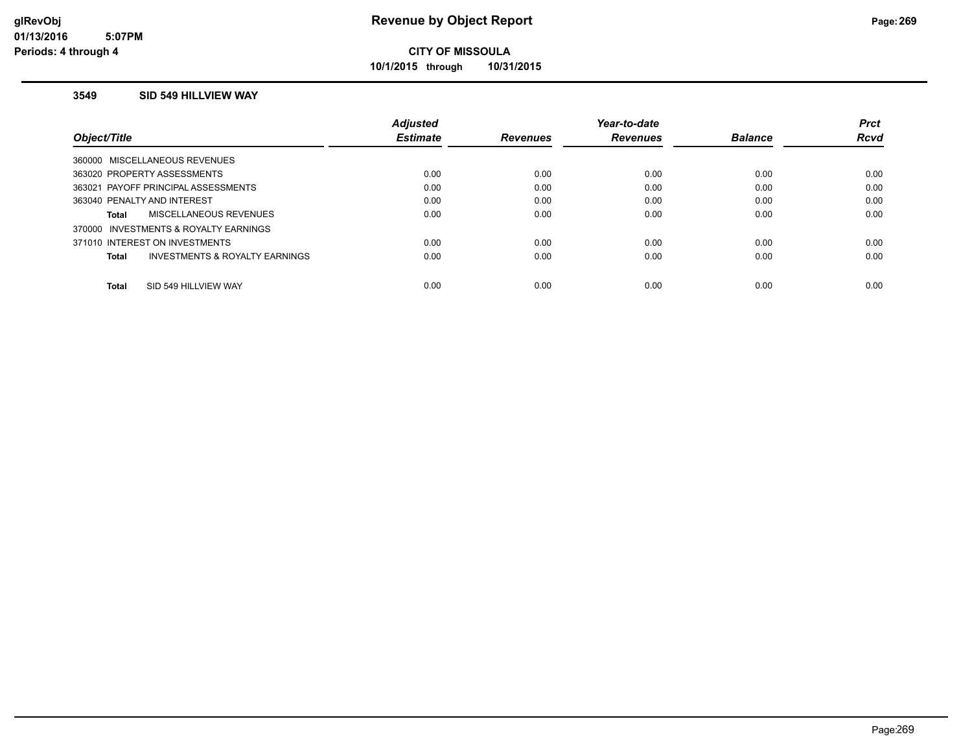**10/1/2015 through 10/31/2015**

#### **3549 SID 549 HILLVIEW WAY**

|                                                | <b>Adiusted</b> |                 | Year-to-date    |                | <b>Prct</b> |
|------------------------------------------------|-----------------|-----------------|-----------------|----------------|-------------|
| Obiect/Title                                   | <b>Estimate</b> | <b>Revenues</b> | <b>Revenues</b> | <b>Balance</b> | <b>Rcvd</b> |
| 360000 MISCELLANEOUS REVENUES                  |                 |                 |                 |                |             |
| 363020 PROPERTY ASSESSMENTS                    | 0.00            | 0.00            | 0.00            | 0.00           | 0.00        |
| 363021 PAYOFF PRINCIPAL ASSESSMENTS            | 0.00            | 0.00            | 0.00            | 0.00           | 0.00        |
| 363040 PENALTY AND INTEREST                    | 0.00            | 0.00            | 0.00            | 0.00           | 0.00        |
| MISCELLANEOUS REVENUES<br><b>Total</b>         | 0.00            | 0.00            | 0.00            | 0.00           | 0.00        |
| 370000 INVESTMENTS & ROYALTY EARNINGS          |                 |                 |                 |                |             |
| 371010 INTEREST ON INVESTMENTS                 | 0.00            | 0.00            | 0.00            | 0.00           | 0.00        |
| INVESTMENTS & ROYALTY EARNINGS<br><b>Total</b> | 0.00            | 0.00            | 0.00            | 0.00           | 0.00        |
| SID 549 HILLVIEW WAY<br><b>Total</b>           | 0.00            | 0.00            | 0.00            | 0.00           | 0.00        |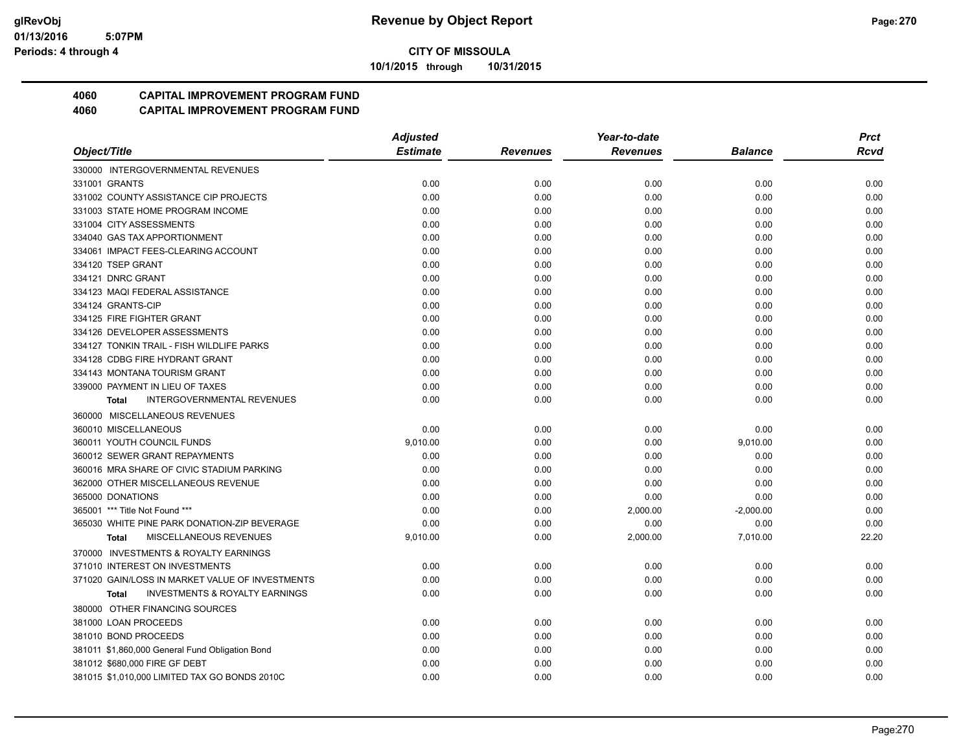**10/1/2015 through 10/31/2015**

## **4060 CAPITAL IMPROVEMENT PROGRAM FUND**

|                                                           | <b>Adjusted</b> |                 | Year-to-date    |                | <b>Prct</b> |
|-----------------------------------------------------------|-----------------|-----------------|-----------------|----------------|-------------|
| Object/Title                                              | <b>Estimate</b> | <b>Revenues</b> | <b>Revenues</b> | <b>Balance</b> | Rcvd        |
| 330000 INTERGOVERNMENTAL REVENUES                         |                 |                 |                 |                |             |
| 331001 GRANTS                                             | 0.00            | 0.00            | 0.00            | 0.00           | 0.00        |
| 331002 COUNTY ASSISTANCE CIP PROJECTS                     | 0.00            | 0.00            | 0.00            | 0.00           | 0.00        |
| 331003 STATE HOME PROGRAM INCOME                          | 0.00            | 0.00            | 0.00            | 0.00           | 0.00        |
| 331004 CITY ASSESSMENTS                                   | 0.00            | 0.00            | 0.00            | 0.00           | 0.00        |
| 334040 GAS TAX APPORTIONMENT                              | 0.00            | 0.00            | 0.00            | 0.00           | 0.00        |
| 334061 IMPACT FEES-CLEARING ACCOUNT                       | 0.00            | 0.00            | 0.00            | 0.00           | 0.00        |
| 334120 TSEP GRANT                                         | 0.00            | 0.00            | 0.00            | 0.00           | 0.00        |
| 334121 DNRC GRANT                                         | 0.00            | 0.00            | 0.00            | 0.00           | 0.00        |
| 334123 MAQI FEDERAL ASSISTANCE                            | 0.00            | 0.00            | 0.00            | 0.00           | 0.00        |
| 334124 GRANTS-CIP                                         | 0.00            | 0.00            | 0.00            | 0.00           | 0.00        |
| 334125 FIRE FIGHTER GRANT                                 | 0.00            | 0.00            | 0.00            | 0.00           | 0.00        |
| 334126 DEVELOPER ASSESSMENTS                              | 0.00            | 0.00            | 0.00            | 0.00           | 0.00        |
| 334127 TONKIN TRAIL - FISH WILDLIFE PARKS                 | 0.00            | 0.00            | 0.00            | 0.00           | 0.00        |
| 334128 CDBG FIRE HYDRANT GRANT                            | 0.00            | 0.00            | 0.00            | 0.00           | 0.00        |
| 334143 MONTANA TOURISM GRANT                              | 0.00            | 0.00            | 0.00            | 0.00           | 0.00        |
| 339000 PAYMENT IN LIEU OF TAXES                           | 0.00            | 0.00            | 0.00            | 0.00           | 0.00        |
| <b>INTERGOVERNMENTAL REVENUES</b><br>Total                | 0.00            | 0.00            | 0.00            | 0.00           | 0.00        |
| 360000 MISCELLANEOUS REVENUES                             |                 |                 |                 |                |             |
| 360010 MISCELLANEOUS                                      | 0.00            | 0.00            | 0.00            | 0.00           | 0.00        |
| 360011 YOUTH COUNCIL FUNDS                                | 9,010.00        | 0.00            | 0.00            | 9,010.00       | 0.00        |
| 360012 SEWER GRANT REPAYMENTS                             | 0.00            | 0.00            | 0.00            | 0.00           | 0.00        |
| 360016 MRA SHARE OF CIVIC STADIUM PARKING                 | 0.00            | 0.00            | 0.00            | 0.00           | 0.00        |
| 362000 OTHER MISCELLANEOUS REVENUE                        | 0.00            | 0.00            | 0.00            | 0.00           | 0.00        |
| 365000 DONATIONS                                          | 0.00            | 0.00            | 0.00            | 0.00           | 0.00        |
| 365001 *** Title Not Found ***                            | 0.00            | 0.00            | 2,000.00        | $-2,000.00$    | 0.00        |
| 365030 WHITE PINE PARK DONATION-ZIP BEVERAGE              | 0.00            | 0.00            | 0.00            | 0.00           | 0.00        |
| MISCELLANEOUS REVENUES<br><b>Total</b>                    | 9,010.00        | 0.00            | 2,000.00        | 7,010.00       | 22.20       |
| 370000 INVESTMENTS & ROYALTY EARNINGS                     |                 |                 |                 |                |             |
| 371010 INTEREST ON INVESTMENTS                            | 0.00            | 0.00            | 0.00            | 0.00           | 0.00        |
| 371020 GAIN/LOSS IN MARKET VALUE OF INVESTMENTS           | 0.00            | 0.00            | 0.00            | 0.00           | 0.00        |
| <b>INVESTMENTS &amp; ROYALTY EARNINGS</b><br><b>Total</b> | 0.00            | 0.00            | 0.00            | 0.00           | 0.00        |
| 380000 OTHER FINANCING SOURCES                            |                 |                 |                 |                |             |
| 381000 LOAN PROCEEDS                                      | 0.00            | 0.00            | 0.00            | 0.00           | 0.00        |
| 381010 BOND PROCEEDS                                      | 0.00            | 0.00            | 0.00            | 0.00           | 0.00        |
| 381011 \$1,860,000 General Fund Obligation Bond           | 0.00            | 0.00            | 0.00            | 0.00           | 0.00        |
| 381012 \$680,000 FIRE GF DEBT                             | 0.00            | 0.00            | 0.00            | 0.00           | 0.00        |
| 381015 \$1,010,000 LIMITED TAX GO BONDS 2010C             | 0.00            | 0.00            | 0.00            | 0.00           | 0.00        |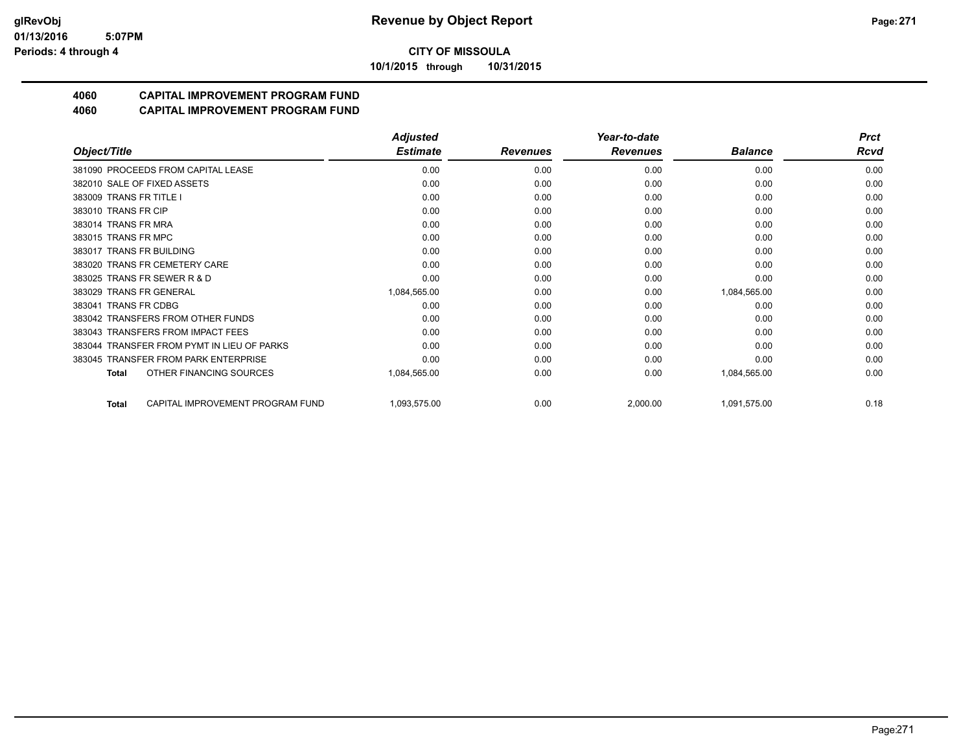**10/1/2015 through 10/31/2015**

## **4060 CAPITAL IMPROVEMENT PROGRAM FUND**

|                                                  | <b>Adjusted</b> |                 | Year-to-date    | <b>Prct</b>    |      |
|--------------------------------------------------|-----------------|-----------------|-----------------|----------------|------|
| Object/Title                                     | <b>Estimate</b> | <b>Revenues</b> | <b>Revenues</b> | <b>Balance</b> | Rcvd |
| 381090 PROCEEDS FROM CAPITAL LEASE               | 0.00            | 0.00            | 0.00            | 0.00           | 0.00 |
| 382010 SALE OF FIXED ASSETS                      | 0.00            | 0.00            | 0.00            | 0.00           | 0.00 |
| 383009 TRANS FR TITLE I                          | 0.00            | 0.00            | 0.00            | 0.00           | 0.00 |
| 383010 TRANS FR CIP                              | 0.00            | 0.00            | 0.00            | 0.00           | 0.00 |
| 383014 TRANS FR MRA                              | 0.00            | 0.00            | 0.00            | 0.00           | 0.00 |
| 383015 TRANS FR MPC                              | 0.00            | 0.00            | 0.00            | 0.00           | 0.00 |
| 383017 TRANS FR BUILDING                         | 0.00            | 0.00            | 0.00            | 0.00           | 0.00 |
| 383020 TRANS FR CEMETERY CARE                    | 0.00            | 0.00            | 0.00            | 0.00           | 0.00 |
| 383025 TRANS FR SEWER R & D                      | 0.00            | 0.00            | 0.00            | 0.00           | 0.00 |
| 383029 TRANS FR GENERAL                          | 1,084,565.00    | 0.00            | 0.00            | 1,084,565.00   | 0.00 |
| 383041 TRANS FR CDBG                             | 0.00            | 0.00            | 0.00            | 0.00           | 0.00 |
| 383042 TRANSFERS FROM OTHER FUNDS                | 0.00            | 0.00            | 0.00            | 0.00           | 0.00 |
| 383043 TRANSFERS FROM IMPACT FEES                | 0.00            | 0.00            | 0.00            | 0.00           | 0.00 |
| 383044 TRANSFER FROM PYMT IN LIEU OF PARKS       | 0.00            | 0.00            | 0.00            | 0.00           | 0.00 |
| 383045 TRANSFER FROM PARK ENTERPRISE             | 0.00            | 0.00            | 0.00            | 0.00           | 0.00 |
| OTHER FINANCING SOURCES<br>Total                 | 1,084,565.00    | 0.00            | 0.00            | 1,084,565.00   | 0.00 |
| CAPITAL IMPROVEMENT PROGRAM FUND<br><b>Total</b> | 1,093,575.00    | 0.00            | 2,000.00        | 1,091,575.00   | 0.18 |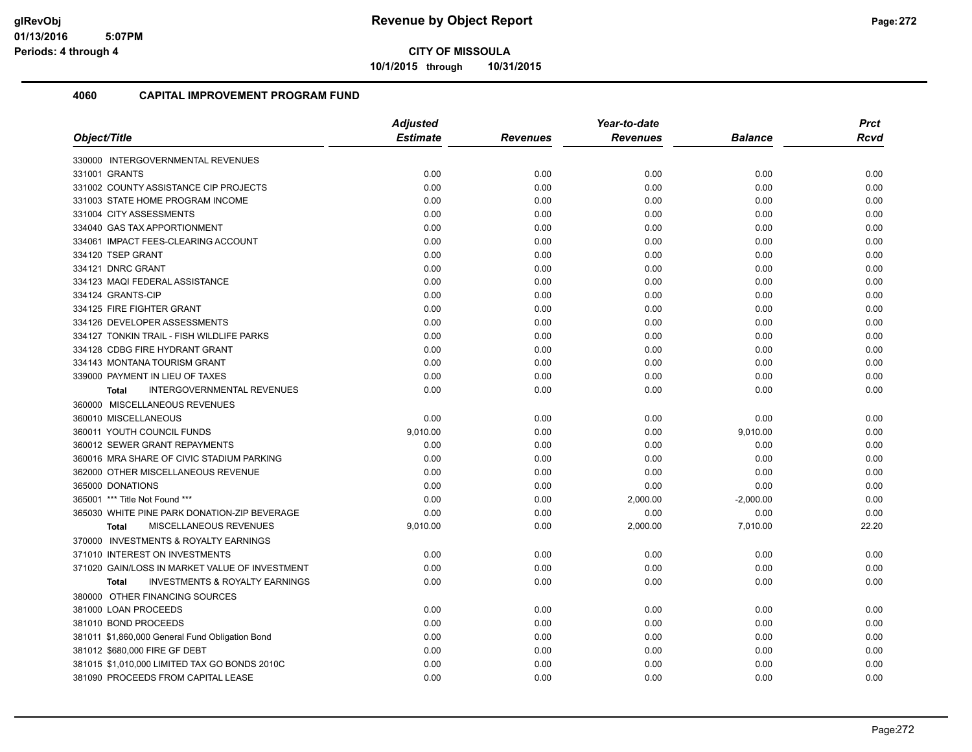**10/1/2015 through 10/31/2015**

| Object/Title                                              | <b>Adjusted</b> |          | Year-to-date    |                | <b>Prct</b> |
|-----------------------------------------------------------|-----------------|----------|-----------------|----------------|-------------|
|                                                           | <b>Estimate</b> | Revenues | <b>Revenues</b> | <b>Balance</b> | <b>Rcvd</b> |
| 330000 INTERGOVERNMENTAL REVENUES                         |                 |          |                 |                |             |
| 331001 GRANTS                                             | 0.00            | 0.00     | 0.00            | 0.00           | 0.00        |
| 331002 COUNTY ASSISTANCE CIP PROJECTS                     | 0.00            | 0.00     | 0.00            | 0.00           | 0.00        |
| 331003 STATE HOME PROGRAM INCOME                          | 0.00            | 0.00     | 0.00            | 0.00           | 0.00        |
| 331004 CITY ASSESSMENTS                                   | 0.00            | 0.00     | 0.00            | 0.00           | 0.00        |
| 334040 GAS TAX APPORTIONMENT                              | 0.00            | 0.00     | 0.00            | 0.00           | 0.00        |
| 334061 IMPACT FEES-CLEARING ACCOUNT                       | 0.00            | 0.00     | 0.00            | 0.00           | 0.00        |
| 334120 TSEP GRANT                                         | 0.00            | 0.00     | 0.00            | 0.00           | 0.00        |
| 334121 DNRC GRANT                                         | 0.00            | 0.00     | 0.00            | 0.00           | 0.00        |
| 334123 MAQI FEDERAL ASSISTANCE                            | 0.00            | 0.00     | 0.00            | 0.00           | 0.00        |
| 334124 GRANTS-CIP                                         | 0.00            | 0.00     | 0.00            | 0.00           | 0.00        |
| 334125 FIRE FIGHTER GRANT                                 | 0.00            | 0.00     | 0.00            | 0.00           | 0.00        |
| 334126 DEVELOPER ASSESSMENTS                              | 0.00            | 0.00     | 0.00            | 0.00           | 0.00        |
| 334127 TONKIN TRAIL - FISH WILDLIFE PARKS                 | 0.00            | 0.00     | 0.00            | 0.00           | 0.00        |
| 334128 CDBG FIRE HYDRANT GRANT                            | 0.00            | 0.00     | 0.00            | 0.00           | 0.00        |
| 334143 MONTANA TOURISM GRANT                              | 0.00            | 0.00     | 0.00            | 0.00           | 0.00        |
| 339000 PAYMENT IN LIEU OF TAXES                           | 0.00            | 0.00     | 0.00            | 0.00           | 0.00        |
| <b>INTERGOVERNMENTAL REVENUES</b><br><b>Total</b>         | 0.00            | 0.00     | 0.00            | 0.00           | 0.00        |
| 360000 MISCELLANEOUS REVENUES                             |                 |          |                 |                |             |
| 360010 MISCELLANEOUS                                      | 0.00            | 0.00     | 0.00            | 0.00           | 0.00        |
| 360011 YOUTH COUNCIL FUNDS                                | 9,010.00        | 0.00     | 0.00            | 9,010.00       | 0.00        |
| 360012 SEWER GRANT REPAYMENTS                             | 0.00            | 0.00     | 0.00            | 0.00           | 0.00        |
| 360016 MRA SHARE OF CIVIC STADIUM PARKING                 | 0.00            | 0.00     | 0.00            | 0.00           | 0.00        |
| 362000 OTHER MISCELLANEOUS REVENUE                        | 0.00            | 0.00     | 0.00            | 0.00           | 0.00        |
| 365000 DONATIONS                                          | 0.00            | 0.00     | 0.00            | 0.00           | 0.00        |
| 365001 *** Title Not Found ***                            | 0.00            | 0.00     | 2,000.00        | $-2,000.00$    | 0.00        |
| 365030 WHITE PINE PARK DONATION-ZIP BEVERAGE              | 0.00            | 0.00     | 0.00            | 0.00           | 0.00        |
| MISCELLANEOUS REVENUES<br><b>Total</b>                    | 9,010.00        | 0.00     | 2,000.00        | 7,010.00       | 22.20       |
| 370000 INVESTMENTS & ROYALTY EARNINGS                     |                 |          |                 |                |             |
| 371010 INTEREST ON INVESTMENTS                            | 0.00            | 0.00     | 0.00            | 0.00           | 0.00        |
| 371020 GAIN/LOSS IN MARKET VALUE OF INVESTMENT            | 0.00            | 0.00     | 0.00            | 0.00           | 0.00        |
| <b>INVESTMENTS &amp; ROYALTY EARNINGS</b><br><b>Total</b> | 0.00            | 0.00     | 0.00            | 0.00           | 0.00        |
| 380000 OTHER FINANCING SOURCES                            |                 |          |                 |                |             |
| 381000 LOAN PROCEEDS                                      | 0.00            | 0.00     | 0.00            | 0.00           | 0.00        |
| 381010 BOND PROCEEDS                                      | 0.00            | 0.00     | 0.00            | 0.00           | 0.00        |
| 381011 \$1,860,000 General Fund Obligation Bond           | 0.00            | 0.00     | 0.00            | 0.00           | 0.00        |
| 381012 \$680,000 FIRE GF DEBT                             | 0.00            | 0.00     | 0.00            | 0.00           | 0.00        |
| 381015 \$1,010,000 LIMITED TAX GO BONDS 2010C             | 0.00            | 0.00     | 0.00            | 0.00           | 0.00        |
| 381090 PROCEEDS FROM CAPITAL LEASE                        | 0.00            | 0.00     | 0.00            | 0.00           | 0.00        |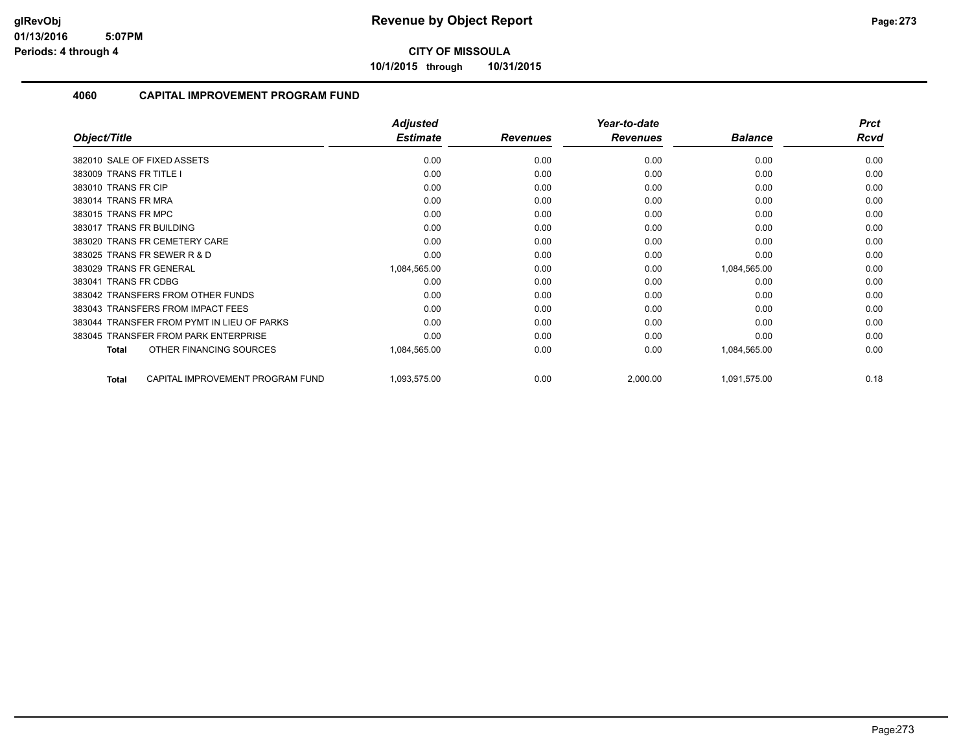**10/1/2015 through 10/31/2015**

|                                                  | <b>Adjusted</b> |                 | Year-to-date    |                | <b>Prct</b> |
|--------------------------------------------------|-----------------|-----------------|-----------------|----------------|-------------|
| Object/Title                                     | <b>Estimate</b> | <b>Revenues</b> | <b>Revenues</b> | <b>Balance</b> | Rcvd        |
| 382010 SALE OF FIXED ASSETS                      | 0.00            | 0.00            | 0.00            | 0.00           | 0.00        |
| 383009 TRANS FR TITLE I                          | 0.00            | 0.00            | 0.00            | 0.00           | 0.00        |
| 383010 TRANS FR CIP                              | 0.00            | 0.00            | 0.00            | 0.00           | 0.00        |
| 383014 TRANS FR MRA                              | 0.00            | 0.00            | 0.00            | 0.00           | 0.00        |
| 383015 TRANS FR MPC                              | 0.00            | 0.00            | 0.00            | 0.00           | 0.00        |
| 383017 TRANS FR BUILDING                         | 0.00            | 0.00            | 0.00            | 0.00           | 0.00        |
| 383020 TRANS FR CEMETERY CARE                    | 0.00            | 0.00            | 0.00            | 0.00           | 0.00        |
| 383025 TRANS FR SEWER R & D                      | 0.00            | 0.00            | 0.00            | 0.00           | 0.00        |
| 383029 TRANS FR GENERAL                          | 1,084,565.00    | 0.00            | 0.00            | 1,084,565.00   | 0.00        |
| 383041 TRANS FR CDBG                             | 0.00            | 0.00            | 0.00            | 0.00           | 0.00        |
| 383042 TRANSFERS FROM OTHER FUNDS                | 0.00            | 0.00            | 0.00            | 0.00           | 0.00        |
| 383043 TRANSFERS FROM IMPACT FEES                | 0.00            | 0.00            | 0.00            | 0.00           | 0.00        |
| 383044 TRANSFER FROM PYMT IN LIEU OF PARKS       | 0.00            | 0.00            | 0.00            | 0.00           | 0.00        |
| 383045 TRANSFER FROM PARK ENTERPRISE             | 0.00            | 0.00            | 0.00            | 0.00           | 0.00        |
| OTHER FINANCING SOURCES<br><b>Total</b>          | 1,084,565.00    | 0.00            | 0.00            | 1,084,565.00   | 0.00        |
| CAPITAL IMPROVEMENT PROGRAM FUND<br><b>Total</b> | 1,093,575.00    | 0.00            | 2,000.00        | 1,091,575.00   | 0.18        |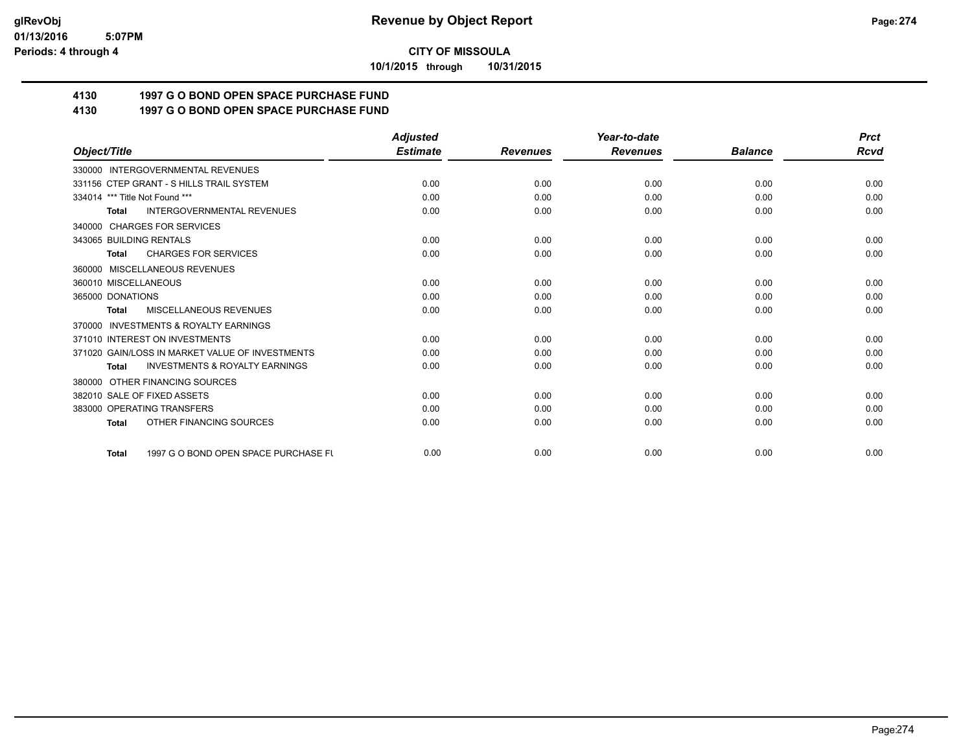**10/1/2015 through 10/31/2015**

# **4130 1997 G O BOND OPEN SPACE PURCHASE FUND**

## **4130 1997 G O BOND OPEN SPACE PURCHASE FUND**

|                                                      | <b>Adjusted</b> |                 | Year-to-date    |                | <b>Prct</b> |
|------------------------------------------------------|-----------------|-----------------|-----------------|----------------|-------------|
| Object/Title                                         | <b>Estimate</b> | <b>Revenues</b> | <b>Revenues</b> | <b>Balance</b> | <b>Rcvd</b> |
| 330000 INTERGOVERNMENTAL REVENUES                    |                 |                 |                 |                |             |
| 331156 CTEP GRANT - S HILLS TRAIL SYSTEM             | 0.00            | 0.00            | 0.00            | 0.00           | 0.00        |
| 334014 *** Title Not Found ***                       | 0.00            | 0.00            | 0.00            | 0.00           | 0.00        |
| <b>INTERGOVERNMENTAL REVENUES</b><br><b>Total</b>    | 0.00            | 0.00            | 0.00            | 0.00           | 0.00        |
| <b>CHARGES FOR SERVICES</b><br>340000                |                 |                 |                 |                |             |
| 343065 BUILDING RENTALS                              | 0.00            | 0.00            | 0.00            | 0.00           | 0.00        |
| <b>CHARGES FOR SERVICES</b><br><b>Total</b>          | 0.00            | 0.00            | 0.00            | 0.00           | 0.00        |
| MISCELLANEOUS REVENUES<br>360000                     |                 |                 |                 |                |             |
| 360010 MISCELLANEOUS                                 | 0.00            | 0.00            | 0.00            | 0.00           | 0.00        |
| 365000 DONATIONS                                     | 0.00            | 0.00            | 0.00            | 0.00           | 0.00        |
| <b>MISCELLANEOUS REVENUES</b><br><b>Total</b>        | 0.00            | 0.00            | 0.00            | 0.00           | 0.00        |
| <b>INVESTMENTS &amp; ROYALTY EARNINGS</b><br>370000  |                 |                 |                 |                |             |
| 371010 INTEREST ON INVESTMENTS                       | 0.00            | 0.00            | 0.00            | 0.00           | 0.00        |
| 371020 GAIN/LOSS IN MARKET VALUE OF INVESTMENTS      | 0.00            | 0.00            | 0.00            | 0.00           | 0.00        |
| <b>INVESTMENTS &amp; ROYALTY EARNINGS</b><br>Total   | 0.00            | 0.00            | 0.00            | 0.00           | 0.00        |
| OTHER FINANCING SOURCES<br>380000                    |                 |                 |                 |                |             |
| 382010 SALE OF FIXED ASSETS                          | 0.00            | 0.00            | 0.00            | 0.00           | 0.00        |
| 383000 OPERATING TRANSFERS                           | 0.00            | 0.00            | 0.00            | 0.00           | 0.00        |
| OTHER FINANCING SOURCES<br><b>Total</b>              | 0.00            | 0.00            | 0.00            | 0.00           | 0.00        |
| 1997 G O BOND OPEN SPACE PURCHASE FU<br><b>Total</b> | 0.00            | 0.00            | 0.00            | 0.00           | 0.00        |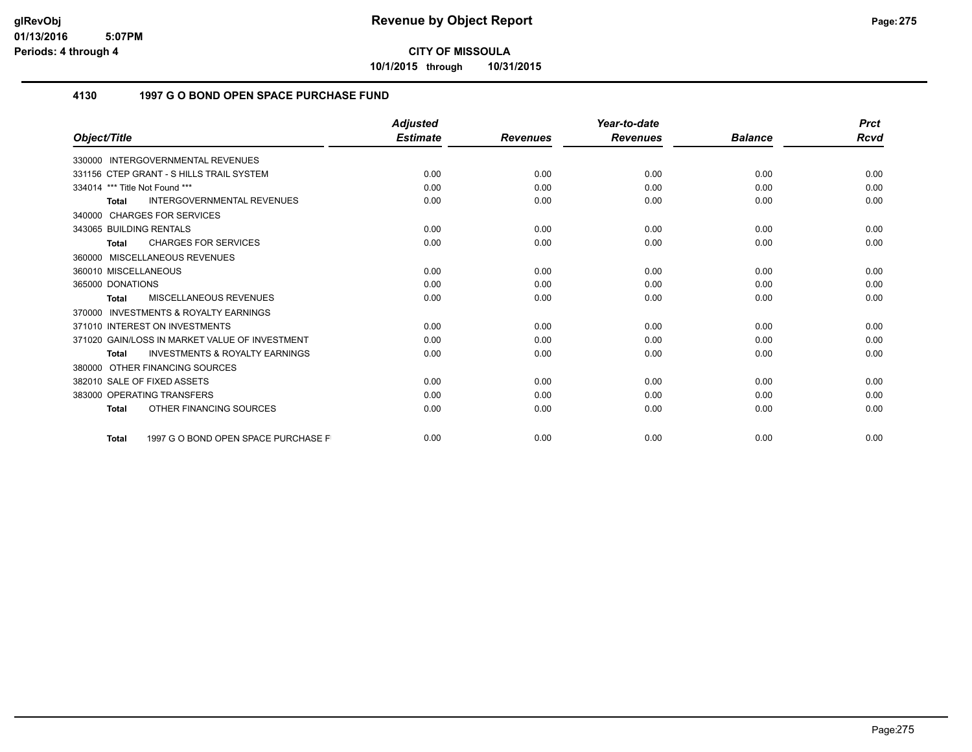**10/1/2015 through 10/31/2015**

### **4130 1997 G O BOND OPEN SPACE PURCHASE FUND**

|                                                           | <b>Adjusted</b> |                 | Year-to-date    |                | <b>Prct</b> |
|-----------------------------------------------------------|-----------------|-----------------|-----------------|----------------|-------------|
| Object/Title                                              | <b>Estimate</b> | <b>Revenues</b> | <b>Revenues</b> | <b>Balance</b> | <b>Rcvd</b> |
| 330000 INTERGOVERNMENTAL REVENUES                         |                 |                 |                 |                |             |
| 331156 CTEP GRANT - S HILLS TRAIL SYSTEM                  | 0.00            | 0.00            | 0.00            | 0.00           | 0.00        |
| 334014 *** Title Not Found ***                            | 0.00            | 0.00            | 0.00            | 0.00           | 0.00        |
| <b>INTERGOVERNMENTAL REVENUES</b><br>Total                | 0.00            | 0.00            | 0.00            | 0.00           | 0.00        |
| 340000 CHARGES FOR SERVICES                               |                 |                 |                 |                |             |
| 343065 BUILDING RENTALS                                   | 0.00            | 0.00            | 0.00            | 0.00           | 0.00        |
| <b>CHARGES FOR SERVICES</b><br>Total                      | 0.00            | 0.00            | 0.00            | 0.00           | 0.00        |
| 360000 MISCELLANEOUS REVENUES                             |                 |                 |                 |                |             |
| 360010 MISCELLANEOUS                                      | 0.00            | 0.00            | 0.00            | 0.00           | 0.00        |
| 365000 DONATIONS                                          | 0.00            | 0.00            | 0.00            | 0.00           | 0.00        |
| MISCELLANEOUS REVENUES<br>Total                           | 0.00            | 0.00            | 0.00            | 0.00           | 0.00        |
| 370000 INVESTMENTS & ROYALTY EARNINGS                     |                 |                 |                 |                |             |
| 371010 INTEREST ON INVESTMENTS                            | 0.00            | 0.00            | 0.00            | 0.00           | 0.00        |
| 371020 GAIN/LOSS IN MARKET VALUE OF INVESTMENT            | 0.00            | 0.00            | 0.00            | 0.00           | 0.00        |
| <b>INVESTMENTS &amp; ROYALTY EARNINGS</b><br><b>Total</b> | 0.00            | 0.00            | 0.00            | 0.00           | 0.00        |
| 380000 OTHER FINANCING SOURCES                            |                 |                 |                 |                |             |
| 382010 SALE OF FIXED ASSETS                               | 0.00            | 0.00            | 0.00            | 0.00           | 0.00        |
| 383000 OPERATING TRANSFERS                                | 0.00            | 0.00            | 0.00            | 0.00           | 0.00        |
| OTHER FINANCING SOURCES<br><b>Total</b>                   | 0.00            | 0.00            | 0.00            | 0.00           | 0.00        |
| 1997 G O BOND OPEN SPACE PURCHASE F<br><b>Total</b>       | 0.00            | 0.00            | 0.00            | 0.00           | 0.00        |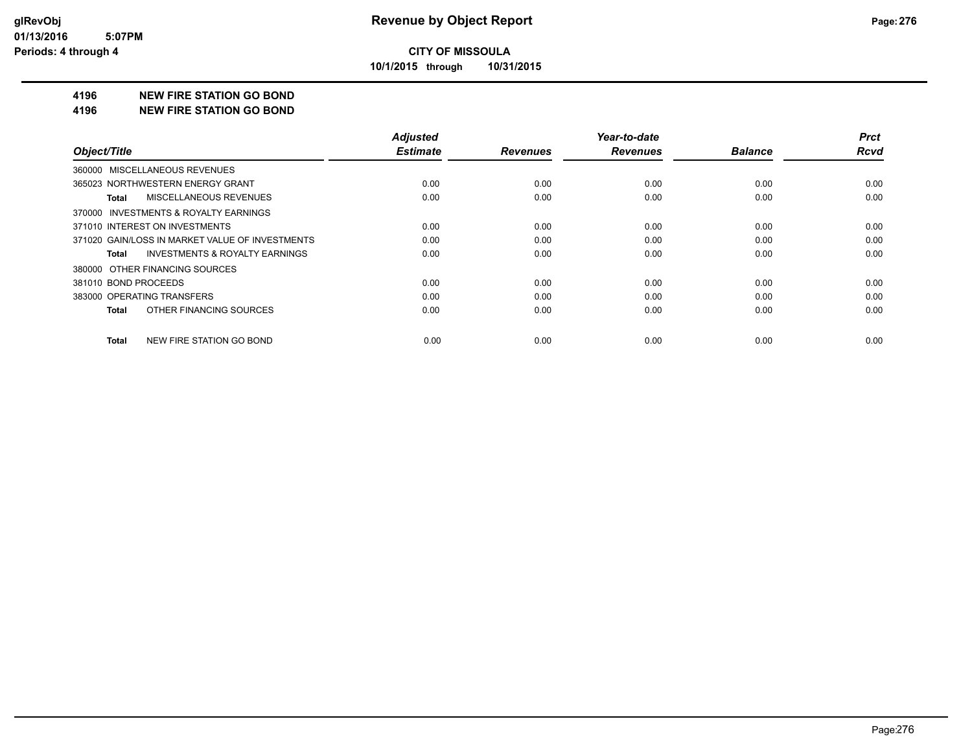**10/1/2015 through 10/31/2015**

#### **4196 NEW FIRE STATION GO BOND**

#### **4196 NEW FIRE STATION GO BOND**

|                                                    | <b>Adjusted</b> |                 | Year-to-date    |                | <b>Prct</b> |
|----------------------------------------------------|-----------------|-----------------|-----------------|----------------|-------------|
| Object/Title                                       | <b>Estimate</b> | <b>Revenues</b> | <b>Revenues</b> | <b>Balance</b> | <b>Rcvd</b> |
| 360000 MISCELLANEOUS REVENUES                      |                 |                 |                 |                |             |
| 365023 NORTHWESTERN ENERGY GRANT                   | 0.00            | 0.00            | 0.00            | 0.00           | 0.00        |
| <b>MISCELLANEOUS REVENUES</b><br><b>Total</b>      | 0.00            | 0.00            | 0.00            | 0.00           | 0.00        |
| 370000 INVESTMENTS & ROYALTY EARNINGS              |                 |                 |                 |                |             |
| 371010 INTEREST ON INVESTMENTS                     | 0.00            | 0.00            | 0.00            | 0.00           | 0.00        |
| 371020 GAIN/LOSS IN MARKET VALUE OF INVESTMENTS    | 0.00            | 0.00            | 0.00            | 0.00           | 0.00        |
| <b>INVESTMENTS &amp; ROYALTY EARNINGS</b><br>Total | 0.00            | 0.00            | 0.00            | 0.00           | 0.00        |
| 380000 OTHER FINANCING SOURCES                     |                 |                 |                 |                |             |
| 381010 BOND PROCEEDS                               | 0.00            | 0.00            | 0.00            | 0.00           | 0.00        |
| 383000 OPERATING TRANSFERS                         | 0.00            | 0.00            | 0.00            | 0.00           | 0.00        |
| OTHER FINANCING SOURCES<br><b>Total</b>            | 0.00            | 0.00            | 0.00            | 0.00           | 0.00        |
| <b>NEW FIRE STATION GO BOND</b><br>Total           | 0.00            | 0.00            | 0.00            | 0.00           | 0.00        |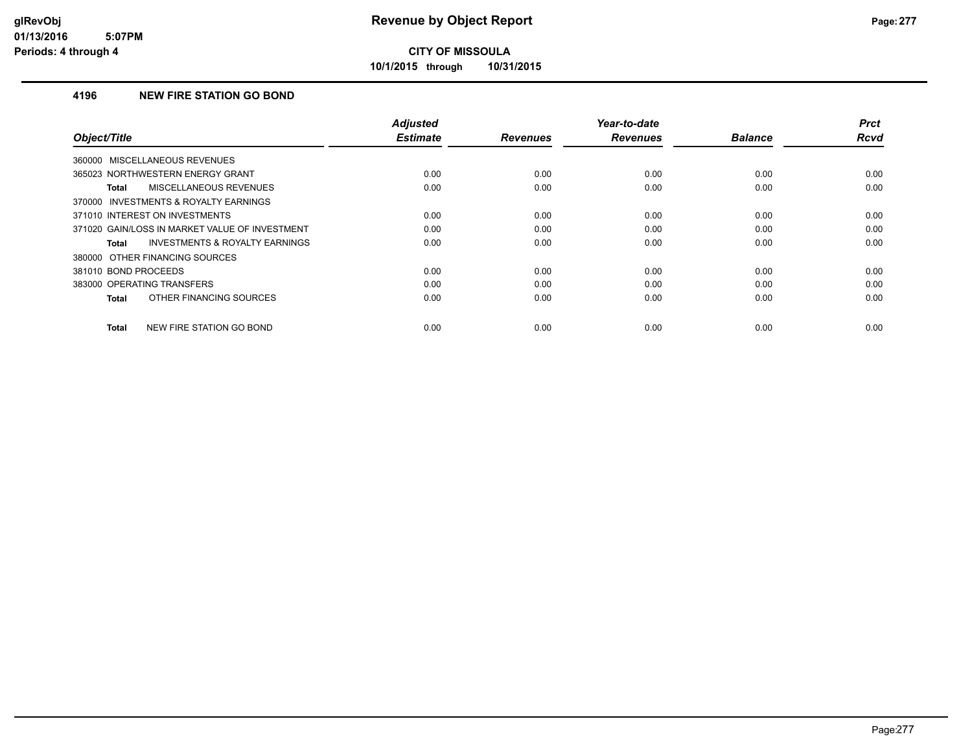**10/1/2015 through 10/31/2015**

### **4196 NEW FIRE STATION GO BOND**

| Object/Title                                              | <b>Adjusted</b><br><b>Estimate</b> | <b>Revenues</b> | Year-to-date<br><b>Revenues</b> | <b>Balance</b> | <b>Prct</b><br>Rcvd |
|-----------------------------------------------------------|------------------------------------|-----------------|---------------------------------|----------------|---------------------|
|                                                           |                                    |                 |                                 |                |                     |
| 360000 MISCELLANEOUS REVENUES                             |                                    |                 |                                 |                |                     |
| 365023 NORTHWESTERN ENERGY GRANT                          | 0.00                               | 0.00            | 0.00                            | 0.00           | 0.00                |
| MISCELLANEOUS REVENUES<br><b>Total</b>                    | 0.00                               | 0.00            | 0.00                            | 0.00           | 0.00                |
| 370000 INVESTMENTS & ROYALTY EARNINGS                     |                                    |                 |                                 |                |                     |
| 371010 INTEREST ON INVESTMENTS                            | 0.00                               | 0.00            | 0.00                            | 0.00           | 0.00                |
| 371020 GAIN/LOSS IN MARKET VALUE OF INVESTMENT            | 0.00                               | 0.00            | 0.00                            | 0.00           | 0.00                |
| <b>INVESTMENTS &amp; ROYALTY EARNINGS</b><br><b>Total</b> | 0.00                               | 0.00            | 0.00                            | 0.00           | 0.00                |
| 380000 OTHER FINANCING SOURCES                            |                                    |                 |                                 |                |                     |
| 381010 BOND PROCEEDS                                      | 0.00                               | 0.00            | 0.00                            | 0.00           | 0.00                |
| 383000 OPERATING TRANSFERS                                | 0.00                               | 0.00            | 0.00                            | 0.00           | 0.00                |
| OTHER FINANCING SOURCES<br><b>Total</b>                   | 0.00                               | 0.00            | 0.00                            | 0.00           | 0.00                |
| NEW FIRE STATION GO BOND<br><b>Total</b>                  | 0.00                               | 0.00            | 0.00                            | 0.00           | 0.00                |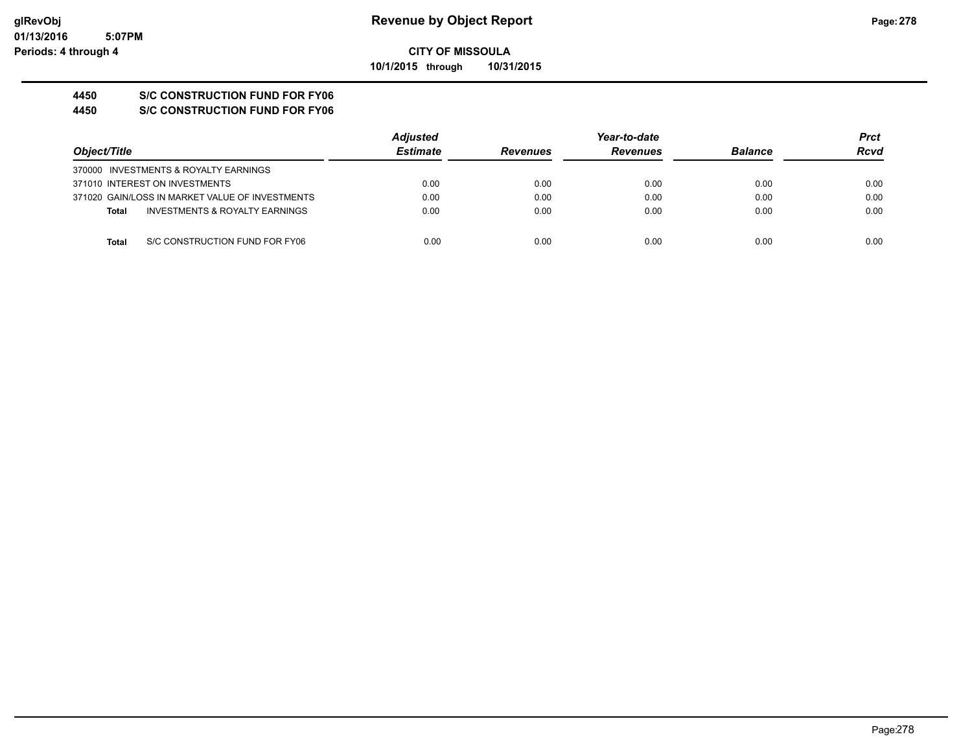#### **CITY OF MISSOULA 10/1/2015 through 10/31/2015**

## **4450 S/C CONSTRUCTION FUND FOR FY06**

#### **4450 S/C CONSTRUCTION FUND FOR FY06**

|                                                 |                                           | <b>Adjusted</b> |                 | Year-to-date    |                | Prct        |
|-------------------------------------------------|-------------------------------------------|-----------------|-----------------|-----------------|----------------|-------------|
| Object/Title                                    |                                           | <b>Estimate</b> | <b>Revenues</b> | <b>Revenues</b> | <b>Balance</b> | <b>Rcvd</b> |
| 370000 INVESTMENTS & ROYALTY EARNINGS           |                                           |                 |                 |                 |                |             |
| 371010 INTEREST ON INVESTMENTS                  |                                           | 0.00            | 0.00            | 0.00            | 0.00           | 0.00        |
| 371020 GAIN/LOSS IN MARKET VALUE OF INVESTMENTS |                                           | 0.00            | 0.00            | 0.00            | 0.00           | 0.00        |
| Total                                           | <b>INVESTMENTS &amp; ROYALTY EARNINGS</b> | 0.00            | 0.00            | 0.00            | 0.00           | 0.00        |
|                                                 |                                           |                 |                 |                 |                |             |
| Total                                           | S/C CONSTRUCTION FUND FOR FY06            | 0.00            | 0.00            | 0.00            | 0.00           | 0.00        |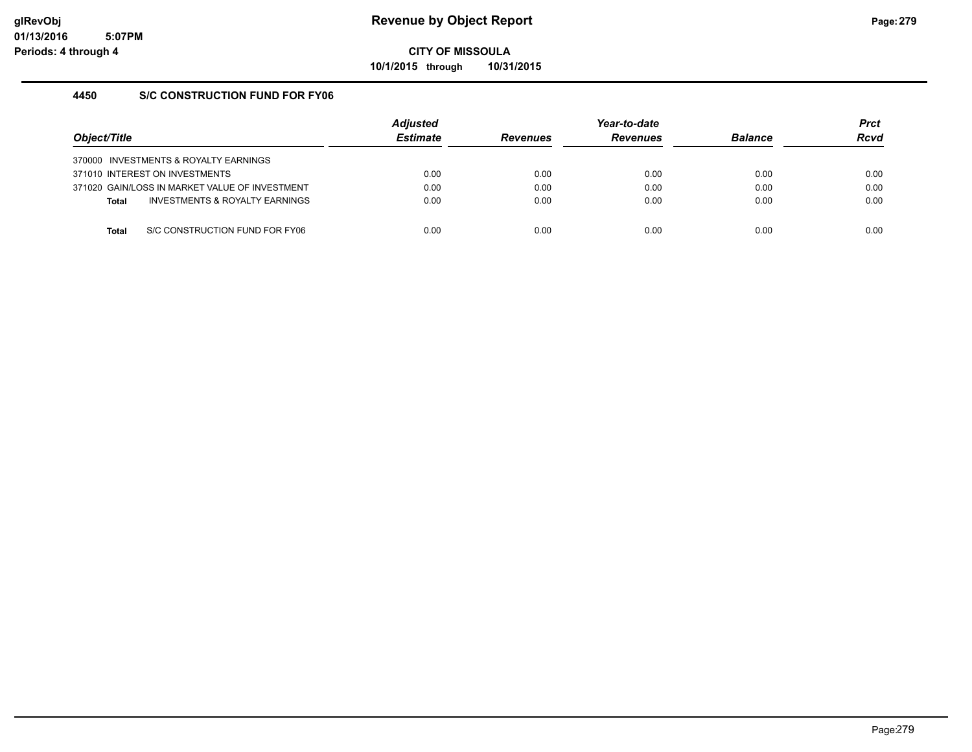**10/1/2015 through 10/31/2015**

### **4450 S/C CONSTRUCTION FUND FOR FY06**

| Object/Title |                                                | <b>Adjusted</b><br><b>Estimate</b> | <b>Revenues</b> | Year-to-date<br><b>Revenues</b> | <b>Balance</b> | <b>Prct</b><br>Rcvd |
|--------------|------------------------------------------------|------------------------------------|-----------------|---------------------------------|----------------|---------------------|
|              | 370000 INVESTMENTS & ROYALTY EARNINGS          |                                    |                 |                                 |                |                     |
|              | 371010 INTEREST ON INVESTMENTS                 | 0.00                               | 0.00            | 0.00                            | 0.00           | 0.00                |
|              | 371020 GAIN/LOSS IN MARKET VALUE OF INVESTMENT | 0.00                               | 0.00            | 0.00                            | 0.00           | 0.00                |
| <b>Total</b> | INVESTMENTS & ROYALTY EARNINGS                 | 0.00                               | 0.00            | 0.00                            | 0.00           | 0.00                |
|              |                                                |                                    |                 |                                 |                |                     |
| Total        | S/C CONSTRUCTION FUND FOR FY06                 | 0.00                               | 0.00            | 0.00                            | 0.00           | 0.00                |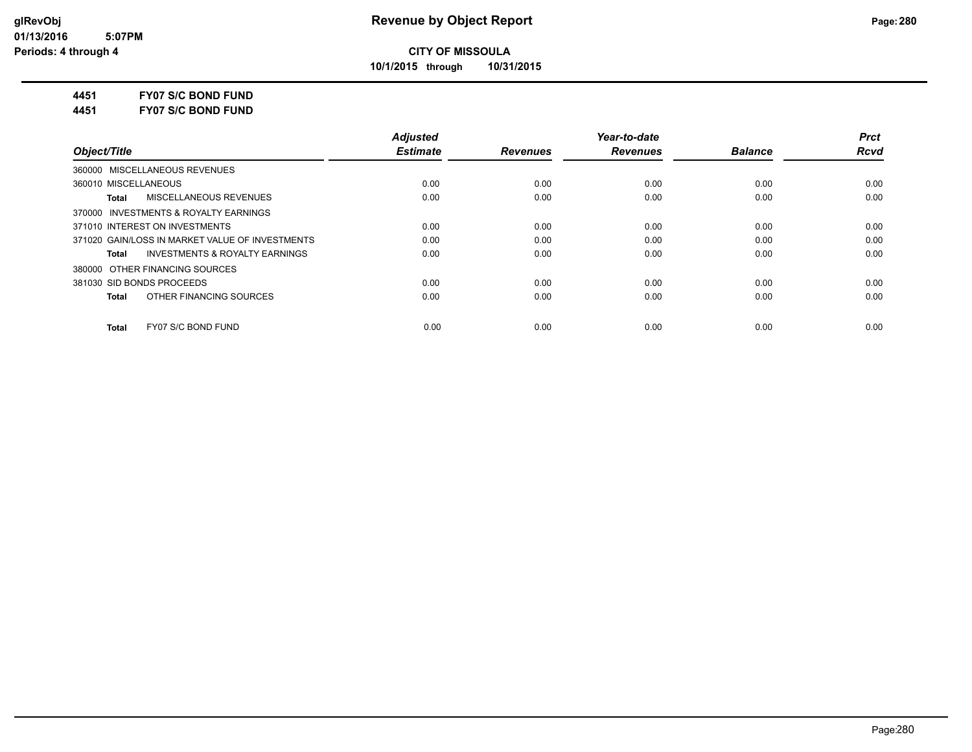**10/1/2015 through 10/31/2015**

**4451 FY07 S/C BOND FUND**

**4451 FY07 S/C BOND FUND**

|                                                    | <b>Adjusted</b> |                 | Year-to-date    |                | <b>Prct</b> |
|----------------------------------------------------|-----------------|-----------------|-----------------|----------------|-------------|
| Object/Title                                       | <b>Estimate</b> | <b>Revenues</b> | <b>Revenues</b> | <b>Balance</b> | <b>Rcvd</b> |
| 360000 MISCELLANEOUS REVENUES                      |                 |                 |                 |                |             |
| 360010 MISCELLANEOUS                               | 0.00            | 0.00            | 0.00            | 0.00           | 0.00        |
| MISCELLANEOUS REVENUES<br>Total                    | 0.00            | 0.00            | 0.00            | 0.00           | 0.00        |
| 370000 INVESTMENTS & ROYALTY EARNINGS              |                 |                 |                 |                |             |
| 371010 INTEREST ON INVESTMENTS                     | 0.00            | 0.00            | 0.00            | 0.00           | 0.00        |
| 371020 GAIN/LOSS IN MARKET VALUE OF INVESTMENTS    | 0.00            | 0.00            | 0.00            | 0.00           | 0.00        |
| <b>INVESTMENTS &amp; ROYALTY EARNINGS</b><br>Total | 0.00            | 0.00            | 0.00            | 0.00           | 0.00        |
| 380000 OTHER FINANCING SOURCES                     |                 |                 |                 |                |             |
| 381030 SID BONDS PROCEEDS                          | 0.00            | 0.00            | 0.00            | 0.00           | 0.00        |
| OTHER FINANCING SOURCES<br>Total                   | 0.00            | 0.00            | 0.00            | 0.00           | 0.00        |
| FY07 S/C BOND FUND<br><b>Total</b>                 | 0.00            | 0.00            | 0.00            | 0.00           | 0.00        |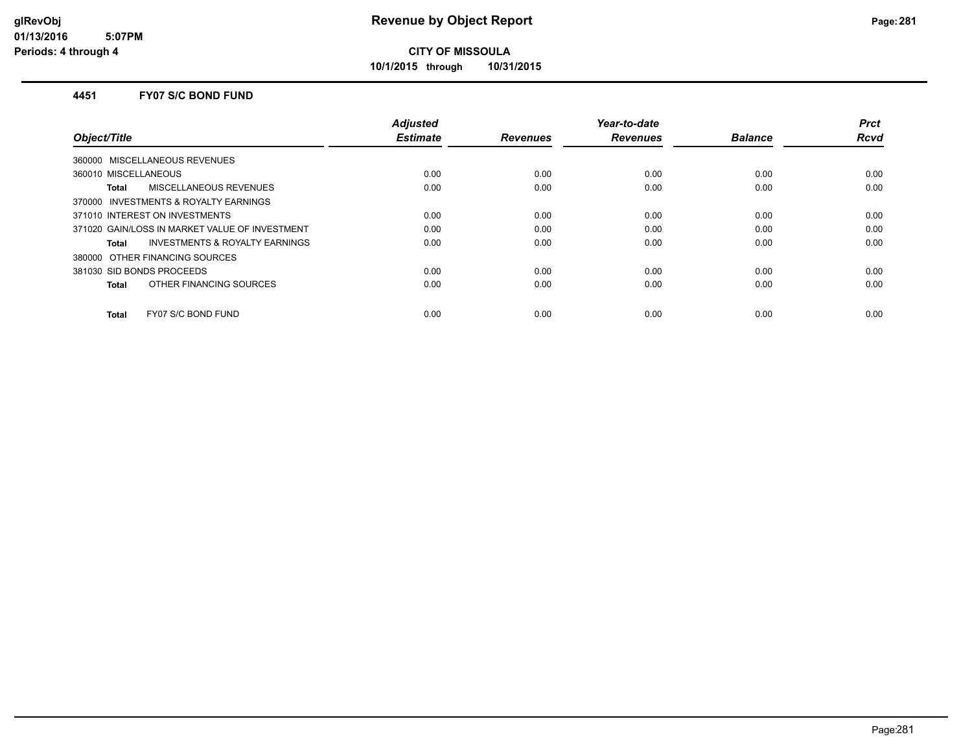**10/1/2015 through 10/31/2015**

#### **4451 FY07 S/C BOND FUND**

|                                                | <b>Adjusted</b> |                 | Year-to-date    |                | <b>Prct</b> |
|------------------------------------------------|-----------------|-----------------|-----------------|----------------|-------------|
| Object/Title                                   | <b>Estimate</b> | <b>Revenues</b> | <b>Revenues</b> | <b>Balance</b> | <b>Rcvd</b> |
| 360000 MISCELLANEOUS REVENUES                  |                 |                 |                 |                |             |
| 360010 MISCELLANEOUS                           | 0.00            | 0.00            | 0.00            | 0.00           | 0.00        |
| MISCELLANEOUS REVENUES<br><b>Total</b>         | 0.00            | 0.00            | 0.00            | 0.00           | 0.00        |
| 370000 INVESTMENTS & ROYALTY EARNINGS          |                 |                 |                 |                |             |
| 371010 INTEREST ON INVESTMENTS                 | 0.00            | 0.00            | 0.00            | 0.00           | 0.00        |
| 371020 GAIN/LOSS IN MARKET VALUE OF INVESTMENT | 0.00            | 0.00            | 0.00            | 0.00           | 0.00        |
| INVESTMENTS & ROYALTY EARNINGS<br>Total        | 0.00            | 0.00            | 0.00            | 0.00           | 0.00        |
| 380000 OTHER FINANCING SOURCES                 |                 |                 |                 |                |             |
| 381030 SID BONDS PROCEEDS                      | 0.00            | 0.00            | 0.00            | 0.00           | 0.00        |
| OTHER FINANCING SOURCES<br>Total               | 0.00            | 0.00            | 0.00            | 0.00           | 0.00        |
|                                                |                 |                 |                 |                |             |
| FY07 S/C BOND FUND<br><b>Total</b>             | 0.00            | 0.00            | 0.00            | 0.00           | 0.00        |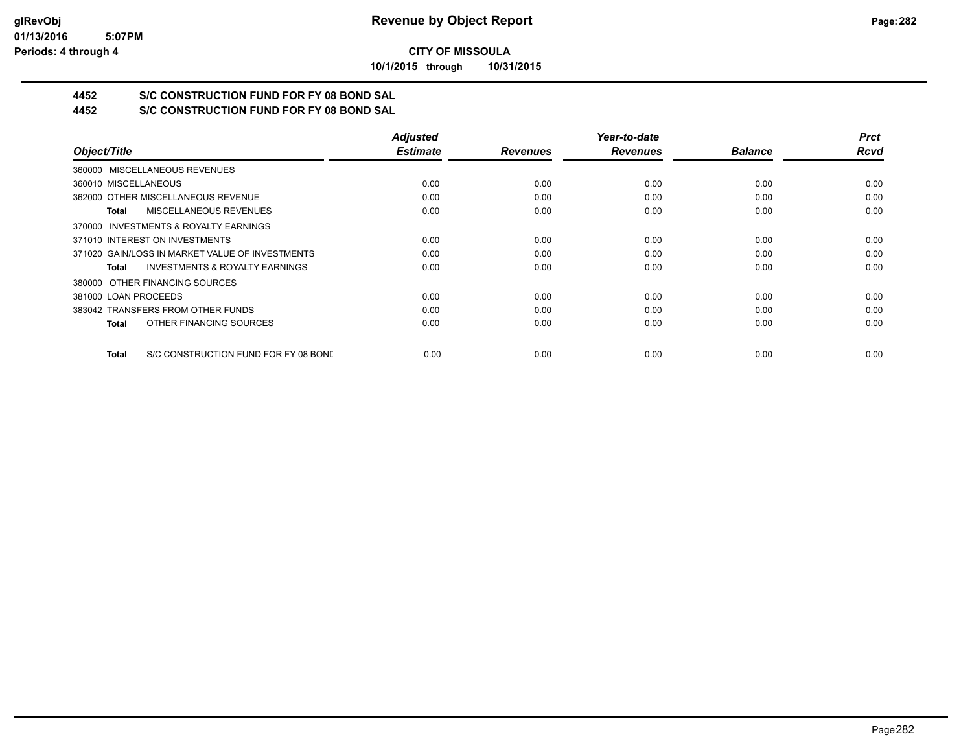**10/1/2015 through 10/31/2015**

## **4452 S/C CONSTRUCTION FUND FOR FY 08 BOND SAL**

**4452 S/C CONSTRUCTION FUND FOR FY 08 BOND SAL**

|                                                      | <b>Adjusted</b> |                 | Year-to-date    |                | <b>Prct</b> |
|------------------------------------------------------|-----------------|-----------------|-----------------|----------------|-------------|
| Object/Title                                         | <b>Estimate</b> | <b>Revenues</b> | <b>Revenues</b> | <b>Balance</b> | <b>Rcvd</b> |
| 360000 MISCELLANEOUS REVENUES                        |                 |                 |                 |                |             |
| 360010 MISCELLANEOUS                                 | 0.00            | 0.00            | 0.00            | 0.00           | 0.00        |
| 362000 OTHER MISCELLANEOUS REVENUE                   | 0.00            | 0.00            | 0.00            | 0.00           | 0.00        |
| <b>MISCELLANEOUS REVENUES</b><br>Total               | 0.00            | 0.00            | 0.00            | 0.00           | 0.00        |
| 370000 INVESTMENTS & ROYALTY EARNINGS                |                 |                 |                 |                |             |
| 371010 INTEREST ON INVESTMENTS                       | 0.00            | 0.00            | 0.00            | 0.00           | 0.00        |
| 371020 GAIN/LOSS IN MARKET VALUE OF INVESTMENTS      | 0.00            | 0.00            | 0.00            | 0.00           | 0.00        |
| <b>INVESTMENTS &amp; ROYALTY EARNINGS</b><br>Total   | 0.00            | 0.00            | 0.00            | 0.00           | 0.00        |
| 380000 OTHER FINANCING SOURCES                       |                 |                 |                 |                |             |
| 381000 LOAN PROCEEDS                                 | 0.00            | 0.00            | 0.00            | 0.00           | 0.00        |
| 383042 TRANSFERS FROM OTHER FUNDS                    | 0.00            | 0.00            | 0.00            | 0.00           | 0.00        |
| OTHER FINANCING SOURCES<br><b>Total</b>              | 0.00            | 0.00            | 0.00            | 0.00           | 0.00        |
| S/C CONSTRUCTION FUND FOR FY 08 BOND<br><b>Total</b> | 0.00            | 0.00            | 0.00            | 0.00           | 0.00        |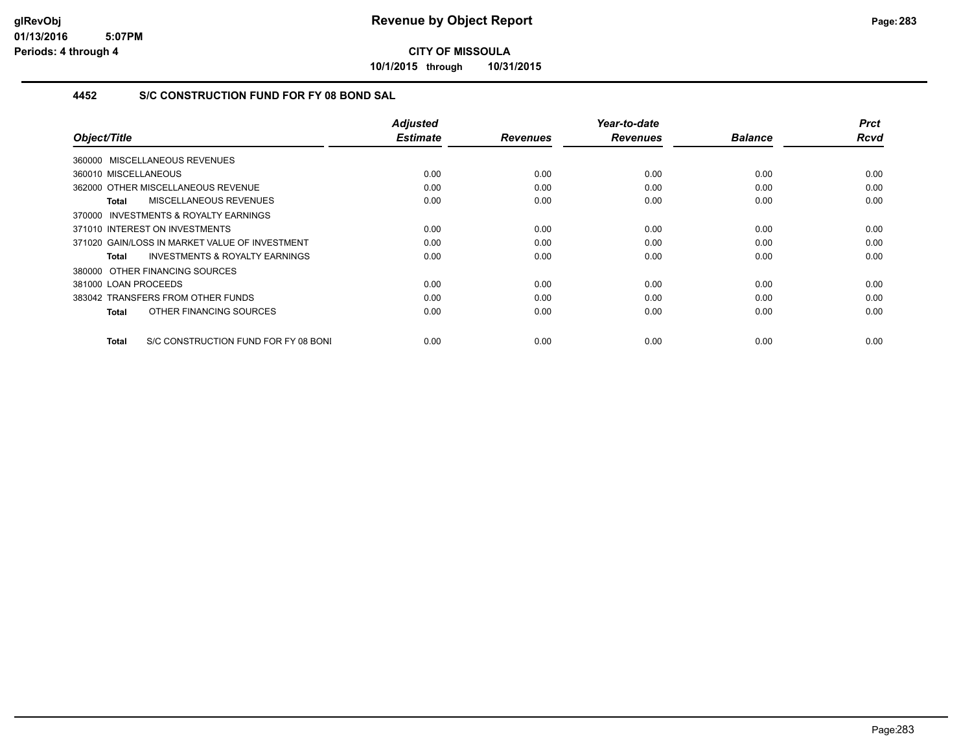**10/1/2015 through 10/31/2015**

### **4452 S/C CONSTRUCTION FUND FOR FY 08 BOND SAL**

| Object/Title                                         | <b>Adjusted</b><br><b>Estimate</b> | <b>Revenues</b> | Year-to-date<br><b>Revenues</b> | <b>Balance</b> | <b>Prct</b><br><b>Rcvd</b> |
|------------------------------------------------------|------------------------------------|-----------------|---------------------------------|----------------|----------------------------|
|                                                      |                                    |                 |                                 |                |                            |
| 360000 MISCELLANEOUS REVENUES                        |                                    |                 |                                 |                |                            |
| 360010 MISCELLANEOUS                                 | 0.00                               | 0.00            | 0.00                            | 0.00           | 0.00                       |
| 362000 OTHER MISCELLANEOUS REVENUE                   | 0.00                               | 0.00            | 0.00                            | 0.00           | 0.00                       |
| MISCELLANEOUS REVENUES<br>Total                      | 0.00                               | 0.00            | 0.00                            | 0.00           | 0.00                       |
| 370000 INVESTMENTS & ROYALTY EARNINGS                |                                    |                 |                                 |                |                            |
| 371010 INTEREST ON INVESTMENTS                       | 0.00                               | 0.00            | 0.00                            | 0.00           | 0.00                       |
| 371020 GAIN/LOSS IN MARKET VALUE OF INVESTMENT       | 0.00                               | 0.00            | 0.00                            | 0.00           | 0.00                       |
| <b>INVESTMENTS &amp; ROYALTY EARNINGS</b><br>Total   | 0.00                               | 0.00            | 0.00                            | 0.00           | 0.00                       |
| 380000 OTHER FINANCING SOURCES                       |                                    |                 |                                 |                |                            |
| 381000 LOAN PROCEEDS                                 | 0.00                               | 0.00            | 0.00                            | 0.00           | 0.00                       |
| 383042 TRANSFERS FROM OTHER FUNDS                    | 0.00                               | 0.00            | 0.00                            | 0.00           | 0.00                       |
| OTHER FINANCING SOURCES<br>Total                     | 0.00                               | 0.00            | 0.00                            | 0.00           | 0.00                       |
|                                                      |                                    |                 |                                 |                |                            |
| S/C CONSTRUCTION FUND FOR FY 08 BONI<br><b>Total</b> | 0.00                               | 0.00            | 0.00                            | 0.00           | 0.00                       |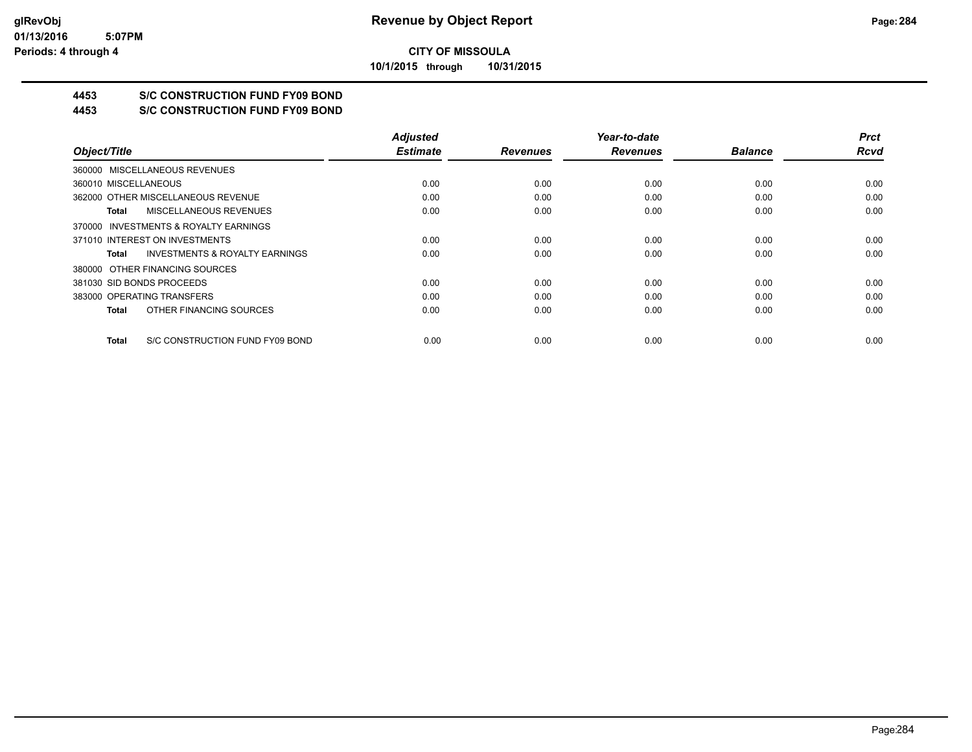**10/1/2015 through 10/31/2015**

## **4453 S/C CONSTRUCTION FUND FY09 BOND**

**4453 S/C CONSTRUCTION FUND FY09 BOND**

|                                                    | <b>Adjusted</b> |                 | Year-to-date    |                | <b>Prct</b> |
|----------------------------------------------------|-----------------|-----------------|-----------------|----------------|-------------|
| Object/Title                                       | <b>Estimate</b> | <b>Revenues</b> | <b>Revenues</b> | <b>Balance</b> | <b>Rcvd</b> |
| 360000 MISCELLANEOUS REVENUES                      |                 |                 |                 |                |             |
| 360010 MISCELLANEOUS                               | 0.00            | 0.00            | 0.00            | 0.00           | 0.00        |
| 362000 OTHER MISCELLANEOUS REVENUE                 | 0.00            | 0.00            | 0.00            | 0.00           | 0.00        |
| MISCELLANEOUS REVENUES<br>Total                    | 0.00            | 0.00            | 0.00            | 0.00           | 0.00        |
| 370000 INVESTMENTS & ROYALTY EARNINGS              |                 |                 |                 |                |             |
| 371010 INTEREST ON INVESTMENTS                     | 0.00            | 0.00            | 0.00            | 0.00           | 0.00        |
| <b>INVESTMENTS &amp; ROYALTY EARNINGS</b><br>Total | 0.00            | 0.00            | 0.00            | 0.00           | 0.00        |
| 380000 OTHER FINANCING SOURCES                     |                 |                 |                 |                |             |
| 381030 SID BONDS PROCEEDS                          | 0.00            | 0.00            | 0.00            | 0.00           | 0.00        |
| 383000 OPERATING TRANSFERS                         | 0.00            | 0.00            | 0.00            | 0.00           | 0.00        |
| OTHER FINANCING SOURCES<br>Total                   | 0.00            | 0.00            | 0.00            | 0.00           | 0.00        |
| S/C CONSTRUCTION FUND FY09 BOND<br>Total           | 0.00            | 0.00            | 0.00            | 0.00           | 0.00        |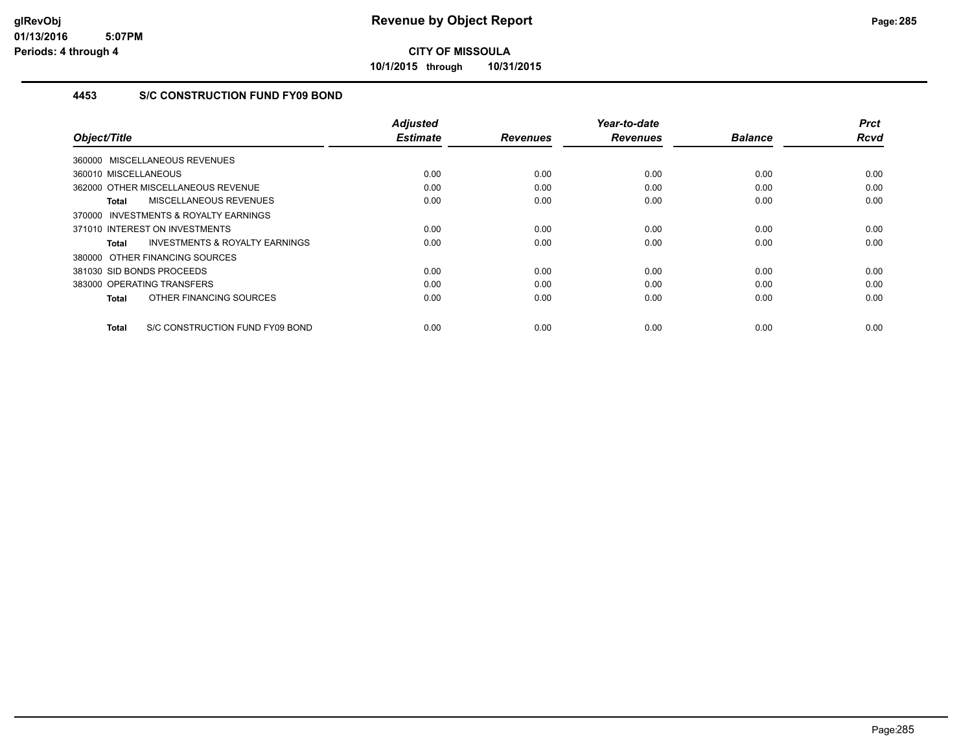**10/1/2015 through 10/31/2015**

### **4453 S/C CONSTRUCTION FUND FY09 BOND**

| Object/Title                                        | Adjusted<br><b>Estimate</b> | <b>Revenues</b> | Year-to-date<br><b>Revenues</b> | <b>Balance</b> | <b>Prct</b><br>Rcvd |
|-----------------------------------------------------|-----------------------------|-----------------|---------------------------------|----------------|---------------------|
|                                                     |                             |                 |                                 |                |                     |
| 360000 MISCELLANEOUS REVENUES                       |                             |                 |                                 |                |                     |
| 360010 MISCELLANEOUS                                | 0.00                        | 0.00            | 0.00                            | 0.00           | 0.00                |
| 362000 OTHER MISCELLANEOUS REVENUE                  | 0.00                        | 0.00            | 0.00                            | 0.00           | 0.00                |
| MISCELLANEOUS REVENUES<br>Total                     | 0.00                        | 0.00            | 0.00                            | 0.00           | 0.00                |
| <b>INVESTMENTS &amp; ROYALTY EARNINGS</b><br>370000 |                             |                 |                                 |                |                     |
| 371010 INTEREST ON INVESTMENTS                      | 0.00                        | 0.00            | 0.00                            | 0.00           | 0.00                |
| <b>INVESTMENTS &amp; ROYALTY EARNINGS</b><br>Total  | 0.00                        | 0.00            | 0.00                            | 0.00           | 0.00                |
| 380000 OTHER FINANCING SOURCES                      |                             |                 |                                 |                |                     |
| 381030 SID BONDS PROCEEDS                           | 0.00                        | 0.00            | 0.00                            | 0.00           | 0.00                |
| 383000 OPERATING TRANSFERS                          | 0.00                        | 0.00            | 0.00                            | 0.00           | 0.00                |
| OTHER FINANCING SOURCES<br>Total                    | 0.00                        | 0.00            | 0.00                            | 0.00           | 0.00                |
| S/C CONSTRUCTION FUND FY09 BOND<br>Total            | 0.00                        | 0.00            | 0.00                            | 0.00           | 0.00                |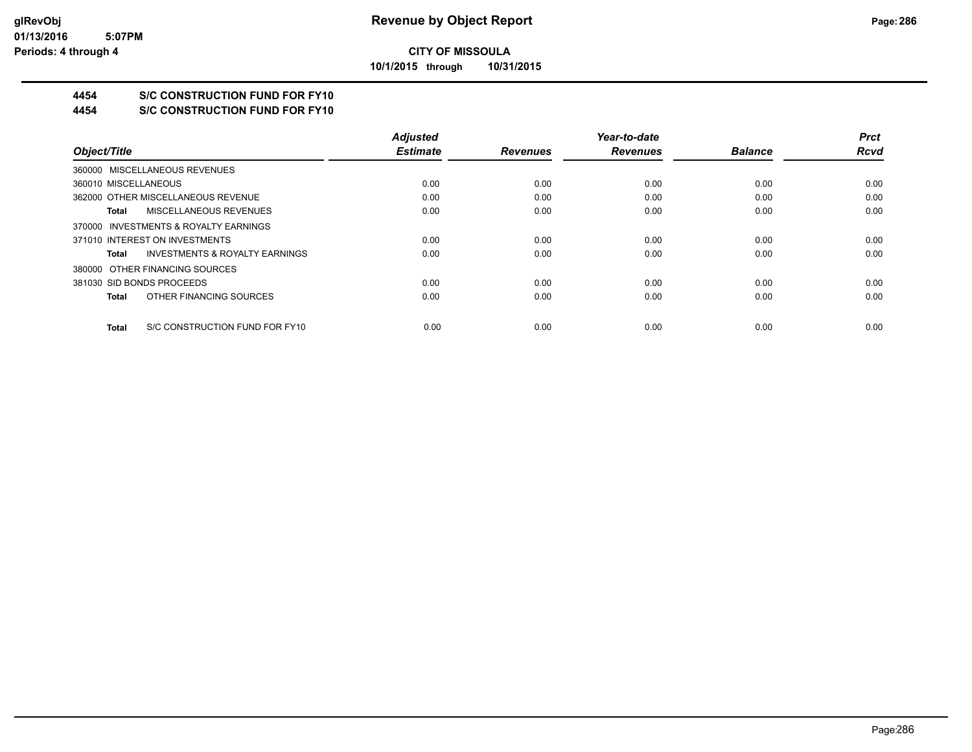**10/1/2015 through 10/31/2015**

## **4454 S/C CONSTRUCTION FUND FOR FY10**

**4454 S/C CONSTRUCTION FUND FOR FY10**

|                                                    | <b>Adjusted</b> |                 | Year-to-date    |                | <b>Prct</b> |
|----------------------------------------------------|-----------------|-----------------|-----------------|----------------|-------------|
| Object/Title                                       | <b>Estimate</b> | <b>Revenues</b> | <b>Revenues</b> | <b>Balance</b> | <b>Rcvd</b> |
| 360000 MISCELLANEOUS REVENUES                      |                 |                 |                 |                |             |
| 360010 MISCELLANEOUS                               | 0.00            | 0.00            | 0.00            | 0.00           | 0.00        |
| 362000 OTHER MISCELLANEOUS REVENUE                 | 0.00            | 0.00            | 0.00            | 0.00           | 0.00        |
| MISCELLANEOUS REVENUES<br>Total                    | 0.00            | 0.00            | 0.00            | 0.00           | 0.00        |
| 370000 INVESTMENTS & ROYALTY EARNINGS              |                 |                 |                 |                |             |
| 371010 INTEREST ON INVESTMENTS                     | 0.00            | 0.00            | 0.00            | 0.00           | 0.00        |
| <b>INVESTMENTS &amp; ROYALTY EARNINGS</b><br>Total | 0.00            | 0.00            | 0.00            | 0.00           | 0.00        |
| 380000 OTHER FINANCING SOURCES                     |                 |                 |                 |                |             |
| 381030 SID BONDS PROCEEDS                          | 0.00            | 0.00            | 0.00            | 0.00           | 0.00        |
| OTHER FINANCING SOURCES<br>Total                   | 0.00            | 0.00            | 0.00            | 0.00           | 0.00        |
| S/C CONSTRUCTION FUND FOR FY10<br>Total            | 0.00            | 0.00            | 0.00            | 0.00           | 0.00        |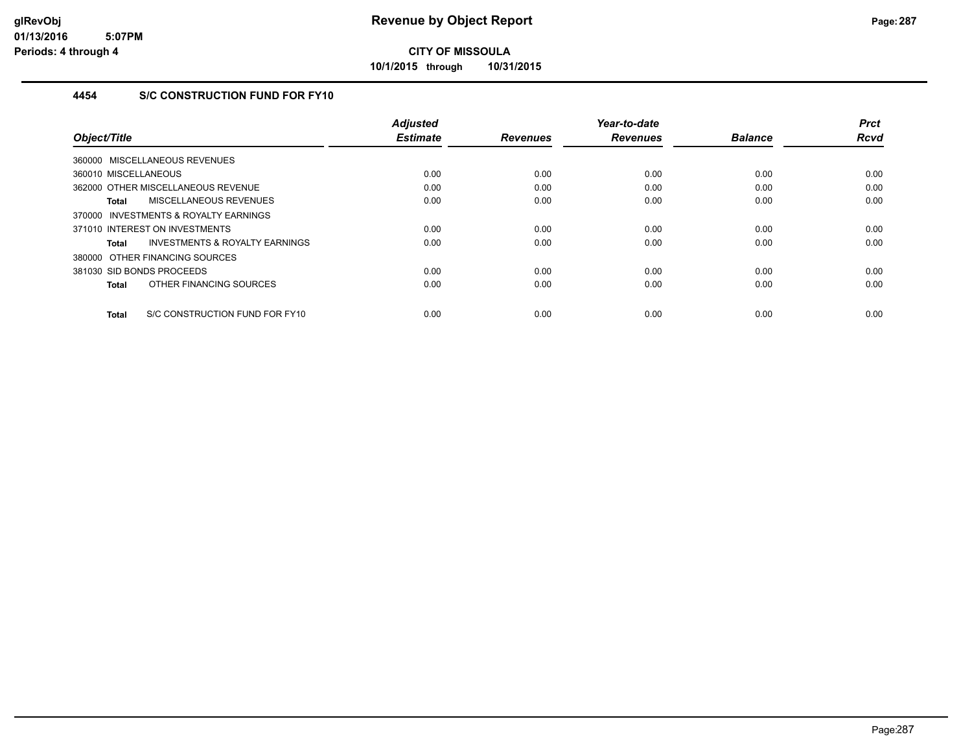**10/1/2015 through 10/31/2015**

### **4454 S/C CONSTRUCTION FUND FOR FY10**

|                                                    | <b>Adjusted</b> |                 | Year-to-date    |                | <b>Prct</b> |
|----------------------------------------------------|-----------------|-----------------|-----------------|----------------|-------------|
| Object/Title                                       | <b>Estimate</b> | <b>Revenues</b> | <b>Revenues</b> | <b>Balance</b> | <b>Rcvd</b> |
| 360000 MISCELLANEOUS REVENUES                      |                 |                 |                 |                |             |
| 360010 MISCELLANEOUS                               | 0.00            | 0.00            | 0.00            | 0.00           | 0.00        |
| 362000 OTHER MISCELLANEOUS REVENUE                 | 0.00            | 0.00            | 0.00            | 0.00           | 0.00        |
| MISCELLANEOUS REVENUES<br>Total                    | 0.00            | 0.00            | 0.00            | 0.00           | 0.00        |
| 370000 INVESTMENTS & ROYALTY EARNINGS              |                 |                 |                 |                |             |
| 371010 INTEREST ON INVESTMENTS                     | 0.00            | 0.00            | 0.00            | 0.00           | 0.00        |
| <b>INVESTMENTS &amp; ROYALTY EARNINGS</b><br>Total | 0.00            | 0.00            | 0.00            | 0.00           | 0.00        |
| 380000 OTHER FINANCING SOURCES                     |                 |                 |                 |                |             |
| 381030 SID BONDS PROCEEDS                          | 0.00            | 0.00            | 0.00            | 0.00           | 0.00        |
| OTHER FINANCING SOURCES<br>Total                   | 0.00            | 0.00            | 0.00            | 0.00           | 0.00        |
| S/C CONSTRUCTION FUND FOR FY10<br><b>Total</b>     | 0.00            | 0.00            | 0.00            | 0.00           | 0.00        |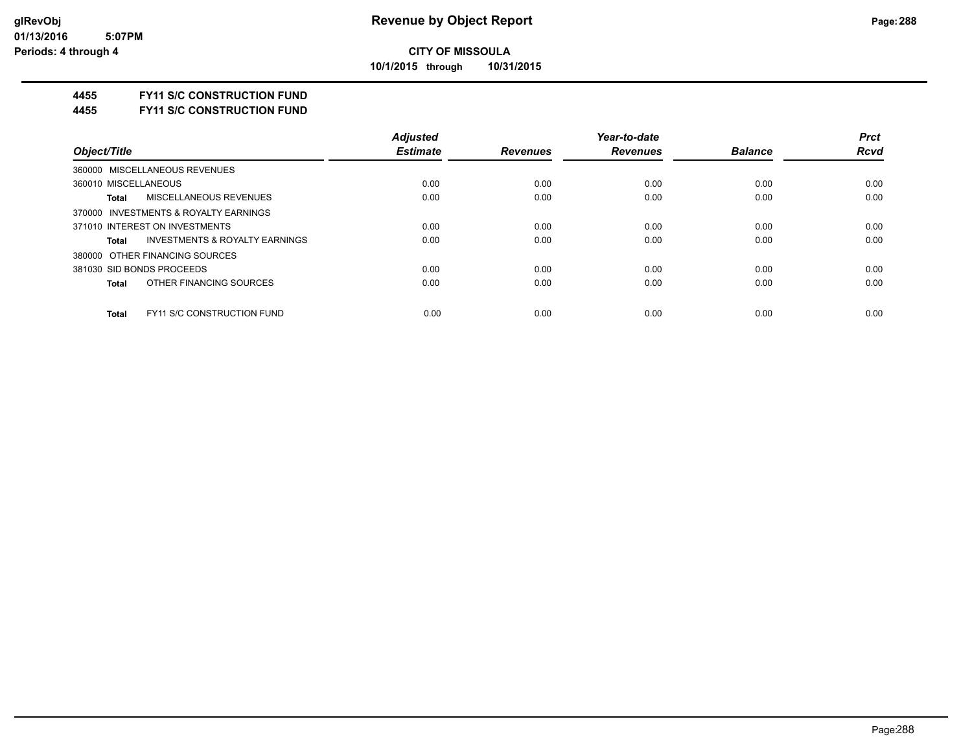**10/1/2015 through 10/31/2015**

#### **4455 FY11 S/C CONSTRUCTION FUND**

**4455 FY11 S/C CONSTRUCTION FUND**

|                                                    | <b>Adjusted</b> |                 | Year-to-date    |                | <b>Prct</b> |
|----------------------------------------------------|-----------------|-----------------|-----------------|----------------|-------------|
| Object/Title                                       | <b>Estimate</b> | <b>Revenues</b> | <b>Revenues</b> | <b>Balance</b> | <b>Rcvd</b> |
| 360000 MISCELLANEOUS REVENUES                      |                 |                 |                 |                |             |
| 360010 MISCELLANEOUS                               | 0.00            | 0.00            | 0.00            | 0.00           | 0.00        |
| MISCELLANEOUS REVENUES<br><b>Total</b>             | 0.00            | 0.00            | 0.00            | 0.00           | 0.00        |
| 370000 INVESTMENTS & ROYALTY EARNINGS              |                 |                 |                 |                |             |
| 371010 INTEREST ON INVESTMENTS                     | 0.00            | 0.00            | 0.00            | 0.00           | 0.00        |
| <b>INVESTMENTS &amp; ROYALTY EARNINGS</b><br>Total | 0.00            | 0.00            | 0.00            | 0.00           | 0.00        |
| 380000 OTHER FINANCING SOURCES                     |                 |                 |                 |                |             |
| 381030 SID BONDS PROCEEDS                          | 0.00            | 0.00            | 0.00            | 0.00           | 0.00        |
| OTHER FINANCING SOURCES<br><b>Total</b>            | 0.00            | 0.00            | 0.00            | 0.00           | 0.00        |
| <b>FY11 S/C CONSTRUCTION FUND</b><br><b>Total</b>  | 0.00            | 0.00            | 0.00            | 0.00           | 0.00        |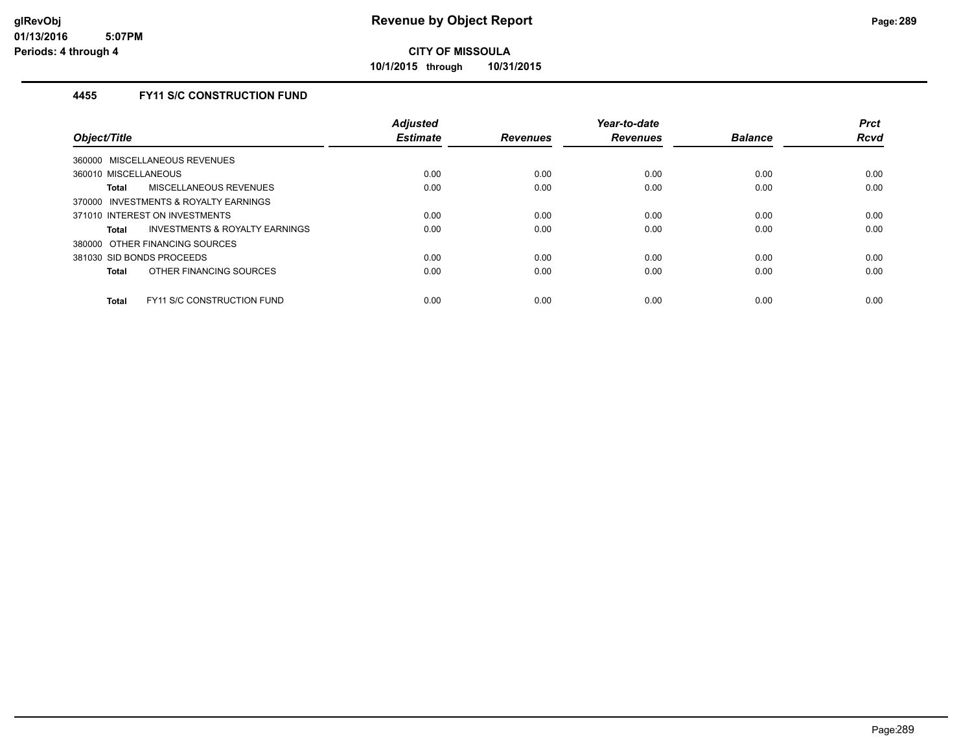**10/1/2015 through 10/31/2015**

### **4455 FY11 S/C CONSTRUCTION FUND**

| Object/Title                                      | <b>Adjusted</b><br><b>Estimate</b> | <b>Revenues</b> | Year-to-date<br><b>Revenues</b> | <b>Balance</b> | <b>Prct</b><br><b>Rcvd</b> |
|---------------------------------------------------|------------------------------------|-----------------|---------------------------------|----------------|----------------------------|
| 360000 MISCELLANEOUS REVENUES                     |                                    |                 |                                 |                |                            |
| 360010 MISCELLANEOUS                              | 0.00                               | 0.00            | 0.00                            | 0.00           | 0.00                       |
| MISCELLANEOUS REVENUES<br>Total                   | 0.00                               | 0.00            | 0.00                            | 0.00           | 0.00                       |
| 370000 INVESTMENTS & ROYALTY EARNINGS             |                                    |                 |                                 |                |                            |
| 371010 INTEREST ON INVESTMENTS                    | 0.00                               | 0.00            | 0.00                            | 0.00           | 0.00                       |
| INVESTMENTS & ROYALTY EARNINGS<br>Total           | 0.00                               | 0.00            | 0.00                            | 0.00           | 0.00                       |
| 380000 OTHER FINANCING SOURCES                    |                                    |                 |                                 |                |                            |
| 381030 SID BONDS PROCEEDS                         | 0.00                               | 0.00            | 0.00                            | 0.00           | 0.00                       |
| OTHER FINANCING SOURCES<br><b>Total</b>           | 0.00                               | 0.00            | 0.00                            | 0.00           | 0.00                       |
| <b>FY11 S/C CONSTRUCTION FUND</b><br><b>Total</b> | 0.00                               | 0.00            | 0.00                            | 0.00           | 0.00                       |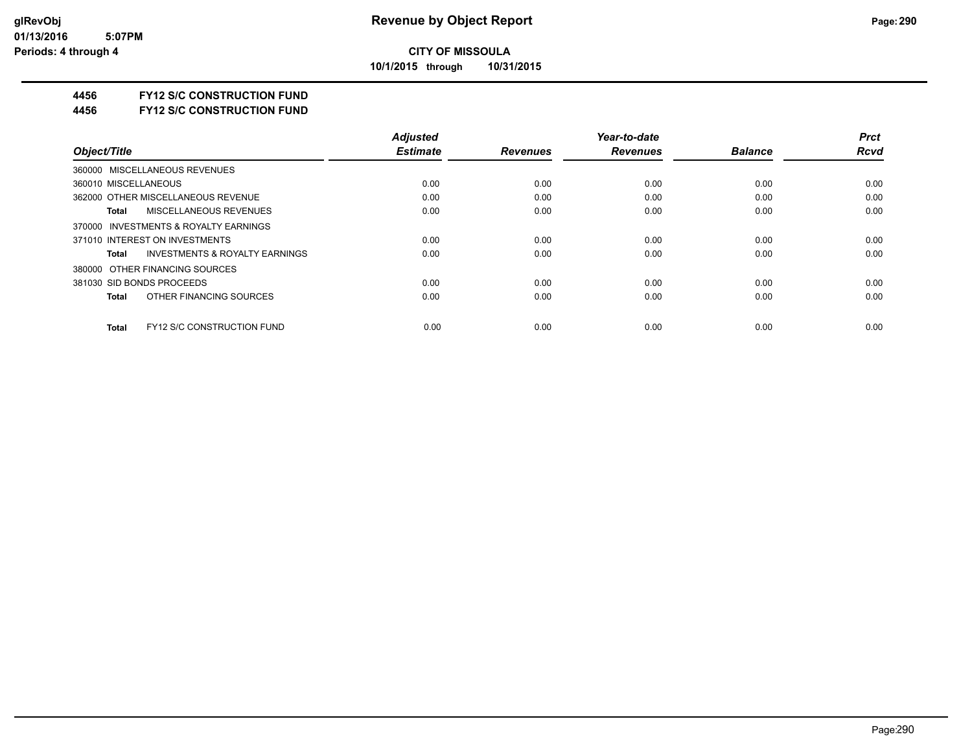**10/1/2015 through 10/31/2015**

#### **4456 FY12 S/C CONSTRUCTION FUND**

**4456 FY12 S/C CONSTRUCTION FUND**

|                                                    | <b>Adjusted</b> |                 | Year-to-date    |                | <b>Prct</b> |
|----------------------------------------------------|-----------------|-----------------|-----------------|----------------|-------------|
| Object/Title                                       | <b>Estimate</b> | <b>Revenues</b> | <b>Revenues</b> | <b>Balance</b> | <b>Rcvd</b> |
| 360000 MISCELLANEOUS REVENUES                      |                 |                 |                 |                |             |
| 360010 MISCELLANEOUS                               | 0.00            | 0.00            | 0.00            | 0.00           | 0.00        |
| 362000 OTHER MISCELLANEOUS REVENUE                 | 0.00            | 0.00            | 0.00            | 0.00           | 0.00        |
| <b>MISCELLANEOUS REVENUES</b><br>Total             | 0.00            | 0.00            | 0.00            | 0.00           | 0.00        |
| 370000 INVESTMENTS & ROYALTY EARNINGS              |                 |                 |                 |                |             |
| 371010 INTEREST ON INVESTMENTS                     | 0.00            | 0.00            | 0.00            | 0.00           | 0.00        |
| <b>INVESTMENTS &amp; ROYALTY EARNINGS</b><br>Total | 0.00            | 0.00            | 0.00            | 0.00           | 0.00        |
| 380000 OTHER FINANCING SOURCES                     |                 |                 |                 |                |             |
| 381030 SID BONDS PROCEEDS                          | 0.00            | 0.00            | 0.00            | 0.00           | 0.00        |
| OTHER FINANCING SOURCES<br>Total                   | 0.00            | 0.00            | 0.00            | 0.00           | 0.00        |
| <b>FY12 S/C CONSTRUCTION FUND</b><br><b>Total</b>  | 0.00            | 0.00            | 0.00            | 0.00           | 0.00        |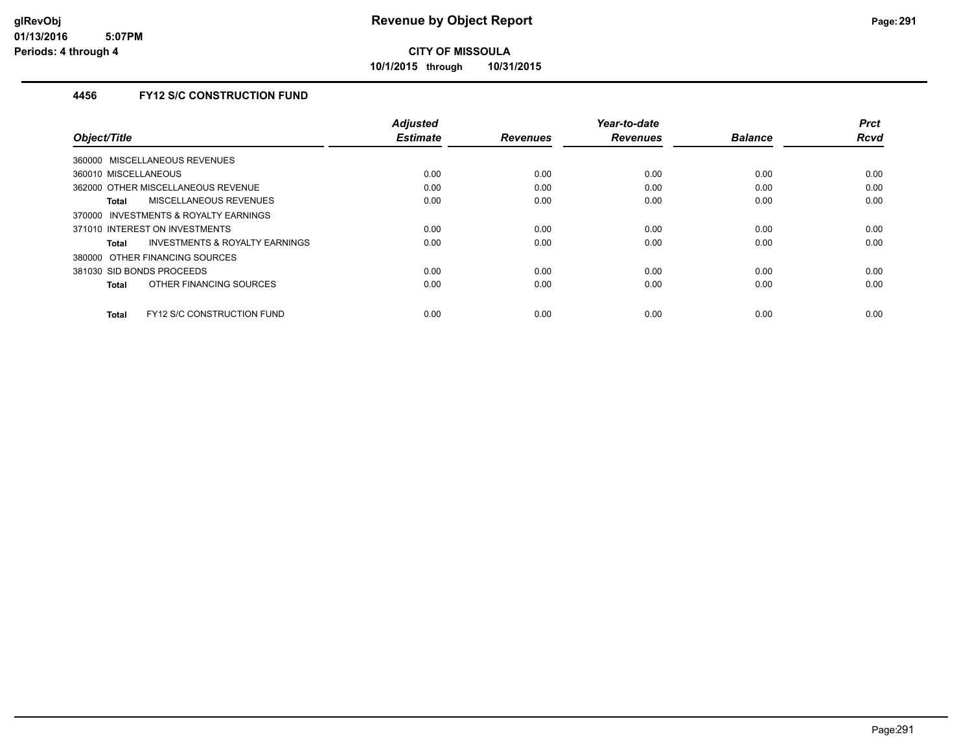**10/1/2015 through 10/31/2015**

#### **4456 FY12 S/C CONSTRUCTION FUND**

| Object/Title                               | <b>Adjusted</b><br><b>Estimate</b> | <b>Revenues</b> | Year-to-date<br><b>Revenues</b> | <b>Balance</b> | <b>Prct</b><br><b>Rcvd</b> |
|--------------------------------------------|------------------------------------|-----------------|---------------------------------|----------------|----------------------------|
|                                            |                                    |                 |                                 |                |                            |
| 360000 MISCELLANEOUS REVENUES              |                                    |                 |                                 |                |                            |
| 360010 MISCELLANEOUS                       | 0.00                               | 0.00            | 0.00                            | 0.00           | 0.00                       |
| 362000 OTHER MISCELLANEOUS REVENUE         | 0.00                               | 0.00            | 0.00                            | 0.00           | 0.00                       |
| <b>MISCELLANEOUS REVENUES</b><br>Total     | 0.00                               | 0.00            | 0.00                            | 0.00           | 0.00                       |
| 370000 INVESTMENTS & ROYALTY EARNINGS      |                                    |                 |                                 |                |                            |
| 371010 INTEREST ON INVESTMENTS             | 0.00                               | 0.00            | 0.00                            | 0.00           | 0.00                       |
| INVESTMENTS & ROYALTY EARNINGS<br>Total    | 0.00                               | 0.00            | 0.00                            | 0.00           | 0.00                       |
| 380000 OTHER FINANCING SOURCES             |                                    |                 |                                 |                |                            |
| 381030 SID BONDS PROCEEDS                  | 0.00                               | 0.00            | 0.00                            | 0.00           | 0.00                       |
| OTHER FINANCING SOURCES<br>Total           | 0.00                               | 0.00            | 0.00                            | 0.00           | 0.00                       |
|                                            |                                    |                 |                                 |                |                            |
| FY12 S/C CONSTRUCTION FUND<br><b>Total</b> | 0.00                               | 0.00            | 0.00                            | 0.00           | 0.00                       |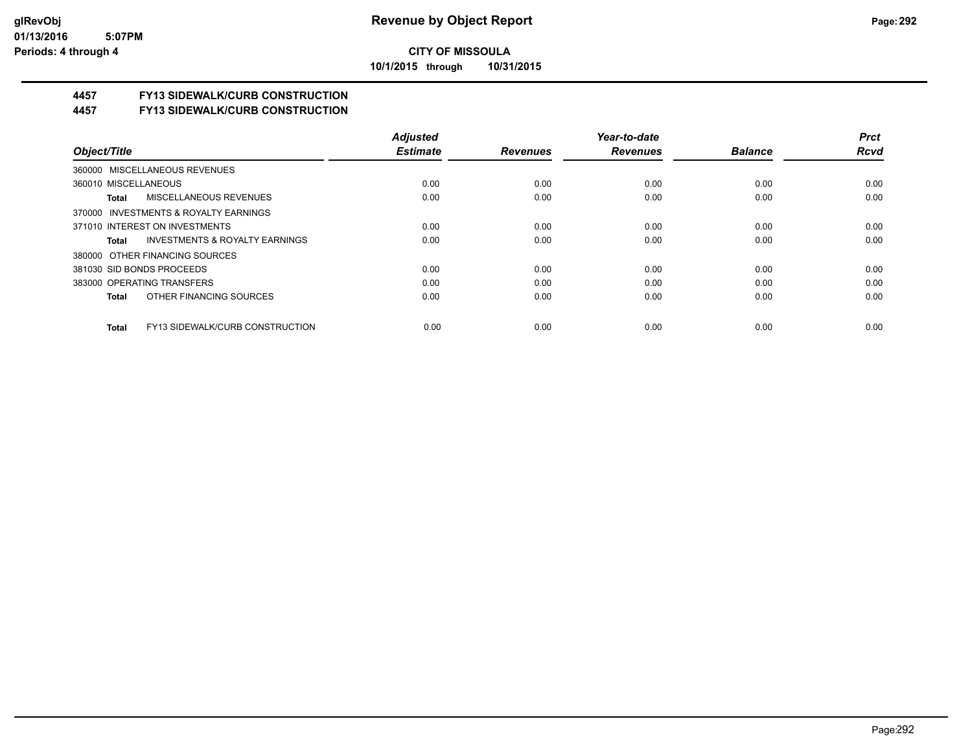**10/1/2015 through 10/31/2015**

### **4457 FY13 SIDEWALK/CURB CONSTRUCTION**

**4457 FY13 SIDEWALK/CURB CONSTRUCTION**

|                                                    | <b>Adjusted</b> |                 | Year-to-date    |                | <b>Prct</b> |
|----------------------------------------------------|-----------------|-----------------|-----------------|----------------|-------------|
| Object/Title                                       | <b>Estimate</b> | <b>Revenues</b> | <b>Revenues</b> | <b>Balance</b> | <b>Rcvd</b> |
| 360000 MISCELLANEOUS REVENUES                      |                 |                 |                 |                |             |
| 360010 MISCELLANEOUS                               | 0.00            | 0.00            | 0.00            | 0.00           | 0.00        |
| MISCELLANEOUS REVENUES<br>Total                    | 0.00            | 0.00            | 0.00            | 0.00           | 0.00        |
| 370000 INVESTMENTS & ROYALTY EARNINGS              |                 |                 |                 |                |             |
| 371010 INTEREST ON INVESTMENTS                     | 0.00            | 0.00            | 0.00            | 0.00           | 0.00        |
| <b>INVESTMENTS &amp; ROYALTY EARNINGS</b><br>Total | 0.00            | 0.00            | 0.00            | 0.00           | 0.00        |
| 380000 OTHER FINANCING SOURCES                     |                 |                 |                 |                |             |
| 381030 SID BONDS PROCEEDS                          | 0.00            | 0.00            | 0.00            | 0.00           | 0.00        |
| 383000 OPERATING TRANSFERS                         | 0.00            | 0.00            | 0.00            | 0.00           | 0.00        |
| OTHER FINANCING SOURCES<br>Total                   | 0.00            | 0.00            | 0.00            | 0.00           | 0.00        |
| FY13 SIDEWALK/CURB CONSTRUCTION<br>Total           | 0.00            | 0.00            | 0.00            | 0.00           | 0.00        |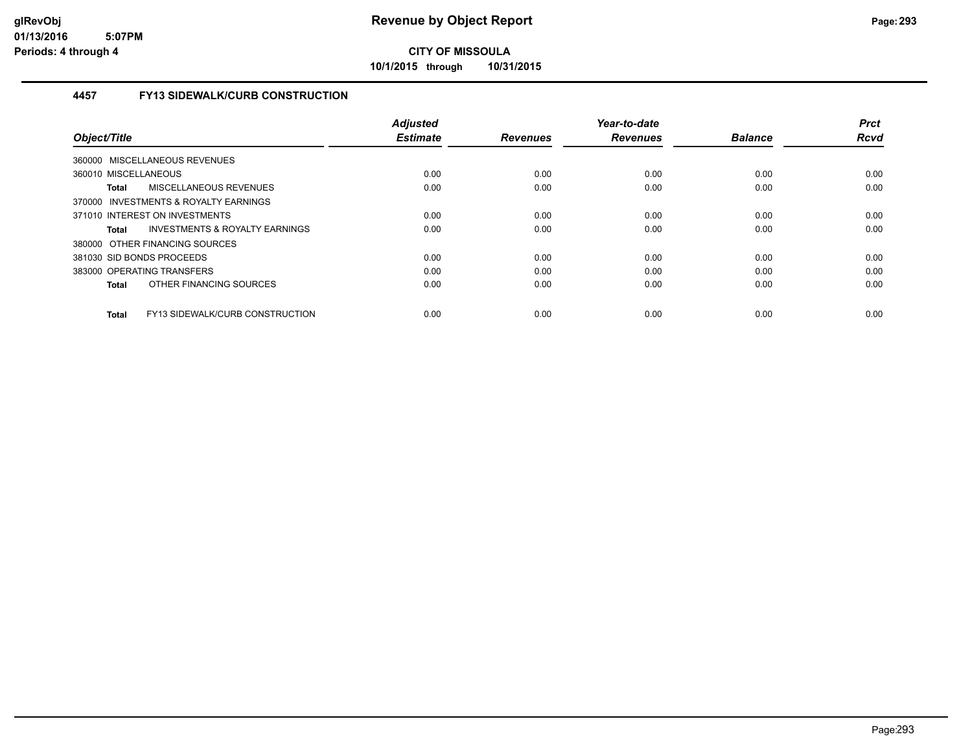**10/1/2015 through 10/31/2015**

#### **4457 FY13 SIDEWALK/CURB CONSTRUCTION**

|                                                 | <b>Adjusted</b> |                 | Year-to-date    |                | <b>Prct</b> |
|-------------------------------------------------|-----------------|-----------------|-----------------|----------------|-------------|
| Object/Title                                    | <b>Estimate</b> | <b>Revenues</b> | <b>Revenues</b> | <b>Balance</b> | <b>Rcvd</b> |
| 360000 MISCELLANEOUS REVENUES                   |                 |                 |                 |                |             |
| 360010 MISCELLANEOUS                            | 0.00            | 0.00            | 0.00            | 0.00           | 0.00        |
| MISCELLANEOUS REVENUES<br><b>Total</b>          | 0.00            | 0.00            | 0.00            | 0.00           | 0.00        |
| 370000 INVESTMENTS & ROYALTY EARNINGS           |                 |                 |                 |                |             |
| 371010 INTEREST ON INVESTMENTS                  | 0.00            | 0.00            | 0.00            | 0.00           | 0.00        |
| INVESTMENTS & ROYALTY EARNINGS<br><b>Total</b>  | 0.00            | 0.00            | 0.00            | 0.00           | 0.00        |
| 380000 OTHER FINANCING SOURCES                  |                 |                 |                 |                |             |
| 381030 SID BONDS PROCEEDS                       | 0.00            | 0.00            | 0.00            | 0.00           | 0.00        |
| 383000 OPERATING TRANSFERS                      | 0.00            | 0.00            | 0.00            | 0.00           | 0.00        |
| OTHER FINANCING SOURCES<br><b>Total</b>         | 0.00            | 0.00            | 0.00            | 0.00           | 0.00        |
|                                                 |                 |                 |                 |                |             |
| FY13 SIDEWALK/CURB CONSTRUCTION<br><b>Total</b> | 0.00            | 0.00            | 0.00            | 0.00           | 0.00        |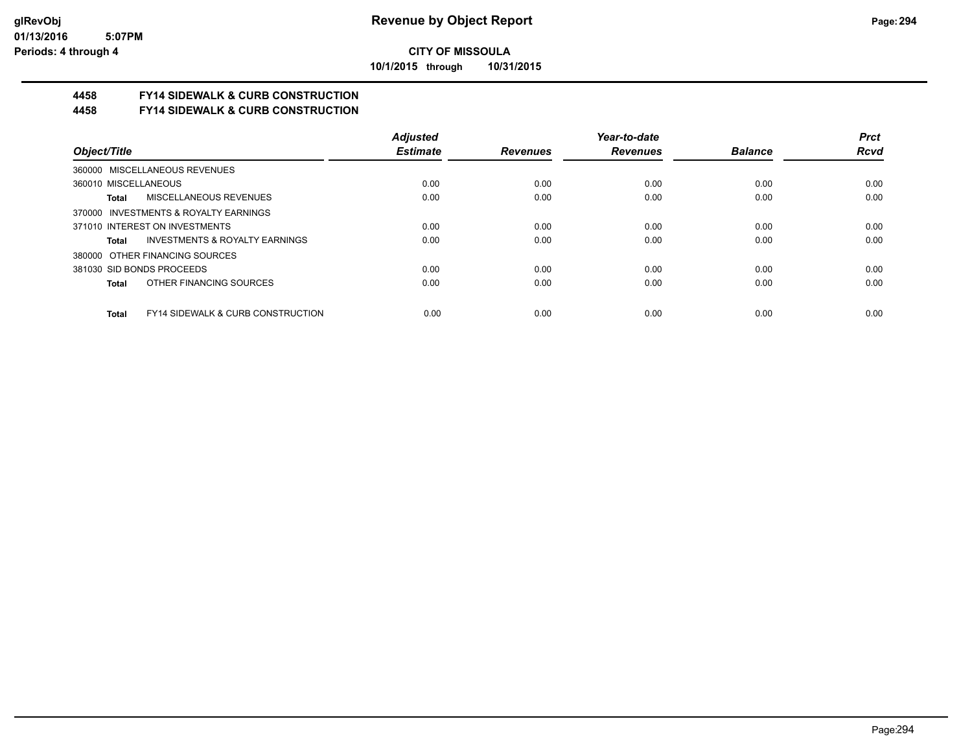**10/1/2015 through 10/31/2015**

# **4458 FY14 SIDEWALK & CURB CONSTRUCTION**

**4458 FY14 SIDEWALK & CURB CONSTRUCTION**

|                                                       | <b>Adjusted</b> |                 | Year-to-date    |                | <b>Prct</b> |
|-------------------------------------------------------|-----------------|-----------------|-----------------|----------------|-------------|
| Object/Title                                          | <b>Estimate</b> | <b>Revenues</b> | <b>Revenues</b> | <b>Balance</b> | <b>Rcvd</b> |
| 360000 MISCELLANEOUS REVENUES                         |                 |                 |                 |                |             |
| 360010 MISCELLANEOUS                                  | 0.00            | 0.00            | 0.00            | 0.00           | 0.00        |
| MISCELLANEOUS REVENUES<br>Total                       | 0.00            | 0.00            | 0.00            | 0.00           | 0.00        |
| 370000 INVESTMENTS & ROYALTY EARNINGS                 |                 |                 |                 |                |             |
| 371010 INTEREST ON INVESTMENTS                        | 0.00            | 0.00            | 0.00            | 0.00           | 0.00        |
| <b>INVESTMENTS &amp; ROYALTY EARNINGS</b><br>Total    | 0.00            | 0.00            | 0.00            | 0.00           | 0.00        |
| 380000 OTHER FINANCING SOURCES                        |                 |                 |                 |                |             |
| 381030 SID BONDS PROCEEDS                             | 0.00            | 0.00            | 0.00            | 0.00           | 0.00        |
| OTHER FINANCING SOURCES<br>Total                      | 0.00            | 0.00            | 0.00            | 0.00           | 0.00        |
| <b>FY14 SIDEWALK &amp; CURB CONSTRUCTION</b><br>Total | 0.00            | 0.00            | 0.00            | 0.00           | 0.00        |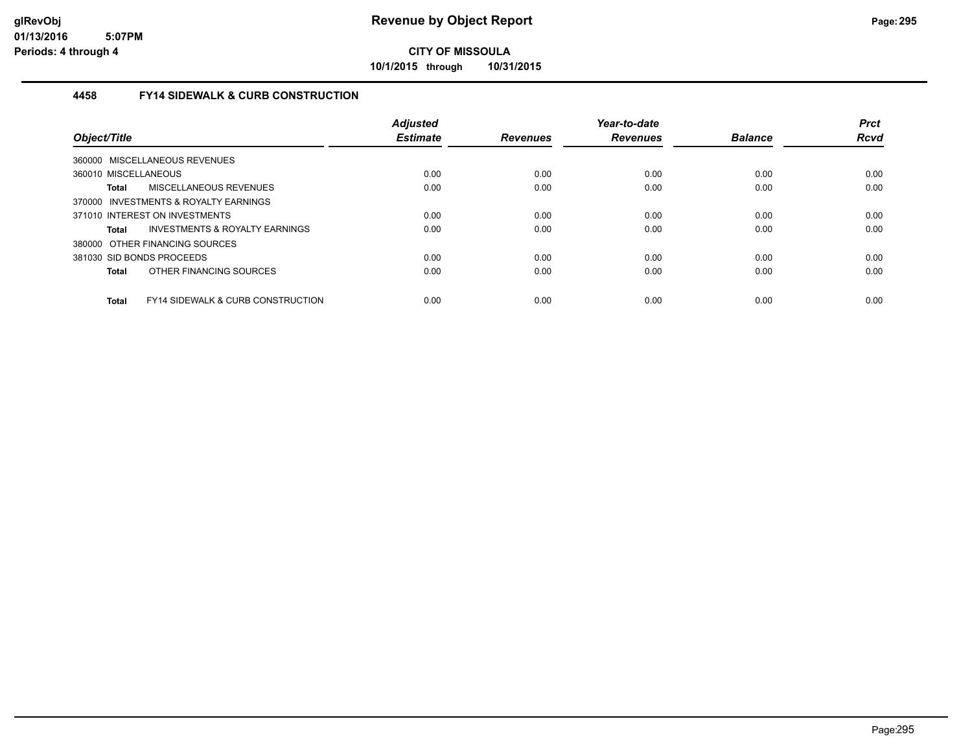**10/1/2015 through 10/31/2015**

#### **4458 FY14 SIDEWALK & CURB CONSTRUCTION**

| Object/Title                                                 | <b>Adjusted</b><br><b>Estimate</b> | <b>Revenues</b> | Year-to-date<br><b>Revenues</b> | <b>Balance</b> | <b>Prct</b><br><b>Rcvd</b> |
|--------------------------------------------------------------|------------------------------------|-----------------|---------------------------------|----------------|----------------------------|
| 360000 MISCELLANEOUS REVENUES                                |                                    |                 |                                 |                |                            |
| 360010 MISCELLANEOUS                                         | 0.00                               | 0.00            | 0.00                            | 0.00           | 0.00                       |
| MISCELLANEOUS REVENUES<br>Total                              | 0.00                               | 0.00            | 0.00                            | 0.00           | 0.00                       |
| 370000 INVESTMENTS & ROYALTY EARNINGS                        |                                    |                 |                                 |                |                            |
| 371010 INTEREST ON INVESTMENTS                               | 0.00                               | 0.00            | 0.00                            | 0.00           | 0.00                       |
| INVESTMENTS & ROYALTY EARNINGS<br><b>Total</b>               | 0.00                               | 0.00            | 0.00                            | 0.00           | 0.00                       |
| 380000 OTHER FINANCING SOURCES                               |                                    |                 |                                 |                |                            |
| 381030 SID BONDS PROCEEDS                                    | 0.00                               | 0.00            | 0.00                            | 0.00           | 0.00                       |
| OTHER FINANCING SOURCES<br><b>Total</b>                      | 0.00                               | 0.00            | 0.00                            | 0.00           | 0.00                       |
| <b>FY14 SIDEWALK &amp; CURB CONSTRUCTION</b><br><b>Total</b> | 0.00                               | 0.00            | 0.00                            | 0.00           | 0.00                       |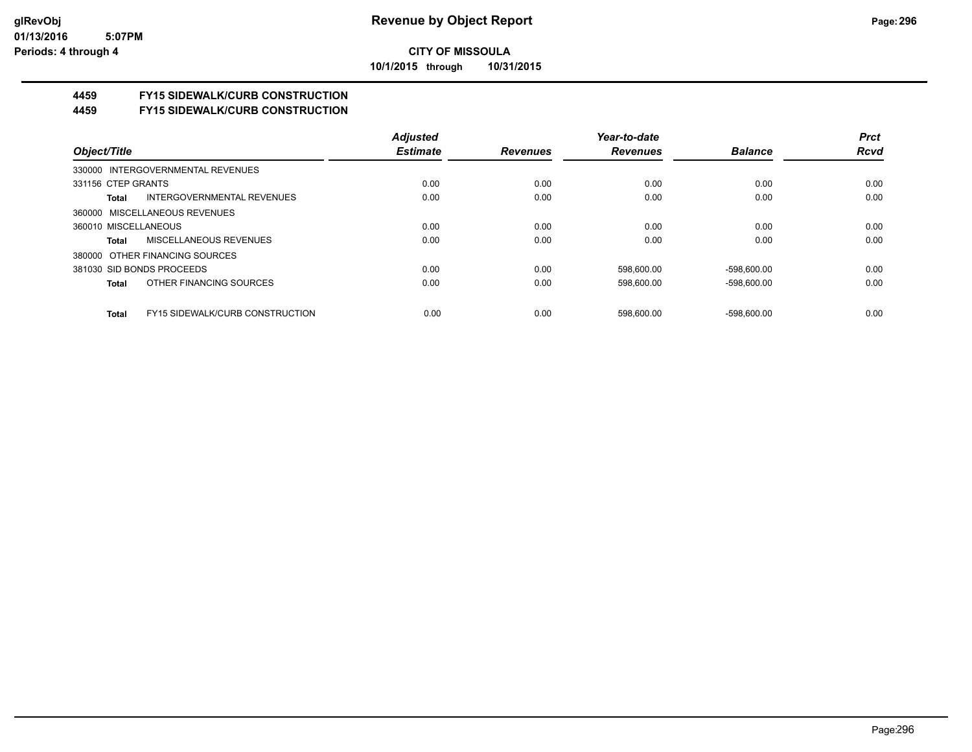**10/1/2015 through 10/31/2015**

## **4459 FY15 SIDEWALK/CURB CONSTRUCTION**

**4459 FY15 SIDEWALK/CURB CONSTRUCTION**

|                                                 | <b>Adjusted</b> |                 | Year-to-date    |                | <b>Prct</b> |
|-------------------------------------------------|-----------------|-----------------|-----------------|----------------|-------------|
| Object/Title                                    | <b>Estimate</b> | <b>Revenues</b> | <b>Revenues</b> | <b>Balance</b> | <b>Rcvd</b> |
| 330000 INTERGOVERNMENTAL REVENUES               |                 |                 |                 |                |             |
| 331156 CTEP GRANTS                              | 0.00            | 0.00            | 0.00            | 0.00           | 0.00        |
| INTERGOVERNMENTAL REVENUES<br>Total             | 0.00            | 0.00            | 0.00            | 0.00           | 0.00        |
| 360000 MISCELLANEOUS REVENUES                   |                 |                 |                 |                |             |
| 360010 MISCELLANEOUS                            | 0.00            | 0.00            | 0.00            | 0.00           | 0.00        |
| MISCELLANEOUS REVENUES<br>Total                 | 0.00            | 0.00            | 0.00            | 0.00           | 0.00        |
| 380000 OTHER FINANCING SOURCES                  |                 |                 |                 |                |             |
| 381030 SID BONDS PROCEEDS                       | 0.00            | 0.00            | 598.600.00      | $-598,600.00$  | 0.00        |
| OTHER FINANCING SOURCES<br>Total                | 0.00            | 0.00            | 598.600.00      | $-598.600.00$  | 0.00        |
|                                                 |                 |                 |                 |                |             |
| <b>FY15 SIDEWALK/CURB CONSTRUCTION</b><br>Total | 0.00            | 0.00            | 598.600.00      | -598.600.00    | 0.00        |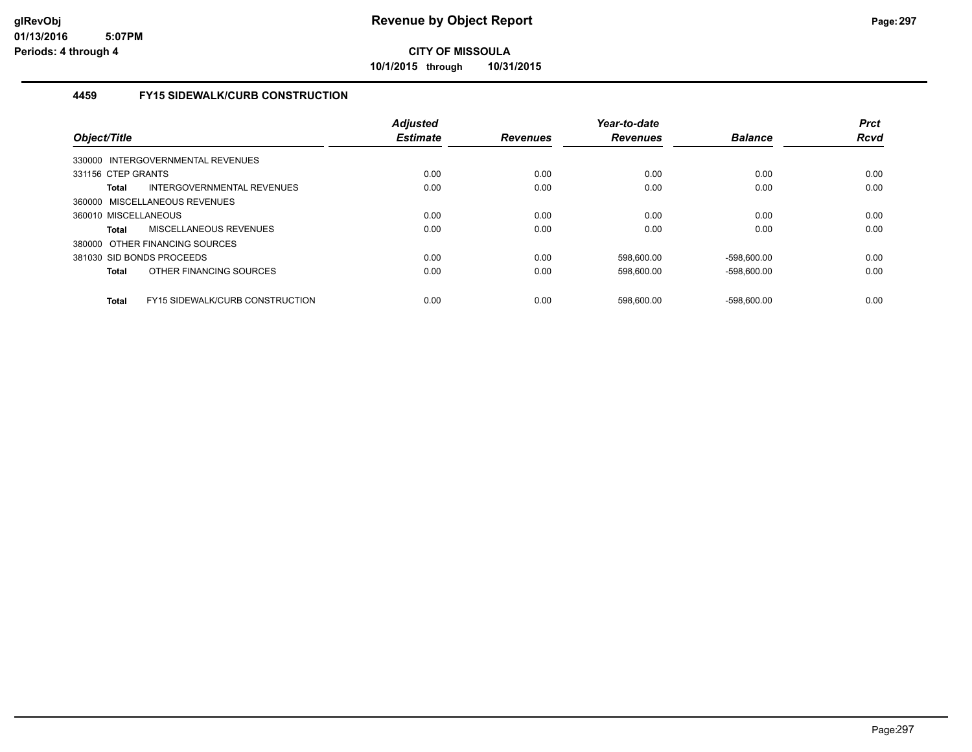**10/1/2015 through 10/31/2015**

#### **4459 FY15 SIDEWALK/CURB CONSTRUCTION**

| Object/Title                                           | <b>Adjusted</b><br><b>Estimate</b> | <b>Revenues</b> | Year-to-date<br><b>Revenues</b> | <b>Balance</b> | <b>Prct</b><br>Rcvd |
|--------------------------------------------------------|------------------------------------|-----------------|---------------------------------|----------------|---------------------|
| 330000 INTERGOVERNMENTAL REVENUES                      |                                    |                 |                                 |                |                     |
| 331156 CTEP GRANTS                                     | 0.00                               | 0.00            | 0.00                            | 0.00           | 0.00                |
| INTERGOVERNMENTAL REVENUES<br><b>Total</b>             | 0.00                               | 0.00            | 0.00                            | 0.00           | 0.00                |
| 360000 MISCELLANEOUS REVENUES                          |                                    |                 |                                 |                |                     |
| 360010 MISCELLANEOUS                                   | 0.00                               | 0.00            | 0.00                            | 0.00           | 0.00                |
| <b>MISCELLANEOUS REVENUES</b><br>Total                 | 0.00                               | 0.00            | 0.00                            | 0.00           | 0.00                |
| 380000 OTHER FINANCING SOURCES                         |                                    |                 |                                 |                |                     |
| 381030 SID BONDS PROCEEDS                              | 0.00                               | 0.00            | 598,600.00                      | $-598,600.00$  | 0.00                |
| OTHER FINANCING SOURCES<br><b>Total</b>                | 0.00                               | 0.00            | 598,600.00                      | $-598,600.00$  | 0.00                |
| <b>FY15 SIDEWALK/CURB CONSTRUCTION</b><br><b>Total</b> | 0.00                               | 0.00            | 598.600.00                      | $-598.600.00$  | 0.00                |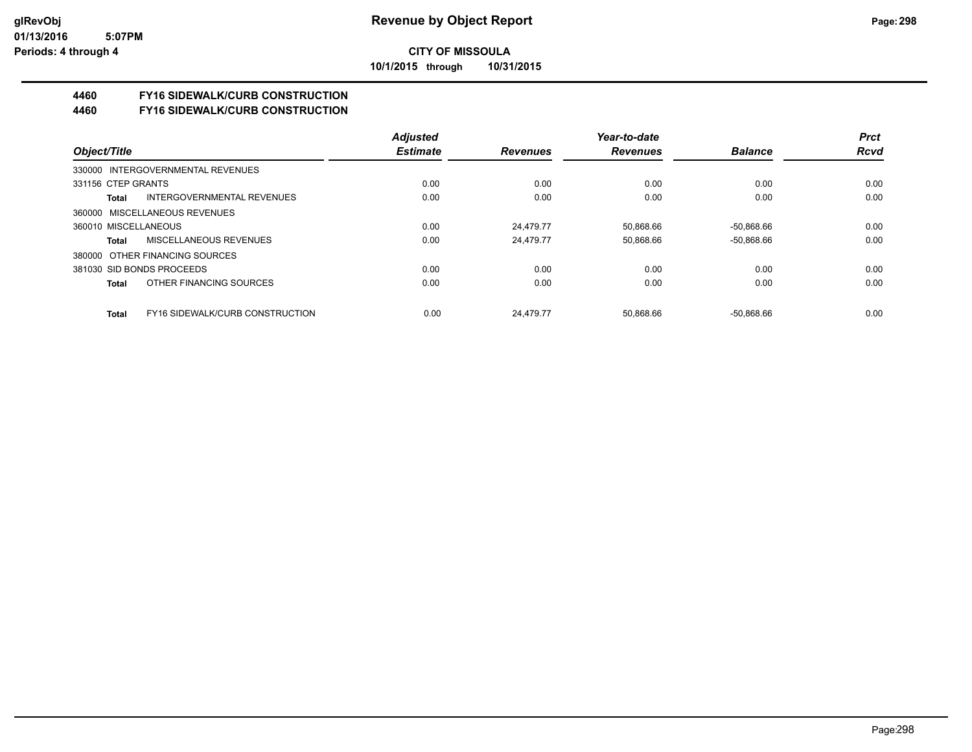**10/1/2015 through 10/31/2015**

# **4460 FY16 SIDEWALK/CURB CONSTRUCTION**

**4460 FY16 SIDEWALK/CURB CONSTRUCTION**

|                                   |                                        | <b>Adjusted</b> |                 | Year-to-date    |                | <b>Prct</b> |
|-----------------------------------|----------------------------------------|-----------------|-----------------|-----------------|----------------|-------------|
| Object/Title                      |                                        | <b>Estimate</b> | <b>Revenues</b> | <b>Revenues</b> | <b>Balance</b> | <b>Rcvd</b> |
| 330000 INTERGOVERNMENTAL REVENUES |                                        |                 |                 |                 |                |             |
| 331156 CTEP GRANTS                |                                        | 0.00            | 0.00            | 0.00            | 0.00           | 0.00        |
| Total                             | INTERGOVERNMENTAL REVENUES             | 0.00            | 0.00            | 0.00            | 0.00           | 0.00        |
| 360000 MISCELLANEOUS REVENUES     |                                        |                 |                 |                 |                |             |
| 360010 MISCELLANEOUS              |                                        | 0.00            | 24.479.77       | 50.868.66       | $-50.868.66$   | 0.00        |
| Total                             | MISCELLANEOUS REVENUES                 | 0.00            | 24.479.77       | 50,868.66       | $-50,868.66$   | 0.00        |
| 380000 OTHER FINANCING SOURCES    |                                        |                 |                 |                 |                |             |
| 381030 SID BONDS PROCEEDS         |                                        | 0.00            | 0.00            | 0.00            | 0.00           | 0.00        |
| Total                             | OTHER FINANCING SOURCES                | 0.00            | 0.00            | 0.00            | 0.00           | 0.00        |
| Total                             | <b>FY16 SIDEWALK/CURB CONSTRUCTION</b> | 0.00            | 24.479.77       | 50.868.66       | $-50.868.66$   | 0.00        |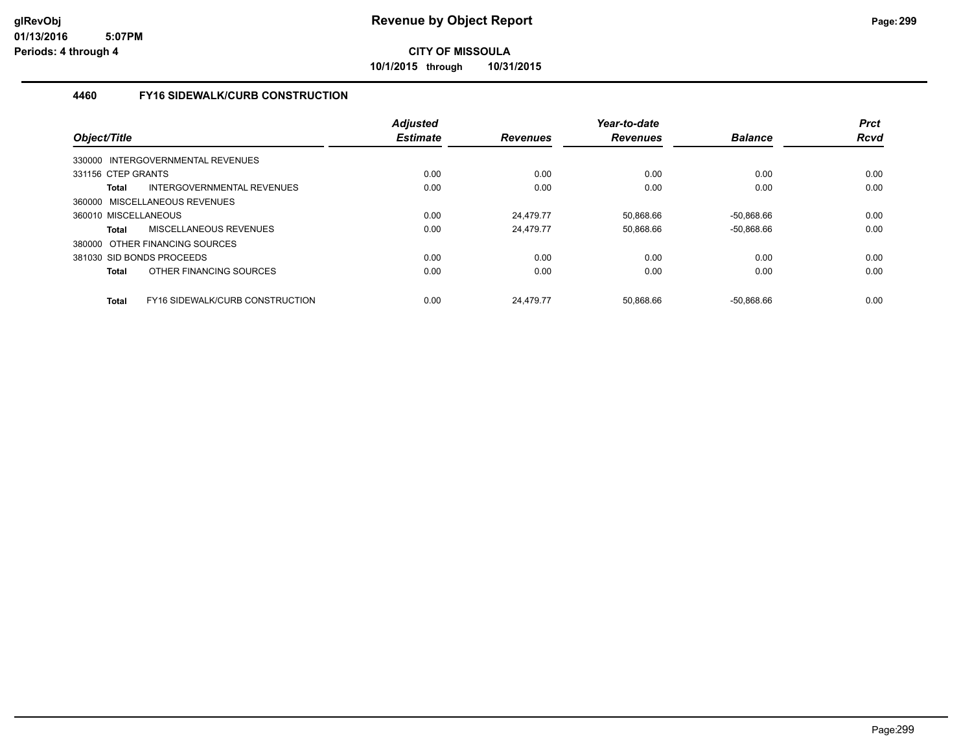**10/1/2015 through 10/31/2015**

#### **4460 FY16 SIDEWALK/CURB CONSTRUCTION**

| Object/Title                                           | <b>Adjusted</b><br><b>Estimate</b> | <b>Revenues</b> | Year-to-date<br><b>Revenues</b> | <b>Balance</b> | <b>Prct</b><br><b>Rcvd</b> |
|--------------------------------------------------------|------------------------------------|-----------------|---------------------------------|----------------|----------------------------|
| 330000 INTERGOVERNMENTAL REVENUES                      |                                    |                 |                                 |                |                            |
| 331156 CTEP GRANTS                                     | 0.00                               | 0.00            | 0.00                            | 0.00           | 0.00                       |
| INTERGOVERNMENTAL REVENUES<br><b>Total</b>             | 0.00                               | 0.00            | 0.00                            | 0.00           | 0.00                       |
| 360000 MISCELLANEOUS REVENUES                          |                                    |                 |                                 |                |                            |
| 360010 MISCELLANEOUS                                   | 0.00                               | 24.479.77       | 50,868.66                       | $-50,868.66$   | 0.00                       |
| MISCELLANEOUS REVENUES<br><b>Total</b>                 | 0.00                               | 24.479.77       | 50.868.66                       | $-50.868.66$   | 0.00                       |
| 380000 OTHER FINANCING SOURCES                         |                                    |                 |                                 |                |                            |
| 381030 SID BONDS PROCEEDS                              | 0.00                               | 0.00            | 0.00                            | 0.00           | 0.00                       |
| OTHER FINANCING SOURCES<br><b>Total</b>                | 0.00                               | 0.00            | 0.00                            | 0.00           | 0.00                       |
| <b>FY16 SIDEWALK/CURB CONSTRUCTION</b><br><b>Total</b> | 0.00                               | 24.479.77       | 50.868.66                       | $-50.868.66$   | 0.00                       |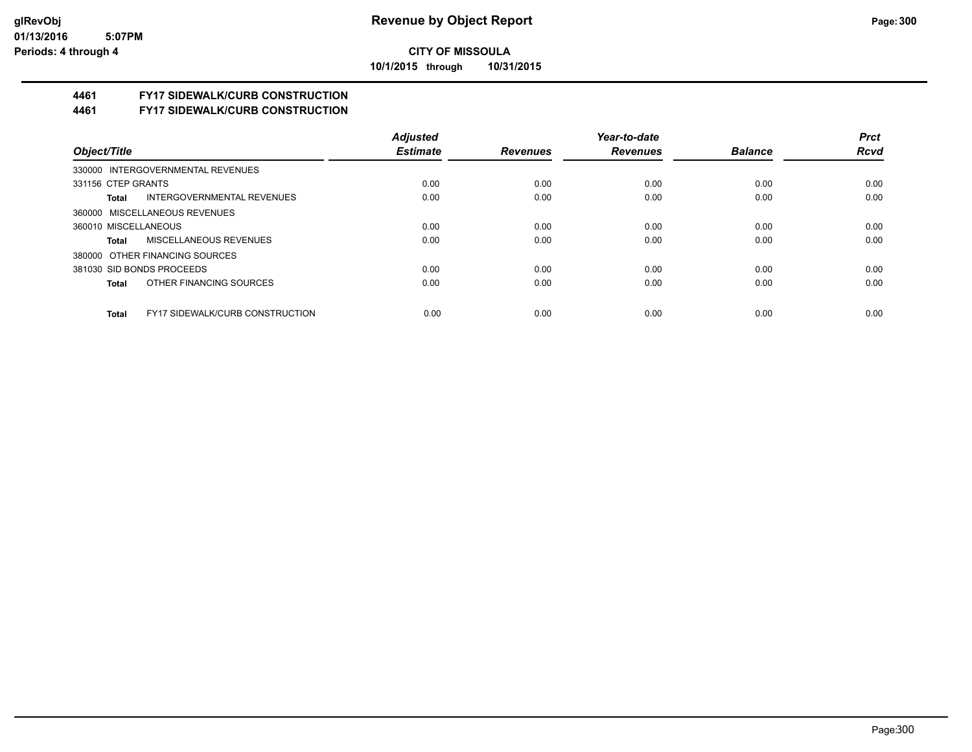**10/1/2015 through 10/31/2015**

# **4461 FY17 SIDEWALK/CURB CONSTRUCTION**

**4461 FY17 SIDEWALK/CURB CONSTRUCTION**

|                                                 | <b>Adjusted</b> |                 | Year-to-date    |                | <b>Prct</b> |
|-------------------------------------------------|-----------------|-----------------|-----------------|----------------|-------------|
| Object/Title                                    | <b>Estimate</b> | <b>Revenues</b> | <b>Revenues</b> | <b>Balance</b> | <b>Rcvd</b> |
| 330000 INTERGOVERNMENTAL REVENUES               |                 |                 |                 |                |             |
| 331156 CTEP GRANTS                              | 0.00            | 0.00            | 0.00            | 0.00           | 0.00        |
| INTERGOVERNMENTAL REVENUES<br>Total             | 0.00            | 0.00            | 0.00            | 0.00           | 0.00        |
| 360000 MISCELLANEOUS REVENUES                   |                 |                 |                 |                |             |
| 360010 MISCELLANEOUS                            | 0.00            | 0.00            | 0.00            | 0.00           | 0.00        |
| MISCELLANEOUS REVENUES<br>Total                 | 0.00            | 0.00            | 0.00            | 0.00           | 0.00        |
| 380000 OTHER FINANCING SOURCES                  |                 |                 |                 |                |             |
| 381030 SID BONDS PROCEEDS                       | 0.00            | 0.00            | 0.00            | 0.00           | 0.00        |
| OTHER FINANCING SOURCES<br>Total                | 0.00            | 0.00            | 0.00            | 0.00           | 0.00        |
|                                                 |                 |                 |                 |                |             |
| <b>FY17 SIDEWALK/CURB CONSTRUCTION</b><br>Total | 0.00            | 0.00            | 0.00            | 0.00           | 0.00        |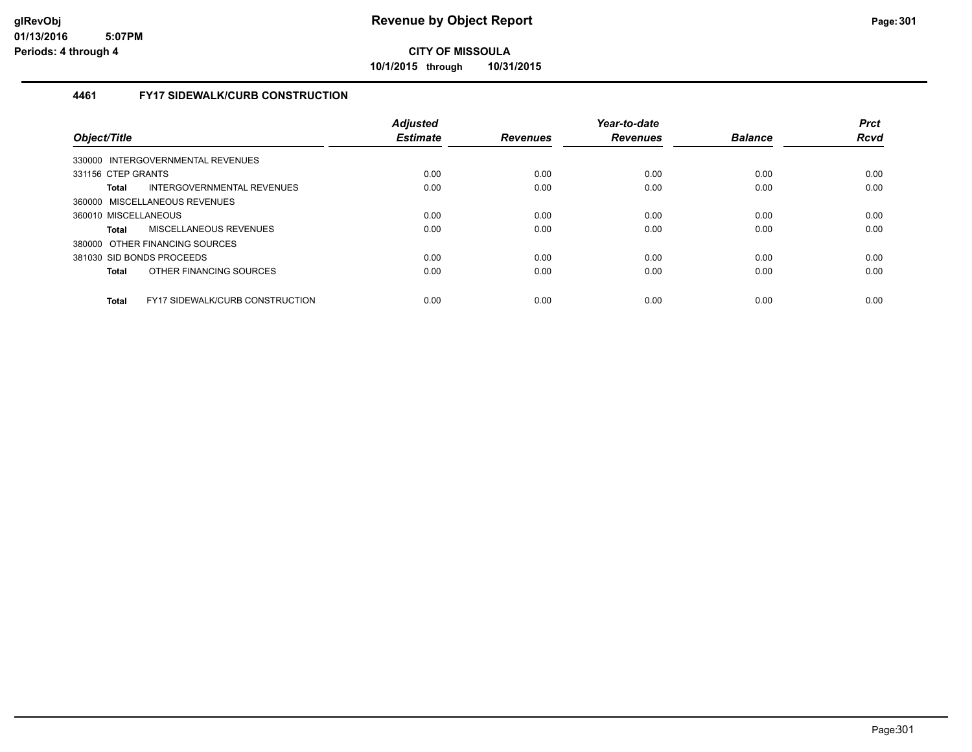**10/1/2015 through 10/31/2015**

#### **4461 FY17 SIDEWALK/CURB CONSTRUCTION**

| Object/Title         |                                        | Adjusted<br><b>Estimate</b> | <b>Revenues</b> | Year-to-date<br><b>Revenues</b> | <b>Balance</b> | <b>Prct</b><br><b>Rcvd</b> |
|----------------------|----------------------------------------|-----------------------------|-----------------|---------------------------------|----------------|----------------------------|
|                      | 330000 INTERGOVERNMENTAL REVENUES      |                             |                 |                                 |                |                            |
| 331156 CTEP GRANTS   |                                        | 0.00                        | 0.00            | 0.00                            | 0.00           | 0.00                       |
| <b>Total</b>         | INTERGOVERNMENTAL REVENUES             | 0.00                        | 0.00            | 0.00                            | 0.00           | 0.00                       |
|                      | 360000 MISCELLANEOUS REVENUES          |                             |                 |                                 |                |                            |
| 360010 MISCELLANEOUS |                                        | 0.00                        | 0.00            | 0.00                            | 0.00           | 0.00                       |
| Total                | <b>MISCELLANEOUS REVENUES</b>          | 0.00                        | 0.00            | 0.00                            | 0.00           | 0.00                       |
|                      | 380000 OTHER FINANCING SOURCES         |                             |                 |                                 |                |                            |
|                      | 381030 SID BONDS PROCEEDS              | 0.00                        | 0.00            | 0.00                            | 0.00           | 0.00                       |
| Total                | OTHER FINANCING SOURCES                | 0.00                        | 0.00            | 0.00                            | 0.00           | 0.00                       |
| <b>Total</b>         | <b>FY17 SIDEWALK/CURB CONSTRUCTION</b> | 0.00                        | 0.00            | 0.00                            | 0.00           | 0.00                       |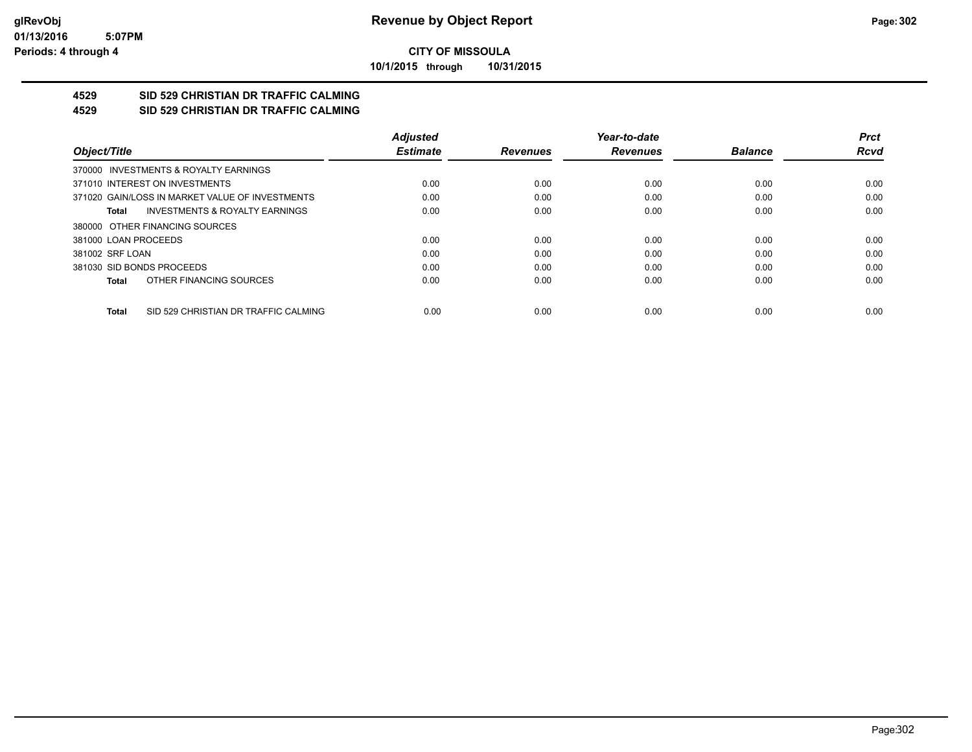**10/1/2015 through 10/31/2015**

#### **4529 SID 529 CHRISTIAN DR TRAFFIC CALMING 4529 SID 529 CHRISTIAN DR TRAFFIC CALMING**

|                                                      | <b>Adjusted</b> |                 | Year-to-date    |                | <b>Prct</b> |
|------------------------------------------------------|-----------------|-----------------|-----------------|----------------|-------------|
| Object/Title                                         | <b>Estimate</b> | <b>Revenues</b> | <b>Revenues</b> | <b>Balance</b> | <b>Rcvd</b> |
| 370000 INVESTMENTS & ROYALTY EARNINGS                |                 |                 |                 |                |             |
| 371010 INTEREST ON INVESTMENTS                       | 0.00            | 0.00            | 0.00            | 0.00           | 0.00        |
| 371020 GAIN/LOSS IN MARKET VALUE OF INVESTMENTS      | 0.00            | 0.00            | 0.00            | 0.00           | 0.00        |
| <b>INVESTMENTS &amp; ROYALTY EARNINGS</b><br>Total   | 0.00            | 0.00            | 0.00            | 0.00           | 0.00        |
| 380000 OTHER FINANCING SOURCES                       |                 |                 |                 |                |             |
| 381000 LOAN PROCEEDS                                 | 0.00            | 0.00            | 0.00            | 0.00           | 0.00        |
| 381002 SRF LOAN                                      | 0.00            | 0.00            | 0.00            | 0.00           | 0.00        |
| 381030 SID BONDS PROCEEDS                            | 0.00            | 0.00            | 0.00            | 0.00           | 0.00        |
| OTHER FINANCING SOURCES<br>Total                     | 0.00            | 0.00            | 0.00            | 0.00           | 0.00        |
|                                                      |                 |                 |                 |                |             |
| SID 529 CHRISTIAN DR TRAFFIC CALMING<br><b>Total</b> | 0.00            | 0.00            | 0.00            | 0.00           | 0.00        |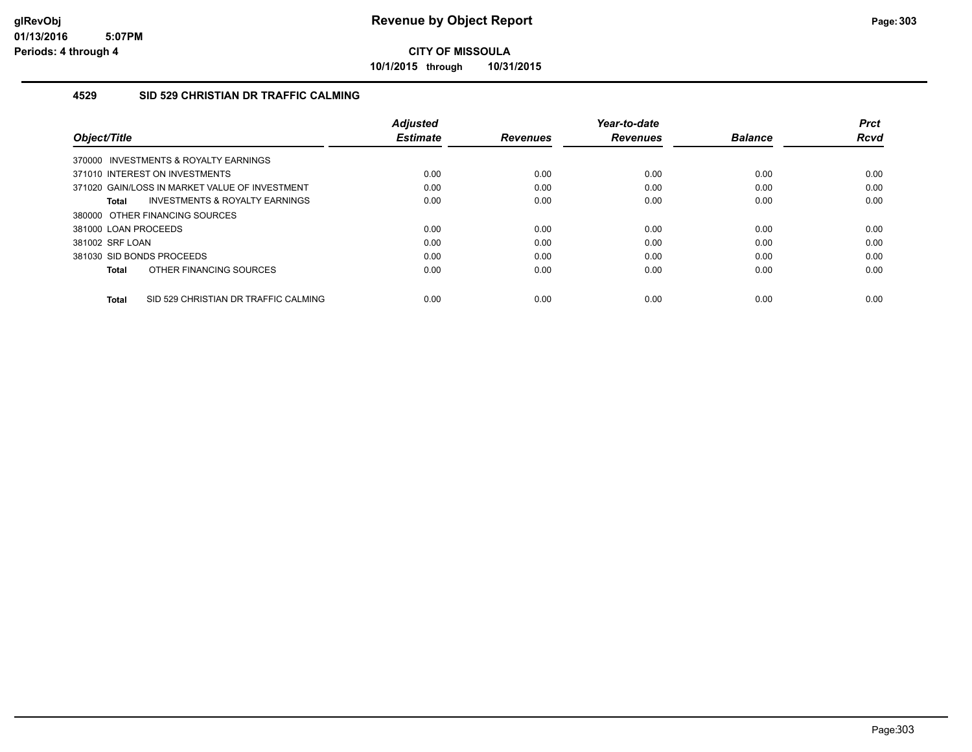**10/1/2015 through 10/31/2015**

#### **4529 SID 529 CHRISTIAN DR TRAFFIC CALMING**

| Object/Title                                   | <b>Adjusted</b><br><b>Estimate</b> | <b>Revenues</b> | Year-to-date<br><b>Revenues</b> | <b>Balance</b> | <b>Prct</b><br>Rcvd |
|------------------------------------------------|------------------------------------|-----------------|---------------------------------|----------------|---------------------|
| 370000 INVESTMENTS & ROYALTY EARNINGS          |                                    |                 |                                 |                |                     |
| 371010 INTEREST ON INVESTMENTS                 | 0.00                               | 0.00            | 0.00                            | 0.00           | 0.00                |
| 371020 GAIN/LOSS IN MARKET VALUE OF INVESTMENT | 0.00                               | 0.00            | 0.00                            | 0.00           | 0.00                |
| INVESTMENTS & ROYALTY EARNINGS<br>Total        | 0.00                               | 0.00            | 0.00                            | 0.00           | 0.00                |
| 380000 OTHER FINANCING SOURCES                 |                                    |                 |                                 |                |                     |
| 381000 LOAN PROCEEDS                           | 0.00                               | 0.00            | 0.00                            | 0.00           | 0.00                |
| 381002 SRF LOAN                                | 0.00                               | 0.00            | 0.00                            | 0.00           | 0.00                |
| 381030 SID BONDS PROCEEDS                      | 0.00                               | 0.00            | 0.00                            | 0.00           | 0.00                |
| OTHER FINANCING SOURCES<br>Total               | 0.00                               | 0.00            | 0.00                            | 0.00           | 0.00                |
| SID 529 CHRISTIAN DR TRAFFIC CALMING<br>Total  | 0.00                               | 0.00            | 0.00                            | 0.00           | 0.00                |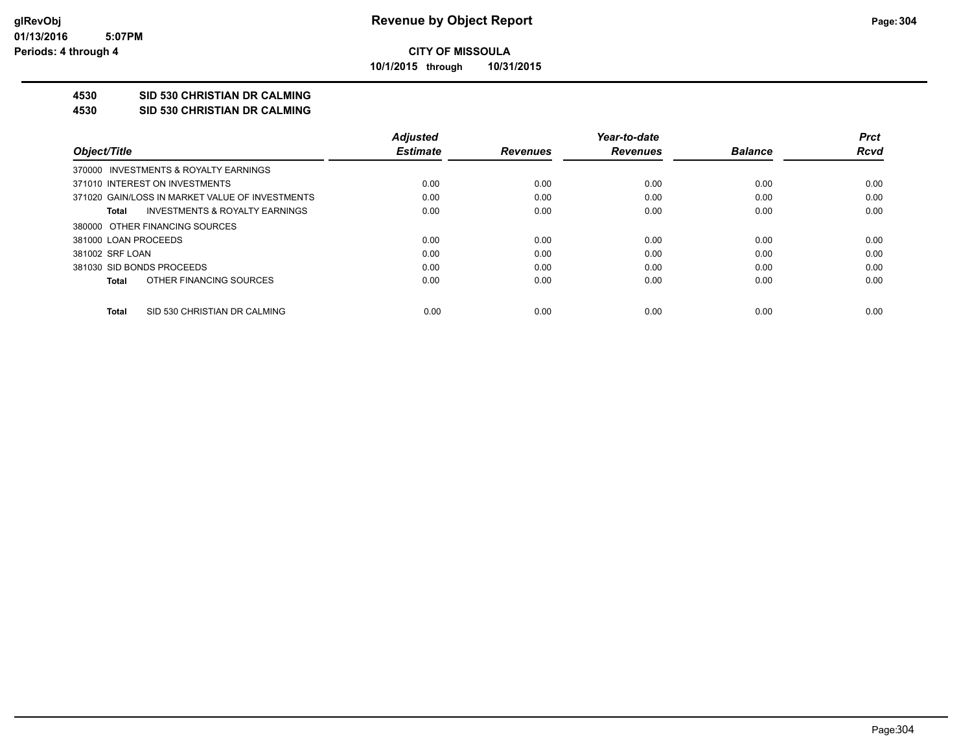**10/1/2015 through 10/31/2015**

## **4530 SID 530 CHRISTIAN DR CALMING**

**4530 SID 530 CHRISTIAN DR CALMING**

|                                                 | <b>Adiusted</b> |                 | Year-to-date    |                | Prct        |
|-------------------------------------------------|-----------------|-----------------|-----------------|----------------|-------------|
| Object/Title                                    | <b>Estimate</b> | <b>Revenues</b> | <b>Revenues</b> | <b>Balance</b> | <b>Rcvd</b> |
| 370000 INVESTMENTS & ROYALTY EARNINGS           |                 |                 |                 |                |             |
| 371010 INTEREST ON INVESTMENTS                  | 0.00            | 0.00            | 0.00            | 0.00           | 0.00        |
| 371020 GAIN/LOSS IN MARKET VALUE OF INVESTMENTS | 0.00            | 0.00            | 0.00            | 0.00           | 0.00        |
| INVESTMENTS & ROYALTY EARNINGS<br>Total         | 0.00            | 0.00            | 0.00            | 0.00           | 0.00        |
| 380000 OTHER FINANCING SOURCES                  |                 |                 |                 |                |             |
| 381000 LOAN PROCEEDS                            | 0.00            | 0.00            | 0.00            | 0.00           | 0.00        |
| 381002 SRF LOAN                                 | 0.00            | 0.00            | 0.00            | 0.00           | 0.00        |
| 381030 SID BONDS PROCEEDS                       | 0.00            | 0.00            | 0.00            | 0.00           | 0.00        |
| OTHER FINANCING SOURCES<br>Total                | 0.00            | 0.00            | 0.00            | 0.00           | 0.00        |
|                                                 |                 |                 |                 |                |             |
| SID 530 CHRISTIAN DR CALMING<br>Total           | 0.00            | 0.00            | 0.00            | 0.00           | 0.00        |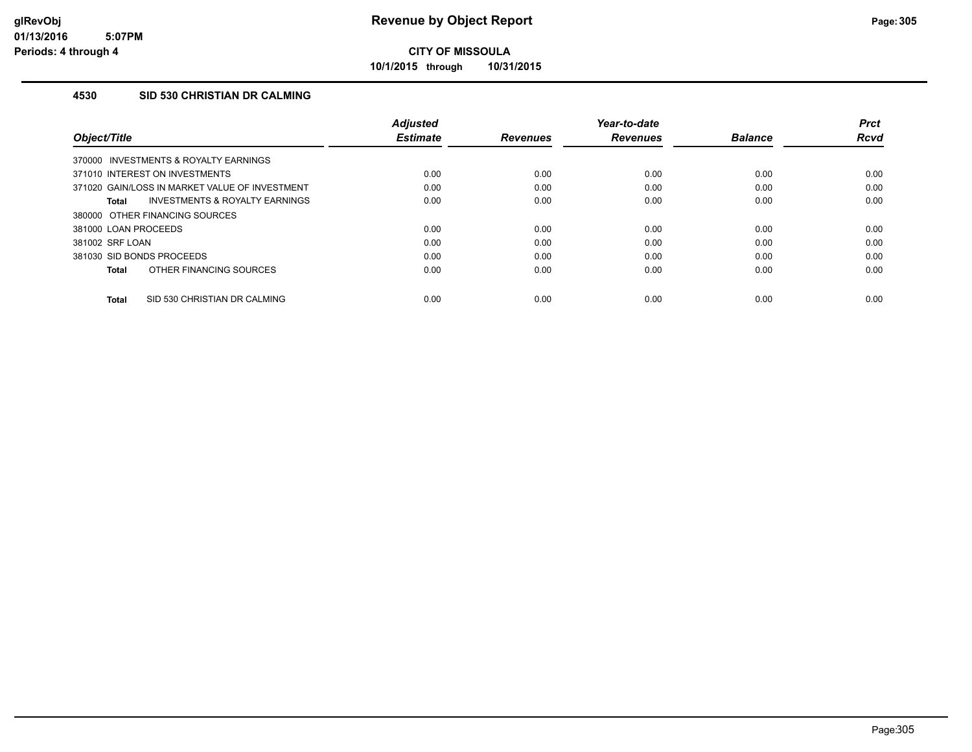**10/1/2015 through 10/31/2015**

#### **4530 SID 530 CHRISTIAN DR CALMING**

| Object/Title                                       | <b>Adiusted</b><br><b>Estimate</b> | <b>Revenues</b> | Year-to-date<br><b>Revenues</b> | <b>Balance</b> | <b>Prct</b><br><b>Rcvd</b> |
|----------------------------------------------------|------------------------------------|-----------------|---------------------------------|----------------|----------------------------|
| 370000 INVESTMENTS & ROYALTY EARNINGS              |                                    |                 |                                 |                |                            |
| 371010 INTEREST ON INVESTMENTS                     | 0.00                               | 0.00            | 0.00                            | 0.00           | 0.00                       |
| 371020 GAIN/LOSS IN MARKET VALUE OF INVESTMENT     | 0.00                               | 0.00            | 0.00                            | 0.00           | 0.00                       |
| <b>INVESTMENTS &amp; ROYALTY EARNINGS</b><br>Total | 0.00                               | 0.00            | 0.00                            | 0.00           | 0.00                       |
| 380000 OTHER FINANCING SOURCES                     |                                    |                 |                                 |                |                            |
| 381000 LOAN PROCEEDS                               | 0.00                               | 0.00            | 0.00                            | 0.00           | 0.00                       |
| 381002 SRF LOAN                                    | 0.00                               | 0.00            | 0.00                            | 0.00           | 0.00                       |
| 381030 SID BONDS PROCEEDS                          | 0.00                               | 0.00            | 0.00                            | 0.00           | 0.00                       |
| OTHER FINANCING SOURCES<br><b>Total</b>            | 0.00                               | 0.00            | 0.00                            | 0.00           | 0.00                       |
| SID 530 CHRISTIAN DR CALMING<br><b>Total</b>       | 0.00                               | 0.00            | 0.00                            | 0.00           | 0.00                       |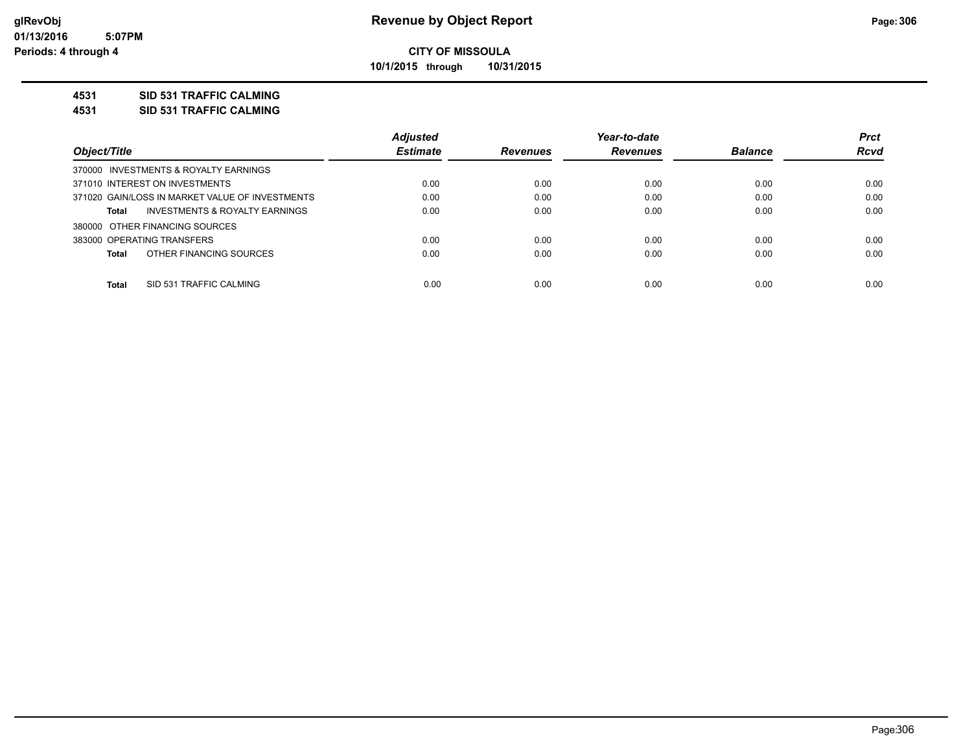**10/1/2015 through 10/31/2015**

#### **4531 SID 531 TRAFFIC CALMING**

**4531 SID 531 TRAFFIC CALMING**

|                                                    | <b>Adjusted</b> |                 | Year-to-date    |                | <b>Prct</b> |
|----------------------------------------------------|-----------------|-----------------|-----------------|----------------|-------------|
| Object/Title                                       | <b>Estimate</b> | <b>Revenues</b> | <b>Revenues</b> | <b>Balance</b> | <b>Rcvd</b> |
| 370000 INVESTMENTS & ROYALTY EARNINGS              |                 |                 |                 |                |             |
| 371010 INTEREST ON INVESTMENTS                     | 0.00            | 0.00            | 0.00            | 0.00           | 0.00        |
| 371020 GAIN/LOSS IN MARKET VALUE OF INVESTMENTS    | 0.00            | 0.00            | 0.00            | 0.00           | 0.00        |
| <b>INVESTMENTS &amp; ROYALTY EARNINGS</b><br>Total | 0.00            | 0.00            | 0.00            | 0.00           | 0.00        |
| 380000 OTHER FINANCING SOURCES                     |                 |                 |                 |                |             |
| 383000 OPERATING TRANSFERS                         | 0.00            | 0.00            | 0.00            | 0.00           | 0.00        |
| OTHER FINANCING SOURCES<br>Total                   | 0.00            | 0.00            | 0.00            | 0.00           | 0.00        |
|                                                    |                 |                 |                 |                |             |
| Total<br>SID 531 TRAFFIC CALMING                   | 0.00            | 0.00            | 0.00            | 0.00           | 0.00        |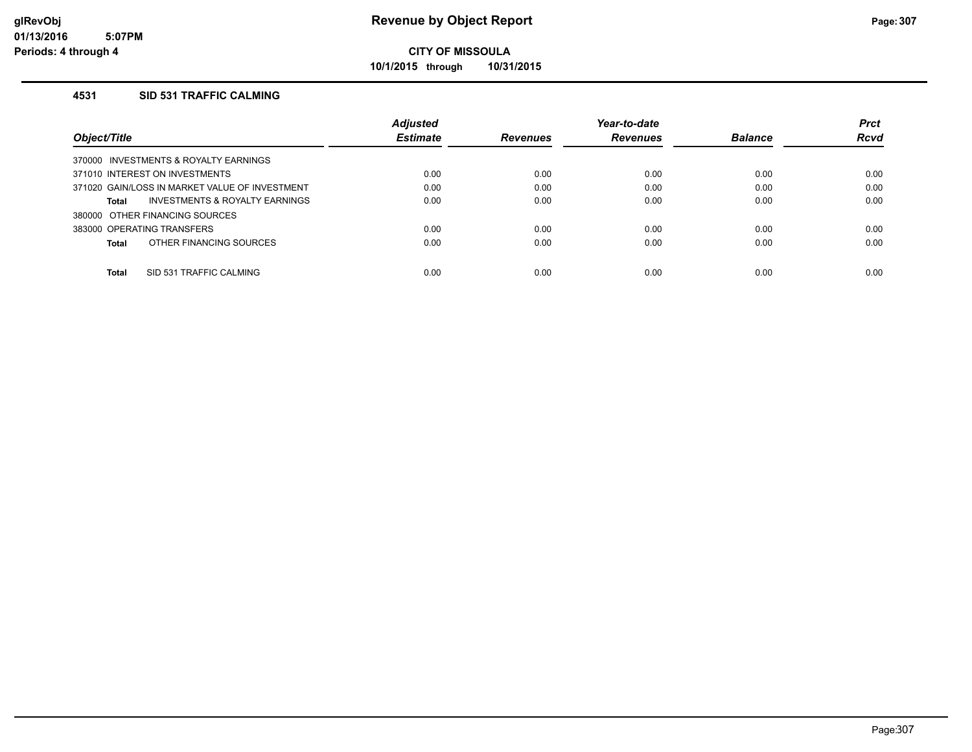**10/1/2015 through 10/31/2015**

#### **4531 SID 531 TRAFFIC CALMING**

|                                                    | <b>Adjusted</b> |                 | Year-to-date    |                | <b>Prct</b> |
|----------------------------------------------------|-----------------|-----------------|-----------------|----------------|-------------|
| Object/Title                                       | <b>Estimate</b> | <b>Revenues</b> | <b>Revenues</b> | <b>Balance</b> | <b>Rcvd</b> |
| INVESTMENTS & ROYALTY EARNINGS<br>370000           |                 |                 |                 |                |             |
| 371010 INTEREST ON INVESTMENTS                     | 0.00            | 0.00            | 0.00            | 0.00           | 0.00        |
| 371020 GAIN/LOSS IN MARKET VALUE OF INVESTMENT     | 0.00            | 0.00            | 0.00            | 0.00           | 0.00        |
| <b>INVESTMENTS &amp; ROYALTY EARNINGS</b><br>Total | 0.00            | 0.00            | 0.00            | 0.00           | 0.00        |
| 380000 OTHER FINANCING SOURCES                     |                 |                 |                 |                |             |
| 383000 OPERATING TRANSFERS                         | 0.00            | 0.00            | 0.00            | 0.00           | 0.00        |
| OTHER FINANCING SOURCES<br>Total                   | 0.00            | 0.00            | 0.00            | 0.00           | 0.00        |
|                                                    |                 |                 |                 |                |             |
| Total<br>SID 531 TRAFFIC CALMING                   | 0.00            | 0.00            | 0.00            | 0.00           | 0.00        |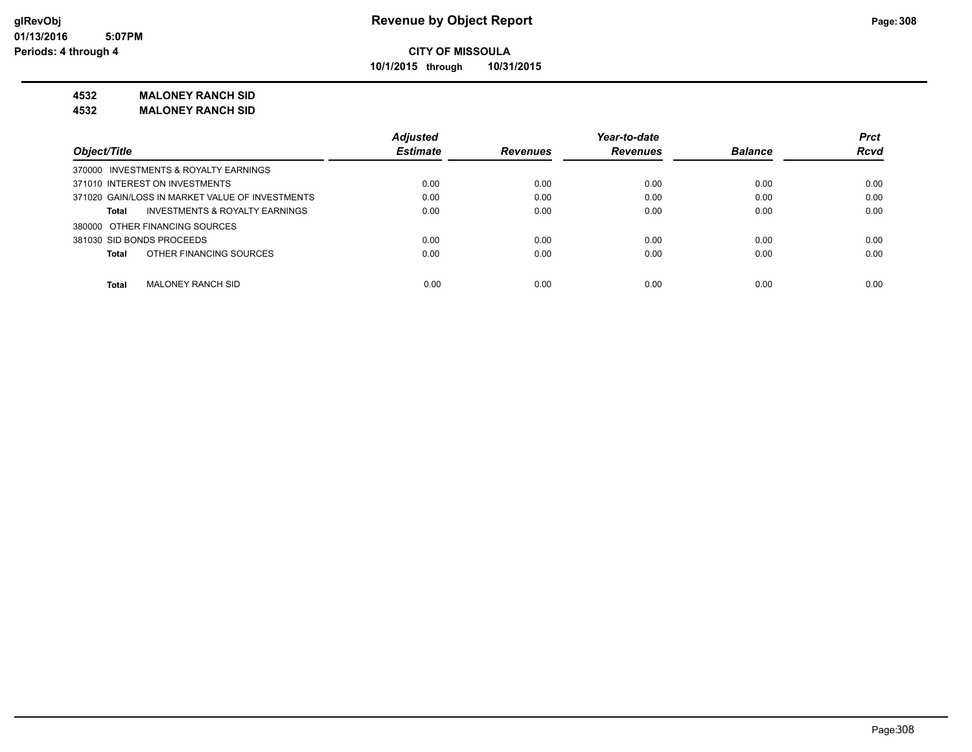**10/1/2015 through 10/31/2015**

#### **4532 MALONEY RANCH SID**

**4532 MALONEY RANCH SID**

|                                                 | <b>Adjusted</b> |                 | Year-to-date    |                | <b>Prct</b> |
|-------------------------------------------------|-----------------|-----------------|-----------------|----------------|-------------|
| Object/Title                                    | <b>Estimate</b> | <b>Revenues</b> | <b>Revenues</b> | <b>Balance</b> | <b>Rcvd</b> |
| 370000 INVESTMENTS & ROYALTY EARNINGS           |                 |                 |                 |                |             |
| 371010 INTEREST ON INVESTMENTS                  | 0.00            | 0.00            | 0.00            | 0.00           | 0.00        |
| 371020 GAIN/LOSS IN MARKET VALUE OF INVESTMENTS | 0.00            | 0.00            | 0.00            | 0.00           | 0.00        |
| INVESTMENTS & ROYALTY EARNINGS<br>Total         | 0.00            | 0.00            | 0.00            | 0.00           | 0.00        |
| 380000 OTHER FINANCING SOURCES                  |                 |                 |                 |                |             |
| 381030 SID BONDS PROCEEDS                       | 0.00            | 0.00            | 0.00            | 0.00           | 0.00        |
| OTHER FINANCING SOURCES<br><b>Total</b>         | 0.00            | 0.00            | 0.00            | 0.00           | 0.00        |
| <b>Total</b><br><b>MALONEY RANCH SID</b>        | 0.00            | 0.00            | 0.00            | 0.00           | 0.00        |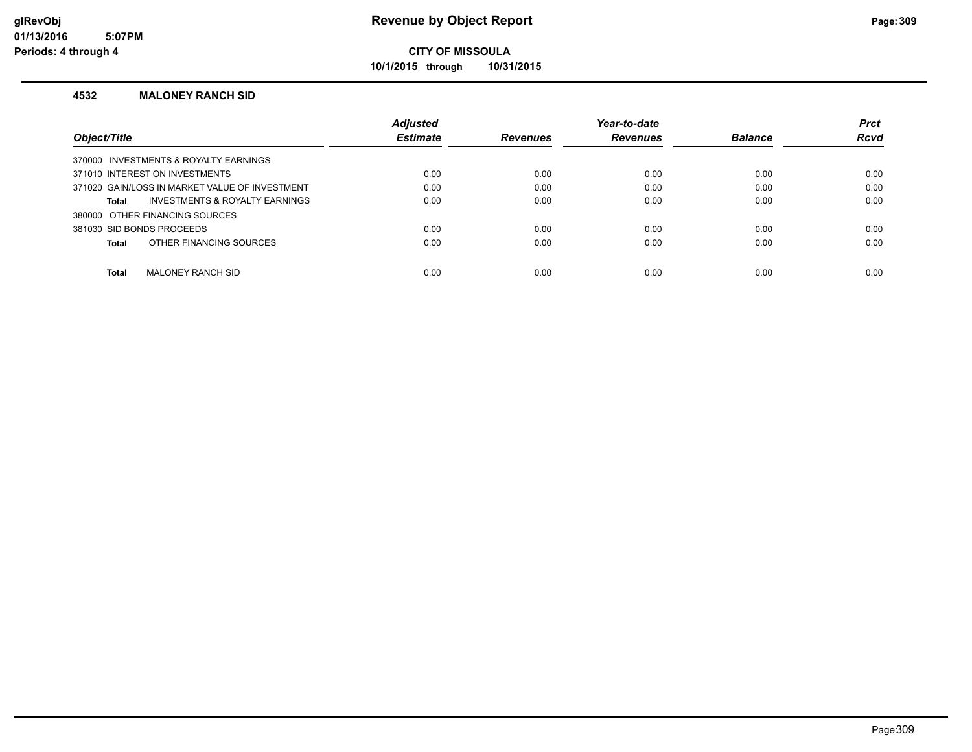**10/1/2015 through 10/31/2015**

#### **4532 MALONEY RANCH SID**

|                                                | <b>Adjusted</b> |                 | Year-to-date    |                | <b>Prct</b> |
|------------------------------------------------|-----------------|-----------------|-----------------|----------------|-------------|
| Object/Title                                   | <b>Estimate</b> | <b>Revenues</b> | <b>Revenues</b> | <b>Balance</b> | <b>Rcvd</b> |
| 370000 INVESTMENTS & ROYALTY EARNINGS          |                 |                 |                 |                |             |
| 371010 INTEREST ON INVESTMENTS                 | 0.00            | 0.00            | 0.00            | 0.00           | 0.00        |
| 371020 GAIN/LOSS IN MARKET VALUE OF INVESTMENT | 0.00            | 0.00            | 0.00            | 0.00           | 0.00        |
| INVESTMENTS & ROYALTY EARNINGS<br>Total        | 0.00            | 0.00            | 0.00            | 0.00           | 0.00        |
| 380000 OTHER FINANCING SOURCES                 |                 |                 |                 |                |             |
| 381030 SID BONDS PROCEEDS                      | 0.00            | 0.00            | 0.00            | 0.00           | 0.00        |
| OTHER FINANCING SOURCES<br>Total               | 0.00            | 0.00            | 0.00            | 0.00           | 0.00        |
|                                                |                 |                 |                 |                |             |
| <b>Total</b><br>MALONEY RANCH SID              | 0.00            | 0.00            | 0.00            | 0.00           | 0.00        |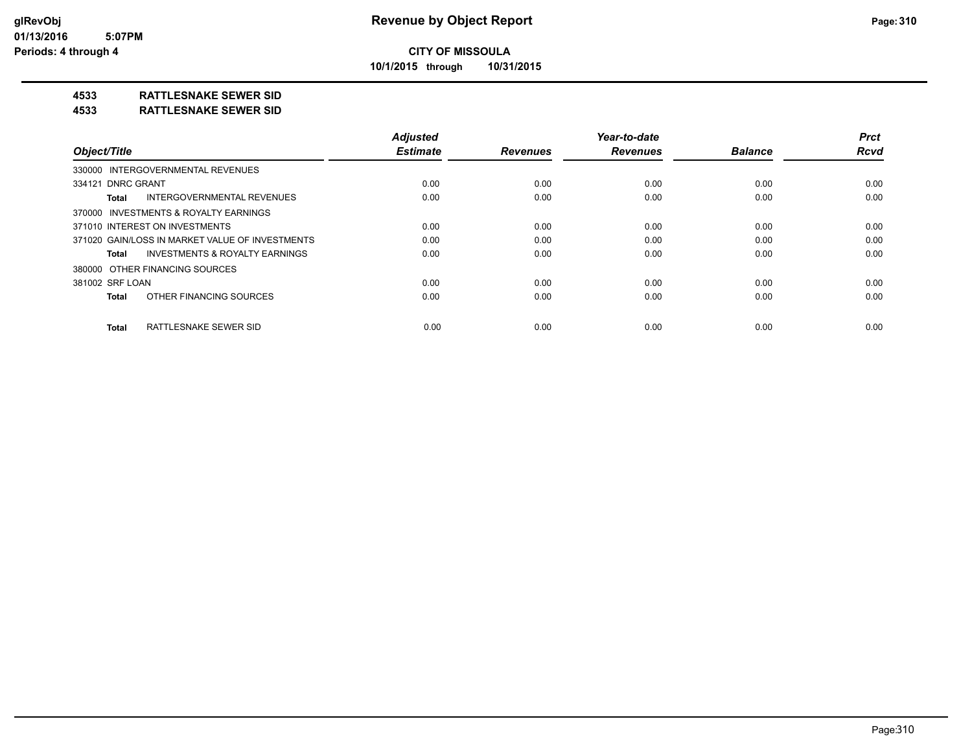**10/1/2015 through 10/31/2015**

#### **4533 RATTLESNAKE SEWER SID**

#### **4533 RATTLESNAKE SEWER SID**

|                                                    | <b>Adjusted</b> |                 | Year-to-date    |                | <b>Prct</b> |
|----------------------------------------------------|-----------------|-----------------|-----------------|----------------|-------------|
| Object/Title                                       | <b>Estimate</b> | <b>Revenues</b> | <b>Revenues</b> | <b>Balance</b> | <b>Rcvd</b> |
| 330000 INTERGOVERNMENTAL REVENUES                  |                 |                 |                 |                |             |
| 334121 DNRC GRANT                                  | 0.00            | 0.00            | 0.00            | 0.00           | 0.00        |
| INTERGOVERNMENTAL REVENUES<br>Total                | 0.00            | 0.00            | 0.00            | 0.00           | 0.00        |
| 370000 INVESTMENTS & ROYALTY EARNINGS              |                 |                 |                 |                |             |
| 371010 INTEREST ON INVESTMENTS                     | 0.00            | 0.00            | 0.00            | 0.00           | 0.00        |
| 371020 GAIN/LOSS IN MARKET VALUE OF INVESTMENTS    | 0.00            | 0.00            | 0.00            | 0.00           | 0.00        |
| <b>INVESTMENTS &amp; ROYALTY EARNINGS</b><br>Total | 0.00            | 0.00            | 0.00            | 0.00           | 0.00        |
| 380000 OTHER FINANCING SOURCES                     |                 |                 |                 |                |             |
| 381002 SRF LOAN                                    | 0.00            | 0.00            | 0.00            | 0.00           | 0.00        |
| OTHER FINANCING SOURCES<br>Total                   | 0.00            | 0.00            | 0.00            | 0.00           | 0.00        |
| RATTLESNAKE SEWER SID<br>Total                     | 0.00            | 0.00            | 0.00            | 0.00           | 0.00        |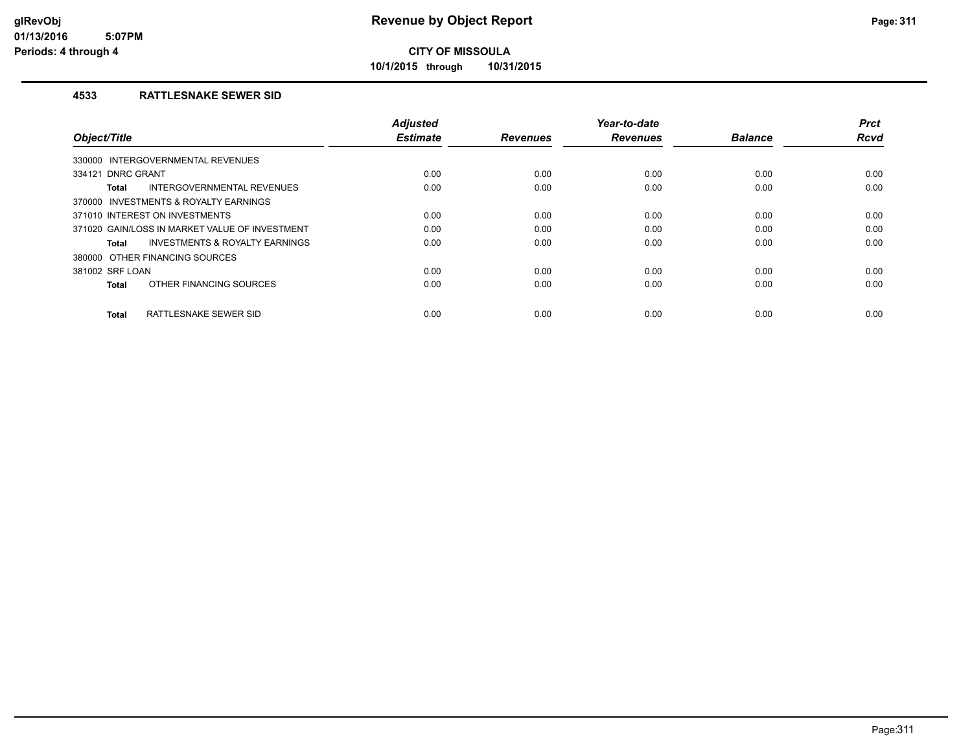**10/1/2015 through 10/31/2015**

#### **4533 RATTLESNAKE SEWER SID**

| Object/Title                                   | <b>Adjusted</b><br><b>Estimate</b> | <b>Revenues</b> | Year-to-date<br><b>Revenues</b> | <b>Balance</b> | <b>Prct</b><br><b>Rcvd</b> |
|------------------------------------------------|------------------------------------|-----------------|---------------------------------|----------------|----------------------------|
|                                                |                                    |                 |                                 |                |                            |
| 330000 INTERGOVERNMENTAL REVENUES              |                                    |                 |                                 |                |                            |
| 334121 DNRC GRANT                              | 0.00                               | 0.00            | 0.00                            | 0.00           | 0.00                       |
| INTERGOVERNMENTAL REVENUES<br><b>Total</b>     | 0.00                               | 0.00            | 0.00                            | 0.00           | 0.00                       |
| 370000 INVESTMENTS & ROYALTY EARNINGS          |                                    |                 |                                 |                |                            |
| 371010 INTEREST ON INVESTMENTS                 | 0.00                               | 0.00            | 0.00                            | 0.00           | 0.00                       |
| 371020 GAIN/LOSS IN MARKET VALUE OF INVESTMENT | 0.00                               | 0.00            | 0.00                            | 0.00           | 0.00                       |
| INVESTMENTS & ROYALTY EARNINGS<br><b>Total</b> | 0.00                               | 0.00            | 0.00                            | 0.00           | 0.00                       |
| 380000 OTHER FINANCING SOURCES                 |                                    |                 |                                 |                |                            |
| 381002 SRF LOAN                                | 0.00                               | 0.00            | 0.00                            | 0.00           | 0.00                       |
| OTHER FINANCING SOURCES<br><b>Total</b>        | 0.00                               | 0.00            | 0.00                            | 0.00           | 0.00                       |
| RATTLESNAKE SEWER SID<br><b>Total</b>          | 0.00                               | 0.00            | 0.00                            | 0.00           | 0.00                       |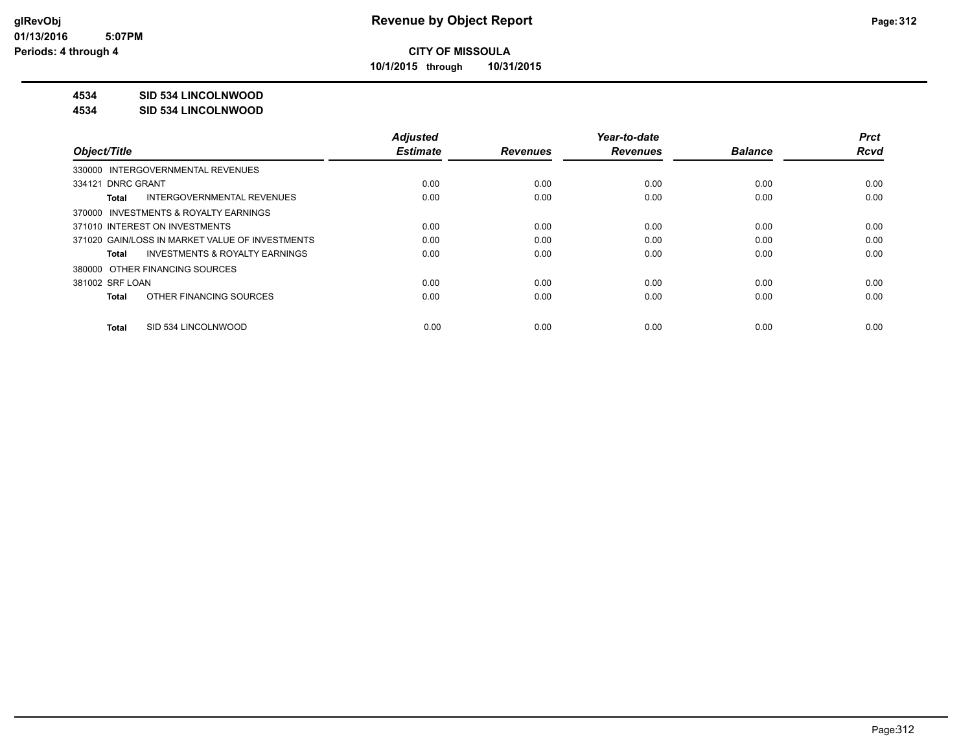**10/1/2015 through 10/31/2015**

#### **4534 SID 534 LINCOLNWOOD**

#### **4534 SID 534 LINCOLNWOOD**

|                                                    | <b>Adjusted</b> |                 | Year-to-date    |                | <b>Prct</b> |
|----------------------------------------------------|-----------------|-----------------|-----------------|----------------|-------------|
| Object/Title                                       | <b>Estimate</b> | <b>Revenues</b> | <b>Revenues</b> | <b>Balance</b> | <b>Rcvd</b> |
| 330000 INTERGOVERNMENTAL REVENUES                  |                 |                 |                 |                |             |
| 334121 DNRC GRANT                                  | 0.00            | 0.00            | 0.00            | 0.00           | 0.00        |
| INTERGOVERNMENTAL REVENUES<br>Total                | 0.00            | 0.00            | 0.00            | 0.00           | 0.00        |
| 370000 INVESTMENTS & ROYALTY EARNINGS              |                 |                 |                 |                |             |
| 371010 INTEREST ON INVESTMENTS                     | 0.00            | 0.00            | 0.00            | 0.00           | 0.00        |
| 371020 GAIN/LOSS IN MARKET VALUE OF INVESTMENTS    | 0.00            | 0.00            | 0.00            | 0.00           | 0.00        |
| <b>INVESTMENTS &amp; ROYALTY EARNINGS</b><br>Total | 0.00            | 0.00            | 0.00            | 0.00           | 0.00        |
| 380000 OTHER FINANCING SOURCES                     |                 |                 |                 |                |             |
| 381002 SRF LOAN                                    | 0.00            | 0.00            | 0.00            | 0.00           | 0.00        |
| OTHER FINANCING SOURCES<br>Total                   | 0.00            | 0.00            | 0.00            | 0.00           | 0.00        |
|                                                    |                 |                 |                 |                |             |
| SID 534 LINCOLNWOOD<br>Total                       | 0.00            | 0.00            | 0.00            | 0.00           | 0.00        |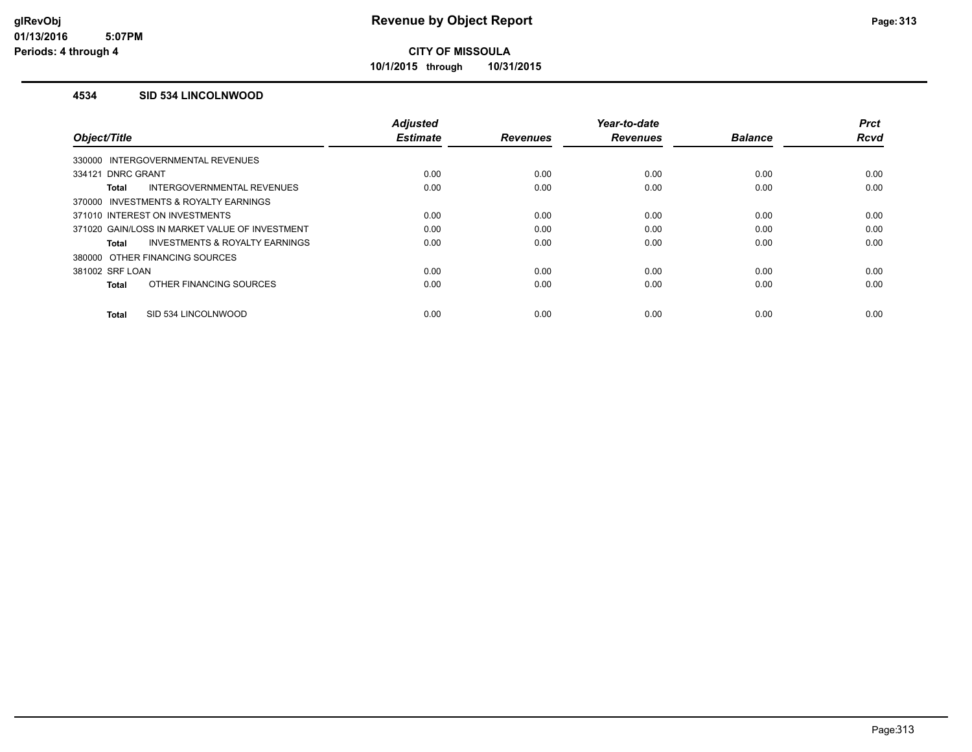**10/1/2015 through 10/31/2015**

#### **4534 SID 534 LINCOLNWOOD**

|                                                    | <b>Adjusted</b> |                 | Year-to-date    |                | <b>Prct</b> |
|----------------------------------------------------|-----------------|-----------------|-----------------|----------------|-------------|
| Object/Title                                       | <b>Estimate</b> | <b>Revenues</b> | <b>Revenues</b> | <b>Balance</b> | Rcvd        |
| 330000 INTERGOVERNMENTAL REVENUES                  |                 |                 |                 |                |             |
| 334121 DNRC GRANT                                  | 0.00            | 0.00            | 0.00            | 0.00           | 0.00        |
| <b>INTERGOVERNMENTAL REVENUES</b><br>Total         | 0.00            | 0.00            | 0.00            | 0.00           | 0.00        |
| 370000 INVESTMENTS & ROYALTY EARNINGS              |                 |                 |                 |                |             |
| 371010 INTEREST ON INVESTMENTS                     | 0.00            | 0.00            | 0.00            | 0.00           | 0.00        |
| 371020 GAIN/LOSS IN MARKET VALUE OF INVESTMENT     | 0.00            | 0.00            | 0.00            | 0.00           | 0.00        |
| <b>INVESTMENTS &amp; ROYALTY EARNINGS</b><br>Total | 0.00            | 0.00            | 0.00            | 0.00           | 0.00        |
| 380000 OTHER FINANCING SOURCES                     |                 |                 |                 |                |             |
| 381002 SRF LOAN                                    | 0.00            | 0.00            | 0.00            | 0.00           | 0.00        |
| OTHER FINANCING SOURCES<br><b>Total</b>            | 0.00            | 0.00            | 0.00            | 0.00           | 0.00        |
|                                                    |                 |                 |                 |                |             |
| SID 534 LINCOLNWOOD<br><b>Total</b>                | 0.00            | 0.00            | 0.00            | 0.00           | 0.00        |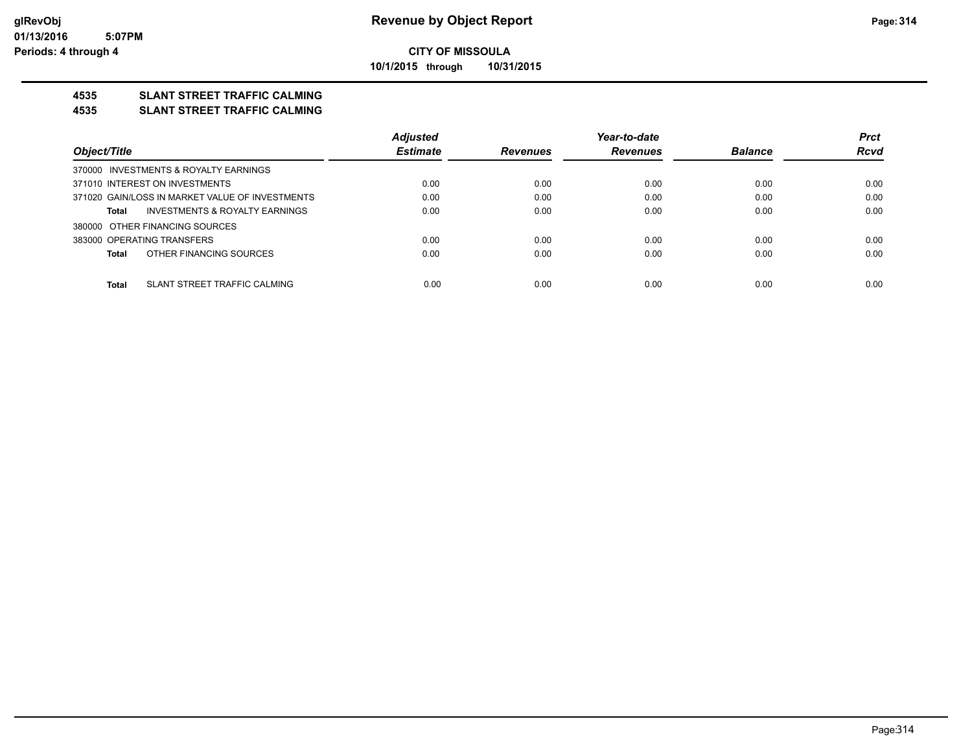**10/1/2015 through 10/31/2015**

### **4535 SLANT STREET TRAFFIC CALMING**

#### **4535 SLANT STREET TRAFFIC CALMING**

|                                                 | <b>Adjusted</b> |                 | Year-to-date    |                | <b>Prct</b> |
|-------------------------------------------------|-----------------|-----------------|-----------------|----------------|-------------|
| Object/Title                                    | <b>Estimate</b> | <b>Revenues</b> | <b>Revenues</b> | <b>Balance</b> | <b>Rcvd</b> |
| 370000 INVESTMENTS & ROYALTY EARNINGS           |                 |                 |                 |                |             |
| 371010 INTEREST ON INVESTMENTS                  | 0.00            | 0.00            | 0.00            | 0.00           | 0.00        |
| 371020 GAIN/LOSS IN MARKET VALUE OF INVESTMENTS | 0.00            | 0.00            | 0.00            | 0.00           | 0.00        |
| INVESTMENTS & ROYALTY EARNINGS<br>Total         | 0.00            | 0.00            | 0.00            | 0.00           | 0.00        |
| 380000 OTHER FINANCING SOURCES                  |                 |                 |                 |                |             |
| 383000 OPERATING TRANSFERS                      | 0.00            | 0.00            | 0.00            | 0.00           | 0.00        |
| OTHER FINANCING SOURCES<br>Total                | 0.00            | 0.00            | 0.00            | 0.00           | 0.00        |
|                                                 |                 |                 |                 |                |             |
| SLANT STREET TRAFFIC CALMING<br>Total           | 0.00            | 0.00            | 0.00            | 0.00           | 0.00        |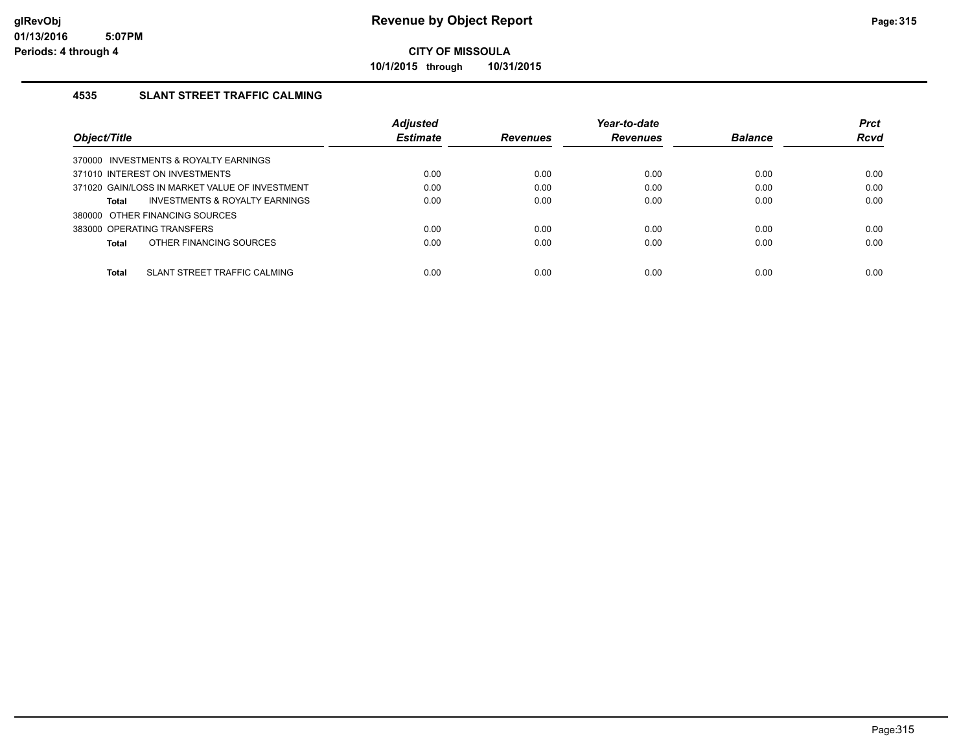**10/1/2015 through 10/31/2015**

#### **4535 SLANT STREET TRAFFIC CALMING**

|                                                           | <b>Adjusted</b> |                 | Year-to-date    |                | <b>Prct</b> |
|-----------------------------------------------------------|-----------------|-----------------|-----------------|----------------|-------------|
| Object/Title                                              | <b>Estimate</b> | <b>Revenues</b> | <b>Revenues</b> | <b>Balance</b> | <b>Rcvd</b> |
| 370000 INVESTMENTS & ROYALTY EARNINGS                     |                 |                 |                 |                |             |
| 371010 INTEREST ON INVESTMENTS                            | 0.00            | 0.00            | 0.00            | 0.00           | 0.00        |
| 371020 GAIN/LOSS IN MARKET VALUE OF INVESTMENT            | 0.00            | 0.00            | 0.00            | 0.00           | 0.00        |
| <b>INVESTMENTS &amp; ROYALTY EARNINGS</b><br><b>Total</b> | 0.00            | 0.00            | 0.00            | 0.00           | 0.00        |
| 380000 OTHER FINANCING SOURCES                            |                 |                 |                 |                |             |
| 383000 OPERATING TRANSFERS                                | 0.00            | 0.00            | 0.00            | 0.00           | 0.00        |
| OTHER FINANCING SOURCES<br><b>Total</b>                   | 0.00            | 0.00            | 0.00            | 0.00           | 0.00        |
|                                                           |                 |                 |                 |                |             |
| SLANT STREET TRAFFIC CALMING<br><b>Total</b>              | 0.00            | 0.00            | 0.00            | 0.00           | 0.00        |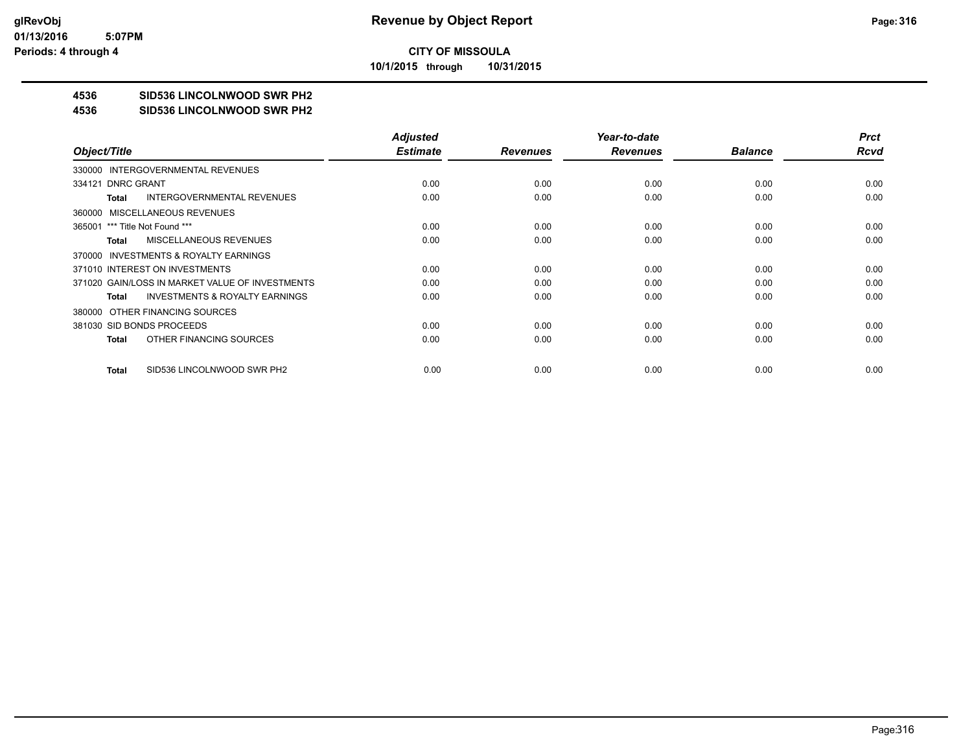**10/1/2015 through 10/31/2015**

## **4536 SID536 LINCOLNWOOD SWR PH2**

#### **4536 SID536 LINCOLNWOOD SWR PH2**

|                                                    | <b>Adjusted</b> |                 | Year-to-date    |                | <b>Prct</b> |
|----------------------------------------------------|-----------------|-----------------|-----------------|----------------|-------------|
| Object/Title                                       | <b>Estimate</b> | <b>Revenues</b> | <b>Revenues</b> | <b>Balance</b> | Rcvd        |
| 330000 INTERGOVERNMENTAL REVENUES                  |                 |                 |                 |                |             |
| 334121 DNRC GRANT                                  | 0.00            | 0.00            | 0.00            | 0.00           | 0.00        |
| <b>INTERGOVERNMENTAL REVENUES</b><br>Total         | 0.00            | 0.00            | 0.00            | 0.00           | 0.00        |
| 360000 MISCELLANEOUS REVENUES                      |                 |                 |                 |                |             |
| 365001 *** Title Not Found ***                     | 0.00            | 0.00            | 0.00            | 0.00           | 0.00        |
| MISCELLANEOUS REVENUES<br>Total                    | 0.00            | 0.00            | 0.00            | 0.00           | 0.00        |
| 370000 INVESTMENTS & ROYALTY EARNINGS              |                 |                 |                 |                |             |
| 371010 INTEREST ON INVESTMENTS                     | 0.00            | 0.00            | 0.00            | 0.00           | 0.00        |
| 371020 GAIN/LOSS IN MARKET VALUE OF INVESTMENTS    | 0.00            | 0.00            | 0.00            | 0.00           | 0.00        |
| <b>INVESTMENTS &amp; ROYALTY EARNINGS</b><br>Total | 0.00            | 0.00            | 0.00            | 0.00           | 0.00        |
| 380000 OTHER FINANCING SOURCES                     |                 |                 |                 |                |             |
| 381030 SID BONDS PROCEEDS                          | 0.00            | 0.00            | 0.00            | 0.00           | 0.00        |
| OTHER FINANCING SOURCES<br>Total                   | 0.00            | 0.00            | 0.00            | 0.00           | 0.00        |
|                                                    |                 |                 |                 |                |             |
| SID536 LINCOLNWOOD SWR PH2<br>Total                | 0.00            | 0.00            | 0.00            | 0.00           | 0.00        |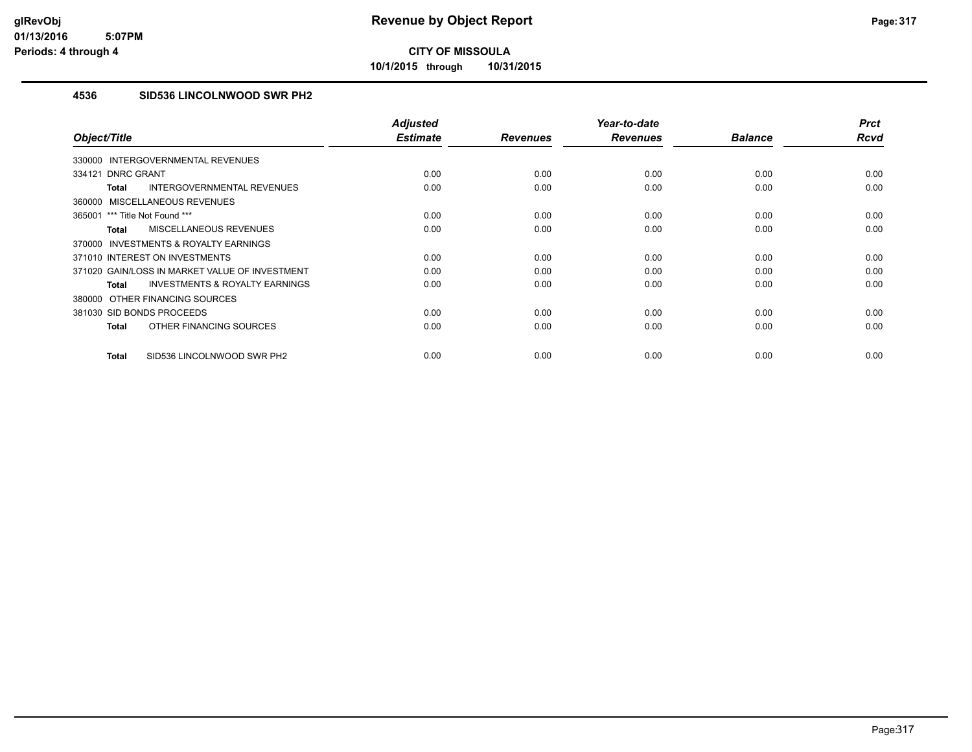**10/1/2015 through 10/31/2015**

#### **4536 SID536 LINCOLNWOOD SWR PH2**

| Object/Title                                              | <b>Adjusted</b><br><b>Estimate</b> | <b>Revenues</b> | Year-to-date<br><b>Revenues</b> | <b>Balance</b> | <b>Prct</b><br><b>Rcvd</b> |
|-----------------------------------------------------------|------------------------------------|-----------------|---------------------------------|----------------|----------------------------|
| INTERGOVERNMENTAL REVENUES<br>330000                      |                                    |                 |                                 |                |                            |
| 334121 DNRC GRANT                                         | 0.00                               | 0.00            | 0.00                            | 0.00           | 0.00                       |
| INTERGOVERNMENTAL REVENUES<br><b>Total</b>                | 0.00                               | 0.00            | 0.00                            | 0.00           | 0.00                       |
| MISCELLANEOUS REVENUES<br>360000                          |                                    |                 |                                 |                |                            |
| 365001 *** Title Not Found ***                            | 0.00                               | 0.00            | 0.00                            | 0.00           | 0.00                       |
| MISCELLANEOUS REVENUES<br><b>Total</b>                    | 0.00                               | 0.00            | 0.00                            | 0.00           | 0.00                       |
| <b>INVESTMENTS &amp; ROYALTY EARNINGS</b><br>370000       |                                    |                 |                                 |                |                            |
| 371010 INTEREST ON INVESTMENTS                            | 0.00                               | 0.00            | 0.00                            | 0.00           | 0.00                       |
| 371020 GAIN/LOSS IN MARKET VALUE OF INVESTMENT            | 0.00                               | 0.00            | 0.00                            | 0.00           | 0.00                       |
| <b>INVESTMENTS &amp; ROYALTY EARNINGS</b><br><b>Total</b> | 0.00                               | 0.00            | 0.00                            | 0.00           | 0.00                       |
| 380000 OTHER FINANCING SOURCES                            |                                    |                 |                                 |                |                            |
| 381030 SID BONDS PROCEEDS                                 | 0.00                               | 0.00            | 0.00                            | 0.00           | 0.00                       |
| OTHER FINANCING SOURCES<br><b>Total</b>                   | 0.00                               | 0.00            | 0.00                            | 0.00           | 0.00                       |
| SID536 LINCOLNWOOD SWR PH2<br><b>Total</b>                | 0.00                               | 0.00            | 0.00                            | 0.00           | 0.00                       |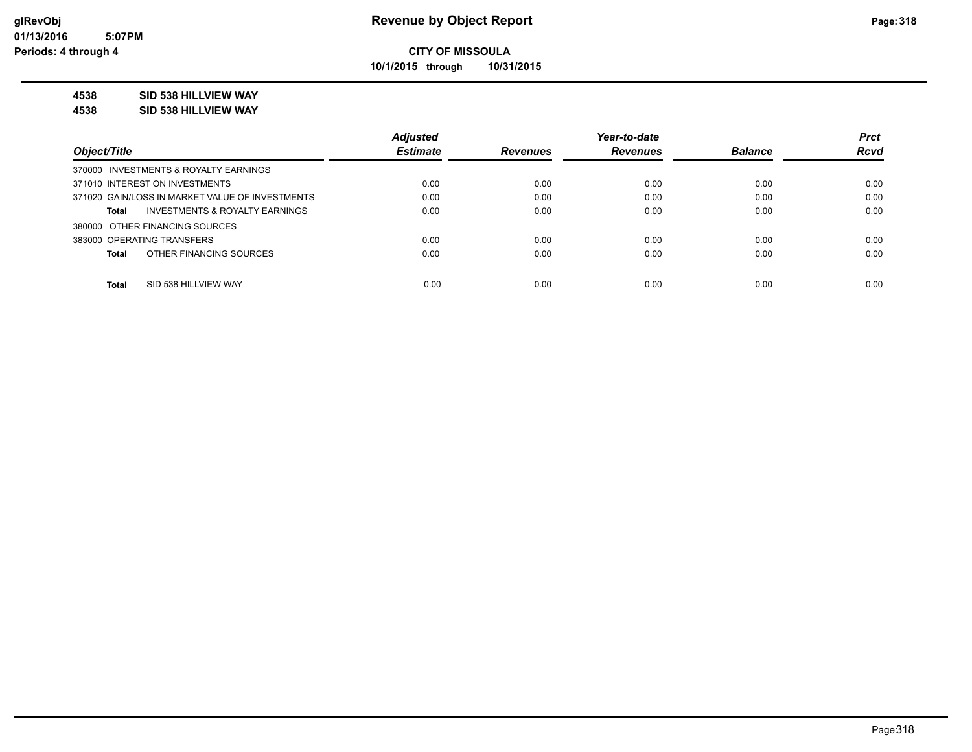**10/1/2015 through 10/31/2015**

#### **4538 SID 538 HILLVIEW WAY**

**4538 SID 538 HILLVIEW WAY**

|                                                    | <b>Adjusted</b> |                 | Year-to-date    |                | <b>Prct</b> |
|----------------------------------------------------|-----------------|-----------------|-----------------|----------------|-------------|
| Object/Title                                       | <b>Estimate</b> | <b>Revenues</b> | <b>Revenues</b> | <b>Balance</b> | <b>Rcvd</b> |
| 370000 INVESTMENTS & ROYALTY EARNINGS              |                 |                 |                 |                |             |
| 371010 INTEREST ON INVESTMENTS                     | 0.00            | 0.00            | 0.00            | 0.00           | 0.00        |
| 371020 GAIN/LOSS IN MARKET VALUE OF INVESTMENTS    | 0.00            | 0.00            | 0.00            | 0.00           | 0.00        |
| <b>INVESTMENTS &amp; ROYALTY EARNINGS</b><br>Total | 0.00            | 0.00            | 0.00            | 0.00           | 0.00        |
| 380000 OTHER FINANCING SOURCES                     |                 |                 |                 |                |             |
| 383000 OPERATING TRANSFERS                         | 0.00            | 0.00            | 0.00            | 0.00           | 0.00        |
| OTHER FINANCING SOURCES<br><b>Total</b>            | 0.00            | 0.00            | 0.00            | 0.00           | 0.00        |
|                                                    |                 |                 |                 |                |             |
| <b>Total</b><br>SID 538 HILLVIEW WAY               | 0.00            | 0.00            | 0.00            | 0.00           | 0.00        |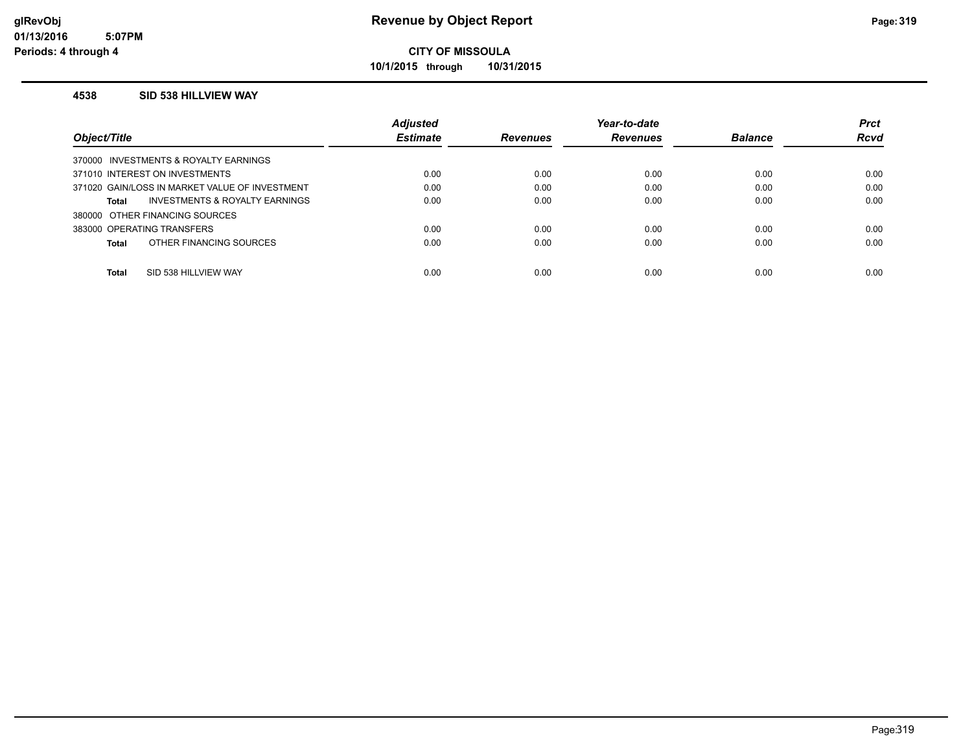**10/1/2015 through 10/31/2015**

#### **4538 SID 538 HILLVIEW WAY**

|                                                | <b>Adjusted</b> |                 | Year-to-date    |                | <b>Prct</b> |
|------------------------------------------------|-----------------|-----------------|-----------------|----------------|-------------|
| Object/Title                                   | <b>Estimate</b> | <b>Revenues</b> | <b>Revenues</b> | <b>Balance</b> | <b>Rcvd</b> |
| 370000 INVESTMENTS & ROYALTY EARNINGS          |                 |                 |                 |                |             |
| 371010 INTEREST ON INVESTMENTS                 | 0.00            | 0.00            | 0.00            | 0.00           | 0.00        |
| 371020 GAIN/LOSS IN MARKET VALUE OF INVESTMENT | 0.00            | 0.00            | 0.00            | 0.00           | 0.00        |
| INVESTMENTS & ROYALTY EARNINGS<br>Total        | 0.00            | 0.00            | 0.00            | 0.00           | 0.00        |
| 380000 OTHER FINANCING SOURCES                 |                 |                 |                 |                |             |
| 383000 OPERATING TRANSFERS                     | 0.00            | 0.00            | 0.00            | 0.00           | 0.00        |
| OTHER FINANCING SOURCES<br>Total               | 0.00            | 0.00            | 0.00            | 0.00           | 0.00        |
|                                                |                 |                 |                 |                |             |
| <b>Total</b><br>SID 538 HILLVIEW WAY           | 0.00            | 0.00            | 0.00            | 0.00           | 0.00        |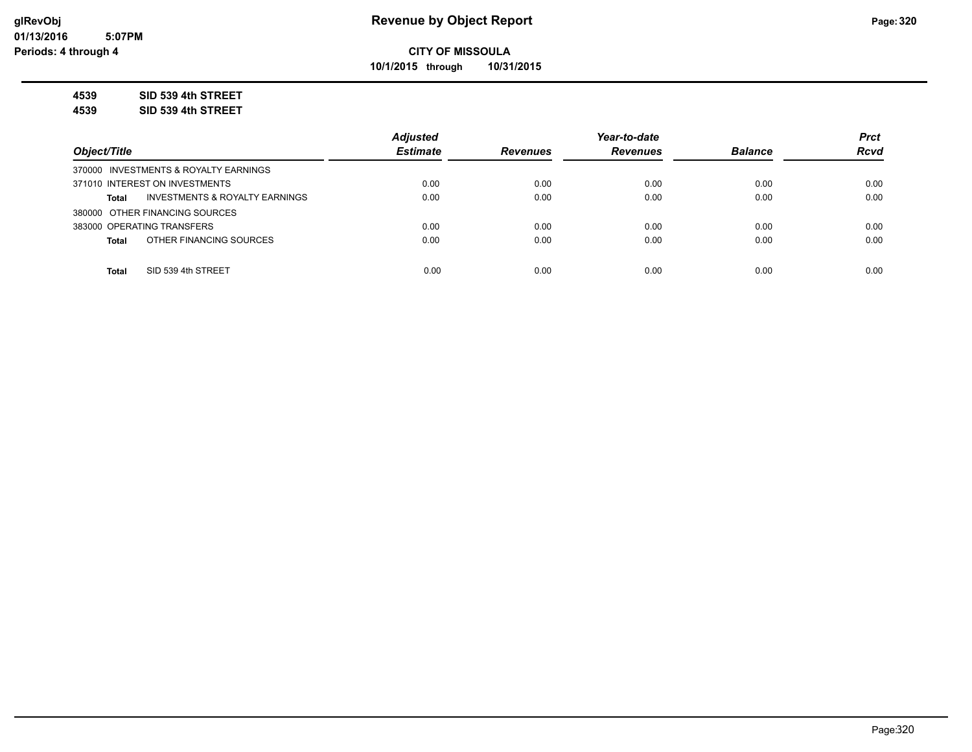**10/1/2015 through 10/31/2015**

**4539 SID 539 4th STREET**

**4539 SID 539 4th STREET**

|                                                           | <b>Adiusted</b> |                 | Year-to-date    |                | <b>Prct</b> |
|-----------------------------------------------------------|-----------------|-----------------|-----------------|----------------|-------------|
| Object/Title                                              | <b>Estimate</b> | <b>Revenues</b> | <b>Revenues</b> | <b>Balance</b> | <b>Rcvd</b> |
| 370000 INVESTMENTS & ROYALTY EARNINGS                     |                 |                 |                 |                |             |
| 371010 INTEREST ON INVESTMENTS                            | 0.00            | 0.00            | 0.00            | 0.00           | 0.00        |
| <b>INVESTMENTS &amp; ROYALTY EARNINGS</b><br><b>Total</b> | 0.00            | 0.00            | 0.00            | 0.00           | 0.00        |
| 380000 OTHER FINANCING SOURCES                            |                 |                 |                 |                |             |
| 383000 OPERATING TRANSFERS                                | 0.00            | 0.00            | 0.00            | 0.00           | 0.00        |
| OTHER FINANCING SOURCES<br><b>Total</b>                   | 0.00            | 0.00            | 0.00            | 0.00           | 0.00        |
|                                                           |                 |                 |                 |                |             |
| SID 539 4th STREET<br><b>Total</b>                        | 0.00            | 0.00            | 0.00            | 0.00           | 0.00        |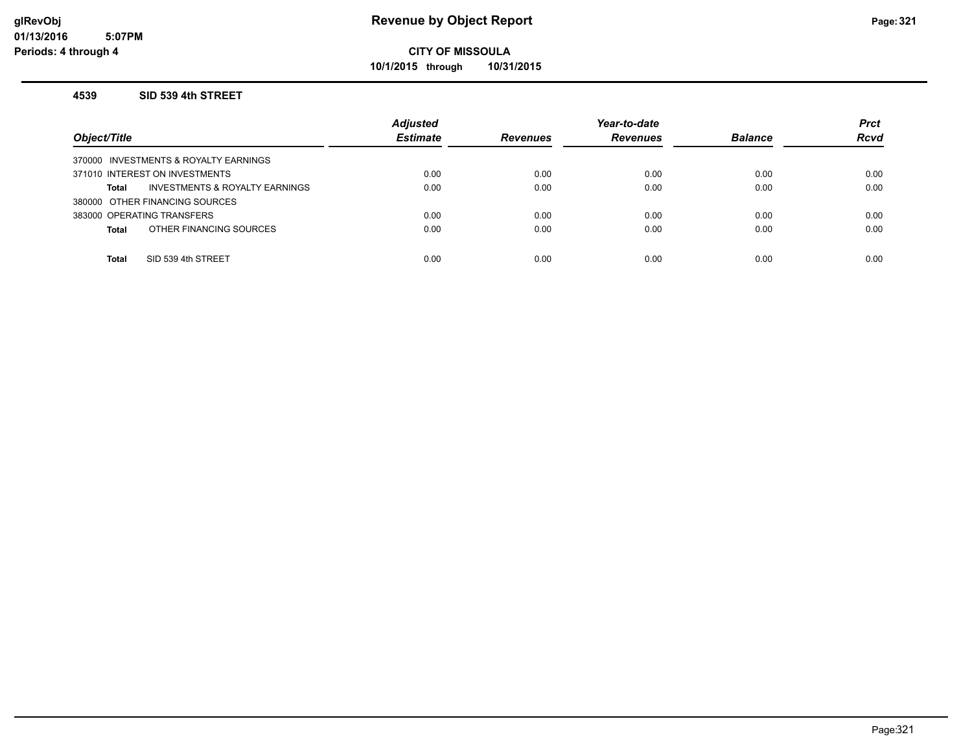**10/1/2015 through 10/31/2015**

#### **4539 SID 539 4th STREET**

| Object/Title                                   | <b>Adjusted</b><br><b>Estimate</b> | <b>Revenues</b> | Year-to-date<br><b>Revenues</b> | <b>Balance</b> | <b>Prct</b><br><b>Rcvd</b> |
|------------------------------------------------|------------------------------------|-----------------|---------------------------------|----------------|----------------------------|
| 370000 INVESTMENTS & ROYALTY EARNINGS          |                                    |                 |                                 |                |                            |
| 371010 INTEREST ON INVESTMENTS                 | 0.00                               | 0.00            | 0.00                            | 0.00           | 0.00                       |
| INVESTMENTS & ROYALTY EARNINGS<br><b>Total</b> | 0.00                               | 0.00            | 0.00                            | 0.00           | 0.00                       |
| 380000 OTHER FINANCING SOURCES                 |                                    |                 |                                 |                |                            |
| 383000 OPERATING TRANSFERS                     | 0.00                               | 0.00            | 0.00                            | 0.00           | 0.00                       |
| OTHER FINANCING SOURCES<br><b>Total</b>        | 0.00                               | 0.00            | 0.00                            | 0.00           | 0.00                       |
|                                                |                                    |                 |                                 |                |                            |
| SID 539 4th STREET<br><b>Total</b>             | 0.00                               | 0.00            | 0.00                            | 0.00           | 0.00                       |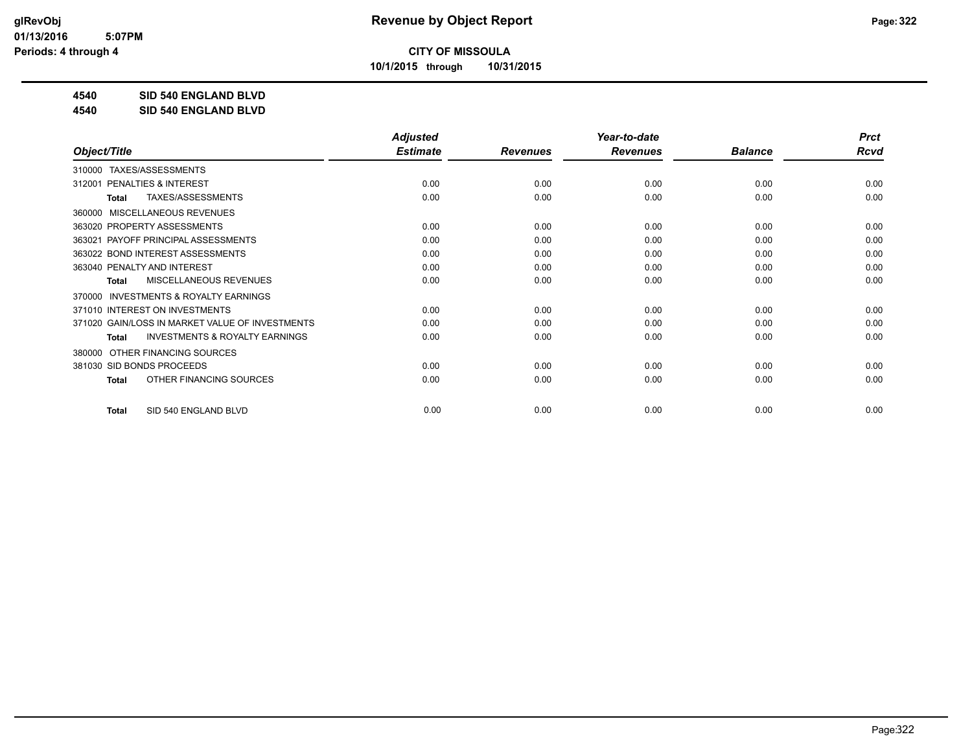**10/1/2015 through 10/31/2015**

**4540 SID 540 ENGLAND BLVD**

**4540 SID 540 ENGLAND BLVD**

|                                                           | <b>Adjusted</b> |                 | Year-to-date    |                | <b>Prct</b> |
|-----------------------------------------------------------|-----------------|-----------------|-----------------|----------------|-------------|
| Object/Title                                              | <b>Estimate</b> | <b>Revenues</b> | <b>Revenues</b> | <b>Balance</b> | <b>Rcvd</b> |
| TAXES/ASSESSMENTS<br>310000                               |                 |                 |                 |                |             |
| <b>PENALTIES &amp; INTEREST</b><br>312001                 | 0.00            | 0.00            | 0.00            | 0.00           | 0.00        |
| TAXES/ASSESSMENTS<br><b>Total</b>                         | 0.00            | 0.00            | 0.00            | 0.00           | 0.00        |
| MISCELLANEOUS REVENUES<br>360000                          |                 |                 |                 |                |             |
| 363020 PROPERTY ASSESSMENTS                               | 0.00            | 0.00            | 0.00            | 0.00           | 0.00        |
| PAYOFF PRINCIPAL ASSESSMENTS<br>363021                    | 0.00            | 0.00            | 0.00            | 0.00           | 0.00        |
| 363022 BOND INTEREST ASSESSMENTS                          | 0.00            | 0.00            | 0.00            | 0.00           | 0.00        |
| 363040 PENALTY AND INTEREST                               | 0.00            | 0.00            | 0.00            | 0.00           | 0.00        |
| <b>MISCELLANEOUS REVENUES</b><br><b>Total</b>             | 0.00            | 0.00            | 0.00            | 0.00           | 0.00        |
| <b>INVESTMENTS &amp; ROYALTY EARNINGS</b><br>370000       |                 |                 |                 |                |             |
| 371010 INTEREST ON INVESTMENTS                            | 0.00            | 0.00            | 0.00            | 0.00           | 0.00        |
| 371020 GAIN/LOSS IN MARKET VALUE OF INVESTMENTS           | 0.00            | 0.00            | 0.00            | 0.00           | 0.00        |
| <b>INVESTMENTS &amp; ROYALTY EARNINGS</b><br><b>Total</b> | 0.00            | 0.00            | 0.00            | 0.00           | 0.00        |
| OTHER FINANCING SOURCES<br>380000                         |                 |                 |                 |                |             |
| 381030 SID BONDS PROCEEDS                                 | 0.00            | 0.00            | 0.00            | 0.00           | 0.00        |
| OTHER FINANCING SOURCES<br><b>Total</b>                   | 0.00            | 0.00            | 0.00            | 0.00           | 0.00        |
|                                                           |                 |                 |                 |                |             |
| SID 540 ENGLAND BLVD<br><b>Total</b>                      | 0.00            | 0.00            | 0.00            | 0.00           | 0.00        |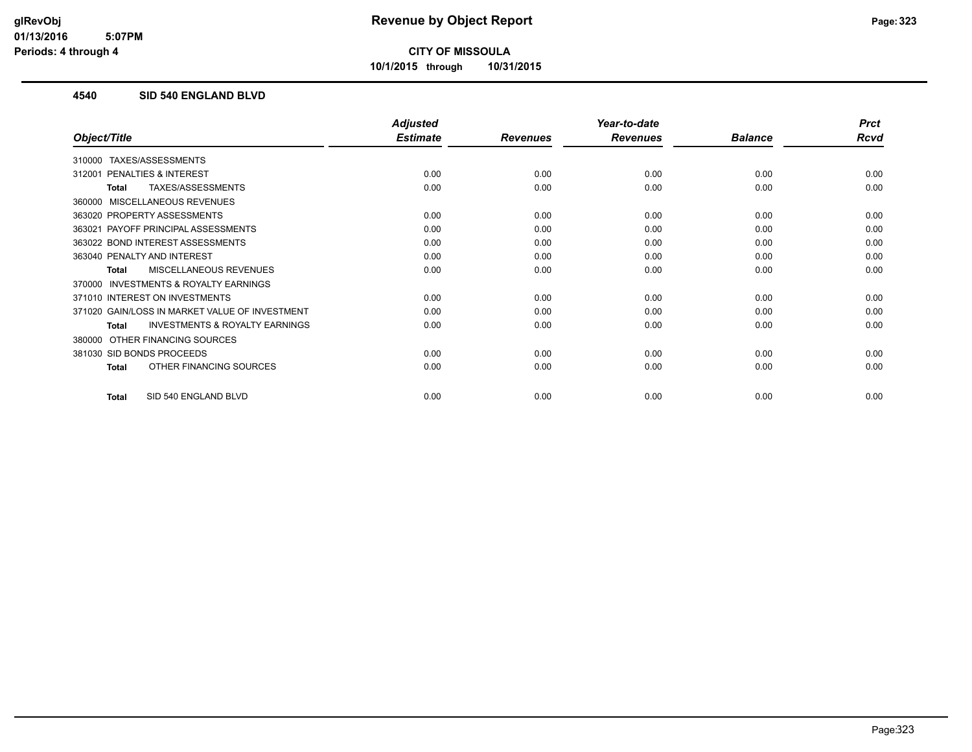**10/1/2015 through 10/31/2015**

#### **4540 SID 540 ENGLAND BLVD**

|                                                           | <b>Adjusted</b> |                 | Year-to-date    |                | <b>Prct</b> |
|-----------------------------------------------------------|-----------------|-----------------|-----------------|----------------|-------------|
| Object/Title                                              | <b>Estimate</b> | <b>Revenues</b> | <b>Revenues</b> | <b>Balance</b> | <b>Rcvd</b> |
| TAXES/ASSESSMENTS<br>310000                               |                 |                 |                 |                |             |
| 312001 PENALTIES & INTEREST                               | 0.00            | 0.00            | 0.00            | 0.00           | 0.00        |
| TAXES/ASSESSMENTS<br><b>Total</b>                         | 0.00            | 0.00            | 0.00            | 0.00           | 0.00        |
| <b>MISCELLANEOUS REVENUES</b><br>360000                   |                 |                 |                 |                |             |
| 363020 PROPERTY ASSESSMENTS                               | 0.00            | 0.00            | 0.00            | 0.00           | 0.00        |
| 363021 PAYOFF PRINCIPAL ASSESSMENTS                       | 0.00            | 0.00            | 0.00            | 0.00           | 0.00        |
| 363022 BOND INTEREST ASSESSMENTS                          | 0.00            | 0.00            | 0.00            | 0.00           | 0.00        |
| 363040 PENALTY AND INTEREST                               | 0.00            | 0.00            | 0.00            | 0.00           | 0.00        |
| MISCELLANEOUS REVENUES<br><b>Total</b>                    | 0.00            | 0.00            | 0.00            | 0.00           | 0.00        |
| <b>INVESTMENTS &amp; ROYALTY EARNINGS</b><br>370000       |                 |                 |                 |                |             |
| 371010 INTEREST ON INVESTMENTS                            | 0.00            | 0.00            | 0.00            | 0.00           | 0.00        |
| 371020 GAIN/LOSS IN MARKET VALUE OF INVESTMENT            | 0.00            | 0.00            | 0.00            | 0.00           | 0.00        |
| <b>INVESTMENTS &amp; ROYALTY EARNINGS</b><br><b>Total</b> | 0.00            | 0.00            | 0.00            | 0.00           | 0.00        |
| OTHER FINANCING SOURCES<br>380000                         |                 |                 |                 |                |             |
| 381030 SID BONDS PROCEEDS                                 | 0.00            | 0.00            | 0.00            | 0.00           | 0.00        |
| OTHER FINANCING SOURCES<br><b>Total</b>                   | 0.00            | 0.00            | 0.00            | 0.00           | 0.00        |
| SID 540 ENGLAND BLVD<br><b>Total</b>                      | 0.00            | 0.00            | 0.00            | 0.00           | 0.00        |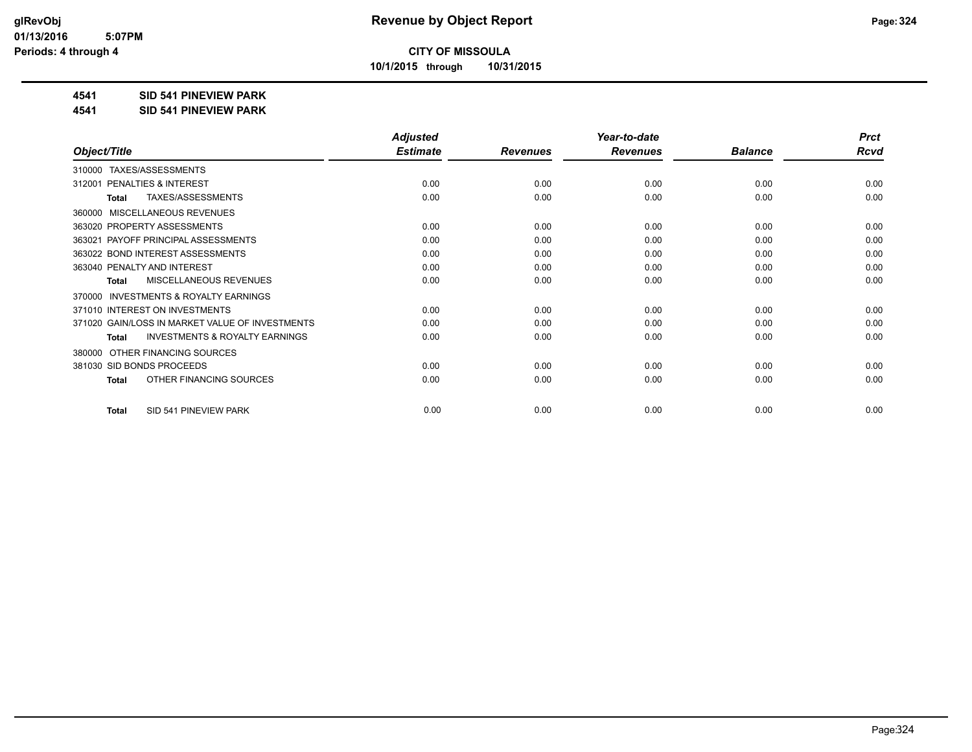**10/1/2015 through 10/31/2015**

#### **4541 SID 541 PINEVIEW PARK**

**4541 SID 541 PINEVIEW PARK**

|                                                     | <b>Adjusted</b> |                 | Year-to-date    |                | <b>Prct</b> |
|-----------------------------------------------------|-----------------|-----------------|-----------------|----------------|-------------|
| Object/Title                                        | <b>Estimate</b> | <b>Revenues</b> | <b>Revenues</b> | <b>Balance</b> | <b>Rcvd</b> |
| TAXES/ASSESSMENTS<br>310000                         |                 |                 |                 |                |             |
| PENALTIES & INTEREST<br>312001                      | 0.00            | 0.00            | 0.00            | 0.00           | 0.00        |
| TAXES/ASSESSMENTS<br><b>Total</b>                   | 0.00            | 0.00            | 0.00            | 0.00           | 0.00        |
| MISCELLANEOUS REVENUES<br>360000                    |                 |                 |                 |                |             |
| 363020 PROPERTY ASSESSMENTS                         | 0.00            | 0.00            | 0.00            | 0.00           | 0.00        |
| PAYOFF PRINCIPAL ASSESSMENTS<br>363021              | 0.00            | 0.00            | 0.00            | 0.00           | 0.00        |
| 363022 BOND INTEREST ASSESSMENTS                    | 0.00            | 0.00            | 0.00            | 0.00           | 0.00        |
| 363040 PENALTY AND INTEREST                         | 0.00            | 0.00            | 0.00            | 0.00           | 0.00        |
| <b>MISCELLANEOUS REVENUES</b><br>Total              | 0.00            | 0.00            | 0.00            | 0.00           | 0.00        |
| <b>INVESTMENTS &amp; ROYALTY EARNINGS</b><br>370000 |                 |                 |                 |                |             |
| 371010 INTEREST ON INVESTMENTS                      | 0.00            | 0.00            | 0.00            | 0.00           | 0.00        |
| 371020 GAIN/LOSS IN MARKET VALUE OF INVESTMENTS     | 0.00            | 0.00            | 0.00            | 0.00           | 0.00        |
| <b>INVESTMENTS &amp; ROYALTY EARNINGS</b><br>Total  | 0.00            | 0.00            | 0.00            | 0.00           | 0.00        |
| OTHER FINANCING SOURCES<br>380000                   |                 |                 |                 |                |             |
| 381030 SID BONDS PROCEEDS                           | 0.00            | 0.00            | 0.00            | 0.00           | 0.00        |
| OTHER FINANCING SOURCES<br><b>Total</b>             | 0.00            | 0.00            | 0.00            | 0.00           | 0.00        |
| SID 541 PINEVIEW PARK<br><b>Total</b>               | 0.00            | 0.00            | 0.00            | 0.00           | 0.00        |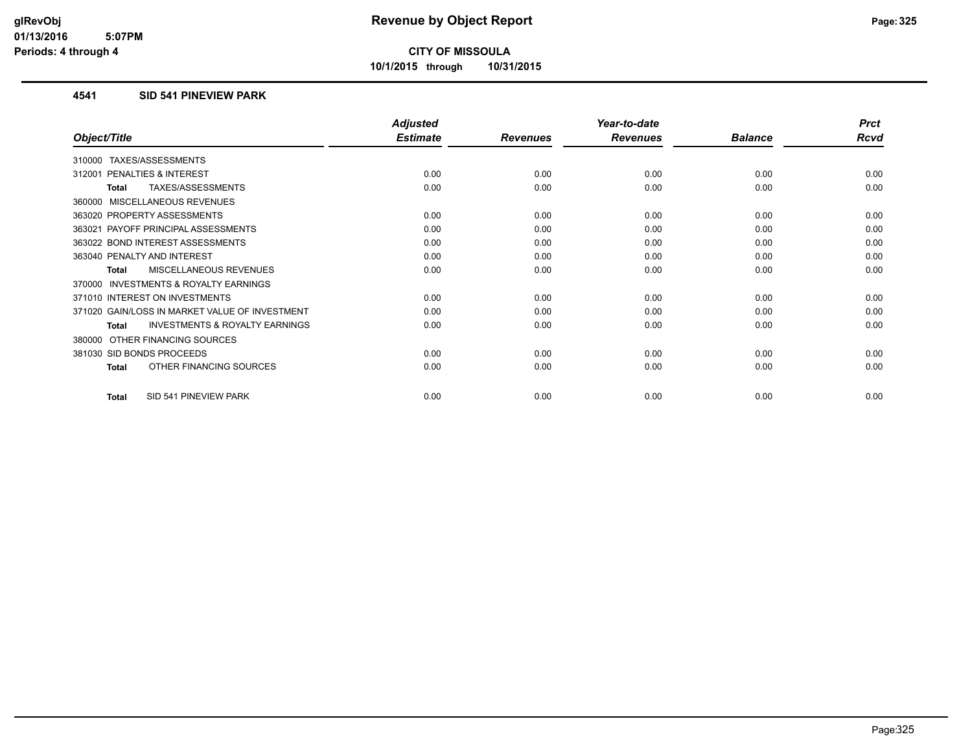**10/1/2015 through 10/31/2015**

### **4541 SID 541 PINEVIEW PARK**

|                                                           | <b>Adjusted</b> |                 | Year-to-date    |                | <b>Prct</b> |
|-----------------------------------------------------------|-----------------|-----------------|-----------------|----------------|-------------|
| Object/Title                                              | <b>Estimate</b> | <b>Revenues</b> | <b>Revenues</b> | <b>Balance</b> | <b>Rcvd</b> |
| <b>TAXES/ASSESSMENTS</b><br>310000                        |                 |                 |                 |                |             |
| 312001 PENALTIES & INTEREST                               | 0.00            | 0.00            | 0.00            | 0.00           | 0.00        |
| TAXES/ASSESSMENTS<br><b>Total</b>                         | 0.00            | 0.00            | 0.00            | 0.00           | 0.00        |
| 360000 MISCELLANEOUS REVENUES                             |                 |                 |                 |                |             |
| 363020 PROPERTY ASSESSMENTS                               | 0.00            | 0.00            | 0.00            | 0.00           | 0.00        |
| 363021 PAYOFF PRINCIPAL ASSESSMENTS                       | 0.00            | 0.00            | 0.00            | 0.00           | 0.00        |
| 363022 BOND INTEREST ASSESSMENTS                          | 0.00            | 0.00            | 0.00            | 0.00           | 0.00        |
| 363040 PENALTY AND INTEREST                               | 0.00            | 0.00            | 0.00            | 0.00           | 0.00        |
| <b>MISCELLANEOUS REVENUES</b><br><b>Total</b>             | 0.00            | 0.00            | 0.00            | 0.00           | 0.00        |
| 370000 INVESTMENTS & ROYALTY EARNINGS                     |                 |                 |                 |                |             |
| 371010 INTEREST ON INVESTMENTS                            | 0.00            | 0.00            | 0.00            | 0.00           | 0.00        |
| 371020 GAIN/LOSS IN MARKET VALUE OF INVESTMENT            | 0.00            | 0.00            | 0.00            | 0.00           | 0.00        |
| <b>INVESTMENTS &amp; ROYALTY EARNINGS</b><br><b>Total</b> | 0.00            | 0.00            | 0.00            | 0.00           | 0.00        |
| OTHER FINANCING SOURCES<br>380000                         |                 |                 |                 |                |             |
| 381030 SID BONDS PROCEEDS                                 | 0.00            | 0.00            | 0.00            | 0.00           | 0.00        |
| OTHER FINANCING SOURCES<br>Total                          | 0.00            | 0.00            | 0.00            | 0.00           | 0.00        |
| SID 541 PINEVIEW PARK<br><b>Total</b>                     | 0.00            | 0.00            | 0.00            | 0.00           | 0.00        |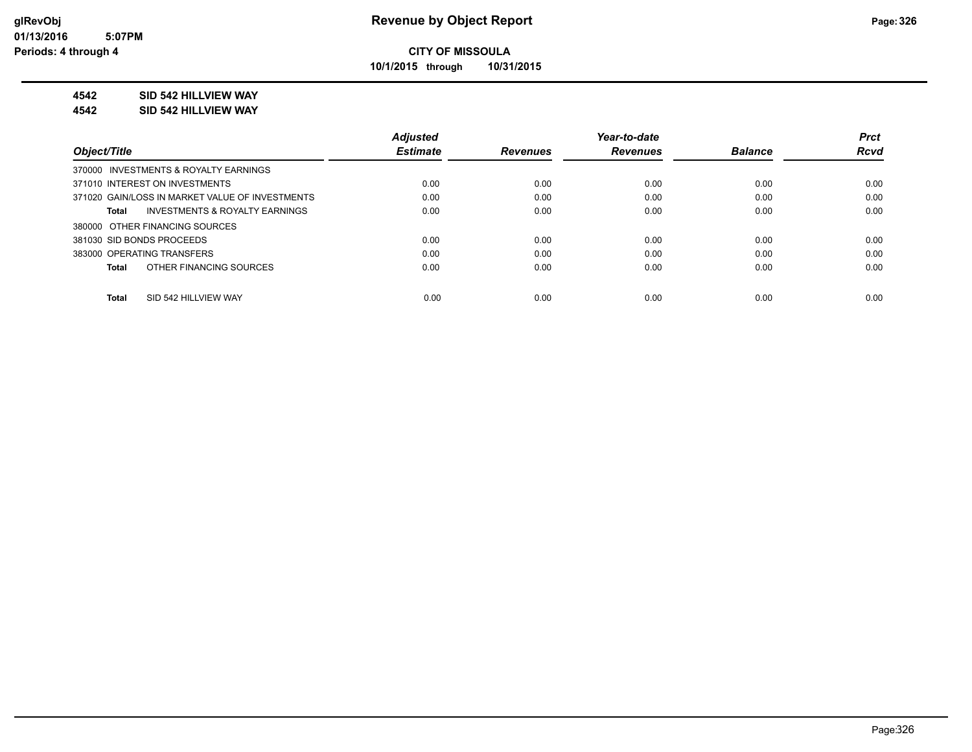**10/1/2015 through 10/31/2015**

### **4542 SID 542 HILLVIEW WAY**

**4542 SID 542 HILLVIEW WAY**

|                                                    | <b>Adjusted</b> |                 | Year-to-date    |                | <b>Prct</b> |
|----------------------------------------------------|-----------------|-----------------|-----------------|----------------|-------------|
| Object/Title                                       | <b>Estimate</b> | <b>Revenues</b> | <b>Revenues</b> | <b>Balance</b> | <b>Rcvd</b> |
| 370000 INVESTMENTS & ROYALTY EARNINGS              |                 |                 |                 |                |             |
| 371010 INTEREST ON INVESTMENTS                     | 0.00            | 0.00            | 0.00            | 0.00           | 0.00        |
| 371020 GAIN/LOSS IN MARKET VALUE OF INVESTMENTS    | 0.00            | 0.00            | 0.00            | 0.00           | 0.00        |
| <b>INVESTMENTS &amp; ROYALTY EARNINGS</b><br>Total | 0.00            | 0.00            | 0.00            | 0.00           | 0.00        |
| 380000 OTHER FINANCING SOURCES                     |                 |                 |                 |                |             |
| 381030 SID BONDS PROCEEDS                          | 0.00            | 0.00            | 0.00            | 0.00           | 0.00        |
| 383000 OPERATING TRANSFERS                         | 0.00            | 0.00            | 0.00            | 0.00           | 0.00        |
| OTHER FINANCING SOURCES<br>Total                   | 0.00            | 0.00            | 0.00            | 0.00           | 0.00        |
|                                                    |                 |                 |                 |                |             |
| SID 542 HILLVIEW WAY<br>Total                      | 0.00            | 0.00            | 0.00            | 0.00           | 0.00        |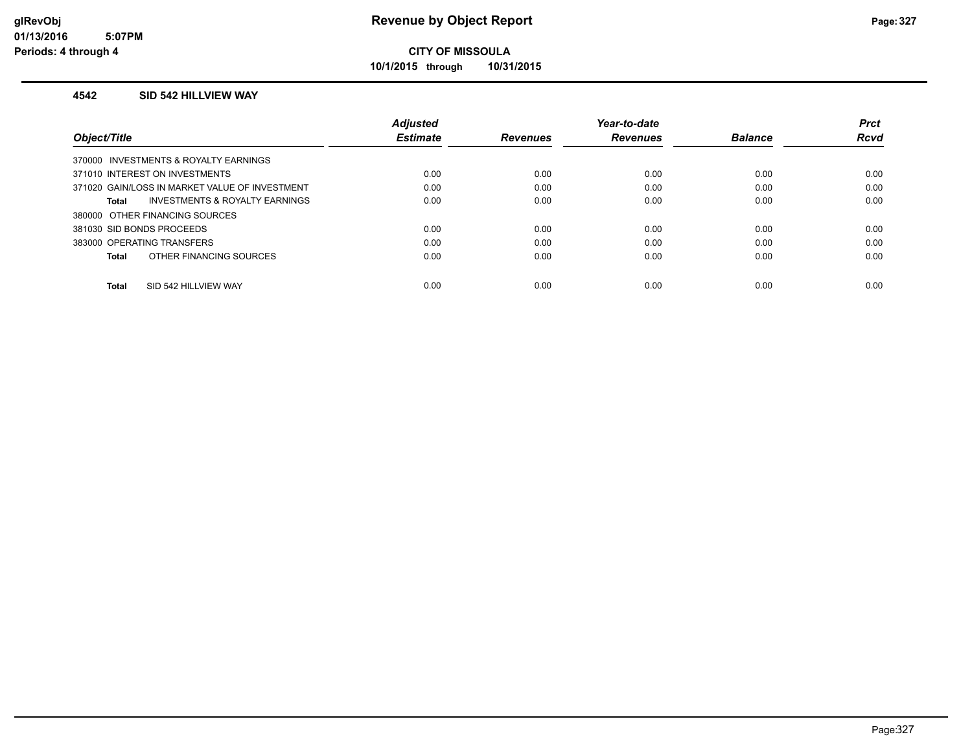**10/1/2015 through 10/31/2015**

#### **4542 SID 542 HILLVIEW WAY**

|                                                    | <b>Adjusted</b> |                 | Year-to-date    |                | <b>Prct</b> |
|----------------------------------------------------|-----------------|-----------------|-----------------|----------------|-------------|
| Object/Title                                       | <b>Estimate</b> | <b>Revenues</b> | <b>Revenues</b> | <b>Balance</b> | <b>Rcvd</b> |
| 370000 INVESTMENTS & ROYALTY EARNINGS              |                 |                 |                 |                |             |
| 371010 INTEREST ON INVESTMENTS                     | 0.00            | 0.00            | 0.00            | 0.00           | 0.00        |
| 371020 GAIN/LOSS IN MARKET VALUE OF INVESTMENT     | 0.00            | 0.00            | 0.00            | 0.00           | 0.00        |
| <b>INVESTMENTS &amp; ROYALTY EARNINGS</b><br>Total | 0.00            | 0.00            | 0.00            | 0.00           | 0.00        |
| 380000 OTHER FINANCING SOURCES                     |                 |                 |                 |                |             |
| 381030 SID BONDS PROCEEDS                          | 0.00            | 0.00            | 0.00            | 0.00           | 0.00        |
| 383000 OPERATING TRANSFERS                         | 0.00            | 0.00            | 0.00            | 0.00           | 0.00        |
| OTHER FINANCING SOURCES<br>Total                   | 0.00            | 0.00            | 0.00            | 0.00           | 0.00        |
|                                                    |                 |                 |                 |                |             |
| SID 542 HILLVIEW WAY<br><b>Total</b>               | 0.00            | 0.00            | 0.00            | 0.00           | 0.00        |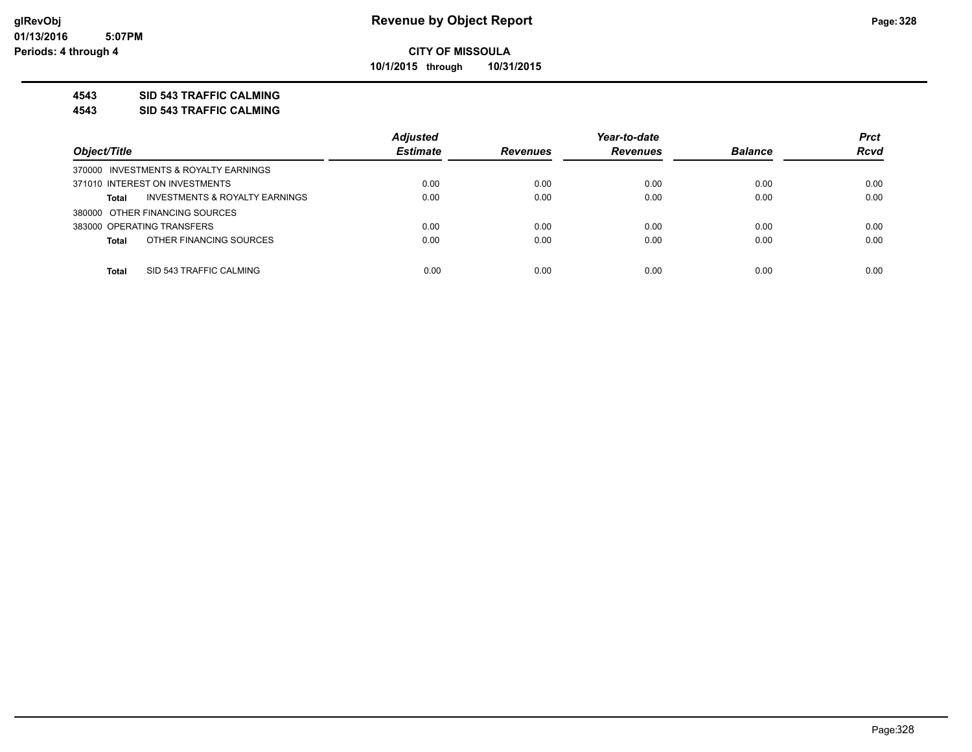**10/1/2015 through 10/31/2015**

### **4543 SID 543 TRAFFIC CALMING**

**4543 SID 543 TRAFFIC CALMING**

|                                                           | <b>Adjusted</b> |                 | Year-to-date    |                | <b>Prct</b> |
|-----------------------------------------------------------|-----------------|-----------------|-----------------|----------------|-------------|
| Object/Title                                              | <b>Estimate</b> | <b>Revenues</b> | <b>Revenues</b> | <b>Balance</b> | <b>Rcvd</b> |
| 370000 INVESTMENTS & ROYALTY EARNINGS                     |                 |                 |                 |                |             |
| 371010 INTEREST ON INVESTMENTS                            | 0.00            | 0.00            | 0.00            | 0.00           | 0.00        |
| <b>INVESTMENTS &amp; ROYALTY EARNINGS</b><br><b>Total</b> | 0.00            | 0.00            | 0.00            | 0.00           | 0.00        |
| 380000 OTHER FINANCING SOURCES                            |                 |                 |                 |                |             |
| 383000 OPERATING TRANSFERS                                | 0.00            | 0.00            | 0.00            | 0.00           | 0.00        |
| OTHER FINANCING SOURCES<br><b>Total</b>                   | 0.00            | 0.00            | 0.00            | 0.00           | 0.00        |
|                                                           |                 |                 |                 |                |             |
| SID 543 TRAFFIC CALMING<br><b>Total</b>                   | 0.00            | 0.00            | 0.00            | 0.00           | 0.00        |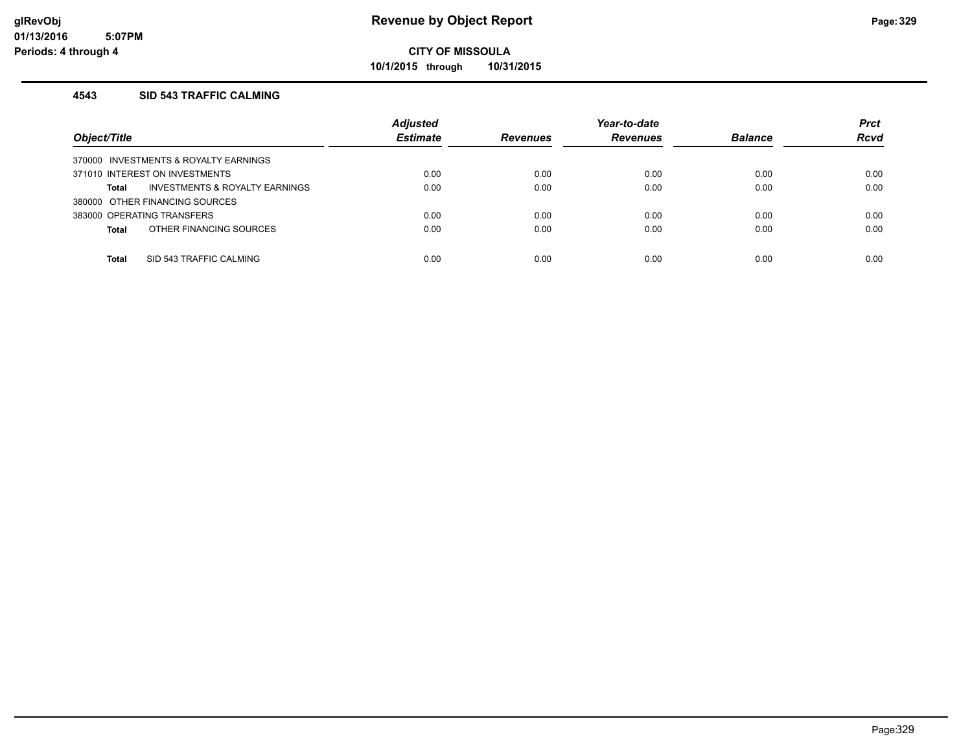**10/1/2015 through 10/31/2015**

### **4543 SID 543 TRAFFIC CALMING**

| Object/Title                            | <b>Adjusted</b><br><b>Estimate</b> | <b>Revenues</b> | Year-to-date<br><b>Revenues</b> | <b>Balance</b> | <b>Prct</b><br><b>Rcvd</b> |
|-----------------------------------------|------------------------------------|-----------------|---------------------------------|----------------|----------------------------|
| 370000 INVESTMENTS & ROYALTY EARNINGS   |                                    |                 |                                 |                |                            |
| 371010 INTEREST ON INVESTMENTS          | 0.00                               | 0.00            | 0.00                            | 0.00           | 0.00                       |
| INVESTMENTS & ROYALTY EARNINGS<br>Total | 0.00                               | 0.00            | 0.00                            | 0.00           | 0.00                       |
| 380000 OTHER FINANCING SOURCES          |                                    |                 |                                 |                |                            |
| 383000 OPERATING TRANSFERS              | 0.00                               | 0.00            | 0.00                            | 0.00           | 0.00                       |
| OTHER FINANCING SOURCES<br><b>Total</b> | 0.00                               | 0.00            | 0.00                            | 0.00           | 0.00                       |
|                                         |                                    |                 |                                 |                |                            |
| SID 543 TRAFFIC CALMING<br><b>Total</b> | 0.00                               | 0.00            | 0.00                            | 0.00           | 0.00                       |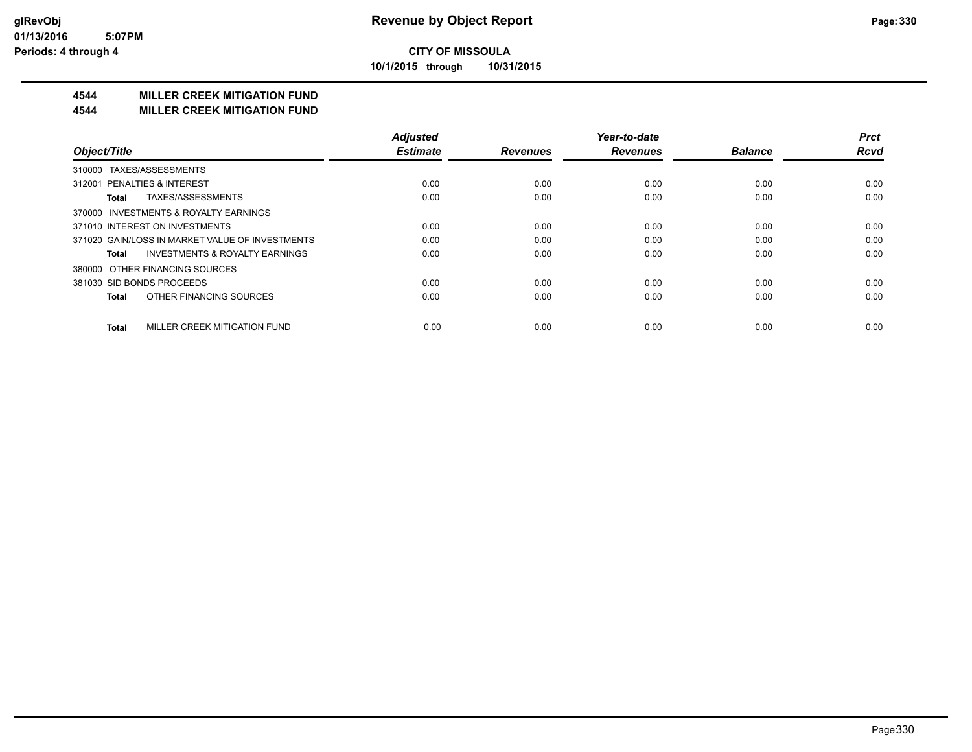**10/1/2015 through 10/31/2015**

## **4544 MILLER CREEK MITIGATION FUND**

#### **4544 MILLER CREEK MITIGATION FUND**

|                                                    | <b>Adjusted</b> |                 | Year-to-date    |                | <b>Prct</b> |
|----------------------------------------------------|-----------------|-----------------|-----------------|----------------|-------------|
| Object/Title                                       | <b>Estimate</b> | <b>Revenues</b> | <b>Revenues</b> | <b>Balance</b> | <b>Rcvd</b> |
| TAXES/ASSESSMENTS<br>310000                        |                 |                 |                 |                |             |
| 312001 PENALTIES & INTEREST                        | 0.00            | 0.00            | 0.00            | 0.00           | 0.00        |
| TAXES/ASSESSMENTS<br>Total                         | 0.00            | 0.00            | 0.00            | 0.00           | 0.00        |
| 370000 INVESTMENTS & ROYALTY EARNINGS              |                 |                 |                 |                |             |
| 371010 INTEREST ON INVESTMENTS                     | 0.00            | 0.00            | 0.00            | 0.00           | 0.00        |
| 371020 GAIN/LOSS IN MARKET VALUE OF INVESTMENTS    | 0.00            | 0.00            | 0.00            | 0.00           | 0.00        |
| <b>INVESTMENTS &amp; ROYALTY EARNINGS</b><br>Total | 0.00            | 0.00            | 0.00            | 0.00           | 0.00        |
| OTHER FINANCING SOURCES<br>380000                  |                 |                 |                 |                |             |
| 381030 SID BONDS PROCEEDS                          | 0.00            | 0.00            | 0.00            | 0.00           | 0.00        |
| OTHER FINANCING SOURCES<br><b>Total</b>            | 0.00            | 0.00            | 0.00            | 0.00           | 0.00        |
| MILLER CREEK MITIGATION FUND<br><b>Total</b>       | 0.00            | 0.00            | 0.00            | 0.00           | 0.00        |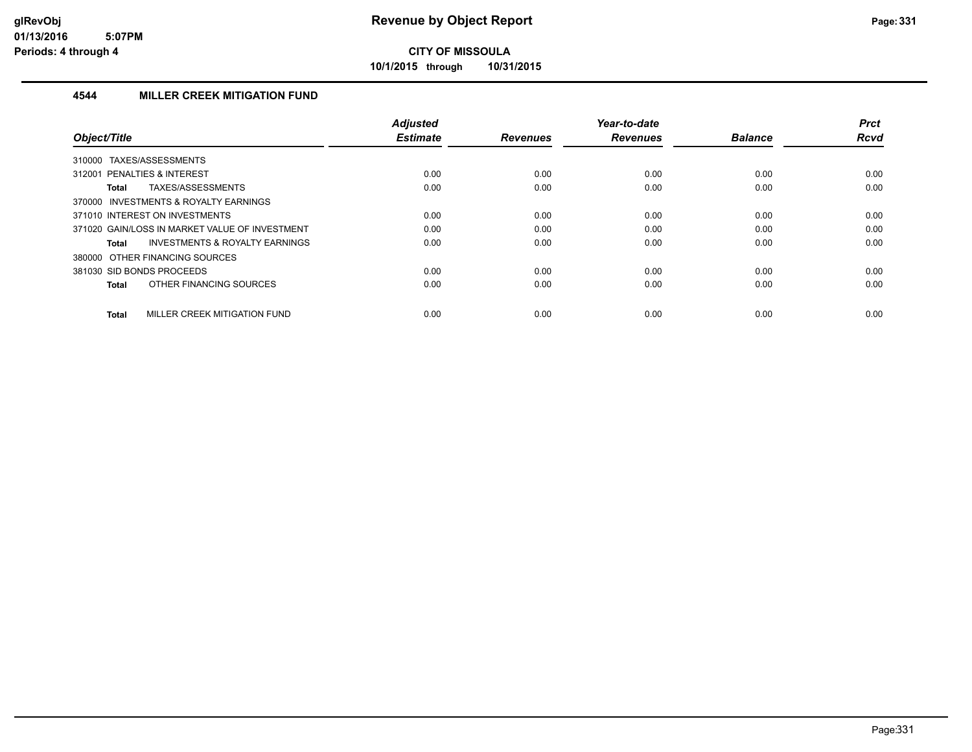**10/1/2015 through 10/31/2015**

### **4544 MILLER CREEK MITIGATION FUND**

| Object/Title                                   | <b>Adjusted</b><br><b>Estimate</b> | <b>Revenues</b> | Year-to-date<br><b>Revenues</b> | <b>Balance</b> | <b>Prct</b><br>Rcvd |
|------------------------------------------------|------------------------------------|-----------------|---------------------------------|----------------|---------------------|
| TAXES/ASSESSMENTS<br>310000                    |                                    |                 |                                 |                |                     |
| 312001 PENALTIES & INTEREST                    | 0.00                               | 0.00            | 0.00                            | 0.00           | 0.00                |
| TAXES/ASSESSMENTS<br>Total                     | 0.00                               | 0.00            | 0.00                            | 0.00           | 0.00                |
| 370000 INVESTMENTS & ROYALTY EARNINGS          |                                    |                 |                                 |                |                     |
| 371010 INTEREST ON INVESTMENTS                 | 0.00                               | 0.00            | 0.00                            | 0.00           | 0.00                |
| 371020 GAIN/LOSS IN MARKET VALUE OF INVESTMENT | 0.00                               | 0.00            | 0.00                            | 0.00           | 0.00                |
| INVESTMENTS & ROYALTY EARNINGS<br>Total        | 0.00                               | 0.00            | 0.00                            | 0.00           | 0.00                |
| 380000 OTHER FINANCING SOURCES                 |                                    |                 |                                 |                |                     |
| 381030 SID BONDS PROCEEDS                      | 0.00                               | 0.00            | 0.00                            | 0.00           | 0.00                |
| OTHER FINANCING SOURCES<br>Total               | 0.00                               | 0.00            | 0.00                            | 0.00           | 0.00                |
| MILLER CREEK MITIGATION FUND<br><b>Total</b>   | 0.00                               | 0.00            | 0.00                            | 0.00           | 0.00                |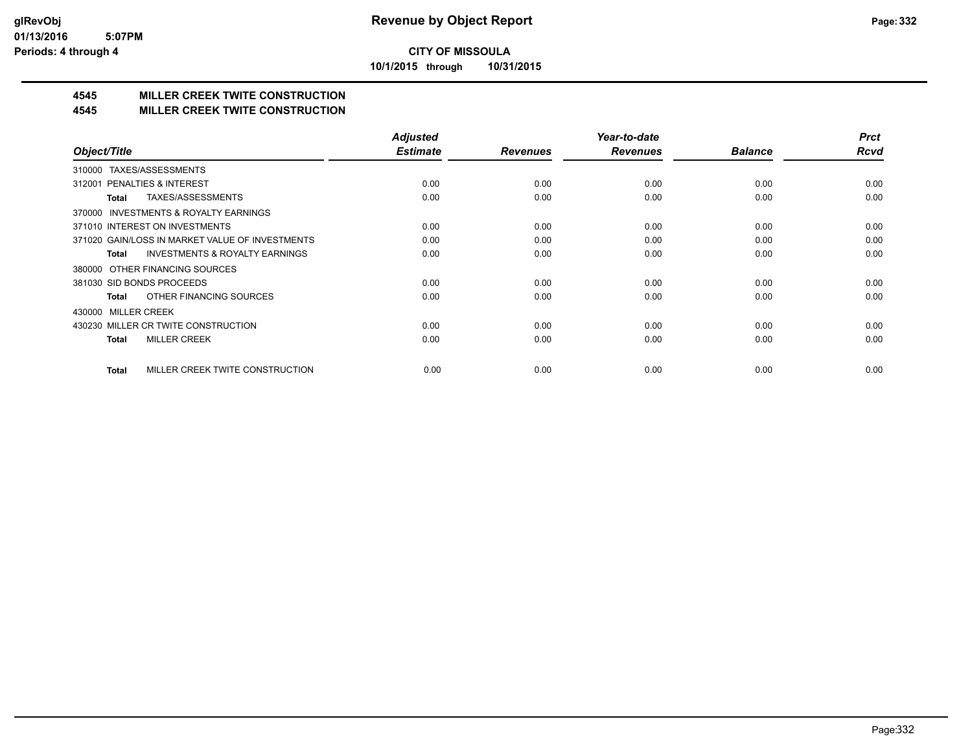**10/1/2015 through 10/31/2015**

# **4545 MILLER CREEK TWITE CONSTRUCTION**

### **4545 MILLER CREEK TWITE CONSTRUCTION**

|                                                     | <b>Adjusted</b> |                 | Year-to-date    |                | <b>Prct</b> |
|-----------------------------------------------------|-----------------|-----------------|-----------------|----------------|-------------|
| Object/Title                                        | <b>Estimate</b> | <b>Revenues</b> | <b>Revenues</b> | <b>Balance</b> | <b>Rcvd</b> |
| TAXES/ASSESSMENTS<br>310000                         |                 |                 |                 |                |             |
| 312001 PENALTIES & INTEREST                         | 0.00            | 0.00            | 0.00            | 0.00           | 0.00        |
| TAXES/ASSESSMENTS<br>Total                          | 0.00            | 0.00            | 0.00            | 0.00           | 0.00        |
| <b>INVESTMENTS &amp; ROYALTY EARNINGS</b><br>370000 |                 |                 |                 |                |             |
| 371010 INTEREST ON INVESTMENTS                      | 0.00            | 0.00            | 0.00            | 0.00           | 0.00        |
| 371020 GAIN/LOSS IN MARKET VALUE OF INVESTMENTS     | 0.00            | 0.00            | 0.00            | 0.00           | 0.00        |
| <b>INVESTMENTS &amp; ROYALTY EARNINGS</b><br>Total  | 0.00            | 0.00            | 0.00            | 0.00           | 0.00        |
| 380000 OTHER FINANCING SOURCES                      |                 |                 |                 |                |             |
| 381030 SID BONDS PROCEEDS                           | 0.00            | 0.00            | 0.00            | 0.00           | 0.00        |
| OTHER FINANCING SOURCES<br>Total                    | 0.00            | 0.00            | 0.00            | 0.00           | 0.00        |
| 430000 MILLER CREEK                                 |                 |                 |                 |                |             |
| 430230 MILLER CR TWITE CONSTRUCTION                 | 0.00            | 0.00            | 0.00            | 0.00           | 0.00        |
| <b>MILLER CREEK</b><br><b>Total</b>                 | 0.00            | 0.00            | 0.00            | 0.00           | 0.00        |
|                                                     |                 |                 |                 |                |             |
| MILLER CREEK TWITE CONSTRUCTION<br>Total            | 0.00            | 0.00            | 0.00            | 0.00           | 0.00        |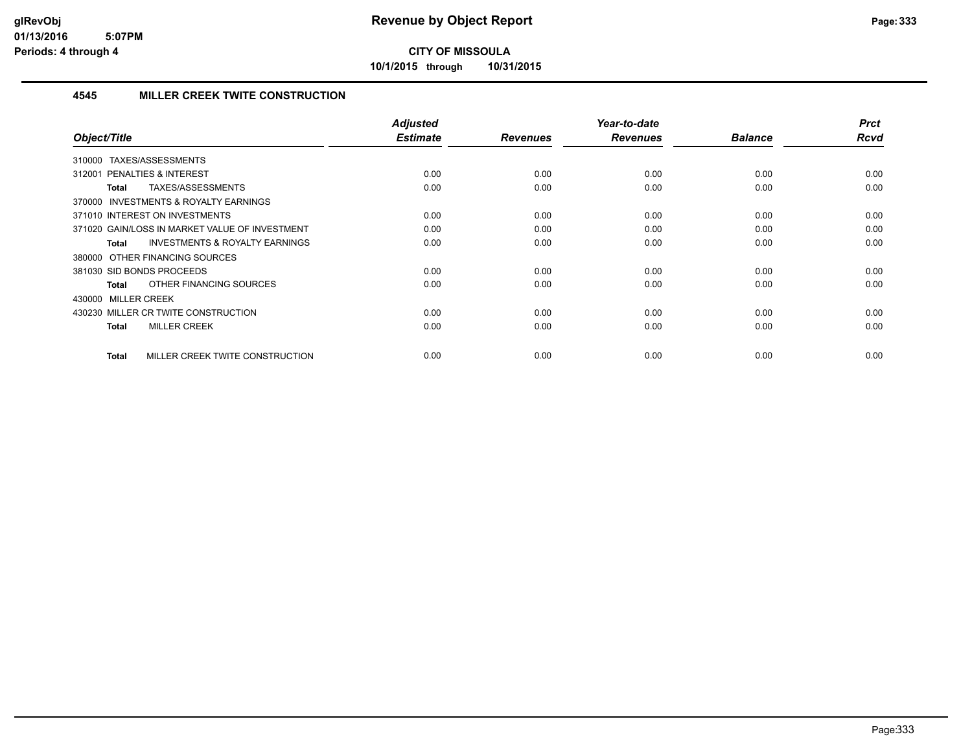**10/1/2015 through 10/31/2015**

### **4545 MILLER CREEK TWITE CONSTRUCTION**

| Object/Title                                              | Adjusted<br><b>Estimate</b> | <b>Revenues</b> | Year-to-date<br><b>Revenues</b> | <b>Balance</b> | <b>Prct</b><br>Rcvd |
|-----------------------------------------------------------|-----------------------------|-----------------|---------------------------------|----------------|---------------------|
|                                                           |                             |                 |                                 |                |                     |
| TAXES/ASSESSMENTS<br>310000                               |                             |                 |                                 |                |                     |
| PENALTIES & INTEREST<br>312001                            | 0.00                        | 0.00            | 0.00                            | 0.00           | 0.00                |
| TAXES/ASSESSMENTS<br>Total                                | 0.00                        | 0.00            | 0.00                            | 0.00           | 0.00                |
| 370000 INVESTMENTS & ROYALTY EARNINGS                     |                             |                 |                                 |                |                     |
| 371010 INTEREST ON INVESTMENTS                            | 0.00                        | 0.00            | 0.00                            | 0.00           | 0.00                |
| 371020 GAIN/LOSS IN MARKET VALUE OF INVESTMENT            | 0.00                        | 0.00            | 0.00                            | 0.00           | 0.00                |
| <b>INVESTMENTS &amp; ROYALTY EARNINGS</b><br><b>Total</b> | 0.00                        | 0.00            | 0.00                            | 0.00           | 0.00                |
| 380000 OTHER FINANCING SOURCES                            |                             |                 |                                 |                |                     |
| 381030 SID BONDS PROCEEDS                                 | 0.00                        | 0.00            | 0.00                            | 0.00           | 0.00                |
| OTHER FINANCING SOURCES<br><b>Total</b>                   | 0.00                        | 0.00            | 0.00                            | 0.00           | 0.00                |
| 430000 MILLER CREEK                                       |                             |                 |                                 |                |                     |
| 430230 MILLER CR TWITE CONSTRUCTION                       | 0.00                        | 0.00            | 0.00                            | 0.00           | 0.00                |
| <b>MILLER CREEK</b><br><b>Total</b>                       | 0.00                        | 0.00            | 0.00                            | 0.00           | 0.00                |
|                                                           |                             |                 |                                 |                |                     |
| MILLER CREEK TWITE CONSTRUCTION<br><b>Total</b>           | 0.00                        | 0.00            | 0.00                            | 0.00           | 0.00                |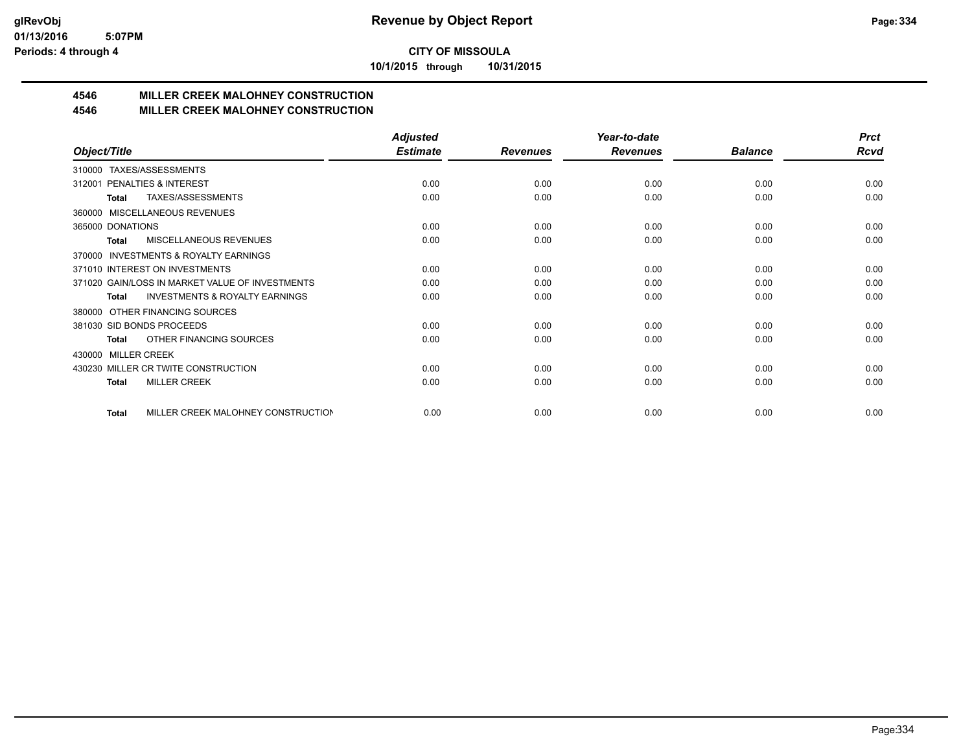**10/1/2015 through 10/31/2015**

# **4546 MILLER CREEK MALOHNEY CONSTRUCTION**

## **4546 MILLER CREEK MALOHNEY CONSTRUCTION**

|                                                     | <b>Adjusted</b> |                 | Year-to-date    |                | <b>Prct</b> |
|-----------------------------------------------------|-----------------|-----------------|-----------------|----------------|-------------|
| Object/Title                                        | <b>Estimate</b> | <b>Revenues</b> | <b>Revenues</b> | <b>Balance</b> | <b>Rcvd</b> |
| TAXES/ASSESSMENTS<br>310000                         |                 |                 |                 |                |             |
| PENALTIES & INTEREST<br>312001                      | 0.00            | 0.00            | 0.00            | 0.00           | 0.00        |
| TAXES/ASSESSMENTS<br><b>Total</b>                   | 0.00            | 0.00            | 0.00            | 0.00           | 0.00        |
| MISCELLANEOUS REVENUES<br>360000                    |                 |                 |                 |                |             |
| 365000 DONATIONS                                    | 0.00            | 0.00            | 0.00            | 0.00           | 0.00        |
| <b>MISCELLANEOUS REVENUES</b><br>Total              | 0.00            | 0.00            | 0.00            | 0.00           | 0.00        |
| <b>INVESTMENTS &amp; ROYALTY EARNINGS</b><br>370000 |                 |                 |                 |                |             |
| 371010 INTEREST ON INVESTMENTS                      | 0.00            | 0.00            | 0.00            | 0.00           | 0.00        |
| 371020 GAIN/LOSS IN MARKET VALUE OF INVESTMENTS     | 0.00            | 0.00            | 0.00            | 0.00           | 0.00        |
| <b>INVESTMENTS &amp; ROYALTY EARNINGS</b><br>Total  | 0.00            | 0.00            | 0.00            | 0.00           | 0.00        |
| OTHER FINANCING SOURCES<br>380000                   |                 |                 |                 |                |             |
| 381030 SID BONDS PROCEEDS                           | 0.00            | 0.00            | 0.00            | 0.00           | 0.00        |
| OTHER FINANCING SOURCES<br><b>Total</b>             | 0.00            | 0.00            | 0.00            | 0.00           | 0.00        |
| <b>MILLER CREEK</b><br>430000                       |                 |                 |                 |                |             |
| 430230 MILLER CR TWITE CONSTRUCTION                 | 0.00            | 0.00            | 0.00            | 0.00           | 0.00        |
| <b>MILLER CREEK</b><br><b>Total</b>                 | 0.00            | 0.00            | 0.00            | 0.00           | 0.00        |
|                                                     |                 |                 |                 |                |             |
| MILLER CREEK MALOHNEY CONSTRUCTION<br><b>Total</b>  | 0.00            | 0.00            | 0.00            | 0.00           | 0.00        |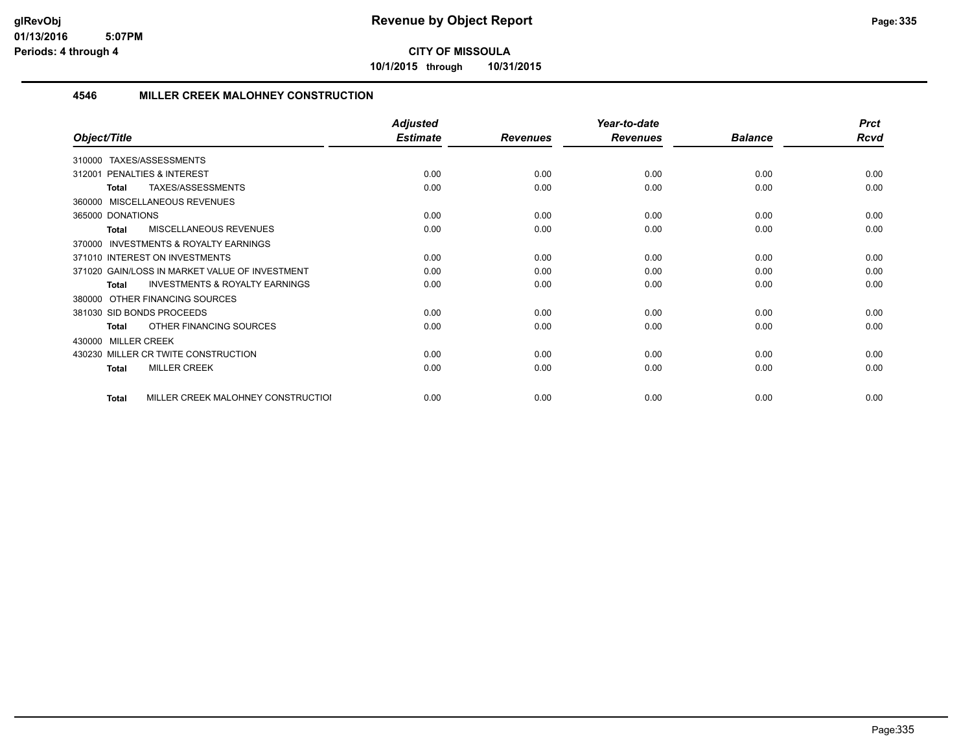**10/1/2015 through 10/31/2015**

### **4546 MILLER CREEK MALOHNEY CONSTRUCTION**

|                                                           | <b>Adjusted</b> |                 | Year-to-date    |                | <b>Prct</b> |
|-----------------------------------------------------------|-----------------|-----------------|-----------------|----------------|-------------|
| Object/Title                                              | <b>Estimate</b> | <b>Revenues</b> | <b>Revenues</b> | <b>Balance</b> | <b>Rcvd</b> |
| TAXES/ASSESSMENTS<br>310000                               |                 |                 |                 |                |             |
| PENALTIES & INTEREST<br>312001                            | 0.00            | 0.00            | 0.00            | 0.00           | 0.00        |
| TAXES/ASSESSMENTS<br><b>Total</b>                         | 0.00            | 0.00            | 0.00            | 0.00           | 0.00        |
| 360000 MISCELLANEOUS REVENUES                             |                 |                 |                 |                |             |
| 365000 DONATIONS                                          | 0.00            | 0.00            | 0.00            | 0.00           | 0.00        |
| <b>MISCELLANEOUS REVENUES</b><br>Total                    | 0.00            | 0.00            | 0.00            | 0.00           | 0.00        |
| INVESTMENTS & ROYALTY EARNINGS<br>370000                  |                 |                 |                 |                |             |
| 371010 INTEREST ON INVESTMENTS                            | 0.00            | 0.00            | 0.00            | 0.00           | 0.00        |
| 371020 GAIN/LOSS IN MARKET VALUE OF INVESTMENT            | 0.00            | 0.00            | 0.00            | 0.00           | 0.00        |
| <b>INVESTMENTS &amp; ROYALTY EARNINGS</b><br><b>Total</b> | 0.00            | 0.00            | 0.00            | 0.00           | 0.00        |
| OTHER FINANCING SOURCES<br>380000                         |                 |                 |                 |                |             |
| 381030 SID BONDS PROCEEDS                                 | 0.00            | 0.00            | 0.00            | 0.00           | 0.00        |
| OTHER FINANCING SOURCES<br>Total                          | 0.00            | 0.00            | 0.00            | 0.00           | 0.00        |
| <b>MILLER CREEK</b><br>430000                             |                 |                 |                 |                |             |
| 430230 MILLER CR TWITE CONSTRUCTION                       | 0.00            | 0.00            | 0.00            | 0.00           | 0.00        |
| <b>MILLER CREEK</b><br><b>Total</b>                       | 0.00            | 0.00            | 0.00            | 0.00           | 0.00        |
| MILLER CREEK MALOHNEY CONSTRUCTIOI<br><b>Total</b>        | 0.00            | 0.00            | 0.00            | 0.00           | 0.00        |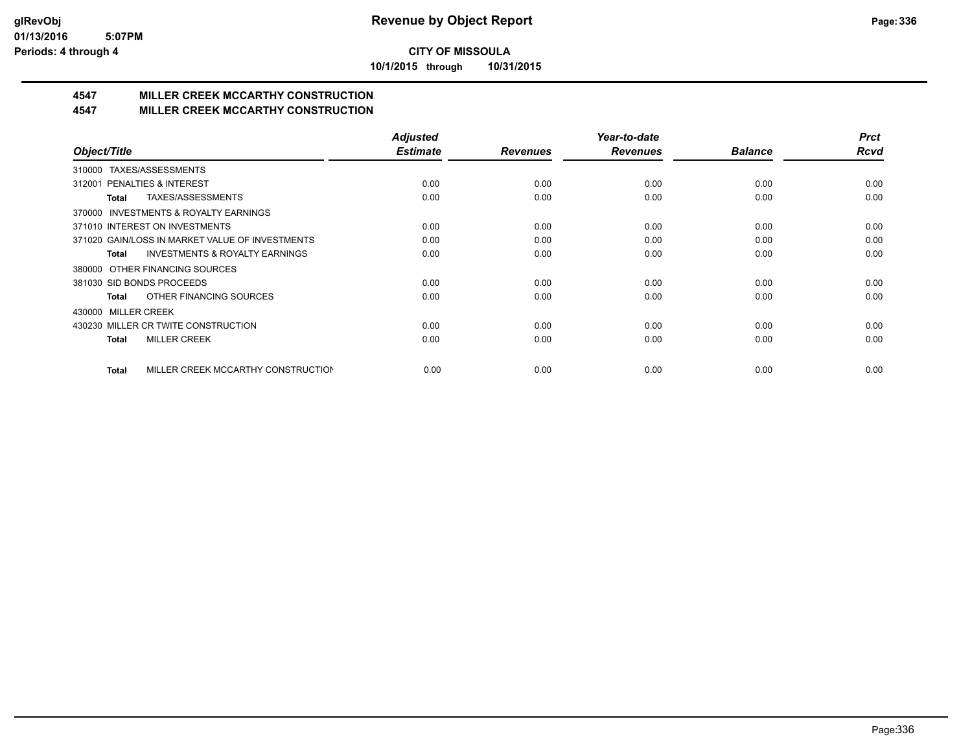**10/1/2015 through 10/31/2015**

# **4547 MILLER CREEK MCCARTHY CONSTRUCTION**

### **4547 MILLER CREEK MCCARTHY CONSTRUCTION**

|                                                    | <b>Adjusted</b> |                 | Year-to-date    |                | <b>Prct</b> |
|----------------------------------------------------|-----------------|-----------------|-----------------|----------------|-------------|
| Object/Title                                       | <b>Estimate</b> | <b>Revenues</b> | <b>Revenues</b> | <b>Balance</b> | <b>Rcvd</b> |
| TAXES/ASSESSMENTS<br>310000                        |                 |                 |                 |                |             |
| PENALTIES & INTEREST<br>312001                     | 0.00            | 0.00            | 0.00            | 0.00           | 0.00        |
| TAXES/ASSESSMENTS<br>Total                         | 0.00            | 0.00            | 0.00            | 0.00           | 0.00        |
| INVESTMENTS & ROYALTY EARNINGS<br>370000           |                 |                 |                 |                |             |
| 371010 INTEREST ON INVESTMENTS                     | 0.00            | 0.00            | 0.00            | 0.00           | 0.00        |
| 371020 GAIN/LOSS IN MARKET VALUE OF INVESTMENTS    | 0.00            | 0.00            | 0.00            | 0.00           | 0.00        |
| <b>INVESTMENTS &amp; ROYALTY EARNINGS</b><br>Total | 0.00            | 0.00            | 0.00            | 0.00           | 0.00        |
| OTHER FINANCING SOURCES<br>380000                  |                 |                 |                 |                |             |
| 381030 SID BONDS PROCEEDS                          | 0.00            | 0.00            | 0.00            | 0.00           | 0.00        |
| OTHER FINANCING SOURCES<br>Total                   | 0.00            | 0.00            | 0.00            | 0.00           | 0.00        |
| <b>MILLER CREEK</b><br>430000                      |                 |                 |                 |                |             |
| 430230 MILLER CR TWITE CONSTRUCTION                | 0.00            | 0.00            | 0.00            | 0.00           | 0.00        |
| <b>MILLER CREEK</b><br><b>Total</b>                | 0.00            | 0.00            | 0.00            | 0.00           | 0.00        |
|                                                    |                 |                 |                 |                |             |
| MILLER CREEK MCCARTHY CONSTRUCTION<br><b>Total</b> | 0.00            | 0.00            | 0.00            | 0.00           | 0.00        |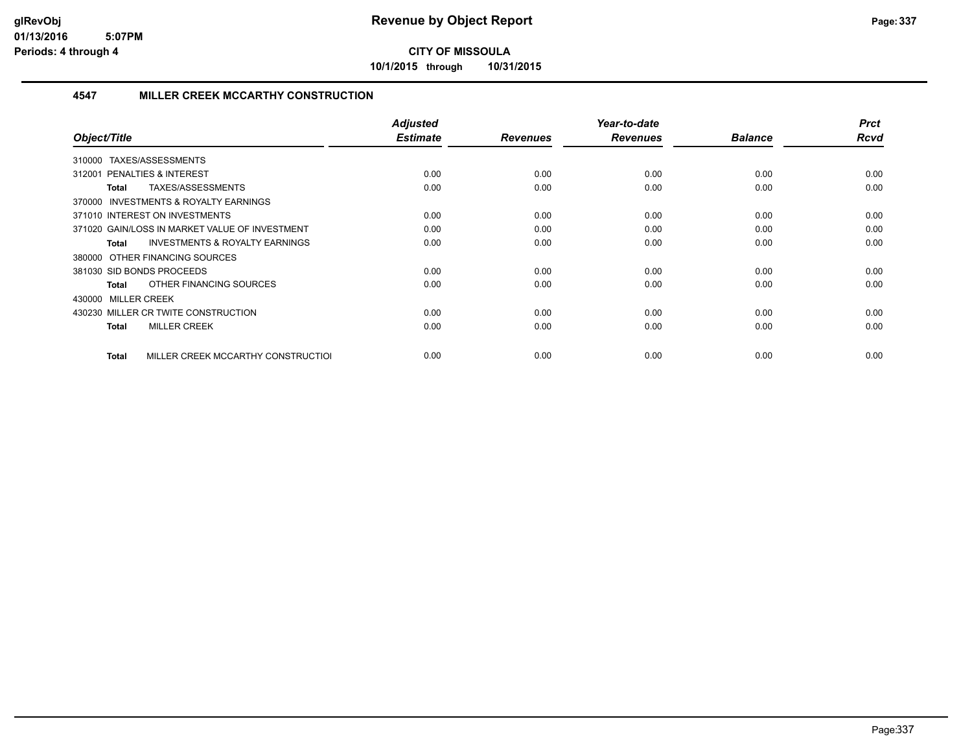**10/1/2015 through 10/31/2015**

### **4547 MILLER CREEK MCCARTHY CONSTRUCTION**

| Object/Title                                              | <b>Adjusted</b><br><b>Estimate</b> | <b>Revenues</b> | Year-to-date<br><b>Revenues</b> | <b>Balance</b> | <b>Prct</b><br><b>Rcvd</b> |
|-----------------------------------------------------------|------------------------------------|-----------------|---------------------------------|----------------|----------------------------|
| TAXES/ASSESSMENTS<br>310000                               |                                    |                 |                                 |                |                            |
| <b>PENALTIES &amp; INTEREST</b><br>312001                 | 0.00                               | 0.00            | 0.00                            | 0.00           | 0.00                       |
| TAXES/ASSESSMENTS<br>Total                                | 0.00                               | 0.00            | 0.00                            | 0.00           | 0.00                       |
| INVESTMENTS & ROYALTY EARNINGS<br>370000                  |                                    |                 |                                 |                |                            |
| 371010 INTEREST ON INVESTMENTS                            | 0.00                               | 0.00            | 0.00                            | 0.00           | 0.00                       |
| 371020 GAIN/LOSS IN MARKET VALUE OF INVESTMENT            | 0.00                               | 0.00            | 0.00                            | 0.00           | 0.00                       |
| <b>INVESTMENTS &amp; ROYALTY EARNINGS</b><br><b>Total</b> | 0.00                               | 0.00            | 0.00                            | 0.00           | 0.00                       |
| 380000 OTHER FINANCING SOURCES                            |                                    |                 |                                 |                |                            |
| 381030 SID BONDS PROCEEDS                                 | 0.00                               | 0.00            | 0.00                            | 0.00           | 0.00                       |
| OTHER FINANCING SOURCES<br>Total                          | 0.00                               | 0.00            | 0.00                            | 0.00           | 0.00                       |
| 430000 MILLER CREEK                                       |                                    |                 |                                 |                |                            |
| 430230 MILLER CR TWITE CONSTRUCTION                       | 0.00                               | 0.00            | 0.00                            | 0.00           | 0.00                       |
| <b>MILLER CREEK</b><br><b>Total</b>                       | 0.00                               | 0.00            | 0.00                            | 0.00           | 0.00                       |
| MILLER CREEK MCCARTHY CONSTRUCTIOL<br>Total               | 0.00                               | 0.00            | 0.00                            | 0.00           | 0.00                       |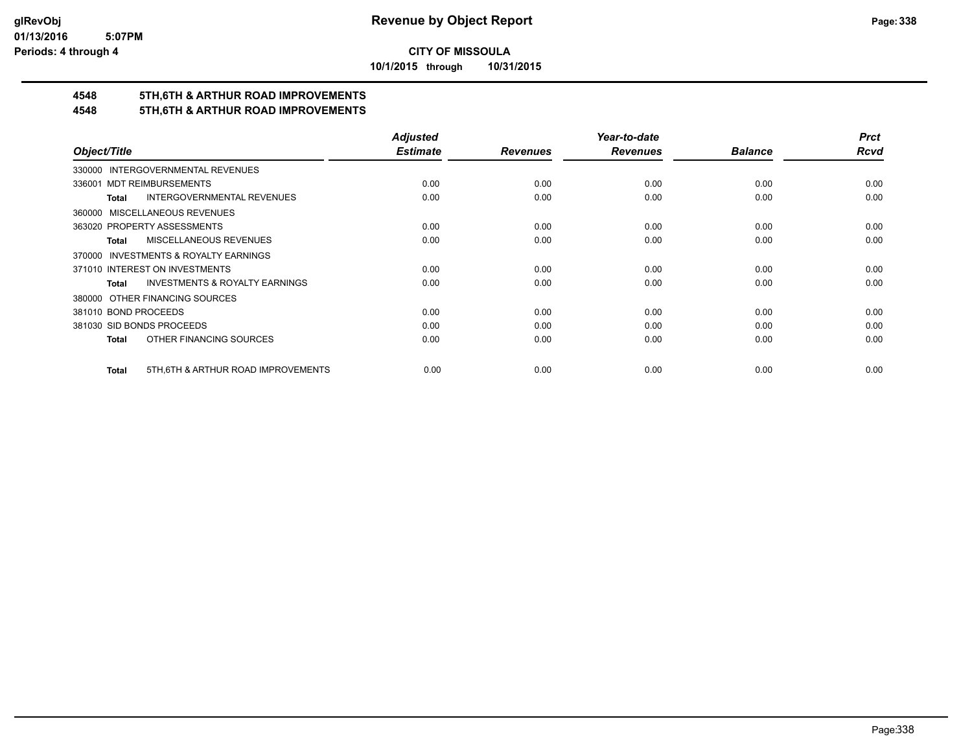**10/1/2015 through 10/31/2015**

# **4548 5TH,6TH & ARTHUR ROAD IMPROVEMENTS**

## **4548 5TH,6TH & ARTHUR ROAD IMPROVEMENTS**

|                                                     | <b>Adjusted</b> |                 | Year-to-date    |                | <b>Prct</b> |
|-----------------------------------------------------|-----------------|-----------------|-----------------|----------------|-------------|
| Object/Title                                        | <b>Estimate</b> | <b>Revenues</b> | <b>Revenues</b> | <b>Balance</b> | <b>Rcvd</b> |
| 330000 INTERGOVERNMENTAL REVENUES                   |                 |                 |                 |                |             |
| <b>MDT REIMBURSEMENTS</b><br>336001                 | 0.00            | 0.00            | 0.00            | 0.00           | 0.00        |
| INTERGOVERNMENTAL REVENUES<br>Total                 | 0.00            | 0.00            | 0.00            | 0.00           | 0.00        |
| 360000 MISCELLANEOUS REVENUES                       |                 |                 |                 |                |             |
| 363020 PROPERTY ASSESSMENTS                         | 0.00            | 0.00            | 0.00            | 0.00           | 0.00        |
| <b>MISCELLANEOUS REVENUES</b><br>Total              | 0.00            | 0.00            | 0.00            | 0.00           | 0.00        |
| 370000 INVESTMENTS & ROYALTY EARNINGS               |                 |                 |                 |                |             |
| 371010 INTEREST ON INVESTMENTS                      | 0.00            | 0.00            | 0.00            | 0.00           | 0.00        |
| <b>INVESTMENTS &amp; ROYALTY EARNINGS</b><br>Total  | 0.00            | 0.00            | 0.00            | 0.00           | 0.00        |
| 380000 OTHER FINANCING SOURCES                      |                 |                 |                 |                |             |
| 381010 BOND PROCEEDS                                | 0.00            | 0.00            | 0.00            | 0.00           | 0.00        |
| 381030 SID BONDS PROCEEDS                           | 0.00            | 0.00            | 0.00            | 0.00           | 0.00        |
| OTHER FINANCING SOURCES<br>Total                    | 0.00            | 0.00            | 0.00            | 0.00           | 0.00        |
| 5TH, 6TH & ARTHUR ROAD IMPROVEMENTS<br><b>Total</b> | 0.00            | 0.00            | 0.00            | 0.00           | 0.00        |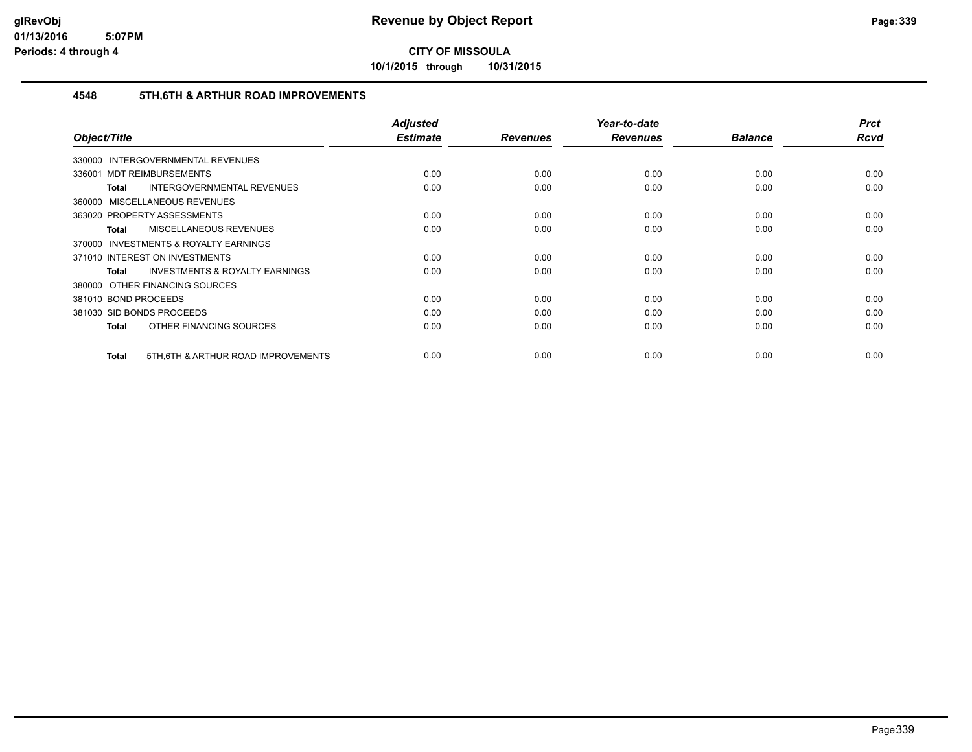**10/1/2015 through 10/31/2015**

### **4548 5TH,6TH & ARTHUR ROAD IMPROVEMENTS**

|                                                           | <b>Adjusted</b> |                 | Year-to-date    |                | <b>Prct</b> |
|-----------------------------------------------------------|-----------------|-----------------|-----------------|----------------|-------------|
| Object/Title                                              | <b>Estimate</b> | <b>Revenues</b> | <b>Revenues</b> | <b>Balance</b> | Rcvd        |
| 330000 INTERGOVERNMENTAL REVENUES                         |                 |                 |                 |                |             |
| 336001 MDT REIMBURSEMENTS                                 | 0.00            | 0.00            | 0.00            | 0.00           | 0.00        |
| INTERGOVERNMENTAL REVENUES<br>Total                       | 0.00            | 0.00            | 0.00            | 0.00           | 0.00        |
| 360000 MISCELLANEOUS REVENUES                             |                 |                 |                 |                |             |
| 363020 PROPERTY ASSESSMENTS                               | 0.00            | 0.00            | 0.00            | 0.00           | 0.00        |
| MISCELLANEOUS REVENUES<br>Total                           | 0.00            | 0.00            | 0.00            | 0.00           | 0.00        |
| 370000 INVESTMENTS & ROYALTY EARNINGS                     |                 |                 |                 |                |             |
| 371010 INTEREST ON INVESTMENTS                            | 0.00            | 0.00            | 0.00            | 0.00           | 0.00        |
| <b>INVESTMENTS &amp; ROYALTY EARNINGS</b><br><b>Total</b> | 0.00            | 0.00            | 0.00            | 0.00           | 0.00        |
| 380000 OTHER FINANCING SOURCES                            |                 |                 |                 |                |             |
| 381010 BOND PROCEEDS                                      | 0.00            | 0.00            | 0.00            | 0.00           | 0.00        |
| 381030 SID BONDS PROCEEDS                                 | 0.00            | 0.00            | 0.00            | 0.00           | 0.00        |
| OTHER FINANCING SOURCES<br>Total                          | 0.00            | 0.00            | 0.00            | 0.00           | 0.00        |
| 5TH, 6TH & ARTHUR ROAD IMPROVEMENTS<br>Total              | 0.00            | 0.00            | 0.00            | 0.00           | 0.00        |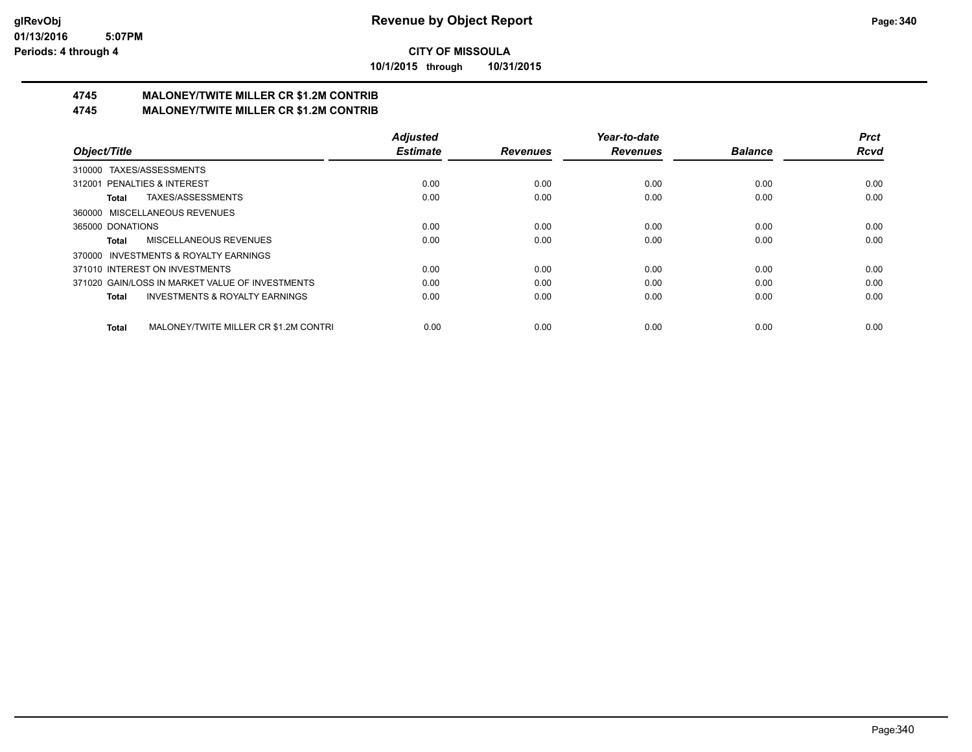**10/1/2015 through 10/31/2015**

#### **4745 MALONEY/TWITE MILLER CR \$1.2M CONTRIB 4745 MALONEY/TWITE MILLER CR \$1.2M CONTRIB**

|                                                       | <b>Adjusted</b> |                 | Year-to-date    |                | <b>Prct</b> |
|-------------------------------------------------------|-----------------|-----------------|-----------------|----------------|-------------|
| Object/Title                                          | <b>Estimate</b> | <b>Revenues</b> | <b>Revenues</b> | <b>Balance</b> | <b>Rcvd</b> |
| TAXES/ASSESSMENTS<br>310000                           |                 |                 |                 |                |             |
| 312001 PENALTIES & INTEREST                           | 0.00            | 0.00            | 0.00            | 0.00           | 0.00        |
| TAXES/ASSESSMENTS<br>Total                            | 0.00            | 0.00            | 0.00            | 0.00           | 0.00        |
| MISCELLANEOUS REVENUES<br>360000                      |                 |                 |                 |                |             |
| 365000 DONATIONS                                      | 0.00            | 0.00            | 0.00            | 0.00           | 0.00        |
| MISCELLANEOUS REVENUES<br>Total                       | 0.00            | 0.00            | 0.00            | 0.00           | 0.00        |
| INVESTMENTS & ROYALTY EARNINGS<br>370000              |                 |                 |                 |                |             |
| 371010 INTEREST ON INVESTMENTS                        | 0.00            | 0.00            | 0.00            | 0.00           | 0.00        |
| 371020 GAIN/LOSS IN MARKET VALUE OF INVESTMENTS       | 0.00            | 0.00            | 0.00            | 0.00           | 0.00        |
| <b>INVESTMENTS &amp; ROYALTY EARNINGS</b><br>Total    | 0.00            | 0.00            | 0.00            | 0.00           | 0.00        |
| MALONEY/TWITE MILLER CR \$1.2M CONTRI<br><b>Total</b> | 0.00            | 0.00            | 0.00            | 0.00           | 0.00        |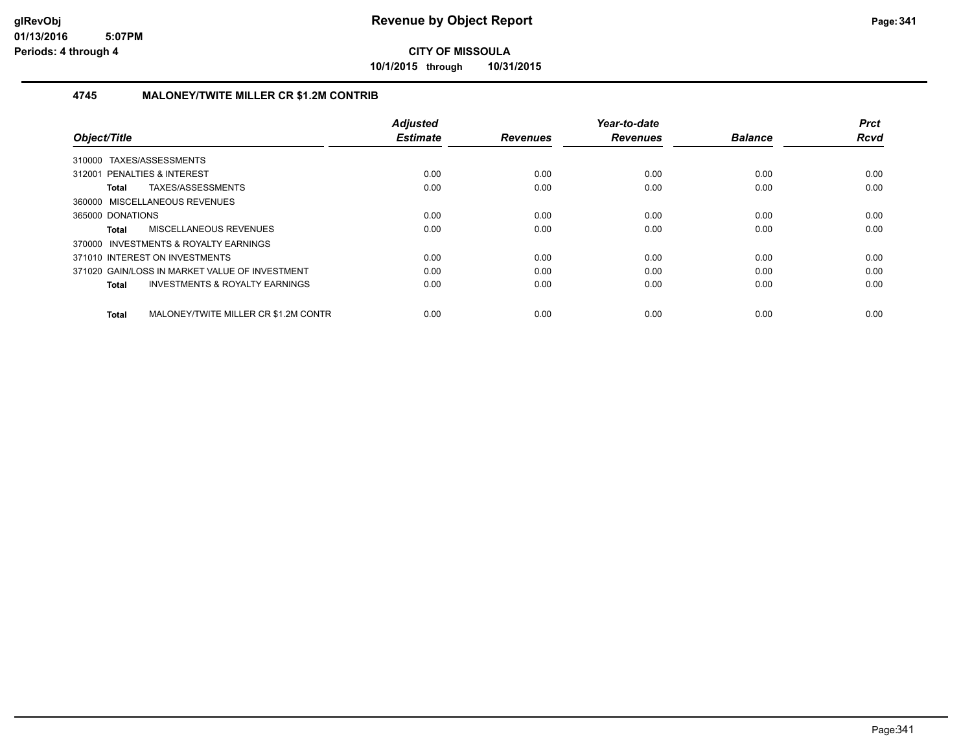**10/1/2015 through 10/31/2015**

### **4745 MALONEY/TWITE MILLER CR \$1.2M CONTRIB**

| Object/Title                                         | <b>Adjusted</b><br><b>Estimate</b> | <b>Revenues</b> | Year-to-date<br><b>Revenues</b> | <b>Balance</b> | <b>Prct</b><br><b>Rcvd</b> |
|------------------------------------------------------|------------------------------------|-----------------|---------------------------------|----------------|----------------------------|
| 310000 TAXES/ASSESSMENTS                             |                                    |                 |                                 |                |                            |
| 312001 PENALTIES & INTEREST                          | 0.00                               | 0.00            | 0.00                            | 0.00           | 0.00                       |
| TAXES/ASSESSMENTS<br>Total                           | 0.00                               | 0.00            | 0.00                            | 0.00           | 0.00                       |
| 360000 MISCELLANEOUS REVENUES                        |                                    |                 |                                 |                |                            |
| 365000 DONATIONS                                     | 0.00                               | 0.00            | 0.00                            | 0.00           | 0.00                       |
| MISCELLANEOUS REVENUES<br>Total                      | 0.00                               | 0.00            | 0.00                            | 0.00           | 0.00                       |
| 370000 INVESTMENTS & ROYALTY EARNINGS                |                                    |                 |                                 |                |                            |
| 371010 INTEREST ON INVESTMENTS                       | 0.00                               | 0.00            | 0.00                            | 0.00           | 0.00                       |
| 371020 GAIN/LOSS IN MARKET VALUE OF INVESTMENT       | 0.00                               | 0.00            | 0.00                            | 0.00           | 0.00                       |
| <b>INVESTMENTS &amp; ROYALTY EARNINGS</b><br>Total   | 0.00                               | 0.00            | 0.00                            | 0.00           | 0.00                       |
| MALONEY/TWITE MILLER CR \$1.2M CONTR<br><b>Total</b> | 0.00                               | 0.00            | 0.00                            | 0.00           | 0.00                       |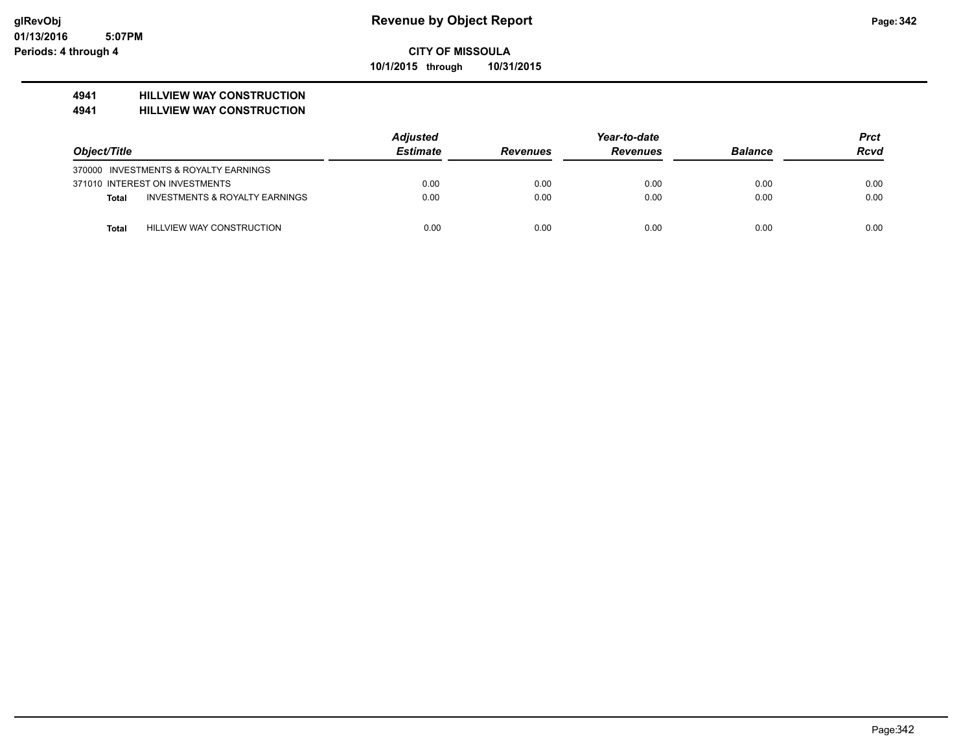### **CITY OF MISSOULA 10/1/2015 through 10/31/2015**

### **4941 HILLVIEW WAY CONSTRUCTION**

#### **4941 HILLVIEW WAY CONSTRUCTION**

|              |                                       | <b>Adjusted</b> |                 | <b>Prct</b>     |                |             |
|--------------|---------------------------------------|-----------------|-----------------|-----------------|----------------|-------------|
| Object/Title |                                       | <b>Estimate</b> | <b>Revenues</b> | <b>Revenues</b> | <b>Balance</b> | <b>Rcvd</b> |
|              | 370000 INVESTMENTS & ROYALTY EARNINGS |                 |                 |                 |                |             |
|              | 371010 INTEREST ON INVESTMENTS        | 0.00            | 0.00            | 0.00            | 0.00           | 0.00        |
| Total        | INVESTMENTS & ROYALTY EARNINGS        | 0.00            | 0.00            | 0.00            | 0.00           | 0.00        |
| <b>Total</b> | HILLVIEW WAY CONSTRUCTION             | 0.00            | 0.00            | 0.00            | 0.00           | 0.00        |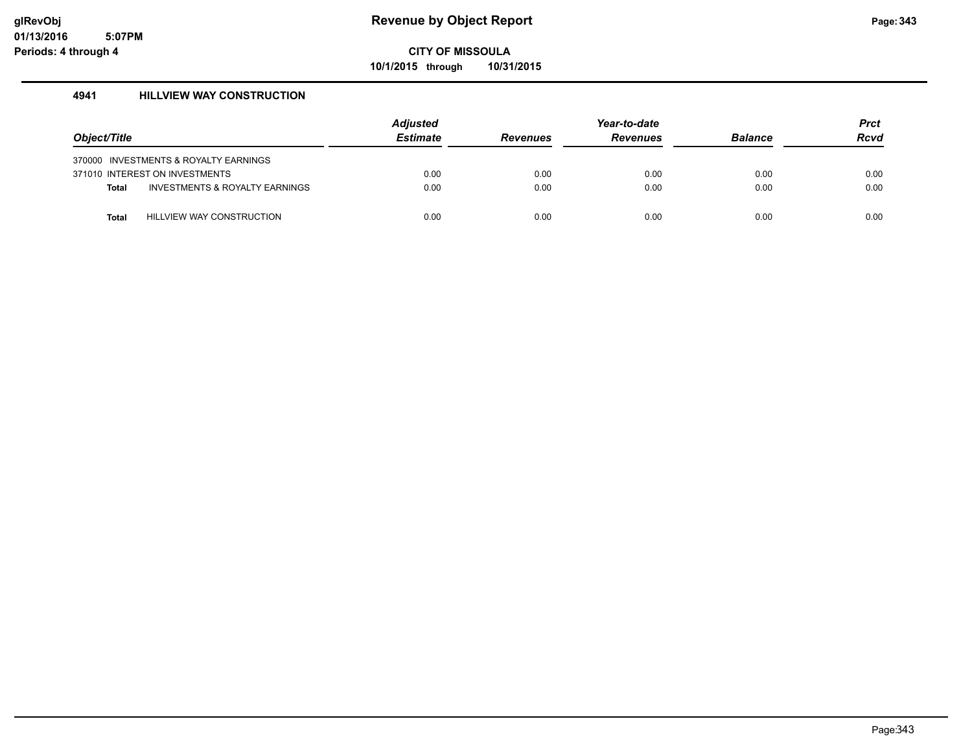**10/1/2015 through 10/31/2015**

### **4941 HILLVIEW WAY CONSTRUCTION**

| Object/Title |                                       | Adjusted<br><b>Estimate</b> | <b>Revenues</b> | Year-to-date<br><b>Revenues</b> | <b>Balance</b> | <b>Prct</b><br><b>Rcvd</b> |
|--------------|---------------------------------------|-----------------------------|-----------------|---------------------------------|----------------|----------------------------|
|              | 370000 INVESTMENTS & ROYALTY EARNINGS |                             |                 |                                 |                |                            |
|              | 371010 INTEREST ON INVESTMENTS        | 0.00                        | 0.00            | 0.00                            | 0.00           | 0.00                       |
| <b>Total</b> | INVESTMENTS & ROYALTY EARNINGS        | 0.00                        | 0.00            | 0.00                            | 0.00           | 0.00                       |
|              |                                       |                             |                 |                                 |                |                            |
| Total        | HILLVIEW WAY CONSTRUCTION             | 0.00                        | 0.00            | 0.00                            | 0.00           | 0.00                       |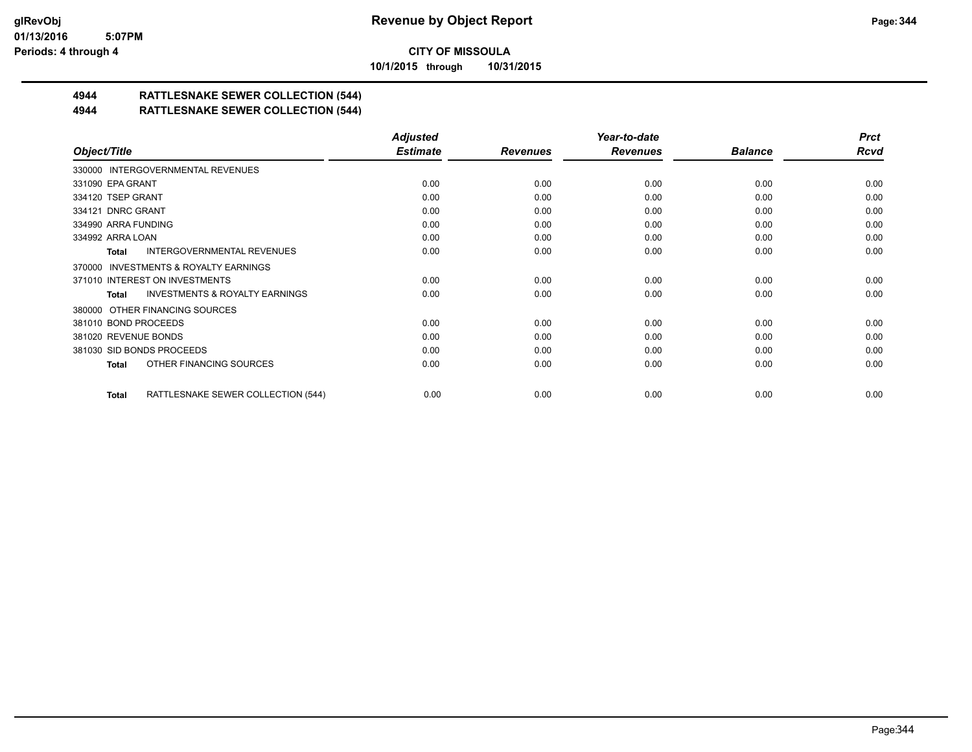**10/1/2015 through 10/31/2015**

# **4944 RATTLESNAKE SEWER COLLECTION (544)**

## **4944 RATTLESNAKE SEWER COLLECTION (544)**

|                                                    | <b>Adjusted</b> |                 | Year-to-date    |                | <b>Prct</b> |
|----------------------------------------------------|-----------------|-----------------|-----------------|----------------|-------------|
| Object/Title                                       | <b>Estimate</b> | <b>Revenues</b> | <b>Revenues</b> | <b>Balance</b> | <b>Rcvd</b> |
| 330000 INTERGOVERNMENTAL REVENUES                  |                 |                 |                 |                |             |
| 331090 EPA GRANT                                   | 0.00            | 0.00            | 0.00            | 0.00           | 0.00        |
| 334120 TSEP GRANT                                  | 0.00            | 0.00            | 0.00            | 0.00           | 0.00        |
| 334121 DNRC GRANT                                  | 0.00            | 0.00            | 0.00            | 0.00           | 0.00        |
| 334990 ARRA FUNDING                                | 0.00            | 0.00            | 0.00            | 0.00           | 0.00        |
| 334992 ARRA LOAN                                   | 0.00            | 0.00            | 0.00            | 0.00           | 0.00        |
| <b>INTERGOVERNMENTAL REVENUES</b><br>Total         | 0.00            | 0.00            | 0.00            | 0.00           | 0.00        |
| 370000 INVESTMENTS & ROYALTY EARNINGS              |                 |                 |                 |                |             |
| 371010 INTEREST ON INVESTMENTS                     | 0.00            | 0.00            | 0.00            | 0.00           | 0.00        |
| <b>INVESTMENTS &amp; ROYALTY EARNINGS</b><br>Total | 0.00            | 0.00            | 0.00            | 0.00           | 0.00        |
| 380000 OTHER FINANCING SOURCES                     |                 |                 |                 |                |             |
| 381010 BOND PROCEEDS                               | 0.00            | 0.00            | 0.00            | 0.00           | 0.00        |
| 381020 REVENUE BONDS                               | 0.00            | 0.00            | 0.00            | 0.00           | 0.00        |
| 381030 SID BONDS PROCEEDS                          | 0.00            | 0.00            | 0.00            | 0.00           | 0.00        |
| OTHER FINANCING SOURCES<br>Total                   | 0.00            | 0.00            | 0.00            | 0.00           | 0.00        |
| RATTLESNAKE SEWER COLLECTION (544)<br>Total        | 0.00            | 0.00            | 0.00            | 0.00           | 0.00        |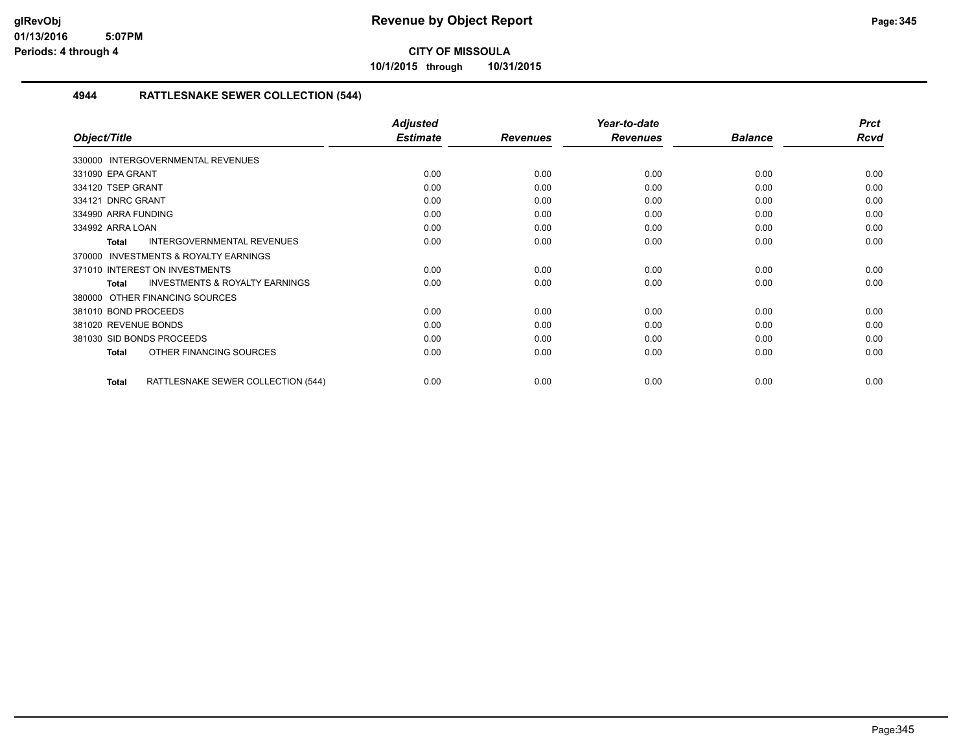**10/1/2015 through 10/31/2015**

### **4944 RATTLESNAKE SEWER COLLECTION (544)**

|                                                           | <b>Adjusted</b> |                 | Year-to-date    |                | <b>Prct</b> |
|-----------------------------------------------------------|-----------------|-----------------|-----------------|----------------|-------------|
| Object/Title                                              | <b>Estimate</b> | <b>Revenues</b> | <b>Revenues</b> | <b>Balance</b> | <b>Rcvd</b> |
| 330000 INTERGOVERNMENTAL REVENUES                         |                 |                 |                 |                |             |
| 331090 EPA GRANT                                          | 0.00            | 0.00            | 0.00            | 0.00           | 0.00        |
| 334120 TSEP GRANT                                         | 0.00            | 0.00            | 0.00            | 0.00           | 0.00        |
| 334121 DNRC GRANT                                         | 0.00            | 0.00            | 0.00            | 0.00           | 0.00        |
| 334990 ARRA FUNDING                                       | 0.00            | 0.00            | 0.00            | 0.00           | 0.00        |
| 334992 ARRA LOAN                                          | 0.00            | 0.00            | 0.00            | 0.00           | 0.00        |
| INTERGOVERNMENTAL REVENUES<br><b>Total</b>                | 0.00            | 0.00            | 0.00            | 0.00           | 0.00        |
| <b>INVESTMENTS &amp; ROYALTY EARNINGS</b><br>370000       |                 |                 |                 |                |             |
| 371010 INTEREST ON INVESTMENTS                            | 0.00            | 0.00            | 0.00            | 0.00           | 0.00        |
| <b>INVESTMENTS &amp; ROYALTY EARNINGS</b><br><b>Total</b> | 0.00            | 0.00            | 0.00            | 0.00           | 0.00        |
| OTHER FINANCING SOURCES<br>380000                         |                 |                 |                 |                |             |
| 381010 BOND PROCEEDS                                      | 0.00            | 0.00            | 0.00            | 0.00           | 0.00        |
| 381020 REVENUE BONDS                                      | 0.00            | 0.00            | 0.00            | 0.00           | 0.00        |
| 381030 SID BONDS PROCEEDS                                 | 0.00            | 0.00            | 0.00            | 0.00           | 0.00        |
| OTHER FINANCING SOURCES<br><b>Total</b>                   | 0.00            | 0.00            | 0.00            | 0.00           | 0.00        |
| RATTLESNAKE SEWER COLLECTION (544)<br><b>Total</b>        | 0.00            | 0.00            | 0.00            | 0.00           | 0.00        |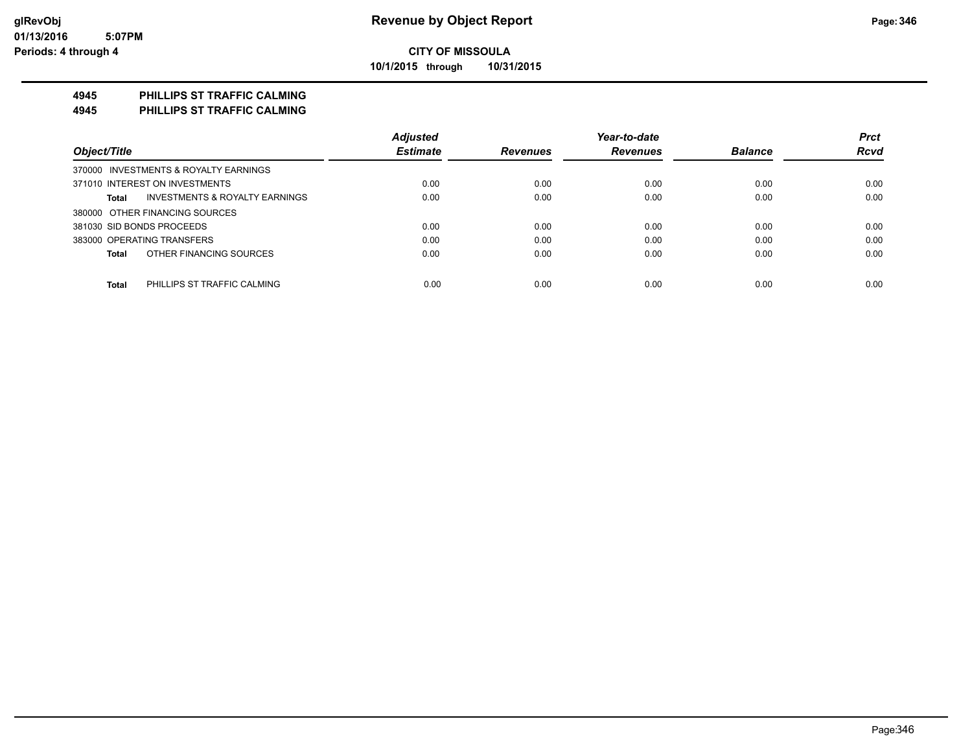**10/1/2015 through 10/31/2015**

### **4945 PHILLIPS ST TRAFFIC CALMING**

**4945 PHILLIPS ST TRAFFIC CALMING**

|                                                    | <b>Adjusted</b> |                 | Year-to-date    |                | <b>Prct</b> |
|----------------------------------------------------|-----------------|-----------------|-----------------|----------------|-------------|
| Object/Title                                       | <b>Estimate</b> | <b>Revenues</b> | <b>Revenues</b> | <b>Balance</b> | <b>Rcvd</b> |
| 370000 INVESTMENTS & ROYALTY EARNINGS              |                 |                 |                 |                |             |
| 371010 INTEREST ON INVESTMENTS                     | 0.00            | 0.00            | 0.00            | 0.00           | 0.00        |
| <b>INVESTMENTS &amp; ROYALTY EARNINGS</b><br>Total | 0.00            | 0.00            | 0.00            | 0.00           | 0.00        |
| 380000 OTHER FINANCING SOURCES                     |                 |                 |                 |                |             |
| 381030 SID BONDS PROCEEDS                          | 0.00            | 0.00            | 0.00            | 0.00           | 0.00        |
| 383000 OPERATING TRANSFERS                         | 0.00            | 0.00            | 0.00            | 0.00           | 0.00        |
| OTHER FINANCING SOURCES<br><b>Total</b>            | 0.00            | 0.00            | 0.00            | 0.00           | 0.00        |
|                                                    |                 |                 |                 |                |             |
| <b>Total</b><br>PHILLIPS ST TRAFFIC CALMING        | 0.00            | 0.00            | 0.00            | 0.00           | 0.00        |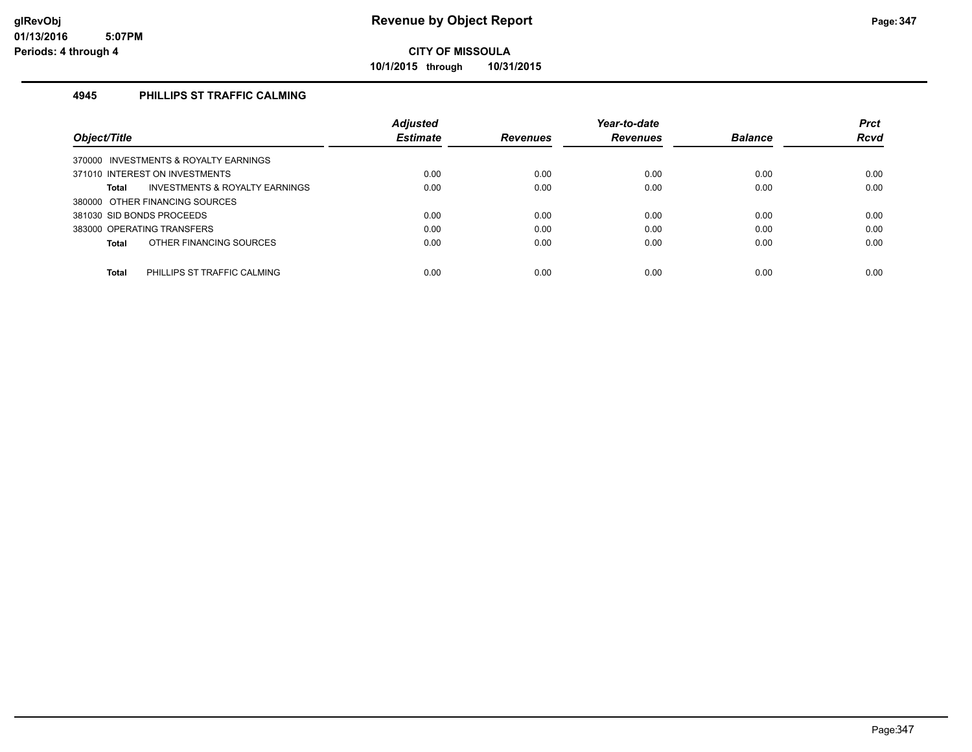**10/1/2015 through 10/31/2015**

### **4945 PHILLIPS ST TRAFFIC CALMING**

|                                             | <b>Adjusted</b> |                 | Year-to-date    |                | <b>Prct</b> |
|---------------------------------------------|-----------------|-----------------|-----------------|----------------|-------------|
| Object/Title                                | <b>Estimate</b> | <b>Revenues</b> | <b>Revenues</b> | <b>Balance</b> | <b>Rcvd</b> |
| 370000 INVESTMENTS & ROYALTY EARNINGS       |                 |                 |                 |                |             |
| 371010 INTEREST ON INVESTMENTS              | 0.00            | 0.00            | 0.00            | 0.00           | 0.00        |
| INVESTMENTS & ROYALTY EARNINGS<br>Total     | 0.00            | 0.00            | 0.00            | 0.00           | 0.00        |
| 380000 OTHER FINANCING SOURCES              |                 |                 |                 |                |             |
| 381030 SID BONDS PROCEEDS                   | 0.00            | 0.00            | 0.00            | 0.00           | 0.00        |
| 383000 OPERATING TRANSFERS                  | 0.00            | 0.00            | 0.00            | 0.00           | 0.00        |
| OTHER FINANCING SOURCES<br>Total            | 0.00            | 0.00            | 0.00            | 0.00           | 0.00        |
|                                             |                 |                 |                 |                |             |
| <b>Total</b><br>PHILLIPS ST TRAFFIC CALMING | 0.00            | 0.00            | 0.00            | 0.00           | 0.00        |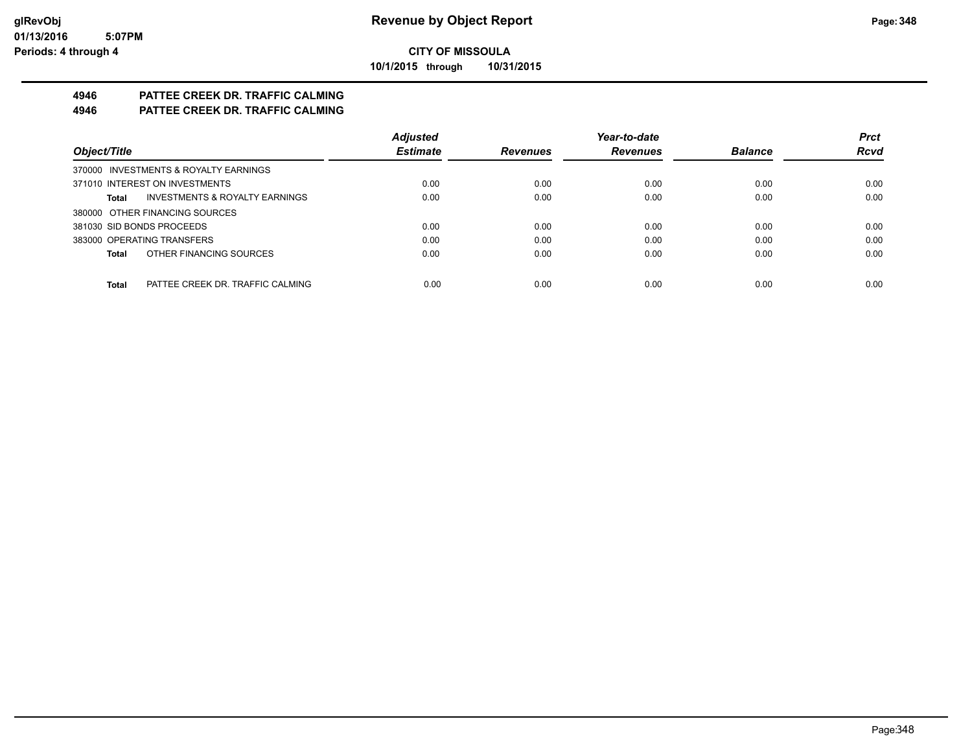**10/1/2015 through 10/31/2015**

# **4946 PATTEE CREEK DR. TRAFFIC CALMING**

## **4946 PATTEE CREEK DR. TRAFFIC CALMING**

|                                           | <b>Adjusted</b> |                 | Year-to-date    |                | <b>Prct</b> |
|-------------------------------------------|-----------------|-----------------|-----------------|----------------|-------------|
| Object/Title                              | <b>Estimate</b> | <b>Revenues</b> | <b>Revenues</b> | <b>Balance</b> | <b>Rcvd</b> |
| 370000 INVESTMENTS & ROYALTY EARNINGS     |                 |                 |                 |                |             |
| 371010 INTEREST ON INVESTMENTS            | 0.00            | 0.00            | 0.00            | 0.00           | 0.00        |
| INVESTMENTS & ROYALTY EARNINGS<br>Total   | 0.00            | 0.00            | 0.00            | 0.00           | 0.00        |
| 380000 OTHER FINANCING SOURCES            |                 |                 |                 |                |             |
| 381030 SID BONDS PROCEEDS                 | 0.00            | 0.00            | 0.00            | 0.00           | 0.00        |
| 383000 OPERATING TRANSFERS                | 0.00            | 0.00            | 0.00            | 0.00           | 0.00        |
| OTHER FINANCING SOURCES<br>Total          | 0.00            | 0.00            | 0.00            | 0.00           | 0.00        |
|                                           |                 |                 |                 |                |             |
| PATTEE CREEK DR. TRAFFIC CALMING<br>Total | 0.00            | 0.00            | 0.00            | 0.00           | 0.00        |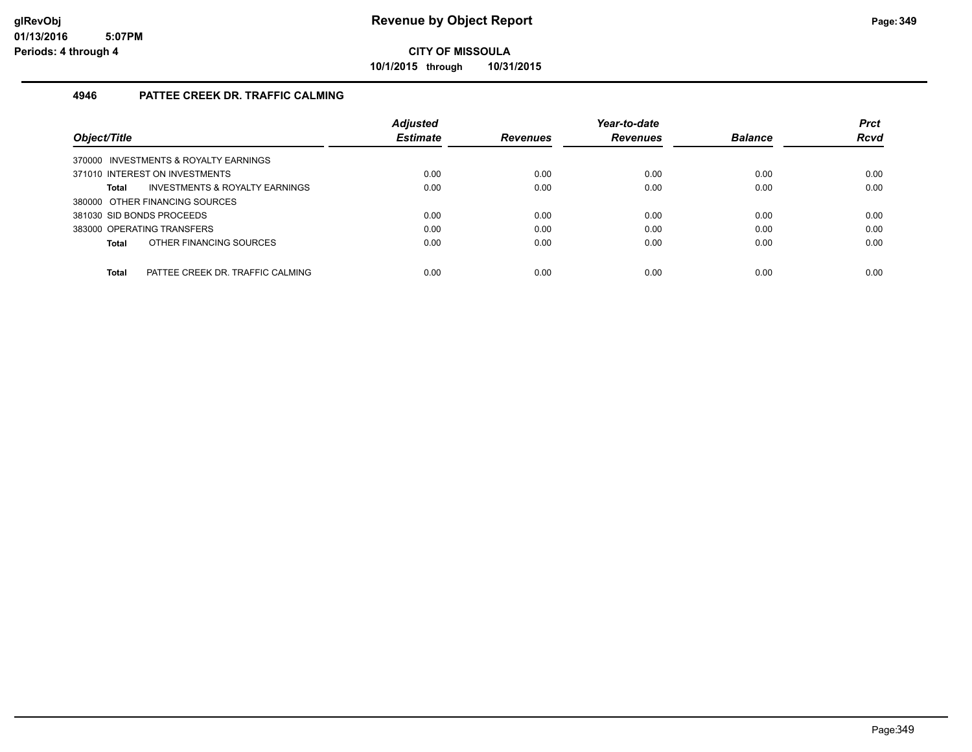**10/1/2015 through 10/31/2015**

### **4946 PATTEE CREEK DR. TRAFFIC CALMING**

|                                                  | <b>Adjusted</b> |                 | Year-to-date    |                | <b>Prct</b> |
|--------------------------------------------------|-----------------|-----------------|-----------------|----------------|-------------|
| Object/Title                                     | <b>Estimate</b> | <b>Revenues</b> | <b>Revenues</b> | <b>Balance</b> | <b>Rcvd</b> |
| 370000 INVESTMENTS & ROYALTY EARNINGS            |                 |                 |                 |                |             |
| 371010 INTEREST ON INVESTMENTS                   | 0.00            | 0.00            | 0.00            | 0.00           | 0.00        |
| INVESTMENTS & ROYALTY EARNINGS<br>Total          | 0.00            | 0.00            | 0.00            | 0.00           | 0.00        |
| 380000 OTHER FINANCING SOURCES                   |                 |                 |                 |                |             |
| 381030 SID BONDS PROCEEDS                        | 0.00            | 0.00            | 0.00            | 0.00           | 0.00        |
| 383000 OPERATING TRANSFERS                       | 0.00            | 0.00            | 0.00            | 0.00           | 0.00        |
| OTHER FINANCING SOURCES<br><b>Total</b>          | 0.00            | 0.00            | 0.00            | 0.00           | 0.00        |
|                                                  |                 |                 |                 |                |             |
| <b>Total</b><br>PATTEE CREEK DR. TRAFFIC CALMING | 0.00            | 0.00            | 0.00            | 0.00           | 0.00        |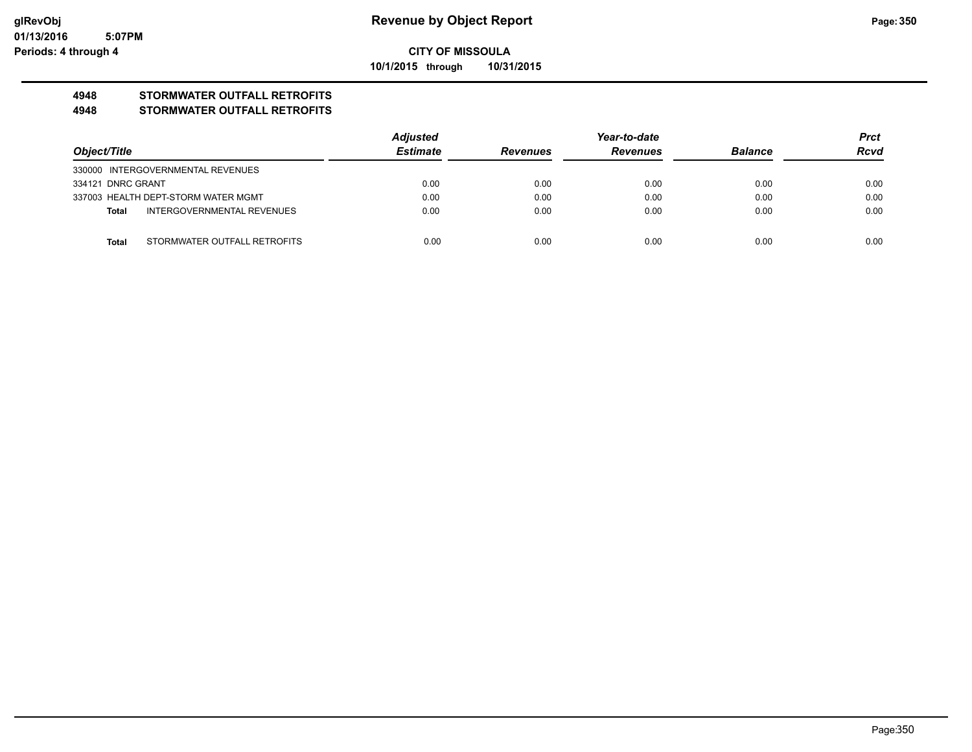**10/1/2015 through 10/31/2015**

# **4948 STORMWATER OUTFALL RETROFITS**

### **4948 STORMWATER OUTFALL RETROFITS**

|                   |                                     | <b>Adjusted</b> | Year-to-date    |                 |                | <b>Prct</b> |
|-------------------|-------------------------------------|-----------------|-----------------|-----------------|----------------|-------------|
| Object/Title      |                                     | <b>Estimate</b> | <b>Revenues</b> | <b>Revenues</b> | <b>Balance</b> | <b>Rcvd</b> |
|                   | 330000 INTERGOVERNMENTAL REVENUES   |                 |                 |                 |                |             |
| 334121 DNRC GRANT |                                     | 0.00            | 0.00            | 0.00            | 0.00           | 0.00        |
|                   | 337003 HEALTH DEPT-STORM WATER MGMT | 0.00            | 0.00            | 0.00            | 0.00           | 0.00        |
| Total             | INTERGOVERNMENTAL REVENUES          | 0.00            | 0.00            | 0.00            | 0.00           | 0.00        |
|                   |                                     |                 |                 |                 |                |             |
| <b>Total</b>      | STORMWATER OUTFALL RETROFITS        | 0.00            | 0.00            | 0.00            | 0.00           | 0.00        |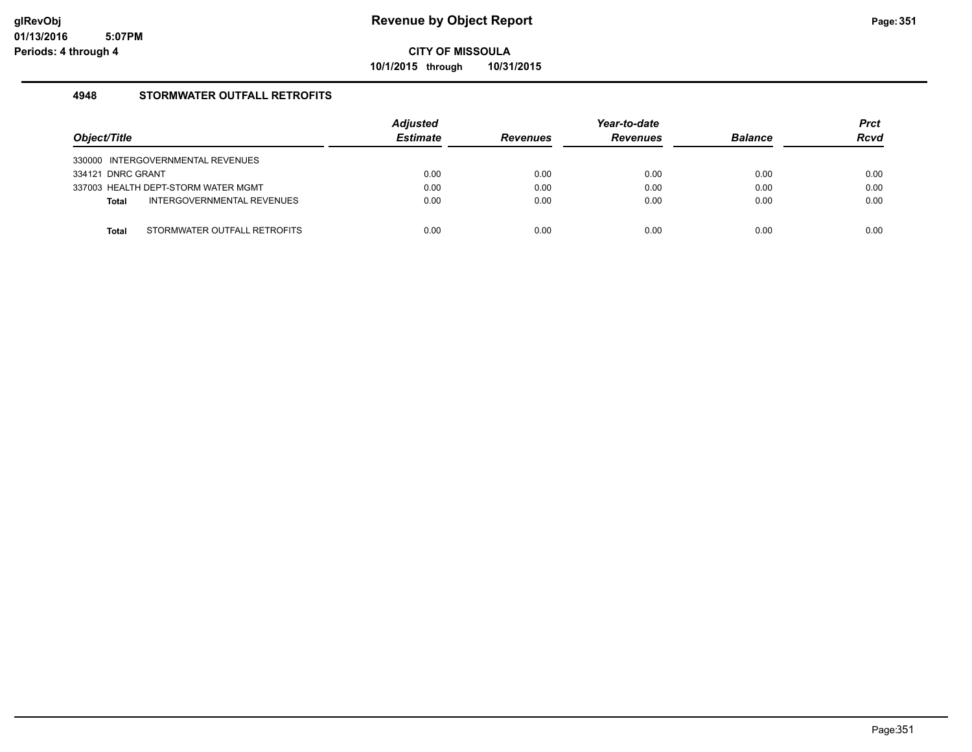**10/1/2015 through 10/31/2015**

### **4948 STORMWATER OUTFALL RETROFITS**

| Object/Title                               | <b>Adjusted</b><br><b>Estimate</b> | <b>Revenues</b> | Year-to-date<br><b>Revenues</b> | <b>Balance</b> | <b>Prct</b><br><b>Rcvd</b> |
|--------------------------------------------|------------------------------------|-----------------|---------------------------------|----------------|----------------------------|
| 330000 INTERGOVERNMENTAL REVENUES          |                                    |                 |                                 |                |                            |
| 334121 DNRC GRANT                          | 0.00                               | 0.00            | 0.00                            | 0.00           | 0.00                       |
| 337003 HEALTH DEPT-STORM WATER MGMT        | 0.00                               | 0.00            | 0.00                            | 0.00           | 0.00                       |
| INTERGOVERNMENTAL REVENUES<br><b>Total</b> | 0.00                               | 0.00            | 0.00                            | 0.00           | 0.00                       |
|                                            |                                    |                 |                                 |                |                            |
| STORMWATER OUTFALL RETROFITS<br>Total      | 0.00                               | 0.00            | 0.00                            | 0.00           | 0.00                       |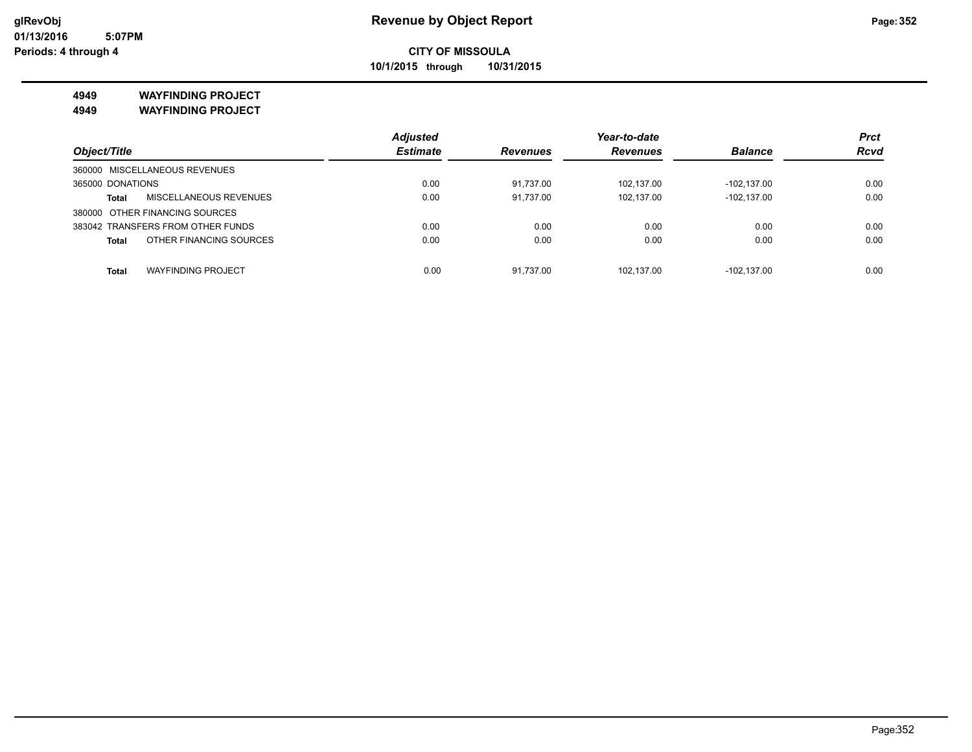**10/1/2015 through 10/31/2015**

### **4949 WAYFINDING PROJECT**

**4949 WAYFINDING PROJECT**

|                                         | <b>Adjusted</b> |                 | Year-to-date    |                | <b>Prct</b> |
|-----------------------------------------|-----------------|-----------------|-----------------|----------------|-------------|
| Object/Title                            | <b>Estimate</b> | <b>Revenues</b> | <b>Revenues</b> | <b>Balance</b> | <b>Rcvd</b> |
| 360000 MISCELLANEOUS REVENUES           |                 |                 |                 |                |             |
| 365000 DONATIONS                        | 0.00            | 91.737.00       | 102.137.00      | $-102.137.00$  | 0.00        |
| MISCELLANEOUS REVENUES<br><b>Total</b>  | 0.00            | 91.737.00       | 102.137.00      | $-102.137.00$  | 0.00        |
| 380000 OTHER FINANCING SOURCES          |                 |                 |                 |                |             |
| 383042 TRANSFERS FROM OTHER FUNDS       | 0.00            | 0.00            | 0.00            | 0.00           | 0.00        |
| OTHER FINANCING SOURCES<br><b>Total</b> | 0.00            | 0.00            | 0.00            | 0.00           | 0.00        |
|                                         |                 |                 |                 |                |             |
| <b>WAYFINDING PROJECT</b><br>Total      | 0.00            | 91.737.00       | 102.137.00      | $-102.137.00$  | 0.00        |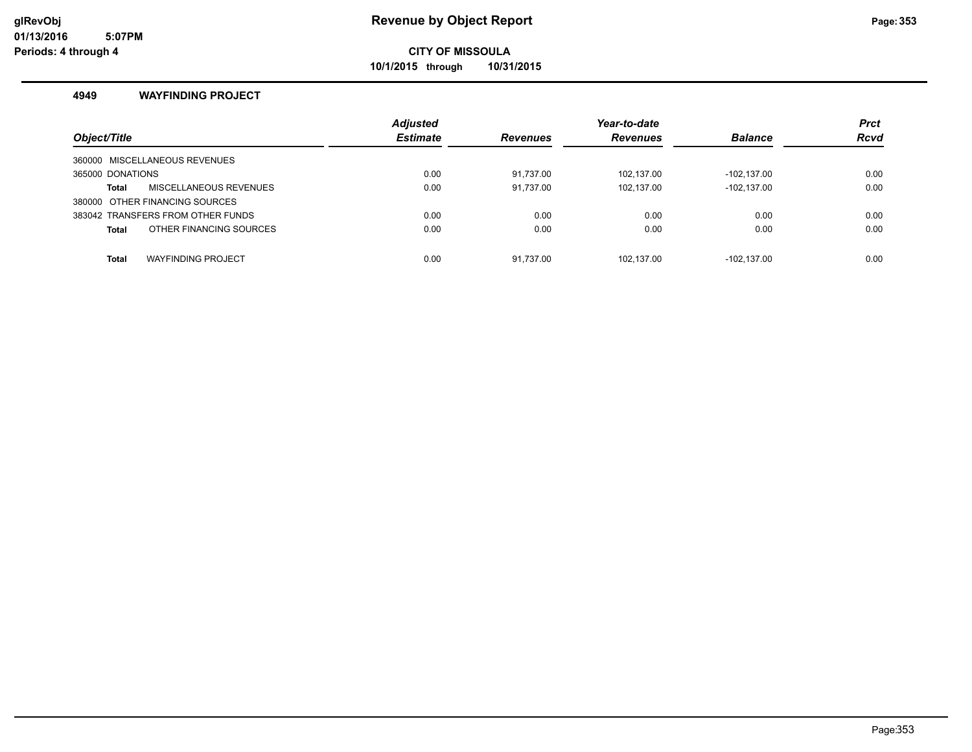**10/1/2015 through 10/31/2015**

### **4949 WAYFINDING PROJECT**

| Object/Title                              | <b>Adjusted</b><br><b>Estimate</b> | <b>Revenues</b> | Year-to-date<br><b>Revenues</b> | <b>Balance</b> | <b>Prct</b><br><b>Rcvd</b> |
|-------------------------------------------|------------------------------------|-----------------|---------------------------------|----------------|----------------------------|
| 360000 MISCELLANEOUS REVENUES             |                                    |                 |                                 |                |                            |
| 365000 DONATIONS                          | 0.00                               | 91.737.00       | 102.137.00                      | $-102.137.00$  | 0.00                       |
| MISCELLANEOUS REVENUES<br>Total           | 0.00                               | 91,737.00       | 102,137.00                      | $-102, 137.00$ | 0.00                       |
| 380000 OTHER FINANCING SOURCES            |                                    |                 |                                 |                |                            |
| 383042 TRANSFERS FROM OTHER FUNDS         | 0.00                               | 0.00            | 0.00                            | 0.00           | 0.00                       |
| OTHER FINANCING SOURCES<br><b>Total</b>   | 0.00                               | 0.00            | 0.00                            | 0.00           | 0.00                       |
| <b>WAYFINDING PROJECT</b><br><b>Total</b> | 0.00                               | 91.737.00       | 102.137.00                      | $-102.137.00$  | 0.00                       |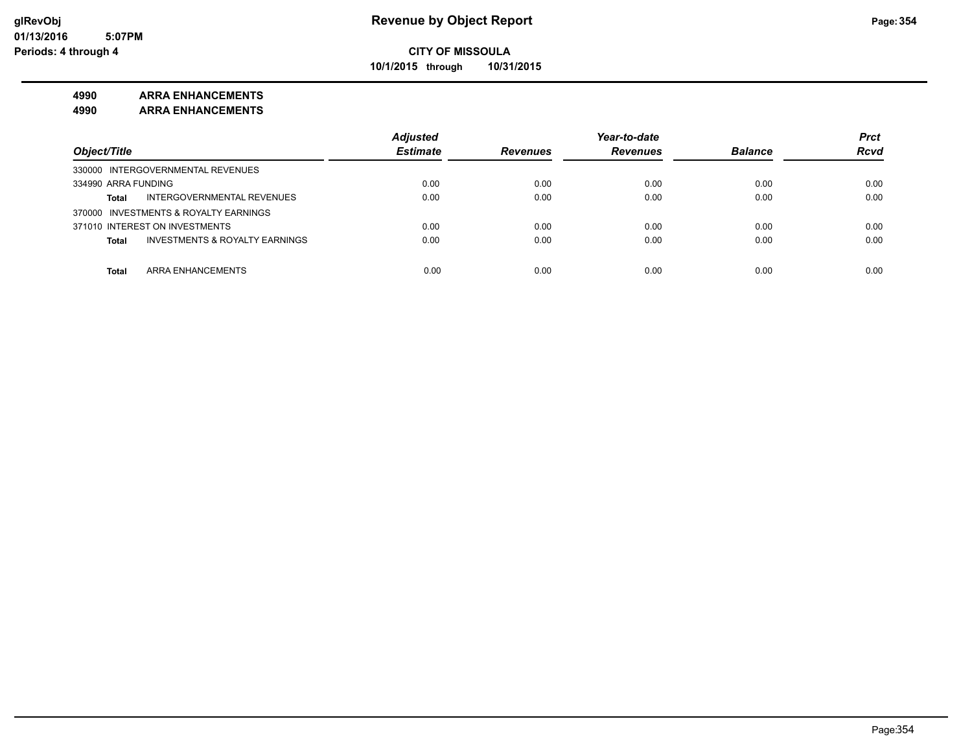**10/1/2015 through 10/31/2015**

### **4990 ARRA ENHANCEMENTS**

**4990 ARRA ENHANCEMENTS**

|                                                    | <b>Adiusted</b> |                 | Year-to-date    |                | <b>Prct</b> |
|----------------------------------------------------|-----------------|-----------------|-----------------|----------------|-------------|
| Object/Title                                       | <b>Estimate</b> | <b>Revenues</b> | <b>Revenues</b> | <b>Balance</b> | <b>Rcvd</b> |
| 330000 INTERGOVERNMENTAL REVENUES                  |                 |                 |                 |                |             |
| 334990 ARRA FUNDING                                | 0.00            | 0.00            | 0.00            | 0.00           | 0.00        |
| INTERGOVERNMENTAL REVENUES<br><b>Total</b>         | 0.00            | 0.00            | 0.00            | 0.00           | 0.00        |
| 370000 INVESTMENTS & ROYALTY EARNINGS              |                 |                 |                 |                |             |
| 371010 INTEREST ON INVESTMENTS                     | 0.00            | 0.00            | 0.00            | 0.00           | 0.00        |
| <b>INVESTMENTS &amp; ROYALTY EARNINGS</b><br>Total | 0.00            | 0.00            | 0.00            | 0.00           | 0.00        |
| <b>ARRA ENHANCEMENTS</b><br>Total                  | 0.00            | 0.00            | 0.00            | 0.00           | 0.00        |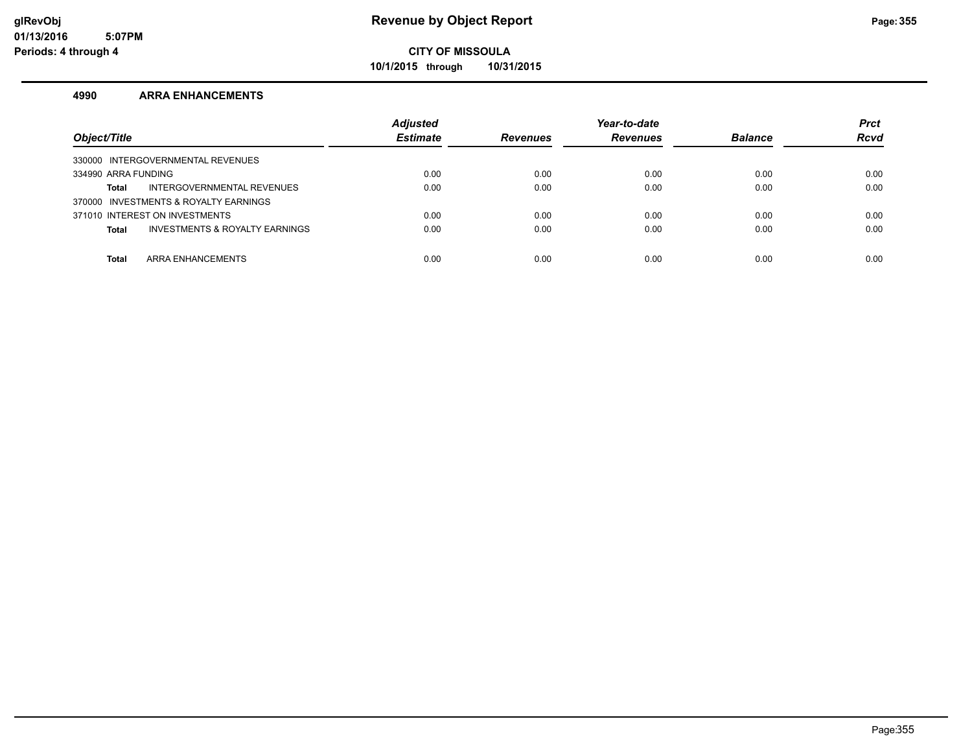**10/1/2015 through 10/31/2015**

#### **4990 ARRA ENHANCEMENTS**

| Object/Title                                   | <b>Adjusted</b><br><b>Estimate</b> | <b>Revenues</b> | Year-to-date<br><b>Revenues</b> | <b>Balance</b> | <b>Prct</b><br><b>Rcvd</b> |
|------------------------------------------------|------------------------------------|-----------------|---------------------------------|----------------|----------------------------|
| 330000 INTERGOVERNMENTAL REVENUES              |                                    |                 |                                 |                |                            |
| 334990 ARRA FUNDING                            | 0.00                               | 0.00            | 0.00                            | 0.00           | 0.00                       |
| INTERGOVERNMENTAL REVENUES<br>Total            | 0.00                               | 0.00            | 0.00                            | 0.00           | 0.00                       |
| 370000 INVESTMENTS & ROYALTY EARNINGS          |                                    |                 |                                 |                |                            |
| 371010 INTEREST ON INVESTMENTS                 | 0.00                               | 0.00            | 0.00                            | 0.00           | 0.00                       |
| INVESTMENTS & ROYALTY EARNINGS<br><b>Total</b> | 0.00                               | 0.00            | 0.00                            | 0.00           | 0.00                       |
|                                                |                                    |                 |                                 |                |                            |
| ARRA ENHANCEMENTS<br><b>Total</b>              | 0.00                               | 0.00            | 0.00                            | 0.00           | 0.00                       |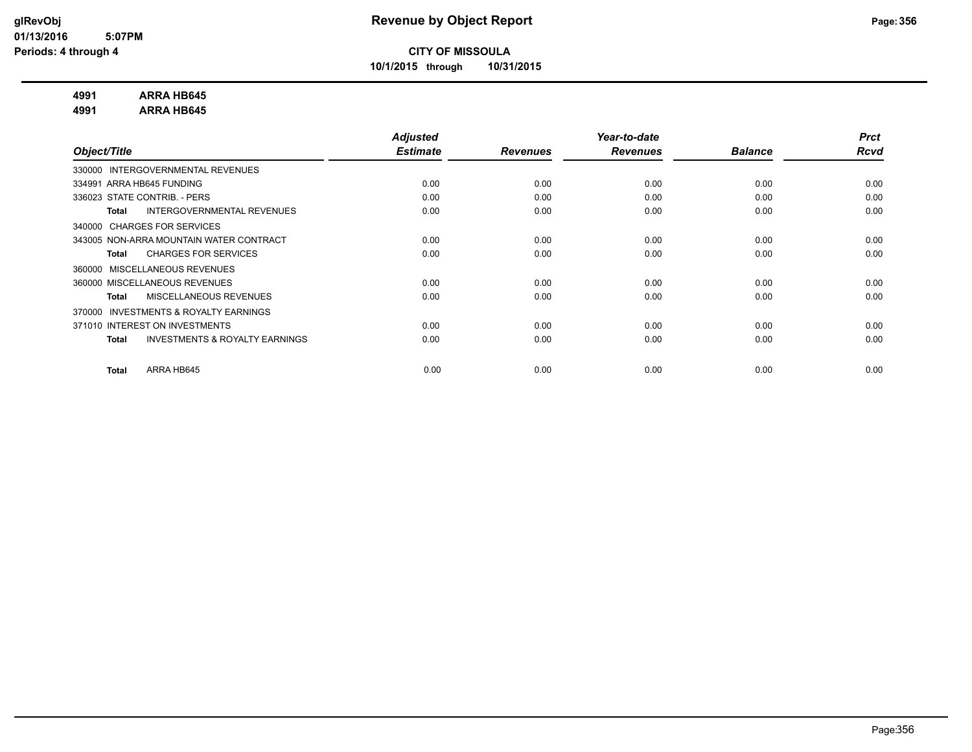**10/1/2015 through 10/31/2015**

### **4991 ARRA HB645**

**4991 ARRA HB645**

|                                                           | <b>Adjusted</b> |                 | Year-to-date    |                | <b>Prct</b> |
|-----------------------------------------------------------|-----------------|-----------------|-----------------|----------------|-------------|
| Object/Title                                              | <b>Estimate</b> | <b>Revenues</b> | <b>Revenues</b> | <b>Balance</b> | Rcvd        |
| INTERGOVERNMENTAL REVENUES<br>330000                      |                 |                 |                 |                |             |
| 334991 ARRA HB645 FUNDING                                 | 0.00            | 0.00            | 0.00            | 0.00           | 0.00        |
| 336023 STATE CONTRIB. - PERS                              | 0.00            | 0.00            | 0.00            | 0.00           | 0.00        |
| INTERGOVERNMENTAL REVENUES<br><b>Total</b>                | 0.00            | 0.00            | 0.00            | 0.00           | 0.00        |
| <b>CHARGES FOR SERVICES</b><br>340000                     |                 |                 |                 |                |             |
| 343005 NON-ARRA MOUNTAIN WATER CONTRACT                   | 0.00            | 0.00            | 0.00            | 0.00           | 0.00        |
| <b>CHARGES FOR SERVICES</b><br><b>Total</b>               | 0.00            | 0.00            | 0.00            | 0.00           | 0.00        |
| MISCELLANEOUS REVENUES<br>360000                          |                 |                 |                 |                |             |
| 360000 MISCELLANEOUS REVENUES                             | 0.00            | 0.00            | 0.00            | 0.00           | 0.00        |
| MISCELLANEOUS REVENUES<br><b>Total</b>                    | 0.00            | 0.00            | 0.00            | 0.00           | 0.00        |
| <b>INVESTMENTS &amp; ROYALTY EARNINGS</b><br>370000       |                 |                 |                 |                |             |
| 371010 INTEREST ON INVESTMENTS                            | 0.00            | 0.00            | 0.00            | 0.00           | 0.00        |
| <b>INVESTMENTS &amp; ROYALTY EARNINGS</b><br><b>Total</b> | 0.00            | 0.00            | 0.00            | 0.00           | 0.00        |
|                                                           |                 |                 |                 |                |             |
| ARRA HB645<br><b>Total</b>                                | 0.00            | 0.00            | 0.00            | 0.00           | 0.00        |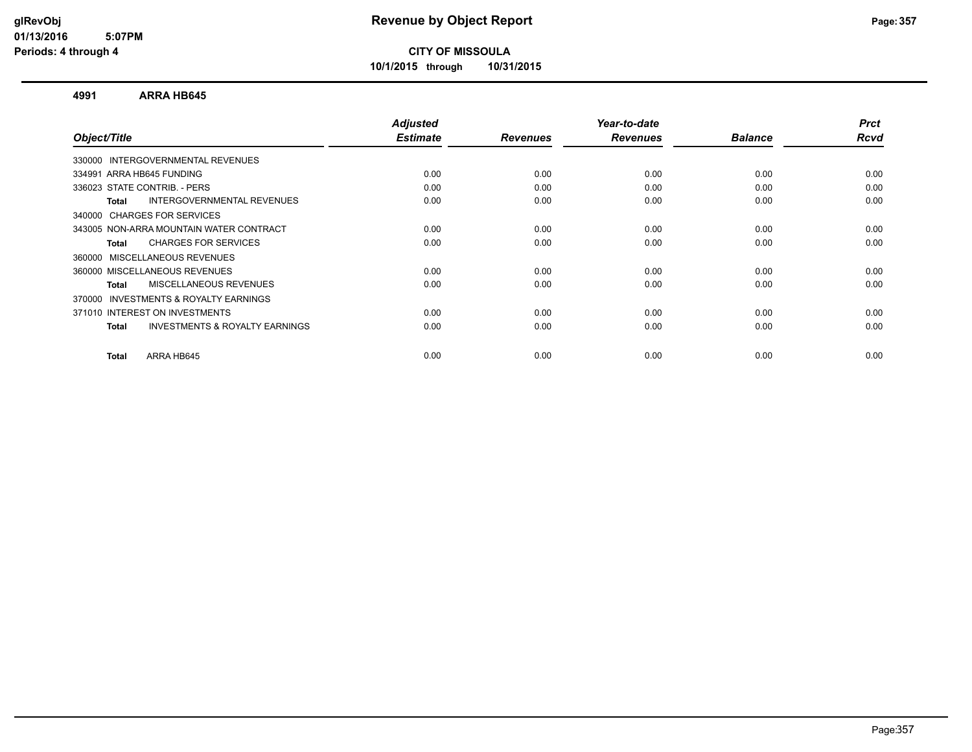**10/1/2015 through 10/31/2015**

#### **4991 ARRA HB645**

|      |                         |                         | <b>Balance</b>          | <b>Prct</b><br>Rcvd |
|------|-------------------------|-------------------------|-------------------------|---------------------|
|      |                         |                         |                         |                     |
|      |                         |                         |                         |                     |
| 0.00 | 0.00                    | 0.00                    | 0.00                    | 0.00                |
| 0.00 | 0.00                    | 0.00                    | 0.00                    | 0.00                |
| 0.00 | 0.00                    | 0.00                    | 0.00                    | 0.00                |
|      |                         |                         |                         |                     |
| 0.00 | 0.00                    | 0.00                    | 0.00                    | 0.00                |
| 0.00 | 0.00                    | 0.00                    | 0.00                    | 0.00                |
|      |                         |                         |                         |                     |
| 0.00 | 0.00                    | 0.00                    | 0.00                    | 0.00                |
| 0.00 | 0.00                    | 0.00                    | 0.00                    | 0.00                |
|      |                         |                         |                         |                     |
| 0.00 | 0.00                    | 0.00                    | 0.00                    | 0.00                |
| 0.00 | 0.00                    | 0.00                    | 0.00                    | 0.00                |
|      |                         |                         |                         | 0.00                |
|      | <b>Estimate</b><br>0.00 | <b>Revenues</b><br>0.00 | <b>Revenues</b><br>0.00 | 0.00                |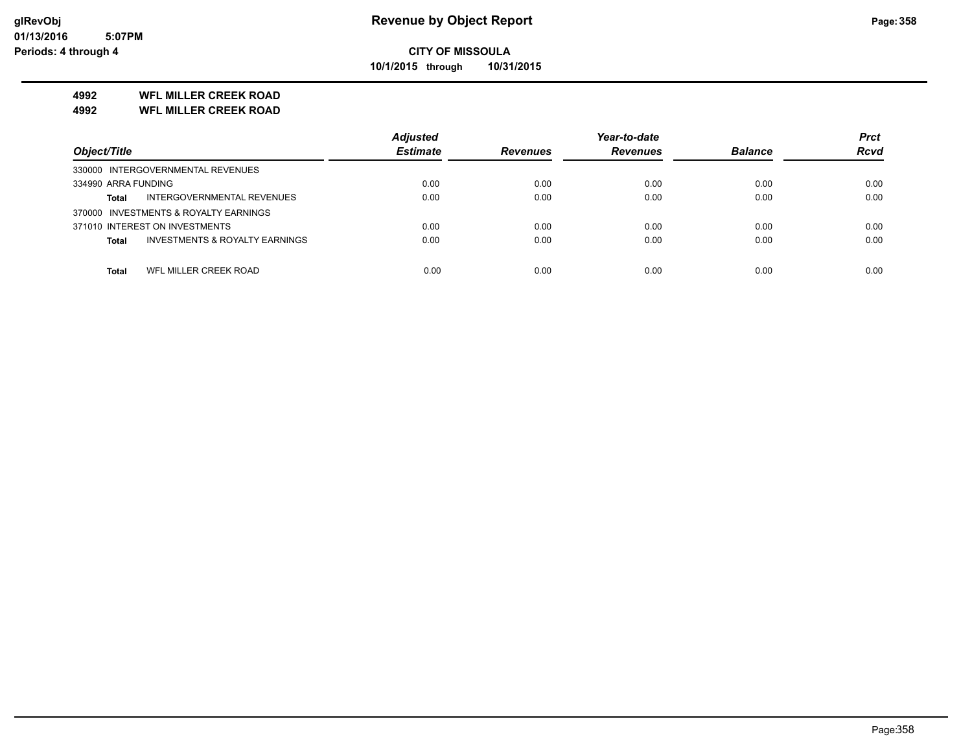**10/1/2015 through 10/31/2015**

## **4992 WFL MILLER CREEK ROAD**

**4992 WFL MILLER CREEK ROAD**

|                                                           | <b>Adjusted</b> |                 | Year-to-date    |                | <b>Prct</b> |
|-----------------------------------------------------------|-----------------|-----------------|-----------------|----------------|-------------|
| Object/Title                                              | <b>Estimate</b> | <b>Revenues</b> | <b>Revenues</b> | <b>Balance</b> | <b>Rcvd</b> |
| 330000 INTERGOVERNMENTAL REVENUES                         |                 |                 |                 |                |             |
| 334990 ARRA FUNDING                                       | 0.00            | 0.00            | 0.00            | 0.00           | 0.00        |
| INTERGOVERNMENTAL REVENUES<br><b>Total</b>                | 0.00            | 0.00            | 0.00            | 0.00           | 0.00        |
| 370000 INVESTMENTS & ROYALTY EARNINGS                     |                 |                 |                 |                |             |
| 371010 INTEREST ON INVESTMENTS                            | 0.00            | 0.00            | 0.00            | 0.00           | 0.00        |
| <b>INVESTMENTS &amp; ROYALTY EARNINGS</b><br><b>Total</b> | 0.00            | 0.00            | 0.00            | 0.00           | 0.00        |
|                                                           |                 |                 |                 |                |             |
| WFL MILLER CREEK ROAD<br><b>Total</b>                     | 0.00            | 0.00            | 0.00            | 0.00           | 0.00        |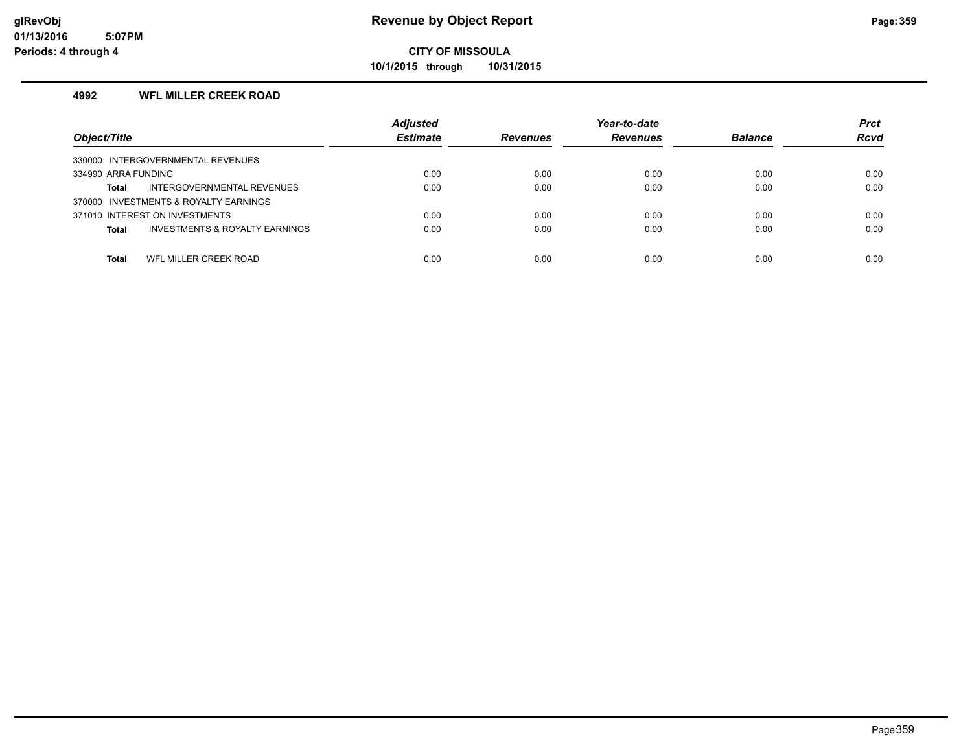**10/1/2015 through 10/31/2015**

### **4992 WFL MILLER CREEK ROAD**

| Object/Title                                              | <b>Adjusted</b><br><b>Estimate</b> | <b>Revenues</b> | Year-to-date<br><b>Revenues</b> | <b>Balance</b> | <b>Prct</b><br><b>Rcvd</b> |
|-----------------------------------------------------------|------------------------------------|-----------------|---------------------------------|----------------|----------------------------|
|                                                           |                                    |                 |                                 |                |                            |
| 330000 INTERGOVERNMENTAL REVENUES                         |                                    |                 |                                 |                |                            |
| 334990 ARRA FUNDING                                       | 0.00                               | 0.00            | 0.00                            | 0.00           | 0.00                       |
| INTERGOVERNMENTAL REVENUES<br>Total                       | 0.00                               | 0.00            | 0.00                            | 0.00           | 0.00                       |
| 370000 INVESTMENTS & ROYALTY EARNINGS                     |                                    |                 |                                 |                |                            |
| 371010 INTEREST ON INVESTMENTS                            | 0.00                               | 0.00            | 0.00                            | 0.00           | 0.00                       |
| <b>INVESTMENTS &amp; ROYALTY EARNINGS</b><br><b>Total</b> | 0.00                               | 0.00            | 0.00                            | 0.00           | 0.00                       |
|                                                           |                                    |                 |                                 |                |                            |
| WFL MILLER CREEK ROAD<br>Total                            | 0.00                               | 0.00            | 0.00                            | 0.00           | 0.00                       |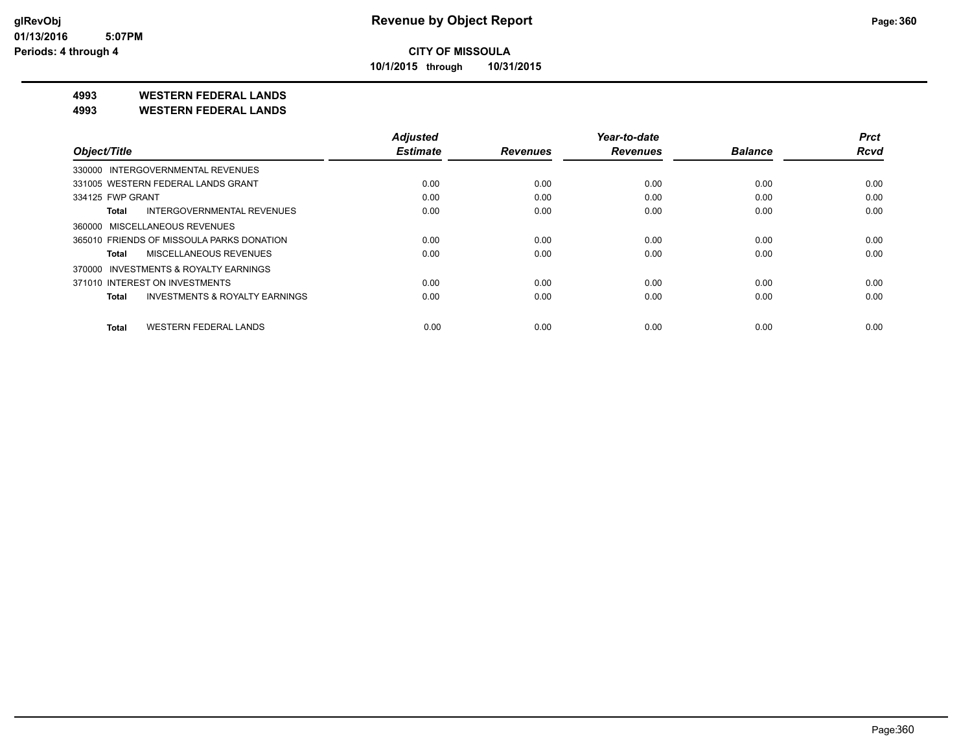**10/1/2015 through 10/31/2015**

## **4993 WESTERN FEDERAL LANDS**

**4993 WESTERN FEDERAL LANDS**

| Object/Title                                       | <b>Adjusted</b><br><b>Estimate</b> |                 | Year-to-date    | <b>Balance</b> | <b>Prct</b><br><b>Rcvd</b> |
|----------------------------------------------------|------------------------------------|-----------------|-----------------|----------------|----------------------------|
|                                                    |                                    | <b>Revenues</b> | <b>Revenues</b> |                |                            |
| 330000 INTERGOVERNMENTAL REVENUES                  |                                    |                 |                 |                |                            |
| 331005 WESTERN FEDERAL LANDS GRANT                 | 0.00                               | 0.00            | 0.00            | 0.00           | 0.00                       |
| 334125 FWP GRANT                                   | 0.00                               | 0.00            | 0.00            | 0.00           | 0.00                       |
| INTERGOVERNMENTAL REVENUES<br>Total                | 0.00                               | 0.00            | 0.00            | 0.00           | 0.00                       |
| 360000 MISCELLANEOUS REVENUES                      |                                    |                 |                 |                |                            |
| 365010 FRIENDS OF MISSOULA PARKS DONATION          | 0.00                               | 0.00            | 0.00            | 0.00           | 0.00                       |
| MISCELLANEOUS REVENUES<br>Total                    | 0.00                               | 0.00            | 0.00            | 0.00           | 0.00                       |
| 370000 INVESTMENTS & ROYALTY EARNINGS              |                                    |                 |                 |                |                            |
| 371010 INTEREST ON INVESTMENTS                     | 0.00                               | 0.00            | 0.00            | 0.00           | 0.00                       |
| <b>INVESTMENTS &amp; ROYALTY EARNINGS</b><br>Total | 0.00                               | 0.00            | 0.00            | 0.00           | 0.00                       |
| <b>WESTERN FEDERAL LANDS</b><br><b>Total</b>       | 0.00                               | 0.00            | 0.00            | 0.00           | 0.00                       |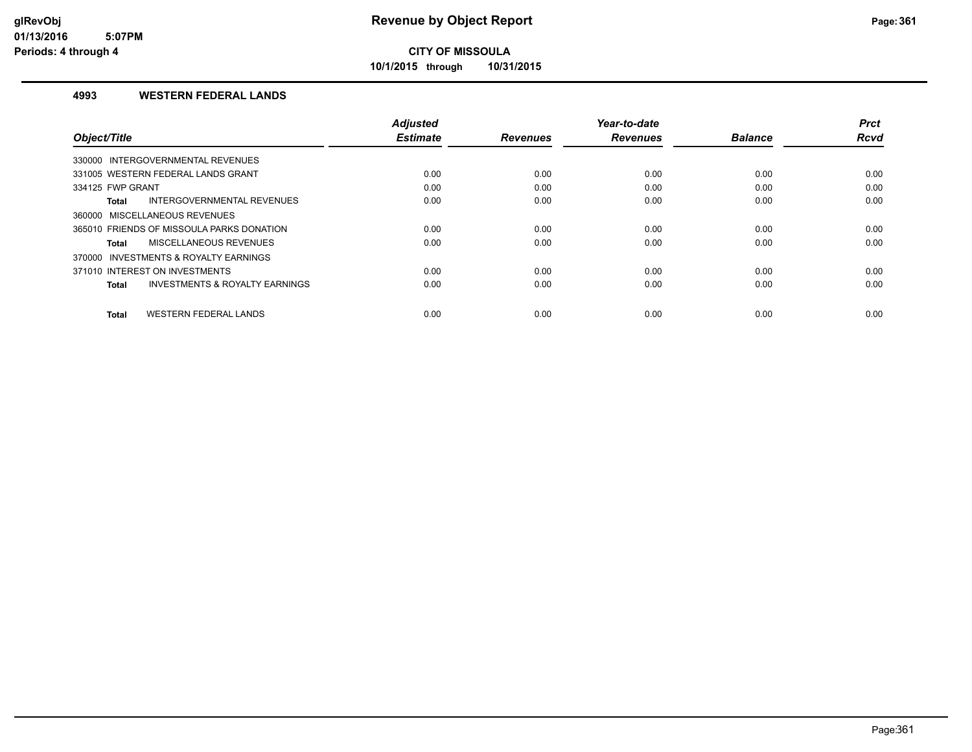**10/1/2015 through 10/31/2015**

#### **4993 WESTERN FEDERAL LANDS**

|                                                    | <b>Adjusted</b> |                 | Year-to-date    |                | <b>Prct</b> |
|----------------------------------------------------|-----------------|-----------------|-----------------|----------------|-------------|
| Object/Title                                       | <b>Estimate</b> | <b>Revenues</b> | <b>Revenues</b> | <b>Balance</b> | <b>Rcvd</b> |
| 330000 INTERGOVERNMENTAL REVENUES                  |                 |                 |                 |                |             |
| 331005 WESTERN FEDERAL LANDS GRANT                 | 0.00            | 0.00            | 0.00            | 0.00           | 0.00        |
| 334125 FWP GRANT                                   | 0.00            | 0.00            | 0.00            | 0.00           | 0.00        |
| INTERGOVERNMENTAL REVENUES<br>Total                | 0.00            | 0.00            | 0.00            | 0.00           | 0.00        |
| 360000 MISCELLANEOUS REVENUES                      |                 |                 |                 |                |             |
| 365010 FRIENDS OF MISSOULA PARKS DONATION          | 0.00            | 0.00            | 0.00            | 0.00           | 0.00        |
| MISCELLANEOUS REVENUES<br>Total                    | 0.00            | 0.00            | 0.00            | 0.00           | 0.00        |
| 370000 INVESTMENTS & ROYALTY EARNINGS              |                 |                 |                 |                |             |
| 371010 INTEREST ON INVESTMENTS                     | 0.00            | 0.00            | 0.00            | 0.00           | 0.00        |
| <b>INVESTMENTS &amp; ROYALTY EARNINGS</b><br>Total | 0.00            | 0.00            | 0.00            | 0.00           | 0.00        |
|                                                    |                 |                 |                 |                |             |
| <b>WESTERN FEDERAL LANDS</b><br><b>Total</b>       | 0.00            | 0.00            | 0.00            | 0.00           | 0.00        |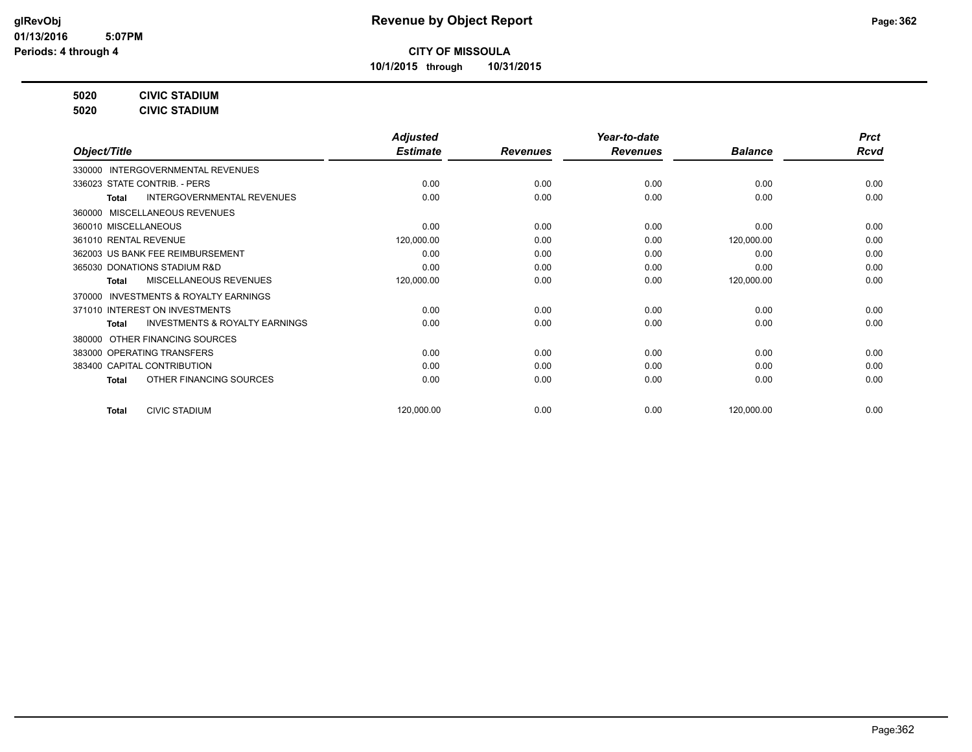**10/1/2015 through 10/31/2015**

**5020 CIVIC STADIUM**

**5020 CIVIC STADIUM**

|                                                     | <b>Adjusted</b> |                 | Year-to-date    |                | <b>Prct</b> |
|-----------------------------------------------------|-----------------|-----------------|-----------------|----------------|-------------|
| Object/Title                                        | <b>Estimate</b> | <b>Revenues</b> | <b>Revenues</b> | <b>Balance</b> | <b>Rcvd</b> |
| INTERGOVERNMENTAL REVENUES<br>330000                |                 |                 |                 |                |             |
| 336023 STATE CONTRIB. - PERS                        | 0.00            | 0.00            | 0.00            | 0.00           | 0.00        |
| <b>INTERGOVERNMENTAL REVENUES</b><br>Total          | 0.00            | 0.00            | 0.00            | 0.00           | 0.00        |
| MISCELLANEOUS REVENUES<br>360000                    |                 |                 |                 |                |             |
| 360010 MISCELLANEOUS                                | 0.00            | 0.00            | 0.00            | 0.00           | 0.00        |
| 361010 RENTAL REVENUE                               | 120,000.00      | 0.00            | 0.00            | 120,000.00     | 0.00        |
| 362003 US BANK FEE REIMBURSEMENT                    | 0.00            | 0.00            | 0.00            | 0.00           | 0.00        |
| 365030 DONATIONS STADIUM R&D                        | 0.00            | 0.00            | 0.00            | 0.00           | 0.00        |
| MISCELLANEOUS REVENUES<br><b>Total</b>              | 120,000.00      | 0.00            | 0.00            | 120,000.00     | 0.00        |
| <b>INVESTMENTS &amp; ROYALTY EARNINGS</b><br>370000 |                 |                 |                 |                |             |
| 371010 INTEREST ON INVESTMENTS                      | 0.00            | 0.00            | 0.00            | 0.00           | 0.00        |
| <b>INVESTMENTS &amp; ROYALTY EARNINGS</b><br>Total  | 0.00            | 0.00            | 0.00            | 0.00           | 0.00        |
| OTHER FINANCING SOURCES<br>380000                   |                 |                 |                 |                |             |
| 383000 OPERATING TRANSFERS                          | 0.00            | 0.00            | 0.00            | 0.00           | 0.00        |
| 383400 CAPITAL CONTRIBUTION                         | 0.00            | 0.00            | 0.00            | 0.00           | 0.00        |
| OTHER FINANCING SOURCES<br><b>Total</b>             | 0.00            | 0.00            | 0.00            | 0.00           | 0.00        |
|                                                     |                 |                 |                 |                | 0.00        |
| <b>CIVIC STADIUM</b><br><b>Total</b>                | 120,000.00      | 0.00            | 0.00            | 120,000.00     |             |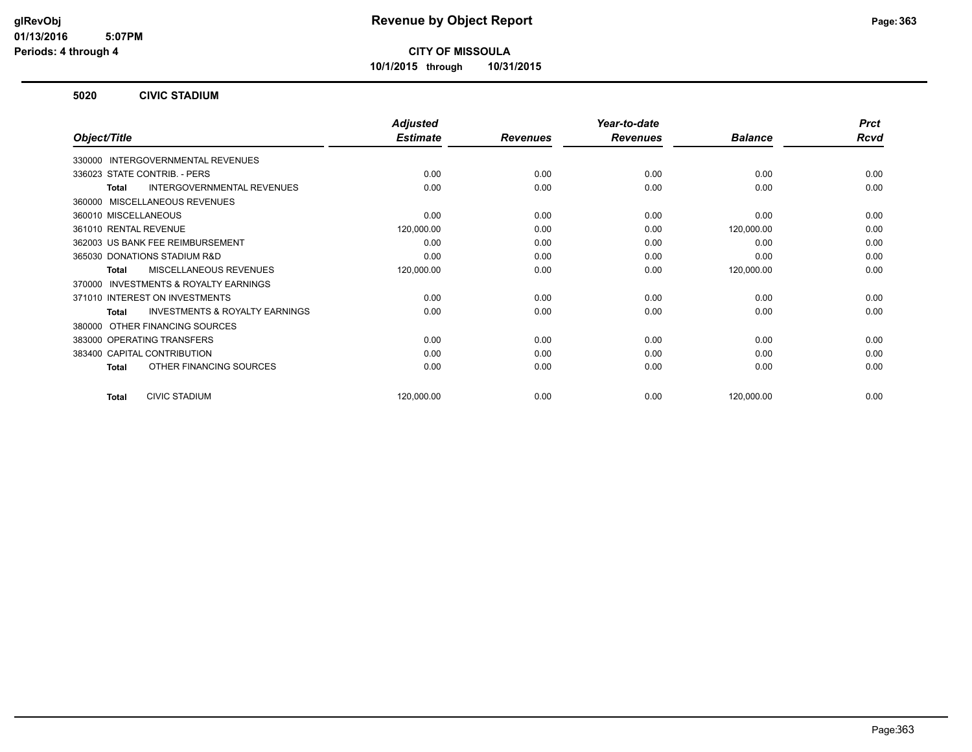**10/1/2015 through 10/31/2015**

#### **5020 CIVIC STADIUM**

|                                                     | <b>Adjusted</b> |                 | Year-to-date    |                | <b>Prct</b> |
|-----------------------------------------------------|-----------------|-----------------|-----------------|----------------|-------------|
| Object/Title                                        | <b>Estimate</b> | <b>Revenues</b> | <b>Revenues</b> | <b>Balance</b> | <b>Rcvd</b> |
| 330000 INTERGOVERNMENTAL REVENUES                   |                 |                 |                 |                |             |
| 336023 STATE CONTRIB. - PERS                        | 0.00            | 0.00            | 0.00            | 0.00           | 0.00        |
| INTERGOVERNMENTAL REVENUES<br><b>Total</b>          | 0.00            | 0.00            | 0.00            | 0.00           | 0.00        |
| 360000 MISCELLANEOUS REVENUES                       |                 |                 |                 |                |             |
| 360010 MISCELLANEOUS                                | 0.00            | 0.00            | 0.00            | 0.00           | 0.00        |
| 361010 RENTAL REVENUE                               | 120,000.00      | 0.00            | 0.00            | 120,000.00     | 0.00        |
| 362003 US BANK FEE REIMBURSEMENT                    | 0.00            | 0.00            | 0.00            | 0.00           | 0.00        |
| 365030 DONATIONS STADIUM R&D                        | 0.00            | 0.00            | 0.00            | 0.00           | 0.00        |
| MISCELLANEOUS REVENUES<br><b>Total</b>              | 120,000.00      | 0.00            | 0.00            | 120,000.00     | 0.00        |
| <b>INVESTMENTS &amp; ROYALTY EARNINGS</b><br>370000 |                 |                 |                 |                |             |
| 371010 INTEREST ON INVESTMENTS                      | 0.00            | 0.00            | 0.00            | 0.00           | 0.00        |
| <b>INVESTMENTS &amp; ROYALTY EARNINGS</b><br>Total  | 0.00            | 0.00            | 0.00            | 0.00           | 0.00        |
| OTHER FINANCING SOURCES<br>380000                   |                 |                 |                 |                |             |
| 383000 OPERATING TRANSFERS                          | 0.00            | 0.00            | 0.00            | 0.00           | 0.00        |
| 383400 CAPITAL CONTRIBUTION                         | 0.00            | 0.00            | 0.00            | 0.00           | 0.00        |
| OTHER FINANCING SOURCES<br><b>Total</b>             | 0.00            | 0.00            | 0.00            | 0.00           | 0.00        |
| <b>CIVIC STADIUM</b><br><b>Total</b>                | 120,000.00      | 0.00            | 0.00            | 120,000.00     | 0.00        |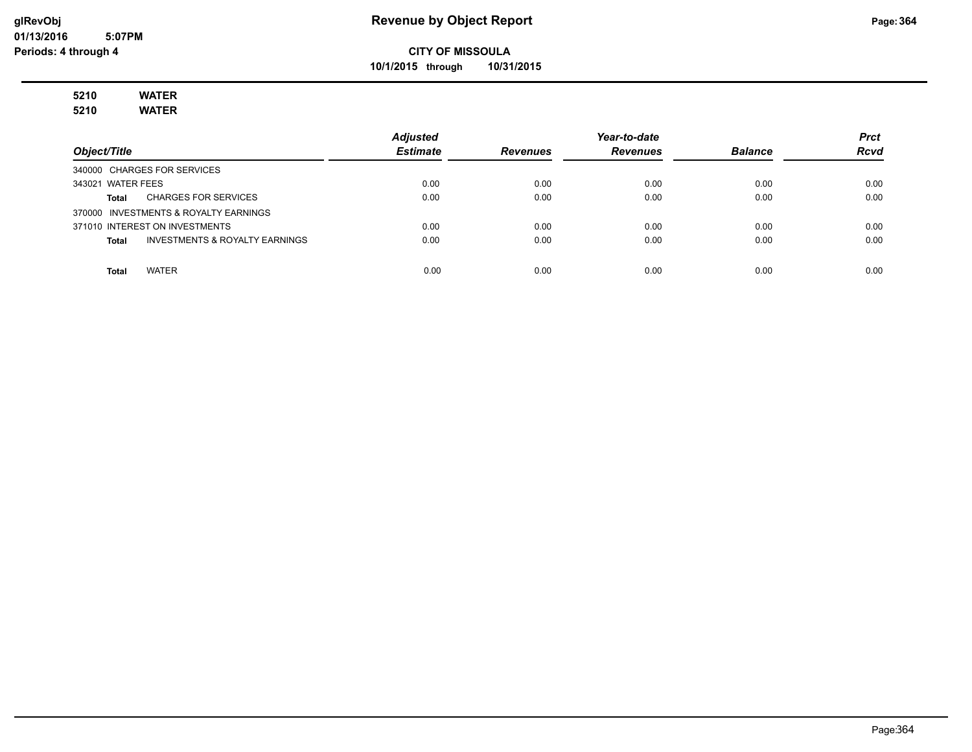**10/1/2015 through 10/31/2015**

#### **5210 WATER 5210 WATER**

|                                         | <b>Adjusted</b> |                 | Year-to-date    |                | <b>Prct</b> |
|-----------------------------------------|-----------------|-----------------|-----------------|----------------|-------------|
| Object/Title                            | <b>Estimate</b> | <b>Revenues</b> | <b>Revenues</b> | <b>Balance</b> | <b>Rcvd</b> |
| 340000 CHARGES FOR SERVICES             |                 |                 |                 |                |             |
| 343021 WATER FEES                       | 0.00            | 0.00            | 0.00            | 0.00           | 0.00        |
| <b>CHARGES FOR SERVICES</b><br>Total    | 0.00            | 0.00            | 0.00            | 0.00           | 0.00        |
| 370000 INVESTMENTS & ROYALTY EARNINGS   |                 |                 |                 |                |             |
| 371010 INTEREST ON INVESTMENTS          | 0.00            | 0.00            | 0.00            | 0.00           | 0.00        |
| INVESTMENTS & ROYALTY EARNINGS<br>Total | 0.00            | 0.00            | 0.00            | 0.00           | 0.00        |
|                                         |                 |                 |                 |                |             |
| <b>WATER</b><br>Total                   | 0.00            | 0.00            | 0.00            | 0.00           | 0.00        |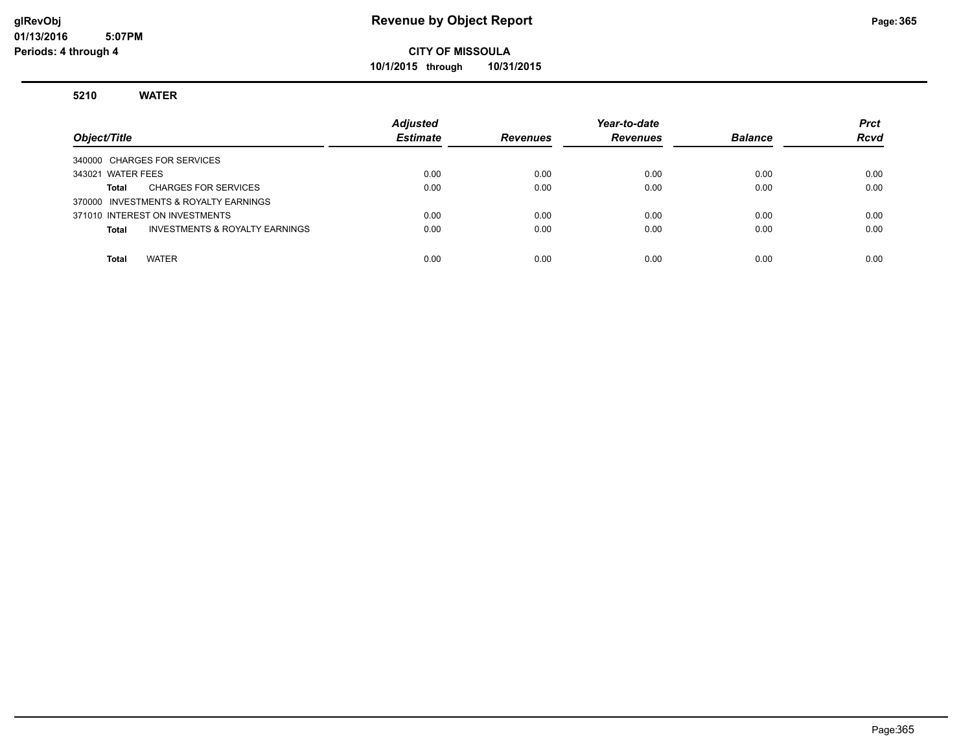**10/1/2015 through 10/31/2015**

#### **5210 WATER**

| Object/Title                                       | <b>Adjusted</b><br><b>Estimate</b> | <b>Revenues</b> | Year-to-date<br><b>Revenues</b> | <b>Balance</b> | <b>Prct</b><br><b>Rcvd</b> |
|----------------------------------------------------|------------------------------------|-----------------|---------------------------------|----------------|----------------------------|
| 340000 CHARGES FOR SERVICES                        |                                    |                 |                                 |                |                            |
| 343021 WATER FEES                                  | 0.00                               | 0.00            | 0.00                            | 0.00           | 0.00                       |
| <b>CHARGES FOR SERVICES</b><br>Total               | 0.00                               | 0.00            | 0.00                            | 0.00           | 0.00                       |
| 370000 INVESTMENTS & ROYALTY EARNINGS              |                                    |                 |                                 |                |                            |
| 371010 INTEREST ON INVESTMENTS                     | 0.00                               | 0.00            | 0.00                            | 0.00           | 0.00                       |
| <b>INVESTMENTS &amp; ROYALTY EARNINGS</b><br>Total | 0.00                               | 0.00            | 0.00                            | 0.00           | 0.00                       |
|                                                    |                                    |                 |                                 |                |                            |
| <b>WATER</b><br><b>Total</b>                       | 0.00                               | 0.00            | 0.00                            | 0.00           | 0.00                       |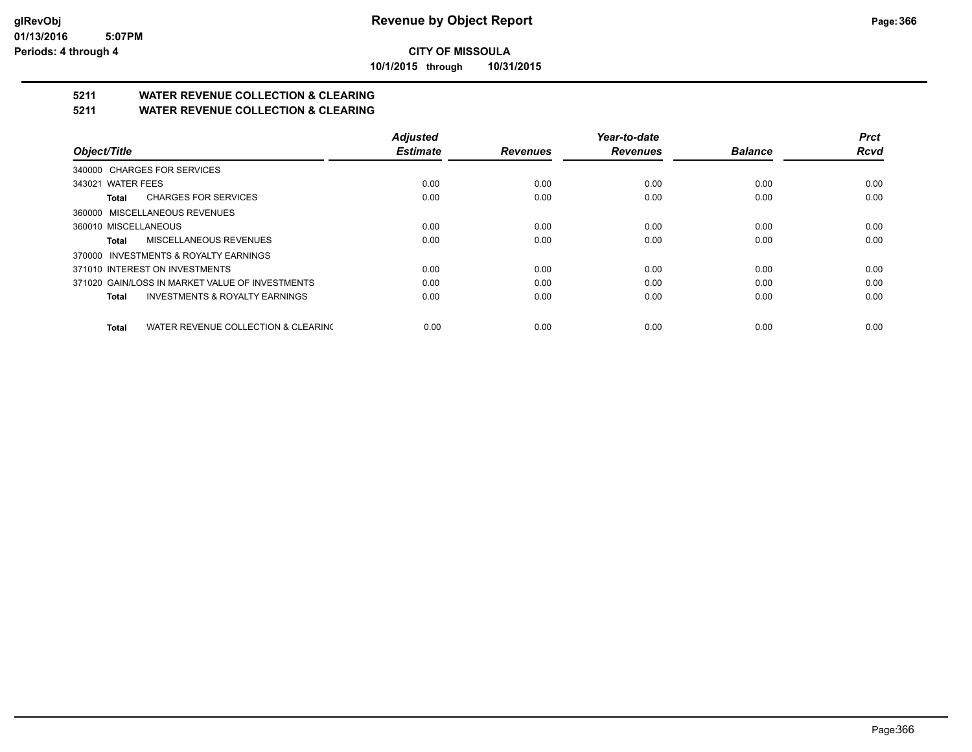**10/1/2015 through 10/31/2015**

## **5211 WATER REVENUE COLLECTION & CLEARING**

**5211 WATER REVENUE COLLECTION & CLEARING**

|                                                     | <b>Adjusted</b> |                 | Year-to-date    |                | <b>Prct</b> |
|-----------------------------------------------------|-----------------|-----------------|-----------------|----------------|-------------|
| Object/Title                                        | <b>Estimate</b> | <b>Revenues</b> | <b>Revenues</b> | <b>Balance</b> | Rcvd        |
| 340000 CHARGES FOR SERVICES                         |                 |                 |                 |                |             |
| 343021 WATER FEES                                   | 0.00            | 0.00            | 0.00            | 0.00           | 0.00        |
| <b>CHARGES FOR SERVICES</b><br>Total                | 0.00            | 0.00            | 0.00            | 0.00           | 0.00        |
| 360000 MISCELLANEOUS REVENUES                       |                 |                 |                 |                |             |
| 360010 MISCELLANEOUS                                | 0.00            | 0.00            | 0.00            | 0.00           | 0.00        |
| MISCELLANEOUS REVENUES<br>Total                     | 0.00            | 0.00            | 0.00            | 0.00           | 0.00        |
| 370000 INVESTMENTS & ROYALTY EARNINGS               |                 |                 |                 |                |             |
| 371010 INTEREST ON INVESTMENTS                      | 0.00            | 0.00            | 0.00            | 0.00           | 0.00        |
| 371020 GAIN/LOSS IN MARKET VALUE OF INVESTMENTS     | 0.00            | 0.00            | 0.00            | 0.00           | 0.00        |
| <b>INVESTMENTS &amp; ROYALTY EARNINGS</b><br>Total  | 0.00            | 0.00            | 0.00            | 0.00           | 0.00        |
| WATER REVENUE COLLECTION & CLEARING<br><b>Total</b> | 0.00            | 0.00            | 0.00            | 0.00           | 0.00        |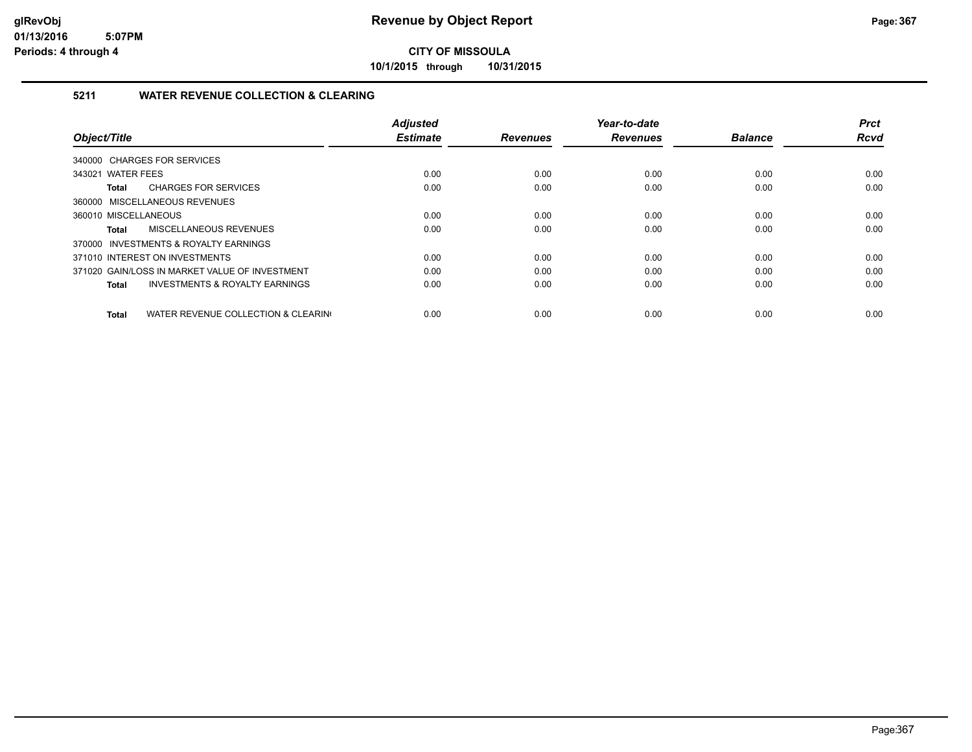**10/1/2015 through 10/31/2015**

#### **5211 WATER REVENUE COLLECTION & CLEARING**

|                                                    | <b>Adjusted</b> |                 | Year-to-date    |                | <b>Prct</b> |
|----------------------------------------------------|-----------------|-----------------|-----------------|----------------|-------------|
| Object/Title                                       | <b>Estimate</b> | <b>Revenues</b> | <b>Revenues</b> | <b>Balance</b> | <b>Rcvd</b> |
| 340000 CHARGES FOR SERVICES                        |                 |                 |                 |                |             |
| 343021 WATER FEES                                  | 0.00            | 0.00            | 0.00            | 0.00           | 0.00        |
| <b>CHARGES FOR SERVICES</b><br>Total               | 0.00            | 0.00            | 0.00            | 0.00           | 0.00        |
| 360000 MISCELLANEOUS REVENUES                      |                 |                 |                 |                |             |
| 360010 MISCELLANEOUS                               | 0.00            | 0.00            | 0.00            | 0.00           | 0.00        |
| MISCELLANEOUS REVENUES<br>Total                    | 0.00            | 0.00            | 0.00            | 0.00           | 0.00        |
| 370000 INVESTMENTS & ROYALTY EARNINGS              |                 |                 |                 |                |             |
| 371010 INTEREST ON INVESTMENTS                     | 0.00            | 0.00            | 0.00            | 0.00           | 0.00        |
| 371020 GAIN/LOSS IN MARKET VALUE OF INVESTMENT     | 0.00            | 0.00            | 0.00            | 0.00           | 0.00        |
| <b>INVESTMENTS &amp; ROYALTY EARNINGS</b><br>Total | 0.00            | 0.00            | 0.00            | 0.00           | 0.00        |
|                                                    |                 |                 |                 |                |             |
| WATER REVENUE COLLECTION & CLEARING<br>Total       | 0.00            | 0.00            | 0.00            | 0.00           | 0.00        |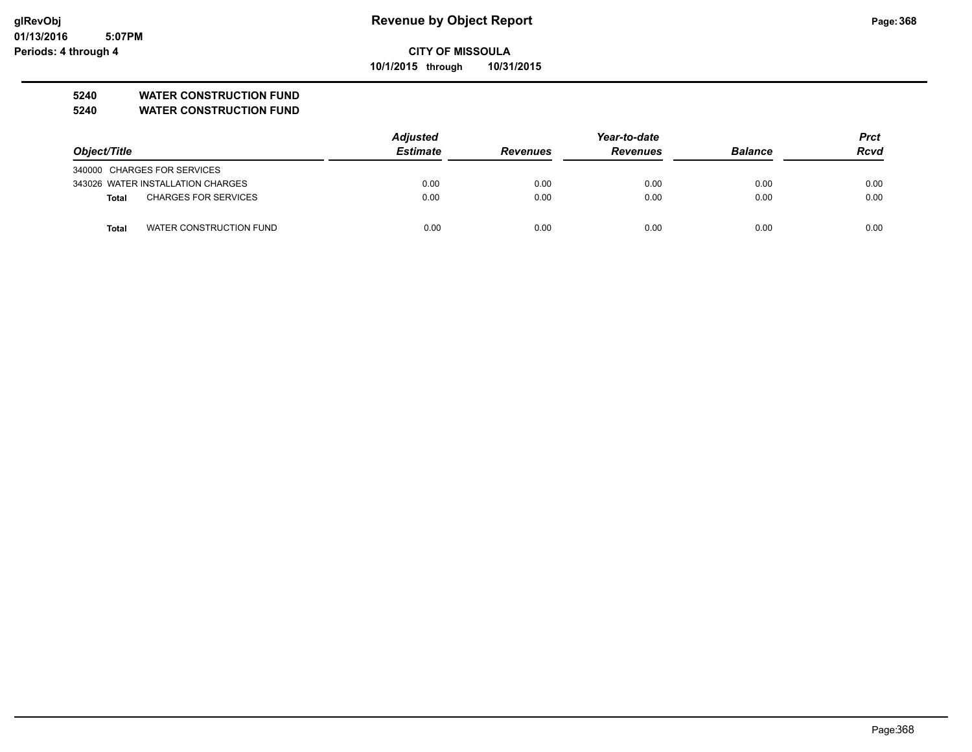**10/1/2015 through 10/31/2015**

#### **5240 WATER CONSTRUCTION FUND**

**5240 WATER CONSTRUCTION FUND**

|                                      | <b>Adjusted</b> |                 |                 | <b>Prct</b>    |             |
|--------------------------------------|-----------------|-----------------|-----------------|----------------|-------------|
| Object/Title                         | <b>Estimate</b> | <b>Revenues</b> | <b>Revenues</b> | <b>Balance</b> | <b>Rcvd</b> |
| 340000 CHARGES FOR SERVICES          |                 |                 |                 |                |             |
| 343026 WATER INSTALLATION CHARGES    | 0.00            | 0.00            | 0.00            | 0.00           | 0.00        |
| <b>CHARGES FOR SERVICES</b><br>Total | 0.00            | 0.00            | 0.00            | 0.00           | 0.00        |
| WATER CONSTRUCTION FUND<br>Total     | 0.00            | 0.00            | 0.00            | 0.00           | 0.00        |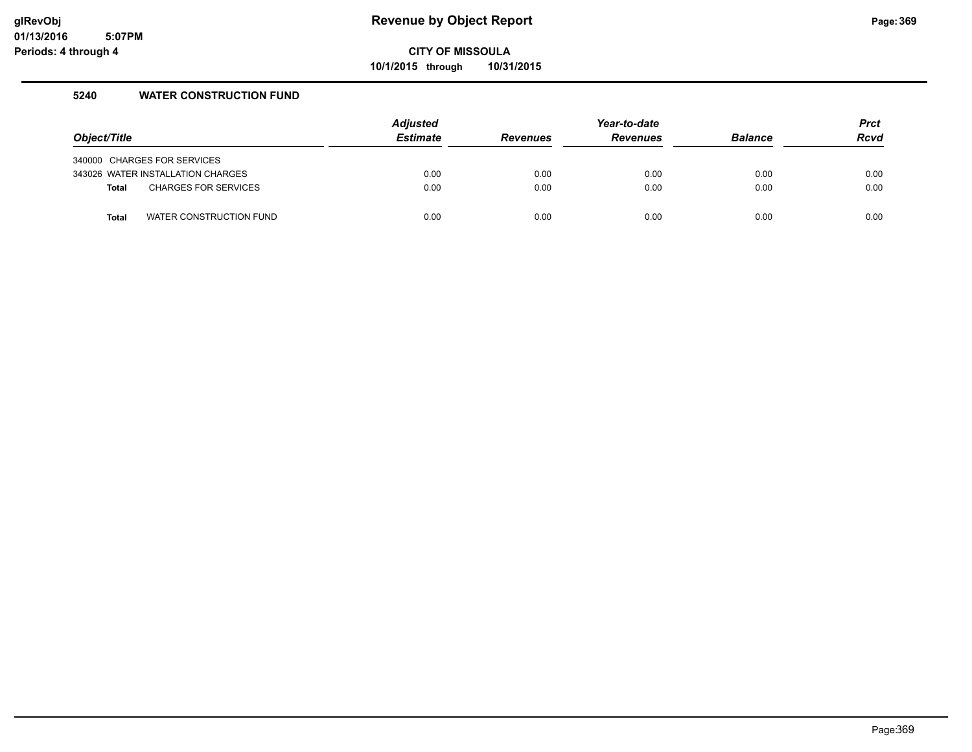**10/1/2015 through 10/31/2015**

#### **5240 WATER CONSTRUCTION FUND**

| Object/Title |                                   | <b>Adjusted</b><br><b>Estimate</b> | <b>Revenues</b> | Year-to-date<br><b>Revenues</b> | <b>Balance</b> | <b>Prct</b><br><b>Rcvd</b> |
|--------------|-----------------------------------|------------------------------------|-----------------|---------------------------------|----------------|----------------------------|
|              | 340000 CHARGES FOR SERVICES       |                                    |                 |                                 |                |                            |
|              | 343026 WATER INSTALLATION CHARGES | 0.00                               | 0.00            | 0.00                            | 0.00           | 0.00                       |
| <b>Total</b> | <b>CHARGES FOR SERVICES</b>       | 0.00                               | 0.00            | 0.00                            | 0.00           | 0.00                       |
| <b>Total</b> | WATER CONSTRUCTION FUND           | 0.00                               | 0.00            | 0.00                            | 0.00           | 0.00                       |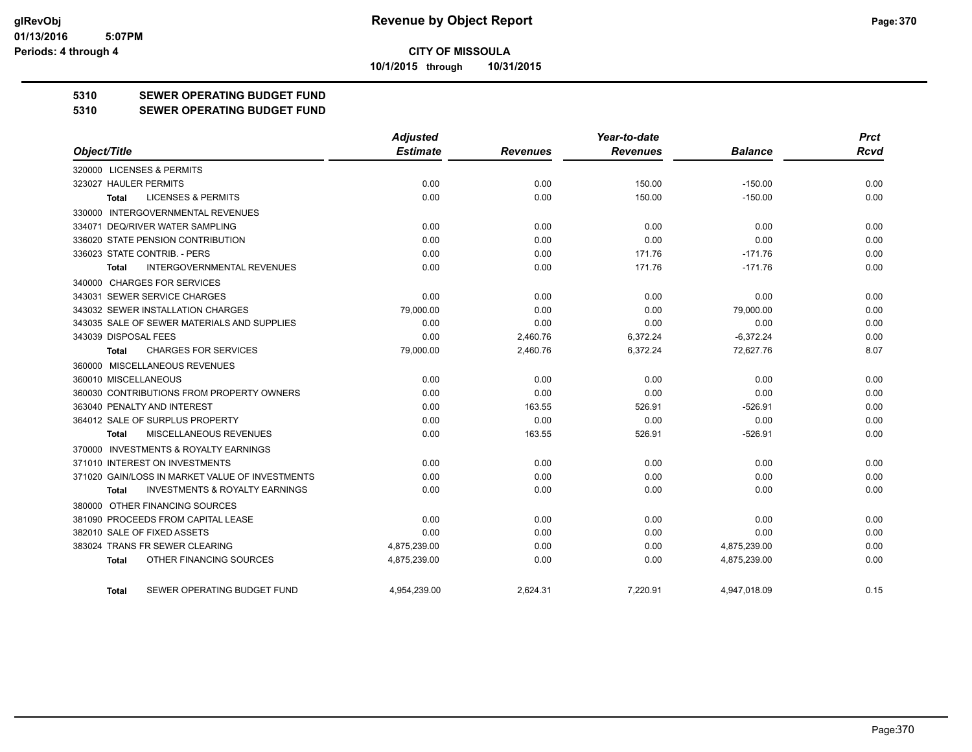**10/1/2015 through 10/31/2015**

#### **5310 SEWER OPERATING BUDGET FUND**

#### **5310 SEWER OPERATING BUDGET FUND**

|                                                    | <b>Adjusted</b> |                 | Year-to-date    |                | <b>Prct</b> |
|----------------------------------------------------|-----------------|-----------------|-----------------|----------------|-------------|
| Object/Title                                       | <b>Estimate</b> | <b>Revenues</b> | <b>Revenues</b> | <b>Balance</b> | Rcvd        |
| 320000 LICENSES & PERMITS                          |                 |                 |                 |                |             |
| 323027 HAULER PERMITS                              | 0.00            | 0.00            | 150.00          | $-150.00$      | 0.00        |
| <b>LICENSES &amp; PERMITS</b><br><b>Total</b>      | 0.00            | 0.00            | 150.00          | $-150.00$      | 0.00        |
| 330000 INTERGOVERNMENTAL REVENUES                  |                 |                 |                 |                |             |
| 334071 DEQ/RIVER WATER SAMPLING                    | 0.00            | 0.00            | 0.00            | 0.00           | 0.00        |
| 336020 STATE PENSION CONTRIBUTION                  | 0.00            | 0.00            | 0.00            | 0.00           | 0.00        |
| 336023 STATE CONTRIB. - PERS                       | 0.00            | 0.00            | 171.76          | $-171.76$      | 0.00        |
| <b>INTERGOVERNMENTAL REVENUES</b><br>Total         | 0.00            | 0.00            | 171.76          | $-171.76$      | 0.00        |
| 340000 CHARGES FOR SERVICES                        |                 |                 |                 |                |             |
| 343031 SEWER SERVICE CHARGES                       | 0.00            | 0.00            | 0.00            | 0.00           | 0.00        |
| 343032 SEWER INSTALLATION CHARGES                  | 79,000.00       | 0.00            | 0.00            | 79,000.00      | 0.00        |
| 343035 SALE OF SEWER MATERIALS AND SUPPLIES        | 0.00            | 0.00            | 0.00            | 0.00           | 0.00        |
| 343039 DISPOSAL FEES                               | 0.00            | 2,460.76        | 6,372.24        | $-6,372.24$    | 0.00        |
| <b>CHARGES FOR SERVICES</b><br>Total               | 79,000.00       | 2,460.76        | 6,372.24        | 72,627.76      | 8.07        |
| 360000 MISCELLANEOUS REVENUES                      |                 |                 |                 |                |             |
| 360010 MISCELLANEOUS                               | 0.00            | 0.00            | 0.00            | 0.00           | 0.00        |
| 360030 CONTRIBUTIONS FROM PROPERTY OWNERS          | 0.00            | 0.00            | 0.00            | 0.00           | 0.00        |
| 363040 PENALTY AND INTEREST                        | 0.00            | 163.55          | 526.91          | $-526.91$      | 0.00        |
| 364012 SALE OF SURPLUS PROPERTY                    | 0.00            | 0.00            | 0.00            | 0.00           | 0.00        |
| MISCELLANEOUS REVENUES<br>Total                    | 0.00            | 163.55          | 526.91          | $-526.91$      | 0.00        |
| 370000 INVESTMENTS & ROYALTY EARNINGS              |                 |                 |                 |                |             |
| 371010 INTEREST ON INVESTMENTS                     | 0.00            | 0.00            | 0.00            | 0.00           | 0.00        |
| 371020 GAIN/LOSS IN MARKET VALUE OF INVESTMENTS    | 0.00            | 0.00            | 0.00            | 0.00           | 0.00        |
| <b>INVESTMENTS &amp; ROYALTY EARNINGS</b><br>Total | 0.00            | 0.00            | 0.00            | 0.00           | 0.00        |
| 380000 OTHER FINANCING SOURCES                     |                 |                 |                 |                |             |
| 381090 PROCEEDS FROM CAPITAL LEASE                 | 0.00            | 0.00            | 0.00            | 0.00           | 0.00        |
| 382010 SALE OF FIXED ASSETS                        | 0.00            | 0.00            | 0.00            | 0.00           | 0.00        |
| 383024 TRANS FR SEWER CLEARING                     | 4,875,239.00    | 0.00            | 0.00            | 4,875,239.00   | 0.00        |
| OTHER FINANCING SOURCES<br>Total                   | 4,875,239.00    | 0.00            | 0.00            | 4,875,239.00   | 0.00        |
| SEWER OPERATING BUDGET FUND<br>Total               | 4.954.239.00    | 2.624.31        | 7.220.91        | 4.947.018.09   | 0.15        |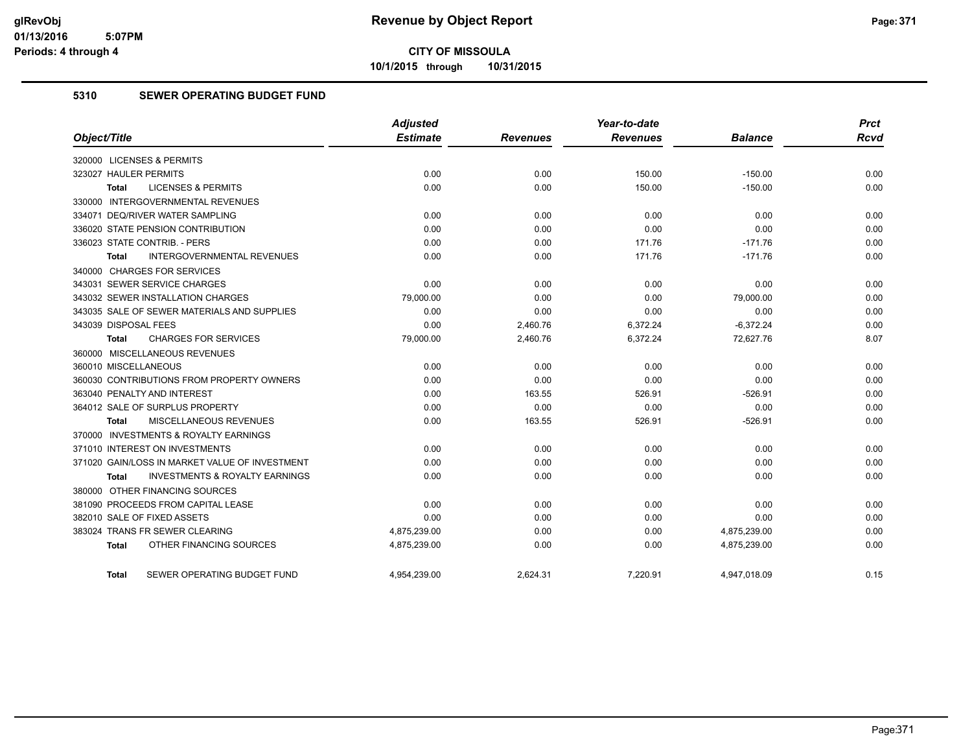**10/1/2015 through 10/31/2015**

#### **5310 SEWER OPERATING BUDGET FUND**

|                                                    | <b>Adjusted</b> |                 | Year-to-date    |                | <b>Prct</b> |
|----------------------------------------------------|-----------------|-----------------|-----------------|----------------|-------------|
| Object/Title                                       | <b>Estimate</b> | <b>Revenues</b> | <b>Revenues</b> | <b>Balance</b> | <b>Rcvd</b> |
| 320000 LICENSES & PERMITS                          |                 |                 |                 |                |             |
| 323027 HAULER PERMITS                              | 0.00            | 0.00            | 150.00          | $-150.00$      | 0.00        |
| <b>LICENSES &amp; PERMITS</b><br><b>Total</b>      | 0.00            | 0.00            | 150.00          | $-150.00$      | 0.00        |
| 330000 INTERGOVERNMENTAL REVENUES                  |                 |                 |                 |                |             |
| 334071 DEQ/RIVER WATER SAMPLING                    | 0.00            | 0.00            | 0.00            | 0.00           | 0.00        |
| 336020 STATE PENSION CONTRIBUTION                  | 0.00            | 0.00            | 0.00            | 0.00           | 0.00        |
| 336023 STATE CONTRIB. - PERS                       | 0.00            | 0.00            | 171.76          | $-171.76$      | 0.00        |
| <b>INTERGOVERNMENTAL REVENUES</b><br><b>Total</b>  | 0.00            | 0.00            | 171.76          | $-171.76$      | 0.00        |
| 340000 CHARGES FOR SERVICES                        |                 |                 |                 |                |             |
| 343031 SEWER SERVICE CHARGES                       | 0.00            | 0.00            | 0.00            | 0.00           | 0.00        |
| 343032 SEWER INSTALLATION CHARGES                  | 79,000.00       | 0.00            | 0.00            | 79,000.00      | 0.00        |
| 343035 SALE OF SEWER MATERIALS AND SUPPLIES        | 0.00            | 0.00            | 0.00            | 0.00           | 0.00        |
| 343039 DISPOSAL FEES                               | 0.00            | 2,460.76        | 6,372.24        | $-6,372.24$    | 0.00        |
| <b>CHARGES FOR SERVICES</b><br><b>Total</b>        | 79,000.00       | 2,460.76        | 6,372.24        | 72,627.76      | 8.07        |
| 360000 MISCELLANEOUS REVENUES                      |                 |                 |                 |                |             |
| 360010 MISCELLANEOUS                               | 0.00            | 0.00            | 0.00            | 0.00           | 0.00        |
| 360030 CONTRIBUTIONS FROM PROPERTY OWNERS          | 0.00            | 0.00            | 0.00            | 0.00           | 0.00        |
| 363040 PENALTY AND INTEREST                        | 0.00            | 163.55          | 526.91          | $-526.91$      | 0.00        |
| 364012 SALE OF SURPLUS PROPERTY                    | 0.00            | 0.00            | 0.00            | 0.00           | 0.00        |
| MISCELLANEOUS REVENUES<br>Total                    | 0.00            | 163.55          | 526.91          | $-526.91$      | 0.00        |
| 370000 INVESTMENTS & ROYALTY EARNINGS              |                 |                 |                 |                |             |
| 371010 INTEREST ON INVESTMENTS                     | 0.00            | 0.00            | 0.00            | 0.00           | 0.00        |
| 371020 GAIN/LOSS IN MARKET VALUE OF INVESTMENT     | 0.00            | 0.00            | 0.00            | 0.00           | 0.00        |
| <b>INVESTMENTS &amp; ROYALTY EARNINGS</b><br>Total | 0.00            | 0.00            | 0.00            | 0.00           | 0.00        |
| 380000 OTHER FINANCING SOURCES                     |                 |                 |                 |                |             |
| 381090 PROCEEDS FROM CAPITAL LEASE                 | 0.00            | 0.00            | 0.00            | 0.00           | 0.00        |
| 382010 SALE OF FIXED ASSETS                        | 0.00            | 0.00            | 0.00            | 0.00           | 0.00        |
| 383024 TRANS FR SEWER CLEARING                     | 4,875,239.00    | 0.00            | 0.00            | 4,875,239.00   | 0.00        |
| OTHER FINANCING SOURCES<br>Total                   | 4,875,239.00    | 0.00            | 0.00            | 4,875,239.00   | 0.00        |
| SEWER OPERATING BUDGET FUND<br>Total               | 4,954,239.00    | 2,624.31        | 7,220.91        | 4,947,018.09   | 0.15        |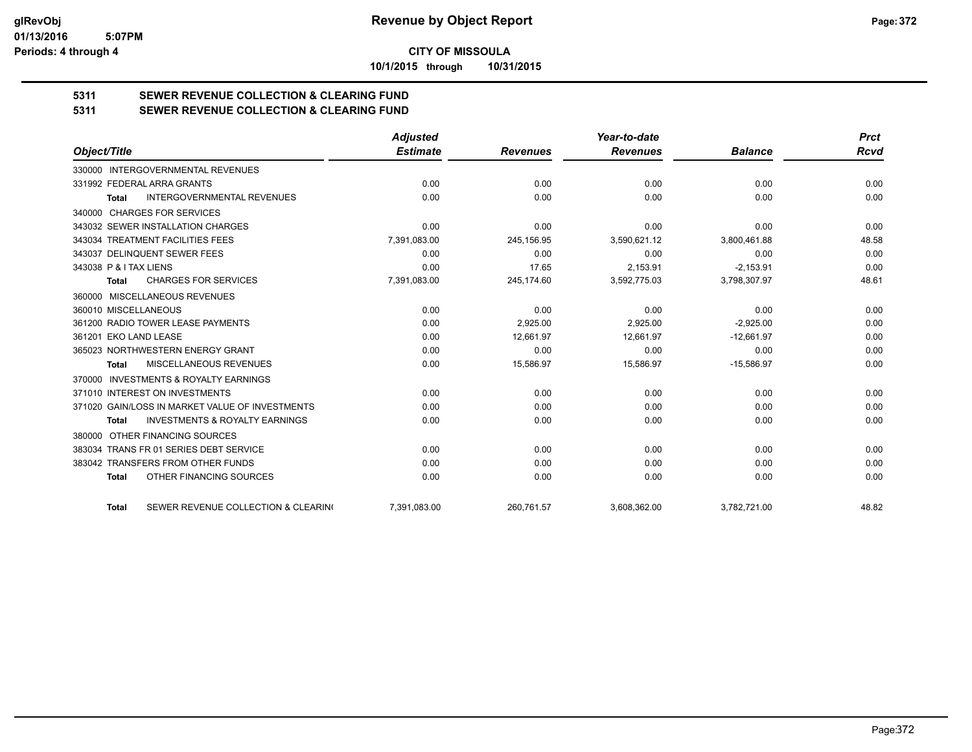**10/1/2015 through 10/31/2015**

# **5311 SEWER REVENUE COLLECTION & CLEARING FUND**

**5311 SEWER REVENUE COLLECTION & CLEARING FUND**

|                                                           | <b>Adjusted</b> |                 | Year-to-date    |                | <b>Prct</b> |
|-----------------------------------------------------------|-----------------|-----------------|-----------------|----------------|-------------|
| Object/Title                                              | <b>Estimate</b> | <b>Revenues</b> | <b>Revenues</b> | <b>Balance</b> | <b>Rcvd</b> |
| 330000 INTERGOVERNMENTAL REVENUES                         |                 |                 |                 |                |             |
| 331992 FEDERAL ARRA GRANTS                                | 0.00            | 0.00            | 0.00            | 0.00           | 0.00        |
| <b>INTERGOVERNMENTAL REVENUES</b><br><b>Total</b>         | 0.00            | 0.00            | 0.00            | 0.00           | 0.00        |
| 340000 CHARGES FOR SERVICES                               |                 |                 |                 |                |             |
| 343032 SEWER INSTALLATION CHARGES                         | 0.00            | 0.00            | 0.00            | 0.00           | 0.00        |
| 343034 TREATMENT FACILITIES FEES                          | 7,391,083.00    | 245,156.95      | 3,590,621.12    | 3,800,461.88   | 48.58       |
| 343037 DELINQUENT SEWER FEES                              | 0.00            | 0.00            | 0.00            | 0.00           | 0.00        |
| 343038 P & I TAX LIENS                                    | 0.00            | 17.65           | 2,153.91        | $-2,153.91$    | 0.00        |
| <b>CHARGES FOR SERVICES</b><br><b>Total</b>               | 7,391,083.00    | 245,174.60      | 3,592,775.03    | 3,798,307.97   | 48.61       |
| 360000 MISCELLANEOUS REVENUES                             |                 |                 |                 |                |             |
| 360010 MISCELLANEOUS                                      | 0.00            | 0.00            | 0.00            | 0.00           | 0.00        |
| 361200 RADIO TOWER LEASE PAYMENTS                         | 0.00            | 2.925.00        | 2,925.00        | $-2.925.00$    | 0.00        |
| 361201 EKO LAND LEASE                                     | 0.00            | 12.661.97       | 12.661.97       | $-12,661.97$   | 0.00        |
| 365023 NORTHWESTERN ENERGY GRANT                          | 0.00            | 0.00            | 0.00            | 0.00           | 0.00        |
| MISCELLANEOUS REVENUES<br>Total                           | 0.00            | 15,586.97       | 15,586.97       | $-15,586.97$   | 0.00        |
| <b>INVESTMENTS &amp; ROYALTY EARNINGS</b><br>370000       |                 |                 |                 |                |             |
| 371010 INTEREST ON INVESTMENTS                            | 0.00            | 0.00            | 0.00            | 0.00           | 0.00        |
| 371020 GAIN/LOSS IN MARKET VALUE OF INVESTMENTS           | 0.00            | 0.00            | 0.00            | 0.00           | 0.00        |
| <b>INVESTMENTS &amp; ROYALTY EARNINGS</b><br><b>Total</b> | 0.00            | 0.00            | 0.00            | 0.00           | 0.00        |
| 380000 OTHER FINANCING SOURCES                            |                 |                 |                 |                |             |
| 383034 TRANS FR 01 SERIES DEBT SERVICE                    | 0.00            | 0.00            | 0.00            | 0.00           | 0.00        |
| 383042 TRANSFERS FROM OTHER FUNDS                         | 0.00            | 0.00            | 0.00            | 0.00           | 0.00        |
| OTHER FINANCING SOURCES<br><b>Total</b>                   | 0.00            | 0.00            | 0.00            | 0.00           | 0.00        |
| SEWER REVENUE COLLECTION & CLEARING<br><b>Total</b>       | 7.391.083.00    | 260.761.57      | 3,608,362.00    | 3,782,721.00   | 48.82       |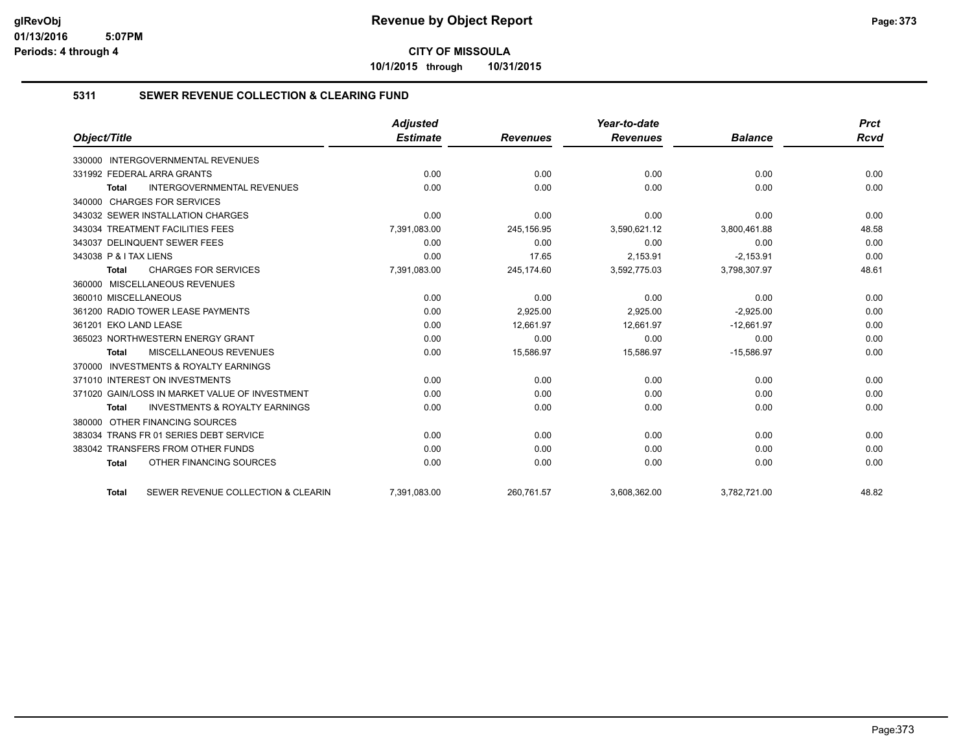**10/1/2015 through 10/31/2015**

#### **5311 SEWER REVENUE COLLECTION & CLEARING FUND**

|                                                           | <b>Adjusted</b> |                 | Year-to-date    |                | <b>Prct</b> |
|-----------------------------------------------------------|-----------------|-----------------|-----------------|----------------|-------------|
| Object/Title                                              | <b>Estimate</b> | <b>Revenues</b> | <b>Revenues</b> | <b>Balance</b> | <b>Rcvd</b> |
| 330000 INTERGOVERNMENTAL REVENUES                         |                 |                 |                 |                |             |
| 331992 FEDERAL ARRA GRANTS                                | 0.00            | 0.00            | 0.00            | 0.00           | 0.00        |
| <b>INTERGOVERNMENTAL REVENUES</b><br>Total                | 0.00            | 0.00            | 0.00            | 0.00           | 0.00        |
| 340000 CHARGES FOR SERVICES                               |                 |                 |                 |                |             |
| 343032 SEWER INSTALLATION CHARGES                         | 0.00            | 0.00            | 0.00            | 0.00           | 0.00        |
| 343034 TREATMENT FACILITIES FEES                          | 7,391,083.00    | 245,156.95      | 3,590,621.12    | 3,800,461.88   | 48.58       |
| 343037 DELINQUENT SEWER FEES                              | 0.00            | 0.00            | 0.00            | 0.00           | 0.00        |
| 343038 P & I TAX LIENS                                    | 0.00            | 17.65           | 2,153.91        | $-2,153.91$    | 0.00        |
| <b>CHARGES FOR SERVICES</b><br><b>Total</b>               | 7,391,083.00    | 245,174.60      | 3,592,775.03    | 3,798,307.97   | 48.61       |
| 360000 MISCELLANEOUS REVENUES                             |                 |                 |                 |                |             |
| 360010 MISCELLANEOUS                                      | 0.00            | 0.00            | 0.00            | 0.00           | 0.00        |
| 361200 RADIO TOWER LEASE PAYMENTS                         | 0.00            | 2.925.00        | 2.925.00        | $-2.925.00$    | 0.00        |
| 361201 EKO LAND LEASE                                     | 0.00            | 12,661.97       | 12,661.97       | $-12,661.97$   | 0.00        |
| 365023 NORTHWESTERN ENERGY GRANT                          | 0.00            | 0.00            | 0.00            | 0.00           | 0.00        |
| MISCELLANEOUS REVENUES<br><b>Total</b>                    | 0.00            | 15,586.97       | 15,586.97       | $-15,586.97$   | 0.00        |
| 370000 INVESTMENTS & ROYALTY EARNINGS                     |                 |                 |                 |                |             |
| 371010 INTEREST ON INVESTMENTS                            | 0.00            | 0.00            | 0.00            | 0.00           | 0.00        |
| 371020 GAIN/LOSS IN MARKET VALUE OF INVESTMENT            | 0.00            | 0.00            | 0.00            | 0.00           | 0.00        |
| <b>INVESTMENTS &amp; ROYALTY EARNINGS</b><br><b>Total</b> | 0.00            | 0.00            | 0.00            | 0.00           | 0.00        |
| 380000 OTHER FINANCING SOURCES                            |                 |                 |                 |                |             |
| 383034 TRANS FR 01 SERIES DEBT SERVICE                    | 0.00            | 0.00            | 0.00            | 0.00           | 0.00        |
| 383042 TRANSFERS FROM OTHER FUNDS                         | 0.00            | 0.00            | 0.00            | 0.00           | 0.00        |
| OTHER FINANCING SOURCES<br><b>Total</b>                   | 0.00            | 0.00            | 0.00            | 0.00           | 0.00        |
| SEWER REVENUE COLLECTION & CLEARIN<br><b>Total</b>        | 7,391,083.00    | 260,761.57      | 3,608,362.00    | 3,782,721.00   | 48.82       |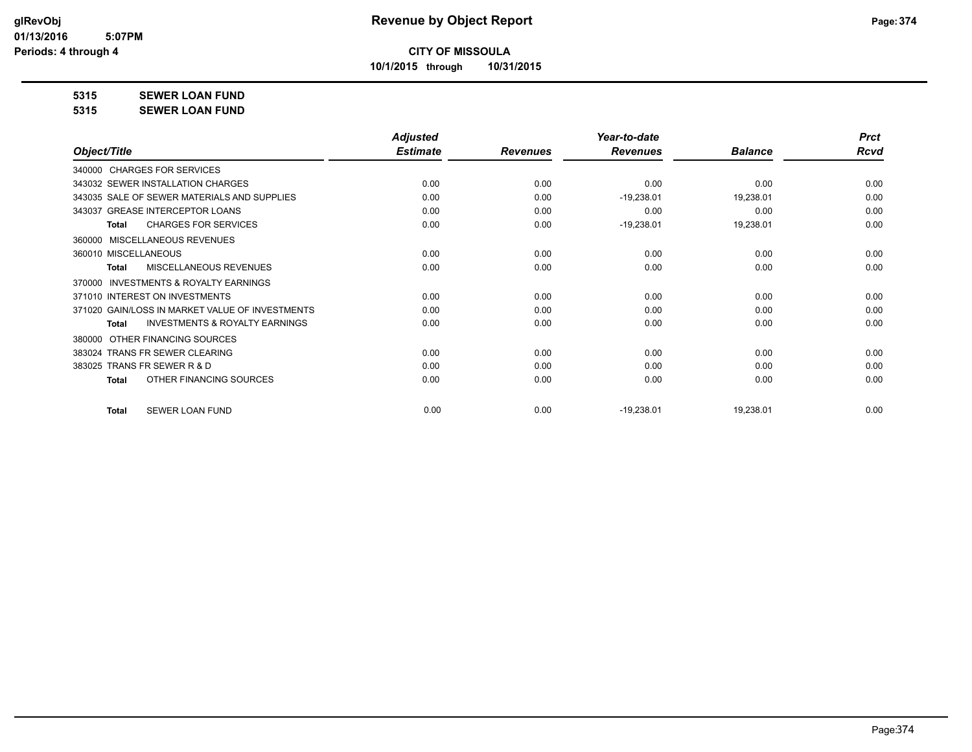**10/1/2015 through 10/31/2015**

### **5315 SEWER LOAN FUND**

**5315 SEWER LOAN FUND**

|                                                           | <b>Adjusted</b> |                 | Year-to-date    |                | <b>Prct</b> |
|-----------------------------------------------------------|-----------------|-----------------|-----------------|----------------|-------------|
| Object/Title                                              | <b>Estimate</b> | <b>Revenues</b> | <b>Revenues</b> | <b>Balance</b> | Rcvd        |
| 340000 CHARGES FOR SERVICES                               |                 |                 |                 |                |             |
| 343032 SEWER INSTALLATION CHARGES                         | 0.00            | 0.00            | 0.00            | 0.00           | 0.00        |
| 343035 SALE OF SEWER MATERIALS AND SUPPLIES               | 0.00            | 0.00            | $-19,238.01$    | 19,238.01      | 0.00        |
| 343037 GREASE INTERCEPTOR LOANS                           | 0.00            | 0.00            | 0.00            | 0.00           | 0.00        |
| <b>CHARGES FOR SERVICES</b><br><b>Total</b>               | 0.00            | 0.00            | $-19,238.01$    | 19,238.01      | 0.00        |
| MISCELLANEOUS REVENUES<br>360000                          |                 |                 |                 |                |             |
| 360010 MISCELLANEOUS                                      | 0.00            | 0.00            | 0.00            | 0.00           | 0.00        |
| <b>MISCELLANEOUS REVENUES</b><br><b>Total</b>             | 0.00            | 0.00            | 0.00            | 0.00           | 0.00        |
| <b>INVESTMENTS &amp; ROYALTY EARNINGS</b><br>370000       |                 |                 |                 |                |             |
| 371010 INTEREST ON INVESTMENTS                            | 0.00            | 0.00            | 0.00            | 0.00           | 0.00        |
| 371020 GAIN/LOSS IN MARKET VALUE OF INVESTMENTS           | 0.00            | 0.00            | 0.00            | 0.00           | 0.00        |
| <b>INVESTMENTS &amp; ROYALTY EARNINGS</b><br><b>Total</b> | 0.00            | 0.00            | 0.00            | 0.00           | 0.00        |
| OTHER FINANCING SOURCES<br>380000                         |                 |                 |                 |                |             |
| 383024 TRANS FR SEWER CLEARING                            | 0.00            | 0.00            | 0.00            | 0.00           | 0.00        |
| 383025 TRANS FR SEWER R & D                               | 0.00            | 0.00            | 0.00            | 0.00           | 0.00        |
| OTHER FINANCING SOURCES<br><b>Total</b>                   | 0.00            | 0.00            | 0.00            | 0.00           | 0.00        |
|                                                           |                 |                 |                 |                |             |
| <b>SEWER LOAN FUND</b><br><b>Total</b>                    | 0.00            | 0.00            | $-19,238.01$    | 19,238.01      | 0.00        |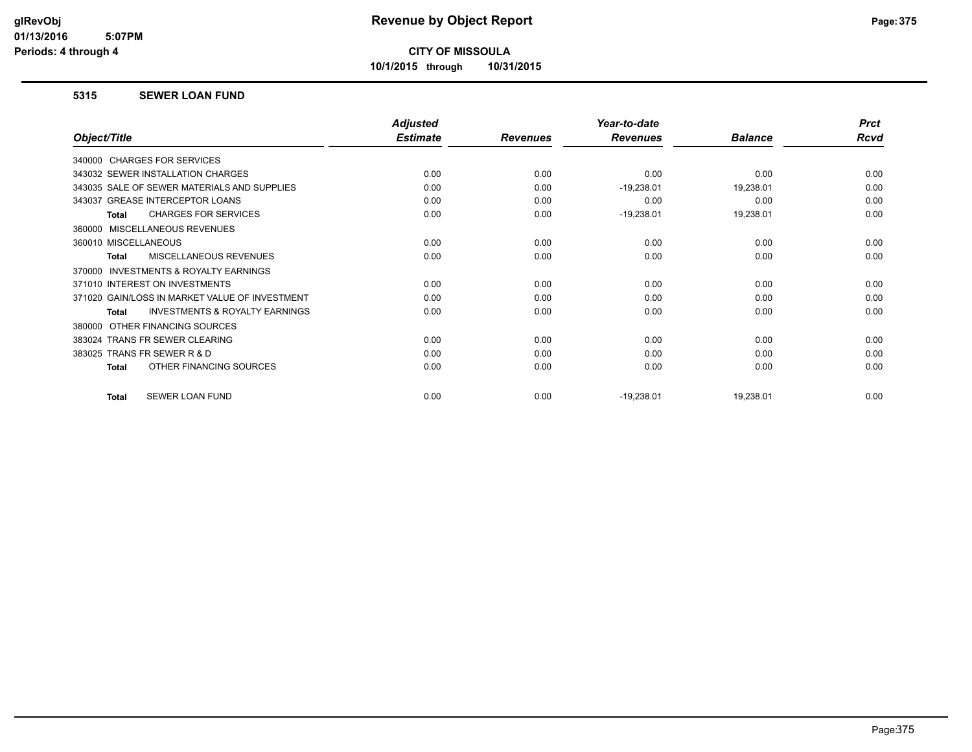**10/1/2015 through 10/31/2015**

#### **5315 SEWER LOAN FUND**

|                                                    | <b>Adjusted</b> |                 | Year-to-date    |                | <b>Prct</b> |
|----------------------------------------------------|-----------------|-----------------|-----------------|----------------|-------------|
| Object/Title                                       | <b>Estimate</b> | <b>Revenues</b> | <b>Revenues</b> | <b>Balance</b> | <b>Rcvd</b> |
| 340000 CHARGES FOR SERVICES                        |                 |                 |                 |                |             |
| 343032 SEWER INSTALLATION CHARGES                  | 0.00            | 0.00            | 0.00            | 0.00           | 0.00        |
| 343035 SALE OF SEWER MATERIALS AND SUPPLIES        | 0.00            | 0.00            | $-19,238.01$    | 19,238.01      | 0.00        |
| 343037 GREASE INTERCEPTOR LOANS                    | 0.00            | 0.00            | 0.00            | 0.00           | 0.00        |
| <b>CHARGES FOR SERVICES</b><br><b>Total</b>        | 0.00            | 0.00            | $-19,238.01$    | 19,238.01      | 0.00        |
| 360000 MISCELLANEOUS REVENUES                      |                 |                 |                 |                |             |
| 360010 MISCELLANEOUS                               | 0.00            | 0.00            | 0.00            | 0.00           | 0.00        |
| <b>MISCELLANEOUS REVENUES</b><br><b>Total</b>      | 0.00            | 0.00            | 0.00            | 0.00           | 0.00        |
| INVESTMENTS & ROYALTY EARNINGS<br>370000           |                 |                 |                 |                |             |
| 371010 INTEREST ON INVESTMENTS                     | 0.00            | 0.00            | 0.00            | 0.00           | 0.00        |
| 371020 GAIN/LOSS IN MARKET VALUE OF INVESTMENT     | 0.00            | 0.00            | 0.00            | 0.00           | 0.00        |
| <b>INVESTMENTS &amp; ROYALTY EARNINGS</b><br>Total | 0.00            | 0.00            | 0.00            | 0.00           | 0.00        |
| OTHER FINANCING SOURCES<br>380000                  |                 |                 |                 |                |             |
| 383024 TRANS FR SEWER CLEARING                     | 0.00            | 0.00            | 0.00            | 0.00           | 0.00        |
| 383025 TRANS FR SEWER R & D                        | 0.00            | 0.00            | 0.00            | 0.00           | 0.00        |
| OTHER FINANCING SOURCES<br>Total                   | 0.00            | 0.00            | 0.00            | 0.00           | 0.00        |
| SEWER LOAN FUND<br><b>Total</b>                    | 0.00            | 0.00            | $-19,238.01$    | 19,238.01      | 0.00        |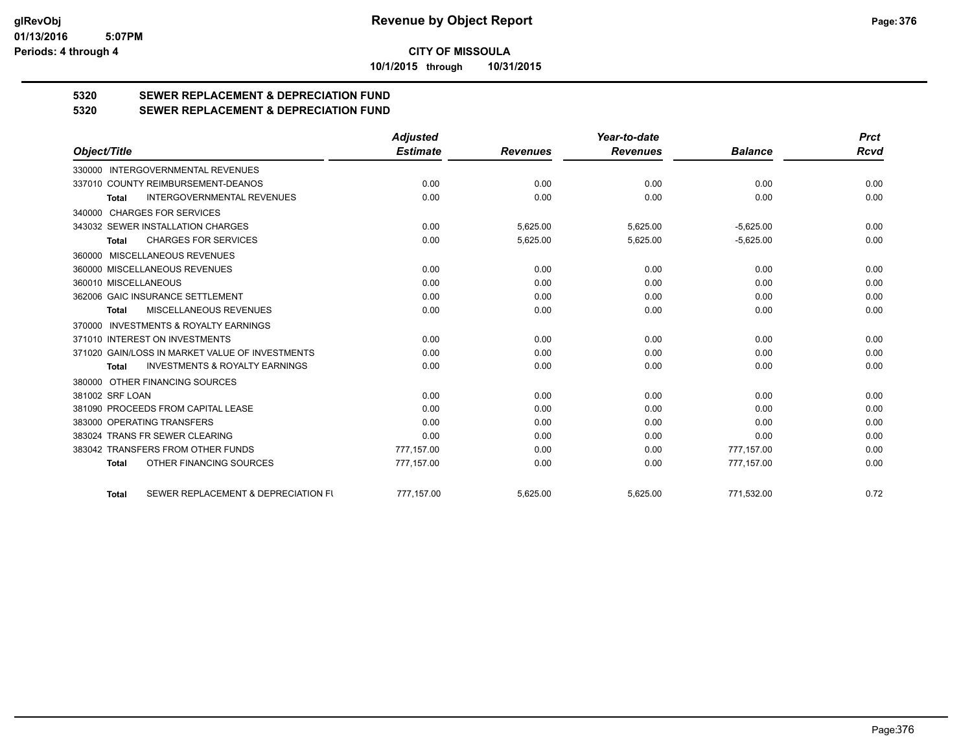**10/1/2015 through 10/31/2015**

# **5320 SEWER REPLACEMENT & DEPRECIATION FUND**

## **5320 SEWER REPLACEMENT & DEPRECIATION FUND**

|                      |                                                 | <b>Adjusted</b> |                 | Year-to-date    |                | <b>Prct</b> |
|----------------------|-------------------------------------------------|-----------------|-----------------|-----------------|----------------|-------------|
| Object/Title         |                                                 | <b>Estimate</b> | <b>Revenues</b> | <b>Revenues</b> | <b>Balance</b> | <b>Rcvd</b> |
| 330000               | INTERGOVERNMENTAL REVENUES                      |                 |                 |                 |                |             |
|                      | 337010 COUNTY REIMBURSEMENT-DEANOS              | 0.00            | 0.00            | 0.00            | 0.00           | 0.00        |
| <b>Total</b>         | <b>INTERGOVERNMENTAL REVENUES</b>               | 0.00            | 0.00            | 0.00            | 0.00           | 0.00        |
|                      | 340000 CHARGES FOR SERVICES                     |                 |                 |                 |                |             |
|                      | 343032 SEWER INSTALLATION CHARGES               | 0.00            | 5,625.00        | 5,625.00        | $-5,625.00$    | 0.00        |
| Total                | <b>CHARGES FOR SERVICES</b>                     | 0.00            | 5,625.00        | 5,625.00        | $-5,625.00$    | 0.00        |
|                      | 360000 MISCELLANEOUS REVENUES                   |                 |                 |                 |                |             |
|                      | 360000 MISCELLANEOUS REVENUES                   | 0.00            | 0.00            | 0.00            | 0.00           | 0.00        |
| 360010 MISCELLANEOUS |                                                 | 0.00            | 0.00            | 0.00            | 0.00           | 0.00        |
|                      | 362006 GAIC INSURANCE SETTLEMENT                | 0.00            | 0.00            | 0.00            | 0.00           | 0.00        |
| <b>Total</b>         | MISCELLANEOUS REVENUES                          | 0.00            | 0.00            | 0.00            | 0.00           | 0.00        |
|                      | 370000 INVESTMENTS & ROYALTY EARNINGS           |                 |                 |                 |                |             |
|                      | 371010 INTEREST ON INVESTMENTS                  | 0.00            | 0.00            | 0.00            | 0.00           | 0.00        |
|                      | 371020 GAIN/LOSS IN MARKET VALUE OF INVESTMENTS | 0.00            | 0.00            | 0.00            | 0.00           | 0.00        |
| <b>Total</b>         | <b>INVESTMENTS &amp; ROYALTY EARNINGS</b>       | 0.00            | 0.00            | 0.00            | 0.00           | 0.00        |
|                      | 380000 OTHER FINANCING SOURCES                  |                 |                 |                 |                |             |
| 381002 SRF LOAN      |                                                 | 0.00            | 0.00            | 0.00            | 0.00           | 0.00        |
|                      | 381090 PROCEEDS FROM CAPITAL LEASE              | 0.00            | 0.00            | 0.00            | 0.00           | 0.00        |
|                      | 383000 OPERATING TRANSFERS                      | 0.00            | 0.00            | 0.00            | 0.00           | 0.00        |
|                      | 383024 TRANS FR SEWER CLEARING                  | 0.00            | 0.00            | 0.00            | 0.00           | 0.00        |
|                      | 383042 TRANSFERS FROM OTHER FUNDS               | 777,157.00      | 0.00            | 0.00            | 777,157.00     | 0.00        |
| <b>Total</b>         | OTHER FINANCING SOURCES                         | 777,157.00      | 0.00            | 0.00            | 777,157.00     | 0.00        |
| <b>Total</b>         | SEWER REPLACEMENT & DEPRECIATION FU             | 777,157.00      | 5,625.00        | 5,625.00        | 771,532.00     | 0.72        |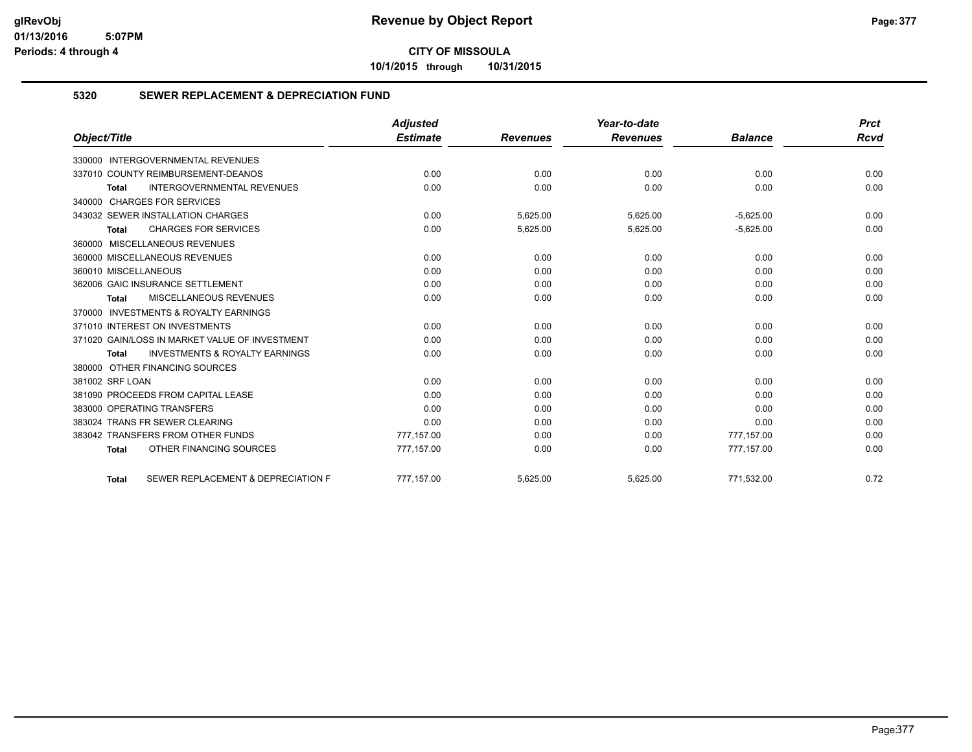**10/1/2015 through 10/31/2015**

#### **5320 SEWER REPLACEMENT & DEPRECIATION FUND**

|                                                           | <b>Adjusted</b> |                 | Year-to-date    |                | <b>Prct</b> |
|-----------------------------------------------------------|-----------------|-----------------|-----------------|----------------|-------------|
| Object/Title                                              | <b>Estimate</b> | <b>Revenues</b> | <b>Revenues</b> | <b>Balance</b> | <b>Rcvd</b> |
| 330000 INTERGOVERNMENTAL REVENUES                         |                 |                 |                 |                |             |
| 337010 COUNTY REIMBURSEMENT-DEANOS                        | 0.00            | 0.00            | 0.00            | 0.00           | 0.00        |
| <b>INTERGOVERNMENTAL REVENUES</b><br><b>Total</b>         | 0.00            | 0.00            | 0.00            | 0.00           | 0.00        |
| 340000 CHARGES FOR SERVICES                               |                 |                 |                 |                |             |
| 343032 SEWER INSTALLATION CHARGES                         | 0.00            | 5,625.00        | 5,625.00        | $-5,625.00$    | 0.00        |
| <b>CHARGES FOR SERVICES</b><br>Total                      | 0.00            | 5,625.00        | 5,625.00        | $-5,625.00$    | 0.00        |
| 360000 MISCELLANEOUS REVENUES                             |                 |                 |                 |                |             |
| 360000 MISCELLANEOUS REVENUES                             | 0.00            | 0.00            | 0.00            | 0.00           | 0.00        |
| 360010 MISCELLANEOUS                                      | 0.00            | 0.00            | 0.00            | 0.00           | 0.00        |
| 362006 GAIC INSURANCE SETTLEMENT                          | 0.00            | 0.00            | 0.00            | 0.00           | 0.00        |
| <b>MISCELLANEOUS REVENUES</b><br><b>Total</b>             | 0.00            | 0.00            | 0.00            | 0.00           | 0.00        |
| 370000 INVESTMENTS & ROYALTY EARNINGS                     |                 |                 |                 |                |             |
| 371010 INTEREST ON INVESTMENTS                            | 0.00            | 0.00            | 0.00            | 0.00           | 0.00        |
| 371020 GAIN/LOSS IN MARKET VALUE OF INVESTMENT            | 0.00            | 0.00            | 0.00            | 0.00           | 0.00        |
| <b>INVESTMENTS &amp; ROYALTY EARNINGS</b><br><b>Total</b> | 0.00            | 0.00            | 0.00            | 0.00           | 0.00        |
| 380000 OTHER FINANCING SOURCES                            |                 |                 |                 |                |             |
| 381002 SRF LOAN                                           | 0.00            | 0.00            | 0.00            | 0.00           | 0.00        |
| 381090 PROCEEDS FROM CAPITAL LEASE                        | 0.00            | 0.00            | 0.00            | 0.00           | 0.00        |
| 383000 OPERATING TRANSFERS                                | 0.00            | 0.00            | 0.00            | 0.00           | 0.00        |
| 383024 TRANS FR SEWER CLEARING                            | 0.00            | 0.00            | 0.00            | 0.00           | 0.00        |
| 383042 TRANSFERS FROM OTHER FUNDS                         | 777,157.00      | 0.00            | 0.00            | 777,157.00     | 0.00        |
| OTHER FINANCING SOURCES<br><b>Total</b>                   | 777,157.00      | 0.00            | 0.00            | 777,157.00     | 0.00        |
| SEWER REPLACEMENT & DEPRECIATION F<br><b>Total</b>        | 777.157.00      | 5.625.00        | 5.625.00        | 771.532.00     | 0.72        |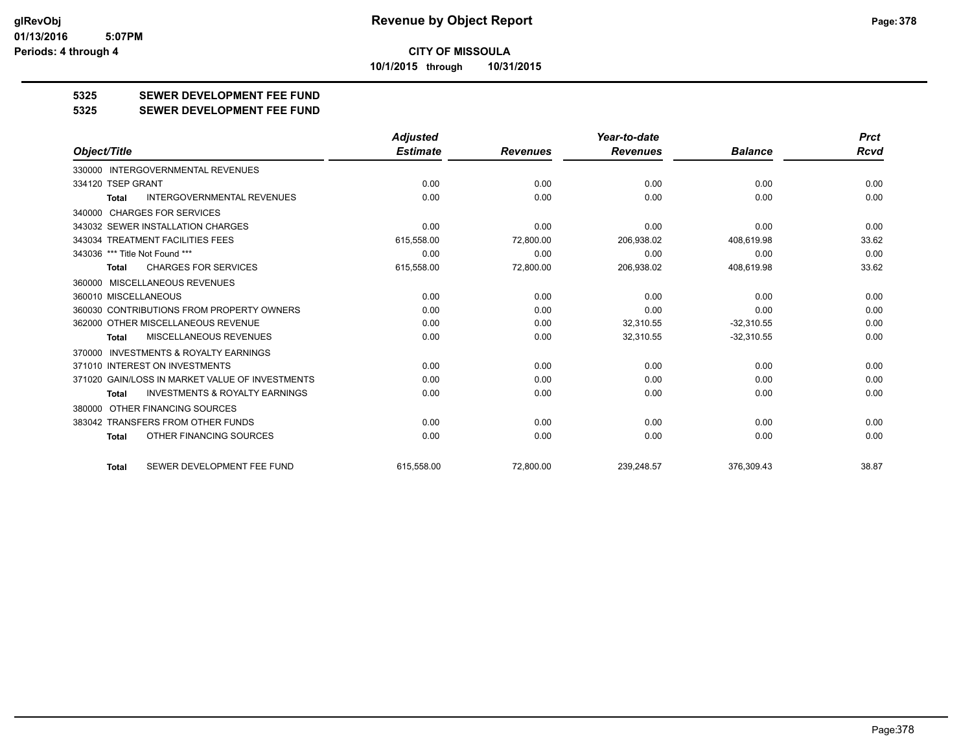#### **CITY OF MISSOULA 10/1/2015 through 10/31/2015**

**5325 SEWER DEVELOPMENT FEE FUND**

**5325 SEWER DEVELOPMENT FEE FUND**

|                                                           | <b>Adjusted</b> |                 | Year-to-date    |                | <b>Prct</b> |
|-----------------------------------------------------------|-----------------|-----------------|-----------------|----------------|-------------|
| Object/Title                                              | <b>Estimate</b> | <b>Revenues</b> | <b>Revenues</b> | <b>Balance</b> | Rcvd        |
| 330000 INTERGOVERNMENTAL REVENUES                         |                 |                 |                 |                |             |
| 334120 TSEP GRANT                                         | 0.00            | 0.00            | 0.00            | 0.00           | 0.00        |
| <b>INTERGOVERNMENTAL REVENUES</b><br>Total                | 0.00            | 0.00            | 0.00            | 0.00           | 0.00        |
| 340000 CHARGES FOR SERVICES                               |                 |                 |                 |                |             |
| 343032 SEWER INSTALLATION CHARGES                         | 0.00            | 0.00            | 0.00            | 0.00           | 0.00        |
| 343034 TREATMENT FACILITIES FEES                          | 615,558.00      | 72,800.00       | 206,938.02      | 408,619.98     | 33.62       |
| 343036 *** Title Not Found ***                            | 0.00            | 0.00            | 0.00            | 0.00           | 0.00        |
| <b>CHARGES FOR SERVICES</b><br><b>Total</b>               | 615,558.00      | 72,800.00       | 206,938.02      | 408,619.98     | 33.62       |
| 360000 MISCELLANEOUS REVENUES                             |                 |                 |                 |                |             |
| 360010 MISCELLANEOUS                                      | 0.00            | 0.00            | 0.00            | 0.00           | 0.00        |
| 360030 CONTRIBUTIONS FROM PROPERTY OWNERS                 | 0.00            | 0.00            | 0.00            | 0.00           | 0.00        |
| 362000 OTHER MISCELLANEOUS REVENUE                        | 0.00            | 0.00            | 32,310.55       | $-32,310.55$   | 0.00        |
| <b>MISCELLANEOUS REVENUES</b><br><b>Total</b>             | 0.00            | 0.00            | 32,310.55       | $-32,310.55$   | 0.00        |
| <b>INVESTMENTS &amp; ROYALTY EARNINGS</b><br>370000       |                 |                 |                 |                |             |
| 371010 INTEREST ON INVESTMENTS                            | 0.00            | 0.00            | 0.00            | 0.00           | 0.00        |
| 371020 GAIN/LOSS IN MARKET VALUE OF INVESTMENTS           | 0.00            | 0.00            | 0.00            | 0.00           | 0.00        |
| <b>INVESTMENTS &amp; ROYALTY EARNINGS</b><br><b>Total</b> | 0.00            | 0.00            | 0.00            | 0.00           | 0.00        |
| 380000 OTHER FINANCING SOURCES                            |                 |                 |                 |                |             |
| 383042 TRANSFERS FROM OTHER FUNDS                         | 0.00            | 0.00            | 0.00            | 0.00           | 0.00        |
| OTHER FINANCING SOURCES<br><b>Total</b>                   | 0.00            | 0.00            | 0.00            | 0.00           | 0.00        |
| SEWER DEVELOPMENT FEE FUND<br><b>Total</b>                | 615.558.00      | 72.800.00       | 239.248.57      | 376.309.43     | 38.87       |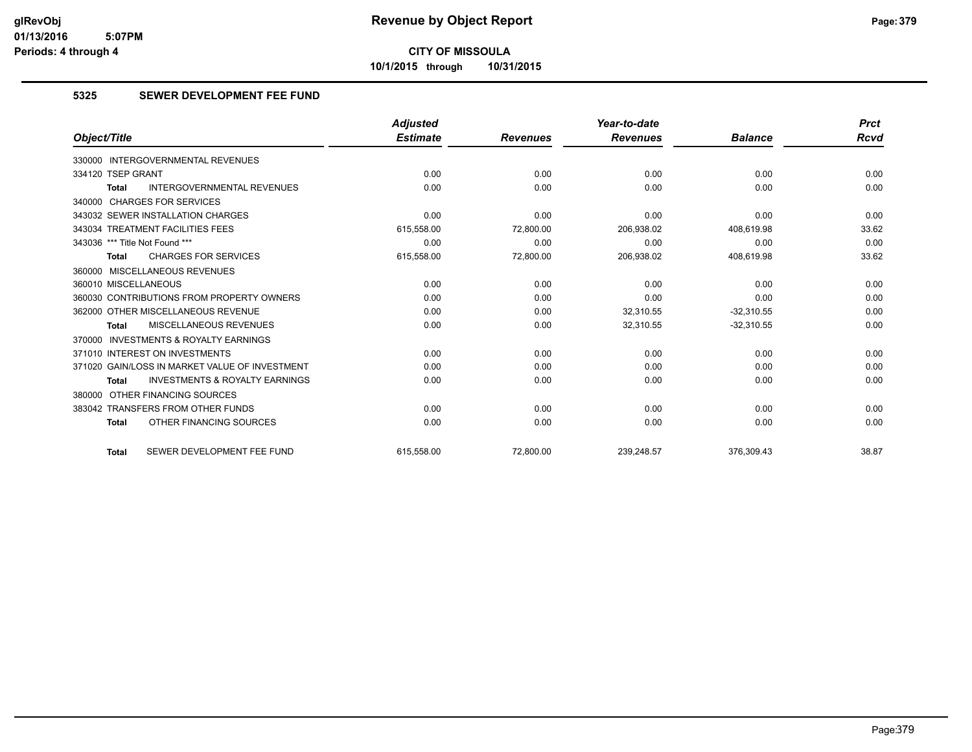**10/1/2015 through 10/31/2015**

#### **5325 SEWER DEVELOPMENT FEE FUND**

|                                                    | <b>Adjusted</b> |                 | Year-to-date    |                | <b>Prct</b> |
|----------------------------------------------------|-----------------|-----------------|-----------------|----------------|-------------|
| Object/Title                                       | <b>Estimate</b> | <b>Revenues</b> | <b>Revenues</b> | <b>Balance</b> | Rcvd        |
| 330000 INTERGOVERNMENTAL REVENUES                  |                 |                 |                 |                |             |
| 334120 TSEP GRANT                                  | 0.00            | 0.00            | 0.00            | 0.00           | 0.00        |
| <b>INTERGOVERNMENTAL REVENUES</b><br><b>Total</b>  | 0.00            | 0.00            | 0.00            | 0.00           | 0.00        |
| 340000 CHARGES FOR SERVICES                        |                 |                 |                 |                |             |
| 343032 SEWER INSTALLATION CHARGES                  | 0.00            | 0.00            | 0.00            | 0.00           | 0.00        |
| 343034 TREATMENT FACILITIES FEES                   | 615,558.00      | 72,800.00       | 206,938.02      | 408,619.98     | 33.62       |
| 343036 *** Title Not Found ***                     | 0.00            | 0.00            | 0.00            | 0.00           | 0.00        |
| <b>CHARGES FOR SERVICES</b><br><b>Total</b>        | 615,558.00      | 72,800.00       | 206,938.02      | 408,619.98     | 33.62       |
| 360000 MISCELLANEOUS REVENUES                      |                 |                 |                 |                |             |
| 360010 MISCELLANEOUS                               | 0.00            | 0.00            | 0.00            | 0.00           | 0.00        |
| 360030 CONTRIBUTIONS FROM PROPERTY OWNERS          | 0.00            | 0.00            | 0.00            | 0.00           | 0.00        |
| 362000 OTHER MISCELLANEOUS REVENUE                 | 0.00            | 0.00            | 32,310.55       | $-32,310.55$   | 0.00        |
| MISCELLANEOUS REVENUES<br><b>Total</b>             | 0.00            | 0.00            | 32,310.55       | $-32,310.55$   | 0.00        |
| 370000 INVESTMENTS & ROYALTY EARNINGS              |                 |                 |                 |                |             |
| 371010 INTEREST ON INVESTMENTS                     | 0.00            | 0.00            | 0.00            | 0.00           | 0.00        |
| 371020 GAIN/LOSS IN MARKET VALUE OF INVESTMENT     | 0.00            | 0.00            | 0.00            | 0.00           | 0.00        |
| <b>INVESTMENTS &amp; ROYALTY EARNINGS</b><br>Total | 0.00            | 0.00            | 0.00            | 0.00           | 0.00        |
| 380000 OTHER FINANCING SOURCES                     |                 |                 |                 |                |             |
| 383042 TRANSFERS FROM OTHER FUNDS                  | 0.00            | 0.00            | 0.00            | 0.00           | 0.00        |
| OTHER FINANCING SOURCES<br><b>Total</b>            | 0.00            | 0.00            | 0.00            | 0.00           | 0.00        |
| SEWER DEVELOPMENT FEE FUND<br><b>Total</b>         | 615.558.00      | 72.800.00       | 239.248.57      | 376,309.43     | 38.87       |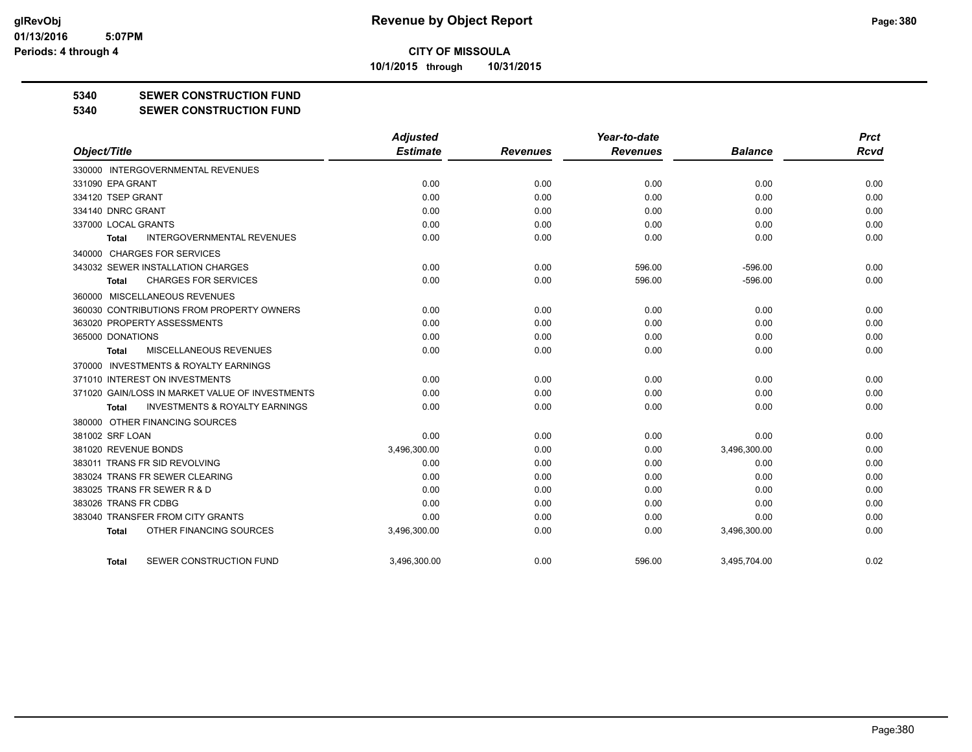**10/1/2015 through 10/31/2015**

#### **5340 SEWER CONSTRUCTION FUND**

**5340 SEWER CONSTRUCTION FUND**

|                                                     | <b>Adjusted</b> |                 | Year-to-date    |                | <b>Prct</b> |
|-----------------------------------------------------|-----------------|-----------------|-----------------|----------------|-------------|
| Object/Title                                        | <b>Estimate</b> | <b>Revenues</b> | <b>Revenues</b> | <b>Balance</b> | <b>Rcvd</b> |
| 330000 INTERGOVERNMENTAL REVENUES                   |                 |                 |                 |                |             |
| 331090 EPA GRANT                                    | 0.00            | 0.00            | 0.00            | 0.00           | 0.00        |
| 334120 TSEP GRANT                                   | 0.00            | 0.00            | 0.00            | 0.00           | 0.00        |
| 334140 DNRC GRANT                                   | 0.00            | 0.00            | 0.00            | 0.00           | 0.00        |
| 337000 LOCAL GRANTS                                 | 0.00            | 0.00            | 0.00            | 0.00           | 0.00        |
| <b>INTERGOVERNMENTAL REVENUES</b><br><b>Total</b>   | 0.00            | 0.00            | 0.00            | 0.00           | 0.00        |
| 340000 CHARGES FOR SERVICES                         |                 |                 |                 |                |             |
| 343032 SEWER INSTALLATION CHARGES                   | 0.00            | 0.00            | 596.00          | $-596.00$      | 0.00        |
| <b>CHARGES FOR SERVICES</b><br>Total                | 0.00            | 0.00            | 596.00          | $-596.00$      | 0.00        |
| 360000 MISCELLANEOUS REVENUES                       |                 |                 |                 |                |             |
| 360030 CONTRIBUTIONS FROM PROPERTY OWNERS           | 0.00            | 0.00            | 0.00            | 0.00           | 0.00        |
| 363020 PROPERTY ASSESSMENTS                         | 0.00            | 0.00            | 0.00            | 0.00           | 0.00        |
| 365000 DONATIONS                                    | 0.00            | 0.00            | 0.00            | 0.00           | 0.00        |
| MISCELLANEOUS REVENUES<br>Total                     | 0.00            | 0.00            | 0.00            | 0.00           | 0.00        |
| <b>INVESTMENTS &amp; ROYALTY EARNINGS</b><br>370000 |                 |                 |                 |                |             |
| 371010 INTEREST ON INVESTMENTS                      | 0.00            | 0.00            | 0.00            | 0.00           | 0.00        |
| 371020 GAIN/LOSS IN MARKET VALUE OF INVESTMENTS     | 0.00            | 0.00            | 0.00            | 0.00           | 0.00        |
| <b>INVESTMENTS &amp; ROYALTY EARNINGS</b><br>Total  | 0.00            | 0.00            | 0.00            | 0.00           | 0.00        |
| 380000 OTHER FINANCING SOURCES                      |                 |                 |                 |                |             |
| 381002 SRF LOAN                                     | 0.00            | 0.00            | 0.00            | 0.00           | 0.00        |
| 381020 REVENUE BONDS                                | 3,496,300.00    | 0.00            | 0.00            | 3,496,300.00   | 0.00        |
| 383011 TRANS FR SID REVOLVING                       | 0.00            | 0.00            | 0.00            | 0.00           | 0.00        |
| 383024 TRANS FR SEWER CLEARING                      | 0.00            | 0.00            | 0.00            | 0.00           | 0.00        |
| 383025 TRANS FR SEWER R & D                         | 0.00            | 0.00            | 0.00            | 0.00           | 0.00        |
| 383026 TRANS FR CDBG                                | 0.00            | 0.00            | 0.00            | 0.00           | 0.00        |
| 383040 TRANSFER FROM CITY GRANTS                    | 0.00            | 0.00            | 0.00            | 0.00           | 0.00        |
| OTHER FINANCING SOURCES<br><b>Total</b>             | 3,496,300.00    | 0.00            | 0.00            | 3,496,300.00   | 0.00        |
| SEWER CONSTRUCTION FUND<br>Total                    | 3.496.300.00    | 0.00            | 596.00          | 3.495.704.00   | 0.02        |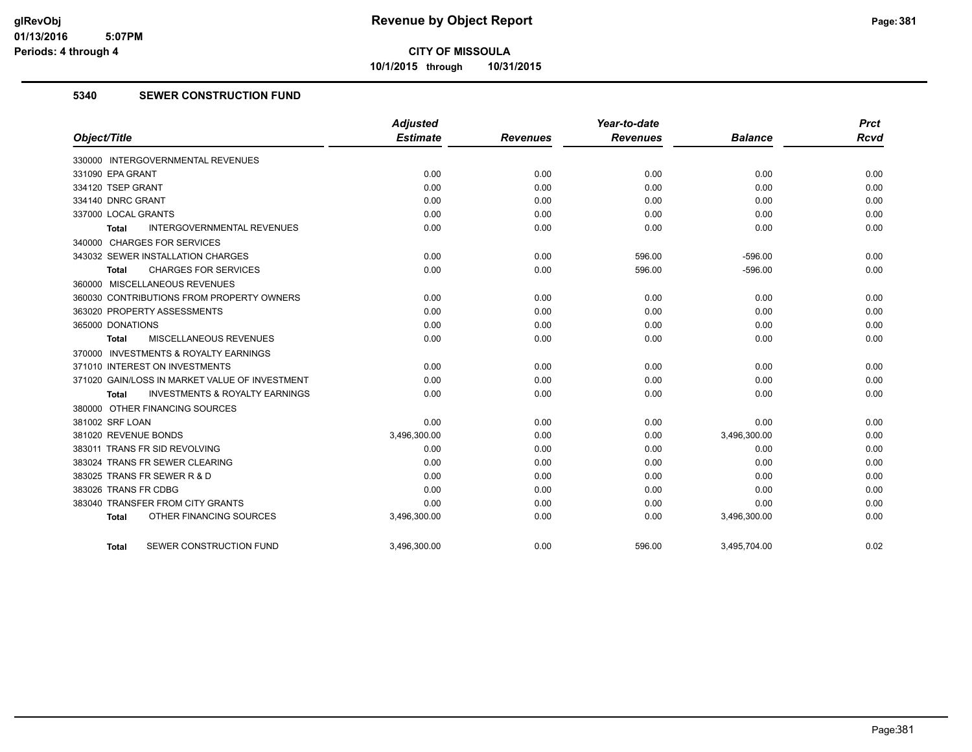**10/1/2015 through 10/31/2015**

#### **5340 SEWER CONSTRUCTION FUND**

|                                                    | <b>Adjusted</b> |                 | Year-to-date    |                | <b>Prct</b> |
|----------------------------------------------------|-----------------|-----------------|-----------------|----------------|-------------|
| Object/Title                                       | <b>Estimate</b> | <b>Revenues</b> | <b>Revenues</b> | <b>Balance</b> | <b>Rcvd</b> |
| 330000 INTERGOVERNMENTAL REVENUES                  |                 |                 |                 |                |             |
| 331090 EPA GRANT                                   | 0.00            | 0.00            | 0.00            | 0.00           | 0.00        |
| 334120 TSEP GRANT                                  | 0.00            | 0.00            | 0.00            | 0.00           | 0.00        |
| 334140 DNRC GRANT                                  | 0.00            | 0.00            | 0.00            | 0.00           | 0.00        |
| 337000 LOCAL GRANTS                                | 0.00            | 0.00            | 0.00            | 0.00           | 0.00        |
| <b>INTERGOVERNMENTAL REVENUES</b><br>Total         | 0.00            | 0.00            | 0.00            | 0.00           | 0.00        |
| 340000 CHARGES FOR SERVICES                        |                 |                 |                 |                |             |
| 343032 SEWER INSTALLATION CHARGES                  | 0.00            | 0.00            | 596.00          | $-596.00$      | 0.00        |
| <b>CHARGES FOR SERVICES</b><br>Total               | 0.00            | 0.00            | 596.00          | $-596.00$      | 0.00        |
| 360000 MISCELLANEOUS REVENUES                      |                 |                 |                 |                |             |
| 360030 CONTRIBUTIONS FROM PROPERTY OWNERS          | 0.00            | 0.00            | 0.00            | 0.00           | 0.00        |
| 363020 PROPERTY ASSESSMENTS                        | 0.00            | 0.00            | 0.00            | 0.00           | 0.00        |
| 365000 DONATIONS                                   | 0.00            | 0.00            | 0.00            | 0.00           | 0.00        |
| <b>MISCELLANEOUS REVENUES</b><br>Total             | 0.00            | 0.00            | 0.00            | 0.00           | 0.00        |
| 370000 INVESTMENTS & ROYALTY EARNINGS              |                 |                 |                 |                |             |
| 371010 INTEREST ON INVESTMENTS                     | 0.00            | 0.00            | 0.00            | 0.00           | 0.00        |
| 371020 GAIN/LOSS IN MARKET VALUE OF INVESTMENT     | 0.00            | 0.00            | 0.00            | 0.00           | 0.00        |
| <b>INVESTMENTS &amp; ROYALTY EARNINGS</b><br>Total | 0.00            | 0.00            | 0.00            | 0.00           | 0.00        |
| 380000 OTHER FINANCING SOURCES                     |                 |                 |                 |                |             |
| 381002 SRF LOAN                                    | 0.00            | 0.00            | 0.00            | 0.00           | 0.00        |
| 381020 REVENUE BONDS                               | 3,496,300.00    | 0.00            | 0.00            | 3,496,300.00   | 0.00        |
| 383011 TRANS FR SID REVOLVING                      | 0.00            | 0.00            | 0.00            | 0.00           | 0.00        |
| 383024 TRANS FR SEWER CLEARING                     | 0.00            | 0.00            | 0.00            | 0.00           | 0.00        |
| 383025 TRANS FR SEWER R & D                        | 0.00            | 0.00            | 0.00            | 0.00           | 0.00        |
| 383026 TRANS FR CDBG                               | 0.00            | 0.00            | 0.00            | 0.00           | 0.00        |
| 383040 TRANSFER FROM CITY GRANTS                   | 0.00            | 0.00            | 0.00            | 0.00           | 0.00        |
| OTHER FINANCING SOURCES<br><b>Total</b>            | 3,496,300.00    | 0.00            | 0.00            | 3,496,300.00   | 0.00        |
| SEWER CONSTRUCTION FUND<br><b>Total</b>            | 3,496,300.00    | 0.00            | 596.00          | 3,495,704.00   | 0.02        |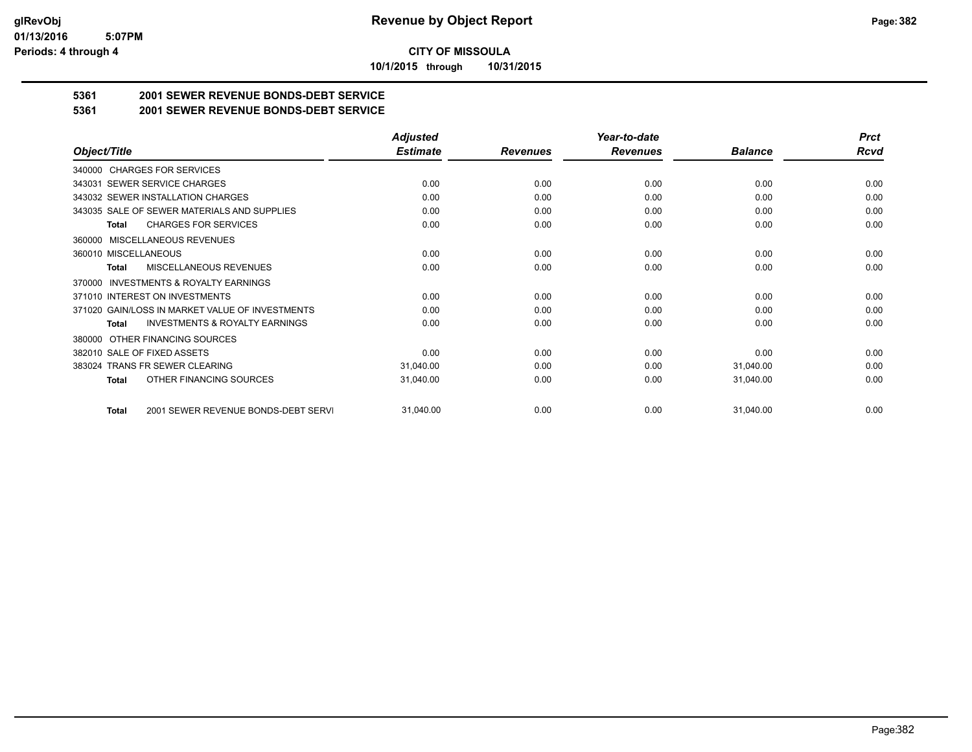**10/1/2015 through 10/31/2015**

## **5361 2001 SEWER REVENUE BONDS-DEBT SERVICE**

**5361 2001 SEWER REVENUE BONDS-DEBT SERVICE**

|                                                           | <b>Adjusted</b> |                 | Year-to-date    |                | <b>Prct</b> |
|-----------------------------------------------------------|-----------------|-----------------|-----------------|----------------|-------------|
| Object/Title                                              | <b>Estimate</b> | <b>Revenues</b> | <b>Revenues</b> | <b>Balance</b> | <b>Rcvd</b> |
| 340000 CHARGES FOR SERVICES                               |                 |                 |                 |                |             |
| SEWER SERVICE CHARGES<br>343031                           | 0.00            | 0.00            | 0.00            | 0.00           | 0.00        |
| 343032 SEWER INSTALLATION CHARGES                         | 0.00            | 0.00            | 0.00            | 0.00           | 0.00        |
| 343035 SALE OF SEWER MATERIALS AND SUPPLIES               | 0.00            | 0.00            | 0.00            | 0.00           | 0.00        |
| <b>CHARGES FOR SERVICES</b><br><b>Total</b>               | 0.00            | 0.00            | 0.00            | 0.00           | 0.00        |
| <b>MISCELLANEOUS REVENUES</b><br>360000                   |                 |                 |                 |                |             |
| 360010 MISCELLANEOUS                                      | 0.00            | 0.00            | 0.00            | 0.00           | 0.00        |
| <b>MISCELLANEOUS REVENUES</b><br>Total                    | 0.00            | 0.00            | 0.00            | 0.00           | 0.00        |
| <b>INVESTMENTS &amp; ROYALTY EARNINGS</b><br>370000       |                 |                 |                 |                |             |
| 371010 INTEREST ON INVESTMENTS                            | 0.00            | 0.00            | 0.00            | 0.00           | 0.00        |
| 371020 GAIN/LOSS IN MARKET VALUE OF INVESTMENTS           | 0.00            | 0.00            | 0.00            | 0.00           | 0.00        |
| <b>INVESTMENTS &amp; ROYALTY EARNINGS</b><br><b>Total</b> | 0.00            | 0.00            | 0.00            | 0.00           | 0.00        |
| OTHER FINANCING SOURCES<br>380000                         |                 |                 |                 |                |             |
| 382010 SALE OF FIXED ASSETS                               | 0.00            | 0.00            | 0.00            | 0.00           | 0.00        |
| 383024 TRANS FR SEWER CLEARING                            | 31,040.00       | 0.00            | 0.00            | 31,040.00      | 0.00        |
| OTHER FINANCING SOURCES<br>Total                          | 31,040.00       | 0.00            | 0.00            | 31,040.00      | 0.00        |
| 2001 SEWER REVENUE BONDS-DEBT SERVI<br><b>Total</b>       | 31,040.00       | 0.00            | 0.00            | 31,040.00      | 0.00        |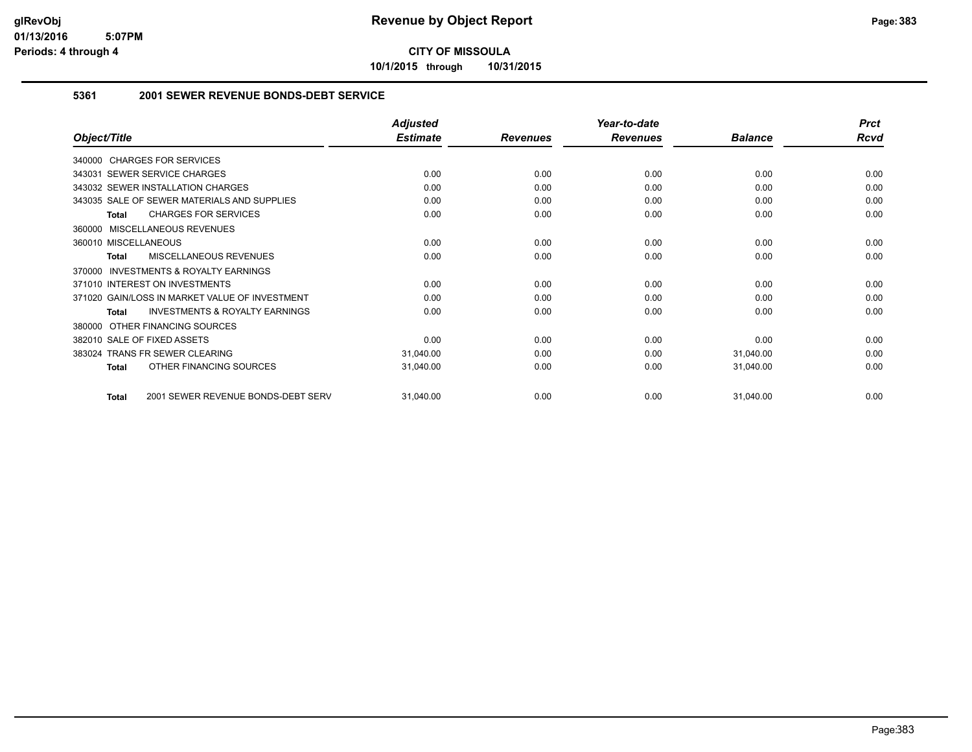**10/1/2015 through 10/31/2015**

#### **5361 2001 SEWER REVENUE BONDS-DEBT SERVICE**

|                                                           | <b>Adjusted</b> |                 | Year-to-date    |                | <b>Prct</b> |
|-----------------------------------------------------------|-----------------|-----------------|-----------------|----------------|-------------|
| Object/Title                                              | <b>Estimate</b> | <b>Revenues</b> | <b>Revenues</b> | <b>Balance</b> | Rcvd        |
| 340000 CHARGES FOR SERVICES                               |                 |                 |                 |                |             |
| 343031 SEWER SERVICE CHARGES                              | 0.00            | 0.00            | 0.00            | 0.00           | 0.00        |
| 343032 SEWER INSTALLATION CHARGES                         | 0.00            | 0.00            | 0.00            | 0.00           | 0.00        |
| 343035 SALE OF SEWER MATERIALS AND SUPPLIES               | 0.00            | 0.00            | 0.00            | 0.00           | 0.00        |
| <b>CHARGES FOR SERVICES</b><br><b>Total</b>               | 0.00            | 0.00            | 0.00            | 0.00           | 0.00        |
| MISCELLANEOUS REVENUES<br>360000                          |                 |                 |                 |                |             |
| 360010 MISCELLANEOUS                                      | 0.00            | 0.00            | 0.00            | 0.00           | 0.00        |
| MISCELLANEOUS REVENUES<br><b>Total</b>                    | 0.00            | 0.00            | 0.00            | 0.00           | 0.00        |
| INVESTMENTS & ROYALTY EARNINGS<br>370000                  |                 |                 |                 |                |             |
| 371010 INTEREST ON INVESTMENTS                            | 0.00            | 0.00            | 0.00            | 0.00           | 0.00        |
| 371020 GAIN/LOSS IN MARKET VALUE OF INVESTMENT            | 0.00            | 0.00            | 0.00            | 0.00           | 0.00        |
| <b>INVESTMENTS &amp; ROYALTY EARNINGS</b><br><b>Total</b> | 0.00            | 0.00            | 0.00            | 0.00           | 0.00        |
| OTHER FINANCING SOURCES<br>380000                         |                 |                 |                 |                |             |
| 382010 SALE OF FIXED ASSETS                               | 0.00            | 0.00            | 0.00            | 0.00           | 0.00        |
| <b>TRANS FR SEWER CLEARING</b><br>383024                  | 31,040.00       | 0.00            | 0.00            | 31,040.00      | 0.00        |
| OTHER FINANCING SOURCES<br><b>Total</b>                   | 31,040.00       | 0.00            | 0.00            | 31,040.00      | 0.00        |
| 2001 SEWER REVENUE BONDS-DEBT SERV<br><b>Total</b>        | 31,040.00       | 0.00            | 0.00            | 31,040.00      | 0.00        |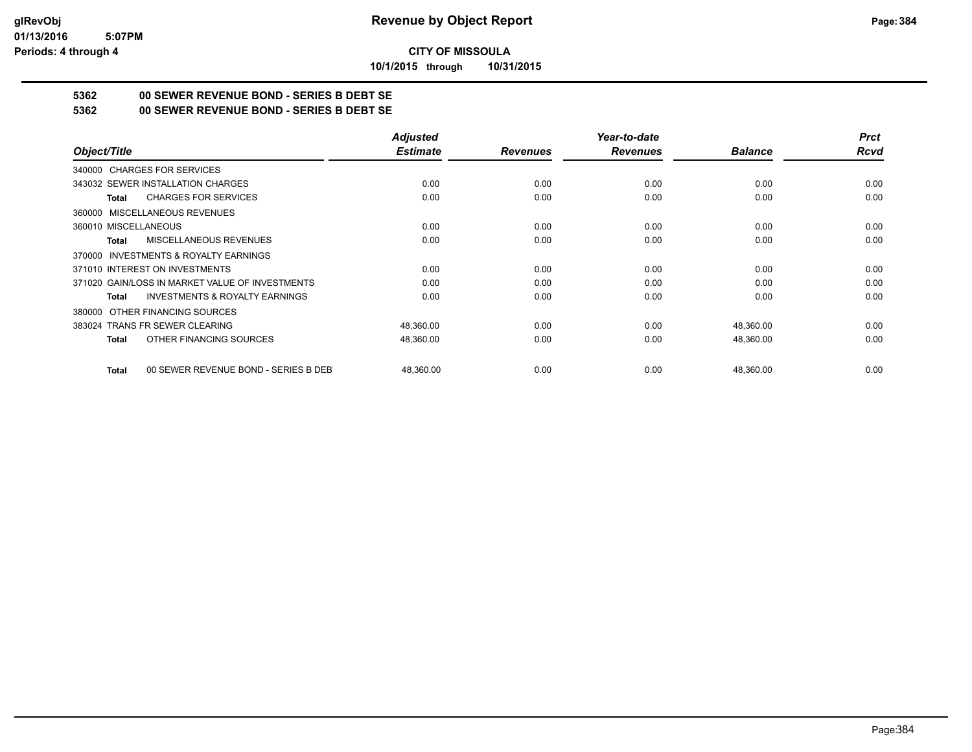**10/1/2015 through 10/31/2015**

## **5362 00 SEWER REVENUE BOND - SERIES B DEBT SE**

**5362 00 SEWER REVENUE BOND - SERIES B DEBT SE**

|                                                      | <b>Adjusted</b> |                 | Year-to-date    |                | <b>Prct</b> |
|------------------------------------------------------|-----------------|-----------------|-----------------|----------------|-------------|
| Object/Title                                         | <b>Estimate</b> | <b>Revenues</b> | <b>Revenues</b> | <b>Balance</b> | <b>Rcvd</b> |
| 340000 CHARGES FOR SERVICES                          |                 |                 |                 |                |             |
| 343032 SEWER INSTALLATION CHARGES                    | 0.00            | 0.00            | 0.00            | 0.00           | 0.00        |
| <b>CHARGES FOR SERVICES</b><br>Total                 | 0.00            | 0.00            | 0.00            | 0.00           | 0.00        |
| 360000 MISCELLANEOUS REVENUES                        |                 |                 |                 |                |             |
| 360010 MISCELLANEOUS                                 | 0.00            | 0.00            | 0.00            | 0.00           | 0.00        |
| <b>MISCELLANEOUS REVENUES</b><br>Total               | 0.00            | 0.00            | 0.00            | 0.00           | 0.00        |
| 370000 INVESTMENTS & ROYALTY EARNINGS                |                 |                 |                 |                |             |
| 371010 INTEREST ON INVESTMENTS                       | 0.00            | 0.00            | 0.00            | 0.00           | 0.00        |
| 371020 GAIN/LOSS IN MARKET VALUE OF INVESTMENTS      | 0.00            | 0.00            | 0.00            | 0.00           | 0.00        |
| <b>INVESTMENTS &amp; ROYALTY EARNINGS</b><br>Total   | 0.00            | 0.00            | 0.00            | 0.00           | 0.00        |
| OTHER FINANCING SOURCES<br>380000                    |                 |                 |                 |                |             |
| 383024 TRANS FR SEWER CLEARING                       | 48,360.00       | 0.00            | 0.00            | 48,360.00      | 0.00        |
| OTHER FINANCING SOURCES<br>Total                     | 48,360.00       | 0.00            | 0.00            | 48,360.00      | 0.00        |
| 00 SEWER REVENUE BOND - SERIES B DEB<br><b>Total</b> | 48.360.00       | 0.00            | 0.00            | 48,360.00      | 0.00        |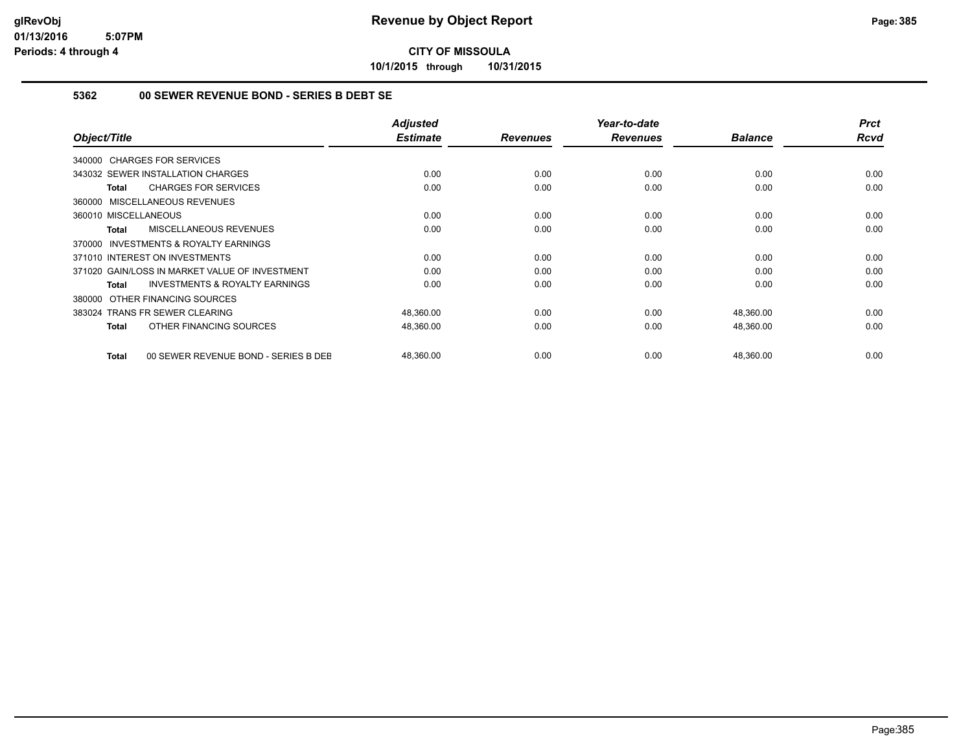**10/1/2015 through 10/31/2015**

#### **5362 00 SEWER REVENUE BOND - SERIES B DEBT SE**

| Object/Title                                              | <b>Adjusted</b><br><b>Estimate</b> | <b>Revenues</b> | Year-to-date<br><b>Revenues</b> | <b>Balance</b> | <b>Prct</b><br><b>Rcvd</b> |
|-----------------------------------------------------------|------------------------------------|-----------------|---------------------------------|----------------|----------------------------|
| 340000 CHARGES FOR SERVICES                               |                                    |                 |                                 |                |                            |
| 343032 SEWER INSTALLATION CHARGES                         | 0.00                               | 0.00            | 0.00                            | 0.00           | 0.00                       |
| <b>CHARGES FOR SERVICES</b><br>Total                      | 0.00                               | 0.00            | 0.00                            | 0.00           | 0.00                       |
| 360000 MISCELLANEOUS REVENUES                             |                                    |                 |                                 |                |                            |
| 360010 MISCELLANEOUS                                      | 0.00                               | 0.00            | 0.00                            | 0.00           | 0.00                       |
| <b>MISCELLANEOUS REVENUES</b><br>Total                    | 0.00                               | 0.00            | 0.00                            | 0.00           | 0.00                       |
| <b>INVESTMENTS &amp; ROYALTY EARNINGS</b><br>370000       |                                    |                 |                                 |                |                            |
| 371010 INTEREST ON INVESTMENTS                            | 0.00                               | 0.00            | 0.00                            | 0.00           | 0.00                       |
| 371020 GAIN/LOSS IN MARKET VALUE OF INVESTMENT            | 0.00                               | 0.00            | 0.00                            | 0.00           | 0.00                       |
| <b>INVESTMENTS &amp; ROYALTY EARNINGS</b><br><b>Total</b> | 0.00                               | 0.00            | 0.00                            | 0.00           | 0.00                       |
| OTHER FINANCING SOURCES<br>380000                         |                                    |                 |                                 |                |                            |
| 383024 TRANS FR SEWER CLEARING                            | 48,360.00                          | 0.00            | 0.00                            | 48,360.00      | 0.00                       |
| OTHER FINANCING SOURCES<br>Total                          | 48,360.00                          | 0.00            | 0.00                            | 48,360.00      | 0.00                       |
| 00 SEWER REVENUE BOND - SERIES B DEE<br>Total             | 48,360.00                          | 0.00            | 0.00                            | 48,360.00      | 0.00                       |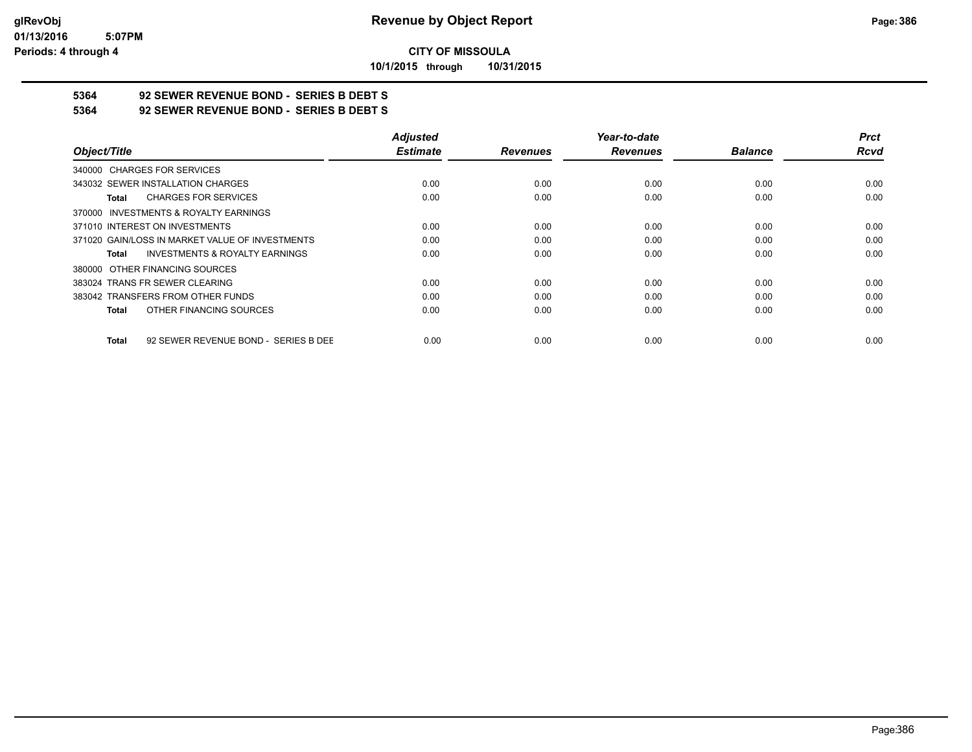**10/1/2015 through 10/31/2015**

# **5364 92 SEWER REVENUE BOND - SERIES B DEBT S**

**5364 92 SEWER REVENUE BOND - SERIES B DEBT S**

|                                                      | <b>Adjusted</b> |                 | Year-to-date    |                | <b>Prct</b> |
|------------------------------------------------------|-----------------|-----------------|-----------------|----------------|-------------|
| Object/Title                                         | <b>Estimate</b> | <b>Revenues</b> | <b>Revenues</b> | <b>Balance</b> | <b>Rcvd</b> |
| 340000 CHARGES FOR SERVICES                          |                 |                 |                 |                |             |
| 343032 SEWER INSTALLATION CHARGES                    | 0.00            | 0.00            | 0.00            | 0.00           | 0.00        |
| <b>CHARGES FOR SERVICES</b><br>Total                 | 0.00            | 0.00            | 0.00            | 0.00           | 0.00        |
| 370000 INVESTMENTS & ROYALTY EARNINGS                |                 |                 |                 |                |             |
| 371010 INTEREST ON INVESTMENTS                       | 0.00            | 0.00            | 0.00            | 0.00           | 0.00        |
| 371020 GAIN/LOSS IN MARKET VALUE OF INVESTMENTS      | 0.00            | 0.00            | 0.00            | 0.00           | 0.00        |
| <b>INVESTMENTS &amp; ROYALTY EARNINGS</b><br>Total   | 0.00            | 0.00            | 0.00            | 0.00           | 0.00        |
| 380000 OTHER FINANCING SOURCES                       |                 |                 |                 |                |             |
| 383024 TRANS FR SEWER CLEARING                       | 0.00            | 0.00            | 0.00            | 0.00           | 0.00        |
| 383042 TRANSFERS FROM OTHER FUNDS                    | 0.00            | 0.00            | 0.00            | 0.00           | 0.00        |
| OTHER FINANCING SOURCES<br><b>Total</b>              | 0.00            | 0.00            | 0.00            | 0.00           | 0.00        |
| 92 SEWER REVENUE BOND - SERIES B DEE<br><b>Total</b> | 0.00            | 0.00            | 0.00            | 0.00           | 0.00        |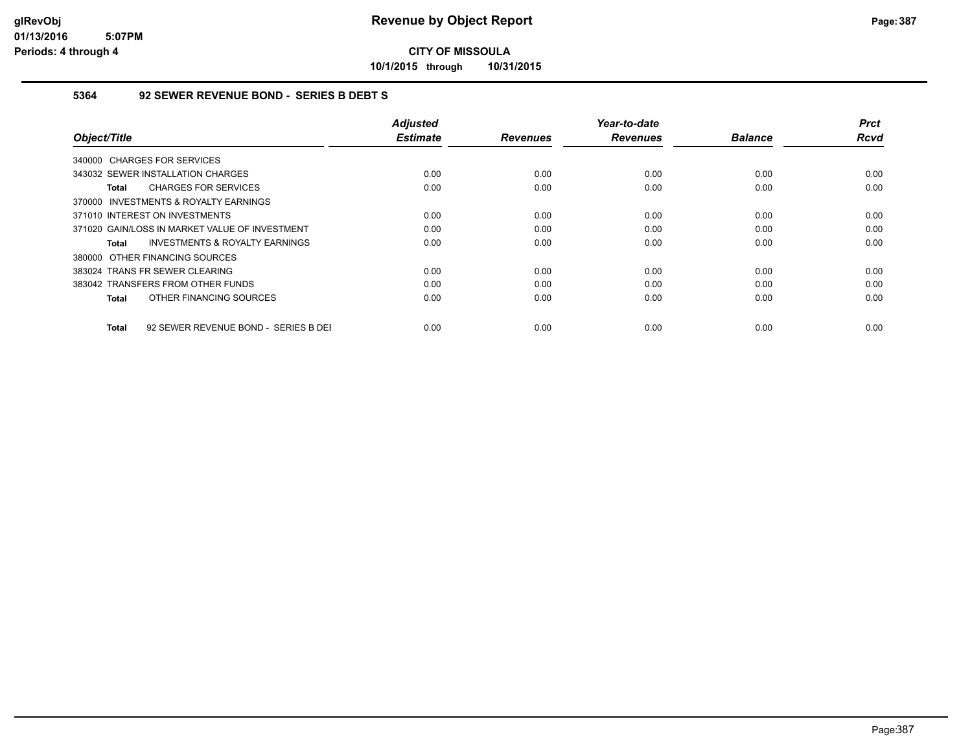**10/1/2015 through 10/31/2015**

#### **5364 92 SEWER REVENUE BOND - SERIES B DEBT S**

| Object/Title                                         | <b>Adjusted</b><br><b>Estimate</b> | <b>Revenues</b> | Year-to-date<br><b>Revenues</b> | <b>Balance</b> | <b>Prct</b><br>Rcvd |
|------------------------------------------------------|------------------------------------|-----------------|---------------------------------|----------------|---------------------|
| 340000 CHARGES FOR SERVICES                          |                                    |                 |                                 |                |                     |
| 343032 SEWER INSTALLATION CHARGES                    | 0.00                               | 0.00            | 0.00                            | 0.00           | 0.00                |
| <b>CHARGES FOR SERVICES</b><br>Total                 | 0.00                               | 0.00            | 0.00                            | 0.00           | 0.00                |
| 370000 INVESTMENTS & ROYALTY EARNINGS                |                                    |                 |                                 |                |                     |
| 371010 INTEREST ON INVESTMENTS                       | 0.00                               | 0.00            | 0.00                            | 0.00           | 0.00                |
| 371020 GAIN/LOSS IN MARKET VALUE OF INVESTMENT       | 0.00                               | 0.00            | 0.00                            | 0.00           | 0.00                |
| <b>INVESTMENTS &amp; ROYALTY EARNINGS</b><br>Total   | 0.00                               | 0.00            | 0.00                            | 0.00           | 0.00                |
| 380000 OTHER FINANCING SOURCES                       |                                    |                 |                                 |                |                     |
| 383024 TRANS FR SEWER CLEARING                       | 0.00                               | 0.00            | 0.00                            | 0.00           | 0.00                |
| 383042 TRANSFERS FROM OTHER FUNDS                    | 0.00                               | 0.00            | 0.00                            | 0.00           | 0.00                |
| OTHER FINANCING SOURCES<br>Total                     | 0.00                               | 0.00            | 0.00                            | 0.00           | 0.00                |
|                                                      |                                    |                 |                                 |                |                     |
| 92 SEWER REVENUE BOND - SERIES B DEI<br><b>Total</b> | 0.00                               | 0.00            | 0.00                            | 0.00           | 0.00                |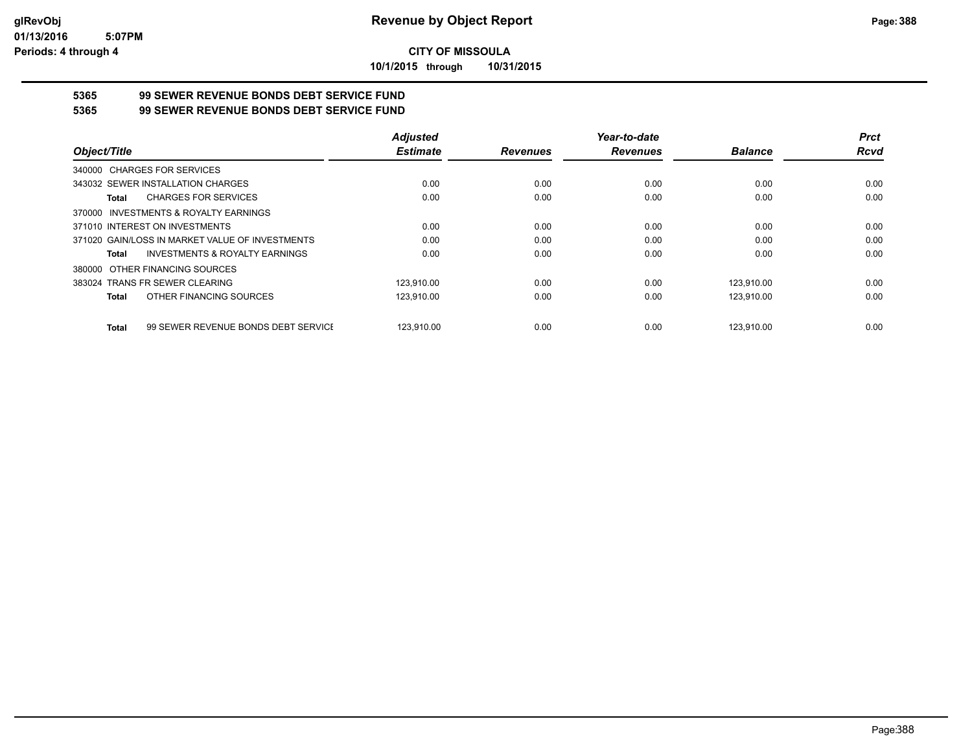**10/1/2015 through 10/31/2015**

# **5365 99 SEWER REVENUE BONDS DEBT SERVICE FUND**

**5365 99 SEWER REVENUE BONDS DEBT SERVICE FUND**

|                                                     | <b>Adjusted</b> |                 | Year-to-date    |                | <b>Prct</b> |
|-----------------------------------------------------|-----------------|-----------------|-----------------|----------------|-------------|
| Object/Title                                        | <b>Estimate</b> | <b>Revenues</b> | <b>Revenues</b> | <b>Balance</b> | <b>Rcvd</b> |
| 340000 CHARGES FOR SERVICES                         |                 |                 |                 |                |             |
| 343032 SEWER INSTALLATION CHARGES                   | 0.00            | 0.00            | 0.00            | 0.00           | 0.00        |
| <b>CHARGES FOR SERVICES</b><br>Total                | 0.00            | 0.00            | 0.00            | 0.00           | 0.00        |
| INVESTMENTS & ROYALTY EARNINGS<br>370000            |                 |                 |                 |                |             |
| 371010 INTEREST ON INVESTMENTS                      | 0.00            | 0.00            | 0.00            | 0.00           | 0.00        |
| 371020 GAIN/LOSS IN MARKET VALUE OF INVESTMENTS     | 0.00            | 0.00            | 0.00            | 0.00           | 0.00        |
| <b>INVESTMENTS &amp; ROYALTY EARNINGS</b><br>Total  | 0.00            | 0.00            | 0.00            | 0.00           | 0.00        |
| OTHER FINANCING SOURCES<br>380000                   |                 |                 |                 |                |             |
| 383024 TRANS FR SEWER CLEARING                      | 123.910.00      | 0.00            | 0.00            | 123.910.00     | 0.00        |
| OTHER FINANCING SOURCES<br><b>Total</b>             | 123.910.00      | 0.00            | 0.00            | 123.910.00     | 0.00        |
| 99 SEWER REVENUE BONDS DEBT SERVICE<br><b>Total</b> | 123.910.00      | 0.00            | 0.00            | 123.910.00     | 0.00        |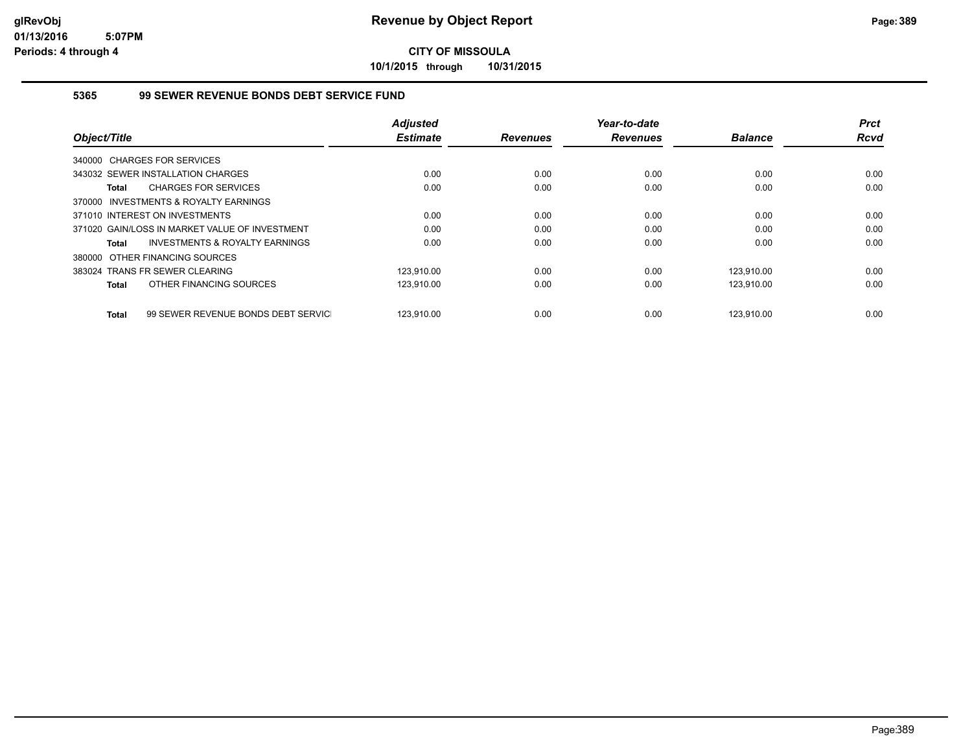**10/1/2015 through 10/31/2015**

#### **5365 99 SEWER REVENUE BONDS DEBT SERVICE FUND**

| Object/Title |                                                | <b>Adjusted</b><br><b>Estimate</b> | <b>Revenues</b> | Year-to-date<br><b>Revenues</b> | <b>Balance</b> | <b>Prct</b><br><b>Rcvd</b> |
|--------------|------------------------------------------------|------------------------------------|-----------------|---------------------------------|----------------|----------------------------|
|              |                                                |                                    |                 |                                 |                |                            |
|              | 340000 CHARGES FOR SERVICES                    |                                    |                 |                                 |                |                            |
|              | 343032 SEWER INSTALLATION CHARGES              | 0.00                               | 0.00            | 0.00                            | 0.00           | 0.00                       |
| Total        | <b>CHARGES FOR SERVICES</b>                    | 0.00                               | 0.00            | 0.00                            | 0.00           | 0.00                       |
|              | 370000 INVESTMENTS & ROYALTY EARNINGS          |                                    |                 |                                 |                |                            |
|              | 371010 INTEREST ON INVESTMENTS                 | 0.00                               | 0.00            | 0.00                            | 0.00           | 0.00                       |
|              | 371020 GAIN/LOSS IN MARKET VALUE OF INVESTMENT | 0.00                               | 0.00            | 0.00                            | 0.00           | 0.00                       |
| Total        | INVESTMENTS & ROYALTY EARNINGS                 | 0.00                               | 0.00            | 0.00                            | 0.00           | 0.00                       |
|              | 380000 OTHER FINANCING SOURCES                 |                                    |                 |                                 |                |                            |
|              | 383024 TRANS FR SEWER CLEARING                 | 123.910.00                         | 0.00            | 0.00                            | 123.910.00     | 0.00                       |
| Total        | OTHER FINANCING SOURCES                        | 123,910.00                         | 0.00            | 0.00                            | 123,910.00     | 0.00                       |
|              |                                                |                                    |                 |                                 |                |                            |
| <b>Total</b> | 99 SEWER REVENUE BONDS DEBT SERVIC             | 123.910.00                         | 0.00            | 0.00                            | 123.910.00     | 0.00                       |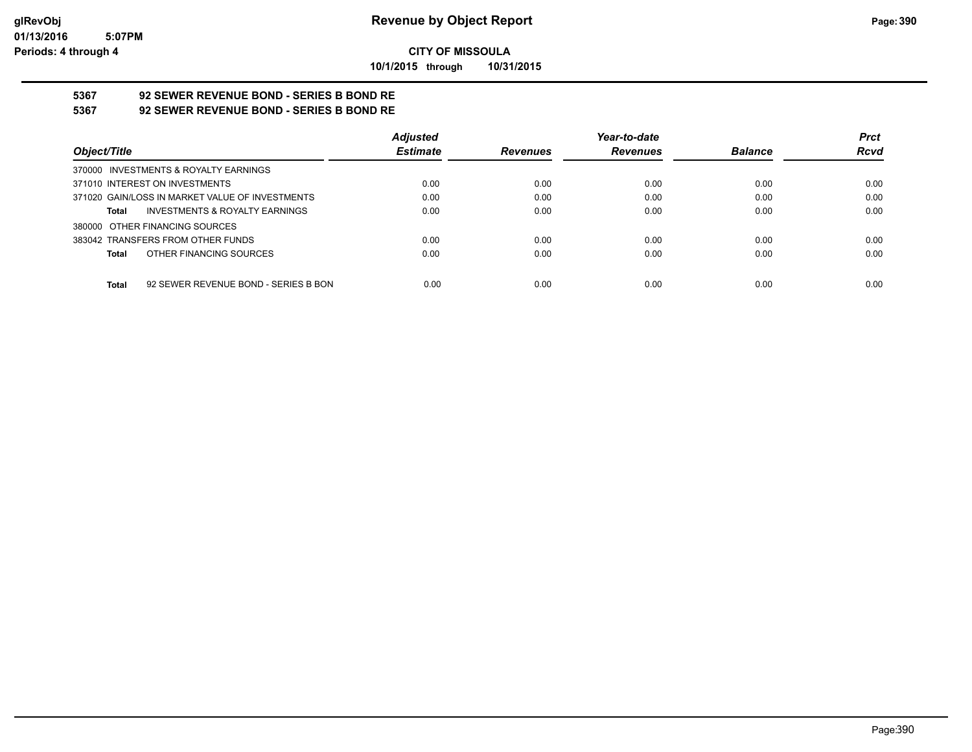**10/1/2015 through 10/31/2015**

# **5367 92 SEWER REVENUE BOND - SERIES B BOND RE**

**5367 92 SEWER REVENUE BOND - SERIES B BOND RE**

|                                                 | <b>Adjusted</b> |                 | Year-to-date    |                | <b>Prct</b> |
|-------------------------------------------------|-----------------|-----------------|-----------------|----------------|-------------|
| Object/Title                                    | <b>Estimate</b> | <b>Revenues</b> | <b>Revenues</b> | <b>Balance</b> | <b>Rcvd</b> |
| 370000 INVESTMENTS & ROYALTY EARNINGS           |                 |                 |                 |                |             |
| 371010 INTEREST ON INVESTMENTS                  | 0.00            | 0.00            | 0.00            | 0.00           | 0.00        |
| 371020 GAIN/LOSS IN MARKET VALUE OF INVESTMENTS | 0.00            | 0.00            | 0.00            | 0.00           | 0.00        |
| INVESTMENTS & ROYALTY EARNINGS<br>Total         | 0.00            | 0.00            | 0.00            | 0.00           | 0.00        |
| 380000 OTHER FINANCING SOURCES                  |                 |                 |                 |                |             |
| 383042 TRANSFERS FROM OTHER FUNDS               | 0.00            | 0.00            | 0.00            | 0.00           | 0.00        |
| OTHER FINANCING SOURCES<br>Total                | 0.00            | 0.00            | 0.00            | 0.00           | 0.00        |
|                                                 |                 |                 |                 |                |             |
| 92 SEWER REVENUE BOND - SERIES B BON<br>Total   | 0.00            | 0.00            | 0.00            | 0.00           | 0.00        |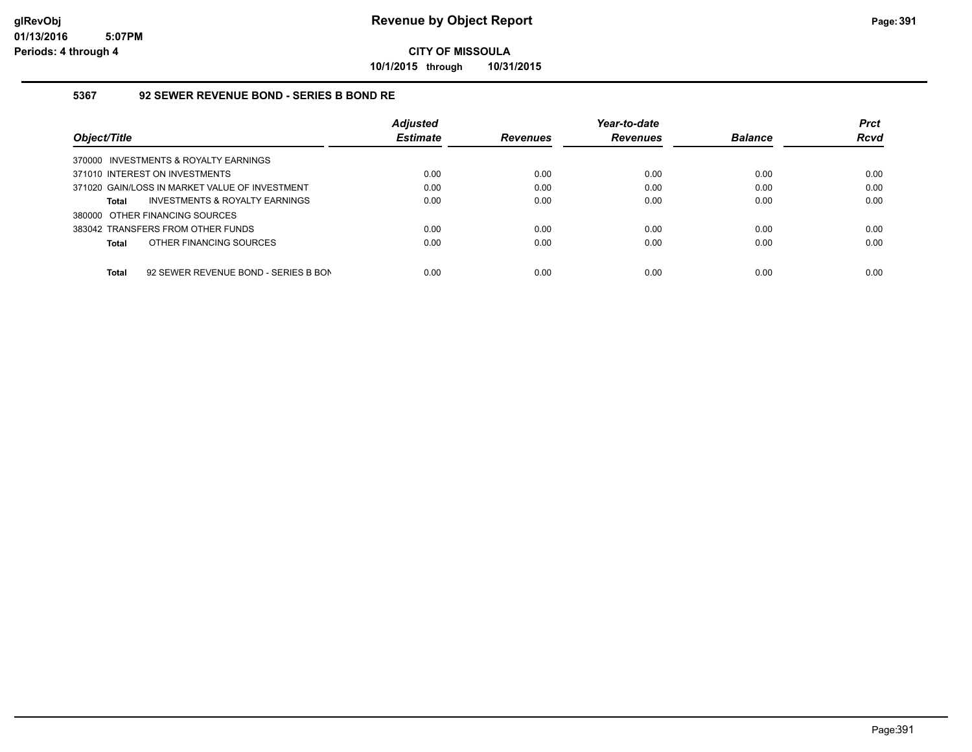**10/1/2015 through 10/31/2015**

#### **5367 92 SEWER REVENUE BOND - SERIES B BOND RE**

| Object/Title                                         | <b>Adjusted</b><br><b>Estimate</b> | <b>Revenues</b> | Year-to-date<br><b>Revenues</b> | <b>Balance</b> | <b>Prct</b><br><b>Rcvd</b> |
|------------------------------------------------------|------------------------------------|-----------------|---------------------------------|----------------|----------------------------|
| 370000 INVESTMENTS & ROYALTY EARNINGS                |                                    |                 |                                 |                |                            |
| 371010 INTEREST ON INVESTMENTS                       | 0.00                               | 0.00            | 0.00                            | 0.00           | 0.00                       |
| 371020 GAIN/LOSS IN MARKET VALUE OF INVESTMENT       | 0.00                               | 0.00            | 0.00                            | 0.00           | 0.00                       |
| INVESTMENTS & ROYALTY EARNINGS<br>Total              | 0.00                               | 0.00            | 0.00                            | 0.00           | 0.00                       |
| 380000 OTHER FINANCING SOURCES                       |                                    |                 |                                 |                |                            |
| 383042 TRANSFERS FROM OTHER FUNDS                    | 0.00                               | 0.00            | 0.00                            | 0.00           | 0.00                       |
| OTHER FINANCING SOURCES<br><b>Total</b>              | 0.00                               | 0.00            | 0.00                            | 0.00           | 0.00                       |
|                                                      |                                    |                 |                                 |                |                            |
| <b>Total</b><br>92 SEWER REVENUE BOND - SERIES B BON | 0.00                               | 0.00            | 0.00                            | 0.00           | 0.00                       |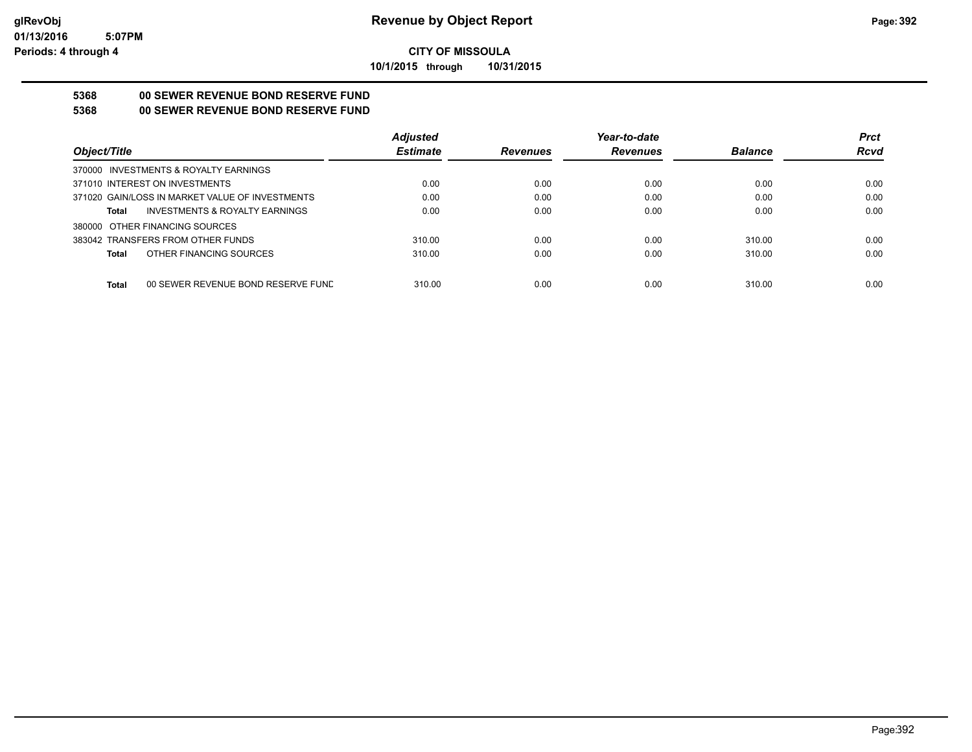**10/1/2015 through 10/31/2015**

## **5368 00 SEWER REVENUE BOND RESERVE FUND**

#### **5368 00 SEWER REVENUE BOND RESERVE FUND**

|                                                    | <b>Adjusted</b> |                 | Year-to-date    |                | <b>Prct</b> |
|----------------------------------------------------|-----------------|-----------------|-----------------|----------------|-------------|
| Obiect/Title                                       | <b>Estimate</b> | <b>Revenues</b> | <b>Revenues</b> | <b>Balance</b> | <b>Rcvd</b> |
| 370000 INVESTMENTS & ROYALTY EARNINGS              |                 |                 |                 |                |             |
| 371010 INTEREST ON INVESTMENTS                     | 0.00            | 0.00            | 0.00            | 0.00           | 0.00        |
| 371020 GAIN/LOSS IN MARKET VALUE OF INVESTMENTS    | 0.00            | 0.00            | 0.00            | 0.00           | 0.00        |
| INVESTMENTS & ROYALTY EARNINGS<br>Total            | 0.00            | 0.00            | 0.00            | 0.00           | 0.00        |
| 380000 OTHER FINANCING SOURCES                     |                 |                 |                 |                |             |
| 383042 TRANSFERS FROM OTHER FUNDS                  | 310.00          | 0.00            | 0.00            | 310.00         | 0.00        |
| OTHER FINANCING SOURCES<br><b>Total</b>            | 310.00          | 0.00            | 0.00            | 310.00         | 0.00        |
|                                                    |                 |                 |                 |                |             |
| <b>Total</b><br>00 SEWER REVENUE BOND RESERVE FUND | 310.00          | 0.00            | 0.00            | 310.00         | 0.00        |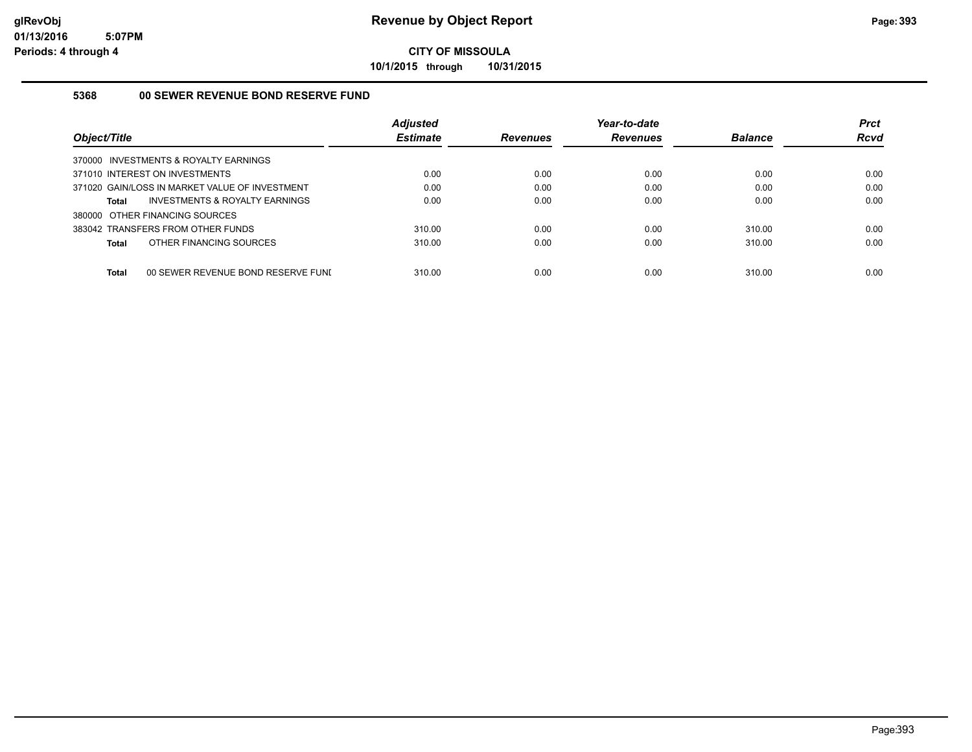**10/1/2015 through 10/31/2015**

#### **5368 00 SEWER REVENUE BOND RESERVE FUND**

| Object/Title                                   | <b>Adjusted</b><br><b>Estimate</b> | <b>Revenues</b> | Year-to-date<br><b>Revenues</b> | <b>Balance</b> | <b>Prct</b><br><b>Rcvd</b> |
|------------------------------------------------|------------------------------------|-----------------|---------------------------------|----------------|----------------------------|
| 370000 INVESTMENTS & ROYALTY EARNINGS          |                                    |                 |                                 |                |                            |
| 371010 INTEREST ON INVESTMENTS                 | 0.00                               | 0.00            | 0.00                            | 0.00           | 0.00                       |
| 371020 GAIN/LOSS IN MARKET VALUE OF INVESTMENT | 0.00                               | 0.00            | 0.00                            | 0.00           | 0.00                       |
| INVESTMENTS & ROYALTY EARNINGS<br>Total        | 0.00                               | 0.00            | 0.00                            | 0.00           | 0.00                       |
| 380000 OTHER FINANCING SOURCES                 |                                    |                 |                                 |                |                            |
| 383042 TRANSFERS FROM OTHER FUNDS              | 310.00                             | 0.00            | 0.00                            | 310.00         | 0.00                       |
| OTHER FINANCING SOURCES<br>Total               | 310.00                             | 0.00            | 0.00                            | 310.00         | 0.00                       |
|                                                |                                    |                 |                                 |                |                            |
| Total<br>00 SEWER REVENUE BOND RESERVE FUNI    | 310.00                             | 0.00            | 0.00                            | 310.00         | 0.00                       |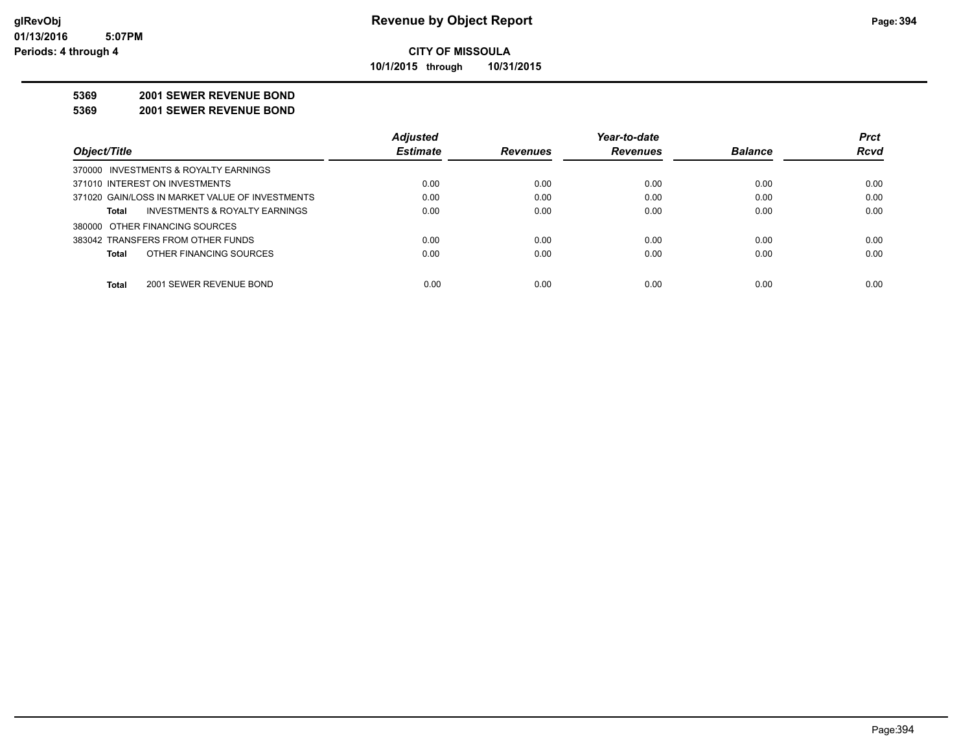**10/1/2015 through 10/31/2015**

#### **5369 2001 SEWER REVENUE BOND**

**5369 2001 SEWER REVENUE BOND**

|                                                 | <b>Adjusted</b> |                 | Year-to-date    |                | <b>Prct</b> |
|-------------------------------------------------|-----------------|-----------------|-----------------|----------------|-------------|
| Object/Title                                    | <b>Estimate</b> | <b>Revenues</b> | <b>Revenues</b> | <b>Balance</b> | <b>Rcvd</b> |
| 370000 INVESTMENTS & ROYALTY EARNINGS           |                 |                 |                 |                |             |
| 371010 INTEREST ON INVESTMENTS                  | 0.00            | 0.00            | 0.00            | 0.00           | 0.00        |
| 371020 GAIN/LOSS IN MARKET VALUE OF INVESTMENTS | 0.00            | 0.00            | 0.00            | 0.00           | 0.00        |
| INVESTMENTS & ROYALTY EARNINGS<br>Total         | 0.00            | 0.00            | 0.00            | 0.00           | 0.00        |
| 380000 OTHER FINANCING SOURCES                  |                 |                 |                 |                |             |
| 383042 TRANSFERS FROM OTHER FUNDS               | 0.00            | 0.00            | 0.00            | 0.00           | 0.00        |
| OTHER FINANCING SOURCES<br><b>Total</b>         | 0.00            | 0.00            | 0.00            | 0.00           | 0.00        |
|                                                 |                 |                 |                 |                |             |
| <b>Total</b><br>2001 SEWER REVENUE BOND         | 0.00            | 0.00            | 0.00            | 0.00           | 0.00        |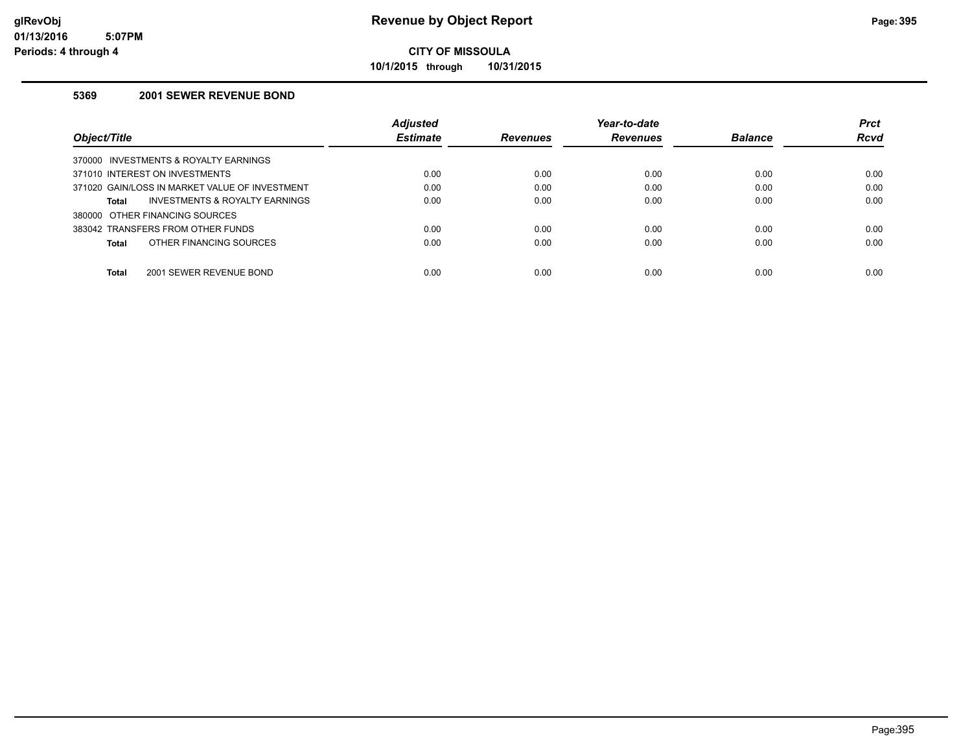**10/1/2015 through 10/31/2015**

#### **5369 2001 SEWER REVENUE BOND**

|                                                    | <b>Adjusted</b> |                 | Year-to-date    |                | <b>Prct</b> |
|----------------------------------------------------|-----------------|-----------------|-----------------|----------------|-------------|
| Object/Title                                       | <b>Estimate</b> | <b>Revenues</b> | <b>Revenues</b> | <b>Balance</b> | Rcvd        |
| INVESTMENTS & ROYALTY EARNINGS<br>370000           |                 |                 |                 |                |             |
| 371010 INTEREST ON INVESTMENTS                     | 0.00            | 0.00            | 0.00            | 0.00           | 0.00        |
| 371020 GAIN/LOSS IN MARKET VALUE OF INVESTMENT     | 0.00            | 0.00            | 0.00            | 0.00           | 0.00        |
| <b>INVESTMENTS &amp; ROYALTY EARNINGS</b><br>Total | 0.00            | 0.00            | 0.00            | 0.00           | 0.00        |
| 380000 OTHER FINANCING SOURCES                     |                 |                 |                 |                |             |
| 383042 TRANSFERS FROM OTHER FUNDS                  | 0.00            | 0.00            | 0.00            | 0.00           | 0.00        |
| OTHER FINANCING SOURCES<br>Total                   | 0.00            | 0.00            | 0.00            | 0.00           | 0.00        |
|                                                    |                 |                 |                 |                |             |
| Total<br>2001 SEWER REVENUE BOND                   | 0.00            | 0.00            | 0.00            | 0.00           | 0.00        |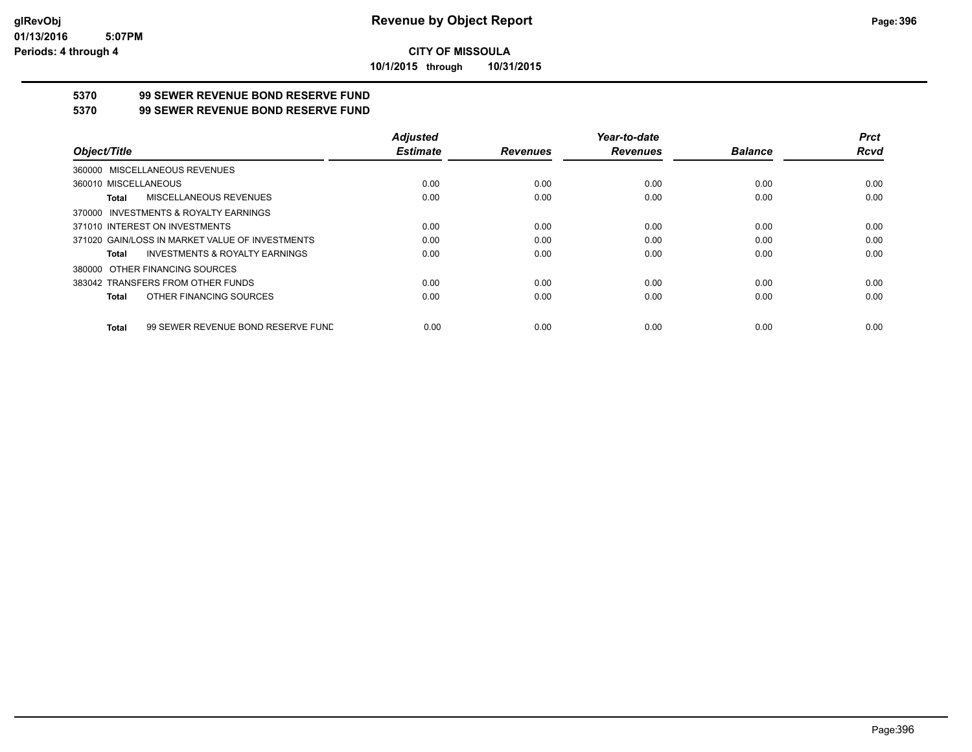**10/1/2015 through 10/31/2015**

## **5370 99 SEWER REVENUE BOND RESERVE FUND**

#### **5370 99 SEWER REVENUE BOND RESERVE FUND**

|                                                    | <b>Adjusted</b> |                 | Year-to-date    |                | <b>Prct</b> |
|----------------------------------------------------|-----------------|-----------------|-----------------|----------------|-------------|
| Object/Title                                       | <b>Estimate</b> | <b>Revenues</b> | <b>Revenues</b> | <b>Balance</b> | Rcvd        |
| 360000 MISCELLANEOUS REVENUES                      |                 |                 |                 |                |             |
| 360010 MISCELLANEOUS                               | 0.00            | 0.00            | 0.00            | 0.00           | 0.00        |
| <b>MISCELLANEOUS REVENUES</b><br>Total             | 0.00            | 0.00            | 0.00            | 0.00           | 0.00        |
| 370000 INVESTMENTS & ROYALTY EARNINGS              |                 |                 |                 |                |             |
| 371010 INTEREST ON INVESTMENTS                     | 0.00            | 0.00            | 0.00            | 0.00           | 0.00        |
| 371020 GAIN/LOSS IN MARKET VALUE OF INVESTMENTS    | 0.00            | 0.00            | 0.00            | 0.00           | 0.00        |
| <b>INVESTMENTS &amp; ROYALTY EARNINGS</b><br>Total | 0.00            | 0.00            | 0.00            | 0.00           | 0.00        |
| 380000 OTHER FINANCING SOURCES                     |                 |                 |                 |                |             |
| 383042 TRANSFERS FROM OTHER FUNDS                  | 0.00            | 0.00            | 0.00            | 0.00           | 0.00        |
| OTHER FINANCING SOURCES<br>Total                   | 0.00            | 0.00            | 0.00            | 0.00           | 0.00        |
| 99 SEWER REVENUE BOND RESERVE FUND<br><b>Total</b> | 0.00            | 0.00            | 0.00            | 0.00           | 0.00        |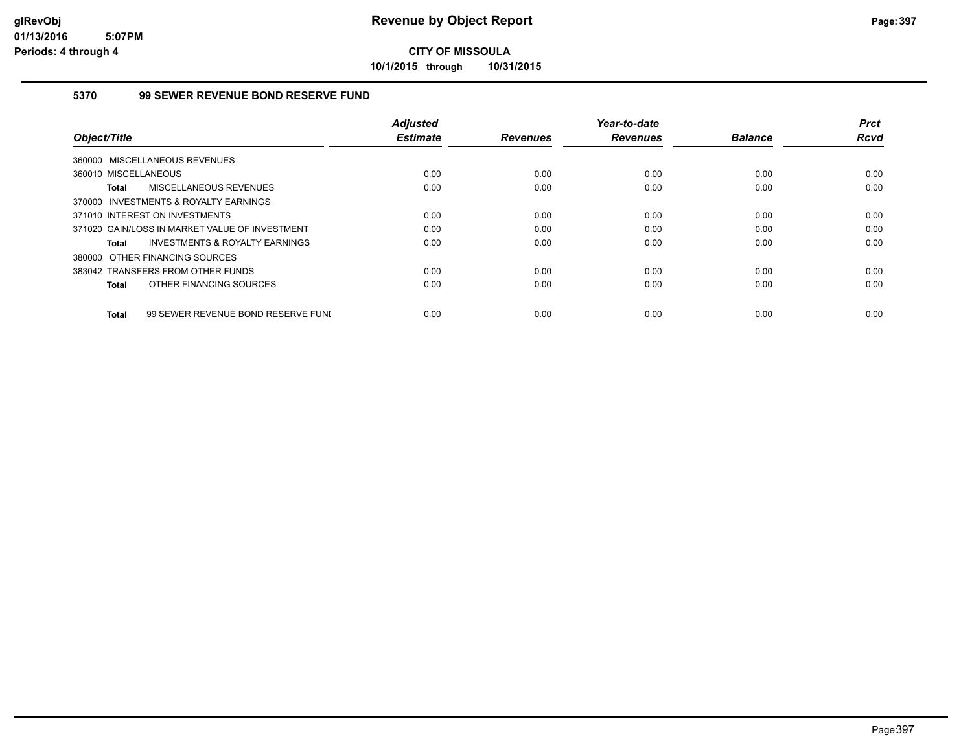**10/1/2015 through 10/31/2015**

## **5370 99 SEWER REVENUE BOND RESERVE FUND**

|                                                    | <b>Adjusted</b> |                 | Year-to-date    |                | <b>Prct</b> |
|----------------------------------------------------|-----------------|-----------------|-----------------|----------------|-------------|
| Object/Title                                       | <b>Estimate</b> | <b>Revenues</b> | <b>Revenues</b> | <b>Balance</b> | <b>Rcvd</b> |
| 360000 MISCELLANEOUS REVENUES                      |                 |                 |                 |                |             |
| 360010 MISCELLANEOUS                               | 0.00            | 0.00            | 0.00            | 0.00           | 0.00        |
| MISCELLANEOUS REVENUES<br><b>Total</b>             | 0.00            | 0.00            | 0.00            | 0.00           | 0.00        |
| 370000 INVESTMENTS & ROYALTY EARNINGS              |                 |                 |                 |                |             |
| 371010 INTEREST ON INVESTMENTS                     | 0.00            | 0.00            | 0.00            | 0.00           | 0.00        |
| 371020 GAIN/LOSS IN MARKET VALUE OF INVESTMENT     | 0.00            | 0.00            | 0.00            | 0.00           | 0.00        |
| INVESTMENTS & ROYALTY EARNINGS<br>Total            | 0.00            | 0.00            | 0.00            | 0.00           | 0.00        |
| 380000 OTHER FINANCING SOURCES                     |                 |                 |                 |                |             |
| 383042 TRANSFERS FROM OTHER FUNDS                  | 0.00            | 0.00            | 0.00            | 0.00           | 0.00        |
| OTHER FINANCING SOURCES<br><b>Total</b>            | 0.00            | 0.00            | 0.00            | 0.00           | 0.00        |
|                                                    |                 |                 |                 |                |             |
| 99 SEWER REVENUE BOND RESERVE FUNI<br><b>Total</b> | 0.00            | 0.00            | 0.00            | 0.00           | 0.00        |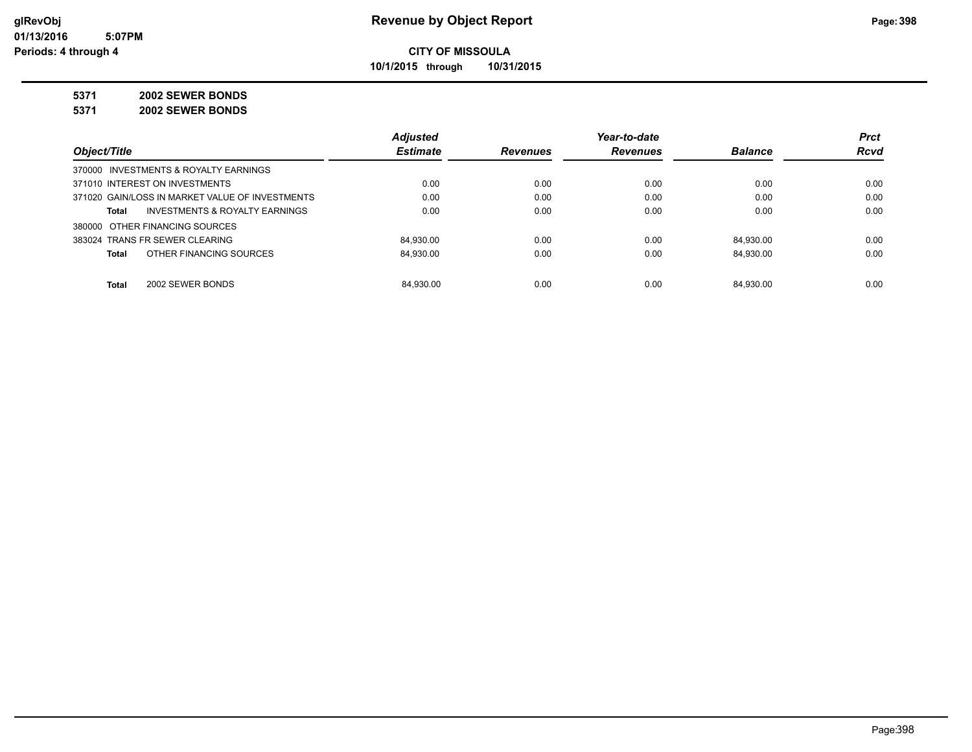**10/1/2015 through 10/31/2015**

#### **5371 2002 SEWER BONDS**

**5371 2002 SEWER BONDS**

|                                                 | <b>Adjusted</b> |                 | Year-to-date    |                | <b>Prct</b> |
|-------------------------------------------------|-----------------|-----------------|-----------------|----------------|-------------|
| Object/Title                                    | <b>Estimate</b> | <b>Revenues</b> | <b>Revenues</b> | <b>Balance</b> | <b>Rcvd</b> |
| 370000 INVESTMENTS & ROYALTY EARNINGS           |                 |                 |                 |                |             |
| 371010 INTEREST ON INVESTMENTS                  | 0.00            | 0.00            | 0.00            | 0.00           | 0.00        |
| 371020 GAIN/LOSS IN MARKET VALUE OF INVESTMENTS | 0.00            | 0.00            | 0.00            | 0.00           | 0.00        |
| INVESTMENTS & ROYALTY EARNINGS<br>Total         | 0.00            | 0.00            | 0.00            | 0.00           | 0.00        |
| 380000 OTHER FINANCING SOURCES                  |                 |                 |                 |                |             |
| 383024 TRANS FR SEWER CLEARING                  | 84.930.00       | 0.00            | 0.00            | 84.930.00      | 0.00        |
| OTHER FINANCING SOURCES<br>Total                | 84.930.00       | 0.00            | 0.00            | 84.930.00      | 0.00        |
|                                                 |                 |                 |                 |                |             |
| Total<br>2002 SEWER BONDS                       | 84.930.00       | 0.00            | 0.00            | 84.930.00      | 0.00        |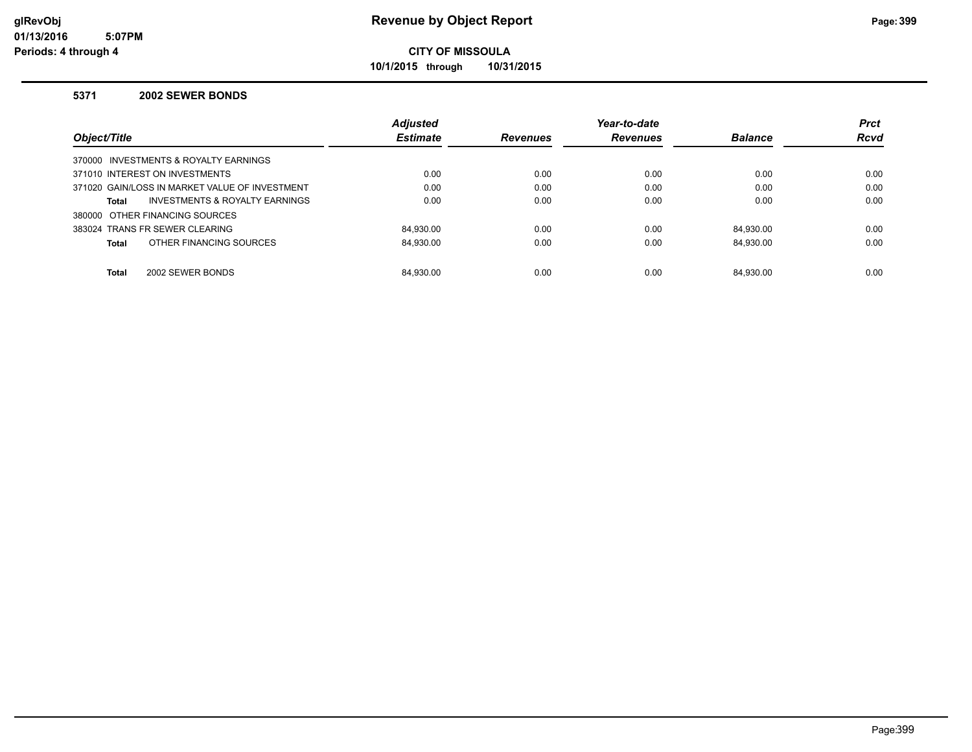**10/1/2015 through 10/31/2015**

#### **5371 2002 SEWER BONDS**

|                                                | <b>Adjusted</b> |                 | Year-to-date    |                | <b>Prct</b> |
|------------------------------------------------|-----------------|-----------------|-----------------|----------------|-------------|
| Object/Title                                   | <b>Estimate</b> | <b>Revenues</b> | <b>Revenues</b> | <b>Balance</b> | <b>Rcvd</b> |
| 370000 INVESTMENTS & ROYALTY EARNINGS          |                 |                 |                 |                |             |
| 371010 INTEREST ON INVESTMENTS                 | 0.00            | 0.00            | 0.00            | 0.00           | 0.00        |
| 371020 GAIN/LOSS IN MARKET VALUE OF INVESTMENT | 0.00            | 0.00            | 0.00            | 0.00           | 0.00        |
| INVESTMENTS & ROYALTY EARNINGS<br><b>Total</b> | 0.00            | 0.00            | 0.00            | 0.00           | 0.00        |
| 380000 OTHER FINANCING SOURCES                 |                 |                 |                 |                |             |
| 383024 TRANS FR SEWER CLEARING                 | 84.930.00       | 0.00            | 0.00            | 84.930.00      | 0.00        |
| OTHER FINANCING SOURCES<br><b>Total</b>        | 84.930.00       | 0.00            | 0.00            | 84.930.00      | 0.00        |
|                                                |                 |                 |                 |                |             |
| 2002 SEWER BONDS<br><b>Total</b>               | 84.930.00       | 0.00            | 0.00            | 84.930.00      | 0.00        |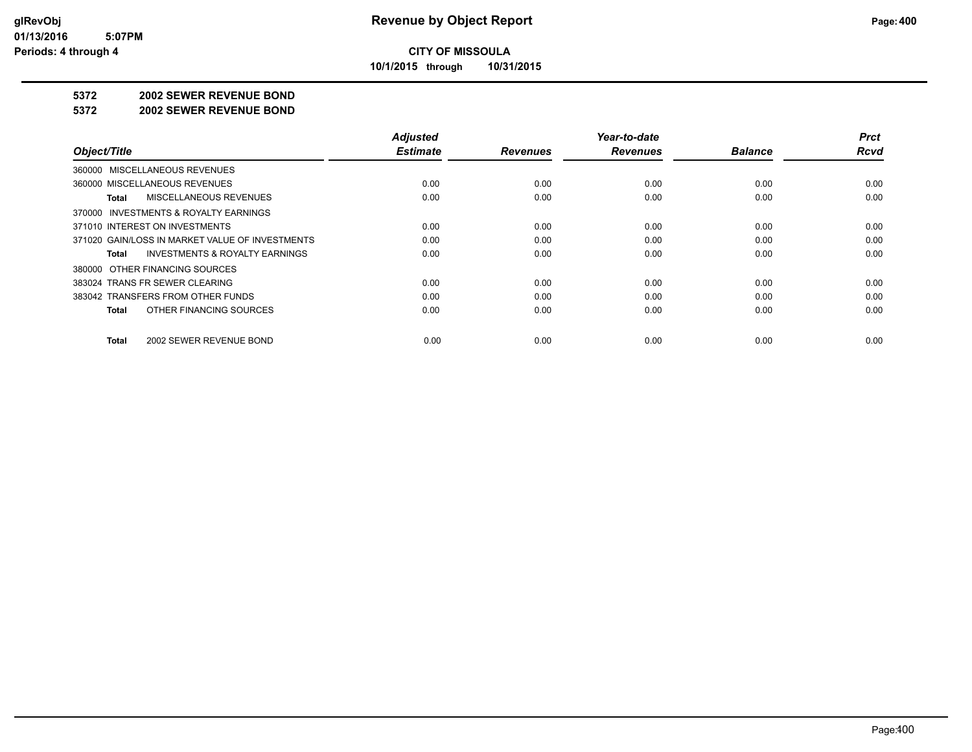**10/1/2015 through 10/31/2015**

#### **5372 2002 SEWER REVENUE BOND**

#### **5372 2002 SEWER REVENUE BOND**

|                                                    | <b>Adjusted</b> |                 | Year-to-date    |                | <b>Prct</b> |
|----------------------------------------------------|-----------------|-----------------|-----------------|----------------|-------------|
| Object/Title                                       | <b>Estimate</b> | <b>Revenues</b> | <b>Revenues</b> | <b>Balance</b> | <b>Rcvd</b> |
| 360000 MISCELLANEOUS REVENUES                      |                 |                 |                 |                |             |
| 360000 MISCELLANEOUS REVENUES                      | 0.00            | 0.00            | 0.00            | 0.00           | 0.00        |
| MISCELLANEOUS REVENUES<br>Total                    | 0.00            | 0.00            | 0.00            | 0.00           | 0.00        |
| 370000 INVESTMENTS & ROYALTY EARNINGS              |                 |                 |                 |                |             |
| 371010 INTEREST ON INVESTMENTS                     | 0.00            | 0.00            | 0.00            | 0.00           | 0.00        |
| 371020 GAIN/LOSS IN MARKET VALUE OF INVESTMENTS    | 0.00            | 0.00            | 0.00            | 0.00           | 0.00        |
| <b>INVESTMENTS &amp; ROYALTY EARNINGS</b><br>Total | 0.00            | 0.00            | 0.00            | 0.00           | 0.00        |
| 380000 OTHER FINANCING SOURCES                     |                 |                 |                 |                |             |
| 383024 TRANS FR SEWER CLEARING                     | 0.00            | 0.00            | 0.00            | 0.00           | 0.00        |
| 383042 TRANSFERS FROM OTHER FUNDS                  | 0.00            | 0.00            | 0.00            | 0.00           | 0.00        |
| OTHER FINANCING SOURCES<br>Total                   | 0.00            | 0.00            | 0.00            | 0.00           | 0.00        |
| 2002 SEWER REVENUE BOND<br>Total                   | 0.00            | 0.00            | 0.00            | 0.00           | 0.00        |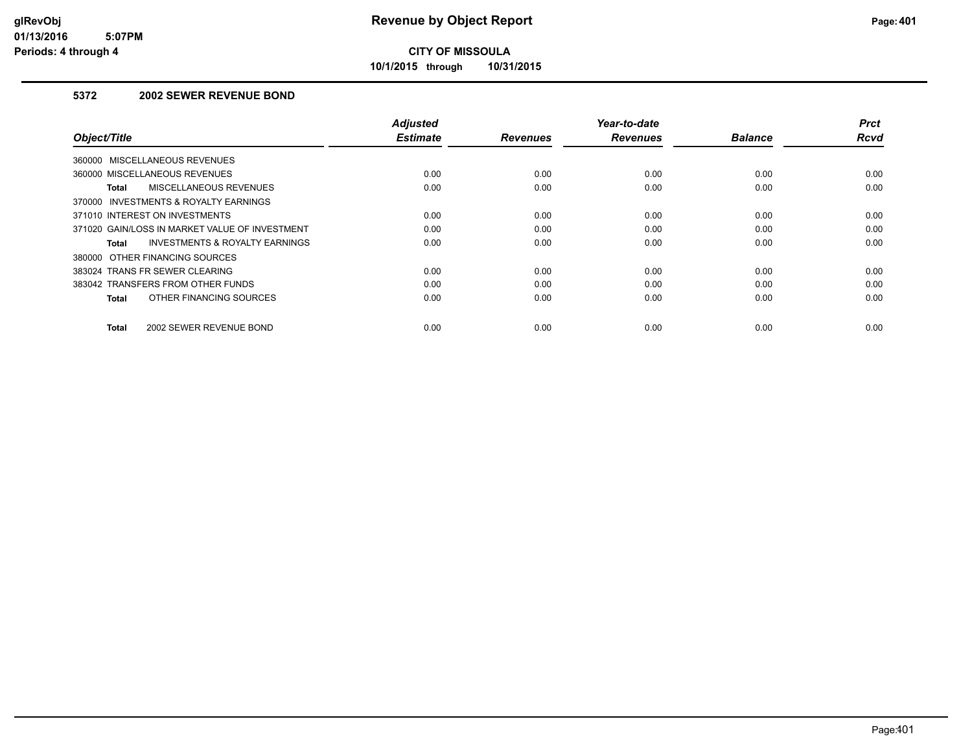**10/1/2015 through 10/31/2015**

## **5372 2002 SEWER REVENUE BOND**

| Object/Title                                              | <b>Adjusted</b><br><b>Estimate</b> | <b>Revenues</b> | Year-to-date<br><b>Revenues</b> | <b>Balance</b> | <b>Prct</b><br>Rcvd |
|-----------------------------------------------------------|------------------------------------|-----------------|---------------------------------|----------------|---------------------|
| 360000 MISCELLANEOUS REVENUES                             |                                    |                 |                                 |                |                     |
| 360000 MISCELLANEOUS REVENUES                             | 0.00                               | 0.00            | 0.00                            | 0.00           | 0.00                |
| MISCELLANEOUS REVENUES<br><b>Total</b>                    | 0.00                               | 0.00            | 0.00                            | 0.00           | 0.00                |
| 370000 INVESTMENTS & ROYALTY EARNINGS                     |                                    |                 |                                 |                |                     |
| 371010 INTEREST ON INVESTMENTS                            | 0.00                               | 0.00            | 0.00                            | 0.00           | 0.00                |
| 371020 GAIN/LOSS IN MARKET VALUE OF INVESTMENT            | 0.00                               | 0.00            | 0.00                            | 0.00           | 0.00                |
| <b>INVESTMENTS &amp; ROYALTY EARNINGS</b><br><b>Total</b> | 0.00                               | 0.00            | 0.00                            | 0.00           | 0.00                |
| 380000 OTHER FINANCING SOURCES                            |                                    |                 |                                 |                |                     |
| 383024 TRANS FR SEWER CLEARING                            | 0.00                               | 0.00            | 0.00                            | 0.00           | 0.00                |
| 383042 TRANSFERS FROM OTHER FUNDS                         | 0.00                               | 0.00            | 0.00                            | 0.00           | 0.00                |
| OTHER FINANCING SOURCES<br>Total                          | 0.00                               | 0.00            | 0.00                            | 0.00           | 0.00                |
| <b>Total</b><br>2002 SEWER REVENUE BOND                   | 0.00                               | 0.00            | 0.00                            | 0.00           | 0.00                |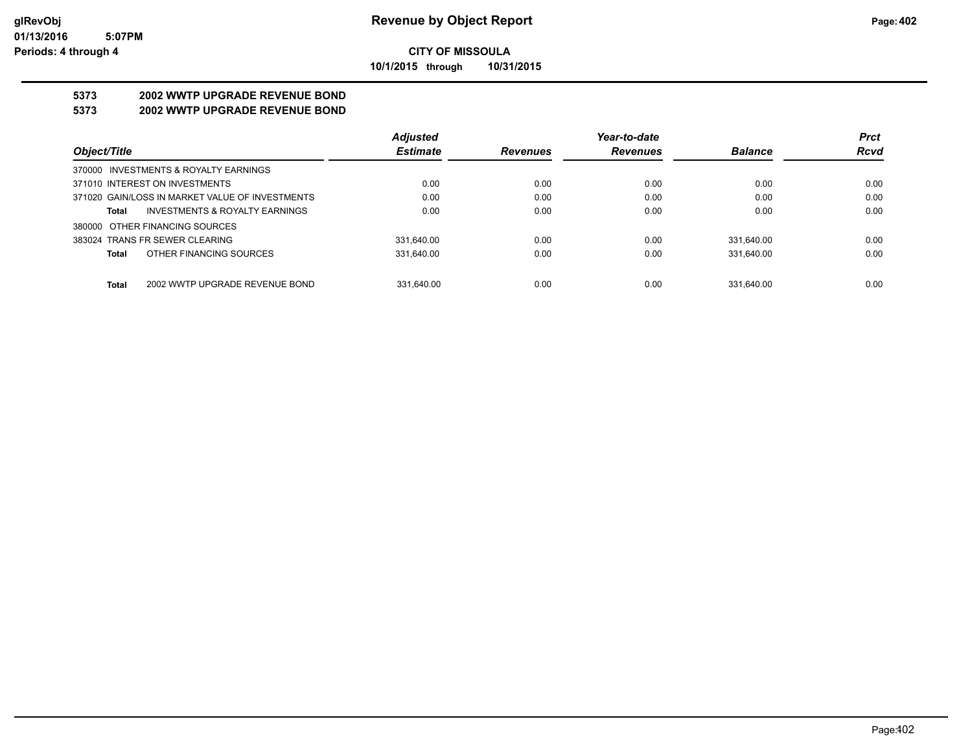**10/1/2015 through 10/31/2015**

## **5373 2002 WWTP UPGRADE REVENUE BOND**

## **5373 2002 WWTP UPGRADE REVENUE BOND**

|                                                 | <b>Adjusted</b> |                 | Year-to-date    |                | <b>Prct</b> |
|-------------------------------------------------|-----------------|-----------------|-----------------|----------------|-------------|
| Object/Title                                    | <b>Estimate</b> | <b>Revenues</b> | <b>Revenues</b> | <b>Balance</b> | <b>Rcvd</b> |
| 370000 INVESTMENTS & ROYALTY EARNINGS           |                 |                 |                 |                |             |
| 371010 INTEREST ON INVESTMENTS                  | 0.00            | 0.00            | 0.00            | 0.00           | 0.00        |
| 371020 GAIN/LOSS IN MARKET VALUE OF INVESTMENTS | 0.00            | 0.00            | 0.00            | 0.00           | 0.00        |
| INVESTMENTS & ROYALTY EARNINGS<br>Total         | 0.00            | 0.00            | 0.00            | 0.00           | 0.00        |
| 380000 OTHER FINANCING SOURCES                  |                 |                 |                 |                |             |
| 383024 TRANS FR SEWER CLEARING                  | 331.640.00      | 0.00            | 0.00            | 331.640.00     | 0.00        |
| OTHER FINANCING SOURCES<br>Total                | 331.640.00      | 0.00            | 0.00            | 331.640.00     | 0.00        |
|                                                 |                 |                 |                 |                |             |
| 2002 WWTP UPGRADE REVENUE BOND<br><b>Total</b>  | 331.640.00      | 0.00            | 0.00            | 331.640.00     | 0.00        |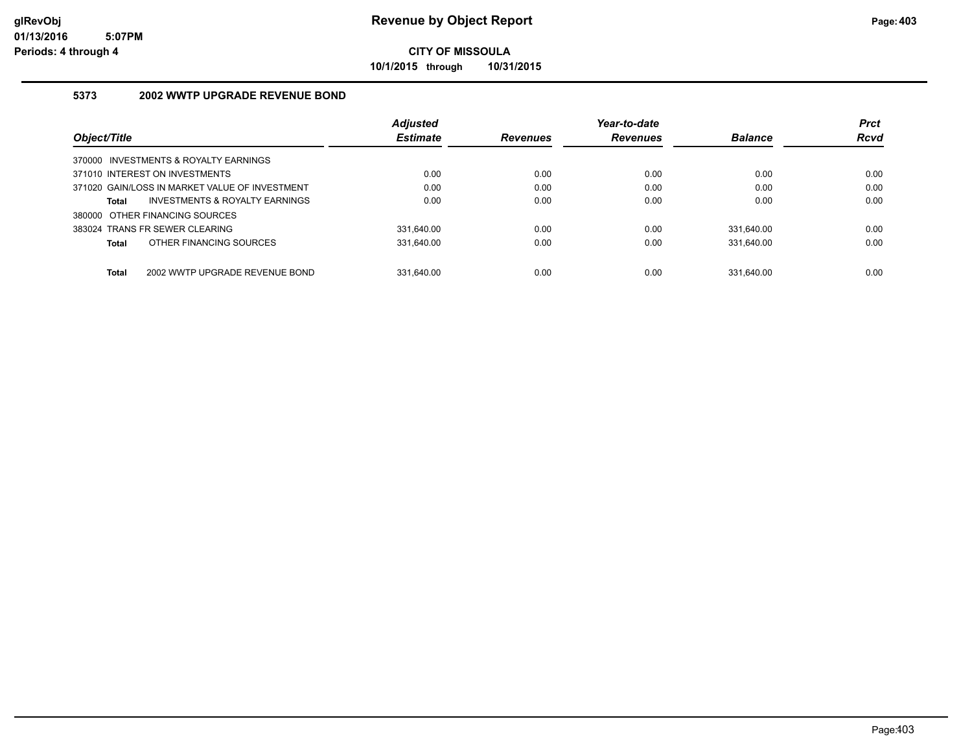**10/1/2015 through 10/31/2015**

## **5373 2002 WWTP UPGRADE REVENUE BOND**

|                                                | <b>Adjusted</b> |                 | Year-to-date    |                | <b>Prct</b> |
|------------------------------------------------|-----------------|-----------------|-----------------|----------------|-------------|
| Object/Title                                   | <b>Estimate</b> | <b>Revenues</b> | <b>Revenues</b> | <b>Balance</b> | <b>Rcvd</b> |
| 370000 INVESTMENTS & ROYALTY EARNINGS          |                 |                 |                 |                |             |
| 371010 INTEREST ON INVESTMENTS                 | 0.00            | 0.00            | 0.00            | 0.00           | 0.00        |
| 371020 GAIN/LOSS IN MARKET VALUE OF INVESTMENT | 0.00            | 0.00            | 0.00            | 0.00           | 0.00        |
| INVESTMENTS & ROYALTY EARNINGS<br><b>Total</b> | 0.00            | 0.00            | 0.00            | 0.00           | 0.00        |
| 380000 OTHER FINANCING SOURCES                 |                 |                 |                 |                |             |
| 383024 TRANS FR SEWER CLEARING                 | 331.640.00      | 0.00            | 0.00            | 331.640.00     | 0.00        |
| OTHER FINANCING SOURCES<br><b>Total</b>        | 331.640.00      | 0.00            | 0.00            | 331.640.00     | 0.00        |
|                                                |                 |                 |                 |                |             |
| 2002 WWTP UPGRADE REVENUE BOND<br><b>Total</b> | 331.640.00      | 0.00            | 0.00            | 331.640.00     | 0.00        |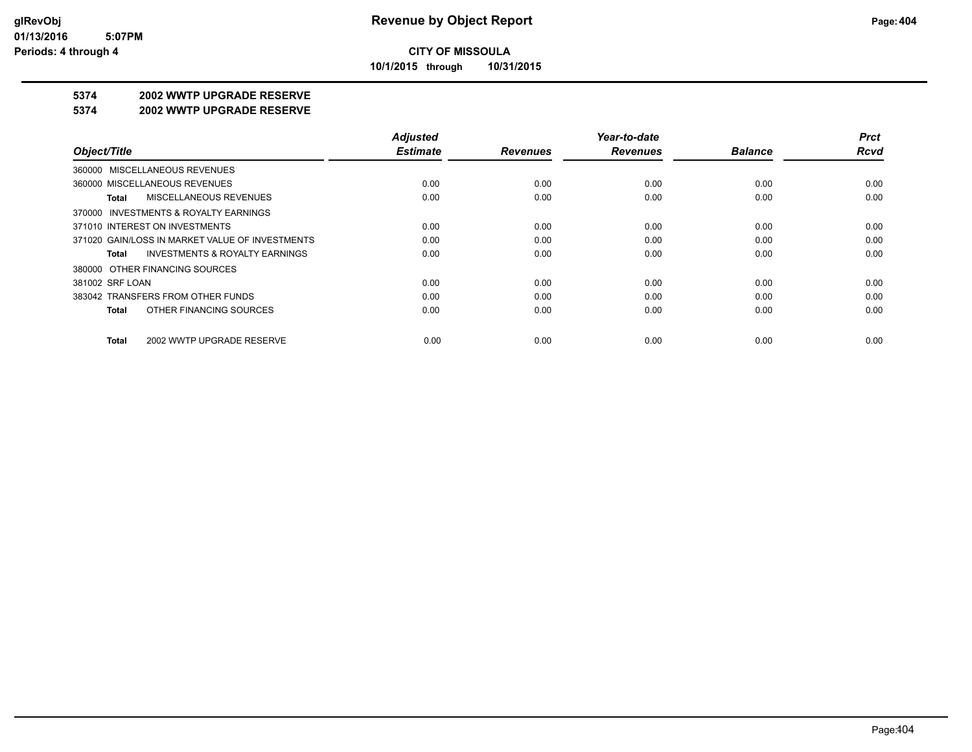**10/1/2015 through 10/31/2015**

## **5374 2002 WWTP UPGRADE RESERVE**

#### **5374 2002 WWTP UPGRADE RESERVE**

|                                                    | <b>Adjusted</b> |                 | Year-to-date    |                | <b>Prct</b> |
|----------------------------------------------------|-----------------|-----------------|-----------------|----------------|-------------|
| Object/Title                                       | <b>Estimate</b> | <b>Revenues</b> | <b>Revenues</b> | <b>Balance</b> | Rcvd        |
| 360000 MISCELLANEOUS REVENUES                      |                 |                 |                 |                |             |
| 360000 MISCELLANEOUS REVENUES                      | 0.00            | 0.00            | 0.00            | 0.00           | 0.00        |
| MISCELLANEOUS REVENUES<br>Total                    | 0.00            | 0.00            | 0.00            | 0.00           | 0.00        |
| 370000 INVESTMENTS & ROYALTY EARNINGS              |                 |                 |                 |                |             |
| 371010 INTEREST ON INVESTMENTS                     | 0.00            | 0.00            | 0.00            | 0.00           | 0.00        |
| 371020 GAIN/LOSS IN MARKET VALUE OF INVESTMENTS    | 0.00            | 0.00            | 0.00            | 0.00           | 0.00        |
| <b>INVESTMENTS &amp; ROYALTY EARNINGS</b><br>Total | 0.00            | 0.00            | 0.00            | 0.00           | 0.00        |
| 380000 OTHER FINANCING SOURCES                     |                 |                 |                 |                |             |
| 381002 SRF LOAN                                    | 0.00            | 0.00            | 0.00            | 0.00           | 0.00        |
| 383042 TRANSFERS FROM OTHER FUNDS                  | 0.00            | 0.00            | 0.00            | 0.00           | 0.00        |
| OTHER FINANCING SOURCES<br>Total                   | 0.00            | 0.00            | 0.00            | 0.00           | 0.00        |
| 2002 WWTP UPGRADE RESERVE<br>Total                 | 0.00            | 0.00            | 0.00            | 0.00           | 0.00        |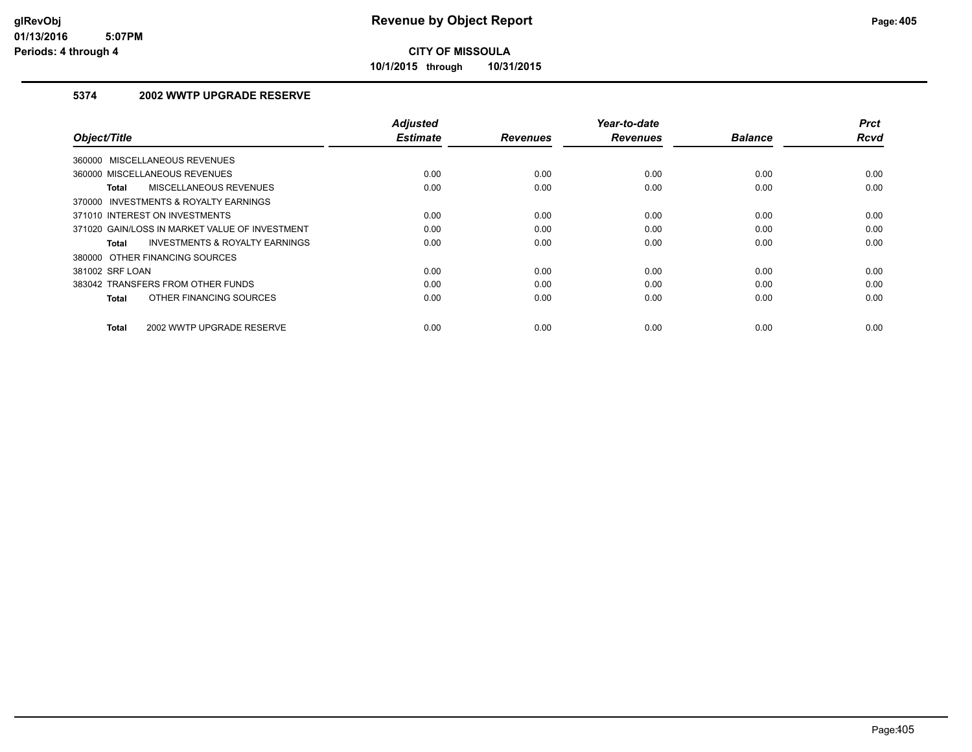**10/1/2015 through 10/31/2015**

## **5374 2002 WWTP UPGRADE RESERVE**

| Object/Title                                   | <b>Adjusted</b><br><b>Estimate</b> | <b>Revenues</b> | Year-to-date<br><b>Revenues</b> | <b>Balance</b> | <b>Prct</b><br><b>Rcvd</b> |
|------------------------------------------------|------------------------------------|-----------------|---------------------------------|----------------|----------------------------|
| 360000 MISCELLANEOUS REVENUES                  |                                    |                 |                                 |                |                            |
| 360000 MISCELLANEOUS REVENUES                  | 0.00                               | 0.00            | 0.00                            | 0.00           | 0.00                       |
| MISCELLANEOUS REVENUES<br><b>Total</b>         | 0.00                               | 0.00            | 0.00                            | 0.00           | 0.00                       |
| 370000 INVESTMENTS & ROYALTY EARNINGS          |                                    |                 |                                 |                |                            |
| 371010 INTEREST ON INVESTMENTS                 | 0.00                               | 0.00            | 0.00                            | 0.00           | 0.00                       |
| 371020 GAIN/LOSS IN MARKET VALUE OF INVESTMENT | 0.00                               | 0.00            | 0.00                            | 0.00           | 0.00                       |
| INVESTMENTS & ROYALTY EARNINGS<br>Total        | 0.00                               | 0.00            | 0.00                            | 0.00           | 0.00                       |
| 380000 OTHER FINANCING SOURCES                 |                                    |                 |                                 |                |                            |
| 381002 SRF LOAN                                | 0.00                               | 0.00            | 0.00                            | 0.00           | 0.00                       |
| 383042 TRANSFERS FROM OTHER FUNDS              | 0.00                               | 0.00            | 0.00                            | 0.00           | 0.00                       |
| OTHER FINANCING SOURCES<br><b>Total</b>        | 0.00                               | 0.00            | 0.00                            | 0.00           | 0.00                       |
| 2002 WWTP UPGRADE RESERVE<br><b>Total</b>      | 0.00                               | 0.00            | 0.00                            | 0.00           | 0.00                       |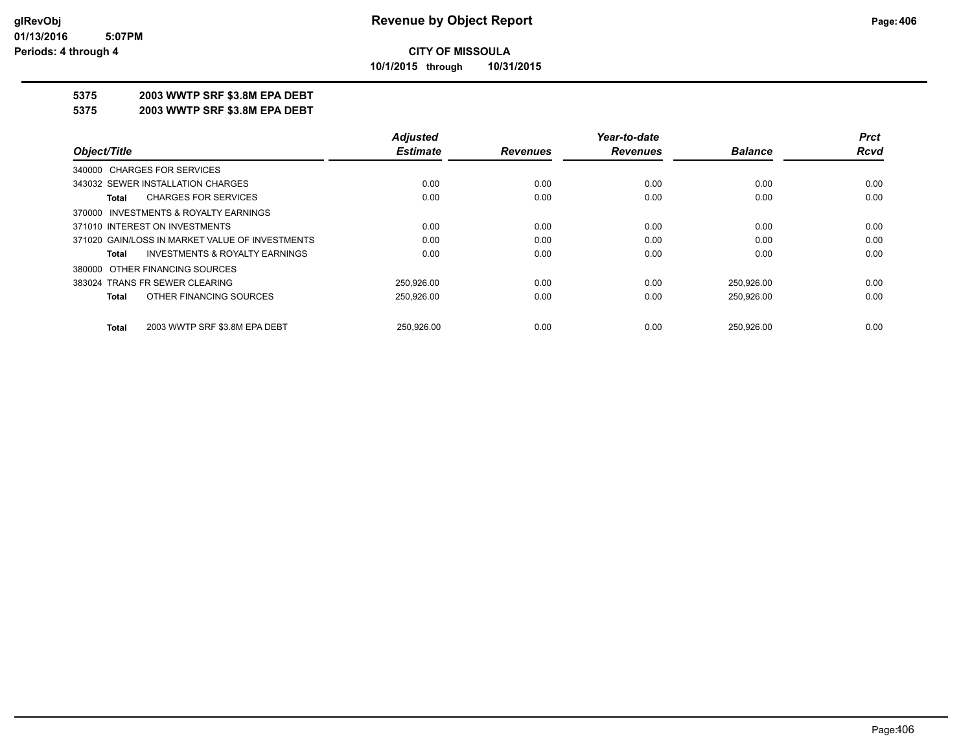**10/1/2015 through 10/31/2015**

## **5375 2003 WWTP SRF \$3.8M EPA DEBT**

**5375 2003 WWTP SRF \$3.8M EPA DEBT**

|                                                 | <b>Adjusted</b> |                 | Year-to-date    |                | <b>Prct</b> |
|-------------------------------------------------|-----------------|-----------------|-----------------|----------------|-------------|
| Object/Title                                    | <b>Estimate</b> | <b>Revenues</b> | <b>Revenues</b> | <b>Balance</b> | Rcvd        |
| 340000 CHARGES FOR SERVICES                     |                 |                 |                 |                |             |
| 343032 SEWER INSTALLATION CHARGES               | 0.00            | 0.00            | 0.00            | 0.00           | 0.00        |
| <b>CHARGES FOR SERVICES</b><br>Total            | 0.00            | 0.00            | 0.00            | 0.00           | 0.00        |
| 370000 INVESTMENTS & ROYALTY EARNINGS           |                 |                 |                 |                |             |
| 371010 INTEREST ON INVESTMENTS                  | 0.00            | 0.00            | 0.00            | 0.00           | 0.00        |
| 371020 GAIN/LOSS IN MARKET VALUE OF INVESTMENTS | 0.00            | 0.00            | 0.00            | 0.00           | 0.00        |
| INVESTMENTS & ROYALTY EARNINGS<br>Total         | 0.00            | 0.00            | 0.00            | 0.00           | 0.00        |
| 380000 OTHER FINANCING SOURCES                  |                 |                 |                 |                |             |
| 383024 TRANS FR SEWER CLEARING                  | 250,926.00      | 0.00            | 0.00            | 250,926.00     | 0.00        |
| OTHER FINANCING SOURCES<br>Total                | 250.926.00      | 0.00            | 0.00            | 250,926.00     | 0.00        |
| 2003 WWTP SRF \$3.8M EPA DEBT<br><b>Total</b>   | 250.926.00      | 0.00            | 0.00            | 250.926.00     | 0.00        |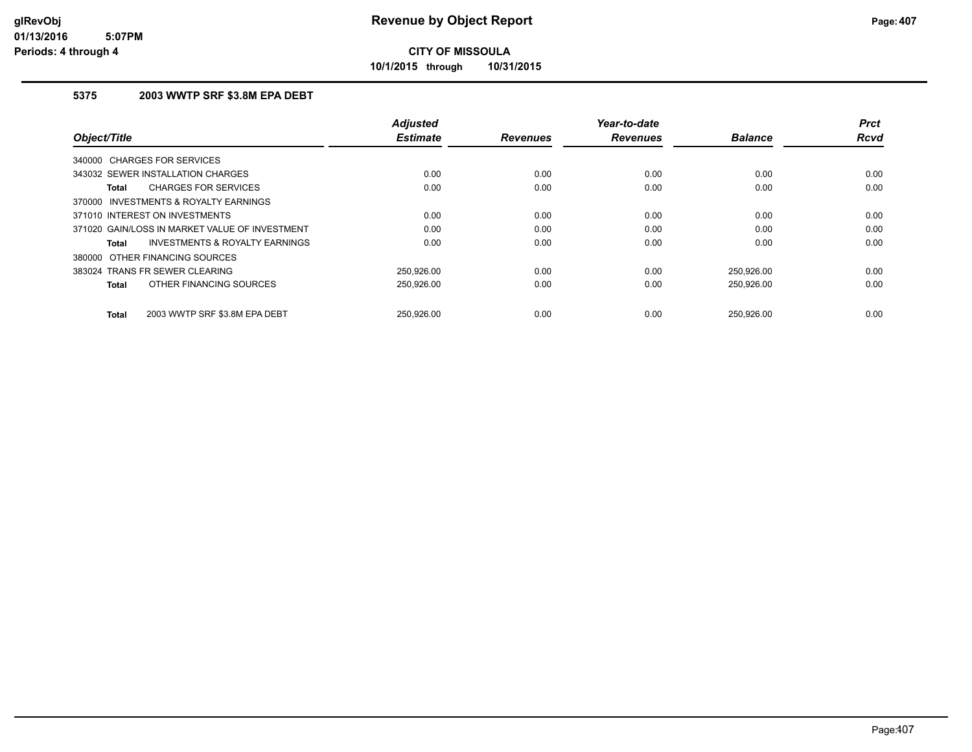**10/1/2015 through 10/31/2015**

## **5375 2003 WWTP SRF \$3.8M EPA DEBT**

| Object/Title                                              | <b>Adjusted</b><br><b>Estimate</b> | <b>Revenues</b> | Year-to-date<br><b>Revenues</b> | <b>Balance</b> | <b>Prct</b><br><b>Rcvd</b> |
|-----------------------------------------------------------|------------------------------------|-----------------|---------------------------------|----------------|----------------------------|
| 340000 CHARGES FOR SERVICES                               |                                    |                 |                                 |                |                            |
| 343032 SEWER INSTALLATION CHARGES                         | 0.00                               | 0.00            | 0.00                            | 0.00           | 0.00                       |
| <b>CHARGES FOR SERVICES</b><br>Total                      | 0.00                               | 0.00            | 0.00                            | 0.00           | 0.00                       |
| INVESTMENTS & ROYALTY EARNINGS<br>370000                  |                                    |                 |                                 |                |                            |
| 371010 INTEREST ON INVESTMENTS                            | 0.00                               | 0.00            | 0.00                            | 0.00           | 0.00                       |
| 371020 GAIN/LOSS IN MARKET VALUE OF INVESTMENT            | 0.00                               | 0.00            | 0.00                            | 0.00           | 0.00                       |
| <b>INVESTMENTS &amp; ROYALTY EARNINGS</b><br><b>Total</b> | 0.00                               | 0.00            | 0.00                            | 0.00           | 0.00                       |
| 380000 OTHER FINANCING SOURCES                            |                                    |                 |                                 |                |                            |
| 383024 TRANS FR SEWER CLEARING                            | 250.926.00                         | 0.00            | 0.00                            | 250,926.00     | 0.00                       |
| OTHER FINANCING SOURCES<br>Total                          | 250,926.00                         | 0.00            | 0.00                            | 250,926.00     | 0.00                       |
| 2003 WWTP SRF \$3.8M EPA DEBT<br><b>Total</b>             | 250.926.00                         | 0.00            | 0.00                            | 250.926.00     | 0.00                       |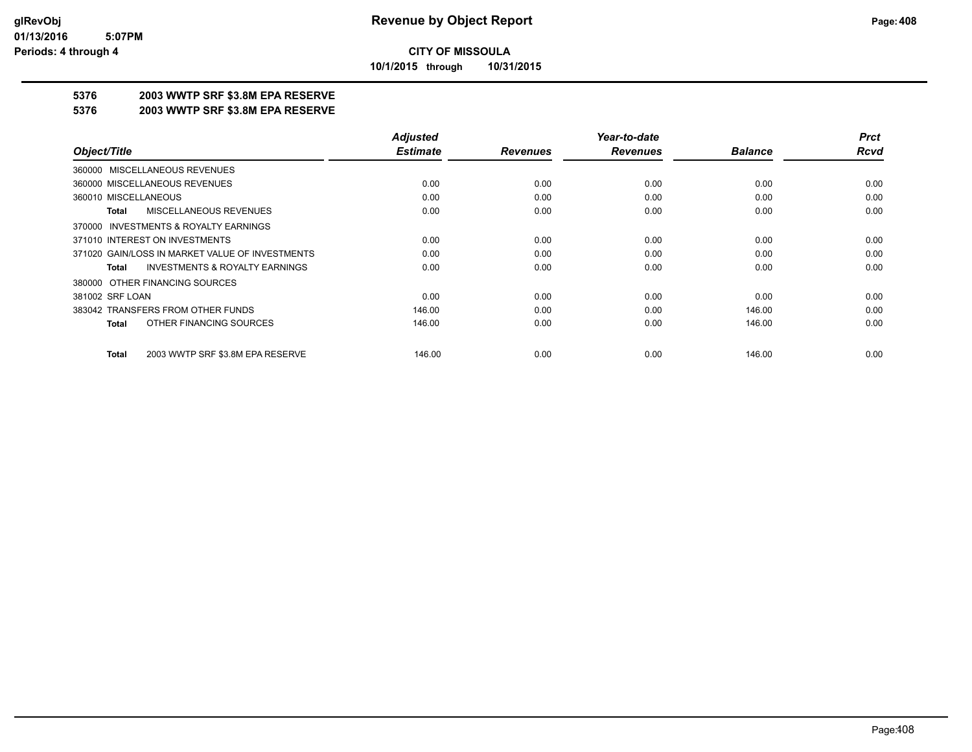**10/1/2015 through 10/31/2015**

## **5376 2003 WWTP SRF \$3.8M EPA RESERVE**

#### **5376 2003 WWTP SRF \$3.8M EPA RESERVE**

|                                                    | <b>Adjusted</b> |                 | Year-to-date    |                | <b>Prct</b> |
|----------------------------------------------------|-----------------|-----------------|-----------------|----------------|-------------|
| Object/Title                                       | <b>Estimate</b> | <b>Revenues</b> | <b>Revenues</b> | <b>Balance</b> | <b>Rcvd</b> |
| MISCELLANEOUS REVENUES<br>360000                   |                 |                 |                 |                |             |
| 360000 MISCELLANEOUS REVENUES                      | 0.00            | 0.00            | 0.00            | 0.00           | 0.00        |
| 360010 MISCELLANEOUS                               | 0.00            | 0.00            | 0.00            | 0.00           | 0.00        |
| MISCELLANEOUS REVENUES<br>Total                    | 0.00            | 0.00            | 0.00            | 0.00           | 0.00        |
| INVESTMENTS & ROYALTY EARNINGS<br>370000           |                 |                 |                 |                |             |
| 371010 INTEREST ON INVESTMENTS                     | 0.00            | 0.00            | 0.00            | 0.00           | 0.00        |
| 371020 GAIN/LOSS IN MARKET VALUE OF INVESTMENTS    | 0.00            | 0.00            | 0.00            | 0.00           | 0.00        |
| <b>INVESTMENTS &amp; ROYALTY EARNINGS</b><br>Total | 0.00            | 0.00            | 0.00            | 0.00           | 0.00        |
| 380000 OTHER FINANCING SOURCES                     |                 |                 |                 |                |             |
| 381002 SRF LOAN                                    | 0.00            | 0.00            | 0.00            | 0.00           | 0.00        |
| 383042 TRANSFERS FROM OTHER FUNDS                  | 146.00          | 0.00            | 0.00            | 146.00         | 0.00        |
| OTHER FINANCING SOURCES<br><b>Total</b>            | 146.00          | 0.00            | 0.00            | 146.00         | 0.00        |
| 2003 WWTP SRF \$3.8M EPA RESERVE<br><b>Total</b>   | 146.00          | 0.00            | 0.00            | 146.00         | 0.00        |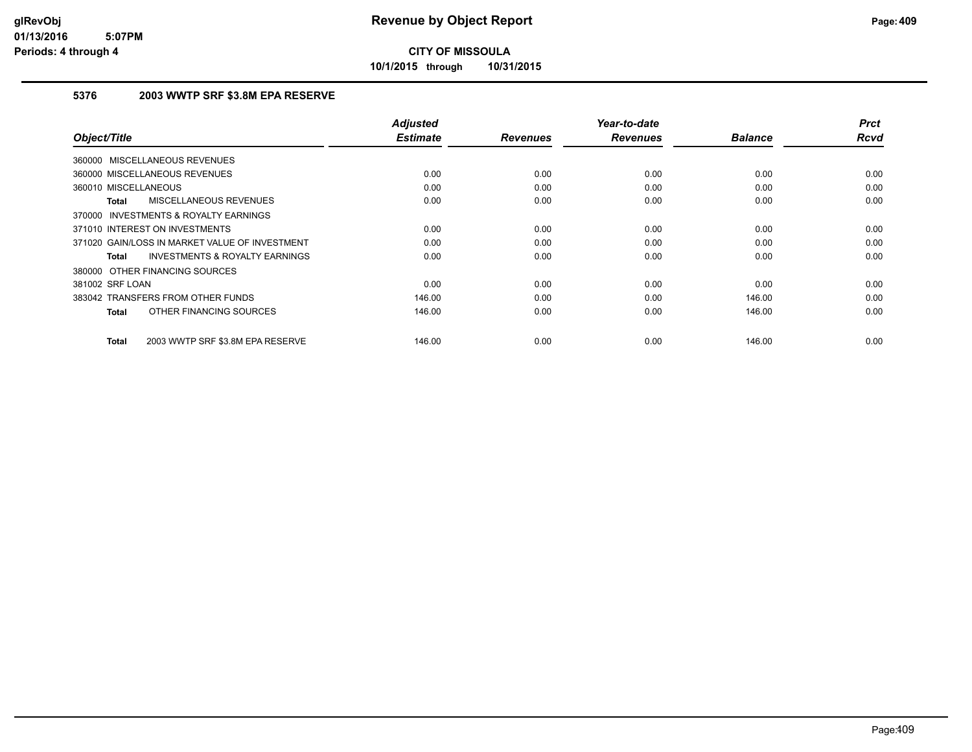**10/1/2015 through 10/31/2015**

## **5376 2003 WWTP SRF \$3.8M EPA RESERVE**

|                                                           | <b>Adjusted</b> |                 | Year-to-date    |                | <b>Prct</b><br><b>Rcvd</b> |
|-----------------------------------------------------------|-----------------|-----------------|-----------------|----------------|----------------------------|
| Object/Title                                              | <b>Estimate</b> | <b>Revenues</b> | <b>Revenues</b> | <b>Balance</b> |                            |
| 360000 MISCELLANEOUS REVENUES                             |                 |                 |                 |                |                            |
| 360000 MISCELLANEOUS REVENUES                             | 0.00            | 0.00            | 0.00            | 0.00           | 0.00                       |
| 360010 MISCELLANEOUS                                      | 0.00            | 0.00            | 0.00            | 0.00           | 0.00                       |
| <b>MISCELLANEOUS REVENUES</b><br><b>Total</b>             | 0.00            | 0.00            | 0.00            | 0.00           | 0.00                       |
| <b>INVESTMENTS &amp; ROYALTY EARNINGS</b><br>370000       |                 |                 |                 |                |                            |
| 371010 INTEREST ON INVESTMENTS                            | 0.00            | 0.00            | 0.00            | 0.00           | 0.00                       |
| 371020 GAIN/LOSS IN MARKET VALUE OF INVESTMENT            | 0.00            | 0.00            | 0.00            | 0.00           | 0.00                       |
| <b>INVESTMENTS &amp; ROYALTY EARNINGS</b><br><b>Total</b> | 0.00            | 0.00            | 0.00            | 0.00           | 0.00                       |
| 380000 OTHER FINANCING SOURCES                            |                 |                 |                 |                |                            |
| 381002 SRF LOAN                                           | 0.00            | 0.00            | 0.00            | 0.00           | 0.00                       |
| 383042 TRANSFERS FROM OTHER FUNDS                         | 146.00          | 0.00            | 0.00            | 146.00         | 0.00                       |
| OTHER FINANCING SOURCES<br><b>Total</b>                   | 146.00          | 0.00            | 0.00            | 146.00         | 0.00                       |
|                                                           |                 |                 |                 |                |                            |
| 2003 WWTP SRF \$3.8M EPA RESERVE<br><b>Total</b>          | 146.00          | 0.00            | 0.00            | 146.00         | 0.00                       |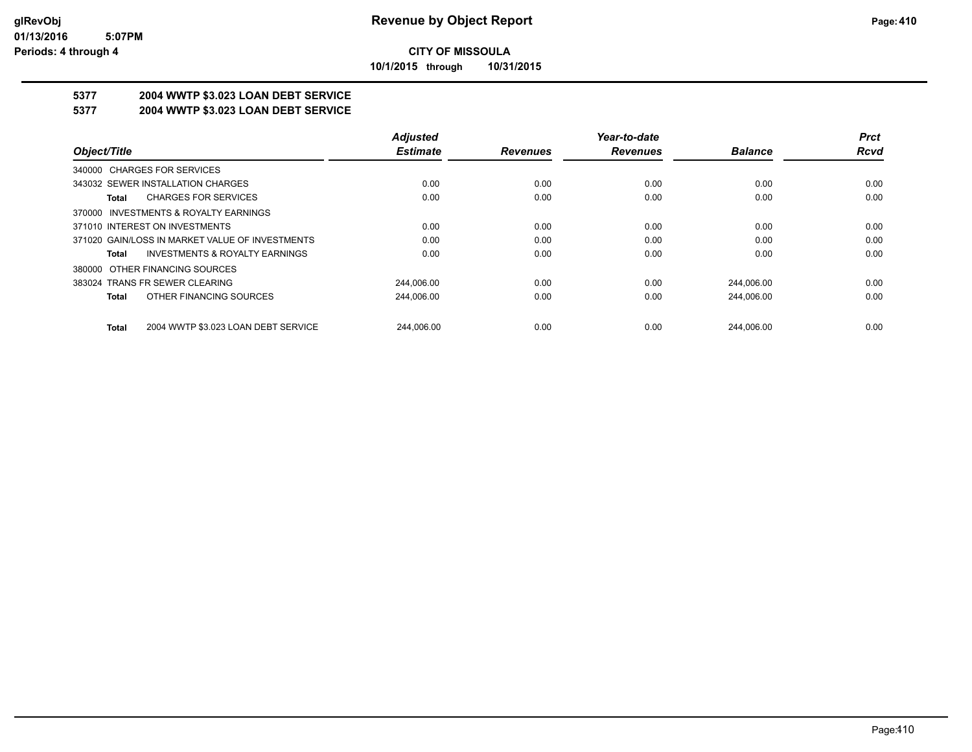**10/1/2015 through 10/31/2015**

# **5377 2004 WWTP \$3.023 LOAN DEBT SERVICE**

## **5377 2004 WWTP \$3.023 LOAN DEBT SERVICE**

|                                                     | <b>Adjusted</b> |                 | Year-to-date    |                | <b>Prct</b> |
|-----------------------------------------------------|-----------------|-----------------|-----------------|----------------|-------------|
| Object/Title                                        | <b>Estimate</b> | <b>Revenues</b> | <b>Revenues</b> | <b>Balance</b> | <b>Rcvd</b> |
| 340000 CHARGES FOR SERVICES                         |                 |                 |                 |                |             |
| 343032 SEWER INSTALLATION CHARGES                   | 0.00            | 0.00            | 0.00            | 0.00           | 0.00        |
| <b>CHARGES FOR SERVICES</b><br>Total                | 0.00            | 0.00            | 0.00            | 0.00           | 0.00        |
| INVESTMENTS & ROYALTY EARNINGS<br>370000            |                 |                 |                 |                |             |
| 371010 INTEREST ON INVESTMENTS                      | 0.00            | 0.00            | 0.00            | 0.00           | 0.00        |
| 371020 GAIN/LOSS IN MARKET VALUE OF INVESTMENTS     | 0.00            | 0.00            | 0.00            | 0.00           | 0.00        |
| <b>INVESTMENTS &amp; ROYALTY EARNINGS</b><br>Total  | 0.00            | 0.00            | 0.00            | 0.00           | 0.00        |
| OTHER FINANCING SOURCES<br>380000                   |                 |                 |                 |                |             |
| 383024 TRANS FR SEWER CLEARING                      | 244.006.00      | 0.00            | 0.00            | 244.006.00     | 0.00        |
| OTHER FINANCING SOURCES<br><b>Total</b>             | 244,006.00      | 0.00            | 0.00            | 244,006.00     | 0.00        |
| 2004 WWTP \$3.023 LOAN DEBT SERVICE<br><b>Total</b> | 244.006.00      | 0.00            | 0.00            | 244.006.00     | 0.00        |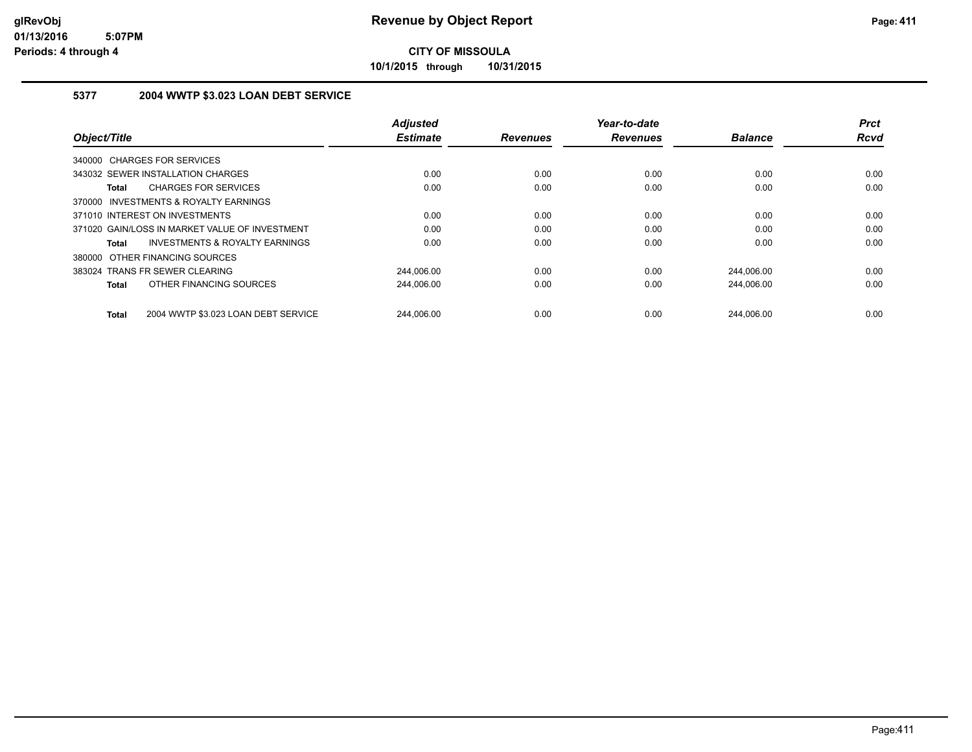**10/1/2015 through 10/31/2015**

## **5377 2004 WWTP \$3.023 LOAN DEBT SERVICE**

|                                                     | <b>Adjusted</b> |                 | Year-to-date    |                | <b>Prct</b> |
|-----------------------------------------------------|-----------------|-----------------|-----------------|----------------|-------------|
| Object/Title                                        | <b>Estimate</b> | <b>Revenues</b> | <b>Revenues</b> | <b>Balance</b> | <b>Rcvd</b> |
| 340000 CHARGES FOR SERVICES                         |                 |                 |                 |                |             |
| 343032 SEWER INSTALLATION CHARGES                   | 0.00            | 0.00            | 0.00            | 0.00           | 0.00        |
| <b>CHARGES FOR SERVICES</b><br>Total                | 0.00            | 0.00            | 0.00            | 0.00           | 0.00        |
| 370000 INVESTMENTS & ROYALTY EARNINGS               |                 |                 |                 |                |             |
| 371010 INTEREST ON INVESTMENTS                      | 0.00            | 0.00            | 0.00            | 0.00           | 0.00        |
| 371020 GAIN/LOSS IN MARKET VALUE OF INVESTMENT      | 0.00            | 0.00            | 0.00            | 0.00           | 0.00        |
| <b>INVESTMENTS &amp; ROYALTY EARNINGS</b><br>Total  | 0.00            | 0.00            | 0.00            | 0.00           | 0.00        |
| 380000 OTHER FINANCING SOURCES                      |                 |                 |                 |                |             |
| 383024 TRANS FR SEWER CLEARING                      | 244,006.00      | 0.00            | 0.00            | 244,006.00     | 0.00        |
| OTHER FINANCING SOURCES<br>Total                    | 244,006.00      | 0.00            | 0.00            | 244,006.00     | 0.00        |
| 2004 WWTP \$3.023 LOAN DEBT SERVICE<br><b>Total</b> | 244.006.00      | 0.00            | 0.00            | 244.006.00     | 0.00        |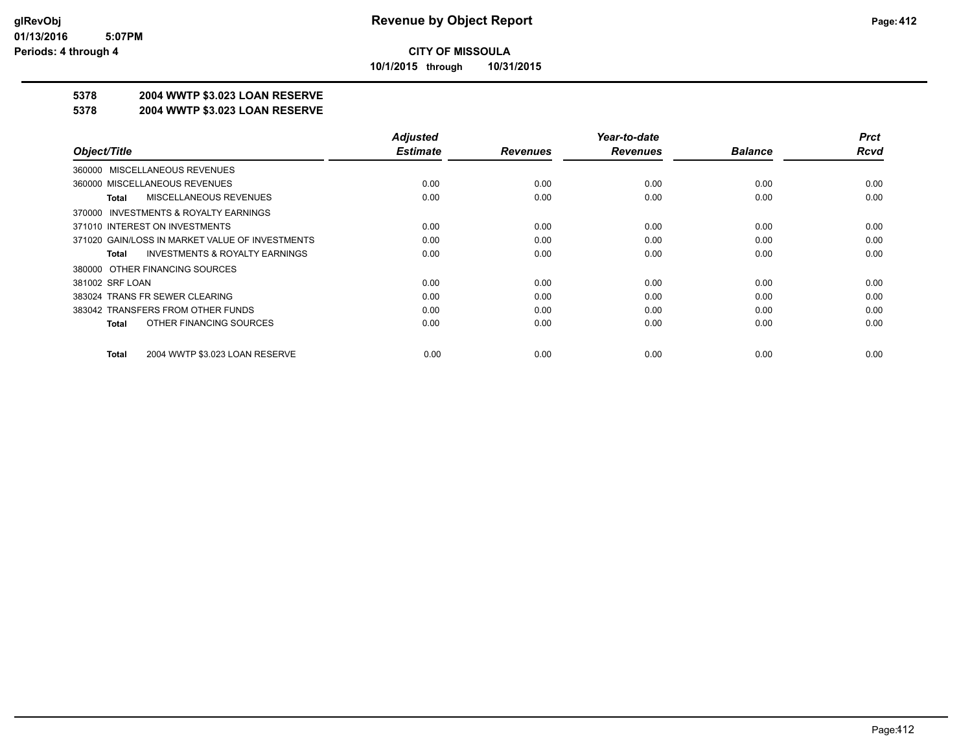**10/1/2015 through 10/31/2015**

## **5378 2004 WWTP \$3.023 LOAN RESERVE**

#### **5378 2004 WWTP \$3.023 LOAN RESERVE**

|                                                    | <b>Adjusted</b> |                 | Year-to-date    |                | <b>Prct</b> |
|----------------------------------------------------|-----------------|-----------------|-----------------|----------------|-------------|
| Object/Title                                       | <b>Estimate</b> | <b>Revenues</b> | <b>Revenues</b> | <b>Balance</b> | <b>Rcvd</b> |
| 360000 MISCELLANEOUS REVENUES                      |                 |                 |                 |                |             |
| 360000 MISCELLANEOUS REVENUES                      | 0.00            | 0.00            | 0.00            | 0.00           | 0.00        |
| MISCELLANEOUS REVENUES<br>Total                    | 0.00            | 0.00            | 0.00            | 0.00           | 0.00        |
| 370000 INVESTMENTS & ROYALTY EARNINGS              |                 |                 |                 |                |             |
| 371010 INTEREST ON INVESTMENTS                     | 0.00            | 0.00            | 0.00            | 0.00           | 0.00        |
| 371020 GAIN/LOSS IN MARKET VALUE OF INVESTMENTS    | 0.00            | 0.00            | 0.00            | 0.00           | 0.00        |
| <b>INVESTMENTS &amp; ROYALTY EARNINGS</b><br>Total | 0.00            | 0.00            | 0.00            | 0.00           | 0.00        |
| 380000 OTHER FINANCING SOURCES                     |                 |                 |                 |                |             |
| 381002 SRF LOAN                                    | 0.00            | 0.00            | 0.00            | 0.00           | 0.00        |
| 383024 TRANS FR SEWER CLEARING                     | 0.00            | 0.00            | 0.00            | 0.00           | 0.00        |
| 383042 TRANSFERS FROM OTHER FUNDS                  | 0.00            | 0.00            | 0.00            | 0.00           | 0.00        |
| OTHER FINANCING SOURCES<br>Total                   | 0.00            | 0.00            | 0.00            | 0.00           | 0.00        |
| 2004 WWTP \$3.023 LOAN RESERVE<br>Total            | 0.00            | 0.00            | 0.00            | 0.00           | 0.00        |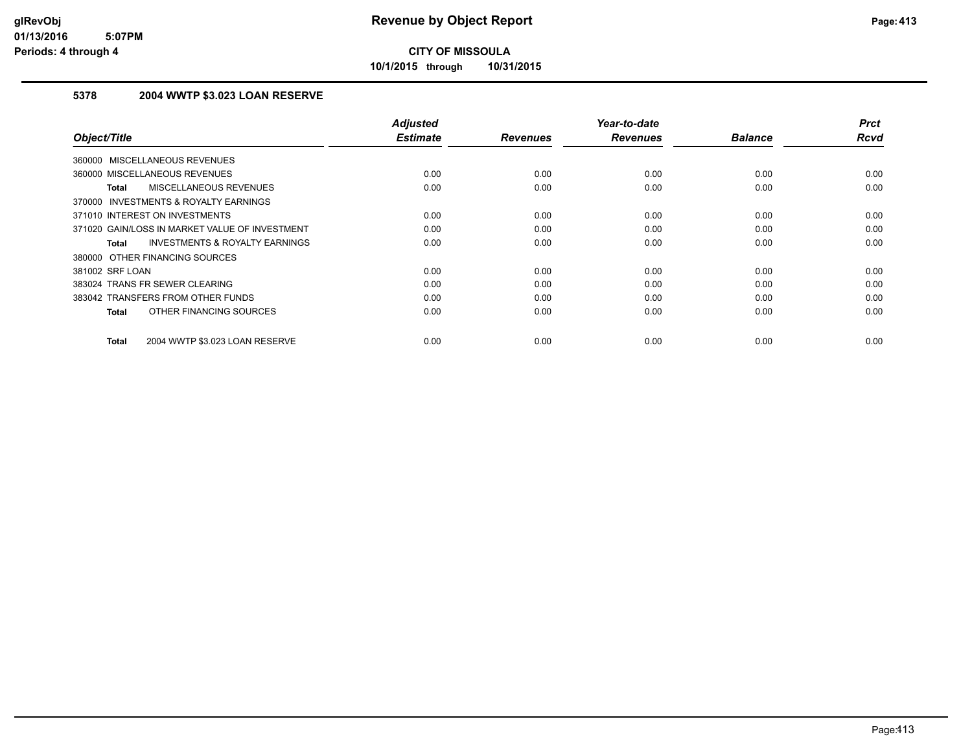**10/1/2015 through 10/31/2015**

## **5378 2004 WWTP \$3.023 LOAN RESERVE**

| Object/Title                                              | <b>Adjusted</b><br><b>Estimate</b> | <b>Revenues</b> | Year-to-date<br><b>Revenues</b> | <b>Balance</b> | <b>Prct</b><br>Rcvd |
|-----------------------------------------------------------|------------------------------------|-----------------|---------------------------------|----------------|---------------------|
| 360000 MISCELLANEOUS REVENUES                             |                                    |                 |                                 |                |                     |
| 360000 MISCELLANEOUS REVENUES                             | 0.00                               | 0.00            | 0.00                            | 0.00           | 0.00                |
| MISCELLANEOUS REVENUES<br><b>Total</b>                    | 0.00                               | 0.00            | 0.00                            | 0.00           | 0.00                |
| 370000 INVESTMENTS & ROYALTY EARNINGS                     |                                    |                 |                                 |                |                     |
| 371010 INTEREST ON INVESTMENTS                            | 0.00                               | 0.00            | 0.00                            | 0.00           | 0.00                |
| 371020 GAIN/LOSS IN MARKET VALUE OF INVESTMENT            | 0.00                               | 0.00            | 0.00                            | 0.00           | 0.00                |
| <b>INVESTMENTS &amp; ROYALTY EARNINGS</b><br><b>Total</b> | 0.00                               | 0.00            | 0.00                            | 0.00           | 0.00                |
| 380000 OTHER FINANCING SOURCES                            |                                    |                 |                                 |                |                     |
| 381002 SRF LOAN                                           | 0.00                               | 0.00            | 0.00                            | 0.00           | 0.00                |
| 383024 TRANS FR SEWER CLEARING                            | 0.00                               | 0.00            | 0.00                            | 0.00           | 0.00                |
| 383042 TRANSFERS FROM OTHER FUNDS                         | 0.00                               | 0.00            | 0.00                            | 0.00           | 0.00                |
| OTHER FINANCING SOURCES<br><b>Total</b>                   | 0.00                               | 0.00            | 0.00                            | 0.00           | 0.00                |
|                                                           |                                    |                 |                                 |                |                     |
| 2004 WWTP \$3.023 LOAN RESERVE<br><b>Total</b>            | 0.00                               | 0.00            | 0.00                            | 0.00           | 0.00                |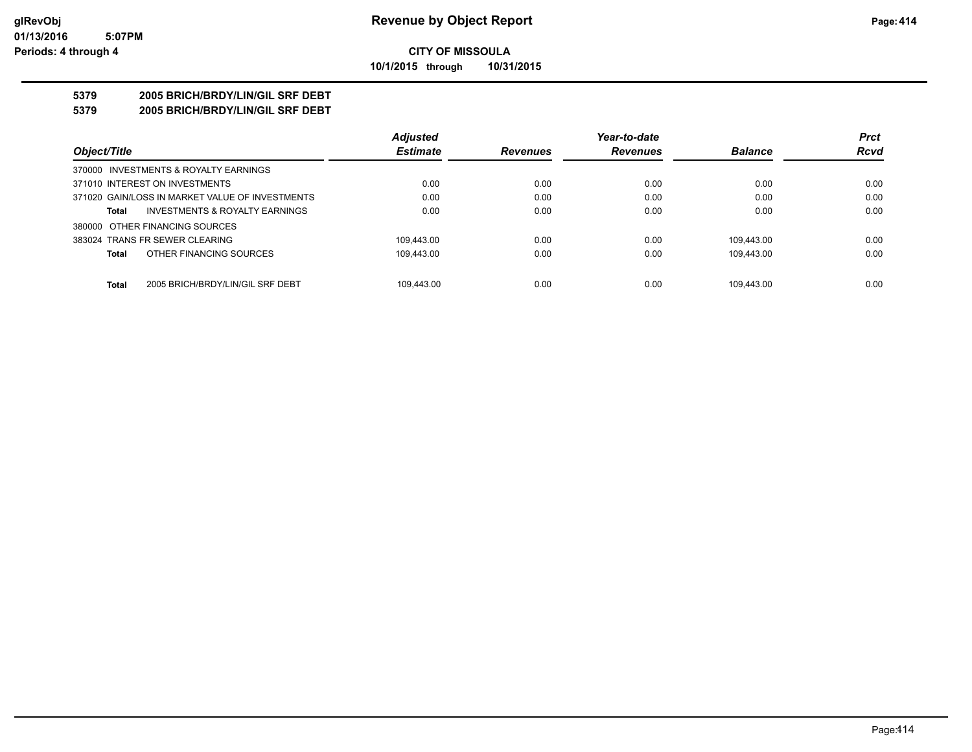### **CITY OF MISSOULA 10/1/2015 through 10/31/2015**

### **5379 2005 BRICH/BRDY/LIN/GIL SRF DEBT**

**5379 2005 BRICH/BRDY/LIN/GIL SRF DEBT**

|                                                  | <b>Adjusted</b> |                 | Year-to-date    |                | <b>Prct</b> |
|--------------------------------------------------|-----------------|-----------------|-----------------|----------------|-------------|
| Object/Title                                     | <b>Estimate</b> | <b>Revenues</b> | <b>Revenues</b> | <b>Balance</b> | <b>Rcvd</b> |
| 370000 INVESTMENTS & ROYALTY EARNINGS            |                 |                 |                 |                |             |
| 371010 INTEREST ON INVESTMENTS                   | 0.00            | 0.00            | 0.00            | 0.00           | 0.00        |
| 371020 GAIN/LOSS IN MARKET VALUE OF INVESTMENTS  | 0.00            | 0.00            | 0.00            | 0.00           | 0.00        |
| INVESTMENTS & ROYALTY EARNINGS<br><b>Total</b>   | 0.00            | 0.00            | 0.00            | 0.00           | 0.00        |
| 380000 OTHER FINANCING SOURCES                   |                 |                 |                 |                |             |
| 383024 TRANS FR SEWER CLEARING                   | 109.443.00      | 0.00            | 0.00            | 109.443.00     | 0.00        |
| OTHER FINANCING SOURCES<br><b>Total</b>          | 109.443.00      | 0.00            | 0.00            | 109.443.00     | 0.00        |
| <b>Total</b><br>2005 BRICH/BRDY/LIN/GIL SRF DEBT | 109.443.00      | 0.00            | 0.00            | 109.443.00     | 0.00        |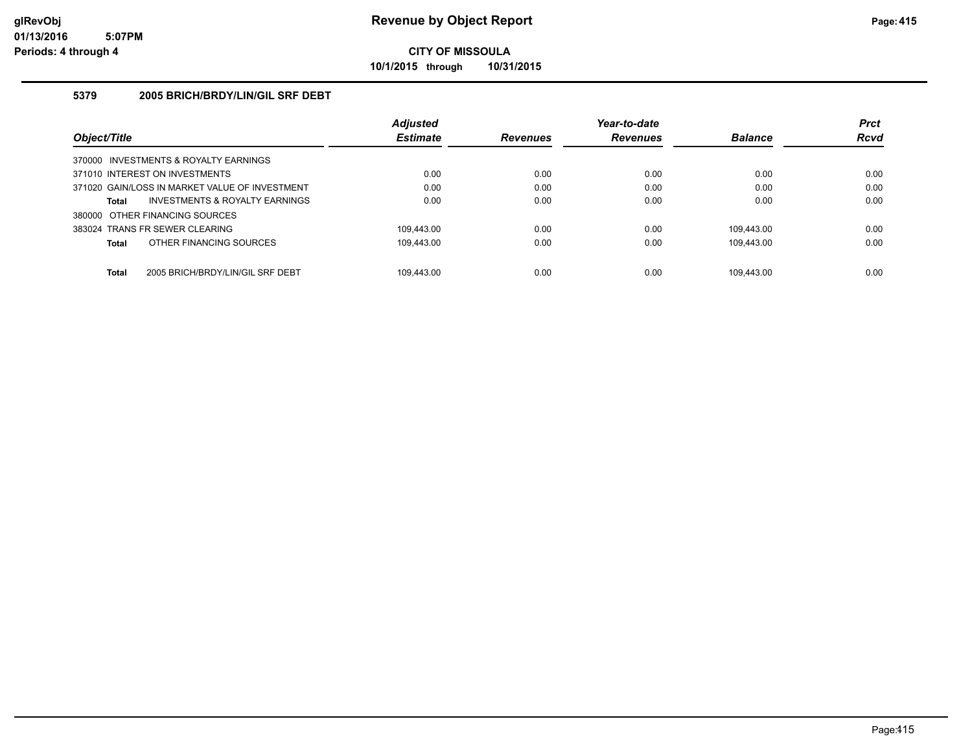**10/1/2015 through 10/31/2015**

## **5379 2005 BRICH/BRDY/LIN/GIL SRF DEBT**

|                                                  | <b>Adjusted</b> |                 | Year-to-date    |                | <b>Prct</b> |
|--------------------------------------------------|-----------------|-----------------|-----------------|----------------|-------------|
| Object/Title                                     | <b>Estimate</b> | <b>Revenues</b> | <b>Revenues</b> | <b>Balance</b> | <b>Rcvd</b> |
| 370000 INVESTMENTS & ROYALTY EARNINGS            |                 |                 |                 |                |             |
| 371010 INTEREST ON INVESTMENTS                   | 0.00            | 0.00            | 0.00            | 0.00           | 0.00        |
| 371020 GAIN/LOSS IN MARKET VALUE OF INVESTMENT   | 0.00            | 0.00            | 0.00            | 0.00           | 0.00        |
| INVESTMENTS & ROYALTY EARNINGS<br>Total          | 0.00            | 0.00            | 0.00            | 0.00           | 0.00        |
| 380000 OTHER FINANCING SOURCES                   |                 |                 |                 |                |             |
| 383024 TRANS FR SEWER CLEARING                   | 109.443.00      | 0.00            | 0.00            | 109.443.00     | 0.00        |
| OTHER FINANCING SOURCES<br>Total                 | 109.443.00      | 0.00            | 0.00            | 109.443.00     | 0.00        |
|                                                  |                 |                 |                 |                |             |
| 2005 BRICH/BRDY/LIN/GIL SRF DEBT<br><b>Total</b> | 109.443.00      | 0.00            | 0.00            | 109.443.00     | 0.00        |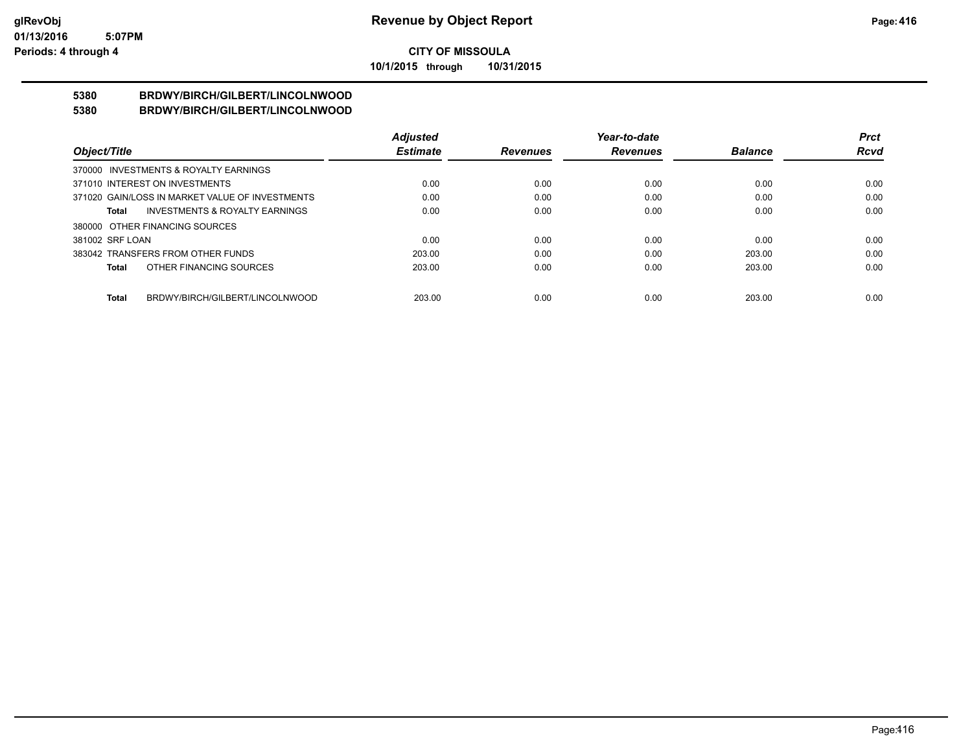**10/1/2015 through 10/31/2015**

#### **5380 BRDWY/BIRCH/GILBERT/LINCOLNWOOD 5380 BRDWY/BIRCH/GILBERT/LINCOLNWOOD**

|                                                    | <b>Adjusted</b> |                 | Year-to-date    |                | <b>Prct</b> |
|----------------------------------------------------|-----------------|-----------------|-----------------|----------------|-------------|
| Object/Title                                       | <b>Estimate</b> | <b>Revenues</b> | <b>Revenues</b> | <b>Balance</b> | <b>Rcvd</b> |
| 370000 INVESTMENTS & ROYALTY EARNINGS              |                 |                 |                 |                |             |
| 371010 INTEREST ON INVESTMENTS                     | 0.00            | 0.00            | 0.00            | 0.00           | 0.00        |
| 371020 GAIN/LOSS IN MARKET VALUE OF INVESTMENTS    | 0.00            | 0.00            | 0.00            | 0.00           | 0.00        |
| <b>INVESTMENTS &amp; ROYALTY EARNINGS</b><br>Total | 0.00            | 0.00            | 0.00            | 0.00           | 0.00        |
| 380000 OTHER FINANCING SOURCES                     |                 |                 |                 |                |             |
| 381002 SRF LOAN                                    | 0.00            | 0.00            | 0.00            | 0.00           | 0.00        |
| 383042 TRANSFERS FROM OTHER FUNDS                  | 203.00          | 0.00            | 0.00            | 203.00         | 0.00        |
| OTHER FINANCING SOURCES<br>Total                   | 203.00          | 0.00            | 0.00            | 203.00         | 0.00        |
|                                                    |                 |                 |                 |                |             |
| BRDWY/BIRCH/GILBERT/LINCOLNWOOD<br><b>Total</b>    | 203.00          | 0.00            | 0.00            | 203.00         | 0.00        |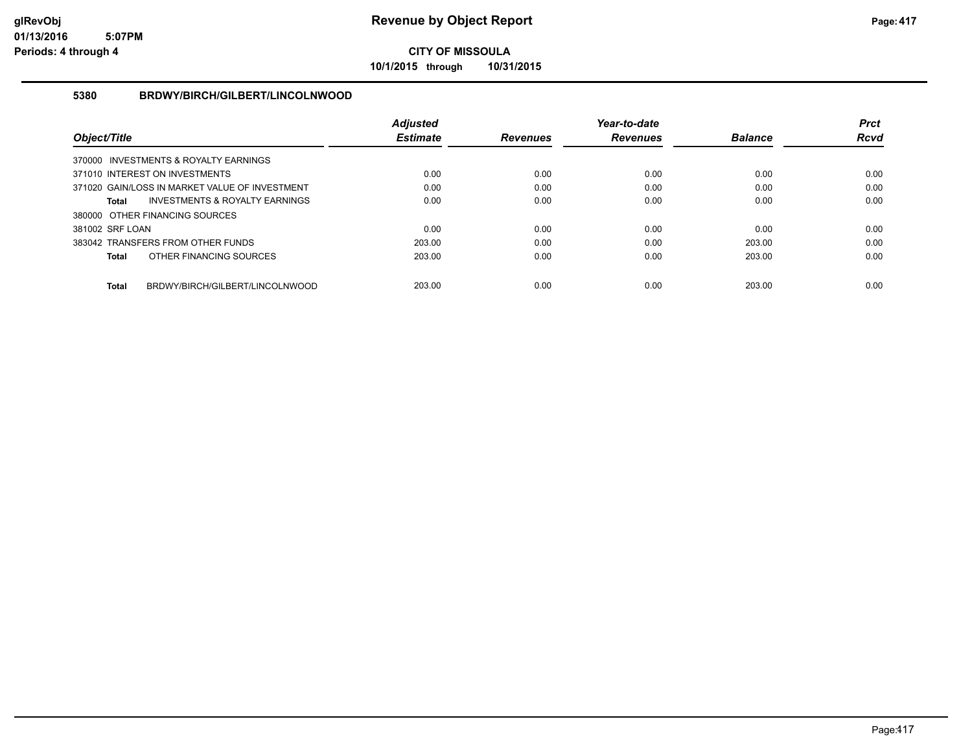**10/1/2015 through 10/31/2015**

## **5380 BRDWY/BIRCH/GILBERT/LINCOLNWOOD**

|                                                 | <b>Adiusted</b> |                 | Year-to-date    |                | <b>Prct</b> |
|-------------------------------------------------|-----------------|-----------------|-----------------|----------------|-------------|
| Object/Title                                    | <b>Estimate</b> | <b>Revenues</b> | <b>Revenues</b> | <b>Balance</b> | Rcvd        |
| 370000 INVESTMENTS & ROYALTY EARNINGS           |                 |                 |                 |                |             |
| 371010 INTEREST ON INVESTMENTS                  | 0.00            | 0.00            | 0.00            | 0.00           | 0.00        |
| 371020 GAIN/LOSS IN MARKET VALUE OF INVESTMENT  | 0.00            | 0.00            | 0.00            | 0.00           | 0.00        |
| INVESTMENTS & ROYALTY EARNINGS<br>Total         | 0.00            | 0.00            | 0.00            | 0.00           | 0.00        |
| 380000 OTHER FINANCING SOURCES                  |                 |                 |                 |                |             |
| 381002 SRF LOAN                                 | 0.00            | 0.00            | 0.00            | 0.00           | 0.00        |
| 383042 TRANSFERS FROM OTHER FUNDS               | 203.00          | 0.00            | 0.00            | 203.00         | 0.00        |
| OTHER FINANCING SOURCES<br><b>Total</b>         | 203.00          | 0.00            | 0.00            | 203.00         | 0.00        |
|                                                 |                 |                 |                 |                |             |
| BRDWY/BIRCH/GILBERT/LINCOLNWOOD<br><b>Total</b> | 203.00          | 0.00            | 0.00            | 203.00         | 0.00        |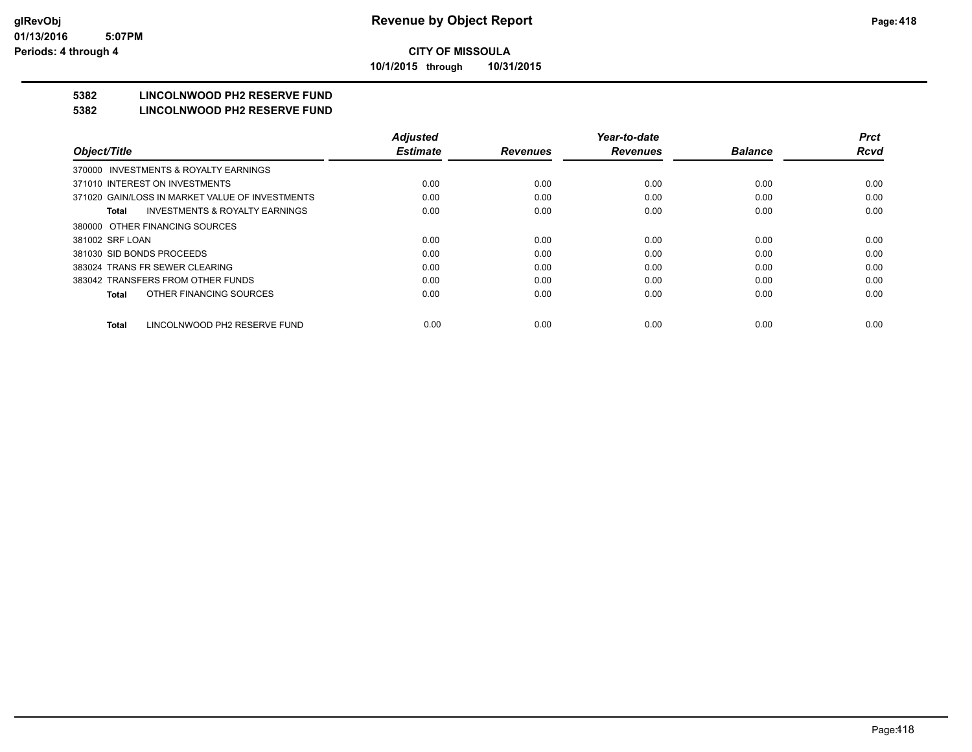**10/1/2015 through 10/31/2015**

## **5382 LINCOLNWOOD PH2 RESERVE FUND**

#### **5382 LINCOLNWOOD PH2 RESERVE FUND**

|                                                    | <b>Adjusted</b> |                 | Year-to-date    |                | <b>Prct</b> |
|----------------------------------------------------|-----------------|-----------------|-----------------|----------------|-------------|
| Object/Title                                       | <b>Estimate</b> | <b>Revenues</b> | <b>Revenues</b> | <b>Balance</b> | <b>Rcvd</b> |
| INVESTMENTS & ROYALTY EARNINGS<br>370000           |                 |                 |                 |                |             |
| 371010 INTEREST ON INVESTMENTS                     | 0.00            | 0.00            | 0.00            | 0.00           | 0.00        |
| 371020 GAIN/LOSS IN MARKET VALUE OF INVESTMENTS    | 0.00            | 0.00            | 0.00            | 0.00           | 0.00        |
| <b>INVESTMENTS &amp; ROYALTY EARNINGS</b><br>Total | 0.00            | 0.00            | 0.00            | 0.00           | 0.00        |
| 380000 OTHER FINANCING SOURCES                     |                 |                 |                 |                |             |
| 381002 SRF LOAN                                    | 0.00            | 0.00            | 0.00            | 0.00           | 0.00        |
| 381030 SID BONDS PROCEEDS                          | 0.00            | 0.00            | 0.00            | 0.00           | 0.00        |
| 383024 TRANS FR SEWER CLEARING                     | 0.00            | 0.00            | 0.00            | 0.00           | 0.00        |
| 383042 TRANSFERS FROM OTHER FUNDS                  | 0.00            | 0.00            | 0.00            | 0.00           | 0.00        |
| OTHER FINANCING SOURCES<br>Total                   | 0.00            | 0.00            | 0.00            | 0.00           | 0.00        |
| LINCOLNWOOD PH2 RESERVE FUND<br><b>Total</b>       | 0.00            | 0.00            | 0.00            | 0.00           | 0.00        |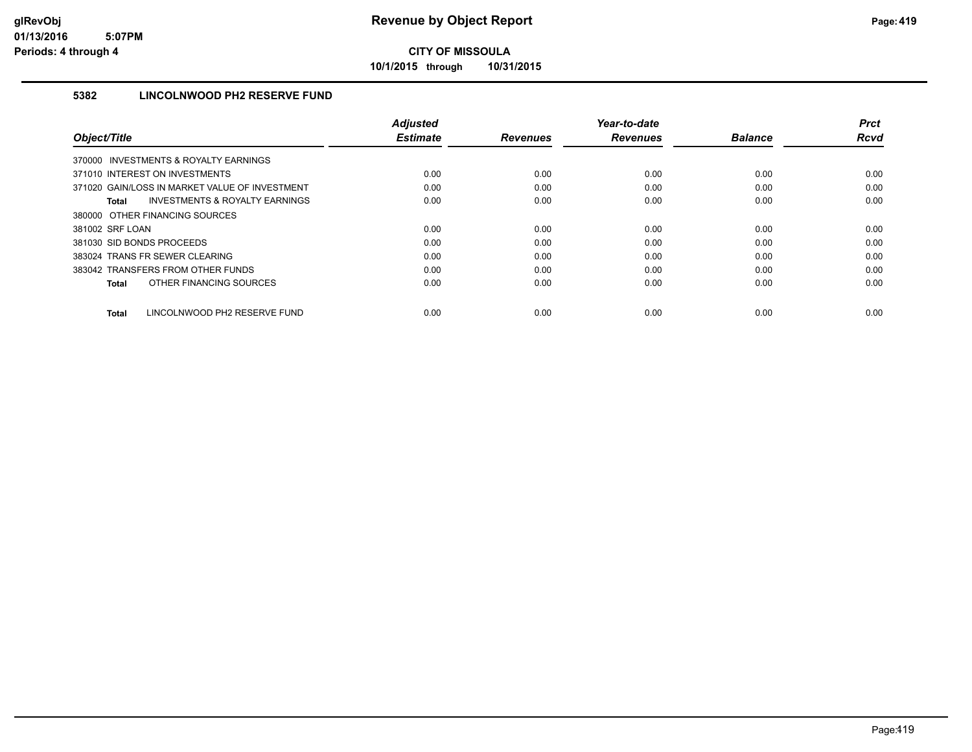**10/1/2015 through 10/31/2015**

## **5382 LINCOLNWOOD PH2 RESERVE FUND**

|                                                           | <b>Adjusted</b> |                 | Year-to-date    |                | <b>Prct</b> |
|-----------------------------------------------------------|-----------------|-----------------|-----------------|----------------|-------------|
| Object/Title                                              | <b>Estimate</b> | <b>Revenues</b> | <b>Revenues</b> | <b>Balance</b> | <b>Rcvd</b> |
| 370000 INVESTMENTS & ROYALTY EARNINGS                     |                 |                 |                 |                |             |
| 371010 INTEREST ON INVESTMENTS                            | 0.00            | 0.00            | 0.00            | 0.00           | 0.00        |
| 371020 GAIN/LOSS IN MARKET VALUE OF INVESTMENT            | 0.00            | 0.00            | 0.00            | 0.00           | 0.00        |
| <b>INVESTMENTS &amp; ROYALTY EARNINGS</b><br><b>Total</b> | 0.00            | 0.00            | 0.00            | 0.00           | 0.00        |
| 380000 OTHER FINANCING SOURCES                            |                 |                 |                 |                |             |
| 381002 SRF LOAN                                           | 0.00            | 0.00            | 0.00            | 0.00           | 0.00        |
| 381030 SID BONDS PROCEEDS                                 | 0.00            | 0.00            | 0.00            | 0.00           | 0.00        |
| 383024 TRANS FR SEWER CLEARING                            | 0.00            | 0.00            | 0.00            | 0.00           | 0.00        |
| 383042 TRANSFERS FROM OTHER FUNDS                         | 0.00            | 0.00            | 0.00            | 0.00           | 0.00        |
| OTHER FINANCING SOURCES<br><b>Total</b>                   | 0.00            | 0.00            | 0.00            | 0.00           | 0.00        |
| LINCOLNWOOD PH2 RESERVE FUND<br><b>Total</b>              | 0.00            | 0.00            | 0.00            | 0.00           | 0.00        |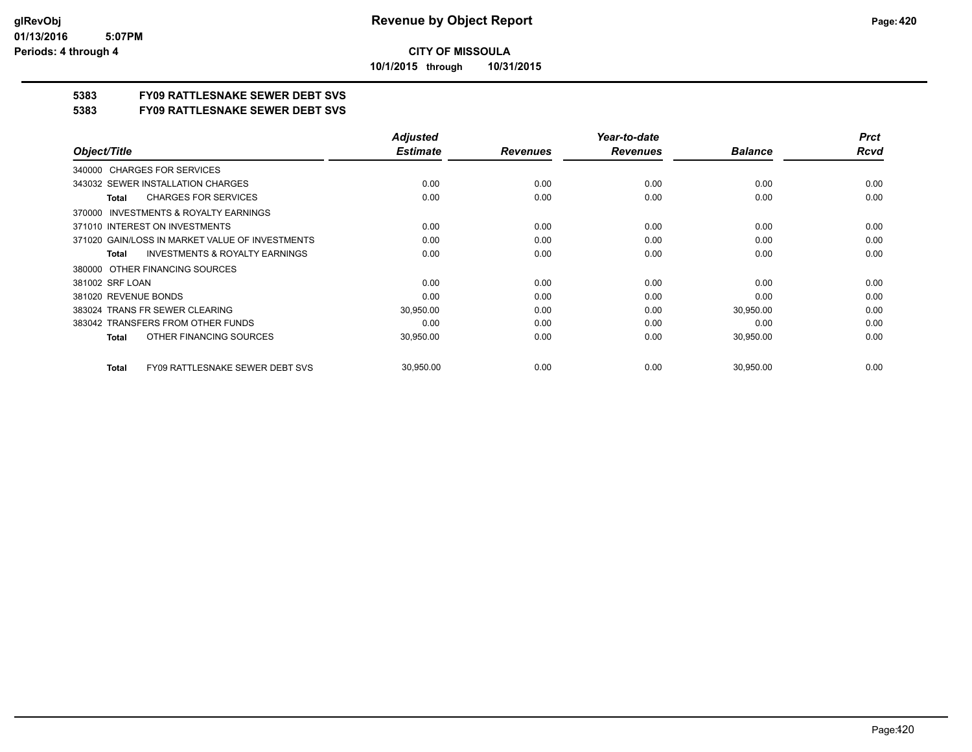**10/1/2015 through 10/31/2015**

## **5383 FY09 RATTLESNAKE SEWER DEBT SVS**

**5383 FY09 RATTLESNAKE SEWER DEBT SVS**

|                                                        | <b>Adjusted</b> |                 | Year-to-date    |                | <b>Prct</b> |
|--------------------------------------------------------|-----------------|-----------------|-----------------|----------------|-------------|
| Object/Title                                           | <b>Estimate</b> | <b>Revenues</b> | <b>Revenues</b> | <b>Balance</b> | <b>Rcvd</b> |
| 340000 CHARGES FOR SERVICES                            |                 |                 |                 |                |             |
| 343032 SEWER INSTALLATION CHARGES                      | 0.00            | 0.00            | 0.00            | 0.00           | 0.00        |
| <b>CHARGES FOR SERVICES</b><br>Total                   | 0.00            | 0.00            | 0.00            | 0.00           | 0.00        |
| <b>INVESTMENTS &amp; ROYALTY EARNINGS</b><br>370000    |                 |                 |                 |                |             |
| 371010 INTEREST ON INVESTMENTS                         | 0.00            | 0.00            | 0.00            | 0.00           | 0.00        |
| 371020 GAIN/LOSS IN MARKET VALUE OF INVESTMENTS        | 0.00            | 0.00            | 0.00            | 0.00           | 0.00        |
| <b>INVESTMENTS &amp; ROYALTY EARNINGS</b><br>Total     | 0.00            | 0.00            | 0.00            | 0.00           | 0.00        |
| OTHER FINANCING SOURCES<br>380000                      |                 |                 |                 |                |             |
| 381002 SRF LOAN                                        | 0.00            | 0.00            | 0.00            | 0.00           | 0.00        |
| 381020 REVENUE BONDS                                   | 0.00            | 0.00            | 0.00            | 0.00           | 0.00        |
| 383024 TRANS FR SEWER CLEARING                         | 30,950.00       | 0.00            | 0.00            | 30,950.00      | 0.00        |
| 383042 TRANSFERS FROM OTHER FUNDS                      | 0.00            | 0.00            | 0.00            | 0.00           | 0.00        |
| OTHER FINANCING SOURCES<br>Total                       | 30,950.00       | 0.00            | 0.00            | 30,950.00      | 0.00        |
| <b>FY09 RATTLESNAKE SEWER DEBT SVS</b><br><b>Total</b> | 30,950.00       | 0.00            | 0.00            | 30,950.00      | 0.00        |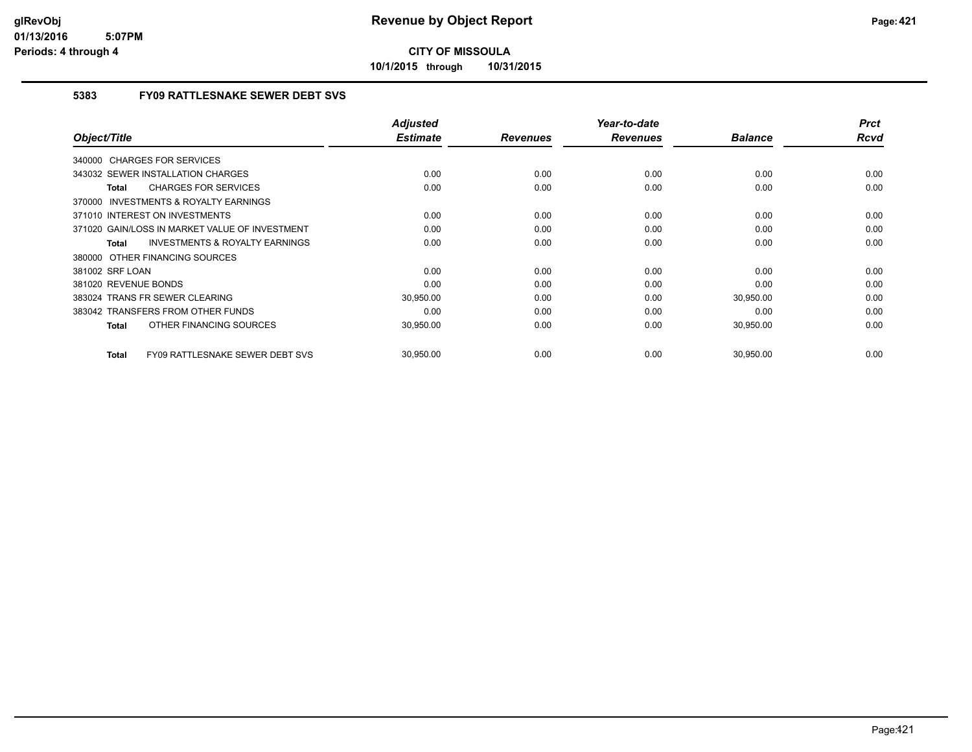**10/1/2015 through 10/31/2015**

## **5383 FY09 RATTLESNAKE SEWER DEBT SVS**

| Object/Title                                        | <b>Adjusted</b><br><b>Estimate</b> | <b>Revenues</b> | Year-to-date<br><b>Revenues</b> | <b>Balance</b> | <b>Prct</b><br>Rcvd |
|-----------------------------------------------------|------------------------------------|-----------------|---------------------------------|----------------|---------------------|
|                                                     |                                    |                 |                                 |                |                     |
| 340000 CHARGES FOR SERVICES                         |                                    |                 |                                 |                |                     |
| 343032 SEWER INSTALLATION CHARGES                   | 0.00                               | 0.00            | 0.00                            | 0.00           | 0.00                |
| <b>CHARGES FOR SERVICES</b><br>Total                | 0.00                               | 0.00            | 0.00                            | 0.00           | 0.00                |
| <b>INVESTMENTS &amp; ROYALTY EARNINGS</b><br>370000 |                                    |                 |                                 |                |                     |
| 371010 INTEREST ON INVESTMENTS                      | 0.00                               | 0.00            | 0.00                            | 0.00           | 0.00                |
| 371020 GAIN/LOSS IN MARKET VALUE OF INVESTMENT      | 0.00                               | 0.00            | 0.00                            | 0.00           | 0.00                |
| <b>INVESTMENTS &amp; ROYALTY EARNINGS</b><br>Total  | 0.00                               | 0.00            | 0.00                            | 0.00           | 0.00                |
| 380000 OTHER FINANCING SOURCES                      |                                    |                 |                                 |                |                     |
| 381002 SRF LOAN                                     | 0.00                               | 0.00            | 0.00                            | 0.00           | 0.00                |
| 381020 REVENUE BONDS                                | 0.00                               | 0.00            | 0.00                            | 0.00           | 0.00                |
| 383024 TRANS FR SEWER CLEARING                      | 30,950.00                          | 0.00            | 0.00                            | 30,950.00      | 0.00                |
| 383042 TRANSFERS FROM OTHER FUNDS                   | 0.00                               | 0.00            | 0.00                            | 0.00           | 0.00                |
| OTHER FINANCING SOURCES<br>Total                    | 30,950.00                          | 0.00            | 0.00                            | 30,950.00      | 0.00                |
| FY09 RATTLESNAKE SEWER DEBT SVS<br>Total            | 30,950.00                          | 0.00            | 0.00                            | 30,950.00      | 0.00                |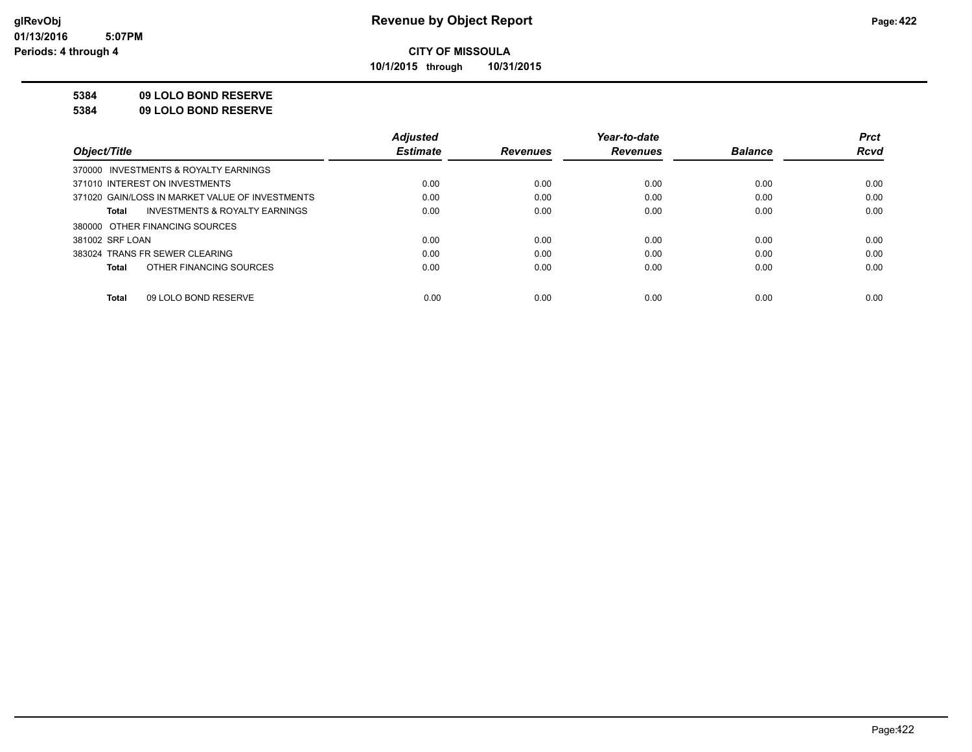**10/1/2015 through 10/31/2015**

#### **5384 09 LOLO BOND RESERVE**

**5384 09 LOLO BOND RESERVE**

|                                                    | <b>Adjusted</b> |                 | Year-to-date    |                | <b>Prct</b> |
|----------------------------------------------------|-----------------|-----------------|-----------------|----------------|-------------|
| Object/Title                                       | <b>Estimate</b> | <b>Revenues</b> | <b>Revenues</b> | <b>Balance</b> | <b>Rcvd</b> |
| 370000 INVESTMENTS & ROYALTY EARNINGS              |                 |                 |                 |                |             |
| 371010 INTEREST ON INVESTMENTS                     | 0.00            | 0.00            | 0.00            | 0.00           | 0.00        |
| 371020 GAIN/LOSS IN MARKET VALUE OF INVESTMENTS    | 0.00            | 0.00            | 0.00            | 0.00           | 0.00        |
| <b>INVESTMENTS &amp; ROYALTY EARNINGS</b><br>Total | 0.00            | 0.00            | 0.00            | 0.00           | 0.00        |
| 380000 OTHER FINANCING SOURCES                     |                 |                 |                 |                |             |
| 381002 SRF LOAN                                    | 0.00            | 0.00            | 0.00            | 0.00           | 0.00        |
| 383024 TRANS FR SEWER CLEARING                     | 0.00            | 0.00            | 0.00            | 0.00           | 0.00        |
| OTHER FINANCING SOURCES<br>Total                   | 0.00            | 0.00            | 0.00            | 0.00           | 0.00        |
|                                                    |                 |                 |                 |                |             |
| 09 LOLO BOND RESERVE<br>Total                      | 0.00            | 0.00            | 0.00            | 0.00           | 0.00        |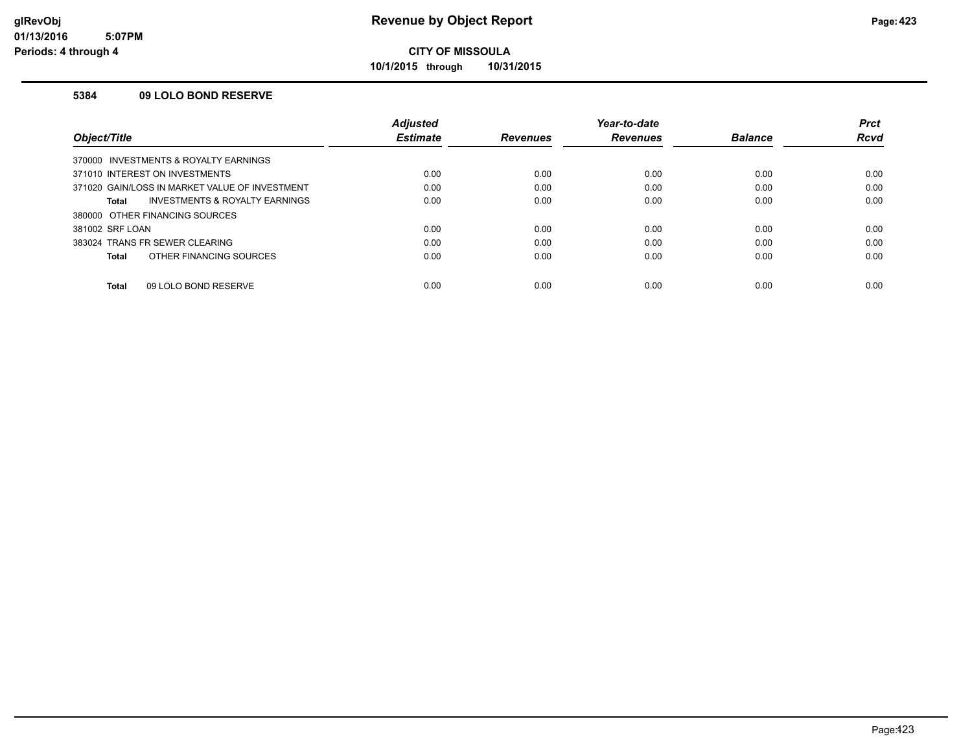**10/1/2015 through 10/31/2015**

### **5384 09 LOLO BOND RESERVE**

|                                                | <b>Adjusted</b> |                 | Year-to-date    |                | <b>Prct</b> |
|------------------------------------------------|-----------------|-----------------|-----------------|----------------|-------------|
| Object/Title                                   | <b>Estimate</b> | <b>Revenues</b> | <b>Revenues</b> | <b>Balance</b> | Rcvd        |
| 370000 INVESTMENTS & ROYALTY EARNINGS          |                 |                 |                 |                |             |
| 371010 INTEREST ON INVESTMENTS                 | 0.00            | 0.00            | 0.00            | 0.00           | 0.00        |
| 371020 GAIN/LOSS IN MARKET VALUE OF INVESTMENT | 0.00            | 0.00            | 0.00            | 0.00           | 0.00        |
| INVESTMENTS & ROYALTY EARNINGS<br>Total        | 0.00            | 0.00            | 0.00            | 0.00           | 0.00        |
| 380000 OTHER FINANCING SOURCES                 |                 |                 |                 |                |             |
| 381002 SRF LOAN                                | 0.00            | 0.00            | 0.00            | 0.00           | 0.00        |
| 383024 TRANS FR SEWER CLEARING                 | 0.00            | 0.00            | 0.00            | 0.00           | 0.00        |
| OTHER FINANCING SOURCES<br>Total               | 0.00            | 0.00            | 0.00            | 0.00           | 0.00        |
| 09 LOLO BOND RESERVE<br><b>Total</b>           | 0.00            | 0.00            | 0.00            | 0.00           | 0.00        |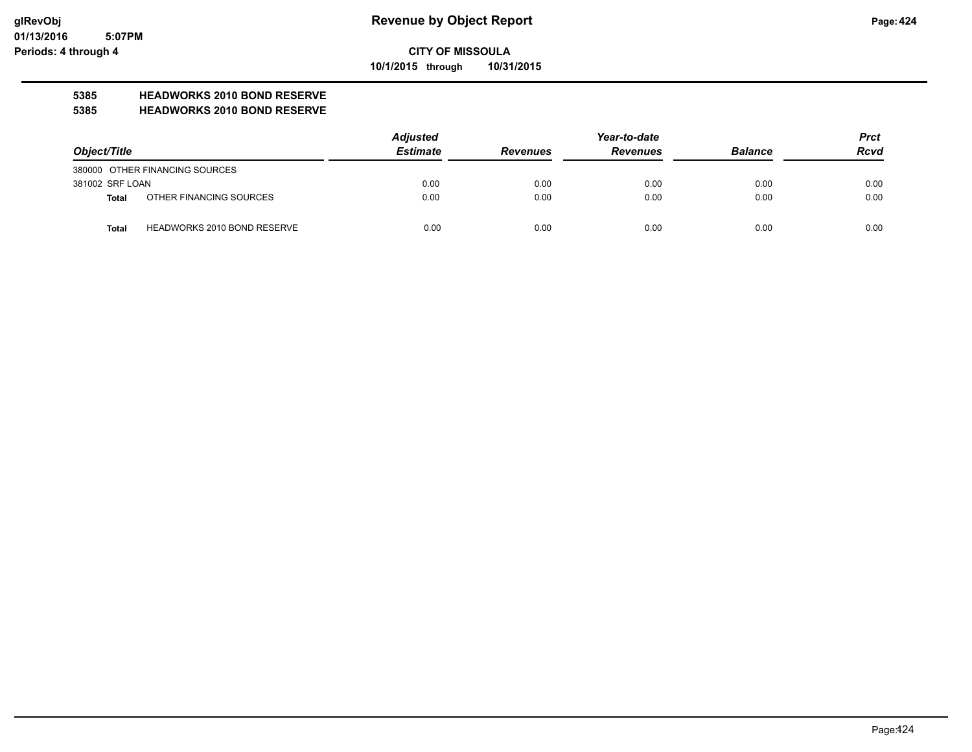**10/1/2015 through 10/31/2015**

## **5385 HEADWORKS 2010 BOND RESERVE**

### **5385 HEADWORKS 2010 BOND RESERVE**

| Object/Title    |                                    | <b>Adjusted</b> | Year-to-date    |                 |                | <b>Prct</b> |
|-----------------|------------------------------------|-----------------|-----------------|-----------------|----------------|-------------|
|                 |                                    | <b>Estimate</b> | <b>Revenues</b> | <b>Revenues</b> | <b>Balance</b> | <b>Rcvd</b> |
|                 | 380000 OTHER FINANCING SOURCES     |                 |                 |                 |                |             |
| 381002 SRF LOAN |                                    | 0.00            | 0.00            | 0.00            | 0.00           | 0.00        |
| Total           | OTHER FINANCING SOURCES            | 0.00            | 0.00            | 0.00            | 0.00           | 0.00        |
| <b>Total</b>    | <b>HEADWORKS 2010 BOND RESERVE</b> | 0.00            | 0.00            | 0.00            | 0.00           | 0.00        |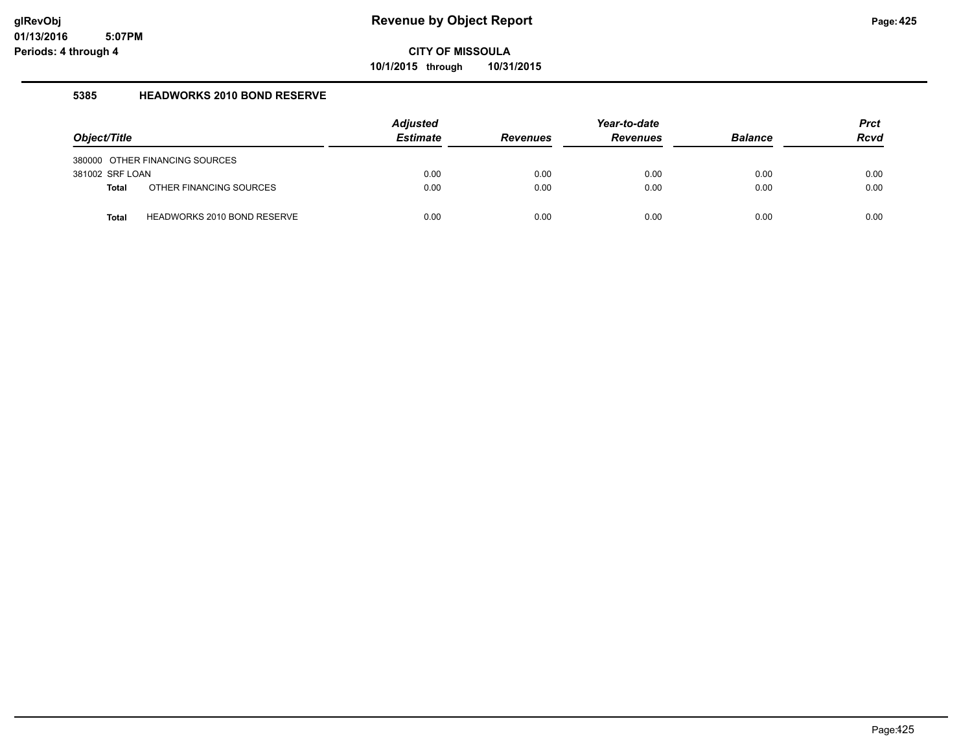**10/1/2015 through 10/31/2015**

### **5385 HEADWORKS 2010 BOND RESERVE**

| Object/Title    |                                | <b>Adjusted</b><br><b>Estimate</b> | <b>Revenues</b> | Year-to-date<br><b>Revenues</b> | <b>Balance</b> | <b>Prct</b><br><b>Rcvd</b> |
|-----------------|--------------------------------|------------------------------------|-----------------|---------------------------------|----------------|----------------------------|
|                 | 380000 OTHER FINANCING SOURCES |                                    |                 |                                 |                |                            |
| 381002 SRF LOAN |                                | 0.00                               | 0.00            | 0.00                            | 0.00           | 0.00                       |
| <b>Total</b>    | OTHER FINANCING SOURCES        | 0.00                               | 0.00            | 0.00                            | 0.00           | 0.00                       |
| <b>Total</b>    | HEADWORKS 2010 BOND RESERVE    | 0.00                               | 0.00            | 0.00                            | 0.00           | 0.00                       |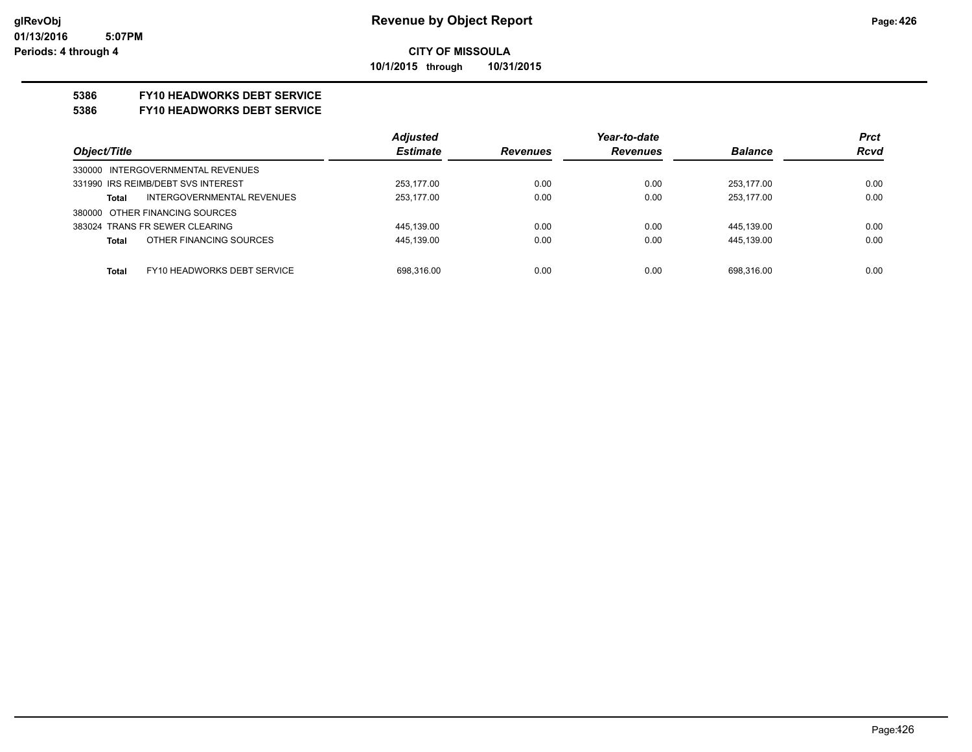### **CITY OF MISSOULA 10/1/2015 through 10/31/2015**

#### **5386 FY10 HEADWORKS DEBT SERVICE**

#### **5386 FY10 HEADWORKS DEBT SERVICE**

|                                             | <b>Adjusted</b> |                 | Year-to-date    |                | <b>Prct</b> |
|---------------------------------------------|-----------------|-----------------|-----------------|----------------|-------------|
| Object/Title                                | <b>Estimate</b> | <b>Revenues</b> | <b>Revenues</b> | <b>Balance</b> | <b>Rcvd</b> |
| 330000 INTERGOVERNMENTAL REVENUES           |                 |                 |                 |                |             |
| 331990 IRS REIMB/DEBT SVS INTEREST          | 253.177.00      | 0.00            | 0.00            | 253.177.00     | 0.00        |
| INTERGOVERNMENTAL REVENUES<br>Total         | 253,177.00      | 0.00            | 0.00            | 253.177.00     | 0.00        |
| 380000 OTHER FINANCING SOURCES              |                 |                 |                 |                |             |
| 383024 TRANS FR SEWER CLEARING              | 445.139.00      | 0.00            | 0.00            | 445.139.00     | 0.00        |
| OTHER FINANCING SOURCES<br><b>Total</b>     | 445.139.00      | 0.00            | 0.00            | 445.139.00     | 0.00        |
|                                             |                 |                 |                 |                |             |
| FY10 HEADWORKS DEBT SERVICE<br><b>Total</b> | 698.316.00      | 0.00            | 0.00            | 698.316.00     | 0.00        |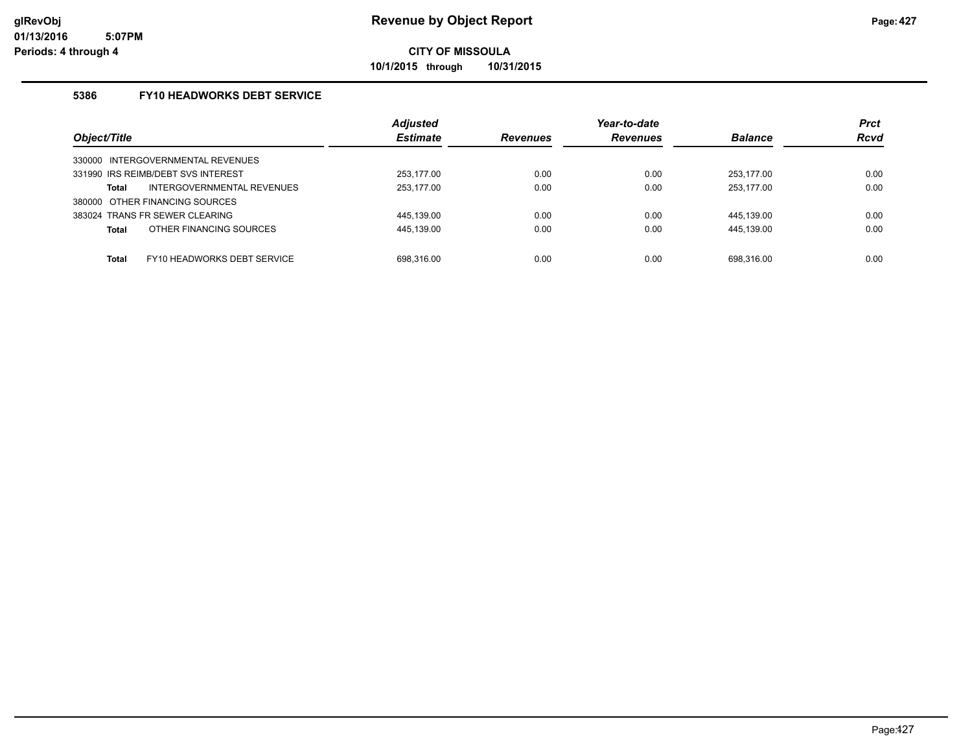**10/1/2015 through 10/31/2015**

## **5386 FY10 HEADWORKS DEBT SERVICE**

|                                      | <b>Adjusted</b> |                 | Year-to-date    |                | <b>Prct</b> |
|--------------------------------------|-----------------|-----------------|-----------------|----------------|-------------|
| Object/Title                         | <b>Estimate</b> | <b>Revenues</b> | <b>Revenues</b> | <b>Balance</b> | <b>Rcvd</b> |
| INTERGOVERNMENTAL REVENUES<br>330000 |                 |                 |                 |                |             |
| 331990 IRS REIMB/DEBT SVS INTEREST   | 253.177.00      | 0.00            | 0.00            | 253.177.00     | 0.00        |
| INTERGOVERNMENTAL REVENUES<br>Total  | 253,177.00      | 0.00            | 0.00            | 253,177.00     | 0.00        |
| 380000 OTHER FINANCING SOURCES       |                 |                 |                 |                |             |
| 383024 TRANS FR SEWER CLEARING       | 445.139.00      | 0.00            | 0.00            | 445.139.00     | 0.00        |
| OTHER FINANCING SOURCES<br>Total     | 445,139.00      | 0.00            | 0.00            | 445,139.00     | 0.00        |
| FY10 HEADWORKS DEBT SERVICE<br>Total | 698.316.00      | 0.00            | 0.00            | 698.316.00     | 0.00        |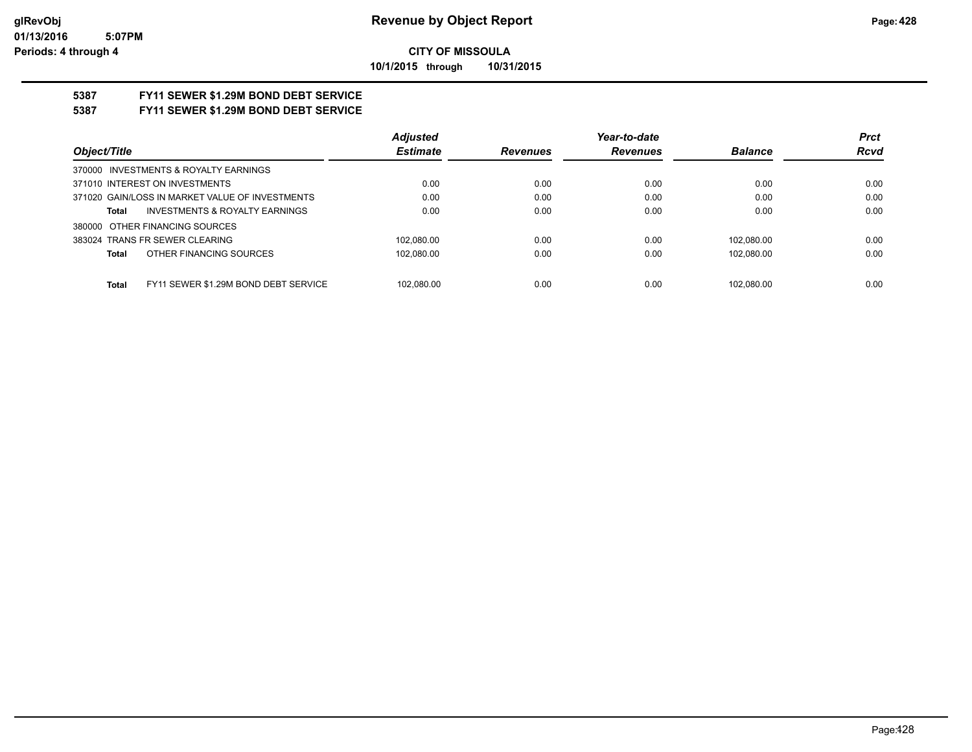**10/1/2015 through 10/31/2015**

# **5387 FY11 SEWER \$1.29M BOND DEBT SERVICE**

## **5387 FY11 SEWER \$1.29M BOND DEBT SERVICE**

|                                                      | <b>Adjusted</b> |                 | Year-to-date    |                | <b>Prct</b> |
|------------------------------------------------------|-----------------|-----------------|-----------------|----------------|-------------|
| Object/Title                                         | <b>Estimate</b> | <b>Revenues</b> | <b>Revenues</b> | <b>Balance</b> | <b>Rcvd</b> |
| 370000 INVESTMENTS & ROYALTY EARNINGS                |                 |                 |                 |                |             |
| 371010 INTEREST ON INVESTMENTS                       | 0.00            | 0.00            | 0.00            | 0.00           | 0.00        |
| 371020 GAIN/LOSS IN MARKET VALUE OF INVESTMENTS      | 0.00            | 0.00            | 0.00            | 0.00           | 0.00        |
| <b>INVESTMENTS &amp; ROYALTY EARNINGS</b><br>Total   | 0.00            | 0.00            | 0.00            | 0.00           | 0.00        |
| 380000 OTHER FINANCING SOURCES                       |                 |                 |                 |                |             |
| 383024 TRANS FR SEWER CLEARING                       | 102.080.00      | 0.00            | 0.00            | 102.080.00     | 0.00        |
| OTHER FINANCING SOURCES<br>Total                     | 102.080.00      | 0.00            | 0.00            | 102.080.00     | 0.00        |
|                                                      |                 |                 |                 |                |             |
| FY11 SEWER \$1.29M BOND DEBT SERVICE<br><b>Total</b> | 102.080.00      | 0.00            | 0.00            | 102.080.00     | 0.00        |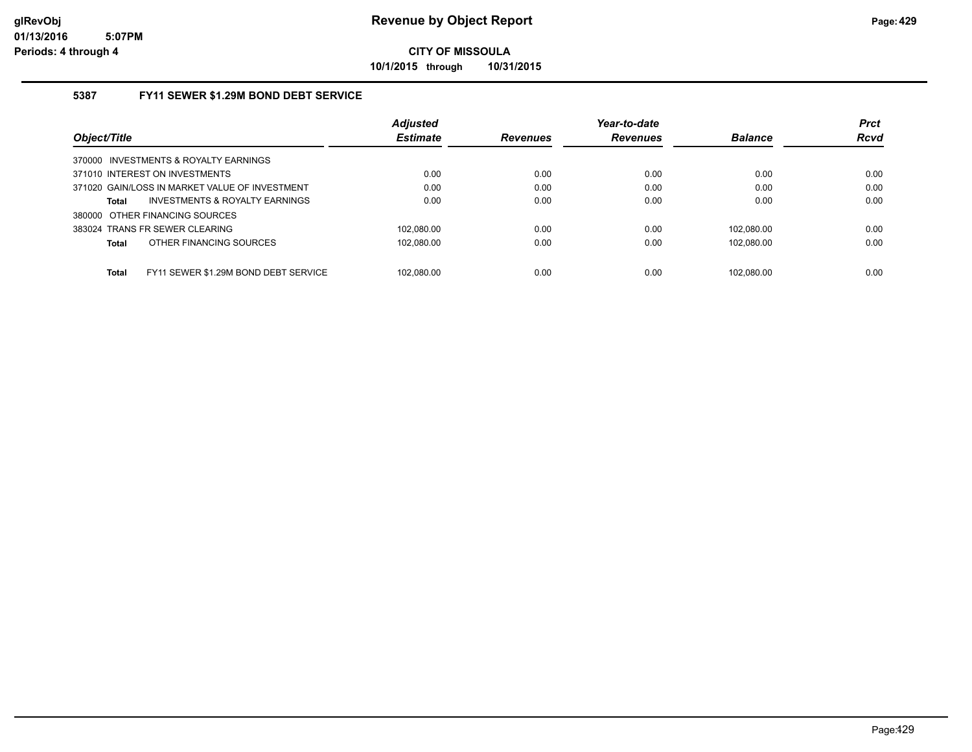**10/1/2015 through 10/31/2015**

## **5387 FY11 SEWER \$1.29M BOND DEBT SERVICE**

|                                                      | <b>Adjusted</b> |                 | Year-to-date    |                | <b>Prct</b> |
|------------------------------------------------------|-----------------|-----------------|-----------------|----------------|-------------|
| Object/Title                                         | <b>Estimate</b> | <b>Revenues</b> | <b>Revenues</b> | <b>Balance</b> | <b>Rcvd</b> |
| 370000 INVESTMENTS & ROYALTY EARNINGS                |                 |                 |                 |                |             |
| 371010 INTEREST ON INVESTMENTS                       | 0.00            | 0.00            | 0.00            | 0.00           | 0.00        |
| 371020 GAIN/LOSS IN MARKET VALUE OF INVESTMENT       | 0.00            | 0.00            | 0.00            | 0.00           | 0.00        |
| <b>INVESTMENTS &amp; ROYALTY EARNINGS</b><br>Total   | 0.00            | 0.00            | 0.00            | 0.00           | 0.00        |
| 380000 OTHER FINANCING SOURCES                       |                 |                 |                 |                |             |
| 383024 TRANS FR SEWER CLEARING                       | 102.080.00      | 0.00            | 0.00            | 102.080.00     | 0.00        |
| OTHER FINANCING SOURCES<br><b>Total</b>              | 102.080.00      | 0.00            | 0.00            | 102.080.00     | 0.00        |
|                                                      |                 |                 |                 |                |             |
| <b>Total</b><br>FY11 SEWER \$1.29M BOND DEBT SERVICE | 102.080.00      | 0.00            | 0.00            | 102.080.00     | 0.00        |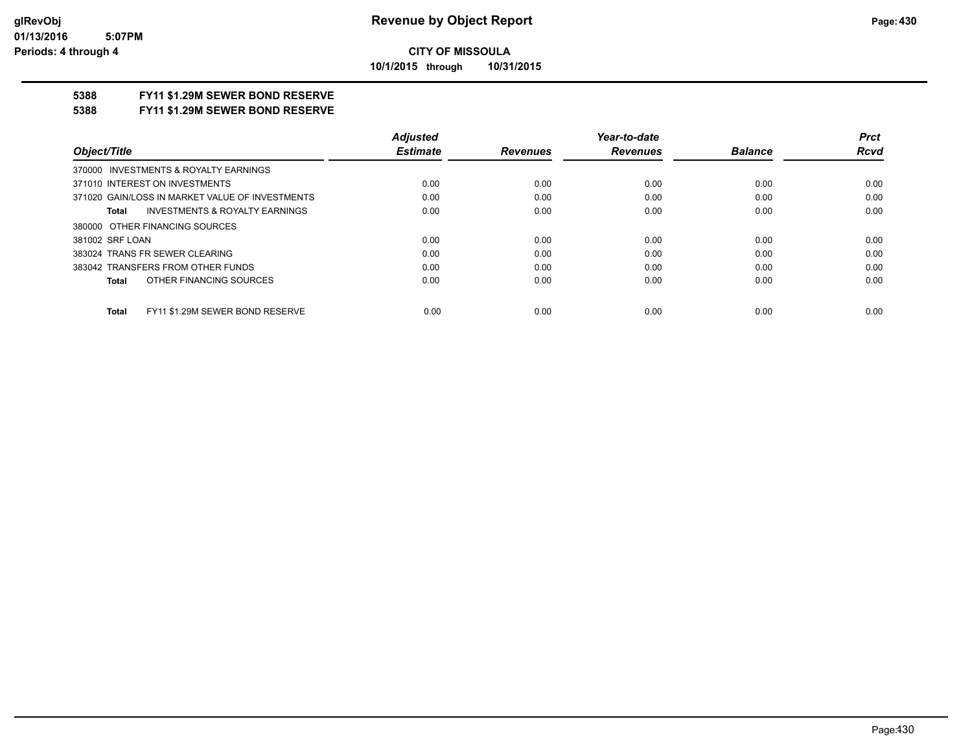**10/1/2015 through 10/31/2015**

## **5388 FY11 \$1.29M SEWER BOND RESERVE**

**5388 FY11 \$1.29M SEWER BOND RESERVE**

|                                                 | <b>Adiusted</b> |                 | Year-to-date    |                | Prct |
|-------------------------------------------------|-----------------|-----------------|-----------------|----------------|------|
| Object/Title                                    | <b>Estimate</b> | <b>Revenues</b> | <b>Revenues</b> | <b>Balance</b> | Rcvd |
| 370000 INVESTMENTS & ROYALTY EARNINGS           |                 |                 |                 |                |      |
| 371010 INTEREST ON INVESTMENTS                  | 0.00            | 0.00            | 0.00            | 0.00           | 0.00 |
| 371020 GAIN/LOSS IN MARKET VALUE OF INVESTMENTS | 0.00            | 0.00            | 0.00            | 0.00           | 0.00 |
| INVESTMENTS & ROYALTY EARNINGS<br>Total         | 0.00            | 0.00            | 0.00            | 0.00           | 0.00 |
| 380000 OTHER FINANCING SOURCES                  |                 |                 |                 |                |      |
| 381002 SRF LOAN                                 | 0.00            | 0.00            | 0.00            | 0.00           | 0.00 |
| 383024 TRANS FR SEWER CLEARING                  | 0.00            | 0.00            | 0.00            | 0.00           | 0.00 |
| 383042 TRANSFERS FROM OTHER FUNDS               | 0.00            | 0.00            | 0.00            | 0.00           | 0.00 |
| OTHER FINANCING SOURCES<br>Total                | 0.00            | 0.00            | 0.00            | 0.00           | 0.00 |
| FY11 \$1.29M SEWER BOND RESERVE<br><b>Total</b> | 0.00            | 0.00            | 0.00            | 0.00           | 0.00 |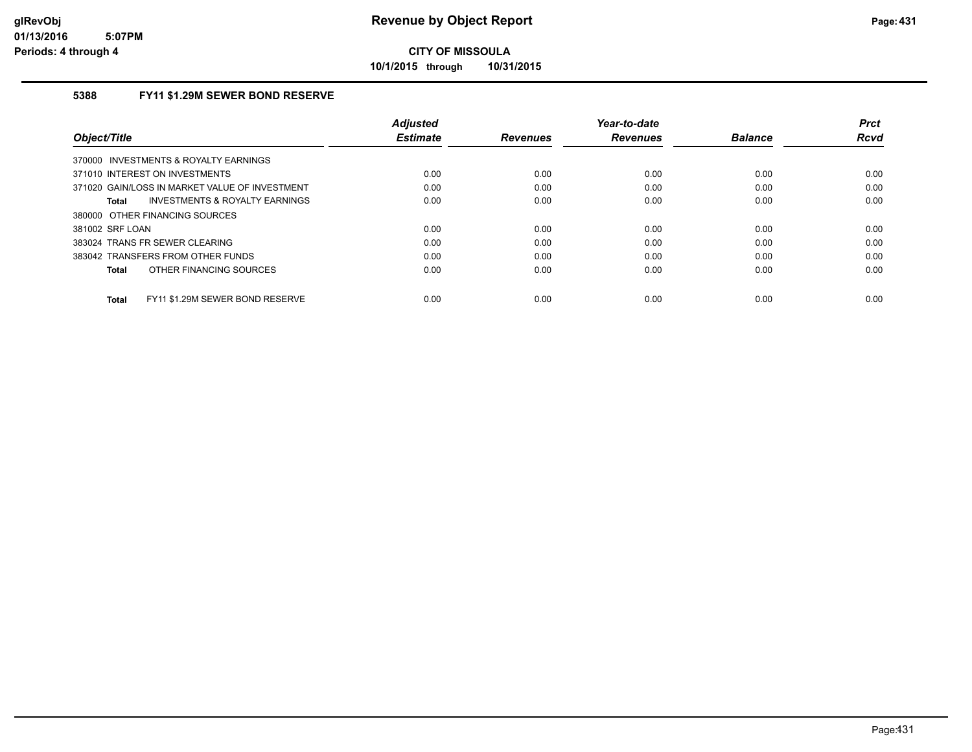**10/1/2015 through 10/31/2015**

## **5388 FY11 \$1.29M SEWER BOND RESERVE**

| Object/Title                                   | <b>Adjusted</b><br><b>Estimate</b> | <b>Revenues</b> | Year-to-date<br><b>Revenues</b> | <b>Balance</b> | <b>Prct</b><br>Rcvd |
|------------------------------------------------|------------------------------------|-----------------|---------------------------------|----------------|---------------------|
| INVESTMENTS & ROYALTY EARNINGS<br>370000       |                                    |                 |                                 |                |                     |
| 371010 INTEREST ON INVESTMENTS                 | 0.00                               | 0.00            | 0.00                            | 0.00           | 0.00                |
| 371020 GAIN/LOSS IN MARKET VALUE OF INVESTMENT | 0.00                               | 0.00            | 0.00                            | 0.00           | 0.00                |
| INVESTMENTS & ROYALTY EARNINGS<br>Total        | 0.00                               | 0.00            | 0.00                            | 0.00           | 0.00                |
| 380000 OTHER FINANCING SOURCES                 |                                    |                 |                                 |                |                     |
| 381002 SRF LOAN                                | 0.00                               | 0.00            | 0.00                            | 0.00           | 0.00                |
| 383024 TRANS FR SEWER CLEARING                 | 0.00                               | 0.00            | 0.00                            | 0.00           | 0.00                |
| 383042 TRANSFERS FROM OTHER FUNDS              | 0.00                               | 0.00            | 0.00                            | 0.00           | 0.00                |
| OTHER FINANCING SOURCES<br>Total               | 0.00                               | 0.00            | 0.00                            | 0.00           | 0.00                |
| FY11 \$1.29M SEWER BOND RESERVE<br>Total       | 0.00                               | 0.00            | 0.00                            | 0.00           | 0.00                |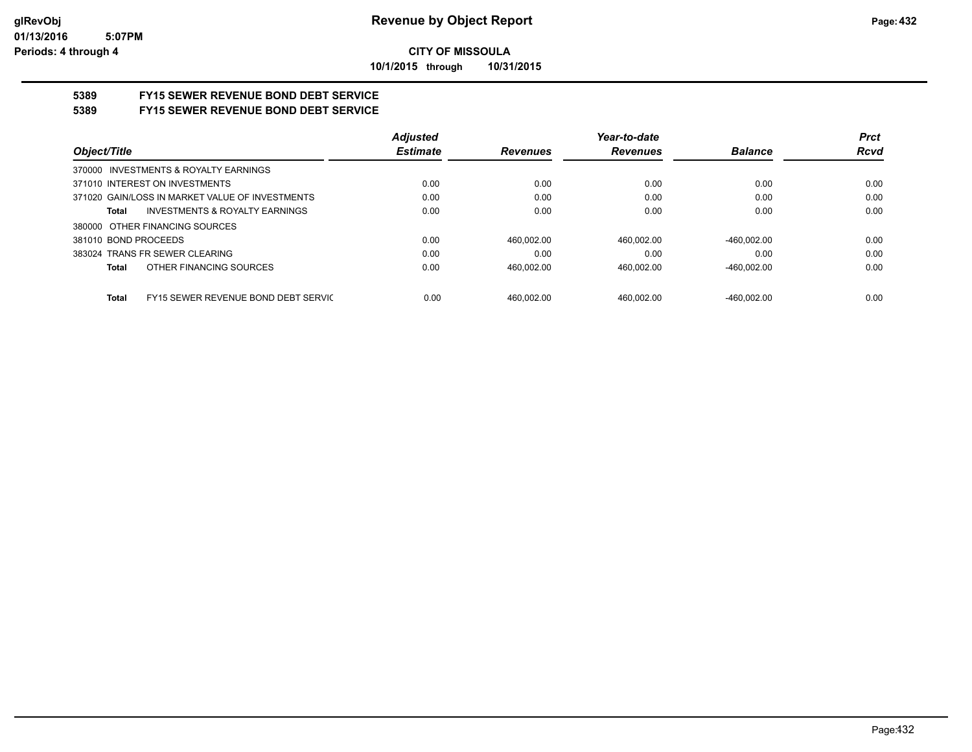**10/1/2015 through 10/31/2015**

# **5389 FY15 SEWER REVENUE BOND DEBT SERVICE**

## **5389 FY15 SEWER REVENUE BOND DEBT SERVICE**

|                                                 | <b>Adjusted</b> |                 | Year-to-date    |                | <b>Prct</b> |
|-------------------------------------------------|-----------------|-----------------|-----------------|----------------|-------------|
| Object/Title                                    | <b>Estimate</b> | <b>Revenues</b> | <b>Revenues</b> | <b>Balance</b> | <b>Rcvd</b> |
| 370000 INVESTMENTS & ROYALTY EARNINGS           |                 |                 |                 |                |             |
| 371010 INTEREST ON INVESTMENTS                  | 0.00            | 0.00            | 0.00            | 0.00           | 0.00        |
| 371020 GAIN/LOSS IN MARKET VALUE OF INVESTMENTS | 0.00            | 0.00            | 0.00            | 0.00           | 0.00        |
| INVESTMENTS & ROYALTY EARNINGS<br>Total         | 0.00            | 0.00            | 0.00            | 0.00           | 0.00        |
| 380000 OTHER FINANCING SOURCES                  |                 |                 |                 |                |             |
| 381010 BOND PROCEEDS                            | 0.00            | 460.002.00      | 460.002.00      | $-460.002.00$  | 0.00        |
| 383024 TRANS FR SEWER CLEARING                  | 0.00            | 0.00            | 0.00            | 0.00           | 0.00        |
| OTHER FINANCING SOURCES<br>Total                | 0.00            | 460.002.00      | 460.002.00      | $-460.002.00$  | 0.00        |
|                                                 |                 |                 |                 |                |             |
| FY15 SEWER REVENUE BOND DEBT SERVIC<br>Total    | 0.00            | 460.002.00      | 460.002.00      | $-460.002.00$  | 0.00        |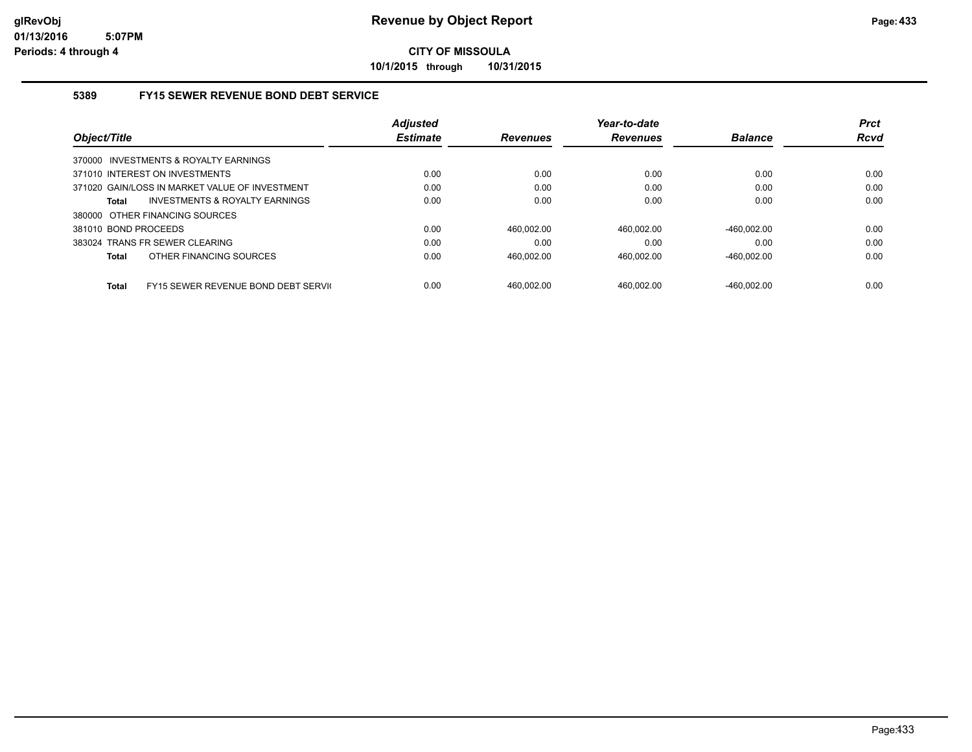**10/1/2015 through 10/31/2015**

#### **5389 FY15 SEWER REVENUE BOND DEBT SERVICE**

|                                                      | <b>Adjusted</b> |                 | Year-to-date    |                | <b>Prct</b> |
|------------------------------------------------------|-----------------|-----------------|-----------------|----------------|-------------|
| Object/Title                                         | <b>Estimate</b> | <b>Revenues</b> | <b>Revenues</b> | <b>Balance</b> | <b>Rcvd</b> |
| 370000 INVESTMENTS & ROYALTY EARNINGS                |                 |                 |                 |                |             |
| 371010 INTEREST ON INVESTMENTS                       | 0.00            | 0.00            | 0.00            | 0.00           | 0.00        |
| 371020 GAIN/LOSS IN MARKET VALUE OF INVESTMENT       | 0.00            | 0.00            | 0.00            | 0.00           | 0.00        |
| INVESTMENTS & ROYALTY EARNINGS<br>Total              | 0.00            | 0.00            | 0.00            | 0.00           | 0.00        |
| 380000 OTHER FINANCING SOURCES                       |                 |                 |                 |                |             |
| 381010 BOND PROCEEDS                                 | 0.00            | 460.002.00      | 460.002.00      | $-460.002.00$  | 0.00        |
| 383024 TRANS FR SEWER CLEARING                       | 0.00            | 0.00            | 0.00            | 0.00           | 0.00        |
| OTHER FINANCING SOURCES<br>Total                     | 0.00            | 460.002.00      | 460.002.00      | $-460.002.00$  | 0.00        |
| <b>FY15 SEWER REVENUE BOND DEBT SERVICE</b><br>Total | 0.00            | 460.002.00      | 460.002.00      | -460.002.00    | 0.00        |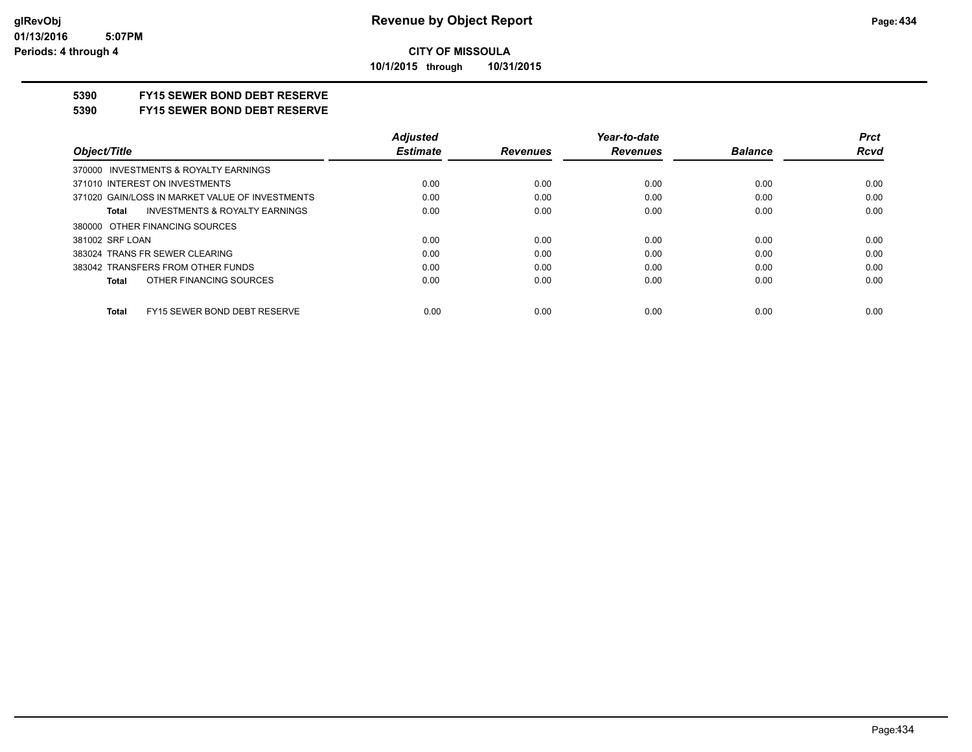**10/1/2015 through 10/31/2015**

# **5390 FY15 SEWER BOND DEBT RESERVE**

#### **5390 FY15 SEWER BOND DEBT RESERVE**

|                                                    | <b>Adjusted</b> |                 | Year-to-date    |                | <b>Prct</b> |
|----------------------------------------------------|-----------------|-----------------|-----------------|----------------|-------------|
| Object/Title                                       | <b>Estimate</b> | <b>Revenues</b> | <b>Revenues</b> | <b>Balance</b> | <b>Rcvd</b> |
| 370000 INVESTMENTS & ROYALTY EARNINGS              |                 |                 |                 |                |             |
| 371010 INTEREST ON INVESTMENTS                     | 0.00            | 0.00            | 0.00            | 0.00           | 0.00        |
| 371020 GAIN/LOSS IN MARKET VALUE OF INVESTMENTS    | 0.00            | 0.00            | 0.00            | 0.00           | 0.00        |
| <b>INVESTMENTS &amp; ROYALTY EARNINGS</b><br>Total | 0.00            | 0.00            | 0.00            | 0.00           | 0.00        |
| 380000 OTHER FINANCING SOURCES                     |                 |                 |                 |                |             |
| 381002 SRF LOAN                                    | 0.00            | 0.00            | 0.00            | 0.00           | 0.00        |
| 383024 TRANS FR SEWER CLEARING                     | 0.00            | 0.00            | 0.00            | 0.00           | 0.00        |
| 383042 TRANSFERS FROM OTHER FUNDS                  | 0.00            | 0.00            | 0.00            | 0.00           | 0.00        |
| OTHER FINANCING SOURCES<br>Total                   | 0.00            | 0.00            | 0.00            | 0.00           | 0.00        |
|                                                    |                 |                 |                 |                |             |
| FY15 SEWER BOND DEBT RESERVE<br><b>Total</b>       | 0.00            | 0.00            | 0.00            | 0.00           | 0.00        |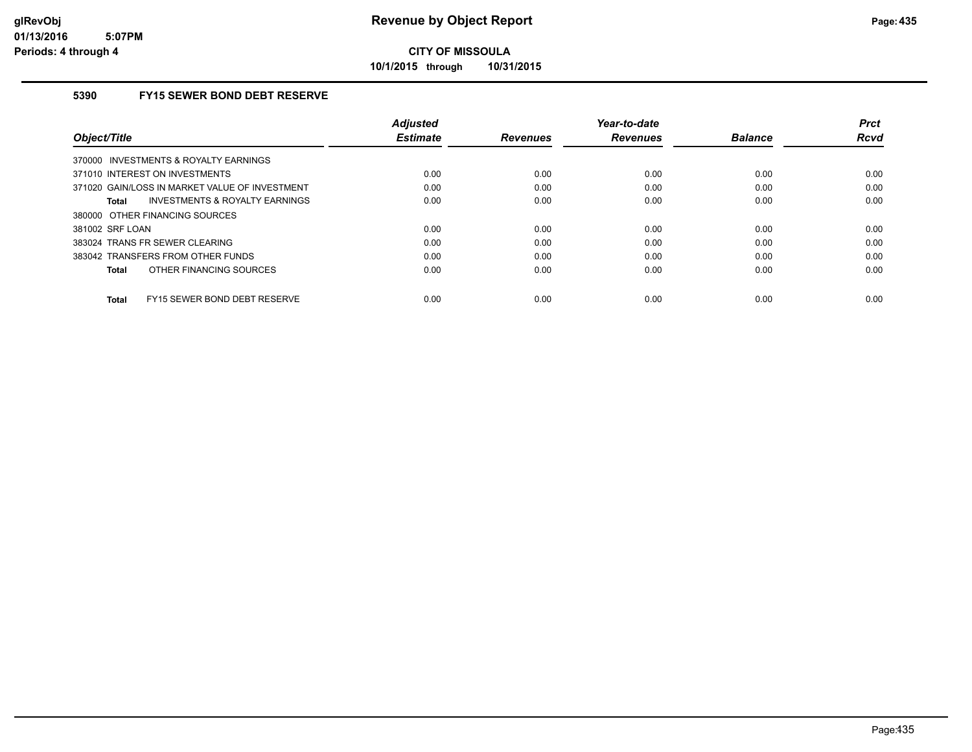**10/1/2015 through 10/31/2015**

# **5390 FY15 SEWER BOND DEBT RESERVE**

| Object/Title                                   | <b>Adjusted</b><br><b>Estimate</b> | <b>Revenues</b> | Year-to-date<br><b>Revenues</b> | <b>Balance</b> | <b>Prct</b><br>Rcvd |
|------------------------------------------------|------------------------------------|-----------------|---------------------------------|----------------|---------------------|
| 370000 INVESTMENTS & ROYALTY EARNINGS          |                                    |                 |                                 |                |                     |
| 371010 INTEREST ON INVESTMENTS                 | 0.00                               | 0.00            | 0.00                            | 0.00           | 0.00                |
| 371020 GAIN/LOSS IN MARKET VALUE OF INVESTMENT | 0.00                               | 0.00            | 0.00                            | 0.00           | 0.00                |
| INVESTMENTS & ROYALTY EARNINGS<br>Total        | 0.00                               | 0.00            | 0.00                            | 0.00           | 0.00                |
| 380000 OTHER FINANCING SOURCES                 |                                    |                 |                                 |                |                     |
| 381002 SRF LOAN                                | 0.00                               | 0.00            | 0.00                            | 0.00           | 0.00                |
| 383024 TRANS FR SEWER CLEARING                 | 0.00                               | 0.00            | 0.00                            | 0.00           | 0.00                |
| 383042 TRANSFERS FROM OTHER FUNDS              | 0.00                               | 0.00            | 0.00                            | 0.00           | 0.00                |
| OTHER FINANCING SOURCES<br>Total               | 0.00                               | 0.00            | 0.00                            | 0.00           | 0.00                |
| FY15 SEWER BOND DEBT RESERVE<br>Total          | 0.00                               | 0.00            | 0.00                            | 0.00           | 0.00                |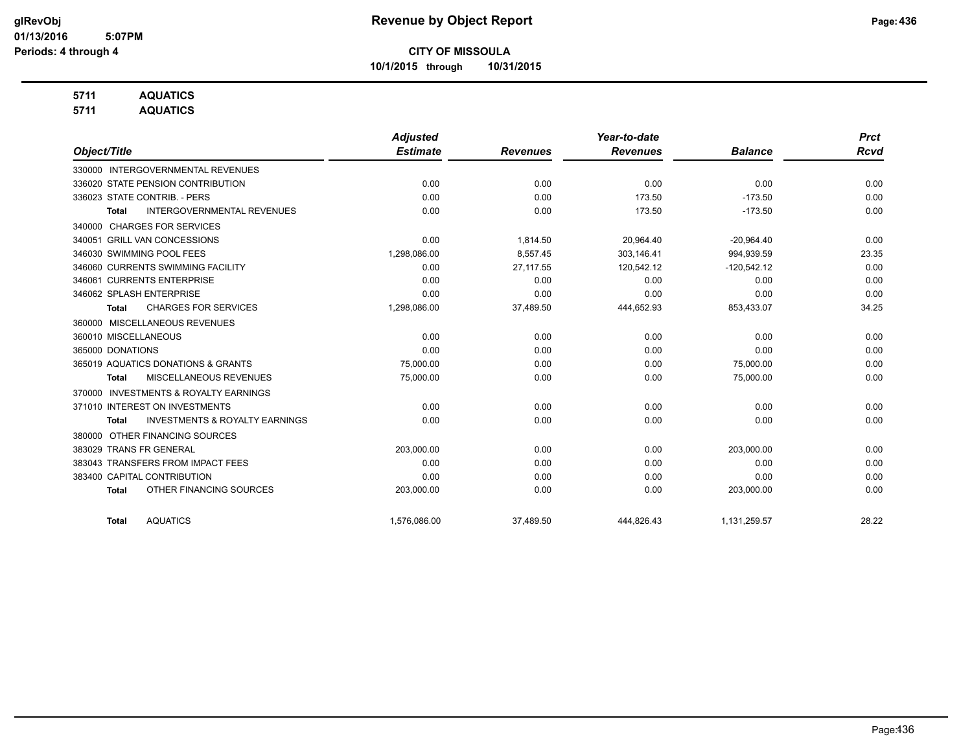**10/1/2015 through 10/31/2015**

# **5711 AQUATICS**

**5711 AQUATICS**

|                                                           | <b>Adjusted</b> |                 | Year-to-date    |                | <b>Prct</b> |
|-----------------------------------------------------------|-----------------|-----------------|-----------------|----------------|-------------|
| Object/Title                                              | <b>Estimate</b> | <b>Revenues</b> | <b>Revenues</b> | <b>Balance</b> | <b>Rcvd</b> |
| 330000 INTERGOVERNMENTAL REVENUES                         |                 |                 |                 |                |             |
| 336020 STATE PENSION CONTRIBUTION                         | 0.00            | 0.00            | 0.00            | 0.00           | 0.00        |
| 336023 STATE CONTRIB. - PERS                              | 0.00            | 0.00            | 173.50          | $-173.50$      | 0.00        |
| <b>INTERGOVERNMENTAL REVENUES</b><br>Total                | 0.00            | 0.00            | 173.50          | $-173.50$      | 0.00        |
| <b>CHARGES FOR SERVICES</b><br>340000                     |                 |                 |                 |                |             |
| 340051 GRILL VAN CONCESSIONS                              | 0.00            | 1,814.50        | 20,964.40       | $-20,964.40$   | 0.00        |
| 346030 SWIMMING POOL FEES                                 | 1,298,086.00    | 8,557.45        | 303,146.41      | 994,939.59     | 23.35       |
| 346060 CURRENTS SWIMMING FACILITY                         | 0.00            | 27,117.55       | 120,542.12      | $-120,542.12$  | 0.00        |
| 346061 CURRENTS ENTERPRISE                                | 0.00            | 0.00            | 0.00            | 0.00           | 0.00        |
| 346062 SPLASH ENTERPRISE                                  | 0.00            | 0.00            | 0.00            | 0.00           | 0.00        |
| <b>CHARGES FOR SERVICES</b><br><b>Total</b>               | 1,298,086.00    | 37,489.50       | 444,652.93      | 853,433.07     | 34.25       |
| 360000 MISCELLANEOUS REVENUES                             |                 |                 |                 |                |             |
| 360010 MISCELLANEOUS                                      | 0.00            | 0.00            | 0.00            | 0.00           | 0.00        |
| 365000 DONATIONS                                          | 0.00            | 0.00            | 0.00            | 0.00           | 0.00        |
| 365019 AQUATICS DONATIONS & GRANTS                        | 75,000.00       | 0.00            | 0.00            | 75,000.00      | 0.00        |
| MISCELLANEOUS REVENUES<br>Total                           | 75,000.00       | 0.00            | 0.00            | 75,000.00      | 0.00        |
| <b>INVESTMENTS &amp; ROYALTY EARNINGS</b><br>370000       |                 |                 |                 |                |             |
| 371010 INTEREST ON INVESTMENTS                            | 0.00            | 0.00            | 0.00            | 0.00           | 0.00        |
| <b>INVESTMENTS &amp; ROYALTY EARNINGS</b><br><b>Total</b> | 0.00            | 0.00            | 0.00            | 0.00           | 0.00        |
| OTHER FINANCING SOURCES<br>380000                         |                 |                 |                 |                |             |
| 383029 TRANS FR GENERAL                                   | 203,000.00      | 0.00            | 0.00            | 203,000.00     | 0.00        |
| 383043 TRANSFERS FROM IMPACT FEES                         | 0.00            | 0.00            | 0.00            | 0.00           | 0.00        |
| 383400 CAPITAL CONTRIBUTION                               | 0.00            | 0.00            | 0.00            | 0.00           | 0.00        |
| OTHER FINANCING SOURCES<br><b>Total</b>                   | 203,000.00      | 0.00            | 0.00            | 203,000.00     | 0.00        |
| <b>AQUATICS</b><br><b>Total</b>                           | 1,576,086.00    | 37,489.50       | 444,826.43      | 1,131,259.57   | 28.22       |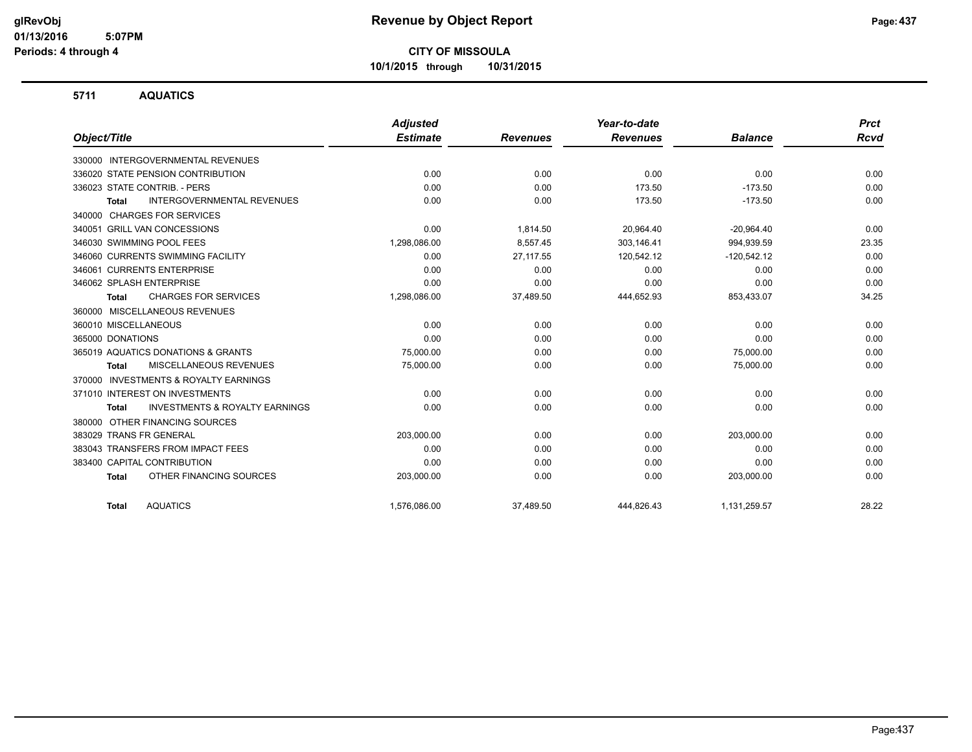**10/1/2015 through 10/31/2015**

#### **5711 AQUATICS**

|                                                           | <b>Adjusted</b> |                 | Year-to-date    |                | <b>Prct</b> |
|-----------------------------------------------------------|-----------------|-----------------|-----------------|----------------|-------------|
| Object/Title                                              | <b>Estimate</b> | <b>Revenues</b> | <b>Revenues</b> | <b>Balance</b> | <b>Rcvd</b> |
| 330000 INTERGOVERNMENTAL REVENUES                         |                 |                 |                 |                |             |
| 336020 STATE PENSION CONTRIBUTION                         | 0.00            | 0.00            | 0.00            | 0.00           | 0.00        |
| 336023 STATE CONTRIB. - PERS                              | 0.00            | 0.00            | 173.50          | $-173.50$      | 0.00        |
| <b>INTERGOVERNMENTAL REVENUES</b><br><b>Total</b>         | 0.00            | 0.00            | 173.50          | $-173.50$      | 0.00        |
| <b>CHARGES FOR SERVICES</b><br>340000                     |                 |                 |                 |                |             |
| 340051 GRILL VAN CONCESSIONS                              | 0.00            | 1,814.50        | 20,964.40       | $-20,964.40$   | 0.00        |
| 346030 SWIMMING POOL FEES                                 | 1,298,086.00    | 8,557.45        | 303,146.41      | 994,939.59     | 23.35       |
| 346060 CURRENTS SWIMMING FACILITY                         | 0.00            | 27,117.55       | 120,542.12      | $-120,542.12$  | 0.00        |
| 346061 CURRENTS ENTERPRISE                                | 0.00            | 0.00            | 0.00            | 0.00           | 0.00        |
| 346062 SPLASH ENTERPRISE                                  | 0.00            | 0.00            | 0.00            | 0.00           | 0.00        |
| <b>CHARGES FOR SERVICES</b><br><b>Total</b>               | 1,298,086.00    | 37,489.50       | 444,652.93      | 853,433.07     | 34.25       |
| MISCELLANEOUS REVENUES<br>360000                          |                 |                 |                 |                |             |
| 360010 MISCELLANEOUS                                      | 0.00            | 0.00            | 0.00            | 0.00           | 0.00        |
| 365000 DONATIONS                                          | 0.00            | 0.00            | 0.00            | 0.00           | 0.00        |
| 365019 AQUATICS DONATIONS & GRANTS                        | 75.000.00       | 0.00            | 0.00            | 75,000.00      | 0.00        |
| MISCELLANEOUS REVENUES<br><b>Total</b>                    | 75,000.00       | 0.00            | 0.00            | 75,000.00      | 0.00        |
| <b>INVESTMENTS &amp; ROYALTY EARNINGS</b><br>370000       |                 |                 |                 |                |             |
| 371010 INTEREST ON INVESTMENTS                            | 0.00            | 0.00            | 0.00            | 0.00           | 0.00        |
| <b>INVESTMENTS &amp; ROYALTY EARNINGS</b><br><b>Total</b> | 0.00            | 0.00            | 0.00            | 0.00           | 0.00        |
| OTHER FINANCING SOURCES<br>380000                         |                 |                 |                 |                |             |
| 383029 TRANS FR GENERAL                                   | 203,000.00      | 0.00            | 0.00            | 203,000.00     | 0.00        |
| 383043 TRANSFERS FROM IMPACT FEES                         | 0.00            | 0.00            | 0.00            | 0.00           | 0.00        |
| 383400 CAPITAL CONTRIBUTION                               | 0.00            | 0.00            | 0.00            | 0.00           | 0.00        |
| OTHER FINANCING SOURCES<br><b>Total</b>                   | 203,000.00      | 0.00            | 0.00            | 203,000.00     | 0.00        |
| <b>AQUATICS</b><br><b>Total</b>                           | 1,576,086.00    | 37,489.50       | 444,826.43      | 1,131,259.57   | 28.22       |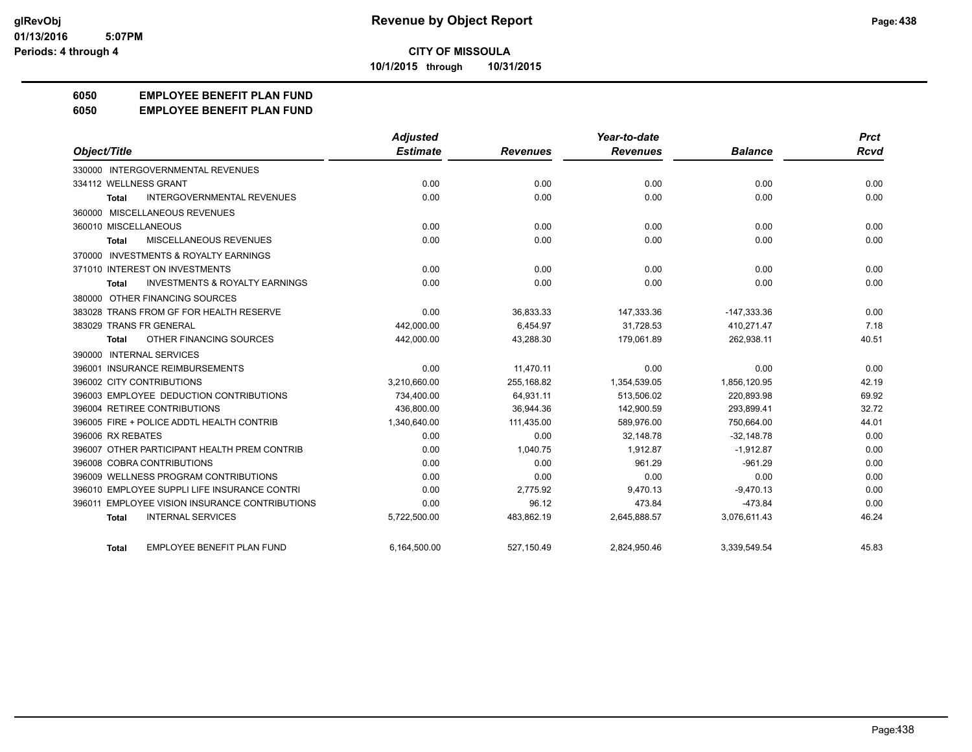**10/1/2015 through 10/31/2015**

# **6050 EMPLOYEE BENEFIT PLAN FUND**

#### **6050 EMPLOYEE BENEFIT PLAN FUND**

|                                                    | <b>Adjusted</b> |                 | Year-to-date    |                | <b>Prct</b> |
|----------------------------------------------------|-----------------|-----------------|-----------------|----------------|-------------|
| Object/Title                                       | <b>Estimate</b> | <b>Revenues</b> | <b>Revenues</b> | <b>Balance</b> | Rcvd        |
| 330000 INTERGOVERNMENTAL REVENUES                  |                 |                 |                 |                |             |
| 334112 WELLNESS GRANT                              | 0.00            | 0.00            | 0.00            | 0.00           | 0.00        |
| <b>INTERGOVERNMENTAL REVENUES</b><br><b>Total</b>  | 0.00            | 0.00            | 0.00            | 0.00           | 0.00        |
| 360000 MISCELLANEOUS REVENUES                      |                 |                 |                 |                |             |
| 360010 MISCELLANEOUS                               | 0.00            | 0.00            | 0.00            | 0.00           | 0.00        |
| MISCELLANEOUS REVENUES<br><b>Total</b>             | 0.00            | 0.00            | 0.00            | 0.00           | 0.00        |
| 370000 INVESTMENTS & ROYALTY EARNINGS              |                 |                 |                 |                |             |
| 371010 INTEREST ON INVESTMENTS                     | 0.00            | 0.00            | 0.00            | 0.00           | 0.00        |
| <b>INVESTMENTS &amp; ROYALTY EARNINGS</b><br>Total | 0.00            | 0.00            | 0.00            | 0.00           | 0.00        |
| 380000 OTHER FINANCING SOURCES                     |                 |                 |                 |                |             |
| 383028 TRANS FROM GF FOR HEALTH RESERVE            | 0.00            | 36.833.33       | 147,333.36      | $-147,333.36$  | 0.00        |
| 383029 TRANS FR GENERAL                            | 442,000.00      | 6,454.97        | 31,728.53       | 410,271.47     | 7.18        |
| OTHER FINANCING SOURCES<br><b>Total</b>            | 442,000.00      | 43,288.30       | 179,061.89      | 262,938.11     | 40.51       |
| 390000 INTERNAL SERVICES                           |                 |                 |                 |                |             |
| 396001 INSURANCE REIMBURSEMENTS                    | 0.00            | 11,470.11       | 0.00            | 0.00           | 0.00        |
| 396002 CITY CONTRIBUTIONS                          | 3,210,660.00    | 255,168.82      | 1,354,539.05    | 1,856,120.95   | 42.19       |
| 396003 EMPLOYEE DEDUCTION CONTRIBUTIONS            | 734,400.00      | 64.931.11       | 513.506.02      | 220.893.98     | 69.92       |
| 396004 RETIREE CONTRIBUTIONS                       | 436,800.00      | 36,944.36       | 142,900.59      | 293,899.41     | 32.72       |
| 396005 FIRE + POLICE ADDTL HEALTH CONTRIB          | 1,340,640.00    | 111,435.00      | 589,976.00      | 750,664.00     | 44.01       |
| 396006 RX REBATES                                  | 0.00            | 0.00            | 32.148.78       | $-32,148.78$   | 0.00        |
| 396007 OTHER PARTICIPANT HEALTH PREM CONTRIB       | 0.00            | 1,040.75        | 1,912.87        | $-1,912.87$    | 0.00        |
| 396008 COBRA CONTRIBUTIONS                         | 0.00            | 0.00            | 961.29          | $-961.29$      | 0.00        |
| 396009 WELLNESS PROGRAM CONTRIBUTIONS              | 0.00            | 0.00            | 0.00            | 0.00           | 0.00        |
| 396010 EMPLOYEE SUPPLI LIFE INSURANCE CONTRI       | 0.00            | 2.775.92        | 9,470.13        | $-9,470.13$    | 0.00        |
| 396011 EMPLOYEE VISION INSURANCE CONTRIBUTIONS     | 0.00            | 96.12           | 473.84          | $-473.84$      | 0.00        |
| <b>INTERNAL SERVICES</b><br><b>Total</b>           | 5,722,500.00    | 483,862.19      | 2,645,888.57    | 3,076,611.43   | 46.24       |
| <b>EMPLOYEE BENEFIT PLAN FUND</b><br>Total         | 6,164,500.00    | 527,150.49      | 2,824,950.46    | 3,339,549.54   | 45.83       |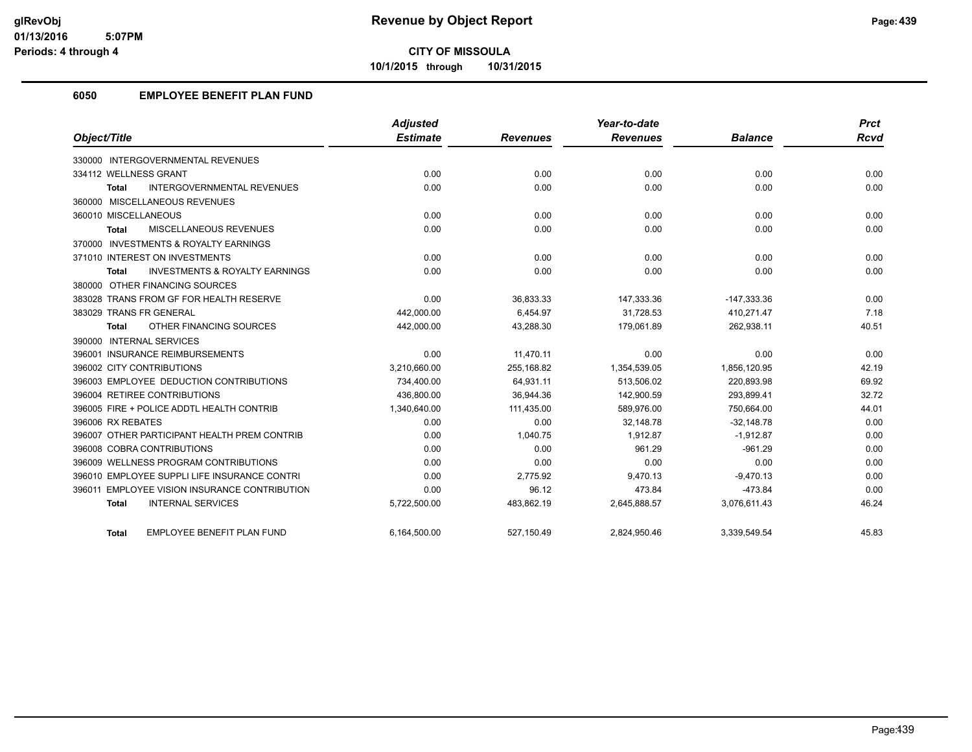**10/1/2015 through 10/31/2015**

# **6050 EMPLOYEE BENEFIT PLAN FUND**

|                                                    | <b>Adjusted</b> |                 | Year-to-date    |                | <b>Prct</b> |
|----------------------------------------------------|-----------------|-----------------|-----------------|----------------|-------------|
| Object/Title                                       | <b>Estimate</b> | <b>Revenues</b> | <b>Revenues</b> | <b>Balance</b> | <b>Rcvd</b> |
| 330000 INTERGOVERNMENTAL REVENUES                  |                 |                 |                 |                |             |
| 334112 WELLNESS GRANT                              | 0.00            | 0.00            | 0.00            | 0.00           | 0.00        |
| <b>INTERGOVERNMENTAL REVENUES</b><br>Total         | 0.00            | 0.00            | 0.00            | 0.00           | 0.00        |
| 360000 MISCELLANEOUS REVENUES                      |                 |                 |                 |                |             |
| 360010 MISCELLANEOUS                               | 0.00            | 0.00            | 0.00            | 0.00           | 0.00        |
| MISCELLANEOUS REVENUES<br>Total                    | 0.00            | 0.00            | 0.00            | 0.00           | 0.00        |
| 370000 INVESTMENTS & ROYALTY EARNINGS              |                 |                 |                 |                |             |
| 371010 INTEREST ON INVESTMENTS                     | 0.00            | 0.00            | 0.00            | 0.00           | 0.00        |
| <b>INVESTMENTS &amp; ROYALTY EARNINGS</b><br>Total | 0.00            | 0.00            | 0.00            | 0.00           | 0.00        |
| 380000 OTHER FINANCING SOURCES                     |                 |                 |                 |                |             |
| 383028 TRANS FROM GF FOR HEALTH RESERVE            | 0.00            | 36,833.33       | 147,333.36      | $-147,333.36$  | 0.00        |
| 383029 TRANS FR GENERAL                            | 442,000.00      | 6.454.97        | 31.728.53       | 410,271.47     | 7.18        |
| OTHER FINANCING SOURCES<br>Total                   | 442,000.00      | 43,288.30       | 179,061.89      | 262,938.11     | 40.51       |
| 390000 INTERNAL SERVICES                           |                 |                 |                 |                |             |
| 396001 INSURANCE REIMBURSEMENTS                    | 0.00            | 11,470.11       | 0.00            | 0.00           | 0.00        |
| 396002 CITY CONTRIBUTIONS                          | 3,210,660.00    | 255.168.82      | 1,354,539.05    | 1,856,120.95   | 42.19       |
| 396003 EMPLOYEE DEDUCTION CONTRIBUTIONS            | 734,400.00      | 64,931.11       | 513,506.02      | 220,893.98     | 69.92       |
| 396004 RETIREE CONTRIBUTIONS                       | 436,800.00      | 36,944.36       | 142,900.59      | 293,899.41     | 32.72       |
| 396005 FIRE + POLICE ADDTL HEALTH CONTRIB          | 1,340,640.00    | 111,435.00      | 589,976.00      | 750,664.00     | 44.01       |
| 396006 RX REBATES                                  | 0.00            | 0.00            | 32,148.78       | $-32,148.78$   | 0.00        |
| 396007 OTHER PARTICIPANT HEALTH PREM CONTRIB       | 0.00            | 1,040.75        | 1.912.87        | $-1,912.87$    | 0.00        |
| 396008 COBRA CONTRIBUTIONS                         | 0.00            | 0.00            | 961.29          | $-961.29$      | 0.00        |
| 396009 WELLNESS PROGRAM CONTRIBUTIONS              | 0.00            | 0.00            | 0.00            | 0.00           | 0.00        |
| 396010 EMPLOYEE SUPPLI LIFE INSURANCE CONTRI       | 0.00            | 2,775.92        | 9,470.13        | $-9,470.13$    | 0.00        |
| 396011 EMPLOYEE VISION INSURANCE CONTRIBUTION      | 0.00            | 96.12           | 473.84          | $-473.84$      | 0.00        |
| <b>INTERNAL SERVICES</b><br><b>Total</b>           | 5,722,500.00    | 483,862.19      | 2,645,888.57    | 3,076,611.43   | 46.24       |
| EMPLOYEE BENEFIT PLAN FUND<br>Total                | 6,164,500.00    | 527,150.49      | 2,824,950.46    | 3,339,549.54   | 45.83       |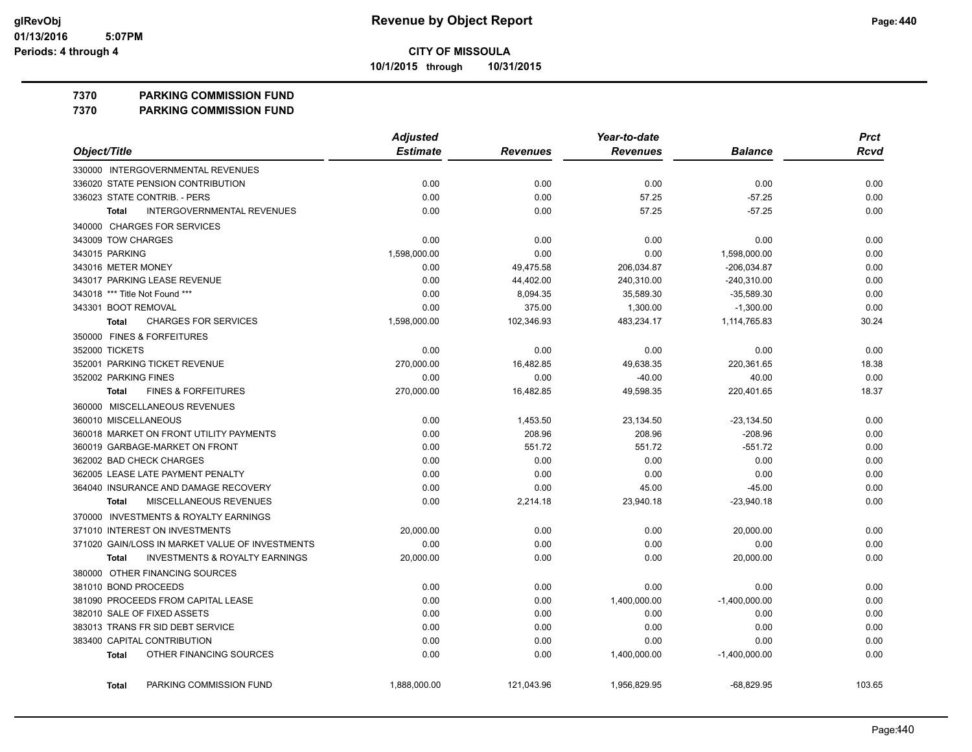**10/1/2015 through 10/31/2015**

#### **7370 PARKING COMMISSION FUND**

**7370 PARKING COMMISSION FUND**

|                                                           | <b>Adjusted</b> |                 | Year-to-date    |                 | <b>Prct</b> |
|-----------------------------------------------------------|-----------------|-----------------|-----------------|-----------------|-------------|
| Object/Title                                              | <b>Estimate</b> | <b>Revenues</b> | <b>Revenues</b> | <b>Balance</b>  | <b>Rcvd</b> |
| 330000 INTERGOVERNMENTAL REVENUES                         |                 |                 |                 |                 |             |
| 336020 STATE PENSION CONTRIBUTION                         | 0.00            | 0.00            | 0.00            | 0.00            | 0.00        |
| 336023 STATE CONTRIB. - PERS                              | 0.00            | 0.00            | 57.25           | $-57.25$        | 0.00        |
| <b>INTERGOVERNMENTAL REVENUES</b><br><b>Total</b>         | 0.00            | 0.00            | 57.25           | $-57.25$        | 0.00        |
| 340000 CHARGES FOR SERVICES                               |                 |                 |                 |                 |             |
| 343009 TOW CHARGES                                        | 0.00            | 0.00            | 0.00            | 0.00            | 0.00        |
| 343015 PARKING                                            | 1,598,000.00    | 0.00            | 0.00            | 1,598,000.00    | 0.00        |
| 343016 METER MONEY                                        | 0.00            | 49,475.58       | 206,034.87      | $-206,034.87$   | 0.00        |
| 343017 PARKING LEASE REVENUE                              | 0.00            | 44,402.00       | 240,310.00      | -240,310.00     | 0.00        |
| 343018 *** Title Not Found ***                            | 0.00            | 8,094.35        | 35,589.30       | $-35,589.30$    | 0.00        |
| 343301 BOOT REMOVAL                                       | 0.00            | 375.00          | 1,300.00        | $-1,300.00$     | 0.00        |
| <b>CHARGES FOR SERVICES</b><br><b>Total</b>               | 1,598,000.00    | 102,346.93      | 483,234.17      | 1,114,765.83    | 30.24       |
| 350000 FINES & FORFEITURES                                |                 |                 |                 |                 |             |
| 352000 TICKETS                                            | 0.00            | 0.00            | 0.00            | 0.00            | 0.00        |
| 352001 PARKING TICKET REVENUE                             | 270,000.00      | 16,482.85       | 49,638.35       | 220,361.65      | 18.38       |
| 352002 PARKING FINES                                      | 0.00            | 0.00            | $-40.00$        | 40.00           | 0.00        |
| <b>FINES &amp; FORFEITURES</b><br><b>Total</b>            | 270,000.00      | 16,482.85       | 49.598.35       | 220,401.65      | 18.37       |
| 360000 MISCELLANEOUS REVENUES                             |                 |                 |                 |                 |             |
| 360010 MISCELLANEOUS                                      | 0.00            | 1,453.50        | 23,134.50       | $-23, 134.50$   | 0.00        |
| 360018 MARKET ON FRONT UTILITY PAYMENTS                   | 0.00            | 208.96          | 208.96          | $-208.96$       | 0.00        |
| 360019 GARBAGE-MARKET ON FRONT                            | 0.00            | 551.72          | 551.72          | $-551.72$       | 0.00        |
| 362002 BAD CHECK CHARGES                                  | 0.00            | 0.00            | 0.00            | 0.00            | 0.00        |
| 362005 LEASE LATE PAYMENT PENALTY                         | 0.00            | 0.00            | 0.00            | 0.00            | 0.00        |
| 364040 INSURANCE AND DAMAGE RECOVERY                      | 0.00            | 0.00            | 45.00           | $-45.00$        | 0.00        |
| MISCELLANEOUS REVENUES<br><b>Total</b>                    | 0.00            | 2,214.18        | 23,940.18       | $-23,940.18$    | 0.00        |
| 370000 INVESTMENTS & ROYALTY EARNINGS                     |                 |                 |                 |                 |             |
| 371010 INTEREST ON INVESTMENTS                            | 20,000.00       | 0.00            | 0.00            | 20,000.00       | 0.00        |
| 371020 GAIN/LOSS IN MARKET VALUE OF INVESTMENTS           | 0.00            | 0.00            | 0.00            | 0.00            | 0.00        |
| <b>INVESTMENTS &amp; ROYALTY EARNINGS</b><br><b>Total</b> | 20,000.00       | 0.00            | 0.00            | 20,000.00       | 0.00        |
| 380000 OTHER FINANCING SOURCES                            |                 |                 |                 |                 |             |
| 381010 BOND PROCEEDS                                      | 0.00            | 0.00            | 0.00            | 0.00            | 0.00        |
| 381090 PROCEEDS FROM CAPITAL LEASE                        | 0.00            | 0.00            | 1,400,000.00    | $-1,400,000.00$ | 0.00        |
| 382010 SALE OF FIXED ASSETS                               | 0.00            | 0.00            | 0.00            | 0.00            | 0.00        |
| 383013 TRANS FR SID DEBT SERVICE                          | 0.00            | 0.00            | 0.00            | 0.00            | 0.00        |
| 383400 CAPITAL CONTRIBUTION                               | 0.00            | 0.00            | 0.00            | 0.00            | 0.00        |
| OTHER FINANCING SOURCES<br><b>Total</b>                   | 0.00            | 0.00            | 1,400,000.00    | $-1,400,000.00$ | 0.00        |
| PARKING COMMISSION FUND<br><b>Total</b>                   | 1,888,000.00    | 121,043.96      | 1,956,829.95    | $-68,829.95$    | 103.65      |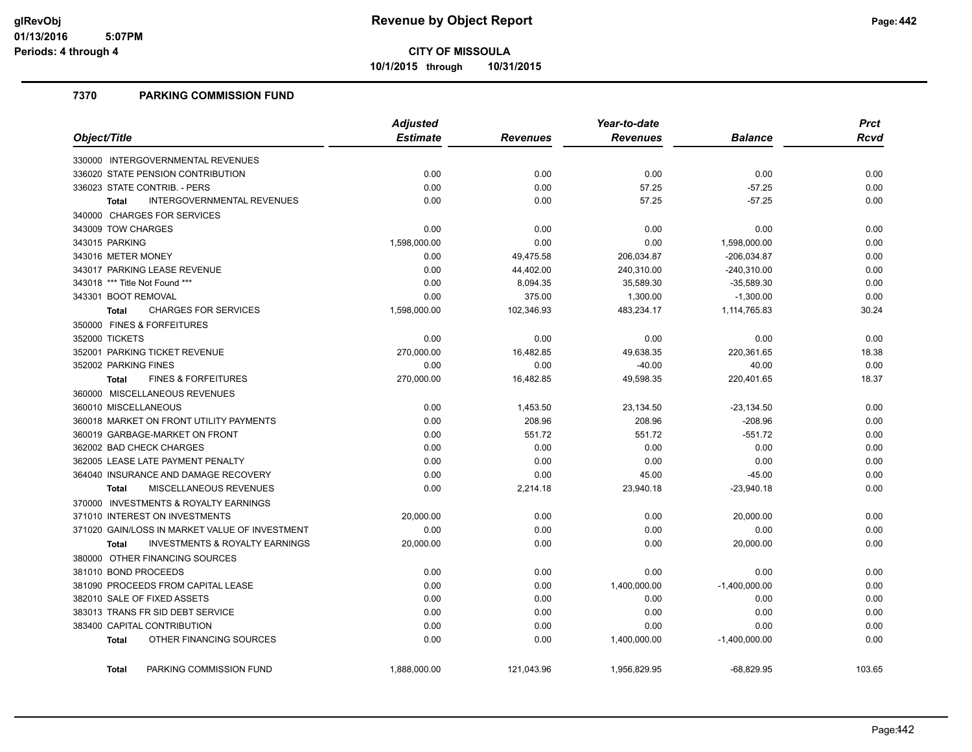**10/1/2015 through 10/31/2015**

## **7370 PARKING COMMISSION FUND**

|                                                           | <b>Adjusted</b> |                 | Year-to-date    |                 | <b>Prct</b> |
|-----------------------------------------------------------|-----------------|-----------------|-----------------|-----------------|-------------|
| Object/Title                                              | <b>Estimate</b> | <b>Revenues</b> | <b>Revenues</b> | <b>Balance</b>  | <b>Rcvd</b> |
| 330000 INTERGOVERNMENTAL REVENUES                         |                 |                 |                 |                 |             |
| 336020 STATE PENSION CONTRIBUTION                         | 0.00            | 0.00            | 0.00            | 0.00            | 0.00        |
| 336023 STATE CONTRIB. - PERS                              | 0.00            | 0.00            | 57.25           | $-57.25$        | 0.00        |
| <b>INTERGOVERNMENTAL REVENUES</b><br><b>Total</b>         | 0.00            | 0.00            | 57.25           | $-57.25$        | 0.00        |
| 340000 CHARGES FOR SERVICES                               |                 |                 |                 |                 |             |
| 343009 TOW CHARGES                                        | 0.00            | 0.00            | 0.00            | 0.00            | 0.00        |
| 343015 PARKING                                            | 1,598,000.00    | 0.00            | 0.00            | 1,598,000.00    | 0.00        |
| 343016 METER MONEY                                        | 0.00            | 49,475.58       | 206,034.87      | $-206,034.87$   | 0.00        |
| 343017 PARKING LEASE REVENUE                              | 0.00            | 44,402.00       | 240,310.00      | $-240,310.00$   | 0.00        |
| 343018 *** Title Not Found ***                            | 0.00            | 8,094.35        | 35,589.30       | $-35,589.30$    | 0.00        |
| 343301 BOOT REMOVAL                                       | 0.00            | 375.00          | 1,300.00        | $-1,300.00$     | 0.00        |
| <b>CHARGES FOR SERVICES</b><br><b>Total</b>               | 1,598,000.00    | 102,346.93      | 483,234.17      | 1,114,765.83    | 30.24       |
| 350000 FINES & FORFEITURES                                |                 |                 |                 |                 |             |
| 352000 TICKETS                                            | 0.00            | 0.00            | 0.00            | 0.00            | 0.00        |
| 352001 PARKING TICKET REVENUE                             | 270,000.00      | 16,482.85       | 49,638.35       | 220,361.65      | 18.38       |
| 352002 PARKING FINES                                      | 0.00            | 0.00            | $-40.00$        | 40.00           | 0.00        |
| <b>FINES &amp; FORFEITURES</b><br><b>Total</b>            | 270,000.00      | 16,482.85       | 49,598.35       | 220,401.65      | 18.37       |
| 360000 MISCELLANEOUS REVENUES                             |                 |                 |                 |                 |             |
| 360010 MISCELLANEOUS                                      | 0.00            | 1,453.50        | 23,134.50       | $-23,134.50$    | 0.00        |
| 360018 MARKET ON FRONT UTILITY PAYMENTS                   | 0.00            | 208.96          | 208.96          | $-208.96$       | 0.00        |
| 360019 GARBAGE-MARKET ON FRONT                            | 0.00            | 551.72          | 551.72          | $-551.72$       | 0.00        |
| 362002 BAD CHECK CHARGES                                  | 0.00            | 0.00            | 0.00            | 0.00            | 0.00        |
| 362005 LEASE LATE PAYMENT PENALTY                         | 0.00            | 0.00            | 0.00            | 0.00            | 0.00        |
| 364040 INSURANCE AND DAMAGE RECOVERY                      | 0.00            | 0.00            | 45.00           | $-45.00$        | 0.00        |
| <b>MISCELLANEOUS REVENUES</b><br><b>Total</b>             | 0.00            | 2,214.18        | 23,940.18       | $-23,940.18$    | 0.00        |
| 370000 INVESTMENTS & ROYALTY EARNINGS                     |                 |                 |                 |                 |             |
| 371010 INTEREST ON INVESTMENTS                            | 20,000.00       | 0.00            | 0.00            | 20,000.00       | 0.00        |
| 371020 GAIN/LOSS IN MARKET VALUE OF INVESTMENT            | 0.00            | 0.00            | 0.00            | 0.00            | 0.00        |
| <b>INVESTMENTS &amp; ROYALTY EARNINGS</b><br><b>Total</b> | 20,000.00       | 0.00            | 0.00            | 20,000.00       | 0.00        |
| 380000 OTHER FINANCING SOURCES                            |                 |                 |                 |                 |             |
| 381010 BOND PROCEEDS                                      | 0.00            | 0.00            | 0.00            | 0.00            | 0.00        |
| 381090 PROCEEDS FROM CAPITAL LEASE                        | 0.00            | 0.00            | 1,400,000.00    | $-1,400,000.00$ | 0.00        |
| 382010 SALE OF FIXED ASSETS                               | 0.00            | 0.00            | 0.00            | 0.00            | 0.00        |
| 383013 TRANS FR SID DEBT SERVICE                          | 0.00            | 0.00            | 0.00            | 0.00            | 0.00        |
| 383400 CAPITAL CONTRIBUTION                               | 0.00            | 0.00            | 0.00            | 0.00            | 0.00        |
| OTHER FINANCING SOURCES<br><b>Total</b>                   | 0.00            | 0.00            | 1,400,000.00    | $-1,400,000.00$ | 0.00        |
| PARKING COMMISSION FUND<br><b>Total</b>                   | 1,888,000.00    | 121,043.96      | 1,956,829.95    | $-68,829.95$    | 103.65      |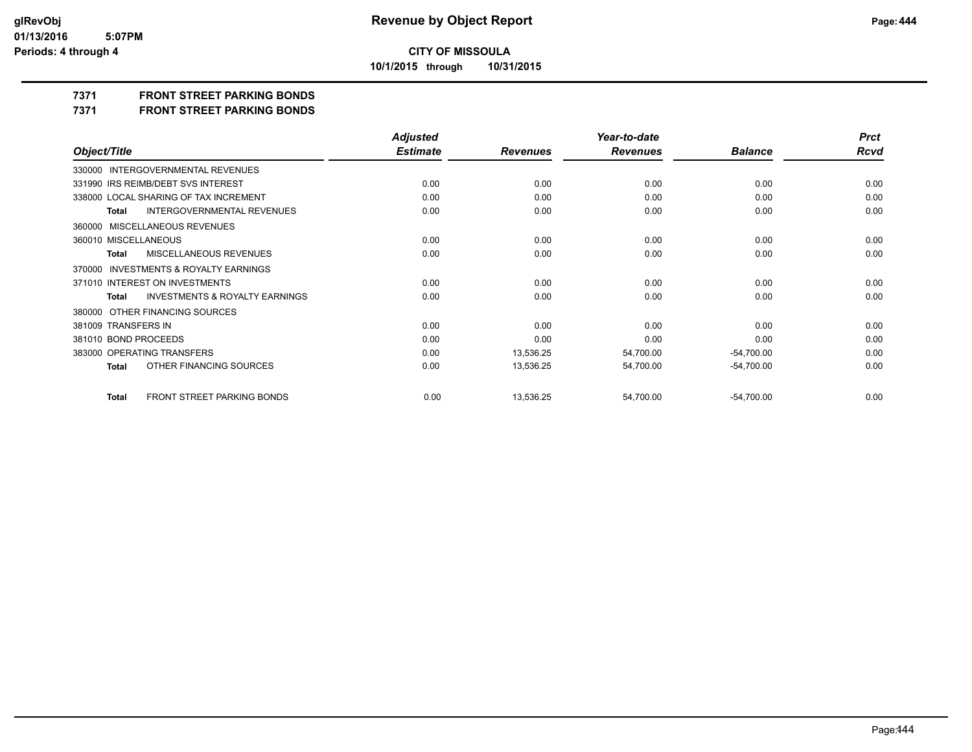**10/1/2015 through 10/31/2015**

# **7371 FRONT STREET PARKING BONDS**

**7371 FRONT STREET PARKING BONDS**

|                                                    | <b>Adjusted</b> |                 | Year-to-date    |                | <b>Prct</b> |
|----------------------------------------------------|-----------------|-----------------|-----------------|----------------|-------------|
| Object/Title                                       | <b>Estimate</b> | <b>Revenues</b> | <b>Revenues</b> | <b>Balance</b> | <b>Rcvd</b> |
| 330000 INTERGOVERNMENTAL REVENUES                  |                 |                 |                 |                |             |
| 331990 IRS REIMB/DEBT SVS INTEREST                 | 0.00            | 0.00            | 0.00            | 0.00           | 0.00        |
| 338000 LOCAL SHARING OF TAX INCREMENT              | 0.00            | 0.00            | 0.00            | 0.00           | 0.00        |
| <b>INTERGOVERNMENTAL REVENUES</b><br><b>Total</b>  | 0.00            | 0.00            | 0.00            | 0.00           | 0.00        |
| 360000 MISCELLANEOUS REVENUES                      |                 |                 |                 |                |             |
| 360010 MISCELLANEOUS                               | 0.00            | 0.00            | 0.00            | 0.00           | 0.00        |
| MISCELLANEOUS REVENUES<br><b>Total</b>             | 0.00            | 0.00            | 0.00            | 0.00           | 0.00        |
| INVESTMENTS & ROYALTY EARNINGS<br>370000           |                 |                 |                 |                |             |
| 371010 INTEREST ON INVESTMENTS                     | 0.00            | 0.00            | 0.00            | 0.00           | 0.00        |
| <b>INVESTMENTS &amp; ROYALTY EARNINGS</b><br>Total | 0.00            | 0.00            | 0.00            | 0.00           | 0.00        |
| 380000 OTHER FINANCING SOURCES                     |                 |                 |                 |                |             |
| 381009 TRANSFERS IN                                | 0.00            | 0.00            | 0.00            | 0.00           | 0.00        |
| 381010 BOND PROCEEDS                               | 0.00            | 0.00            | 0.00            | 0.00           | 0.00        |
| 383000 OPERATING TRANSFERS                         | 0.00            | 13,536.25       | 54,700.00       | $-54,700.00$   | 0.00        |
| OTHER FINANCING SOURCES<br><b>Total</b>            | 0.00            | 13,536.25       | 54,700.00       | $-54,700.00$   | 0.00        |
| FRONT STREET PARKING BONDS<br><b>Total</b>         | 0.00            | 13,536.25       | 54,700.00       | $-54,700.00$   | 0.00        |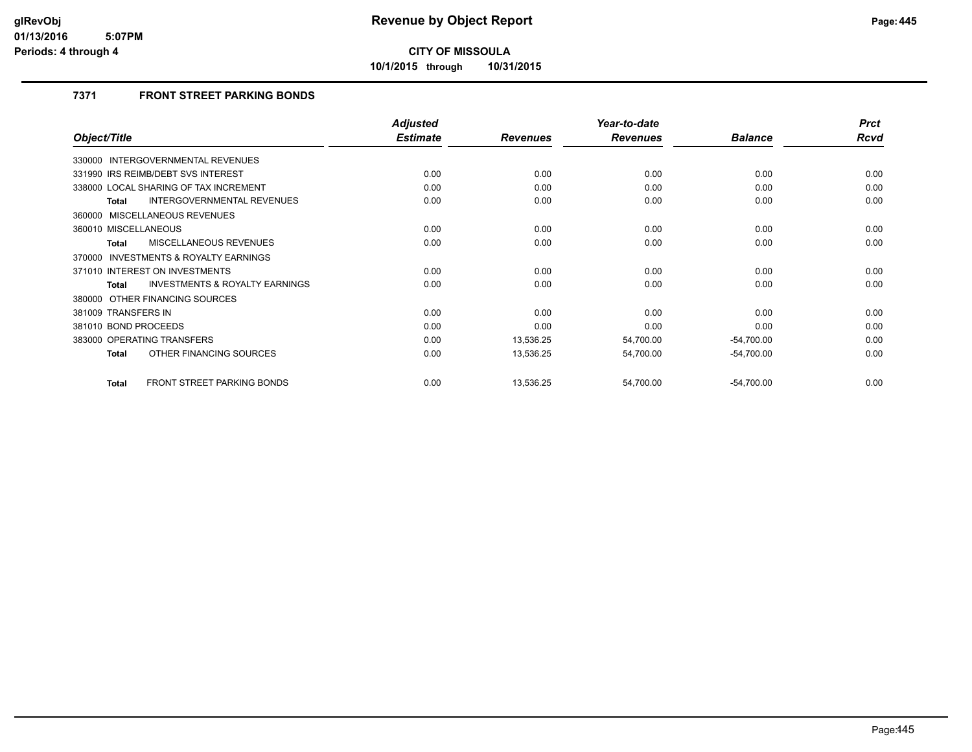**10/1/2015 through 10/31/2015**

# **7371 FRONT STREET PARKING BONDS**

|                                                     | <b>Adjusted</b> |                 | Year-to-date    |                | <b>Prct</b> |
|-----------------------------------------------------|-----------------|-----------------|-----------------|----------------|-------------|
| Object/Title                                        | <b>Estimate</b> | <b>Revenues</b> | <b>Revenues</b> | <b>Balance</b> | Rcvd        |
| <b>INTERGOVERNMENTAL REVENUES</b><br>330000         |                 |                 |                 |                |             |
| 331990 IRS REIMB/DEBT SVS INTEREST                  | 0.00            | 0.00            | 0.00            | 0.00           | 0.00        |
| 338000 LOCAL SHARING OF TAX INCREMENT               | 0.00            | 0.00            | 0.00            | 0.00           | 0.00        |
| <b>INTERGOVERNMENTAL REVENUES</b><br>Total          | 0.00            | 0.00            | 0.00            | 0.00           | 0.00        |
| 360000 MISCELLANEOUS REVENUES                       |                 |                 |                 |                |             |
| 360010 MISCELLANEOUS                                | 0.00            | 0.00            | 0.00            | 0.00           | 0.00        |
| MISCELLANEOUS REVENUES<br>Total                     | 0.00            | 0.00            | 0.00            | 0.00           | 0.00        |
| <b>INVESTMENTS &amp; ROYALTY EARNINGS</b><br>370000 |                 |                 |                 |                |             |
| 371010 INTEREST ON INVESTMENTS                      | 0.00            | 0.00            | 0.00            | 0.00           | 0.00        |
| <b>INVESTMENTS &amp; ROYALTY EARNINGS</b><br>Total  | 0.00            | 0.00            | 0.00            | 0.00           | 0.00        |
| 380000 OTHER FINANCING SOURCES                      |                 |                 |                 |                |             |
| 381009 TRANSFERS IN                                 | 0.00            | 0.00            | 0.00            | 0.00           | 0.00        |
| 381010 BOND PROCEEDS                                | 0.00            | 0.00            | 0.00            | 0.00           | 0.00        |
| 383000 OPERATING TRANSFERS                          | 0.00            | 13,536.25       | 54,700.00       | $-54,700.00$   | 0.00        |
| OTHER FINANCING SOURCES<br><b>Total</b>             | 0.00            | 13,536.25       | 54,700.00       | $-54,700.00$   | 0.00        |
| <b>FRONT STREET PARKING BONDS</b><br><b>Total</b>   | 0.00            | 13,536.25       | 54,700.00       | $-54,700.00$   | 0.00        |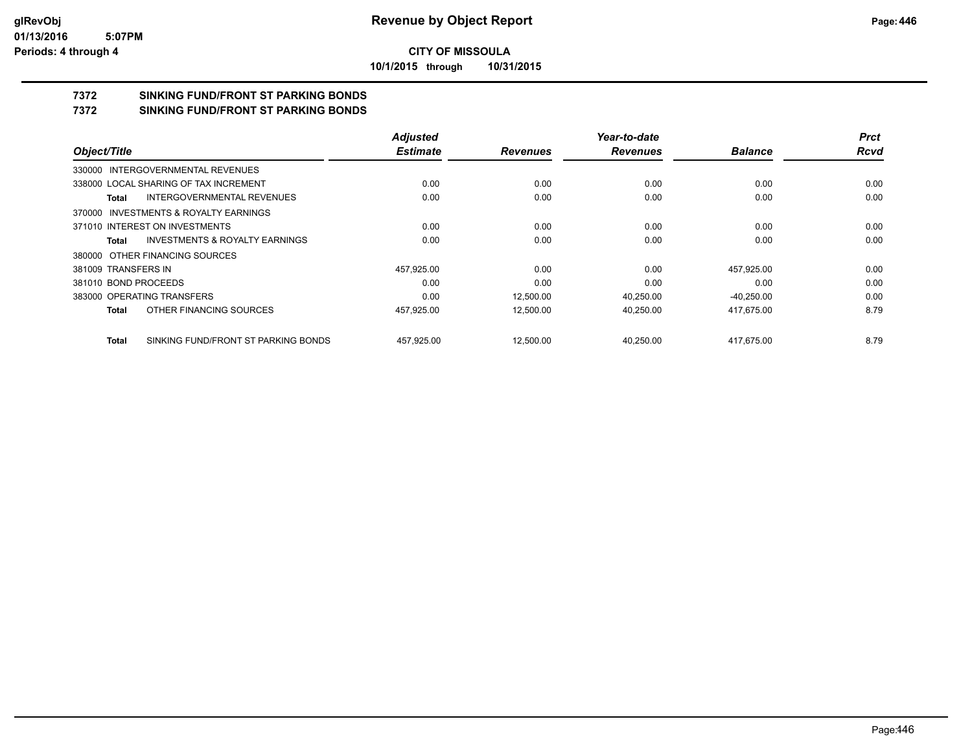**10/1/2015 through 10/31/2015**

# **7372 SINKING FUND/FRONT ST PARKING BONDS**

**7372 SINKING FUND/FRONT ST PARKING BONDS**

|                                                    | <b>Adjusted</b> |                 | Year-to-date    |                | <b>Prct</b> |
|----------------------------------------------------|-----------------|-----------------|-----------------|----------------|-------------|
| Object/Title                                       | <b>Estimate</b> | <b>Revenues</b> | <b>Revenues</b> | <b>Balance</b> | <b>Rcvd</b> |
| 330000 INTERGOVERNMENTAL REVENUES                  |                 |                 |                 |                |             |
| 338000 LOCAL SHARING OF TAX INCREMENT              | 0.00            | 0.00            | 0.00            | 0.00           | 0.00        |
| INTERGOVERNMENTAL REVENUES<br>Total                | 0.00            | 0.00            | 0.00            | 0.00           | 0.00        |
| 370000 INVESTMENTS & ROYALTY EARNINGS              |                 |                 |                 |                |             |
| 371010 INTEREST ON INVESTMENTS                     | 0.00            | 0.00            | 0.00            | 0.00           | 0.00        |
| <b>INVESTMENTS &amp; ROYALTY EARNINGS</b><br>Total | 0.00            | 0.00            | 0.00            | 0.00           | 0.00        |
| 380000 OTHER FINANCING SOURCES                     |                 |                 |                 |                |             |
| 381009 TRANSFERS IN                                | 457,925.00      | 0.00            | 0.00            | 457,925.00     | 0.00        |
| 381010 BOND PROCEEDS                               | 0.00            | 0.00            | 0.00            | 0.00           | 0.00        |
| 383000 OPERATING TRANSFERS                         | 0.00            | 12.500.00       | 40.250.00       | $-40,250.00$   | 0.00        |
| OTHER FINANCING SOURCES<br>Total                   | 457,925.00      | 12,500.00       | 40,250.00       | 417.675.00     | 8.79        |
| SINKING FUND/FRONT ST PARKING BONDS<br>Total       | 457.925.00      | 12.500.00       | 40.250.00       | 417.675.00     | 8.79        |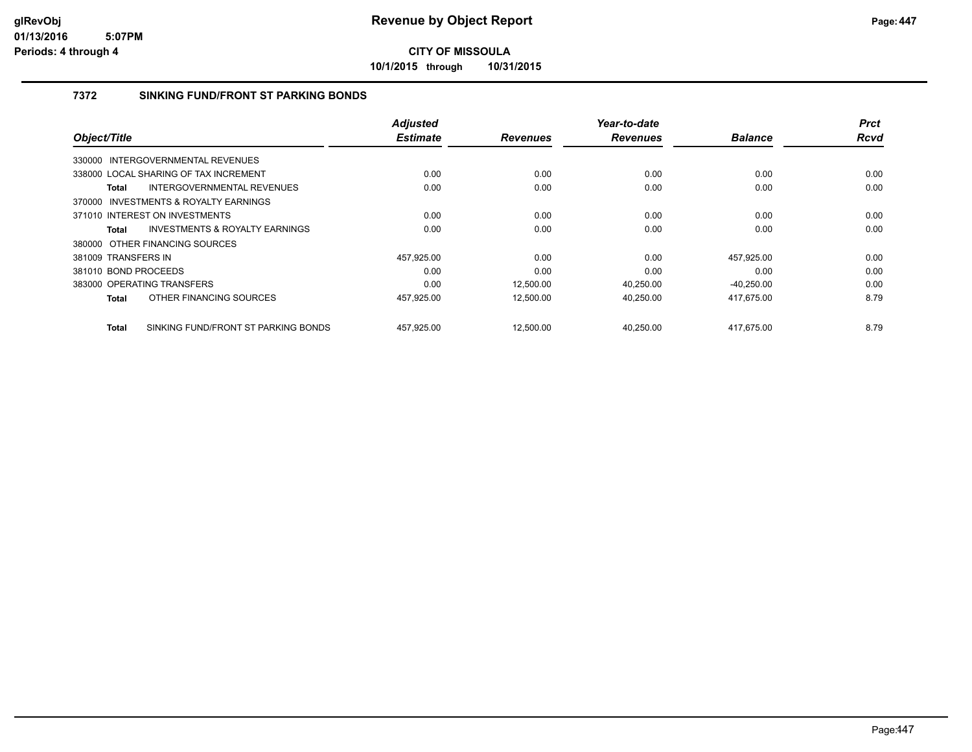**10/1/2015 through 10/31/2015**

### **7372 SINKING FUND/FRONT ST PARKING BONDS**

|                                                    | <b>Adjusted</b> |                 | Year-to-date    |                | <b>Prct</b> |
|----------------------------------------------------|-----------------|-----------------|-----------------|----------------|-------------|
| Object/Title                                       | <b>Estimate</b> | <b>Revenues</b> | <b>Revenues</b> | <b>Balance</b> | Rcvd        |
| 330000 INTERGOVERNMENTAL REVENUES                  |                 |                 |                 |                |             |
| 338000 LOCAL SHARING OF TAX INCREMENT              | 0.00            | 0.00            | 0.00            | 0.00           | 0.00        |
| INTERGOVERNMENTAL REVENUES<br>Total                | 0.00            | 0.00            | 0.00            | 0.00           | 0.00        |
| 370000 INVESTMENTS & ROYALTY EARNINGS              |                 |                 |                 |                |             |
| 371010 INTEREST ON INVESTMENTS                     | 0.00            | 0.00            | 0.00            | 0.00           | 0.00        |
| <b>INVESTMENTS &amp; ROYALTY EARNINGS</b><br>Total | 0.00            | 0.00            | 0.00            | 0.00           | 0.00        |
| 380000 OTHER FINANCING SOURCES                     |                 |                 |                 |                |             |
| 381009 TRANSFERS IN                                | 457,925.00      | 0.00            | 0.00            | 457,925.00     | 0.00        |
| 381010 BOND PROCEEDS                               | 0.00            | 0.00            | 0.00            | 0.00           | 0.00        |
| 383000 OPERATING TRANSFERS                         | 0.00            | 12,500.00       | 40,250.00       | $-40,250.00$   | 0.00        |
| OTHER FINANCING SOURCES<br>Total                   | 457,925.00      | 12,500.00       | 40,250.00       | 417,675.00     | 8.79        |
|                                                    |                 |                 |                 |                | 8.79        |
| SINKING FUND/FRONT ST PARKING BONDS<br>Total       | 457,925.00      | 12,500.00       | 40,250.00       | 417,675.00     |             |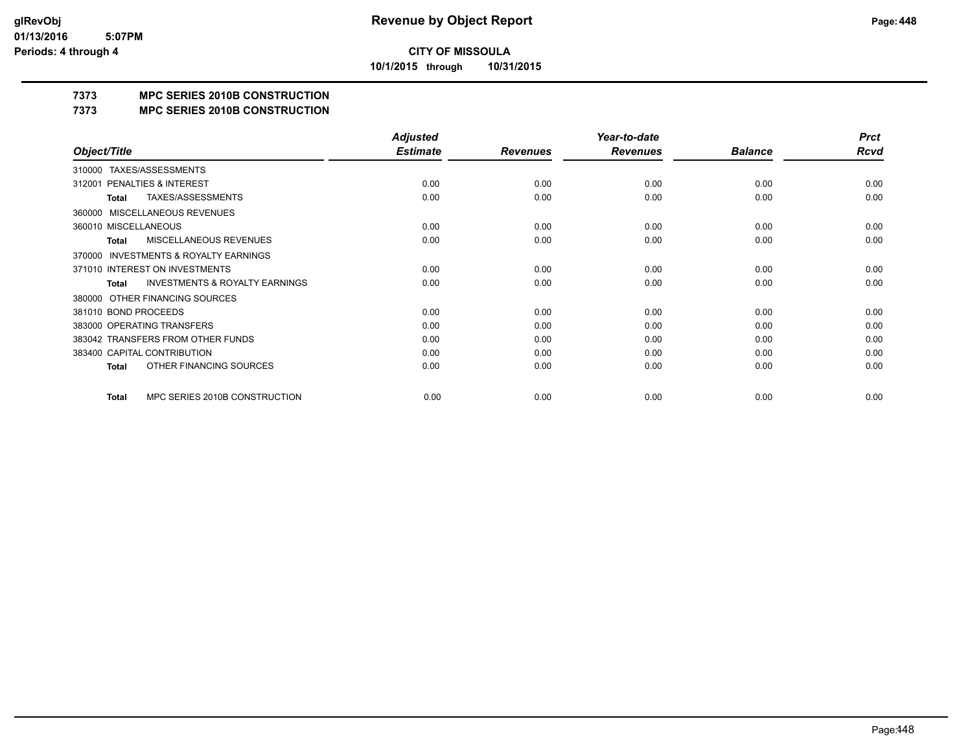**10/1/2015 through 10/31/2015**

# **7373 MPC SERIES 2010B CONSTRUCTION**

#### **7373 MPC SERIES 2010B CONSTRUCTION**

|                                                     | <b>Adjusted</b> |                 | Year-to-date    |                | <b>Prct</b> |
|-----------------------------------------------------|-----------------|-----------------|-----------------|----------------|-------------|
| Object/Title                                        | <b>Estimate</b> | <b>Revenues</b> | <b>Revenues</b> | <b>Balance</b> | <b>Rcvd</b> |
| TAXES/ASSESSMENTS<br>310000                         |                 |                 |                 |                |             |
| <b>PENALTIES &amp; INTEREST</b><br>312001           | 0.00            | 0.00            | 0.00            | 0.00           | 0.00        |
| <b>TAXES/ASSESSMENTS</b><br>Total                   | 0.00            | 0.00            | 0.00            | 0.00           | 0.00        |
| <b>MISCELLANEOUS REVENUES</b><br>360000             |                 |                 |                 |                |             |
| 360010 MISCELLANEOUS                                | 0.00            | 0.00            | 0.00            | 0.00           | 0.00        |
| MISCELLANEOUS REVENUES<br>Total                     | 0.00            | 0.00            | 0.00            | 0.00           | 0.00        |
| <b>INVESTMENTS &amp; ROYALTY EARNINGS</b><br>370000 |                 |                 |                 |                |             |
| 371010 INTEREST ON INVESTMENTS                      | 0.00            | 0.00            | 0.00            | 0.00           | 0.00        |
| <b>INVESTMENTS &amp; ROYALTY EARNINGS</b><br>Total  | 0.00            | 0.00            | 0.00            | 0.00           | 0.00        |
| OTHER FINANCING SOURCES<br>380000                   |                 |                 |                 |                |             |
| 381010 BOND PROCEEDS                                | 0.00            | 0.00            | 0.00            | 0.00           | 0.00        |
| 383000 OPERATING TRANSFERS                          | 0.00            | 0.00            | 0.00            | 0.00           | 0.00        |
| 383042 TRANSFERS FROM OTHER FUNDS                   | 0.00            | 0.00            | 0.00            | 0.00           | 0.00        |
| 383400 CAPITAL CONTRIBUTION                         | 0.00            | 0.00            | 0.00            | 0.00           | 0.00        |
| OTHER FINANCING SOURCES<br>Total                    | 0.00            | 0.00            | 0.00            | 0.00           | 0.00        |
| MPC SERIES 2010B CONSTRUCTION<br>Total              | 0.00            | 0.00            | 0.00            | 0.00           | 0.00        |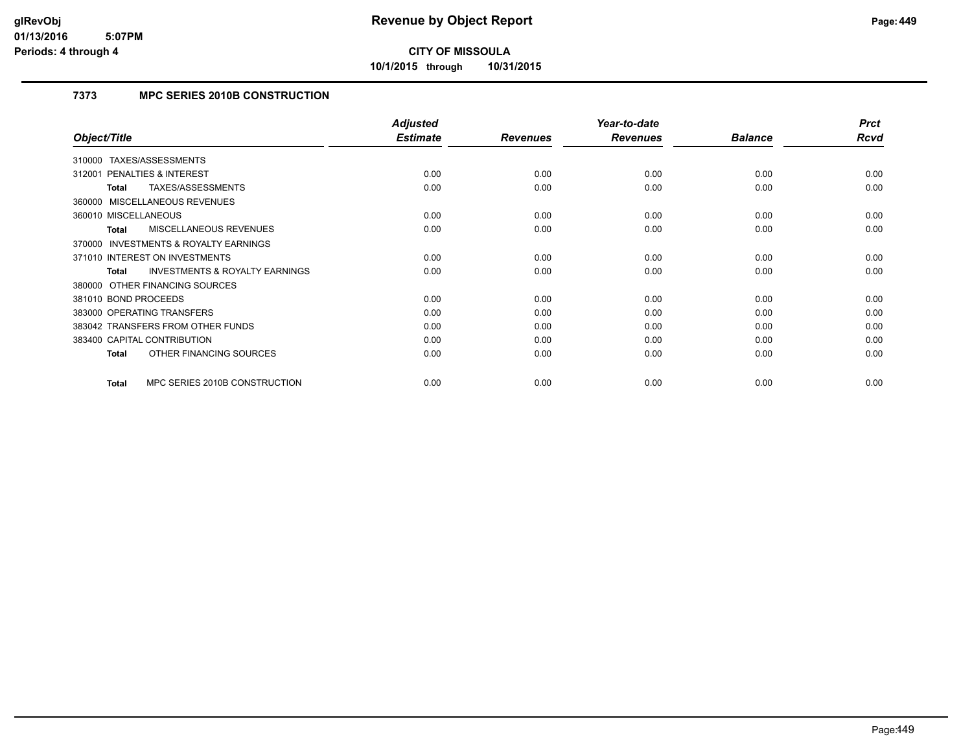**10/1/2015 through 10/31/2015**

# **7373 MPC SERIES 2010B CONSTRUCTION**

|                                                    | <b>Adjusted</b> |                 | Year-to-date    |                | <b>Prct</b> |
|----------------------------------------------------|-----------------|-----------------|-----------------|----------------|-------------|
| Object/Title                                       | <b>Estimate</b> | <b>Revenues</b> | <b>Revenues</b> | <b>Balance</b> | <b>Rcvd</b> |
| 310000 TAXES/ASSESSMENTS                           |                 |                 |                 |                |             |
| 312001 PENALTIES & INTEREST                        | 0.00            | 0.00            | 0.00            | 0.00           | 0.00        |
| TAXES/ASSESSMENTS<br>Total                         | 0.00            | 0.00            | 0.00            | 0.00           | 0.00        |
| 360000 MISCELLANEOUS REVENUES                      |                 |                 |                 |                |             |
| 360010 MISCELLANEOUS                               | 0.00            | 0.00            | 0.00            | 0.00           | 0.00        |
| MISCELLANEOUS REVENUES<br>Total                    | 0.00            | 0.00            | 0.00            | 0.00           | 0.00        |
| 370000 INVESTMENTS & ROYALTY EARNINGS              |                 |                 |                 |                |             |
| 371010 INTEREST ON INVESTMENTS                     | 0.00            | 0.00            | 0.00            | 0.00           | 0.00        |
| <b>INVESTMENTS &amp; ROYALTY EARNINGS</b><br>Total | 0.00            | 0.00            | 0.00            | 0.00           | 0.00        |
| 380000 OTHER FINANCING SOURCES                     |                 |                 |                 |                |             |
| 381010 BOND PROCEEDS                               | 0.00            | 0.00            | 0.00            | 0.00           | 0.00        |
| 383000 OPERATING TRANSFERS                         | 0.00            | 0.00            | 0.00            | 0.00           | 0.00        |
| 383042 TRANSFERS FROM OTHER FUNDS                  | 0.00            | 0.00            | 0.00            | 0.00           | 0.00        |
| 383400 CAPITAL CONTRIBUTION                        | 0.00            | 0.00            | 0.00            | 0.00           | 0.00        |
| OTHER FINANCING SOURCES<br>Total                   | 0.00            | 0.00            | 0.00            | 0.00           | 0.00        |
| MPC SERIES 2010B CONSTRUCTION<br>Total             | 0.00            | 0.00            | 0.00            | 0.00           | 0.00        |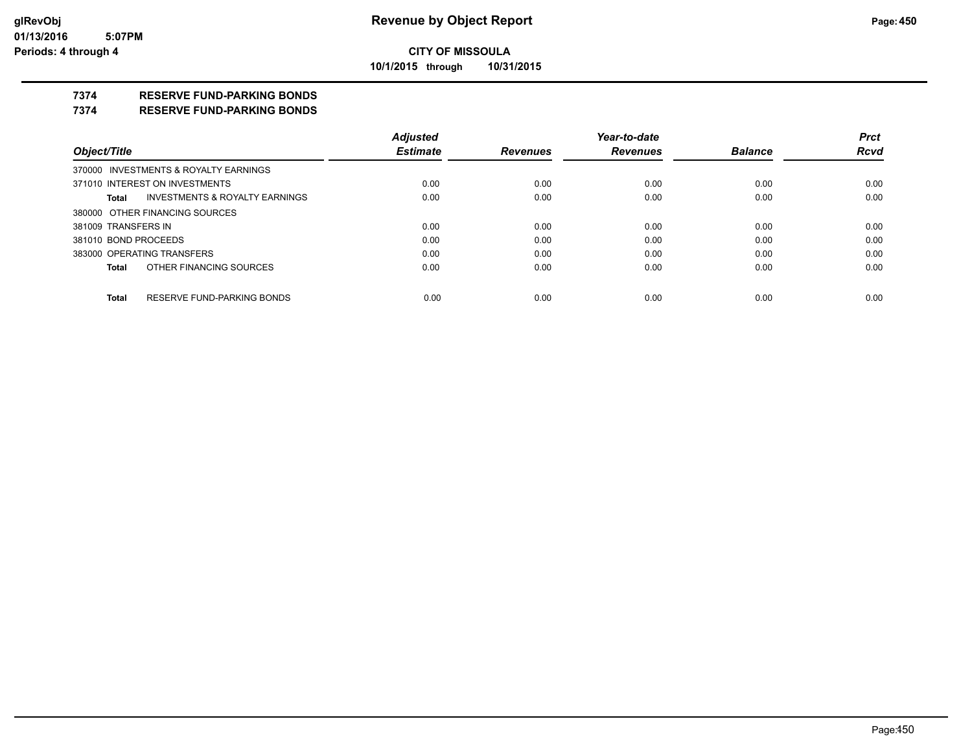#### **CITY OF MISSOULA 10/1/2015 through 10/31/2015**

#### **7374 RESERVE FUND-PARKING BONDS**

#### **7374 RESERVE FUND-PARKING BONDS**

|                      |                                       | <b>Adjusted</b> |                 | Year-to-date    |                | <b>Prct</b> |
|----------------------|---------------------------------------|-----------------|-----------------|-----------------|----------------|-------------|
| Object/Title         |                                       | <b>Estimate</b> | <b>Revenues</b> | <b>Revenues</b> | <b>Balance</b> | <b>Rcvd</b> |
|                      | 370000 INVESTMENTS & ROYALTY EARNINGS |                 |                 |                 |                |             |
|                      | 371010 INTEREST ON INVESTMENTS        | 0.00            | 0.00            | 0.00            | 0.00           | 0.00        |
| Total                | INVESTMENTS & ROYALTY EARNINGS        | 0.00            | 0.00            | 0.00            | 0.00           | 0.00        |
|                      | 380000 OTHER FINANCING SOURCES        |                 |                 |                 |                |             |
| 381009 TRANSFERS IN  |                                       | 0.00            | 0.00            | 0.00            | 0.00           | 0.00        |
| 381010 BOND PROCEEDS |                                       | 0.00            | 0.00            | 0.00            | 0.00           | 0.00        |
|                      | 383000 OPERATING TRANSFERS            | 0.00            | 0.00            | 0.00            | 0.00           | 0.00        |
| Total                | OTHER FINANCING SOURCES               | 0.00            | 0.00            | 0.00            | 0.00           | 0.00        |
|                      |                                       |                 |                 |                 |                |             |
| <b>Total</b>         | RESERVE FUND-PARKING BONDS            | 0.00            | 0.00            | 0.00            | 0.00           | 0.00        |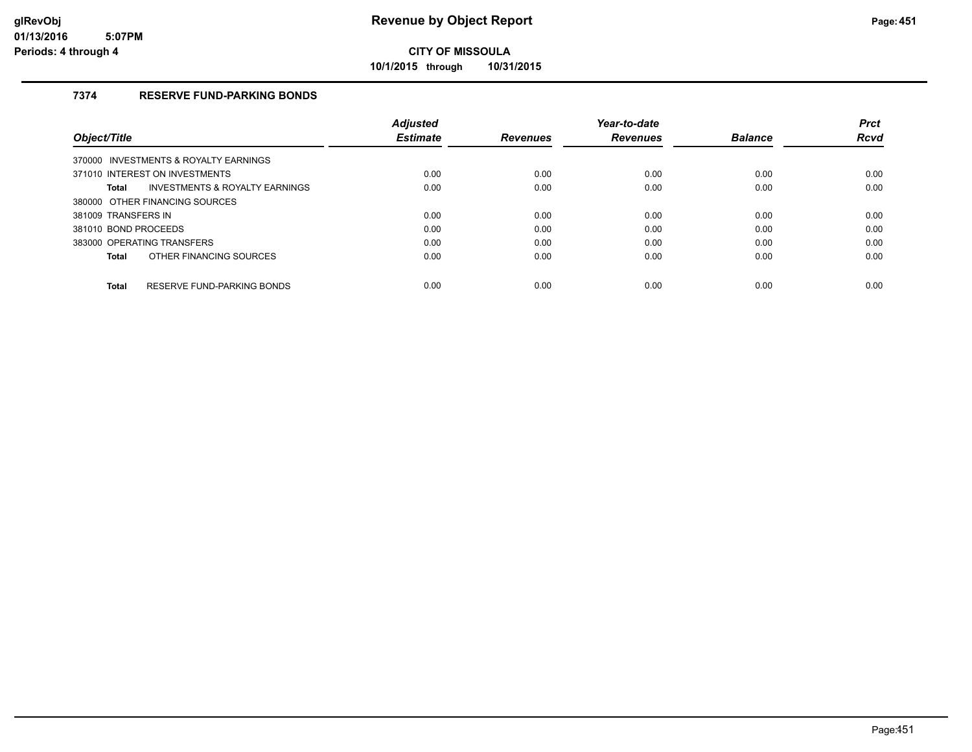**10/1/2015 through 10/31/2015**

## **7374 RESERVE FUND-PARKING BONDS**

|                                                    | <b>Adiusted</b> |                 | Year-to-date    |                | <b>Prct</b> |
|----------------------------------------------------|-----------------|-----------------|-----------------|----------------|-------------|
| Object/Title                                       | <b>Estimate</b> | <b>Revenues</b> | <b>Revenues</b> | <b>Balance</b> | <b>Rcvd</b> |
| 370000 INVESTMENTS & ROYALTY EARNINGS              |                 |                 |                 |                |             |
| 371010 INTEREST ON INVESTMENTS                     | 0.00            | 0.00            | 0.00            | 0.00           | 0.00        |
| <b>INVESTMENTS &amp; ROYALTY EARNINGS</b><br>Total | 0.00            | 0.00            | 0.00            | 0.00           | 0.00        |
| 380000 OTHER FINANCING SOURCES                     |                 |                 |                 |                |             |
| 381009 TRANSFERS IN                                | 0.00            | 0.00            | 0.00            | 0.00           | 0.00        |
| 381010 BOND PROCEEDS                               | 0.00            | 0.00            | 0.00            | 0.00           | 0.00        |
| 383000 OPERATING TRANSFERS                         | 0.00            | 0.00            | 0.00            | 0.00           | 0.00        |
| OTHER FINANCING SOURCES<br>Total                   | 0.00            | 0.00            | 0.00            | 0.00           | 0.00        |
| RESERVE FUND-PARKING BONDS<br><b>Total</b>         | 0.00            | 0.00            | 0.00            | 0.00           | 0.00        |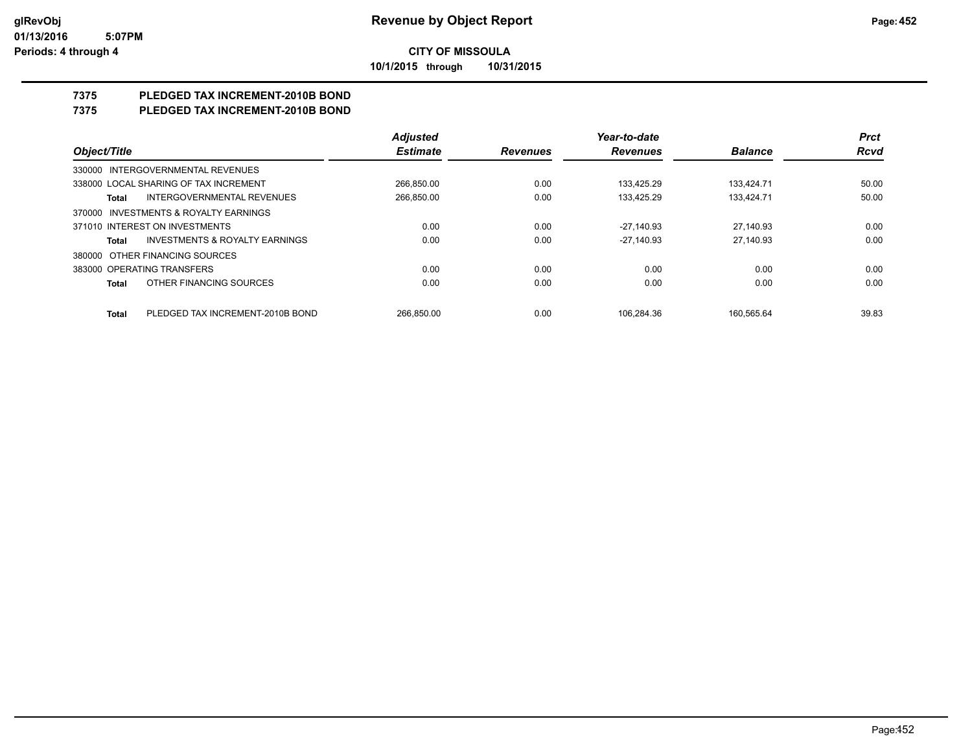**10/1/2015 through 10/31/2015**

# **7375 PLEDGED TAX INCREMENT-2010B BOND**

# **7375 PLEDGED TAX INCREMENT-2010B BOND**

|                                                    | <b>Adjusted</b> |                 | Year-to-date    |                | <b>Prct</b> |
|----------------------------------------------------|-----------------|-----------------|-----------------|----------------|-------------|
| Object/Title                                       | <b>Estimate</b> | <b>Revenues</b> | <b>Revenues</b> | <b>Balance</b> | <b>Rcvd</b> |
| INTERGOVERNMENTAL REVENUES<br>330000               |                 |                 |                 |                |             |
| 338000 LOCAL SHARING OF TAX INCREMENT              | 266,850.00      | 0.00            | 133,425.29      | 133,424.71     | 50.00       |
| <b>INTERGOVERNMENTAL REVENUES</b><br>Total         | 266.850.00      | 0.00            | 133.425.29      | 133.424.71     | 50.00       |
| INVESTMENTS & ROYALTY EARNINGS<br>370000           |                 |                 |                 |                |             |
| 371010 INTEREST ON INVESTMENTS                     | 0.00            | 0.00            | $-27,140.93$    | 27,140.93      | 0.00        |
| <b>INVESTMENTS &amp; ROYALTY EARNINGS</b><br>Total | 0.00            | 0.00            | $-27.140.93$    | 27.140.93      | 0.00        |
| OTHER FINANCING SOURCES<br>380000                  |                 |                 |                 |                |             |
| 383000 OPERATING TRANSFERS                         | 0.00            | 0.00            | 0.00            | 0.00           | 0.00        |
| OTHER FINANCING SOURCES<br>Total                   | 0.00            | 0.00            | 0.00            | 0.00           | 0.00        |
| PLEDGED TAX INCREMENT-2010B BOND<br><b>Total</b>   | 266.850.00      | 0.00            | 106.284.36      | 160.565.64     | 39.83       |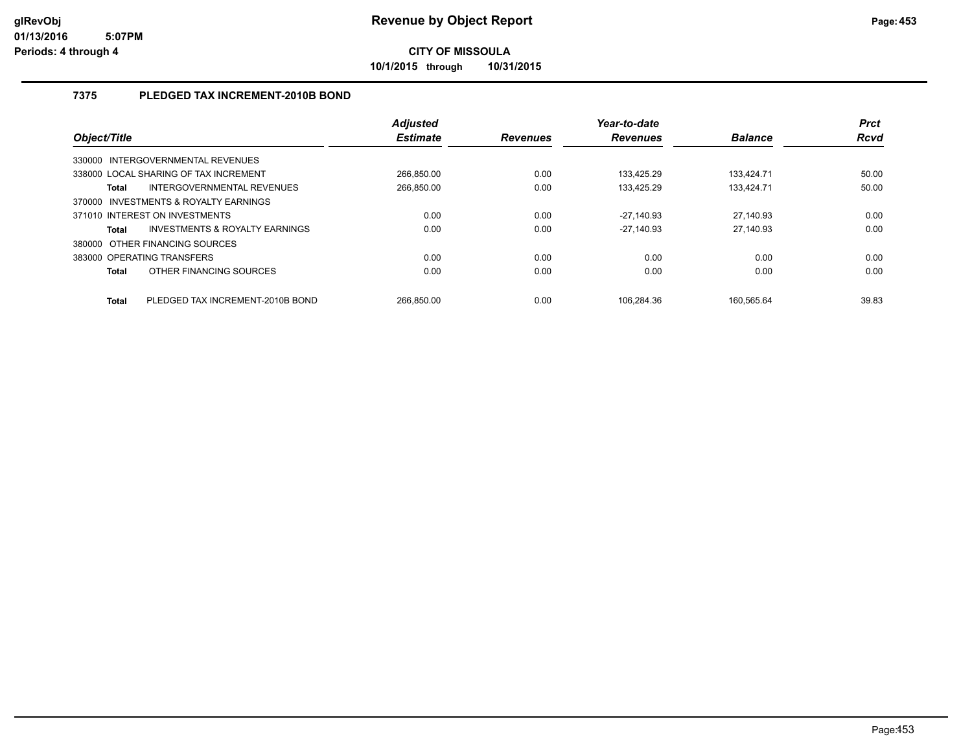**10/1/2015 through 10/31/2015**

## **7375 PLEDGED TAX INCREMENT-2010B BOND**

| Object/Title                   |                                           | <b>Adjusted</b><br><b>Estimate</b> | <b>Revenues</b> | Year-to-date<br><b>Revenues</b> | <b>Balance</b> | <b>Prct</b><br><b>Rcvd</b> |
|--------------------------------|-------------------------------------------|------------------------------------|-----------------|---------------------------------|----------------|----------------------------|
| 330000                         | INTERGOVERNMENTAL REVENUES                |                                    |                 |                                 |                |                            |
|                                | 338000 LOCAL SHARING OF TAX INCREMENT     | 266.850.00                         | 0.00            | 133.425.29                      | 133.424.71     | 50.00                      |
| Total                          | INTERGOVERNMENTAL REVENUES                | 266.850.00                         | 0.00            | 133.425.29                      | 133.424.71     | 50.00                      |
| 370000                         | <b>INVESTMENTS &amp; ROYALTY EARNINGS</b> |                                    |                 |                                 |                |                            |
| 371010 INTEREST ON INVESTMENTS |                                           | 0.00                               | 0.00            | $-27.140.93$                    | 27,140.93      | 0.00                       |
| <b>Total</b>                   | INVESTMENTS & ROYALTY EARNINGS            | 0.00                               | 0.00            | $-27.140.93$                    | 27.140.93      | 0.00                       |
| 380000                         | OTHER FINANCING SOURCES                   |                                    |                 |                                 |                |                            |
| 383000 OPERATING TRANSFERS     |                                           | 0.00                               | 0.00            | 0.00                            | 0.00           | 0.00                       |
| <b>Total</b>                   | OTHER FINANCING SOURCES                   | 0.00                               | 0.00            | 0.00                            | 0.00           | 0.00                       |
| <b>Total</b>                   | PLEDGED TAX INCREMENT-2010B BOND          | 266.850.00                         | 0.00            | 106.284.36                      | 160.565.64     | 39.83                      |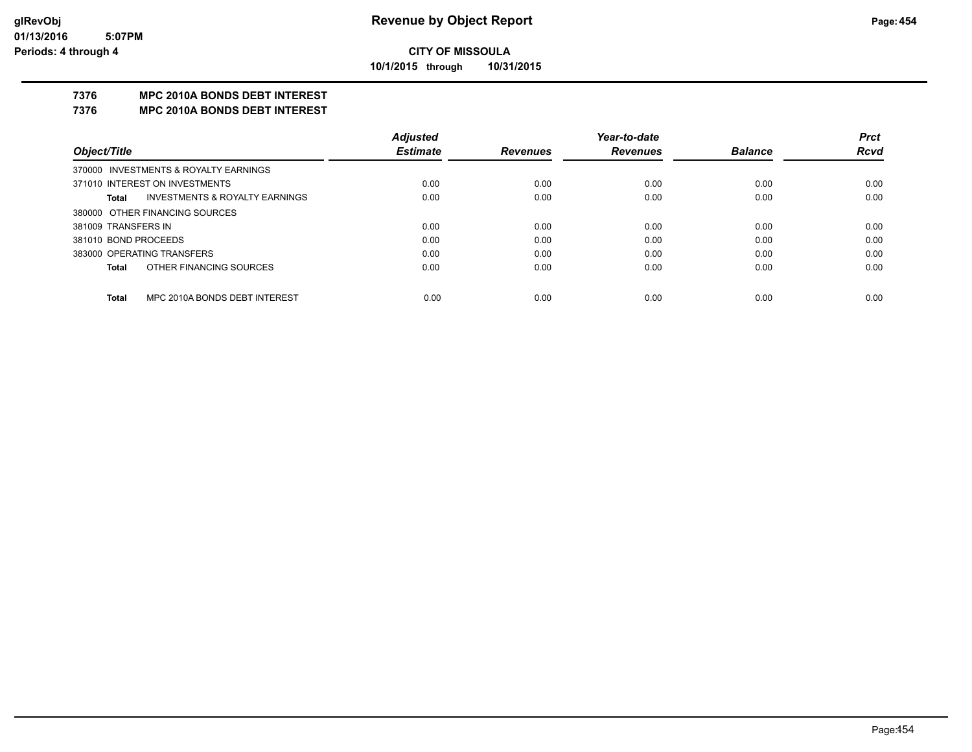**10/1/2015 through 10/31/2015**

## **7376 MPC 2010A BONDS DEBT INTEREST**

#### **7376 MPC 2010A BONDS DEBT INTEREST**

|                      |                                       | <b>Adjusted</b> |                 | Year-to-date    |                | <b>Prct</b> |
|----------------------|---------------------------------------|-----------------|-----------------|-----------------|----------------|-------------|
| Object/Title         |                                       | <b>Estimate</b> | <b>Revenues</b> | <b>Revenues</b> | <b>Balance</b> | <b>Rcvd</b> |
|                      | 370000 INVESTMENTS & ROYALTY EARNINGS |                 |                 |                 |                |             |
|                      | 371010 INTEREST ON INVESTMENTS        | 0.00            | 0.00            | 0.00            | 0.00           | 0.00        |
| Total                | INVESTMENTS & ROYALTY EARNINGS        | 0.00            | 0.00            | 0.00            | 0.00           | 0.00        |
|                      | 380000 OTHER FINANCING SOURCES        |                 |                 |                 |                |             |
| 381009 TRANSFERS IN  |                                       | 0.00            | 0.00            | 0.00            | 0.00           | 0.00        |
| 381010 BOND PROCEEDS |                                       | 0.00            | 0.00            | 0.00            | 0.00           | 0.00        |
|                      | 383000 OPERATING TRANSFERS            | 0.00            | 0.00            | 0.00            | 0.00           | 0.00        |
| Total                | OTHER FINANCING SOURCES               | 0.00            | 0.00            | 0.00            | 0.00           | 0.00        |
| Total                | MPC 2010A BONDS DEBT INTEREST         | 0.00            | 0.00            | 0.00            | 0.00           | 0.00        |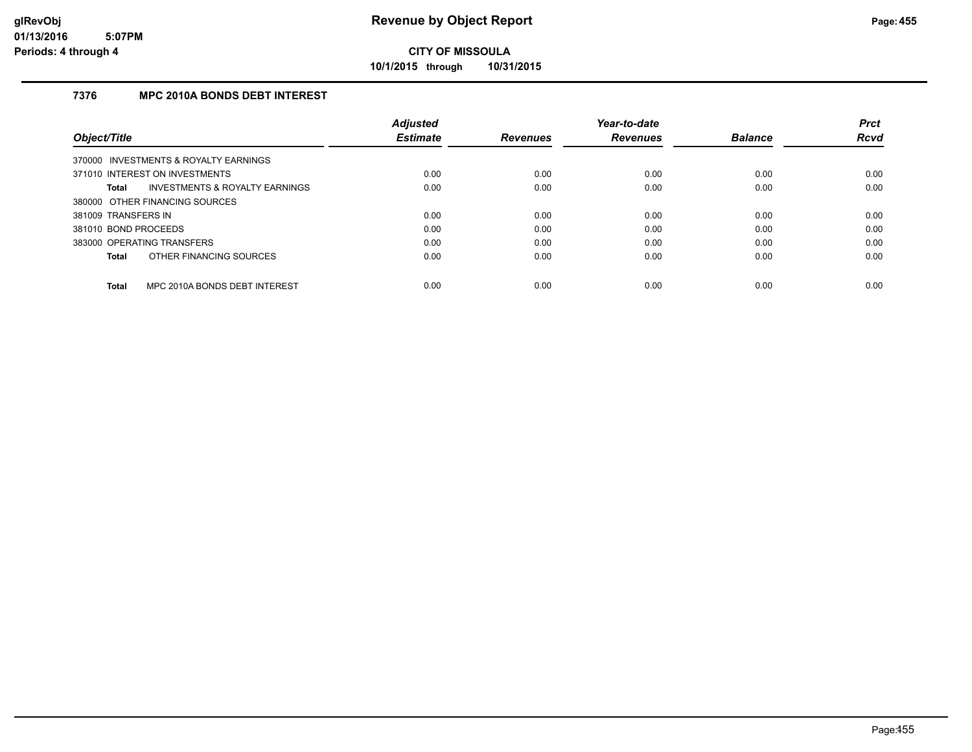**10/1/2015 through 10/31/2015**

## **7376 MPC 2010A BONDS DEBT INTEREST**

|                                               | <b>Adjusted</b> |                 | Year-to-date    |                | <b>Prct</b> |
|-----------------------------------------------|-----------------|-----------------|-----------------|----------------|-------------|
| Object/Title                                  | <b>Estimate</b> | <b>Revenues</b> | <b>Revenues</b> | <b>Balance</b> | <b>Rcvd</b> |
| 370000 INVESTMENTS & ROYALTY EARNINGS         |                 |                 |                 |                |             |
| 371010 INTEREST ON INVESTMENTS                | 0.00            | 0.00            | 0.00            | 0.00           | 0.00        |
| INVESTMENTS & ROYALTY EARNINGS<br>Total       | 0.00            | 0.00            | 0.00            | 0.00           | 0.00        |
| 380000 OTHER FINANCING SOURCES                |                 |                 |                 |                |             |
| 381009 TRANSFERS IN                           | 0.00            | 0.00            | 0.00            | 0.00           | 0.00        |
| 381010 BOND PROCEEDS                          | 0.00            | 0.00            | 0.00            | 0.00           | 0.00        |
| 383000 OPERATING TRANSFERS                    | 0.00            | 0.00            | 0.00            | 0.00           | 0.00        |
| OTHER FINANCING SOURCES<br><b>Total</b>       | 0.00            | 0.00            | 0.00            | 0.00           | 0.00        |
| MPC 2010A BONDS DEBT INTEREST<br><b>Total</b> | 0.00            | 0.00            | 0.00            | 0.00           | 0.00        |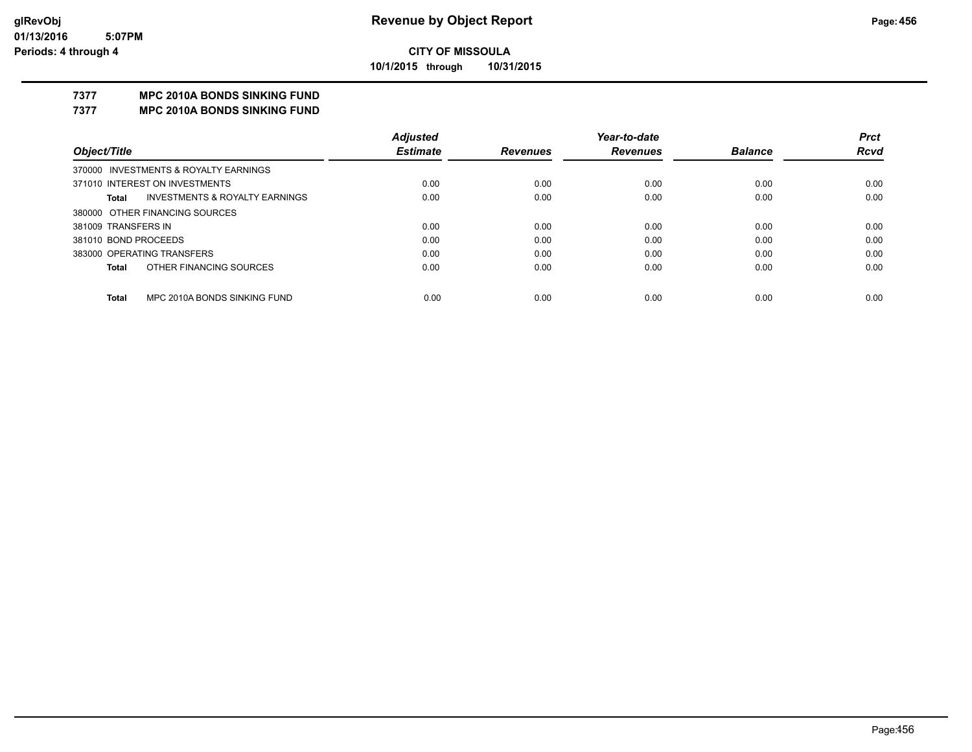**10/1/2015 through 10/31/2015**

# **7377 MPC 2010A BONDS SINKING FUND**

**7377 MPC 2010A BONDS SINKING FUND**

|                                                    | <b>Adjusted</b> |                 | Year-to-date    |                | <b>Prct</b> |
|----------------------------------------------------|-----------------|-----------------|-----------------|----------------|-------------|
| Object/Title                                       | <b>Estimate</b> | <b>Revenues</b> | <b>Revenues</b> | <b>Balance</b> | <b>Rcvd</b> |
| 370000 INVESTMENTS & ROYALTY EARNINGS              |                 |                 |                 |                |             |
| 371010 INTEREST ON INVESTMENTS                     | 0.00            | 0.00            | 0.00            | 0.00           | 0.00        |
| <b>INVESTMENTS &amp; ROYALTY EARNINGS</b><br>Total | 0.00            | 0.00            | 0.00            | 0.00           | 0.00        |
| 380000 OTHER FINANCING SOURCES                     |                 |                 |                 |                |             |
| 381009 TRANSFERS IN                                | 0.00            | 0.00            | 0.00            | 0.00           | 0.00        |
| 381010 BOND PROCEEDS                               | 0.00            | 0.00            | 0.00            | 0.00           | 0.00        |
| 383000 OPERATING TRANSFERS                         | 0.00            | 0.00            | 0.00            | 0.00           | 0.00        |
| OTHER FINANCING SOURCES<br><b>Total</b>            | 0.00            | 0.00            | 0.00            | 0.00           | 0.00        |
|                                                    |                 |                 |                 |                |             |
| MPC 2010A BONDS SINKING FUND<br>Total              | 0.00            | 0.00            | 0.00            | 0.00           | 0.00        |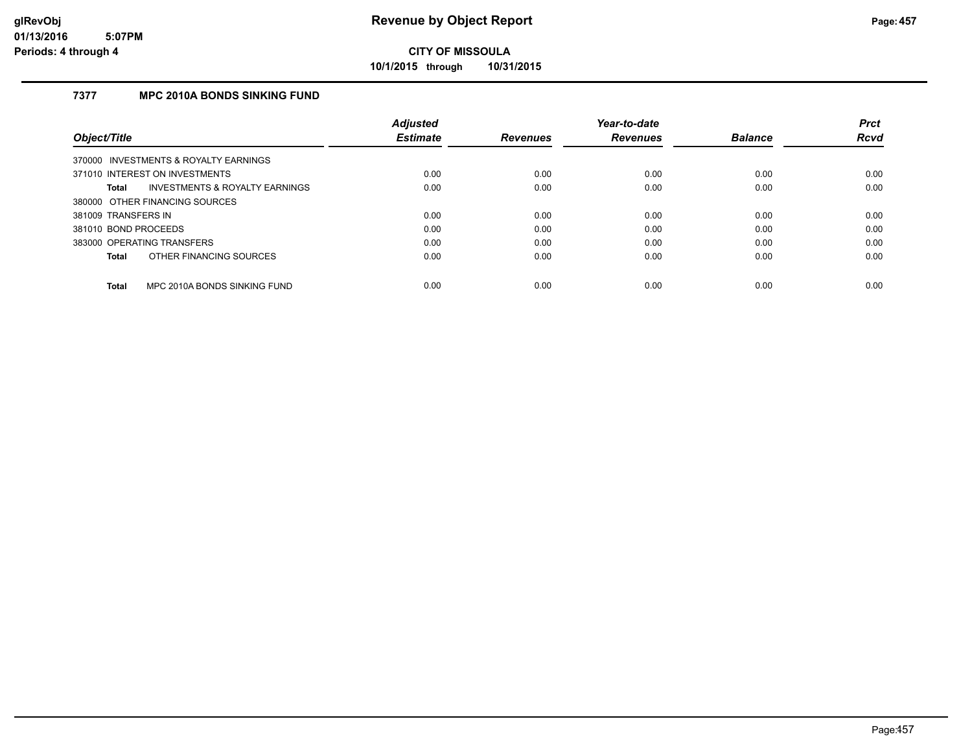**10/1/2015 through 10/31/2015**

## **7377 MPC 2010A BONDS SINKING FUND**

|                                                | <b>Adjusted</b> |                 | Year-to-date    |                | <b>Prct</b> |
|------------------------------------------------|-----------------|-----------------|-----------------|----------------|-------------|
| Object/Title                                   | <b>Estimate</b> | <b>Revenues</b> | <b>Revenues</b> | <b>Balance</b> | <b>Rcvd</b> |
| 370000 INVESTMENTS & ROYALTY EARNINGS          |                 |                 |                 |                |             |
| 371010 INTEREST ON INVESTMENTS                 | 0.00            | 0.00            | 0.00            | 0.00           | 0.00        |
| INVESTMENTS & ROYALTY EARNINGS<br><b>Total</b> | 0.00            | 0.00            | 0.00            | 0.00           | 0.00        |
| 380000 OTHER FINANCING SOURCES                 |                 |                 |                 |                |             |
| 381009 TRANSFERS IN                            | 0.00            | 0.00            | 0.00            | 0.00           | 0.00        |
| 381010 BOND PROCEEDS                           | 0.00            | 0.00            | 0.00            | 0.00           | 0.00        |
| 383000 OPERATING TRANSFERS                     | 0.00            | 0.00            | 0.00            | 0.00           | 0.00        |
| OTHER FINANCING SOURCES<br><b>Total</b>        | 0.00            | 0.00            | 0.00            | 0.00           | 0.00        |
| MPC 2010A BONDS SINKING FUND<br><b>Total</b>   | 0.00            | 0.00            | 0.00            | 0.00           | 0.00        |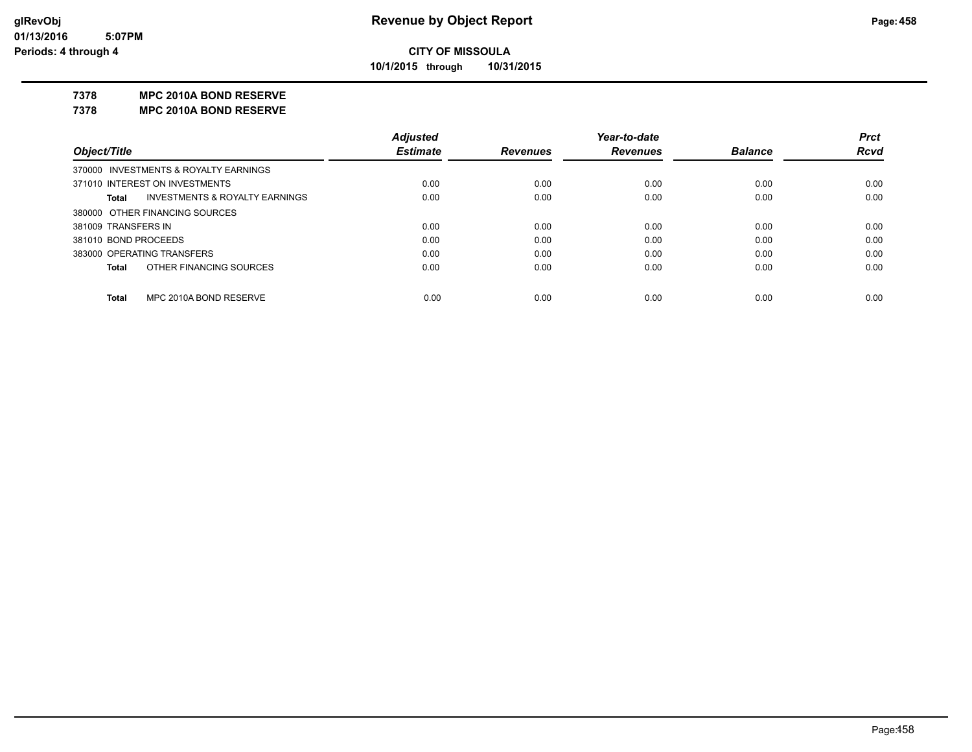**10/1/2015 through 10/31/2015**

#### **7378 MPC 2010A BOND RESERVE**

**7378 MPC 2010A BOND RESERVE**

|                                                    | <b>Adjusted</b> |                 | Year-to-date    |                | <b>Prct</b> |
|----------------------------------------------------|-----------------|-----------------|-----------------|----------------|-------------|
| Object/Title                                       | <b>Estimate</b> | <b>Revenues</b> | <b>Revenues</b> | <b>Balance</b> | <b>Rcvd</b> |
| 370000 INVESTMENTS & ROYALTY EARNINGS              |                 |                 |                 |                |             |
| 371010 INTEREST ON INVESTMENTS                     | 0.00            | 0.00            | 0.00            | 0.00           | 0.00        |
| <b>INVESTMENTS &amp; ROYALTY EARNINGS</b><br>Total | 0.00            | 0.00            | 0.00            | 0.00           | 0.00        |
| 380000 OTHER FINANCING SOURCES                     |                 |                 |                 |                |             |
| 381009 TRANSFERS IN                                | 0.00            | 0.00            | 0.00            | 0.00           | 0.00        |
| 381010 BOND PROCEEDS                               | 0.00            | 0.00            | 0.00            | 0.00           | 0.00        |
| 383000 OPERATING TRANSFERS                         | 0.00            | 0.00            | 0.00            | 0.00           | 0.00        |
| OTHER FINANCING SOURCES<br><b>Total</b>            | 0.00            | 0.00            | 0.00            | 0.00           | 0.00        |
|                                                    |                 |                 |                 |                |             |
| MPC 2010A BOND RESERVE<br>Total                    | 0.00            | 0.00            | 0.00            | 0.00           | 0.00        |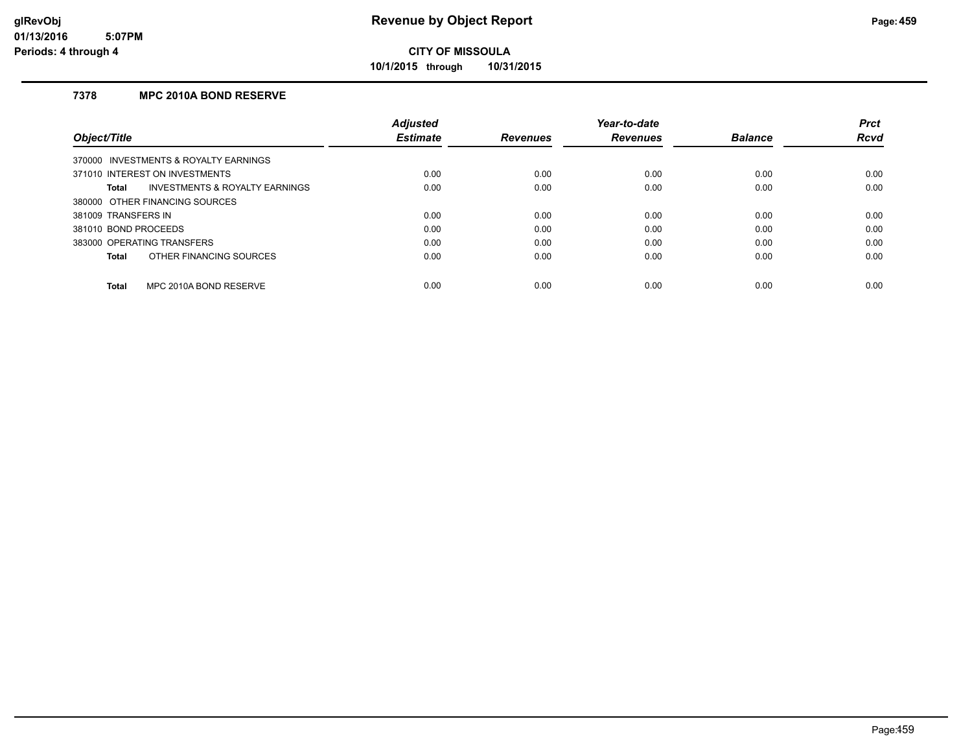**10/1/2015 through 10/31/2015**

## **7378 MPC 2010A BOND RESERVE**

|                                         | <b>Adjusted</b> |                 | Year-to-date    |                | <b>Prct</b> |
|-----------------------------------------|-----------------|-----------------|-----------------|----------------|-------------|
| Object/Title                            | <b>Estimate</b> | <b>Revenues</b> | <b>Revenues</b> | <b>Balance</b> | <b>Rcvd</b> |
| 370000 INVESTMENTS & ROYALTY EARNINGS   |                 |                 |                 |                |             |
| 371010 INTEREST ON INVESTMENTS          | 0.00            | 0.00            | 0.00            | 0.00           | 0.00        |
| INVESTMENTS & ROYALTY EARNINGS<br>Total | 0.00            | 0.00            | 0.00            | 0.00           | 0.00        |
| 380000 OTHER FINANCING SOURCES          |                 |                 |                 |                |             |
| 381009 TRANSFERS IN                     | 0.00            | 0.00            | 0.00            | 0.00           | 0.00        |
| 381010 BOND PROCEEDS                    | 0.00            | 0.00            | 0.00            | 0.00           | 0.00        |
| 383000 OPERATING TRANSFERS              | 0.00            | 0.00            | 0.00            | 0.00           | 0.00        |
| OTHER FINANCING SOURCES<br>Total        | 0.00            | 0.00            | 0.00            | 0.00           | 0.00        |
| MPC 2010A BOND RESERVE<br><b>Total</b>  | 0.00            | 0.00            | 0.00            | 0.00           | 0.00        |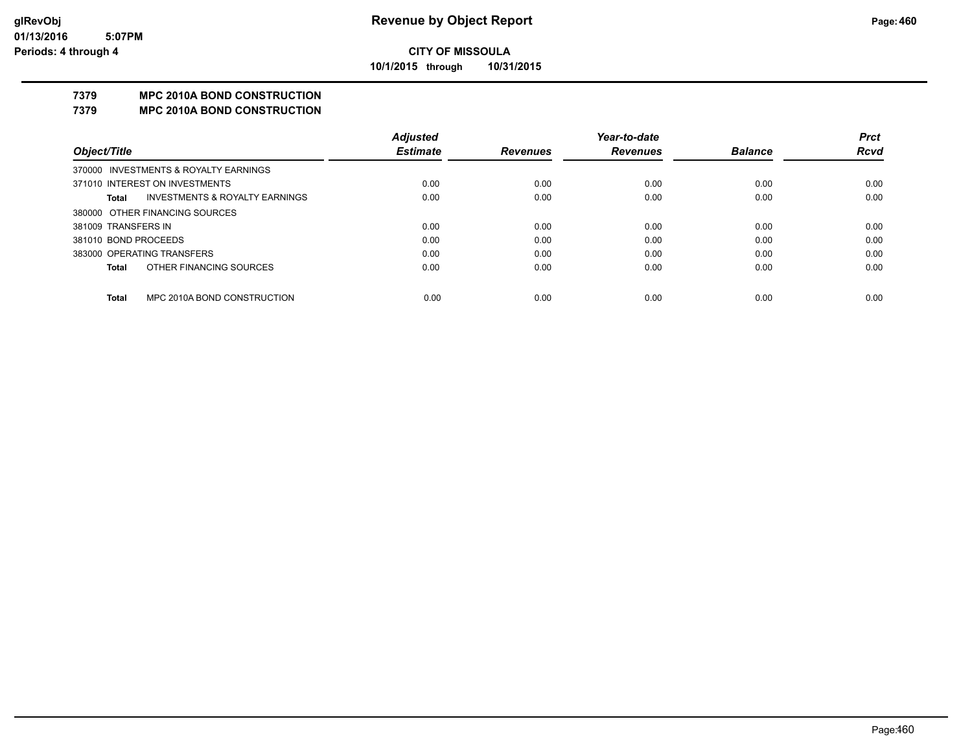**10/1/2015 through 10/31/2015**

# **7379 MPC 2010A BOND CONSTRUCTION**

#### **7379 MPC 2010A BOND CONSTRUCTION**

|                      |                                       | <b>Adjusted</b> |                 | Year-to-date    |                | <b>Prct</b> |
|----------------------|---------------------------------------|-----------------|-----------------|-----------------|----------------|-------------|
| Object/Title         |                                       | <b>Estimate</b> | <b>Revenues</b> | <b>Revenues</b> | <b>Balance</b> | <b>Rcvd</b> |
|                      | 370000 INVESTMENTS & ROYALTY EARNINGS |                 |                 |                 |                |             |
|                      | 371010 INTEREST ON INVESTMENTS        | 0.00            | 0.00            | 0.00            | 0.00           | 0.00        |
| Total                | INVESTMENTS & ROYALTY EARNINGS        | 0.00            | 0.00            | 0.00            | 0.00           | 0.00        |
|                      | 380000 OTHER FINANCING SOURCES        |                 |                 |                 |                |             |
| 381009 TRANSFERS IN  |                                       | 0.00            | 0.00            | 0.00            | 0.00           | 0.00        |
| 381010 BOND PROCEEDS |                                       | 0.00            | 0.00            | 0.00            | 0.00           | 0.00        |
|                      | 383000 OPERATING TRANSFERS            | 0.00            | 0.00            | 0.00            | 0.00           | 0.00        |
| Total                | OTHER FINANCING SOURCES               | 0.00            | 0.00            | 0.00            | 0.00           | 0.00        |
|                      |                                       |                 |                 |                 |                |             |
| Total                | MPC 2010A BOND CONSTRUCTION           | 0.00            | 0.00            | 0.00            | 0.00           | 0.00        |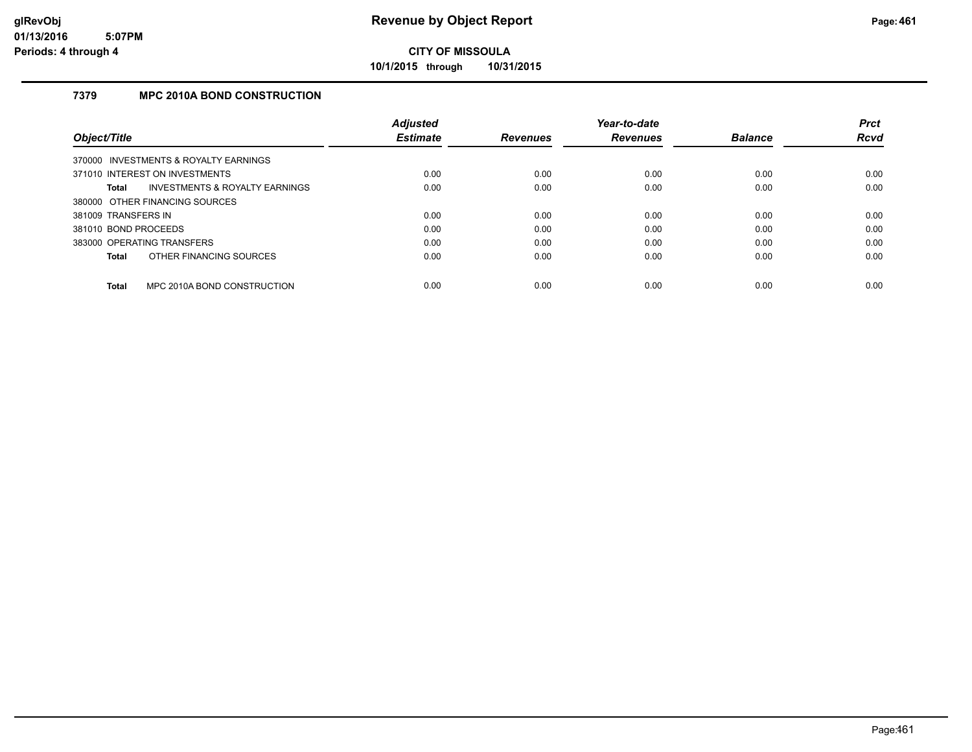**10/1/2015 through 10/31/2015**

# **7379 MPC 2010A BOND CONSTRUCTION**

|                      |                                       | <b>Adjusted</b> |                 | Year-to-date    |                | <b>Prct</b> |
|----------------------|---------------------------------------|-----------------|-----------------|-----------------|----------------|-------------|
| Object/Title         |                                       | <b>Estimate</b> | <b>Revenues</b> | <b>Revenues</b> | <b>Balance</b> | <b>Rcvd</b> |
|                      | 370000 INVESTMENTS & ROYALTY EARNINGS |                 |                 |                 |                |             |
|                      | 371010 INTEREST ON INVESTMENTS        | 0.00            | 0.00            | 0.00            | 0.00           | 0.00        |
| <b>Total</b>         | INVESTMENTS & ROYALTY EARNINGS        | 0.00            | 0.00            | 0.00            | 0.00           | 0.00        |
|                      | 380000 OTHER FINANCING SOURCES        |                 |                 |                 |                |             |
| 381009 TRANSFERS IN  |                                       | 0.00            | 0.00            | 0.00            | 0.00           | 0.00        |
| 381010 BOND PROCEEDS |                                       | 0.00            | 0.00            | 0.00            | 0.00           | 0.00        |
|                      | 383000 OPERATING TRANSFERS            | 0.00            | 0.00            | 0.00            | 0.00           | 0.00        |
| <b>Total</b>         | OTHER FINANCING SOURCES               | 0.00            | 0.00            | 0.00            | 0.00           | 0.00        |
| <b>Total</b>         | MPC 2010A BOND CONSTRUCTION           | 0.00            | 0.00            | 0.00            | 0.00           | 0.00        |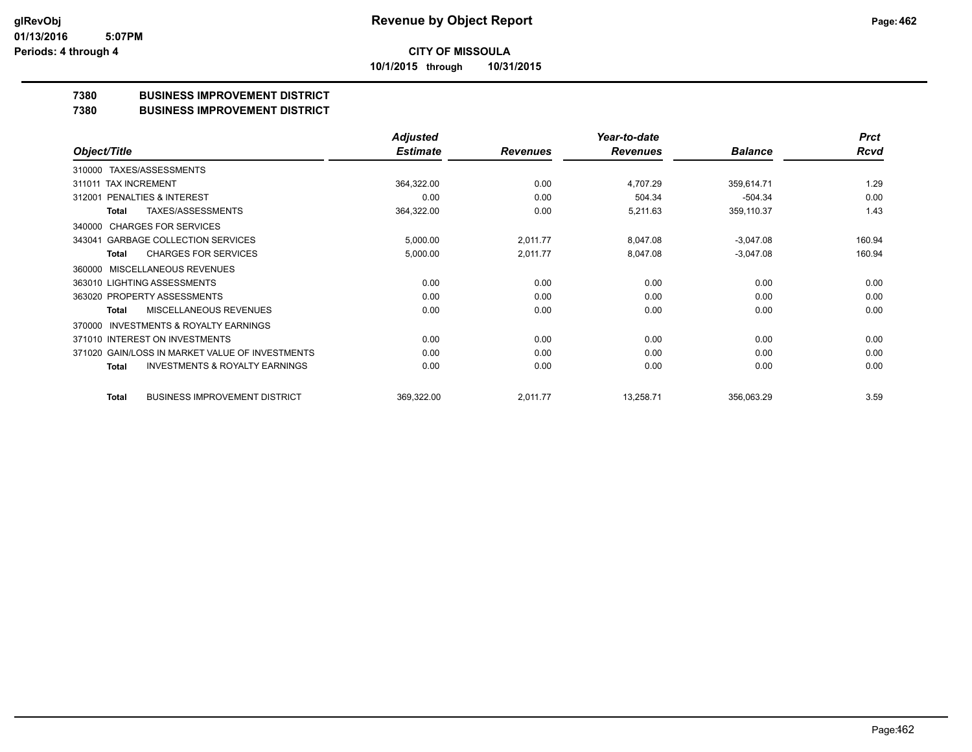#### **CITY OF MISSOULA 10/1/2015 through 10/31/2015**

#### **7380 BUSINESS IMPROVEMENT DISTRICT**

#### **7380 BUSINESS IMPROVEMENT DISTRICT**

|                                                     | <b>Adjusted</b> |                 | Year-to-date    |                | <b>Prct</b> |
|-----------------------------------------------------|-----------------|-----------------|-----------------|----------------|-------------|
| Object/Title                                        | <b>Estimate</b> | <b>Revenues</b> | <b>Revenues</b> | <b>Balance</b> | <b>Rcvd</b> |
| TAXES/ASSESSMENTS<br>310000                         |                 |                 |                 |                |             |
| 311011 TAX INCREMENT                                | 364,322.00      | 0.00            | 4,707.29        | 359,614.71     | 1.29        |
| PENALTIES & INTEREST<br>312001                      | 0.00            | 0.00            | 504.34          | $-504.34$      | 0.00        |
| <b>TAXES/ASSESSMENTS</b><br>Total                   | 364,322.00      | 0.00            | 5,211.63        | 359,110.37     | 1.43        |
| <b>CHARGES FOR SERVICES</b><br>340000               |                 |                 |                 |                |             |
| <b>GARBAGE COLLECTION SERVICES</b><br>343041        | 5,000.00        | 2,011.77        | 8,047.08        | $-3,047.08$    | 160.94      |
| <b>CHARGES FOR SERVICES</b><br><b>Total</b>         | 5,000.00        | 2,011.77        | 8,047.08        | $-3,047.08$    | 160.94      |
| <b>MISCELLANEOUS REVENUES</b><br>360000             |                 |                 |                 |                |             |
| 363010 LIGHTING ASSESSMENTS                         | 0.00            | 0.00            | 0.00            | 0.00           | 0.00        |
| 363020 PROPERTY ASSESSMENTS                         | 0.00            | 0.00            | 0.00            | 0.00           | 0.00        |
| MISCELLANEOUS REVENUES<br>Total                     | 0.00            | 0.00            | 0.00            | 0.00           | 0.00        |
| <b>INVESTMENTS &amp; ROYALTY EARNINGS</b><br>370000 |                 |                 |                 |                |             |
| 371010 INTEREST ON INVESTMENTS                      | 0.00            | 0.00            | 0.00            | 0.00           | 0.00        |
| 371020 GAIN/LOSS IN MARKET VALUE OF INVESTMENTS     | 0.00            | 0.00            | 0.00            | 0.00           | 0.00        |
| <b>INVESTMENTS &amp; ROYALTY EARNINGS</b><br>Total  | 0.00            | 0.00            | 0.00            | 0.00           | 0.00        |
| <b>BUSINESS IMPROVEMENT DISTRICT</b><br>Total       | 369,322.00      | 2,011.77        | 13,258.71       | 356,063.29     | 3.59        |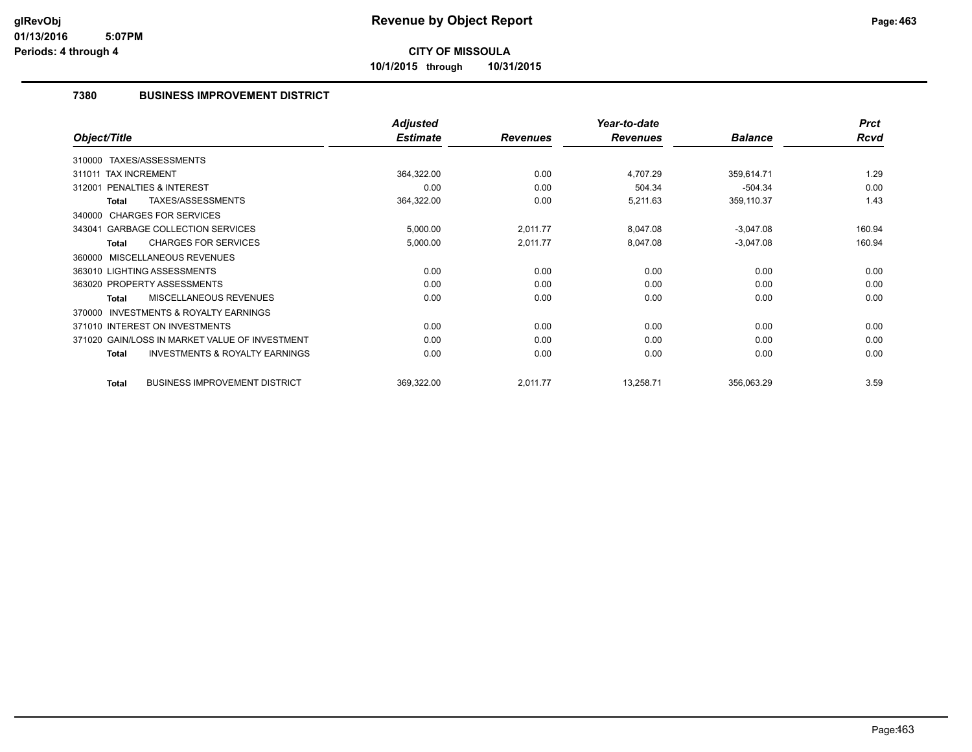**10/1/2015 through 10/31/2015**

## **7380 BUSINESS IMPROVEMENT DISTRICT**

|                                                           | <b>Adjusted</b> |                 | Year-to-date    |                | <b>Prct</b> |
|-----------------------------------------------------------|-----------------|-----------------|-----------------|----------------|-------------|
| Object/Title                                              | <b>Estimate</b> | <b>Revenues</b> | <b>Revenues</b> | <b>Balance</b> | <b>Rcvd</b> |
| 310000 TAXES/ASSESSMENTS                                  |                 |                 |                 |                |             |
| <b>TAX INCREMENT</b><br>311011                            | 364,322.00      | 0.00            | 4,707.29        | 359,614.71     | 1.29        |
| PENALTIES & INTEREST<br>312001                            | 0.00            | 0.00            | 504.34          | $-504.34$      | 0.00        |
| TAXES/ASSESSMENTS<br>Total                                | 364,322.00      | 0.00            | 5,211.63        | 359,110.37     | 1.43        |
| 340000 CHARGES FOR SERVICES                               |                 |                 |                 |                |             |
| <b>GARBAGE COLLECTION SERVICES</b><br>343041              | 5,000.00        | 2,011.77        | 8,047.08        | $-3,047.08$    | 160.94      |
| <b>CHARGES FOR SERVICES</b><br><b>Total</b>               | 5,000.00        | 2,011.77        | 8,047.08        | $-3,047.08$    | 160.94      |
| MISCELLANEOUS REVENUES<br>360000                          |                 |                 |                 |                |             |
| 363010 LIGHTING ASSESSMENTS                               | 0.00            | 0.00            | 0.00            | 0.00           | 0.00        |
| 363020 PROPERTY ASSESSMENTS                               | 0.00            | 0.00            | 0.00            | 0.00           | 0.00        |
| <b>MISCELLANEOUS REVENUES</b><br>Total                    | 0.00            | 0.00            | 0.00            | 0.00           | 0.00        |
| <b>INVESTMENTS &amp; ROYALTY EARNINGS</b><br>370000       |                 |                 |                 |                |             |
| 371010 INTEREST ON INVESTMENTS                            | 0.00            | 0.00            | 0.00            | 0.00           | 0.00        |
| 371020 GAIN/LOSS IN MARKET VALUE OF INVESTMENT            | 0.00            | 0.00            | 0.00            | 0.00           | 0.00        |
| <b>INVESTMENTS &amp; ROYALTY EARNINGS</b><br><b>Total</b> | 0.00            | 0.00            | 0.00            | 0.00           | 0.00        |
| <b>BUSINESS IMPROVEMENT DISTRICT</b><br><b>Total</b>      | 369,322.00      | 2,011.77        | 13,258.71       | 356,063.29     | 3.59        |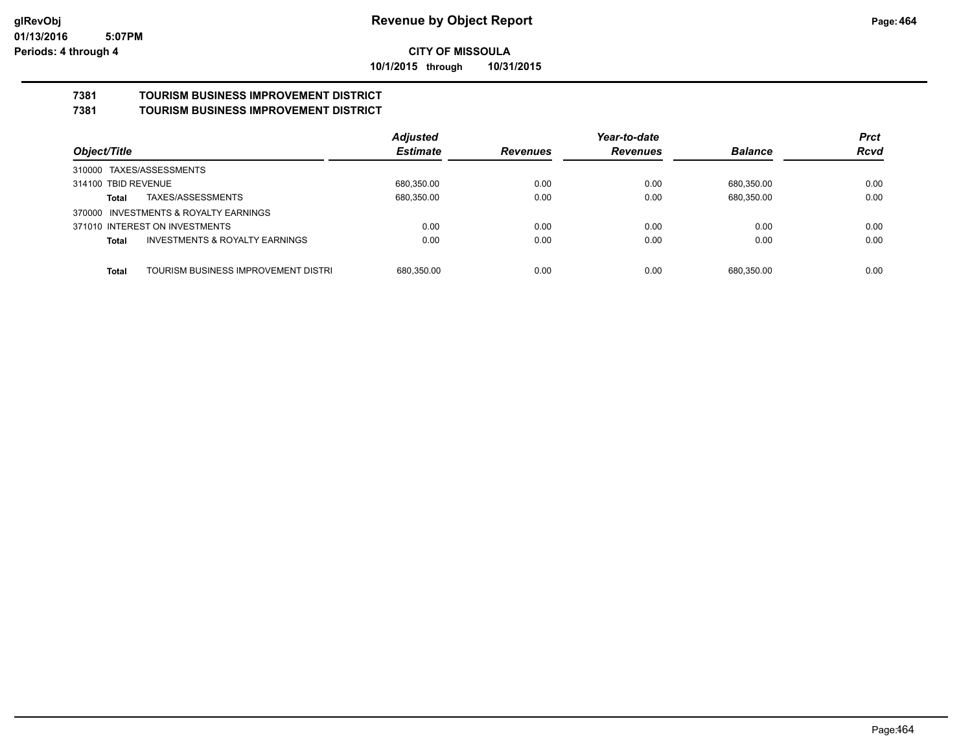**10/1/2015 through 10/31/2015**

#### **7381 TOURISM BUSINESS IMPROVEMENT DISTRICT 7381 TOURISM BUSINESS IMPROVEMENT DISTRICT**

|                                                           | <b>Adjusted</b> |                 | Year-to-date    | <b>Prct</b>    |             |
|-----------------------------------------------------------|-----------------|-----------------|-----------------|----------------|-------------|
| Object/Title                                              | <b>Estimate</b> | <b>Revenues</b> | <b>Revenues</b> | <b>Balance</b> | <b>Rcvd</b> |
| 310000 TAXES/ASSESSMENTS                                  |                 |                 |                 |                |             |
| 314100 TBID REVENUE                                       | 680,350.00      | 0.00            | 0.00            | 680,350.00     | 0.00        |
| TAXES/ASSESSMENTS<br>Total                                | 680,350.00      | 0.00            | 0.00            | 680,350.00     | 0.00        |
| 370000 INVESTMENTS & ROYALTY EARNINGS                     |                 |                 |                 |                |             |
| 371010 INTEREST ON INVESTMENTS                            | 0.00            | 0.00            | 0.00            | 0.00           | 0.00        |
| <b>INVESTMENTS &amp; ROYALTY EARNINGS</b><br><b>Total</b> | 0.00            | 0.00            | 0.00            | 0.00           | 0.00        |
|                                                           |                 |                 |                 |                |             |
| TOURISM BUSINESS IMPROVEMENT DISTRI<br><b>Total</b>       | 680.350.00      | 0.00            | 0.00            | 680.350.00     | 0.00        |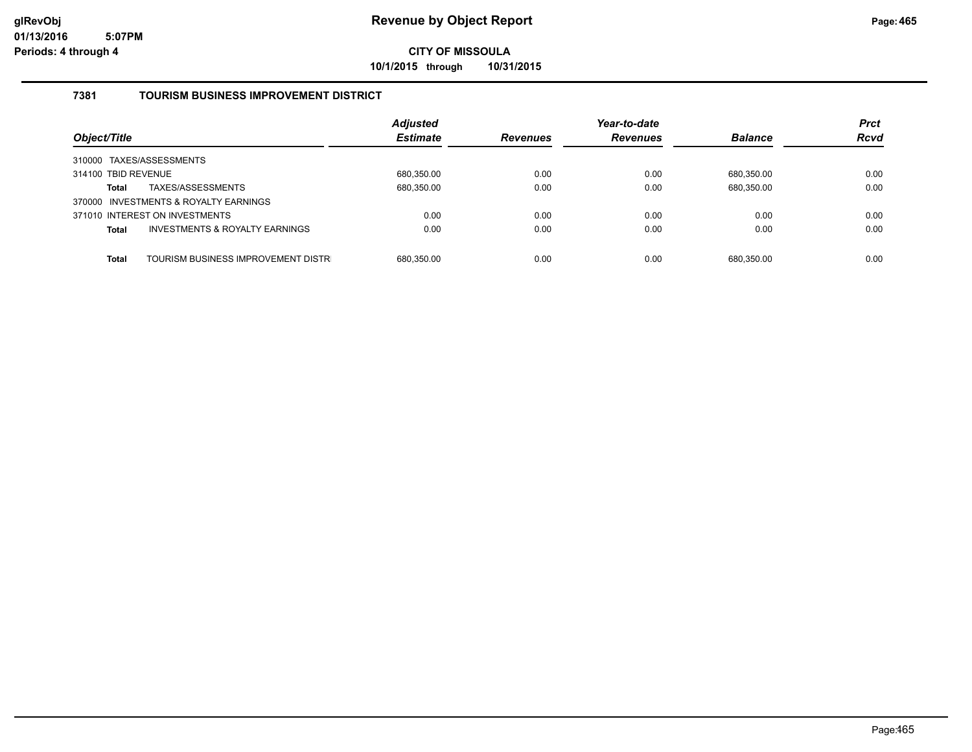**10/1/2015 through 10/31/2015**

### **7381 TOURISM BUSINESS IMPROVEMENT DISTRICT**

| Object/Title                                              | <b>Adjusted</b><br><b>Estimate</b> | <b>Revenues</b> | Year-to-date<br><b>Revenues</b> | <b>Balance</b> | <b>Prct</b><br><b>Rcvd</b> |
|-----------------------------------------------------------|------------------------------------|-----------------|---------------------------------|----------------|----------------------------|
| 310000 TAXES/ASSESSMENTS                                  |                                    |                 |                                 |                |                            |
| 314100 TBID REVENUE                                       | 680,350.00                         | 0.00            | 0.00                            | 680.350.00     | 0.00                       |
| TAXES/ASSESSMENTS<br><b>Total</b>                         | 680,350.00                         | 0.00            | 0.00                            | 680,350.00     | 0.00                       |
| 370000 INVESTMENTS & ROYALTY EARNINGS                     |                                    |                 |                                 |                |                            |
| 371010 INTEREST ON INVESTMENTS                            | 0.00                               | 0.00            | 0.00                            | 0.00           | 0.00                       |
| <b>INVESTMENTS &amp; ROYALTY EARNINGS</b><br><b>Total</b> | 0.00                               | 0.00            | 0.00                            | 0.00           | 0.00                       |
|                                                           |                                    |                 |                                 |                |                            |
| TOURISM BUSINESS IMPROVEMENT DISTR<br><b>Total</b>        | 680.350.00                         | 0.00            | 0.00                            | 680.350.00     | 0.00                       |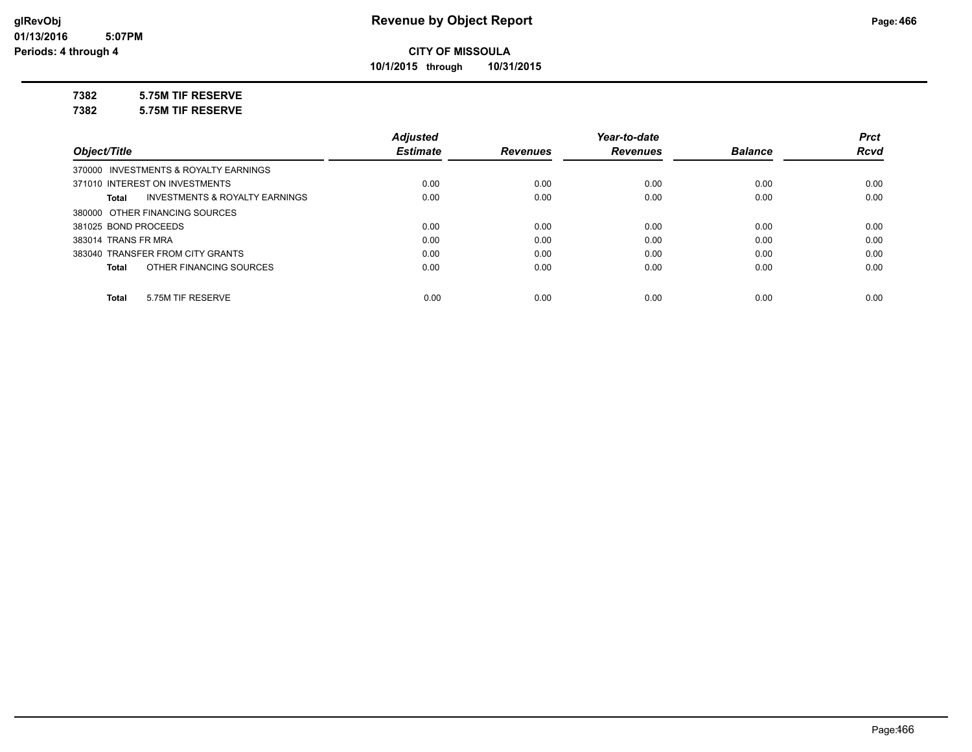**10/1/2015 through 10/31/2015**

#### **7382 5.75M TIF RESERVE**

**7382 5.75M TIF RESERVE**

|                                                    | <b>Adjusted</b> |                 | Year-to-date    |                | <b>Prct</b> |
|----------------------------------------------------|-----------------|-----------------|-----------------|----------------|-------------|
| Object/Title                                       | <b>Estimate</b> | <b>Revenues</b> | <b>Revenues</b> | <b>Balance</b> | <b>Rcvd</b> |
| 370000 INVESTMENTS & ROYALTY EARNINGS              |                 |                 |                 |                |             |
| 371010 INTEREST ON INVESTMENTS                     | 0.00            | 0.00            | 0.00            | 0.00           | 0.00        |
| <b>INVESTMENTS &amp; ROYALTY EARNINGS</b><br>Total | 0.00            | 0.00            | 0.00            | 0.00           | 0.00        |
| 380000 OTHER FINANCING SOURCES                     |                 |                 |                 |                |             |
| 381025 BOND PROCEEDS                               | 0.00            | 0.00            | 0.00            | 0.00           | 0.00        |
| 383014 TRANS FR MRA                                | 0.00            | 0.00            | 0.00            | 0.00           | 0.00        |
| 383040 TRANSFER FROM CITY GRANTS                   | 0.00            | 0.00            | 0.00            | 0.00           | 0.00        |
| OTHER FINANCING SOURCES<br>Total                   | 0.00            | 0.00            | 0.00            | 0.00           | 0.00        |
|                                                    |                 |                 |                 |                |             |
| 5.75M TIF RESERVE<br>Total                         | 0.00            | 0.00            | 0.00            | 0.00           | 0.00        |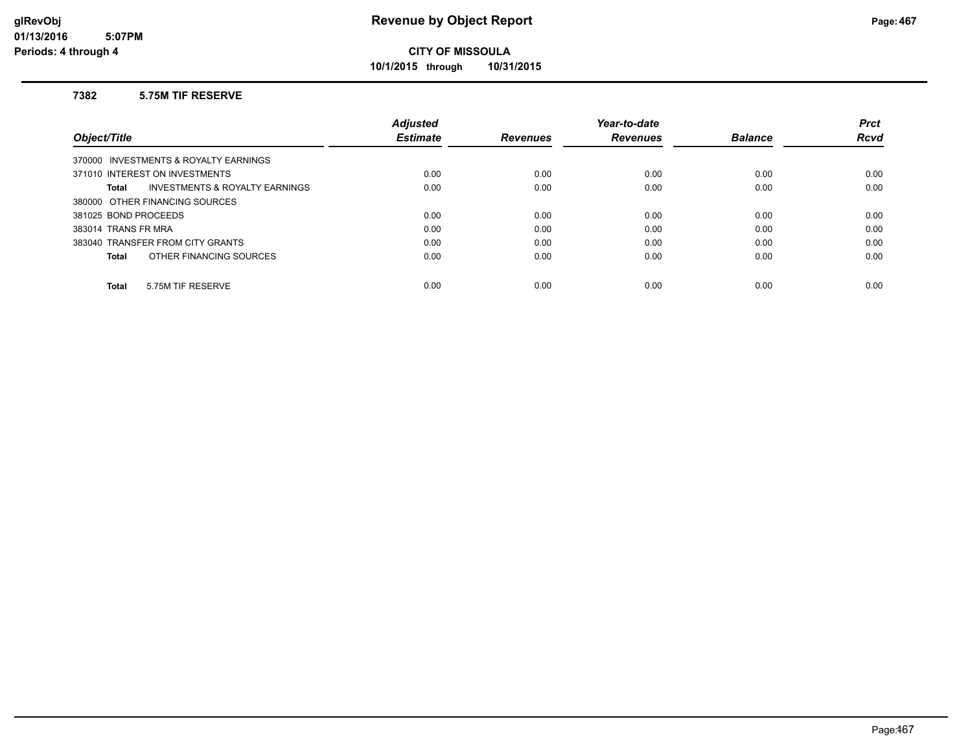**10/1/2015 through 10/31/2015**

#### **7382 5.75M TIF RESERVE**

|                                                | <b>Adjusted</b> |                 | Year-to-date    |                | <b>Prct</b> |
|------------------------------------------------|-----------------|-----------------|-----------------|----------------|-------------|
| Object/Title                                   | <b>Estimate</b> | <b>Revenues</b> | <b>Revenues</b> | <b>Balance</b> | Rcvd        |
| 370000 INVESTMENTS & ROYALTY EARNINGS          |                 |                 |                 |                |             |
| 371010 INTEREST ON INVESTMENTS                 | 0.00            | 0.00            | 0.00            | 0.00           | 0.00        |
| INVESTMENTS & ROYALTY EARNINGS<br><b>Total</b> | 0.00            | 0.00            | 0.00            | 0.00           | 0.00        |
| 380000 OTHER FINANCING SOURCES                 |                 |                 |                 |                |             |
| 381025 BOND PROCEEDS                           | 0.00            | 0.00            | 0.00            | 0.00           | 0.00        |
| 383014 TRANS FR MRA                            | 0.00            | 0.00            | 0.00            | 0.00           | 0.00        |
| 383040 TRANSFER FROM CITY GRANTS               | 0.00            | 0.00            | 0.00            | 0.00           | 0.00        |
| OTHER FINANCING SOURCES<br><b>Total</b>        | 0.00            | 0.00            | 0.00            | 0.00           | 0.00        |
| 5.75M TIF RESERVE<br><b>Total</b>              | 0.00            | 0.00            | 0.00            | 0.00           | 0.00        |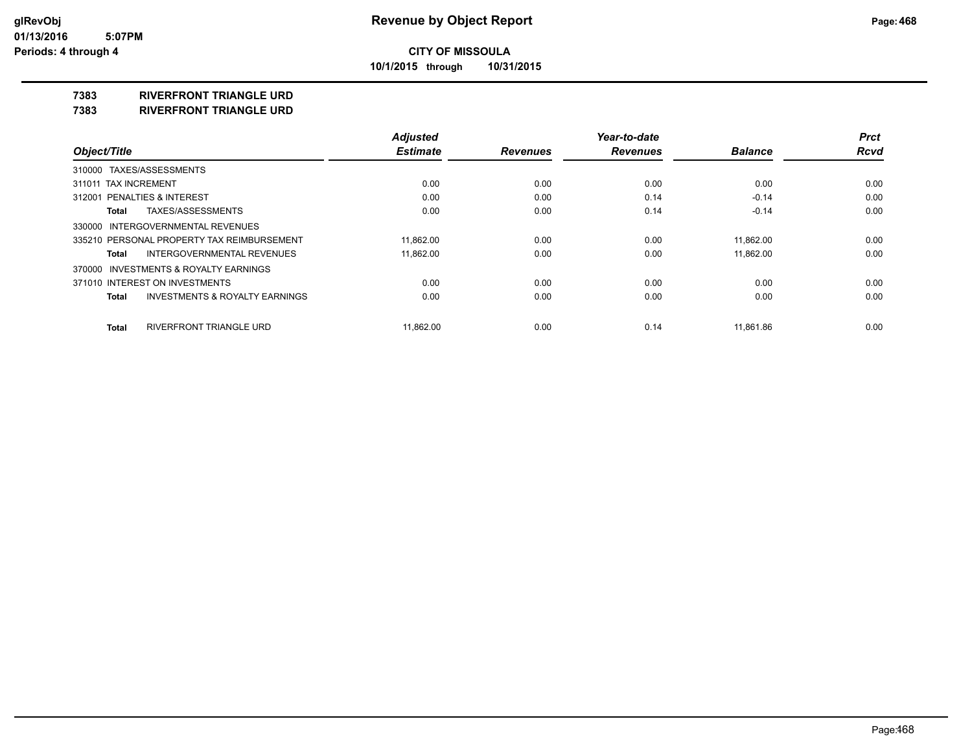**10/1/2015 through 10/31/2015**

#### **7383 RIVERFRONT TRIANGLE URD**

**7383 RIVERFRONT TRIANGLE URD**

|                                                    | <b>Adjusted</b> |                 | Year-to-date    |                | <b>Prct</b> |
|----------------------------------------------------|-----------------|-----------------|-----------------|----------------|-------------|
| Object/Title                                       | <b>Estimate</b> | <b>Revenues</b> | <b>Revenues</b> | <b>Balance</b> | <b>Rcvd</b> |
| 310000 TAXES/ASSESSMENTS                           |                 |                 |                 |                |             |
| 311011 TAX INCREMENT                               | 0.00            | 0.00            | 0.00            | 0.00           | 0.00        |
| <b>PENALTIES &amp; INTEREST</b><br>312001          | 0.00            | 0.00            | 0.14            | $-0.14$        | 0.00        |
| TAXES/ASSESSMENTS<br>Total                         | 0.00            | 0.00            | 0.14            | $-0.14$        | 0.00        |
| 330000 INTERGOVERNMENTAL REVENUES                  |                 |                 |                 |                |             |
| 335210 PERSONAL PROPERTY TAX REIMBURSEMENT         | 11.862.00       | 0.00            | 0.00            | 11,862.00      | 0.00        |
| <b>INTERGOVERNMENTAL REVENUES</b><br>Total         | 11.862.00       | 0.00            | 0.00            | 11.862.00      | 0.00        |
| 370000 INVESTMENTS & ROYALTY EARNINGS              |                 |                 |                 |                |             |
| 371010 INTEREST ON INVESTMENTS                     | 0.00            | 0.00            | 0.00            | 0.00           | 0.00        |
| <b>INVESTMENTS &amp; ROYALTY EARNINGS</b><br>Total | 0.00            | 0.00            | 0.00            | 0.00           | 0.00        |
| RIVERFRONT TRIANGLE URD<br><b>Total</b>            | 11.862.00       | 0.00            | 0.14            | 11.861.86      | 0.00        |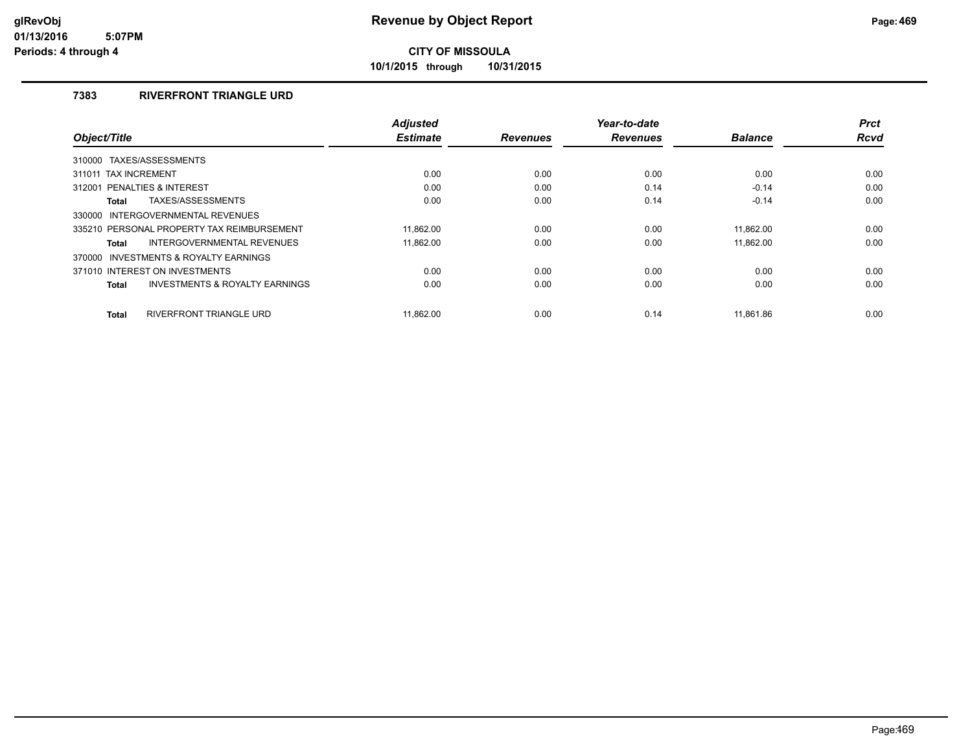**10/1/2015 through 10/31/2015**

### **7383 RIVERFRONT TRIANGLE URD**

|                                                           | <b>Adjusted</b> |                 | Year-to-date    |                | <b>Prct</b> |
|-----------------------------------------------------------|-----------------|-----------------|-----------------|----------------|-------------|
| Object/Title                                              | <b>Estimate</b> | <b>Revenues</b> | <b>Revenues</b> | <b>Balance</b> | <b>Rcvd</b> |
| 310000 TAXES/ASSESSMENTS                                  |                 |                 |                 |                |             |
| 311011 TAX INCREMENT                                      | 0.00            | 0.00            | 0.00            | 0.00           | 0.00        |
| PENALTIES & INTEREST<br>312001                            | 0.00            | 0.00            | 0.14            | $-0.14$        | 0.00        |
| TAXES/ASSESSMENTS<br>Total                                | 0.00            | 0.00            | 0.14            | $-0.14$        | 0.00        |
| INTERGOVERNMENTAL REVENUES<br>330000                      |                 |                 |                 |                |             |
| 335210 PERSONAL PROPERTY TAX REIMBURSEMENT                | 11.862.00       | 0.00            | 0.00            | 11.862.00      | 0.00        |
| INTERGOVERNMENTAL REVENUES<br><b>Total</b>                | 11,862.00       | 0.00            | 0.00            | 11,862.00      | 0.00        |
| 370000 INVESTMENTS & ROYALTY EARNINGS                     |                 |                 |                 |                |             |
| 371010 INTEREST ON INVESTMENTS                            | 0.00            | 0.00            | 0.00            | 0.00           | 0.00        |
| <b>INVESTMENTS &amp; ROYALTY EARNINGS</b><br><b>Total</b> | 0.00            | 0.00            | 0.00            | 0.00           | 0.00        |
|                                                           |                 |                 |                 |                |             |
| <b>RIVERFRONT TRIANGLE URD</b><br><b>Total</b>            | 11.862.00       | 0.00            | 0.14            | 11.861.86      | 0.00        |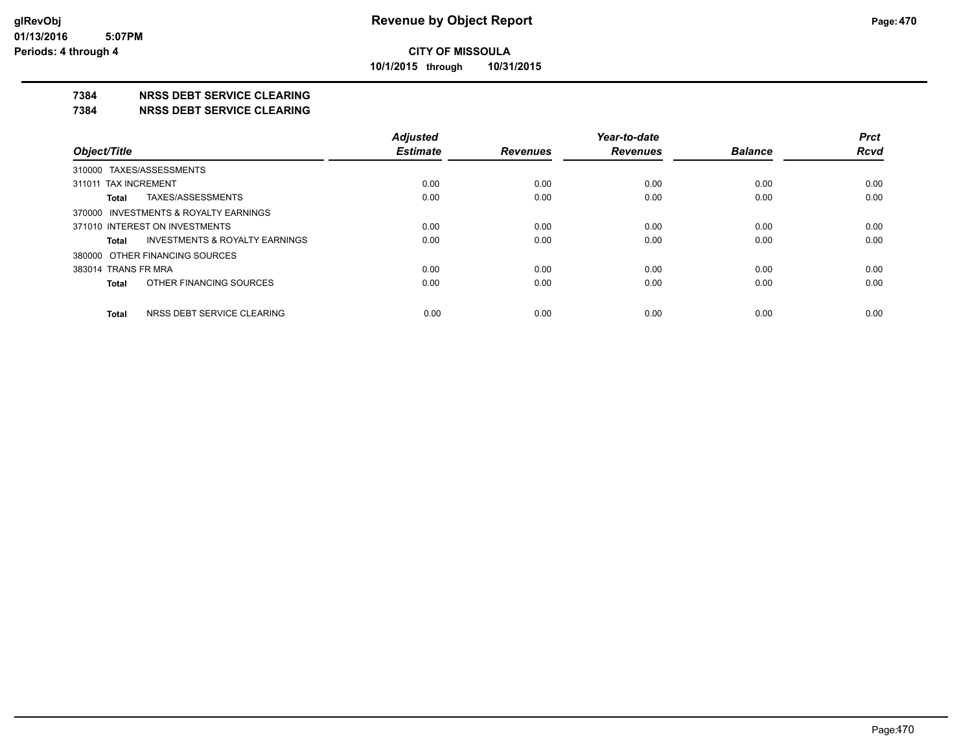**10/1/2015 through 10/31/2015**

### **7384 NRSS DEBT SERVICE CLEARING**

**7384 NRSS DEBT SERVICE CLEARING**

|                                            | <b>Adjusted</b> |                 | Year-to-date    |                | <b>Prct</b> |
|--------------------------------------------|-----------------|-----------------|-----------------|----------------|-------------|
| Object/Title                               | <b>Estimate</b> | <b>Revenues</b> | <b>Revenues</b> | <b>Balance</b> | <b>Rcvd</b> |
| 310000 TAXES/ASSESSMENTS                   |                 |                 |                 |                |             |
| 311011 TAX INCREMENT                       | 0.00            | 0.00            | 0.00            | 0.00           | 0.00        |
| TAXES/ASSESSMENTS<br>Total                 | 0.00            | 0.00            | 0.00            | 0.00           | 0.00        |
| 370000 INVESTMENTS & ROYALTY EARNINGS      |                 |                 |                 |                |             |
| 371010 INTEREST ON INVESTMENTS             | 0.00            | 0.00            | 0.00            | 0.00           | 0.00        |
| INVESTMENTS & ROYALTY EARNINGS<br>Total    | 0.00            | 0.00            | 0.00            | 0.00           | 0.00        |
| 380000 OTHER FINANCING SOURCES             |                 |                 |                 |                |             |
| 383014 TRANS FR MRA                        | 0.00            | 0.00            | 0.00            | 0.00           | 0.00        |
| OTHER FINANCING SOURCES<br>Total           | 0.00            | 0.00            | 0.00            | 0.00           | 0.00        |
| NRSS DEBT SERVICE CLEARING<br><b>Total</b> | 0.00            | 0.00            | 0.00            | 0.00           | 0.00        |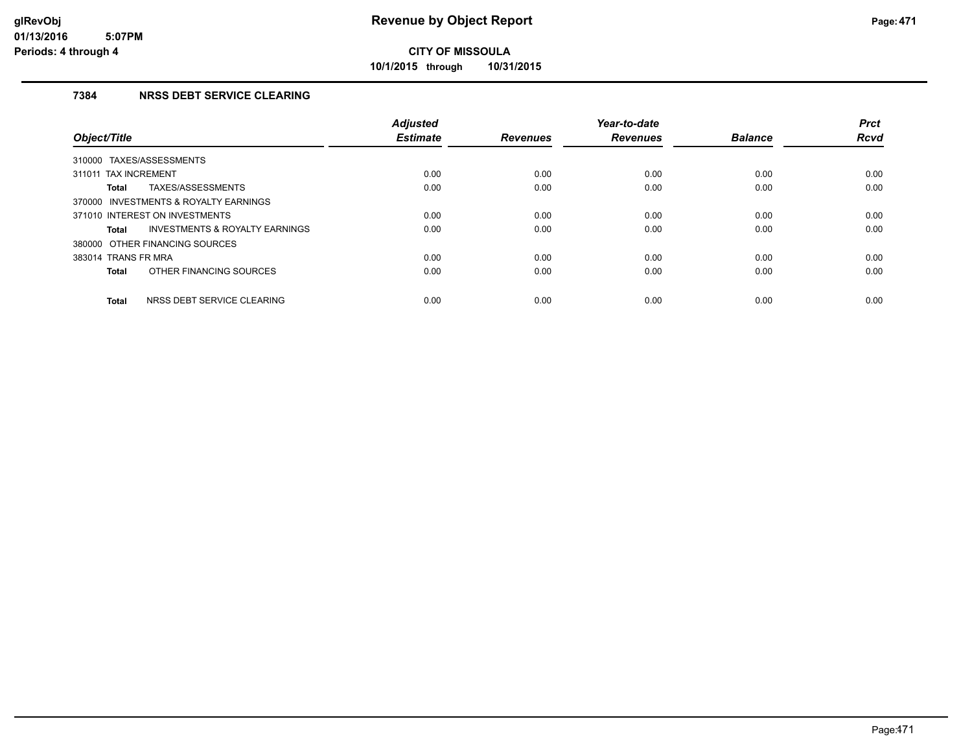**10/1/2015 through 10/31/2015**

### **7384 NRSS DEBT SERVICE CLEARING**

| Object/Title                                              | <b>Adjusted</b><br><b>Estimate</b> | <b>Revenues</b> | Year-to-date<br><b>Revenues</b> | <b>Balance</b> | <b>Prct</b><br><b>Rcvd</b> |
|-----------------------------------------------------------|------------------------------------|-----------------|---------------------------------|----------------|----------------------------|
| 310000 TAXES/ASSESSMENTS                                  |                                    |                 |                                 |                |                            |
| 311011 TAX INCREMENT                                      | 0.00                               | 0.00            | 0.00                            | 0.00           | 0.00                       |
| TAXES/ASSESSMENTS<br><b>Total</b>                         | 0.00                               | 0.00            | 0.00                            | 0.00           | 0.00                       |
| 370000 INVESTMENTS & ROYALTY EARNINGS                     |                                    |                 |                                 |                |                            |
| 371010 INTEREST ON INVESTMENTS                            | 0.00                               | 0.00            | 0.00                            | 0.00           | 0.00                       |
| <b>INVESTMENTS &amp; ROYALTY EARNINGS</b><br><b>Total</b> | 0.00                               | 0.00            | 0.00                            | 0.00           | 0.00                       |
| 380000 OTHER FINANCING SOURCES                            |                                    |                 |                                 |                |                            |
| 383014 TRANS FR MRA                                       | 0.00                               | 0.00            | 0.00                            | 0.00           | 0.00                       |
| OTHER FINANCING SOURCES<br><b>Total</b>                   | 0.00                               | 0.00            | 0.00                            | 0.00           | 0.00                       |
| NRSS DEBT SERVICE CLEARING<br><b>Total</b>                | 0.00                               | 0.00            | 0.00                            | 0.00           | 0.00                       |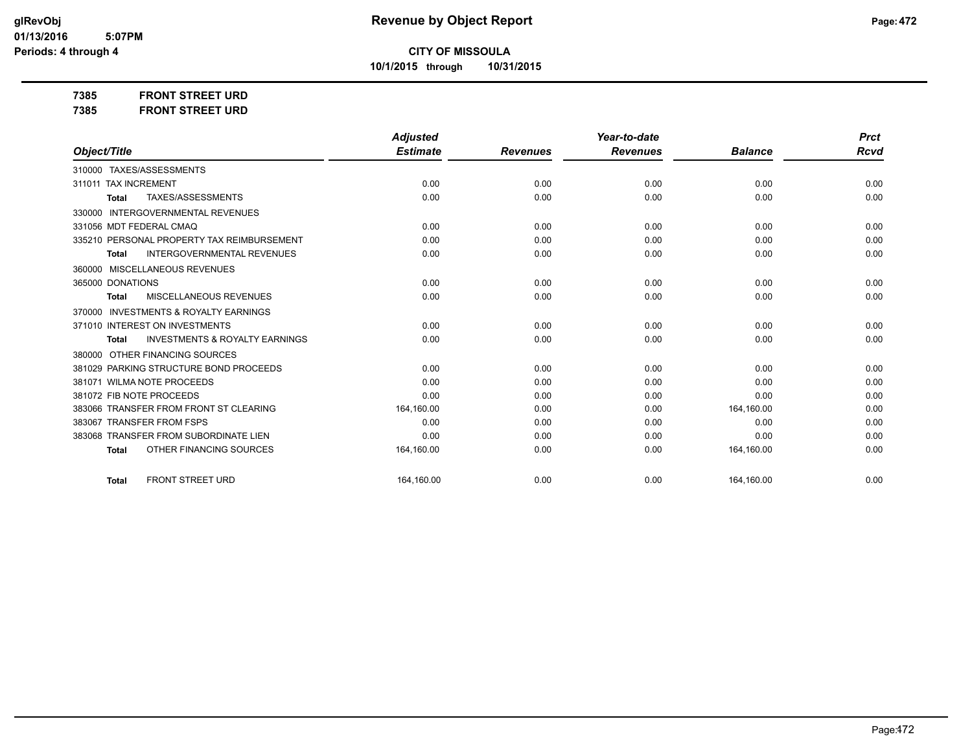### **CITY OF MISSOULA**

**10/1/2015 through 10/31/2015**

**7385 FRONT STREET URD 7385 FRONT STREET URD**

|                                                           | <b>Adjusted</b> |                 | Year-to-date    |                | <b>Prct</b> |
|-----------------------------------------------------------|-----------------|-----------------|-----------------|----------------|-------------|
| Object/Title                                              | <b>Estimate</b> | <b>Revenues</b> | <b>Revenues</b> | <b>Balance</b> | Rcvd        |
| TAXES/ASSESSMENTS<br>310000                               |                 |                 |                 |                |             |
| <b>TAX INCREMENT</b><br>311011                            | 0.00            | 0.00            | 0.00            | 0.00           | 0.00        |
| TAXES/ASSESSMENTS<br><b>Total</b>                         | 0.00            | 0.00            | 0.00            | 0.00           | 0.00        |
| <b>INTERGOVERNMENTAL REVENUES</b><br>330000               |                 |                 |                 |                |             |
| 331056 MDT FEDERAL CMAQ                                   | 0.00            | 0.00            | 0.00            | 0.00           | 0.00        |
| PERSONAL PROPERTY TAX REIMBURSEMENT<br>335210             | 0.00            | 0.00            | 0.00            | 0.00           | 0.00        |
| <b>INTERGOVERNMENTAL REVENUES</b><br><b>Total</b>         | 0.00            | 0.00            | 0.00            | 0.00           | 0.00        |
| MISCELLANEOUS REVENUES<br>360000                          |                 |                 |                 |                |             |
| 365000 DONATIONS                                          | 0.00            | 0.00            | 0.00            | 0.00           | 0.00        |
| MISCELLANEOUS REVENUES<br><b>Total</b>                    | 0.00            | 0.00            | 0.00            | 0.00           | 0.00        |
| <b>INVESTMENTS &amp; ROYALTY EARNINGS</b><br>370000       |                 |                 |                 |                |             |
| 371010 INTEREST ON INVESTMENTS                            | 0.00            | 0.00            | 0.00            | 0.00           | 0.00        |
| <b>INVESTMENTS &amp; ROYALTY EARNINGS</b><br><b>Total</b> | 0.00            | 0.00            | 0.00            | 0.00           | 0.00        |
| OTHER FINANCING SOURCES<br>380000                         |                 |                 |                 |                |             |
| 381029 PARKING STRUCTURE BOND PROCEEDS                    | 0.00            | 0.00            | 0.00            | 0.00           | 0.00        |
| 381071 WILMA NOTE PROCEEDS                                | 0.00            | 0.00            | 0.00            | 0.00           | 0.00        |
| 381072 FIB NOTE PROCEEDS                                  | 0.00            | 0.00            | 0.00            | 0.00           | 0.00        |
| 383066 TRANSFER FROM FRONT ST CLEARING                    | 164,160.00      | 0.00            | 0.00            | 164,160.00     | 0.00        |
| 383067 TRANSFER FROM FSPS                                 | 0.00            | 0.00            | 0.00            | 0.00           | 0.00        |

383068 TRANSFER FROM SUBORDINATE LIEN 0.00 0.00 0.00 0.00 0.00 **Total** OTHER FINANCING SOURCES 164,160.00 0.00 0.00 164,160.00 0.00

**Total** FRONT STREET URD 164,160.00 0.00 0.00 164,160.00 0.00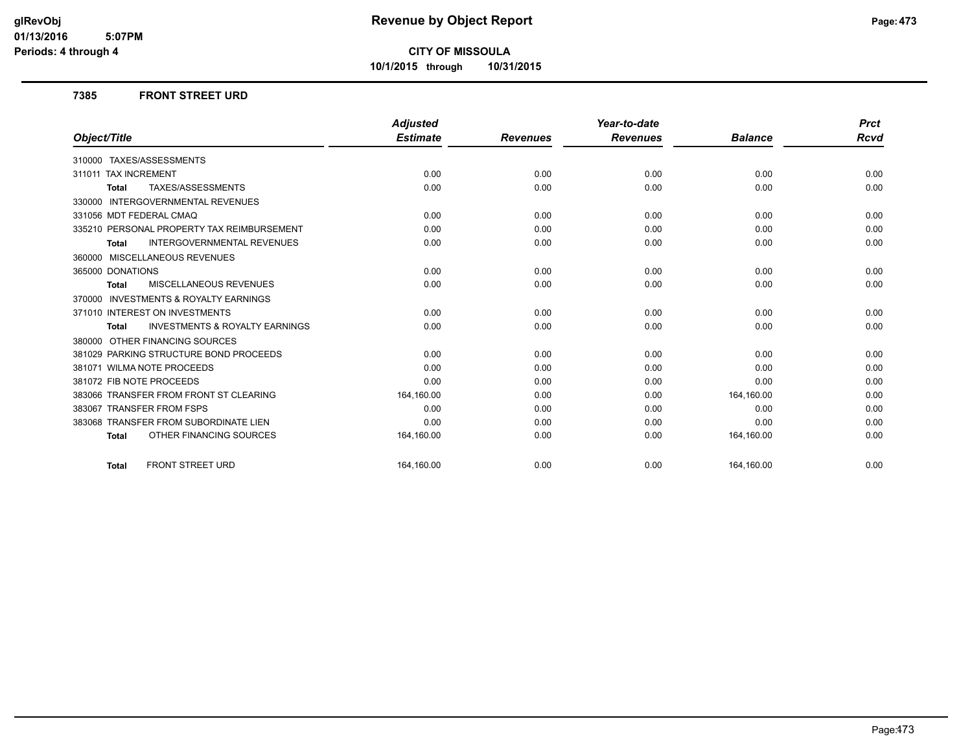**10/1/2015 through 10/31/2015**

### **7385 FRONT STREET URD**

|                                                           | <b>Adjusted</b> |                 | Year-to-date    |                | <b>Prct</b> |
|-----------------------------------------------------------|-----------------|-----------------|-----------------|----------------|-------------|
| Object/Title                                              | <b>Estimate</b> | <b>Revenues</b> | <b>Revenues</b> | <b>Balance</b> | Rcvd        |
| 310000 TAXES/ASSESSMENTS                                  |                 |                 |                 |                |             |
| 311011 TAX INCREMENT                                      | 0.00            | 0.00            | 0.00            | 0.00           | 0.00        |
| TAXES/ASSESSMENTS<br><b>Total</b>                         | 0.00            | 0.00            | 0.00            | 0.00           | 0.00        |
| 330000 INTERGOVERNMENTAL REVENUES                         |                 |                 |                 |                |             |
| 331056 MDT FEDERAL CMAQ                                   | 0.00            | 0.00            | 0.00            | 0.00           | 0.00        |
| 335210 PERSONAL PROPERTY TAX REIMBURSEMENT                | 0.00            | 0.00            | 0.00            | 0.00           | 0.00        |
| <b>INTERGOVERNMENTAL REVENUES</b><br><b>Total</b>         | 0.00            | 0.00            | 0.00            | 0.00           | 0.00        |
| 360000 MISCELLANEOUS REVENUES                             |                 |                 |                 |                |             |
| 365000 DONATIONS                                          | 0.00            | 0.00            | 0.00            | 0.00           | 0.00        |
| <b>MISCELLANEOUS REVENUES</b><br><b>Total</b>             | 0.00            | 0.00            | 0.00            | 0.00           | 0.00        |
| 370000 INVESTMENTS & ROYALTY EARNINGS                     |                 |                 |                 |                |             |
| 371010 INTEREST ON INVESTMENTS                            | 0.00            | 0.00            | 0.00            | 0.00           | 0.00        |
| <b>INVESTMENTS &amp; ROYALTY EARNINGS</b><br><b>Total</b> | 0.00            | 0.00            | 0.00            | 0.00           | 0.00        |
| 380000 OTHER FINANCING SOURCES                            |                 |                 |                 |                |             |
| 381029 PARKING STRUCTURE BOND PROCEEDS                    | 0.00            | 0.00            | 0.00            | 0.00           | 0.00        |
| 381071 WILMA NOTE PROCEEDS                                | 0.00            | 0.00            | 0.00            | 0.00           | 0.00        |
| 381072 FIB NOTE PROCEEDS                                  | 0.00            | 0.00            | 0.00            | 0.00           | 0.00        |
| 383066 TRANSFER FROM FRONT ST CLEARING                    | 164,160.00      | 0.00            | 0.00            | 164,160.00     | 0.00        |
| 383067 TRANSFER FROM FSPS                                 | 0.00            | 0.00            | 0.00            | 0.00           | 0.00        |
| 383068 TRANSFER FROM SUBORDINATE LIEN                     | 0.00            | 0.00            | 0.00            | 0.00           | 0.00        |
| OTHER FINANCING SOURCES<br><b>Total</b>                   | 164,160.00      | 0.00            | 0.00            | 164,160.00     | 0.00        |
| <b>FRONT STREET URD</b><br><b>Total</b>                   | 164.160.00      | 0.00            | 0.00            | 164,160.00     | 0.00        |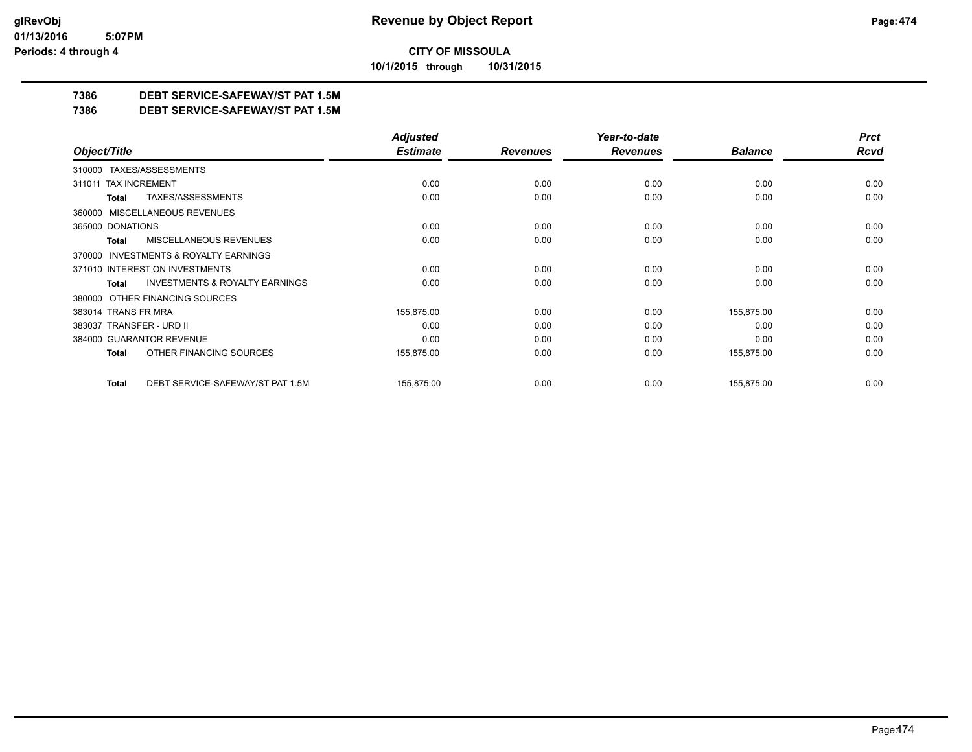**10/1/2015 through 10/31/2015**

### **7386 DEBT SERVICE-SAFEWAY/ST PAT 1.5M**

**7386 DEBT SERVICE-SAFEWAY/ST PAT 1.5M**

|                                |                                           | <b>Adjusted</b> |                 | Year-to-date    |                | <b>Prct</b> |
|--------------------------------|-------------------------------------------|-----------------|-----------------|-----------------|----------------|-------------|
| Object/Title                   |                                           | <b>Estimate</b> | <b>Revenues</b> | <b>Revenues</b> | <b>Balance</b> | <b>Rcvd</b> |
| 310000 TAXES/ASSESSMENTS       |                                           |                 |                 |                 |                |             |
| 311011 TAX INCREMENT           |                                           | 0.00            | 0.00            | 0.00            | 0.00           | 0.00        |
| Total                          | TAXES/ASSESSMENTS                         | 0.00            | 0.00            | 0.00            | 0.00           | 0.00        |
| 360000                         | MISCELLANEOUS REVENUES                    |                 |                 |                 |                |             |
| 365000 DONATIONS               |                                           | 0.00            | 0.00            | 0.00            | 0.00           | 0.00        |
| Total                          | MISCELLANEOUS REVENUES                    | 0.00            | 0.00            | 0.00            | 0.00           | 0.00        |
| 370000                         | <b>INVESTMENTS &amp; ROYALTY EARNINGS</b> |                 |                 |                 |                |             |
| 371010 INTEREST ON INVESTMENTS |                                           | 0.00            | 0.00            | 0.00            | 0.00           | 0.00        |
| Total                          | <b>INVESTMENTS &amp; ROYALTY EARNINGS</b> | 0.00            | 0.00            | 0.00            | 0.00           | 0.00        |
| 380000                         | OTHER FINANCING SOURCES                   |                 |                 |                 |                |             |
| 383014 TRANS FR MRA            |                                           | 155,875.00      | 0.00            | 0.00            | 155,875.00     | 0.00        |
| 383037 TRANSFER - URD II       |                                           | 0.00            | 0.00            | 0.00            | 0.00           | 0.00        |
| 384000 GUARANTOR REVENUE       |                                           | 0.00            | 0.00            | 0.00            | 0.00           | 0.00        |
| Total                          | OTHER FINANCING SOURCES                   | 155,875.00      | 0.00            | 0.00            | 155,875.00     | 0.00        |
| Total                          | DEBT SERVICE-SAFEWAY/ST PAT 1.5M          | 155,875.00      | 0.00            | 0.00            | 155,875.00     | 0.00        |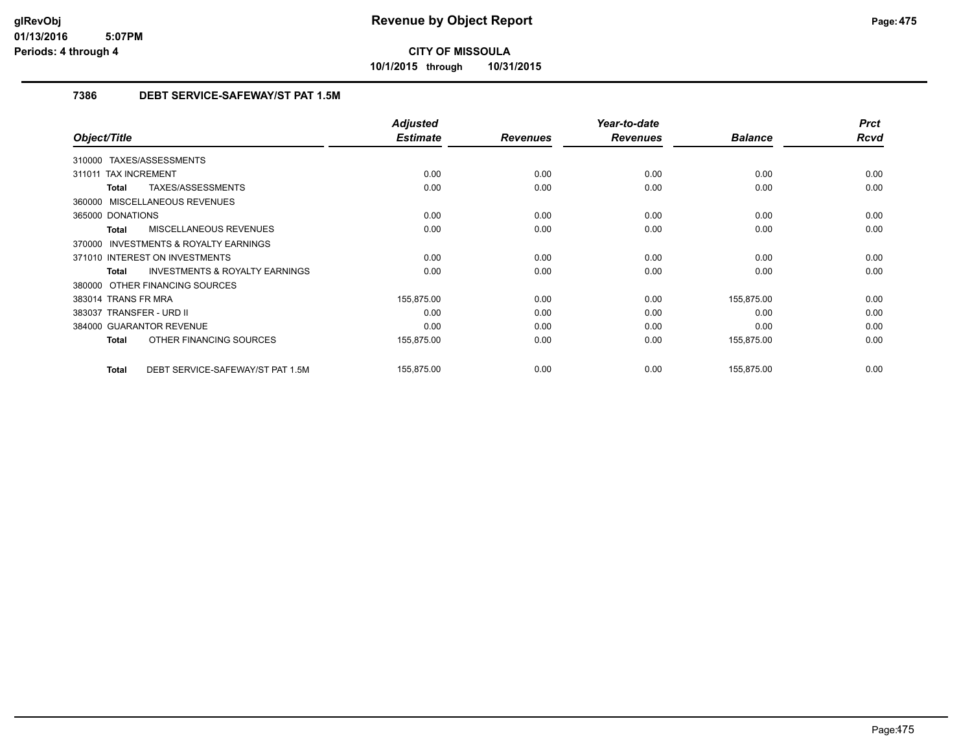**10/1/2015 through 10/31/2015**

### **7386 DEBT SERVICE-SAFEWAY/ST PAT 1.5M**

|                                                           | <b>Adjusted</b> |                 | Year-to-date    |                | <b>Prct</b> |
|-----------------------------------------------------------|-----------------|-----------------|-----------------|----------------|-------------|
| Object/Title                                              | <b>Estimate</b> | <b>Revenues</b> | <b>Revenues</b> | <b>Balance</b> | <b>Rcvd</b> |
| 310000 TAXES/ASSESSMENTS                                  |                 |                 |                 |                |             |
| <b>TAX INCREMENT</b><br>311011                            | 0.00            | 0.00            | 0.00            | 0.00           | 0.00        |
| TAXES/ASSESSMENTS<br>Total                                | 0.00            | 0.00            | 0.00            | 0.00           | 0.00        |
| 360000 MISCELLANEOUS REVENUES                             |                 |                 |                 |                |             |
| 365000 DONATIONS                                          | 0.00            | 0.00            | 0.00            | 0.00           | 0.00        |
| <b>MISCELLANEOUS REVENUES</b><br><b>Total</b>             | 0.00            | 0.00            | 0.00            | 0.00           | 0.00        |
| <b>INVESTMENTS &amp; ROYALTY EARNINGS</b><br>370000       |                 |                 |                 |                |             |
| 371010 INTEREST ON INVESTMENTS                            | 0.00            | 0.00            | 0.00            | 0.00           | 0.00        |
| <b>INVESTMENTS &amp; ROYALTY EARNINGS</b><br><b>Total</b> | 0.00            | 0.00            | 0.00            | 0.00           | 0.00        |
| 380000 OTHER FINANCING SOURCES                            |                 |                 |                 |                |             |
| 383014 TRANS FR MRA                                       | 155,875.00      | 0.00            | 0.00            | 155,875.00     | 0.00        |
| 383037 TRANSFER - URD II                                  | 0.00            | 0.00            | 0.00            | 0.00           | 0.00        |
| 384000 GUARANTOR REVENUE                                  | 0.00            | 0.00            | 0.00            | 0.00           | 0.00        |
| OTHER FINANCING SOURCES<br><b>Total</b>                   | 155,875.00      | 0.00            | 0.00            | 155,875.00     | 0.00        |
| DEBT SERVICE-SAFEWAY/ST PAT 1.5M<br><b>Total</b>          | 155,875.00      | 0.00            | 0.00            | 155,875.00     | 0.00        |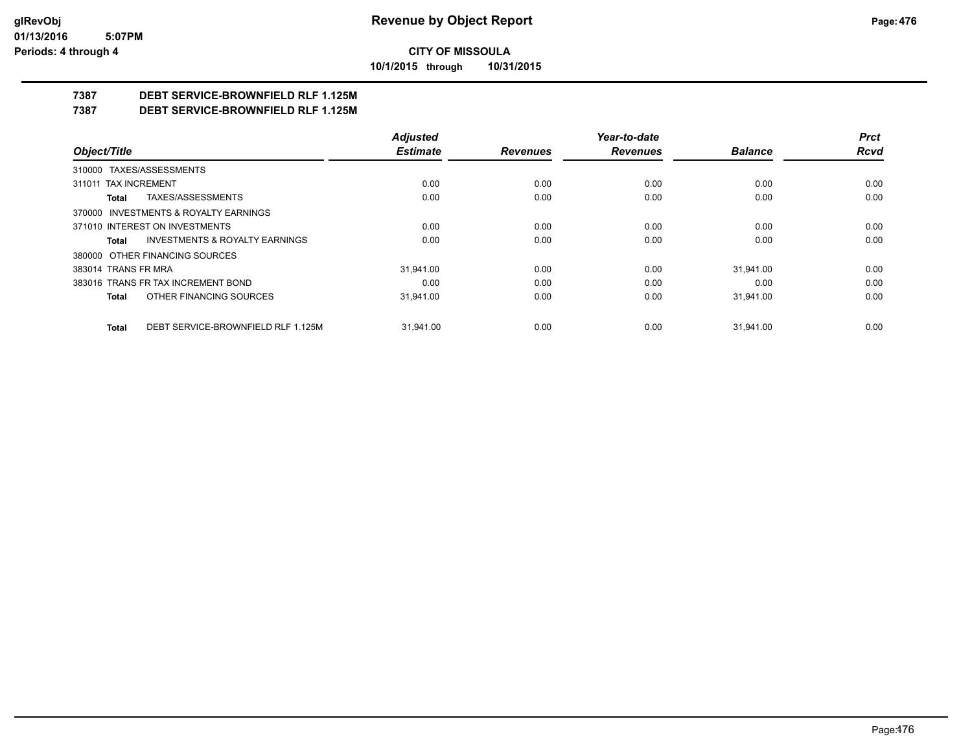**10/1/2015 through 10/31/2015**

### **7387 DEBT SERVICE-BROWNFIELD RLF 1.125M**

**7387 DEBT SERVICE-BROWNFIELD RLF 1.125M**

|                                                    | <b>Adjusted</b> |                 | Year-to-date    |                | <b>Prct</b> |
|----------------------------------------------------|-----------------|-----------------|-----------------|----------------|-------------|
| Object/Title                                       | <b>Estimate</b> | <b>Revenues</b> | <b>Revenues</b> | <b>Balance</b> | Rcvd        |
| 310000 TAXES/ASSESSMENTS                           |                 |                 |                 |                |             |
| 311011 TAX INCREMENT                               | 0.00            | 0.00            | 0.00            | 0.00           | 0.00        |
| TAXES/ASSESSMENTS<br><b>Total</b>                  | 0.00            | 0.00            | 0.00            | 0.00           | 0.00        |
| 370000 INVESTMENTS & ROYALTY EARNINGS              |                 |                 |                 |                |             |
| 371010 INTEREST ON INVESTMENTS                     | 0.00            | 0.00            | 0.00            | 0.00           | 0.00        |
| <b>INVESTMENTS &amp; ROYALTY EARNINGS</b><br>Total | 0.00            | 0.00            | 0.00            | 0.00           | 0.00        |
| 380000 OTHER FINANCING SOURCES                     |                 |                 |                 |                |             |
| 383014 TRANS FR MRA                                | 31.941.00       | 0.00            | 0.00            | 31.941.00      | 0.00        |
| 383016 TRANS FR TAX INCREMENT BOND                 | 0.00            | 0.00            | 0.00            | 0.00           | 0.00        |
| OTHER FINANCING SOURCES<br><b>Total</b>            | 31.941.00       | 0.00            | 0.00            | 31.941.00      | 0.00        |
| DEBT SERVICE-BROWNFIELD RLF 1.125M<br><b>Total</b> | 31.941.00       | 0.00            | 0.00            | 31.941.00      | 0.00        |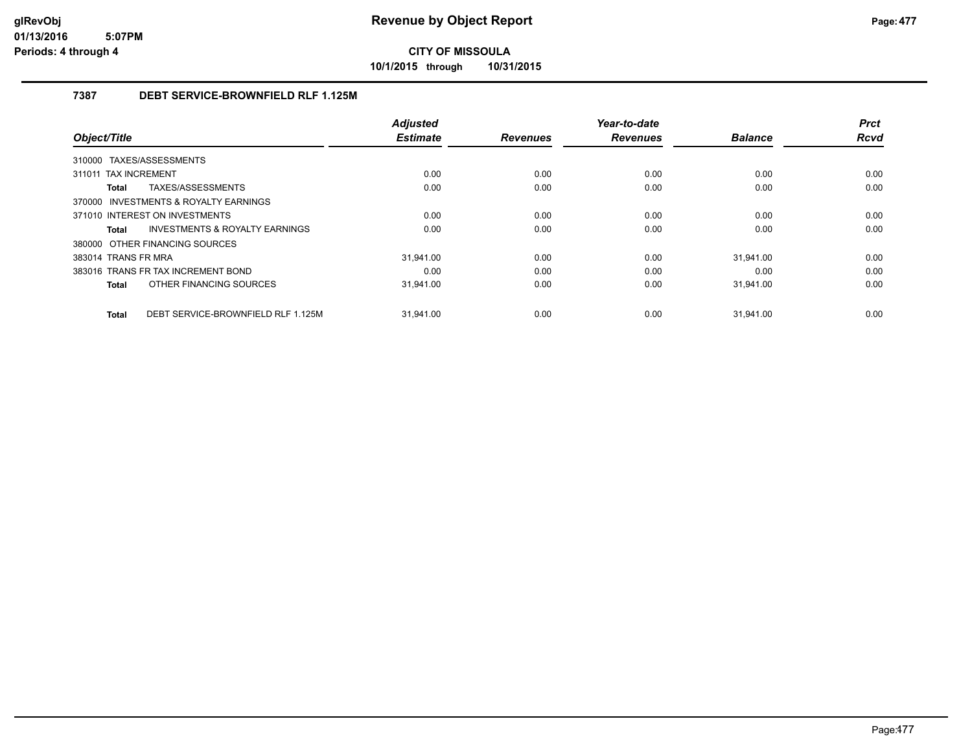**10/1/2015 through 10/31/2015**

### **7387 DEBT SERVICE-BROWNFIELD RLF 1.125M**

|                                             | <b>Adjusted</b> |                 | Year-to-date    |                | <b>Prct</b> |
|---------------------------------------------|-----------------|-----------------|-----------------|----------------|-------------|
| Object/Title                                | <b>Estimate</b> | <b>Revenues</b> | <b>Revenues</b> | <b>Balance</b> | <b>Rcvd</b> |
| TAXES/ASSESSMENTS<br>310000                 |                 |                 |                 |                |             |
| 311011 TAX INCREMENT                        | 0.00            | 0.00            | 0.00            | 0.00           | 0.00        |
| TAXES/ASSESSMENTS<br>Total                  | 0.00            | 0.00            | 0.00            | 0.00           | 0.00        |
| 370000 INVESTMENTS & ROYALTY EARNINGS       |                 |                 |                 |                |             |
| 371010 INTEREST ON INVESTMENTS              | 0.00            | 0.00            | 0.00            | 0.00           | 0.00        |
| INVESTMENTS & ROYALTY EARNINGS<br>Total     | 0.00            | 0.00            | 0.00            | 0.00           | 0.00        |
| 380000 OTHER FINANCING SOURCES              |                 |                 |                 |                |             |
| 383014 TRANS FR MRA                         | 31.941.00       | 0.00            | 0.00            | 31.941.00      | 0.00        |
| 383016 TRANS FR TAX INCREMENT BOND          | 0.00            | 0.00            | 0.00            | 0.00           | 0.00        |
| OTHER FINANCING SOURCES<br>Total            | 31,941.00       | 0.00            | 0.00            | 31,941.00      | 0.00        |
|                                             |                 |                 |                 |                |             |
| DEBT SERVICE-BROWNFIELD RLF 1.125M<br>Total | 31.941.00       | 0.00            | 0.00            | 31.941.00      | 0.00        |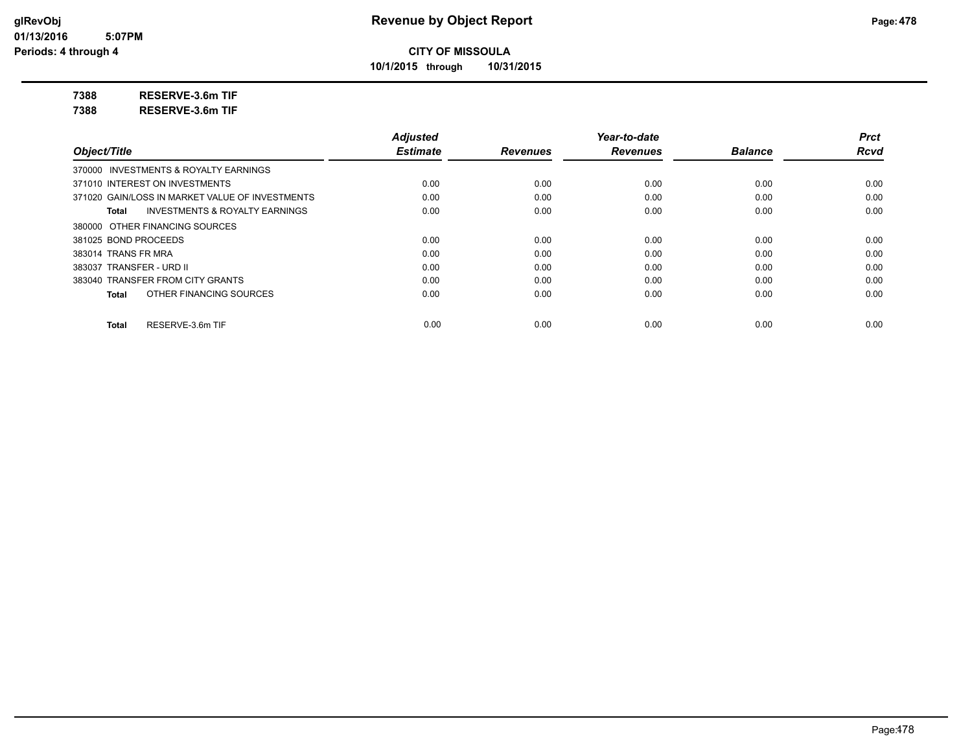**10/1/2015 through 10/31/2015**

**7388 RESERVE-3.6m TIF**

**7388 RESERVE-3.6m TIF**

|                                                    | <b>Adjusted</b> |                 | Year-to-date    |                | <b>Prct</b> |
|----------------------------------------------------|-----------------|-----------------|-----------------|----------------|-------------|
| Object/Title                                       | <b>Estimate</b> | <b>Revenues</b> | <b>Revenues</b> | <b>Balance</b> | <b>Rcvd</b> |
| 370000 INVESTMENTS & ROYALTY EARNINGS              |                 |                 |                 |                |             |
| 371010 INTEREST ON INVESTMENTS                     | 0.00            | 0.00            | 0.00            | 0.00           | 0.00        |
| 371020 GAIN/LOSS IN MARKET VALUE OF INVESTMENTS    | 0.00            | 0.00            | 0.00            | 0.00           | 0.00        |
| <b>INVESTMENTS &amp; ROYALTY EARNINGS</b><br>Total | 0.00            | 0.00            | 0.00            | 0.00           | 0.00        |
| 380000 OTHER FINANCING SOURCES                     |                 |                 |                 |                |             |
| 381025 BOND PROCEEDS                               | 0.00            | 0.00            | 0.00            | 0.00           | 0.00        |
| 383014 TRANS FR MRA                                | 0.00            | 0.00            | 0.00            | 0.00           | 0.00        |
| 383037 TRANSFER - URD II                           | 0.00            | 0.00            | 0.00            | 0.00           | 0.00        |
| 383040 TRANSFER FROM CITY GRANTS                   | 0.00            | 0.00            | 0.00            | 0.00           | 0.00        |
| OTHER FINANCING SOURCES<br>Total                   | 0.00            | 0.00            | 0.00            | 0.00           | 0.00        |
| RESERVE-3.6m TIF<br>Total                          | 0.00            | 0.00            | 0.00            | 0.00           | 0.00        |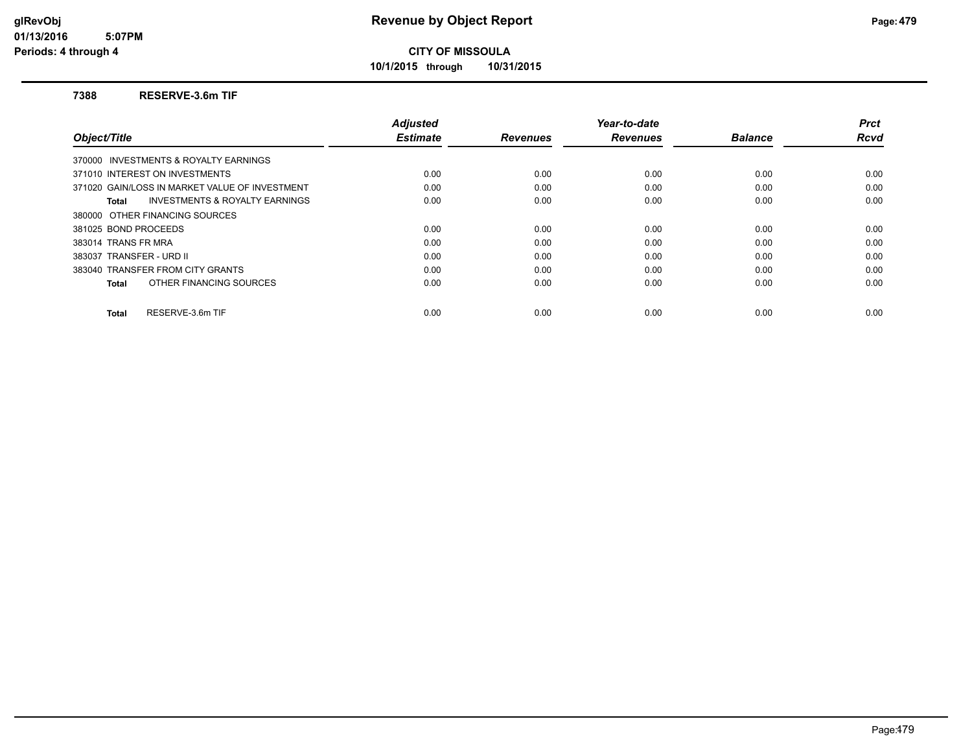**10/1/2015 through 10/31/2015**

### **7388 RESERVE-3.6m TIF**

|                                                    | <b>Adjusted</b> |                 | Year-to-date    |                | <b>Prct</b> |
|----------------------------------------------------|-----------------|-----------------|-----------------|----------------|-------------|
| Object/Title                                       | <b>Estimate</b> | <b>Revenues</b> | <b>Revenues</b> | <b>Balance</b> | Rcvd        |
| 370000 INVESTMENTS & ROYALTY EARNINGS              |                 |                 |                 |                |             |
| 371010 INTEREST ON INVESTMENTS                     | 0.00            | 0.00            | 0.00            | 0.00           | 0.00        |
| 371020 GAIN/LOSS IN MARKET VALUE OF INVESTMENT     | 0.00            | 0.00            | 0.00            | 0.00           | 0.00        |
| <b>INVESTMENTS &amp; ROYALTY EARNINGS</b><br>Total | 0.00            | 0.00            | 0.00            | 0.00           | 0.00        |
| 380000 OTHER FINANCING SOURCES                     |                 |                 |                 |                |             |
| 381025 BOND PROCEEDS                               | 0.00            | 0.00            | 0.00            | 0.00           | 0.00        |
| 383014 TRANS FR MRA                                | 0.00            | 0.00            | 0.00            | 0.00           | 0.00        |
| 383037 TRANSFER - URD II                           | 0.00            | 0.00            | 0.00            | 0.00           | 0.00        |
| 383040 TRANSFER FROM CITY GRANTS                   | 0.00            | 0.00            | 0.00            | 0.00           | 0.00        |
| OTHER FINANCING SOURCES<br>Total                   | 0.00            | 0.00            | 0.00            | 0.00           | 0.00        |
| RESERVE-3.6m TIF<br><b>Total</b>                   | 0.00            | 0.00            | 0.00            | 0.00           | 0.00        |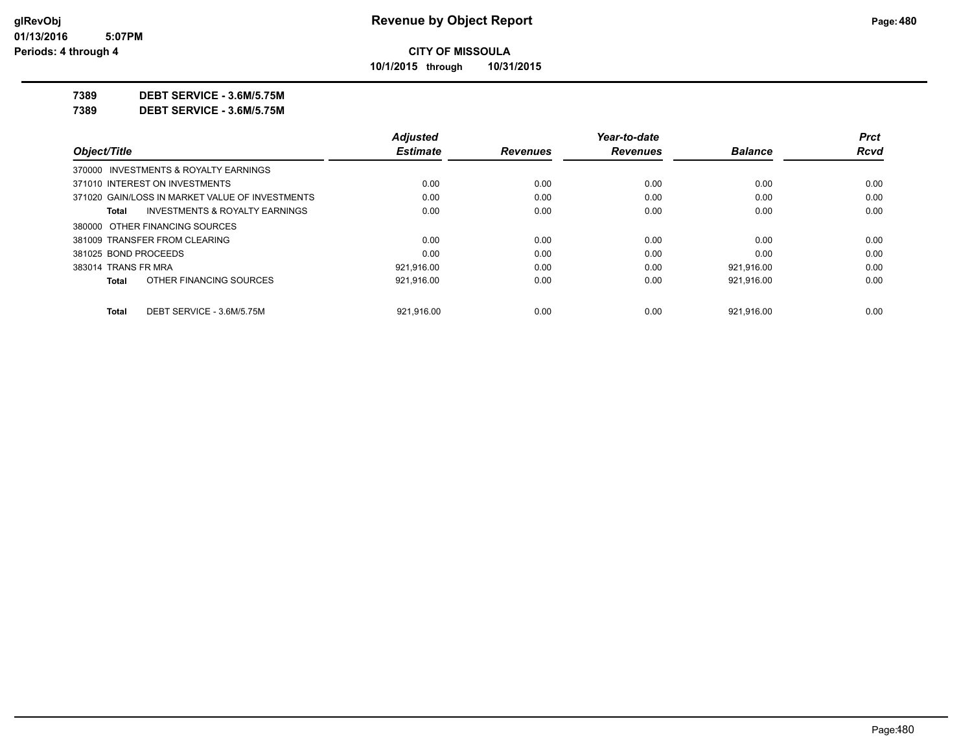**10/1/2015 through 10/31/2015**

**7389 DEBT SERVICE - 3.6M/5.75M**

**7389 DEBT SERVICE - 3.6M/5.75M**

| <b>Rcvd</b> |
|-------------|
|             |
|             |
| 0.00        |
| 0.00        |
| 0.00        |
|             |
| 0.00        |
| 0.00        |
| 0.00        |
| 0.00        |
| 0.00        |
|             |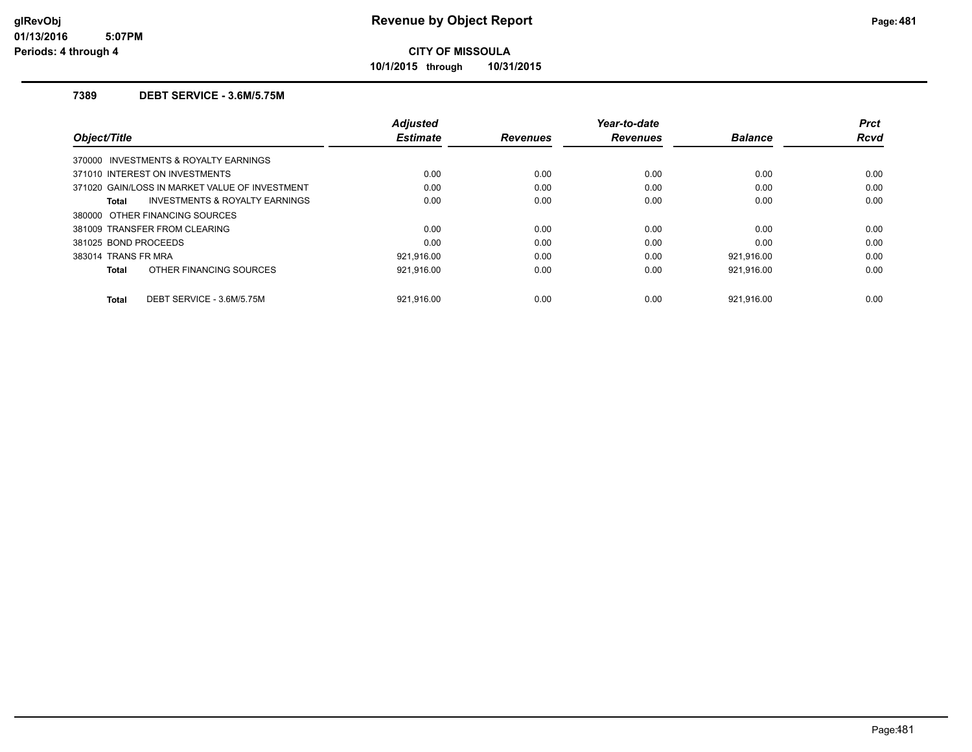**10/1/2015 through 10/31/2015**

### **7389 DEBT SERVICE - 3.6M/5.75M**

| Object/Title                                   | <b>Adjusted</b><br><b>Estimate</b> | <b>Revenues</b> | Year-to-date<br><b>Revenues</b> | <b>Balance</b> | <b>Prct</b><br><b>Rcvd</b> |
|------------------------------------------------|------------------------------------|-----------------|---------------------------------|----------------|----------------------------|
| 370000 INVESTMENTS & ROYALTY EARNINGS          |                                    |                 |                                 |                |                            |
| 371010 INTEREST ON INVESTMENTS                 | 0.00                               | 0.00            | 0.00                            | 0.00           | 0.00                       |
| 371020 GAIN/LOSS IN MARKET VALUE OF INVESTMENT | 0.00                               | 0.00            | 0.00                            | 0.00           | 0.00                       |
| INVESTMENTS & ROYALTY EARNINGS<br>Total        | 0.00                               | 0.00            | 0.00                            | 0.00           | 0.00                       |
| 380000 OTHER FINANCING SOURCES                 |                                    |                 |                                 |                |                            |
| 381009 TRANSFER FROM CLEARING                  | 0.00                               | 0.00            | 0.00                            | 0.00           | 0.00                       |
| 381025 BOND PROCEEDS                           | 0.00                               | 0.00            | 0.00                            | 0.00           | 0.00                       |
| 383014 TRANS FR MRA                            | 921,916.00                         | 0.00            | 0.00                            | 921,916.00     | 0.00                       |
| OTHER FINANCING SOURCES<br><b>Total</b>        | 921.916.00                         | 0.00            | 0.00                            | 921.916.00     | 0.00                       |
| DEBT SERVICE - 3.6M/5.75M<br><b>Total</b>      | 921.916.00                         | 0.00            | 0.00                            | 921.916.00     | 0.00                       |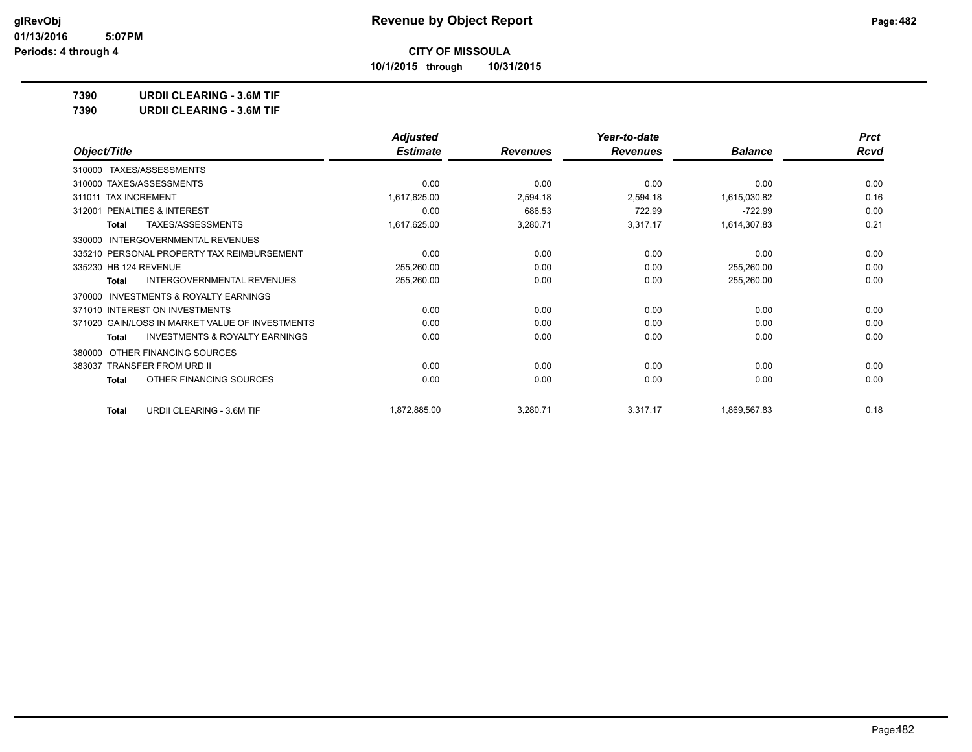**10/1/2015 through 10/31/2015**

**7390 URDII CLEARING - 3.6M TIF**

**7390 URDII CLEARING - 3.6M TIF**

|                                                    | <b>Adjusted</b> |                 | Year-to-date    |                | <b>Prct</b> |
|----------------------------------------------------|-----------------|-----------------|-----------------|----------------|-------------|
| Object/Title                                       | <b>Estimate</b> | <b>Revenues</b> | <b>Revenues</b> | <b>Balance</b> | <b>Rcvd</b> |
| 310000 TAXES/ASSESSMENTS                           |                 |                 |                 |                |             |
| 310000 TAXES/ASSESSMENTS                           | 0.00            | 0.00            | 0.00            | 0.00           | 0.00        |
| 311011 TAX INCREMENT                               | 1,617,625.00    | 2,594.18        | 2,594.18        | 1,615,030.82   | 0.16        |
| PENALTIES & INTEREST<br>312001                     | 0.00            | 686.53          | 722.99          | $-722.99$      | 0.00        |
| TAXES/ASSESSMENTS<br><b>Total</b>                  | 1,617,625.00    | 3,280.71        | 3,317.17        | 1,614,307.83   | 0.21        |
| INTERGOVERNMENTAL REVENUES<br>330000               |                 |                 |                 |                |             |
| 335210 PERSONAL PROPERTY TAX REIMBURSEMENT         | 0.00            | 0.00            | 0.00            | 0.00           | 0.00        |
| 335230 HB 124 REVENUE                              | 255,260.00      | 0.00            | 0.00            | 255,260.00     | 0.00        |
| INTERGOVERNMENTAL REVENUES<br><b>Total</b>         | 255,260.00      | 0.00            | 0.00            | 255,260.00     | 0.00        |
| INVESTMENTS & ROYALTY EARNINGS<br>370000           |                 |                 |                 |                |             |
| 371010 INTEREST ON INVESTMENTS                     | 0.00            | 0.00            | 0.00            | 0.00           | 0.00        |
| 371020 GAIN/LOSS IN MARKET VALUE OF INVESTMENTS    | 0.00            | 0.00            | 0.00            | 0.00           | 0.00        |
| <b>INVESTMENTS &amp; ROYALTY EARNINGS</b><br>Total | 0.00            | 0.00            | 0.00            | 0.00           | 0.00        |
| OTHER FINANCING SOURCES<br>380000                  |                 |                 |                 |                |             |
| 383037 TRANSFER FROM URD II                        | 0.00            | 0.00            | 0.00            | 0.00           | 0.00        |
| OTHER FINANCING SOURCES<br>Total                   | 0.00            | 0.00            | 0.00            | 0.00           | 0.00        |
| <b>URDII CLEARING - 3.6M TIF</b><br><b>Total</b>   | 1,872,885.00    | 3,280.71        | 3,317.17        | 1,869,567.83   | 0.18        |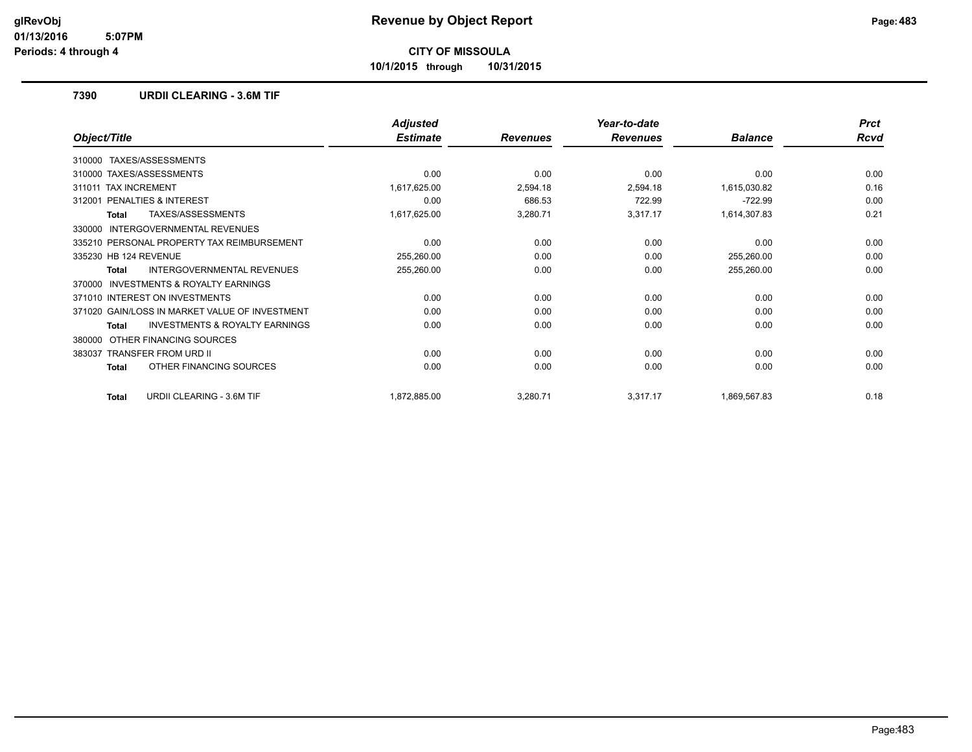**10/1/2015 through 10/31/2015**

### **7390 URDII CLEARING - 3.6M TIF**

|                                                    | <b>Adjusted</b> |                 | Year-to-date    |                | <b>Prct</b> |
|----------------------------------------------------|-----------------|-----------------|-----------------|----------------|-------------|
| Object/Title                                       | <b>Estimate</b> | <b>Revenues</b> | <b>Revenues</b> | <b>Balance</b> | Rcvd        |
| TAXES/ASSESSMENTS<br>310000                        |                 |                 |                 |                |             |
| 310000 TAXES/ASSESSMENTS                           | 0.00            | 0.00            | 0.00            | 0.00           | 0.00        |
| <b>TAX INCREMENT</b><br>311011                     | 1,617,625.00    | 2,594.18        | 2,594.18        | 1,615,030.82   | 0.16        |
| PENALTIES & INTEREST<br>312001                     | 0.00            | 686.53          | 722.99          | $-722.99$      | 0.00        |
| TAXES/ASSESSMENTS<br><b>Total</b>                  | 1,617,625.00    | 3,280.71        | 3,317.17        | 1,614,307.83   | 0.21        |
| INTERGOVERNMENTAL REVENUES<br>330000               |                 |                 |                 |                |             |
| 335210 PERSONAL PROPERTY TAX REIMBURSEMENT         | 0.00            | 0.00            | 0.00            | 0.00           | 0.00        |
| 335230 HB 124 REVENUE                              | 255,260.00      | 0.00            | 0.00            | 255,260.00     | 0.00        |
| <b>INTERGOVERNMENTAL REVENUES</b><br>Total         | 255,260.00      | 0.00            | 0.00            | 255,260.00     | 0.00        |
| INVESTMENTS & ROYALTY EARNINGS<br>370000           |                 |                 |                 |                |             |
| 371010 INTEREST ON INVESTMENTS                     | 0.00            | 0.00            | 0.00            | 0.00           | 0.00        |
| 371020 GAIN/LOSS IN MARKET VALUE OF INVESTMENT     | 0.00            | 0.00            | 0.00            | 0.00           | 0.00        |
| <b>INVESTMENTS &amp; ROYALTY EARNINGS</b><br>Total | 0.00            | 0.00            | 0.00            | 0.00           | 0.00        |
| OTHER FINANCING SOURCES<br>380000                  |                 |                 |                 |                |             |
| <b>TRANSFER FROM URD II</b><br>383037              | 0.00            | 0.00            | 0.00            | 0.00           | 0.00        |
| OTHER FINANCING SOURCES<br>Total                   | 0.00            | 0.00            | 0.00            | 0.00           | 0.00        |
| <b>URDII CLEARING - 3.6M TIF</b><br><b>Total</b>   | 1,872,885.00    | 3,280.71        | 3,317.17        | 1,869,567.83   | 0.18        |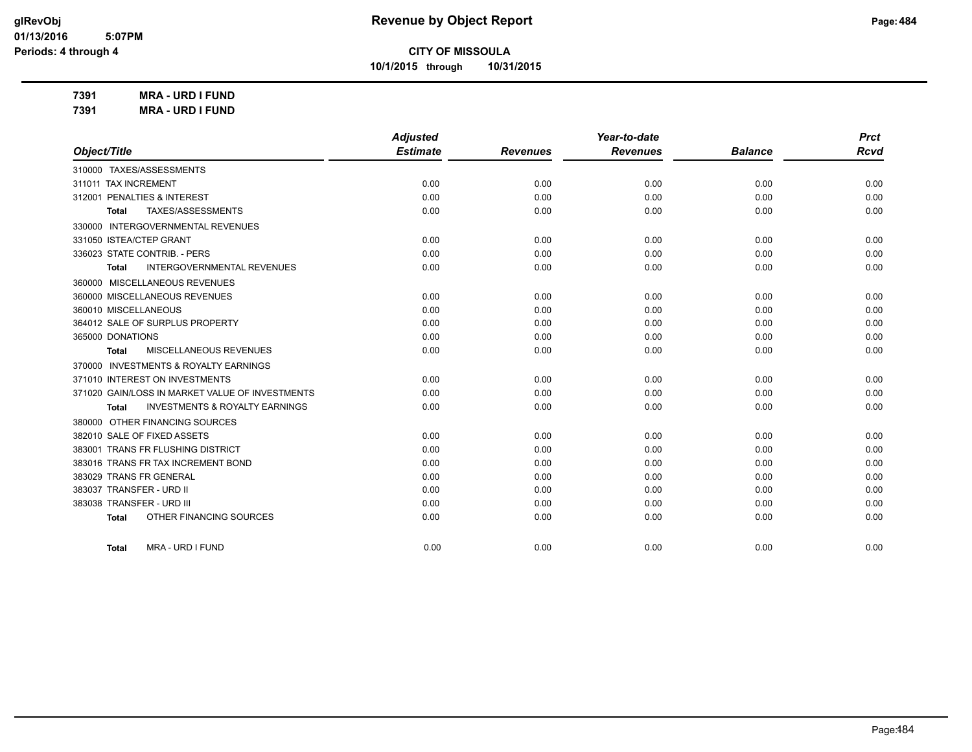**10/1/2015 through 10/31/2015**

**7391 MRA - URD I FUND**

| 7391 | <b>MRA - URD I FUND</b> |
|------|-------------------------|
|------|-------------------------|

|                                                    | <b>Adjusted</b> |                 | Year-to-date    |                | <b>Prct</b> |
|----------------------------------------------------|-----------------|-----------------|-----------------|----------------|-------------|
| Object/Title                                       | <b>Estimate</b> | <b>Revenues</b> | <b>Revenues</b> | <b>Balance</b> | Rcvd        |
| 310000 TAXES/ASSESSMENTS                           |                 |                 |                 |                |             |
| 311011 TAX INCREMENT                               | 0.00            | 0.00            | 0.00            | 0.00           | 0.00        |
| 312001 PENALTIES & INTEREST                        | 0.00            | 0.00            | 0.00            | 0.00           | 0.00        |
| TAXES/ASSESSMENTS<br>Total                         | 0.00            | 0.00            | 0.00            | 0.00           | 0.00        |
| 330000 INTERGOVERNMENTAL REVENUES                  |                 |                 |                 |                |             |
| 331050 ISTEA/CTEP GRANT                            | 0.00            | 0.00            | 0.00            | 0.00           | 0.00        |
| 336023 STATE CONTRIB. - PERS                       | 0.00            | 0.00            | 0.00            | 0.00           | 0.00        |
| <b>INTERGOVERNMENTAL REVENUES</b><br>Total         | 0.00            | 0.00            | 0.00            | 0.00           | 0.00        |
| 360000 MISCELLANEOUS REVENUES                      |                 |                 |                 |                |             |
| 360000 MISCELLANEOUS REVENUES                      | 0.00            | 0.00            | 0.00            | 0.00           | 0.00        |
| 360010 MISCELLANEOUS                               | 0.00            | 0.00            | 0.00            | 0.00           | 0.00        |
| 364012 SALE OF SURPLUS PROPERTY                    | 0.00            | 0.00            | 0.00            | 0.00           | 0.00        |
| 365000 DONATIONS                                   | 0.00            | 0.00            | 0.00            | 0.00           | 0.00        |
| MISCELLANEOUS REVENUES<br>Total                    | 0.00            | 0.00            | 0.00            | 0.00           | 0.00        |
| 370000 INVESTMENTS & ROYALTY EARNINGS              |                 |                 |                 |                |             |
| 371010 INTEREST ON INVESTMENTS                     | 0.00            | 0.00            | 0.00            | 0.00           | 0.00        |
| 371020 GAIN/LOSS IN MARKET VALUE OF INVESTMENTS    | 0.00            | 0.00            | 0.00            | 0.00           | 0.00        |
| <b>INVESTMENTS &amp; ROYALTY EARNINGS</b><br>Total | 0.00            | 0.00            | 0.00            | 0.00           | 0.00        |
| 380000 OTHER FINANCING SOURCES                     |                 |                 |                 |                |             |
| 382010 SALE OF FIXED ASSETS                        | 0.00            | 0.00            | 0.00            | 0.00           | 0.00        |
| 383001 TRANS FR FLUSHING DISTRICT                  | 0.00            | 0.00            | 0.00            | 0.00           | 0.00        |
| 383016 TRANS FR TAX INCREMENT BOND                 | 0.00            | 0.00            | 0.00            | 0.00           | 0.00        |
| 383029 TRANS FR GENERAL                            | 0.00            | 0.00            | 0.00            | 0.00           | 0.00        |
| 383037 TRANSFER - URD II                           | 0.00            | 0.00            | 0.00            | 0.00           | 0.00        |
| 383038 TRANSFER - URD III                          | 0.00            | 0.00            | 0.00            | 0.00           | 0.00        |
| OTHER FINANCING SOURCES<br><b>Total</b>            | 0.00            | 0.00            | 0.00            | 0.00           | 0.00        |
|                                                    |                 |                 |                 |                |             |
| MRA - URD I FUND<br><b>Total</b>                   | 0.00            | 0.00            | 0.00            | 0.00           | 0.00        |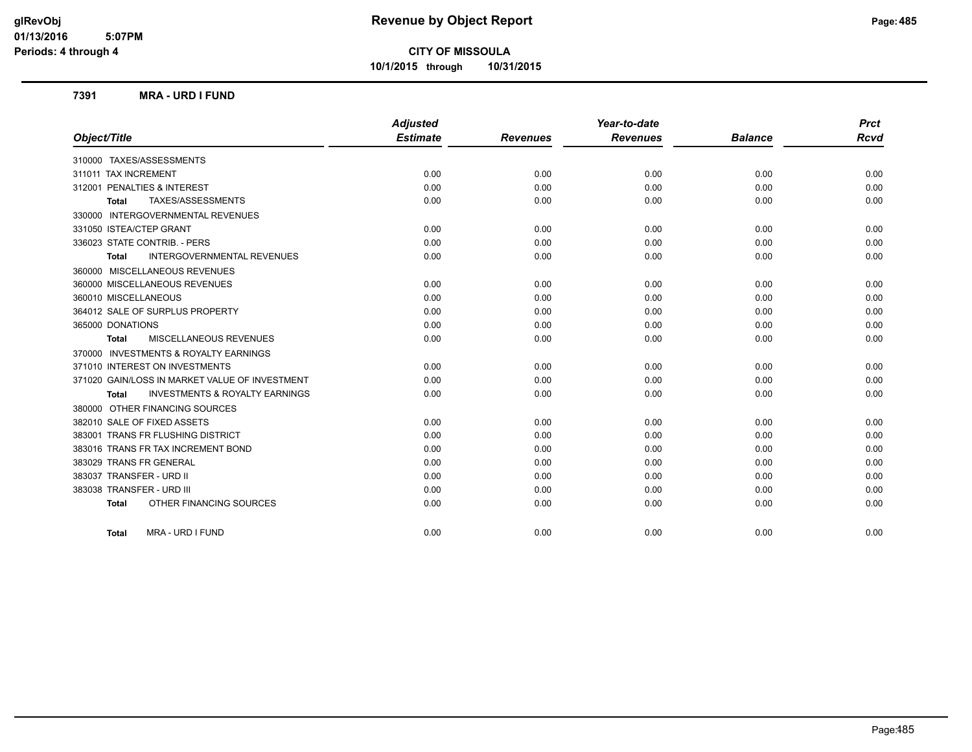**10/1/2015 through 10/31/2015**

### **7391 MRA - URD I FUND**

|                                                           | <b>Adjusted</b> |                 | Year-to-date    |                | <b>Prct</b> |
|-----------------------------------------------------------|-----------------|-----------------|-----------------|----------------|-------------|
| Object/Title                                              | <b>Estimate</b> | <b>Revenues</b> | <b>Revenues</b> | <b>Balance</b> | Rcvd        |
| 310000 TAXES/ASSESSMENTS                                  |                 |                 |                 |                |             |
| 311011 TAX INCREMENT                                      | 0.00            | 0.00            | 0.00            | 0.00           | 0.00        |
| 312001 PENALTIES & INTEREST                               | 0.00            | 0.00            | 0.00            | 0.00           | 0.00        |
| TAXES/ASSESSMENTS<br><b>Total</b>                         | 0.00            | 0.00            | 0.00            | 0.00           | 0.00        |
| 330000 INTERGOVERNMENTAL REVENUES                         |                 |                 |                 |                |             |
| 331050 ISTEA/CTEP GRANT                                   | 0.00            | 0.00            | 0.00            | 0.00           | 0.00        |
| 336023 STATE CONTRIB. - PERS                              | 0.00            | 0.00            | 0.00            | 0.00           | 0.00        |
| <b>INTERGOVERNMENTAL REVENUES</b><br><b>Total</b>         | 0.00            | 0.00            | 0.00            | 0.00           | 0.00        |
| 360000 MISCELLANEOUS REVENUES                             |                 |                 |                 |                |             |
| 360000 MISCELLANEOUS REVENUES                             | 0.00            | 0.00            | 0.00            | 0.00           | 0.00        |
| 360010 MISCELLANEOUS                                      | 0.00            | 0.00            | 0.00            | 0.00           | 0.00        |
| 364012 SALE OF SURPLUS PROPERTY                           | 0.00            | 0.00            | 0.00            | 0.00           | 0.00        |
| 365000 DONATIONS                                          | 0.00            | 0.00            | 0.00            | 0.00           | 0.00        |
| MISCELLANEOUS REVENUES<br><b>Total</b>                    | 0.00            | 0.00            | 0.00            | 0.00           | 0.00        |
| 370000 INVESTMENTS & ROYALTY EARNINGS                     |                 |                 |                 |                |             |
| 371010 INTEREST ON INVESTMENTS                            | 0.00            | 0.00            | 0.00            | 0.00           | 0.00        |
| 371020 GAIN/LOSS IN MARKET VALUE OF INVESTMENT            | 0.00            | 0.00            | 0.00            | 0.00           | 0.00        |
| <b>INVESTMENTS &amp; ROYALTY EARNINGS</b><br><b>Total</b> | 0.00            | 0.00            | 0.00            | 0.00           | 0.00        |
| 380000 OTHER FINANCING SOURCES                            |                 |                 |                 |                |             |
| 382010 SALE OF FIXED ASSETS                               | 0.00            | 0.00            | 0.00            | 0.00           | 0.00        |
| 383001 TRANS FR FLUSHING DISTRICT                         | 0.00            | 0.00            | 0.00            | 0.00           | 0.00        |
| 383016 TRANS FR TAX INCREMENT BOND                        | 0.00            | 0.00            | 0.00            | 0.00           | 0.00        |
| 383029 TRANS FR GENERAL                                   | 0.00            | 0.00            | 0.00            | 0.00           | 0.00        |
| 383037 TRANSFER - URD II                                  | 0.00            | 0.00            | 0.00            | 0.00           | 0.00        |
| 383038 TRANSFER - URD III                                 | 0.00            | 0.00            | 0.00            | 0.00           | 0.00        |
| OTHER FINANCING SOURCES<br><b>Total</b>                   | 0.00            | 0.00            | 0.00            | 0.00           | 0.00        |
| MRA - URD I FUND<br><b>Total</b>                          | 0.00            | 0.00            | 0.00            | 0.00           | 0.00        |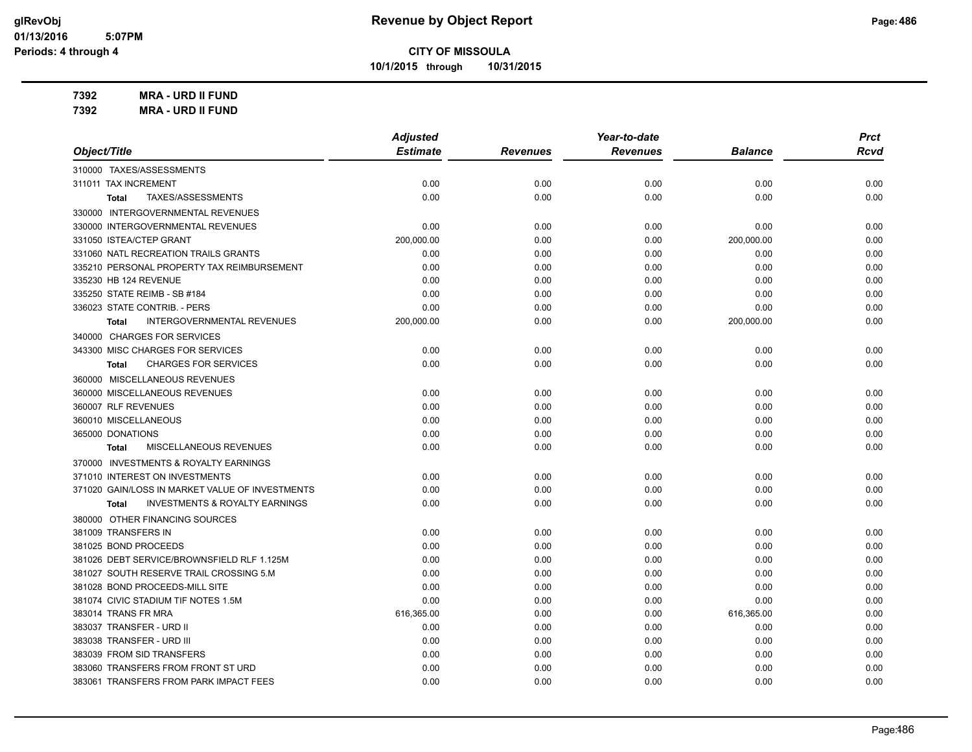**10/1/2015 through 10/31/2015**

**7392 MRA - URD II FUND 7392 MRA - URD II FUND**

|                                                           | <b>Adjusted</b><br><b>Estimate</b> |                 | Year-to-date    |                | <b>Prct</b> |
|-----------------------------------------------------------|------------------------------------|-----------------|-----------------|----------------|-------------|
| Object/Title                                              |                                    | <b>Revenues</b> | <b>Revenues</b> | <b>Balance</b> | <b>Rcvd</b> |
| 310000 TAXES/ASSESSMENTS                                  |                                    |                 |                 |                |             |
| 311011 TAX INCREMENT                                      | 0.00                               | 0.00            | 0.00            | 0.00           | 0.00        |
| TAXES/ASSESSMENTS<br>Total                                | 0.00                               | 0.00            | 0.00            | 0.00           | 0.00        |
| 330000 INTERGOVERNMENTAL REVENUES                         |                                    |                 |                 |                |             |
| 330000 INTERGOVERNMENTAL REVENUES                         | 0.00                               | 0.00            | 0.00            | 0.00           | 0.00        |
| 331050 ISTEA/CTEP GRANT                                   | 200,000.00                         | 0.00            | 0.00            | 200,000.00     | 0.00        |
| 331060 NATL RECREATION TRAILS GRANTS                      | 0.00                               | 0.00            | 0.00            | 0.00           | 0.00        |
| 335210 PERSONAL PROPERTY TAX REIMBURSEMENT                | 0.00                               | 0.00            | 0.00            | 0.00           | 0.00        |
| 335230 HB 124 REVENUE                                     | 0.00                               | 0.00            | 0.00            | 0.00           | 0.00        |
| 335250 STATE REIMB - SB #184                              | 0.00                               | 0.00            | 0.00            | 0.00           | 0.00        |
| 336023 STATE CONTRIB. - PERS                              | 0.00                               | 0.00            | 0.00            | 0.00           | 0.00        |
| INTERGOVERNMENTAL REVENUES<br>Total                       | 200,000.00                         | 0.00            | 0.00            | 200,000.00     | 0.00        |
| 340000 CHARGES FOR SERVICES                               |                                    |                 |                 |                |             |
| 343300 MISC CHARGES FOR SERVICES                          | 0.00                               | 0.00            | 0.00            | 0.00           | 0.00        |
| <b>CHARGES FOR SERVICES</b><br>Total                      | 0.00                               | 0.00            | 0.00            | 0.00           | 0.00        |
| 360000 MISCELLANEOUS REVENUES                             |                                    |                 |                 |                |             |
| 360000 MISCELLANEOUS REVENUES                             | 0.00                               | 0.00            | 0.00            | 0.00           | 0.00        |
| 360007 RLF REVENUES                                       | 0.00                               | 0.00            | 0.00            | 0.00           | 0.00        |
| 360010 MISCELLANEOUS                                      | 0.00                               | 0.00            | 0.00            | 0.00           | 0.00        |
| 365000 DONATIONS                                          | 0.00                               | 0.00            | 0.00            | 0.00           | 0.00        |
| MISCELLANEOUS REVENUES<br><b>Total</b>                    | 0.00                               | 0.00            | 0.00            | 0.00           | 0.00        |
| 370000 INVESTMENTS & ROYALTY EARNINGS                     |                                    |                 |                 |                |             |
| 371010 INTEREST ON INVESTMENTS                            | 0.00                               | 0.00            | 0.00            | 0.00           | 0.00        |
| 371020 GAIN/LOSS IN MARKET VALUE OF INVESTMENTS           | 0.00                               | 0.00            | 0.00            | 0.00           | 0.00        |
| <b>INVESTMENTS &amp; ROYALTY EARNINGS</b><br><b>Total</b> | 0.00                               | 0.00            | 0.00            | 0.00           | 0.00        |
| 380000 OTHER FINANCING SOURCES                            |                                    |                 |                 |                |             |
| 381009 TRANSFERS IN                                       | 0.00                               | 0.00            | 0.00            | 0.00           | 0.00        |
| 381025 BOND PROCEEDS                                      | 0.00                               | 0.00            | 0.00            | 0.00           | 0.00        |
| 381026 DEBT SERVICE/BROWNSFIELD RLF 1.125M                | 0.00                               | 0.00            | 0.00            | 0.00           | 0.00        |
| 381027 SOUTH RESERVE TRAIL CROSSING 5.M                   | 0.00                               | 0.00            | 0.00            | 0.00           | 0.00        |
| 381028 BOND PROCEEDS-MILL SITE                            | 0.00                               | 0.00            | 0.00            | 0.00           | 0.00        |
| 381074 CIVIC STADIUM TIF NOTES 1.5M                       | 0.00                               | 0.00            | 0.00            | 0.00           | 0.00        |
| 383014 TRANS FR MRA                                       | 616,365.00                         | 0.00            | 0.00            | 616,365.00     | 0.00        |
| 383037 TRANSFER - URD II                                  | 0.00                               | 0.00            | 0.00            | 0.00           | 0.00        |
| 383038 TRANSFER - URD III                                 | 0.00                               | 0.00            | 0.00            | 0.00           | 0.00        |
| 383039 FROM SID TRANSFERS                                 | 0.00                               | 0.00            | 0.00            | 0.00           | 0.00        |
| 383060 TRANSFERS FROM FRONT ST URD                        | 0.00                               | 0.00            | 0.00            | 0.00           | 0.00        |
| 383061 TRANSFERS FROM PARK IMPACT FEES                    | 0.00                               | 0.00            | 0.00            | 0.00           | 0.00        |
|                                                           |                                    |                 |                 |                |             |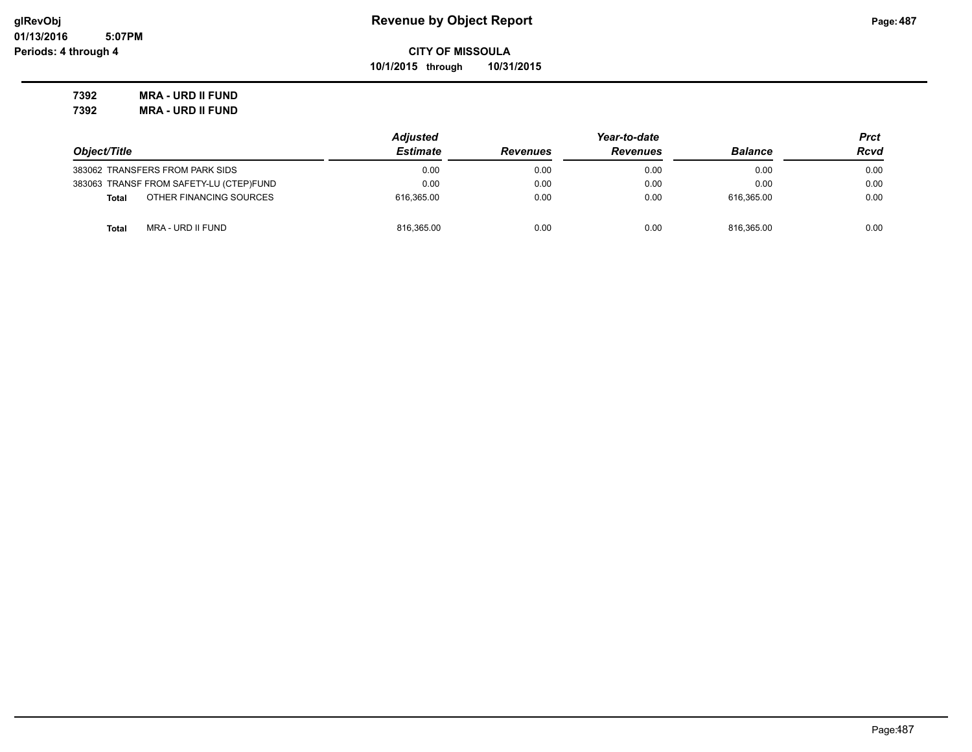**10/1/2015 through 10/31/2015**

**7392 MRA - URD II FUND 7392 MRA - URD II FUND**

|                                         | <b>Adjusted</b> |                 | Prct            |                |      |
|-----------------------------------------|-----------------|-----------------|-----------------|----------------|------|
| Object/Title                            | <b>Estimate</b> | <b>Revenues</b> | <b>Revenues</b> | <b>Balance</b> | Rcvd |
| 383062 TRANSFERS FROM PARK SIDS         | 0.00            | 0.00            | 0.00            | 0.00           | 0.00 |
| 383063 TRANSF FROM SAFETY-LU (CTEP)FUND | 0.00            | 0.00            | 0.00            | 0.00           | 0.00 |
| OTHER FINANCING SOURCES<br><b>Total</b> | 616.365.00      | 0.00            | 0.00            | 616.365.00     | 0.00 |
| MRA - URD II FUND<br><b>Total</b>       | 816,365.00      | 0.00            | 0.00            | 816.365.00     | 0.00 |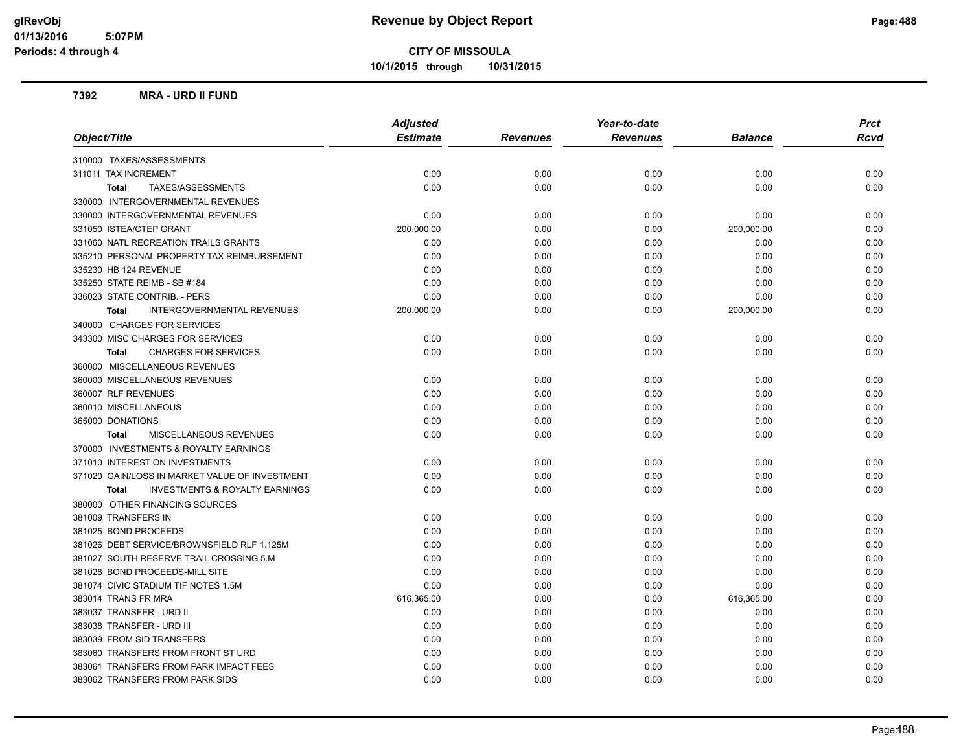**10/1/2015 through 10/31/2015**

### **7392 MRA - URD II FUND**

| Object/Title                                              | <b>Adjusted</b> |                 | Year-to-date    | <b>Prct</b>    |             |
|-----------------------------------------------------------|-----------------|-----------------|-----------------|----------------|-------------|
|                                                           | <b>Estimate</b> | <b>Revenues</b> | <b>Revenues</b> | <b>Balance</b> | <b>Rcvd</b> |
| 310000 TAXES/ASSESSMENTS                                  |                 |                 |                 |                |             |
| 311011 TAX INCREMENT                                      | 0.00            | 0.00            | 0.00            | 0.00           | 0.00        |
| TAXES/ASSESSMENTS<br><b>Total</b>                         | 0.00            | 0.00            | 0.00            | 0.00           | 0.00        |
| 330000 INTERGOVERNMENTAL REVENUES                         |                 |                 |                 |                |             |
| 330000 INTERGOVERNMENTAL REVENUES                         | 0.00            | 0.00            | 0.00            | 0.00           | 0.00        |
| 331050 ISTEA/CTEP GRANT                                   | 200,000.00      | 0.00            | 0.00            | 200,000.00     | 0.00        |
| 331060 NATL RECREATION TRAILS GRANTS                      | 0.00            | 0.00            | 0.00            | 0.00           | 0.00        |
| 335210 PERSONAL PROPERTY TAX REIMBURSEMENT                | 0.00            | 0.00            | 0.00            | 0.00           | 0.00        |
| 335230 HB 124 REVENUE                                     | 0.00            | 0.00            | 0.00            | 0.00           | 0.00        |
| 335250 STATE REIMB - SB #184                              | 0.00            | 0.00            | 0.00            | 0.00           | 0.00        |
| 336023 STATE CONTRIB. - PERS                              | 0.00            | 0.00            | 0.00            | 0.00           | 0.00        |
| INTERGOVERNMENTAL REVENUES<br><b>Total</b>                | 200,000.00      | 0.00            | 0.00            | 200,000.00     | 0.00        |
| 340000 CHARGES FOR SERVICES                               |                 |                 |                 |                |             |
| 343300 MISC CHARGES FOR SERVICES                          | 0.00            | 0.00            | 0.00            | 0.00           | 0.00        |
| <b>CHARGES FOR SERVICES</b><br><b>Total</b>               | 0.00            | 0.00            | 0.00            | 0.00           | 0.00        |
| 360000 MISCELLANEOUS REVENUES                             |                 |                 |                 |                |             |
| 360000 MISCELLANEOUS REVENUES                             | 0.00            | 0.00            | 0.00            | 0.00           | 0.00        |
| 360007 RLF REVENUES                                       | 0.00            | 0.00            | 0.00            | 0.00           | 0.00        |
| 360010 MISCELLANEOUS                                      | 0.00            | 0.00            | 0.00            | 0.00           | 0.00        |
| 365000 DONATIONS                                          | 0.00            | 0.00            | 0.00            | 0.00           | 0.00        |
| MISCELLANEOUS REVENUES<br><b>Total</b>                    | 0.00            | 0.00            | 0.00            | 0.00           | 0.00        |
| 370000 INVESTMENTS & ROYALTY EARNINGS                     |                 |                 |                 |                |             |
| 371010 INTEREST ON INVESTMENTS                            | 0.00            | 0.00            | 0.00            | 0.00           | 0.00        |
| 371020 GAIN/LOSS IN MARKET VALUE OF INVESTMENT            | 0.00            | 0.00            | 0.00            | 0.00           | 0.00        |
| <b>INVESTMENTS &amp; ROYALTY EARNINGS</b><br><b>Total</b> | 0.00            | 0.00            | 0.00            | 0.00           | 0.00        |
| 380000 OTHER FINANCING SOURCES                            |                 |                 |                 |                |             |
| 381009 TRANSFERS IN                                       | 0.00            | 0.00            | 0.00            | 0.00           | 0.00        |
| 381025 BOND PROCEEDS                                      | 0.00            | 0.00            | 0.00            | 0.00           | 0.00        |
| 381026 DEBT SERVICE/BROWNSFIELD RLF 1.125M                | 0.00            | 0.00            | 0.00            | 0.00           | 0.00        |
| 381027 SOUTH RESERVE TRAIL CROSSING 5.M                   | 0.00            | 0.00            | 0.00            | 0.00           | 0.00        |
| 381028 BOND PROCEEDS-MILL SITE                            | 0.00            | 0.00            | 0.00            | 0.00           | 0.00        |
| 381074 CIVIC STADIUM TIF NOTES 1.5M                       | 0.00            | 0.00            | 0.00            | 0.00           | 0.00        |
| 383014 TRANS FR MRA                                       | 616,365.00      | 0.00            | 0.00            | 616,365.00     | 0.00        |
| 383037 TRANSFER - URD II                                  | 0.00            | 0.00            | 0.00            | 0.00           | 0.00        |
| 383038 TRANSFER - URD III                                 | 0.00            | 0.00            | 0.00            | 0.00           | 0.00        |
| 383039 FROM SID TRANSFERS                                 | 0.00            | 0.00            | 0.00            | 0.00           | 0.00        |
| 383060 TRANSFERS FROM FRONT ST URD                        | 0.00            | 0.00            | 0.00            | 0.00           | 0.00        |
| 383061 TRANSFERS FROM PARK IMPACT FEES                    | 0.00            | 0.00            | 0.00            | 0.00           | 0.00        |
| 383062 TRANSFERS FROM PARK SIDS                           | 0.00            | 0.00            | 0.00            | 0.00           | 0.00        |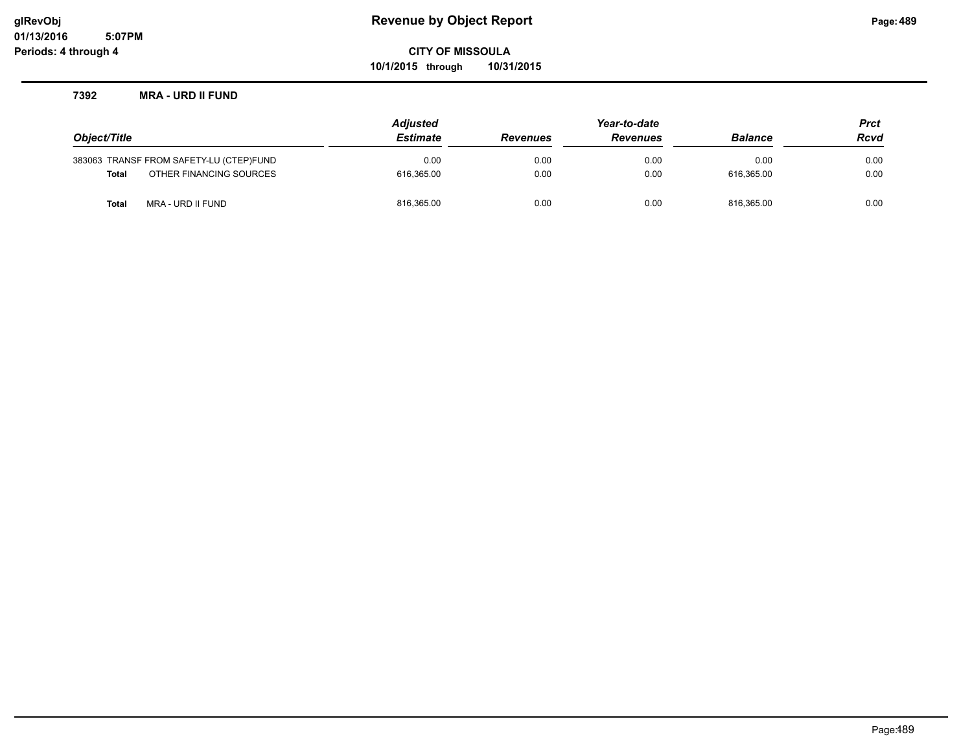**10/1/2015 through 10/31/2015**

### **7392 MRA - URD II FUND**

|                                         | <b>Adjusted</b> | Year-to-date    |                 |                | <b>Prct</b> |
|-----------------------------------------|-----------------|-----------------|-----------------|----------------|-------------|
| Object/Title                            | <b>Estimate</b> | <b>Revenues</b> | <b>Revenues</b> | <b>Balance</b> | <b>Rcvd</b> |
| 383063 TRANSF FROM SAFETY-LU (CTEP)FUND | 0.00            | 0.00            | 0.00            | 0.00           | 0.00        |
| OTHER FINANCING SOURCES<br><b>Total</b> | 616.365.00      | 0.00            | 0.00            | 616.365.00     | 0.00        |
| MRA - URD II FUND<br><b>Total</b>       | 816,365.00      | 0.00            | 0.00            | 816.365.00     | 0.00        |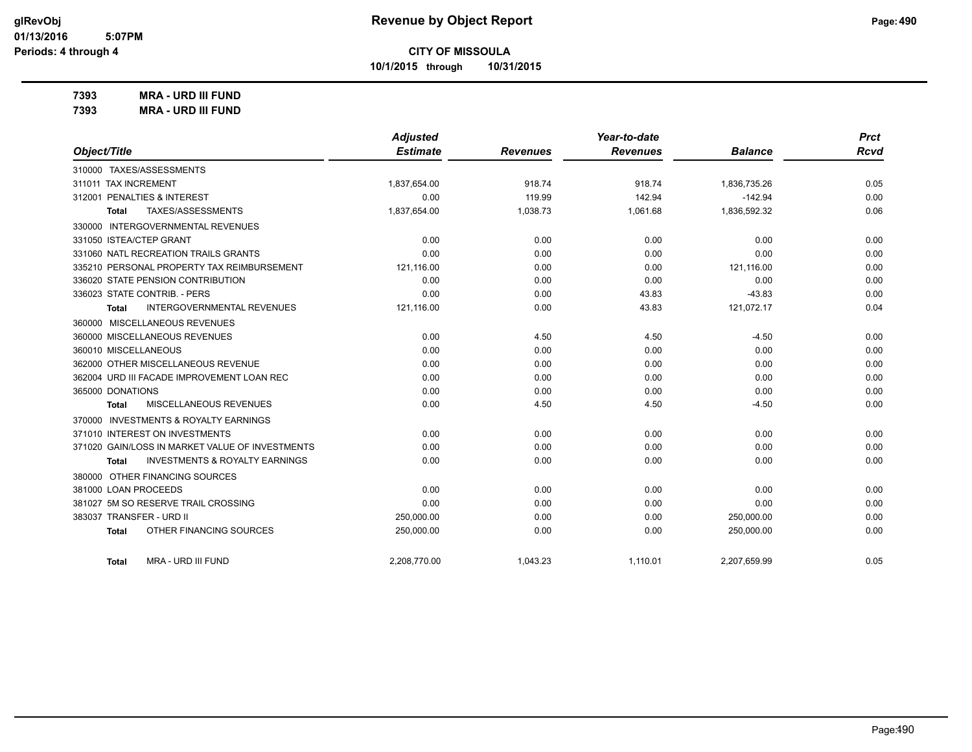**10/1/2015 through 10/31/2015**

**7393 MRA - URD III FUND**

**7393 MRA - URD III FUND**

|                                                           | <b>Adjusted</b> |                 | Year-to-date    |                | <b>Prct</b> |
|-----------------------------------------------------------|-----------------|-----------------|-----------------|----------------|-------------|
| Object/Title                                              | <b>Estimate</b> | <b>Revenues</b> | <b>Revenues</b> | <b>Balance</b> | <b>Rcvd</b> |
| 310000 TAXES/ASSESSMENTS                                  |                 |                 |                 |                |             |
| 311011 TAX INCREMENT                                      | 1,837,654.00    | 918.74          | 918.74          | 1,836,735.26   | 0.05        |
| 312001 PENALTIES & INTEREST                               | 0.00            | 119.99          | 142.94          | $-142.94$      | 0.00        |
| TAXES/ASSESSMENTS<br>Total                                | 1,837,654.00    | 1,038.73        | 1,061.68        | 1,836,592.32   | 0.06        |
| 330000 INTERGOVERNMENTAL REVENUES                         |                 |                 |                 |                |             |
| 331050 ISTEA/CTEP GRANT                                   | 0.00            | 0.00            | 0.00            | 0.00           | 0.00        |
| 331060 NATL RECREATION TRAILS GRANTS                      | 0.00            | 0.00            | 0.00            | 0.00           | 0.00        |
| 335210 PERSONAL PROPERTY TAX REIMBURSEMENT                | 121,116.00      | 0.00            | 0.00            | 121,116.00     | 0.00        |
| 336020 STATE PENSION CONTRIBUTION                         | 0.00            | 0.00            | 0.00            | 0.00           | 0.00        |
| 336023 STATE CONTRIB. - PERS                              | 0.00            | 0.00            | 43.83           | $-43.83$       | 0.00        |
| <b>INTERGOVERNMENTAL REVENUES</b><br><b>Total</b>         | 121,116.00      | 0.00            | 43.83           | 121,072.17     | 0.04        |
| 360000 MISCELLANEOUS REVENUES                             |                 |                 |                 |                |             |
| 360000 MISCELLANEOUS REVENUES                             | 0.00            | 4.50            | 4.50            | $-4.50$        | 0.00        |
| 360010 MISCELLANEOUS                                      | 0.00            | 0.00            | 0.00            | 0.00           | 0.00        |
| 362000 OTHER MISCELLANEOUS REVENUE                        | 0.00            | 0.00            | 0.00            | 0.00           | 0.00        |
| 362004 URD III FACADE IMPROVEMENT LOAN REC                | 0.00            | 0.00            | 0.00            | 0.00           | 0.00        |
| 365000 DONATIONS                                          | 0.00            | 0.00            | 0.00            | 0.00           | 0.00        |
| MISCELLANEOUS REVENUES<br><b>Total</b>                    | 0.00            | 4.50            | 4.50            | $-4.50$        | 0.00        |
| 370000 INVESTMENTS & ROYALTY EARNINGS                     |                 |                 |                 |                |             |
| 371010 INTEREST ON INVESTMENTS                            | 0.00            | 0.00            | 0.00            | 0.00           | 0.00        |
| 371020 GAIN/LOSS IN MARKET VALUE OF INVESTMENTS           | 0.00            | 0.00            | 0.00            | 0.00           | 0.00        |
| <b>INVESTMENTS &amp; ROYALTY EARNINGS</b><br><b>Total</b> | 0.00            | 0.00            | 0.00            | 0.00           | 0.00        |
| 380000 OTHER FINANCING SOURCES                            |                 |                 |                 |                |             |
| 381000 LOAN PROCEEDS                                      | 0.00            | 0.00            | 0.00            | 0.00           | 0.00        |
| 381027 5M SO RESERVE TRAIL CROSSING                       | 0.00            | 0.00            | 0.00            | 0.00           | 0.00        |
| 383037 TRANSFER - URD II                                  | 250,000.00      | 0.00            | 0.00            | 250,000.00     | 0.00        |
| OTHER FINANCING SOURCES<br><b>Total</b>                   | 250,000.00      | 0.00            | 0.00            | 250,000.00     | 0.00        |
| MRA - URD III FUND<br>Total                               | 2.208.770.00    | 1.043.23        | 1,110.01        | 2,207,659.99   | 0.05        |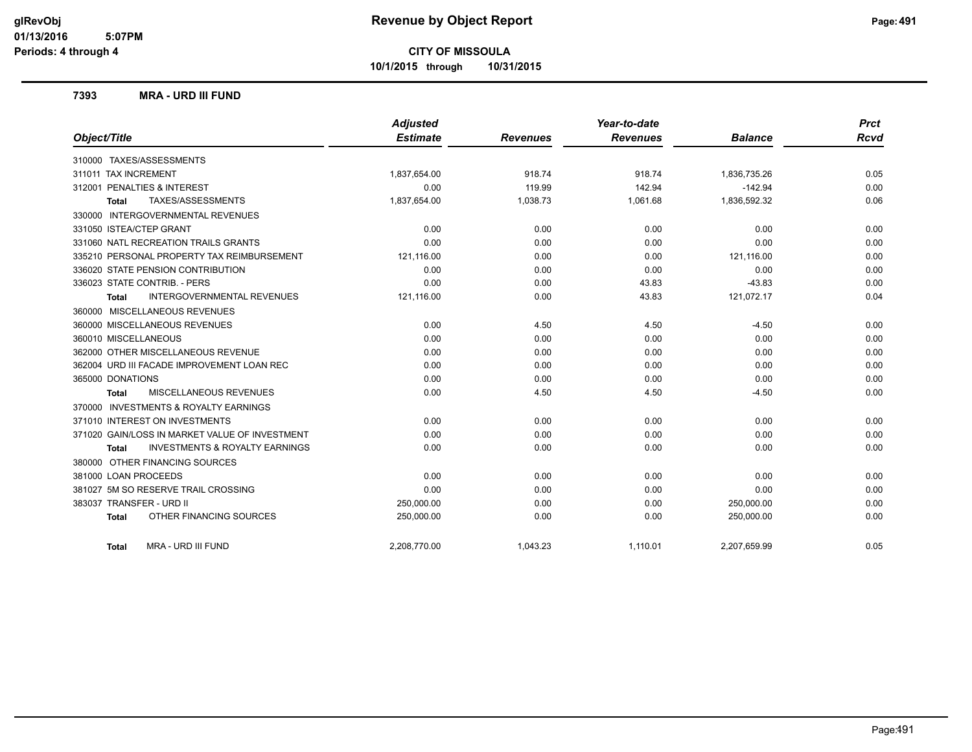**10/1/2015 through 10/31/2015**

### **7393 MRA - URD III FUND**

| Object/Title                                       | <b>Adjusted</b><br><b>Estimate</b> | <b>Revenues</b> | Year-to-date<br><b>Revenues</b> | <b>Balance</b> | <b>Prct</b><br><b>Rcvd</b> |
|----------------------------------------------------|------------------------------------|-----------------|---------------------------------|----------------|----------------------------|
|                                                    |                                    |                 |                                 |                |                            |
| 310000 TAXES/ASSESSMENTS                           |                                    |                 |                                 |                |                            |
| 311011 TAX INCREMENT                               | 1,837,654.00                       | 918.74          | 918.74                          | 1,836,735.26   | 0.05                       |
| 312001 PENALTIES & INTEREST                        | 0.00                               | 119.99          | 142.94                          | $-142.94$      | 0.00                       |
| TAXES/ASSESSMENTS<br>Total                         | 1,837,654.00                       | 1,038.73        | 1,061.68                        | 1,836,592.32   | 0.06                       |
| 330000 INTERGOVERNMENTAL REVENUES                  |                                    |                 |                                 |                |                            |
| 331050 ISTEA/CTEP GRANT                            | 0.00                               | 0.00            | 0.00                            | 0.00           | 0.00                       |
| 331060 NATL RECREATION TRAILS GRANTS               | 0.00                               | 0.00            | 0.00                            | 0.00           | 0.00                       |
| 335210 PERSONAL PROPERTY TAX REIMBURSEMENT         | 121,116.00                         | 0.00            | 0.00                            | 121,116.00     | 0.00                       |
| 336020 STATE PENSION CONTRIBUTION                  | 0.00                               | 0.00            | 0.00                            | 0.00           | 0.00                       |
| 336023 STATE CONTRIB. - PERS                       | 0.00                               | 0.00            | 43.83                           | $-43.83$       | 0.00                       |
| <b>INTERGOVERNMENTAL REVENUES</b><br><b>Total</b>  | 121,116.00                         | 0.00            | 43.83                           | 121,072.17     | 0.04                       |
| 360000 MISCELLANEOUS REVENUES                      |                                    |                 |                                 |                |                            |
| 360000 MISCELLANEOUS REVENUES                      | 0.00                               | 4.50            | 4.50                            | $-4.50$        | 0.00                       |
| 360010 MISCELLANEOUS                               | 0.00                               | 0.00            | 0.00                            | 0.00           | 0.00                       |
| 362000 OTHER MISCELLANEOUS REVENUE                 | 0.00                               | 0.00            | 0.00                            | 0.00           | 0.00                       |
| 362004 URD III FACADE IMPROVEMENT LOAN REC         | 0.00                               | 0.00            | 0.00                            | 0.00           | 0.00                       |
| 365000 DONATIONS                                   | 0.00                               | 0.00            | 0.00                            | 0.00           | 0.00                       |
| <b>MISCELLANEOUS REVENUES</b><br><b>Total</b>      | 0.00                               | 4.50            | 4.50                            | $-4.50$        | 0.00                       |
| 370000 INVESTMENTS & ROYALTY EARNINGS              |                                    |                 |                                 |                |                            |
| 371010 INTEREST ON INVESTMENTS                     | 0.00                               | 0.00            | 0.00                            | 0.00           | 0.00                       |
| 371020 GAIN/LOSS IN MARKET VALUE OF INVESTMENT     | 0.00                               | 0.00            | 0.00                            | 0.00           | 0.00                       |
| <b>INVESTMENTS &amp; ROYALTY EARNINGS</b><br>Total | 0.00                               | 0.00            | 0.00                            | 0.00           | 0.00                       |
| 380000 OTHER FINANCING SOURCES                     |                                    |                 |                                 |                |                            |
| 381000 LOAN PROCEEDS                               | 0.00                               | 0.00            | 0.00                            | 0.00           | 0.00                       |
| 381027 5M SO RESERVE TRAIL CROSSING                | 0.00                               | 0.00            | 0.00                            | 0.00           | 0.00                       |
| 383037 TRANSFER - URD II                           | 250,000.00                         | 0.00            | 0.00                            | 250,000.00     | 0.00                       |
| OTHER FINANCING SOURCES<br><b>Total</b>            | 250,000.00                         | 0.00            | 0.00                            | 250,000.00     | 0.00                       |
| MRA - URD III FUND<br>Total                        | 2,208,770.00                       | 1,043.23        | 1,110.01                        | 2,207,659.99   | 0.05                       |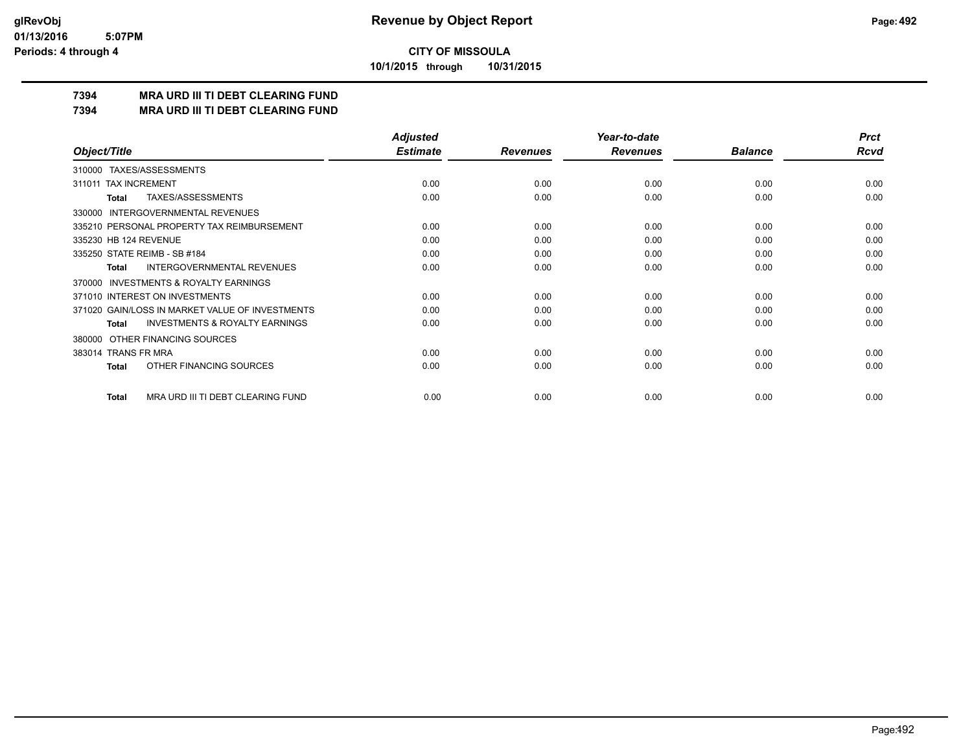**10/1/2015 through 10/31/2015**

### **7394 MRA URD III TI DEBT CLEARING FUND**

**7394 MRA URD III TI DEBT CLEARING FUND**

|                                                           | <b>Adjusted</b> |                 | Year-to-date    |                | <b>Prct</b> |
|-----------------------------------------------------------|-----------------|-----------------|-----------------|----------------|-------------|
| Object/Title                                              | <b>Estimate</b> | <b>Revenues</b> | <b>Revenues</b> | <b>Balance</b> | <b>Rcvd</b> |
| 310000 TAXES/ASSESSMENTS                                  |                 |                 |                 |                |             |
| <b>TAX INCREMENT</b><br>311011                            | 0.00            | 0.00            | 0.00            | 0.00           | 0.00        |
| TAXES/ASSESSMENTS<br><b>Total</b>                         | 0.00            | 0.00            | 0.00            | 0.00           | 0.00        |
| <b>INTERGOVERNMENTAL REVENUES</b><br>330000               |                 |                 |                 |                |             |
| 335210 PERSONAL PROPERTY TAX REIMBURSEMENT                | 0.00            | 0.00            | 0.00            | 0.00           | 0.00        |
| 335230 HB 124 REVENUE                                     | 0.00            | 0.00            | 0.00            | 0.00           | 0.00        |
| 335250 STATE REIMB - SB #184                              | 0.00            | 0.00            | 0.00            | 0.00           | 0.00        |
| INTERGOVERNMENTAL REVENUES<br><b>Total</b>                | 0.00            | 0.00            | 0.00            | 0.00           | 0.00        |
| <b>INVESTMENTS &amp; ROYALTY EARNINGS</b><br>370000       |                 |                 |                 |                |             |
| 371010 INTEREST ON INVESTMENTS                            | 0.00            | 0.00            | 0.00            | 0.00           | 0.00        |
| 371020 GAIN/LOSS IN MARKET VALUE OF INVESTMENTS           | 0.00            | 0.00            | 0.00            | 0.00           | 0.00        |
| <b>INVESTMENTS &amp; ROYALTY EARNINGS</b><br><b>Total</b> | 0.00            | 0.00            | 0.00            | 0.00           | 0.00        |
| OTHER FINANCING SOURCES<br>380000                         |                 |                 |                 |                |             |
| 383014 TRANS FR MRA                                       | 0.00            | 0.00            | 0.00            | 0.00           | 0.00        |
| OTHER FINANCING SOURCES<br><b>Total</b>                   | 0.00            | 0.00            | 0.00            | 0.00           | 0.00        |
| MRA URD III TI DEBT CLEARING FUND<br><b>Total</b>         | 0.00            | 0.00            | 0.00            | 0.00           | 0.00        |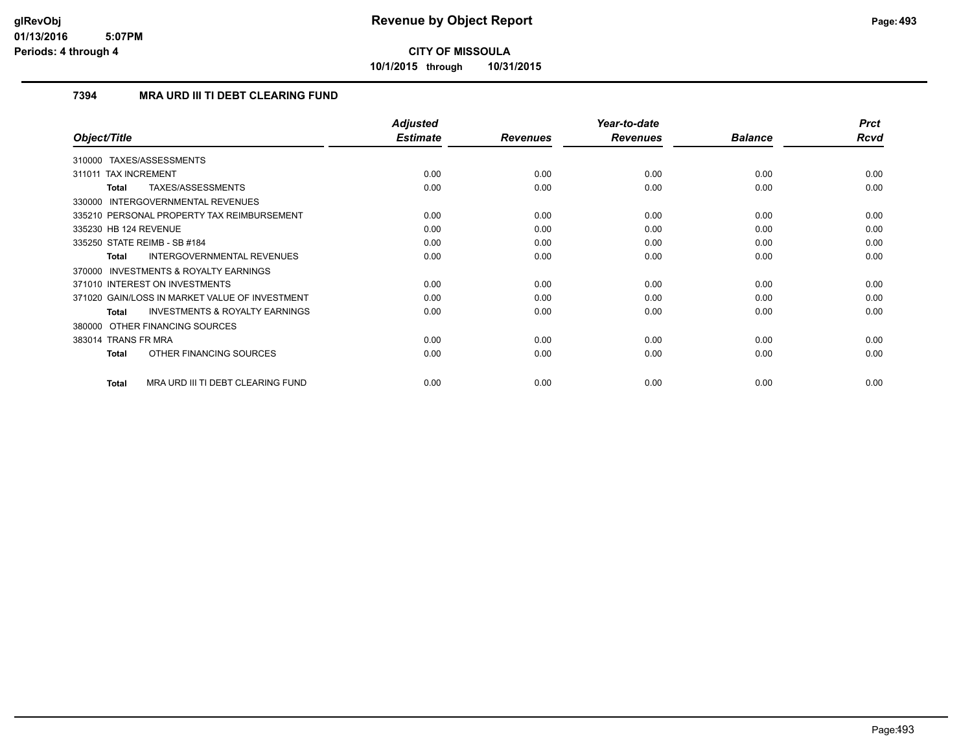**10/1/2015 through 10/31/2015**

### **7394 MRA URD III TI DEBT CLEARING FUND**

|                                                    | <b>Adjusted</b> |                 | Year-to-date    |                | <b>Prct</b> |
|----------------------------------------------------|-----------------|-----------------|-----------------|----------------|-------------|
| Object/Title                                       | <b>Estimate</b> | <b>Revenues</b> | <b>Revenues</b> | <b>Balance</b> | Rcvd        |
| TAXES/ASSESSMENTS<br>310000                        |                 |                 |                 |                |             |
| 311011 TAX INCREMENT                               | 0.00            | 0.00            | 0.00            | 0.00           | 0.00        |
| TAXES/ASSESSMENTS<br>Total                         | 0.00            | 0.00            | 0.00            | 0.00           | 0.00        |
| 330000 INTERGOVERNMENTAL REVENUES                  |                 |                 |                 |                |             |
| 335210 PERSONAL PROPERTY TAX REIMBURSEMENT         | 0.00            | 0.00            | 0.00            | 0.00           | 0.00        |
| 335230 HB 124 REVENUE                              | 0.00            | 0.00            | 0.00            | 0.00           | 0.00        |
| 335250 STATE REIMB - SB #184                       | 0.00            | 0.00            | 0.00            | 0.00           | 0.00        |
| <b>INTERGOVERNMENTAL REVENUES</b><br>Total         | 0.00            | 0.00            | 0.00            | 0.00           | 0.00        |
| 370000 INVESTMENTS & ROYALTY EARNINGS              |                 |                 |                 |                |             |
| 371010 INTEREST ON INVESTMENTS                     | 0.00            | 0.00            | 0.00            | 0.00           | 0.00        |
| 371020 GAIN/LOSS IN MARKET VALUE OF INVESTMENT     | 0.00            | 0.00            | 0.00            | 0.00           | 0.00        |
| <b>INVESTMENTS &amp; ROYALTY EARNINGS</b><br>Total | 0.00            | 0.00            | 0.00            | 0.00           | 0.00        |
| 380000 OTHER FINANCING SOURCES                     |                 |                 |                 |                |             |
| 383014 TRANS FR MRA                                | 0.00            | 0.00            | 0.00            | 0.00           | 0.00        |
| OTHER FINANCING SOURCES<br>Total                   | 0.00            | 0.00            | 0.00            | 0.00           | 0.00        |
| MRA URD III TI DEBT CLEARING FUND<br><b>Total</b>  | 0.00            | 0.00            | 0.00            | 0.00           | 0.00        |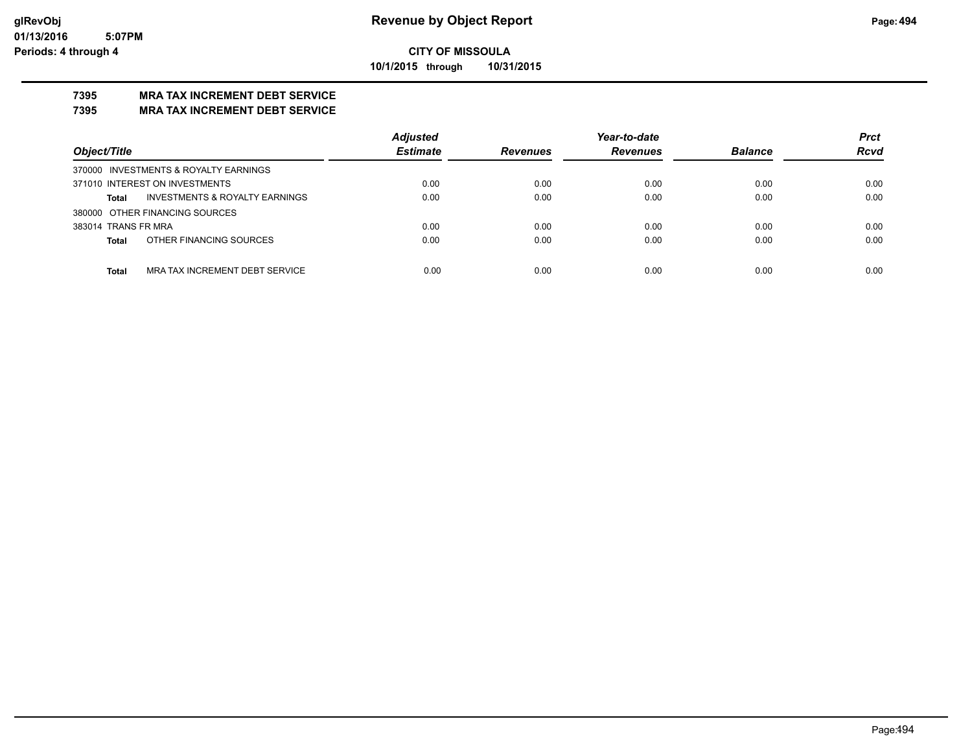**10/1/2015 through 10/31/2015**

# **7395 MRA TAX INCREMENT DEBT SERVICE**

### **7395 MRA TAX INCREMENT DEBT SERVICE**

|                                                           | <b>Adjusted</b> |                 | Year-to-date    |                | <b>Prct</b> |
|-----------------------------------------------------------|-----------------|-----------------|-----------------|----------------|-------------|
| Object/Title                                              | <b>Estimate</b> | <b>Revenues</b> | <b>Revenues</b> | <b>Balance</b> | <b>Rcvd</b> |
| 370000 INVESTMENTS & ROYALTY EARNINGS                     |                 |                 |                 |                |             |
| 371010 INTEREST ON INVESTMENTS                            | 0.00            | 0.00            | 0.00            | 0.00           | 0.00        |
| <b>INVESTMENTS &amp; ROYALTY EARNINGS</b><br><b>Total</b> | 0.00            | 0.00            | 0.00            | 0.00           | 0.00        |
| 380000 OTHER FINANCING SOURCES                            |                 |                 |                 |                |             |
| 383014 TRANS FR MRA                                       | 0.00            | 0.00            | 0.00            | 0.00           | 0.00        |
| OTHER FINANCING SOURCES<br><b>Total</b>                   | 0.00            | 0.00            | 0.00            | 0.00           | 0.00        |
|                                                           |                 |                 |                 |                |             |
| MRA TAX INCREMENT DEBT SERVICE<br><b>Total</b>            | 0.00            | 0.00            | 0.00            | 0.00           | 0.00        |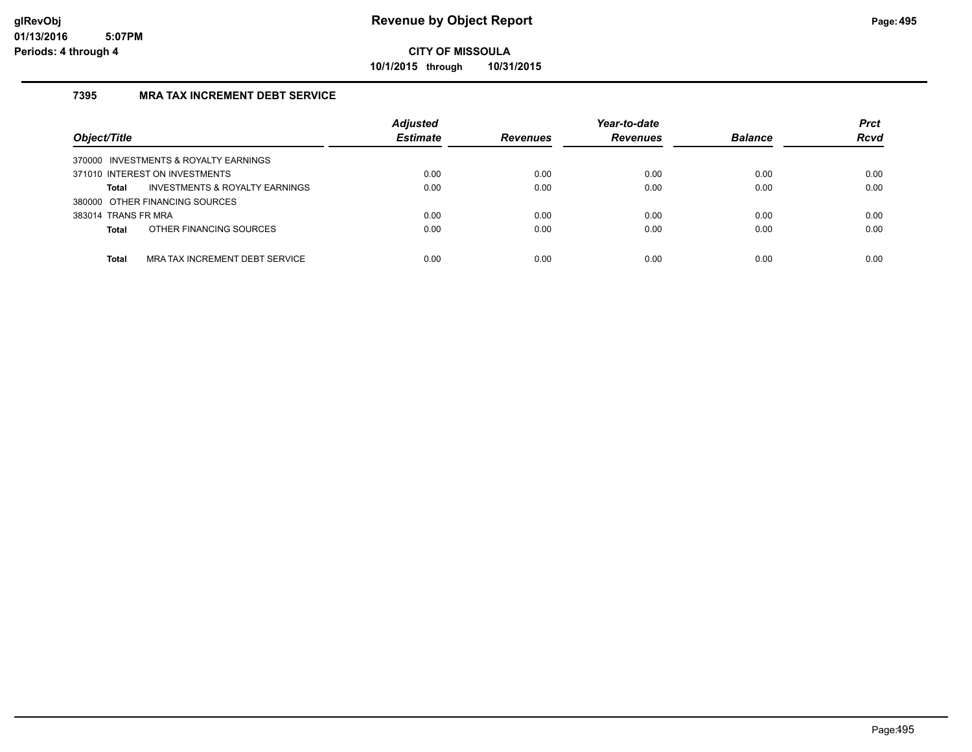**10/1/2015 through 10/31/2015**

### **7395 MRA TAX INCREMENT DEBT SERVICE**

| Object/Title                                   | <b>Adjusted</b><br><b>Estimate</b> | <b>Revenues</b> | Year-to-date<br><b>Revenues</b> | <b>Balance</b> | <b>Prct</b><br><b>Rcvd</b> |
|------------------------------------------------|------------------------------------|-----------------|---------------------------------|----------------|----------------------------|
| 370000 INVESTMENTS & ROYALTY EARNINGS          |                                    |                 |                                 |                |                            |
| 371010 INTEREST ON INVESTMENTS                 | 0.00                               | 0.00            | 0.00                            | 0.00           | 0.00                       |
| INVESTMENTS & ROYALTY EARNINGS<br>Total        | 0.00                               | 0.00            | 0.00                            | 0.00           | 0.00                       |
| 380000 OTHER FINANCING SOURCES                 |                                    |                 |                                 |                |                            |
| 383014 TRANS FR MRA                            | 0.00                               | 0.00            | 0.00                            | 0.00           | 0.00                       |
| OTHER FINANCING SOURCES<br><b>Total</b>        | 0.00                               | 0.00            | 0.00                            | 0.00           | 0.00                       |
|                                                |                                    |                 |                                 |                |                            |
| MRA TAX INCREMENT DEBT SERVICE<br><b>Total</b> | 0.00                               | 0.00            | 0.00                            | 0.00           | 0.00                       |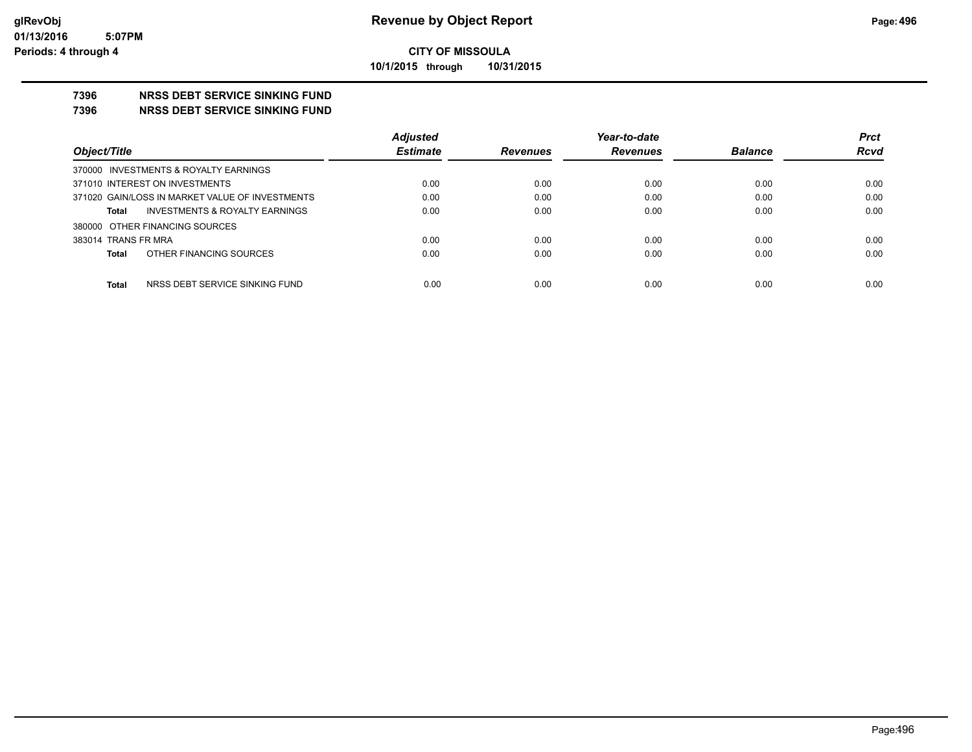### **CITY OF MISSOULA 10/1/2015 through 10/31/2015**

#### **7396 NRSS DEBT SERVICE SINKING FUND**

#### **7396 NRSS DEBT SERVICE SINKING FUND**

|                                                    | <b>Adjusted</b> |                 | Year-to-date    |                | <b>Prct</b> |
|----------------------------------------------------|-----------------|-----------------|-----------------|----------------|-------------|
| Object/Title                                       | <b>Estimate</b> | <b>Revenues</b> | <b>Revenues</b> | <b>Balance</b> | <b>Rcvd</b> |
| 370000 INVESTMENTS & ROYALTY EARNINGS              |                 |                 |                 |                |             |
| 371010 INTEREST ON INVESTMENTS                     | 0.00            | 0.00            | 0.00            | 0.00           | 0.00        |
| 371020 GAIN/LOSS IN MARKET VALUE OF INVESTMENTS    | 0.00            | 0.00            | 0.00            | 0.00           | 0.00        |
| <b>INVESTMENTS &amp; ROYALTY EARNINGS</b><br>Total | 0.00            | 0.00            | 0.00            | 0.00           | 0.00        |
| 380000 OTHER FINANCING SOURCES                     |                 |                 |                 |                |             |
| 383014 TRANS FR MRA                                | 0.00            | 0.00            | 0.00            | 0.00           | 0.00        |
| OTHER FINANCING SOURCES<br>Total                   | 0.00            | 0.00            | 0.00            | 0.00           | 0.00        |
|                                                    |                 |                 |                 |                |             |
| NRSS DEBT SERVICE SINKING FUND<br>Total            | 0.00            | 0.00            | 0.00            | 0.00           | 0.00        |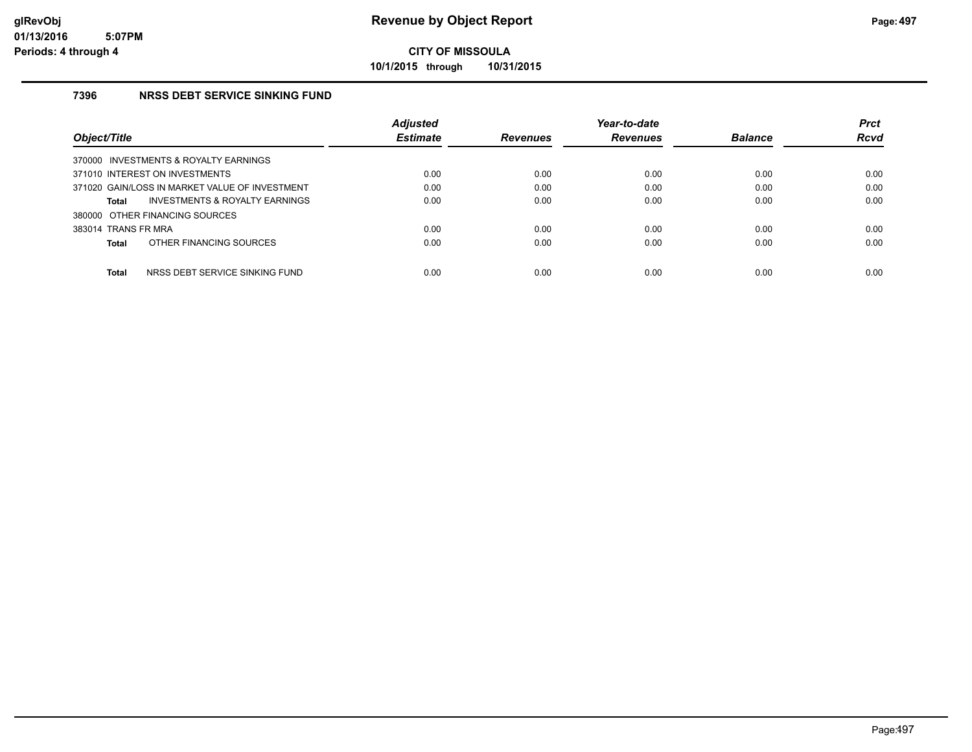**10/1/2015 through 10/31/2015**

### **7396 NRSS DEBT SERVICE SINKING FUND**

|                                                | <b>Adjusted</b> |                 | Year-to-date    |                | <b>Prct</b> |
|------------------------------------------------|-----------------|-----------------|-----------------|----------------|-------------|
| Object/Title                                   | <b>Estimate</b> | <b>Revenues</b> | <b>Revenues</b> | <b>Balance</b> | <b>Rcvd</b> |
| 370000 INVESTMENTS & ROYALTY EARNINGS          |                 |                 |                 |                |             |
| 371010 INTEREST ON INVESTMENTS                 | 0.00            | 0.00            | 0.00            | 0.00           | 0.00        |
| 371020 GAIN/LOSS IN MARKET VALUE OF INVESTMENT | 0.00            | 0.00            | 0.00            | 0.00           | 0.00        |
| INVESTMENTS & ROYALTY EARNINGS<br>Total        | 0.00            | 0.00            | 0.00            | 0.00           | 0.00        |
| 380000 OTHER FINANCING SOURCES                 |                 |                 |                 |                |             |
| 383014 TRANS FR MRA                            | 0.00            | 0.00            | 0.00            | 0.00           | 0.00        |
| OTHER FINANCING SOURCES<br>Total               | 0.00            | 0.00            | 0.00            | 0.00           | 0.00        |
|                                                |                 |                 |                 |                |             |
| NRSS DEBT SERVICE SINKING FUND<br><b>Total</b> | 0.00            | 0.00            | 0.00            | 0.00           | 0.00        |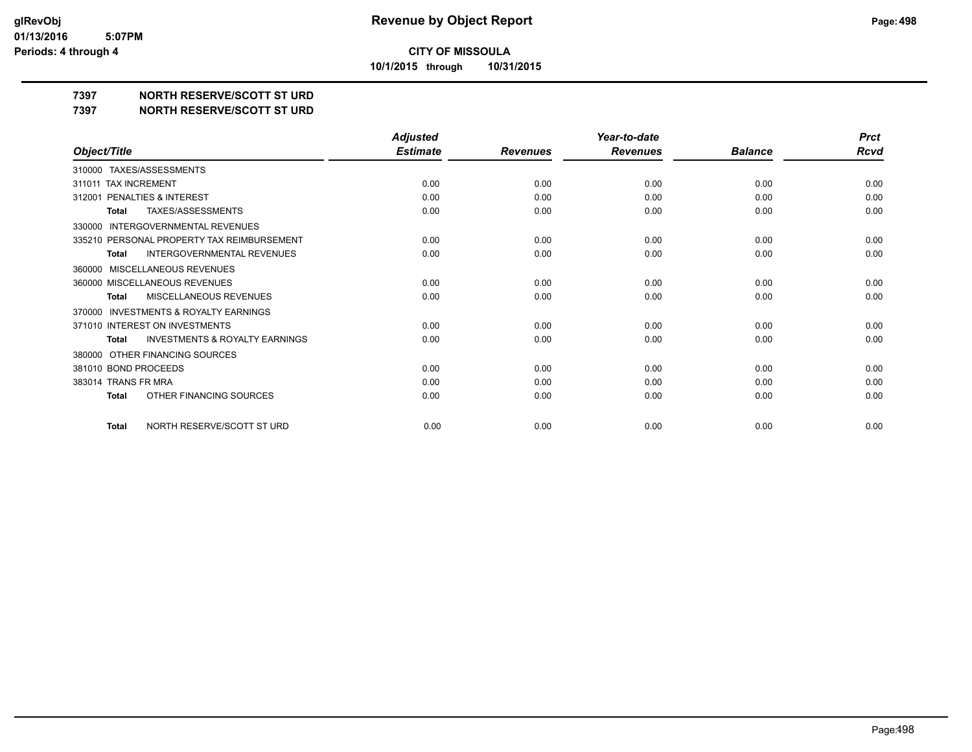**10/1/2015 through 10/31/2015**

### **7397 NORTH RESERVE/SCOTT ST URD**

**7397 NORTH RESERVE/SCOTT ST URD**

|                                                           | <b>Adjusted</b> |                 | Year-to-date    |                | <b>Prct</b> |
|-----------------------------------------------------------|-----------------|-----------------|-----------------|----------------|-------------|
| Object/Title                                              | <b>Estimate</b> | <b>Revenues</b> | <b>Revenues</b> | <b>Balance</b> | Rcvd        |
| 310000 TAXES/ASSESSMENTS                                  |                 |                 |                 |                |             |
| 311011 TAX INCREMENT                                      | 0.00            | 0.00            | 0.00            | 0.00           | 0.00        |
| PENALTIES & INTEREST<br>312001                            | 0.00            | 0.00            | 0.00            | 0.00           | 0.00        |
| TAXES/ASSESSMENTS<br>Total                                | 0.00            | 0.00            | 0.00            | 0.00           | 0.00        |
| <b>INTERGOVERNMENTAL REVENUES</b><br>330000               |                 |                 |                 |                |             |
| 335210 PERSONAL PROPERTY TAX REIMBURSEMENT                | 0.00            | 0.00            | 0.00            | 0.00           | 0.00        |
| INTERGOVERNMENTAL REVENUES<br><b>Total</b>                | 0.00            | 0.00            | 0.00            | 0.00           | 0.00        |
| MISCELLANEOUS REVENUES<br>360000                          |                 |                 |                 |                |             |
| 360000 MISCELLANEOUS REVENUES                             | 0.00            | 0.00            | 0.00            | 0.00           | 0.00        |
| <b>MISCELLANEOUS REVENUES</b><br><b>Total</b>             | 0.00            | 0.00            | 0.00            | 0.00           | 0.00        |
| <b>INVESTMENTS &amp; ROYALTY EARNINGS</b><br>370000       |                 |                 |                 |                |             |
| 371010 INTEREST ON INVESTMENTS                            | 0.00            | 0.00            | 0.00            | 0.00           | 0.00        |
| <b>INVESTMENTS &amp; ROYALTY EARNINGS</b><br><b>Total</b> | 0.00            | 0.00            | 0.00            | 0.00           | 0.00        |
| OTHER FINANCING SOURCES<br>380000                         |                 |                 |                 |                |             |
| 381010 BOND PROCEEDS                                      | 0.00            | 0.00            | 0.00            | 0.00           | 0.00        |
| 383014 TRANS FR MRA                                       | 0.00            | 0.00            | 0.00            | 0.00           | 0.00        |
| OTHER FINANCING SOURCES<br><b>Total</b>                   | 0.00            | 0.00            | 0.00            | 0.00           | 0.00        |
| NORTH RESERVE/SCOTT ST URD<br>Total                       | 0.00            | 0.00            | 0.00            | 0.00           | 0.00        |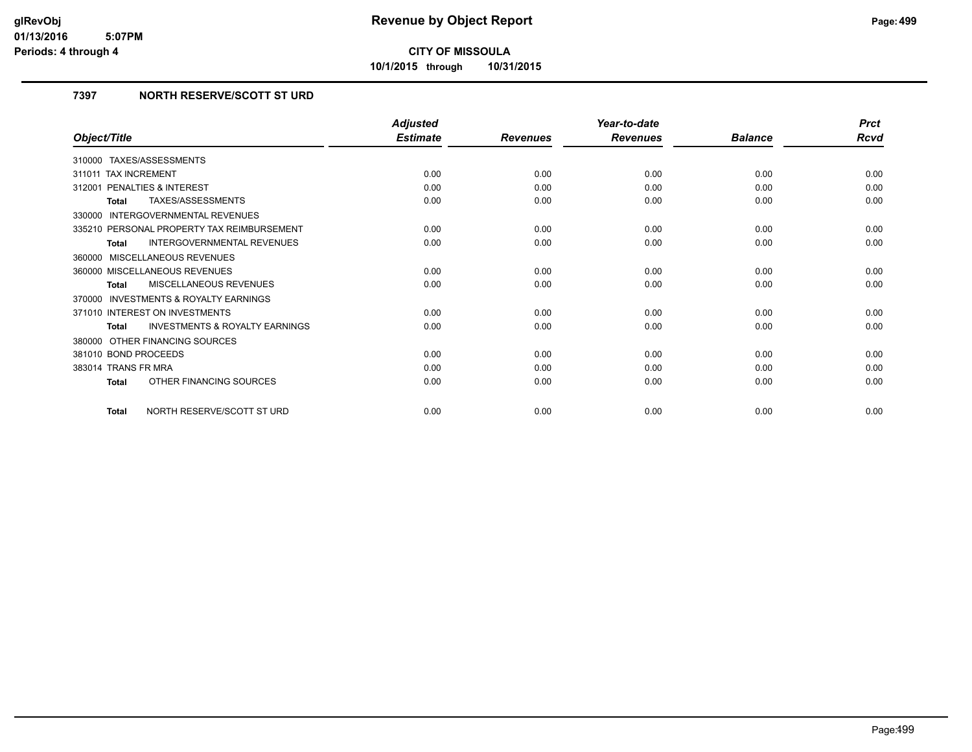**10/1/2015 through 10/31/2015**

### **7397 NORTH RESERVE/SCOTT ST URD**

|                                                           | <b>Adjusted</b> |                 | Year-to-date    |                | <b>Prct</b> |
|-----------------------------------------------------------|-----------------|-----------------|-----------------|----------------|-------------|
| Object/Title                                              | <b>Estimate</b> | <b>Revenues</b> | <b>Revenues</b> | <b>Balance</b> | Rcvd        |
| 310000 TAXES/ASSESSMENTS                                  |                 |                 |                 |                |             |
| 311011 TAX INCREMENT                                      | 0.00            | 0.00            | 0.00            | 0.00           | 0.00        |
| 312001 PENALTIES & INTEREST                               | 0.00            | 0.00            | 0.00            | 0.00           | 0.00        |
| <b>TAXES/ASSESSMENTS</b><br><b>Total</b>                  | 0.00            | 0.00            | 0.00            | 0.00           | 0.00        |
| <b>INTERGOVERNMENTAL REVENUES</b><br>330000               |                 |                 |                 |                |             |
| 335210 PERSONAL PROPERTY TAX REIMBURSEMENT                | 0.00            | 0.00            | 0.00            | 0.00           | 0.00        |
| <b>INTERGOVERNMENTAL REVENUES</b><br><b>Total</b>         | 0.00            | 0.00            | 0.00            | 0.00           | 0.00        |
| 360000 MISCELLANEOUS REVENUES                             |                 |                 |                 |                |             |
| 360000 MISCELLANEOUS REVENUES                             | 0.00            | 0.00            | 0.00            | 0.00           | 0.00        |
| MISCELLANEOUS REVENUES<br>Total                           | 0.00            | 0.00            | 0.00            | 0.00           | 0.00        |
| 370000 INVESTMENTS & ROYALTY EARNINGS                     |                 |                 |                 |                |             |
| 371010 INTEREST ON INVESTMENTS                            | 0.00            | 0.00            | 0.00            | 0.00           | 0.00        |
| <b>INVESTMENTS &amp; ROYALTY EARNINGS</b><br><b>Total</b> | 0.00            | 0.00            | 0.00            | 0.00           | 0.00        |
| 380000 OTHER FINANCING SOURCES                            |                 |                 |                 |                |             |
| 381010 BOND PROCEEDS                                      | 0.00            | 0.00            | 0.00            | 0.00           | 0.00        |
| 383014 TRANS FR MRA                                       | 0.00            | 0.00            | 0.00            | 0.00           | 0.00        |
| OTHER FINANCING SOURCES<br><b>Total</b>                   | 0.00            | 0.00            | 0.00            | 0.00           | 0.00        |
| NORTH RESERVE/SCOTT ST URD<br><b>Total</b>                | 0.00            | 0.00            | 0.00            | 0.00           | 0.00        |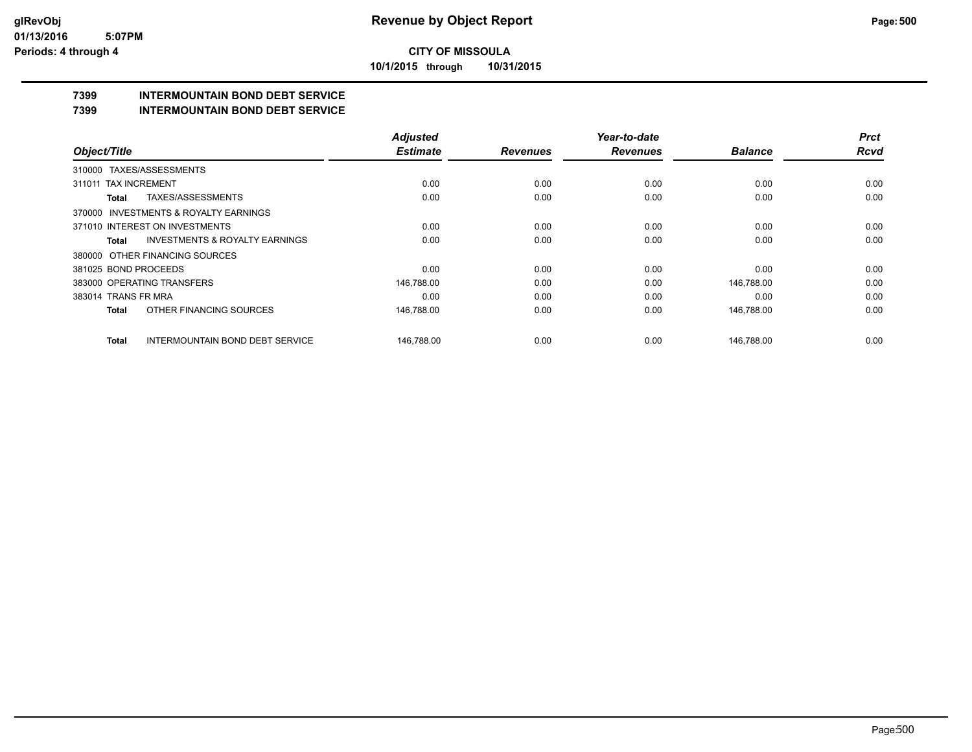**10/1/2015 through 10/31/2015**

# **7399 INTERMOUNTAIN BOND DEBT SERVICE**

**7399 INTERMOUNTAIN BOND DEBT SERVICE**

|                      |                                           | <b>Adjusted</b> |                 | Year-to-date    |                | <b>Prct</b> |
|----------------------|-------------------------------------------|-----------------|-----------------|-----------------|----------------|-------------|
| Object/Title         |                                           | <b>Estimate</b> | <b>Revenues</b> | <b>Revenues</b> | <b>Balance</b> | <b>Rcvd</b> |
|                      | 310000 TAXES/ASSESSMENTS                  |                 |                 |                 |                |             |
| 311011               | <b>TAX INCREMENT</b>                      | 0.00            | 0.00            | 0.00            | 0.00           | 0.00        |
| Total                | TAXES/ASSESSMENTS                         | 0.00            | 0.00            | 0.00            | 0.00           | 0.00        |
|                      | 370000 INVESTMENTS & ROYALTY EARNINGS     |                 |                 |                 |                |             |
|                      | 371010 INTEREST ON INVESTMENTS            | 0.00            | 0.00            | 0.00            | 0.00           | 0.00        |
| Total                | <b>INVESTMENTS &amp; ROYALTY EARNINGS</b> | 0.00            | 0.00            | 0.00            | 0.00           | 0.00        |
|                      | 380000 OTHER FINANCING SOURCES            |                 |                 |                 |                |             |
| 381025 BOND PROCEEDS |                                           | 0.00            | 0.00            | 0.00            | 0.00           | 0.00        |
|                      | 383000 OPERATING TRANSFERS                | 146,788.00      | 0.00            | 0.00            | 146,788.00     | 0.00        |
| 383014 TRANS FR MRA  |                                           | 0.00            | 0.00            | 0.00            | 0.00           | 0.00        |
| <b>Total</b>         | OTHER FINANCING SOURCES                   | 146,788.00      | 0.00            | 0.00            | 146,788.00     | 0.00        |
| Total                | <b>INTERMOUNTAIN BOND DEBT SERVICE</b>    | 146.788.00      | 0.00            | 0.00            | 146.788.00     | 0.00        |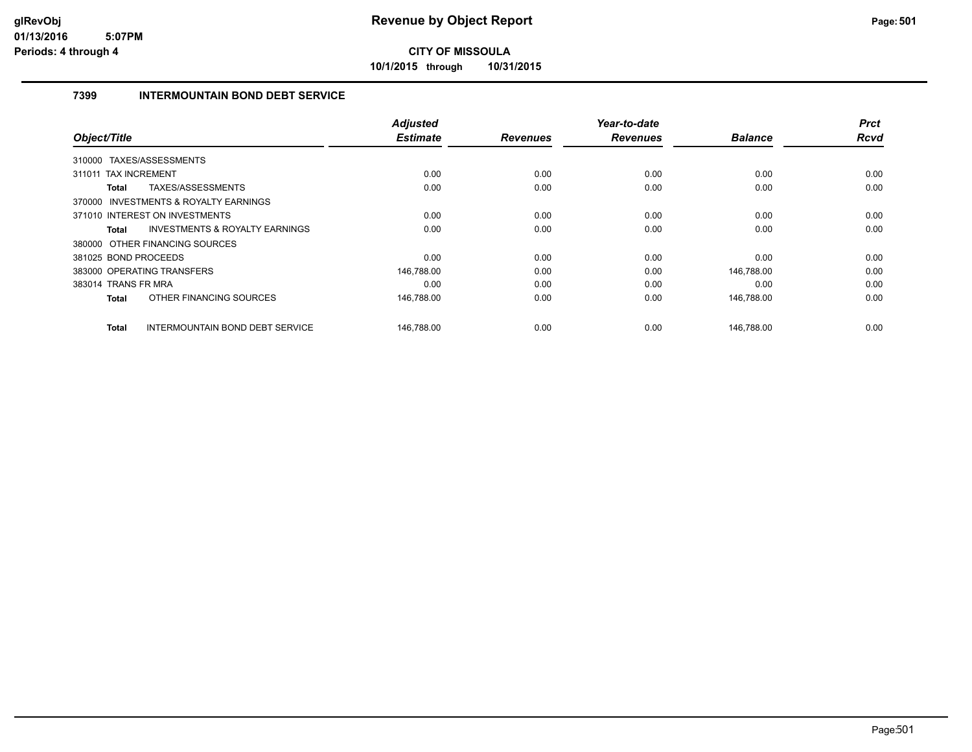**10/1/2015 through 10/31/2015**

### **7399 INTERMOUNTAIN BOND DEBT SERVICE**

| Object/Title                          |                                           | <b>Adjusted</b><br><b>Estimate</b> | <b>Revenues</b> | Year-to-date<br><b>Revenues</b> | <b>Balance</b> | <b>Prct</b><br>Rcvd |
|---------------------------------------|-------------------------------------------|------------------------------------|-----------------|---------------------------------|----------------|---------------------|
| 310000 TAXES/ASSESSMENTS              |                                           |                                    |                 |                                 |                |                     |
| 311011 TAX INCREMENT                  |                                           | 0.00                               | 0.00            | 0.00                            | 0.00           | 0.00                |
| Total                                 | TAXES/ASSESSMENTS                         | 0.00                               | 0.00            | 0.00                            | 0.00           | 0.00                |
| 370000 INVESTMENTS & ROYALTY EARNINGS |                                           |                                    |                 |                                 |                |                     |
| 371010 INTEREST ON INVESTMENTS        |                                           | 0.00                               | 0.00            | 0.00                            | 0.00           | 0.00                |
| Total                                 | <b>INVESTMENTS &amp; ROYALTY EARNINGS</b> | 0.00                               | 0.00            | 0.00                            | 0.00           | 0.00                |
| 380000 OTHER FINANCING SOURCES        |                                           |                                    |                 |                                 |                |                     |
| 381025 BOND PROCEEDS                  |                                           | 0.00                               | 0.00            | 0.00                            | 0.00           | 0.00                |
| 383000 OPERATING TRANSFERS            |                                           | 146,788.00                         | 0.00            | 0.00                            | 146,788.00     | 0.00                |
| 383014 TRANS FR MRA                   |                                           | 0.00                               | 0.00            | 0.00                            | 0.00           | 0.00                |
| Total                                 | OTHER FINANCING SOURCES                   | 146,788.00                         | 0.00            | 0.00                            | 146,788.00     | 0.00                |
| Total                                 | <b>INTERMOUNTAIN BOND DEBT SERVICE</b>    | 146,788.00                         | 0.00            | 0.00                            | 146,788.00     | 0.00                |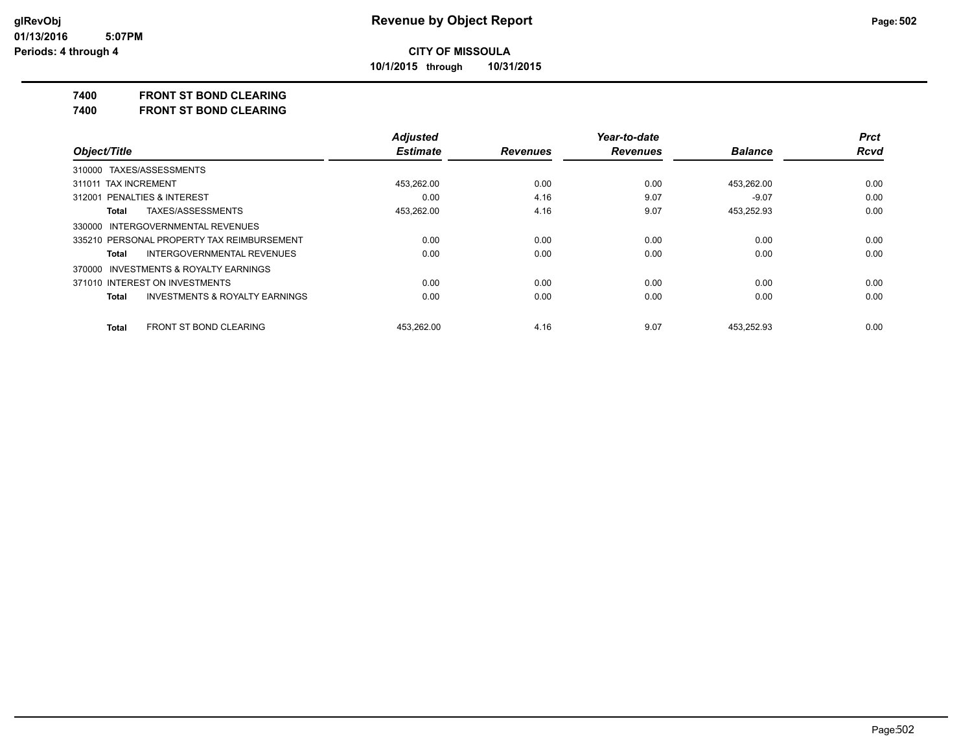**10/1/2015 through 10/31/2015**

### **7400 FRONT ST BOND CLEARING**

**7400 FRONT ST BOND CLEARING**

|                                                    | <b>Adjusted</b> |                 | Year-to-date    |                | <b>Prct</b> |
|----------------------------------------------------|-----------------|-----------------|-----------------|----------------|-------------|
| Object/Title                                       | <b>Estimate</b> | <b>Revenues</b> | <b>Revenues</b> | <b>Balance</b> | <b>Rcvd</b> |
| 310000 TAXES/ASSESSMENTS                           |                 |                 |                 |                |             |
| 311011 TAX INCREMENT                               | 453.262.00      | 0.00            | 0.00            | 453,262.00     | 0.00        |
| 312001 PENALTIES & INTEREST                        | 0.00            | 4.16            | 9.07            | $-9.07$        | 0.00        |
| TAXES/ASSESSMENTS<br>Total                         | 453.262.00      | 4.16            | 9.07            | 453,252.93     | 0.00        |
| 330000 INTERGOVERNMENTAL REVENUES                  |                 |                 |                 |                |             |
| 335210 PERSONAL PROPERTY TAX REIMBURSEMENT         | 0.00            | 0.00            | 0.00            | 0.00           | 0.00        |
| <b>INTERGOVERNMENTAL REVENUES</b><br>Total         | 0.00            | 0.00            | 0.00            | 0.00           | 0.00        |
| 370000 INVESTMENTS & ROYALTY EARNINGS              |                 |                 |                 |                |             |
| 371010 INTEREST ON INVESTMENTS                     | 0.00            | 0.00            | 0.00            | 0.00           | 0.00        |
| <b>INVESTMENTS &amp; ROYALTY EARNINGS</b><br>Total | 0.00            | 0.00            | 0.00            | 0.00           | 0.00        |
| FRONT ST BOND CLEARING<br><b>Total</b>             | 453.262.00      | 4.16            | 9.07            | 453.252.93     | 0.00        |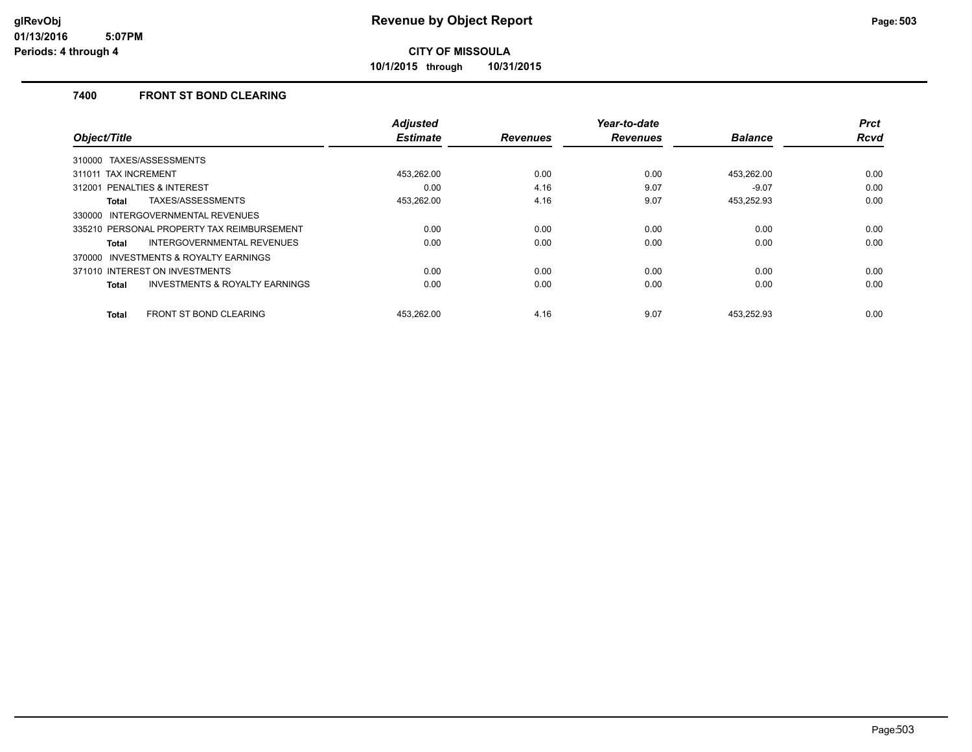**10/1/2015 through 10/31/2015**

### **7400 FRONT ST BOND CLEARING**

| Object/Title                                       | <b>Adjusted</b><br><b>Estimate</b> | <b>Revenues</b> | Year-to-date<br><b>Revenues</b> | <b>Balance</b> | <b>Prct</b><br>Rcvd |
|----------------------------------------------------|------------------------------------|-----------------|---------------------------------|----------------|---------------------|
| 310000 TAXES/ASSESSMENTS                           |                                    |                 |                                 |                |                     |
| 311011 TAX INCREMENT                               | 453,262.00                         | 0.00            | 0.00                            | 453,262.00     | 0.00                |
| 312001 PENALTIES & INTEREST                        | 0.00                               | 4.16            | 9.07                            | $-9.07$        | 0.00                |
| TAXES/ASSESSMENTS<br>Total                         | 453,262.00                         | 4.16            | 9.07                            | 453,252.93     | 0.00                |
| INTERGOVERNMENTAL REVENUES<br>330000               |                                    |                 |                                 |                |                     |
| 335210 PERSONAL PROPERTY TAX REIMBURSEMENT         | 0.00                               | 0.00            | 0.00                            | 0.00           | 0.00                |
| INTERGOVERNMENTAL REVENUES<br>Total                | 0.00                               | 0.00            | 0.00                            | 0.00           | 0.00                |
| INVESTMENTS & ROYALTY EARNINGS<br>370000           |                                    |                 |                                 |                |                     |
| 371010 INTEREST ON INVESTMENTS                     | 0.00                               | 0.00            | 0.00                            | 0.00           | 0.00                |
| <b>INVESTMENTS &amp; ROYALTY EARNINGS</b><br>Total | 0.00                               | 0.00            | 0.00                            | 0.00           | 0.00                |
| <b>FRONT ST BOND CLEARING</b><br><b>Total</b>      | 453.262.00                         | 4.16            | 9.07                            | 453.252.93     | 0.00                |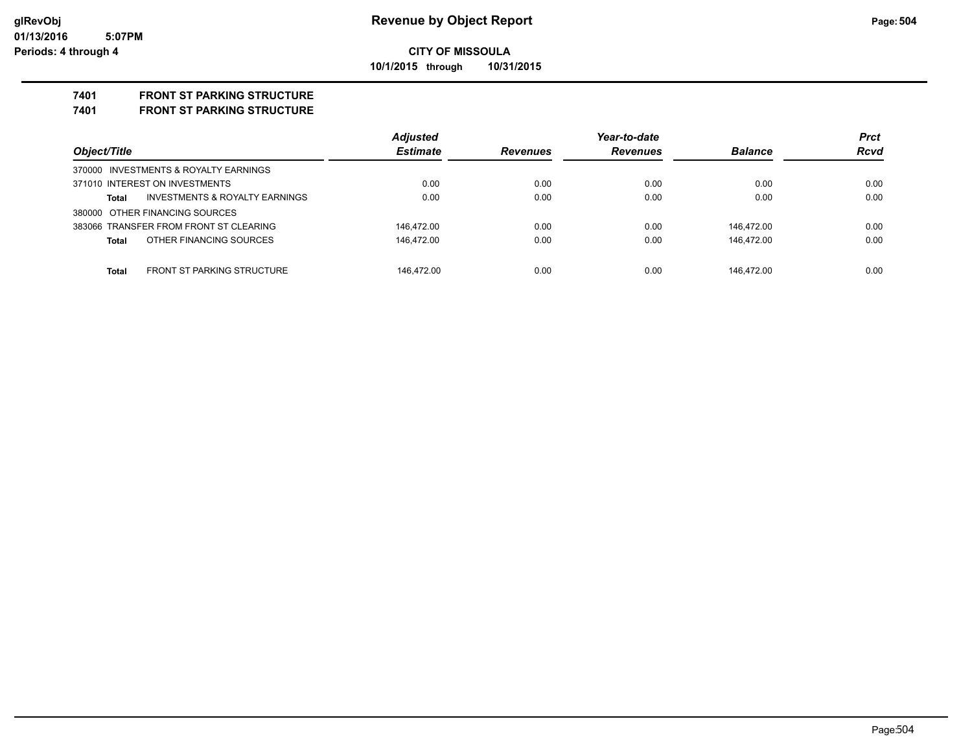### **CITY OF MISSOULA 10/1/2015 through 10/31/2015**

### **7401 FRONT ST PARKING STRUCTURE**

#### **7401 FRONT ST PARKING STRUCTURE**

| Object/Title                               | <b>Adjusted</b><br><b>Estimate</b> |                 | Year-to-date    |                | <b>Prct</b><br><b>Rcvd</b> |
|--------------------------------------------|------------------------------------|-----------------|-----------------|----------------|----------------------------|
|                                            |                                    | <b>Revenues</b> | <b>Revenues</b> | <b>Balance</b> |                            |
| 370000 INVESTMENTS & ROYALTY EARNINGS      |                                    |                 |                 |                |                            |
| 371010 INTEREST ON INVESTMENTS             | 0.00                               | 0.00            | 0.00            | 0.00           | 0.00                       |
| INVESTMENTS & ROYALTY EARNINGS<br>Total    | 0.00                               | 0.00            | 0.00            | 0.00           | 0.00                       |
| 380000 OTHER FINANCING SOURCES             |                                    |                 |                 |                |                            |
| 383066 TRANSFER FROM FRONT ST CLEARING     | 146.472.00                         | 0.00            | 0.00            | 146.472.00     | 0.00                       |
| OTHER FINANCING SOURCES<br>Total           | 146.472.00                         | 0.00            | 0.00            | 146.472.00     | 0.00                       |
|                                            |                                    |                 |                 |                |                            |
| <b>FRONT ST PARKING STRUCTURE</b><br>Total | 146.472.00                         | 0.00            | 0.00            | 146.472.00     | 0.00                       |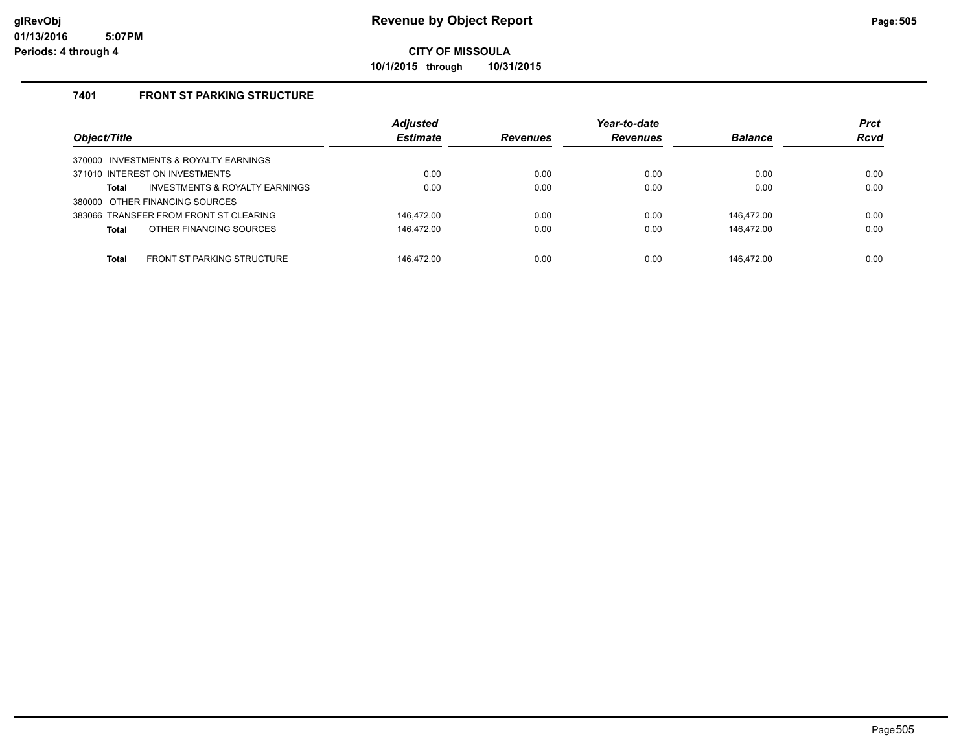**10/1/2015 through 10/31/2015**

### **7401 FRONT ST PARKING STRUCTURE**

| Object/Title                                      | <b>Adjusted</b><br><b>Estimate</b> | <b>Revenues</b> | Year-to-date<br><b>Revenues</b> | <b>Balance</b> | <b>Prct</b><br><b>Rcvd</b> |
|---------------------------------------------------|------------------------------------|-----------------|---------------------------------|----------------|----------------------------|
| 370000 INVESTMENTS & ROYALTY EARNINGS             |                                    |                 |                                 |                |                            |
| 371010 INTEREST ON INVESTMENTS                    | 0.00                               | 0.00            | 0.00                            | 0.00           | 0.00                       |
| INVESTMENTS & ROYALTY EARNINGS<br>Total           | 0.00                               | 0.00            | 0.00                            | 0.00           | 0.00                       |
| 380000 OTHER FINANCING SOURCES                    |                                    |                 |                                 |                |                            |
| 383066 TRANSFER FROM FRONT ST CLEARING            | 146.472.00                         | 0.00            | 0.00                            | 146.472.00     | 0.00                       |
| OTHER FINANCING SOURCES<br><b>Total</b>           | 146,472.00                         | 0.00            | 0.00                            | 146.472.00     | 0.00                       |
|                                                   |                                    |                 |                                 |                |                            |
| <b>FRONT ST PARKING STRUCTURE</b><br><b>Total</b> | 146.472.00                         | 0.00            | 0.00                            | 146.472.00     | 0.00                       |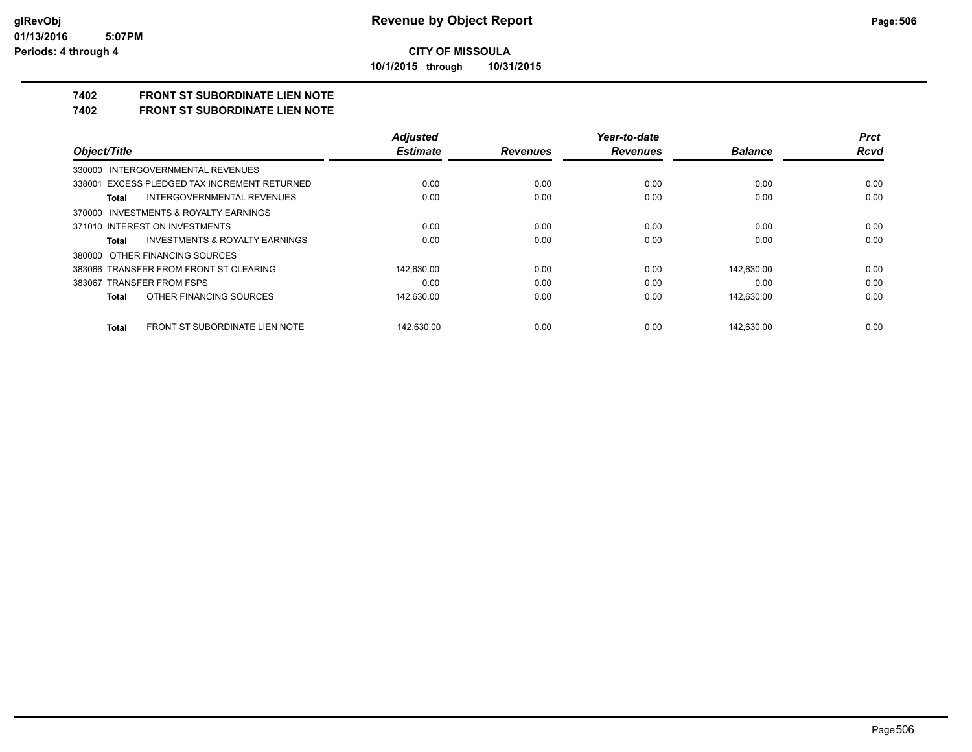**10/1/2015 through 10/31/2015**

# **7402 FRONT ST SUBORDINATE LIEN NOTE**

**7402 FRONT ST SUBORDINATE LIEN NOTE**

|                                                    | <b>Adjusted</b> |                 | Year-to-date    |                | <b>Prct</b> |
|----------------------------------------------------|-----------------|-----------------|-----------------|----------------|-------------|
| Object/Title                                       | <b>Estimate</b> | <b>Revenues</b> | <b>Revenues</b> | <b>Balance</b> | <b>Rcvd</b> |
| 330000 INTERGOVERNMENTAL REVENUES                  |                 |                 |                 |                |             |
| 338001 EXCESS PLEDGED TAX INCREMENT RETURNED       | 0.00            | 0.00            | 0.00            | 0.00           | 0.00        |
| INTERGOVERNMENTAL REVENUES<br>Total                | 0.00            | 0.00            | 0.00            | 0.00           | 0.00        |
| 370000 INVESTMENTS & ROYALTY EARNINGS              |                 |                 |                 |                |             |
| 371010 INTEREST ON INVESTMENTS                     | 0.00            | 0.00            | 0.00            | 0.00           | 0.00        |
| <b>INVESTMENTS &amp; ROYALTY EARNINGS</b><br>Total | 0.00            | 0.00            | 0.00            | 0.00           | 0.00        |
| 380000 OTHER FINANCING SOURCES                     |                 |                 |                 |                |             |
| 383066 TRANSFER FROM FRONT ST CLEARING             | 142,630.00      | 0.00            | 0.00            | 142.630.00     | 0.00        |
| 383067 TRANSFER FROM FSPS                          | 0.00            | 0.00            | 0.00            | 0.00           | 0.00        |
| OTHER FINANCING SOURCES<br>Total                   | 142,630.00      | 0.00            | 0.00            | 142.630.00     | 0.00        |
| FRONT ST SUBORDINATE LIEN NOTE<br>Total            | 142.630.00      | 0.00            | 0.00            | 142.630.00     | 0.00        |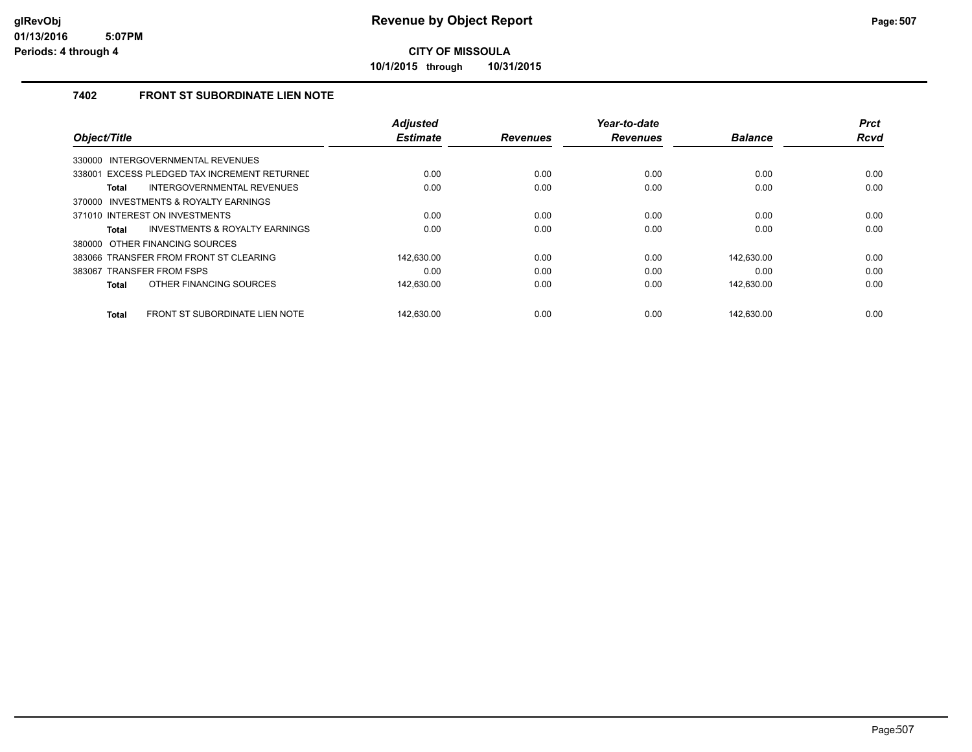**10/1/2015 through 10/31/2015**

### **7402 FRONT ST SUBORDINATE LIEN NOTE**

|                                                | <b>Adjusted</b> |                 | Year-to-date    |                | <b>Prct</b> |
|------------------------------------------------|-----------------|-----------------|-----------------|----------------|-------------|
| Object/Title                                   | <b>Estimate</b> | <b>Revenues</b> | <b>Revenues</b> | <b>Balance</b> | <b>Rcvd</b> |
| INTERGOVERNMENTAL REVENUES<br>330000           |                 |                 |                 |                |             |
| 338001 EXCESS PLEDGED TAX INCREMENT RETURNED   | 0.00            | 0.00            | 0.00            | 0.00           | 0.00        |
| INTERGOVERNMENTAL REVENUES<br>Total            | 0.00            | 0.00            | 0.00            | 0.00           | 0.00        |
| 370000 INVESTMENTS & ROYALTY EARNINGS          |                 |                 |                 |                |             |
| 371010 INTEREST ON INVESTMENTS                 | 0.00            | 0.00            | 0.00            | 0.00           | 0.00        |
| INVESTMENTS & ROYALTY EARNINGS<br><b>Total</b> | 0.00            | 0.00            | 0.00            | 0.00           | 0.00        |
| 380000 OTHER FINANCING SOURCES                 |                 |                 |                 |                |             |
| 383066 TRANSFER FROM FRONT ST CLEARING         | 142.630.00      | 0.00            | 0.00            | 142.630.00     | 0.00        |
| 383067 TRANSFER FROM FSPS                      | 0.00            | 0.00            | 0.00            | 0.00           | 0.00        |
| OTHER FINANCING SOURCES<br><b>Total</b>        | 142,630.00      | 0.00            | 0.00            | 142,630.00     | 0.00        |
|                                                |                 |                 |                 |                |             |
| FRONT ST SUBORDINATE LIEN NOTE<br><b>Total</b> | 142.630.00      | 0.00            | 0.00            | 142.630.00     | 0.00        |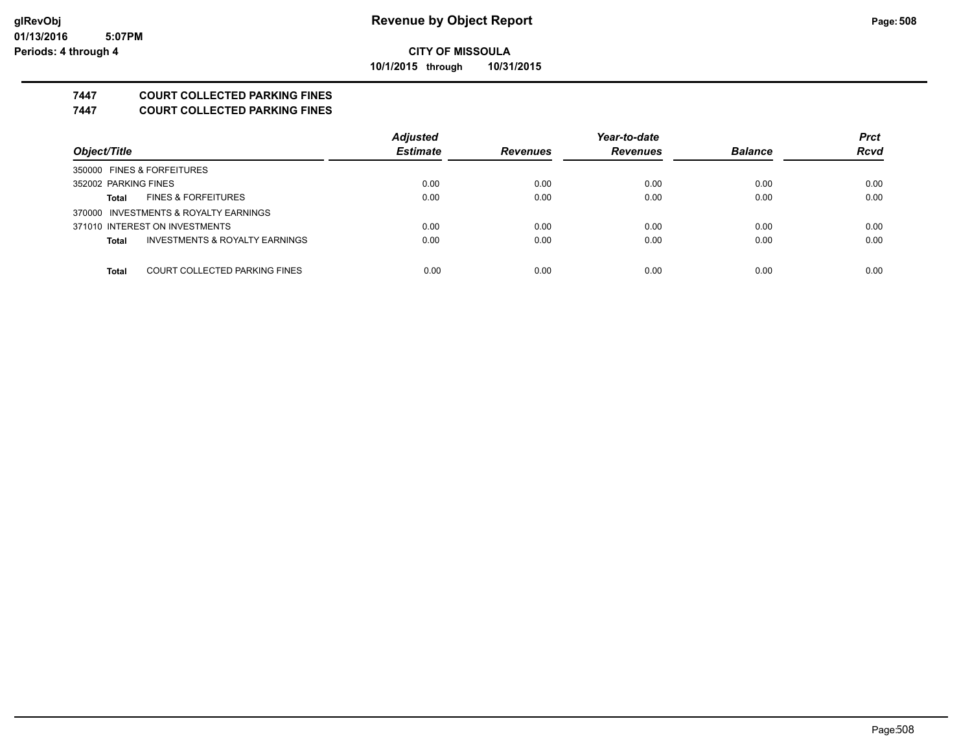**10/1/2015 through 10/31/2015**

### **7447 COURT COLLECTED PARKING FINES**

**7447 COURT COLLECTED PARKING FINES**

|                                                | <b>Adjusted</b> |                 | Year-to-date    |                | <b>Prct</b> |
|------------------------------------------------|-----------------|-----------------|-----------------|----------------|-------------|
| Object/Title                                   | <b>Estimate</b> | <b>Revenues</b> | <b>Revenues</b> | <b>Balance</b> | <b>Rcvd</b> |
| 350000 FINES & FORFEITURES                     |                 |                 |                 |                |             |
| 352002 PARKING FINES                           | 0.00            | 0.00            | 0.00            | 0.00           | 0.00        |
| <b>FINES &amp; FORFEITURES</b><br><b>Total</b> | 0.00            | 0.00            | 0.00            | 0.00           | 0.00        |
| 370000 INVESTMENTS & ROYALTY EARNINGS          |                 |                 |                 |                |             |
| 371010 INTEREST ON INVESTMENTS                 | 0.00            | 0.00            | 0.00            | 0.00           | 0.00        |
| INVESTMENTS & ROYALTY EARNINGS<br><b>Total</b> | 0.00            | 0.00            | 0.00            | 0.00           | 0.00        |
|                                                |                 |                 |                 |                |             |
| COURT COLLECTED PARKING FINES<br><b>Total</b>  | 0.00            | 0.00            | 0.00            | 0.00           | 0.00        |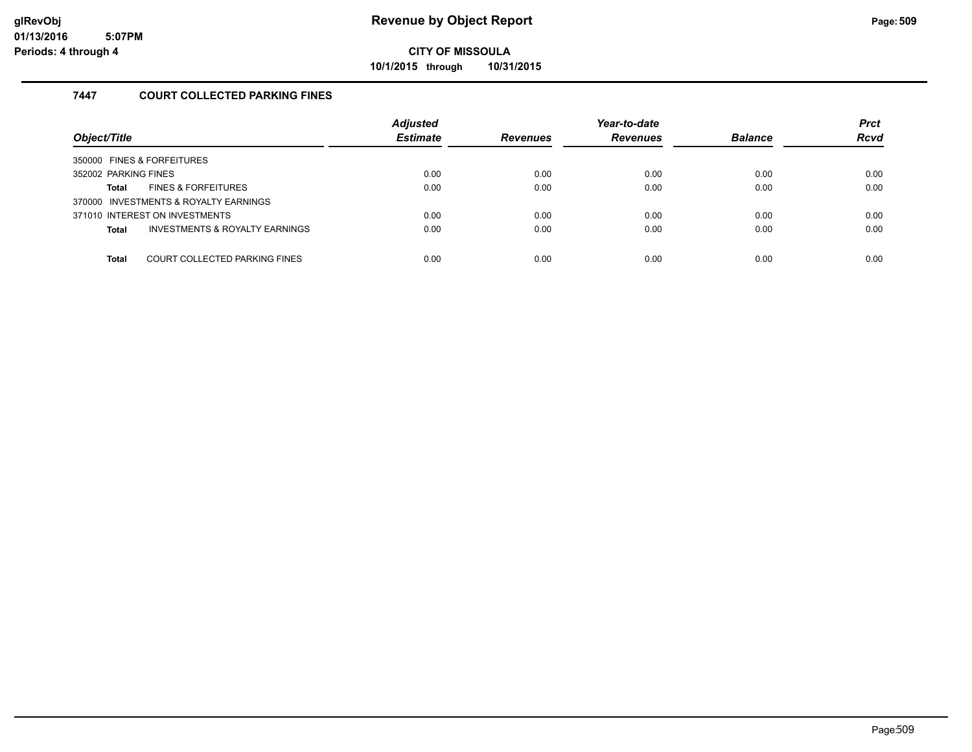**10/1/2015 through 10/31/2015**

### **7447 COURT COLLECTED PARKING FINES**

| Object/Title                                   | <b>Adjusted</b><br><b>Estimate</b> | <b>Revenues</b> | Year-to-date<br><b>Revenues</b> | <b>Balance</b> | <b>Prct</b><br><b>Rcvd</b> |
|------------------------------------------------|------------------------------------|-----------------|---------------------------------|----------------|----------------------------|
| 350000 FINES & FORFEITURES                     |                                    |                 |                                 |                |                            |
| 352002 PARKING FINES                           | 0.00                               | 0.00            | 0.00                            | 0.00           | 0.00                       |
| <b>FINES &amp; FORFEITURES</b><br>Total        | 0.00                               | 0.00            | 0.00                            | 0.00           | 0.00                       |
| 370000 INVESTMENTS & ROYALTY EARNINGS          |                                    |                 |                                 |                |                            |
| 371010 INTEREST ON INVESTMENTS                 | 0.00                               | 0.00            | 0.00                            | 0.00           | 0.00                       |
| INVESTMENTS & ROYALTY EARNINGS<br><b>Total</b> | 0.00                               | 0.00            | 0.00                            | 0.00           | 0.00                       |
|                                                |                                    |                 |                                 |                |                            |
| COURT COLLECTED PARKING FINES<br><b>Total</b>  | 0.00                               | 0.00            | 0.00                            | 0.00           | 0.00                       |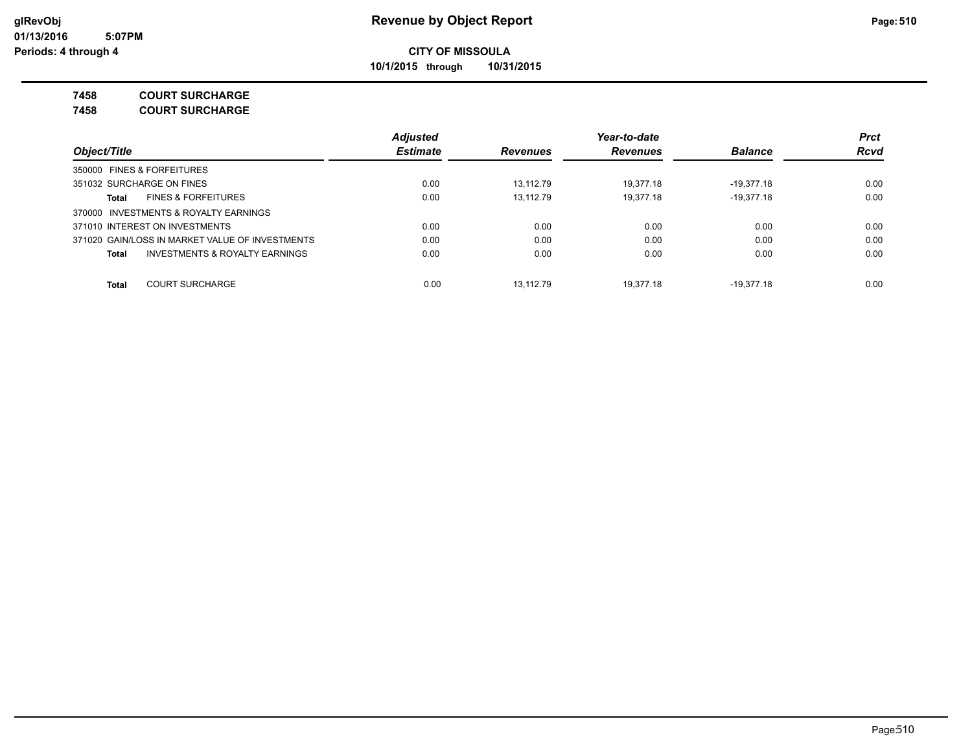**10/1/2015 through 10/31/2015**

### **7458 COURT SURCHARGE**

**7458 COURT SURCHARGE**

|                                                    | <b>Adjusted</b> |                 | Year-to-date    |                | <b>Prct</b> |
|----------------------------------------------------|-----------------|-----------------|-----------------|----------------|-------------|
| Object/Title                                       | <b>Estimate</b> | <b>Revenues</b> | <b>Revenues</b> | <b>Balance</b> | <b>Rcvd</b> |
| 350000 FINES & FORFEITURES                         |                 |                 |                 |                |             |
| 351032 SURCHARGE ON FINES                          | 0.00            | 13.112.79       | 19.377.18       | $-19.377.18$   | 0.00        |
| <b>FINES &amp; FORFEITURES</b><br>Total            | 0.00            | 13.112.79       | 19.377.18       | $-19,377.18$   | 0.00        |
| 370000 INVESTMENTS & ROYALTY EARNINGS              |                 |                 |                 |                |             |
| 371010 INTEREST ON INVESTMENTS                     | 0.00            | 0.00            | 0.00            | 0.00           | 0.00        |
| 371020 GAIN/LOSS IN MARKET VALUE OF INVESTMENTS    | 0.00            | 0.00            | 0.00            | 0.00           | 0.00        |
| <b>INVESTMENTS &amp; ROYALTY EARNINGS</b><br>Total | 0.00            | 0.00            | 0.00            | 0.00           | 0.00        |
| <b>COURT SURCHARGE</b><br><b>Total</b>             | 0.00            | 13.112.79       | 19.377.18       | $-19.377.18$   | 0.00        |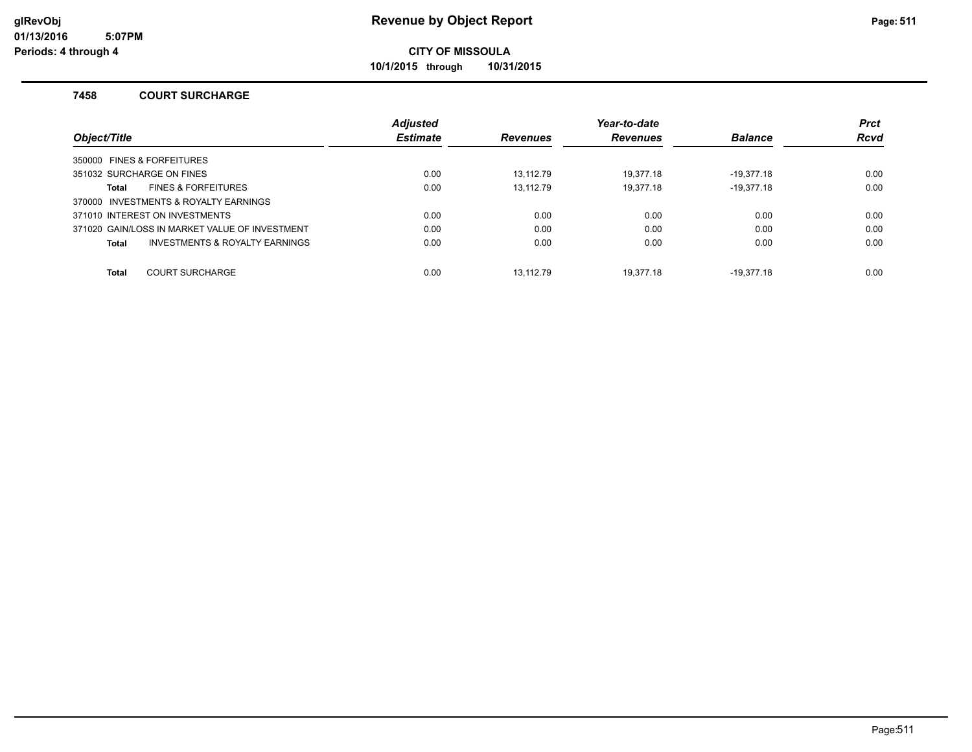**10/1/2015 through 10/31/2015**

#### **7458 COURT SURCHARGE**

|                                       |                                                | <b>Adjusted</b> |                 | Year-to-date    |                | <b>Prct</b> |
|---------------------------------------|------------------------------------------------|-----------------|-----------------|-----------------|----------------|-------------|
| Object/Title                          |                                                | <b>Estimate</b> | <b>Revenues</b> | <b>Revenues</b> | <b>Balance</b> | <b>Rcvd</b> |
| 350000 FINES & FORFEITURES            |                                                |                 |                 |                 |                |             |
| 351032 SURCHARGE ON FINES             |                                                | 0.00            | 13.112.79       | 19.377.18       | $-19.377.18$   | 0.00        |
| Total                                 | <b>FINES &amp; FORFEITURES</b>                 | 0.00            | 13.112.79       | 19.377.18       | $-19.377.18$   | 0.00        |
| 370000 INVESTMENTS & ROYALTY EARNINGS |                                                |                 |                 |                 |                |             |
| 371010 INTEREST ON INVESTMENTS        |                                                | 0.00            | 0.00            | 0.00            | 0.00           | 0.00        |
|                                       | 371020 GAIN/LOSS IN MARKET VALUE OF INVESTMENT | 0.00            | 0.00            | 0.00            | 0.00           | 0.00        |
| <b>Total</b>                          | INVESTMENTS & ROYALTY EARNINGS                 | 0.00            | 0.00            | 0.00            | 0.00           | 0.00        |
| <b>Total</b>                          | <b>COURT SURCHARGE</b>                         | 0.00            | 13.112.79       | 19.377.18       | $-19.377.18$   | 0.00        |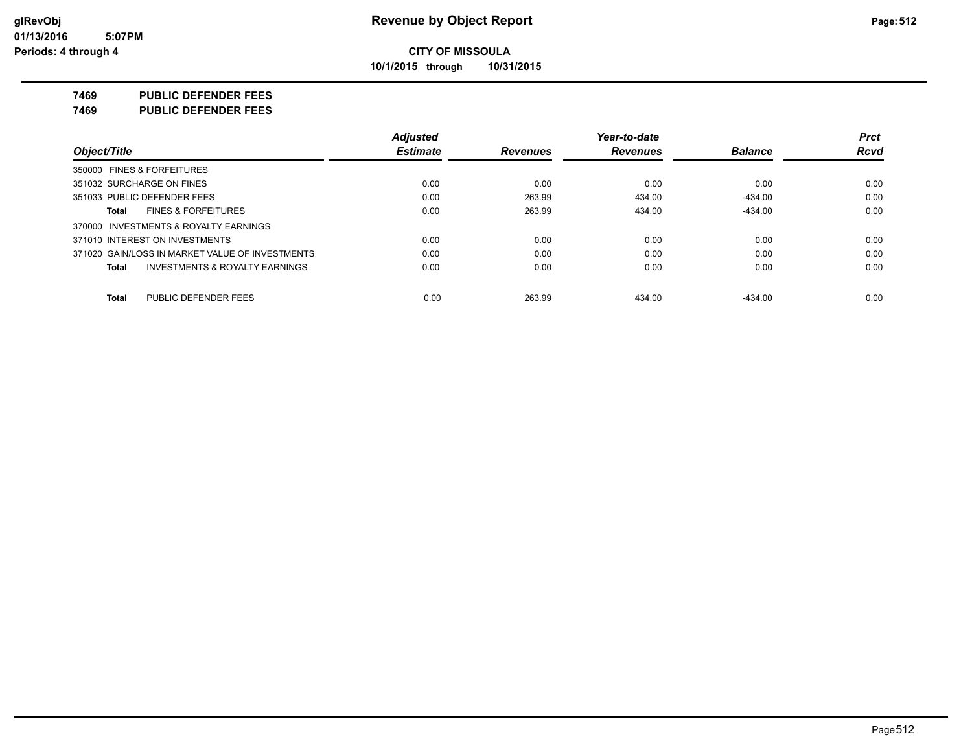**10/1/2015 through 10/31/2015**

### **7469 PUBLIC DEFENDER FEES**

**7469 PUBLIC DEFENDER FEES**

|                                                    | <b>Adjusted</b> |                 | Year-to-date    |                | <b>Prct</b> |
|----------------------------------------------------|-----------------|-----------------|-----------------|----------------|-------------|
| Object/Title                                       | <b>Estimate</b> | <b>Revenues</b> | <b>Revenues</b> | <b>Balance</b> | <b>Rcvd</b> |
| 350000 FINES & FORFEITURES                         |                 |                 |                 |                |             |
| 351032 SURCHARGE ON FINES                          | 0.00            | 0.00            | 0.00            | 0.00           | 0.00        |
| 351033 PUBLIC DEFENDER FEES                        | 0.00            | 263.99          | 434.00          | $-434.00$      | 0.00        |
| <b>FINES &amp; FORFEITURES</b><br>Total            | 0.00            | 263.99          | 434.00          | $-434.00$      | 0.00        |
| 370000 INVESTMENTS & ROYALTY EARNINGS              |                 |                 |                 |                |             |
| 371010 INTEREST ON INVESTMENTS                     | 0.00            | 0.00            | 0.00            | 0.00           | 0.00        |
| 371020 GAIN/LOSS IN MARKET VALUE OF INVESTMENTS    | 0.00            | 0.00            | 0.00            | 0.00           | 0.00        |
| <b>INVESTMENTS &amp; ROYALTY EARNINGS</b><br>Total | 0.00            | 0.00            | 0.00            | 0.00           | 0.00        |
| PUBLIC DEFENDER FEES<br>Total                      | 0.00            | 263.99          | 434.00          | $-434.00$      | 0.00        |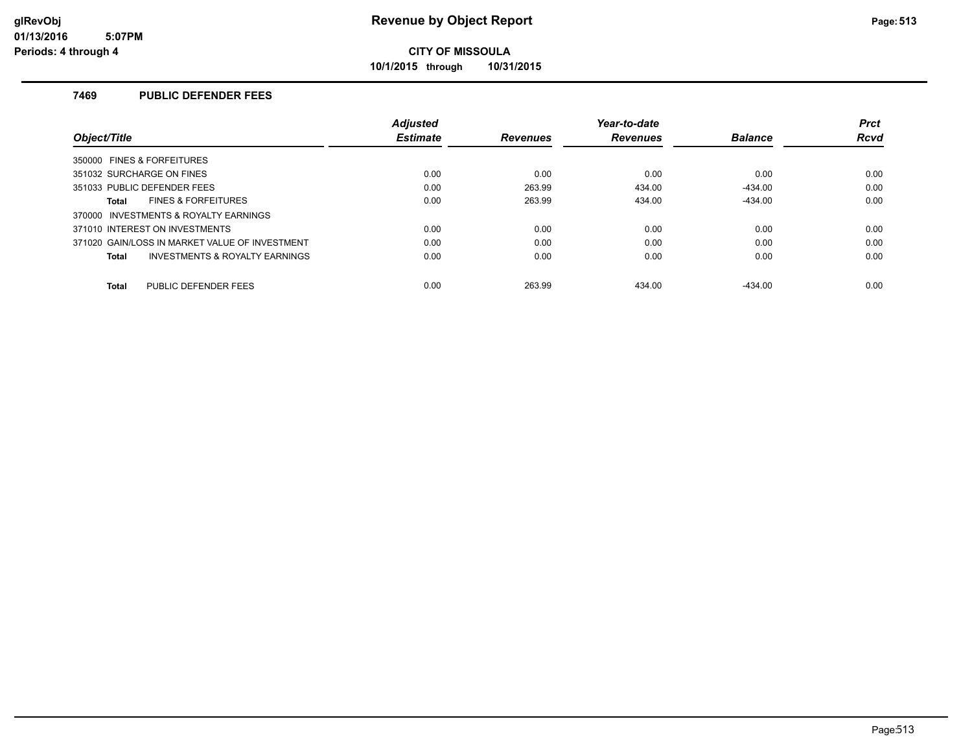**10/1/2015 through 10/31/2015**

### **7469 PUBLIC DEFENDER FEES**

|                                                    | <b>Adjusted</b> |                 | Year-to-date    |                | <b>Prct</b> |
|----------------------------------------------------|-----------------|-----------------|-----------------|----------------|-------------|
| Object/Title                                       | <b>Estimate</b> | <b>Revenues</b> | <b>Revenues</b> | <b>Balance</b> | <b>Rcvd</b> |
| 350000 FINES & FORFEITURES                         |                 |                 |                 |                |             |
| 351032 SURCHARGE ON FINES                          | 0.00            | 0.00            | 0.00            | 0.00           | 0.00        |
| 351033 PUBLIC DEFENDER FEES                        | 0.00            | 263.99          | 434.00          | $-434.00$      | 0.00        |
| <b>FINES &amp; FORFEITURES</b><br><b>Total</b>     | 0.00            | 263.99          | 434.00          | $-434.00$      | 0.00        |
| 370000 INVESTMENTS & ROYALTY EARNINGS              |                 |                 |                 |                |             |
| 371010 INTEREST ON INVESTMENTS                     | 0.00            | 0.00            | 0.00            | 0.00           | 0.00        |
| 371020 GAIN/LOSS IN MARKET VALUE OF INVESTMENT     | 0.00            | 0.00            | 0.00            | 0.00           | 0.00        |
| <b>INVESTMENTS &amp; ROYALTY EARNINGS</b><br>Total | 0.00            | 0.00            | 0.00            | 0.00           | 0.00        |
| PUBLIC DEFENDER FEES<br><b>Total</b>               | 0.00            | 263.99          | 434.00          | $-434.00$      | 0.00        |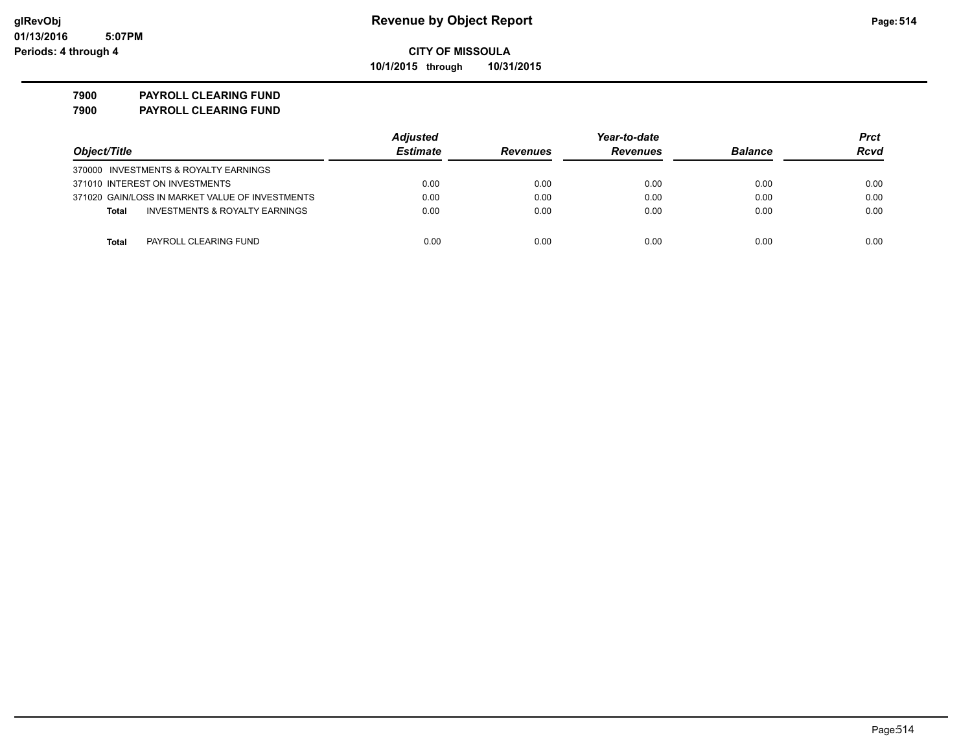**10/1/2015 through 10/31/2015**

### **7900 PAYROLL CLEARING FUND**

**7900 PAYROLL CLEARING FUND**

|                                                           | <b>Adjusted</b> |                 | Year-to-date    |                |             |
|-----------------------------------------------------------|-----------------|-----------------|-----------------|----------------|-------------|
| Object/Title                                              | <b>Estimate</b> | <b>Revenues</b> | <b>Revenues</b> | <b>Balance</b> | <b>Rcvd</b> |
| 370000 INVESTMENTS & ROYALTY EARNINGS                     |                 |                 |                 |                |             |
| 371010 INTEREST ON INVESTMENTS                            | 0.00            | 0.00            | 0.00            | 0.00           | 0.00        |
| 371020 GAIN/LOSS IN MARKET VALUE OF INVESTMENTS           | 0.00            | 0.00            | 0.00            | 0.00           | 0.00        |
| <b>INVESTMENTS &amp; ROYALTY EARNINGS</b><br><b>Total</b> | 0.00            | 0.00            | 0.00            | 0.00           | 0.00        |
| PAYROLL CLEARING FUND<br>Total                            | 0.00            | 0.00            | 0.00            | 0.00           | 0.00        |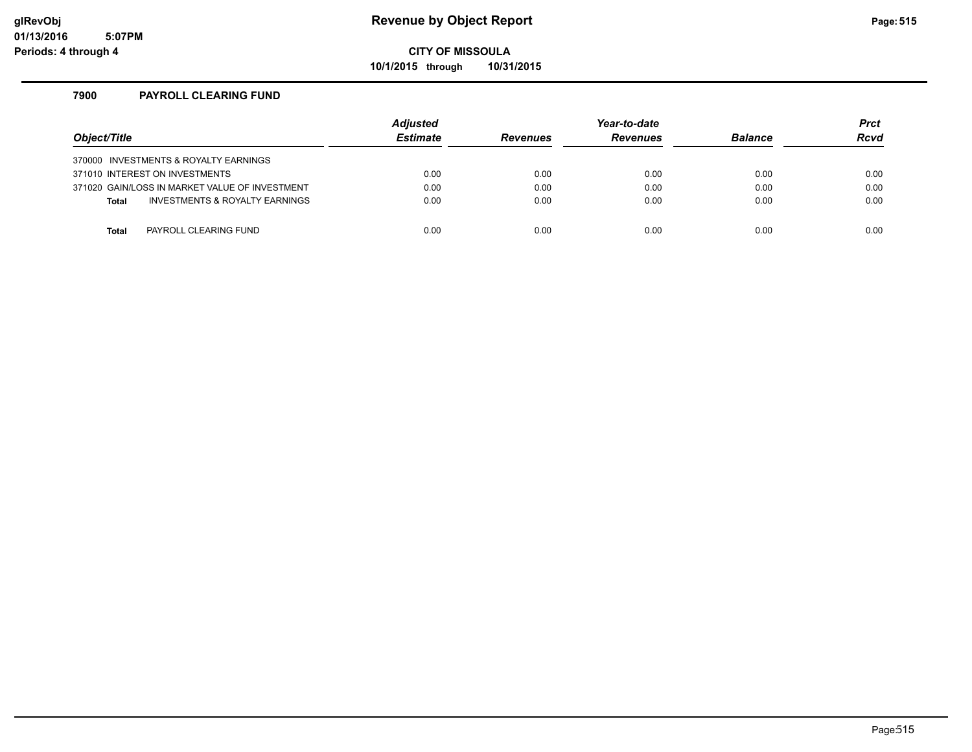**10/1/2015 through 10/31/2015**

### **7900 PAYROLL CLEARING FUND**

| Object/Title                                   | <b>Adjusted</b><br><b>Estimate</b> | <b>Revenues</b> | Year-to-date<br><b>Revenues</b> | <b>Balance</b> | <b>Prct</b><br><b>Rcvd</b> |
|------------------------------------------------|------------------------------------|-----------------|---------------------------------|----------------|----------------------------|
| 370000 INVESTMENTS & ROYALTY EARNINGS          |                                    |                 |                                 |                |                            |
| 371010 INTEREST ON INVESTMENTS                 | 0.00                               | 0.00            | 0.00                            | 0.00           | 0.00                       |
| 371020 GAIN/LOSS IN MARKET VALUE OF INVESTMENT | 0.00                               | 0.00            | 0.00                            | 0.00           | 0.00                       |
| INVESTMENTS & ROYALTY EARNINGS<br><b>Total</b> | 0.00                               | 0.00            | 0.00                            | 0.00           | 0.00                       |
|                                                |                                    |                 |                                 |                |                            |
| PAYROLL CLEARING FUND<br>Total                 | 0.00                               | 0.00            | 0.00                            | 0.00           | 0.00                       |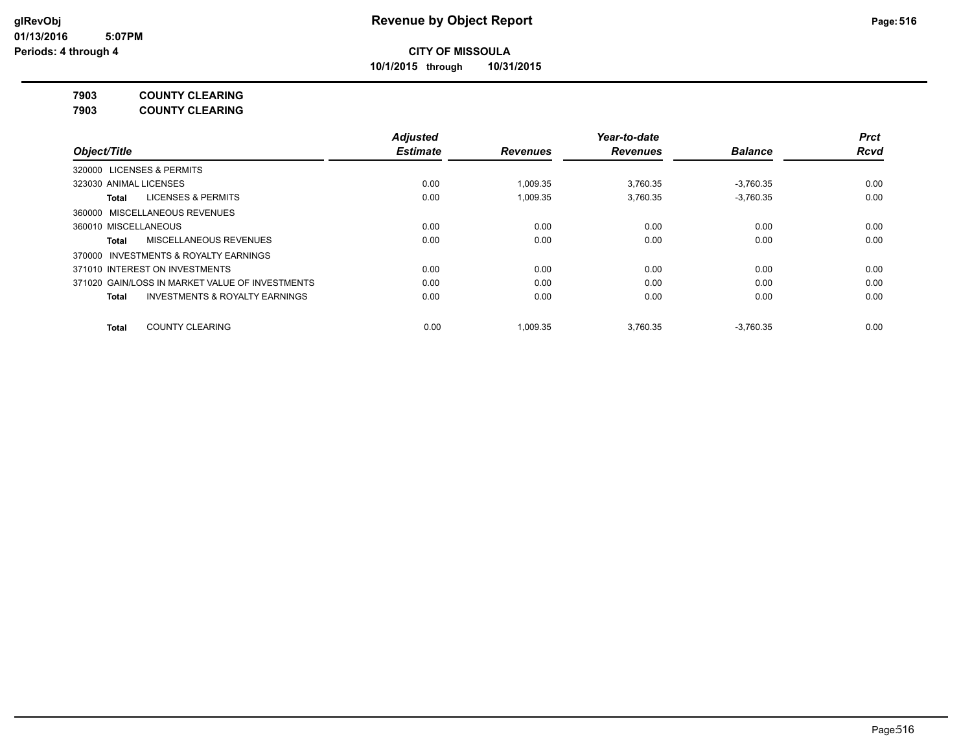**10/1/2015 through 10/31/2015**

**7903 COUNTY CLEARING**

**7903 COUNTY CLEARING**

|                                                           | <b>Adjusted</b> |                 | Year-to-date    |                | <b>Prct</b> |
|-----------------------------------------------------------|-----------------|-----------------|-----------------|----------------|-------------|
| Object/Title                                              | <b>Estimate</b> | <b>Revenues</b> | <b>Revenues</b> | <b>Balance</b> | <b>Rcvd</b> |
| <b>LICENSES &amp; PERMITS</b><br>320000                   |                 |                 |                 |                |             |
| 323030 ANIMAL LICENSES                                    | 0.00            | 1.009.35        | 3.760.35        | $-3.760.35$    | 0.00        |
| LICENSES & PERMITS<br>Total                               | 0.00            | 1.009.35        | 3.760.35        | $-3.760.35$    | 0.00        |
| 360000 MISCELLANEOUS REVENUES                             |                 |                 |                 |                |             |
| 360010 MISCELLANEOUS                                      | 0.00            | 0.00            | 0.00            | 0.00           | 0.00        |
| MISCELLANEOUS REVENUES<br>Total                           | 0.00            | 0.00            | 0.00            | 0.00           | 0.00        |
| INVESTMENTS & ROYALTY EARNINGS<br>370000                  |                 |                 |                 |                |             |
| 371010 INTEREST ON INVESTMENTS                            | 0.00            | 0.00            | 0.00            | 0.00           | 0.00        |
| 371020 GAIN/LOSS IN MARKET VALUE OF INVESTMENTS           | 0.00            | 0.00            | 0.00            | 0.00           | 0.00        |
| <b>INVESTMENTS &amp; ROYALTY EARNINGS</b><br><b>Total</b> | 0.00            | 0.00            | 0.00            | 0.00           | 0.00        |
| <b>COUNTY CLEARING</b><br><b>Total</b>                    | 0.00            | 1.009.35        | 3.760.35        | $-3,760.35$    | 0.00        |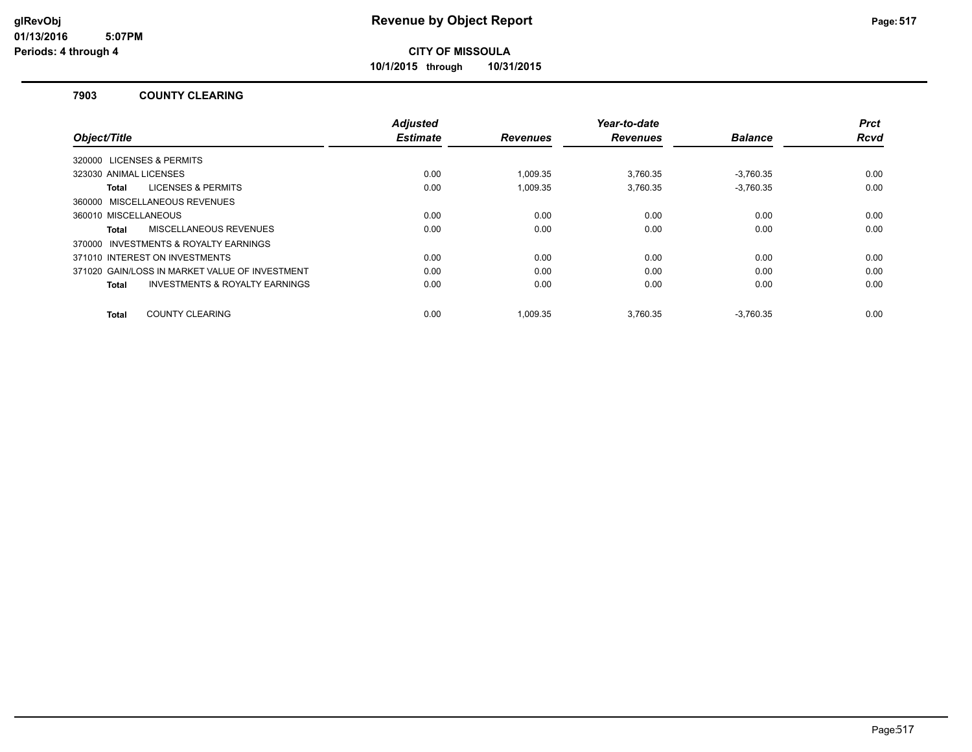**10/1/2015 through 10/31/2015**

#### **7903 COUNTY CLEARING**

|                                                           | <b>Adjusted</b> |                 | Year-to-date    |                | <b>Prct</b> |
|-----------------------------------------------------------|-----------------|-----------------|-----------------|----------------|-------------|
| Object/Title                                              | <b>Estimate</b> | <b>Revenues</b> | <b>Revenues</b> | <b>Balance</b> | <b>Rcvd</b> |
| 320000 LICENSES & PERMITS                                 |                 |                 |                 |                |             |
| 323030 ANIMAL LICENSES                                    | 0.00            | 1.009.35        | 3.760.35        | $-3.760.35$    | 0.00        |
| <b>LICENSES &amp; PERMITS</b><br>Total                    | 0.00            | 1.009.35        | 3.760.35        | $-3.760.35$    | 0.00        |
| 360000 MISCELLANEOUS REVENUES                             |                 |                 |                 |                |             |
| 360010 MISCELLANEOUS                                      | 0.00            | 0.00            | 0.00            | 0.00           | 0.00        |
| MISCELLANEOUS REVENUES<br>Total                           | 0.00            | 0.00            | 0.00            | 0.00           | 0.00        |
| 370000 INVESTMENTS & ROYALTY EARNINGS                     |                 |                 |                 |                |             |
| 371010 INTEREST ON INVESTMENTS                            | 0.00            | 0.00            | 0.00            | 0.00           | 0.00        |
| 371020 GAIN/LOSS IN MARKET VALUE OF INVESTMENT            | 0.00            | 0.00            | 0.00            | 0.00           | 0.00        |
| <b>INVESTMENTS &amp; ROYALTY EARNINGS</b><br><b>Total</b> | 0.00            | 0.00            | 0.00            | 0.00           | 0.00        |
|                                                           |                 |                 |                 |                |             |
| <b>COUNTY CLEARING</b><br>Total                           | 0.00            | 1.009.35        | 3.760.35        | $-3.760.35$    | 0.00        |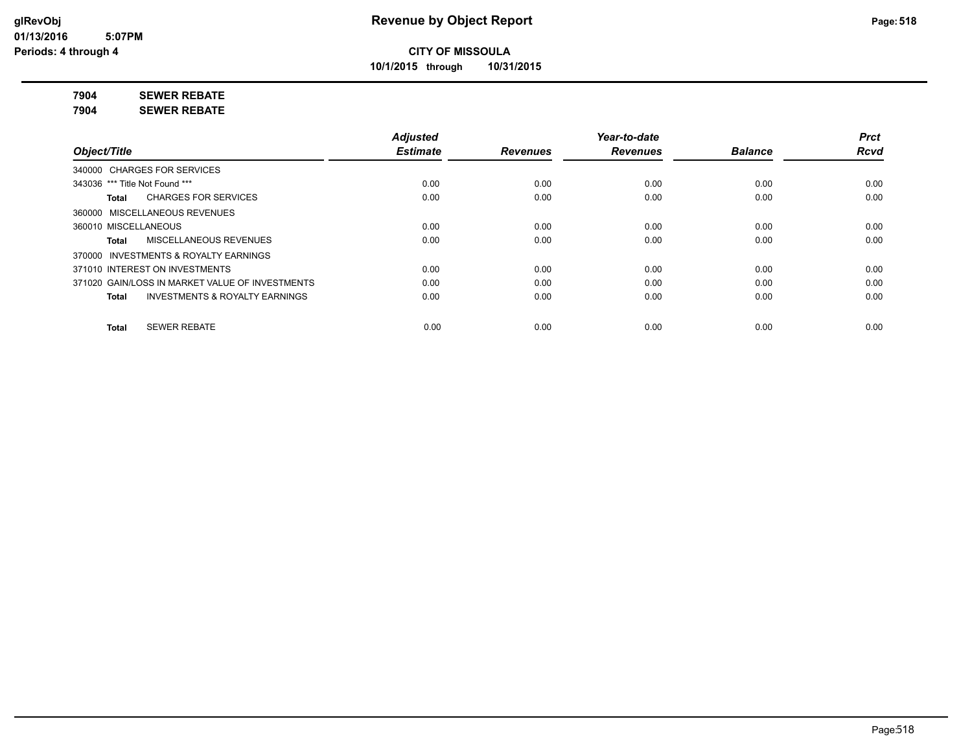**10/1/2015 through 10/31/2015**

**7904 SEWER REBATE**

**7904 SEWER REBATE**

|                                                           | <b>Adjusted</b> |                 | Year-to-date    |                | <b>Prct</b> |
|-----------------------------------------------------------|-----------------|-----------------|-----------------|----------------|-------------|
| Object/Title                                              | <b>Estimate</b> | <b>Revenues</b> | <b>Revenues</b> | <b>Balance</b> | <b>Rcvd</b> |
| 340000 CHARGES FOR SERVICES                               |                 |                 |                 |                |             |
| 343036 *** Title Not Found ***                            | 0.00            | 0.00            | 0.00            | 0.00           | 0.00        |
| <b>CHARGES FOR SERVICES</b><br>Total                      | 0.00            | 0.00            | 0.00            | 0.00           | 0.00        |
| 360000 MISCELLANEOUS REVENUES                             |                 |                 |                 |                |             |
| 360010 MISCELLANEOUS                                      | 0.00            | 0.00            | 0.00            | 0.00           | 0.00        |
| MISCELLANEOUS REVENUES<br>Total                           | 0.00            | 0.00            | 0.00            | 0.00           | 0.00        |
| 370000 INVESTMENTS & ROYALTY EARNINGS                     |                 |                 |                 |                |             |
| 371010 INTEREST ON INVESTMENTS                            | 0.00            | 0.00            | 0.00            | 0.00           | 0.00        |
| 371020 GAIN/LOSS IN MARKET VALUE OF INVESTMENTS           | 0.00            | 0.00            | 0.00            | 0.00           | 0.00        |
| <b>INVESTMENTS &amp; ROYALTY EARNINGS</b><br><b>Total</b> | 0.00            | 0.00            | 0.00            | 0.00           | 0.00        |
| <b>SEWER REBATE</b><br><b>Total</b>                       | 0.00            | 0.00            | 0.00            | 0.00           | 0.00        |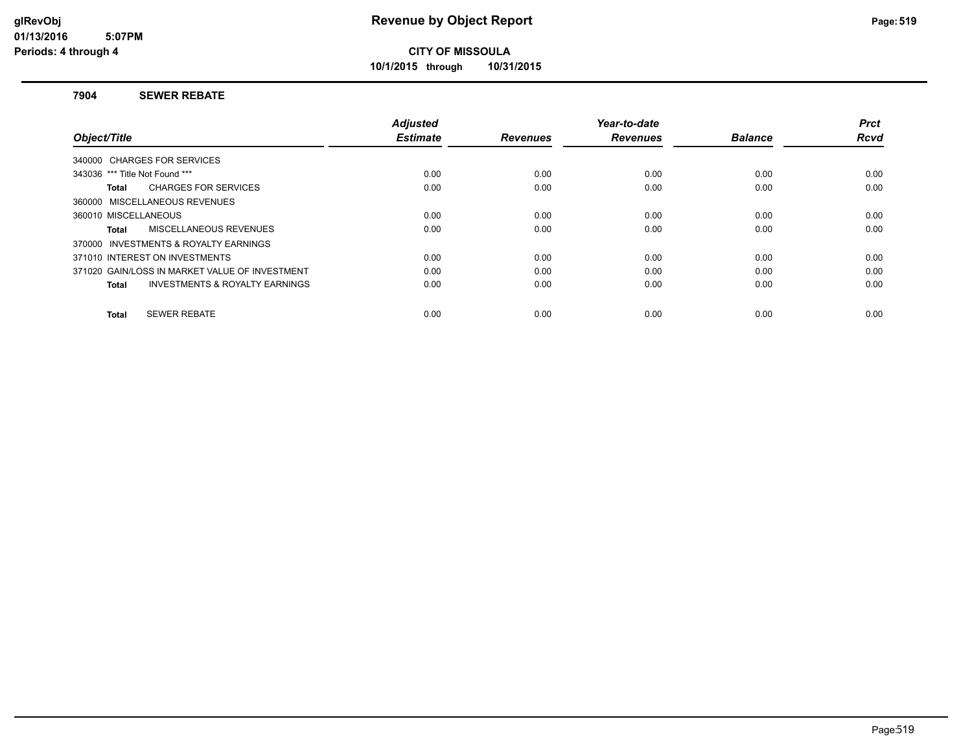**10/1/2015 through 10/31/2015**

#### **7904 SEWER REBATE**

| Object/Title                                              | <b>Adjusted</b><br><b>Estimate</b> | <b>Revenues</b> | Year-to-date<br><b>Revenues</b> | <b>Balance</b> | <b>Prct</b><br><b>Rcvd</b> |
|-----------------------------------------------------------|------------------------------------|-----------------|---------------------------------|----------------|----------------------------|
| 340000 CHARGES FOR SERVICES                               |                                    |                 |                                 |                |                            |
|                                                           |                                    |                 |                                 |                |                            |
| 343036 *** Title Not Found ***                            | 0.00                               | 0.00            | 0.00                            | 0.00           | 0.00                       |
| <b>CHARGES FOR SERVICES</b><br>Total                      | 0.00                               | 0.00            | 0.00                            | 0.00           | 0.00                       |
| 360000 MISCELLANEOUS REVENUES                             |                                    |                 |                                 |                |                            |
| 360010 MISCELLANEOUS                                      | 0.00                               | 0.00            | 0.00                            | 0.00           | 0.00                       |
| MISCELLANEOUS REVENUES<br>Total                           | 0.00                               | 0.00            | 0.00                            | 0.00           | 0.00                       |
| 370000 INVESTMENTS & ROYALTY EARNINGS                     |                                    |                 |                                 |                |                            |
| 371010 INTEREST ON INVESTMENTS                            | 0.00                               | 0.00            | 0.00                            | 0.00           | 0.00                       |
| 371020 GAIN/LOSS IN MARKET VALUE OF INVESTMENT            | 0.00                               | 0.00            | 0.00                            | 0.00           | 0.00                       |
| <b>INVESTMENTS &amp; ROYALTY EARNINGS</b><br><b>Total</b> | 0.00                               | 0.00            | 0.00                            | 0.00           | 0.00                       |
| <b>SEWER REBATE</b><br><b>Total</b>                       | 0.00                               | 0.00            | 0.00                            | 0.00           | 0.00                       |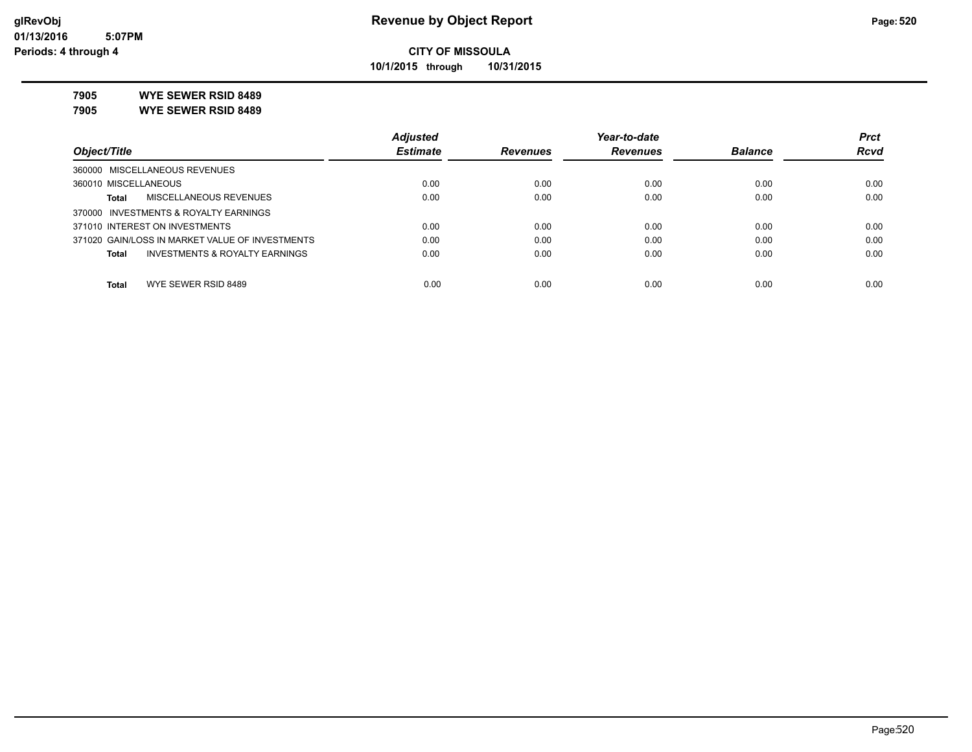**10/1/2015 through 10/31/2015**

**7905 WYE SEWER RSID 8489**

**7905 WYE SEWER RSID 8489**

|                                                 | <b>Adjusted</b> |                 | Year-to-date    |                | <b>Prct</b> |
|-------------------------------------------------|-----------------|-----------------|-----------------|----------------|-------------|
| Object/Title                                    | <b>Estimate</b> | <b>Revenues</b> | <b>Revenues</b> | <b>Balance</b> | <b>Rcvd</b> |
| 360000 MISCELLANEOUS REVENUES                   |                 |                 |                 |                |             |
| 360010 MISCELLANEOUS                            | 0.00            | 0.00            | 0.00            | 0.00           | 0.00        |
| MISCELLANEOUS REVENUES<br>Total                 | 0.00            | 0.00            | 0.00            | 0.00           | 0.00        |
| 370000 INVESTMENTS & ROYALTY EARNINGS           |                 |                 |                 |                |             |
| 371010 INTEREST ON INVESTMENTS                  | 0.00            | 0.00            | 0.00            | 0.00           | 0.00        |
| 371020 GAIN/LOSS IN MARKET VALUE OF INVESTMENTS | 0.00            | 0.00            | 0.00            | 0.00           | 0.00        |
| INVESTMENTS & ROYALTY EARNINGS<br>Total         | 0.00            | 0.00            | 0.00            | 0.00           | 0.00        |
|                                                 |                 |                 |                 |                |             |
| WYE SEWER RSID 8489<br>Total                    | 0.00            | 0.00            | 0.00            | 0.00           | 0.00        |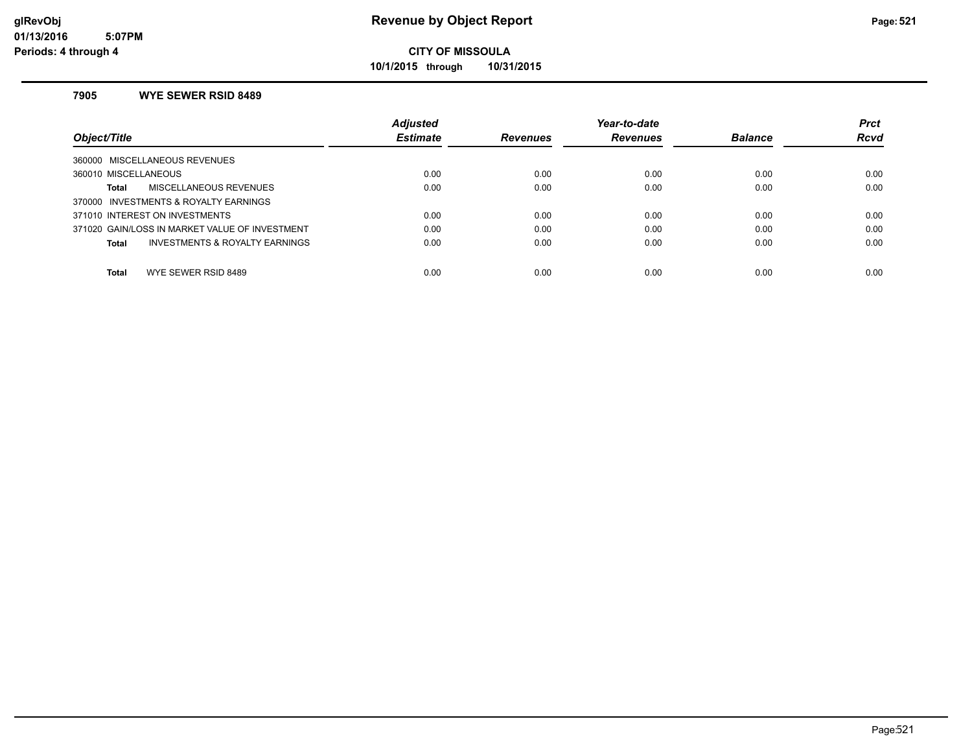**10/1/2015 through 10/31/2015**

#### **7905 WYE SEWER RSID 8489**

|                                                | <b>Adjusted</b> |                 | Year-to-date    |                | <b>Prct</b> |
|------------------------------------------------|-----------------|-----------------|-----------------|----------------|-------------|
| Object/Title                                   | <b>Estimate</b> | <b>Revenues</b> | <b>Revenues</b> | <b>Balance</b> | <b>Rcvd</b> |
| 360000 MISCELLANEOUS REVENUES                  |                 |                 |                 |                |             |
| 360010 MISCELLANEOUS                           | 0.00            | 0.00            | 0.00            | 0.00           | 0.00        |
| MISCELLANEOUS REVENUES<br>Total                | 0.00            | 0.00            | 0.00            | 0.00           | 0.00        |
| 370000 INVESTMENTS & ROYALTY EARNINGS          |                 |                 |                 |                |             |
| 371010 INTEREST ON INVESTMENTS                 | 0.00            | 0.00            | 0.00            | 0.00           | 0.00        |
| 371020 GAIN/LOSS IN MARKET VALUE OF INVESTMENT | 0.00            | 0.00            | 0.00            | 0.00           | 0.00        |
| INVESTMENTS & ROYALTY EARNINGS<br>Total        | 0.00            | 0.00            | 0.00            | 0.00           | 0.00        |
|                                                |                 |                 |                 |                |             |
| <b>Total</b><br>WYE SEWER RSID 8489            | 0.00            | 0.00            | 0.00            | 0.00           | 0.00        |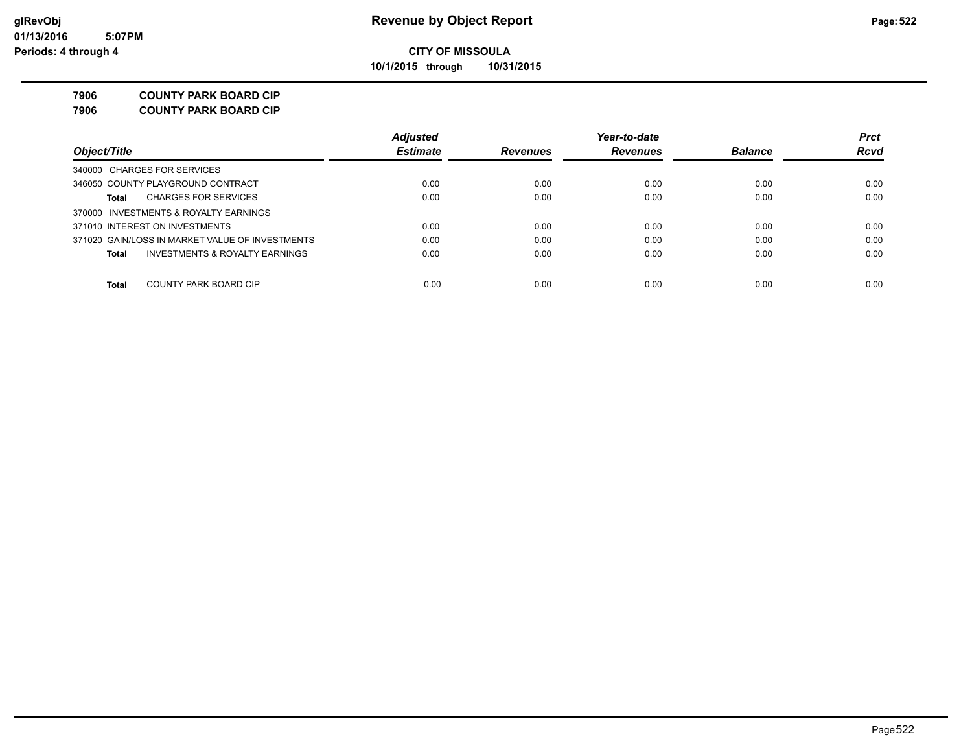**10/1/2015 through 10/31/2015**

#### **7906 COUNTY PARK BOARD CIP**

**7906 COUNTY PARK BOARD CIP**

|                                                 | <b>Adjusted</b> |                 | Year-to-date    |                | <b>Prct</b> |
|-------------------------------------------------|-----------------|-----------------|-----------------|----------------|-------------|
| Object/Title                                    | <b>Estimate</b> | <b>Revenues</b> | <b>Revenues</b> | <b>Balance</b> | <b>Rcvd</b> |
| 340000 CHARGES FOR SERVICES                     |                 |                 |                 |                |             |
| 346050 COUNTY PLAYGROUND CONTRACT               | 0.00            | 0.00            | 0.00            | 0.00           | 0.00        |
| <b>CHARGES FOR SERVICES</b><br>Total            | 0.00            | 0.00            | 0.00            | 0.00           | 0.00        |
| 370000 INVESTMENTS & ROYALTY EARNINGS           |                 |                 |                 |                |             |
| 371010 INTEREST ON INVESTMENTS                  | 0.00            | 0.00            | 0.00            | 0.00           | 0.00        |
| 371020 GAIN/LOSS IN MARKET VALUE OF INVESTMENTS | 0.00            | 0.00            | 0.00            | 0.00           | 0.00        |
| INVESTMENTS & ROYALTY EARNINGS<br>Total         | 0.00            | 0.00            | 0.00            | 0.00           | 0.00        |
| COUNTY PARK BOARD CIP<br><b>Total</b>           | 0.00            | 0.00            | 0.00            | 0.00           | 0.00        |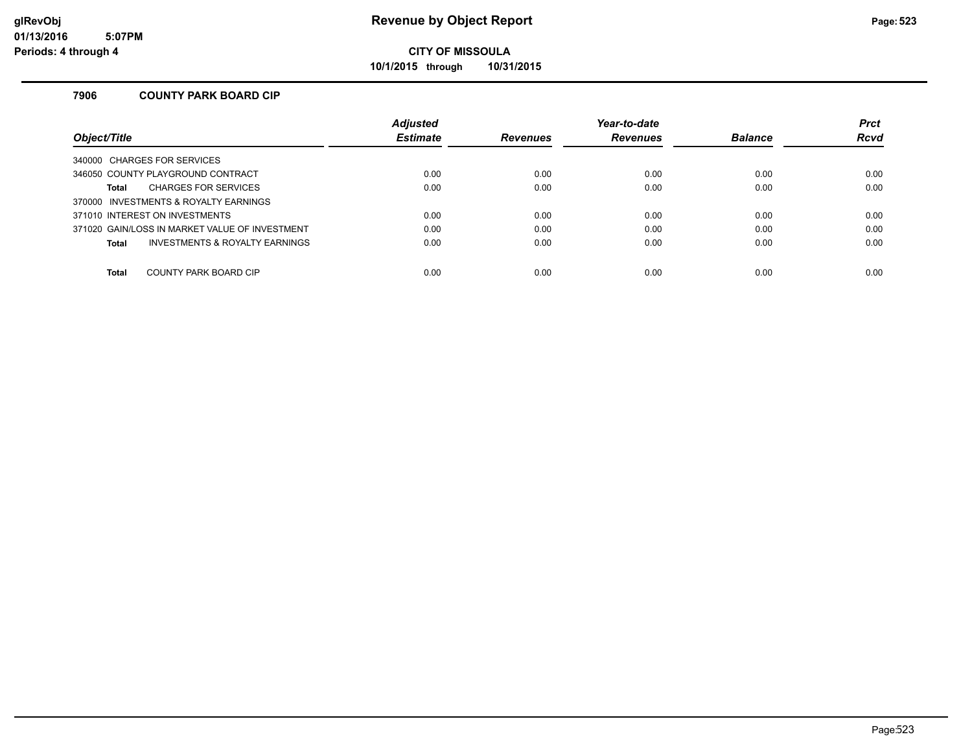**10/1/2015 through 10/31/2015**

### **7906 COUNTY PARK BOARD CIP**

|                                                | <b>Adjusted</b> |                 | Year-to-date    |                | <b>Prct</b> |
|------------------------------------------------|-----------------|-----------------|-----------------|----------------|-------------|
| Obiect/Title                                   | <b>Estimate</b> | <b>Revenues</b> | <b>Revenues</b> | <b>Balance</b> | <b>Rcvd</b> |
| 340000 CHARGES FOR SERVICES                    |                 |                 |                 |                |             |
| 346050 COUNTY PLAYGROUND CONTRACT              | 0.00            | 0.00            | 0.00            | 0.00           | 0.00        |
| <b>CHARGES FOR SERVICES</b><br>Total           | 0.00            | 0.00            | 0.00            | 0.00           | 0.00        |
| 370000 INVESTMENTS & ROYALTY EARNINGS          |                 |                 |                 |                |             |
| 371010 INTEREST ON INVESTMENTS                 | 0.00            | 0.00            | 0.00            | 0.00           | 0.00        |
| 371020 GAIN/LOSS IN MARKET VALUE OF INVESTMENT | 0.00            | 0.00            | 0.00            | 0.00           | 0.00        |
| INVESTMENTS & ROYALTY EARNINGS<br>Total        | 0.00            | 0.00            | 0.00            | 0.00           | 0.00        |
|                                                |                 |                 |                 |                |             |
| COUNTY PARK BOARD CIP<br><b>Total</b>          | 0.00            | 0.00            | 0.00            | 0.00           | 0.00        |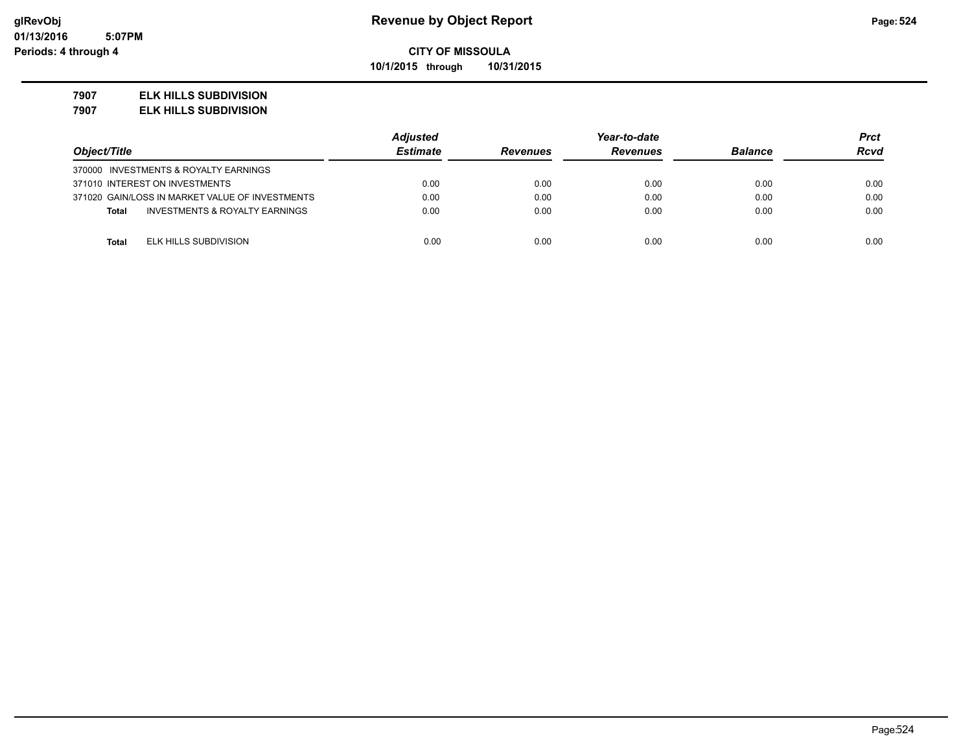**10/1/2015 through 10/31/2015**

#### **7907 ELK HILLS SUBDIVISION**

**7907 ELK HILLS SUBDIVISION**

|                                                 | <b>Adjusted</b> |                 | Year-to-date    |                | Prct        |
|-------------------------------------------------|-----------------|-----------------|-----------------|----------------|-------------|
| Object/Title                                    | <b>Estimate</b> | <b>Revenues</b> | <b>Revenues</b> | <b>Balance</b> | <b>Rcvd</b> |
| 370000 INVESTMENTS & ROYALTY EARNINGS           |                 |                 |                 |                |             |
| 371010 INTEREST ON INVESTMENTS                  | 0.00            | 0.00            | 0.00            | 0.00           | 0.00        |
| 371020 GAIN/LOSS IN MARKET VALUE OF INVESTMENTS | 0.00            | 0.00            | 0.00            | 0.00           | 0.00        |
| INVESTMENTS & ROYALTY EARNINGS<br><b>Total</b>  | 0.00            | 0.00            | 0.00            | 0.00           | 0.00        |
|                                                 |                 |                 |                 |                |             |
| ELK HILLS SUBDIVISION<br><b>Total</b>           | 0.00            | 0.00            | 0.00            | 0.00           | 0.00        |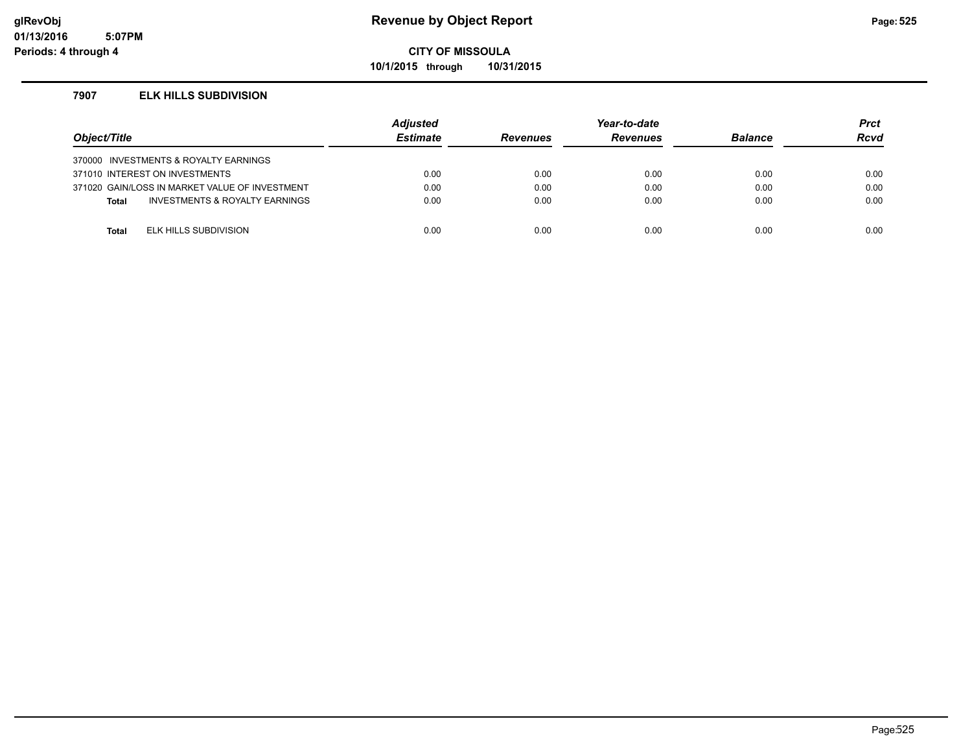**10/1/2015 through 10/31/2015**

#### **7907 ELK HILLS SUBDIVISION**

| Object/Title |                                                | <b>Adjusted</b><br><b>Estimate</b> | <b>Revenues</b> | Year-to-date<br><b>Revenues</b> | <b>Balance</b> | <b>Prct</b><br><b>Rcvd</b> |
|--------------|------------------------------------------------|------------------------------------|-----------------|---------------------------------|----------------|----------------------------|
|              | 370000 INVESTMENTS & ROYALTY EARNINGS          |                                    |                 |                                 |                |                            |
|              | 371010 INTEREST ON INVESTMENTS                 | 0.00                               | 0.00            | 0.00                            | 0.00           | 0.00                       |
|              | 371020 GAIN/LOSS IN MARKET VALUE OF INVESTMENT | 0.00                               | 0.00            | 0.00                            | 0.00           | 0.00                       |
| <b>Total</b> | INVESTMENTS & ROYALTY EARNINGS                 | 0.00                               | 0.00            | 0.00                            | 0.00           | 0.00                       |
|              |                                                |                                    |                 |                                 |                |                            |
| Total        | ELK HILLS SUBDIVISION                          | 0.00                               | 0.00            | 0.00                            | 0.00           | 0.00                       |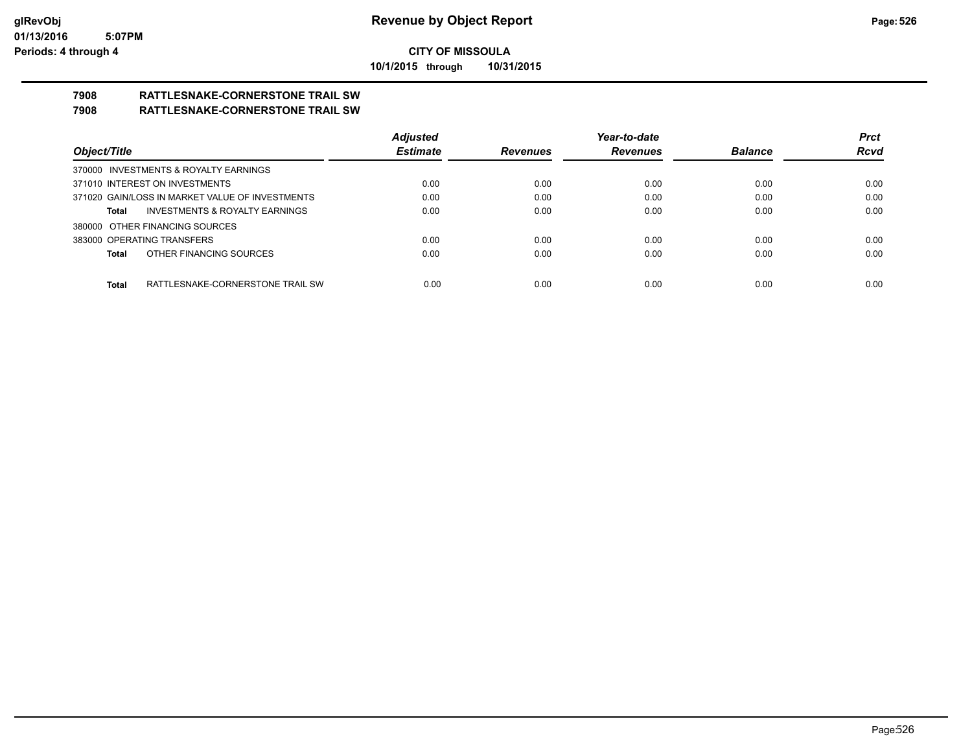**10/1/2015 through 10/31/2015**

# **7908 RATTLESNAKE-CORNERSTONE TRAIL SW**

### **7908 RATTLESNAKE-CORNERSTONE TRAIL SW**

|                                                    | <b>Adjusted</b> |                 | Year-to-date    |                | <b>Prct</b> |
|----------------------------------------------------|-----------------|-----------------|-----------------|----------------|-------------|
| Object/Title                                       | <b>Estimate</b> | <b>Revenues</b> | <b>Revenues</b> | <b>Balance</b> | <b>Rcvd</b> |
| 370000 INVESTMENTS & ROYALTY EARNINGS              |                 |                 |                 |                |             |
| 371010 INTEREST ON INVESTMENTS                     | 0.00            | 0.00            | 0.00            | 0.00           | 0.00        |
| 371020 GAIN/LOSS IN MARKET VALUE OF INVESTMENTS    | 0.00            | 0.00            | 0.00            | 0.00           | 0.00        |
| <b>INVESTMENTS &amp; ROYALTY EARNINGS</b><br>Total | 0.00            | 0.00            | 0.00            | 0.00           | 0.00        |
| 380000 OTHER FINANCING SOURCES                     |                 |                 |                 |                |             |
| 383000 OPERATING TRANSFERS                         | 0.00            | 0.00            | 0.00            | 0.00           | 0.00        |
| OTHER FINANCING SOURCES<br>Total                   | 0.00            | 0.00            | 0.00            | 0.00           | 0.00        |
|                                                    |                 |                 |                 |                |             |
| RATTLESNAKE-CORNERSTONE TRAIL SW<br>Total          | 0.00            | 0.00            | 0.00            | 0.00           | 0.00        |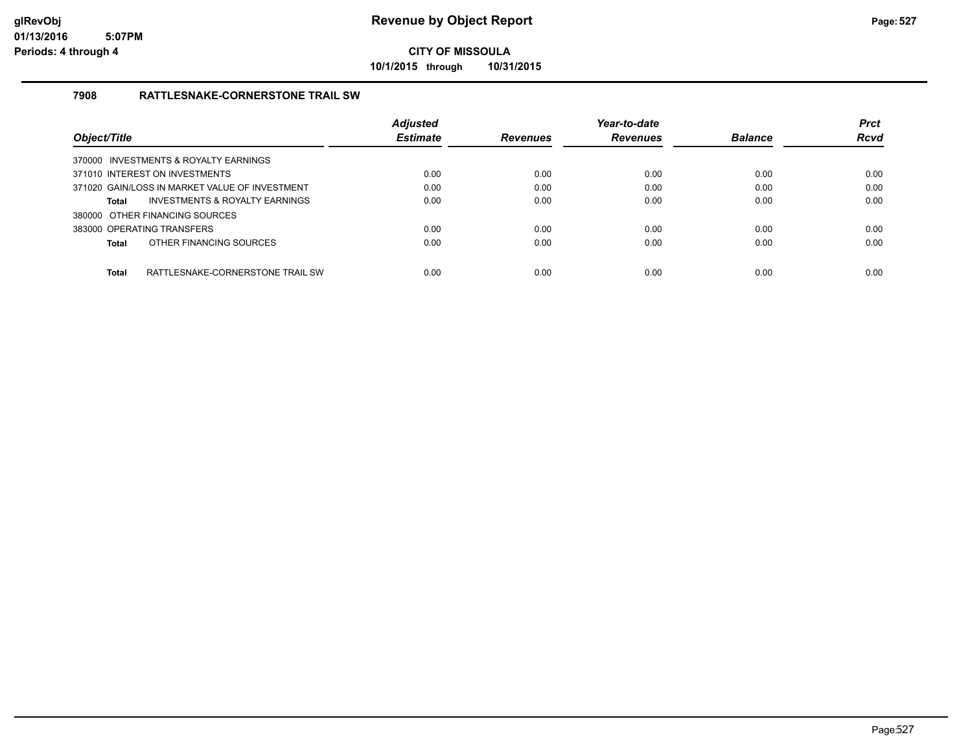**10/1/2015 through 10/31/2015**

### **7908 RATTLESNAKE-CORNERSTONE TRAIL SW**

|              |                                                | <b>Adjusted</b> |                 | Year-to-date    |                | <b>Prct</b> |
|--------------|------------------------------------------------|-----------------|-----------------|-----------------|----------------|-------------|
| Object/Title |                                                | <b>Estimate</b> | <b>Revenues</b> | <b>Revenues</b> | <b>Balance</b> | <b>Rcvd</b> |
|              | 370000 INVESTMENTS & ROYALTY EARNINGS          |                 |                 |                 |                |             |
|              | 371010 INTEREST ON INVESTMENTS                 | 0.00            | 0.00            | 0.00            | 0.00           | 0.00        |
|              | 371020 GAIN/LOSS IN MARKET VALUE OF INVESTMENT | 0.00            | 0.00            | 0.00            | 0.00           | 0.00        |
| Total        | INVESTMENTS & ROYALTY EARNINGS                 | 0.00            | 0.00            | 0.00            | 0.00           | 0.00        |
|              | 380000 OTHER FINANCING SOURCES                 |                 |                 |                 |                |             |
|              | 383000 OPERATING TRANSFERS                     | 0.00            | 0.00            | 0.00            | 0.00           | 0.00        |
| Total        | OTHER FINANCING SOURCES                        | 0.00            | 0.00            | 0.00            | 0.00           | 0.00        |
| <b>Total</b> | RATTLESNAKE-CORNERSTONE TRAIL SW               | 0.00            | 0.00            | 0.00            | 0.00           | 0.00        |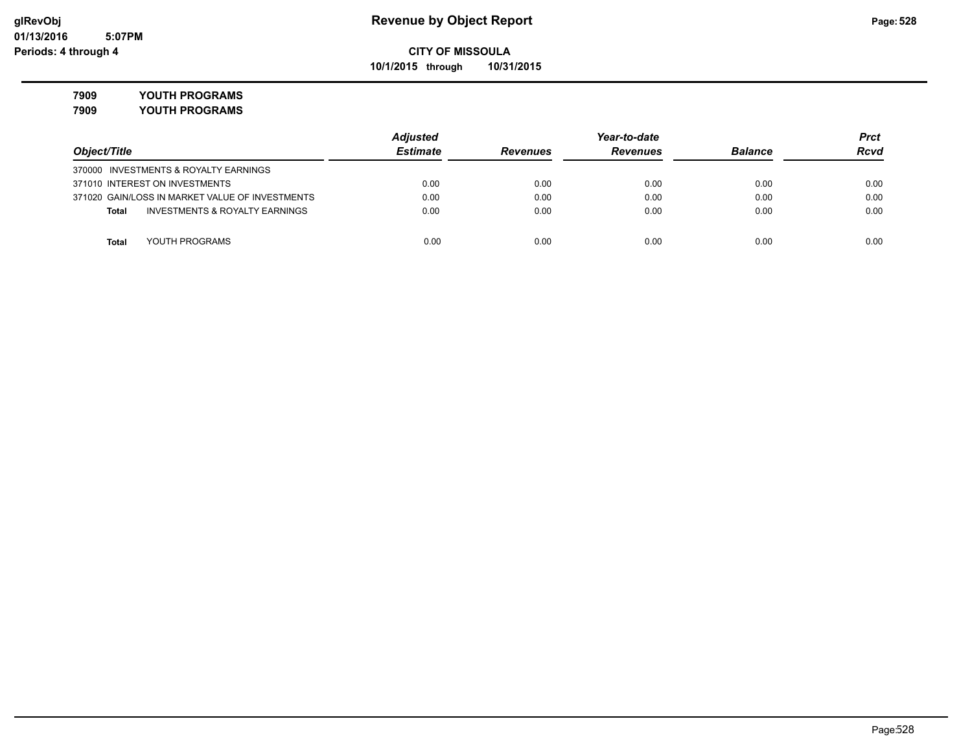**10/1/2015 through 10/31/2015**

### **7909 YOUTH PROGRAMS**

**7909 YOUTH PROGRAMS**

|                                                    | <b>Adjusted</b> |                 | Year-to-date    |                | Prct        |
|----------------------------------------------------|-----------------|-----------------|-----------------|----------------|-------------|
| Object/Title                                       | <b>Estimate</b> | <b>Revenues</b> | <b>Revenues</b> | <b>Balance</b> | <b>Rcvd</b> |
| 370000 INVESTMENTS & ROYALTY EARNINGS              |                 |                 |                 |                |             |
| 371010 INTEREST ON INVESTMENTS                     | 0.00            | 0.00            | 0.00            | 0.00           | 0.00        |
| 371020 GAIN/LOSS IN MARKET VALUE OF INVESTMENTS    | 0.00            | 0.00            | 0.00            | 0.00           | 0.00        |
| <b>INVESTMENTS &amp; ROYALTY EARNINGS</b><br>Total | 0.00            | 0.00            | 0.00            | 0.00           | 0.00        |
|                                                    |                 |                 |                 |                |             |
| YOUTH PROGRAMS<br>Total                            | 0.00            | 0.00            | 0.00            | 0.00           | 0.00        |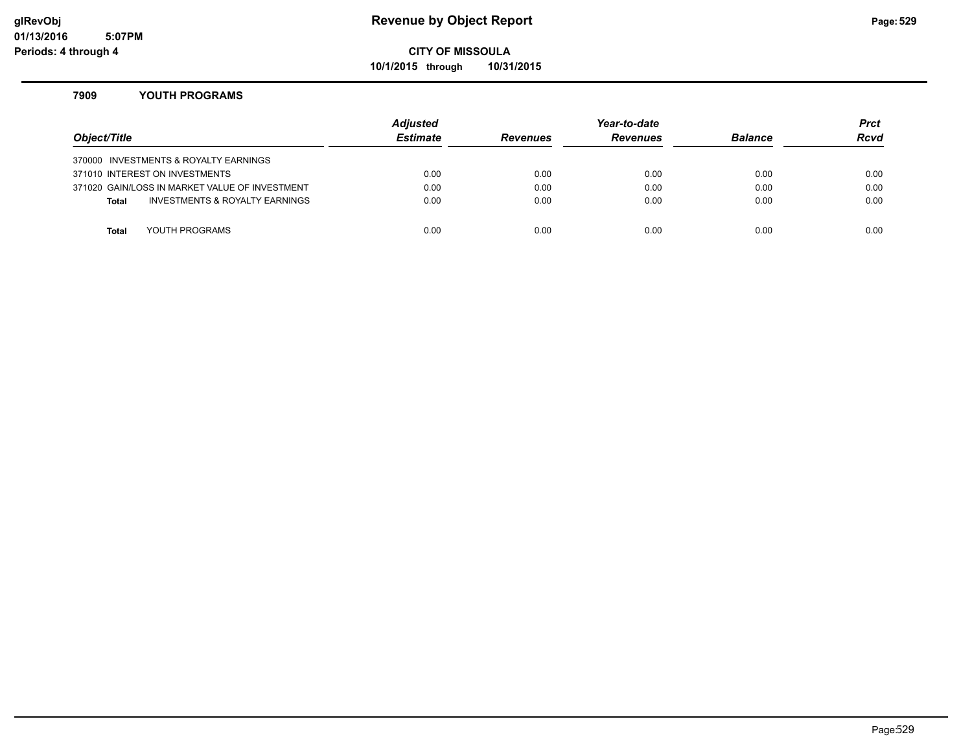### **glRevObj Revenue by Object Report Page:529**

### **CITY OF MISSOULA**

**10/1/2015 through 10/31/2015**

#### **7909 YOUTH PROGRAMS**

| Object/Title |                                                | <b>Adjusted</b><br><b>Estimate</b> | <b>Revenues</b> | Year-to-date<br><b>Revenues</b> | <b>Balance</b> | <b>Prct</b><br><b>Rcvd</b> |
|--------------|------------------------------------------------|------------------------------------|-----------------|---------------------------------|----------------|----------------------------|
|              | 370000 INVESTMENTS & ROYALTY EARNINGS          |                                    |                 |                                 |                |                            |
|              | 371010 INTEREST ON INVESTMENTS                 | 0.00                               | 0.00            | 0.00                            | 0.00           | 0.00                       |
|              | 371020 GAIN/LOSS IN MARKET VALUE OF INVESTMENT | 0.00                               | 0.00            | 0.00                            | 0.00           | 0.00                       |
| <b>Total</b> | INVESTMENTS & ROYALTY EARNINGS                 | 0.00                               | 0.00            | 0.00                            | 0.00           | 0.00                       |
|              |                                                |                                    |                 |                                 |                |                            |
| Total        | YOUTH PROGRAMS                                 | 0.00                               | 0.00            | 0.00                            | 0.00           | 0.00                       |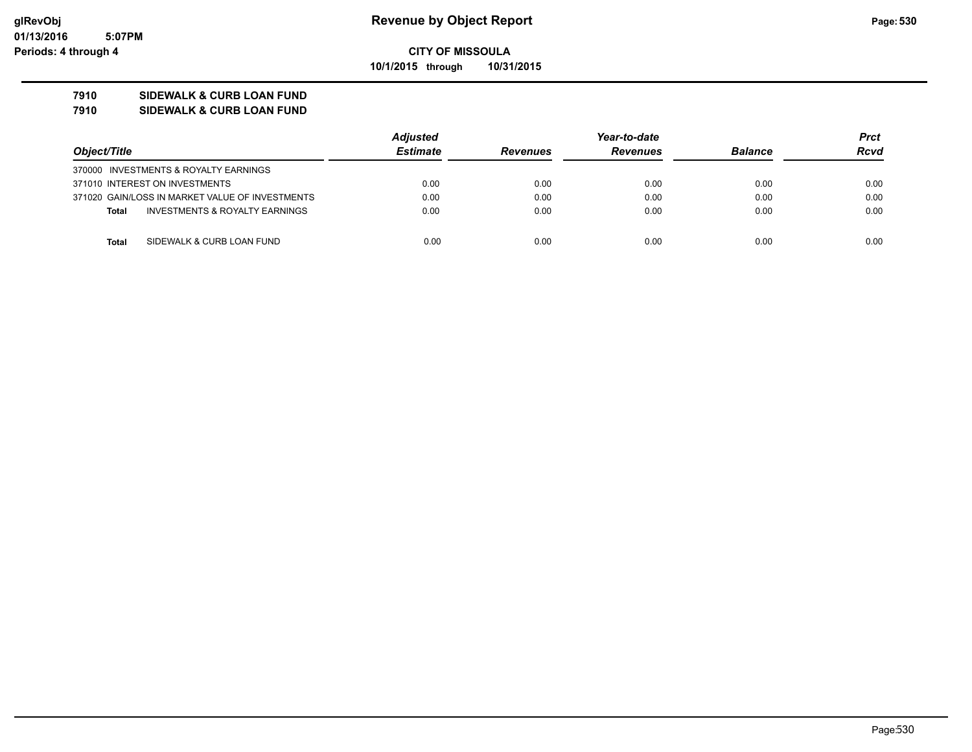#### **7910 SIDEWALK & CURB LOAN FUND**

#### **7910 SIDEWALK & CURB LOAN FUND**

|                                                 | <b>Adjusted</b> | Year-to-date    |                 |                | <b>Prct</b> |
|-------------------------------------------------|-----------------|-----------------|-----------------|----------------|-------------|
| Object/Title                                    | <b>Estimate</b> | <b>Revenues</b> | <b>Revenues</b> | <b>Balance</b> | <b>Rcvd</b> |
| 370000 INVESTMENTS & ROYALTY EARNINGS           |                 |                 |                 |                |             |
| 371010 INTEREST ON INVESTMENTS                  | 0.00            | 0.00            | 0.00            | 0.00           | 0.00        |
| 371020 GAIN/LOSS IN MARKET VALUE OF INVESTMENTS | 0.00            | 0.00            | 0.00            | 0.00           | 0.00        |
| INVESTMENTS & ROYALTY EARNINGS<br><b>Total</b>  | 0.00            | 0.00            | 0.00            | 0.00           | 0.00        |
|                                                 |                 |                 |                 |                |             |
| SIDEWALK & CURB LOAN FUND<br>Total              | 0.00            | 0.00            | 0.00            | 0.00           | 0.00        |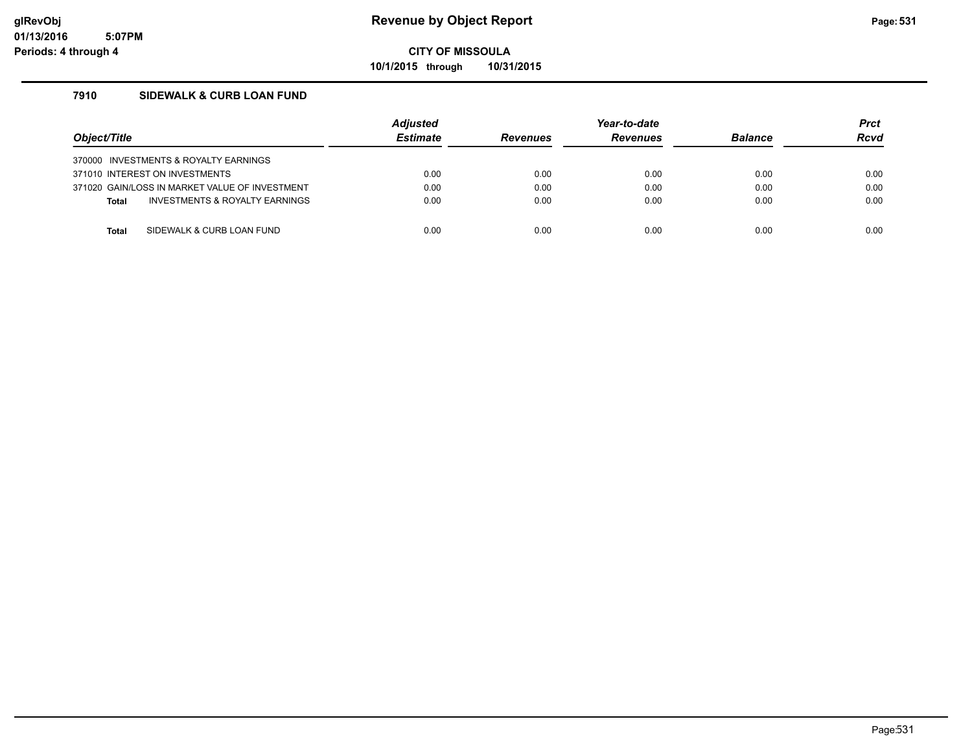**10/1/2015 through 10/31/2015**

### **7910 SIDEWALK & CURB LOAN FUND**

| Object/Title                          |                                                | <b>Adiusted</b><br><b>Estimate</b> | <b>Revenues</b> | Year-to-date<br><b>Revenues</b> | <b>Balance</b> | <b>Prct</b><br><b>Rcvd</b> |
|---------------------------------------|------------------------------------------------|------------------------------------|-----------------|---------------------------------|----------------|----------------------------|
| 370000 INVESTMENTS & ROYALTY EARNINGS |                                                |                                    |                 |                                 |                |                            |
| 371010 INTEREST ON INVESTMENTS        |                                                | 0.00                               | 0.00            | 0.00                            | 0.00           | 0.00                       |
|                                       | 371020 GAIN/LOSS IN MARKET VALUE OF INVESTMENT | 0.00                               | 0.00            | 0.00                            | 0.00           | 0.00                       |
| <b>Total</b>                          | INVESTMENTS & ROYALTY EARNINGS                 | 0.00                               | 0.00            | 0.00                            | 0.00           | 0.00                       |
|                                       |                                                |                                    |                 |                                 |                |                            |
| Total                                 | SIDEWALK & CURB LOAN FUND                      | 0.00                               | 0.00            | 0.00                            | 0.00           | 0.00                       |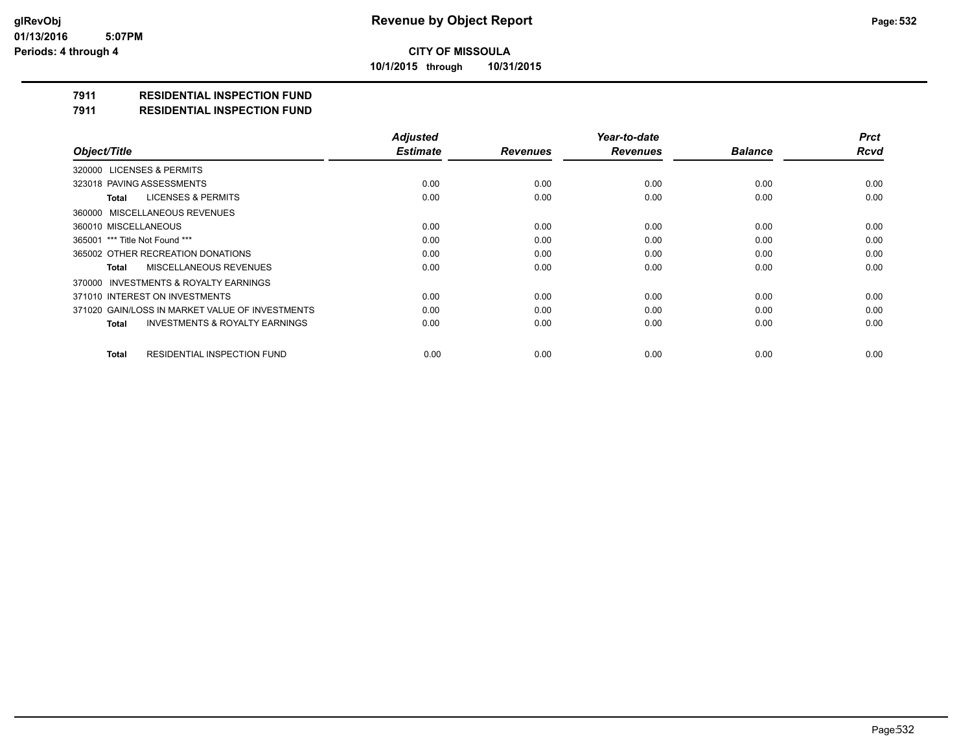**10/1/2015 through 10/31/2015**

### **7911 RESIDENTIAL INSPECTION FUND**

#### **7911 RESIDENTIAL INSPECTION FUND**

|                                                           | <b>Adjusted</b> |                 | Year-to-date    |                | <b>Prct</b> |
|-----------------------------------------------------------|-----------------|-----------------|-----------------|----------------|-------------|
| Object/Title                                              | <b>Estimate</b> | <b>Revenues</b> | <b>Revenues</b> | <b>Balance</b> | <b>Rcvd</b> |
| <b>LICENSES &amp; PERMITS</b><br>320000                   |                 |                 |                 |                |             |
| 323018 PAVING ASSESSMENTS                                 | 0.00            | 0.00            | 0.00            | 0.00           | 0.00        |
| <b>LICENSES &amp; PERMITS</b><br>Total                    | 0.00            | 0.00            | 0.00            | 0.00           | 0.00        |
| MISCELLANEOUS REVENUES<br>360000                          |                 |                 |                 |                |             |
| 360010 MISCELLANEOUS                                      | 0.00            | 0.00            | 0.00            | 0.00           | 0.00        |
| 365001 *** Title Not Found ***                            | 0.00            | 0.00            | 0.00            | 0.00           | 0.00        |
| 365002 OTHER RECREATION DONATIONS                         | 0.00            | 0.00            | 0.00            | 0.00           | 0.00        |
| MISCELLANEOUS REVENUES<br>Total                           | 0.00            | 0.00            | 0.00            | 0.00           | 0.00        |
| INVESTMENTS & ROYALTY EARNINGS<br>370000                  |                 |                 |                 |                |             |
| 371010 INTEREST ON INVESTMENTS                            | 0.00            | 0.00            | 0.00            | 0.00           | 0.00        |
| 371020 GAIN/LOSS IN MARKET VALUE OF INVESTMENTS           | 0.00            | 0.00            | 0.00            | 0.00           | 0.00        |
| <b>INVESTMENTS &amp; ROYALTY EARNINGS</b><br><b>Total</b> | 0.00            | 0.00            | 0.00            | 0.00           | 0.00        |
| <b>RESIDENTIAL INSPECTION FUND</b><br><b>Total</b>        | 0.00            | 0.00            | 0.00            | 0.00           | 0.00        |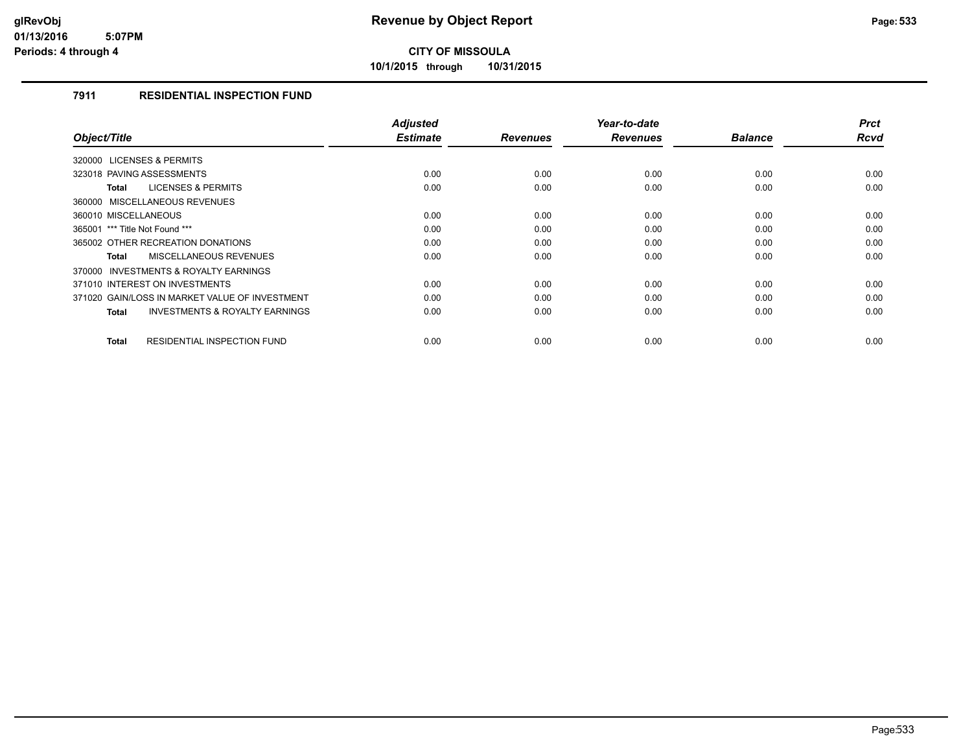**10/1/2015 through 10/31/2015**

### **7911 RESIDENTIAL INSPECTION FUND**

| Object/Title                                       | <b>Adjusted</b><br><b>Estimate</b> | <b>Revenues</b> | Year-to-date<br><b>Revenues</b> | <b>Balance</b> | <b>Prct</b><br>Rcvd |
|----------------------------------------------------|------------------------------------|-----------------|---------------------------------|----------------|---------------------|
|                                                    |                                    |                 |                                 |                |                     |
| 320000 LICENSES & PERMITS                          |                                    |                 |                                 |                |                     |
| 323018 PAVING ASSESSMENTS                          | 0.00                               | 0.00            | 0.00                            | 0.00           | 0.00                |
| <b>LICENSES &amp; PERMITS</b><br><b>Total</b>      | 0.00                               | 0.00            | 0.00                            | 0.00           | 0.00                |
| 360000 MISCELLANEOUS REVENUES                      |                                    |                 |                                 |                |                     |
| 360010 MISCELLANEOUS                               | 0.00                               | 0.00            | 0.00                            | 0.00           | 0.00                |
| 365001 *** Title Not Found ***                     | 0.00                               | 0.00            | 0.00                            | 0.00           | 0.00                |
| 365002 OTHER RECREATION DONATIONS                  | 0.00                               | 0.00            | 0.00                            | 0.00           | 0.00                |
| <b>MISCELLANEOUS REVENUES</b><br><b>Total</b>      | 0.00                               | 0.00            | 0.00                            | 0.00           | 0.00                |
| INVESTMENTS & ROYALTY EARNINGS<br>370000           |                                    |                 |                                 |                |                     |
| 371010 INTEREST ON INVESTMENTS                     | 0.00                               | 0.00            | 0.00                            | 0.00           | 0.00                |
| 371020 GAIN/LOSS IN MARKET VALUE OF INVESTMENT     | 0.00                               | 0.00            | 0.00                            | 0.00           | 0.00                |
| <b>INVESTMENTS &amp; ROYALTY EARNINGS</b><br>Total | 0.00                               | 0.00            | 0.00                            | 0.00           | 0.00                |
|                                                    |                                    |                 |                                 |                |                     |
| <b>RESIDENTIAL INSPECTION FUND</b><br><b>Total</b> | 0.00                               | 0.00            | 0.00                            | 0.00           | 0.00                |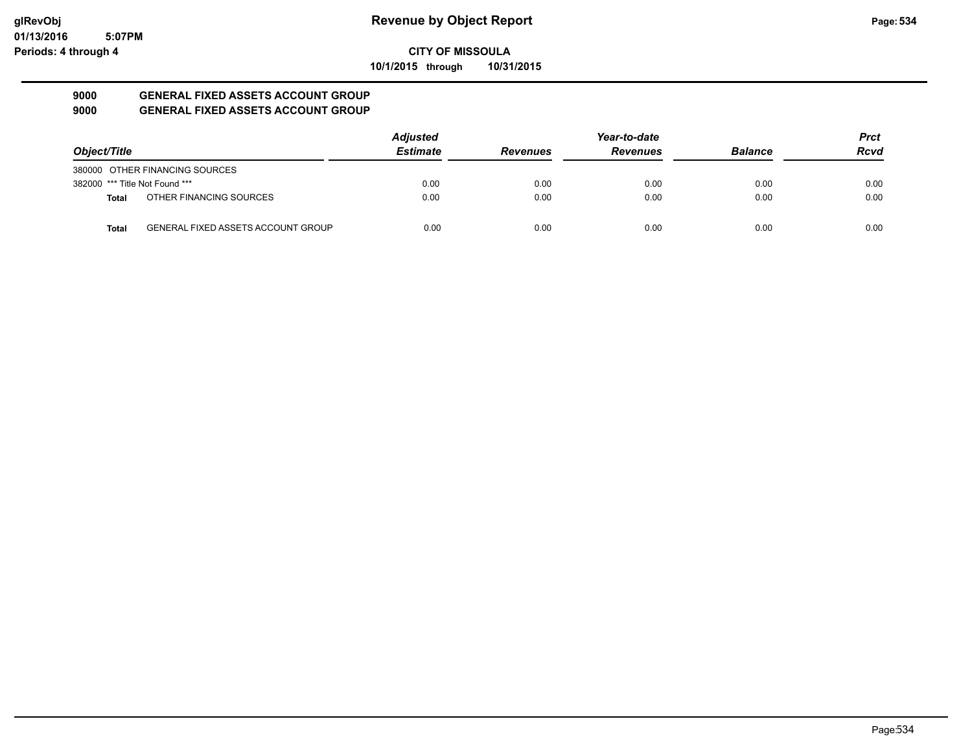**10/1/2015 through 10/31/2015**

#### **9000 GENERAL FIXED ASSETS ACCOUNT GROUP 9000 GENERAL FIXED ASSETS ACCOUNT GROUP**

|                                |                                           | <b>Adjusted</b> |                 | Year-to-date    |                | <b>Prct</b> |
|--------------------------------|-------------------------------------------|-----------------|-----------------|-----------------|----------------|-------------|
| Object/Title                   |                                           | <b>Estimate</b> | <b>Revenues</b> | <b>Revenues</b> | <b>Balance</b> | <b>Rcvd</b> |
|                                | 380000 OTHER FINANCING SOURCES            |                 |                 |                 |                |             |
| 382000 *** Title Not Found *** |                                           | 0.00            | 0.00            | 0.00            | 0.00           | 0.00        |
| <b>Total</b>                   | OTHER FINANCING SOURCES                   | 0.00            | 0.00            | 0.00            | 0.00           | 0.00        |
| <b>Total</b>                   | <b>GENERAL FIXED ASSETS ACCOUNT GROUP</b> | 0.00            | 0.00            | 0.00            | 0.00           | 0.00        |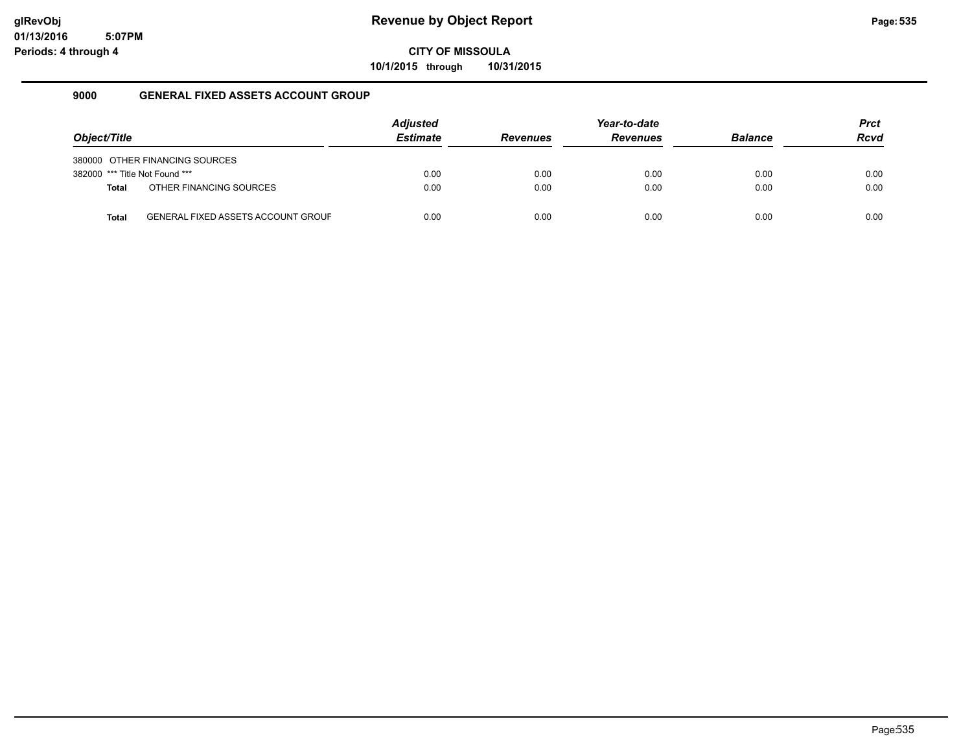**10/1/2015 through 10/31/2015**

### **9000 GENERAL FIXED ASSETS ACCOUNT GROUP**

|                                |                                           | <b>Adjusted</b> |                 | Year-to-date    |                | <b>Prct</b> |
|--------------------------------|-------------------------------------------|-----------------|-----------------|-----------------|----------------|-------------|
| Object/Title                   |                                           | <b>Estimate</b> | <b>Revenues</b> | <b>Revenues</b> | <b>Balance</b> | <b>Rcvd</b> |
|                                | 380000 OTHER FINANCING SOURCES            |                 |                 |                 |                |             |
| 382000 *** Title Not Found *** |                                           | 0.00            | 0.00            | 0.00            | 0.00           | 0.00        |
| <b>Total</b>                   | OTHER FINANCING SOURCES                   | 0.00            | 0.00            | 0.00            | 0.00           | 0.00        |
| <b>Total</b>                   | <b>GENERAL FIXED ASSETS ACCOUNT GROUF</b> | 0.00            | 0.00            | 0.00            | 0.00           | 0.00        |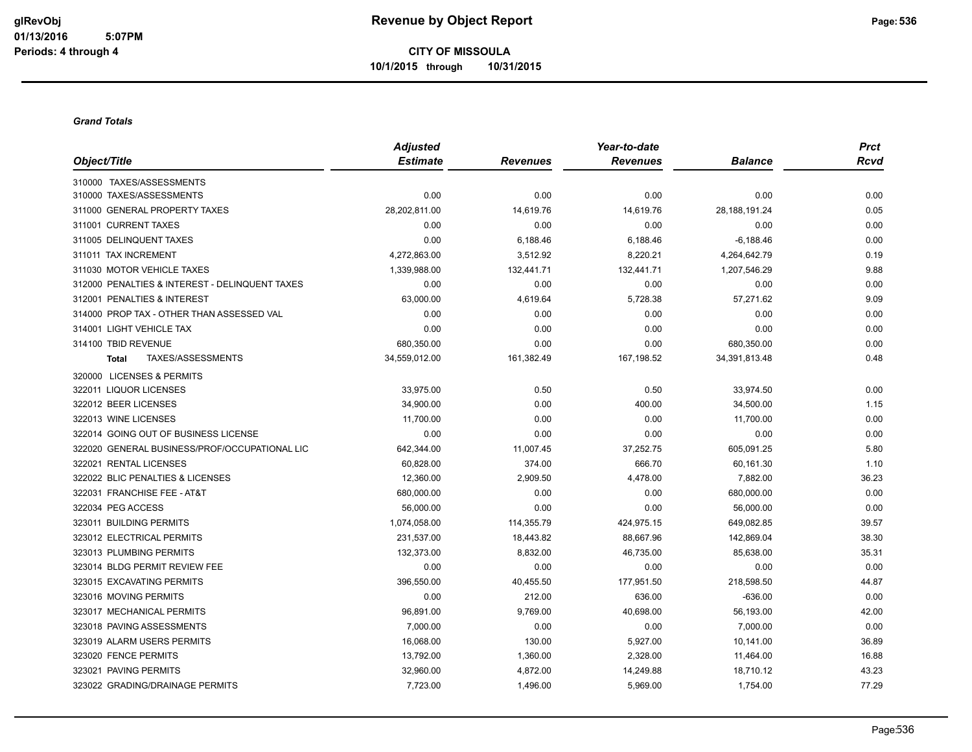#### *Grand Totals*

|                                                | <b>Adjusted</b> |                 | Year-to-date    |                 | <b>Prct</b> |
|------------------------------------------------|-----------------|-----------------|-----------------|-----------------|-------------|
| Object/Title                                   | <b>Estimate</b> | <b>Revenues</b> | <b>Revenues</b> | <b>Balance</b>  | <b>Rcvd</b> |
| 310000 TAXES/ASSESSMENTS                       |                 |                 |                 |                 |             |
| 310000 TAXES/ASSESSMENTS                       | 0.00            | 0.00            | 0.00            | 0.00            | 0.00        |
| 311000 GENERAL PROPERTY TAXES                  | 28,202,811.00   | 14,619.76       | 14,619.76       | 28, 188, 191.24 | 0.05        |
| 311001 CURRENT TAXES                           | 0.00            | 0.00            | 0.00            | 0.00            | 0.00        |
| 311005 DELINQUENT TAXES                        | 0.00            | 6,188.46        | 6,188.46        | $-6,188.46$     | 0.00        |
| 311011 TAX INCREMENT                           | 4,272,863.00    | 3,512.92        | 8,220.21        | 4,264,642.79    | 0.19        |
| 311030 MOTOR VEHICLE TAXES                     | 1,339,988.00    | 132,441.71      | 132,441.71      | 1,207,546.29    | 9.88        |
| 312000 PENALTIES & INTEREST - DELINQUENT TAXES | 0.00            | 0.00            | 0.00            | 0.00            | 0.00        |
| 312001 PENALTIES & INTEREST                    | 63,000.00       | 4,619.64        | 5,728.38        | 57,271.62       | 9.09        |
| 314000 PROP TAX - OTHER THAN ASSESSED VAL      | 0.00            | 0.00            | 0.00            | 0.00            | 0.00        |
| 314001 LIGHT VEHICLE TAX                       | 0.00            | 0.00            | 0.00            | 0.00            | 0.00        |
| 314100 TBID REVENUE                            | 680,350.00      | 0.00            | 0.00            | 680,350.00      | 0.00        |
| TAXES/ASSESSMENTS<br>Total                     | 34,559,012.00   | 161,382.49      | 167,198.52      | 34,391,813.48   | 0.48        |
| 320000 LICENSES & PERMITS                      |                 |                 |                 |                 |             |
| 322011 LIQUOR LICENSES                         | 33,975.00       | 0.50            | 0.50            | 33,974.50       | 0.00        |
| 322012 BEER LICENSES                           | 34,900.00       | 0.00            | 400.00          | 34,500.00       | 1.15        |
| 322013 WINE LICENSES                           | 11,700.00       | 0.00            | 0.00            | 11,700.00       | 0.00        |
| 322014 GOING OUT OF BUSINESS LICENSE           | 0.00            | 0.00            | 0.00            | 0.00            | 0.00        |
| 322020 GENERAL BUSINESS/PROF/OCCUPATIONAL LIC  | 642,344.00      | 11,007.45       | 37,252.75       | 605,091.25      | 5.80        |
| 322021 RENTAL LICENSES                         | 60,828.00       | 374.00          | 666.70          | 60,161.30       | 1.10        |
| 322022 BLIC PENALTIES & LICENSES               | 12,360.00       | 2,909.50        | 4,478.00        | 7,882.00        | 36.23       |
| 322031 FRANCHISE FEE - AT&T                    | 680,000.00      | 0.00            | 0.00            | 680,000.00      | 0.00        |
| 322034 PEG ACCESS                              | 56,000.00       | 0.00            | 0.00            | 56,000.00       | 0.00        |
| 323011 BUILDING PERMITS                        | 1,074,058.00    | 114,355.79      | 424,975.15      | 649,082.85      | 39.57       |
| 323012 ELECTRICAL PERMITS                      | 231,537.00      | 18,443.82       | 88,667.96       | 142,869.04      | 38.30       |
| 323013 PLUMBING PERMITS                        | 132,373.00      | 8,832.00        | 46,735.00       | 85,638.00       | 35.31       |
| 323014 BLDG PERMIT REVIEW FEE                  | 0.00            | 0.00            | 0.00            | 0.00            | 0.00        |
| 323015 EXCAVATING PERMITS                      | 396,550.00      | 40,455.50       | 177,951.50      | 218,598.50      | 44.87       |
| 323016 MOVING PERMITS                          | 0.00            | 212.00          | 636.00          | $-636.00$       | 0.00        |
| 323017 MECHANICAL PERMITS                      | 96,891.00       | 9,769.00        | 40,698.00       | 56,193.00       | 42.00       |
| 323018 PAVING ASSESSMENTS                      | 7,000.00        | 0.00            | 0.00            | 7,000.00        | 0.00        |
| 323019 ALARM USERS PERMITS                     | 16,068.00       | 130.00          | 5,927.00        | 10,141.00       | 36.89       |
| 323020 FENCE PERMITS                           | 13,792.00       | 1,360.00        | 2,328.00        | 11,464.00       | 16.88       |
| 323021 PAVING PERMITS                          | 32,960.00       | 4,872.00        | 14,249.88       | 18,710.12       | 43.23       |
| 323022 GRADING/DRAINAGE PERMITS                | 7,723.00        | 1,496.00        | 5,969.00        | 1,754.00        | 77.29       |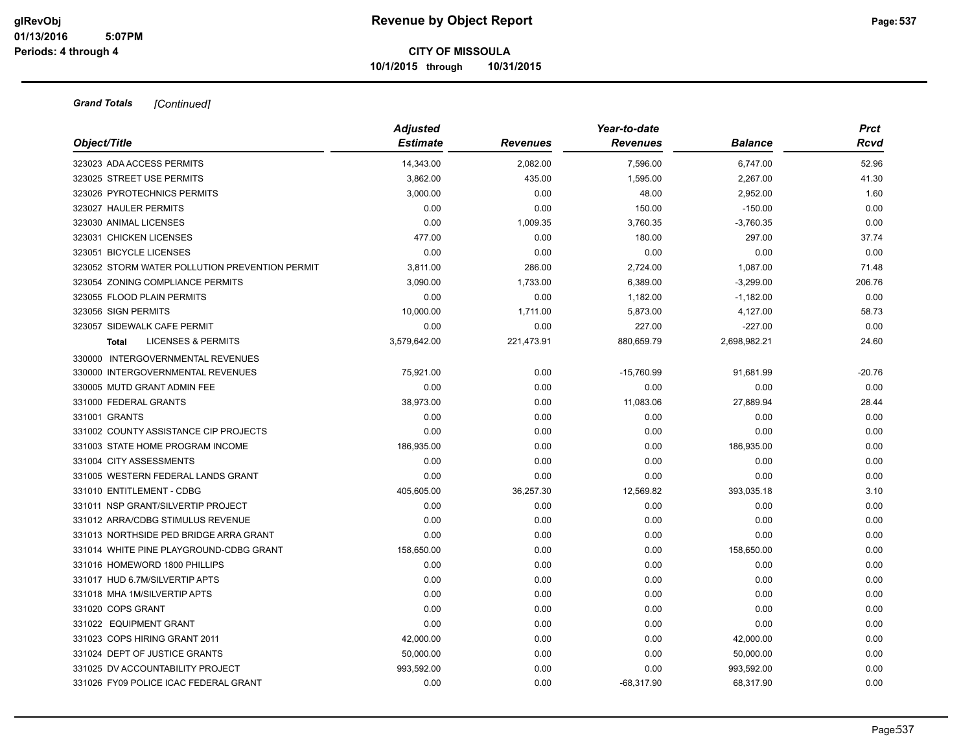| Object/Title                                   | <b>Adjusted</b><br><b>Estimate</b> | <b>Revenues</b> | Year-to-date<br><b>Revenues</b> | Balance      | <b>Prct</b><br>Rcvd |
|------------------------------------------------|------------------------------------|-----------------|---------------------------------|--------------|---------------------|
|                                                |                                    |                 |                                 |              |                     |
| 323023 ADA ACCESS PERMITS                      | 14,343.00                          | 2,082.00        | 7,596.00                        | 6,747.00     | 52.96               |
| 323025 STREET USE PERMITS                      | 3,862.00                           | 435.00          | 1,595.00                        | 2,267.00     | 41.30               |
| 323026 PYROTECHNICS PERMITS                    | 3,000.00                           | 0.00            | 48.00                           | 2,952.00     | 1.60                |
| 323027 HAULER PERMITS                          | 0.00                               | 0.00            | 150.00                          | $-150.00$    | 0.00                |
| 323030 ANIMAL LICENSES                         | 0.00                               | 1,009.35        | 3,760.35                        | $-3,760.35$  | 0.00                |
| 323031 CHICKEN LICENSES                        | 477.00                             | 0.00            | 180.00                          | 297.00       | 37.74               |
| 323051 BICYCLE LICENSES                        | 0.00                               | 0.00            | 0.00                            | 0.00         | 0.00                |
| 323052 STORM WATER POLLUTION PREVENTION PERMIT | 3,811.00                           | 286.00          | 2,724.00                        | 1,087.00     | 71.48               |
| 323054 ZONING COMPLIANCE PERMITS               | 3,090.00                           | 1,733.00        | 6,389.00                        | $-3,299.00$  | 206.76              |
| 323055 FLOOD PLAIN PERMITS                     | 0.00                               | 0.00            | 1,182.00                        | $-1,182.00$  | 0.00                |
| 323056 SIGN PERMITS                            | 10,000.00                          | 1,711.00        | 5,873.00                        | 4,127.00     | 58.73               |
| 323057 SIDEWALK CAFE PERMIT                    | 0.00                               | 0.00            | 227.00                          | $-227.00$    | 0.00                |
| <b>LICENSES &amp; PERMITS</b><br><b>Total</b>  | 3,579,642.00                       | 221,473.91      | 880,659.79                      | 2,698,982.21 | 24.60               |
| 330000 INTERGOVERNMENTAL REVENUES              |                                    |                 |                                 |              |                     |
| 330000 INTERGOVERNMENTAL REVENUES              | 75,921.00                          | 0.00            | $-15,760.99$                    | 91,681.99    | $-20.76$            |
| 330005 MUTD GRANT ADMIN FEE                    | 0.00                               | 0.00            | 0.00                            | 0.00         | 0.00                |
| 331000 FEDERAL GRANTS                          | 38,973.00                          | 0.00            | 11,083.06                       | 27,889.94    | 28.44               |
| 331001 GRANTS                                  | 0.00                               | 0.00            | 0.00                            | 0.00         | 0.00                |
| 331002 COUNTY ASSISTANCE CIP PROJECTS          | 0.00                               | 0.00            | 0.00                            | 0.00         | 0.00                |
| 331003 STATE HOME PROGRAM INCOME               | 186,935.00                         | 0.00            | 0.00                            | 186,935.00   | 0.00                |
| 331004 CITY ASSESSMENTS                        | 0.00                               | 0.00            | 0.00                            | 0.00         | 0.00                |
| 331005 WESTERN FEDERAL LANDS GRANT             | 0.00                               | 0.00            | 0.00                            | 0.00         | 0.00                |
| 331010 ENTITLEMENT - CDBG                      | 405,605.00                         | 36,257.30       | 12,569.82                       | 393,035.18   | 3.10                |
| 331011 NSP GRANT/SILVERTIP PROJECT             | 0.00                               | 0.00            | 0.00                            | 0.00         | 0.00                |
| 331012 ARRA/CDBG STIMULUS REVENUE              | 0.00                               | 0.00            | 0.00                            | 0.00         | 0.00                |
| 331013 NORTHSIDE PED BRIDGE ARRA GRANT         | 0.00                               | 0.00            | 0.00                            | 0.00         | 0.00                |
| 331014 WHITE PINE PLAYGROUND-CDBG GRANT        | 158,650.00                         | 0.00            | 0.00                            | 158,650.00   | 0.00                |
| 331016 HOMEWORD 1800 PHILLIPS                  | 0.00                               | 0.00            | 0.00                            | 0.00         | 0.00                |
| 331017 HUD 6.7M/SILVERTIP APTS                 | 0.00                               | 0.00            | 0.00                            | 0.00         | 0.00                |
| 331018 MHA 1M/SILVERTIP APTS                   | 0.00                               | 0.00            | 0.00                            | 0.00         | 0.00                |
| 331020 COPS GRANT                              | 0.00                               | 0.00            | 0.00                            | 0.00         | 0.00                |
| 331022 EQUIPMENT GRANT                         | 0.00                               | 0.00            | 0.00                            | 0.00         | 0.00                |
| 331023 COPS HIRING GRANT 2011                  | 42,000.00                          | 0.00            | 0.00                            | 42,000.00    | 0.00                |
| 331024 DEPT OF JUSTICE GRANTS                  | 50,000.00                          | 0.00            | 0.00                            | 50,000.00    | 0.00                |
| 331025 DV ACCOUNTABILITY PROJECT               | 993,592.00                         | 0.00            | 0.00                            | 993,592.00   | 0.00                |
| 331026 FY09 POLICE ICAC FEDERAL GRANT          | 0.00                               | 0.00            | $-68.317.90$                    | 68.317.90    | 0.00                |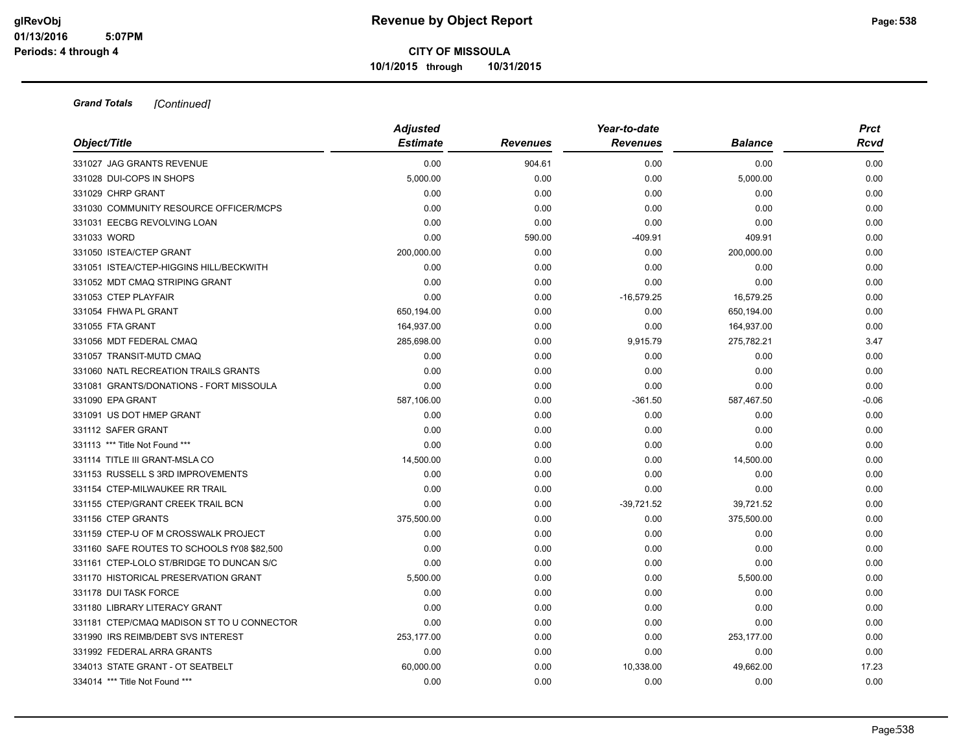|                                             | <b>Adjusted</b> |                 | Year-to-date    |                | <b>Prct</b> |
|---------------------------------------------|-----------------|-----------------|-----------------|----------------|-------------|
| Object/Title                                | <b>Estimate</b> | <b>Revenues</b> | <b>Revenues</b> | <b>Balance</b> | <b>Rcvd</b> |
| 331027 JAG GRANTS REVENUE                   | 0.00            | 904.61          | 0.00            | 0.00           | 0.00        |
| 331028 DUI-COPS IN SHOPS                    | 5,000.00        | 0.00            | 0.00            | 5,000.00       | 0.00        |
| 331029 CHRP GRANT                           | 0.00            | 0.00            | 0.00            | 0.00           | 0.00        |
| 331030 COMMUNITY RESOURCE OFFICER/MCPS      | 0.00            | 0.00            | 0.00            | 0.00           | 0.00        |
| 331031 EECBG REVOLVING LOAN                 | 0.00            | 0.00            | 0.00            | 0.00           | 0.00        |
| 331033 WORD                                 | 0.00            | 590.00          | $-409.91$       | 409.91         | 0.00        |
| 331050 ISTEA/CTEP GRANT                     | 200,000.00      | 0.00            | 0.00            | 200,000.00     | 0.00        |
| 331051 ISTEA/CTEP-HIGGINS HILL/BECKWITH     | 0.00            | 0.00            | 0.00            | 0.00           | 0.00        |
| 331052 MDT CMAQ STRIPING GRANT              | 0.00            | 0.00            | 0.00            | 0.00           | 0.00        |
| 331053 CTEP PLAYFAIR                        | 0.00            | 0.00            | $-16,579.25$    | 16,579.25      | 0.00        |
| 331054 FHWA PL GRANT                        | 650,194.00      | 0.00            | 0.00            | 650,194.00     | 0.00        |
| 331055 FTA GRANT                            | 164,937.00      | 0.00            | 0.00            | 164,937.00     | 0.00        |
| 331056 MDT FEDERAL CMAQ                     | 285,698.00      | 0.00            | 9,915.79        | 275,782.21     | 3.47        |
| 331057 TRANSIT-MUTD CMAQ                    | 0.00            | 0.00            | 0.00            | 0.00           | 0.00        |
| 331060 NATL RECREATION TRAILS GRANTS        | 0.00            | 0.00            | 0.00            | 0.00           | 0.00        |
| 331081 GRANTS/DONATIONS - FORT MISSOULA     | 0.00            | 0.00            | 0.00            | 0.00           | 0.00        |
| 331090 EPA GRANT                            | 587,106.00      | 0.00            | $-361.50$       | 587,467.50     | $-0.06$     |
| 331091 US DOT HMEP GRANT                    | 0.00            | 0.00            | 0.00            | 0.00           | 0.00        |
| 331112 SAFER GRANT                          | 0.00            | 0.00            | 0.00            | 0.00           | 0.00        |
| 331113 *** Title Not Found ***              | 0.00            | 0.00            | 0.00            | 0.00           | 0.00        |
| 331114 TITLE III GRANT-MSLA CO              | 14,500.00       | 0.00            | 0.00            | 14,500.00      | 0.00        |
| 331153 RUSSELL S 3RD IMPROVEMENTS           | 0.00            | 0.00            | 0.00            | 0.00           | 0.00        |
| 331154 CTEP-MILWAUKEE RR TRAIL              | 0.00            | 0.00            | 0.00            | 0.00           | 0.00        |
| 331155 CTEP/GRANT CREEK TRAIL BCN           | 0.00            | 0.00            | $-39,721.52$    | 39,721.52      | 0.00        |
| 331156 CTEP GRANTS                          | 375,500.00      | 0.00            | 0.00            | 375,500.00     | 0.00        |
| 331159 CTEP-U OF M CROSSWALK PROJECT        | 0.00            | 0.00            | 0.00            | 0.00           | 0.00        |
| 331160 SAFE ROUTES TO SCHOOLS fY08 \$82,500 | 0.00            | 0.00            | 0.00            | 0.00           | 0.00        |
| 331161 CTEP-LOLO ST/BRIDGE TO DUNCAN S/C    | 0.00            | 0.00            | 0.00            | 0.00           | 0.00        |
| 331170 HISTORICAL PRESERVATION GRANT        | 5,500.00        | 0.00            | 0.00            | 5,500.00       | 0.00        |
| 331178 DUI TASK FORCE                       | 0.00            | 0.00            | 0.00            | 0.00           | 0.00        |
| 331180 LIBRARY LITERACY GRANT               | 0.00            | 0.00            | 0.00            | 0.00           | 0.00        |
| 331181 CTEP/CMAQ MADISON ST TO U CONNECTOR  | 0.00            | 0.00            | 0.00            | 0.00           | 0.00        |
| 331990 IRS REIMB/DEBT SVS INTEREST          | 253,177.00      | 0.00            | 0.00            | 253,177.00     | 0.00        |
| 331992 FEDERAL ARRA GRANTS                  | 0.00            | 0.00            | 0.00            | 0.00           | 0.00        |
| 334013 STATE GRANT - OT SEATBELT            | 60,000.00       | 0.00            | 10,338.00       | 49,662.00      | 17.23       |
| 334014 *** Title Not Found ***              | 0.00            | 0.00            | 0.00            | 0.00           | 0.00        |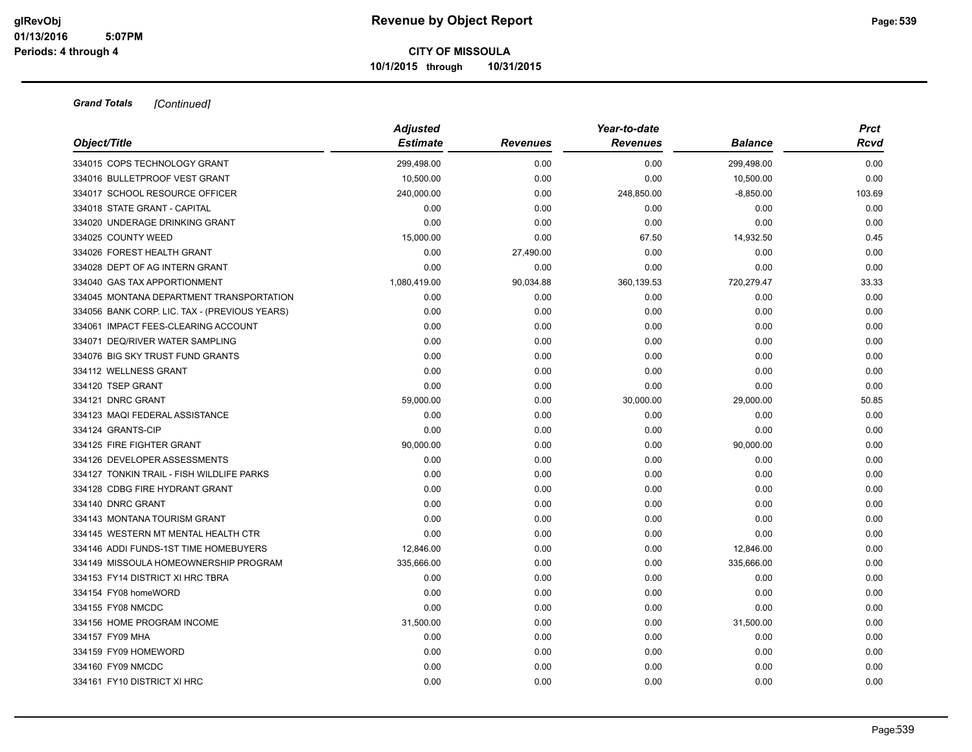|                                               | <b>Adjusted</b> |                 | Year-to-date    |                | <b>Prct</b> |
|-----------------------------------------------|-----------------|-----------------|-----------------|----------------|-------------|
| Object/Title                                  | <b>Estimate</b> | <b>Revenues</b> | <b>Revenues</b> | <b>Balance</b> | Rcvd        |
| 334015 COPS TECHNOLOGY GRANT                  | 299,498.00      | 0.00            | 0.00            | 299,498.00     | 0.00        |
| 334016 BULLETPROOF VEST GRANT                 | 10,500.00       | 0.00            | 0.00            | 10,500.00      | 0.00        |
| 334017 SCHOOL RESOURCE OFFICER                | 240,000.00      | 0.00            | 248,850.00      | $-8,850.00$    | 103.69      |
| 334018 STATE GRANT - CAPITAL                  | 0.00            | 0.00            | 0.00            | 0.00           | 0.00        |
| 334020 UNDERAGE DRINKING GRANT                | 0.00            | 0.00            | 0.00            | 0.00           | 0.00        |
| 334025 COUNTY WEED                            | 15,000.00       | 0.00            | 67.50           | 14,932.50      | 0.45        |
| 334026 FOREST HEALTH GRANT                    | 0.00            | 27,490.00       | 0.00            | 0.00           | 0.00        |
| 334028 DEPT OF AG INTERN GRANT                | 0.00            | 0.00            | 0.00            | 0.00           | 0.00        |
| 334040 GAS TAX APPORTIONMENT                  | 1,080,419.00    | 90,034.88       | 360,139.53      | 720,279.47     | 33.33       |
| 334045 MONTANA DEPARTMENT TRANSPORTATION      | 0.00            | 0.00            | 0.00            | 0.00           | 0.00        |
| 334056 BANK CORP. LIC. TAX - (PREVIOUS YEARS) | 0.00            | 0.00            | 0.00            | 0.00           | 0.00        |
| 334061 IMPACT FEES-CLEARING ACCOUNT           | 0.00            | 0.00            | 0.00            | 0.00           | 0.00        |
| 334071 DEQ/RIVER WATER SAMPLING               | 0.00            | 0.00            | 0.00            | 0.00           | 0.00        |
| 334076 BIG SKY TRUST FUND GRANTS              | 0.00            | 0.00            | 0.00            | 0.00           | 0.00        |
| 334112 WELLNESS GRANT                         | 0.00            | 0.00            | 0.00            | 0.00           | 0.00        |
| 334120 TSEP GRANT                             | 0.00            | 0.00            | 0.00            | 0.00           | 0.00        |
| 334121 DNRC GRANT                             | 59,000.00       | 0.00            | 30,000.00       | 29,000.00      | 50.85       |
| 334123 MAQI FEDERAL ASSISTANCE                | 0.00            | 0.00            | 0.00            | 0.00           | 0.00        |
| 334124 GRANTS-CIP                             | 0.00            | 0.00            | 0.00            | 0.00           | 0.00        |
| 334125 FIRE FIGHTER GRANT                     | 90,000.00       | 0.00            | 0.00            | 90,000.00      | 0.00        |
| 334126 DEVELOPER ASSESSMENTS                  | 0.00            | 0.00            | 0.00            | 0.00           | 0.00        |
| 334127 TONKIN TRAIL - FISH WILDLIFE PARKS     | 0.00            | 0.00            | 0.00            | 0.00           | 0.00        |
| 334128 CDBG FIRE HYDRANT GRANT                | 0.00            | 0.00            | 0.00            | 0.00           | 0.00        |
| 334140 DNRC GRANT                             | 0.00            | 0.00            | 0.00            | 0.00           | 0.00        |
| 334143 MONTANA TOURISM GRANT                  | 0.00            | 0.00            | 0.00            | 0.00           | 0.00        |
| 334145 WESTERN MT MENTAL HEALTH CTR           | 0.00            | 0.00            | 0.00            | 0.00           | 0.00        |
| 334146 ADDI FUNDS-1ST TIME HOMEBUYERS         | 12,846.00       | 0.00            | 0.00            | 12,846.00      | 0.00        |
| 334149 MISSOULA HOMEOWNERSHIP PROGRAM         | 335,666.00      | 0.00            | 0.00            | 335,666.00     | 0.00        |
| 334153 FY14 DISTRICT XI HRC TBRA              | 0.00            | 0.00            | 0.00            | 0.00           | 0.00        |
| 334154 FY08 homeWORD                          | 0.00            | 0.00            | 0.00            | 0.00           | 0.00        |
| 334155 FY08 NMCDC                             | 0.00            | 0.00            | 0.00            | 0.00           | 0.00        |
| 334156 HOME PROGRAM INCOME                    | 31,500.00       | 0.00            | 0.00            | 31,500.00      | 0.00        |
| 334157 FY09 MHA                               | 0.00            | 0.00            | 0.00            | 0.00           | 0.00        |
| 334159 FY09 HOMEWORD                          | 0.00            | 0.00            | 0.00            | 0.00           | 0.00        |
| 334160 FY09 NMCDC                             | 0.00            | 0.00            | 0.00            | 0.00           | 0.00        |
| 334161 FY10 DISTRICT XI HRC                   | 0.00            | 0.00            | 0.00            | 0.00           | 0.00        |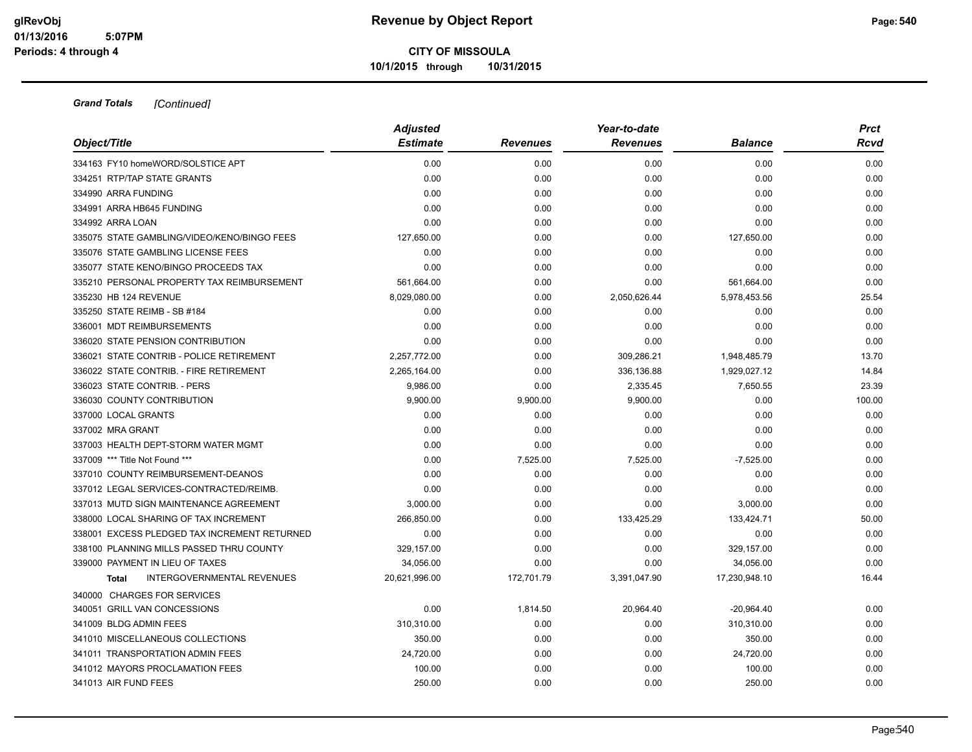|                                              | <b>Adjusted</b> |                 | Year-to-date    |                | <b>Prct</b> |
|----------------------------------------------|-----------------|-----------------|-----------------|----------------|-------------|
| Object/Title                                 | <b>Estimate</b> | <b>Revenues</b> | <b>Revenues</b> | <b>Balance</b> | Rcvd        |
| 334163 FY10 homeWORD/SOLSTICE APT            | 0.00            | 0.00            | 0.00            | 0.00           | 0.00        |
| 334251 RTP/TAP STATE GRANTS                  | 0.00            | 0.00            | 0.00            | 0.00           | 0.00        |
| 334990 ARRA FUNDING                          | 0.00            | 0.00            | 0.00            | 0.00           | 0.00        |
| 334991 ARRA HB645 FUNDING                    | 0.00            | 0.00            | 0.00            | 0.00           | 0.00        |
| 334992 ARRA LOAN                             | 0.00            | 0.00            | 0.00            | 0.00           | 0.00        |
| 335075 STATE GAMBLING/VIDEO/KENO/BINGO FEES  | 127,650.00      | 0.00            | 0.00            | 127,650.00     | 0.00        |
| 335076 STATE GAMBLING LICENSE FEES           | 0.00            | 0.00            | 0.00            | 0.00           | 0.00        |
| 335077 STATE KENO/BINGO PROCEEDS TAX         | 0.00            | 0.00            | 0.00            | 0.00           | 0.00        |
| 335210 PERSONAL PROPERTY TAX REIMBURSEMENT   | 561,664.00      | 0.00            | 0.00            | 561,664.00     | 0.00        |
| 335230 HB 124 REVENUE                        | 8,029,080.00    | 0.00            | 2,050,626.44    | 5,978,453.56   | 25.54       |
| 335250 STATE REIMB - SB #184                 | 0.00            | 0.00            | 0.00            | 0.00           | 0.00        |
| 336001 MDT REIMBURSEMENTS                    | 0.00            | 0.00            | 0.00            | 0.00           | 0.00        |
| 336020 STATE PENSION CONTRIBUTION            | 0.00            | 0.00            | 0.00            | 0.00           | 0.00        |
| 336021 STATE CONTRIB - POLICE RETIREMENT     | 2,257,772.00    | 0.00            | 309,286.21      | 1,948,485.79   | 13.70       |
| 336022 STATE CONTRIB. - FIRE RETIREMENT      | 2,265,164.00    | 0.00            | 336,136.88      | 1,929,027.12   | 14.84       |
| 336023 STATE CONTRIB. - PERS                 | 9,986.00        | 0.00            | 2,335.45        | 7,650.55       | 23.39       |
| 336030 COUNTY CONTRIBUTION                   | 9,900.00        | 9,900.00        | 9,900.00        | 0.00           | 100.00      |
| 337000 LOCAL GRANTS                          | 0.00            | 0.00            | 0.00            | 0.00           | 0.00        |
| 337002 MRA GRANT                             | 0.00            | 0.00            | 0.00            | 0.00           | 0.00        |
| 337003 HEALTH DEPT-STORM WATER MGMT          | 0.00            | 0.00            | 0.00            | 0.00           | 0.00        |
| 337009 *** Title Not Found ***               | 0.00            | 7,525.00        | 7,525.00        | $-7,525.00$    | 0.00        |
| 337010 COUNTY REIMBURSEMENT-DEANOS           | 0.00            | 0.00            | 0.00            | 0.00           | 0.00        |
| 337012 LEGAL SERVICES-CONTRACTED/REIMB.      | 0.00            | 0.00            | 0.00            | 0.00           | 0.00        |
| 337013 MUTD SIGN MAINTENANCE AGREEMENT       | 3,000.00        | 0.00            | 0.00            | 3,000.00       | 0.00        |
| 338000 LOCAL SHARING OF TAX INCREMENT        | 266,850.00      | 0.00            | 133,425.29      | 133,424.71     | 50.00       |
| 338001 EXCESS PLEDGED TAX INCREMENT RETURNED | 0.00            | 0.00            | 0.00            | 0.00           | 0.00        |
| 338100 PLANNING MILLS PASSED THRU COUNTY     | 329,157.00      | 0.00            | 0.00            | 329,157.00     | 0.00        |
| 339000 PAYMENT IN LIEU OF TAXES              | 34.056.00       | 0.00            | 0.00            | 34,056.00      | 0.00        |
| <b>INTERGOVERNMENTAL REVENUES</b><br>Total   | 20,621,996.00   | 172,701.79      | 3,391,047.90    | 17,230,948.10  | 16.44       |
| 340000 CHARGES FOR SERVICES                  |                 |                 |                 |                |             |
| 340051 GRILL VAN CONCESSIONS                 | 0.00            | 1,814.50        | 20,964.40       | $-20,964.40$   | 0.00        |
| 341009 BLDG ADMIN FEES                       | 310,310.00      | 0.00            | 0.00            | 310,310.00     | 0.00        |
| 341010 MISCELLANEOUS COLLECTIONS             | 350.00          | 0.00            | 0.00            | 350.00         | 0.00        |
| 341011 TRANSPORTATION ADMIN FEES             | 24,720.00       | 0.00            | 0.00            | 24,720.00      | 0.00        |
| 341012 MAYORS PROCLAMATION FEES              | 100.00          | 0.00            | 0.00            | 100.00         | 0.00        |
| 341013 AIR FUND FEES                         | 250.00          | 0.00            | 0.00            | 250.00         | 0.00        |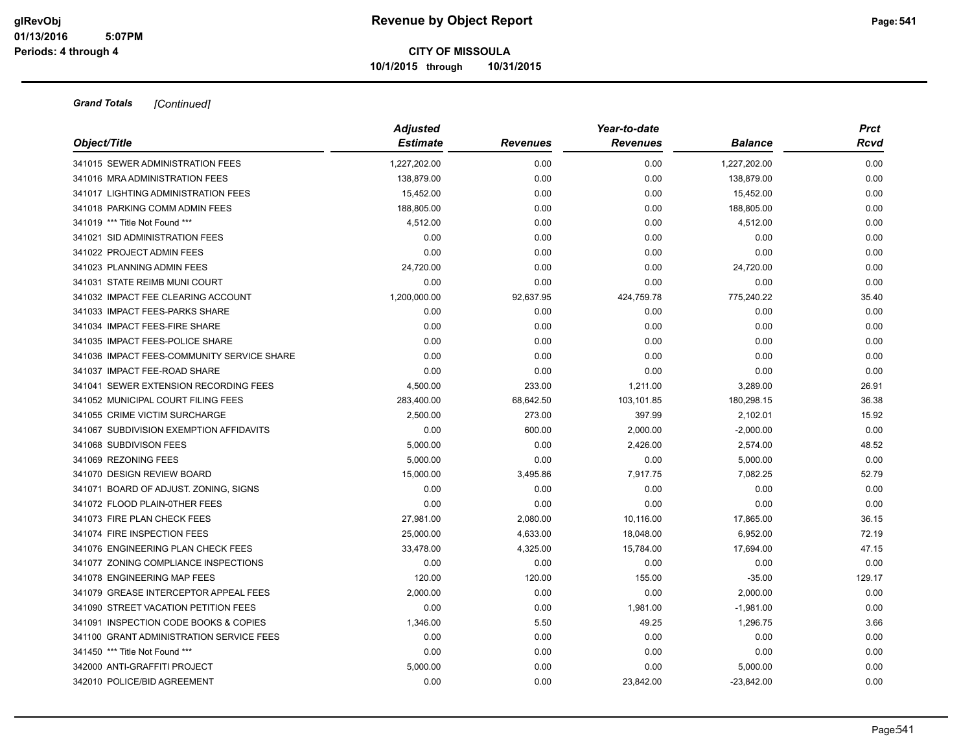|                                            | <b>Adjusted</b> |                 | Year-to-date    |              | <b>Prct</b> |
|--------------------------------------------|-----------------|-----------------|-----------------|--------------|-------------|
| Object/Title                               | <b>Estimate</b> | <b>Revenues</b> | <b>Revenues</b> | Balance      | Rcvd        |
| 341015 SEWER ADMINISTRATION FEES           | 1,227,202.00    | 0.00            | 0.00            | 1,227,202.00 | 0.00        |
| 341016 MRA ADMINISTRATION FEES             | 138,879.00      | 0.00            | 0.00            | 138,879.00   | 0.00        |
| 341017 LIGHTING ADMINISTRATION FEES        | 15,452.00       | 0.00            | 0.00            | 15,452.00    | 0.00        |
| 341018 PARKING COMM ADMIN FEES             | 188,805.00      | 0.00            | 0.00            | 188,805.00   | 0.00        |
| 341019 *** Title Not Found ***             | 4,512.00        | 0.00            | 0.00            | 4,512.00     | 0.00        |
| 341021 SID ADMINISTRATION FEES             | 0.00            | 0.00            | 0.00            | 0.00         | 0.00        |
| 341022 PROJECT ADMIN FEES                  | 0.00            | 0.00            | 0.00            | 0.00         | 0.00        |
| 341023 PLANNING ADMIN FEES                 | 24,720.00       | 0.00            | 0.00            | 24,720.00    | 0.00        |
| 341031 STATE REIMB MUNI COURT              | 0.00            | 0.00            | 0.00            | 0.00         | 0.00        |
| 341032 IMPACT FEE CLEARING ACCOUNT         | 1,200,000.00    | 92,637.95       | 424,759.78      | 775,240.22   | 35.40       |
| 341033 IMPACT FEES-PARKS SHARE             | 0.00            | 0.00            | 0.00            | 0.00         | 0.00        |
| 341034 IMPACT FEES-FIRE SHARE              | 0.00            | 0.00            | 0.00            | 0.00         | 0.00        |
| 341035 IMPACT FEES-POLICE SHARE            | 0.00            | 0.00            | 0.00            | 0.00         | 0.00        |
| 341036 IMPACT FEES-COMMUNITY SERVICE SHARE | 0.00            | 0.00            | 0.00            | 0.00         | 0.00        |
| 341037 IMPACT FEE-ROAD SHARE               | 0.00            | 0.00            | 0.00            | 0.00         | 0.00        |
| 341041 SEWER EXTENSION RECORDING FEES      | 4,500.00        | 233.00          | 1,211.00        | 3,289.00     | 26.91       |
| 341052 MUNICIPAL COURT FILING FEES         | 283,400.00      | 68,642.50       | 103,101.85      | 180,298.15   | 36.38       |
| 341055 CRIME VICTIM SURCHARGE              | 2,500.00        | 273.00          | 397.99          | 2,102.01     | 15.92       |
| 341067 SUBDIVISION EXEMPTION AFFIDAVITS    | 0.00            | 600.00          | 2,000.00        | $-2,000.00$  | 0.00        |
| 341068 SUBDIVISON FEES                     | 5,000.00        | 0.00            | 2,426.00        | 2,574.00     | 48.52       |
| 341069 REZONING FEES                       | 5,000.00        | 0.00            | 0.00            | 5,000.00     | 0.00        |
| 341070 DESIGN REVIEW BOARD                 | 15,000.00       | 3,495.86        | 7,917.75        | 7,082.25     | 52.79       |
| 341071 BOARD OF ADJUST. ZONING, SIGNS      | 0.00            | 0.00            | 0.00            | 0.00         | 0.00        |
| 341072 FLOOD PLAIN-0THER FEES              | 0.00            | 0.00            | 0.00            | 0.00         | 0.00        |
| 341073 FIRE PLAN CHECK FEES                | 27,981.00       | 2,080.00        | 10,116.00       | 17,865.00    | 36.15       |
| 341074 FIRE INSPECTION FEES                | 25,000.00       | 4,633.00        | 18,048.00       | 6,952.00     | 72.19       |
| 341076 ENGINEERING PLAN CHECK FEES         | 33,478.00       | 4,325.00        | 15,784.00       | 17,694.00    | 47.15       |
| 341077 ZONING COMPLIANCE INSPECTIONS       | 0.00            | 0.00            | 0.00            | 0.00         | 0.00        |
| 341078 ENGINEERING MAP FEES                | 120.00          | 120.00          | 155.00          | $-35.00$     | 129.17      |
| 341079 GREASE INTERCEPTOR APPEAL FEES      | 2,000.00        | 0.00            | 0.00            | 2,000.00     | 0.00        |
| 341090 STREET VACATION PETITION FEES       | 0.00            | 0.00            | 1,981.00        | $-1,981.00$  | 0.00        |
| 341091 INSPECTION CODE BOOKS & COPIES      | 1,346.00        | 5.50            | 49.25           | 1,296.75     | 3.66        |
| 341100 GRANT ADMINISTRATION SERVICE FEES   | 0.00            | 0.00            | 0.00            | 0.00         | 0.00        |
| 341450 *** Title Not Found ***             | 0.00            | 0.00            | 0.00            | 0.00         | 0.00        |
| 342000 ANTI-GRAFFITI PROJECT               | 5,000.00        | 0.00            | 0.00            | 5,000.00     | 0.00        |
| 342010 POLICE/BID AGREEMENT                | 0.00            | 0.00            | 23,842.00       | $-23,842.00$ | 0.00        |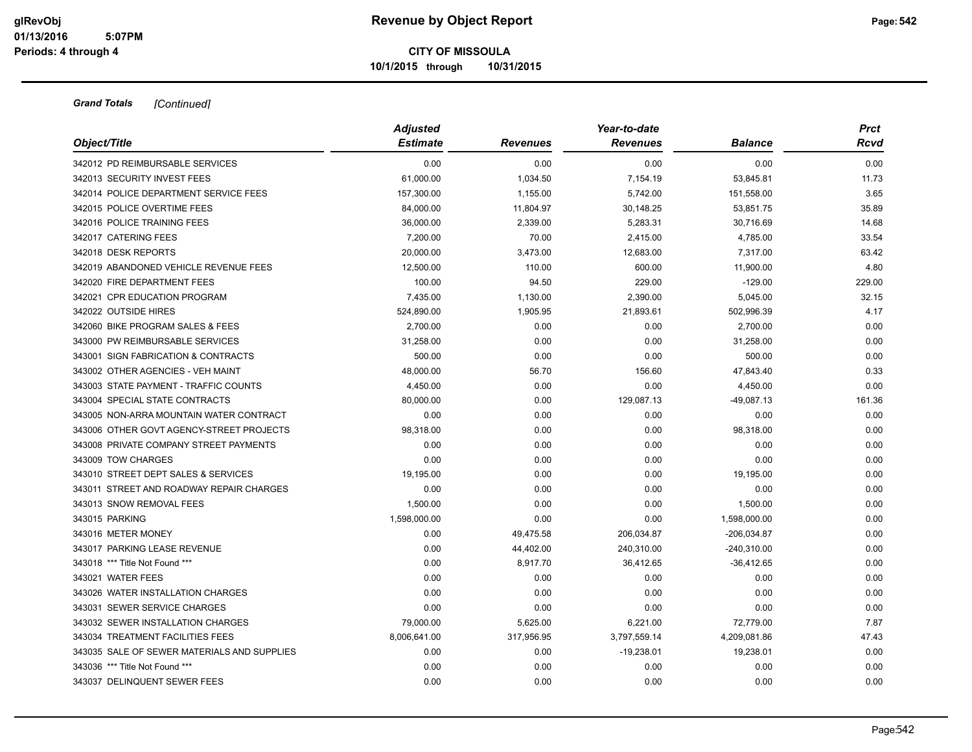|                                             | <b>Adjusted</b> |                 | Year-to-date    |                |        |  |  |  |
|---------------------------------------------|-----------------|-----------------|-----------------|----------------|--------|--|--|--|
| Object/Title                                | <b>Estimate</b> | <b>Revenues</b> | <b>Revenues</b> | <b>Balance</b> | Rcvd   |  |  |  |
| 342012 PD REIMBURSABLE SERVICES             | 0.00            | 0.00            | 0.00            | 0.00           | 0.00   |  |  |  |
| 342013 SECURITY INVEST FEES                 | 61,000.00       | 1,034.50        | 7,154.19        | 53,845.81      | 11.73  |  |  |  |
| 342014 POLICE DEPARTMENT SERVICE FEES       | 157,300.00      | 1,155.00        | 5,742.00        | 151,558.00     | 3.65   |  |  |  |
| 342015 POLICE OVERTIME FEES                 | 84,000.00       | 11,804.97       | 30,148.25       | 53,851.75      | 35.89  |  |  |  |
| 342016 POLICE TRAINING FEES                 | 36,000.00       | 2,339.00        | 5,283.31        | 30,716.69      | 14.68  |  |  |  |
| 342017 CATERING FEES                        | 7,200.00        | 70.00           | 2,415.00        | 4,785.00       | 33.54  |  |  |  |
| 342018 DESK REPORTS                         | 20,000.00       | 3,473.00        | 12,683.00       | 7,317.00       | 63.42  |  |  |  |
| 342019 ABANDONED VEHICLE REVENUE FEES       | 12,500.00       | 110.00          | 600.00          | 11,900.00      | 4.80   |  |  |  |
| 342020 FIRE DEPARTMENT FEES                 | 100.00          | 94.50           | 229.00          | $-129.00$      | 229.00 |  |  |  |
| 342021 CPR EDUCATION PROGRAM                | 7,435.00        | 1,130.00        | 2,390.00        | 5,045.00       | 32.15  |  |  |  |
| 342022 OUTSIDE HIRES                        | 524,890.00      | 1,905.95        | 21,893.61       | 502,996.39     | 4.17   |  |  |  |
| 342060 BIKE PROGRAM SALES & FEES            | 2,700.00        | 0.00            | 0.00            | 2,700.00       | 0.00   |  |  |  |
| 343000 PW REIMBURSABLE SERVICES             | 31,258.00       | 0.00            | 0.00            | 31,258.00      | 0.00   |  |  |  |
| 343001 SIGN FABRICATION & CONTRACTS         | 500.00          | 0.00            | 0.00            | 500.00         | 0.00   |  |  |  |
| 343002 OTHER AGENCIES - VEH MAINT           | 48,000.00       | 56.70           | 156.60          | 47,843.40      | 0.33   |  |  |  |
| 343003 STATE PAYMENT - TRAFFIC COUNTS       | 4,450.00        | 0.00            | 0.00            | 4,450.00       | 0.00   |  |  |  |
| 343004 SPECIAL STATE CONTRACTS              | 80,000.00       | 0.00            | 129,087.13      | $-49,087.13$   | 161.36 |  |  |  |
| 343005 NON-ARRA MOUNTAIN WATER CONTRACT     | 0.00            | 0.00            | 0.00            | 0.00           | 0.00   |  |  |  |
| 343006 OTHER GOVT AGENCY-STREET PROJECTS    | 98,318.00       | 0.00            | 0.00            | 98,318.00      | 0.00   |  |  |  |
| 343008 PRIVATE COMPANY STREET PAYMENTS      | 0.00            | 0.00            | 0.00            | 0.00           | 0.00   |  |  |  |
| 343009 TOW CHARGES                          | 0.00            | 0.00            | 0.00            | 0.00           | 0.00   |  |  |  |
| 343010 STREET DEPT SALES & SERVICES         | 19,195.00       | 0.00            | 0.00            | 19,195.00      | 0.00   |  |  |  |
| 343011 STREET AND ROADWAY REPAIR CHARGES    | 0.00            | 0.00            | 0.00            | 0.00           | 0.00   |  |  |  |
| 343013 SNOW REMOVAL FEES                    | 1,500.00        | 0.00            | 0.00            | 1,500.00       | 0.00   |  |  |  |
| 343015 PARKING                              | 1,598,000.00    | 0.00            | 0.00            | 1,598,000.00   | 0.00   |  |  |  |
| 343016 METER MONEY                          | 0.00            | 49,475.58       | 206,034.87      | -206,034.87    | 0.00   |  |  |  |
| 343017 PARKING LEASE REVENUE                | 0.00            | 44,402.00       | 240,310.00      | $-240,310.00$  | 0.00   |  |  |  |
| 343018 *** Title Not Found ***              | 0.00            | 8,917.70        | 36,412.65       | $-36,412.65$   | 0.00   |  |  |  |
| 343021 WATER FEES                           | 0.00            | 0.00            | 0.00            | 0.00           | 0.00   |  |  |  |
| 343026 WATER INSTALLATION CHARGES           | 0.00            | 0.00            | 0.00            | 0.00           | 0.00   |  |  |  |
| 343031 SEWER SERVICE CHARGES                | 0.00            | 0.00            | 0.00            | 0.00           | 0.00   |  |  |  |
| 343032 SEWER INSTALLATION CHARGES           | 79,000.00       | 5,625.00        | 6,221.00        | 72,779.00      | 7.87   |  |  |  |
| 343034 TREATMENT FACILITIES FEES            | 8,006,641.00    | 317,956.95      | 3,797,559.14    | 4,209,081.86   | 47.43  |  |  |  |
| 343035 SALE OF SEWER MATERIALS AND SUPPLIES | 0.00            | 0.00            | $-19,238.01$    | 19,238.01      | 0.00   |  |  |  |
| 343036 *** Title Not Found ***              | 0.00            | 0.00            | 0.00            | 0.00           | 0.00   |  |  |  |
| 343037 DELINQUENT SEWER FEES                | 0.00            | 0.00            | 0.00            | 0.00           | 0.00   |  |  |  |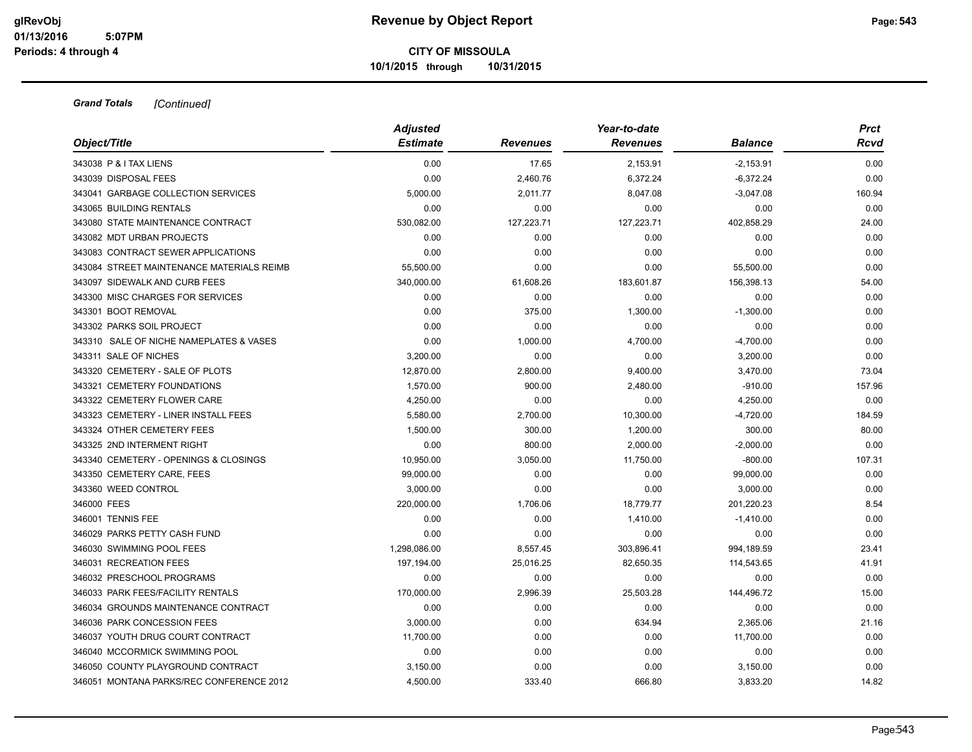| Object/Title                              | <b>Adjusted</b><br><b>Estimate</b> | <b>Revenues</b> | Year-to-date<br><b>Revenues</b> | <b>Balance</b> | <b>Prct</b><br><b>Rcvd</b> |
|-------------------------------------------|------------------------------------|-----------------|---------------------------------|----------------|----------------------------|
|                                           |                                    |                 |                                 |                |                            |
| 343038 P & I TAX LIENS                    | 0.00                               | 17.65           | 2,153.91                        | $-2,153.91$    | 0.00                       |
| 343039 DISPOSAL FEES                      | 0.00                               | 2,460.76        | 6,372.24                        | $-6,372.24$    | 0.00                       |
| 343041 GARBAGE COLLECTION SERVICES        | 5,000.00                           | 2,011.77        | 8,047.08                        | $-3,047.08$    | 160.94                     |
| 343065 BUILDING RENTALS                   | 0.00                               | 0.00            | 0.00                            | 0.00           | 0.00                       |
| 343080 STATE MAINTENANCE CONTRACT         | 530,082.00                         | 127,223.71      | 127,223.71                      | 402,858.29     | 24.00                      |
| 343082 MDT URBAN PROJECTS                 | 0.00                               | 0.00            | 0.00                            | 0.00           | 0.00                       |
| 343083 CONTRACT SEWER APPLICATIONS        | 0.00                               | 0.00            | 0.00                            | 0.00           | 0.00                       |
| 343084 STREET MAINTENANCE MATERIALS REIMB | 55,500.00                          | 0.00            | 0.00                            | 55,500.00      | 0.00                       |
| 343097 SIDEWALK AND CURB FEES             | 340,000.00                         | 61,608.26       | 183,601.87                      | 156,398.13     | 54.00                      |
| 343300 MISC CHARGES FOR SERVICES          | 0.00                               | 0.00            | 0.00                            | 0.00           | 0.00                       |
| 343301 BOOT REMOVAL                       | 0.00                               | 375.00          | 1,300.00                        | $-1,300.00$    | 0.00                       |
| 343302 PARKS SOIL PROJECT                 | 0.00                               | 0.00            | 0.00                            | 0.00           | 0.00                       |
| 343310 SALE OF NICHE NAMEPLATES & VASES   | 0.00                               | 1,000.00        | 4,700.00                        | $-4,700.00$    | 0.00                       |
| 343311 SALE OF NICHES                     | 3,200.00                           | 0.00            | 0.00                            | 3,200.00       | 0.00                       |
| 343320 CEMETERY - SALE OF PLOTS           | 12,870.00                          | 2,800.00        | 9,400.00                        | 3,470.00       | 73.04                      |
| 343321 CEMETERY FOUNDATIONS               | 1,570.00                           | 900.00          | 2,480.00                        | $-910.00$      | 157.96                     |
| 343322 CEMETERY FLOWER CARE               | 4,250.00                           | 0.00            | 0.00                            | 4,250.00       | 0.00                       |
| 343323 CEMETERY - LINER INSTALL FEES      | 5,580.00                           | 2,700.00        | 10,300.00                       | -4,720.00      | 184.59                     |
| 343324 OTHER CEMETERY FEES                | 1,500.00                           | 300.00          | 1,200.00                        | 300.00         | 80.00                      |
| 343325 2ND INTERMENT RIGHT                | 0.00                               | 800.00          | 2,000.00                        | $-2,000.00$    | 0.00                       |
| 343340 CEMETERY - OPENINGS & CLOSINGS     | 10,950.00                          | 3,050.00        | 11,750.00                       | $-800.00$      | 107.31                     |
| 343350 CEMETERY CARE, FEES                | 99,000.00                          | 0.00            | 0.00                            | 99,000.00      | 0.00                       |
| 343360 WEED CONTROL                       | 3,000.00                           | 0.00            | 0.00                            | 3,000.00       | 0.00                       |
| 346000 FEES                               | 220,000.00                         | 1,706.06        | 18,779.77                       | 201,220.23     | 8.54                       |
| 346001 TENNIS FEE                         | 0.00                               | 0.00            | 1,410.00                        | $-1,410.00$    | 0.00                       |
| 346029 PARKS PETTY CASH FUND              | 0.00                               | 0.00            | 0.00                            | 0.00           | 0.00                       |
| 346030 SWIMMING POOL FEES                 | 1,298,086.00                       | 8,557.45        | 303,896.41                      | 994,189.59     | 23.41                      |
| 346031 RECREATION FEES                    | 197,194.00                         | 25,016.25       | 82,650.35                       | 114,543.65     | 41.91                      |
| 346032 PRESCHOOL PROGRAMS                 | 0.00                               | 0.00            | 0.00                            | 0.00           | 0.00                       |
| 346033 PARK FEES/FACILITY RENTALS         | 170,000.00                         | 2,996.39        | 25,503.28                       | 144,496.72     | 15.00                      |
| 346034 GROUNDS MAINTENANCE CONTRACT       | 0.00                               | 0.00            | 0.00                            | 0.00           | 0.00                       |
| 346036 PARK CONCESSION FEES               | 3,000.00                           | 0.00            | 634.94                          | 2,365.06       | 21.16                      |
| 346037 YOUTH DRUG COURT CONTRACT          | 11,700.00                          | 0.00            | 0.00                            | 11,700.00      | 0.00                       |
| 346040 MCCORMICK SWIMMING POOL            | 0.00                               | 0.00            | 0.00                            | 0.00           | 0.00                       |
| 346050 COUNTY PLAYGROUND CONTRACT         | 3,150.00                           | 0.00            | 0.00                            | 3,150.00       | 0.00                       |
| 346051 MONTANA PARKS/REC CONFERENCE 2012  | 4,500.00                           | 333.40          | 666.80                          | 3,833.20       | 14.82                      |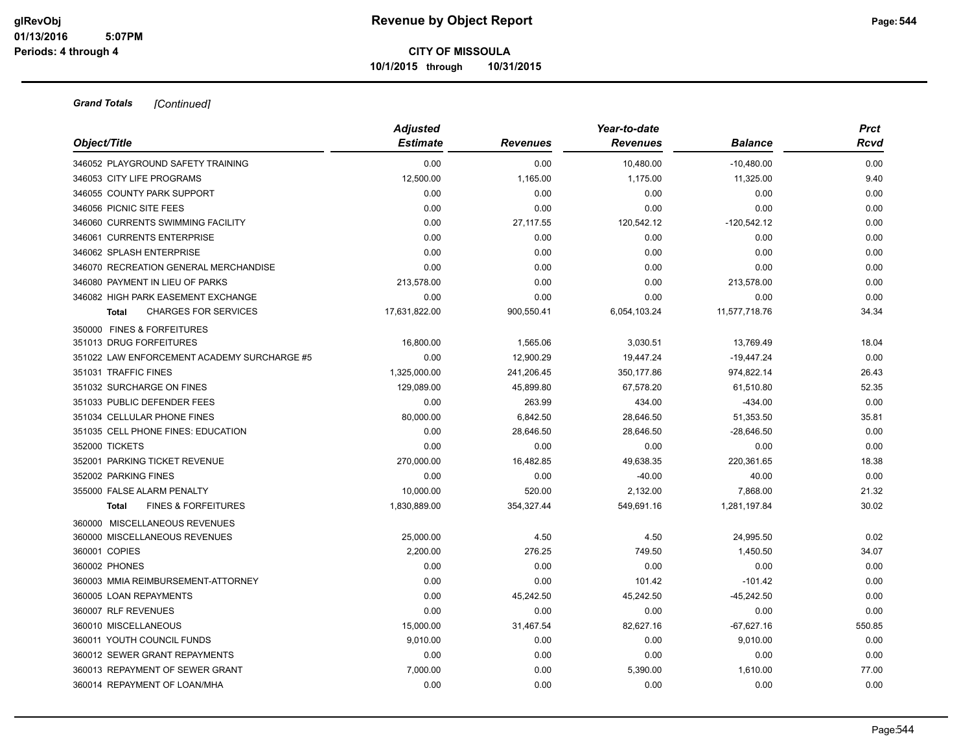|                                                | <b>Adjusted</b> |                 | Year-to-date    |                | <b>Prct</b> |
|------------------------------------------------|-----------------|-----------------|-----------------|----------------|-------------|
| Object/Title                                   | <b>Estimate</b> | <b>Revenues</b> | <b>Revenues</b> | <b>Balance</b> | Rcvd        |
| 346052 PLAYGROUND SAFETY TRAINING              | 0.00            | 0.00            | 10,480.00       | $-10,480.00$   | 0.00        |
| 346053 CITY LIFE PROGRAMS                      | 12,500.00       | 1,165.00        | 1,175.00        | 11,325.00      | 9.40        |
| 346055 COUNTY PARK SUPPORT                     | 0.00            | 0.00            | 0.00            | 0.00           | 0.00        |
| 346056 PICNIC SITE FEES                        | 0.00            | 0.00            | 0.00            | 0.00           | 0.00        |
| 346060 CURRENTS SWIMMING FACILITY              | 0.00            | 27,117.55       | 120,542.12      | $-120,542.12$  | 0.00        |
| 346061 CURRENTS ENTERPRISE                     | 0.00            | 0.00            | 0.00            | 0.00           | 0.00        |
| 346062 SPLASH ENTERPRISE                       | 0.00            | 0.00            | 0.00            | 0.00           | 0.00        |
| 346070 RECREATION GENERAL MERCHANDISE          | 0.00            | 0.00            | 0.00            | 0.00           | 0.00        |
| 346080 PAYMENT IN LIEU OF PARKS                | 213,578.00      | 0.00            | 0.00            | 213,578.00     | 0.00        |
| 346082 HIGH PARK EASEMENT EXCHANGE             | 0.00            | 0.00            | 0.00            | 0.00           | 0.00        |
| <b>CHARGES FOR SERVICES</b><br><b>Total</b>    | 17,631,822.00   | 900,550.41      | 6,054,103.24    | 11,577,718.76  | 34.34       |
| 350000 FINES & FORFEITURES                     |                 |                 |                 |                |             |
| 351013 DRUG FORFEITURES                        | 16,800.00       | 1,565.06        | 3,030.51        | 13,769.49      | 18.04       |
| 351022 LAW ENFORCEMENT ACADEMY SURCHARGE #5    | 0.00            | 12,900.29       | 19,447.24       | $-19,447.24$   | 0.00        |
| 351031 TRAFFIC FINES                           | 1,325,000.00    | 241,206.45      | 350,177.86      | 974,822.14     | 26.43       |
| 351032 SURCHARGE ON FINES                      | 129,089.00      | 45,899.80       | 67,578.20       | 61,510.80      | 52.35       |
| 351033 PUBLIC DEFENDER FEES                    | 0.00            | 263.99          | 434.00          | $-434.00$      | 0.00        |
| 351034 CELLULAR PHONE FINES                    | 80,000.00       | 6,842.50        | 28.646.50       | 51,353.50      | 35.81       |
| 351035 CELL PHONE FINES: EDUCATION             | 0.00            | 28,646.50       | 28,646.50       | $-28,646.50$   | 0.00        |
| 352000 TICKETS                                 | 0.00            | 0.00            | 0.00            | 0.00           | 0.00        |
| 352001 PARKING TICKET REVENUE                  | 270,000.00      | 16,482.85       | 49,638.35       | 220,361.65     | 18.38       |
| 352002 PARKING FINES                           | 0.00            | 0.00            | $-40.00$        | 40.00          | 0.00        |
| 355000 FALSE ALARM PENALTY                     | 10,000.00       | 520.00          | 2,132.00        | 7,868.00       | 21.32       |
| <b>FINES &amp; FORFEITURES</b><br><b>Total</b> | 1,830,889.00    | 354,327.44      | 549,691.16      | 1,281,197.84   | 30.02       |
| 360000 MISCELLANEOUS REVENUES                  |                 |                 |                 |                |             |
| 360000 MISCELLANEOUS REVENUES                  | 25,000.00       | 4.50            | 4.50            | 24,995.50      | 0.02        |
| 360001 COPIES                                  | 2,200.00        | 276.25          | 749.50          | 1,450.50       | 34.07       |
| 360002 PHONES                                  | 0.00            | 0.00            | 0.00            | 0.00           | 0.00        |
| 360003 MMIA REIMBURSEMENT-ATTORNEY             | 0.00            | 0.00            | 101.42          | $-101.42$      | 0.00        |
| 360005 LOAN REPAYMENTS                         | 0.00            | 45,242.50       | 45,242.50       | $-45,242.50$   | 0.00        |
| 360007 RLF REVENUES                            | 0.00            | 0.00            | 0.00            | 0.00           | 0.00        |
| 360010 MISCELLANEOUS                           | 15,000.00       | 31,467.54       | 82,627.16       | $-67,627.16$   | 550.85      |
| 360011 YOUTH COUNCIL FUNDS                     | 9,010.00        | 0.00            | 0.00            | 9,010.00       | 0.00        |
| 360012 SEWER GRANT REPAYMENTS                  | 0.00            | 0.00            | 0.00            | 0.00           | 0.00        |
| 360013 REPAYMENT OF SEWER GRANT                | 7,000.00        | 0.00            | 5,390.00        | 1,610.00       | 77.00       |
| 360014 REPAYMENT OF LOAN/MHA                   | 0.00            | 0.00            | 0.00            | 0.00           | 0.00        |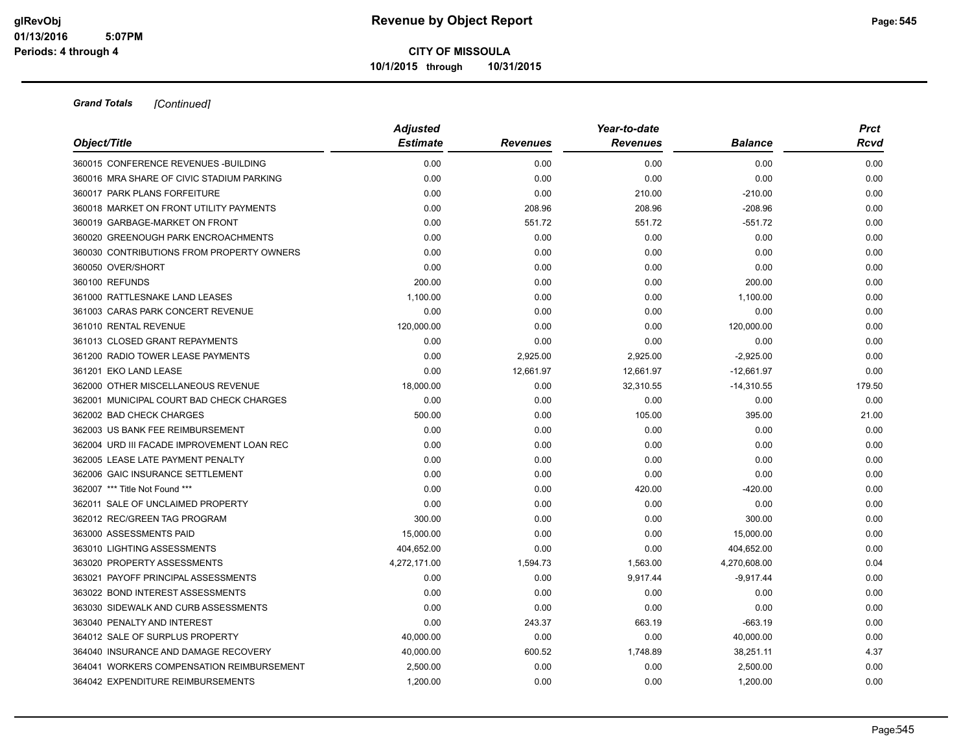|                                            | <b>Adjusted</b> |                 | Year-to-date    |                |        |  |  |
|--------------------------------------------|-----------------|-----------------|-----------------|----------------|--------|--|--|
| Object/Title                               | <b>Estimate</b> | <b>Revenues</b> | <b>Revenues</b> | <b>Balance</b> | Rcvd   |  |  |
| 360015 CONFERENCE REVENUES - BUILDING      | 0.00            | 0.00            | 0.00            | 0.00           | 0.00   |  |  |
| 360016 MRA SHARE OF CIVIC STADIUM PARKING  | 0.00            | 0.00            | 0.00            | 0.00           | 0.00   |  |  |
| 360017 PARK PLANS FORFEITURE               | 0.00            | 0.00            | 210.00          | $-210.00$      | 0.00   |  |  |
| 360018 MARKET ON FRONT UTILITY PAYMENTS    | 0.00            | 208.96          | 208.96          | $-208.96$      | 0.00   |  |  |
| 360019 GARBAGE-MARKET ON FRONT             | 0.00            | 551.72          | 551.72          | $-551.72$      | 0.00   |  |  |
| 360020 GREENOUGH PARK ENCROACHMENTS        | 0.00            | 0.00            | 0.00            | 0.00           | 0.00   |  |  |
| 360030 CONTRIBUTIONS FROM PROPERTY OWNERS  | 0.00            | 0.00            | 0.00            | 0.00           | 0.00   |  |  |
| 360050 OVER/SHORT                          | 0.00            | 0.00            | 0.00            | 0.00           | 0.00   |  |  |
| 360100 REFUNDS                             | 200.00          | 0.00            | 0.00            | 200.00         | 0.00   |  |  |
| 361000 RATTLESNAKE LAND LEASES             | 1,100.00        | 0.00            | 0.00            | 1,100.00       | 0.00   |  |  |
| 361003 CARAS PARK CONCERT REVENUE          | 0.00            | 0.00            | 0.00            | 0.00           | 0.00   |  |  |
| 361010 RENTAL REVENUE                      | 120,000.00      | 0.00            | 0.00            | 120,000.00     | 0.00   |  |  |
| 361013 CLOSED GRANT REPAYMENTS             | 0.00            | 0.00            | 0.00            | 0.00           | 0.00   |  |  |
| 361200 RADIO TOWER LEASE PAYMENTS          | 0.00            | 2,925.00        | 2,925.00        | $-2,925.00$    | 0.00   |  |  |
| 361201 EKO LAND LEASE                      | 0.00            | 12,661.97       | 12,661.97       | $-12,661.97$   | 0.00   |  |  |
| 362000 OTHER MISCELLANEOUS REVENUE         | 18,000.00       | 0.00            | 32,310.55       | $-14,310.55$   | 179.50 |  |  |
| 362001 MUNICIPAL COURT BAD CHECK CHARGES   | 0.00            | 0.00            | 0.00            | 0.00           | 0.00   |  |  |
| 362002 BAD CHECK CHARGES                   | 500.00          | 0.00            | 105.00          | 395.00         | 21.00  |  |  |
| 362003 US BANK FEE REIMBURSEMENT           | 0.00            | 0.00            | 0.00            | 0.00           | 0.00   |  |  |
| 362004 URD III FACADE IMPROVEMENT LOAN REC | 0.00            | 0.00            | 0.00            | 0.00           | 0.00   |  |  |
| 362005 LEASE LATE PAYMENT PENALTY          | 0.00            | 0.00            | 0.00            | 0.00           | 0.00   |  |  |
| 362006 GAIC INSURANCE SETTLEMENT           | 0.00            | 0.00            | 0.00            | 0.00           | 0.00   |  |  |
| 362007 *** Title Not Found ***             | 0.00            | 0.00            | 420.00          | $-420.00$      | 0.00   |  |  |
| 362011 SALE OF UNCLAIMED PROPERTY          | 0.00            | 0.00            | 0.00            | 0.00           | 0.00   |  |  |
| 362012 REC/GREEN TAG PROGRAM               | 300.00          | 0.00            | 0.00            | 300.00         | 0.00   |  |  |
| 363000 ASSESSMENTS PAID                    | 15,000.00       | 0.00            | 0.00            | 15,000.00      | 0.00   |  |  |
| 363010 LIGHTING ASSESSMENTS                | 404,652.00      | 0.00            | 0.00            | 404,652.00     | 0.00   |  |  |
| 363020 PROPERTY ASSESSMENTS                | 4,272,171.00    | 1,594.73        | 1,563.00        | 4,270,608.00   | 0.04   |  |  |
| 363021 PAYOFF PRINCIPAL ASSESSMENTS        | 0.00            | 0.00            | 9,917.44        | $-9,917.44$    | 0.00   |  |  |
| 363022 BOND INTEREST ASSESSMENTS           | 0.00            | 0.00            | 0.00            | 0.00           | 0.00   |  |  |
| 363030 SIDEWALK AND CURB ASSESSMENTS       | 0.00            | 0.00            | 0.00            | 0.00           | 0.00   |  |  |
| 363040 PENALTY AND INTEREST                | 0.00            | 243.37          | 663.19          | $-663.19$      | 0.00   |  |  |
| 364012 SALE OF SURPLUS PROPERTY            | 40,000.00       | 0.00            | 0.00            | 40,000.00      | 0.00   |  |  |
| 364040 INSURANCE AND DAMAGE RECOVERY       | 40,000.00       | 600.52          | 1,748.89        | 38,251.11      | 4.37   |  |  |
| 364041 WORKERS COMPENSATION REIMBURSEMENT  | 2,500.00        | 0.00            | 0.00            | 2,500.00       | 0.00   |  |  |
| 364042 EXPENDITURE REIMBURSEMENTS          | 1,200.00        | 0.00            | 0.00            | 1,200.00       | 0.00   |  |  |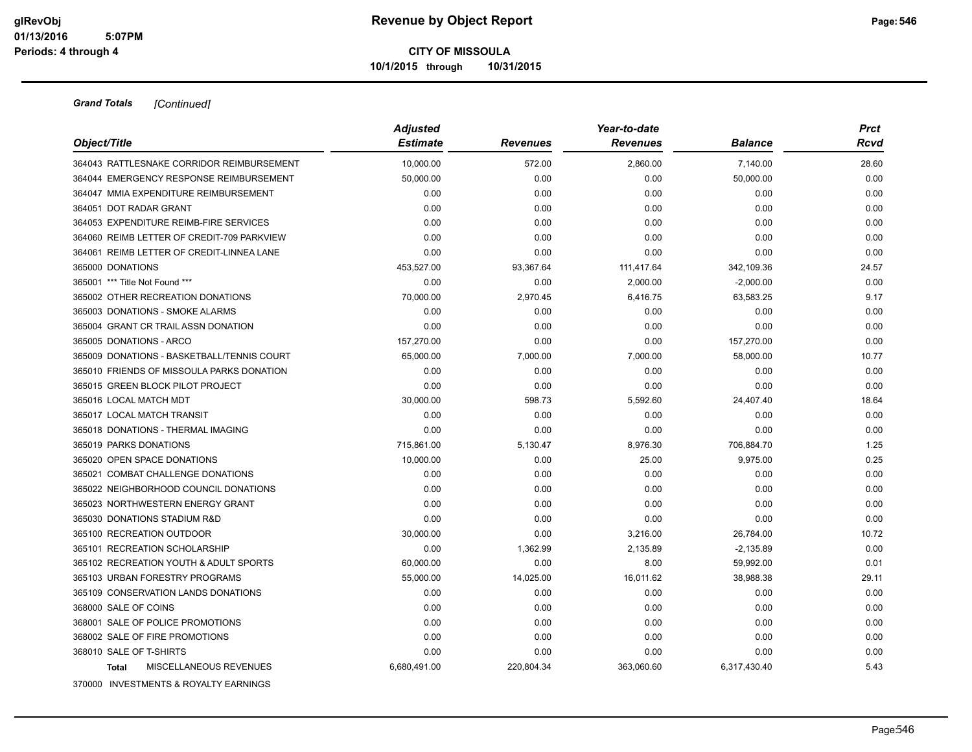| Object/Title                               | <b>Adjusted</b><br><b>Estimate</b> | <b>Revenues</b> | Year-to-date<br><b>Revenues</b> | Balance      | <b>Prct</b><br>Rcvd |
|--------------------------------------------|------------------------------------|-----------------|---------------------------------|--------------|---------------------|
| 364043 RATTLESNAKE CORRIDOR REIMBURSEMENT  | 10,000.00                          | 572.00          | 2,860.00                        | 7,140.00     | 28.60               |
| 364044 EMERGENCY RESPONSE REIMBURSEMENT    | 50,000.00                          | 0.00            | 0.00                            | 50,000.00    | 0.00                |
| 364047 MMIA EXPENDITURE REIMBURSEMENT      | 0.00                               | 0.00            | 0.00                            | 0.00         | 0.00                |
| 364051 DOT RADAR GRANT                     | 0.00                               | 0.00            | 0.00                            | 0.00         | 0.00                |
| 364053 EXPENDITURE REIMB-FIRE SERVICES     | 0.00                               | 0.00            | 0.00                            | 0.00         | 0.00                |
| 364060 REIMB LETTER OF CREDIT-709 PARKVIEW | 0.00                               | 0.00            | 0.00                            | 0.00         | 0.00                |
| 364061 REIMB LETTER OF CREDIT-LINNEA LANE  | 0.00                               | 0.00            | 0.00                            | 0.00         | 0.00                |
| 365000 DONATIONS                           | 453,527.00                         | 93,367.64       | 111,417.64                      | 342,109.36   | 24.57               |
| 365001 *** Title Not Found ***             | 0.00                               | 0.00            | 2,000.00                        | $-2,000.00$  | 0.00                |
| 365002 OTHER RECREATION DONATIONS          | 70,000.00                          | 2,970.45        | 6,416.75                        | 63,583.25    | 9.17                |
| 365003 DONATIONS - SMOKE ALARMS            | 0.00                               | 0.00            | 0.00                            | 0.00         | 0.00                |
| 365004 GRANT CR TRAIL ASSN DONATION        | 0.00                               | 0.00            | 0.00                            | 0.00         | 0.00                |
| 365005 DONATIONS - ARCO                    | 157,270.00                         | 0.00            | 0.00                            | 157,270.00   | 0.00                |
| 365009 DONATIONS - BASKETBALL/TENNIS COURT | 65,000.00                          | 7,000.00        | 7,000.00                        | 58,000.00    | 10.77               |
| 365010 FRIENDS OF MISSOULA PARKS DONATION  | 0.00                               | 0.00            | 0.00                            | 0.00         | 0.00                |
| 365015 GREEN BLOCK PILOT PROJECT           | 0.00                               | 0.00            | 0.00                            | 0.00         | 0.00                |
| 365016 LOCAL MATCH MDT                     | 30,000.00                          | 598.73          | 5,592.60                        | 24,407.40    | 18.64               |
| 365017 LOCAL MATCH TRANSIT                 | 0.00                               | 0.00            | 0.00                            | 0.00         | 0.00                |
| 365018 DONATIONS - THERMAL IMAGING         | 0.00                               | 0.00            | 0.00                            | 0.00         | 0.00                |
| 365019 PARKS DONATIONS                     | 715,861.00                         | 5,130.47        | 8,976.30                        | 706,884.70   | 1.25                |
| 365020 OPEN SPACE DONATIONS                | 10,000.00                          | 0.00            | 25.00                           | 9,975.00     | 0.25                |
| 365021 COMBAT CHALLENGE DONATIONS          | 0.00                               | 0.00            | 0.00                            | 0.00         | 0.00                |
| 365022 NEIGHBORHOOD COUNCIL DONATIONS      | 0.00                               | 0.00            | 0.00                            | 0.00         | 0.00                |
| 365023 NORTHWESTERN ENERGY GRANT           | 0.00                               | 0.00            | 0.00                            | 0.00         | 0.00                |
| 365030 DONATIONS STADIUM R&D               | 0.00                               | 0.00            | 0.00                            | 0.00         | 0.00                |
| 365100 RECREATION OUTDOOR                  | 30,000.00                          | 0.00            | 3,216.00                        | 26,784.00    | 10.72               |
| 365101 RECREATION SCHOLARSHIP              | 0.00                               | 1,362.99        | 2,135.89                        | $-2,135.89$  | 0.00                |
| 365102 RECREATION YOUTH & ADULT SPORTS     | 60,000.00                          | 0.00            | 8.00                            | 59,992.00    | 0.01                |
| 365103 URBAN FORESTRY PROGRAMS             | 55,000.00                          | 14,025.00       | 16,011.62                       | 38,988.38    | 29.11               |
| 365109 CONSERVATION LANDS DONATIONS        | 0.00                               | 0.00            | 0.00                            | 0.00         | 0.00                |
| 368000 SALE OF COINS                       | 0.00                               | 0.00            | 0.00                            | 0.00         | 0.00                |
| 368001 SALE OF POLICE PROMOTIONS           | 0.00                               | 0.00            | 0.00                            | 0.00         | 0.00                |
| 368002 SALE OF FIRE PROMOTIONS             | 0.00                               | 0.00            | 0.00                            | 0.00         | 0.00                |
| 368010 SALE OF T-SHIRTS                    | 0.00                               | 0.00            | 0.00                            | 0.00         | 0.00                |
| MISCELLANEOUS REVENUES<br><b>Total</b>     | 6,680,491.00                       | 220,804.34      | 363,060.60                      | 6,317,430.40 | 5.43                |
| 370000 INVESTMENTS & ROYALTY EARNINGS      |                                    |                 |                                 |              |                     |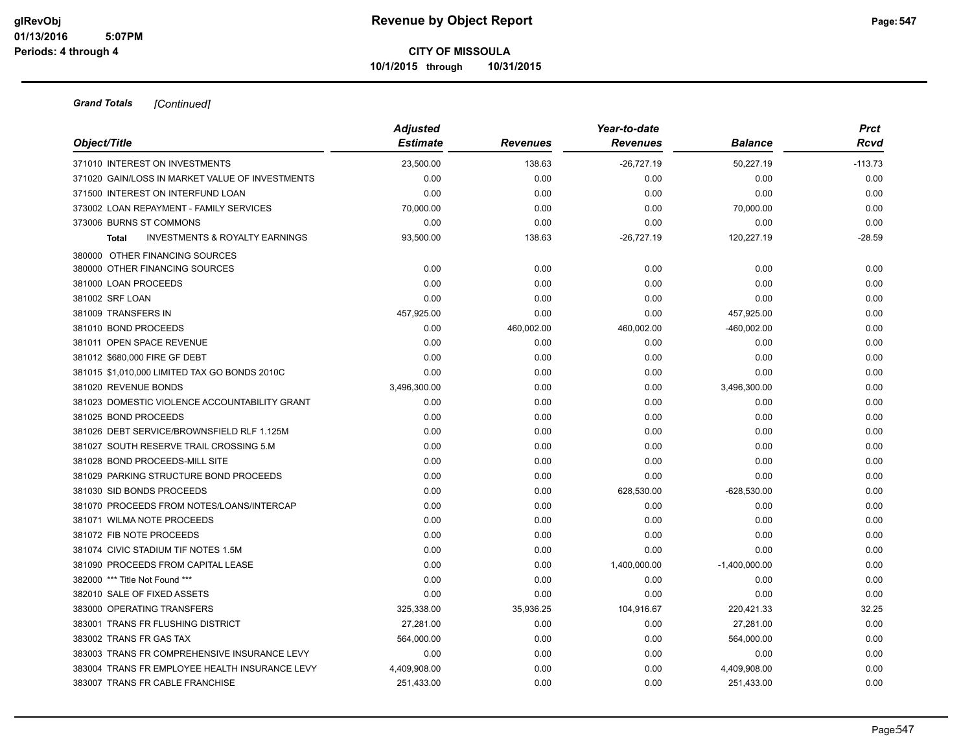|                                                           | <b>Adjusted</b> | Year-to-date    |                 |                 |           |  |
|-----------------------------------------------------------|-----------------|-----------------|-----------------|-----------------|-----------|--|
| Object/Title                                              | <b>Estimate</b> | <b>Revenues</b> | <b>Revenues</b> | Balance         | Rcvd      |  |
| 371010 INTEREST ON INVESTMENTS                            | 23,500.00       | 138.63          | $-26,727.19$    | 50,227.19       | $-113.73$ |  |
| 371020 GAIN/LOSS IN MARKET VALUE OF INVESTMENTS           | 0.00            | 0.00            | 0.00            | 0.00            | 0.00      |  |
| 371500 INTEREST ON INTERFUND LOAN                         | 0.00            | 0.00            | 0.00            | 0.00            | 0.00      |  |
| 373002 LOAN REPAYMENT - FAMILY SERVICES                   | 70,000.00       | 0.00            | 0.00            | 70,000.00       | 0.00      |  |
| 373006 BURNS ST COMMONS                                   | 0.00            | 0.00            | 0.00            | 0.00            | 0.00      |  |
| <b>INVESTMENTS &amp; ROYALTY EARNINGS</b><br><b>Total</b> | 93,500.00       | 138.63          | $-26,727.19$    | 120,227.19      | $-28.59$  |  |
| 380000 OTHER FINANCING SOURCES                            |                 |                 |                 |                 |           |  |
| 380000 OTHER FINANCING SOURCES                            | 0.00            | 0.00            | 0.00            | 0.00            | 0.00      |  |
| 381000 LOAN PROCEEDS                                      | 0.00            | 0.00            | 0.00            | 0.00            | 0.00      |  |
| 381002 SRF LOAN                                           | 0.00            | 0.00            | 0.00            | 0.00            | 0.00      |  |
| 381009 TRANSFERS IN                                       | 457,925.00      | 0.00            | 0.00            | 457,925.00      | 0.00      |  |
| 381010 BOND PROCEEDS                                      | 0.00            | 460,002.00      | 460,002.00      | -460,002.00     | 0.00      |  |
| 381011 OPEN SPACE REVENUE                                 | 0.00            | 0.00            | 0.00            | 0.00            | 0.00      |  |
| 381012 \$680,000 FIRE GF DEBT                             | 0.00            | 0.00            | 0.00            | 0.00            | 0.00      |  |
| 381015 \$1,010,000 LIMITED TAX GO BONDS 2010C             | 0.00            | 0.00            | 0.00            | 0.00            | 0.00      |  |
| 381020 REVENUE BONDS                                      | 3,496,300.00    | 0.00            | 0.00            | 3,496,300.00    | 0.00      |  |
| 381023 DOMESTIC VIOLENCE ACCOUNTABILITY GRANT             | 0.00            | 0.00            | 0.00            | 0.00            | 0.00      |  |
| 381025 BOND PROCEEDS                                      | 0.00            | 0.00            | 0.00            | 0.00            | 0.00      |  |
| 381026 DEBT SERVICE/BROWNSFIELD RLF 1.125M                | 0.00            | 0.00            | 0.00            | 0.00            | 0.00      |  |
| 381027 SOUTH RESERVE TRAIL CROSSING 5.M                   | 0.00            | 0.00            | 0.00            | 0.00            | 0.00      |  |
| 381028 BOND PROCEEDS-MILL SITE                            | 0.00            | 0.00            | 0.00            | 0.00            | 0.00      |  |
| 381029 PARKING STRUCTURE BOND PROCEEDS                    | 0.00            | 0.00            | 0.00            | 0.00            | 0.00      |  |
| 381030 SID BONDS PROCEEDS                                 | 0.00            | 0.00            | 628,530.00      | -628,530.00     | 0.00      |  |
| 381070 PROCEEDS FROM NOTES/LOANS/INTERCAP                 | 0.00            | 0.00            | 0.00            | 0.00            | 0.00      |  |
| 381071 WILMA NOTE PROCEEDS                                | 0.00            | 0.00            | 0.00            | 0.00            | 0.00      |  |
| 381072 FIB NOTE PROCEEDS                                  | 0.00            | 0.00            | 0.00            | 0.00            | 0.00      |  |
| 381074 CIVIC STADIUM TIF NOTES 1.5M                       | 0.00            | 0.00            | 0.00            | 0.00            | 0.00      |  |
| 381090 PROCEEDS FROM CAPITAL LEASE                        | 0.00            | 0.00            | 1,400,000.00    | $-1,400,000.00$ | 0.00      |  |
| 382000 *** Title Not Found ***                            | 0.00            | 0.00            | 0.00            | 0.00            | 0.00      |  |
| 382010 SALE OF FIXED ASSETS                               | 0.00            | 0.00            | 0.00            | 0.00            | 0.00      |  |
| 383000 OPERATING TRANSFERS                                | 325,338.00      | 35,936.25       | 104,916.67      | 220,421.33      | 32.25     |  |
| 383001 TRANS FR FLUSHING DISTRICT                         | 27,281.00       | 0.00            | 0.00            | 27,281.00       | 0.00      |  |
| 383002 TRANS FR GAS TAX                                   | 564,000.00      | 0.00            | 0.00            | 564,000.00      | 0.00      |  |
| 383003 TRANS FR COMPREHENSIVE INSURANCE LEVY              | 0.00            | 0.00            | 0.00            | 0.00            | 0.00      |  |
| 383004 TRANS FR EMPLOYEE HEALTH INSURANCE LEVY            | 4,409,908.00    | 0.00            | 0.00            | 4,409,908.00    | 0.00      |  |
| 383007 TRANS FR CABLE FRANCHISE                           | 251,433.00      | 0.00            | 0.00            | 251,433.00      | 0.00      |  |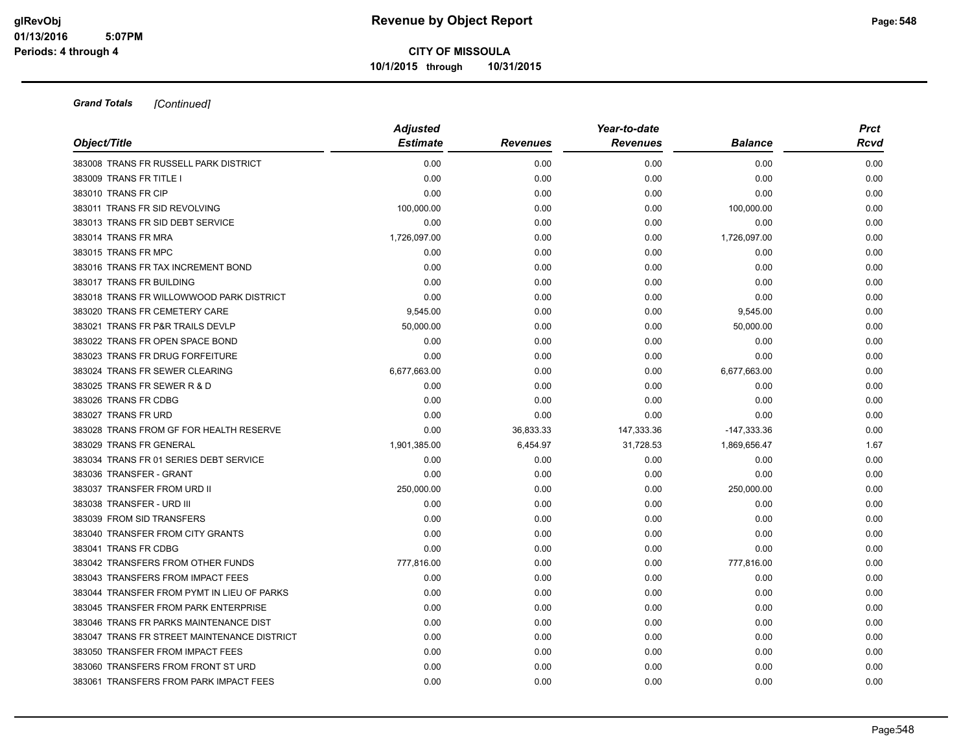|                                             | <b>Adjusted</b> |                 | Year-to-date    |                | <b>Prct</b> |
|---------------------------------------------|-----------------|-----------------|-----------------|----------------|-------------|
| Object/Title                                | <b>Estimate</b> | <b>Revenues</b> | <b>Revenues</b> | <b>Balance</b> | Rcvd        |
| 383008 TRANS FR RUSSELL PARK DISTRICT       | 0.00            | 0.00            | 0.00            | 0.00           | 0.00        |
| 383009 TRANS FR TITLE I                     | 0.00            | 0.00            | 0.00            | 0.00           | 0.00        |
| 383010 TRANS FR CIP                         | 0.00            | 0.00            | 0.00            | 0.00           | 0.00        |
| 383011 TRANS FR SID REVOLVING               | 100,000.00      | 0.00            | 0.00            | 100,000.00     | 0.00        |
| 383013 TRANS FR SID DEBT SERVICE            | 0.00            | 0.00            | 0.00            | 0.00           | 0.00        |
| 383014 TRANS FR MRA                         | 1,726,097.00    | 0.00            | 0.00            | 1,726,097.00   | 0.00        |
| 383015 TRANS FR MPC                         | 0.00            | 0.00            | 0.00            | 0.00           | 0.00        |
| 383016 TRANS FR TAX INCREMENT BOND          | 0.00            | 0.00            | 0.00            | 0.00           | 0.00        |
| 383017 TRANS FR BUILDING                    | 0.00            | 0.00            | 0.00            | 0.00           | 0.00        |
| 383018 TRANS FR WILLOWWOOD PARK DISTRICT    | 0.00            | 0.00            | 0.00            | 0.00           | 0.00        |
| 383020 TRANS FR CEMETERY CARE               | 9,545.00        | 0.00            | 0.00            | 9,545.00       | 0.00        |
| 383021 TRANS FR P&R TRAILS DEVLP            | 50,000.00       | 0.00            | 0.00            | 50,000.00      | 0.00        |
| 383022 TRANS FR OPEN SPACE BOND             | 0.00            | 0.00            | 0.00            | 0.00           | 0.00        |
| 383023 TRANS FR DRUG FORFEITURE             | 0.00            | 0.00            | 0.00            | 0.00           | 0.00        |
| 383024 TRANS FR SEWER CLEARING              | 6,677,663.00    | 0.00            | 0.00            | 6,677,663.00   | 0.00        |
| 383025 TRANS FR SEWER R & D                 | 0.00            | 0.00            | 0.00            | 0.00           | 0.00        |
| 383026 TRANS FR CDBG                        | 0.00            | 0.00            | 0.00            | 0.00           | 0.00        |
| 383027 TRANS FR URD                         | 0.00            | 0.00            | 0.00            | 0.00           | 0.00        |
| 383028 TRANS FROM GF FOR HEALTH RESERVE     | 0.00            | 36,833.33       | 147,333.36      | $-147,333.36$  | 0.00        |
| 383029 TRANS FR GENERAL                     | 1,901,385.00    | 6,454.97        | 31,728.53       | 1,869,656.47   | 1.67        |
| 383034 TRANS FR 01 SERIES DEBT SERVICE      | 0.00            | 0.00            | 0.00            | 0.00           | 0.00        |
| 383036 TRANSFER - GRANT                     | 0.00            | 0.00            | 0.00            | 0.00           | 0.00        |
| 383037 TRANSFER FROM URD II                 | 250,000.00      | 0.00            | 0.00            | 250,000.00     | 0.00        |
| 383038 TRANSFER - URD III                   | 0.00            | 0.00            | 0.00            | 0.00           | 0.00        |
| 383039 FROM SID TRANSFERS                   | 0.00            | 0.00            | 0.00            | 0.00           | 0.00        |
| 383040 TRANSFER FROM CITY GRANTS            | 0.00            | 0.00            | 0.00            | 0.00           | 0.00        |
| 383041 TRANS FR CDBG                        | 0.00            | 0.00            | 0.00            | 0.00           | 0.00        |
| 383042 TRANSFERS FROM OTHER FUNDS           | 777,816.00      | 0.00            | 0.00            | 777,816.00     | 0.00        |
| 383043 TRANSFERS FROM IMPACT FEES           | 0.00            | 0.00            | 0.00            | 0.00           | 0.00        |
| 383044 TRANSFER FROM PYMT IN LIEU OF PARKS  | 0.00            | 0.00            | 0.00            | 0.00           | 0.00        |
| 383045 TRANSFER FROM PARK ENTERPRISE        | 0.00            | 0.00            | 0.00            | 0.00           | 0.00        |
| 383046 TRANS FR PARKS MAINTENANCE DIST      | 0.00            | 0.00            | 0.00            | 0.00           | 0.00        |
| 383047 TRANS FR STREET MAINTENANCE DISTRICT | 0.00            | 0.00            | 0.00            | 0.00           | 0.00        |
| 383050 TRANSFER FROM IMPACT FEES            | 0.00            | 0.00            | 0.00            | 0.00           | 0.00        |
| 383060 TRANSFERS FROM FRONT ST URD          | 0.00            | 0.00            | 0.00            | 0.00           | 0.00        |
| 383061 TRANSFERS FROM PARK IMPACT FEES      | 0.00            | 0.00            | 0.00            | 0.00           | 0.00        |